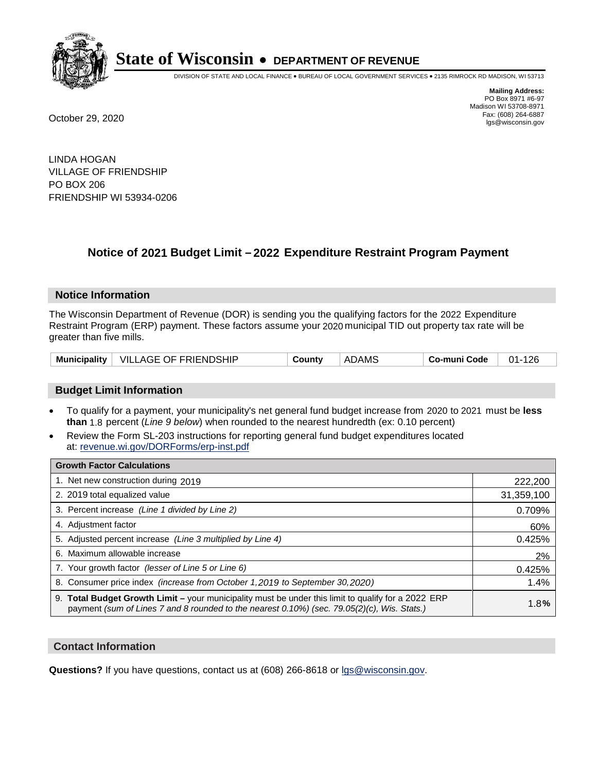

DIVISION OF STATE AND LOCAL FINANCE • BUREAU OF LOCAL GOVERNMENT SERVICES • 2135 RIMROCK RD MADISON, WI 53713

**Mailing Address:** PO Box 8971 #6-97 Madison WI 53708-8971<br>Fax: (608) 264-6887 Fax: (608) 264-6887 October 29, 2020 lgs@wisconsin.gov

LINDA HOGAN VILLAGE OF FRIENDSHIP PO BOX 206 FRIENDSHIP WI 53934-0206

# **Notice of 2021 Budget Limit - 2022 Expenditure Restraint Program Payment**

## **Notice Information**

The Wisconsin Department of Revenue (DOR) is sending you the qualifying factors for the 2022 Expenditure Restraint Program (ERP) payment. These factors assume your 2020 municipal TID out property tax rate will be greater than five mills.

| Municipality   VILLAGE OF FRIENDSHIP |  | County | <b>ADAMS</b> | Co-muni Code | $01 - 126$ |
|--------------------------------------|--|--------|--------------|--------------|------------|
|--------------------------------------|--|--------|--------------|--------------|------------|

# **Budget Limit Information**

- To qualify for a payment, your municipality's net general fund budget increase from 2020 to 2021 must be less **than** 1.8 percent (*Line 9 below*) when rounded to the nearest hundredth (ex: 0.10 percent)
- Review the Form SL-203 instructions for reporting general fund budget expenditures located at: revenue.wi.gov/DORForms/erp-inst.pdf

| <b>Growth Factor Calculations</b>                                                                                                                                                                      |            |
|--------------------------------------------------------------------------------------------------------------------------------------------------------------------------------------------------------|------------|
| 1. Net new construction during 2019                                                                                                                                                                    | 222,200    |
| 2. 2019 total equalized value                                                                                                                                                                          | 31,359,100 |
| 3. Percent increase (Line 1 divided by Line 2)                                                                                                                                                         | 0.709%     |
| 4. Adjustment factor                                                                                                                                                                                   | 60%        |
| 5. Adjusted percent increase (Line 3 multiplied by Line 4)                                                                                                                                             | 0.425%     |
| 6. Maximum allowable increase                                                                                                                                                                          | 2%         |
| 7. Your growth factor (lesser of Line 5 or Line 6)                                                                                                                                                     | 0.425%     |
| 8. Consumer price index (increase from October 1, 2019 to September 30, 2020)                                                                                                                          | 1.4%       |
| 9. Total Budget Growth Limit - your municipality must be under this limit to qualify for a 2022 ERP<br>payment (sum of Lines 7 and 8 rounded to the nearest $0.10\%$ ) (sec. 79.05(2)(c), Wis. Stats.) | 1.8%       |

## **Contact Information**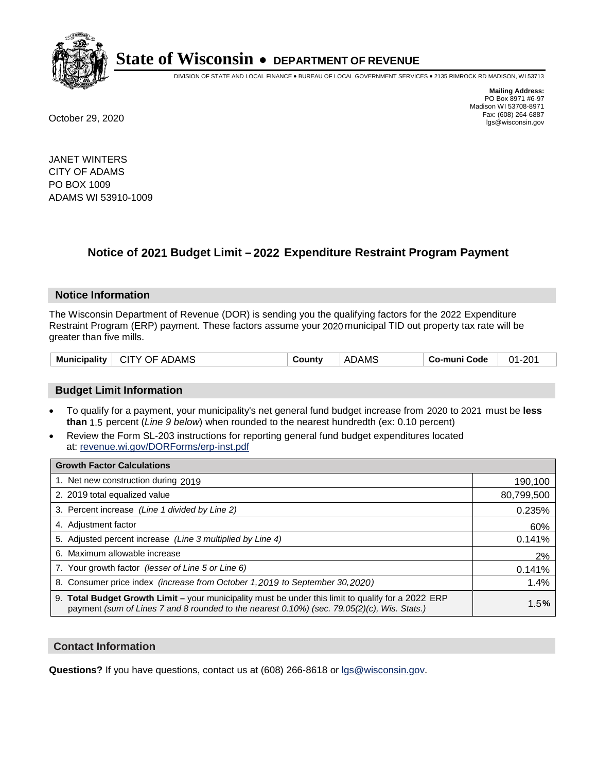

DIVISION OF STATE AND LOCAL FINANCE • BUREAU OF LOCAL GOVERNMENT SERVICES • 2135 RIMROCK RD MADISON, WI 53713

**Mailing Address:** PO Box 8971 #6-97 Madison WI 53708-8971<br>Fax: (608) 264-6887 Fax: (608) 264-6887 October 29, 2020 lgs@wisconsin.gov

JANET WINTERS CITY OF ADAMS PO BOX 1009 ADAMS WI 53910-1009

# **Notice of 2021 Budget Limit - 2022 Expenditure Restraint Program Payment**

## **Notice Information**

The Wisconsin Department of Revenue (DOR) is sending you the qualifying factors for the 2022 Expenditure Restraint Program (ERP) payment. These factors assume your 2020 municipal TID out property tax rate will be greater than five mills.

| <b>Municipality</b><br>CITY OF ADAMS | County | <b>ADAMS</b> | Co-muni Code | $01 - 201$ |
|--------------------------------------|--------|--------------|--------------|------------|
|--------------------------------------|--------|--------------|--------------|------------|

# **Budget Limit Information**

- To qualify for a payment, your municipality's net general fund budget increase from 2020 to 2021 must be less **than** 1.5 percent (*Line 9 below*) when rounded to the nearest hundredth (ex: 0.10 percent)
- Review the Form SL-203 instructions for reporting general fund budget expenditures located at: revenue.wi.gov/DORForms/erp-inst.pdf

| <b>Growth Factor Calculations</b>                                                                                                                                                                      |            |
|--------------------------------------------------------------------------------------------------------------------------------------------------------------------------------------------------------|------------|
| 1. Net new construction during 2019                                                                                                                                                                    | 190,100    |
| 2. 2019 total equalized value                                                                                                                                                                          | 80,799,500 |
| 3. Percent increase (Line 1 divided by Line 2)                                                                                                                                                         | 0.235%     |
| 4. Adjustment factor                                                                                                                                                                                   | 60%        |
| 5. Adjusted percent increase (Line 3 multiplied by Line 4)                                                                                                                                             | 0.141%     |
| 6. Maximum allowable increase                                                                                                                                                                          | 2%         |
| 7. Your growth factor (lesser of Line 5 or Line 6)                                                                                                                                                     | 0.141%     |
| 8. Consumer price index (increase from October 1, 2019 to September 30, 2020)                                                                                                                          | 1.4%       |
| 9. Total Budget Growth Limit - your municipality must be under this limit to qualify for a 2022 ERP<br>payment (sum of Lines 7 and 8 rounded to the nearest $0.10\%$ ) (sec. 79.05(2)(c), Wis. Stats.) | 1.5%       |

## **Contact Information**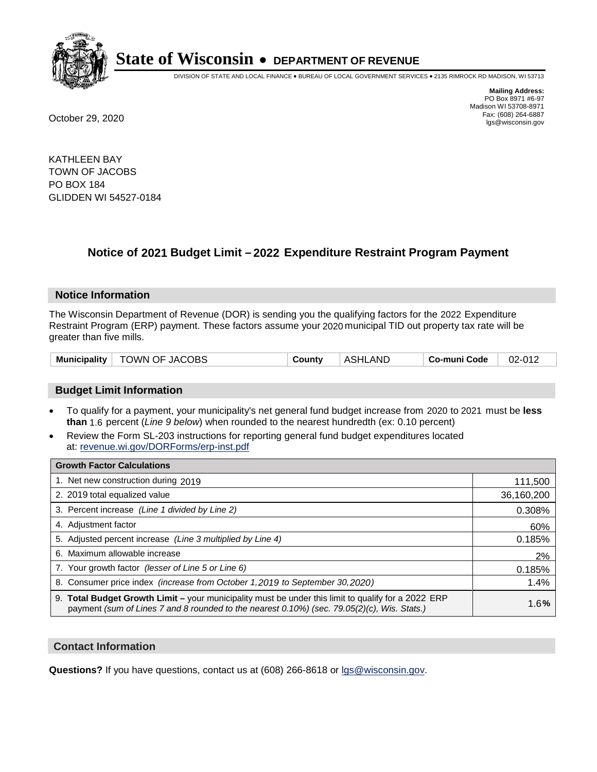

DIVISION OF STATE AND LOCAL FINANCE • BUREAU OF LOCAL GOVERNMENT SERVICES • 2135 RIMROCK RD MADISON, WI 53713

**Mailing Address:** PO Box 8971 #6-97 Madison WI 53708-8971<br>Fax: (608) 264-6887 Fax: (608) 264-6887 October 29, 2020 lgs@wisconsin.gov

KATHLEEN BAY TOWN OF JACOBS PO BOX 184 GLIDDEN WI 54527-0184

# **Notice of 2021 Budget Limit - 2022 Expenditure Restraint Program Payment**

## **Notice Information**

The Wisconsin Department of Revenue (DOR) is sending you the qualifying factors for the 2022 Expenditure Restraint Program (ERP) payment. These factors assume your 2020 municipal TID out property tax rate will be greater than five mills.

| Municipality   TOWN OF JACOBS | County | <b>ASHLAND</b> | Co-muni Code | $02 - 012$ |
|-------------------------------|--------|----------------|--------------|------------|
|-------------------------------|--------|----------------|--------------|------------|

# **Budget Limit Information**

- To qualify for a payment, your municipality's net general fund budget increase from 2020 to 2021 must be less **than** 1.6 percent (*Line 9 below*) when rounded to the nearest hundredth (ex: 0.10 percent)
- Review the Form SL-203 instructions for reporting general fund budget expenditures located at: revenue.wi.gov/DORForms/erp-inst.pdf

| <b>Growth Factor Calculations</b>                                                                                                                                                                      |            |
|--------------------------------------------------------------------------------------------------------------------------------------------------------------------------------------------------------|------------|
| 1. Net new construction during 2019                                                                                                                                                                    | 111,500    |
| 2. 2019 total equalized value                                                                                                                                                                          | 36,160,200 |
| 3. Percent increase (Line 1 divided by Line 2)                                                                                                                                                         | 0.308%     |
| 4. Adjustment factor                                                                                                                                                                                   | 60%        |
| 5. Adjusted percent increase (Line 3 multiplied by Line 4)                                                                                                                                             | 0.185%     |
| 6. Maximum allowable increase                                                                                                                                                                          | 2%         |
| 7. Your growth factor (lesser of Line 5 or Line 6)                                                                                                                                                     | 0.185%     |
| 8. Consumer price index (increase from October 1, 2019 to September 30, 2020)                                                                                                                          | 1.4%       |
| 9. Total Budget Growth Limit - your municipality must be under this limit to qualify for a 2022 ERP<br>payment (sum of Lines 7 and 8 rounded to the nearest $0.10\%$ ) (sec. 79.05(2)(c), Wis. Stats.) | 1.6%       |

## **Contact Information**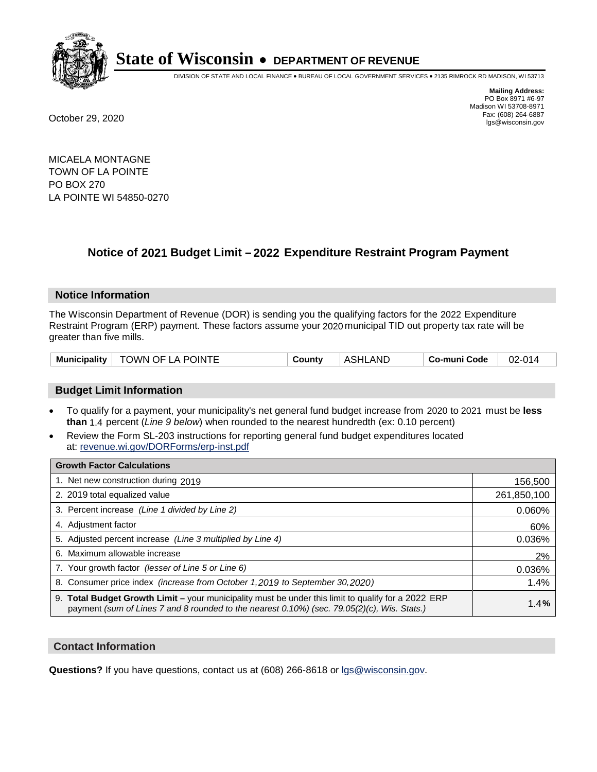

DIVISION OF STATE AND LOCAL FINANCE • BUREAU OF LOCAL GOVERNMENT SERVICES • 2135 RIMROCK RD MADISON, WI 53713

**Mailing Address:** PO Box 8971 #6-97 Madison WI 53708-8971<br>Fax: (608) 264-6887 Fax: (608) 264-6887 October 29, 2020 lgs@wisconsin.gov

MICAELA MONTAGNE TOWN OF LA POINTE PO BOX 270 LA POINTE WI 54850-0270

# **Notice of 2021 Budget Limit - 2022 Expenditure Restraint Program Payment**

#### **Notice Information**

The Wisconsin Department of Revenue (DOR) is sending you the qualifying factors for the 2022 Expenditure Restraint Program (ERP) payment. These factors assume your 2020 municipal TID out property tax rate will be greater than five mills.

| Municipality   TOWN OF LA POINTE | County | <b>ASHLAND</b> | Co-muni Code | $02 - 014$ |
|----------------------------------|--------|----------------|--------------|------------|
|----------------------------------|--------|----------------|--------------|------------|

## **Budget Limit Information**

- To qualify for a payment, your municipality's net general fund budget increase from 2020 to 2021 must be less **than** 1.4 percent (*Line 9 below*) when rounded to the nearest hundredth (ex: 0.10 percent)
- Review the Form SL-203 instructions for reporting general fund budget expenditures located at: revenue.wi.gov/DORForms/erp-inst.pdf

| <b>Growth Factor Calculations</b>                                                                                                                                                                  |             |
|----------------------------------------------------------------------------------------------------------------------------------------------------------------------------------------------------|-------------|
| 1. Net new construction during 2019                                                                                                                                                                | 156,500     |
| 2. 2019 total equalized value                                                                                                                                                                      | 261,850,100 |
| 3. Percent increase (Line 1 divided by Line 2)                                                                                                                                                     | 0.060%      |
| 4. Adiustment factor                                                                                                                                                                               | 60%         |
| 5. Adjusted percent increase (Line 3 multiplied by Line 4)                                                                                                                                         | 0.036%      |
| Maximum allowable increase<br>6.                                                                                                                                                                   | 2%          |
| 7. Your growth factor (lesser of Line 5 or Line 6)                                                                                                                                                 | 0.036%      |
| 8. Consumer price index (increase from October 1,2019 to September 30,2020)                                                                                                                        | 1.4%        |
| 9. Total Budget Growth Limit - your municipality must be under this limit to qualify for a 2022 ERP<br>payment (sum of Lines 7 and 8 rounded to the nearest 0.10%) (sec. 79.05(2)(c), Wis. Stats.) | 1.4%        |

## **Contact Information**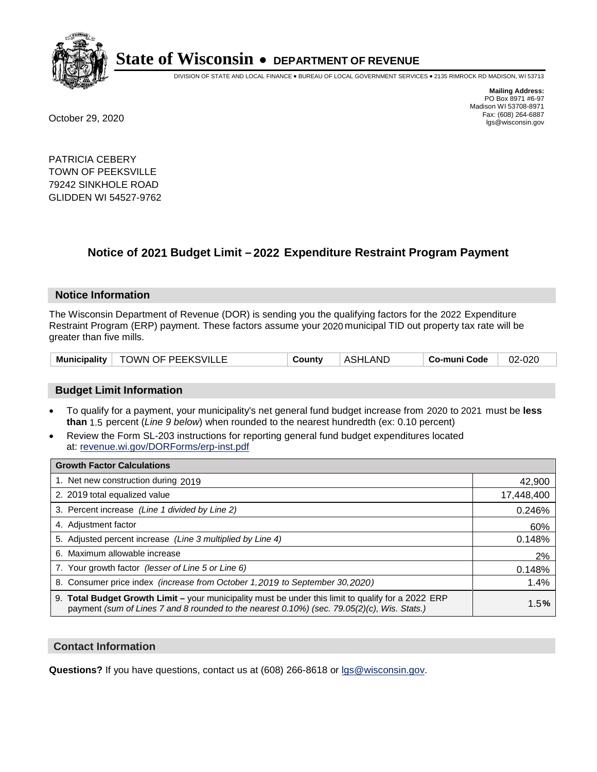

DIVISION OF STATE AND LOCAL FINANCE • BUREAU OF LOCAL GOVERNMENT SERVICES • 2135 RIMROCK RD MADISON, WI 53713

**Mailing Address:** PO Box 8971 #6-97 Madison WI 53708-8971<br>Fax: (608) 264-6887 Fax: (608) 264-6887 October 29, 2020 lgs@wisconsin.gov

PATRICIA CEBERY TOWN OF PEEKSVILLE 79242 SINKHOLE ROAD GLIDDEN WI 54527-9762

# **Notice of 2021 Budget Limit - 2022 Expenditure Restraint Program Payment**

## **Notice Information**

The Wisconsin Department of Revenue (DOR) is sending you the qualifying factors for the 2022 Expenditure Restraint Program (ERP) payment. These factors assume your 2020 municipal TID out property tax rate will be greater than five mills.

|  | Municipality   TOWN OF PEEKSVILLE | County | <b>ASHLAND</b> | Co-muni Code | 02-020 |
|--|-----------------------------------|--------|----------------|--------------|--------|
|--|-----------------------------------|--------|----------------|--------------|--------|

# **Budget Limit Information**

- To qualify for a payment, your municipality's net general fund budget increase from 2020 to 2021 must be less **than** 1.5 percent (*Line 9 below*) when rounded to the nearest hundredth (ex: 0.10 percent)
- Review the Form SL-203 instructions for reporting general fund budget expenditures located at: revenue.wi.gov/DORForms/erp-inst.pdf

| <b>Growth Factor Calculations</b>                                                                                                                                                                      |            |
|--------------------------------------------------------------------------------------------------------------------------------------------------------------------------------------------------------|------------|
| 1. Net new construction during 2019                                                                                                                                                                    | 42,900     |
| 2. 2019 total equalized value                                                                                                                                                                          | 17,448,400 |
| 3. Percent increase (Line 1 divided by Line 2)                                                                                                                                                         | 0.246%     |
| 4. Adjustment factor                                                                                                                                                                                   | 60%        |
| 5. Adjusted percent increase (Line 3 multiplied by Line 4)                                                                                                                                             | 0.148%     |
| 6. Maximum allowable increase                                                                                                                                                                          | 2%         |
| 7. Your growth factor (lesser of Line 5 or Line 6)                                                                                                                                                     | 0.148%     |
| 8. Consumer price index (increase from October 1, 2019 to September 30, 2020)                                                                                                                          | 1.4%       |
| 9. Total Budget Growth Limit - your municipality must be under this limit to qualify for a 2022 ERP<br>payment (sum of Lines 7 and 8 rounded to the nearest $0.10\%$ ) (sec. 79.05(2)(c), Wis. Stats.) | 1.5%       |

## **Contact Information**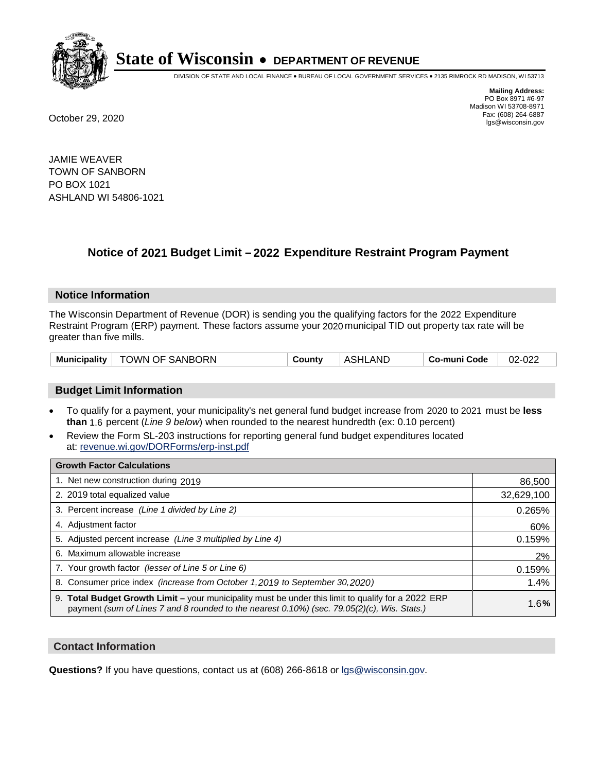

DIVISION OF STATE AND LOCAL FINANCE • BUREAU OF LOCAL GOVERNMENT SERVICES • 2135 RIMROCK RD MADISON, WI 53713

**Mailing Address:** PO Box 8971 #6-97 Madison WI 53708-8971<br>Fax: (608) 264-6887 Fax: (608) 264-6887 October 29, 2020 lgs@wisconsin.gov

JAMIE WEAVER TOWN OF SANBORN PO BOX 1021 ASHLAND WI 54806-1021

# **Notice of 2021 Budget Limit - 2022 Expenditure Restraint Program Payment**

#### **Notice Information**

The Wisconsin Department of Revenue (DOR) is sending you the qualifying factors for the 2022 Expenditure Restraint Program (ERP) payment. These factors assume your 2020 municipal TID out property tax rate will be greater than five mills.

|  | Municipality   TOWN OF SANBORN | County | <b>ASHLAND</b> | Co-muni Code | 02-022 |
|--|--------------------------------|--------|----------------|--------------|--------|
|--|--------------------------------|--------|----------------|--------------|--------|

## **Budget Limit Information**

- To qualify for a payment, your municipality's net general fund budget increase from 2020 to 2021 must be less **than** 1.6 percent (*Line 9 below*) when rounded to the nearest hundredth (ex: 0.10 percent)
- Review the Form SL-203 instructions for reporting general fund budget expenditures located at: revenue.wi.gov/DORForms/erp-inst.pdf

| <b>Growth Factor Calculations</b>                                                                                                                                                                      |            |
|--------------------------------------------------------------------------------------------------------------------------------------------------------------------------------------------------------|------------|
| 1. Net new construction during 2019                                                                                                                                                                    | 86,500     |
| 2. 2019 total equalized value                                                                                                                                                                          | 32,629,100 |
| 3. Percent increase (Line 1 divided by Line 2)                                                                                                                                                         | 0.265%     |
| 4. Adjustment factor                                                                                                                                                                                   | 60%        |
| 5. Adjusted percent increase (Line 3 multiplied by Line 4)                                                                                                                                             | 0.159%     |
| 6. Maximum allowable increase                                                                                                                                                                          | 2%         |
| 7. Your growth factor (lesser of Line 5 or Line 6)                                                                                                                                                     | 0.159%     |
| 8. Consumer price index (increase from October 1, 2019 to September 30, 2020)                                                                                                                          | 1.4%       |
| 9. Total Budget Growth Limit - your municipality must be under this limit to qualify for a 2022 ERP<br>payment (sum of Lines 7 and 8 rounded to the nearest $0.10\%$ ) (sec. 79.05(2)(c), Wis. Stats.) | 1.6%       |

## **Contact Information**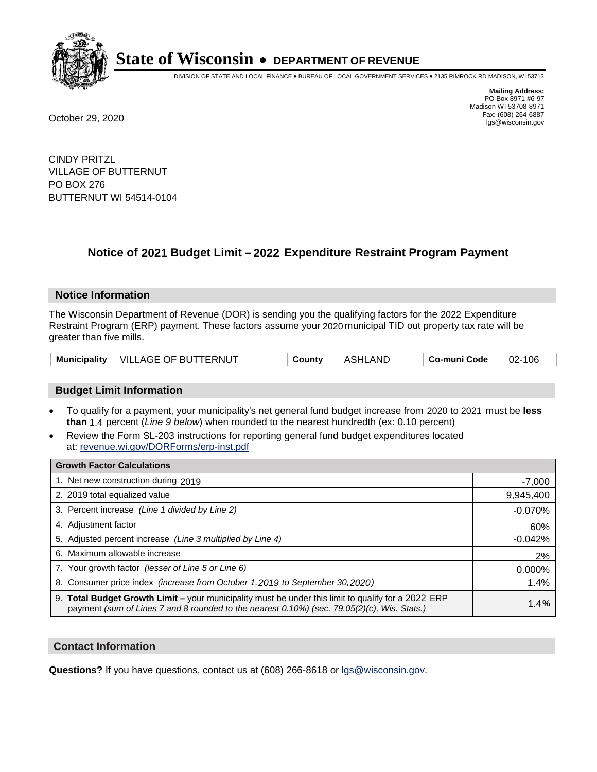

DIVISION OF STATE AND LOCAL FINANCE • BUREAU OF LOCAL GOVERNMENT SERVICES • 2135 RIMROCK RD MADISON, WI 53713

**Mailing Address:** PO Box 8971 #6-97 Madison WI 53708-8971<br>Fax: (608) 264-6887 Fax: (608) 264-6887 October 29, 2020 lgs@wisconsin.gov

CINDY PRITZL VILLAGE OF BUTTERNUT PO BOX 276 BUTTERNUT WI 54514-0104

# **Notice of 2021 Budget Limit - 2022 Expenditure Restraint Program Payment**

## **Notice Information**

The Wisconsin Department of Revenue (DOR) is sending you the qualifying factors for the 2022 Expenditure Restraint Program (ERP) payment. These factors assume your 2020 municipal TID out property tax rate will be greater than five mills.

|  | Municipality   VILLAGE OF BUTTERNUT | Countv | ASHLAND | Co-muni Code | 02-106 |
|--|-------------------------------------|--------|---------|--------------|--------|
|--|-------------------------------------|--------|---------|--------------|--------|

# **Budget Limit Information**

- To qualify for a payment, your municipality's net general fund budget increase from 2020 to 2021 must be less **than** 1.4 percent (*Line 9 below*) when rounded to the nearest hundredth (ex: 0.10 percent)
- Review the Form SL-203 instructions for reporting general fund budget expenditures located at: revenue.wi.gov/DORForms/erp-inst.pdf

| <b>Growth Factor Calculations</b>                                                                                                                                                                      |           |
|--------------------------------------------------------------------------------------------------------------------------------------------------------------------------------------------------------|-----------|
| 1. Net new construction during 2019                                                                                                                                                                    | $-7,000$  |
| 2. 2019 total equalized value                                                                                                                                                                          | 9,945,400 |
| 3. Percent increase (Line 1 divided by Line 2)                                                                                                                                                         | $-0.070%$ |
| 4. Adjustment factor                                                                                                                                                                                   | 60%       |
| 5. Adjusted percent increase (Line 3 multiplied by Line 4)                                                                                                                                             | $-0.042%$ |
| 6. Maximum allowable increase                                                                                                                                                                          | 2%        |
| 7. Your growth factor (lesser of Line 5 or Line 6)                                                                                                                                                     | 0.000%    |
| 8. Consumer price index (increase from October 1, 2019 to September 30, 2020)                                                                                                                          | 1.4%      |
| 9. Total Budget Growth Limit - your municipality must be under this limit to qualify for a 2022 ERP<br>payment (sum of Lines 7 and 8 rounded to the nearest $0.10\%$ ) (sec. 79.05(2)(c), Wis. Stats.) | 1.4%      |

## **Contact Information**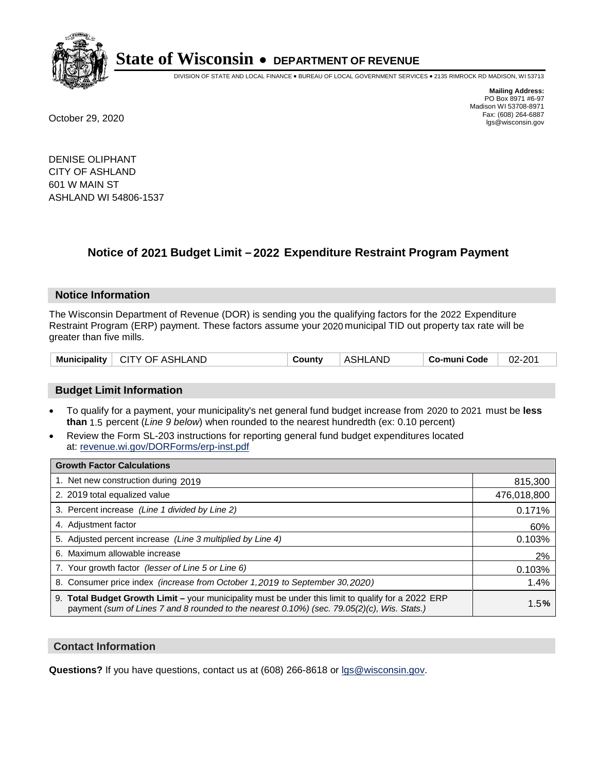

DIVISION OF STATE AND LOCAL FINANCE • BUREAU OF LOCAL GOVERNMENT SERVICES • 2135 RIMROCK RD MADISON, WI 53713

**Mailing Address:** PO Box 8971 #6-97 Madison WI 53708-8971<br>Fax: (608) 264-6887 Fax: (608) 264-6887 October 29, 2020 lgs@wisconsin.gov

DENISE OLIPHANT CITY OF ASHLAND 601 W MAIN ST ASHLAND WI 54806-1537

# **Notice of 2021 Budget Limit - 2022 Expenditure Restraint Program Payment**

## **Notice Information**

The Wisconsin Department of Revenue (DOR) is sending you the qualifying factors for the 2022 Expenditure Restraint Program (ERP) payment. These factors assume your 2020 municipal TID out property tax rate will be greater than five mills.

| Municipality   CITY OF ASHLAND | County | ASHLAND | ∣ Co-muni Code | 02-201 |
|--------------------------------|--------|---------|----------------|--------|
|--------------------------------|--------|---------|----------------|--------|

# **Budget Limit Information**

- To qualify for a payment, your municipality's net general fund budget increase from 2020 to 2021 must be less **than** 1.5 percent (*Line 9 below*) when rounded to the nearest hundredth (ex: 0.10 percent)
- Review the Form SL-203 instructions for reporting general fund budget expenditures located at: revenue.wi.gov/DORForms/erp-inst.pdf

| <b>Growth Factor Calculations</b>                                                                                                                                                                  |             |
|----------------------------------------------------------------------------------------------------------------------------------------------------------------------------------------------------|-------------|
| 1. Net new construction during 2019                                                                                                                                                                | 815,300     |
| 2. 2019 total equalized value                                                                                                                                                                      | 476,018,800 |
| 3. Percent increase (Line 1 divided by Line 2)                                                                                                                                                     | 0.171%      |
| 4. Adjustment factor                                                                                                                                                                               | 60%         |
| 5. Adjusted percent increase (Line 3 multiplied by Line 4)                                                                                                                                         | 0.103%      |
| 6. Maximum allowable increase                                                                                                                                                                      | 2%          |
| 7. Your growth factor (lesser of Line 5 or Line 6)                                                                                                                                                 | 0.103%      |
| 8. Consumer price index (increase from October 1, 2019 to September 30, 2020)                                                                                                                      | 1.4%        |
| 9. Total Budget Growth Limit - your municipality must be under this limit to qualify for a 2022 ERP<br>payment (sum of Lines 7 and 8 rounded to the nearest 0.10%) (sec. 79.05(2)(c), Wis. Stats.) | 1.5%        |

## **Contact Information**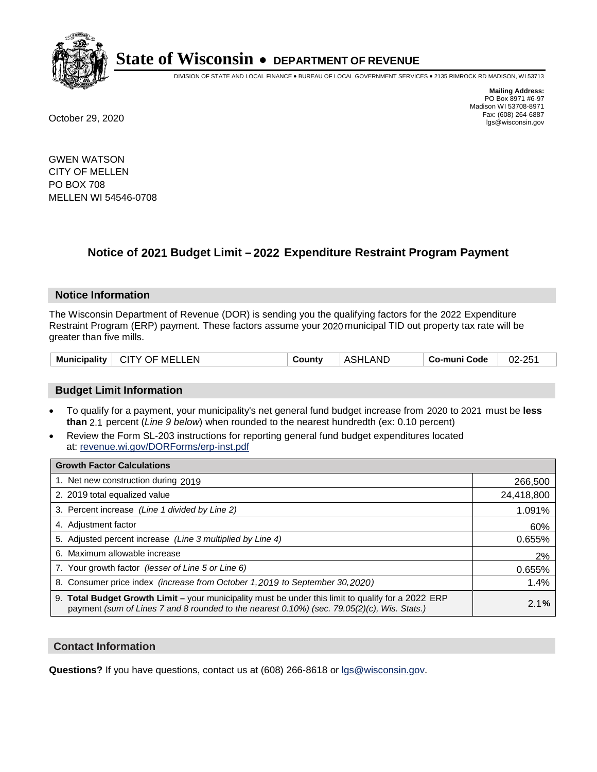

DIVISION OF STATE AND LOCAL FINANCE • BUREAU OF LOCAL GOVERNMENT SERVICES • 2135 RIMROCK RD MADISON, WI 53713

**Mailing Address:** PO Box 8971 #6-97 Madison WI 53708-8971<br>Fax: (608) 264-6887 Fax: (608) 264-6887 October 29, 2020 lgs@wisconsin.gov

GWEN WATSON CITY OF MELLEN PO BOX 708 MELLEN WI 54546-0708

# **Notice of 2021 Budget Limit - 2022 Expenditure Restraint Program Payment**

## **Notice Information**

The Wisconsin Department of Revenue (DOR) is sending you the qualifying factors for the 2022 Expenditure Restraint Program (ERP) payment. These factors assume your 2020 municipal TID out property tax rate will be greater than five mills.

| Municipality  <br>∣ CITY OF MELLEN | County | ASHLAND | Co-muni Code | 02-251 |
|------------------------------------|--------|---------|--------------|--------|
|------------------------------------|--------|---------|--------------|--------|

# **Budget Limit Information**

- To qualify for a payment, your municipality's net general fund budget increase from 2020 to 2021 must be less **than** 2.1 percent (*Line 9 below*) when rounded to the nearest hundredth (ex: 0.10 percent)
- Review the Form SL-203 instructions for reporting general fund budget expenditures located at: revenue.wi.gov/DORForms/erp-inst.pdf

| <b>Growth Factor Calculations</b>                                                                                                                                                                  |            |
|----------------------------------------------------------------------------------------------------------------------------------------------------------------------------------------------------|------------|
| 1. Net new construction during 2019                                                                                                                                                                | 266,500    |
| 2. 2019 total equalized value                                                                                                                                                                      | 24,418,800 |
| 3. Percent increase (Line 1 divided by Line 2)                                                                                                                                                     | 1.091%     |
| 4. Adjustment factor                                                                                                                                                                               | 60%        |
| 5. Adjusted percent increase (Line 3 multiplied by Line 4)                                                                                                                                         | 0.655%     |
| 6. Maximum allowable increase                                                                                                                                                                      | 2%         |
| 7. Your growth factor (lesser of Line 5 or Line 6)                                                                                                                                                 | 0.655%     |
| 8. Consumer price index (increase from October 1, 2019 to September 30, 2020)                                                                                                                      | 1.4%       |
| 9. Total Budget Growth Limit - your municipality must be under this limit to qualify for a 2022 ERP<br>payment (sum of Lines 7 and 8 rounded to the nearest 0.10%) (sec. 79.05(2)(c), Wis. Stats.) | 2.1%       |

## **Contact Information**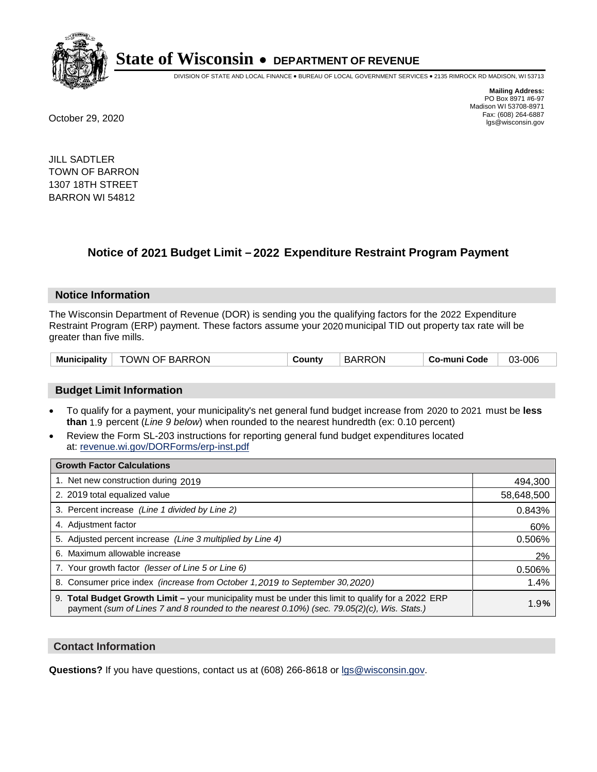

DIVISION OF STATE AND LOCAL FINANCE • BUREAU OF LOCAL GOVERNMENT SERVICES • 2135 RIMROCK RD MADISON, WI 53713

**Mailing Address:** PO Box 8971 #6-97 Madison WI 53708-8971<br>Fax: (608) 264-6887 Fax: (608) 264-6887 October 29, 2020 lgs@wisconsin.gov

JILL SADTLER TOWN OF BARRON 1307 18TH STREET BARRON WI 54812

# **Notice of 2021 Budget Limit - 2022 Expenditure Restraint Program Payment**

#### **Notice Information**

The Wisconsin Department of Revenue (DOR) is sending you the qualifying factors for the 2022 Expenditure Restraint Program (ERP) payment. These factors assume your 2020 municipal TID out property tax rate will be greater than five mills.

## **Budget Limit Information**

- To qualify for a payment, your municipality's net general fund budget increase from 2020 to 2021 must be less **than** 1.9 percent (*Line 9 below*) when rounded to the nearest hundredth (ex: 0.10 percent)
- Review the Form SL-203 instructions for reporting general fund budget expenditures located at: revenue.wi.gov/DORForms/erp-inst.pdf

| <b>Growth Factor Calculations</b>                                                                                                                                                                  |            |
|----------------------------------------------------------------------------------------------------------------------------------------------------------------------------------------------------|------------|
| 1. Net new construction during 2019                                                                                                                                                                | 494,300    |
| 2. 2019 total equalized value                                                                                                                                                                      | 58,648,500 |
| 3. Percent increase (Line 1 divided by Line 2)                                                                                                                                                     | 0.843%     |
| 4. Adjustment factor                                                                                                                                                                               | 60%        |
| 5. Adjusted percent increase (Line 3 multiplied by Line 4)                                                                                                                                         | 0.506%     |
| 6. Maximum allowable increase                                                                                                                                                                      | 2%         |
| 7. Your growth factor (lesser of Line 5 or Line 6)                                                                                                                                                 | 0.506%     |
| 8. Consumer price index (increase from October 1, 2019 to September 30, 2020)                                                                                                                      | 1.4%       |
| 9. Total Budget Growth Limit - your municipality must be under this limit to qualify for a 2022 ERP<br>payment (sum of Lines 7 and 8 rounded to the nearest 0.10%) (sec. 79.05(2)(c), Wis. Stats.) | 1.9%       |

## **Contact Information**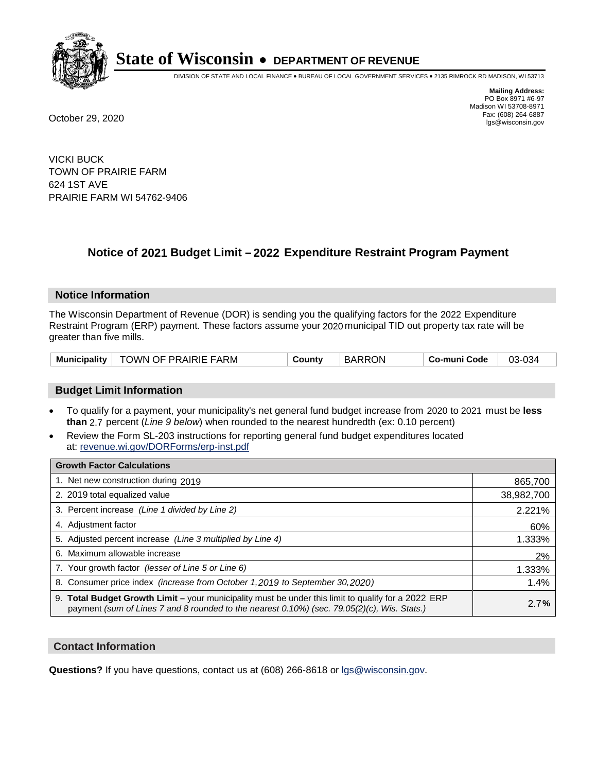

DIVISION OF STATE AND LOCAL FINANCE • BUREAU OF LOCAL GOVERNMENT SERVICES • 2135 RIMROCK RD MADISON, WI 53713

**Mailing Address:** PO Box 8971 #6-97 Madison WI 53708-8971<br>Fax: (608) 264-6887 Fax: (608) 264-6887 October 29, 2020 lgs@wisconsin.gov

VICKI BUCK TOWN OF PRAIRIE FARM 624 1ST AVE PRAIRIE FARM WI 54762-9406

# **Notice of 2021 Budget Limit - 2022 Expenditure Restraint Program Payment**

## **Notice Information**

The Wisconsin Department of Revenue (DOR) is sending you the qualifying factors for the 2022 Expenditure Restraint Program (ERP) payment. These factors assume your 2020 municipal TID out property tax rate will be greater than five mills.

| TOWN OF PRAIRIE FARM<br><b>Municipality</b> | County | <b>BARRON</b> | Co-muni Code | 03-034 |
|---------------------------------------------|--------|---------------|--------------|--------|
|---------------------------------------------|--------|---------------|--------------|--------|

# **Budget Limit Information**

- To qualify for a payment, your municipality's net general fund budget increase from 2020 to 2021 must be less **than** 2.7 percent (*Line 9 below*) when rounded to the nearest hundredth (ex: 0.10 percent)
- Review the Form SL-203 instructions for reporting general fund budget expenditures located at: revenue.wi.gov/DORForms/erp-inst.pdf

| <b>Growth Factor Calculations</b>                                                                                                                                                                      |            |
|--------------------------------------------------------------------------------------------------------------------------------------------------------------------------------------------------------|------------|
| 1. Net new construction during 2019                                                                                                                                                                    | 865,700    |
| 2. 2019 total equalized value                                                                                                                                                                          | 38,982,700 |
| 3. Percent increase (Line 1 divided by Line 2)                                                                                                                                                         | 2.221%     |
| 4. Adjustment factor                                                                                                                                                                                   | 60%        |
| 5. Adjusted percent increase (Line 3 multiplied by Line 4)                                                                                                                                             | 1.333%     |
| 6. Maximum allowable increase                                                                                                                                                                          | 2%         |
| 7. Your growth factor (lesser of Line 5 or Line 6)                                                                                                                                                     | 1.333%     |
| 8. Consumer price index (increase from October 1, 2019 to September 30, 2020)                                                                                                                          | 1.4%       |
| 9. Total Budget Growth Limit - your municipality must be under this limit to qualify for a 2022 ERP<br>payment (sum of Lines 7 and 8 rounded to the nearest $0.10\%$ ) (sec. 79.05(2)(c), Wis. Stats.) | 2.7%       |

## **Contact Information**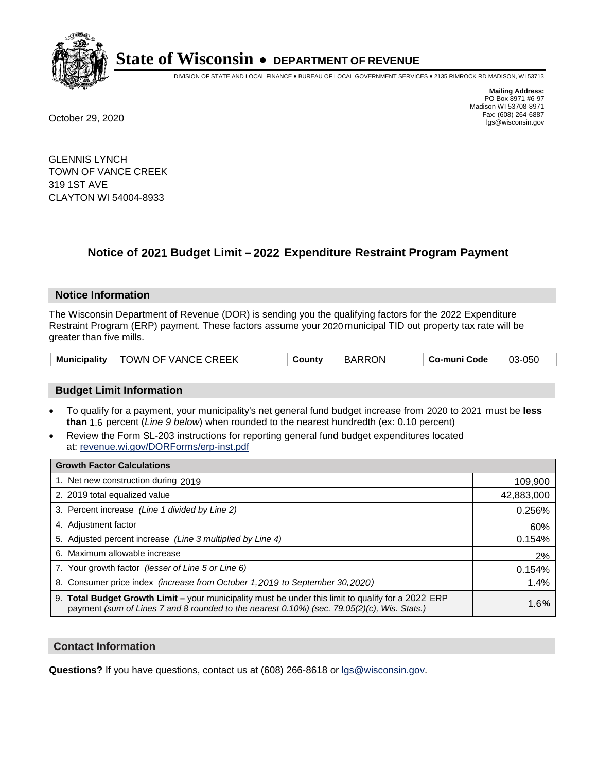

DIVISION OF STATE AND LOCAL FINANCE • BUREAU OF LOCAL GOVERNMENT SERVICES • 2135 RIMROCK RD MADISON, WI 53713

**Mailing Address:** PO Box 8971 #6-97 Madison WI 53708-8971<br>Fax: (608) 264-6887 Fax: (608) 264-6887 October 29, 2020 lgs@wisconsin.gov

GLENNIS LYNCH TOWN OF VANCE CREEK 319 1ST AVE CLAYTON WI 54004-8933

# **Notice of 2021 Budget Limit - 2022 Expenditure Restraint Program Payment**

#### **Notice Information**

The Wisconsin Department of Revenue (DOR) is sending you the qualifying factors for the 2022 Expenditure Restraint Program (ERP) payment. These factors assume your 2020 municipal TID out property tax rate will be greater than five mills.

|  | Municipality   TOWN OF VANCE CREEK | County | <b>BARRON</b> | Co-muni Code | 03-050 |
|--|------------------------------------|--------|---------------|--------------|--------|
|--|------------------------------------|--------|---------------|--------------|--------|

# **Budget Limit Information**

- To qualify for a payment, your municipality's net general fund budget increase from 2020 to 2021 must be less **than** 1.6 percent (*Line 9 below*) when rounded to the nearest hundredth (ex: 0.10 percent)
- Review the Form SL-203 instructions for reporting general fund budget expenditures located at: revenue.wi.gov/DORForms/erp-inst.pdf

| <b>Growth Factor Calculations</b>                                                                                                                                                                      |            |
|--------------------------------------------------------------------------------------------------------------------------------------------------------------------------------------------------------|------------|
| 1. Net new construction during 2019                                                                                                                                                                    | 109,900    |
| 2. 2019 total equalized value                                                                                                                                                                          | 42,883,000 |
| 3. Percent increase (Line 1 divided by Line 2)                                                                                                                                                         | 0.256%     |
| 4. Adjustment factor                                                                                                                                                                                   | 60%        |
| 5. Adjusted percent increase (Line 3 multiplied by Line 4)                                                                                                                                             | 0.154%     |
| 6. Maximum allowable increase                                                                                                                                                                          | 2%         |
| 7. Your growth factor (lesser of Line 5 or Line 6)                                                                                                                                                     | 0.154%     |
| 8. Consumer price index (increase from October 1, 2019 to September 30, 2020)                                                                                                                          | 1.4%       |
| 9. Total Budget Growth Limit - your municipality must be under this limit to qualify for a 2022 ERP<br>payment (sum of Lines 7 and 8 rounded to the nearest $0.10\%$ ) (sec. 79.05(2)(c), Wis. Stats.) | 1.6%       |

## **Contact Information**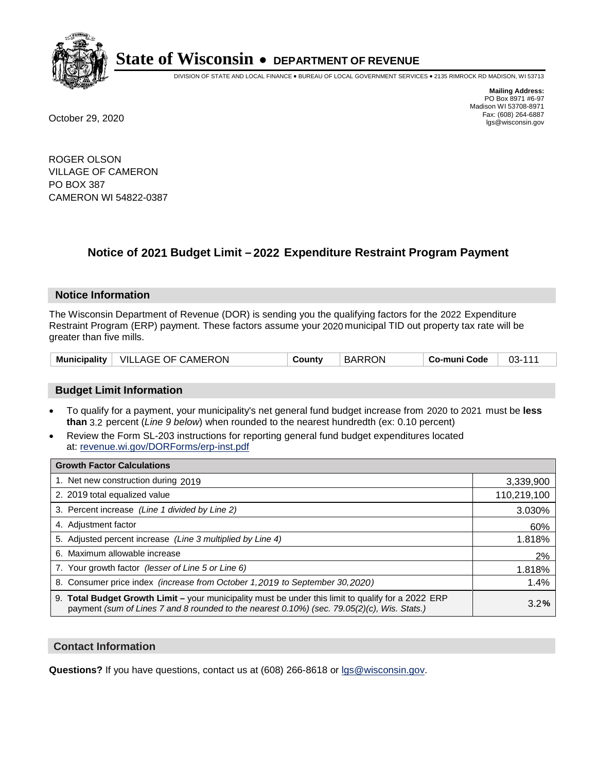

DIVISION OF STATE AND LOCAL FINANCE • BUREAU OF LOCAL GOVERNMENT SERVICES • 2135 RIMROCK RD MADISON, WI 53713

**Mailing Address:** PO Box 8971 #6-97 Madison WI 53708-8971<br>Fax: (608) 264-6887 Fax: (608) 264-6887 October 29, 2020 lgs@wisconsin.gov

ROGER OLSON VILLAGE OF CAMERON PO BOX 387 CAMERON WI 54822-0387

# **Notice of 2021 Budget Limit - 2022 Expenditure Restraint Program Payment**

#### **Notice Information**

The Wisconsin Department of Revenue (DOR) is sending you the qualifying factors for the 2022 Expenditure Restraint Program (ERP) payment. These factors assume your 2020 municipal TID out property tax rate will be greater than five mills.

| VILLAGE OF CAMERON<br><b>Municipality</b> | County | <b>BARRON</b> | Co-muni Code | $03 - 111$ |
|-------------------------------------------|--------|---------------|--------------|------------|
|-------------------------------------------|--------|---------------|--------------|------------|

# **Budget Limit Information**

- To qualify for a payment, your municipality's net general fund budget increase from 2020 to 2021 must be less **than** 3.2 percent (*Line 9 below*) when rounded to the nearest hundredth (ex: 0.10 percent)
- Review the Form SL-203 instructions for reporting general fund budget expenditures located at: revenue.wi.gov/DORForms/erp-inst.pdf

| <b>Growth Factor Calculations</b>                                                                                                                                                                      |             |
|--------------------------------------------------------------------------------------------------------------------------------------------------------------------------------------------------------|-------------|
| 1. Net new construction during 2019                                                                                                                                                                    | 3,339,900   |
| 2. 2019 total equalized value                                                                                                                                                                          | 110,219,100 |
| 3. Percent increase (Line 1 divided by Line 2)                                                                                                                                                         | 3.030%      |
| 4. Adjustment factor                                                                                                                                                                                   | 60%         |
| 5. Adjusted percent increase (Line 3 multiplied by Line 4)                                                                                                                                             | 1.818%      |
| 6. Maximum allowable increase                                                                                                                                                                          | 2%          |
| 7. Your growth factor (lesser of Line 5 or Line 6)                                                                                                                                                     | 1.818%      |
| 8. Consumer price index (increase from October 1, 2019 to September 30, 2020)                                                                                                                          | 1.4%        |
| 9. Total Budget Growth Limit - your municipality must be under this limit to qualify for a 2022 ERP<br>payment (sum of Lines 7 and 8 rounded to the nearest $0.10\%$ ) (sec. 79.05(2)(c), Wis. Stats.) | 3.2%        |

## **Contact Information**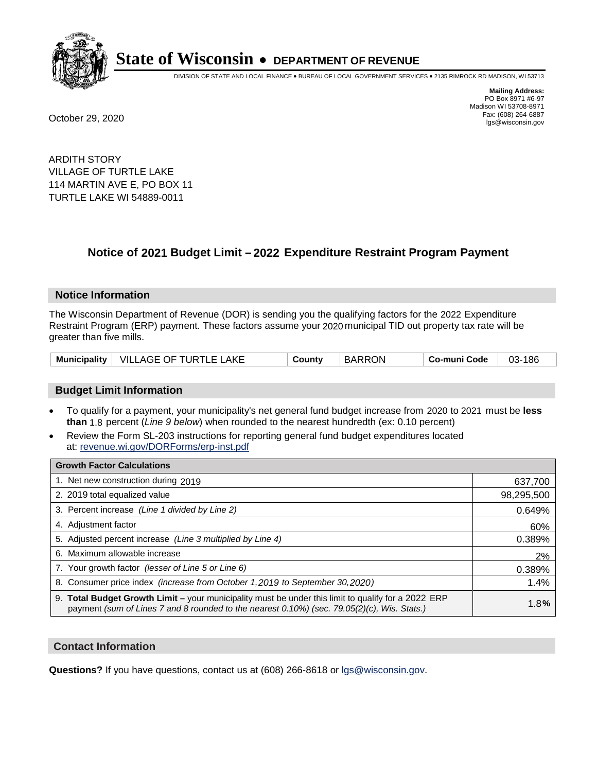

DIVISION OF STATE AND LOCAL FINANCE • BUREAU OF LOCAL GOVERNMENT SERVICES • 2135 RIMROCK RD MADISON, WI 53713

**Mailing Address:** PO Box 8971 #6-97 Madison WI 53708-8971<br>Fax: (608) 264-6887 Fax: (608) 264-6887 October 29, 2020 lgs@wisconsin.gov

ARDITH STORY VILLAGE OF TURTLE LAKE 114 MARTIN AVE E, PO BOX 11 TURTLE LAKE WI 54889-0011

# **Notice of 2021 Budget Limit - 2022 Expenditure Restraint Program Payment**

#### **Notice Information**

The Wisconsin Department of Revenue (DOR) is sending you the qualifying factors for the 2022 Expenditure Restraint Program (ERP) payment. These factors assume your 2020 municipal TID out property tax rate will be greater than five mills.

## **Budget Limit Information**

- To qualify for a payment, your municipality's net general fund budget increase from 2020 to 2021 must be less **than** 1.8 percent (*Line 9 below*) when rounded to the nearest hundredth (ex: 0.10 percent)
- Review the Form SL-203 instructions for reporting general fund budget expenditures located at: revenue.wi.gov/DORForms/erp-inst.pdf

| <b>Growth Factor Calculations</b>                                                                                                                                                                      |            |
|--------------------------------------------------------------------------------------------------------------------------------------------------------------------------------------------------------|------------|
| 1. Net new construction during 2019                                                                                                                                                                    | 637,700    |
| 2. 2019 total equalized value                                                                                                                                                                          | 98,295,500 |
| 3. Percent increase (Line 1 divided by Line 2)                                                                                                                                                         | 0.649%     |
| 4. Adiustment factor                                                                                                                                                                                   | 60%        |
| 5. Adjusted percent increase (Line 3 multiplied by Line 4)                                                                                                                                             | 0.389%     |
| 6. Maximum allowable increase                                                                                                                                                                          | 2%         |
| 7. Your growth factor (lesser of Line 5 or Line 6)                                                                                                                                                     | 0.389%     |
| 8. Consumer price index (increase from October 1,2019 to September 30,2020)                                                                                                                            | 1.4%       |
| 9. Total Budget Growth Limit - your municipality must be under this limit to qualify for a 2022 ERP<br>payment (sum of Lines 7 and 8 rounded to the nearest $0.10\%$ ) (sec. 79.05(2)(c), Wis. Stats.) | 1.8%       |

## **Contact Information**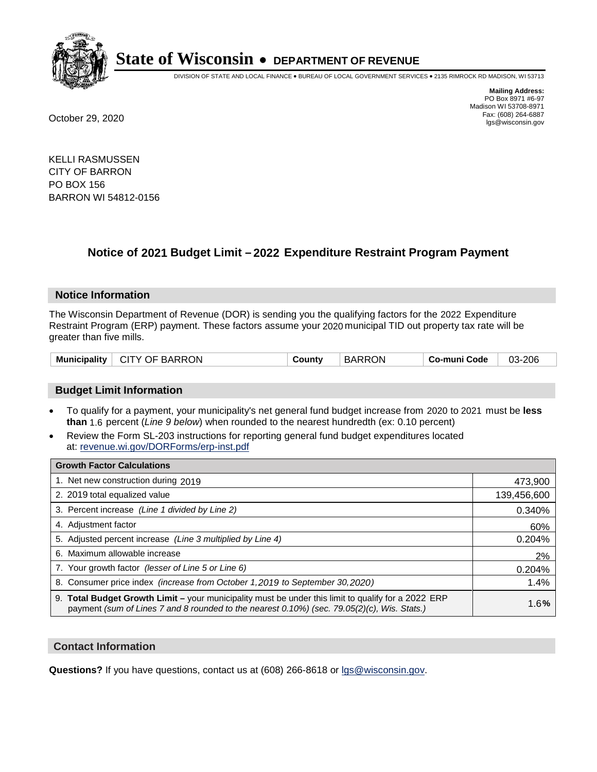

DIVISION OF STATE AND LOCAL FINANCE • BUREAU OF LOCAL GOVERNMENT SERVICES • 2135 RIMROCK RD MADISON, WI 53713

**Mailing Address:** PO Box 8971 #6-97 Madison WI 53708-8971<br>Fax: (608) 264-6887 Fax: (608) 264-6887 October 29, 2020 lgs@wisconsin.gov

KELLI RASMUSSEN CITY OF BARRON PO BOX 156 BARRON WI 54812-0156

# **Notice of 2021 Budget Limit - 2022 Expenditure Restraint Program Payment**

#### **Notice Information**

The Wisconsin Department of Revenue (DOR) is sending you the qualifying factors for the 2022 Expenditure Restraint Program (ERP) payment. These factors assume your 2020 municipal TID out property tax rate will be greater than five mills.

| Municipality   CITY OF BARRON | County | <b>BARRON</b> | Co-muni Code | 03-206 |
|-------------------------------|--------|---------------|--------------|--------|
|-------------------------------|--------|---------------|--------------|--------|

# **Budget Limit Information**

- To qualify for a payment, your municipality's net general fund budget increase from 2020 to 2021 must be less **than** 1.6 percent (*Line 9 below*) when rounded to the nearest hundredth (ex: 0.10 percent)
- Review the Form SL-203 instructions for reporting general fund budget expenditures located at: revenue.wi.gov/DORForms/erp-inst.pdf

| <b>Growth Factor Calculations</b>                                                                                                                                                                      |             |
|--------------------------------------------------------------------------------------------------------------------------------------------------------------------------------------------------------|-------------|
| 1. Net new construction during 2019                                                                                                                                                                    | 473,900     |
| 2. 2019 total equalized value                                                                                                                                                                          | 139,456,600 |
| 3. Percent increase (Line 1 divided by Line 2)                                                                                                                                                         | 0.340%      |
| 4. Adiustment factor                                                                                                                                                                                   | 60%         |
| 5. Adjusted percent increase (Line 3 multiplied by Line 4)                                                                                                                                             | 0.204%      |
| 6. Maximum allowable increase                                                                                                                                                                          | 2%          |
| 7. Your growth factor (lesser of Line 5 or Line 6)                                                                                                                                                     | 0.204%      |
| 8. Consumer price index (increase from October 1,2019 to September 30,2020)                                                                                                                            | 1.4%        |
| 9. Total Budget Growth Limit - your municipality must be under this limit to qualify for a 2022 ERP<br>payment (sum of Lines 7 and 8 rounded to the nearest $0.10\%$ ) (sec. 79.05(2)(c), Wis. Stats.) | 1.6%        |

## **Contact Information**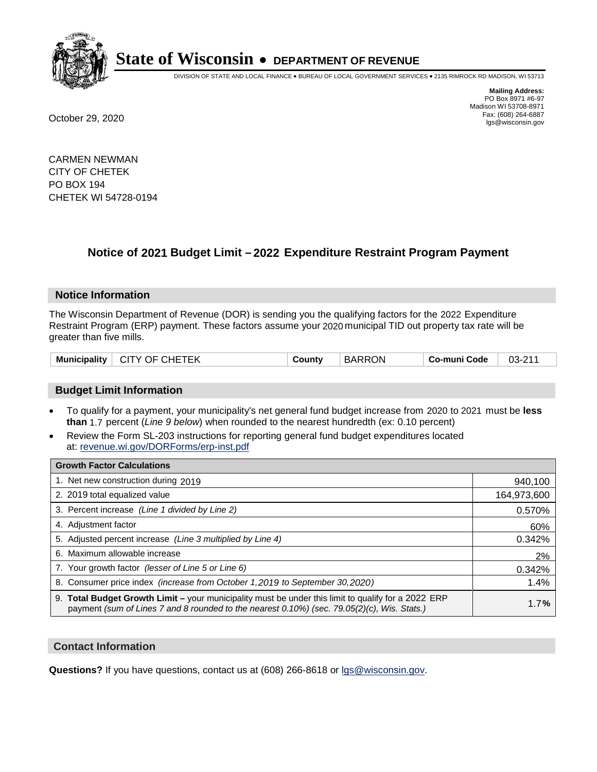

DIVISION OF STATE AND LOCAL FINANCE • BUREAU OF LOCAL GOVERNMENT SERVICES • 2135 RIMROCK RD MADISON, WI 53713

**Mailing Address:** PO Box 8971 #6-97 Madison WI 53708-8971<br>Fax: (608) 264-6887 Fax: (608) 264-6887 October 29, 2020 lgs@wisconsin.gov

CARMEN NEWMAN CITY OF CHETEK PO BOX 194 CHETEK WI 54728-0194

# **Notice of 2021 Budget Limit - 2022 Expenditure Restraint Program Payment**

## **Notice Information**

The Wisconsin Department of Revenue (DOR) is sending you the qualifying factors for the 2022 Expenditure Restraint Program (ERP) payment. These factors assume your 2020 municipal TID out property tax rate will be greater than five mills.

| <b>CITY OF CHETEK</b><br>Municipality | County | <b>BARRON</b> | Co-muni Code | $03 - 211$ |
|---------------------------------------|--------|---------------|--------------|------------|
|---------------------------------------|--------|---------------|--------------|------------|

# **Budget Limit Information**

- To qualify for a payment, your municipality's net general fund budget increase from 2020 to 2021 must be less **than** 1.7 percent (*Line 9 below*) when rounded to the nearest hundredth (ex: 0.10 percent)
- Review the Form SL-203 instructions for reporting general fund budget expenditures located at: revenue.wi.gov/DORForms/erp-inst.pdf

| <b>Growth Factor Calculations</b>                                                                                                                                                                      |             |
|--------------------------------------------------------------------------------------------------------------------------------------------------------------------------------------------------------|-------------|
| 1. Net new construction during 2019                                                                                                                                                                    | 940,100     |
| 2. 2019 total equalized value                                                                                                                                                                          | 164,973,600 |
| 3. Percent increase (Line 1 divided by Line 2)                                                                                                                                                         | 0.570%      |
| 4. Adjustment factor                                                                                                                                                                                   | 60%         |
| 5. Adjusted percent increase (Line 3 multiplied by Line 4)                                                                                                                                             | 0.342%      |
| 6. Maximum allowable increase                                                                                                                                                                          | 2%          |
| 7. Your growth factor (lesser of Line 5 or Line 6)                                                                                                                                                     | 0.342%      |
| 8. Consumer price index (increase from October 1, 2019 to September 30, 2020)                                                                                                                          | 1.4%        |
| 9. Total Budget Growth Limit - your municipality must be under this limit to qualify for a 2022 ERP<br>payment (sum of Lines 7 and 8 rounded to the nearest $0.10\%$ ) (sec. 79.05(2)(c), Wis. Stats.) | 1.7%        |

## **Contact Information**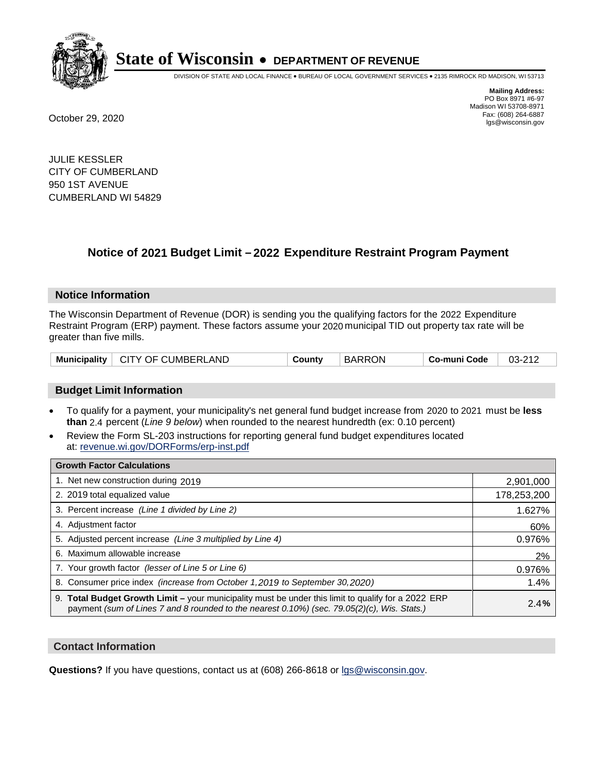

DIVISION OF STATE AND LOCAL FINANCE • BUREAU OF LOCAL GOVERNMENT SERVICES • 2135 RIMROCK RD MADISON, WI 53713

**Mailing Address:** PO Box 8971 #6-97 Madison WI 53708-8971<br>Fax: (608) 264-6887 Fax: (608) 264-6887 October 29, 2020 lgs@wisconsin.gov

JULIE KESSLER CITY OF CUMBERLAND 950 1ST AVENUE CUMBERLAND WI 54829

# **Notice of 2021 Budget Limit - 2022 Expenditure Restraint Program Payment**

#### **Notice Information**

The Wisconsin Department of Revenue (DOR) is sending you the qualifying factors for the 2022 Expenditure Restraint Program (ERP) payment. These factors assume your 2020 municipal TID out property tax rate will be greater than five mills.

| <b>Municipality</b> | CITY OF CUMBERLAND | County | <b>BARRON</b> | Co-muni Code | 03-212 |
|---------------------|--------------------|--------|---------------|--------------|--------|
|---------------------|--------------------|--------|---------------|--------------|--------|

# **Budget Limit Information**

- To qualify for a payment, your municipality's net general fund budget increase from 2020 to 2021 must be less **than** 2.4 percent (*Line 9 below*) when rounded to the nearest hundredth (ex: 0.10 percent)
- Review the Form SL-203 instructions for reporting general fund budget expenditures located at: revenue.wi.gov/DORForms/erp-inst.pdf

| <b>Growth Factor Calculations</b>                                                                                                                                                                      |             |
|--------------------------------------------------------------------------------------------------------------------------------------------------------------------------------------------------------|-------------|
| 1. Net new construction during 2019                                                                                                                                                                    | 2,901,000   |
| 2. 2019 total equalized value                                                                                                                                                                          | 178,253,200 |
| 3. Percent increase (Line 1 divided by Line 2)                                                                                                                                                         | 1.627%      |
| 4. Adjustment factor                                                                                                                                                                                   | 60%         |
| 5. Adjusted percent increase (Line 3 multiplied by Line 4)                                                                                                                                             | 0.976%      |
| 6. Maximum allowable increase                                                                                                                                                                          | 2%          |
| 7. Your growth factor (lesser of Line 5 or Line 6)                                                                                                                                                     | 0.976%      |
| 8. Consumer price index (increase from October 1, 2019 to September 30, 2020)                                                                                                                          | 1.4%        |
| 9. Total Budget Growth Limit - your municipality must be under this limit to qualify for a 2022 ERP<br>payment (sum of Lines 7 and 8 rounded to the nearest $0.10\%$ ) (sec. 79.05(2)(c), Wis. Stats.) | 2.4%        |

## **Contact Information**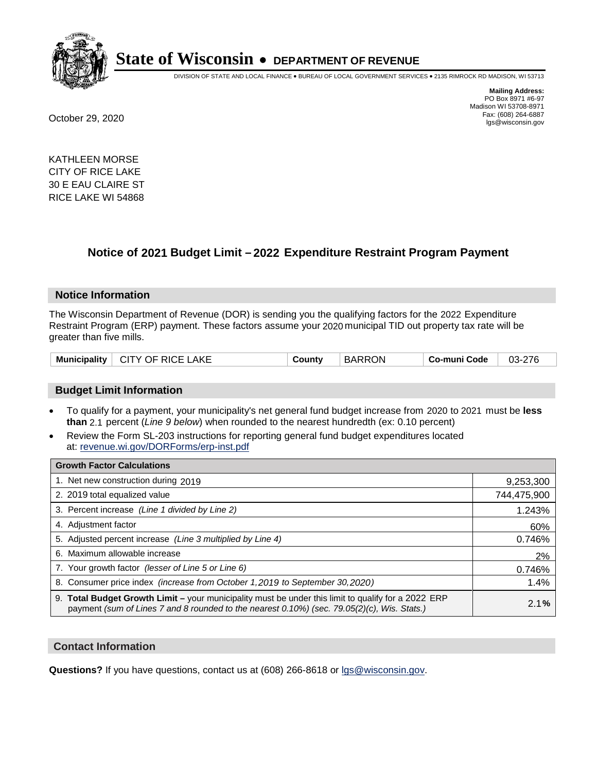

DIVISION OF STATE AND LOCAL FINANCE • BUREAU OF LOCAL GOVERNMENT SERVICES • 2135 RIMROCK RD MADISON, WI 53713

**Mailing Address:** PO Box 8971 #6-97 Madison WI 53708-8971<br>Fax: (608) 264-6887 Fax: (608) 264-6887 October 29, 2020 lgs@wisconsin.gov

KATHLEEN MORSE CITY OF RICE LAKE 30 E EAU CLAIRE ST RICE LAKE WI 54868

# **Notice of 2021 Budget Limit - 2022 Expenditure Restraint Program Payment**

## **Notice Information**

The Wisconsin Department of Revenue (DOR) is sending you the qualifying factors for the 2022 Expenditure Restraint Program (ERP) payment. These factors assume your 2020 municipal TID out property tax rate will be greater than five mills.

| Municipality   CITY OF RICE LAKE | County | <b>BARRON</b> | Co-muni Code | 03-276 |
|----------------------------------|--------|---------------|--------------|--------|
|----------------------------------|--------|---------------|--------------|--------|

# **Budget Limit Information**

- To qualify for a payment, your municipality's net general fund budget increase from 2020 to 2021 must be less **than** 2.1 percent (*Line 9 below*) when rounded to the nearest hundredth (ex: 0.10 percent)
- Review the Form SL-203 instructions for reporting general fund budget expenditures located at: revenue.wi.gov/DORForms/erp-inst.pdf

| <b>Growth Factor Calculations</b>                                                                                                                                                                      |             |
|--------------------------------------------------------------------------------------------------------------------------------------------------------------------------------------------------------|-------------|
| 1. Net new construction during 2019                                                                                                                                                                    | 9,253,300   |
| 2. 2019 total equalized value                                                                                                                                                                          | 744,475,900 |
| 3. Percent increase (Line 1 divided by Line 2)                                                                                                                                                         | 1.243%      |
| 4. Adiustment factor                                                                                                                                                                                   | 60%         |
| 5. Adjusted percent increase (Line 3 multiplied by Line 4)                                                                                                                                             | 0.746%      |
| 6. Maximum allowable increase                                                                                                                                                                          | 2%          |
| 7. Your growth factor (lesser of Line 5 or Line 6)                                                                                                                                                     | 0.746%      |
| 8. Consumer price index (increase from October 1,2019 to September 30,2020)                                                                                                                            | 1.4%        |
| 9. Total Budget Growth Limit - your municipality must be under this limit to qualify for a 2022 ERP<br>payment (sum of Lines 7 and 8 rounded to the nearest $0.10\%$ ) (sec. 79.05(2)(c), Wis. Stats.) | 2.1%        |

## **Contact Information**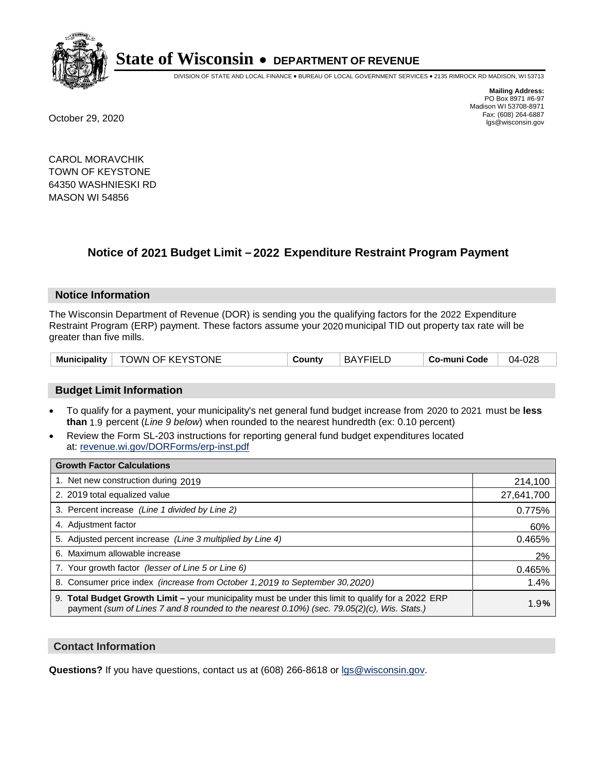

DIVISION OF STATE AND LOCAL FINANCE • BUREAU OF LOCAL GOVERNMENT SERVICES • 2135 RIMROCK RD MADISON, WI 53713

**Mailing Address:** PO Box 8971 #6-97 Madison WI 53708-8971<br>Fax: (608) 264-6887 Fax: (608) 264-6887 October 29, 2020 lgs@wisconsin.gov

CAROL MORAVCHIK TOWN OF KEYSTONE 64350 WASHNIESKI RD MASON WI 54856

# **Notice of 2021 Budget Limit - 2022 Expenditure Restraint Program Payment**

## **Notice Information**

The Wisconsin Department of Revenue (DOR) is sending you the qualifying factors for the 2022 Expenditure Restraint Program (ERP) payment. These factors assume your 2020 municipal TID out property tax rate will be greater than five mills.

| <b>Municipality</b> | TOWN OF KEYSTONE | County | <b>BAYFIELD</b> | Co-muni Code | 04-028 |
|---------------------|------------------|--------|-----------------|--------------|--------|
|---------------------|------------------|--------|-----------------|--------------|--------|

# **Budget Limit Information**

- To qualify for a payment, your municipality's net general fund budget increase from 2020 to 2021 must be less **than** 1.9 percent (*Line 9 below*) when rounded to the nearest hundredth (ex: 0.10 percent)
- Review the Form SL-203 instructions for reporting general fund budget expenditures located at: revenue.wi.gov/DORForms/erp-inst.pdf

| <b>Growth Factor Calculations</b>                                                                                                                                                                      |            |
|--------------------------------------------------------------------------------------------------------------------------------------------------------------------------------------------------------|------------|
| 1. Net new construction during 2019                                                                                                                                                                    | 214,100    |
| 2. 2019 total equalized value                                                                                                                                                                          | 27,641,700 |
| 3. Percent increase (Line 1 divided by Line 2)                                                                                                                                                         | 0.775%     |
| 4. Adjustment factor                                                                                                                                                                                   | 60%        |
| 5. Adjusted percent increase (Line 3 multiplied by Line 4)                                                                                                                                             | 0.465%     |
| 6. Maximum allowable increase                                                                                                                                                                          | 2%         |
| 7. Your growth factor (lesser of Line 5 or Line 6)                                                                                                                                                     | 0.465%     |
| 8. Consumer price index (increase from October 1, 2019 to September 30, 2020)                                                                                                                          | 1.4%       |
| 9. Total Budget Growth Limit - your municipality must be under this limit to qualify for a 2022 ERP<br>payment (sum of Lines 7 and 8 rounded to the nearest $0.10\%$ ) (sec. 79.05(2)(c), Wis. Stats.) | 1.9%       |

## **Contact Information**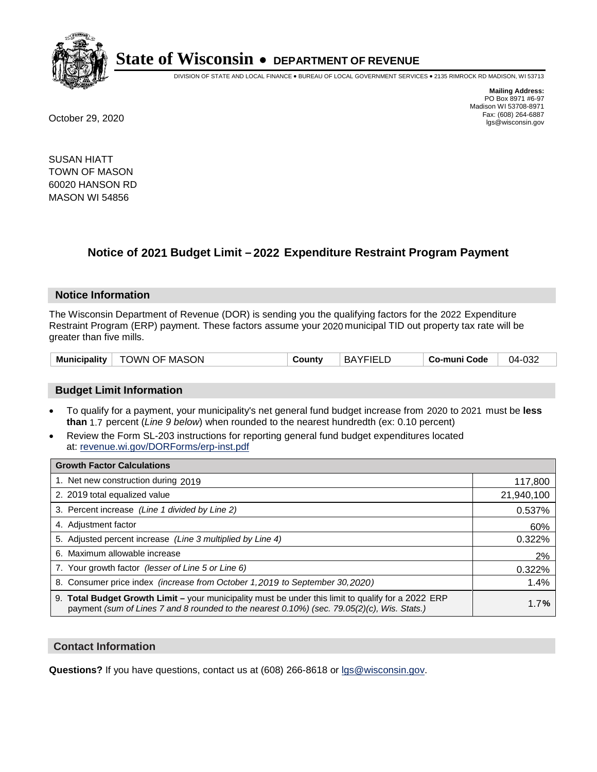

DIVISION OF STATE AND LOCAL FINANCE • BUREAU OF LOCAL GOVERNMENT SERVICES • 2135 RIMROCK RD MADISON, WI 53713

**Mailing Address:** PO Box 8971 #6-97 Madison WI 53708-8971<br>Fax: (608) 264-6887 Fax: (608) 264-6887 October 29, 2020 lgs@wisconsin.gov

SUSAN HIATT TOWN OF MASON 60020 HANSON RD MASON WI 54856

# **Notice of 2021 Budget Limit - 2022 Expenditure Restraint Program Payment**

## **Notice Information**

The Wisconsin Department of Revenue (DOR) is sending you the qualifying factors for the 2022 Expenditure Restraint Program (ERP) payment. These factors assume your 2020 municipal TID out property tax rate will be greater than five mills.

# **Budget Limit Information**

- To qualify for a payment, your municipality's net general fund budget increase from 2020 to 2021 must be less **than** 1.7 percent (*Line 9 below*) when rounded to the nearest hundredth (ex: 0.10 percent)
- Review the Form SL-203 instructions for reporting general fund budget expenditures located at: revenue.wi.gov/DORForms/erp-inst.pdf

| <b>Growth Factor Calculations</b>                                                                                                                                                                      |            |
|--------------------------------------------------------------------------------------------------------------------------------------------------------------------------------------------------------|------------|
| 1. Net new construction during 2019                                                                                                                                                                    | 117,800    |
| 2. 2019 total equalized value                                                                                                                                                                          | 21,940,100 |
| 3. Percent increase (Line 1 divided by Line 2)                                                                                                                                                         | 0.537%     |
| 4. Adjustment factor                                                                                                                                                                                   | 60%        |
| 5. Adjusted percent increase (Line 3 multiplied by Line 4)                                                                                                                                             | 0.322%     |
| 6. Maximum allowable increase                                                                                                                                                                          | 2%         |
| 7. Your growth factor (lesser of Line 5 or Line 6)                                                                                                                                                     | 0.322%     |
| 8. Consumer price index (increase from October 1, 2019 to September 30, 2020)                                                                                                                          | 1.4%       |
| 9. Total Budget Growth Limit - your municipality must be under this limit to qualify for a 2022 ERP<br>payment (sum of Lines 7 and 8 rounded to the nearest $0.10\%$ ) (sec. 79.05(2)(c), Wis. Stats.) | 1.7%       |

## **Contact Information**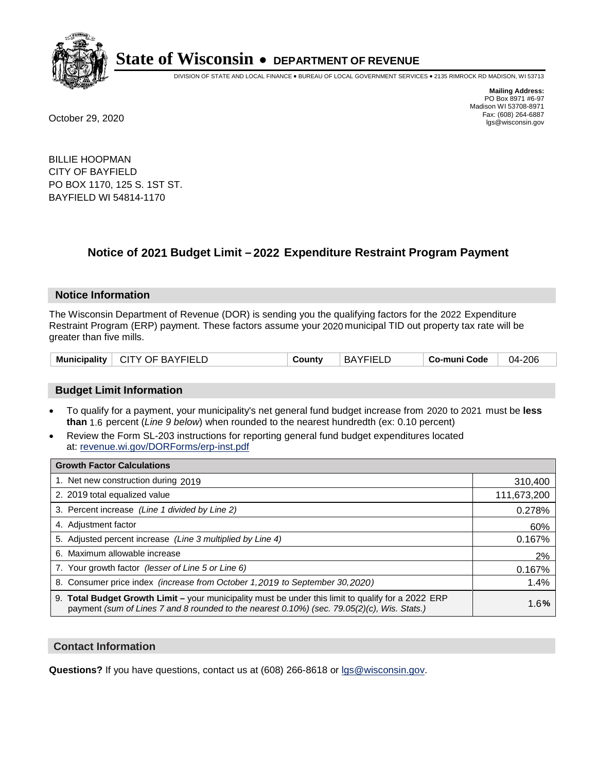

DIVISION OF STATE AND LOCAL FINANCE • BUREAU OF LOCAL GOVERNMENT SERVICES • 2135 RIMROCK RD MADISON, WI 53713

**Mailing Address:** PO Box 8971 #6-97 Madison WI 53708-8971<br>Fax: (608) 264-6887 Fax: (608) 264-6887 October 29, 2020 lgs@wisconsin.gov

BILLIE HOOPMAN CITY OF BAYFIELD PO BOX 1170, 125 S. 1ST ST. BAYFIELD WI 54814-1170

# **Notice of 2021 Budget Limit - 2022 Expenditure Restraint Program Payment**

## **Notice Information**

The Wisconsin Department of Revenue (DOR) is sending you the qualifying factors for the 2022 Expenditure Restraint Program (ERP) payment. These factors assume your 2020 municipal TID out property tax rate will be greater than five mills.

| Municipality<br><b>CITY OF BAYFIELD</b> | County | <b>BAYFIELD</b> | Co-muni Code | $-206$<br>04-i |
|-----------------------------------------|--------|-----------------|--------------|----------------|
|-----------------------------------------|--------|-----------------|--------------|----------------|

# **Budget Limit Information**

- To qualify for a payment, your municipality's net general fund budget increase from 2020 to 2021 must be less **than** 1.6 percent (*Line 9 below*) when rounded to the nearest hundredth (ex: 0.10 percent)
- Review the Form SL-203 instructions for reporting general fund budget expenditures located at: revenue.wi.gov/DORForms/erp-inst.pdf

| <b>Growth Factor Calculations</b>                                                                                                                                                                      |             |
|--------------------------------------------------------------------------------------------------------------------------------------------------------------------------------------------------------|-------------|
| 1. Net new construction during 2019                                                                                                                                                                    | 310,400     |
| 2. 2019 total equalized value                                                                                                                                                                          | 111,673,200 |
| 3. Percent increase (Line 1 divided by Line 2)                                                                                                                                                         | 0.278%      |
| 4. Adjustment factor                                                                                                                                                                                   | 60%         |
| 5. Adjusted percent increase (Line 3 multiplied by Line 4)                                                                                                                                             | 0.167%      |
| 6. Maximum allowable increase                                                                                                                                                                          | 2%          |
| 7. Your growth factor (lesser of Line 5 or Line 6)                                                                                                                                                     | 0.167%      |
| 8. Consumer price index (increase from October 1, 2019 to September 30, 2020)                                                                                                                          | 1.4%        |
| 9. Total Budget Growth Limit - your municipality must be under this limit to qualify for a 2022 ERP<br>payment (sum of Lines 7 and 8 rounded to the nearest $0.10\%$ ) (sec. 79.05(2)(c), Wis. Stats.) | 1.6%        |

## **Contact Information**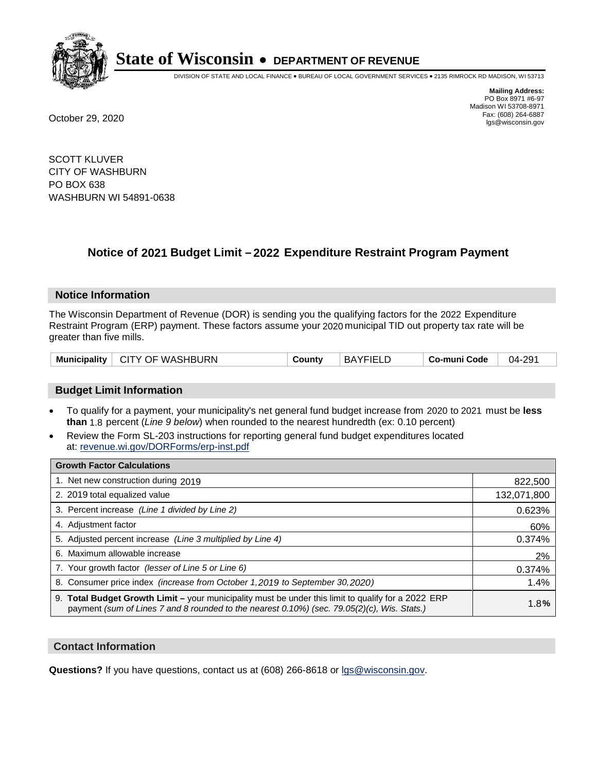

DIVISION OF STATE AND LOCAL FINANCE • BUREAU OF LOCAL GOVERNMENT SERVICES • 2135 RIMROCK RD MADISON, WI 53713

**Mailing Address:** PO Box 8971 #6-97 Madison WI 53708-8971<br>Fax: (608) 264-6887 Fax: (608) 264-6887 October 29, 2020 lgs@wisconsin.gov

SCOTT KLUVER CITY OF WASHBURN PO BOX 638 WASHBURN WI 54891-0638

# **Notice of 2021 Budget Limit - 2022 Expenditure Restraint Program Payment**

## **Notice Information**

The Wisconsin Department of Revenue (DOR) is sending you the qualifying factors for the 2022 Expenditure Restraint Program (ERP) payment. These factors assume your 2020 municipal TID out property tax rate will be greater than five mills.

| <b>Municipality</b> | <b>□ CITY OF WASHBURN</b> | County | <b>BAYFIELD</b> | Co-muni Code | 04-291 |
|---------------------|---------------------------|--------|-----------------|--------------|--------|
|---------------------|---------------------------|--------|-----------------|--------------|--------|

# **Budget Limit Information**

- To qualify for a payment, your municipality's net general fund budget increase from 2020 to 2021 must be less **than** 1.8 percent (*Line 9 below*) when rounded to the nearest hundredth (ex: 0.10 percent)
- Review the Form SL-203 instructions for reporting general fund budget expenditures located at: revenue.wi.gov/DORForms/erp-inst.pdf

| <b>Growth Factor Calculations</b>                                                                                                                                                                      |             |
|--------------------------------------------------------------------------------------------------------------------------------------------------------------------------------------------------------|-------------|
| 1. Net new construction during 2019                                                                                                                                                                    | 822,500     |
| 2. 2019 total equalized value                                                                                                                                                                          | 132,071,800 |
| 3. Percent increase (Line 1 divided by Line 2)                                                                                                                                                         | 0.623%      |
| 4. Adjustment factor                                                                                                                                                                                   | 60%         |
| 5. Adjusted percent increase (Line 3 multiplied by Line 4)                                                                                                                                             | 0.374%      |
| 6. Maximum allowable increase                                                                                                                                                                          | 2%          |
| 7. Your growth factor (lesser of Line 5 or Line 6)                                                                                                                                                     | 0.374%      |
| 8. Consumer price index (increase from October 1, 2019 to September 30, 2020)                                                                                                                          | 1.4%        |
| 9. Total Budget Growth Limit - your municipality must be under this limit to qualify for a 2022 ERP<br>payment (sum of Lines 7 and 8 rounded to the nearest $0.10\%$ ) (sec. 79.05(2)(c), Wis. Stats.) | 1.8%        |

## **Contact Information**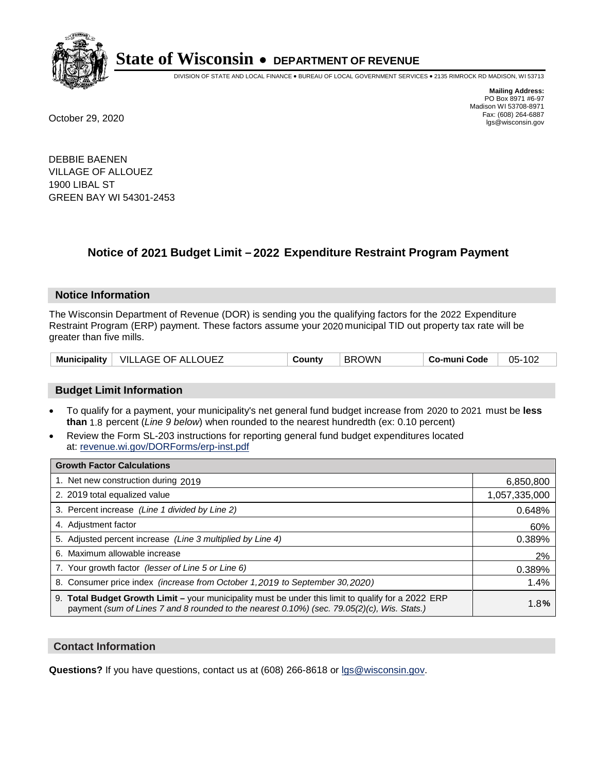

DIVISION OF STATE AND LOCAL FINANCE • BUREAU OF LOCAL GOVERNMENT SERVICES • 2135 RIMROCK RD MADISON, WI 53713

**Mailing Address:** PO Box 8971 #6-97 Madison WI 53708-8971<br>Fax: (608) 264-6887 Fax: (608) 264-6887 October 29, 2020 lgs@wisconsin.gov

DEBBIE BAENEN VILLAGE OF ALLOUEZ 1900 LIBAL ST GREEN BAY WI 54301-2453

# **Notice of 2021 Budget Limit - 2022 Expenditure Restraint Program Payment**

#### **Notice Information**

The Wisconsin Department of Revenue (DOR) is sending you the qualifying factors for the 2022 Expenditure Restraint Program (ERP) payment. These factors assume your 2020 municipal TID out property tax rate will be greater than five mills.

| VILLAGE OF ALLOUEZ<br><b>Municipality</b> | County | <b>BROWN</b> | Co-muni Code | 05-102 |
|-------------------------------------------|--------|--------------|--------------|--------|
|-------------------------------------------|--------|--------------|--------------|--------|

# **Budget Limit Information**

- To qualify for a payment, your municipality's net general fund budget increase from 2020 to 2021 must be less **than** 1.8 percent (*Line 9 below*) when rounded to the nearest hundredth (ex: 0.10 percent)
- Review the Form SL-203 instructions for reporting general fund budget expenditures located at: revenue.wi.gov/DORForms/erp-inst.pdf

| <b>Growth Factor Calculations</b>                                                                                                                                                                  |               |
|----------------------------------------------------------------------------------------------------------------------------------------------------------------------------------------------------|---------------|
| 1. Net new construction during 2019                                                                                                                                                                | 6,850,800     |
| 2. 2019 total equalized value                                                                                                                                                                      | 1,057,335,000 |
| 3. Percent increase (Line 1 divided by Line 2)                                                                                                                                                     | 0.648%        |
| 4. Adjustment factor                                                                                                                                                                               | 60%           |
| 5. Adjusted percent increase (Line 3 multiplied by Line 4)                                                                                                                                         | 0.389%        |
| Maximum allowable increase<br>6.                                                                                                                                                                   | 2%            |
| 7. Your growth factor (lesser of Line 5 or Line 6)                                                                                                                                                 | 0.389%        |
| 8. Consumer price index (increase from October 1, 2019 to September 30, 2020)                                                                                                                      | 1.4%          |
| 9. Total Budget Growth Limit - your municipality must be under this limit to qualify for a 2022 ERP<br>payment (sum of Lines 7 and 8 rounded to the nearest 0.10%) (sec. 79.05(2)(c), Wis. Stats.) | 1.8%          |

## **Contact Information**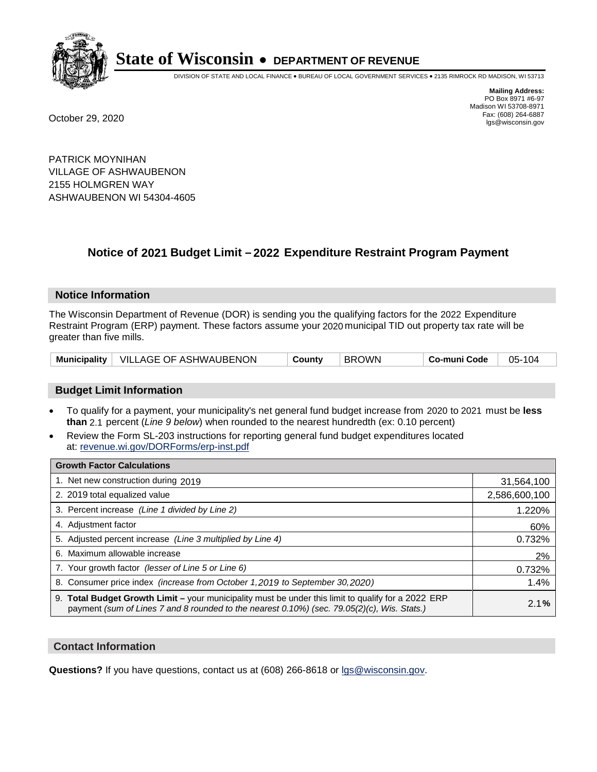

DIVISION OF STATE AND LOCAL FINANCE • BUREAU OF LOCAL GOVERNMENT SERVICES • 2135 RIMROCK RD MADISON, WI 53713

**Mailing Address:** PO Box 8971 #6-97 Madison WI 53708-8971<br>Fax: (608) 264-6887 Fax: (608) 264-6887 October 29, 2020 lgs@wisconsin.gov

PATRICK MOYNIHAN VILLAGE OF ASHWAUBENON 2155 HOLMGREN WAY ASHWAUBENON WI 54304-4605

# **Notice of 2021 Budget Limit - 2022 Expenditure Restraint Program Payment**

#### **Notice Information**

The Wisconsin Department of Revenue (DOR) is sending you the qualifying factors for the 2022 Expenditure Restraint Program (ERP) payment. These factors assume your 2020 municipal TID out property tax rate will be greater than five mills.

|  | Municipality   VILLAGE OF ASHWAUBENON | County | <b>BROWN</b> | Co-muni Code | 05-104 |
|--|---------------------------------------|--------|--------------|--------------|--------|
|--|---------------------------------------|--------|--------------|--------------|--------|

# **Budget Limit Information**

- To qualify for a payment, your municipality's net general fund budget increase from 2020 to 2021 must be less **than** 2.1 percent (*Line 9 below*) when rounded to the nearest hundredth (ex: 0.10 percent)
- Review the Form SL-203 instructions for reporting general fund budget expenditures located at: revenue.wi.gov/DORForms/erp-inst.pdf

| <b>Growth Factor Calculations</b>                                                                                                                                                                      |               |
|--------------------------------------------------------------------------------------------------------------------------------------------------------------------------------------------------------|---------------|
| 1. Net new construction during 2019                                                                                                                                                                    | 31,564,100    |
| 2. 2019 total equalized value                                                                                                                                                                          | 2,586,600,100 |
| 3. Percent increase (Line 1 divided by Line 2)                                                                                                                                                         | 1.220%        |
| 4. Adjustment factor                                                                                                                                                                                   | 60%           |
| 5. Adjusted percent increase (Line 3 multiplied by Line 4)                                                                                                                                             | 0.732%        |
| 6. Maximum allowable increase                                                                                                                                                                          | 2%            |
| 7. Your growth factor (lesser of Line 5 or Line 6)                                                                                                                                                     | 0.732%        |
| 8. Consumer price index (increase from October 1,2019 to September 30,2020)                                                                                                                            | 1.4%          |
| 9. Total Budget Growth Limit - your municipality must be under this limit to qualify for a 2022 ERP<br>payment (sum of Lines 7 and 8 rounded to the nearest $0.10\%$ ) (sec. 79.05(2)(c), Wis. Stats.) | 2.1%          |

## **Contact Information**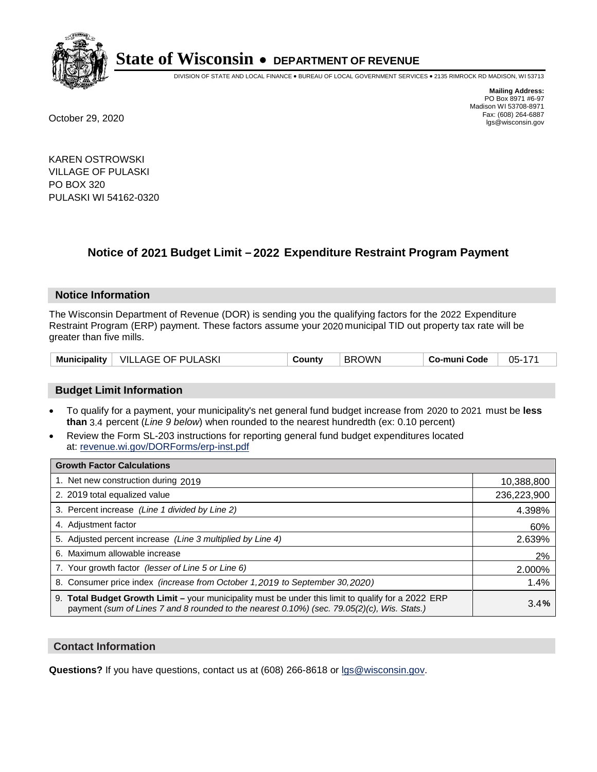

DIVISION OF STATE AND LOCAL FINANCE • BUREAU OF LOCAL GOVERNMENT SERVICES • 2135 RIMROCK RD MADISON, WI 53713

**Mailing Address:** PO Box 8971 #6-97 Madison WI 53708-8971<br>Fax: (608) 264-6887 Fax: (608) 264-6887 October 29, 2020 lgs@wisconsin.gov

KAREN OSTROWSKI VILLAGE OF PULASKI PO BOX 320 PULASKI WI 54162-0320

# **Notice of 2021 Budget Limit - 2022 Expenditure Restraint Program Payment**

## **Notice Information**

The Wisconsin Department of Revenue (DOR) is sending you the qualifying factors for the 2022 Expenditure Restraint Program (ERP) payment. These factors assume your 2020 municipal TID out property tax rate will be greater than five mills.

| <b>Municipality</b> | VILLAGE OF PULASKI | County | <b>BROWN</b> | Co-muni Code | 05-171 |
|---------------------|--------------------|--------|--------------|--------------|--------|
|---------------------|--------------------|--------|--------------|--------------|--------|

# **Budget Limit Information**

- To qualify for a payment, your municipality's net general fund budget increase from 2020 to 2021 must be less **than** 3.4 percent (*Line 9 below*) when rounded to the nearest hundredth (ex: 0.10 percent)
- Review the Form SL-203 instructions for reporting general fund budget expenditures located at: revenue.wi.gov/DORForms/erp-inst.pdf

| <b>Growth Factor Calculations</b>                                                                                                                                                                  |             |
|----------------------------------------------------------------------------------------------------------------------------------------------------------------------------------------------------|-------------|
| 1. Net new construction during 2019                                                                                                                                                                | 10,388,800  |
| 2. 2019 total equalized value                                                                                                                                                                      | 236,223,900 |
| 3. Percent increase (Line 1 divided by Line 2)                                                                                                                                                     | 4.398%      |
| 4. Adjustment factor                                                                                                                                                                               | 60%         |
| 5. Adjusted percent increase (Line 3 multiplied by Line 4)                                                                                                                                         | 2.639%      |
| 6. Maximum allowable increase                                                                                                                                                                      | 2%          |
| 7. Your growth factor (lesser of Line 5 or Line 6)                                                                                                                                                 | 2.000%      |
| 8. Consumer price index (increase from October 1, 2019 to September 30, 2020)                                                                                                                      | 1.4%        |
| 9. Total Budget Growth Limit - your municipality must be under this limit to qualify for a 2022 ERP<br>payment (sum of Lines 7 and 8 rounded to the nearest 0.10%) (sec. 79.05(2)(c), Wis. Stats.) | 3.4%        |

## **Contact Information**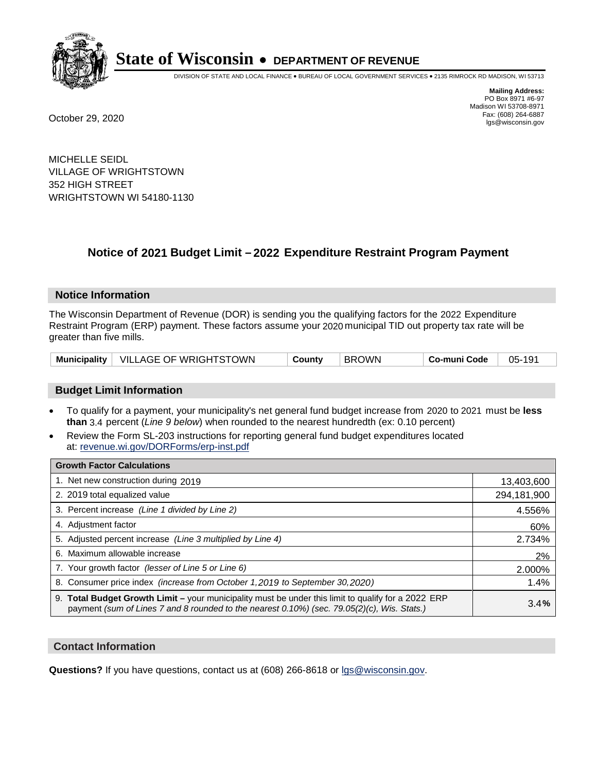

DIVISION OF STATE AND LOCAL FINANCE • BUREAU OF LOCAL GOVERNMENT SERVICES • 2135 RIMROCK RD MADISON, WI 53713

**Mailing Address:** PO Box 8971 #6-97 Madison WI 53708-8971<br>Fax: (608) 264-6887 Fax: (608) 264-6887 October 29, 2020 lgs@wisconsin.gov

MICHELLE SEIDL VILLAGE OF WRIGHTSTOWN 352 HIGH STREET WRIGHTSTOWN WI 54180-1130

# **Notice of 2021 Budget Limit - 2022 Expenditure Restraint Program Payment**

## **Notice Information**

The Wisconsin Department of Revenue (DOR) is sending you the qualifying factors for the 2022 Expenditure Restraint Program (ERP) payment. These factors assume your 2020 municipal TID out property tax rate will be greater than five mills.

|  | Municipality   VILLAGE OF WRIGHTSTOWN | County | <b>BROWN</b> | Co-muni Code | 05-191 |
|--|---------------------------------------|--------|--------------|--------------|--------|
|--|---------------------------------------|--------|--------------|--------------|--------|

# **Budget Limit Information**

- To qualify for a payment, your municipality's net general fund budget increase from 2020 to 2021 must be less **than** 3.4 percent (*Line 9 below*) when rounded to the nearest hundredth (ex: 0.10 percent)
- Review the Form SL-203 instructions for reporting general fund budget expenditures located at: revenue.wi.gov/DORForms/erp-inst.pdf

| <b>Growth Factor Calculations</b>                                                                                                                                                                  |             |
|----------------------------------------------------------------------------------------------------------------------------------------------------------------------------------------------------|-------------|
| 1. Net new construction during 2019                                                                                                                                                                | 13,403,600  |
| 2. 2019 total equalized value                                                                                                                                                                      | 294,181,900 |
| 3. Percent increase (Line 1 divided by Line 2)                                                                                                                                                     | 4.556%      |
| 4. Adjustment factor                                                                                                                                                                               | 60%         |
| 5. Adjusted percent increase (Line 3 multiplied by Line 4)                                                                                                                                         | 2.734%      |
| 6. Maximum allowable increase                                                                                                                                                                      | 2%          |
| 7. Your growth factor (lesser of Line 5 or Line 6)                                                                                                                                                 | 2.000%      |
| 8. Consumer price index (increase from October 1,2019 to September 30,2020)                                                                                                                        | 1.4%        |
| 9. Total Budget Growth Limit - your municipality must be under this limit to qualify for a 2022 ERP<br>payment (sum of Lines 7 and 8 rounded to the nearest 0.10%) (sec. 79.05(2)(c), Wis. Stats.) | 3.4%        |

## **Contact Information**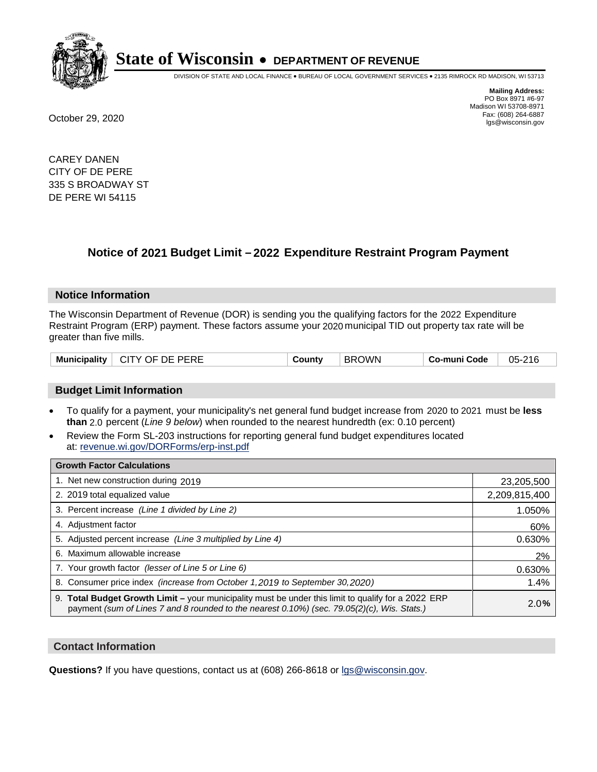

DIVISION OF STATE AND LOCAL FINANCE • BUREAU OF LOCAL GOVERNMENT SERVICES • 2135 RIMROCK RD MADISON, WI 53713

**Mailing Address:** PO Box 8971 #6-97 Madison WI 53708-8971<br>Fax: (608) 264-6887 Fax: (608) 264-6887 October 29, 2020 lgs@wisconsin.gov

CAREY DANEN CITY OF DE PERE 335 S BROADWAY ST DE PERE WI 54115

# **Notice of 2021 Budget Limit - 2022 Expenditure Restraint Program Payment**

## **Notice Information**

The Wisconsin Department of Revenue (DOR) is sending you the qualifying factors for the 2022 Expenditure Restraint Program (ERP) payment. These factors assume your 2020 municipal TID out property tax rate will be greater than five mills.

| Municipality | CITY OF DE PERE | County | <b>BROWN</b> | Co-muni Code | 05-216 |
|--------------|-----------------|--------|--------------|--------------|--------|
|--------------|-----------------|--------|--------------|--------------|--------|

# **Budget Limit Information**

- To qualify for a payment, your municipality's net general fund budget increase from 2020 to 2021 must be less **than** 2.0 percent (*Line 9 below*) when rounded to the nearest hundredth (ex: 0.10 percent)
- Review the Form SL-203 instructions for reporting general fund budget expenditures located at: revenue.wi.gov/DORForms/erp-inst.pdf

| <b>Growth Factor Calculations</b>                                                                                                                                                                  |               |
|----------------------------------------------------------------------------------------------------------------------------------------------------------------------------------------------------|---------------|
| 1. Net new construction during 2019                                                                                                                                                                | 23,205,500    |
| 2. 2019 total equalized value                                                                                                                                                                      | 2,209,815,400 |
| 3. Percent increase (Line 1 divided by Line 2)                                                                                                                                                     | 1.050%        |
| 4. Adjustment factor                                                                                                                                                                               | 60%           |
| 5. Adjusted percent increase (Line 3 multiplied by Line 4)                                                                                                                                         | 0.630%        |
| 6. Maximum allowable increase                                                                                                                                                                      | 2%            |
| 7. Your growth factor (lesser of Line 5 or Line 6)                                                                                                                                                 | 0.630%        |
| 8. Consumer price index (increase from October 1,2019 to September 30,2020)                                                                                                                        | 1.4%          |
| 9. Total Budget Growth Limit - your municipality must be under this limit to qualify for a 2022 ERP<br>payment (sum of Lines 7 and 8 rounded to the nearest 0.10%) (sec. 79.05(2)(c), Wis. Stats.) | 2.0%          |

## **Contact Information**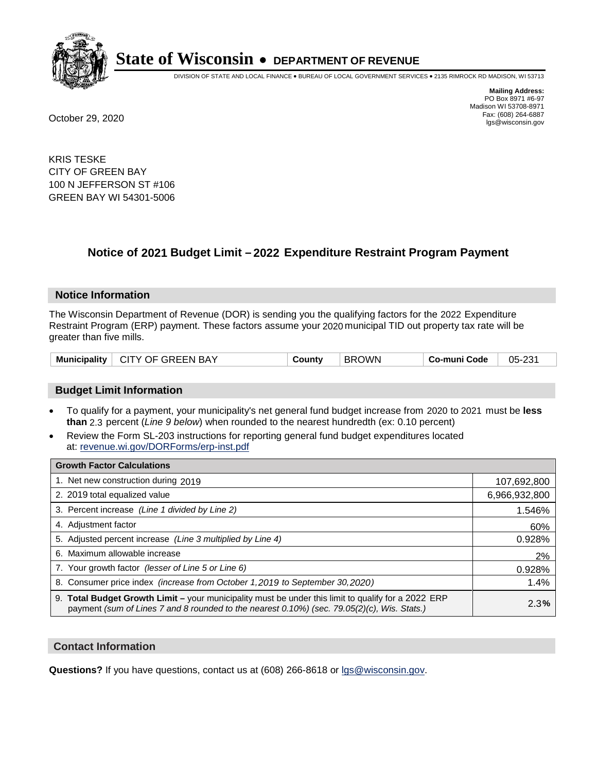

DIVISION OF STATE AND LOCAL FINANCE • BUREAU OF LOCAL GOVERNMENT SERVICES • 2135 RIMROCK RD MADISON, WI 53713

**Mailing Address:** PO Box 8971 #6-97 Madison WI 53708-8971<br>Fax: (608) 264-6887 Fax: (608) 264-6887 October 29, 2020 lgs@wisconsin.gov

KRIS TESKE CITY OF GREEN BAY 100 N JEFFERSON ST #106 GREEN BAY WI 54301-5006

# **Notice of 2021 Budget Limit - 2022 Expenditure Restraint Program Payment**

#### **Notice Information**

The Wisconsin Department of Revenue (DOR) is sending you the qualifying factors for the 2022 Expenditure Restraint Program (ERP) payment. These factors assume your 2020 municipal TID out property tax rate will be greater than five mills.

## **Budget Limit Information**

- To qualify for a payment, your municipality's net general fund budget increase from 2020 to 2021 must be less **than** 2.3 percent (*Line 9 below*) when rounded to the nearest hundredth (ex: 0.10 percent)
- Review the Form SL-203 instructions for reporting general fund budget expenditures located at: revenue.wi.gov/DORForms/erp-inst.pdf

| <b>Growth Factor Calculations</b>                                                                                                                                                                  |               |
|----------------------------------------------------------------------------------------------------------------------------------------------------------------------------------------------------|---------------|
| 1. Net new construction during 2019                                                                                                                                                                | 107,692,800   |
| 2. 2019 total equalized value                                                                                                                                                                      | 6,966,932,800 |
| 3. Percent increase (Line 1 divided by Line 2)                                                                                                                                                     | 1.546%        |
| 4. Adjustment factor                                                                                                                                                                               | 60%           |
| 5. Adjusted percent increase (Line 3 multiplied by Line 4)                                                                                                                                         | 0.928%        |
| 6. Maximum allowable increase                                                                                                                                                                      | 2%            |
| 7. Your growth factor (lesser of Line 5 or Line 6)                                                                                                                                                 | 0.928%        |
| 8. Consumer price index (increase from October 1, 2019 to September 30, 2020)                                                                                                                      | 1.4%          |
| 9. Total Budget Growth Limit - your municipality must be under this limit to qualify for a 2022 ERP<br>payment (sum of Lines 7 and 8 rounded to the nearest 0.10%) (sec. 79.05(2)(c), Wis. Stats.) | 2.3%          |

## **Contact Information**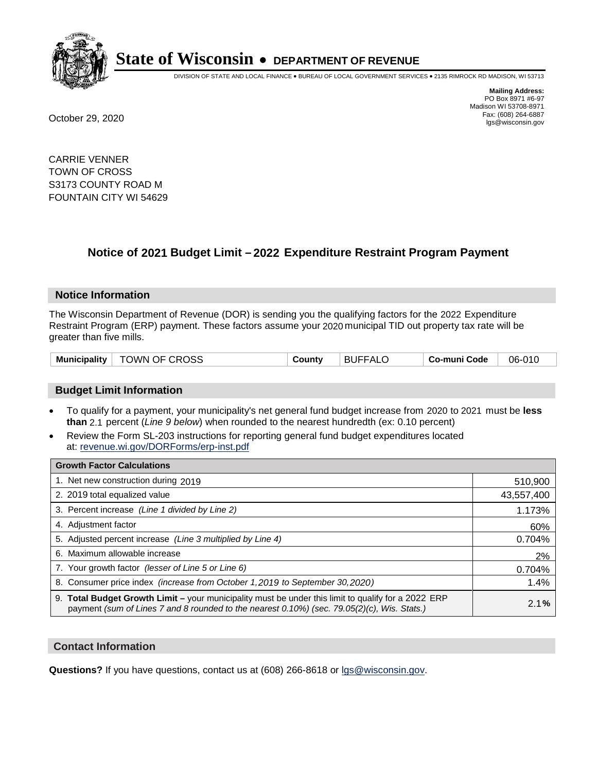

DIVISION OF STATE AND LOCAL FINANCE • BUREAU OF LOCAL GOVERNMENT SERVICES • 2135 RIMROCK RD MADISON, WI 53713

**Mailing Address:** PO Box 8971 #6-97 Madison WI 53708-8971<br>Fax: (608) 264-6887 Fax: (608) 264-6887 October 29, 2020 lgs@wisconsin.gov

CARRIE VENNER TOWN OF CROSS S3173 COUNTY ROAD M FOUNTAIN CITY WI 54629

# **Notice of 2021 Budget Limit - 2022 Expenditure Restraint Program Payment**

## **Notice Information**

The Wisconsin Department of Revenue (DOR) is sending you the qualifying factors for the 2022 Expenditure Restraint Program (ERP) payment. These factors assume your 2020 municipal TID out property tax rate will be greater than five mills.

| TOWN OF CROSS<br><b>Municipality</b> | County | <b>BUFFALO</b> | Co-muni Code | 06-010 |
|--------------------------------------|--------|----------------|--------------|--------|
|--------------------------------------|--------|----------------|--------------|--------|

# **Budget Limit Information**

- To qualify for a payment, your municipality's net general fund budget increase from 2020 to 2021 must be less **than** 2.1 percent (*Line 9 below*) when rounded to the nearest hundredth (ex: 0.10 percent)
- Review the Form SL-203 instructions for reporting general fund budget expenditures located at: revenue.wi.gov/DORForms/erp-inst.pdf

| <b>Growth Factor Calculations</b>                                                                                                                                                                      |            |
|--------------------------------------------------------------------------------------------------------------------------------------------------------------------------------------------------------|------------|
| 1. Net new construction during 2019                                                                                                                                                                    | 510,900    |
| 2. 2019 total equalized value                                                                                                                                                                          | 43,557,400 |
| 3. Percent increase (Line 1 divided by Line 2)                                                                                                                                                         | 1.173%     |
| 4. Adjustment factor                                                                                                                                                                                   | 60%        |
| 5. Adjusted percent increase (Line 3 multiplied by Line 4)                                                                                                                                             | 0.704%     |
| 6. Maximum allowable increase                                                                                                                                                                          | 2%         |
| 7. Your growth factor (lesser of Line 5 or Line 6)                                                                                                                                                     | 0.704%     |
| 8. Consumer price index (increase from October 1,2019 to September 30,2020)                                                                                                                            | 1.4%       |
| 9. Total Budget Growth Limit - your municipality must be under this limit to qualify for a 2022 ERP<br>payment (sum of Lines 7 and 8 rounded to the nearest $0.10\%$ ) (sec. 79.05(2)(c), Wis. Stats.) | 2.1%       |

## **Contact Information**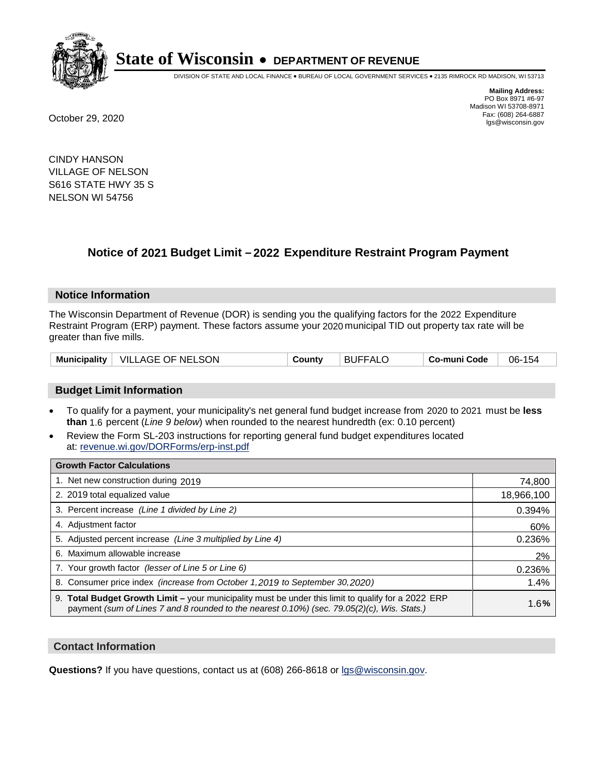

DIVISION OF STATE AND LOCAL FINANCE • BUREAU OF LOCAL GOVERNMENT SERVICES • 2135 RIMROCK RD MADISON, WI 53713

**Mailing Address:** PO Box 8971 #6-97 Madison WI 53708-8971<br>Fax: (608) 264-6887 Fax: (608) 264-6887 October 29, 2020 lgs@wisconsin.gov

CINDY HANSON VILLAGE OF NELSON S616 STATE HWY 35 S NELSON WI 54756

# **Notice of 2021 Budget Limit - 2022 Expenditure Restraint Program Payment**

#### **Notice Information**

The Wisconsin Department of Revenue (DOR) is sending you the qualifying factors for the 2022 Expenditure Restraint Program (ERP) payment. These factors assume your 2020 municipal TID out property tax rate will be greater than five mills.

| Municipality   VILLAGE OF NELSON | Countv | <b>BUFFALO</b> | Co-muni Code | 06-154 |
|----------------------------------|--------|----------------|--------------|--------|
|----------------------------------|--------|----------------|--------------|--------|

## **Budget Limit Information**

- To qualify for a payment, your municipality's net general fund budget increase from 2020 to 2021 must be less **than** 1.6 percent (*Line 9 below*) when rounded to the nearest hundredth (ex: 0.10 percent)
- Review the Form SL-203 instructions for reporting general fund budget expenditures located at: revenue.wi.gov/DORForms/erp-inst.pdf

| <b>Growth Factor Calculations</b>                                                                                                                                                                  |            |
|----------------------------------------------------------------------------------------------------------------------------------------------------------------------------------------------------|------------|
| 1. Net new construction during 2019                                                                                                                                                                | 74,800     |
| 2. 2019 total equalized value                                                                                                                                                                      | 18,966,100 |
| 3. Percent increase (Line 1 divided by Line 2)                                                                                                                                                     | 0.394%     |
| 4. Adjustment factor                                                                                                                                                                               | 60%        |
| 5. Adjusted percent increase (Line 3 multiplied by Line 4)                                                                                                                                         | 0.236%     |
| 6. Maximum allowable increase                                                                                                                                                                      | 2%         |
| 7. Your growth factor (lesser of Line 5 or Line 6)                                                                                                                                                 | 0.236%     |
| 8. Consumer price index (increase from October 1, 2019 to September 30, 2020)                                                                                                                      | 1.4%       |
| 9. Total Budget Growth Limit - your municipality must be under this limit to qualify for a 2022 ERP<br>payment (sum of Lines 7 and 8 rounded to the nearest 0.10%) (sec. 79.05(2)(c), Wis. Stats.) | 1.6%       |

## **Contact Information**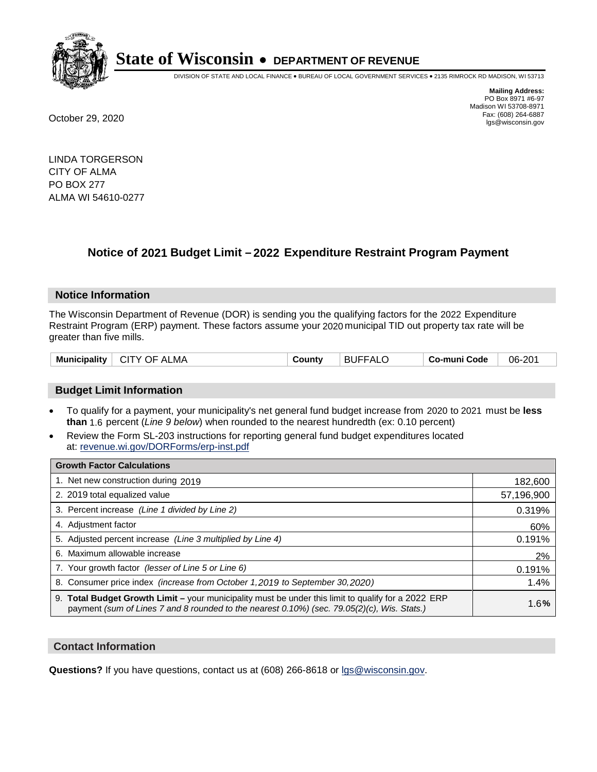

DIVISION OF STATE AND LOCAL FINANCE • BUREAU OF LOCAL GOVERNMENT SERVICES • 2135 RIMROCK RD MADISON, WI 53713

**Mailing Address:** PO Box 8971 #6-97 Madison WI 53708-8971<br>Fax: (608) 264-6887 Fax: (608) 264-6887 October 29, 2020 lgs@wisconsin.gov

LINDA TORGERSON CITY OF ALMA PO BOX 277 ALMA WI 54610-0277

# **Notice of 2021 Budget Limit - 2022 Expenditure Restraint Program Payment**

## **Notice Information**

The Wisconsin Department of Revenue (DOR) is sending you the qualifying factors for the 2022 Expenditure Restraint Program (ERP) payment. These factors assume your 2020 municipal TID out property tax rate will be greater than five mills.

| Municipality  <br><b>CITY OF ALMA</b><br>County | <b>BUFFALC</b> | Co-muni Code | 06-201 |
|-------------------------------------------------|----------------|--------------|--------|
|-------------------------------------------------|----------------|--------------|--------|

# **Budget Limit Information**

- To qualify for a payment, your municipality's net general fund budget increase from 2020 to 2021 must be less **than** 1.6 percent (*Line 9 below*) when rounded to the nearest hundredth (ex: 0.10 percent)
- Review the Form SL-203 instructions for reporting general fund budget expenditures located at: revenue.wi.gov/DORForms/erp-inst.pdf

| <b>Growth Factor Calculations</b>                                                                                                                                                                  |            |
|----------------------------------------------------------------------------------------------------------------------------------------------------------------------------------------------------|------------|
| 1. Net new construction during 2019                                                                                                                                                                | 182,600    |
| 2. 2019 total equalized value                                                                                                                                                                      | 57,196,900 |
| 3. Percent increase (Line 1 divided by Line 2)                                                                                                                                                     | 0.319%     |
| 4. Adjustment factor                                                                                                                                                                               | 60%        |
| 5. Adjusted percent increase (Line 3 multiplied by Line 4)                                                                                                                                         | 0.191%     |
| 6. Maximum allowable increase                                                                                                                                                                      | 2%         |
| 7. Your growth factor (lesser of Line 5 or Line 6)                                                                                                                                                 | 0.191%     |
| 8. Consumer price index (increase from October 1, 2019 to September 30, 2020)                                                                                                                      | 1.4%       |
| 9. Total Budget Growth Limit – your municipality must be under this limit to qualify for a 2022 ERP<br>payment (sum of Lines 7 and 8 rounded to the nearest 0.10%) (sec. 79.05(2)(c), Wis. Stats.) | 1.6%       |

## **Contact Information**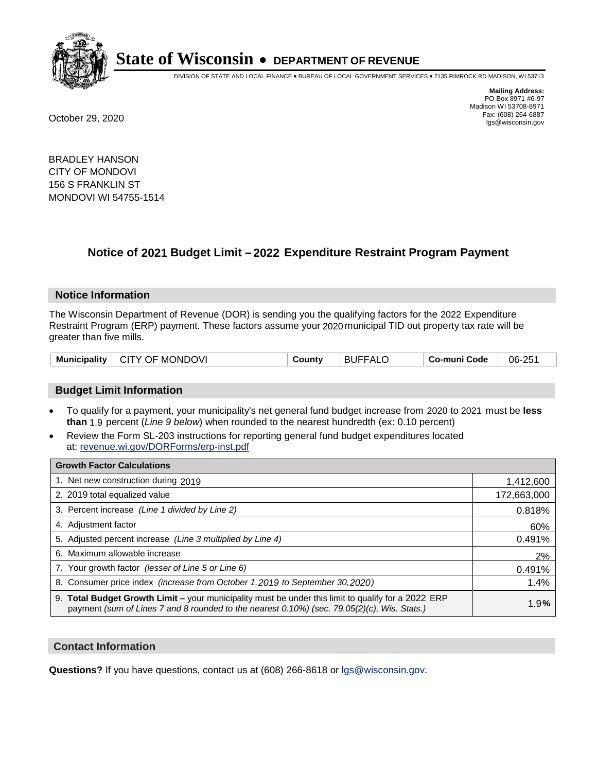

DIVISION OF STATE AND LOCAL FINANCE • BUREAU OF LOCAL GOVERNMENT SERVICES • 2135 RIMROCK RD MADISON, WI 53713

**Mailing Address:** PO Box 8971 #6-97 Madison WI 53708-8971<br>Fax: (608) 264-6887 Fax: (608) 264-6887 October 29, 2020 lgs@wisconsin.gov

BRADLEY HANSON CITY OF MONDOVI 156 S FRANKLIN ST MONDOVI WI 54755-1514

# **Notice of 2021 Budget Limit - 2022 Expenditure Restraint Program Payment**

## **Notice Information**

The Wisconsin Department of Revenue (DOR) is sending you the qualifying factors for the 2022 Expenditure Restraint Program (ERP) payment. These factors assume your 2020 municipal TID out property tax rate will be greater than five mills.

| CITY OF MONDOVI<br><b>Municipality</b> | County | <b>BUFFALO</b> | Co-muni Code | 06-251 |
|----------------------------------------|--------|----------------|--------------|--------|
|----------------------------------------|--------|----------------|--------------|--------|

## **Budget Limit Information**

- To qualify for a payment, your municipality's net general fund budget increase from 2020 to 2021 must be less **than** 1.9 percent (*Line 9 below*) when rounded to the nearest hundredth (ex: 0.10 percent)
- Review the Form SL-203 instructions for reporting general fund budget expenditures located at: revenue.wi.gov/DORForms/erp-inst.pdf

| <b>Growth Factor Calculations</b>                                                                                                                                                                      |             |
|--------------------------------------------------------------------------------------------------------------------------------------------------------------------------------------------------------|-------------|
| 1. Net new construction during 2019                                                                                                                                                                    | 1,412,600   |
| 2. 2019 total equalized value                                                                                                                                                                          | 172,663,000 |
| 3. Percent increase (Line 1 divided by Line 2)                                                                                                                                                         | 0.818%      |
| 4. Adjustment factor                                                                                                                                                                                   | 60%         |
| 5. Adjusted percent increase (Line 3 multiplied by Line 4)                                                                                                                                             | 0.491%      |
| 6. Maximum allowable increase                                                                                                                                                                          | 2%          |
| 7. Your growth factor (lesser of Line 5 or Line 6)                                                                                                                                                     | 0.491%      |
| 8. Consumer price index (increase from October 1, 2019 to September 30, 2020)                                                                                                                          | 1.4%        |
| 9. Total Budget Growth Limit - your municipality must be under this limit to qualify for a 2022 ERP<br>payment (sum of Lines 7 and 8 rounded to the nearest $0.10\%$ ) (sec. 79.05(2)(c), Wis. Stats.) | 1.9%        |

## **Contact Information**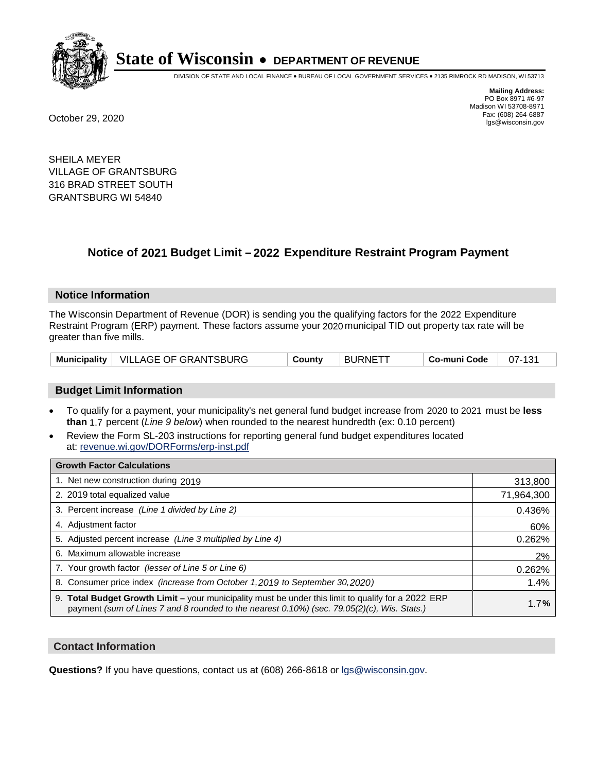

DIVISION OF STATE AND LOCAL FINANCE • BUREAU OF LOCAL GOVERNMENT SERVICES • 2135 RIMROCK RD MADISON, WI 53713

**Mailing Address:** PO Box 8971 #6-97 Madison WI 53708-8971<br>Fax: (608) 264-6887 Fax: (608) 264-6887 October 29, 2020 lgs@wisconsin.gov

SHEILA MEYER VILLAGE OF GRANTSBURG 316 BRAD STREET SOUTH GRANTSBURG WI 54840

# **Notice of 2021 Budget Limit - 2022 Expenditure Restraint Program Payment**

## **Notice Information**

The Wisconsin Department of Revenue (DOR) is sending you the qualifying factors for the 2022 Expenditure Restraint Program (ERP) payment. These factors assume your 2020 municipal TID out property tax rate will be greater than five mills.

|  | Municipality   VILLAGE OF GRANTSBURG | County | <b>BURNETT</b> | Co-muni Code | 07-131 |
|--|--------------------------------------|--------|----------------|--------------|--------|
|--|--------------------------------------|--------|----------------|--------------|--------|

# **Budget Limit Information**

- To qualify for a payment, your municipality's net general fund budget increase from 2020 to 2021 must be less **than** 1.7 percent (*Line 9 below*) when rounded to the nearest hundredth (ex: 0.10 percent)
- Review the Form SL-203 instructions for reporting general fund budget expenditures located at: revenue.wi.gov/DORForms/erp-inst.pdf

| <b>Growth Factor Calculations</b>                                                                                                                                                                  |            |
|----------------------------------------------------------------------------------------------------------------------------------------------------------------------------------------------------|------------|
| 1. Net new construction during 2019                                                                                                                                                                | 313,800    |
| 2. 2019 total equalized value                                                                                                                                                                      | 71,964,300 |
| 3. Percent increase (Line 1 divided by Line 2)                                                                                                                                                     | 0.436%     |
| 4. Adjustment factor                                                                                                                                                                               | 60%        |
| 5. Adjusted percent increase (Line 3 multiplied by Line 4)                                                                                                                                         | 0.262%     |
| 6. Maximum allowable increase                                                                                                                                                                      | 2%         |
| 7. Your growth factor (lesser of Line 5 or Line 6)                                                                                                                                                 | 0.262%     |
| 8. Consumer price index (increase from October 1,2019 to September 30,2020)                                                                                                                        | 1.4%       |
| 9. Total Budget Growth Limit - your municipality must be under this limit to qualify for a 2022 ERP<br>payment (sum of Lines 7 and 8 rounded to the nearest 0.10%) (sec. 79.05(2)(c), Wis. Stats.) | 1.7%       |

## **Contact Information**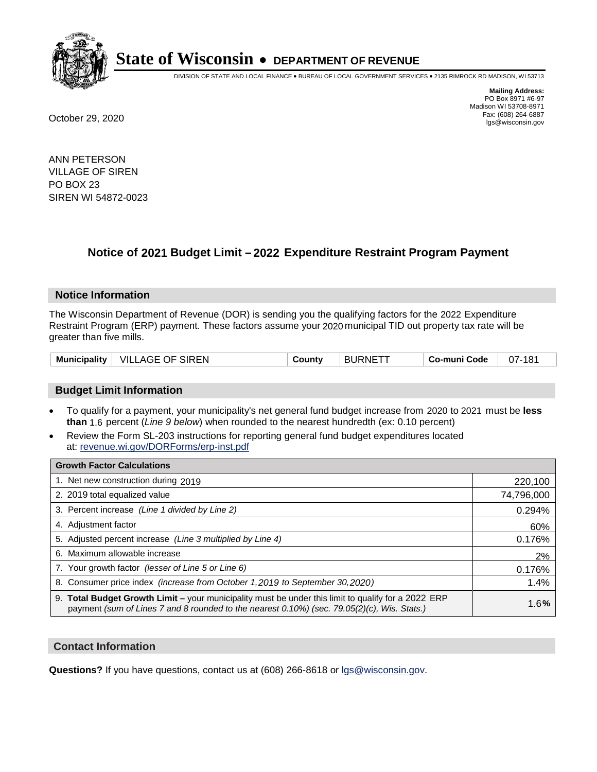

DIVISION OF STATE AND LOCAL FINANCE • BUREAU OF LOCAL GOVERNMENT SERVICES • 2135 RIMROCK RD MADISON, WI 53713

**Mailing Address:** PO Box 8971 #6-97 Madison WI 53708-8971<br>Fax: (608) 264-6887 Fax: (608) 264-6887 October 29, 2020 lgs@wisconsin.gov

ANN PETERSON VILLAGE OF SIREN PO BOX 23 SIREN WI 54872-0023

# **Notice of 2021 Budget Limit - 2022 Expenditure Restraint Program Payment**

## **Notice Information**

The Wisconsin Department of Revenue (DOR) is sending you the qualifying factors for the 2022 Expenditure Restraint Program (ERP) payment. These factors assume your 2020 municipal TID out property tax rate will be greater than five mills.

| <b>VILLAGE OF SIREN</b><br>Municipality | County | ⊤ BURNETT | <b>Co-muni Code</b> | 07-181 |
|-----------------------------------------|--------|-----------|---------------------|--------|
|-----------------------------------------|--------|-----------|---------------------|--------|

# **Budget Limit Information**

- To qualify for a payment, your municipality's net general fund budget increase from 2020 to 2021 must be less **than** 1.6 percent (*Line 9 below*) when rounded to the nearest hundredth (ex: 0.10 percent)
- Review the Form SL-203 instructions for reporting general fund budget expenditures located at: revenue.wi.gov/DORForms/erp-inst.pdf

| <b>Growth Factor Calculations</b>                                                                                                                                                                  |            |
|----------------------------------------------------------------------------------------------------------------------------------------------------------------------------------------------------|------------|
| 1. Net new construction during 2019                                                                                                                                                                | 220,100    |
| 2. 2019 total equalized value                                                                                                                                                                      | 74,796,000 |
| 3. Percent increase (Line 1 divided by Line 2)                                                                                                                                                     | 0.294%     |
| 4. Adjustment factor                                                                                                                                                                               | 60%        |
| 5. Adjusted percent increase (Line 3 multiplied by Line 4)                                                                                                                                         | 0.176%     |
| 6. Maximum allowable increase                                                                                                                                                                      | 2%         |
| 7. Your growth factor (lesser of Line 5 or Line 6)                                                                                                                                                 | 0.176%     |
| 8. Consumer price index (increase from October 1, 2019 to September 30, 2020)                                                                                                                      | 1.4%       |
| 9. Total Budget Growth Limit - your municipality must be under this limit to qualify for a 2022 ERP<br>payment (sum of Lines 7 and 8 rounded to the nearest 0.10%) (sec. 79.05(2)(c), Wis. Stats.) | 1.6%       |

## **Contact Information**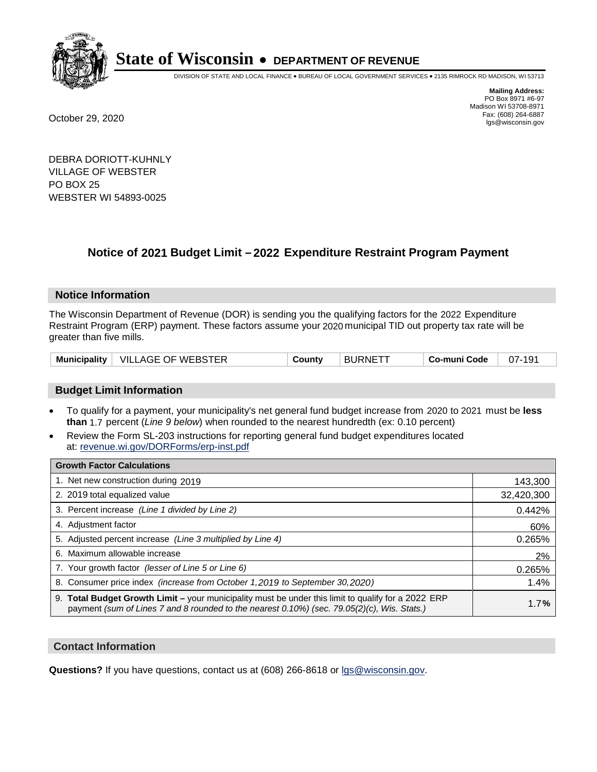

DIVISION OF STATE AND LOCAL FINANCE • BUREAU OF LOCAL GOVERNMENT SERVICES • 2135 RIMROCK RD MADISON, WI 53713

**Mailing Address:** PO Box 8971 #6-97 Madison WI 53708-8971<br>Fax: (608) 264-6887 Fax: (608) 264-6887 October 29, 2020 lgs@wisconsin.gov

DEBRA DORIOTT-KUHNLY VILLAGE OF WEBSTER PO BOX 25 WEBSTER WI 54893-0025

# **Notice of 2021 Budget Limit - 2022 Expenditure Restraint Program Payment**

## **Notice Information**

The Wisconsin Department of Revenue (DOR) is sending you the qualifying factors for the 2022 Expenditure Restraint Program (ERP) payment. These factors assume your 2020 municipal TID out property tax rate will be greater than five mills.

| <b>VILLAGE OF WEBSTER</b><br><b>Municipality</b> | County | ⊤ BURNETT | Co-muni Code | $07 -$ |
|--------------------------------------------------|--------|-----------|--------------|--------|
|--------------------------------------------------|--------|-----------|--------------|--------|

# **Budget Limit Information**

- To qualify for a payment, your municipality's net general fund budget increase from 2020 to 2021 must be less **than** 1.7 percent (*Line 9 below*) when rounded to the nearest hundredth (ex: 0.10 percent)
- Review the Form SL-203 instructions for reporting general fund budget expenditures located at: revenue.wi.gov/DORForms/erp-inst.pdf

| <b>Growth Factor Calculations</b>                                                                                                                                                                      |            |
|--------------------------------------------------------------------------------------------------------------------------------------------------------------------------------------------------------|------------|
| 1. Net new construction during 2019                                                                                                                                                                    | 143,300    |
| 2. 2019 total equalized value                                                                                                                                                                          | 32,420,300 |
| 3. Percent increase (Line 1 divided by Line 2)                                                                                                                                                         | 0.442%     |
| 4. Adjustment factor                                                                                                                                                                                   | 60%        |
| 5. Adjusted percent increase (Line 3 multiplied by Line 4)                                                                                                                                             | 0.265%     |
| 6. Maximum allowable increase                                                                                                                                                                          | 2%         |
| 7. Your growth factor (lesser of Line 5 or Line 6)                                                                                                                                                     | 0.265%     |
| 8. Consumer price index (increase from October 1,2019 to September 30,2020)                                                                                                                            | 1.4%       |
| 9. Total Budget Growth Limit - your municipality must be under this limit to qualify for a 2022 ERP<br>payment (sum of Lines 7 and 8 rounded to the nearest $0.10\%$ ) (sec. 79.05(2)(c), Wis. Stats.) | 1.7%       |

## **Contact Information**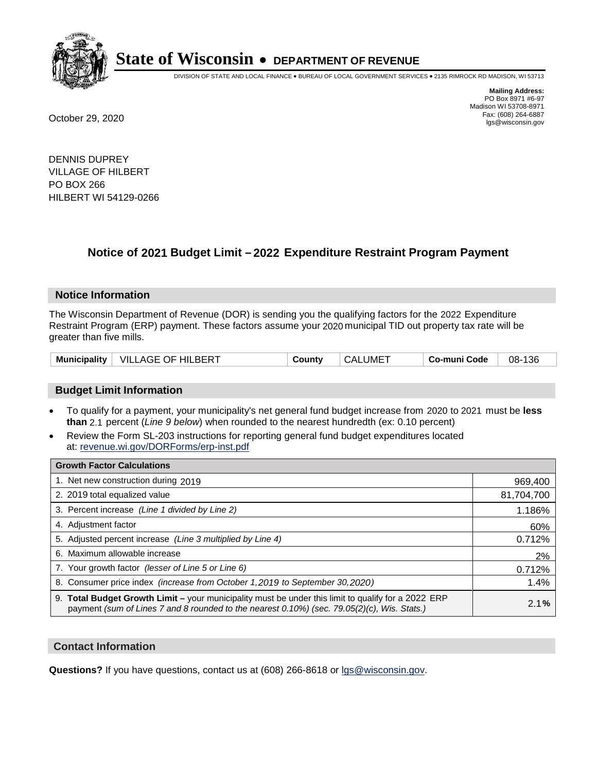

DIVISION OF STATE AND LOCAL FINANCE • BUREAU OF LOCAL GOVERNMENT SERVICES • 2135 RIMROCK RD MADISON, WI 53713

**Mailing Address:** PO Box 8971 #6-97 Madison WI 53708-8971<br>Fax: (608) 264-6887 Fax: (608) 264-6887 October 29, 2020 lgs@wisconsin.gov

DENNIS DUPREY VILLAGE OF HILBERT PO BOX 266 HILBERT WI 54129-0266

# **Notice of 2021 Budget Limit - 2022 Expenditure Restraint Program Payment**

#### **Notice Information**

The Wisconsin Department of Revenue (DOR) is sending you the qualifying factors for the 2022 Expenditure Restraint Program (ERP) payment. These factors assume your 2020 municipal TID out property tax rate will be greater than five mills.

| Municipality | VILLAGE OF HILBERT | County | CALUME <sup>-</sup> | Co-muni Code | 136<br>08- |
|--------------|--------------------|--------|---------------------|--------------|------------|
|--------------|--------------------|--------|---------------------|--------------|------------|

# **Budget Limit Information**

- To qualify for a payment, your municipality's net general fund budget increase from 2020 to 2021 must be less **than** 2.1 percent (*Line 9 below*) when rounded to the nearest hundredth (ex: 0.10 percent)
- Review the Form SL-203 instructions for reporting general fund budget expenditures located at: revenue.wi.gov/DORForms/erp-inst.pdf

| <b>Growth Factor Calculations</b>                                                                                                                                                                      |            |
|--------------------------------------------------------------------------------------------------------------------------------------------------------------------------------------------------------|------------|
| 1. Net new construction during 2019                                                                                                                                                                    | 969,400    |
| 2. 2019 total equalized value                                                                                                                                                                          | 81,704,700 |
| 3. Percent increase (Line 1 divided by Line 2)                                                                                                                                                         | 1.186%     |
| 4. Adjustment factor                                                                                                                                                                                   | 60%        |
| 5. Adjusted percent increase (Line 3 multiplied by Line 4)                                                                                                                                             | 0.712%     |
| 6. Maximum allowable increase                                                                                                                                                                          | 2%         |
| 7. Your growth factor (lesser of Line 5 or Line 6)                                                                                                                                                     | 0.712%     |
| 8. Consumer price index (increase from October 1,2019 to September 30,2020)                                                                                                                            | 1.4%       |
| 9. Total Budget Growth Limit - your municipality must be under this limit to qualify for a 2022 ERP<br>payment (sum of Lines 7 and 8 rounded to the nearest $0.10\%$ ) (sec. 79.05(2)(c), Wis. Stats.) | 2.1%       |

## **Contact Information**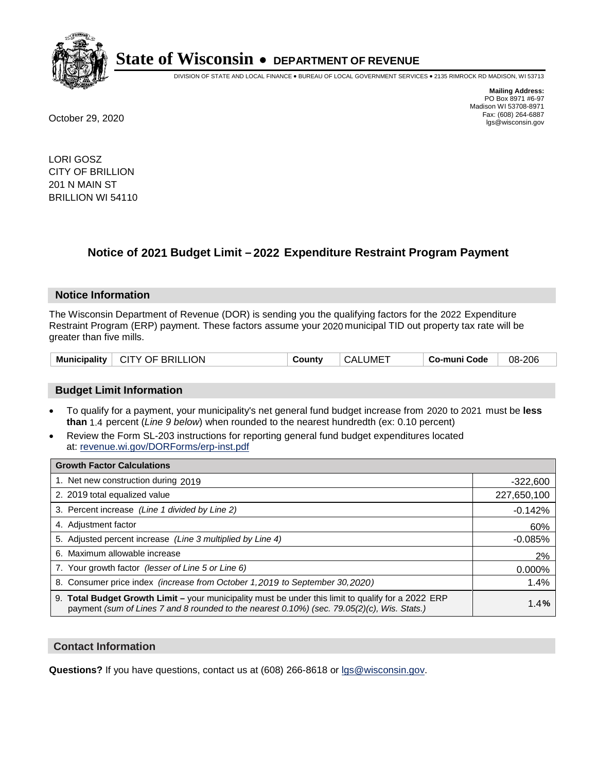

DIVISION OF STATE AND LOCAL FINANCE • BUREAU OF LOCAL GOVERNMENT SERVICES • 2135 RIMROCK RD MADISON, WI 53713

**Mailing Address:** PO Box 8971 #6-97 Madison WI 53708-8971<br>Fax: (608) 264-6887 Fax: (608) 264-6887 October 29, 2020 lgs@wisconsin.gov

LORI GOSZ CITY OF BRILLION 201 N MAIN ST BRILLION WI 54110

# **Notice of 2021 Budget Limit - 2022 Expenditure Restraint Program Payment**

## **Notice Information**

The Wisconsin Department of Revenue (DOR) is sending you the qualifying factors for the 2022 Expenditure Restraint Program (ERP) payment. These factors assume your 2020 municipal TID out property tax rate will be greater than five mills.

| <b>CITY OF BRILLION</b><br><b>Municipality</b> | County | ⊤ CALUME <sup>T</sup> | Co-muni Code | 08-206 |
|------------------------------------------------|--------|-----------------------|--------------|--------|
|------------------------------------------------|--------|-----------------------|--------------|--------|

# **Budget Limit Information**

- To qualify for a payment, your municipality's net general fund budget increase from 2020 to 2021 must be less **than** 1.4 percent (*Line 9 below*) when rounded to the nearest hundredth (ex: 0.10 percent)
- Review the Form SL-203 instructions for reporting general fund budget expenditures located at: revenue.wi.gov/DORForms/erp-inst.pdf

| <b>Growth Factor Calculations</b>                                                                                                                                                                  |             |
|----------------------------------------------------------------------------------------------------------------------------------------------------------------------------------------------------|-------------|
| 1. Net new construction during 2019                                                                                                                                                                | $-322,600$  |
| 2. 2019 total equalized value                                                                                                                                                                      | 227,650,100 |
| 3. Percent increase (Line 1 divided by Line 2)                                                                                                                                                     | $-0.142%$   |
| 4. Adjustment factor                                                                                                                                                                               | 60%         |
| 5. Adjusted percent increase (Line 3 multiplied by Line 4)                                                                                                                                         | $-0.085%$   |
| 6. Maximum allowable increase                                                                                                                                                                      | 2%          |
| 7. Your growth factor (lesser of Line 5 or Line 6)                                                                                                                                                 | 0.000%      |
| 8. Consumer price index (increase from October 1, 2019 to September 30, 2020)                                                                                                                      | 1.4%        |
| 9. Total Budget Growth Limit – your municipality must be under this limit to qualify for a 2022 ERP<br>payment (sum of Lines 7 and 8 rounded to the nearest 0.10%) (sec. 79.05(2)(c), Wis. Stats.) | 1.4%        |

## **Contact Information**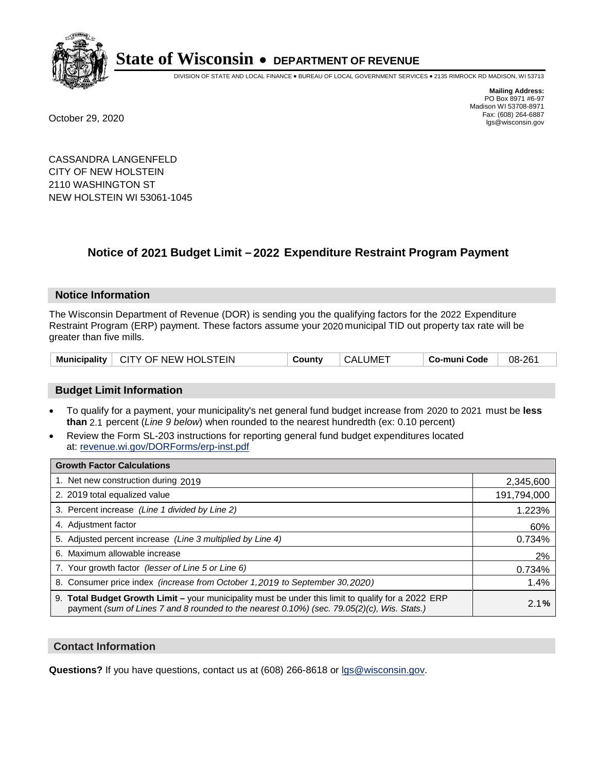

DIVISION OF STATE AND LOCAL FINANCE • BUREAU OF LOCAL GOVERNMENT SERVICES • 2135 RIMROCK RD MADISON, WI 53713

**Mailing Address:** PO Box 8971 #6-97 Madison WI 53708-8971<br>Fax: (608) 264-6887 Fax: (608) 264-6887 October 29, 2020 lgs@wisconsin.gov

CASSANDRA LANGENFELD CITY OF NEW HOLSTEIN 2110 WASHINGTON ST NEW HOLSTEIN WI 53061-1045

# **Notice of 2021 Budget Limit - 2022 Expenditure Restraint Program Payment**

## **Notice Information**

The Wisconsin Department of Revenue (DOR) is sending you the qualifying factors for the 2022 Expenditure Restraint Program (ERP) payment. These factors assume your 2020 municipal TID out property tax rate will be greater than five mills.

# **Budget Limit Information**

- To qualify for a payment, your municipality's net general fund budget increase from 2020 to 2021 must be less **than** 2.1 percent (*Line 9 below*) when rounded to the nearest hundredth (ex: 0.10 percent)
- Review the Form SL-203 instructions for reporting general fund budget expenditures located at: revenue.wi.gov/DORForms/erp-inst.pdf

| <b>Growth Factor Calculations</b>                                                                                                                                                                  |             |
|----------------------------------------------------------------------------------------------------------------------------------------------------------------------------------------------------|-------------|
| 1. Net new construction during 2019                                                                                                                                                                | 2,345,600   |
| 2. 2019 total equalized value                                                                                                                                                                      | 191,794,000 |
| 3. Percent increase (Line 1 divided by Line 2)                                                                                                                                                     | 1.223%      |
| 4. Adiustment factor                                                                                                                                                                               | 60%         |
| 5. Adjusted percent increase (Line 3 multiplied by Line 4)                                                                                                                                         | 0.734%      |
| 6. Maximum allowable increase                                                                                                                                                                      | 2%          |
| 7. Your growth factor (lesser of Line 5 or Line 6)                                                                                                                                                 | 0.734%      |
| 8. Consumer price index (increase from October 1,2019 to September 30,2020)                                                                                                                        | 1.4%        |
| 9. Total Budget Growth Limit - your municipality must be under this limit to qualify for a 2022 ERP<br>payment (sum of Lines 7 and 8 rounded to the nearest 0.10%) (sec. 79.05(2)(c), Wis. Stats.) | 2.1%        |

## **Contact Information**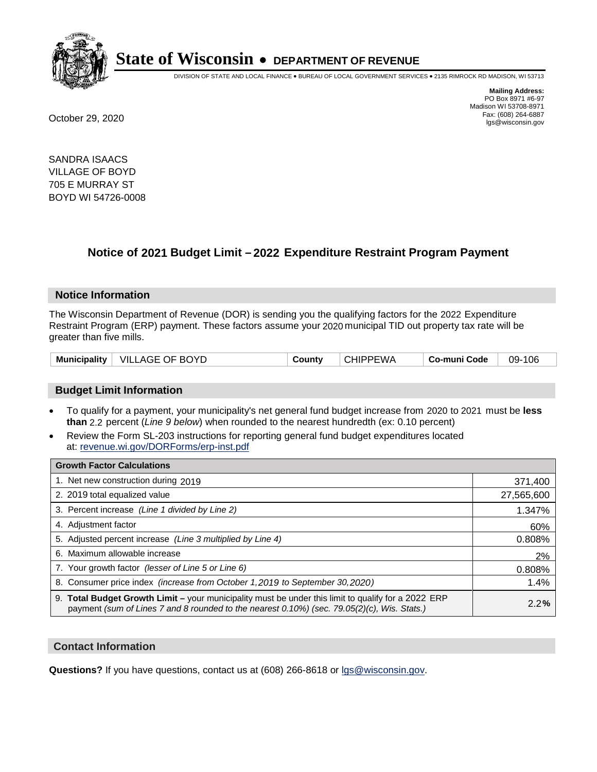

DIVISION OF STATE AND LOCAL FINANCE • BUREAU OF LOCAL GOVERNMENT SERVICES • 2135 RIMROCK RD MADISON, WI 53713

**Mailing Address:** PO Box 8971 #6-97 Madison WI 53708-8971<br>Fax: (608) 264-6887 Fax: (608) 264-6887 October 29, 2020 lgs@wisconsin.gov

SANDRA ISAACS VILLAGE OF BOYD 705 E MURRAY ST BOYD WI 54726-0008

# **Notice of 2021 Budget Limit - 2022 Expenditure Restraint Program Payment**

## **Notice Information**

The Wisconsin Department of Revenue (DOR) is sending you the qualifying factors for the 2022 Expenditure Restraint Program (ERP) payment. These factors assume your 2020 municipal TID out property tax rate will be greater than five mills.

| Municipality   VILLAGE OF BOYD | County | <b>CHIPPEWA</b> | Co-muni Code | 09-106 |
|--------------------------------|--------|-----------------|--------------|--------|
|--------------------------------|--------|-----------------|--------------|--------|

# **Budget Limit Information**

- To qualify for a payment, your municipality's net general fund budget increase from 2020 to 2021 must be less **than** 2.2 percent (*Line 9 below*) when rounded to the nearest hundredth (ex: 0.10 percent)
- Review the Form SL-203 instructions for reporting general fund budget expenditures located at: revenue.wi.gov/DORForms/erp-inst.pdf

| <b>Growth Factor Calculations</b>                                                                                                                                                                      |            |
|--------------------------------------------------------------------------------------------------------------------------------------------------------------------------------------------------------|------------|
| 1. Net new construction during 2019                                                                                                                                                                    | 371,400    |
| 2. 2019 total equalized value                                                                                                                                                                          | 27,565,600 |
| 3. Percent increase (Line 1 divided by Line 2)                                                                                                                                                         | 1.347%     |
| 4. Adjustment factor                                                                                                                                                                                   | 60%        |
| 5. Adjusted percent increase (Line 3 multiplied by Line 4)                                                                                                                                             | 0.808%     |
| 6. Maximum allowable increase                                                                                                                                                                          | 2%         |
| 7. Your growth factor (lesser of Line 5 or Line 6)                                                                                                                                                     | 0.808%     |
| 8. Consumer price index (increase from October 1,2019 to September 30,2020)                                                                                                                            | 1.4%       |
| 9. Total Budget Growth Limit - your municipality must be under this limit to qualify for a 2022 ERP<br>payment (sum of Lines 7 and 8 rounded to the nearest $0.10\%$ ) (sec. 79.05(2)(c), Wis. Stats.) | 2.2%       |

## **Contact Information**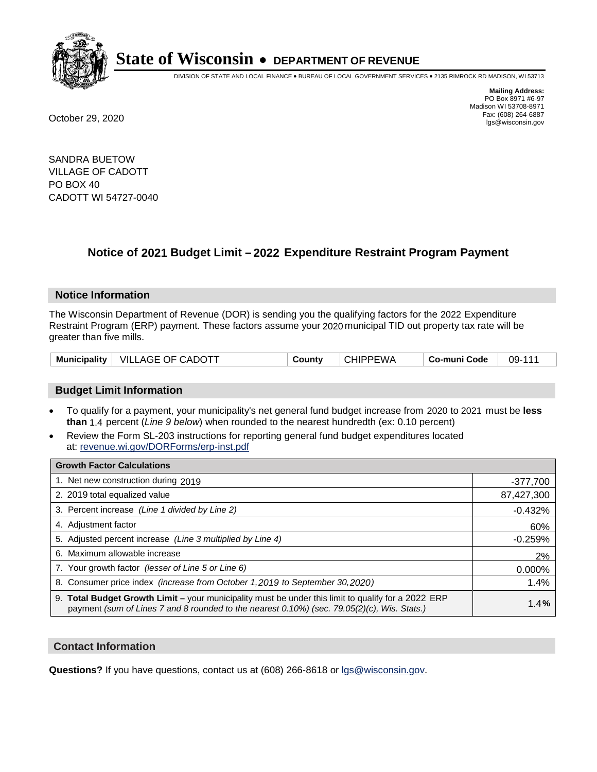

DIVISION OF STATE AND LOCAL FINANCE • BUREAU OF LOCAL GOVERNMENT SERVICES • 2135 RIMROCK RD MADISON, WI 53713

**Mailing Address:** PO Box 8971 #6-97 Madison WI 53708-8971<br>Fax: (608) 264-6887 Fax: (608) 264-6887 October 29, 2020 lgs@wisconsin.gov

SANDRA BUETOW VILLAGE OF CADOTT PO BOX 40 CADOTT WI 54727-0040

# **Notice of 2021 Budget Limit - 2022 Expenditure Restraint Program Payment**

## **Notice Information**

The Wisconsin Department of Revenue (DOR) is sending you the qualifying factors for the 2022 Expenditure Restraint Program (ERP) payment. These factors assume your 2020 municipal TID out property tax rate will be greater than five mills.

|  | Municipality   VILLAGE OF CADOTT | Countv | <b>CHIPPEWA</b> | Co-muni Code | 09-111 |
|--|----------------------------------|--------|-----------------|--------------|--------|
|--|----------------------------------|--------|-----------------|--------------|--------|

# **Budget Limit Information**

- To qualify for a payment, your municipality's net general fund budget increase from 2020 to 2021 must be less **than** 1.4 percent (*Line 9 below*) when rounded to the nearest hundredth (ex: 0.10 percent)
- Review the Form SL-203 instructions for reporting general fund budget expenditures located at: revenue.wi.gov/DORForms/erp-inst.pdf

| <b>Growth Factor Calculations</b>                                                                                                                                                                      |            |
|--------------------------------------------------------------------------------------------------------------------------------------------------------------------------------------------------------|------------|
| 1. Net new construction during 2019                                                                                                                                                                    | $-377,700$ |
| 2. 2019 total equalized value                                                                                                                                                                          | 87,427,300 |
| 3. Percent increase (Line 1 divided by Line 2)                                                                                                                                                         | $-0.432%$  |
| 4. Adjustment factor                                                                                                                                                                                   | 60%        |
| 5. Adjusted percent increase (Line 3 multiplied by Line 4)                                                                                                                                             | $-0.259%$  |
| 6. Maximum allowable increase                                                                                                                                                                          | 2%         |
| 7. Your growth factor (lesser of Line 5 or Line 6)                                                                                                                                                     | 0.000%     |
| 8. Consumer price index (increase from October 1,2019 to September 30,2020)                                                                                                                            | 1.4%       |
| 9. Total Budget Growth Limit - your municipality must be under this limit to qualify for a 2022 ERP<br>payment (sum of Lines 7 and 8 rounded to the nearest $0.10\%$ ) (sec. 79.05(2)(c), Wis. Stats.) | 1.4%       |

## **Contact Information**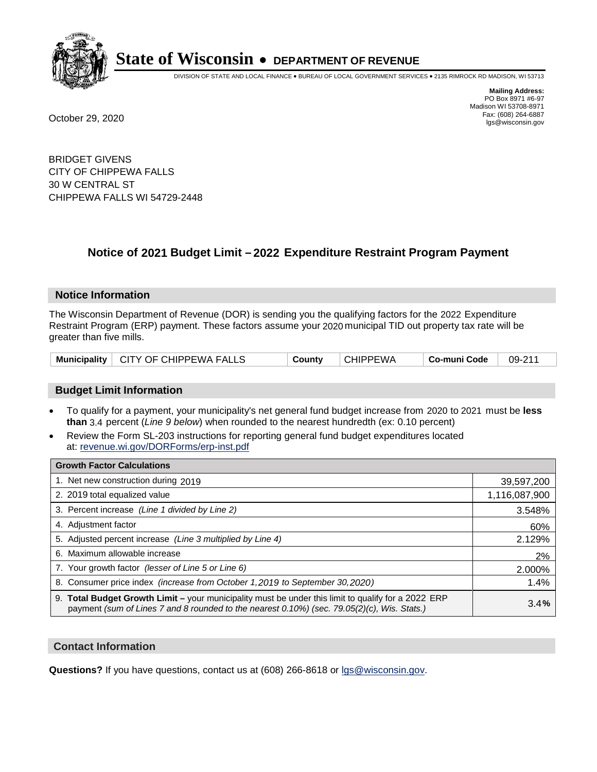

DIVISION OF STATE AND LOCAL FINANCE • BUREAU OF LOCAL GOVERNMENT SERVICES • 2135 RIMROCK RD MADISON, WI 53713

**Mailing Address:** PO Box 8971 #6-97 Madison WI 53708-8971<br>Fax: (608) 264-6887 Fax: (608) 264-6887 October 29, 2020 lgs@wisconsin.gov

BRIDGET GIVENS CITY OF CHIPPEWA FALLS 30 W CENTRAL ST CHIPPEWA FALLS WI 54729-2448

# **Notice of 2021 Budget Limit - 2022 Expenditure Restraint Program Payment**

### **Notice Information**

The Wisconsin Department of Revenue (DOR) is sending you the qualifying factors for the 2022 Expenditure Restraint Program (ERP) payment. These factors assume your 2020 municipal TID out property tax rate will be greater than five mills.

|  | Municipality   CITY OF CHIPPEWA FALLS | County | CHIPPEWA | Co-muni Code | 09-211 |
|--|---------------------------------------|--------|----------|--------------|--------|
|--|---------------------------------------|--------|----------|--------------|--------|

# **Budget Limit Information**

- To qualify for a payment, your municipality's net general fund budget increase from 2020 to 2021 must be less **than** 3.4 percent (*Line 9 below*) when rounded to the nearest hundredth (ex: 0.10 percent)
- Review the Form SL-203 instructions for reporting general fund budget expenditures located at: revenue.wi.gov/DORForms/erp-inst.pdf

| <b>Growth Factor Calculations</b>                                                                                                                                                                  |               |
|----------------------------------------------------------------------------------------------------------------------------------------------------------------------------------------------------|---------------|
| 1. Net new construction during 2019                                                                                                                                                                | 39,597,200    |
| 2. 2019 total equalized value                                                                                                                                                                      | 1,116,087,900 |
| 3. Percent increase (Line 1 divided by Line 2)                                                                                                                                                     | 3.548%        |
| 4. Adjustment factor                                                                                                                                                                               | 60%           |
| 5. Adjusted percent increase (Line 3 multiplied by Line 4)                                                                                                                                         | 2.129%        |
| 6. Maximum allowable increase                                                                                                                                                                      | 2%            |
| 7. Your growth factor (lesser of Line 5 or Line 6)                                                                                                                                                 | 2.000%        |
| 8. Consumer price index (increase from October 1,2019 to September 30,2020)                                                                                                                        | 1.4%          |
| 9. Total Budget Growth Limit - your municipality must be under this limit to qualify for a 2022 ERP<br>payment (sum of Lines 7 and 8 rounded to the nearest 0.10%) (sec. 79.05(2)(c), Wis. Stats.) | 3.4%          |

## **Contact Information**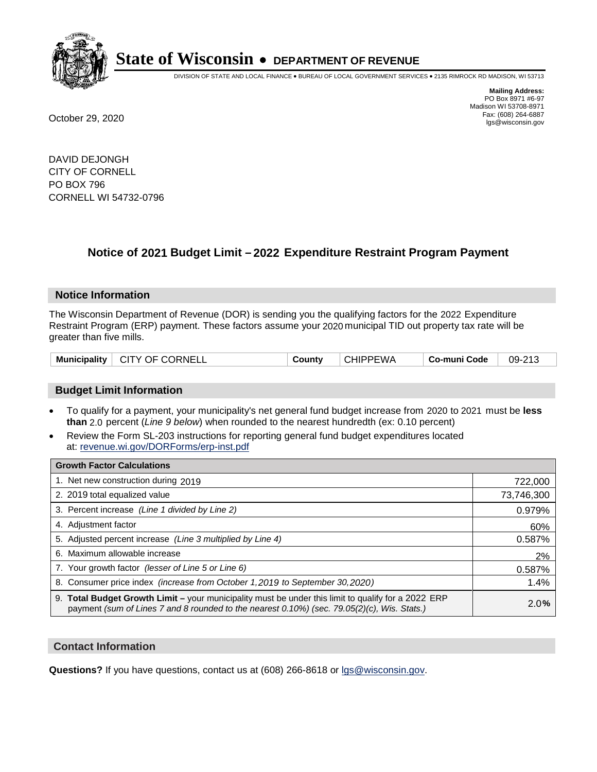

DIVISION OF STATE AND LOCAL FINANCE • BUREAU OF LOCAL GOVERNMENT SERVICES • 2135 RIMROCK RD MADISON, WI 53713

**Mailing Address:** PO Box 8971 #6-97 Madison WI 53708-8971<br>Fax: (608) 264-6887 Fax: (608) 264-6887 October 29, 2020 lgs@wisconsin.gov

DAVID DEJONGH CITY OF CORNELL PO BOX 796 CORNELL WI 54732-0796

# **Notice of 2021 Budget Limit - 2022 Expenditure Restraint Program Payment**

## **Notice Information**

The Wisconsin Department of Revenue (DOR) is sending you the qualifying factors for the 2022 Expenditure Restraint Program (ERP) payment. These factors assume your 2020 municipal TID out property tax rate will be greater than five mills.

| Municipality   CITY OF CORNELL | County | <b>CHIPPEWA</b> | ⊩ Co-muni Code | 09-213 |
|--------------------------------|--------|-----------------|----------------|--------|
|--------------------------------|--------|-----------------|----------------|--------|

# **Budget Limit Information**

- To qualify for a payment, your municipality's net general fund budget increase from 2020 to 2021 must be less **than** 2.0 percent (*Line 9 below*) when rounded to the nearest hundredth (ex: 0.10 percent)
- Review the Form SL-203 instructions for reporting general fund budget expenditures located at: revenue.wi.gov/DORForms/erp-inst.pdf

| <b>Growth Factor Calculations</b>                                                                                                                                                                      |            |
|--------------------------------------------------------------------------------------------------------------------------------------------------------------------------------------------------------|------------|
| 1. Net new construction during 2019                                                                                                                                                                    | 722,000    |
| 2. 2019 total equalized value                                                                                                                                                                          | 73,746,300 |
| 3. Percent increase (Line 1 divided by Line 2)                                                                                                                                                         | 0.979%     |
| 4. Adjustment factor                                                                                                                                                                                   | 60%        |
| 5. Adjusted percent increase (Line 3 multiplied by Line 4)                                                                                                                                             | 0.587%     |
| 6. Maximum allowable increase                                                                                                                                                                          | 2%         |
| 7. Your growth factor (lesser of Line 5 or Line 6)                                                                                                                                                     | 0.587%     |
| 8. Consumer price index (increase from October 1,2019 to September 30,2020)                                                                                                                            | 1.4%       |
| 9. Total Budget Growth Limit - your municipality must be under this limit to qualify for a 2022 ERP<br>payment (sum of Lines 7 and 8 rounded to the nearest $0.10\%$ ) (sec. 79.05(2)(c), Wis. Stats.) | 2.0%       |

## **Contact Information**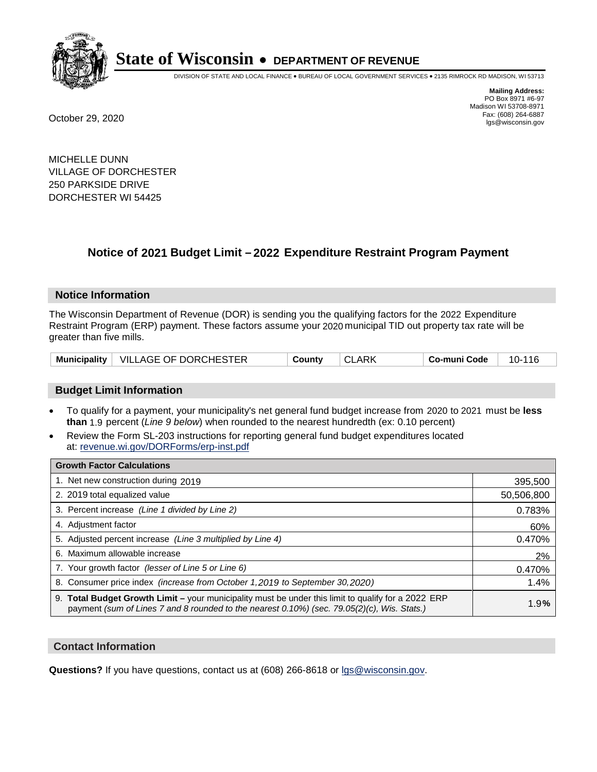

DIVISION OF STATE AND LOCAL FINANCE • BUREAU OF LOCAL GOVERNMENT SERVICES • 2135 RIMROCK RD MADISON, WI 53713

**Mailing Address:** PO Box 8971 #6-97 Madison WI 53708-8971<br>Fax: (608) 264-6887 Fax: (608) 264-6887 October 29, 2020 lgs@wisconsin.gov

MICHELLE DUNN VILLAGE OF DORCHESTER 250 PARKSIDE DRIVE DORCHESTER WI 54425

# **Notice of 2021 Budget Limit - 2022 Expenditure Restraint Program Payment**

## **Notice Information**

The Wisconsin Department of Revenue (DOR) is sending you the qualifying factors for the 2022 Expenditure Restraint Program (ERP) payment. These factors assume your 2020 municipal TID out property tax rate will be greater than five mills.

|  | Municipality   VILLAGE OF DORCHESTER | County |  | Co-muni Code | 10-116 |
|--|--------------------------------------|--------|--|--------------|--------|
|--|--------------------------------------|--------|--|--------------|--------|

# **Budget Limit Information**

- To qualify for a payment, your municipality's net general fund budget increase from 2020 to 2021 must be less **than** 1.9 percent (*Line 9 below*) when rounded to the nearest hundredth (ex: 0.10 percent)
- Review the Form SL-203 instructions for reporting general fund budget expenditures located at: revenue.wi.gov/DORForms/erp-inst.pdf

| <b>Growth Factor Calculations</b>                                                                                                                                                                  |            |
|----------------------------------------------------------------------------------------------------------------------------------------------------------------------------------------------------|------------|
| 1. Net new construction during 2019                                                                                                                                                                | 395,500    |
| 2. 2019 total equalized value                                                                                                                                                                      | 50,506,800 |
| 3. Percent increase (Line 1 divided by Line 2)                                                                                                                                                     | 0.783%     |
| 4. Adiustment factor                                                                                                                                                                               | 60%        |
| 5. Adjusted percent increase (Line 3 multiplied by Line 4)                                                                                                                                         | 0.470%     |
| 6. Maximum allowable increase                                                                                                                                                                      | 2%         |
| 7. Your growth factor (lesser of Line 5 or Line 6)                                                                                                                                                 | 0.470%     |
| 8. Consumer price index (increase from October 1,2019 to September 30,2020)                                                                                                                        | 1.4%       |
| 9. Total Budget Growth Limit - your municipality must be under this limit to qualify for a 2022 ERP<br>payment (sum of Lines 7 and 8 rounded to the nearest 0.10%) (sec. 79.05(2)(c), Wis. Stats.) | 1.9%       |

## **Contact Information**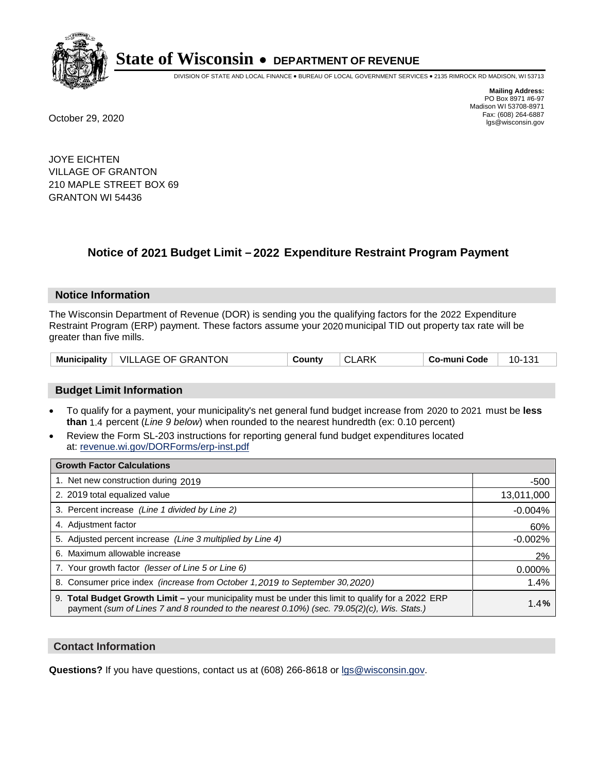

DIVISION OF STATE AND LOCAL FINANCE • BUREAU OF LOCAL GOVERNMENT SERVICES • 2135 RIMROCK RD MADISON, WI 53713

**Mailing Address:** PO Box 8971 #6-97 Madison WI 53708-8971<br>Fax: (608) 264-6887 Fax: (608) 264-6887 October 29, 2020 lgs@wisconsin.gov

JOYE EICHTEN VILLAGE OF GRANTON 210 MAPLE STREET BOX 69 GRANTON WI 54436

# **Notice of 2021 Budget Limit - 2022 Expenditure Restraint Program Payment**

### **Notice Information**

The Wisconsin Department of Revenue (DOR) is sending you the qualifying factors for the 2022 Expenditure Restraint Program (ERP) payment. These factors assume your 2020 municipal TID out property tax rate will be greater than five mills.

# **Budget Limit Information**

- To qualify for a payment, your municipality's net general fund budget increase from 2020 to 2021 must be less **than** 1.4 percent (*Line 9 below*) when rounded to the nearest hundredth (ex: 0.10 percent)
- Review the Form SL-203 instructions for reporting general fund budget expenditures located at: revenue.wi.gov/DORForms/erp-inst.pdf

| <b>Growth Factor Calculations</b>                                                                                                                                                                  |            |
|----------------------------------------------------------------------------------------------------------------------------------------------------------------------------------------------------|------------|
| 1. Net new construction during 2019                                                                                                                                                                | $-500$     |
| 2. 2019 total equalized value                                                                                                                                                                      | 13,011,000 |
| 3. Percent increase (Line 1 divided by Line 2)                                                                                                                                                     | $-0.004%$  |
| 4. Adjustment factor                                                                                                                                                                               | 60%        |
| 5. Adjusted percent increase (Line 3 multiplied by Line 4)                                                                                                                                         | $-0.002%$  |
| 6. Maximum allowable increase                                                                                                                                                                      | 2%         |
| 7. Your growth factor (lesser of Line 5 or Line 6)                                                                                                                                                 | 0.000%     |
| 8. Consumer price index (increase from October 1, 2019 to September 30, 2020)                                                                                                                      | 1.4%       |
| 9. Total Budget Growth Limit - your municipality must be under this limit to qualify for a 2022 ERP<br>payment (sum of Lines 7 and 8 rounded to the nearest 0.10%) (sec. 79.05(2)(c), Wis. Stats.) | 1.4%       |

## **Contact Information**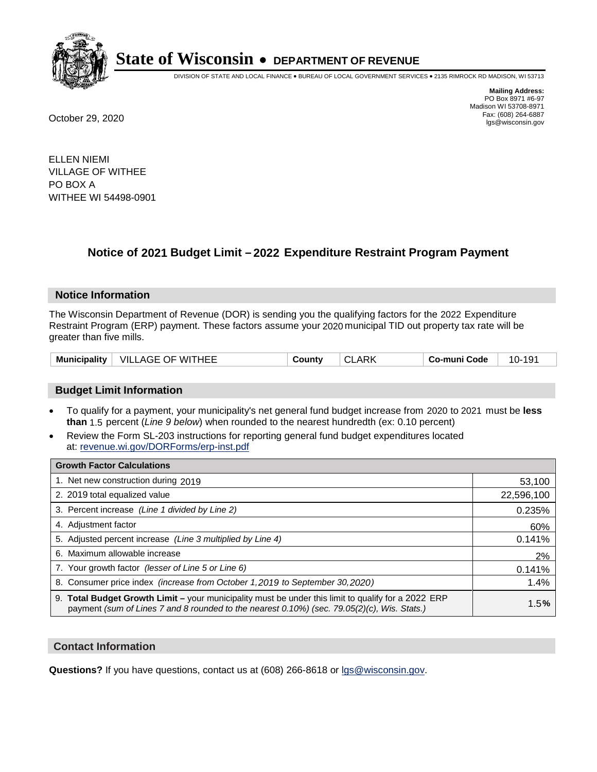

DIVISION OF STATE AND LOCAL FINANCE • BUREAU OF LOCAL GOVERNMENT SERVICES • 2135 RIMROCK RD MADISON, WI 53713

**Mailing Address:** PO Box 8971 #6-97 Madison WI 53708-8971<br>Fax: (608) 264-6887 Fax: (608) 264-6887 October 29, 2020 lgs@wisconsin.gov

ELLEN NIEMI VILLAGE OF WITHEE PO BOX A WITHEE WI 54498-0901

# **Notice of 2021 Budget Limit - 2022 Expenditure Restraint Program Payment**

## **Notice Information**

The Wisconsin Department of Revenue (DOR) is sending you the qualifying factors for the 2022 Expenditure Restraint Program (ERP) payment. These factors assume your 2020 municipal TID out property tax rate will be greater than five mills.

| Municipality | VILLAGE OF WITHEE | County | $\sim$<br>ARK<br>₩L | o-muni Codeٽ | 10- |
|--------------|-------------------|--------|---------------------|--------------|-----|
|--------------|-------------------|--------|---------------------|--------------|-----|

# **Budget Limit Information**

- To qualify for a payment, your municipality's net general fund budget increase from 2020 to 2021 must be less **than** 1.5 percent (*Line 9 below*) when rounded to the nearest hundredth (ex: 0.10 percent)
- Review the Form SL-203 instructions for reporting general fund budget expenditures located at: revenue.wi.gov/DORForms/erp-inst.pdf

| <b>Growth Factor Calculations</b>                                                                                                                                                                      |            |
|--------------------------------------------------------------------------------------------------------------------------------------------------------------------------------------------------------|------------|
| 1. Net new construction during 2019                                                                                                                                                                    | 53,100     |
| 2. 2019 total equalized value                                                                                                                                                                          | 22,596,100 |
| 3. Percent increase (Line 1 divided by Line 2)                                                                                                                                                         | 0.235%     |
| 4. Adjustment factor                                                                                                                                                                                   | 60%        |
| 5. Adjusted percent increase (Line 3 multiplied by Line 4)                                                                                                                                             | 0.141%     |
| 6. Maximum allowable increase                                                                                                                                                                          | 2%         |
| 7. Your growth factor (lesser of Line 5 or Line 6)                                                                                                                                                     | 0.141%     |
| 8. Consumer price index (increase from October 1,2019 to September 30,2020)                                                                                                                            | 1.4%       |
| 9. Total Budget Growth Limit - your municipality must be under this limit to qualify for a 2022 ERP<br>payment (sum of Lines 7 and 8 rounded to the nearest $0.10\%$ ) (sec. 79.05(2)(c), Wis. Stats.) | 1.5%       |

## **Contact Information**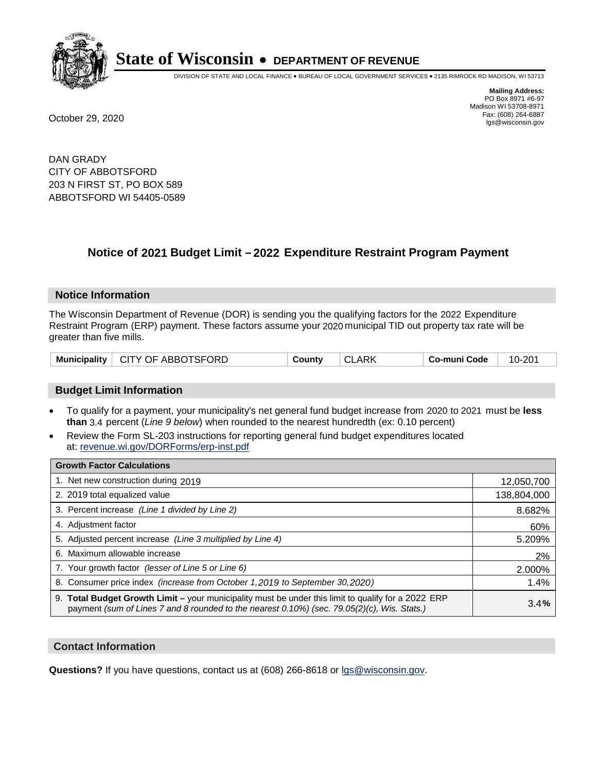

DIVISION OF STATE AND LOCAL FINANCE • BUREAU OF LOCAL GOVERNMENT SERVICES • 2135 RIMROCK RD MADISON, WI 53713

**Mailing Address:** PO Box 8971 #6-97 Madison WI 53708-8971<br>Fax: (608) 264-6887 Fax: (608) 264-6887 October 29, 2020 lgs@wisconsin.gov

DAN GRADY CITY OF ABBOTSFORD 203 N FIRST ST, PO BOX 589 ABBOTSFORD WI 54405-0589

# **Notice of 2021 Budget Limit - 2022 Expenditure Restraint Program Payment**

### **Notice Information**

The Wisconsin Department of Revenue (DOR) is sending you the qualifying factors for the 2022 Expenditure Restraint Program (ERP) payment. These factors assume your 2020 municipal TID out property tax rate will be greater than five mills.

# **Budget Limit Information**

- To qualify for a payment, your municipality's net general fund budget increase from 2020 to 2021 must be less **than** 3.4 percent (*Line 9 below*) when rounded to the nearest hundredth (ex: 0.10 percent)
- Review the Form SL-203 instructions for reporting general fund budget expenditures located at: revenue.wi.gov/DORForms/erp-inst.pdf

| <b>Growth Factor Calculations</b>                                                                                                                                                                  |             |
|----------------------------------------------------------------------------------------------------------------------------------------------------------------------------------------------------|-------------|
| 1. Net new construction during 2019                                                                                                                                                                | 12,050,700  |
| 2. 2019 total equalized value                                                                                                                                                                      | 138,804,000 |
| 3. Percent increase (Line 1 divided by Line 2)                                                                                                                                                     | 8.682%      |
| 4. Adjustment factor                                                                                                                                                                               | 60%         |
| 5. Adjusted percent increase (Line 3 multiplied by Line 4)                                                                                                                                         | 5.209%      |
| 6. Maximum allowable increase                                                                                                                                                                      | 2%          |
| 7. Your growth factor (lesser of Line 5 or Line 6)                                                                                                                                                 | 2.000%      |
| 8. Consumer price index (increase from October 1,2019 to September 30,2020)                                                                                                                        | 1.4%        |
| 9. Total Budget Growth Limit - your municipality must be under this limit to qualify for a 2022 ERP<br>payment (sum of Lines 7 and 8 rounded to the nearest 0.10%) (sec. 79.05(2)(c), Wis. Stats.) | 3.4%        |

## **Contact Information**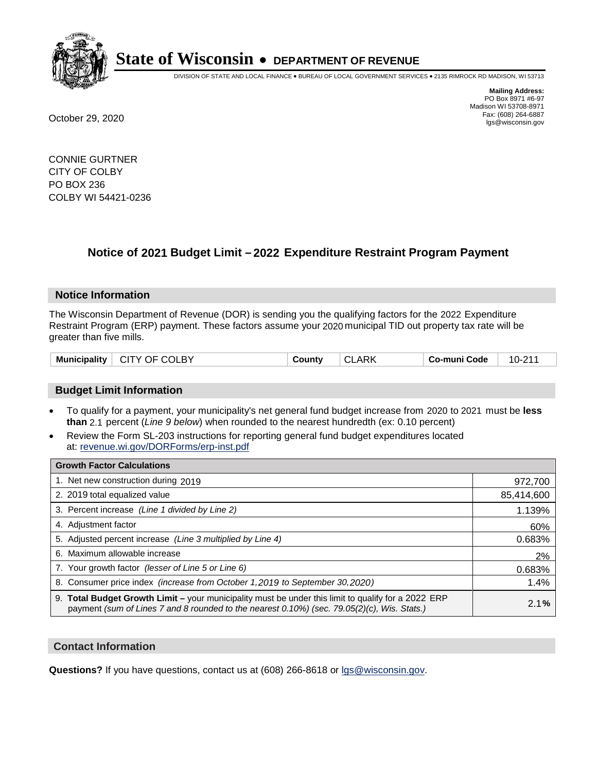

DIVISION OF STATE AND LOCAL FINANCE • BUREAU OF LOCAL GOVERNMENT SERVICES • 2135 RIMROCK RD MADISON, WI 53713

**Mailing Address:** PO Box 8971 #6-97 Madison WI 53708-8971<br>Fax: (608) 264-6887 Fax: (608) 264-6887 October 29, 2020 lgs@wisconsin.gov

CONNIE GURTNER CITY OF COLBY PO BOX 236 COLBY WI 54421-0236

# **Notice of 2021 Budget Limit - 2022 Expenditure Restraint Program Payment**

## **Notice Information**

The Wisconsin Department of Revenue (DOR) is sending you the qualifying factors for the 2022 Expenditure Restraint Program (ERP) payment. These factors assume your 2020 municipal TID out property tax rate will be greater than five mills.

| <b>Municipality</b> | CITY OF COLBY | Countv | <b>CLARK</b> | Co-muni Code | 10-211 |
|---------------------|---------------|--------|--------------|--------------|--------|
|---------------------|---------------|--------|--------------|--------------|--------|

# **Budget Limit Information**

- To qualify for a payment, your municipality's net general fund budget increase from 2020 to 2021 must be less **than** 2.1 percent (*Line 9 below*) when rounded to the nearest hundredth (ex: 0.10 percent)
- Review the Form SL-203 instructions for reporting general fund budget expenditures located at: revenue.wi.gov/DORForms/erp-inst.pdf

| <b>Growth Factor Calculations</b>                                                                                                                                                                      |            |
|--------------------------------------------------------------------------------------------------------------------------------------------------------------------------------------------------------|------------|
| 1. Net new construction during 2019                                                                                                                                                                    | 972,700    |
| 2. 2019 total equalized value                                                                                                                                                                          | 85,414,600 |
| 3. Percent increase (Line 1 divided by Line 2)                                                                                                                                                         | 1.139%     |
| 4. Adiustment factor                                                                                                                                                                                   | 60%        |
| 5. Adjusted percent increase (Line 3 multiplied by Line 4)                                                                                                                                             | 0.683%     |
| 6. Maximum allowable increase                                                                                                                                                                          | 2%         |
| 7. Your growth factor (lesser of Line 5 or Line 6)                                                                                                                                                     | 0.683%     |
| 8. Consumer price index (increase from October 1,2019 to September 30,2020)                                                                                                                            | 1.4%       |
| 9. Total Budget Growth Limit - your municipality must be under this limit to qualify for a 2022 ERP<br>payment (sum of Lines 7 and 8 rounded to the nearest $0.10\%$ ) (sec. 79.05(2)(c), Wis. Stats.) | 2.1%       |

## **Contact Information**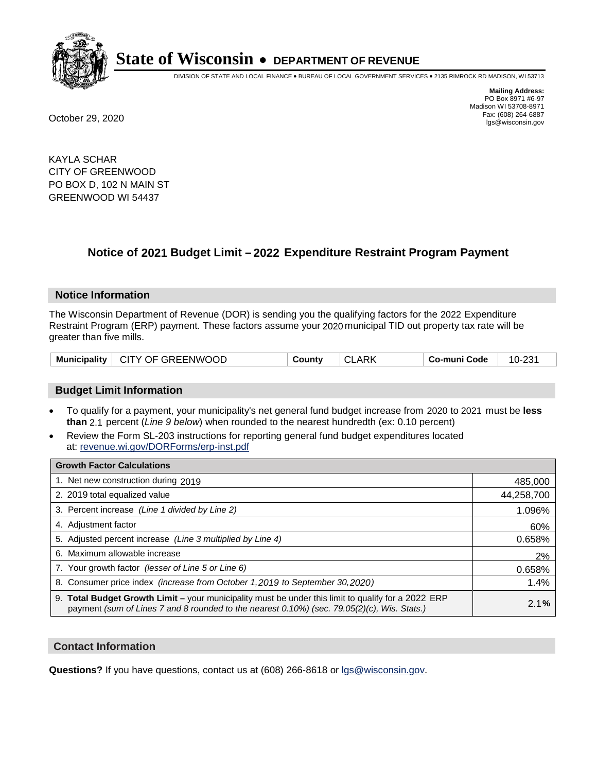

DIVISION OF STATE AND LOCAL FINANCE • BUREAU OF LOCAL GOVERNMENT SERVICES • 2135 RIMROCK RD MADISON, WI 53713

**Mailing Address:** PO Box 8971 #6-97 Madison WI 53708-8971<br>Fax: (608) 264-6887 Fax: (608) 264-6887 October 29, 2020 lgs@wisconsin.gov

KAYLA SCHAR CITY OF GREENWOOD PO BOX D, 102 N MAIN ST GREENWOOD WI 54437

# **Notice of 2021 Budget Limit - 2022 Expenditure Restraint Program Payment**

### **Notice Information**

The Wisconsin Department of Revenue (DOR) is sending you the qualifying factors for the 2022 Expenditure Restraint Program (ERP) payment. These factors assume your 2020 municipal TID out property tax rate will be greater than five mills.

| Municipality   CITY OF GREENWOOD | County | <b>CLARK</b> | Co-muni Code | 10-231 |
|----------------------------------|--------|--------------|--------------|--------|
|----------------------------------|--------|--------------|--------------|--------|

# **Budget Limit Information**

- To qualify for a payment, your municipality's net general fund budget increase from 2020 to 2021 must be less **than** 2.1 percent (*Line 9 below*) when rounded to the nearest hundredth (ex: 0.10 percent)
- Review the Form SL-203 instructions for reporting general fund budget expenditures located at: revenue.wi.gov/DORForms/erp-inst.pdf

| <b>Growth Factor Calculations</b>                                                                                                                                                                  |            |
|----------------------------------------------------------------------------------------------------------------------------------------------------------------------------------------------------|------------|
| 1. Net new construction during 2019                                                                                                                                                                | 485,000    |
| 2. 2019 total equalized value                                                                                                                                                                      | 44,258,700 |
| 3. Percent increase (Line 1 divided by Line 2)                                                                                                                                                     | 1.096%     |
| 4. Adiustment factor                                                                                                                                                                               | 60%        |
| 5. Adjusted percent increase (Line 3 multiplied by Line 4)                                                                                                                                         | 0.658%     |
| Maximum allowable increase<br>6.                                                                                                                                                                   | 2%         |
| 7. Your growth factor (lesser of Line 5 or Line 6)                                                                                                                                                 | 0.658%     |
| 8. Consumer price index (increase from October 1,2019 to September 30,2020)                                                                                                                        | 1.4%       |
| 9. Total Budget Growth Limit - your municipality must be under this limit to qualify for a 2022 ERP<br>payment (sum of Lines 7 and 8 rounded to the nearest 0.10%) (sec. 79.05(2)(c), Wis. Stats.) | 2.1%       |

## **Contact Information**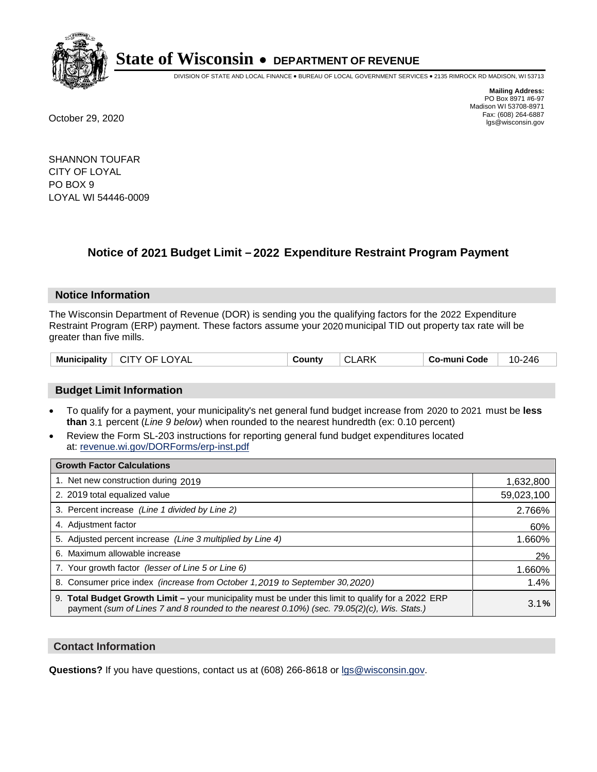

DIVISION OF STATE AND LOCAL FINANCE • BUREAU OF LOCAL GOVERNMENT SERVICES • 2135 RIMROCK RD MADISON, WI 53713

**Mailing Address:** PO Box 8971 #6-97 Madison WI 53708-8971<br>Fax: (608) 264-6887 Fax: (608) 264-6887 October 29, 2020 lgs@wisconsin.gov

SHANNON TOUFAR CITY OF LOYAL PO BOX 9 LOYAL WI 54446-0009

# **Notice of 2021 Budget Limit - 2022 Expenditure Restraint Program Payment**

## **Notice Information**

The Wisconsin Department of Revenue (DOR) is sending you the qualifying factors for the 2022 Expenditure Restraint Program (ERP) payment. These factors assume your 2020 municipal TID out property tax rate will be greater than five mills.

| <b>Municipality</b><br>$\vdash$ CITY OF LOYAL<br>County | <b>CLARK</b> | Co-muni Code | 10-246 |
|---------------------------------------------------------|--------------|--------------|--------|
|---------------------------------------------------------|--------------|--------------|--------|

# **Budget Limit Information**

- To qualify for a payment, your municipality's net general fund budget increase from 2020 to 2021 must be less **than** 3.1 percent (*Line 9 below*) when rounded to the nearest hundredth (ex: 0.10 percent)
- Review the Form SL-203 instructions for reporting general fund budget expenditures located at: revenue.wi.gov/DORForms/erp-inst.pdf

| <b>Growth Factor Calculations</b>                                                                                                                                                                  |            |
|----------------------------------------------------------------------------------------------------------------------------------------------------------------------------------------------------|------------|
| 1. Net new construction during 2019                                                                                                                                                                | 1,632,800  |
| 2. 2019 total equalized value                                                                                                                                                                      | 59,023,100 |
| 3. Percent increase (Line 1 divided by Line 2)                                                                                                                                                     | 2.766%     |
| 4. Adiustment factor                                                                                                                                                                               | 60%        |
| 5. Adjusted percent increase (Line 3 multiplied by Line 4)                                                                                                                                         | 1.660%     |
| 6. Maximum allowable increase                                                                                                                                                                      | 2%         |
| 7. Your growth factor (lesser of Line 5 or Line 6)                                                                                                                                                 | 1.660%     |
| 8. Consumer price index (increase from October 1,2019 to September 30,2020)                                                                                                                        | 1.4%       |
| 9. Total Budget Growth Limit - your municipality must be under this limit to qualify for a 2022 ERP<br>payment (sum of Lines 7 and 8 rounded to the nearest 0.10%) (sec. 79.05(2)(c), Wis. Stats.) | 3.1%       |

## **Contact Information**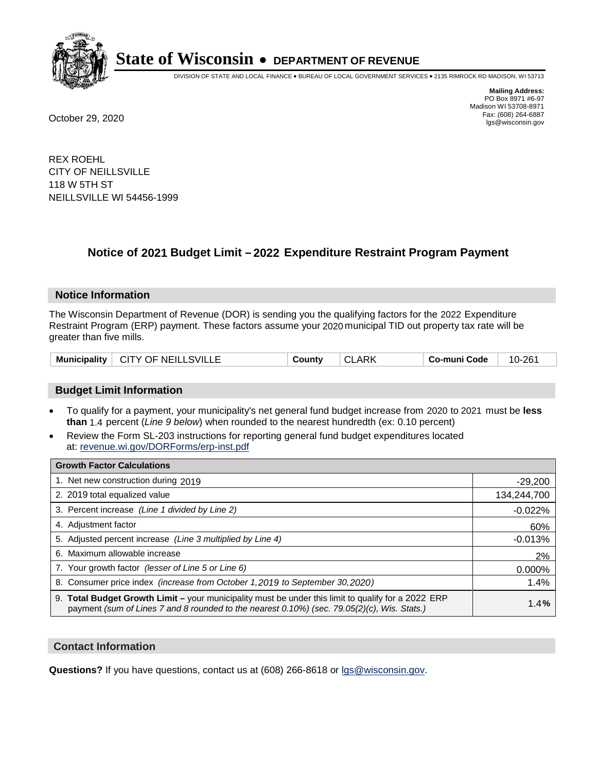

DIVISION OF STATE AND LOCAL FINANCE • BUREAU OF LOCAL GOVERNMENT SERVICES • 2135 RIMROCK RD MADISON, WI 53713

**Mailing Address:** PO Box 8971 #6-97 Madison WI 53708-8971<br>Fax: (608) 264-6887 Fax: (608) 264-6887 October 29, 2020 lgs@wisconsin.gov

REX ROEHL CITY OF NEILLSVILLE 118 W 5TH ST NEILLSVILLE WI 54456-1999

# **Notice of 2021 Budget Limit - 2022 Expenditure Restraint Program Payment**

### **Notice Information**

The Wisconsin Department of Revenue (DOR) is sending you the qualifying factors for the 2022 Expenditure Restraint Program (ERP) payment. These factors assume your 2020 municipal TID out property tax rate will be greater than five mills.

| Municipality   CITY OF NEILLSVILLE | County | <b>CLARK</b> | Co-muni Code | 10-261 |
|------------------------------------|--------|--------------|--------------|--------|
|------------------------------------|--------|--------------|--------------|--------|

# **Budget Limit Information**

- To qualify for a payment, your municipality's net general fund budget increase from 2020 to 2021 must be less **than** 1.4 percent (*Line 9 below*) when rounded to the nearest hundredth (ex: 0.10 percent)
- Review the Form SL-203 instructions for reporting general fund budget expenditures located at: revenue.wi.gov/DORForms/erp-inst.pdf

| <b>Growth Factor Calculations</b>                                                                                                                                                                      |             |
|--------------------------------------------------------------------------------------------------------------------------------------------------------------------------------------------------------|-------------|
| 1. Net new construction during 2019                                                                                                                                                                    | $-29,200$   |
| 2. 2019 total equalized value                                                                                                                                                                          | 134,244,700 |
| 3. Percent increase (Line 1 divided by Line 2)                                                                                                                                                         | $-0.022%$   |
| 4. Adjustment factor                                                                                                                                                                                   | 60%         |
| 5. Adjusted percent increase (Line 3 multiplied by Line 4)                                                                                                                                             | $-0.013%$   |
| 6. Maximum allowable increase                                                                                                                                                                          | 2%          |
| 7. Your growth factor (lesser of Line 5 or Line 6)                                                                                                                                                     | 0.000%      |
| 8. Consumer price index (increase from October 1,2019 to September 30,2020)                                                                                                                            | 1.4%        |
| 9. Total Budget Growth Limit - your municipality must be under this limit to qualify for a 2022 ERP<br>payment (sum of Lines 7 and 8 rounded to the nearest $0.10\%$ ) (sec. 79.05(2)(c), Wis. Stats.) | 1.4%        |

## **Contact Information**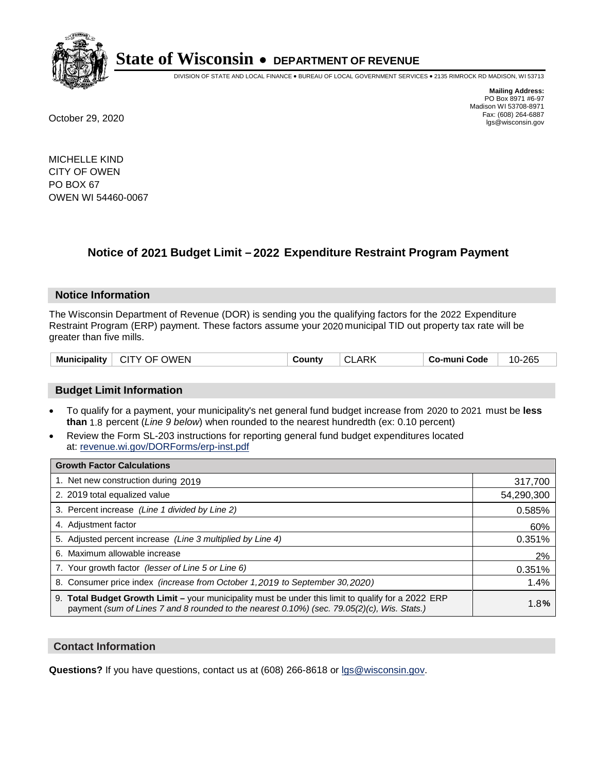

DIVISION OF STATE AND LOCAL FINANCE • BUREAU OF LOCAL GOVERNMENT SERVICES • 2135 RIMROCK RD MADISON, WI 53713

**Mailing Address:** PO Box 8971 #6-97 Madison WI 53708-8971<br>Fax: (608) 264-6887 Fax: (608) 264-6887 October 29, 2020 lgs@wisconsin.gov

MICHELLE KIND CITY OF OWEN PO BOX 67 OWEN WI 54460-0067

# **Notice of 2021 Budget Limit - 2022 Expenditure Restraint Program Payment**

## **Notice Information**

The Wisconsin Department of Revenue (DOR) is sending you the qualifying factors for the 2022 Expenditure Restraint Program (ERP) payment. These factors assume your 2020 municipal TID out property tax rate will be greater than five mills.

| $^{\circ}$ CITY OF OWEN<br><b>Municipality</b><br><b>CLARK</b><br>Co-muni Code<br>County | 10-265 |
|------------------------------------------------------------------------------------------|--------|
|------------------------------------------------------------------------------------------|--------|

# **Budget Limit Information**

- To qualify for a payment, your municipality's net general fund budget increase from 2020 to 2021 must be less **than** 1.8 percent (*Line 9 below*) when rounded to the nearest hundredth (ex: 0.10 percent)
- Review the Form SL-203 instructions for reporting general fund budget expenditures located at: revenue.wi.gov/DORForms/erp-inst.pdf

| <b>Growth Factor Calculations</b>                                                                                                                                                                  |            |
|----------------------------------------------------------------------------------------------------------------------------------------------------------------------------------------------------|------------|
| 1. Net new construction during 2019                                                                                                                                                                | 317,700    |
| 2. 2019 total equalized value                                                                                                                                                                      | 54,290,300 |
| 3. Percent increase (Line 1 divided by Line 2)                                                                                                                                                     | 0.585%     |
| 4. Adjustment factor                                                                                                                                                                               | 60%        |
| 5. Adjusted percent increase (Line 3 multiplied by Line 4)                                                                                                                                         | 0.351%     |
| 6. Maximum allowable increase                                                                                                                                                                      | 2%         |
| 7. Your growth factor (lesser of Line 5 or Line 6)                                                                                                                                                 | 0.351%     |
| 8. Consumer price index (increase from October 1,2019 to September 30,2020)                                                                                                                        | 1.4%       |
| 9. Total Budget Growth Limit - your municipality must be under this limit to qualify for a 2022 ERP<br>payment (sum of Lines 7 and 8 rounded to the nearest 0.10%) (sec. 79.05(2)(c), Wis. Stats.) | 1.8%       |

## **Contact Information**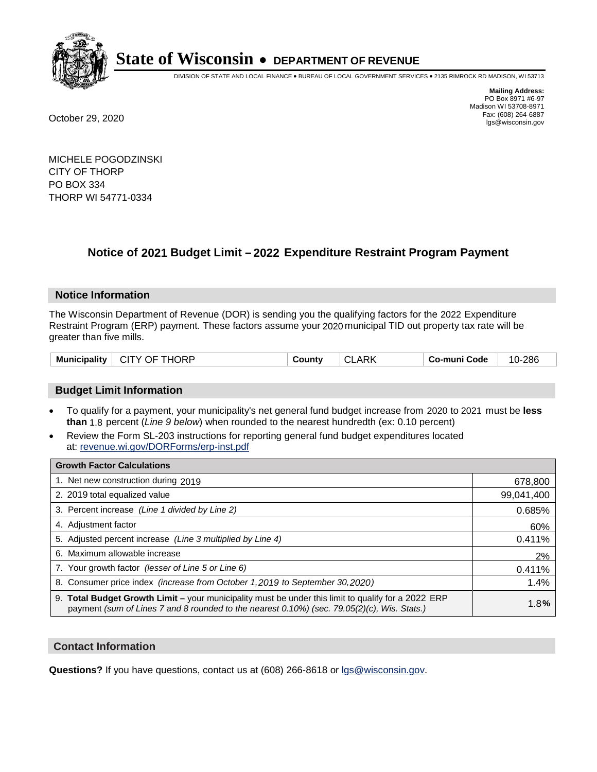

DIVISION OF STATE AND LOCAL FINANCE • BUREAU OF LOCAL GOVERNMENT SERVICES • 2135 RIMROCK RD MADISON, WI 53713

**Mailing Address:** PO Box 8971 #6-97 Madison WI 53708-8971<br>Fax: (608) 264-6887 Fax: (608) 264-6887 October 29, 2020 lgs@wisconsin.gov

MICHELE POGODZINSKI CITY OF THORP PO BOX 334 THORP WI 54771-0334

# **Notice of 2021 Budget Limit - 2022 Expenditure Restraint Program Payment**

## **Notice Information**

The Wisconsin Department of Revenue (DOR) is sending you the qualifying factors for the 2022 Expenditure Restraint Program (ERP) payment. These factors assume your 2020 municipal TID out property tax rate will be greater than five mills.

| Municipality | . CITY .<br>THORP<br>OF. | ∵ountٽ | <b>^'</b> | $\rightarrow$<br>Code<br>-mun<br>CO. | 286<br>$10 -$ |
|--------------|--------------------------|--------|-----------|--------------------------------------|---------------|
|--------------|--------------------------|--------|-----------|--------------------------------------|---------------|

# **Budget Limit Information**

- To qualify for a payment, your municipality's net general fund budget increase from 2020 to 2021 must be less **than** 1.8 percent (*Line 9 below*) when rounded to the nearest hundredth (ex: 0.10 percent)
- Review the Form SL-203 instructions for reporting general fund budget expenditures located at: revenue.wi.gov/DORForms/erp-inst.pdf

| <b>Growth Factor Calculations</b>                                                                                                                                                                      |            |
|--------------------------------------------------------------------------------------------------------------------------------------------------------------------------------------------------------|------------|
| 1. Net new construction during 2019                                                                                                                                                                    | 678,800    |
| 2. 2019 total equalized value                                                                                                                                                                          | 99,041,400 |
| 3. Percent increase (Line 1 divided by Line 2)                                                                                                                                                         | 0.685%     |
| 4. Adjustment factor                                                                                                                                                                                   | 60%        |
| 5. Adjusted percent increase (Line 3 multiplied by Line 4)                                                                                                                                             | 0.411%     |
| 6. Maximum allowable increase                                                                                                                                                                          | 2%         |
| 7. Your growth factor (lesser of Line 5 or Line 6)                                                                                                                                                     | 0.411%     |
| 8. Consumer price index (increase from October 1,2019 to September 30,2020)                                                                                                                            | 1.4%       |
| 9. Total Budget Growth Limit - your municipality must be under this limit to qualify for a 2022 ERP<br>payment (sum of Lines 7 and 8 rounded to the nearest $0.10\%$ ) (sec. 79.05(2)(c), Wis. Stats.) | 1.8%       |

## **Contact Information**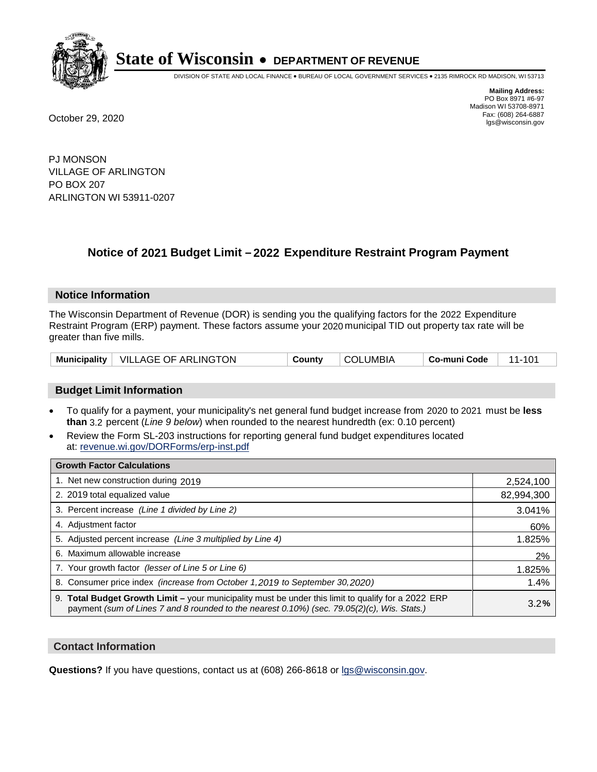

DIVISION OF STATE AND LOCAL FINANCE • BUREAU OF LOCAL GOVERNMENT SERVICES • 2135 RIMROCK RD MADISON, WI 53713

**Mailing Address:** PO Box 8971 #6-97 Madison WI 53708-8971<br>Fax: (608) 264-6887 Fax: (608) 264-6887 October 29, 2020 lgs@wisconsin.gov

PJ MONSON VILLAGE OF ARLINGTON PO BOX 207 ARLINGTON WI 53911-0207

# **Notice of 2021 Budget Limit - 2022 Expenditure Restraint Program Payment**

## **Notice Information**

The Wisconsin Department of Revenue (DOR) is sending you the qualifying factors for the 2022 Expenditure Restraint Program (ERP) payment. These factors assume your 2020 municipal TID out property tax rate will be greater than five mills.

|  | Municipality   VILLAGE OF ARLINGTON | County | <b>COLUMBIA</b> | Co-muni Code |  |
|--|-------------------------------------|--------|-----------------|--------------|--|
|--|-------------------------------------|--------|-----------------|--------------|--|

# **Budget Limit Information**

- To qualify for a payment, your municipality's net general fund budget increase from 2020 to 2021 must be less **than** 3.2 percent (*Line 9 below*) when rounded to the nearest hundredth (ex: 0.10 percent)
- Review the Form SL-203 instructions for reporting general fund budget expenditures located at: revenue.wi.gov/DORForms/erp-inst.pdf

| <b>Growth Factor Calculations</b>                                                                                                                                                                  |            |
|----------------------------------------------------------------------------------------------------------------------------------------------------------------------------------------------------|------------|
| 1. Net new construction during 2019                                                                                                                                                                | 2,524,100  |
| 2. 2019 total equalized value                                                                                                                                                                      | 82,994,300 |
| 3. Percent increase (Line 1 divided by Line 2)                                                                                                                                                     | 3.041%     |
| 4. Adjustment factor                                                                                                                                                                               | 60%        |
| 5. Adjusted percent increase (Line 3 multiplied by Line 4)                                                                                                                                         | 1.825%     |
| 6. Maximum allowable increase                                                                                                                                                                      | 2%         |
| 7. Your growth factor (lesser of Line 5 or Line 6)                                                                                                                                                 | 1.825%     |
| 8. Consumer price index (increase from October 1, 2019 to September 30, 2020)                                                                                                                      | 1.4%       |
| 9. Total Budget Growth Limit - your municipality must be under this limit to qualify for a 2022 ERP<br>payment (sum of Lines 7 and 8 rounded to the nearest 0.10%) (sec. 79.05(2)(c), Wis. Stats.) | 3.2%       |

## **Contact Information**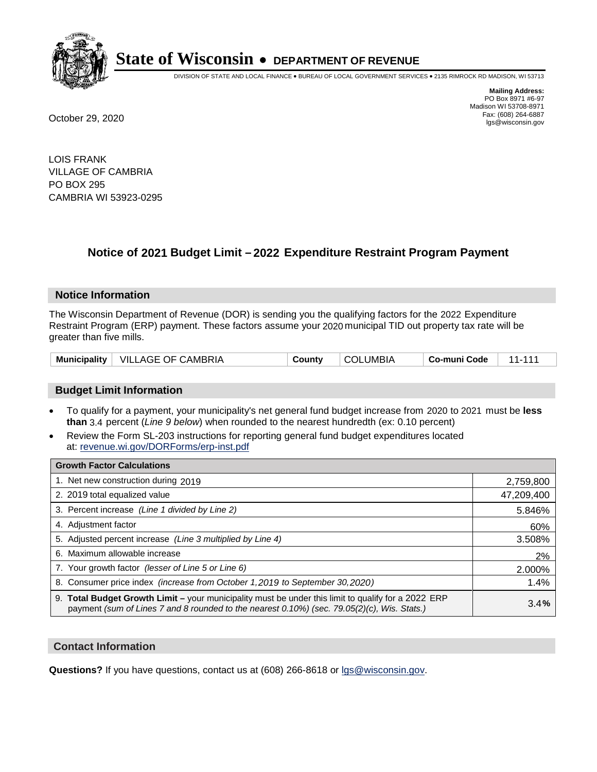

DIVISION OF STATE AND LOCAL FINANCE • BUREAU OF LOCAL GOVERNMENT SERVICES • 2135 RIMROCK RD MADISON, WI 53713

**Mailing Address:** PO Box 8971 #6-97 Madison WI 53708-8971<br>Fax: (608) 264-6887 Fax: (608) 264-6887 October 29, 2020 lgs@wisconsin.gov

LOIS FRANK VILLAGE OF CAMBRIA PO BOX 295 CAMBRIA WI 53923-0295

# **Notice of 2021 Budget Limit - 2022 Expenditure Restraint Program Payment**

### **Notice Information**

The Wisconsin Department of Revenue (DOR) is sending you the qualifying factors for the 2022 Expenditure Restraint Program (ERP) payment. These factors assume your 2020 municipal TID out property tax rate will be greater than five mills.

| <b>Municipality</b> | VILLAGE OF CAMBRIA | Countv | ∠LUMBIA<br>COL. | Co-muni Code |  |
|---------------------|--------------------|--------|-----------------|--------------|--|
|---------------------|--------------------|--------|-----------------|--------------|--|

# **Budget Limit Information**

- To qualify for a payment, your municipality's net general fund budget increase from 2020 to 2021 must be less **than** 3.4 percent (*Line 9 below*) when rounded to the nearest hundredth (ex: 0.10 percent)
- Review the Form SL-203 instructions for reporting general fund budget expenditures located at: revenue.wi.gov/DORForms/erp-inst.pdf

| <b>Growth Factor Calculations</b>                                                                                                                                                                  |            |
|----------------------------------------------------------------------------------------------------------------------------------------------------------------------------------------------------|------------|
| 1. Net new construction during 2019                                                                                                                                                                | 2,759,800  |
| 2. 2019 total equalized value                                                                                                                                                                      | 47,209,400 |
| 3. Percent increase (Line 1 divided by Line 2)                                                                                                                                                     | 5.846%     |
| 4. Adiustment factor                                                                                                                                                                               | 60%        |
| 5. Adjusted percent increase (Line 3 multiplied by Line 4)                                                                                                                                         | 3.508%     |
| 6. Maximum allowable increase                                                                                                                                                                      | 2%         |
| 7. Your growth factor (lesser of Line 5 or Line 6)                                                                                                                                                 | 2.000%     |
| 8. Consumer price index (increase from October 1,2019 to September 30,2020)                                                                                                                        | 1.4%       |
| 9. Total Budget Growth Limit - your municipality must be under this limit to qualify for a 2022 ERP<br>payment (sum of Lines 7 and 8 rounded to the nearest 0.10%) (sec. 79.05(2)(c), Wis. Stats.) | 3.4%       |

## **Contact Information**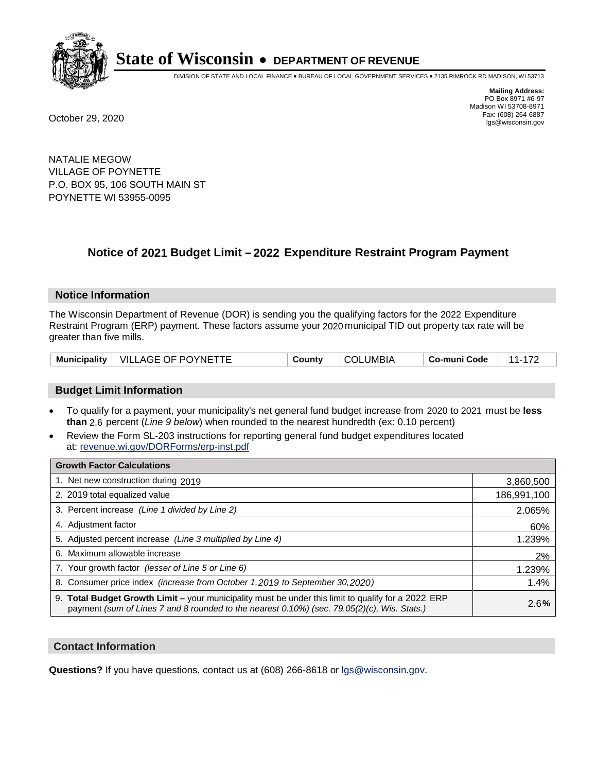

DIVISION OF STATE AND LOCAL FINANCE • BUREAU OF LOCAL GOVERNMENT SERVICES • 2135 RIMROCK RD MADISON, WI 53713

**Mailing Address:** PO Box 8971 #6-97 Madison WI 53708-8971<br>Fax: (608) 264-6887 Fax: (608) 264-6887 October 29, 2020 lgs@wisconsin.gov

NATALIE MEGOW VILLAGE OF POYNETTE P.O. BOX 95, 106 SOUTH MAIN ST POYNETTE WI 53955-0095

# **Notice of 2021 Budget Limit - 2022 Expenditure Restraint Program Payment**

### **Notice Information**

The Wisconsin Department of Revenue (DOR) is sending you the qualifying factors for the 2022 Expenditure Restraint Program (ERP) payment. These factors assume your 2020 municipal TID out property tax rate will be greater than five mills.

| VILLAGE OF POYNETTE<br><b>Municipality</b> | County | <b>COLUMBIA</b> | Co-muni Code |  |
|--------------------------------------------|--------|-----------------|--------------|--|
|--------------------------------------------|--------|-----------------|--------------|--|

# **Budget Limit Information**

- To qualify for a payment, your municipality's net general fund budget increase from 2020 to 2021 must be less **than** 2.6 percent (*Line 9 below*) when rounded to the nearest hundredth (ex: 0.10 percent)
- Review the Form SL-203 instructions for reporting general fund budget expenditures located at: revenue.wi.gov/DORForms/erp-inst.pdf

| <b>Growth Factor Calculations</b>                                                                                                                                                                  |             |
|----------------------------------------------------------------------------------------------------------------------------------------------------------------------------------------------------|-------------|
| 1. Net new construction during 2019                                                                                                                                                                | 3,860,500   |
| 2. 2019 total equalized value                                                                                                                                                                      | 186,991,100 |
| 3. Percent increase (Line 1 divided by Line 2)                                                                                                                                                     | 2.065%      |
| 4. Adjustment factor                                                                                                                                                                               | 60%         |
| 5. Adjusted percent increase (Line 3 multiplied by Line 4)                                                                                                                                         | 1.239%      |
| 6. Maximum allowable increase                                                                                                                                                                      | 2%          |
| 7. Your growth factor (lesser of Line 5 or Line 6)                                                                                                                                                 | 1.239%      |
| 8. Consumer price index (increase from October 1, 2019 to September 30, 2020)                                                                                                                      | 1.4%        |
| 9. Total Budget Growth Limit - your municipality must be under this limit to qualify for a 2022 ERP<br>payment (sum of Lines 7 and 8 rounded to the nearest 0.10%) (sec. 79.05(2)(c), Wis. Stats.) | 2.6%        |

## **Contact Information**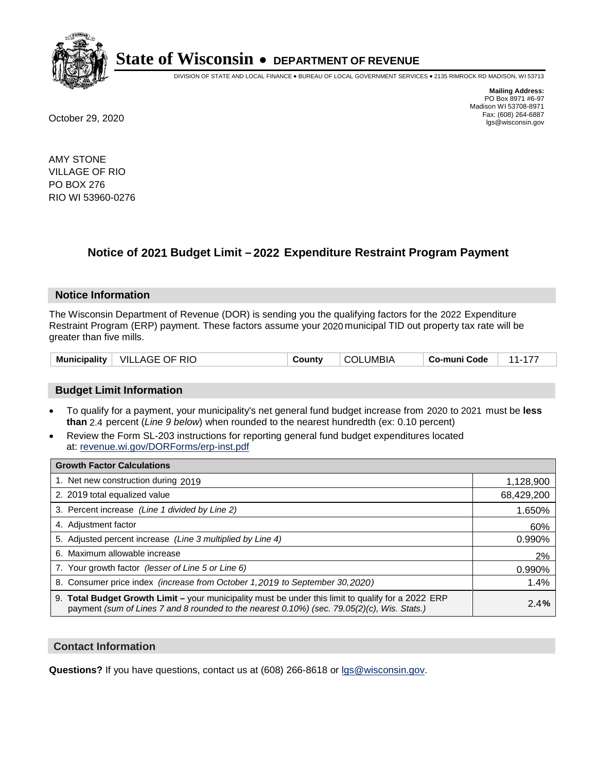

DIVISION OF STATE AND LOCAL FINANCE • BUREAU OF LOCAL GOVERNMENT SERVICES • 2135 RIMROCK RD MADISON, WI 53713

**Mailing Address:** PO Box 8971 #6-97 Madison WI 53708-8971<br>Fax: (608) 264-6887 Fax: (608) 264-6887 October 29, 2020 lgs@wisconsin.gov

AMY STONE VILLAGE OF RIO PO BOX 276 RIO WI 53960-0276

# **Notice of 2021 Budget Limit - 2022 Expenditure Restraint Program Payment**

## **Notice Information**

The Wisconsin Department of Revenue (DOR) is sending you the qualifying factors for the 2022 Expenditure Restraint Program (ERP) payment. These factors assume your 2020 municipal TID out property tax rate will be greater than five mills.

| $\mid$ VILLAGE OF RIO<br><b>Municipality</b> | County | <b>COLUMBIA</b> | Co-muni Code |  |
|----------------------------------------------|--------|-----------------|--------------|--|
|----------------------------------------------|--------|-----------------|--------------|--|

# **Budget Limit Information**

- To qualify for a payment, your municipality's net general fund budget increase from 2020 to 2021 must be less **than** 2.4 percent (*Line 9 below*) when rounded to the nearest hundredth (ex: 0.10 percent)
- Review the Form SL-203 instructions for reporting general fund budget expenditures located at: revenue.wi.gov/DORForms/erp-inst.pdf

| <b>Growth Factor Calculations</b>                                                                                                                                                                      |            |
|--------------------------------------------------------------------------------------------------------------------------------------------------------------------------------------------------------|------------|
| 1. Net new construction during 2019                                                                                                                                                                    | 1,128,900  |
| 2. 2019 total equalized value                                                                                                                                                                          | 68,429,200 |
| 3. Percent increase (Line 1 divided by Line 2)                                                                                                                                                         | 1.650%     |
| 4. Adjustment factor                                                                                                                                                                                   | 60%        |
| 5. Adjusted percent increase (Line 3 multiplied by Line 4)                                                                                                                                             | 0.990%     |
| 6. Maximum allowable increase                                                                                                                                                                          | 2%         |
| 7. Your growth factor (lesser of Line 5 or Line 6)                                                                                                                                                     | 0.990%     |
| 8. Consumer price index (increase from October 1, 2019 to September 30, 2020)                                                                                                                          | 1.4%       |
| 9. Total Budget Growth Limit - your municipality must be under this limit to qualify for a 2022 ERP<br>payment (sum of Lines 7 and 8 rounded to the nearest $0.10\%$ ) (sec. 79.05(2)(c), Wis. Stats.) | 2.4%       |

## **Contact Information**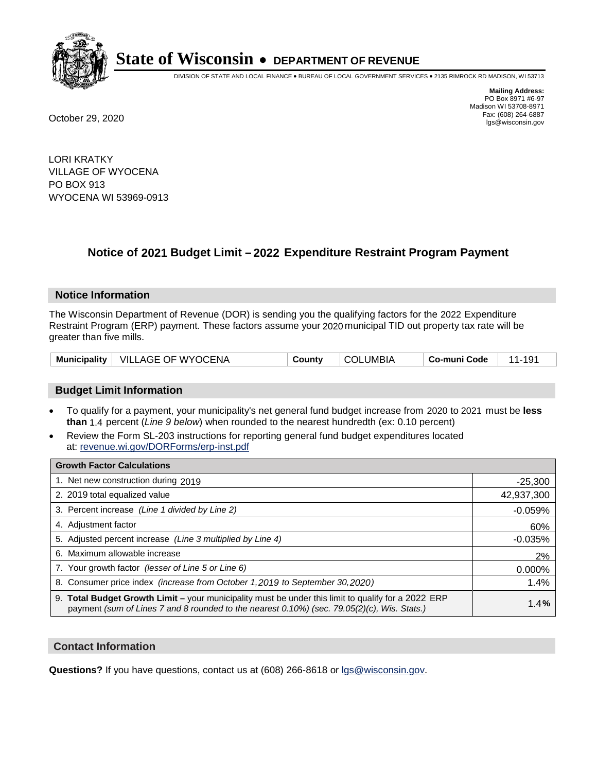

DIVISION OF STATE AND LOCAL FINANCE • BUREAU OF LOCAL GOVERNMENT SERVICES • 2135 RIMROCK RD MADISON, WI 53713

**Mailing Address:** PO Box 8971 #6-97 Madison WI 53708-8971<br>Fax: (608) 264-6887 Fax: (608) 264-6887 October 29, 2020 lgs@wisconsin.gov

LORI KRATKY VILLAGE OF WYOCENA PO BOX 913 WYOCENA WI 53969-0913

# **Notice of 2021 Budget Limit - 2022 Expenditure Restraint Program Payment**

## **Notice Information**

The Wisconsin Department of Revenue (DOR) is sending you the qualifying factors for the 2022 Expenditure Restraint Program (ERP) payment. These factors assume your 2020 municipal TID out property tax rate will be greater than five mills.

|  | Municipality   VILLAGE OF WYOCENA | County | <b>COLUMBIA</b> | Co-muni Code |  |
|--|-----------------------------------|--------|-----------------|--------------|--|
|--|-----------------------------------|--------|-----------------|--------------|--|

# **Budget Limit Information**

- To qualify for a payment, your municipality's net general fund budget increase from 2020 to 2021 must be less **than** 1.4 percent (*Line 9 below*) when rounded to the nearest hundredth (ex: 0.10 percent)
- Review the Form SL-203 instructions for reporting general fund budget expenditures located at: revenue.wi.gov/DORForms/erp-inst.pdf

| <b>Growth Factor Calculations</b>                                                                                                                                                                      |            |
|--------------------------------------------------------------------------------------------------------------------------------------------------------------------------------------------------------|------------|
| 1. Net new construction during 2019                                                                                                                                                                    | $-25,300$  |
| 2. 2019 total equalized value                                                                                                                                                                          | 42,937,300 |
| 3. Percent increase (Line 1 divided by Line 2)                                                                                                                                                         | $-0.059%$  |
| 4. Adjustment factor                                                                                                                                                                                   | 60%        |
| 5. Adjusted percent increase (Line 3 multiplied by Line 4)                                                                                                                                             | $-0.035%$  |
| 6. Maximum allowable increase                                                                                                                                                                          | 2%         |
| 7. Your growth factor (lesser of Line 5 or Line 6)                                                                                                                                                     | 0.000%     |
| 8. Consumer price index (increase from October 1,2019 to September 30,2020)                                                                                                                            | 1.4%       |
| 9. Total Budget Growth Limit - your municipality must be under this limit to qualify for a 2022 ERP<br>payment (sum of Lines 7 and 8 rounded to the nearest $0.10\%$ ) (sec. 79.05(2)(c), Wis. Stats.) | 1.4%       |

## **Contact Information**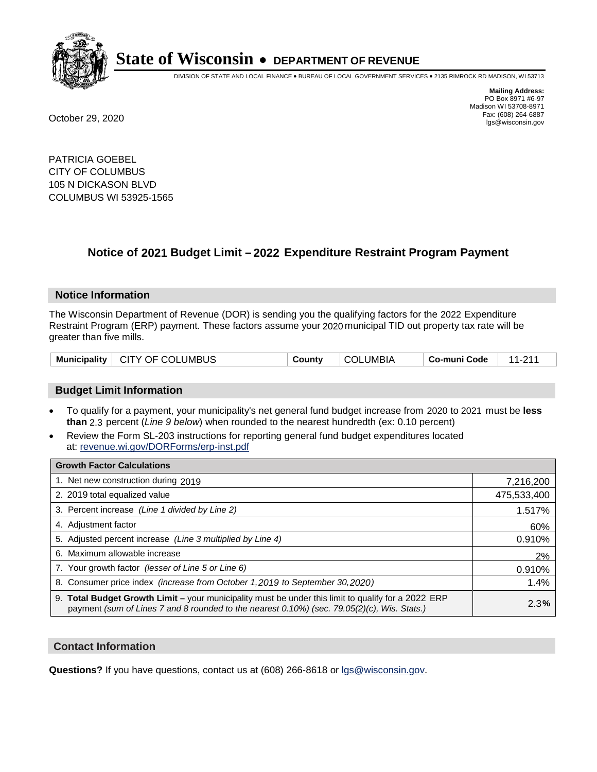

DIVISION OF STATE AND LOCAL FINANCE • BUREAU OF LOCAL GOVERNMENT SERVICES • 2135 RIMROCK RD MADISON, WI 53713

**Mailing Address:** PO Box 8971 #6-97 Madison WI 53708-8971<br>Fax: (608) 264-6887 Fax: (608) 264-6887 October 29, 2020 lgs@wisconsin.gov

PATRICIA GOEBEL CITY OF COLUMBUS 105 N DICKASON BLVD COLUMBUS WI 53925-1565

# **Notice of 2021 Budget Limit - 2022 Expenditure Restraint Program Payment**

## **Notice Information**

The Wisconsin Department of Revenue (DOR) is sending you the qualifying factors for the 2022 Expenditure Restraint Program (ERP) payment. These factors assume your 2020 municipal TID out property tax rate will be greater than five mills.

| Municipality   CITY OF COLUMBUS | County | <b>COLUMBIA</b> | Co-muni Code | $\frac{1}{2}$ 11.011 |
|---------------------------------|--------|-----------------|--------------|----------------------|
|---------------------------------|--------|-----------------|--------------|----------------------|

# **Budget Limit Information**

- To qualify for a payment, your municipality's net general fund budget increase from 2020 to 2021 must be less **than** 2.3 percent (*Line 9 below*) when rounded to the nearest hundredth (ex: 0.10 percent)
- Review the Form SL-203 instructions for reporting general fund budget expenditures located at: revenue.wi.gov/DORForms/erp-inst.pdf

| <b>Growth Factor Calculations</b>                                                                                                                                                                      |             |
|--------------------------------------------------------------------------------------------------------------------------------------------------------------------------------------------------------|-------------|
| 1. Net new construction during 2019                                                                                                                                                                    | 7,216,200   |
| 2. 2019 total equalized value                                                                                                                                                                          | 475,533,400 |
| 3. Percent increase (Line 1 divided by Line 2)                                                                                                                                                         | 1.517%      |
| 4. Adjustment factor                                                                                                                                                                                   | 60%         |
| 5. Adjusted percent increase (Line 3 multiplied by Line 4)                                                                                                                                             | 0.910%      |
| 6. Maximum allowable increase                                                                                                                                                                          | 2%          |
| 7. Your growth factor (lesser of Line 5 or Line 6)                                                                                                                                                     | 0.910%      |
| 8. Consumer price index (increase from October 1, 2019 to September 30, 2020)                                                                                                                          | 1.4%        |
| 9. Total Budget Growth Limit - your municipality must be under this limit to qualify for a 2022 ERP<br>payment (sum of Lines 7 and 8 rounded to the nearest $0.10\%$ ) (sec. 79.05(2)(c), Wis. Stats.) | 2.3%        |

## **Contact Information**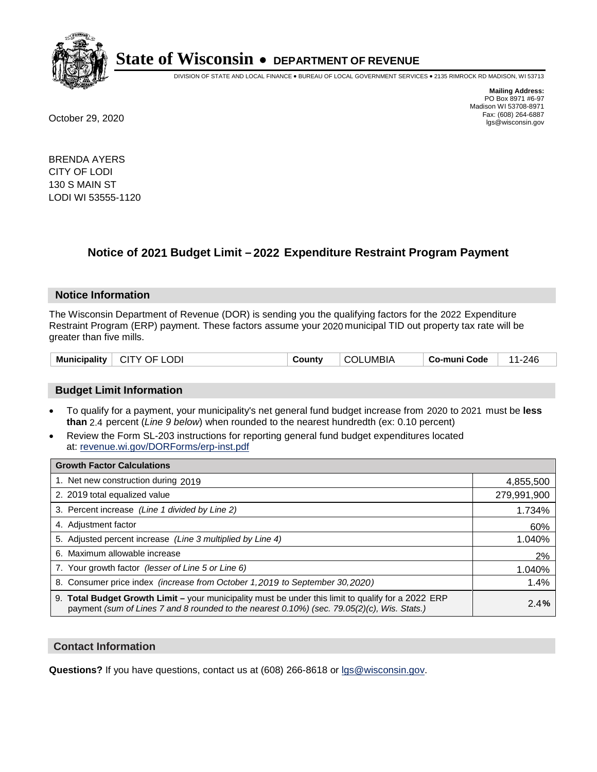

DIVISION OF STATE AND LOCAL FINANCE • BUREAU OF LOCAL GOVERNMENT SERVICES • 2135 RIMROCK RD MADISON, WI 53713

**Mailing Address:** PO Box 8971 #6-97 Madison WI 53708-8971<br>Fax: (608) 264-6887 Fax: (608) 264-6887 October 29, 2020 lgs@wisconsin.gov

BRENDA AYERS CITY OF LODI 130 S MAIN ST LODI WI 53555-1120

# **Notice of 2021 Budget Limit - 2022 Expenditure Restraint Program Payment**

### **Notice Information**

The Wisconsin Department of Revenue (DOR) is sending you the qualifying factors for the 2022 Expenditure Restraint Program (ERP) payment. These factors assume your 2020 municipal TID out property tax rate will be greater than five mills.

| Municipality | .ODI<br>OF.<br>-CITY | `ountv | UMBIA.<br>COL | co-muni Code، | 246<br>- 1 |
|--------------|----------------------|--------|---------------|---------------|------------|
|--------------|----------------------|--------|---------------|---------------|------------|

## **Budget Limit Information**

- To qualify for a payment, your municipality's net general fund budget increase from 2020 to 2021 must be less **than** 2.4 percent (*Line 9 below*) when rounded to the nearest hundredth (ex: 0.10 percent)
- Review the Form SL-203 instructions for reporting general fund budget expenditures located at: revenue.wi.gov/DORForms/erp-inst.pdf

| <b>Growth Factor Calculations</b>                                                                                                                                                                  |             |
|----------------------------------------------------------------------------------------------------------------------------------------------------------------------------------------------------|-------------|
| 1. Net new construction during 2019                                                                                                                                                                | 4,855,500   |
| 2. 2019 total equalized value                                                                                                                                                                      | 279,991,900 |
| 3. Percent increase (Line 1 divided by Line 2)                                                                                                                                                     | 1.734%      |
| 4. Adjustment factor                                                                                                                                                                               | 60%         |
| 5. Adjusted percent increase (Line 3 multiplied by Line 4)                                                                                                                                         | 1.040%      |
| 6. Maximum allowable increase                                                                                                                                                                      | 2%          |
| 7. Your growth factor (lesser of Line 5 or Line 6)                                                                                                                                                 | 1.040%      |
| 8. Consumer price index (increase from October 1, 2019 to September 30, 2020)                                                                                                                      | 1.4%        |
| 9. Total Budget Growth Limit - your municipality must be under this limit to qualify for a 2022 ERP<br>payment (sum of Lines 7 and 8 rounded to the nearest 0.10%) (sec. 79.05(2)(c), Wis. Stats.) | 2.4%        |

## **Contact Information**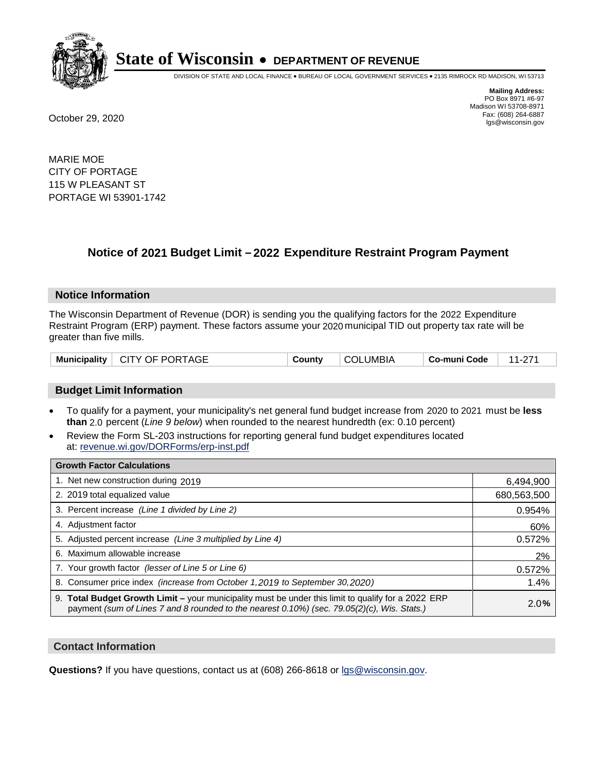

DIVISION OF STATE AND LOCAL FINANCE • BUREAU OF LOCAL GOVERNMENT SERVICES • 2135 RIMROCK RD MADISON, WI 53713

**Mailing Address:** PO Box 8971 #6-97 Madison WI 53708-8971<br>Fax: (608) 264-6887 Fax: (608) 264-6887 October 29, 2020 lgs@wisconsin.gov

MARIE MOE CITY OF PORTAGE 115 W PLEASANT ST PORTAGE WI 53901-1742

# **Notice of 2021 Budget Limit - 2022 Expenditure Restraint Program Payment**

### **Notice Information**

The Wisconsin Department of Revenue (DOR) is sending you the qualifying factors for the 2022 Expenditure Restraint Program (ERP) payment. These factors assume your 2020 municipal TID out property tax rate will be greater than five mills.

| Municipality   CITY OF PORTAGE | County | <b>COLUMBIA</b> | $\,$ Co-muni Code $\,$   11-271 |  |
|--------------------------------|--------|-----------------|---------------------------------|--|
|--------------------------------|--------|-----------------|---------------------------------|--|

## **Budget Limit Information**

- To qualify for a payment, your municipality's net general fund budget increase from 2020 to 2021 must be less **than** 2.0 percent (*Line 9 below*) when rounded to the nearest hundredth (ex: 0.10 percent)
- Review the Form SL-203 instructions for reporting general fund budget expenditures located at: revenue.wi.gov/DORForms/erp-inst.pdf

| <b>Growth Factor Calculations</b>                                                                                                                                                                  |             |
|----------------------------------------------------------------------------------------------------------------------------------------------------------------------------------------------------|-------------|
| 1. Net new construction during 2019                                                                                                                                                                | 6,494,900   |
| 2. 2019 total equalized value                                                                                                                                                                      | 680,563,500 |
| 3. Percent increase (Line 1 divided by Line 2)                                                                                                                                                     | 0.954%      |
| 4. Adjustment factor                                                                                                                                                                               | 60%         |
| 5. Adjusted percent increase (Line 3 multiplied by Line 4)                                                                                                                                         | 0.572%      |
| 6. Maximum allowable increase                                                                                                                                                                      | 2%          |
| 7. Your growth factor (lesser of Line 5 or Line 6)                                                                                                                                                 | 0.572%      |
| 8. Consumer price index (increase from October 1, 2019 to September 30, 2020)                                                                                                                      | 1.4%        |
| 9. Total Budget Growth Limit - your municipality must be under this limit to qualify for a 2022 ERP<br>payment (sum of Lines 7 and 8 rounded to the nearest 0.10%) (sec. 79.05(2)(c), Wis. Stats.) | 2.0%        |

## **Contact Information**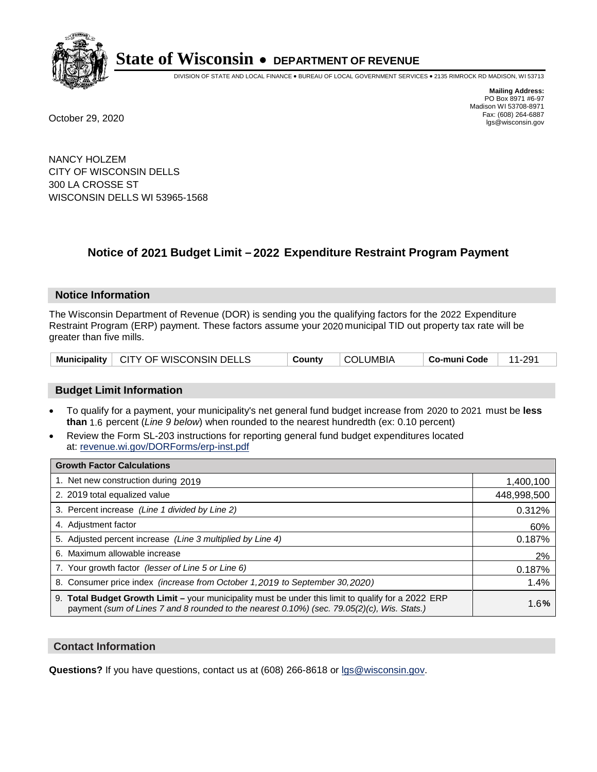

DIVISION OF STATE AND LOCAL FINANCE • BUREAU OF LOCAL GOVERNMENT SERVICES • 2135 RIMROCK RD MADISON, WI 53713

**Mailing Address:** PO Box 8971 #6-97 Madison WI 53708-8971<br>Fax: (608) 264-6887 Fax: (608) 264-6887 October 29, 2020 lgs@wisconsin.gov

NANCY HOLZEM CITY OF WISCONSIN DELLS 300 LA CROSSE ST WISCONSIN DELLS WI 53965-1568

# **Notice of 2021 Budget Limit - 2022 Expenditure Restraint Program Payment**

## **Notice Information**

The Wisconsin Department of Revenue (DOR) is sending you the qualifying factors for the 2022 Expenditure Restraint Program (ERP) payment. These factors assume your 2020 municipal TID out property tax rate will be greater than five mills.

|  | Municipality   CITY OF WISCONSIN DELLS | County | <b>COLUMBIA</b> | <b>∣ Co-muni Code</b> ⊣ | 11-291 |
|--|----------------------------------------|--------|-----------------|-------------------------|--------|
|--|----------------------------------------|--------|-----------------|-------------------------|--------|

# **Budget Limit Information**

- To qualify for a payment, your municipality's net general fund budget increase from 2020 to 2021 must be less **than** 1.6 percent (*Line 9 below*) when rounded to the nearest hundredth (ex: 0.10 percent)
- Review the Form SL-203 instructions for reporting general fund budget expenditures located at: revenue.wi.gov/DORForms/erp-inst.pdf

| <b>Growth Factor Calculations</b>                                                                                                                                                                      |             |
|--------------------------------------------------------------------------------------------------------------------------------------------------------------------------------------------------------|-------------|
| 1. Net new construction during 2019                                                                                                                                                                    | 1,400,100   |
| 2. 2019 total equalized value                                                                                                                                                                          | 448,998,500 |
| 3. Percent increase (Line 1 divided by Line 2)                                                                                                                                                         | 0.312%      |
| 4. Adjustment factor                                                                                                                                                                                   | 60%         |
| 5. Adjusted percent increase (Line 3 multiplied by Line 4)                                                                                                                                             | 0.187%      |
| 6. Maximum allowable increase                                                                                                                                                                          | 2%          |
| 7. Your growth factor (lesser of Line 5 or Line 6)                                                                                                                                                     | 0.187%      |
| 8. Consumer price index (increase from October 1, 2019 to September 30, 2020)                                                                                                                          | 1.4%        |
| 9. Total Budget Growth Limit - your municipality must be under this limit to qualify for a 2022 ERP<br>payment (sum of Lines 7 and 8 rounded to the nearest $0.10\%$ ) (sec. 79.05(2)(c), Wis. Stats.) | 1.6%        |

## **Contact Information**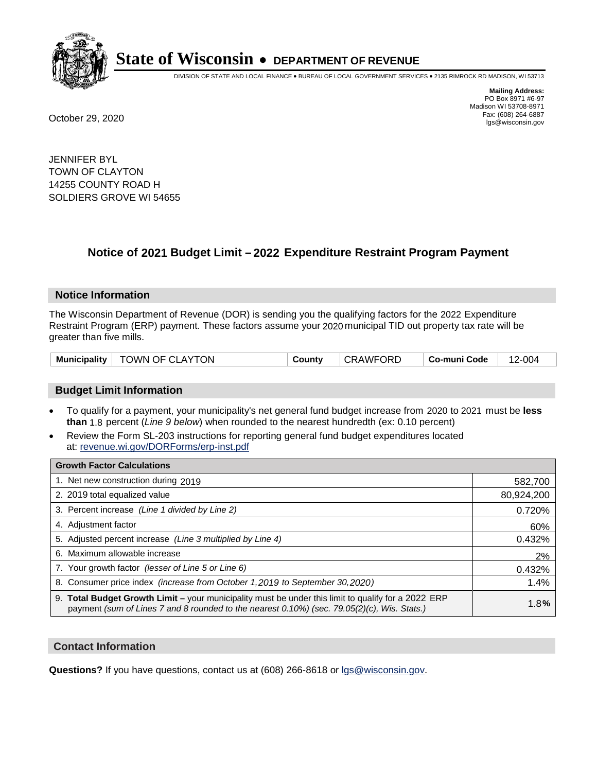

DIVISION OF STATE AND LOCAL FINANCE • BUREAU OF LOCAL GOVERNMENT SERVICES • 2135 RIMROCK RD MADISON, WI 53713

**Mailing Address:** PO Box 8971 #6-97 Madison WI 53708-8971<br>Fax: (608) 264-6887 Fax: (608) 264-6887 October 29, 2020 lgs@wisconsin.gov

JENNIFER BYL TOWN OF CLAYTON 14255 COUNTY ROAD H SOLDIERS GROVE WI 54655

# **Notice of 2021 Budget Limit - 2022 Expenditure Restraint Program Payment**

## **Notice Information**

The Wisconsin Department of Revenue (DOR) is sending you the qualifying factors for the 2022 Expenditure Restraint Program (ERP) payment. These factors assume your 2020 municipal TID out property tax rate will be greater than five mills.

| Municipality   TOWN OF CLAYTON |  | County | CRAWFORD | ∣ Co-muni Code | 12-004 |
|--------------------------------|--|--------|----------|----------------|--------|
|--------------------------------|--|--------|----------|----------------|--------|

# **Budget Limit Information**

- To qualify for a payment, your municipality's net general fund budget increase from 2020 to 2021 must be less **than** 1.8 percent (*Line 9 below*) when rounded to the nearest hundredth (ex: 0.10 percent)
- Review the Form SL-203 instructions for reporting general fund budget expenditures located at: revenue.wi.gov/DORForms/erp-inst.pdf

| <b>Growth Factor Calculations</b>                                                                                                                                                                      |            |
|--------------------------------------------------------------------------------------------------------------------------------------------------------------------------------------------------------|------------|
| 1. Net new construction during 2019                                                                                                                                                                    | 582,700    |
| 2. 2019 total equalized value                                                                                                                                                                          | 80,924,200 |
| 3. Percent increase (Line 1 divided by Line 2)                                                                                                                                                         | 0.720%     |
| 4. Adjustment factor                                                                                                                                                                                   | 60%        |
| 5. Adjusted percent increase (Line 3 multiplied by Line 4)                                                                                                                                             | 0.432%     |
| 6. Maximum allowable increase                                                                                                                                                                          | 2%         |
| 7. Your growth factor (lesser of Line 5 or Line 6)                                                                                                                                                     | 0.432%     |
| 8. Consumer price index (increase from October 1,2019 to September 30,2020)                                                                                                                            | 1.4%       |
| 9. Total Budget Growth Limit - your municipality must be under this limit to qualify for a 2022 ERP<br>payment (sum of Lines 7 and 8 rounded to the nearest $0.10\%$ ) (sec. 79.05(2)(c), Wis. Stats.) | 1.8%       |

## **Contact Information**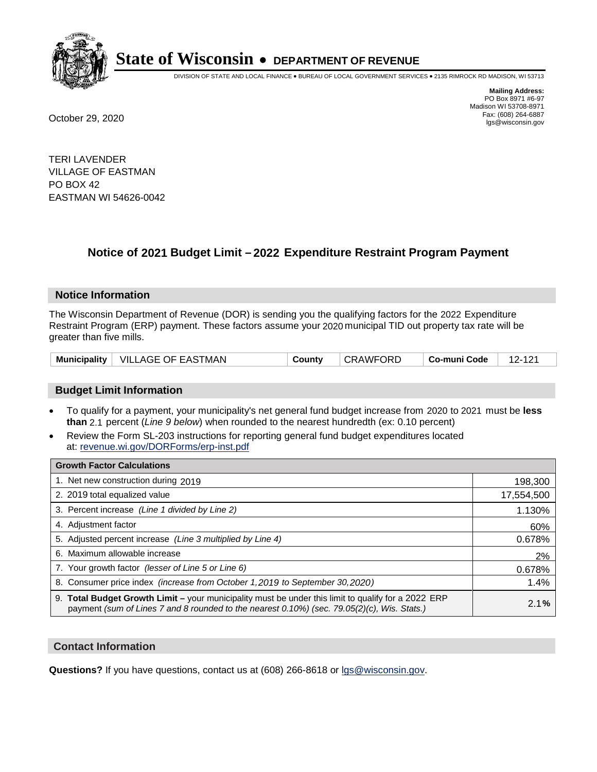

DIVISION OF STATE AND LOCAL FINANCE • BUREAU OF LOCAL GOVERNMENT SERVICES • 2135 RIMROCK RD MADISON, WI 53713

**Mailing Address:** PO Box 8971 #6-97 Madison WI 53708-8971<br>Fax: (608) 264-6887 Fax: (608) 264-6887 October 29, 2020 lgs@wisconsin.gov

TERI LAVENDER VILLAGE OF EASTMAN PO BOX 42 EASTMAN WI 54626-0042

# **Notice of 2021 Budget Limit - 2022 Expenditure Restraint Program Payment**

### **Notice Information**

The Wisconsin Department of Revenue (DOR) is sending you the qualifying factors for the 2022 Expenditure Restraint Program (ERP) payment. These factors assume your 2020 municipal TID out property tax rate will be greater than five mills.

| Municipality   VILLAGE OF EASTMAN | Countv | CRAWFORD | ∣ Co-muni Code | 12-121 |
|-----------------------------------|--------|----------|----------------|--------|
|-----------------------------------|--------|----------|----------------|--------|

# **Budget Limit Information**

- To qualify for a payment, your municipality's net general fund budget increase from 2020 to 2021 must be less **than** 2.1 percent (*Line 9 below*) when rounded to the nearest hundredth (ex: 0.10 percent)
- Review the Form SL-203 instructions for reporting general fund budget expenditures located at: revenue.wi.gov/DORForms/erp-inst.pdf

| <b>Growth Factor Calculations</b>                                                                                                                                                                      |            |
|--------------------------------------------------------------------------------------------------------------------------------------------------------------------------------------------------------|------------|
| 1. Net new construction during 2019                                                                                                                                                                    | 198,300    |
| 2. 2019 total equalized value                                                                                                                                                                          | 17,554,500 |
| 3. Percent increase (Line 1 divided by Line 2)                                                                                                                                                         | 1.130%     |
| 4. Adjustment factor                                                                                                                                                                                   | 60%        |
| 5. Adjusted percent increase (Line 3 multiplied by Line 4)                                                                                                                                             | 0.678%     |
| 6. Maximum allowable increase                                                                                                                                                                          | 2%         |
| 7. Your growth factor (lesser of Line 5 or Line 6)                                                                                                                                                     | 0.678%     |
| 8. Consumer price index (increase from October 1,2019 to September 30,2020)                                                                                                                            | 1.4%       |
| 9. Total Budget Growth Limit - your municipality must be under this limit to qualify for a 2022 ERP<br>payment (sum of Lines 7 and 8 rounded to the nearest $0.10\%$ ) (sec. 79.05(2)(c), Wis. Stats.) | 2.1%       |

## **Contact Information**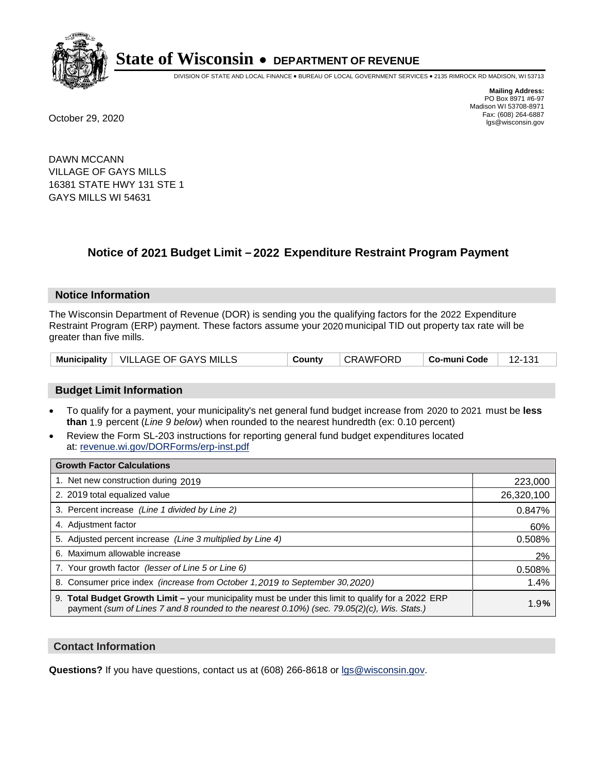

DIVISION OF STATE AND LOCAL FINANCE • BUREAU OF LOCAL GOVERNMENT SERVICES • 2135 RIMROCK RD MADISON, WI 53713

**Mailing Address:** PO Box 8971 #6-97 Madison WI 53708-8971<br>Fax: (608) 264-6887 Fax: (608) 264-6887 October 29, 2020 lgs@wisconsin.gov

DAWN MCCANN VILLAGE OF GAYS MILLS 16381 STATE HWY 131 STE 1 GAYS MILLS WI 54631

# **Notice of 2021 Budget Limit - 2022 Expenditure Restraint Program Payment**

## **Notice Information**

The Wisconsin Department of Revenue (DOR) is sending you the qualifying factors for the 2022 Expenditure Restraint Program (ERP) payment. These factors assume your 2020 municipal TID out property tax rate will be greater than five mills.

|  | Municipality   VILLAGE OF GAYS MILLS | County | <b>CRAWFORD</b> | ∣ Co-muni Code | 12-131 |
|--|--------------------------------------|--------|-----------------|----------------|--------|
|--|--------------------------------------|--------|-----------------|----------------|--------|

# **Budget Limit Information**

- To qualify for a payment, your municipality's net general fund budget increase from 2020 to 2021 must be less **than** 1.9 percent (*Line 9 below*) when rounded to the nearest hundredth (ex: 0.10 percent)
- Review the Form SL-203 instructions for reporting general fund budget expenditures located at: revenue.wi.gov/DORForms/erp-inst.pdf

| <b>Growth Factor Calculations</b>                                                                                                                                                                      |            |
|--------------------------------------------------------------------------------------------------------------------------------------------------------------------------------------------------------|------------|
| 1. Net new construction during 2019                                                                                                                                                                    | 223,000    |
| 2. 2019 total equalized value                                                                                                                                                                          | 26,320,100 |
| 3. Percent increase (Line 1 divided by Line 2)                                                                                                                                                         | 0.847%     |
| 4. Adjustment factor                                                                                                                                                                                   | 60%        |
| 5. Adjusted percent increase (Line 3 multiplied by Line 4)                                                                                                                                             | 0.508%     |
| 6. Maximum allowable increase                                                                                                                                                                          | 2%         |
| 7. Your growth factor (lesser of Line 5 or Line 6)                                                                                                                                                     | 0.508%     |
| 8. Consumer price index (increase from October 1,2019 to September 30,2020)                                                                                                                            | 1.4%       |
| 9. Total Budget Growth Limit - your municipality must be under this limit to qualify for a 2022 ERP<br>payment (sum of Lines 7 and 8 rounded to the nearest $0.10\%$ ) (sec. 79.05(2)(c), Wis. Stats.) | 1.9%       |

## **Contact Information**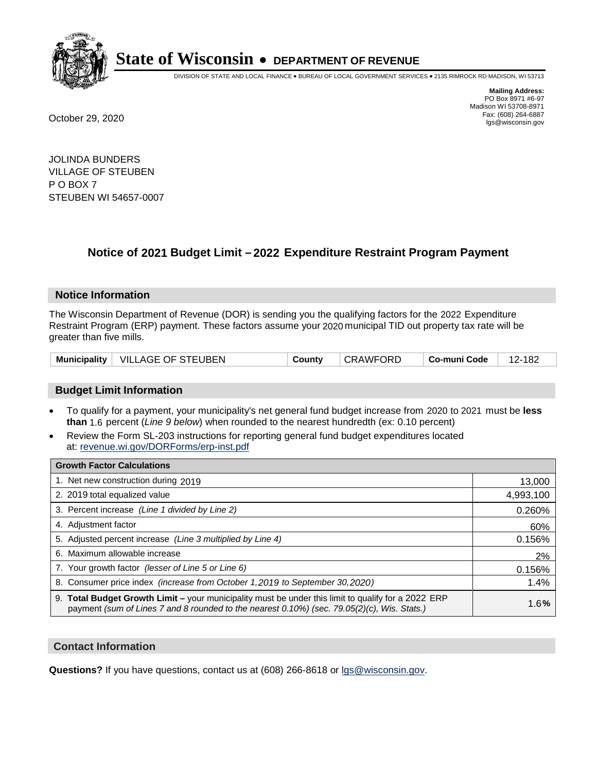

DIVISION OF STATE AND LOCAL FINANCE • BUREAU OF LOCAL GOVERNMENT SERVICES • 2135 RIMROCK RD MADISON, WI 53713

**Mailing Address:** PO Box 8971 #6-97 Madison WI 53708-8971<br>Fax: (608) 264-6887 Fax: (608) 264-6887 October 29, 2020 lgs@wisconsin.gov

JOLINDA BUNDERS VILLAGE OF STEUBEN P O BOX 7 STEUBEN WI 54657-0007

# **Notice of 2021 Budget Limit - 2022 Expenditure Restraint Program Payment**

## **Notice Information**

The Wisconsin Department of Revenue (DOR) is sending you the qualifying factors for the 2022 Expenditure Restraint Program (ERP) payment. These factors assume your 2020 municipal TID out property tax rate will be greater than five mills.

|  | Municipality   VILLAGE OF STEUBEN | County | CRAWFORD | ∣ Co-muni Code | 12-182 |
|--|-----------------------------------|--------|----------|----------------|--------|
|--|-----------------------------------|--------|----------|----------------|--------|

# **Budget Limit Information**

- To qualify for a payment, your municipality's net general fund budget increase from 2020 to 2021 must be less **than** 1.6 percent (*Line 9 below*) when rounded to the nearest hundredth (ex: 0.10 percent)
- Review the Form SL-203 instructions for reporting general fund budget expenditures located at: revenue.wi.gov/DORForms/erp-inst.pdf

| <b>Growth Factor Calculations</b>                                                                                                                                                                      |           |
|--------------------------------------------------------------------------------------------------------------------------------------------------------------------------------------------------------|-----------|
| 1. Net new construction during 2019                                                                                                                                                                    | 13,000    |
| 2. 2019 total equalized value                                                                                                                                                                          | 4,993,100 |
| 3. Percent increase (Line 1 divided by Line 2)                                                                                                                                                         | 0.260%    |
| 4. Adjustment factor                                                                                                                                                                                   | 60%       |
| 5. Adjusted percent increase (Line 3 multiplied by Line 4)                                                                                                                                             | 0.156%    |
| 6. Maximum allowable increase                                                                                                                                                                          | 2%        |
| 7. Your growth factor (lesser of Line 5 or Line 6)                                                                                                                                                     | 0.156%    |
| 8. Consumer price index (increase from October 1, 2019 to September 30, 2020)                                                                                                                          | 1.4%      |
| 9. Total Budget Growth Limit - your municipality must be under this limit to qualify for a 2022 ERP<br>payment (sum of Lines 7 and 8 rounded to the nearest $0.10\%$ ) (sec. 79.05(2)(c), Wis. Stats.) | 1.6%      |

## **Contact Information**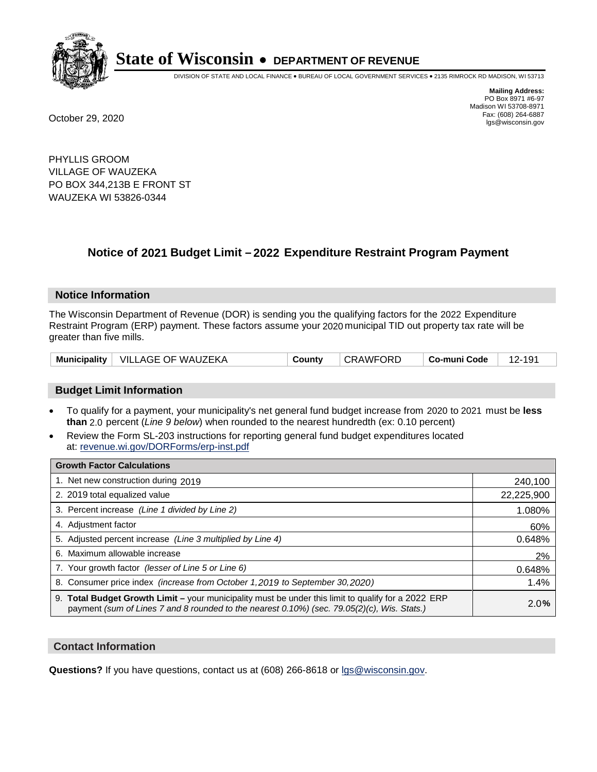

DIVISION OF STATE AND LOCAL FINANCE • BUREAU OF LOCAL GOVERNMENT SERVICES • 2135 RIMROCK RD MADISON, WI 53713

**Mailing Address:** PO Box 8971 #6-97 Madison WI 53708-8971<br>Fax: (608) 264-6887 Fax: (608) 264-6887 October 29, 2020 lgs@wisconsin.gov

PHYLLIS GROOM VILLAGE OF WAUZEKA PO BOX 344,213B E FRONT ST WAUZEKA WI 53826-0344

# **Notice of 2021 Budget Limit - 2022 Expenditure Restraint Program Payment**

### **Notice Information**

The Wisconsin Department of Revenue (DOR) is sending you the qualifying factors for the 2022 Expenditure Restraint Program (ERP) payment. These factors assume your 2020 municipal TID out property tax rate will be greater than five mills.

| <b>Municipality</b> | ∣ VILLAGE OF WAUZEKA | County | <b>CRAWFC</b><br>ORD. | Co-muni Code |  |
|---------------------|----------------------|--------|-----------------------|--------------|--|
|---------------------|----------------------|--------|-----------------------|--------------|--|

# **Budget Limit Information**

- To qualify for a payment, your municipality's net general fund budget increase from 2020 to 2021 must be less **than** 2.0 percent (*Line 9 below*) when rounded to the nearest hundredth (ex: 0.10 percent)
- Review the Form SL-203 instructions for reporting general fund budget expenditures located at: revenue.wi.gov/DORForms/erp-inst.pdf

| <b>Growth Factor Calculations</b>                                                                                                                                                                  |            |
|----------------------------------------------------------------------------------------------------------------------------------------------------------------------------------------------------|------------|
| 1. Net new construction during 2019                                                                                                                                                                | 240,100    |
| 2. 2019 total equalized value                                                                                                                                                                      | 22,225,900 |
| 3. Percent increase (Line 1 divided by Line 2)                                                                                                                                                     | 1.080%     |
| 4. Adjustment factor                                                                                                                                                                               | 60%        |
| 5. Adjusted percent increase (Line 3 multiplied by Line 4)                                                                                                                                         | 0.648%     |
| Maximum allowable increase<br>6.                                                                                                                                                                   | 2%         |
| 7. Your growth factor (lesser of Line 5 or Line 6)                                                                                                                                                 | 0.648%     |
| 8. Consumer price index (increase from October 1, 2019 to September 30, 2020)                                                                                                                      | 1.4%       |
| 9. Total Budget Growth Limit - your municipality must be under this limit to qualify for a 2022 ERP<br>payment (sum of Lines 7 and 8 rounded to the nearest 0.10%) (sec. 79.05(2)(c), Wis. Stats.) | 2.0%       |

## **Contact Information**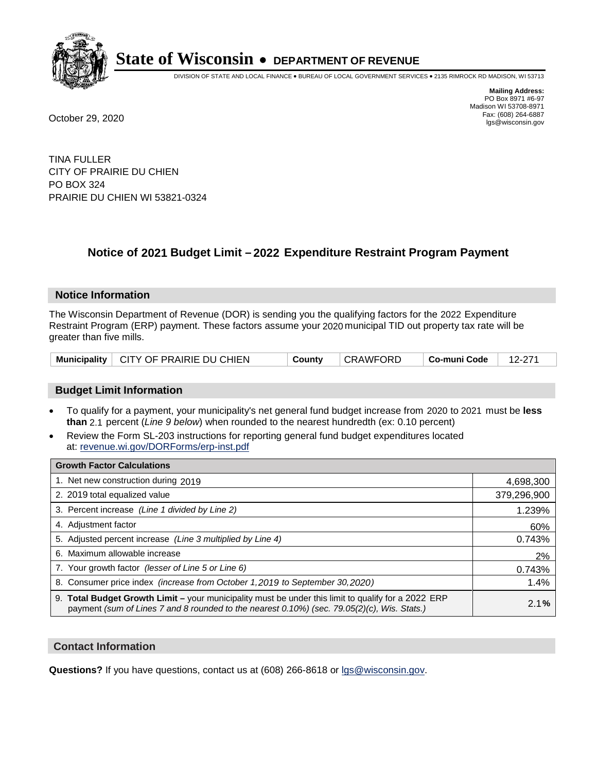

DIVISION OF STATE AND LOCAL FINANCE • BUREAU OF LOCAL GOVERNMENT SERVICES • 2135 RIMROCK RD MADISON, WI 53713

**Mailing Address:** PO Box 8971 #6-97 Madison WI 53708-8971<br>Fax: (608) 264-6887 Fax: (608) 264-6887 October 29, 2020 lgs@wisconsin.gov

TINA FULLER CITY OF PRAIRIE DU CHIEN PO BOX 324 PRAIRIE DU CHIEN WI 53821-0324

# **Notice of 2021 Budget Limit - 2022 Expenditure Restraint Program Payment**

## **Notice Information**

The Wisconsin Department of Revenue (DOR) is sending you the qualifying factors for the 2022 Expenditure Restraint Program (ERP) payment. These factors assume your 2020 municipal TID out property tax rate will be greater than five mills.

|  | Municipality   CITY OF PRAIRIE DU CHIEN | County | ∣ CRAWFORD | ∣ Co-muni Code ⊣ | 12-271 |
|--|-----------------------------------------|--------|------------|------------------|--------|
|--|-----------------------------------------|--------|------------|------------------|--------|

# **Budget Limit Information**

- To qualify for a payment, your municipality's net general fund budget increase from 2020 to 2021 must be less **than** 2.1 percent (*Line 9 below*) when rounded to the nearest hundredth (ex: 0.10 percent)
- Review the Form SL-203 instructions for reporting general fund budget expenditures located at: revenue.wi.gov/DORForms/erp-inst.pdf

| <b>Growth Factor Calculations</b>                                                                                                                                                                  |             |
|----------------------------------------------------------------------------------------------------------------------------------------------------------------------------------------------------|-------------|
| 1. Net new construction during 2019                                                                                                                                                                | 4,698,300   |
| 2. 2019 total equalized value                                                                                                                                                                      | 379,296,900 |
| 3. Percent increase (Line 1 divided by Line 2)                                                                                                                                                     | 1.239%      |
| 4. Adjustment factor                                                                                                                                                                               | 60%         |
| 5. Adjusted percent increase (Line 3 multiplied by Line 4)                                                                                                                                         | 0.743%      |
| 6. Maximum allowable increase                                                                                                                                                                      | 2%          |
| 7. Your growth factor (lesser of Line 5 or Line 6)                                                                                                                                                 | 0.743%      |
| 8. Consumer price index (increase from October 1, 2019 to September 30, 2020)                                                                                                                      | 1.4%        |
| 9. Total Budget Growth Limit - your municipality must be under this limit to qualify for a 2022 ERP<br>payment (sum of Lines 7 and 8 rounded to the nearest 0.10%) (sec. 79.05(2)(c), Wis. Stats.) | 2.1%        |

## **Contact Information**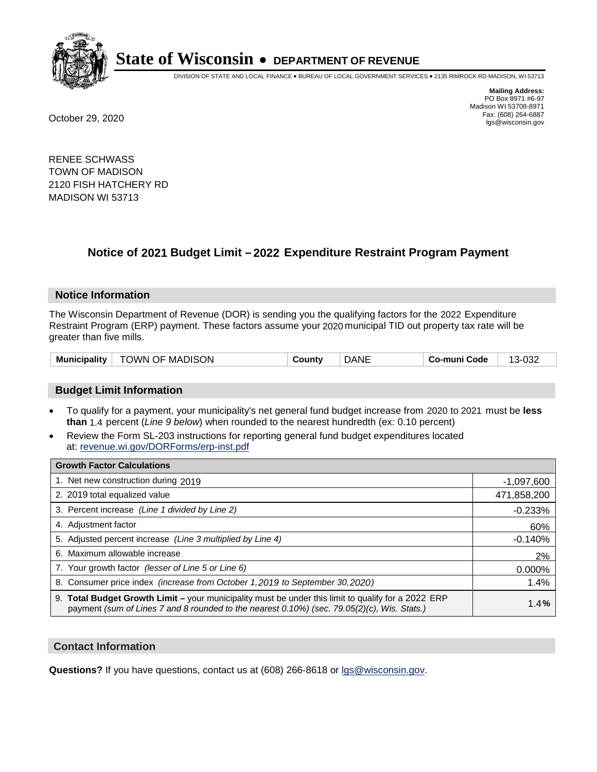

DIVISION OF STATE AND LOCAL FINANCE • BUREAU OF LOCAL GOVERNMENT SERVICES • 2135 RIMROCK RD MADISON, WI 53713

**Mailing Address:** PO Box 8971 #6-97 Madison WI 53708-8971<br>Fax: (608) 264-6887 Fax: (608) 264-6887 October 29, 2020 lgs@wisconsin.gov

RENEE SCHWASS TOWN OF MADISON 2120 FISH HATCHERY RD MADISON WI 53713

# **Notice of 2021 Budget Limit - 2022 Expenditure Restraint Program Payment**

## **Notice Information**

The Wisconsin Department of Revenue (DOR) is sending you the qualifying factors for the 2022 Expenditure Restraint Program (ERP) payment. These factors assume your 2020 municipal TID out property tax rate will be greater than five mills.

| TOWN OF MADISON | <b>DANE</b> | 13-032       |
|-----------------|-------------|--------------|
| Municipality    | County      | Co-muni Code |

# **Budget Limit Information**

- To qualify for a payment, your municipality's net general fund budget increase from 2020 to 2021 must be less **than** 1.4 percent (*Line 9 below*) when rounded to the nearest hundredth (ex: 0.10 percent)
- Review the Form SL-203 instructions for reporting general fund budget expenditures located at: revenue.wi.gov/DORForms/erp-inst.pdf

| <b>Growth Factor Calculations</b>                                                                                                                                                                  |              |
|----------------------------------------------------------------------------------------------------------------------------------------------------------------------------------------------------|--------------|
| 1. Net new construction during 2019                                                                                                                                                                | $-1,097,600$ |
| 2. 2019 total equalized value                                                                                                                                                                      | 471,858,200  |
| 3. Percent increase (Line 1 divided by Line 2)                                                                                                                                                     | $-0.233%$    |
| 4. Adjustment factor                                                                                                                                                                               | 60%          |
| 5. Adjusted percent increase (Line 3 multiplied by Line 4)                                                                                                                                         | $-0.140%$    |
| 6. Maximum allowable increase                                                                                                                                                                      | 2%           |
| 7. Your growth factor (lesser of Line 5 or Line 6)                                                                                                                                                 | 0.000%       |
| 8. Consumer price index (increase from October 1,2019 to September 30,2020)                                                                                                                        | 1.4%         |
| 9. Total Budget Growth Limit - your municipality must be under this limit to qualify for a 2022 ERP<br>payment (sum of Lines 7 and 8 rounded to the nearest 0.10%) (sec. 79.05(2)(c), Wis. Stats.) | 1.4%         |

## **Contact Information**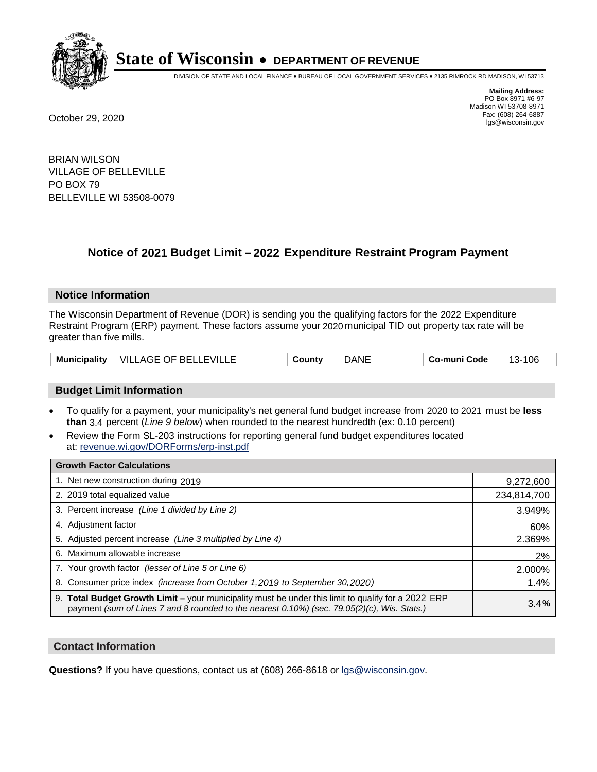

DIVISION OF STATE AND LOCAL FINANCE • BUREAU OF LOCAL GOVERNMENT SERVICES • 2135 RIMROCK RD MADISON, WI 53713

**Mailing Address:** PO Box 8971 #6-97 Madison WI 53708-8971<br>Fax: (608) 264-6887 Fax: (608) 264-6887 October 29, 2020 lgs@wisconsin.gov

BRIAN WILSON VILLAGE OF BELLEVILLE PO BOX 79 BELLEVILLE WI 53508-0079

# **Notice of 2021 Budget Limit - 2022 Expenditure Restraint Program Payment**

### **Notice Information**

The Wisconsin Department of Revenue (DOR) is sending you the qualifying factors for the 2022 Expenditure Restraint Program (ERP) payment. These factors assume your 2020 municipal TID out property tax rate will be greater than five mills.

| <b>Municipality</b> | VILLAGE OF BELLEVILLE | <b>Count</b> ∨ | DANE | Co-muni Code | 106<br>$\sim$<br>՝ |
|---------------------|-----------------------|----------------|------|--------------|--------------------|
|---------------------|-----------------------|----------------|------|--------------|--------------------|

# **Budget Limit Information**

- To qualify for a payment, your municipality's net general fund budget increase from 2020 to 2021 must be less **than** 3.4 percent (*Line 9 below*) when rounded to the nearest hundredth (ex: 0.10 percent)
- Review the Form SL-203 instructions for reporting general fund budget expenditures located at: revenue.wi.gov/DORForms/erp-inst.pdf

| <b>Growth Factor Calculations</b>                                                                                                                                                                      |             |
|--------------------------------------------------------------------------------------------------------------------------------------------------------------------------------------------------------|-------------|
| 1. Net new construction during 2019                                                                                                                                                                    | 9,272,600   |
| 2. 2019 total equalized value                                                                                                                                                                          | 234,814,700 |
| 3. Percent increase (Line 1 divided by Line 2)                                                                                                                                                         | 3.949%      |
| 4. Adjustment factor                                                                                                                                                                                   | 60%         |
| 5. Adjusted percent increase (Line 3 multiplied by Line 4)                                                                                                                                             | 2.369%      |
| 6. Maximum allowable increase                                                                                                                                                                          | 2%          |
| 7. Your growth factor (lesser of Line 5 or Line 6)                                                                                                                                                     | 2.000%      |
| 8. Consumer price index (increase from October 1, 2019 to September 30, 2020)                                                                                                                          | 1.4%        |
| 9. Total Budget Growth Limit - your municipality must be under this limit to qualify for a 2022 ERP<br>payment (sum of Lines 7 and 8 rounded to the nearest $0.10\%$ ) (sec. 79.05(2)(c), Wis. Stats.) | 3.4%        |

## **Contact Information**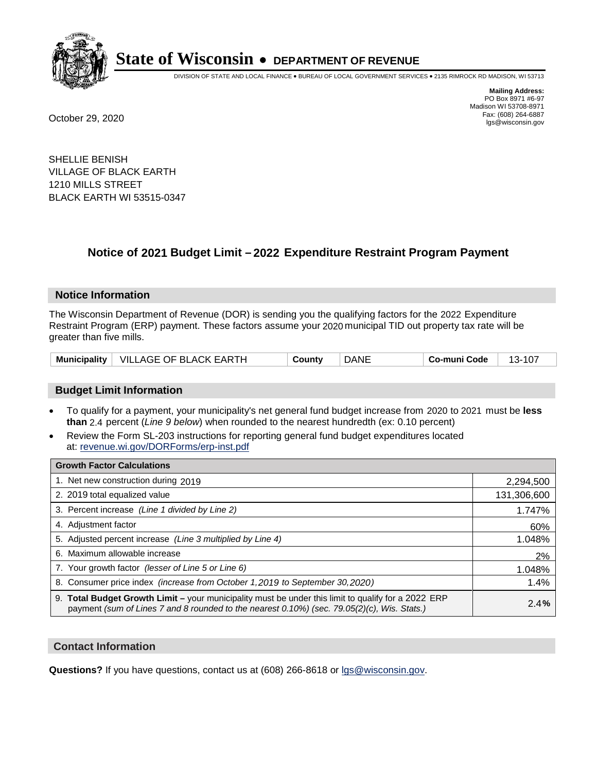

DIVISION OF STATE AND LOCAL FINANCE • BUREAU OF LOCAL GOVERNMENT SERVICES • 2135 RIMROCK RD MADISON, WI 53713

**Mailing Address:** PO Box 8971 #6-97 Madison WI 53708-8971<br>Fax: (608) 264-6887 Fax: (608) 264-6887 October 29, 2020 lgs@wisconsin.gov

SHELLIE BENISH VILLAGE OF BLACK EARTH 1210 MILLS STREET BLACK EARTH WI 53515-0347

# **Notice of 2021 Budget Limit - 2022 Expenditure Restraint Program Payment**

## **Notice Information**

The Wisconsin Department of Revenue (DOR) is sending you the qualifying factors for the 2022 Expenditure Restraint Program (ERP) payment. These factors assume your 2020 municipal TID out property tax rate will be greater than five mills.

|  | Municipality   VILLAGE OF BLACK EARTH | County | <b>DANE</b> | Co-muni Code |  |
|--|---------------------------------------|--------|-------------|--------------|--|
|--|---------------------------------------|--------|-------------|--------------|--|

# **Budget Limit Information**

- To qualify for a payment, your municipality's net general fund budget increase from 2020 to 2021 must be less **than** 2.4 percent (*Line 9 below*) when rounded to the nearest hundredth (ex: 0.10 percent)
- Review the Form SL-203 instructions for reporting general fund budget expenditures located at: revenue.wi.gov/DORForms/erp-inst.pdf

| <b>Growth Factor Calculations</b>                                                                                                                                                                  |             |
|----------------------------------------------------------------------------------------------------------------------------------------------------------------------------------------------------|-------------|
| 1. Net new construction during 2019                                                                                                                                                                | 2,294,500   |
| 2. 2019 total equalized value                                                                                                                                                                      | 131,306,600 |
| 3. Percent increase (Line 1 divided by Line 2)                                                                                                                                                     | 1.747%      |
| 4. Adjustment factor                                                                                                                                                                               | 60%         |
| 5. Adjusted percent increase (Line 3 multiplied by Line 4)                                                                                                                                         | 1.048%      |
| 6. Maximum allowable increase                                                                                                                                                                      | 2%          |
| 7. Your growth factor (lesser of Line 5 or Line 6)                                                                                                                                                 | 1.048%      |
| 8. Consumer price index (increase from October 1, 2019 to September 30, 2020)                                                                                                                      | 1.4%        |
| 9. Total Budget Growth Limit - your municipality must be under this limit to qualify for a 2022 ERP<br>payment (sum of Lines 7 and 8 rounded to the nearest 0.10%) (sec. 79.05(2)(c), Wis. Stats.) | 2.4%        |

## **Contact Information**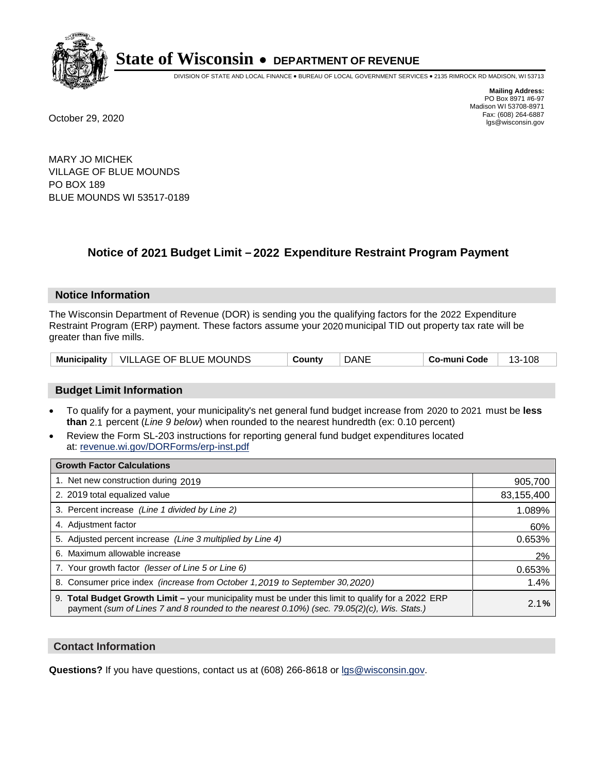

DIVISION OF STATE AND LOCAL FINANCE • BUREAU OF LOCAL GOVERNMENT SERVICES • 2135 RIMROCK RD MADISON, WI 53713

**Mailing Address:** PO Box 8971 #6-97 Madison WI 53708-8971<br>Fax: (608) 264-6887 Fax: (608) 264-6887 October 29, 2020 lgs@wisconsin.gov

MARY JO MICHEK VILLAGE OF BLUE MOUNDS PO BOX 189 BLUE MOUNDS WI 53517-0189

# **Notice of 2021 Budget Limit - 2022 Expenditure Restraint Program Payment**

## **Notice Information**

The Wisconsin Department of Revenue (DOR) is sending you the qualifying factors for the 2022 Expenditure Restraint Program (ERP) payment. These factors assume your 2020 municipal TID out property tax rate will be greater than five mills.

|  | Municipality   VILLAGE OF BLUE MOUNDS | County | <b>DANE</b> | Co-muni Code | 108<br>-13 |
|--|---------------------------------------|--------|-------------|--------------|------------|
|--|---------------------------------------|--------|-------------|--------------|------------|

# **Budget Limit Information**

- To qualify for a payment, your municipality's net general fund budget increase from 2020 to 2021 must be less **than** 2.1 percent (*Line 9 below*) when rounded to the nearest hundredth (ex: 0.10 percent)
- Review the Form SL-203 instructions for reporting general fund budget expenditures located at: revenue.wi.gov/DORForms/erp-inst.pdf

| <b>Growth Factor Calculations</b>                                                                                                                                                                      |            |
|--------------------------------------------------------------------------------------------------------------------------------------------------------------------------------------------------------|------------|
| 1. Net new construction during 2019                                                                                                                                                                    | 905,700    |
| 2. 2019 total equalized value                                                                                                                                                                          | 83,155,400 |
| 3. Percent increase (Line 1 divided by Line 2)                                                                                                                                                         | 1.089%     |
| 4. Adjustment factor                                                                                                                                                                                   | 60%        |
| 5. Adjusted percent increase (Line 3 multiplied by Line 4)                                                                                                                                             | 0.653%     |
| 6. Maximum allowable increase                                                                                                                                                                          | 2%         |
| 7. Your growth factor (lesser of Line 5 or Line 6)                                                                                                                                                     | 0.653%     |
| 8. Consumer price index (increase from October 1, 2019 to September 30, 2020)                                                                                                                          | 1.4%       |
| 9. Total Budget Growth Limit - your municipality must be under this limit to qualify for a 2022 ERP<br>payment (sum of Lines 7 and 8 rounded to the nearest $0.10\%$ ) (sec. 79.05(2)(c), Wis. Stats.) | 2.1%       |

## **Contact Information**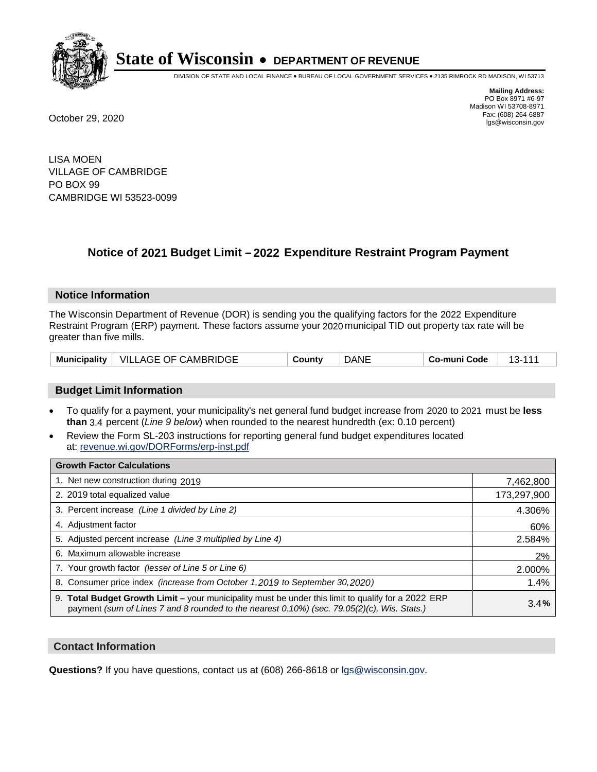

DIVISION OF STATE AND LOCAL FINANCE • BUREAU OF LOCAL GOVERNMENT SERVICES • 2135 RIMROCK RD MADISON, WI 53713

**Mailing Address:** PO Box 8971 #6-97 Madison WI 53708-8971<br>Fax: (608) 264-6887 Fax: (608) 264-6887 October 29, 2020 lgs@wisconsin.gov

LISA MOEN VILLAGE OF CAMBRIDGE PO BOX 99 CAMBRIDGE WI 53523-0099

# **Notice of 2021 Budget Limit - 2022 Expenditure Restraint Program Payment**

## **Notice Information**

The Wisconsin Department of Revenue (DOR) is sending you the qualifying factors for the 2022 Expenditure Restraint Program (ERP) payment. These factors assume your 2020 municipal TID out property tax rate will be greater than five mills.

| Municipality | VILLAGE OF CAMBRIDGE | ountvٽ | DANE | Co-muni Code |  |
|--------------|----------------------|--------|------|--------------|--|
|--------------|----------------------|--------|------|--------------|--|

# **Budget Limit Information**

- To qualify for a payment, your municipality's net general fund budget increase from 2020 to 2021 must be less **than** 3.4 percent (*Line 9 below*) when rounded to the nearest hundredth (ex: 0.10 percent)
- Review the Form SL-203 instructions for reporting general fund budget expenditures located at: revenue.wi.gov/DORForms/erp-inst.pdf

| <b>Growth Factor Calculations</b>                                                                                                                                                                      |             |
|--------------------------------------------------------------------------------------------------------------------------------------------------------------------------------------------------------|-------------|
| 1. Net new construction during 2019                                                                                                                                                                    | 7,462,800   |
| 2. 2019 total equalized value                                                                                                                                                                          | 173,297,900 |
| 3. Percent increase (Line 1 divided by Line 2)                                                                                                                                                         | 4.306%      |
| 4. Adjustment factor                                                                                                                                                                                   | 60%         |
| 5. Adjusted percent increase (Line 3 multiplied by Line 4)                                                                                                                                             | 2.584%      |
| 6. Maximum allowable increase                                                                                                                                                                          | 2%          |
| 7. Your growth factor (lesser of Line 5 or Line 6)                                                                                                                                                     | 2.000%      |
| 8. Consumer price index (increase from October 1, 2019 to September 30, 2020)                                                                                                                          | 1.4%        |
| 9. Total Budget Growth Limit - your municipality must be under this limit to qualify for a 2022 ERP<br>payment (sum of Lines 7 and 8 rounded to the nearest $0.10\%$ ) (sec. 79.05(2)(c), Wis. Stats.) | 3.4%        |

## **Contact Information**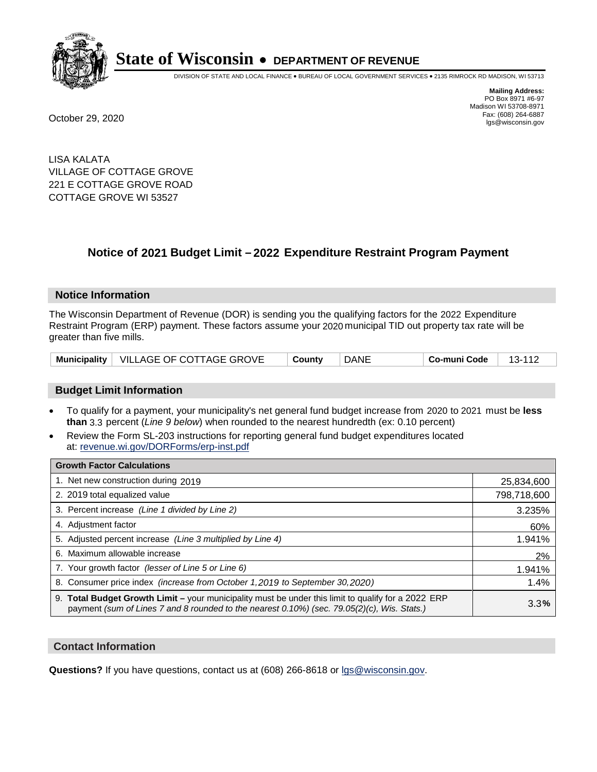

DIVISION OF STATE AND LOCAL FINANCE • BUREAU OF LOCAL GOVERNMENT SERVICES • 2135 RIMROCK RD MADISON, WI 53713

**Mailing Address:** PO Box 8971 #6-97 Madison WI 53708-8971<br>Fax: (608) 264-6887 Fax: (608) 264-6887 October 29, 2020 lgs@wisconsin.gov

LISA KALATA VILLAGE OF COTTAGE GROVE 221 E COTTAGE GROVE ROAD COTTAGE GROVE WI 53527

# **Notice of 2021 Budget Limit - 2022 Expenditure Restraint Program Payment**

## **Notice Information**

The Wisconsin Department of Revenue (DOR) is sending you the qualifying factors for the 2022 Expenditure Restraint Program (ERP) payment. These factors assume your 2020 municipal TID out property tax rate will be greater than five mills.

|  | Municipality   VILLAGE OF COTTAGE GROVE | County | <b>DANE</b> | Co-muni Code | 13-112 |
|--|-----------------------------------------|--------|-------------|--------------|--------|
|--|-----------------------------------------|--------|-------------|--------------|--------|

## **Budget Limit Information**

- To qualify for a payment, your municipality's net general fund budget increase from 2020 to 2021 must be less **than** 3.3 percent (*Line 9 below*) when rounded to the nearest hundredth (ex: 0.10 percent)
- Review the Form SL-203 instructions for reporting general fund budget expenditures located at: revenue.wi.gov/DORForms/erp-inst.pdf

| <b>Growth Factor Calculations</b>                                                                                                                                                                  |             |
|----------------------------------------------------------------------------------------------------------------------------------------------------------------------------------------------------|-------------|
| 1. Net new construction during 2019                                                                                                                                                                | 25,834,600  |
| 2. 2019 total equalized value                                                                                                                                                                      | 798,718,600 |
| 3. Percent increase (Line 1 divided by Line 2)                                                                                                                                                     | 3.235%      |
| 4. Adjustment factor                                                                                                                                                                               | 60%         |
| 5. Adjusted percent increase (Line 3 multiplied by Line 4)                                                                                                                                         | 1.941%      |
| 6. Maximum allowable increase                                                                                                                                                                      | 2%          |
| 7. Your growth factor (lesser of Line 5 or Line 6)                                                                                                                                                 | 1.941%      |
| 8. Consumer price index (increase from October 1, 2019 to September 30, 2020)                                                                                                                      | 1.4%        |
| 9. Total Budget Growth Limit - your municipality must be under this limit to qualify for a 2022 ERP<br>payment (sum of Lines 7 and 8 rounded to the nearest 0.10%) (sec. 79.05(2)(c), Wis. Stats.) | 3.3%        |

## **Contact Information**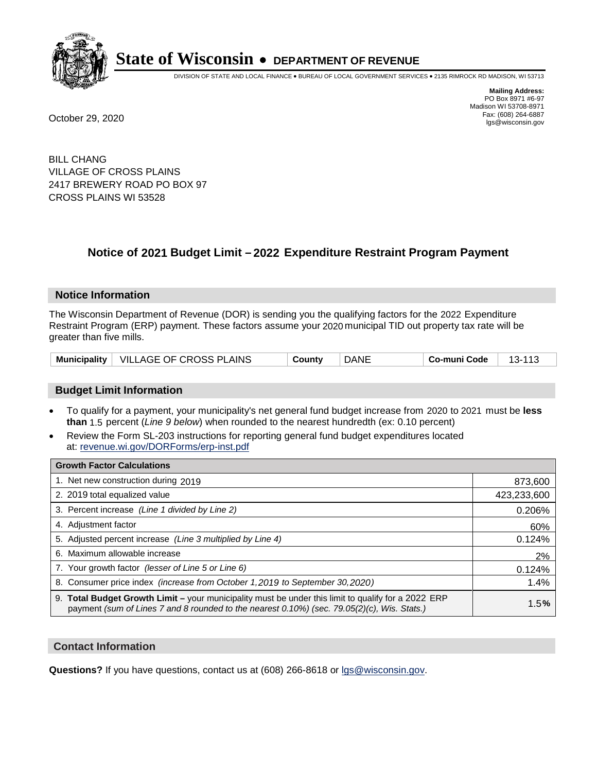

DIVISION OF STATE AND LOCAL FINANCE • BUREAU OF LOCAL GOVERNMENT SERVICES • 2135 RIMROCK RD MADISON, WI 53713

**Mailing Address:** PO Box 8971 #6-97 Madison WI 53708-8971<br>Fax: (608) 264-6887 Fax: (608) 264-6887 October 29, 2020 lgs@wisconsin.gov

BILL CHANG VILLAGE OF CROSS PLAINS 2417 BREWERY ROAD PO BOX 97 CROSS PLAINS WI 53528

# **Notice of 2021 Budget Limit - 2022 Expenditure Restraint Program Payment**

#### **Notice Information**

The Wisconsin Department of Revenue (DOR) is sending you the qualifying factors for the 2022 Expenditure Restraint Program (ERP) payment. These factors assume your 2020 municipal TID out property tax rate will be greater than five mills.

|  | Municipality   VILLAGE OF CROSS PLAINS | County | DANE | Co-muni Code | 13-113 |
|--|----------------------------------------|--------|------|--------------|--------|
|--|----------------------------------------|--------|------|--------------|--------|

## **Budget Limit Information**

- To qualify for a payment, your municipality's net general fund budget increase from 2020 to 2021 must be less **than** 1.5 percent (*Line 9 below*) when rounded to the nearest hundredth (ex: 0.10 percent)
- Review the Form SL-203 instructions for reporting general fund budget expenditures located at: revenue.wi.gov/DORForms/erp-inst.pdf

| <b>Growth Factor Calculations</b>                                                                                                                                                                  |             |
|----------------------------------------------------------------------------------------------------------------------------------------------------------------------------------------------------|-------------|
| 1. Net new construction during 2019                                                                                                                                                                | 873,600     |
| 2. 2019 total equalized value                                                                                                                                                                      | 423,233,600 |
| 3. Percent increase (Line 1 divided by Line 2)                                                                                                                                                     | 0.206%      |
| 4. Adjustment factor                                                                                                                                                                               | 60%         |
| 5. Adjusted percent increase (Line 3 multiplied by Line 4)                                                                                                                                         | 0.124%      |
| Maximum allowable increase<br>6.                                                                                                                                                                   | 2%          |
| 7. Your growth factor (lesser of Line 5 or Line 6)                                                                                                                                                 | 0.124%      |
| 8. Consumer price index (increase from October 1, 2019 to September 30, 2020)                                                                                                                      | 1.4%        |
| 9. Total Budget Growth Limit - your municipality must be under this limit to qualify for a 2022 ERP<br>payment (sum of Lines 7 and 8 rounded to the nearest 0.10%) (sec. 79.05(2)(c), Wis. Stats.) | 1.5%        |

## **Contact Information**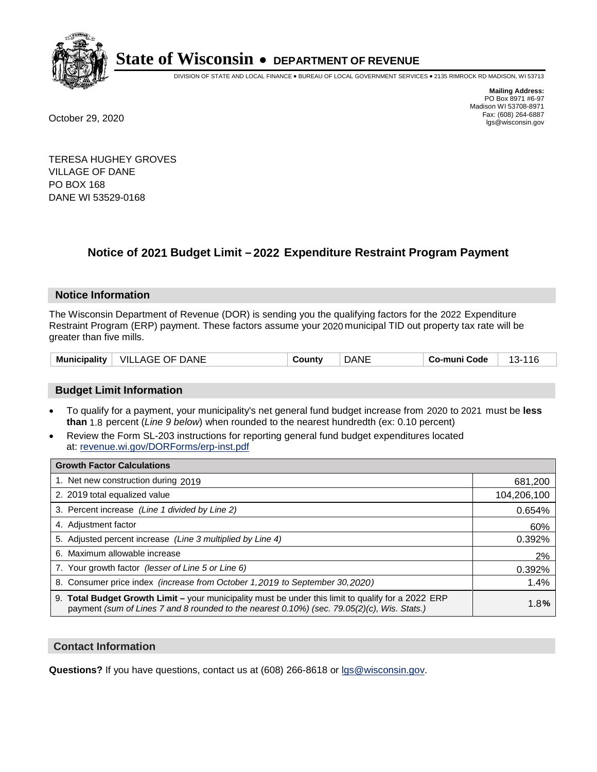

DIVISION OF STATE AND LOCAL FINANCE • BUREAU OF LOCAL GOVERNMENT SERVICES • 2135 RIMROCK RD MADISON, WI 53713

**Mailing Address:** PO Box 8971 #6-97 Madison WI 53708-8971<br>Fax: (608) 264-6887 Fax: (608) 264-6887 October 29, 2020 lgs@wisconsin.gov

TERESA HUGHEY GROVES VILLAGE OF DANE PO BOX 168 DANE WI 53529-0168

# **Notice of 2021 Budget Limit - 2022 Expenditure Restraint Program Payment**

## **Notice Information**

The Wisconsin Department of Revenue (DOR) is sending you the qualifying factors for the 2022 Expenditure Restraint Program (ERP) payment. These factors assume your 2020 municipal TID out property tax rate will be greater than five mills.

| Municipality | DANE<br>- VILL<br>. OF.<br>AGE | ∵ountٽ | )ANE | Code<br>-mun | 14 G<br>~-<br>. . |
|--------------|--------------------------------|--------|------|--------------|-------------------|
|--------------|--------------------------------|--------|------|--------------|-------------------|

# **Budget Limit Information**

- To qualify for a payment, your municipality's net general fund budget increase from 2020 to 2021 must be less **than** 1.8 percent (*Line 9 below*) when rounded to the nearest hundredth (ex: 0.10 percent)
- Review the Form SL-203 instructions for reporting general fund budget expenditures located at: revenue.wi.gov/DORForms/erp-inst.pdf

| <b>Growth Factor Calculations</b>                                                                                                                                                                      |             |
|--------------------------------------------------------------------------------------------------------------------------------------------------------------------------------------------------------|-------------|
| 1. Net new construction during 2019                                                                                                                                                                    | 681,200     |
| 2. 2019 total equalized value                                                                                                                                                                          | 104,206,100 |
| 3. Percent increase (Line 1 divided by Line 2)                                                                                                                                                         | 0.654%      |
| 4. Adiustment factor                                                                                                                                                                                   | 60%         |
| 5. Adjusted percent increase (Line 3 multiplied by Line 4)                                                                                                                                             | 0.392%      |
| 6. Maximum allowable increase                                                                                                                                                                          | 2%          |
| 7. Your growth factor (lesser of Line 5 or Line 6)                                                                                                                                                     | 0.392%      |
| 8. Consumer price index (increase from October 1,2019 to September 30,2020)                                                                                                                            | 1.4%        |
| 9. Total Budget Growth Limit - your municipality must be under this limit to qualify for a 2022 ERP<br>payment (sum of Lines 7 and 8 rounded to the nearest $0.10\%$ ) (sec. 79.05(2)(c), Wis. Stats.) | 1.8%        |

## **Contact Information**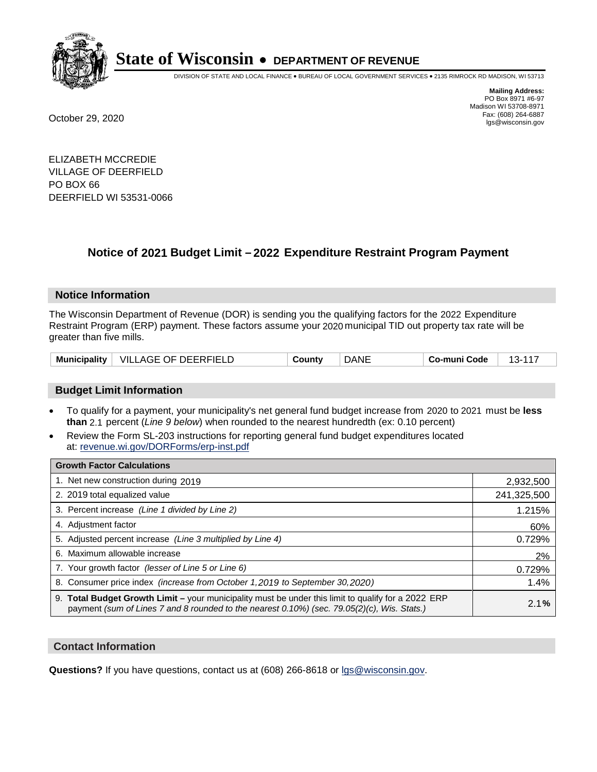

DIVISION OF STATE AND LOCAL FINANCE • BUREAU OF LOCAL GOVERNMENT SERVICES • 2135 RIMROCK RD MADISON, WI 53713

**Mailing Address:** PO Box 8971 #6-97 Madison WI 53708-8971<br>Fax: (608) 264-6887 Fax: (608) 264-6887 October 29, 2020 lgs@wisconsin.gov

ELIZABETH MCCREDIE VILLAGE OF DEERFIELD PO BOX 66 DEERFIELD WI 53531-0066

# **Notice of 2021 Budget Limit - 2022 Expenditure Restraint Program Payment**

## **Notice Information**

The Wisconsin Department of Revenue (DOR) is sending you the qualifying factors for the 2022 Expenditure Restraint Program (ERP) payment. These factors assume your 2020 municipal TID out property tax rate will be greater than five mills.

| <b>Municipality</b> | VILLAGE OF DEERFIELD | `ountv | DANE | Co-muni Code |  |
|---------------------|----------------------|--------|------|--------------|--|
|---------------------|----------------------|--------|------|--------------|--|

## **Budget Limit Information**

- To qualify for a payment, your municipality's net general fund budget increase from 2020 to 2021 must be less **than** 2.1 percent (*Line 9 below*) when rounded to the nearest hundredth (ex: 0.10 percent)
- Review the Form SL-203 instructions for reporting general fund budget expenditures located at: revenue.wi.gov/DORForms/erp-inst.pdf

| <b>Growth Factor Calculations</b>                                                                                                                                                                      |             |
|--------------------------------------------------------------------------------------------------------------------------------------------------------------------------------------------------------|-------------|
| 1. Net new construction during 2019                                                                                                                                                                    | 2,932,500   |
| 2. 2019 total equalized value                                                                                                                                                                          | 241,325,500 |
| 3. Percent increase (Line 1 divided by Line 2)                                                                                                                                                         | 1.215%      |
| 4. Adjustment factor                                                                                                                                                                                   | 60%         |
| 5. Adjusted percent increase (Line 3 multiplied by Line 4)                                                                                                                                             | 0.729%      |
| 6. Maximum allowable increase                                                                                                                                                                          | 2%          |
| 7. Your growth factor (lesser of Line 5 or Line 6)                                                                                                                                                     | 0.729%      |
| 8. Consumer price index (increase from October 1, 2019 to September 30, 2020)                                                                                                                          | 1.4%        |
| 9. Total Budget Growth Limit - your municipality must be under this limit to qualify for a 2022 ERP<br>payment (sum of Lines 7 and 8 rounded to the nearest $0.10\%$ ) (sec. 79.05(2)(c), Wis. Stats.) | 2.1%        |

## **Contact Information**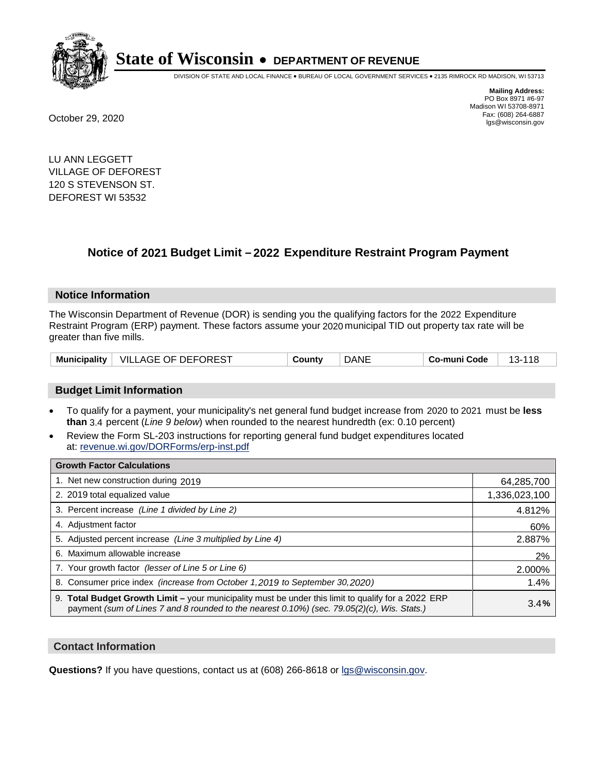

DIVISION OF STATE AND LOCAL FINANCE • BUREAU OF LOCAL GOVERNMENT SERVICES • 2135 RIMROCK RD MADISON, WI 53713

**Mailing Address:** PO Box 8971 #6-97 Madison WI 53708-8971<br>Fax: (608) 264-6887 Fax: (608) 264-6887 October 29, 2020 lgs@wisconsin.gov

LU ANN LEGGETT VILLAGE OF DEFOREST 120 S STEVENSON ST. DEFOREST WI 53532

# **Notice of 2021 Budget Limit - 2022 Expenditure Restraint Program Payment**

## **Notice Information**

The Wisconsin Department of Revenue (DOR) is sending you the qualifying factors for the 2022 Expenditure Restraint Program (ERP) payment. These factors assume your 2020 municipal TID out property tax rate will be greater than five mills.

|  | Municipality   VILLAGE OF DEFOREST | County | DANE | Co-muni Code | 44 C<br>$13-$ |
|--|------------------------------------|--------|------|--------------|---------------|
|--|------------------------------------|--------|------|--------------|---------------|

## **Budget Limit Information**

- To qualify for a payment, your municipality's net general fund budget increase from 2020 to 2021 must be less **than** 3.4 percent (*Line 9 below*) when rounded to the nearest hundredth (ex: 0.10 percent)
- Review the Form SL-203 instructions for reporting general fund budget expenditures located at: revenue.wi.gov/DORForms/erp-inst.pdf

| <b>Growth Factor Calculations</b>                                                                                                                                                                  |               |
|----------------------------------------------------------------------------------------------------------------------------------------------------------------------------------------------------|---------------|
| 1. Net new construction during 2019                                                                                                                                                                | 64,285,700    |
| 2. 2019 total equalized value                                                                                                                                                                      | 1,336,023,100 |
| 3. Percent increase (Line 1 divided by Line 2)                                                                                                                                                     | 4.812%        |
| 4. Adjustment factor                                                                                                                                                                               | 60%           |
| 5. Adjusted percent increase (Line 3 multiplied by Line 4)                                                                                                                                         | 2.887%        |
| 6. Maximum allowable increase                                                                                                                                                                      | 2%            |
| 7. Your growth factor (lesser of Line 5 or Line 6)                                                                                                                                                 | 2.000%        |
| 8. Consumer price index (increase from October 1, 2019 to September 30, 2020)                                                                                                                      | 1.4%          |
| 9. Total Budget Growth Limit - your municipality must be under this limit to qualify for a 2022 ERP<br>payment (sum of Lines 7 and 8 rounded to the nearest 0.10%) (sec. 79.05(2)(c), Wis. Stats.) | 3.4%          |

## **Contact Information**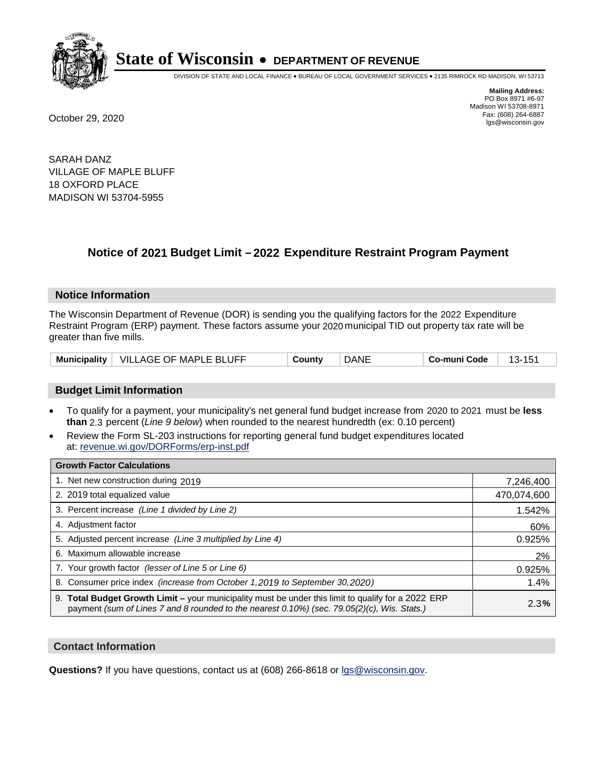

DIVISION OF STATE AND LOCAL FINANCE • BUREAU OF LOCAL GOVERNMENT SERVICES • 2135 RIMROCK RD MADISON, WI 53713

**Mailing Address:** PO Box 8971 #6-97 Madison WI 53708-8971<br>Fax: (608) 264-6887 Fax: (608) 264-6887 October 29, 2020 lgs@wisconsin.gov

SARAH DANZ VILLAGE OF MAPLE BLUFF 18 OXFORD PLACE MADISON WI 53704-5955

# **Notice of 2021 Budget Limit - 2022 Expenditure Restraint Program Payment**

## **Notice Information**

The Wisconsin Department of Revenue (DOR) is sending you the qualifying factors for the 2022 Expenditure Restraint Program (ERP) payment. These factors assume your 2020 municipal TID out property tax rate will be greater than five mills.

| Municipality | VILLAGE OF MAPLE BLUFF | ان Countv | DANE | Co-muni Code |  |
|--------------|------------------------|-----------|------|--------------|--|
|--------------|------------------------|-----------|------|--------------|--|

## **Budget Limit Information**

- To qualify for a payment, your municipality's net general fund budget increase from 2020 to 2021 must be less **than** 2.3 percent (*Line 9 below*) when rounded to the nearest hundredth (ex: 0.10 percent)
- Review the Form SL-203 instructions for reporting general fund budget expenditures located at: revenue.wi.gov/DORForms/erp-inst.pdf

| <b>Growth Factor Calculations</b>                                                                                                                                                                  |             |
|----------------------------------------------------------------------------------------------------------------------------------------------------------------------------------------------------|-------------|
| 1. Net new construction during 2019                                                                                                                                                                | 7,246,400   |
| 2. 2019 total equalized value                                                                                                                                                                      | 470,074,600 |
| 3. Percent increase (Line 1 divided by Line 2)                                                                                                                                                     | 1.542%      |
| 4. Adiustment factor                                                                                                                                                                               | 60%         |
| 5. Adjusted percent increase (Line 3 multiplied by Line 4)                                                                                                                                         | 0.925%      |
| 6. Maximum allowable increase                                                                                                                                                                      | 2%          |
| 7. Your growth factor (lesser of Line 5 or Line 6)                                                                                                                                                 | 0.925%      |
| 8. Consumer price index (increase from October 1,2019 to September 30,2020)                                                                                                                        | 1.4%        |
| 9. Total Budget Growth Limit - your municipality must be under this limit to qualify for a 2022 ERP<br>payment (sum of Lines 7 and 8 rounded to the nearest 0.10%) (sec. 79.05(2)(c), Wis. Stats.) | 2.3%        |

## **Contact Information**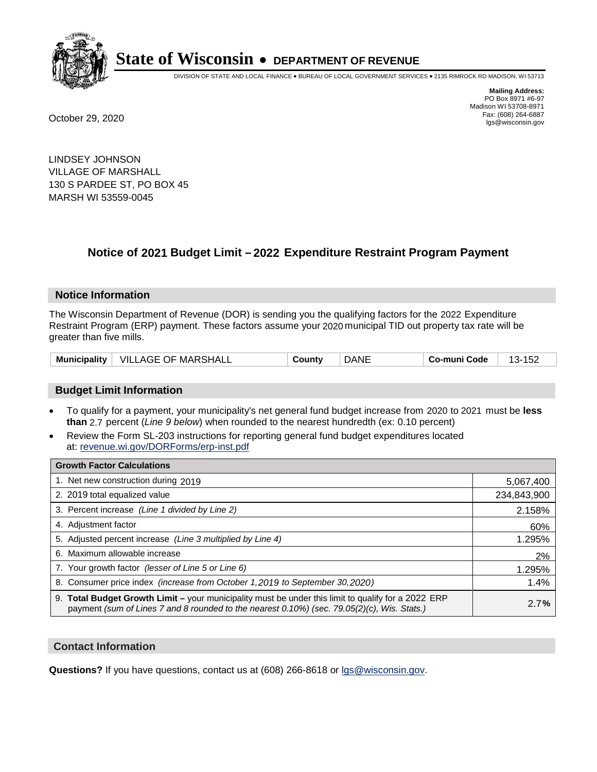

DIVISION OF STATE AND LOCAL FINANCE • BUREAU OF LOCAL GOVERNMENT SERVICES • 2135 RIMROCK RD MADISON, WI 53713

**Mailing Address:** PO Box 8971 #6-97 Madison WI 53708-8971<br>Fax: (608) 264-6887 Fax: (608) 264-6887 October 29, 2020 lgs@wisconsin.gov

LINDSEY JOHNSON VILLAGE OF MARSHALL 130 S PARDEE ST, PO BOX 45 MARSH WI 53559-0045

# **Notice of 2021 Budget Limit - 2022 Expenditure Restraint Program Payment**

#### **Notice Information**

The Wisconsin Department of Revenue (DOR) is sending you the qualifying factors for the 2022 Expenditure Restraint Program (ERP) payment. These factors assume your 2020 municipal TID out property tax rate will be greater than five mills.

| Municipality | VILLAGE OF MARSHALL | `ountv | DANE | Co-muni Code | ے ت<br>. . |
|--------------|---------------------|--------|------|--------------|------------|
|--------------|---------------------|--------|------|--------------|------------|

## **Budget Limit Information**

- To qualify for a payment, your municipality's net general fund budget increase from 2020 to 2021 must be less **than** 2.7 percent (*Line 9 below*) when rounded to the nearest hundredth (ex: 0.10 percent)
- Review the Form SL-203 instructions for reporting general fund budget expenditures located at: revenue.wi.gov/DORForms/erp-inst.pdf

| <b>Growth Factor Calculations</b>                                                                                                                                                                      |             |
|--------------------------------------------------------------------------------------------------------------------------------------------------------------------------------------------------------|-------------|
| 1. Net new construction during 2019                                                                                                                                                                    | 5,067,400   |
| 2. 2019 total equalized value                                                                                                                                                                          | 234,843,900 |
| 3. Percent increase (Line 1 divided by Line 2)                                                                                                                                                         | 2.158%      |
| 4. Adiustment factor                                                                                                                                                                                   | 60%         |
| 5. Adjusted percent increase (Line 3 multiplied by Line 4)                                                                                                                                             | 1.295%      |
| 6. Maximum allowable increase                                                                                                                                                                          | 2%          |
| 7. Your growth factor (lesser of Line 5 or Line 6)                                                                                                                                                     | 1.295%      |
| 8. Consumer price index (increase from October 1,2019 to September 30,2020)                                                                                                                            | 1.4%        |
| 9. Total Budget Growth Limit - your municipality must be under this limit to qualify for a 2022 ERP<br>payment (sum of Lines 7 and 8 rounded to the nearest $0.10\%$ ) (sec. 79.05(2)(c), Wis. Stats.) | 2.7%        |

## **Contact Information**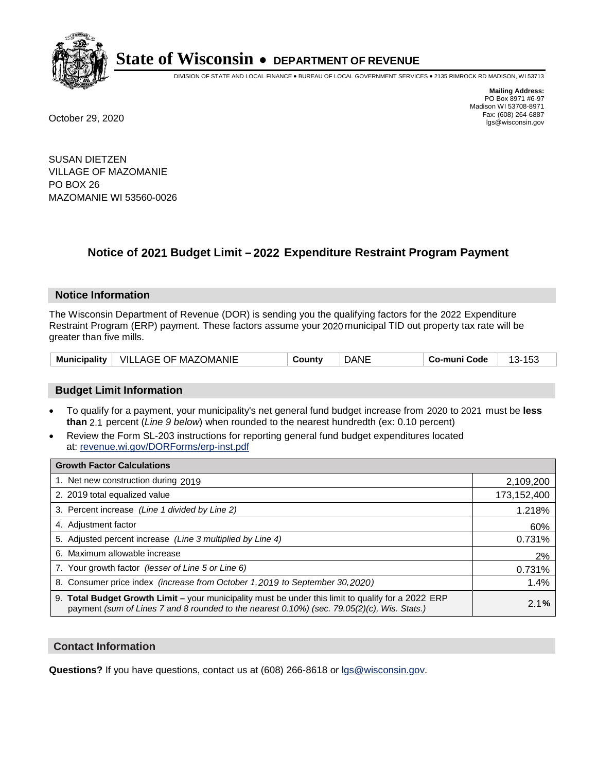

DIVISION OF STATE AND LOCAL FINANCE • BUREAU OF LOCAL GOVERNMENT SERVICES • 2135 RIMROCK RD MADISON, WI 53713

**Mailing Address:** PO Box 8971 #6-97 Madison WI 53708-8971<br>Fax: (608) 264-6887 Fax: (608) 264-6887 October 29, 2020 lgs@wisconsin.gov

SUSAN DIETZEN VILLAGE OF MAZOMANIE PO BOX 26 MAZOMANIE WI 53560-0026

# **Notice of 2021 Budget Limit - 2022 Expenditure Restraint Program Payment**

## **Notice Information**

The Wisconsin Department of Revenue (DOR) is sending you the qualifying factors for the 2022 Expenditure Restraint Program (ERP) payment. These factors assume your 2020 municipal TID out property tax rate will be greater than five mills.

| <b>Municipality</b> | <b>VILLAGE OF MAZOMANIE</b> | ountvٽ | DANE | Co-muni Code | ט ו<br>⊶ |
|---------------------|-----------------------------|--------|------|--------------|----------|
|---------------------|-----------------------------|--------|------|--------------|----------|

## **Budget Limit Information**

- To qualify for a payment, your municipality's net general fund budget increase from 2020 to 2021 must be less **than** 2.1 percent (*Line 9 below*) when rounded to the nearest hundredth (ex: 0.10 percent)
- Review the Form SL-203 instructions for reporting general fund budget expenditures located at: revenue.wi.gov/DORForms/erp-inst.pdf

| <b>Growth Factor Calculations</b>                                                                                                                                                                      |             |
|--------------------------------------------------------------------------------------------------------------------------------------------------------------------------------------------------------|-------------|
| 1. Net new construction during 2019                                                                                                                                                                    | 2,109,200   |
| 2. 2019 total equalized value                                                                                                                                                                          | 173,152,400 |
| 3. Percent increase (Line 1 divided by Line 2)                                                                                                                                                         | 1.218%      |
| 4. Adjustment factor                                                                                                                                                                                   | 60%         |
| 5. Adjusted percent increase (Line 3 multiplied by Line 4)                                                                                                                                             | 0.731%      |
| 6. Maximum allowable increase                                                                                                                                                                          | 2%          |
| 7. Your growth factor (lesser of Line 5 or Line 6)                                                                                                                                                     | 0.731%      |
| 8. Consumer price index (increase from October 1, 2019 to September 30, 2020)                                                                                                                          | 1.4%        |
| 9. Total Budget Growth Limit - your municipality must be under this limit to qualify for a 2022 ERP<br>payment (sum of Lines 7 and 8 rounded to the nearest $0.10\%$ ) (sec. 79.05(2)(c), Wis. Stats.) | 2.1%        |

## **Contact Information**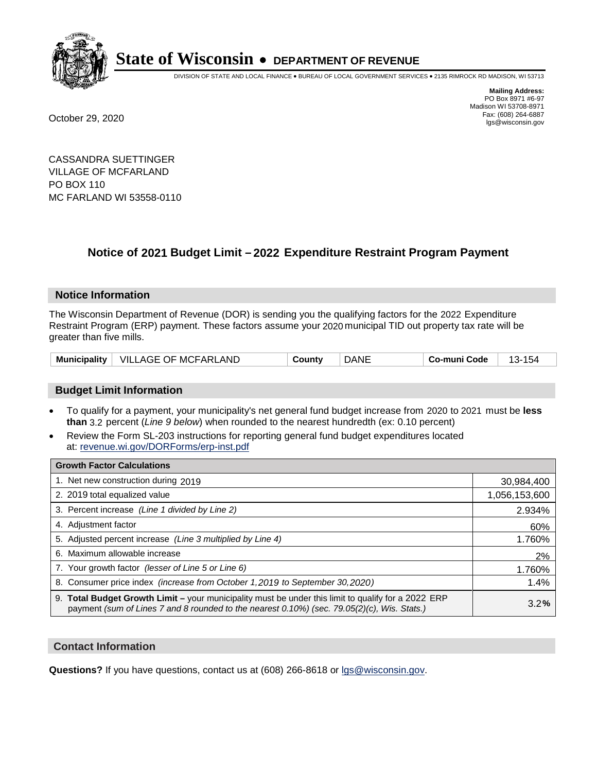

DIVISION OF STATE AND LOCAL FINANCE • BUREAU OF LOCAL GOVERNMENT SERVICES • 2135 RIMROCK RD MADISON, WI 53713

**Mailing Address:** PO Box 8971 #6-97 Madison WI 53708-8971<br>Fax: (608) 264-6887 Fax: (608) 264-6887 October 29, 2020 lgs@wisconsin.gov

CASSANDRA SUETTINGER VILLAGE OF MCFARLAND PO BOX 110 MC FARLAND WI 53558-0110

# **Notice of 2021 Budget Limit - 2022 Expenditure Restraint Program Payment**

## **Notice Information**

The Wisconsin Department of Revenue (DOR) is sending you the qualifying factors for the 2022 Expenditure Restraint Program (ERP) payment. These factors assume your 2020 municipal TID out property tax rate will be greater than five mills.

| <b>Municipality</b> | <b>VILLAGE OF MCFARLAND</b> | `ountv | DANE | Co-muni Code |  |
|---------------------|-----------------------------|--------|------|--------------|--|
|---------------------|-----------------------------|--------|------|--------------|--|

## **Budget Limit Information**

- To qualify for a payment, your municipality's net general fund budget increase from 2020 to 2021 must be less **than** 3.2 percent (*Line 9 below*) when rounded to the nearest hundredth (ex: 0.10 percent)
- Review the Form SL-203 instructions for reporting general fund budget expenditures located at: revenue.wi.gov/DORForms/erp-inst.pdf

| <b>Growth Factor Calculations</b>                                                                                                                                                                  |               |
|----------------------------------------------------------------------------------------------------------------------------------------------------------------------------------------------------|---------------|
| 1. Net new construction during 2019                                                                                                                                                                | 30,984,400    |
| 2. 2019 total equalized value                                                                                                                                                                      | 1,056,153,600 |
| 3. Percent increase (Line 1 divided by Line 2)                                                                                                                                                     | 2.934%        |
| 4. Adjustment factor                                                                                                                                                                               | 60%           |
| 5. Adjusted percent increase (Line 3 multiplied by Line 4)                                                                                                                                         | 1.760%        |
| 6. Maximum allowable increase                                                                                                                                                                      | 2%            |
| 7. Your growth factor (lesser of Line 5 or Line 6)                                                                                                                                                 | 1.760%        |
| 8. Consumer price index (increase from October 1, 2019 to September 30, 2020)                                                                                                                      | 1.4%          |
| 9. Total Budget Growth Limit - your municipality must be under this limit to qualify for a 2022 ERP<br>payment (sum of Lines 7 and 8 rounded to the nearest 0.10%) (sec. 79.05(2)(c), Wis. Stats.) | 3.2%          |

## **Contact Information**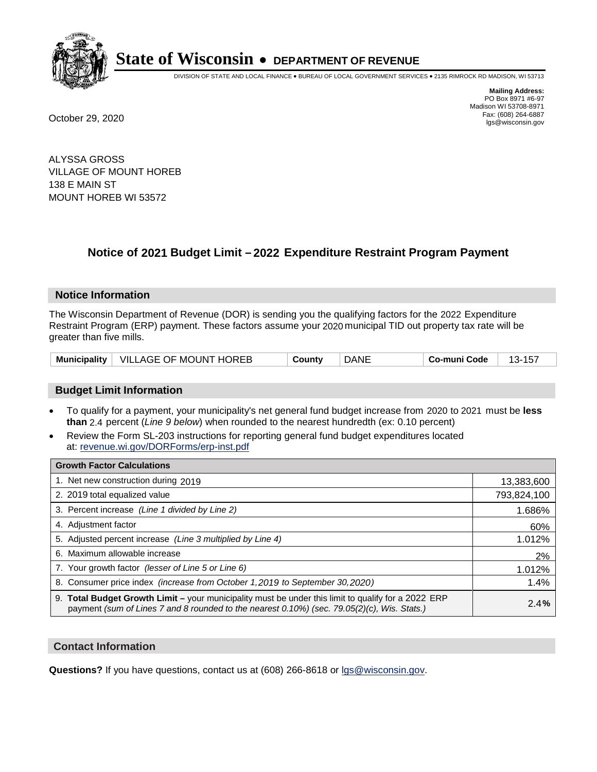

DIVISION OF STATE AND LOCAL FINANCE • BUREAU OF LOCAL GOVERNMENT SERVICES • 2135 RIMROCK RD MADISON, WI 53713

**Mailing Address:** PO Box 8971 #6-97 Madison WI 53708-8971<br>Fax: (608) 264-6887 Fax: (608) 264-6887 October 29, 2020 lgs@wisconsin.gov

ALYSSA GROSS VILLAGE OF MOUNT HOREB 138 E MAIN ST MOUNT HOREB WI 53572

# **Notice of 2021 Budget Limit - 2022 Expenditure Restraint Program Payment**

## **Notice Information**

The Wisconsin Department of Revenue (DOR) is sending you the qualifying factors for the 2022 Expenditure Restraint Program (ERP) payment. These factors assume your 2020 municipal TID out property tax rate will be greater than five mills.

|  | Municipality   VILLAGE OF MOUNT HOREB | County | DANE | Co-muni Code |  |
|--|---------------------------------------|--------|------|--------------|--|
|--|---------------------------------------|--------|------|--------------|--|

## **Budget Limit Information**

- To qualify for a payment, your municipality's net general fund budget increase from 2020 to 2021 must be less **than** 2.4 percent (*Line 9 below*) when rounded to the nearest hundredth (ex: 0.10 percent)
- Review the Form SL-203 instructions for reporting general fund budget expenditures located at: revenue.wi.gov/DORForms/erp-inst.pdf

| <b>Growth Factor Calculations</b>                                                                                                                                                                  |             |
|----------------------------------------------------------------------------------------------------------------------------------------------------------------------------------------------------|-------------|
| 1. Net new construction during 2019                                                                                                                                                                | 13,383,600  |
| 2. 2019 total equalized value                                                                                                                                                                      | 793,824,100 |
| 3. Percent increase (Line 1 divided by Line 2)                                                                                                                                                     | 1.686%      |
| 4. Adjustment factor                                                                                                                                                                               | 60%         |
| 5. Adjusted percent increase (Line 3 multiplied by Line 4)                                                                                                                                         | 1.012%      |
| 6. Maximum allowable increase                                                                                                                                                                      | 2%          |
| 7. Your growth factor (lesser of Line 5 or Line 6)                                                                                                                                                 | 1.012%      |
| 8. Consumer price index (increase from October 1, 2019 to September 30, 2020)                                                                                                                      | 1.4%        |
| 9. Total Budget Growth Limit - your municipality must be under this limit to qualify for a 2022 ERP<br>payment (sum of Lines 7 and 8 rounded to the nearest 0.10%) (sec. 79.05(2)(c), Wis. Stats.) | 2.4%        |

## **Contact Information**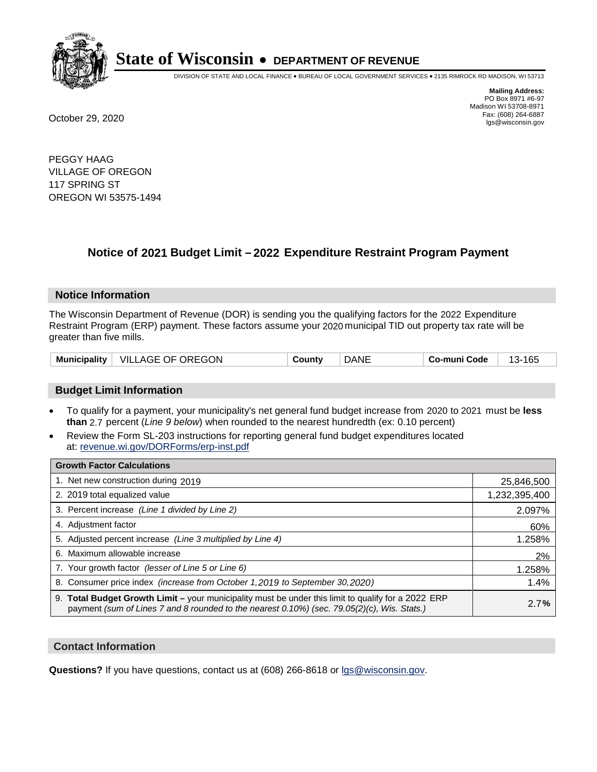

DIVISION OF STATE AND LOCAL FINANCE • BUREAU OF LOCAL GOVERNMENT SERVICES • 2135 RIMROCK RD MADISON, WI 53713

**Mailing Address:** PO Box 8971 #6-97 Madison WI 53708-8971<br>Fax: (608) 264-6887 Fax: (608) 264-6887 October 29, 2020 lgs@wisconsin.gov

PEGGY HAAG VILLAGE OF OREGON 117 SPRING ST OREGON WI 53575-1494

# **Notice of 2021 Budget Limit - 2022 Expenditure Restraint Program Payment**

## **Notice Information**

The Wisconsin Department of Revenue (DOR) is sending you the qualifying factors for the 2022 Expenditure Restraint Program (ERP) payment. These factors assume your 2020 municipal TID out property tax rate will be greater than five mills.

## **Budget Limit Information**

- To qualify for a payment, your municipality's net general fund budget increase from 2020 to 2021 must be less **than** 2.7 percent (*Line 9 below*) when rounded to the nearest hundredth (ex: 0.10 percent)
- Review the Form SL-203 instructions for reporting general fund budget expenditures located at: revenue.wi.gov/DORForms/erp-inst.pdf

| <b>Growth Factor Calculations</b>                                                                                                                                                                  |               |
|----------------------------------------------------------------------------------------------------------------------------------------------------------------------------------------------------|---------------|
| 1. Net new construction during 2019                                                                                                                                                                | 25,846,500    |
| 2. 2019 total equalized value                                                                                                                                                                      | 1,232,395,400 |
| 3. Percent increase (Line 1 divided by Line 2)                                                                                                                                                     | 2.097%        |
| 4. Adjustment factor                                                                                                                                                                               | 60%           |
| 5. Adjusted percent increase (Line 3 multiplied by Line 4)                                                                                                                                         | 1.258%        |
| Maximum allowable increase<br>6.                                                                                                                                                                   | 2%            |
| 7. Your growth factor (lesser of Line 5 or Line 6)                                                                                                                                                 | 1.258%        |
| 8. Consumer price index (increase from October 1, 2019 to September 30, 2020)                                                                                                                      | 1.4%          |
| 9. Total Budget Growth Limit - your municipality must be under this limit to qualify for a 2022 ERP<br>payment (sum of Lines 7 and 8 rounded to the nearest 0.10%) (sec. 79.05(2)(c), Wis. Stats.) | 2.7%          |

## **Contact Information**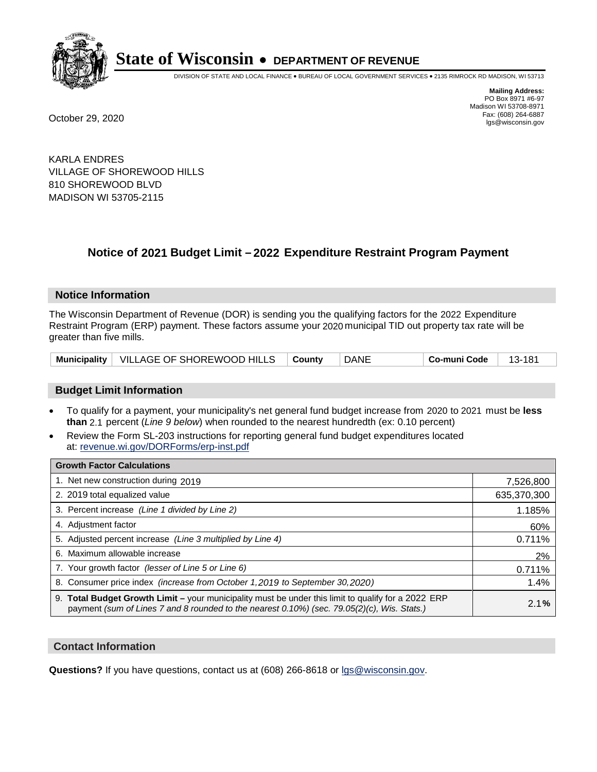

DIVISION OF STATE AND LOCAL FINANCE • BUREAU OF LOCAL GOVERNMENT SERVICES • 2135 RIMROCK RD MADISON, WI 53713

**Mailing Address:** PO Box 8971 #6-97 Madison WI 53708-8971<br>Fax: (608) 264-6887 Fax: (608) 264-6887 October 29, 2020 lgs@wisconsin.gov

KARLA ENDRES VILLAGE OF SHOREWOOD HILLS 810 SHOREWOOD BLVD MADISON WI 53705-2115

# **Notice of 2021 Budget Limit - 2022 Expenditure Restraint Program Payment**

## **Notice Information**

The Wisconsin Department of Revenue (DOR) is sending you the qualifying factors for the 2022 Expenditure Restraint Program (ERP) payment. These factors assume your 2020 municipal TID out property tax rate will be greater than five mills.

| Municipality   VILLAGE OF SHOREWOOD HILLS   County |  | DANE | Co-muni Code | - 13-181 |
|----------------------------------------------------|--|------|--------------|----------|
|----------------------------------------------------|--|------|--------------|----------|

## **Budget Limit Information**

- To qualify for a payment, your municipality's net general fund budget increase from 2020 to 2021 must be less **than** 2.1 percent (*Line 9 below*) when rounded to the nearest hundredth (ex: 0.10 percent)
- Review the Form SL-203 instructions for reporting general fund budget expenditures located at: revenue.wi.gov/DORForms/erp-inst.pdf

| <b>Growth Factor Calculations</b>                                                                                                                                                                  |             |
|----------------------------------------------------------------------------------------------------------------------------------------------------------------------------------------------------|-------------|
| 1. Net new construction during 2019                                                                                                                                                                | 7,526,800   |
| 2. 2019 total equalized value                                                                                                                                                                      | 635,370,300 |
| 3. Percent increase (Line 1 divided by Line 2)                                                                                                                                                     | 1.185%      |
| 4. Adjustment factor                                                                                                                                                                               | 60%         |
| 5. Adjusted percent increase (Line 3 multiplied by Line 4)                                                                                                                                         | 0.711%      |
| 6. Maximum allowable increase                                                                                                                                                                      | 2%          |
| 7. Your growth factor (lesser of Line 5 or Line 6)                                                                                                                                                 | 0.711%      |
| 8. Consumer price index (increase from October 1, 2019 to September 30, 2020)                                                                                                                      | 1.4%        |
| 9. Total Budget Growth Limit - your municipality must be under this limit to qualify for a 2022 ERP<br>payment (sum of Lines 7 and 8 rounded to the nearest 0.10%) (sec. 79.05(2)(c), Wis. Stats.) | 2.1%        |

## **Contact Information**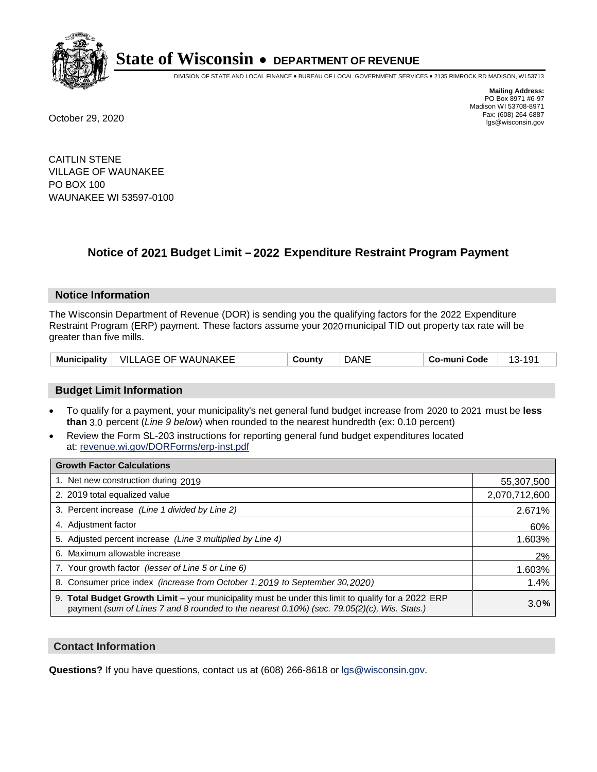

DIVISION OF STATE AND LOCAL FINANCE • BUREAU OF LOCAL GOVERNMENT SERVICES • 2135 RIMROCK RD MADISON, WI 53713

**Mailing Address:** PO Box 8971 #6-97 Madison WI 53708-8971<br>Fax: (608) 264-6887 Fax: (608) 264-6887 October 29, 2020 lgs@wisconsin.gov

CAITLIN STENE VILLAGE OF WAUNAKEE PO BOX 100 WAUNAKEE WI 53597-0100

# **Notice of 2021 Budget Limit - 2022 Expenditure Restraint Program Payment**

#### **Notice Information**

The Wisconsin Department of Revenue (DOR) is sending you the qualifying factors for the 2022 Expenditure Restraint Program (ERP) payment. These factors assume your 2020 municipal TID out property tax rate will be greater than five mills.

| <b>Municipality</b> | VILLAGE OF WAUNAKEE | ∵ountٽ | DANE | -muni Code<br>Co- | $\sim$<br>. . |
|---------------------|---------------------|--------|------|-------------------|---------------|
|---------------------|---------------------|--------|------|-------------------|---------------|

## **Budget Limit Information**

- To qualify for a payment, your municipality's net general fund budget increase from 2020 to 2021 must be less **than** 3.0 percent (*Line 9 below*) when rounded to the nearest hundredth (ex: 0.10 percent)
- Review the Form SL-203 instructions for reporting general fund budget expenditures located at: revenue.wi.gov/DORForms/erp-inst.pdf

| <b>Growth Factor Calculations</b>                                                                                                                                                                  |               |
|----------------------------------------------------------------------------------------------------------------------------------------------------------------------------------------------------|---------------|
| 1. Net new construction during 2019                                                                                                                                                                | 55,307,500    |
| 2. 2019 total equalized value                                                                                                                                                                      | 2,070,712,600 |
| 3. Percent increase (Line 1 divided by Line 2)                                                                                                                                                     | 2.671%        |
| 4. Adjustment factor                                                                                                                                                                               | 60%           |
| 5. Adjusted percent increase (Line 3 multiplied by Line 4)                                                                                                                                         | 1.603%        |
| 6. Maximum allowable increase                                                                                                                                                                      | 2%            |
| 7. Your growth factor (lesser of Line 5 or Line 6)                                                                                                                                                 | 1.603%        |
| 8. Consumer price index (increase from October 1, 2019 to September 30, 2020)                                                                                                                      | 1.4%          |
| 9. Total Budget Growth Limit - your municipality must be under this limit to qualify for a 2022 ERP<br>payment (sum of Lines 7 and 8 rounded to the nearest 0.10%) (sec. 79.05(2)(c), Wis. Stats.) | 3.0%          |

## **Contact Information**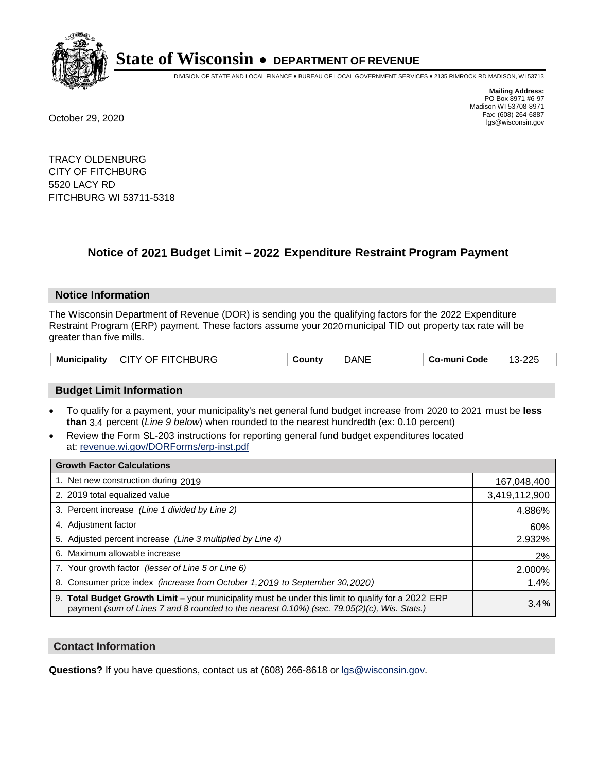

DIVISION OF STATE AND LOCAL FINANCE • BUREAU OF LOCAL GOVERNMENT SERVICES • 2135 RIMROCK RD MADISON, WI 53713

**Mailing Address:** PO Box 8971 #6-97 Madison WI 53708-8971<br>Fax: (608) 264-6887 Fax: (608) 264-6887 October 29, 2020 lgs@wisconsin.gov

TRACY OLDENBURG CITY OF FITCHBURG 5520 LACY RD FITCHBURG WI 53711-5318

# **Notice of 2021 Budget Limit - 2022 Expenditure Restraint Program Payment**

## **Notice Information**

The Wisconsin Department of Revenue (DOR) is sending you the qualifying factors for the 2022 Expenditure Restraint Program (ERP) payment. These factors assume your 2020 municipal TID out property tax rate will be greater than five mills.

| CITY OF FITCHBURG<br><b>Municipality</b> | County | <b>DANE</b> | Co-muni Code | 12.225<br>13-225 |
|------------------------------------------|--------|-------------|--------------|------------------|
|------------------------------------------|--------|-------------|--------------|------------------|

## **Budget Limit Information**

- To qualify for a payment, your municipality's net general fund budget increase from 2020 to 2021 must be less **than** 3.4 percent (*Line 9 below*) when rounded to the nearest hundredth (ex: 0.10 percent)
- Review the Form SL-203 instructions for reporting general fund budget expenditures located at: revenue.wi.gov/DORForms/erp-inst.pdf

| <b>Growth Factor Calculations</b>                                                                                                                                                                      |               |
|--------------------------------------------------------------------------------------------------------------------------------------------------------------------------------------------------------|---------------|
| 1. Net new construction during 2019                                                                                                                                                                    | 167,048,400   |
| 2. 2019 total equalized value                                                                                                                                                                          | 3,419,112,900 |
| 3. Percent increase (Line 1 divided by Line 2)                                                                                                                                                         | 4.886%        |
| 4. Adjustment factor                                                                                                                                                                                   | 60%           |
| 5. Adjusted percent increase (Line 3 multiplied by Line 4)                                                                                                                                             | 2.932%        |
| 6. Maximum allowable increase                                                                                                                                                                          | 2%            |
| 7. Your growth factor (lesser of Line 5 or Line 6)                                                                                                                                                     | 2.000%        |
| 8. Consumer price index (increase from October 1, 2019 to September 30, 2020)                                                                                                                          | 1.4%          |
| 9. Total Budget Growth Limit - your municipality must be under this limit to qualify for a 2022 ERP<br>payment (sum of Lines 7 and 8 rounded to the nearest $0.10\%$ ) (sec. 79.05(2)(c), Wis. Stats.) | 3.4%          |

## **Contact Information**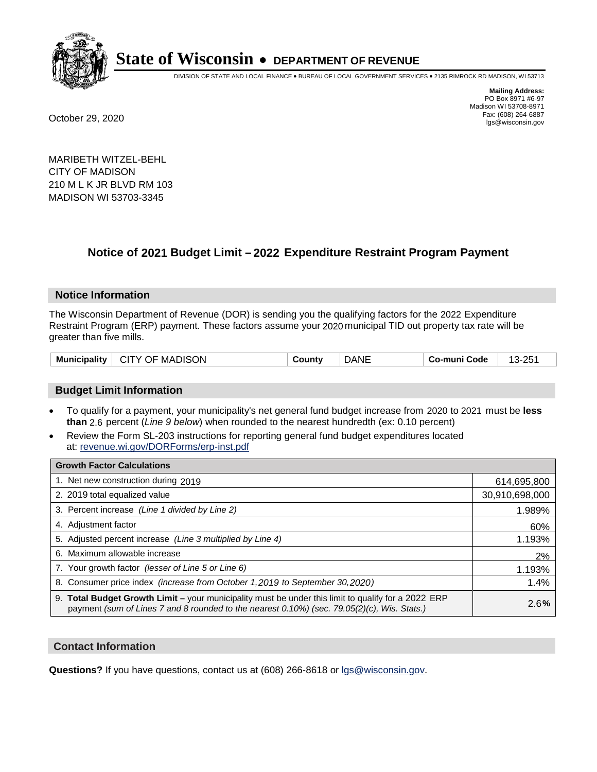

DIVISION OF STATE AND LOCAL FINANCE • BUREAU OF LOCAL GOVERNMENT SERVICES • 2135 RIMROCK RD MADISON, WI 53713

**Mailing Address:** PO Box 8971 #6-97 Madison WI 53708-8971<br>Fax: (608) 264-6887 Fax: (608) 264-6887 October 29, 2020 lgs@wisconsin.gov

MARIBETH WITZEL-BEHL CITY OF MADISON 210 M L K JR BLVD RM 103 MADISON WI 53703-3345

# **Notice of 2021 Budget Limit - 2022 Expenditure Restraint Program Payment**

## **Notice Information**

The Wisconsin Department of Revenue (DOR) is sending you the qualifying factors for the 2022 Expenditure Restraint Program (ERP) payment. These factors assume your 2020 municipal TID out property tax rate will be greater than five mills.

| $\vdash$ CITY OF MADISON $\vdash$<br><b>Municipality</b> | County | <b>DANE</b> | ⊺ Co-muni Code | 13-251 |
|----------------------------------------------------------|--------|-------------|----------------|--------|
|----------------------------------------------------------|--------|-------------|----------------|--------|

## **Budget Limit Information**

- To qualify for a payment, your municipality's net general fund budget increase from 2020 to 2021 must be less **than** 2.6 percent (*Line 9 below*) when rounded to the nearest hundredth (ex: 0.10 percent)
- Review the Form SL-203 instructions for reporting general fund budget expenditures located at: revenue.wi.gov/DORForms/erp-inst.pdf

| <b>Growth Factor Calculations</b>                                                                                                                                                                      |                |
|--------------------------------------------------------------------------------------------------------------------------------------------------------------------------------------------------------|----------------|
| 1. Net new construction during 2019                                                                                                                                                                    | 614,695,800    |
| 2. 2019 total equalized value                                                                                                                                                                          | 30,910,698,000 |
| 3. Percent increase (Line 1 divided by Line 2)                                                                                                                                                         | 1.989%         |
| 4. Adjustment factor                                                                                                                                                                                   | 60%            |
| 5. Adjusted percent increase (Line 3 multiplied by Line 4)                                                                                                                                             | 1.193%         |
| 6. Maximum allowable increase                                                                                                                                                                          | 2%             |
| 7. Your growth factor (lesser of Line 5 or Line 6)                                                                                                                                                     | 1.193%         |
| 8. Consumer price index (increase from October 1, 2019 to September 30, 2020)                                                                                                                          | 1.4%           |
| 9. Total Budget Growth Limit - your municipality must be under this limit to qualify for a 2022 ERP<br>payment (sum of Lines 7 and 8 rounded to the nearest $0.10\%$ ) (sec. 79.05(2)(c), Wis. Stats.) | 2.6%           |

## **Contact Information**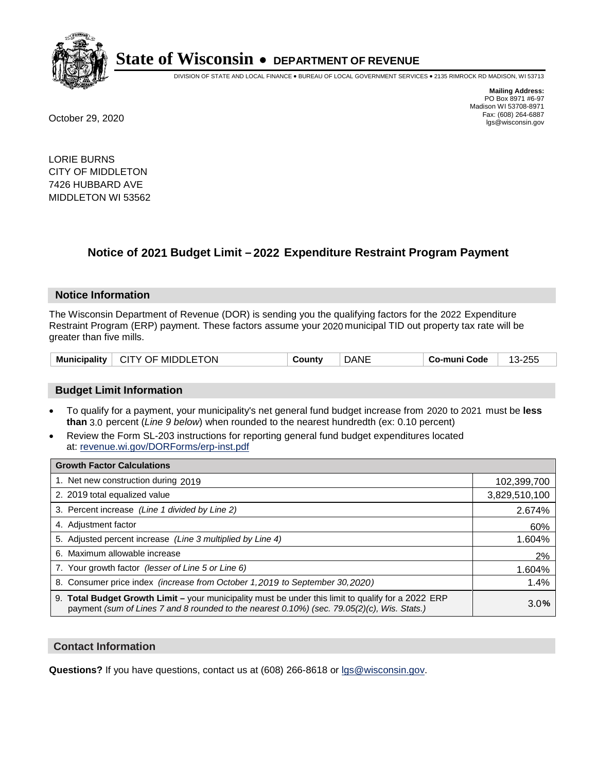

DIVISION OF STATE AND LOCAL FINANCE • BUREAU OF LOCAL GOVERNMENT SERVICES • 2135 RIMROCK RD MADISON, WI 53713

**Mailing Address:** PO Box 8971 #6-97 Madison WI 53708-8971<br>Fax: (608) 264-6887 Fax: (608) 264-6887 October 29, 2020 lgs@wisconsin.gov

LORIE BURNS CITY OF MIDDLETON 7426 HUBBARD AVE MIDDLETON WI 53562

# **Notice of 2021 Budget Limit - 2022 Expenditure Restraint Program Payment**

## **Notice Information**

The Wisconsin Department of Revenue (DOR) is sending you the qualifying factors for the 2022 Expenditure Restraint Program (ERP) payment. These factors assume your 2020 municipal TID out property tax rate will be greater than five mills.

| Municipality   CITY OF MIDDLETON | County | <b>DANE</b> | Co-muni Code | 13-255 |
|----------------------------------|--------|-------------|--------------|--------|
|----------------------------------|--------|-------------|--------------|--------|

## **Budget Limit Information**

- To qualify for a payment, your municipality's net general fund budget increase from 2020 to 2021 must be less **than** 3.0 percent (*Line 9 below*) when rounded to the nearest hundredth (ex: 0.10 percent)
- Review the Form SL-203 instructions for reporting general fund budget expenditures located at: revenue.wi.gov/DORForms/erp-inst.pdf

| <b>Growth Factor Calculations</b>                                                                                                                                                                  |               |
|----------------------------------------------------------------------------------------------------------------------------------------------------------------------------------------------------|---------------|
| 1. Net new construction during 2019                                                                                                                                                                | 102,399,700   |
| 2. 2019 total equalized value                                                                                                                                                                      | 3,829,510,100 |
| 3. Percent increase (Line 1 divided by Line 2)                                                                                                                                                     | 2.674%        |
| 4. Adjustment factor                                                                                                                                                                               | 60%           |
| 5. Adjusted percent increase (Line 3 multiplied by Line 4)                                                                                                                                         | 1.604%        |
| 6. Maximum allowable increase                                                                                                                                                                      | 2%            |
| 7. Your growth factor (lesser of Line 5 or Line 6)                                                                                                                                                 | 1.604%        |
| 8. Consumer price index (increase from October 1, 2019 to September 30, 2020)                                                                                                                      | 1.4%          |
| 9. Total Budget Growth Limit - your municipality must be under this limit to qualify for a 2022 ERP<br>payment (sum of Lines 7 and 8 rounded to the nearest 0.10%) (sec. 79.05(2)(c), Wis. Stats.) | 3.0%          |

## **Contact Information**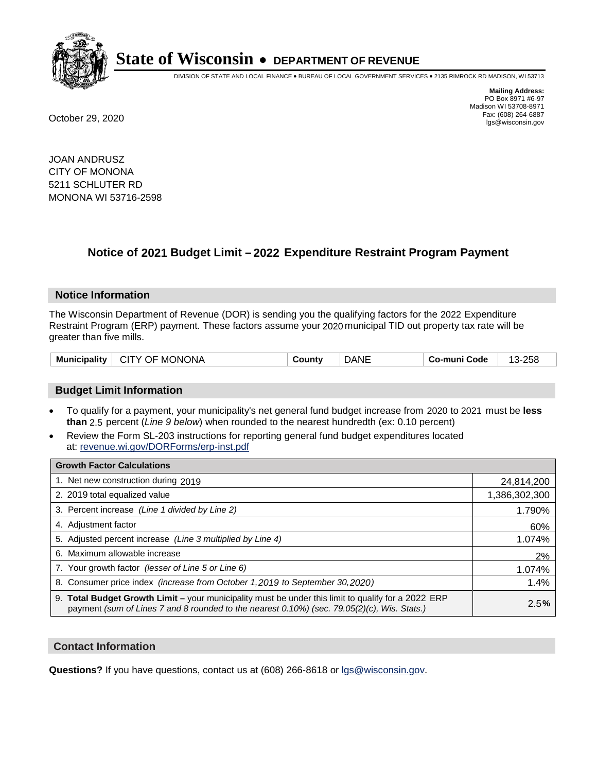

DIVISION OF STATE AND LOCAL FINANCE • BUREAU OF LOCAL GOVERNMENT SERVICES • 2135 RIMROCK RD MADISON, WI 53713

**Mailing Address:** PO Box 8971 #6-97 Madison WI 53708-8971<br>Fax: (608) 264-6887 Fax: (608) 264-6887 October 29, 2020 lgs@wisconsin.gov

JOAN ANDRUSZ CITY OF MONONA 5211 SCHLUTER RD MONONA WI 53716-2598

# **Notice of 2021 Budget Limit - 2022 Expenditure Restraint Program Payment**

## **Notice Information**

The Wisconsin Department of Revenue (DOR) is sending you the qualifying factors for the 2022 Expenditure Restraint Program (ERP) payment. These factors assume your 2020 municipal TID out property tax rate will be greater than five mills.

| <b>Municipality</b> | <b>MONONA</b><br>CITY OF | ∵ountٽ | )ANE | Code<br>-mun<br>Co. | $-258$<br>$\sim$<br><u>`</u> |
|---------------------|--------------------------|--------|------|---------------------|------------------------------|
|---------------------|--------------------------|--------|------|---------------------|------------------------------|

## **Budget Limit Information**

- To qualify for a payment, your municipality's net general fund budget increase from 2020 to 2021 must be less **than** 2.5 percent (*Line 9 below*) when rounded to the nearest hundredth (ex: 0.10 percent)
- Review the Form SL-203 instructions for reporting general fund budget expenditures located at: revenue.wi.gov/DORForms/erp-inst.pdf

| <b>Growth Factor Calculations</b>                                                                                                                                                                  |               |
|----------------------------------------------------------------------------------------------------------------------------------------------------------------------------------------------------|---------------|
| 1. Net new construction during 2019                                                                                                                                                                | 24,814,200    |
| 2. 2019 total equalized value                                                                                                                                                                      | 1,386,302,300 |
| 3. Percent increase (Line 1 divided by Line 2)                                                                                                                                                     | 1.790%        |
| 4. Adjustment factor                                                                                                                                                                               | 60%           |
| 5. Adjusted percent increase (Line 3 multiplied by Line 4)                                                                                                                                         | 1.074%        |
| 6. Maximum allowable increase                                                                                                                                                                      | 2%            |
| 7. Your growth factor (lesser of Line 5 or Line 6)                                                                                                                                                 | 1.074%        |
| 8. Consumer price index (increase from October 1,2019 to September 30,2020)                                                                                                                        | 1.4%          |
| 9. Total Budget Growth Limit - your municipality must be under this limit to qualify for a 2022 ERP<br>payment (sum of Lines 7 and 8 rounded to the nearest 0.10%) (sec. 79.05(2)(c), Wis. Stats.) | 2.5%          |

## **Contact Information**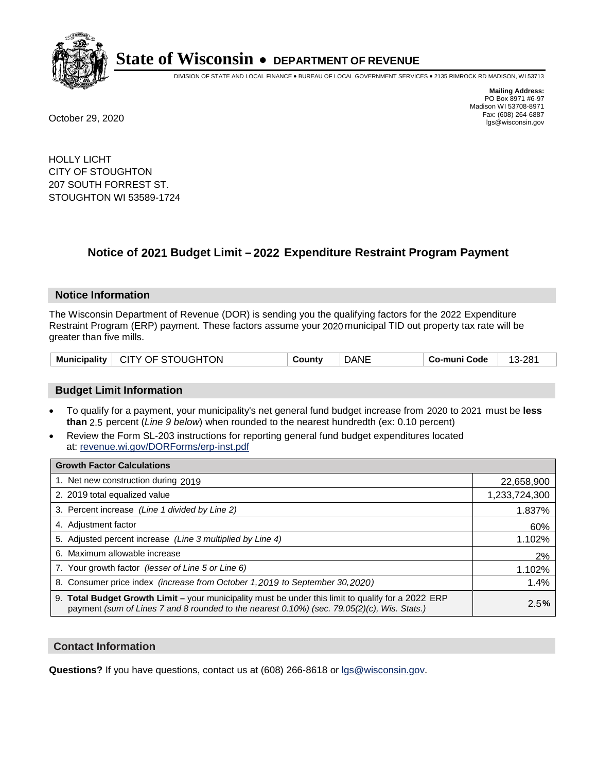

DIVISION OF STATE AND LOCAL FINANCE • BUREAU OF LOCAL GOVERNMENT SERVICES • 2135 RIMROCK RD MADISON, WI 53713

**Mailing Address:** PO Box 8971 #6-97 Madison WI 53708-8971<br>Fax: (608) 264-6887 Fax: (608) 264-6887 October 29, 2020 lgs@wisconsin.gov

HOLLY LICHT CITY OF STOUGHTON 207 SOUTH FORREST ST. STOUGHTON WI 53589-1724

# **Notice of 2021 Budget Limit - 2022 Expenditure Restraint Program Payment**

## **Notice Information**

The Wisconsin Department of Revenue (DOR) is sending you the qualifying factors for the 2022 Expenditure Restraint Program (ERP) payment. These factors assume your 2020 municipal TID out property tax rate will be greater than five mills.

| Municipality   CITY OF STOUGHTON | County | <b>DANE</b> | Co-muni Code | 13-281 |
|----------------------------------|--------|-------------|--------------|--------|
|----------------------------------|--------|-------------|--------------|--------|

## **Budget Limit Information**

- To qualify for a payment, your municipality's net general fund budget increase from 2020 to 2021 must be less **than** 2.5 percent (*Line 9 below*) when rounded to the nearest hundredth (ex: 0.10 percent)
- Review the Form SL-203 instructions for reporting general fund budget expenditures located at: revenue.wi.gov/DORForms/erp-inst.pdf

| <b>Growth Factor Calculations</b>                                                                                                                                                                  |               |
|----------------------------------------------------------------------------------------------------------------------------------------------------------------------------------------------------|---------------|
| 1. Net new construction during 2019                                                                                                                                                                | 22,658,900    |
| 2. 2019 total equalized value                                                                                                                                                                      | 1,233,724,300 |
| 3. Percent increase (Line 1 divided by Line 2)                                                                                                                                                     | 1.837%        |
| 4. Adjustment factor                                                                                                                                                                               | 60%           |
| 5. Adjusted percent increase (Line 3 multiplied by Line 4)                                                                                                                                         | 1.102%        |
| 6. Maximum allowable increase                                                                                                                                                                      | 2%            |
| 7. Your growth factor (lesser of Line 5 or Line 6)                                                                                                                                                 | 1.102%        |
| 8. Consumer price index (increase from October 1,2019 to September 30,2020)                                                                                                                        | 1.4%          |
| 9. Total Budget Growth Limit - your municipality must be under this limit to qualify for a 2022 ERP<br>payment (sum of Lines 7 and 8 rounded to the nearest 0.10%) (sec. 79.05(2)(c), Wis. Stats.) | 2.5%          |

## **Contact Information**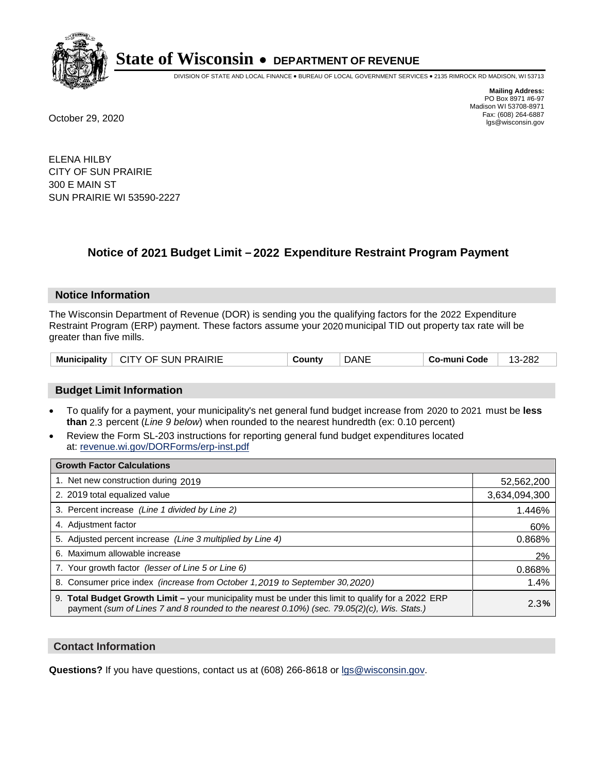

DIVISION OF STATE AND LOCAL FINANCE • BUREAU OF LOCAL GOVERNMENT SERVICES • 2135 RIMROCK RD MADISON, WI 53713

**Mailing Address:** PO Box 8971 #6-97 Madison WI 53708-8971<br>Fax: (608) 264-6887 Fax: (608) 264-6887 October 29, 2020 lgs@wisconsin.gov

ELENA HILBY CITY OF SUN PRAIRIE 300 E MAIN ST SUN PRAIRIE WI 53590-2227

# **Notice of 2021 Budget Limit - 2022 Expenditure Restraint Program Payment**

#### **Notice Information**

The Wisconsin Department of Revenue (DOR) is sending you the qualifying factors for the 2022 Expenditure Restraint Program (ERP) payment. These factors assume your 2020 municipal TID out property tax rate will be greater than five mills.

| Municipality   CITY OF SUN PRAIRIE | County | <b>DANE</b> | Co-muni Code | 13-282 |
|------------------------------------|--------|-------------|--------------|--------|
|------------------------------------|--------|-------------|--------------|--------|

## **Budget Limit Information**

- To qualify for a payment, your municipality's net general fund budget increase from 2020 to 2021 must be less **than** 2.3 percent (*Line 9 below*) when rounded to the nearest hundredth (ex: 0.10 percent)
- Review the Form SL-203 instructions for reporting general fund budget expenditures located at: revenue.wi.gov/DORForms/erp-inst.pdf

| <b>Growth Factor Calculations</b>                                                                                                                                                                  |               |
|----------------------------------------------------------------------------------------------------------------------------------------------------------------------------------------------------|---------------|
| 1. Net new construction during 2019                                                                                                                                                                | 52,562,200    |
| 2. 2019 total equalized value                                                                                                                                                                      | 3,634,094,300 |
| 3. Percent increase (Line 1 divided by Line 2)                                                                                                                                                     | 1.446%        |
| 4. Adjustment factor                                                                                                                                                                               | 60%           |
| 5. Adjusted percent increase (Line 3 multiplied by Line 4)                                                                                                                                         | 0.868%        |
| 6. Maximum allowable increase                                                                                                                                                                      | 2%            |
| 7. Your growth factor (lesser of Line 5 or Line 6)                                                                                                                                                 | 0.868%        |
| 8. Consumer price index (increase from October 1,2019 to September 30,2020)                                                                                                                        | 1.4%          |
| 9. Total Budget Growth Limit - your municipality must be under this limit to qualify for a 2022 ERP<br>payment (sum of Lines 7 and 8 rounded to the nearest 0.10%) (sec. 79.05(2)(c), Wis. Stats.) | 2.3%          |

## **Contact Information**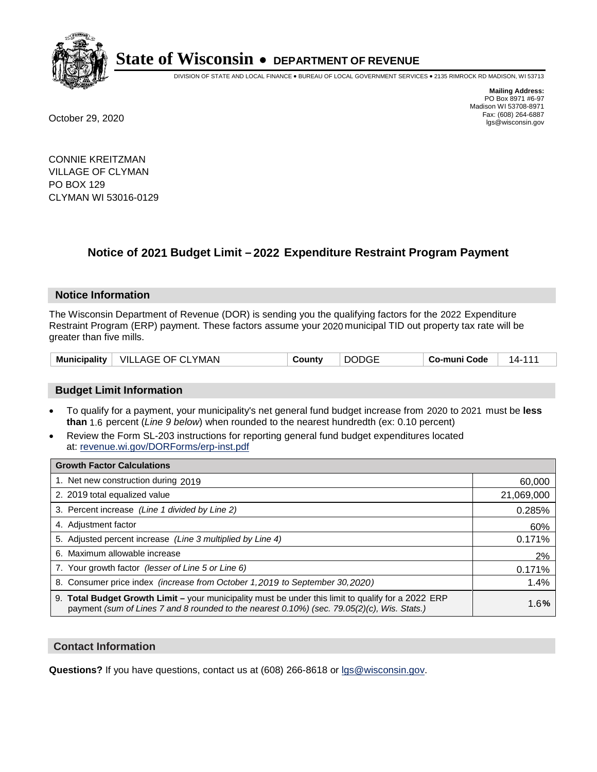

DIVISION OF STATE AND LOCAL FINANCE • BUREAU OF LOCAL GOVERNMENT SERVICES • 2135 RIMROCK RD MADISON, WI 53713

**Mailing Address:** PO Box 8971 #6-97 Madison WI 53708-8971<br>Fax: (608) 264-6887 Fax: (608) 264-6887 October 29, 2020 lgs@wisconsin.gov

CONNIE KREITZMAN VILLAGE OF CLYMAN PO BOX 129 CLYMAN WI 53016-0129

# **Notice of 2021 Budget Limit - 2022 Expenditure Restraint Program Payment**

## **Notice Information**

The Wisconsin Department of Revenue (DOR) is sending you the qualifying factors for the 2022 Expenditure Restraint Program (ERP) payment. These factors assume your 2020 municipal TID out property tax rate will be greater than five mills.

| <b>Municipality</b> | VILLAGE OF CLYMAN | County | <b>DODGE</b> | Co-muni Code | 14- |
|---------------------|-------------------|--------|--------------|--------------|-----|
|---------------------|-------------------|--------|--------------|--------------|-----|

## **Budget Limit Information**

- To qualify for a payment, your municipality's net general fund budget increase from 2020 to 2021 must be less **than** 1.6 percent (*Line 9 below*) when rounded to the nearest hundredth (ex: 0.10 percent)
- Review the Form SL-203 instructions for reporting general fund budget expenditures located at: revenue.wi.gov/DORForms/erp-inst.pdf

| <b>Growth Factor Calculations</b>                                                                                                                                                                  |            |
|----------------------------------------------------------------------------------------------------------------------------------------------------------------------------------------------------|------------|
| 1. Net new construction during 2019                                                                                                                                                                | 60,000     |
| 2. 2019 total equalized value                                                                                                                                                                      | 21,069,000 |
| 3. Percent increase (Line 1 divided by Line 2)                                                                                                                                                     | 0.285%     |
| 4. Adjustment factor                                                                                                                                                                               | 60%        |
| 5. Adjusted percent increase (Line 3 multiplied by Line 4)                                                                                                                                         | 0.171%     |
| 6. Maximum allowable increase                                                                                                                                                                      | 2%         |
| 7. Your growth factor (lesser of Line 5 or Line 6)                                                                                                                                                 | 0.171%     |
| 8. Consumer price index (increase from October 1, 2019 to September 30, 2020)                                                                                                                      | 1.4%       |
| 9. Total Budget Growth Limit – your municipality must be under this limit to qualify for a 2022 ERP<br>payment (sum of Lines 7 and 8 rounded to the nearest 0.10%) (sec. 79.05(2)(c), Wis. Stats.) | 1.6%       |

## **Contact Information**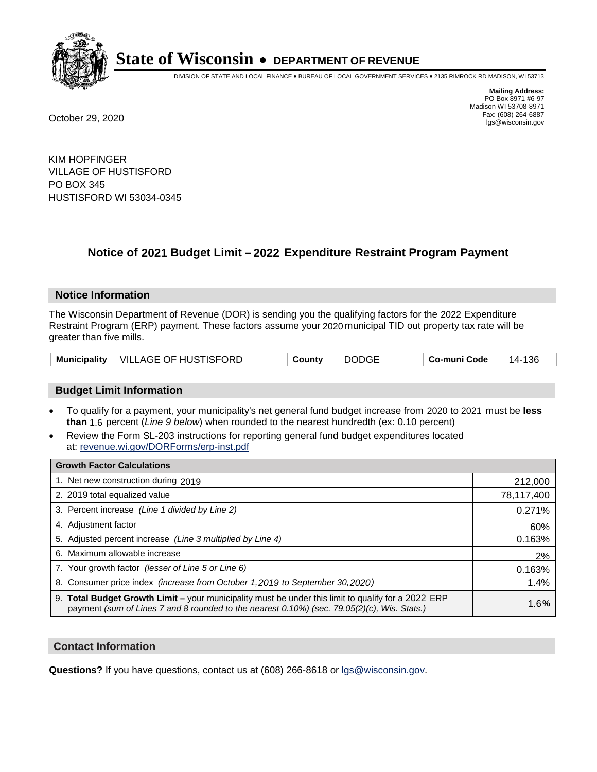

DIVISION OF STATE AND LOCAL FINANCE • BUREAU OF LOCAL GOVERNMENT SERVICES • 2135 RIMROCK RD MADISON, WI 53713

**Mailing Address:** PO Box 8971 #6-97 Madison WI 53708-8971<br>Fax: (608) 264-6887 Fax: (608) 264-6887 October 29, 2020 lgs@wisconsin.gov

KIM HOPFINGER VILLAGE OF HUSTISFORD PO BOX 345 HUSTISFORD WI 53034-0345

# **Notice of 2021 Budget Limit - 2022 Expenditure Restraint Program Payment**

## **Notice Information**

The Wisconsin Department of Revenue (DOR) is sending you the qualifying factors for the 2022 Expenditure Restraint Program (ERP) payment. These factors assume your 2020 municipal TID out property tax rate will be greater than five mills.

|  | Municipality   VILLAGE OF HUSTISFORD | County | <b>DODGE</b> | Co-muni Code | 14-136 |
|--|--------------------------------------|--------|--------------|--------------|--------|
|--|--------------------------------------|--------|--------------|--------------|--------|

## **Budget Limit Information**

- To qualify for a payment, your municipality's net general fund budget increase from 2020 to 2021 must be less **than** 1.6 percent (*Line 9 below*) when rounded to the nearest hundredth (ex: 0.10 percent)
- Review the Form SL-203 instructions for reporting general fund budget expenditures located at: revenue.wi.gov/DORForms/erp-inst.pdf

| <b>Growth Factor Calculations</b>                                                                                                                                                                      |            |
|--------------------------------------------------------------------------------------------------------------------------------------------------------------------------------------------------------|------------|
| 1. Net new construction during 2019                                                                                                                                                                    | 212,000    |
| 2. 2019 total equalized value                                                                                                                                                                          | 78,117,400 |
| 3. Percent increase (Line 1 divided by Line 2)                                                                                                                                                         | 0.271%     |
| 4. Adjustment factor                                                                                                                                                                                   | 60%        |
| 5. Adjusted percent increase (Line 3 multiplied by Line 4)                                                                                                                                             | 0.163%     |
| 6. Maximum allowable increase                                                                                                                                                                          | 2%         |
| 7. Your growth factor (lesser of Line 5 or Line 6)                                                                                                                                                     | 0.163%     |
| 8. Consumer price index (increase from October 1, 2019 to September 30, 2020)                                                                                                                          | 1.4%       |
| 9. Total Budget Growth Limit - your municipality must be under this limit to qualify for a 2022 ERP<br>payment (sum of Lines 7 and 8 rounded to the nearest $0.10\%$ ) (sec. 79.05(2)(c), Wis. Stats.) | 1.6%       |

## **Contact Information**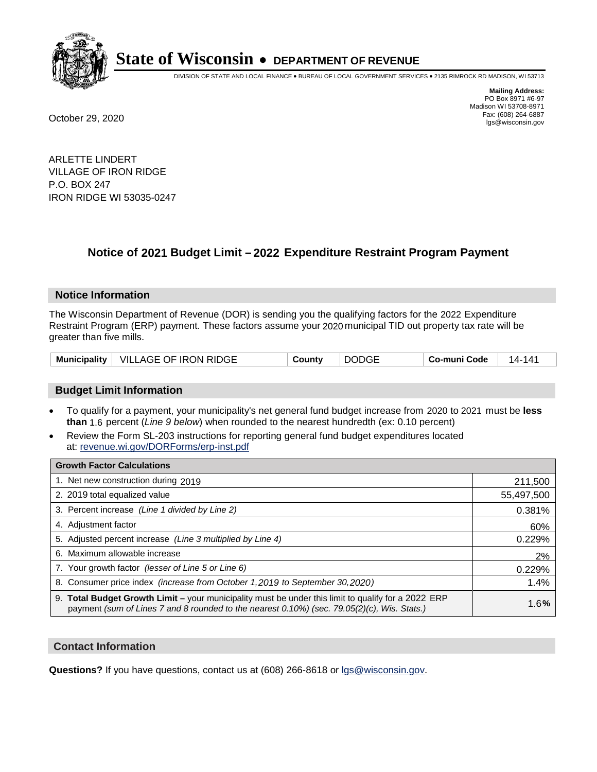

DIVISION OF STATE AND LOCAL FINANCE • BUREAU OF LOCAL GOVERNMENT SERVICES • 2135 RIMROCK RD MADISON, WI 53713

**Mailing Address:** PO Box 8971 #6-97 Madison WI 53708-8971<br>Fax: (608) 264-6887 Fax: (608) 264-6887 October 29, 2020 lgs@wisconsin.gov

ARLETTE LINDERT VILLAGE OF IRON RIDGE P.O. BOX 247 IRON RIDGE WI 53035-0247

# **Notice of 2021 Budget Limit - 2022 Expenditure Restraint Program Payment**

## **Notice Information**

The Wisconsin Department of Revenue (DOR) is sending you the qualifying factors for the 2022 Expenditure Restraint Program (ERP) payment. These factors assume your 2020 municipal TID out property tax rate will be greater than five mills.

|  | Municipality   VILLAGE OF IRON RIDGE | County | <b>DODGE</b> | Co-muni Code | 14- . |
|--|--------------------------------------|--------|--------------|--------------|-------|
|--|--------------------------------------|--------|--------------|--------------|-------|

## **Budget Limit Information**

- To qualify for a payment, your municipality's net general fund budget increase from 2020 to 2021 must be less **than** 1.6 percent (*Line 9 below*) when rounded to the nearest hundredth (ex: 0.10 percent)
- Review the Form SL-203 instructions for reporting general fund budget expenditures located at: revenue.wi.gov/DORForms/erp-inst.pdf

| <b>Growth Factor Calculations</b>                                                                                                                                                                      |            |
|--------------------------------------------------------------------------------------------------------------------------------------------------------------------------------------------------------|------------|
| 1. Net new construction during 2019                                                                                                                                                                    | 211,500    |
| 2. 2019 total equalized value                                                                                                                                                                          | 55,497,500 |
| 3. Percent increase (Line 1 divided by Line 2)                                                                                                                                                         | 0.381%     |
| 4. Adjustment factor                                                                                                                                                                                   | 60%        |
| 5. Adjusted percent increase (Line 3 multiplied by Line 4)                                                                                                                                             | 0.229%     |
| 6. Maximum allowable increase                                                                                                                                                                          | 2%         |
| 7. Your growth factor (lesser of Line 5 or Line 6)                                                                                                                                                     | 0.229%     |
| 8. Consumer price index (increase from October 1,2019 to September 30,2020)                                                                                                                            | 1.4%       |
| 9. Total Budget Growth Limit - your municipality must be under this limit to qualify for a 2022 ERP<br>payment (sum of Lines 7 and 8 rounded to the nearest $0.10\%$ ) (sec. 79.05(2)(c), Wis. Stats.) | 1.6%       |

## **Contact Information**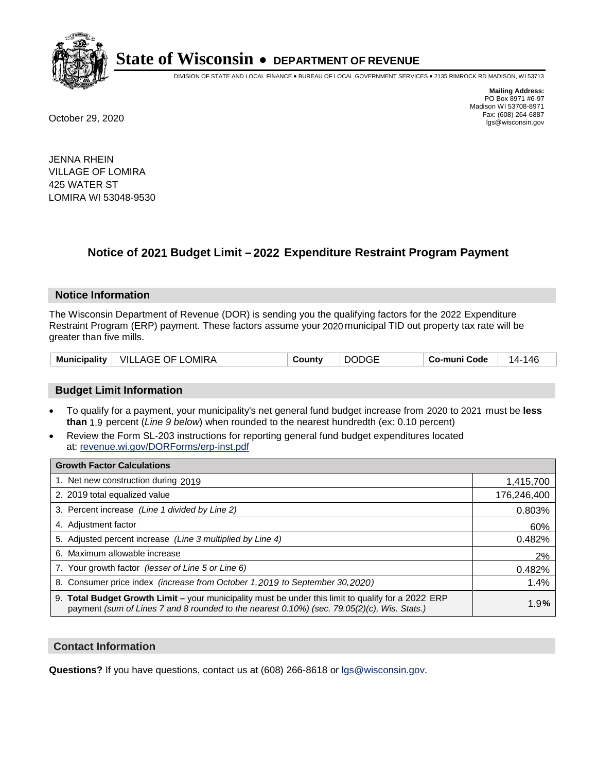

DIVISION OF STATE AND LOCAL FINANCE • BUREAU OF LOCAL GOVERNMENT SERVICES • 2135 RIMROCK RD MADISON, WI 53713

**Mailing Address:** PO Box 8971 #6-97 Madison WI 53708-8971<br>Fax: (608) 264-6887 Fax: (608) 264-6887 October 29, 2020 lgs@wisconsin.gov

JENNA RHEIN VILLAGE OF LOMIRA 425 WATER ST LOMIRA WI 53048-9530

# **Notice of 2021 Budget Limit - 2022 Expenditure Restraint Program Payment**

## **Notice Information**

The Wisconsin Department of Revenue (DOR) is sending you the qualifying factors for the 2022 Expenditure Restraint Program (ERP) payment. These factors assume your 2020 municipal TID out property tax rate will be greater than five mills.

## **Budget Limit Information**

- To qualify for a payment, your municipality's net general fund budget increase from 2020 to 2021 must be less **than** 1.9 percent (*Line 9 below*) when rounded to the nearest hundredth (ex: 0.10 percent)
- Review the Form SL-203 instructions for reporting general fund budget expenditures located at: revenue.wi.gov/DORForms/erp-inst.pdf

| <b>Growth Factor Calculations</b>                                                                                                                                                                  |             |
|----------------------------------------------------------------------------------------------------------------------------------------------------------------------------------------------------|-------------|
| 1. Net new construction during 2019                                                                                                                                                                | 1,415,700   |
| 2. 2019 total equalized value                                                                                                                                                                      | 176,246,400 |
| 3. Percent increase (Line 1 divided by Line 2)                                                                                                                                                     | 0.803%      |
| 4. Adjustment factor                                                                                                                                                                               | 60%         |
| 5. Adjusted percent increase (Line 3 multiplied by Line 4)                                                                                                                                         | 0.482%      |
| Maximum allowable increase<br>6.                                                                                                                                                                   | 2%          |
| 7. Your growth factor (lesser of Line 5 or Line 6)                                                                                                                                                 | 0.482%      |
| 8. Consumer price index (increase from October 1, 2019 to September 30, 2020)                                                                                                                      | 1.4%        |
| 9. Total Budget Growth Limit - your municipality must be under this limit to qualify for a 2022 ERP<br>payment (sum of Lines 7 and 8 rounded to the nearest 0.10%) (sec. 79.05(2)(c), Wis. Stats.) | 1.9%        |

## **Contact Information**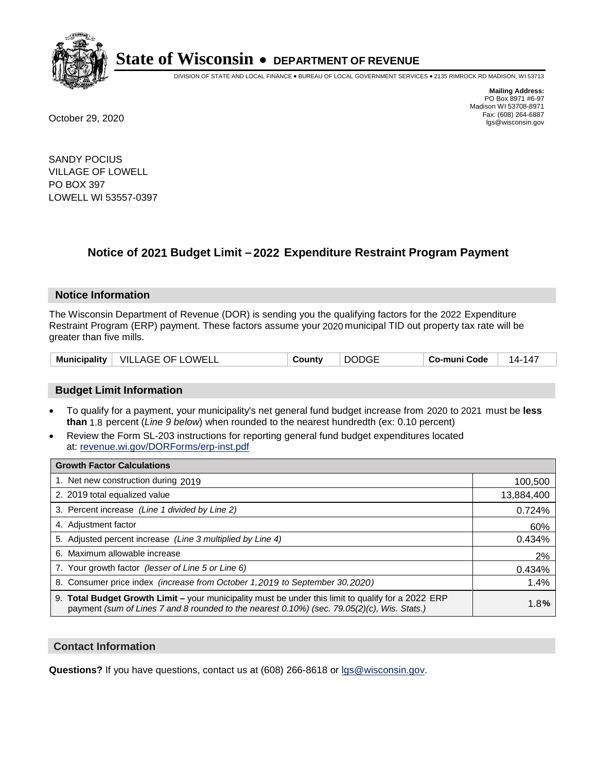

DIVISION OF STATE AND LOCAL FINANCE • BUREAU OF LOCAL GOVERNMENT SERVICES • 2135 RIMROCK RD MADISON, WI 53713

**Mailing Address:** PO Box 8971 #6-97 Madison WI 53708-8971<br>Fax: (608) 264-6887 Fax: (608) 264-6887 October 29, 2020 lgs@wisconsin.gov

SANDY POCIUS VILLAGE OF LOWELL PO BOX 397 LOWELL WI 53557-0397

# **Notice of 2021 Budget Limit - 2022 Expenditure Restraint Program Payment**

## **Notice Information**

The Wisconsin Department of Revenue (DOR) is sending you the qualifying factors for the 2022 Expenditure Restraint Program (ERP) payment. These factors assume your 2020 municipal TID out property tax rate will be greater than five mills.

| Municipality | VILLAGE OF LOWELL | County | <b>DODGE</b> | Co-muni Code | 147<br>14- |
|--------------|-------------------|--------|--------------|--------------|------------|
|--------------|-------------------|--------|--------------|--------------|------------|

## **Budget Limit Information**

- To qualify for a payment, your municipality's net general fund budget increase from 2020 to 2021 must be less **than** 1.8 percent (*Line 9 below*) when rounded to the nearest hundredth (ex: 0.10 percent)
- Review the Form SL-203 instructions for reporting general fund budget expenditures located at: revenue.wi.gov/DORForms/erp-inst.pdf

| <b>Growth Factor Calculations</b>                                                                                                                                                                  |            |
|----------------------------------------------------------------------------------------------------------------------------------------------------------------------------------------------------|------------|
| 1. Net new construction during 2019                                                                                                                                                                | 100,500    |
| 2. 2019 total equalized value                                                                                                                                                                      | 13,884,400 |
| 3. Percent increase (Line 1 divided by Line 2)                                                                                                                                                     | 0.724%     |
| 4. Adjustment factor                                                                                                                                                                               | 60%        |
| 5. Adjusted percent increase (Line 3 multiplied by Line 4)                                                                                                                                         | 0.434%     |
| 6. Maximum allowable increase                                                                                                                                                                      | 2%         |
| 7. Your growth factor (lesser of Line 5 or Line 6)                                                                                                                                                 | 0.434%     |
| 8. Consumer price index (increase from October 1,2019 to September 30,2020)                                                                                                                        | 1.4%       |
| 9. Total Budget Growth Limit - your municipality must be under this limit to qualify for a 2022 ERP<br>payment (sum of Lines 7 and 8 rounded to the nearest 0.10%) (sec. 79.05(2)(c), Wis. Stats.) | 1.8%       |

## **Contact Information**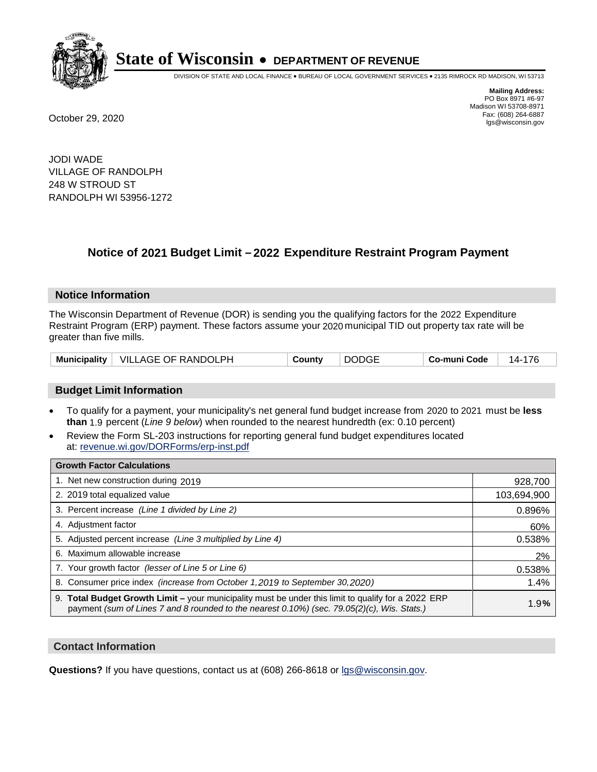

DIVISION OF STATE AND LOCAL FINANCE • BUREAU OF LOCAL GOVERNMENT SERVICES • 2135 RIMROCK RD MADISON, WI 53713

**Mailing Address:** PO Box 8971 #6-97 Madison WI 53708-8971<br>Fax: (608) 264-6887 Fax: (608) 264-6887 October 29, 2020 lgs@wisconsin.gov

JODI WADE VILLAGE OF RANDOLPH 248 W STROUD ST RANDOLPH WI 53956-1272

# **Notice of 2021 Budget Limit - 2022 Expenditure Restraint Program Payment**

#### **Notice Information**

The Wisconsin Department of Revenue (DOR) is sending you the qualifying factors for the 2022 Expenditure Restraint Program (ERP) payment. These factors assume your 2020 municipal TID out property tax rate will be greater than five mills.

| Municipality   VILLAGE OF RANDOLPH | County | <b>DODGE</b> | Co-muni Code | 14-176 |
|------------------------------------|--------|--------------|--------------|--------|
|------------------------------------|--------|--------------|--------------|--------|

## **Budget Limit Information**

- To qualify for a payment, your municipality's net general fund budget increase from 2020 to 2021 must be less **than** 1.9 percent (*Line 9 below*) when rounded to the nearest hundredth (ex: 0.10 percent)
- Review the Form SL-203 instructions for reporting general fund budget expenditures located at: revenue.wi.gov/DORForms/erp-inst.pdf

| <b>Growth Factor Calculations</b>                                                                                                                                                                      |             |
|--------------------------------------------------------------------------------------------------------------------------------------------------------------------------------------------------------|-------------|
| 1. Net new construction during 2019                                                                                                                                                                    | 928,700     |
| 2. 2019 total equalized value                                                                                                                                                                          | 103,694,900 |
| 3. Percent increase (Line 1 divided by Line 2)                                                                                                                                                         | 0.896%      |
| 4. Adjustment factor                                                                                                                                                                                   | 60%         |
| 5. Adjusted percent increase (Line 3 multiplied by Line 4)                                                                                                                                             | 0.538%      |
| 6. Maximum allowable increase                                                                                                                                                                          | 2%          |
| 7. Your growth factor (lesser of Line 5 or Line 6)                                                                                                                                                     | 0.538%      |
| 8. Consumer price index (increase from October 1,2019 to September 30,2020)                                                                                                                            | 1.4%        |
| 9. Total Budget Growth Limit - your municipality must be under this limit to qualify for a 2022 ERP<br>payment (sum of Lines 7 and 8 rounded to the nearest $0.10\%$ ) (sec. 79.05(2)(c), Wis. Stats.) | 1.9%        |

## **Contact Information**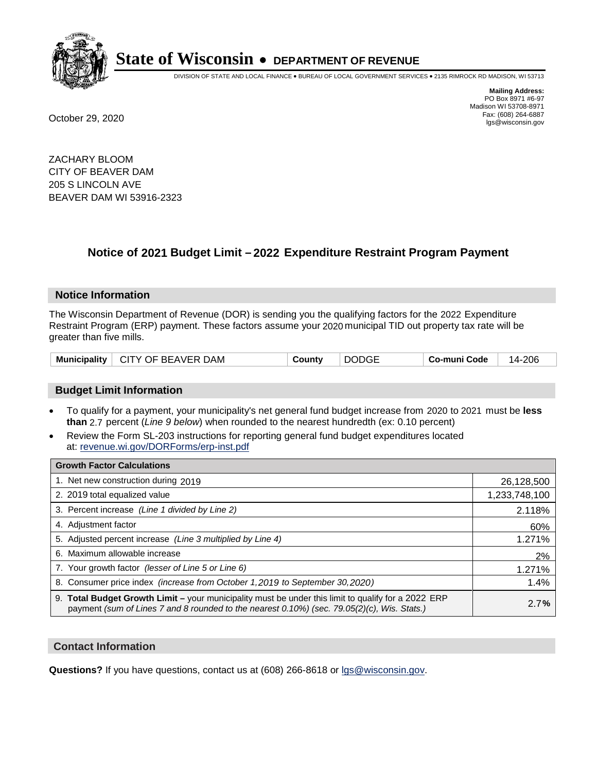

DIVISION OF STATE AND LOCAL FINANCE • BUREAU OF LOCAL GOVERNMENT SERVICES • 2135 RIMROCK RD MADISON, WI 53713

**Mailing Address:** PO Box 8971 #6-97 Madison WI 53708-8971<br>Fax: (608) 264-6887 Fax: (608) 264-6887 October 29, 2020 lgs@wisconsin.gov

ZACHARY BLOOM CITY OF BEAVER DAM 205 S LINCOLN AVE BEAVER DAM WI 53916-2323

# **Notice of 2021 Budget Limit - 2022 Expenditure Restraint Program Payment**

## **Notice Information**

The Wisconsin Department of Revenue (DOR) is sending you the qualifying factors for the 2022 Expenditure Restraint Program (ERP) payment. These factors assume your 2020 municipal TID out property tax rate will be greater than five mills.

## **Budget Limit Information**

- To qualify for a payment, your municipality's net general fund budget increase from 2020 to 2021 must be less **than** 2.7 percent (*Line 9 below*) when rounded to the nearest hundredth (ex: 0.10 percent)
- Review the Form SL-203 instructions for reporting general fund budget expenditures located at: revenue.wi.gov/DORForms/erp-inst.pdf

| <b>Growth Factor Calculations</b>                                                                                                                                                                      |               |
|--------------------------------------------------------------------------------------------------------------------------------------------------------------------------------------------------------|---------------|
| 1. Net new construction during 2019                                                                                                                                                                    | 26,128,500    |
| 2. 2019 total equalized value                                                                                                                                                                          | 1,233,748,100 |
| 3. Percent increase (Line 1 divided by Line 2)                                                                                                                                                         | 2.118%        |
| 4. Adjustment factor                                                                                                                                                                                   | 60%           |
| 5. Adjusted percent increase (Line 3 multiplied by Line 4)                                                                                                                                             | 1.271%        |
| 6. Maximum allowable increase                                                                                                                                                                          | 2%            |
| 7. Your growth factor (lesser of Line 5 or Line 6)                                                                                                                                                     | 1.271%        |
| 8. Consumer price index (increase from October 1,2019 to September 30,2020)                                                                                                                            | 1.4%          |
| 9. Total Budget Growth Limit - your municipality must be under this limit to qualify for a 2022 ERP<br>payment (sum of Lines 7 and 8 rounded to the nearest $0.10\%$ ) (sec. 79.05(2)(c), Wis. Stats.) | 2.7%          |

## **Contact Information**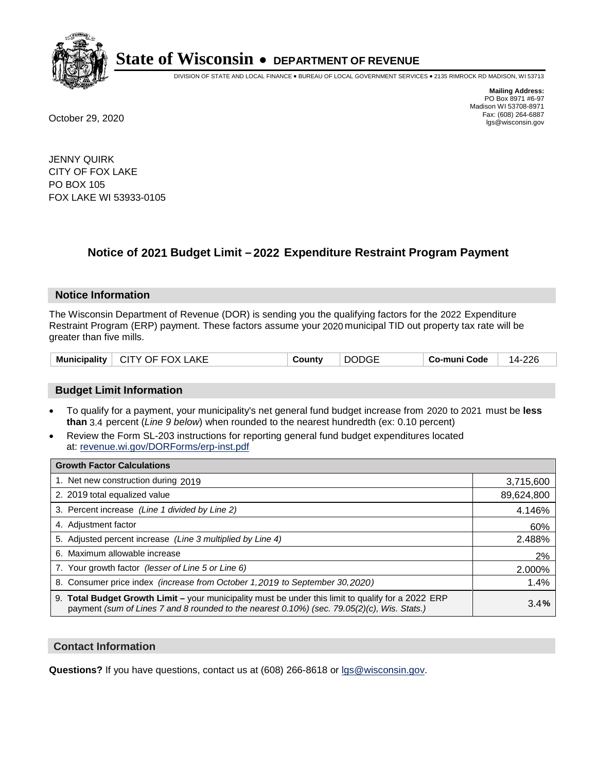

DIVISION OF STATE AND LOCAL FINANCE • BUREAU OF LOCAL GOVERNMENT SERVICES • 2135 RIMROCK RD MADISON, WI 53713

**Mailing Address:** PO Box 8971 #6-97 Madison WI 53708-8971<br>Fax: (608) 264-6887 Fax: (608) 264-6887 October 29, 2020 lgs@wisconsin.gov

JENNY QUIRK CITY OF FOX LAKE PO BOX 105 FOX LAKE WI 53933-0105

# **Notice of 2021 Budget Limit - 2022 Expenditure Restraint Program Payment**

## **Notice Information**

The Wisconsin Department of Revenue (DOR) is sending you the qualifying factors for the 2022 Expenditure Restraint Program (ERP) payment. These factors assume your 2020 municipal TID out property tax rate will be greater than five mills.

| <b>CITY OF FOX LAKE</b><br><b>Municipality</b> | County | <b>DODGE</b> | Co-muni Code | 14-226 |
|------------------------------------------------|--------|--------------|--------------|--------|
|------------------------------------------------|--------|--------------|--------------|--------|

## **Budget Limit Information**

- To qualify for a payment, your municipality's net general fund budget increase from 2020 to 2021 must be less **than** 3.4 percent (*Line 9 below*) when rounded to the nearest hundredth (ex: 0.10 percent)
- Review the Form SL-203 instructions for reporting general fund budget expenditures located at: revenue.wi.gov/DORForms/erp-inst.pdf

| <b>Growth Factor Calculations</b>                                                                                                                                                                  |            |
|----------------------------------------------------------------------------------------------------------------------------------------------------------------------------------------------------|------------|
| 1. Net new construction during 2019                                                                                                                                                                | 3,715,600  |
| 2. 2019 total equalized value                                                                                                                                                                      | 89,624,800 |
| 3. Percent increase (Line 1 divided by Line 2)                                                                                                                                                     | 4.146%     |
| 4. Adjustment factor                                                                                                                                                                               | 60%        |
| 5. Adjusted percent increase (Line 3 multiplied by Line 4)                                                                                                                                         | 2.488%     |
| 6. Maximum allowable increase                                                                                                                                                                      | 2%         |
| 7. Your growth factor (lesser of Line 5 or Line 6)                                                                                                                                                 | 2.000%     |
| 8. Consumer price index (increase from October 1, 2019 to September 30, 2020)                                                                                                                      | 1.4%       |
| 9. Total Budget Growth Limit - your municipality must be under this limit to qualify for a 2022 ERP<br>payment (sum of Lines 7 and 8 rounded to the nearest 0.10%) (sec. 79.05(2)(c), Wis. Stats.) | 3.4%       |

## **Contact Information**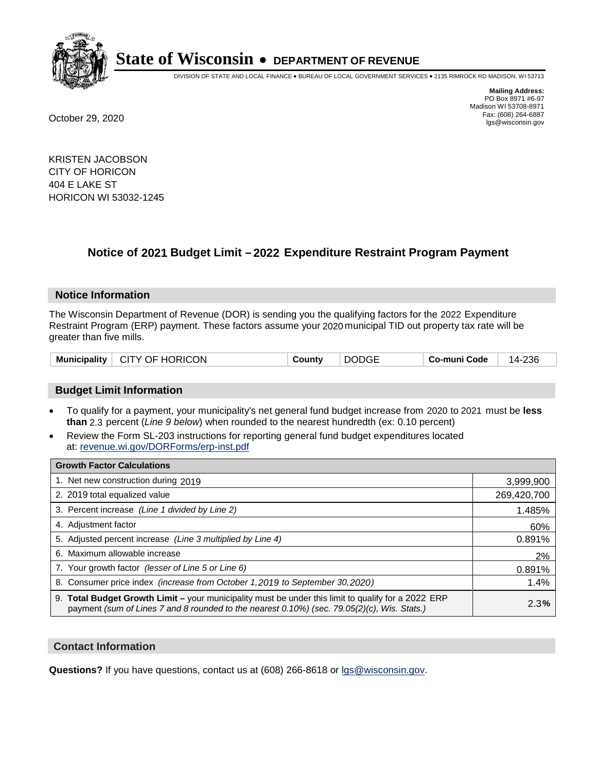

DIVISION OF STATE AND LOCAL FINANCE • BUREAU OF LOCAL GOVERNMENT SERVICES • 2135 RIMROCK RD MADISON, WI 53713

**Mailing Address:** PO Box 8971 #6-97 Madison WI 53708-8971<br>Fax: (608) 264-6887 Fax: (608) 264-6887 October 29, 2020 lgs@wisconsin.gov

KRISTEN JACOBSON CITY OF HORICON 404 E LAKE ST HORICON WI 53032-1245

# **Notice of 2021 Budget Limit - 2022 Expenditure Restraint Program Payment**

#### **Notice Information**

The Wisconsin Department of Revenue (DOR) is sending you the qualifying factors for the 2022 Expenditure Restraint Program (ERP) payment. These factors assume your 2020 municipal TID out property tax rate will be greater than five mills.

| Municipality   CITY OF HORICON | County | <b>DODGE</b> | Co-muni Code | 14-236 |
|--------------------------------|--------|--------------|--------------|--------|
|--------------------------------|--------|--------------|--------------|--------|

## **Budget Limit Information**

- To qualify for a payment, your municipality's net general fund budget increase from 2020 to 2021 must be less **than** 2.3 percent (*Line 9 below*) when rounded to the nearest hundredth (ex: 0.10 percent)
- Review the Form SL-203 instructions for reporting general fund budget expenditures located at: revenue.wi.gov/DORForms/erp-inst.pdf

| <b>Growth Factor Calculations</b>                                                                                                                                                                  |             |
|----------------------------------------------------------------------------------------------------------------------------------------------------------------------------------------------------|-------------|
| 1. Net new construction during 2019                                                                                                                                                                | 3,999,900   |
| 2. 2019 total equalized value                                                                                                                                                                      | 269,420,700 |
| 3. Percent increase (Line 1 divided by Line 2)                                                                                                                                                     | 1.485%      |
| 4. Adjustment factor                                                                                                                                                                               | 60%         |
| 5. Adjusted percent increase (Line 3 multiplied by Line 4)                                                                                                                                         | 0.891%      |
| 6. Maximum allowable increase                                                                                                                                                                      | 2%          |
| 7. Your growth factor (lesser of Line 5 or Line 6)                                                                                                                                                 | 0.891%      |
| 8. Consumer price index (increase from October 1,2019 to September 30,2020)                                                                                                                        | 1.4%        |
| 9. Total Budget Growth Limit - your municipality must be under this limit to qualify for a 2022 ERP<br>payment (sum of Lines 7 and 8 rounded to the nearest 0.10%) (sec. 79.05(2)(c), Wis. Stats.) | 2.3%        |

## **Contact Information**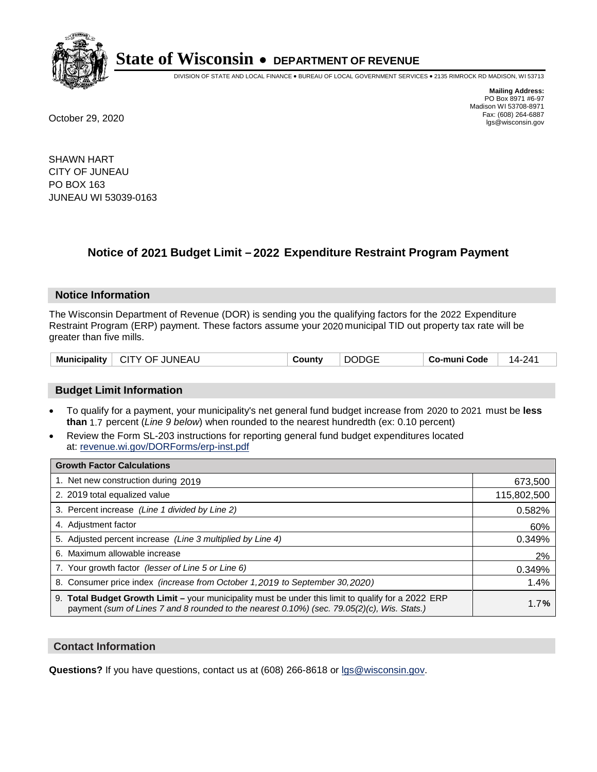

DIVISION OF STATE AND LOCAL FINANCE • BUREAU OF LOCAL GOVERNMENT SERVICES • 2135 RIMROCK RD MADISON, WI 53713

**Mailing Address:** PO Box 8971 #6-97 Madison WI 53708-8971<br>Fax: (608) 264-6887 Fax: (608) 264-6887 October 29, 2020 lgs@wisconsin.gov

SHAWN HART CITY OF JUNEAU PO BOX 163 JUNEAU WI 53039-0163

# **Notice of 2021 Budget Limit - 2022 Expenditure Restraint Program Payment**

## **Notice Information**

The Wisconsin Department of Revenue (DOR) is sending you the qualifying factors for the 2022 Expenditure Restraint Program (ERP) payment. These factors assume your 2020 municipal TID out property tax rate will be greater than five mills.

| <b>Municipality</b><br>∣ CITY OF JUNEAU | County | <b>DODGE</b> | Co-muni Code | 14-241 |
|-----------------------------------------|--------|--------------|--------------|--------|
|-----------------------------------------|--------|--------------|--------------|--------|

## **Budget Limit Information**

- To qualify for a payment, your municipality's net general fund budget increase from 2020 to 2021 must be less **than** 1.7 percent (*Line 9 below*) when rounded to the nearest hundredth (ex: 0.10 percent)
- Review the Form SL-203 instructions for reporting general fund budget expenditures located at: revenue.wi.gov/DORForms/erp-inst.pdf

| <b>Growth Factor Calculations</b>                                                                                                                                                                  |             |
|----------------------------------------------------------------------------------------------------------------------------------------------------------------------------------------------------|-------------|
| 1. Net new construction during 2019                                                                                                                                                                | 673,500     |
| 2. 2019 total equalized value                                                                                                                                                                      | 115,802,500 |
| 3. Percent increase (Line 1 divided by Line 2)                                                                                                                                                     | 0.582%      |
| 4. Adjustment factor                                                                                                                                                                               | 60%         |
| 5. Adjusted percent increase (Line 3 multiplied by Line 4)                                                                                                                                         | 0.349%      |
| 6. Maximum allowable increase                                                                                                                                                                      | 2%          |
| 7. Your growth factor (lesser of Line 5 or Line 6)                                                                                                                                                 | 0.349%      |
| 8. Consumer price index (increase from October 1,2019 to September 30,2020)                                                                                                                        | 1.4%        |
| 9. Total Budget Growth Limit - your municipality must be under this limit to qualify for a 2022 ERP<br>payment (sum of Lines 7 and 8 rounded to the nearest 0.10%) (sec. 79.05(2)(c), Wis. Stats.) | 1.7%        |

## **Contact Information**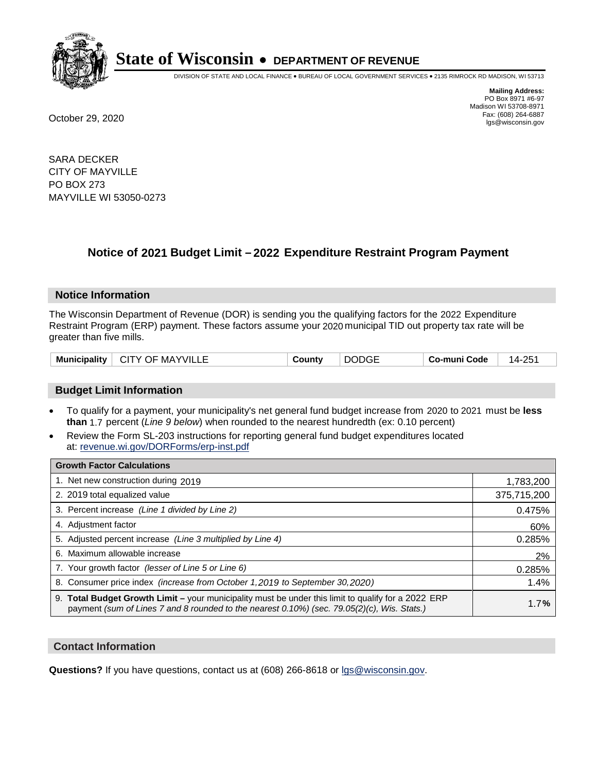

DIVISION OF STATE AND LOCAL FINANCE • BUREAU OF LOCAL GOVERNMENT SERVICES • 2135 RIMROCK RD MADISON, WI 53713

**Mailing Address:** PO Box 8971 #6-97 Madison WI 53708-8971<br>Fax: (608) 264-6887 Fax: (608) 264-6887 October 29, 2020 lgs@wisconsin.gov

SARA DECKER CITY OF MAYVILLE PO BOX 273 MAYVILLE WI 53050-0273

# **Notice of 2021 Budget Limit - 2022 Expenditure Restraint Program Payment**

#### **Notice Information**

The Wisconsin Department of Revenue (DOR) is sending you the qualifying factors for the 2022 Expenditure Restraint Program (ERP) payment. These factors assume your 2020 municipal TID out property tax rate will be greater than five mills.

| <b>Municipality</b> | <b>CITY OF MAYVILLE</b> | `ountv | DODGE | Co-muni Code | つにっ<br>14.7 |
|---------------------|-------------------------|--------|-------|--------------|-------------|
|                     |                         |        |       |              |             |

## **Budget Limit Information**

- To qualify for a payment, your municipality's net general fund budget increase from 2020 to 2021 must be less **than** 1.7 percent (*Line 9 below*) when rounded to the nearest hundredth (ex: 0.10 percent)
- Review the Form SL-203 instructions for reporting general fund budget expenditures located at: revenue.wi.gov/DORForms/erp-inst.pdf

| <b>Growth Factor Calculations</b>                                                                                                                                                                      |             |
|--------------------------------------------------------------------------------------------------------------------------------------------------------------------------------------------------------|-------------|
| 1. Net new construction during 2019                                                                                                                                                                    | 1,783,200   |
| 2. 2019 total equalized value                                                                                                                                                                          | 375,715,200 |
| 3. Percent increase (Line 1 divided by Line 2)                                                                                                                                                         | 0.475%      |
| 4. Adjustment factor                                                                                                                                                                                   | 60%         |
| 5. Adjusted percent increase (Line 3 multiplied by Line 4)                                                                                                                                             | 0.285%      |
| 6. Maximum allowable increase                                                                                                                                                                          | 2%          |
| 7. Your growth factor (lesser of Line 5 or Line 6)                                                                                                                                                     | 0.285%      |
| 8. Consumer price index (increase from October 1, 2019 to September 30, 2020)                                                                                                                          | 1.4%        |
| 9. Total Budget Growth Limit - your municipality must be under this limit to qualify for a 2022 ERP<br>payment (sum of Lines 7 and 8 rounded to the nearest $0.10\%$ ) (sec. 79.05(2)(c), Wis. Stats.) | 1.7%        |

## **Contact Information**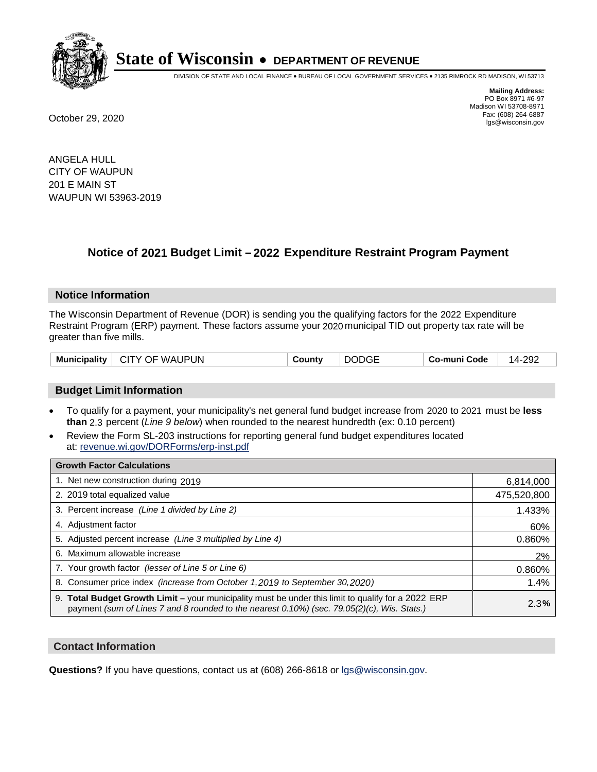

DIVISION OF STATE AND LOCAL FINANCE • BUREAU OF LOCAL GOVERNMENT SERVICES • 2135 RIMROCK RD MADISON, WI 53713

**Mailing Address:** PO Box 8971 #6-97 Madison WI 53708-8971<br>Fax: (608) 264-6887 Fax: (608) 264-6887 October 29, 2020 lgs@wisconsin.gov

ANGELA HULL CITY OF WAUPUN 201 E MAIN ST WAUPUN WI 53963-2019

# **Notice of 2021 Budget Limit - 2022 Expenditure Restraint Program Payment**

## **Notice Information**

The Wisconsin Department of Revenue (DOR) is sending you the qualifying factors for the 2022 Expenditure Restraint Program (ERP) payment. These factors assume your 2020 municipal TID out property tax rate will be greater than five mills.

| Municipality   CITY OF WAUPUN | <b>DODGE</b><br>County | 14-292<br>⊤ Co-muni Code |
|-------------------------------|------------------------|--------------------------|
|-------------------------------|------------------------|--------------------------|

## **Budget Limit Information**

- To qualify for a payment, your municipality's net general fund budget increase from 2020 to 2021 must be less **than** 2.3 percent (*Line 9 below*) when rounded to the nearest hundredth (ex: 0.10 percent)
- Review the Form SL-203 instructions for reporting general fund budget expenditures located at: revenue.wi.gov/DORForms/erp-inst.pdf

| <b>Growth Factor Calculations</b>                                                                                                                                                                  |             |
|----------------------------------------------------------------------------------------------------------------------------------------------------------------------------------------------------|-------------|
| 1. Net new construction during 2019                                                                                                                                                                | 6,814,000   |
| 2. 2019 total equalized value                                                                                                                                                                      | 475,520,800 |
| 3. Percent increase (Line 1 divided by Line 2)                                                                                                                                                     | 1.433%      |
| 4. Adjustment factor                                                                                                                                                                               | 60%         |
| 5. Adjusted percent increase (Line 3 multiplied by Line 4)                                                                                                                                         | 0.860%      |
| 6. Maximum allowable increase                                                                                                                                                                      | 2%          |
| 7. Your growth factor (lesser of Line 5 or Line 6)                                                                                                                                                 | 0.860%      |
| 8. Consumer price index (increase from October 1, 2019 to September 30, 2020)                                                                                                                      | 1.4%        |
| 9. Total Budget Growth Limit - your municipality must be under this limit to qualify for a 2022 ERP<br>payment (sum of Lines 7 and 8 rounded to the nearest 0.10%) (sec. 79.05(2)(c), Wis. Stats.) | 2.3%        |

## **Contact Information**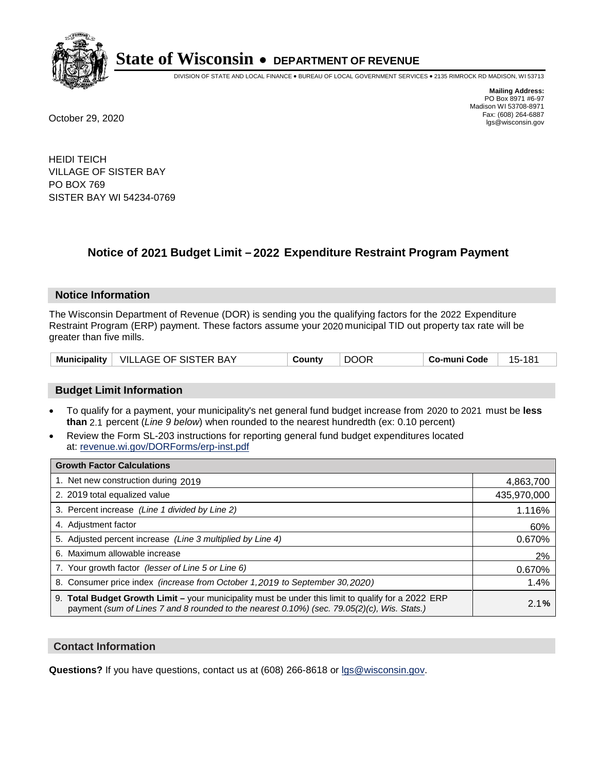

DIVISION OF STATE AND LOCAL FINANCE • BUREAU OF LOCAL GOVERNMENT SERVICES • 2135 RIMROCK RD MADISON, WI 53713

**Mailing Address:** PO Box 8971 #6-97 Madison WI 53708-8971<br>Fax: (608) 264-6887 Fax: (608) 264-6887 October 29, 2020 lgs@wisconsin.gov

HEIDI TEICH VILLAGE OF SISTER BAY PO BOX 769 SISTER BAY WI 54234-0769

# **Notice of 2021 Budget Limit - 2022 Expenditure Restraint Program Payment**

## **Notice Information**

The Wisconsin Department of Revenue (DOR) is sending you the qualifying factors for the 2022 Expenditure Restraint Program (ERP) payment. These factors assume your 2020 municipal TID out property tax rate will be greater than five mills.

|  | Municipality   VILLAGE OF SISTER BAY | County | <b>DOOR</b> | Co-muni Code | 15-181 |
|--|--------------------------------------|--------|-------------|--------------|--------|
|--|--------------------------------------|--------|-------------|--------------|--------|

## **Budget Limit Information**

- To qualify for a payment, your municipality's net general fund budget increase from 2020 to 2021 must be less **than** 2.1 percent (*Line 9 below*) when rounded to the nearest hundredth (ex: 0.10 percent)
- Review the Form SL-203 instructions for reporting general fund budget expenditures located at: revenue.wi.gov/DORForms/erp-inst.pdf

| <b>Growth Factor Calculations</b>                                                                                                                                                                  |             |
|----------------------------------------------------------------------------------------------------------------------------------------------------------------------------------------------------|-------------|
| 1. Net new construction during 2019                                                                                                                                                                | 4,863,700   |
| 2. 2019 total equalized value                                                                                                                                                                      | 435,970,000 |
| 3. Percent increase (Line 1 divided by Line 2)                                                                                                                                                     | 1.116%      |
| 4. Adjustment factor                                                                                                                                                                               | 60%         |
| 5. Adjusted percent increase (Line 3 multiplied by Line 4)                                                                                                                                         | 0.670%      |
| 6. Maximum allowable increase                                                                                                                                                                      | 2%          |
| 7. Your growth factor (lesser of Line 5 or Line 6)                                                                                                                                                 | 0.670%      |
| 8. Consumer price index (increase from October 1, 2019 to September 30, 2020)                                                                                                                      | 1.4%        |
| 9. Total Budget Growth Limit - your municipality must be under this limit to qualify for a 2022 ERP<br>payment (sum of Lines 7 and 8 rounded to the nearest 0.10%) (sec. 79.05(2)(c), Wis. Stats.) | 2.1%        |

## **Contact Information**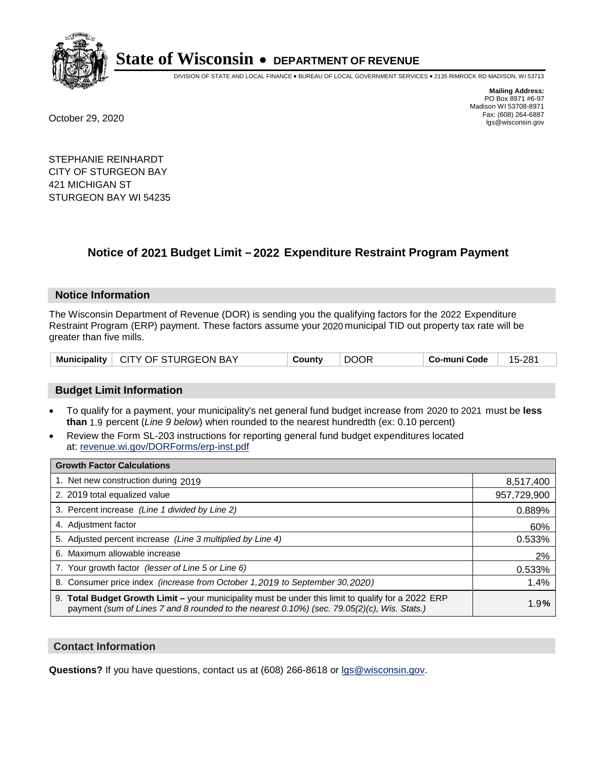

DIVISION OF STATE AND LOCAL FINANCE • BUREAU OF LOCAL GOVERNMENT SERVICES • 2135 RIMROCK RD MADISON, WI 53713

**Mailing Address:** PO Box 8971 #6-97 Madison WI 53708-8971<br>Fax: (608) 264-6887 Fax: (608) 264-6887 October 29, 2020 lgs@wisconsin.gov

STEPHANIE REINHARDT CITY OF STURGEON BAY 421 MICHIGAN ST STURGEON BAY WI 54235

# **Notice of 2021 Budget Limit - 2022 Expenditure Restraint Program Payment**

#### **Notice Information**

The Wisconsin Department of Revenue (DOR) is sending you the qualifying factors for the 2022 Expenditure Restraint Program (ERP) payment. These factors assume your 2020 municipal TID out property tax rate will be greater than five mills.

|  | Municipality   CITY OF STURGEON BAY | County |  | Co-muni Code | 15-281 |
|--|-------------------------------------|--------|--|--------------|--------|
|--|-------------------------------------|--------|--|--------------|--------|

## **Budget Limit Information**

- To qualify for a payment, your municipality's net general fund budget increase from 2020 to 2021 must be less **than** 1.9 percent (*Line 9 below*) when rounded to the nearest hundredth (ex: 0.10 percent)
- Review the Form SL-203 instructions for reporting general fund budget expenditures located at: revenue.wi.gov/DORForms/erp-inst.pdf

| <b>Growth Factor Calculations</b>                                                                                                                                                                  |             |
|----------------------------------------------------------------------------------------------------------------------------------------------------------------------------------------------------|-------------|
| 1. Net new construction during 2019                                                                                                                                                                | 8,517,400   |
| 2. 2019 total equalized value                                                                                                                                                                      | 957,729,900 |
| 3. Percent increase (Line 1 divided by Line 2)                                                                                                                                                     | 0.889%      |
| 4. Adjustment factor                                                                                                                                                                               | 60%         |
| 5. Adjusted percent increase (Line 3 multiplied by Line 4)                                                                                                                                         | 0.533%      |
| 6. Maximum allowable increase                                                                                                                                                                      | 2%          |
| 7. Your growth factor (lesser of Line 5 or Line 6)                                                                                                                                                 | 0.533%      |
| 8. Consumer price index (increase from October 1, 2019 to September 30, 2020)                                                                                                                      | 1.4%        |
| 9. Total Budget Growth Limit - your municipality must be under this limit to qualify for a 2022 ERP<br>payment (sum of Lines 7 and 8 rounded to the nearest 0.10%) (sec. 79.05(2)(c), Wis. Stats.) | 1.9%        |

## **Contact Information**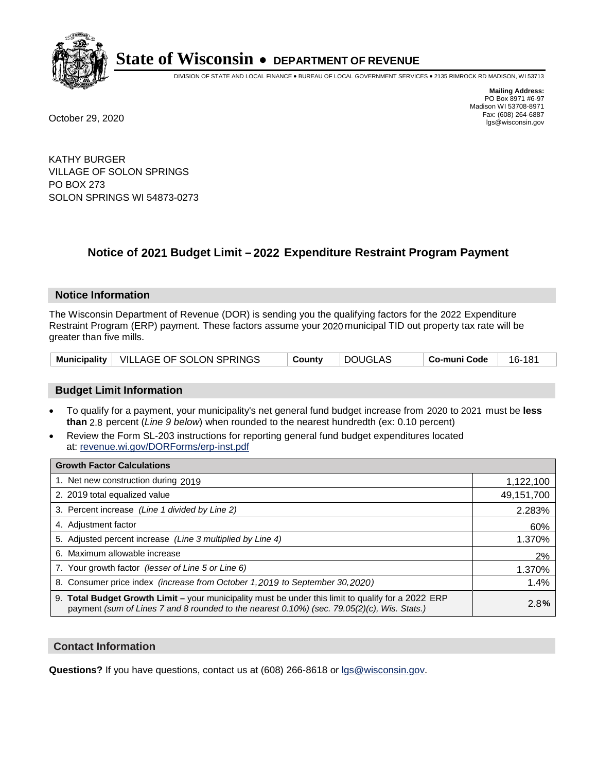

DIVISION OF STATE AND LOCAL FINANCE • BUREAU OF LOCAL GOVERNMENT SERVICES • 2135 RIMROCK RD MADISON, WI 53713

**Mailing Address:** PO Box 8971 #6-97 Madison WI 53708-8971<br>Fax: (608) 264-6887 Fax: (608) 264-6887 October 29, 2020 lgs@wisconsin.gov

KATHY BURGER VILLAGE OF SOLON SPRINGS PO BOX 273 SOLON SPRINGS WI 54873-0273

# **Notice of 2021 Budget Limit - 2022 Expenditure Restraint Program Payment**

## **Notice Information**

The Wisconsin Department of Revenue (DOR) is sending you the qualifying factors for the 2022 Expenditure Restraint Program (ERP) payment. These factors assume your 2020 municipal TID out property tax rate will be greater than five mills.

| Municipality   VILLAGE OF SOLON SPRINGS | ็ County | DOUGLAS | ∣ Co-muni Code | 16-181 |
|-----------------------------------------|----------|---------|----------------|--------|
|-----------------------------------------|----------|---------|----------------|--------|

## **Budget Limit Information**

- To qualify for a payment, your municipality's net general fund budget increase from 2020 to 2021 must be less **than** 2.8 percent (*Line 9 below*) when rounded to the nearest hundredth (ex: 0.10 percent)
- Review the Form SL-203 instructions for reporting general fund budget expenditures located at: revenue.wi.gov/DORForms/erp-inst.pdf

| <b>Growth Factor Calculations</b>                                                                                                                                                                  |            |
|----------------------------------------------------------------------------------------------------------------------------------------------------------------------------------------------------|------------|
| 1. Net new construction during 2019                                                                                                                                                                | 1,122,100  |
| 2. 2019 total equalized value                                                                                                                                                                      | 49,151,700 |
| 3. Percent increase (Line 1 divided by Line 2)                                                                                                                                                     | 2.283%     |
| 4. Adjustment factor                                                                                                                                                                               | 60%        |
| 5. Adjusted percent increase (Line 3 multiplied by Line 4)                                                                                                                                         | 1.370%     |
| 6. Maximum allowable increase                                                                                                                                                                      | 2%         |
| 7. Your growth factor (lesser of Line 5 or Line 6)                                                                                                                                                 | 1.370%     |
| 8. Consumer price index (increase from October 1, 2019 to September 30, 2020)                                                                                                                      | 1.4%       |
| 9. Total Budget Growth Limit - your municipality must be under this limit to qualify for a 2022 ERP<br>payment (sum of Lines 7 and 8 rounded to the nearest 0.10%) (sec. 79.05(2)(c), Wis. Stats.) | 2.8%       |

## **Contact Information**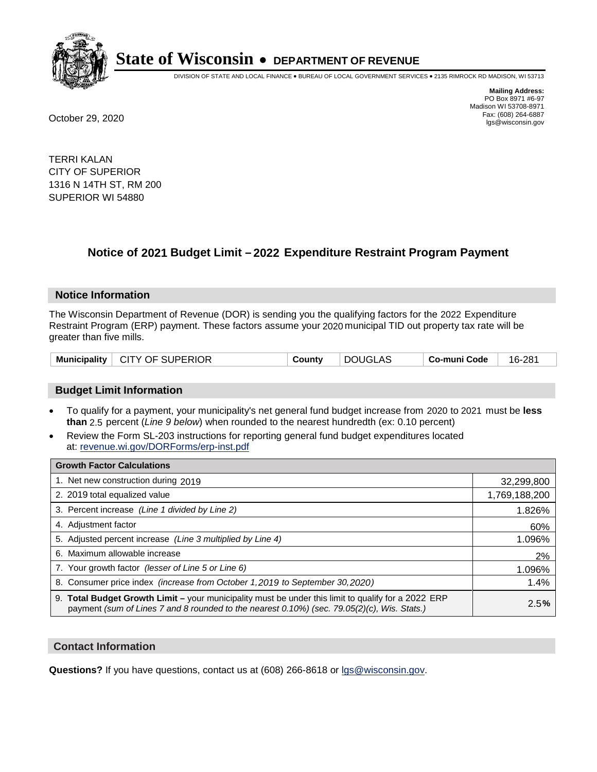

DIVISION OF STATE AND LOCAL FINANCE • BUREAU OF LOCAL GOVERNMENT SERVICES • 2135 RIMROCK RD MADISON, WI 53713

**Mailing Address:** PO Box 8971 #6-97 Madison WI 53708-8971<br>Fax: (608) 264-6887 Fax: (608) 264-6887 October 29, 2020 lgs@wisconsin.gov

TERRI KALAN CITY OF SUPERIOR 1316 N 14TH ST, RM 200 SUPERIOR WI 54880

# **Notice of 2021 Budget Limit - 2022 Expenditure Restraint Program Payment**

## **Notice Information**

The Wisconsin Department of Revenue (DOR) is sending you the qualifying factors for the 2022 Expenditure Restraint Program (ERP) payment. These factors assume your 2020 municipal TID out property tax rate will be greater than five mills.

| Municipality   CITY OF SUPERIOR | Countv | DOUGLAS | Co-muni Code | 16-281 |
|---------------------------------|--------|---------|--------------|--------|
|---------------------------------|--------|---------|--------------|--------|

## **Budget Limit Information**

- To qualify for a payment, your municipality's net general fund budget increase from 2020 to 2021 must be less **than** 2.5 percent (*Line 9 below*) when rounded to the nearest hundredth (ex: 0.10 percent)
- Review the Form SL-203 instructions for reporting general fund budget expenditures located at: revenue.wi.gov/DORForms/erp-inst.pdf

| <b>Growth Factor Calculations</b>                                                                                                                                                                  |               |
|----------------------------------------------------------------------------------------------------------------------------------------------------------------------------------------------------|---------------|
| 1. Net new construction during 2019                                                                                                                                                                | 32,299,800    |
| 2. 2019 total equalized value                                                                                                                                                                      | 1,769,188,200 |
| 3. Percent increase (Line 1 divided by Line 2)                                                                                                                                                     | 1.826%        |
| 4. Adjustment factor                                                                                                                                                                               | 60%           |
| 5. Adjusted percent increase (Line 3 multiplied by Line 4)                                                                                                                                         | 1.096%        |
| 6. Maximum allowable increase                                                                                                                                                                      | 2%            |
| 7. Your growth factor (lesser of Line 5 or Line 6)                                                                                                                                                 | 1.096%        |
| 8. Consumer price index (increase from October 1, 2019 to September 30, 2020)                                                                                                                      | 1.4%          |
| 9. Total Budget Growth Limit - your municipality must be under this limit to qualify for a 2022 ERP<br>payment (sum of Lines 7 and 8 rounded to the nearest 0.10%) (sec. 79.05(2)(c), Wis. Stats.) | 2.5%          |

## **Contact Information**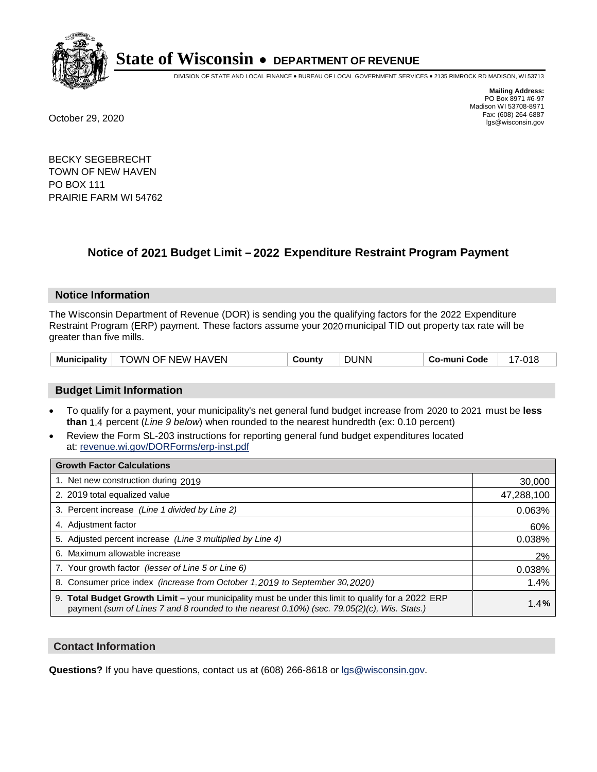

DIVISION OF STATE AND LOCAL FINANCE • BUREAU OF LOCAL GOVERNMENT SERVICES • 2135 RIMROCK RD MADISON, WI 53713

**Mailing Address:** PO Box 8971 #6-97 Madison WI 53708-8971<br>Fax: (608) 264-6887 Fax: (608) 264-6887 October 29, 2020 lgs@wisconsin.gov

BECKY SEGEBRECHT TOWN OF NEW HAVEN PO BOX 111 PRAIRIE FARM WI 54762

# **Notice of 2021 Budget Limit - 2022 Expenditure Restraint Program Payment**

## **Notice Information**

The Wisconsin Department of Revenue (DOR) is sending you the qualifying factors for the 2022 Expenditure Restraint Program (ERP) payment. These factors assume your 2020 municipal TID out property tax rate will be greater than five mills.

| <b>Municipality</b> | TOWN OF NEW HAVEN | Σountv<br>. | <b>DUNN</b> | Co-muni Code | 7-018 |
|---------------------|-------------------|-------------|-------------|--------------|-------|
|---------------------|-------------------|-------------|-------------|--------------|-------|

## **Budget Limit Information**

- To qualify for a payment, your municipality's net general fund budget increase from 2020 to 2021 must be less **than** 1.4 percent (*Line 9 below*) when rounded to the nearest hundredth (ex: 0.10 percent)
- Review the Form SL-203 instructions for reporting general fund budget expenditures located at: revenue.wi.gov/DORForms/erp-inst.pdf

| <b>Growth Factor Calculations</b>                                                                                                                                                                  |            |
|----------------------------------------------------------------------------------------------------------------------------------------------------------------------------------------------------|------------|
| 1. Net new construction during 2019                                                                                                                                                                | 30,000     |
| 2. 2019 total equalized value                                                                                                                                                                      | 47,288,100 |
| 3. Percent increase (Line 1 divided by Line 2)                                                                                                                                                     | 0.063%     |
| 4. Adjustment factor                                                                                                                                                                               | 60%        |
| 5. Adjusted percent increase (Line 3 multiplied by Line 4)                                                                                                                                         | 0.038%     |
| 6. Maximum allowable increase                                                                                                                                                                      | 2%         |
| 7. Your growth factor (lesser of Line 5 or Line 6)                                                                                                                                                 | 0.038%     |
| 8. Consumer price index (increase from October 1, 2019 to September 30, 2020)                                                                                                                      | 1.4%       |
| 9. Total Budget Growth Limit – your municipality must be under this limit to qualify for a 2022 ERP<br>payment (sum of Lines 7 and 8 rounded to the nearest 0.10%) (sec. 79.05(2)(c), Wis. Stats.) | 1.4%       |

## **Contact Information**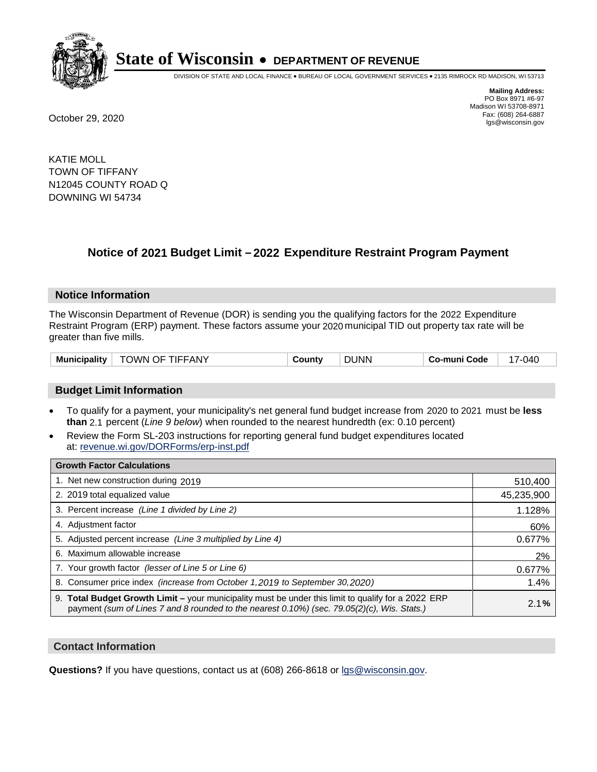

DIVISION OF STATE AND LOCAL FINANCE • BUREAU OF LOCAL GOVERNMENT SERVICES • 2135 RIMROCK RD MADISON, WI 53713

**Mailing Address:** PO Box 8971 #6-97 Madison WI 53708-8971<br>Fax: (608) 264-6887 Fax: (608) 264-6887 October 29, 2020 lgs@wisconsin.gov

KATIE MOLL TOWN OF TIFFANY N12045 COUNTY ROAD Q DOWNING WI 54734

# **Notice of 2021 Budget Limit - 2022 Expenditure Restraint Program Payment**

## **Notice Information**

The Wisconsin Department of Revenue (DOR) is sending you the qualifying factors for the 2022 Expenditure Restraint Program (ERP) payment. These factors assume your 2020 municipal TID out property tax rate will be greater than five mills.

| <b>TOWN OF TIFFANY</b><br>Municipality | County | <b>DUNN</b> | Co-muni Code | 040-' |
|----------------------------------------|--------|-------------|--------------|-------|
|----------------------------------------|--------|-------------|--------------|-------|

# **Budget Limit Information**

- To qualify for a payment, your municipality's net general fund budget increase from 2020 to 2021 must be less **than** 2.1 percent (*Line 9 below*) when rounded to the nearest hundredth (ex: 0.10 percent)
- Review the Form SL-203 instructions for reporting general fund budget expenditures located at: revenue.wi.gov/DORForms/erp-inst.pdf

| <b>Growth Factor Calculations</b>                                                                                                                                                                  |            |
|----------------------------------------------------------------------------------------------------------------------------------------------------------------------------------------------------|------------|
| 1. Net new construction during 2019                                                                                                                                                                | 510,400    |
| 2. 2019 total equalized value                                                                                                                                                                      | 45,235,900 |
| 3. Percent increase (Line 1 divided by Line 2)                                                                                                                                                     | 1.128%     |
| 4. Adiustment factor                                                                                                                                                                               | 60%        |
| 5. Adjusted percent increase (Line 3 multiplied by Line 4)                                                                                                                                         | 0.677%     |
| 6. Maximum allowable increase                                                                                                                                                                      | 2%         |
| 7. Your growth factor (lesser of Line 5 or Line 6)                                                                                                                                                 | 0.677%     |
| 8. Consumer price index (increase from October 1,2019 to September 30,2020)                                                                                                                        | 1.4%       |
| 9. Total Budget Growth Limit - your municipality must be under this limit to qualify for a 2022 ERP<br>payment (sum of Lines 7 and 8 rounded to the nearest 0.10%) (sec. 79.05(2)(c), Wis. Stats.) | 2.1%       |

## **Contact Information**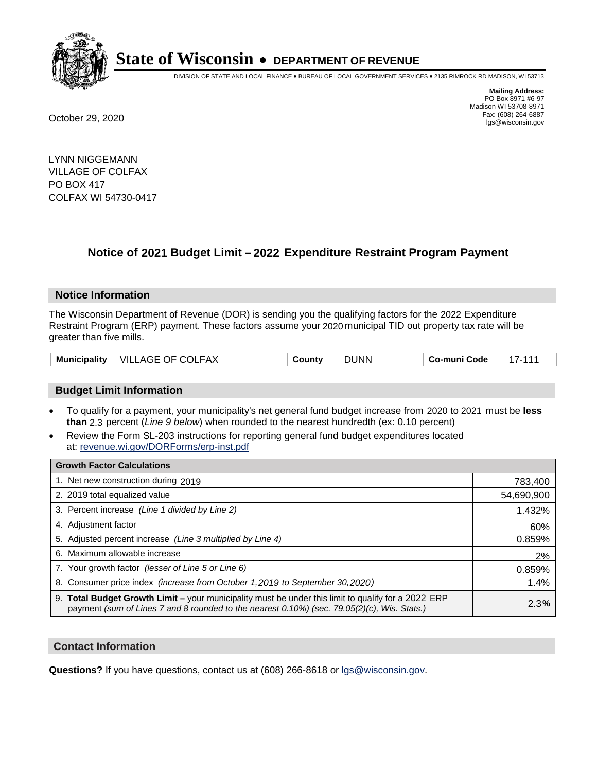

DIVISION OF STATE AND LOCAL FINANCE • BUREAU OF LOCAL GOVERNMENT SERVICES • 2135 RIMROCK RD MADISON, WI 53713

**Mailing Address:** PO Box 8971 #6-97 Madison WI 53708-8971<br>Fax: (608) 264-6887 Fax: (608) 264-6887 October 29, 2020 lgs@wisconsin.gov

LYNN NIGGEMANN VILLAGE OF COLFAX PO BOX 417 COLFAX WI 54730-0417

# **Notice of 2021 Budget Limit - 2022 Expenditure Restraint Program Payment**

## **Notice Information**

The Wisconsin Department of Revenue (DOR) is sending you the qualifying factors for the 2022 Expenditure Restraint Program (ERP) payment. These factors assume your 2020 municipal TID out property tax rate will be greater than five mills.

| <b>Municipality</b> | VILLAGE OF COLFAX | County | <b>DUNN</b> | Co-muni Code |  |
|---------------------|-------------------|--------|-------------|--------------|--|
|---------------------|-------------------|--------|-------------|--------------|--|

# **Budget Limit Information**

- To qualify for a payment, your municipality's net general fund budget increase from 2020 to 2021 must be less **than** 2.3 percent (*Line 9 below*) when rounded to the nearest hundredth (ex: 0.10 percent)
- Review the Form SL-203 instructions for reporting general fund budget expenditures located at: revenue.wi.gov/DORForms/erp-inst.pdf

| <b>Growth Factor Calculations</b>                                                                                                                                                                      |            |
|--------------------------------------------------------------------------------------------------------------------------------------------------------------------------------------------------------|------------|
| 1. Net new construction during 2019                                                                                                                                                                    | 783,400    |
| 2. 2019 total equalized value                                                                                                                                                                          | 54,690,900 |
| 3. Percent increase (Line 1 divided by Line 2)                                                                                                                                                         | 1.432%     |
| 4. Adiustment factor                                                                                                                                                                                   | 60%        |
| 5. Adjusted percent increase (Line 3 multiplied by Line 4)                                                                                                                                             | 0.859%     |
| 6. Maximum allowable increase                                                                                                                                                                          | 2%         |
| 7. Your growth factor (lesser of Line 5 or Line 6)                                                                                                                                                     | 0.859%     |
| 8. Consumer price index (increase from October 1,2019 to September 30,2020)                                                                                                                            | 1.4%       |
| 9. Total Budget Growth Limit - your municipality must be under this limit to qualify for a 2022 ERP<br>payment (sum of Lines 7 and 8 rounded to the nearest $0.10\%$ ) (sec. 79.05(2)(c), Wis. Stats.) | 2.3%       |

## **Contact Information**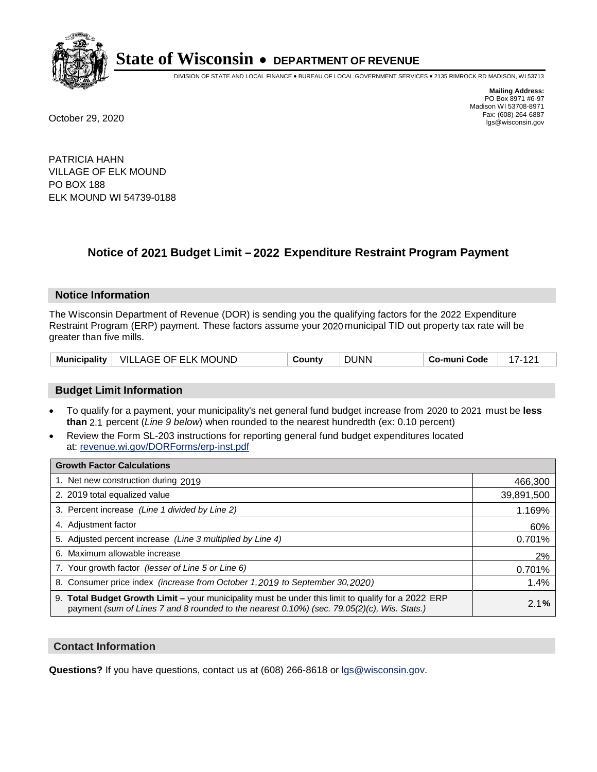

DIVISION OF STATE AND LOCAL FINANCE • BUREAU OF LOCAL GOVERNMENT SERVICES • 2135 RIMROCK RD MADISON, WI 53713

**Mailing Address:** PO Box 8971 #6-97 Madison WI 53708-8971<br>Fax: (608) 264-6887 Fax: (608) 264-6887 October 29, 2020 lgs@wisconsin.gov

PATRICIA HAHN VILLAGE OF ELK MOUND PO BOX 188 ELK MOUND WI 54739-0188

# **Notice of 2021 Budget Limit - 2022 Expenditure Restraint Program Payment**

## **Notice Information**

The Wisconsin Department of Revenue (DOR) is sending you the qualifying factors for the 2022 Expenditure Restraint Program (ERP) payment. These factors assume your 2020 municipal TID out property tax rate will be greater than five mills.

|  | Municipality   VILLAGE OF ELK MOUND | County | <b>DUNN</b> | Co-muni Code |  |
|--|-------------------------------------|--------|-------------|--------------|--|
|--|-------------------------------------|--------|-------------|--------------|--|

# **Budget Limit Information**

- To qualify for a payment, your municipality's net general fund budget increase from 2020 to 2021 must be less **than** 2.1 percent (*Line 9 below*) when rounded to the nearest hundredth (ex: 0.10 percent)
- Review the Form SL-203 instructions for reporting general fund budget expenditures located at: revenue.wi.gov/DORForms/erp-inst.pdf

| <b>Growth Factor Calculations</b>                                                                                                                                                                      |            |
|--------------------------------------------------------------------------------------------------------------------------------------------------------------------------------------------------------|------------|
| 1. Net new construction during 2019                                                                                                                                                                    | 466,300    |
| 2. 2019 total equalized value                                                                                                                                                                          | 39,891,500 |
| 3. Percent increase (Line 1 divided by Line 2)                                                                                                                                                         | 1.169%     |
| 4. Adjustment factor                                                                                                                                                                                   | 60%        |
| 5. Adjusted percent increase (Line 3 multiplied by Line 4)                                                                                                                                             | 0.701%     |
| 6. Maximum allowable increase                                                                                                                                                                          | 2%         |
| 7. Your growth factor (lesser of Line 5 or Line 6)                                                                                                                                                     | 0.701%     |
| 8. Consumer price index (increase from October 1, 2019 to September 30, 2020)                                                                                                                          | 1.4%       |
| 9. Total Budget Growth Limit - your municipality must be under this limit to qualify for a 2022 ERP<br>payment (sum of Lines 7 and 8 rounded to the nearest $0.10\%$ ) (sec. 79.05(2)(c), Wis. Stats.) | 2.1%       |

## **Contact Information**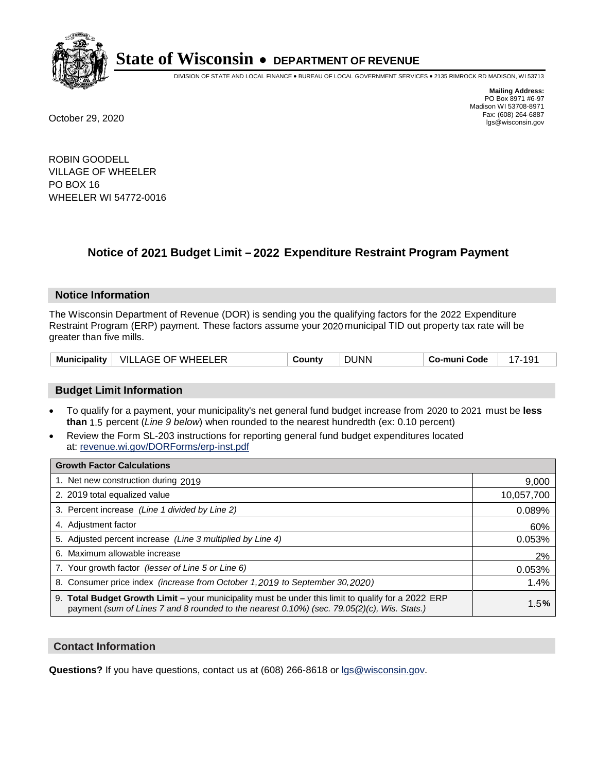

DIVISION OF STATE AND LOCAL FINANCE • BUREAU OF LOCAL GOVERNMENT SERVICES • 2135 RIMROCK RD MADISON, WI 53713

**Mailing Address:** PO Box 8971 #6-97 Madison WI 53708-8971<br>Fax: (608) 264-6887 Fax: (608) 264-6887 October 29, 2020 lgs@wisconsin.gov

ROBIN GOODELL VILLAGE OF WHEELER PO BOX 16 WHEELER WI 54772-0016

# **Notice of 2021 Budget Limit - 2022 Expenditure Restraint Program Payment**

#### **Notice Information**

The Wisconsin Department of Revenue (DOR) is sending you the qualifying factors for the 2022 Expenditure Restraint Program (ERP) payment. These factors assume your 2020 municipal TID out property tax rate will be greater than five mills.

# **Budget Limit Information**

- To qualify for a payment, your municipality's net general fund budget increase from 2020 to 2021 must be less **than** 1.5 percent (*Line 9 below*) when rounded to the nearest hundredth (ex: 0.10 percent)
- Review the Form SL-203 instructions for reporting general fund budget expenditures located at: revenue.wi.gov/DORForms/erp-inst.pdf

| <b>Growth Factor Calculations</b>                                                                                                                                                                      |            |
|--------------------------------------------------------------------------------------------------------------------------------------------------------------------------------------------------------|------------|
| 1. Net new construction during 2019                                                                                                                                                                    | 9,000      |
| 2. 2019 total equalized value                                                                                                                                                                          | 10,057,700 |
| 3. Percent increase (Line 1 divided by Line 2)                                                                                                                                                         | 0.089%     |
| 4. Adjustment factor                                                                                                                                                                                   | 60%        |
| 5. Adjusted percent increase (Line 3 multiplied by Line 4)                                                                                                                                             | 0.053%     |
| 6. Maximum allowable increase                                                                                                                                                                          | 2%         |
| 7. Your growth factor (lesser of Line 5 or Line 6)                                                                                                                                                     | 0.053%     |
| 8. Consumer price index (increase from October 1,2019 to September 30,2020)                                                                                                                            | 1.4%       |
| 9. Total Budget Growth Limit - your municipality must be under this limit to qualify for a 2022 ERP<br>payment (sum of Lines 7 and 8 rounded to the nearest $0.10\%$ ) (sec. 79.05(2)(c), Wis. Stats.) | 1.5%       |

## **Contact Information**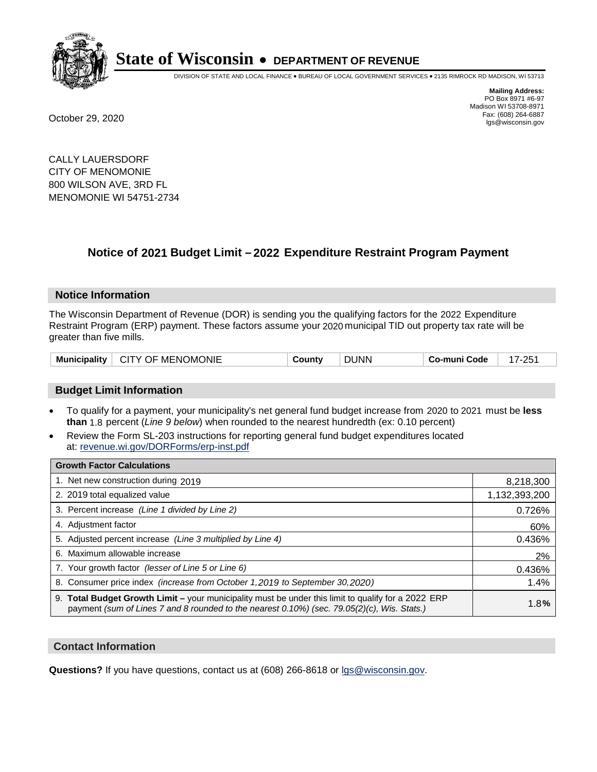

DIVISION OF STATE AND LOCAL FINANCE • BUREAU OF LOCAL GOVERNMENT SERVICES • 2135 RIMROCK RD MADISON, WI 53713

**Mailing Address:** PO Box 8971 #6-97 Madison WI 53708-8971<br>Fax: (608) 264-6887 Fax: (608) 264-6887 October 29, 2020 lgs@wisconsin.gov

CALLY LAUERSDORF CITY OF MENOMONIE 800 WILSON AVE, 3RD FL MENOMONIE WI 54751-2734

# **Notice of 2021 Budget Limit - 2022 Expenditure Restraint Program Payment**

## **Notice Information**

The Wisconsin Department of Revenue (DOR) is sending you the qualifying factors for the 2022 Expenditure Restraint Program (ERP) payment. These factors assume your 2020 municipal TID out property tax rate will be greater than five mills.

| Municipality | <b>CITY OF MENOMONIE</b> | ountvٽ | <b>DUNN</b> | Co-muni Code | OE. |
|--------------|--------------------------|--------|-------------|--------------|-----|
|--------------|--------------------------|--------|-------------|--------------|-----|

# **Budget Limit Information**

- To qualify for a payment, your municipality's net general fund budget increase from 2020 to 2021 must be less **than** 1.8 percent (*Line 9 below*) when rounded to the nearest hundredth (ex: 0.10 percent)
- Review the Form SL-203 instructions for reporting general fund budget expenditures located at: revenue.wi.gov/DORForms/erp-inst.pdf

| <b>Growth Factor Calculations</b>                                                                                                                                                                      |               |
|--------------------------------------------------------------------------------------------------------------------------------------------------------------------------------------------------------|---------------|
| 1. Net new construction during 2019                                                                                                                                                                    | 8,218,300     |
| 2. 2019 total equalized value                                                                                                                                                                          | 1,132,393,200 |
| 3. Percent increase (Line 1 divided by Line 2)                                                                                                                                                         | 0.726%        |
| 4. Adjustment factor                                                                                                                                                                                   | 60%           |
| 5. Adjusted percent increase (Line 3 multiplied by Line 4)                                                                                                                                             | 0.436%        |
| 6. Maximum allowable increase                                                                                                                                                                          | 2%            |
| 7. Your growth factor (lesser of Line 5 or Line 6)                                                                                                                                                     | 0.436%        |
| 8. Consumer price index (increase from October 1, 2019 to September 30, 2020)                                                                                                                          | 1.4%          |
| 9. Total Budget Growth Limit - your municipality must be under this limit to qualify for a 2022 ERP<br>payment (sum of Lines 7 and 8 rounded to the nearest $0.10\%$ ) (sec. 79.05(2)(c), Wis. Stats.) | 1.8%          |

## **Contact Information**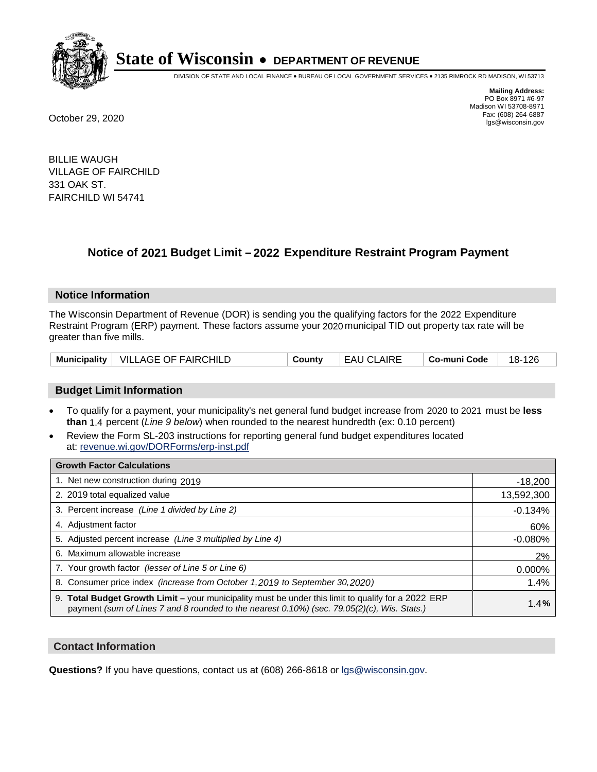

DIVISION OF STATE AND LOCAL FINANCE • BUREAU OF LOCAL GOVERNMENT SERVICES • 2135 RIMROCK RD MADISON, WI 53713

**Mailing Address:** PO Box 8971 #6-97 Madison WI 53708-8971<br>Fax: (608) 264-6887 Fax: (608) 264-6887 October 29, 2020 lgs@wisconsin.gov

BILLIE WAUGH VILLAGE OF FAIRCHILD 331 OAK ST. FAIRCHILD WI 54741

# **Notice of 2021 Budget Limit - 2022 Expenditure Restraint Program Payment**

## **Notice Information**

The Wisconsin Department of Revenue (DOR) is sending you the qualifying factors for the 2022 Expenditure Restraint Program (ERP) payment. These factors assume your 2020 municipal TID out property tax rate will be greater than five mills.

|  | Municipality   VILLAGE OF FAIRCHILD | Countv | <b>EAU CLAIRE</b> | ∣ Co-muni Code | 18-126 |
|--|-------------------------------------|--------|-------------------|----------------|--------|
|--|-------------------------------------|--------|-------------------|----------------|--------|

# **Budget Limit Information**

- To qualify for a payment, your municipality's net general fund budget increase from 2020 to 2021 must be less **than** 1.4 percent (*Line 9 below*) when rounded to the nearest hundredth (ex: 0.10 percent)
- Review the Form SL-203 instructions for reporting general fund budget expenditures located at: revenue.wi.gov/DORForms/erp-inst.pdf

| <b>Growth Factor Calculations</b>                                                                                                                                                                  |            |
|----------------------------------------------------------------------------------------------------------------------------------------------------------------------------------------------------|------------|
| 1. Net new construction during 2019                                                                                                                                                                | $-18,200$  |
| 2. 2019 total equalized value                                                                                                                                                                      | 13,592,300 |
| 3. Percent increase (Line 1 divided by Line 2)                                                                                                                                                     | $-0.134%$  |
| 4. Adjustment factor                                                                                                                                                                               | 60%        |
| 5. Adjusted percent increase (Line 3 multiplied by Line 4)                                                                                                                                         | $-0.080%$  |
| 6. Maximum allowable increase                                                                                                                                                                      | 2%         |
| 7. Your growth factor (lesser of Line 5 or Line 6)                                                                                                                                                 | 0.000%     |
| 8. Consumer price index (increase from October 1,2019 to September 30,2020)                                                                                                                        | 1.4%       |
| 9. Total Budget Growth Limit - your municipality must be under this limit to qualify for a 2022 ERP<br>payment (sum of Lines 7 and 8 rounded to the nearest 0.10%) (sec. 79.05(2)(c), Wis. Stats.) | 1.4%       |

## **Contact Information**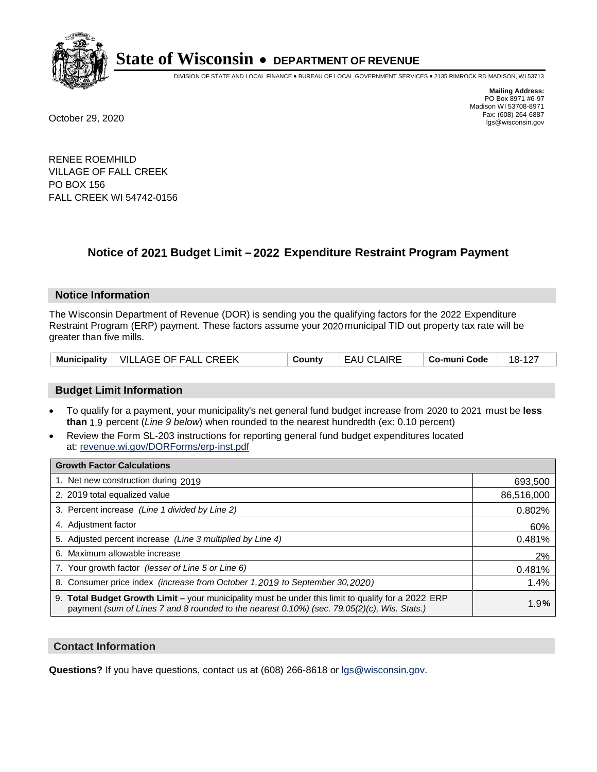

DIVISION OF STATE AND LOCAL FINANCE • BUREAU OF LOCAL GOVERNMENT SERVICES • 2135 RIMROCK RD MADISON, WI 53713

**Mailing Address:** PO Box 8971 #6-97 Madison WI 53708-8971<br>Fax: (608) 264-6887 Fax: (608) 264-6887 October 29, 2020 lgs@wisconsin.gov

RENEE ROEMHILD VILLAGE OF FALL CREEK PO BOX 156 FALL CREEK WI 54742-0156

# **Notice of 2021 Budget Limit - 2022 Expenditure Restraint Program Payment**

## **Notice Information**

The Wisconsin Department of Revenue (DOR) is sending you the qualifying factors for the 2022 Expenditure Restraint Program (ERP) payment. These factors assume your 2020 municipal TID out property tax rate will be greater than five mills.

|  | Municipality   VILLAGE OF FALL CREEK | County | ' EAU CLAIRE | ∣ Co-muni Code | 18-127 |
|--|--------------------------------------|--------|--------------|----------------|--------|
|--|--------------------------------------|--------|--------------|----------------|--------|

# **Budget Limit Information**

- To qualify for a payment, your municipality's net general fund budget increase from 2020 to 2021 must be less **than** 1.9 percent (*Line 9 below*) when rounded to the nearest hundredth (ex: 0.10 percent)
- Review the Form SL-203 instructions for reporting general fund budget expenditures located at: revenue.wi.gov/DORForms/erp-inst.pdf

| <b>Growth Factor Calculations</b>                                                                                                                                                                      |            |
|--------------------------------------------------------------------------------------------------------------------------------------------------------------------------------------------------------|------------|
| 1. Net new construction during 2019                                                                                                                                                                    | 693,500    |
| 2. 2019 total equalized value                                                                                                                                                                          | 86,516,000 |
| 3. Percent increase (Line 1 divided by Line 2)                                                                                                                                                         | 0.802%     |
| 4. Adjustment factor                                                                                                                                                                                   | 60%        |
| 5. Adjusted percent increase (Line 3 multiplied by Line 4)                                                                                                                                             | 0.481%     |
| 6. Maximum allowable increase                                                                                                                                                                          | 2%         |
| 7. Your growth factor (lesser of Line 5 or Line 6)                                                                                                                                                     | 0.481%     |
| 8. Consumer price index (increase from October 1,2019 to September 30,2020)                                                                                                                            | 1.4%       |
| 9. Total Budget Growth Limit - your municipality must be under this limit to qualify for a 2022 ERP<br>payment (sum of Lines 7 and 8 rounded to the nearest $0.10\%$ ) (sec. 79.05(2)(c), Wis. Stats.) | 1.9%       |

## **Contact Information**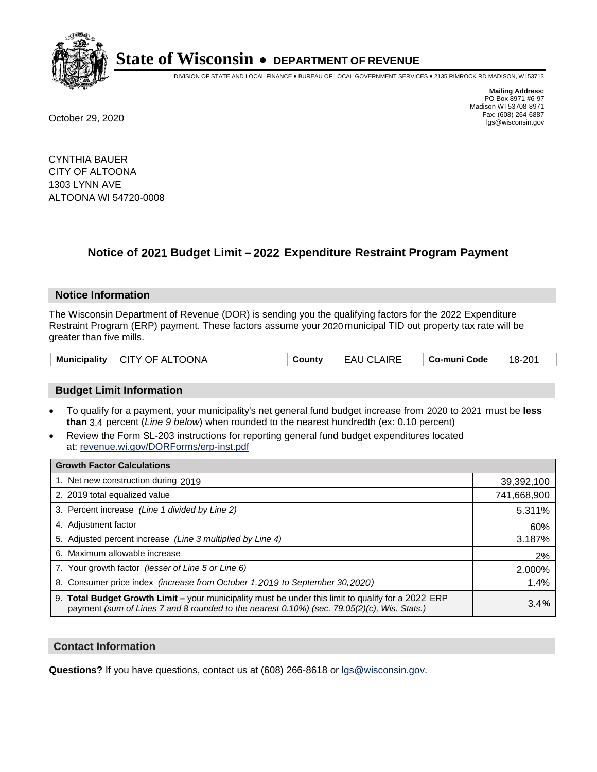

DIVISION OF STATE AND LOCAL FINANCE • BUREAU OF LOCAL GOVERNMENT SERVICES • 2135 RIMROCK RD MADISON, WI 53713

**Mailing Address:** PO Box 8971 #6-97 Madison WI 53708-8971<br>Fax: (608) 264-6887 Fax: (608) 264-6887 October 29, 2020 lgs@wisconsin.gov

CYNTHIA BAUER CITY OF ALTOONA 1303 LYNN AVE ALTOONA WI 54720-0008

# **Notice of 2021 Budget Limit - 2022 Expenditure Restraint Program Payment**

## **Notice Information**

The Wisconsin Department of Revenue (DOR) is sending you the qualifying factors for the 2022 Expenditure Restraint Program (ERP) payment. These factors assume your 2020 municipal TID out property tax rate will be greater than five mills.

| Municipality   CITY OF ALTOONA | County | <b>EAU CLAIRE</b> | $\vert$ Co-muni Code $\vert$ 18-201 |  |
|--------------------------------|--------|-------------------|-------------------------------------|--|
|--------------------------------|--------|-------------------|-------------------------------------|--|

# **Budget Limit Information**

- To qualify for a payment, your municipality's net general fund budget increase from 2020 to 2021 must be less **than** 3.4 percent (*Line 9 below*) when rounded to the nearest hundredth (ex: 0.10 percent)
- Review the Form SL-203 instructions for reporting general fund budget expenditures located at: revenue.wi.gov/DORForms/erp-inst.pdf

| <b>Growth Factor Calculations</b>                                                                                                                                                                      |             |
|--------------------------------------------------------------------------------------------------------------------------------------------------------------------------------------------------------|-------------|
| 1. Net new construction during 2019                                                                                                                                                                    | 39,392,100  |
| 2. 2019 total equalized value                                                                                                                                                                          | 741,668,900 |
| 3. Percent increase (Line 1 divided by Line 2)                                                                                                                                                         | 5.311%      |
| 4. Adjustment factor                                                                                                                                                                                   | 60%         |
| 5. Adjusted percent increase (Line 3 multiplied by Line 4)                                                                                                                                             | 3.187%      |
| 6. Maximum allowable increase                                                                                                                                                                          | 2%          |
| 7. Your growth factor (lesser of Line 5 or Line 6)                                                                                                                                                     | 2.000%      |
| 8. Consumer price index (increase from October 1,2019 to September 30,2020)                                                                                                                            | 1.4%        |
| 9. Total Budget Growth Limit - your municipality must be under this limit to qualify for a 2022 ERP<br>payment (sum of Lines 7 and 8 rounded to the nearest $0.10\%$ ) (sec. 79.05(2)(c), Wis. Stats.) | 3.4%        |

## **Contact Information**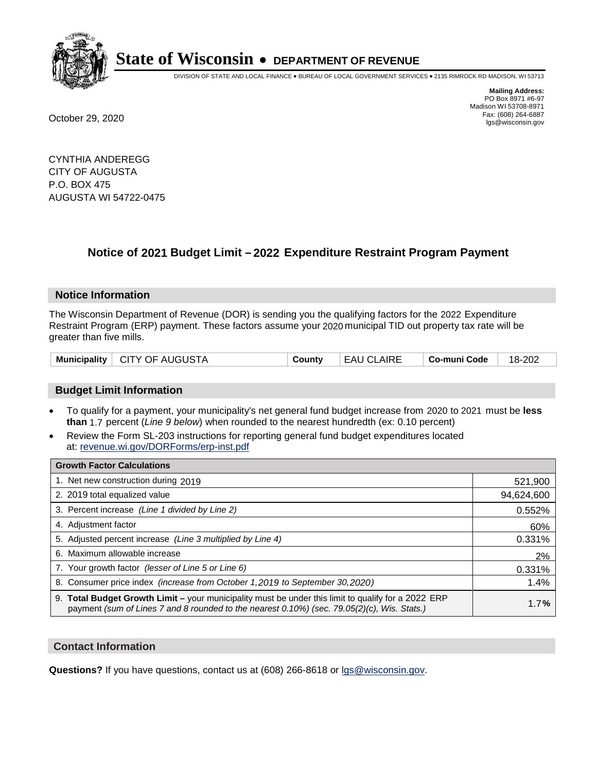

DIVISION OF STATE AND LOCAL FINANCE • BUREAU OF LOCAL GOVERNMENT SERVICES • 2135 RIMROCK RD MADISON, WI 53713

**Mailing Address:** PO Box 8971 #6-97 Madison WI 53708-8971<br>Fax: (608) 264-6887 Fax: (608) 264-6887 October 29, 2020 lgs@wisconsin.gov

CYNTHIA ANDEREGG CITY OF AUGUSTA P.O. BOX 475 AUGUSTA WI 54722-0475

# **Notice of 2021 Budget Limit - 2022 Expenditure Restraint Program Payment**

## **Notice Information**

The Wisconsin Department of Revenue (DOR) is sending you the qualifying factors for the 2022 Expenditure Restraint Program (ERP) payment. These factors assume your 2020 municipal TID out property tax rate will be greater than five mills.

|  | Municipality   CITY OF AUGUSTA | County | EAU CLAIRE | ∣ Co-muni Code ∣ | 18-202 |
|--|--------------------------------|--------|------------|------------------|--------|
|--|--------------------------------|--------|------------|------------------|--------|

# **Budget Limit Information**

- To qualify for a payment, your municipality's net general fund budget increase from 2020 to 2021 must be less **than** 1.7 percent (*Line 9 below*) when rounded to the nearest hundredth (ex: 0.10 percent)
- Review the Form SL-203 instructions for reporting general fund budget expenditures located at: revenue.wi.gov/DORForms/erp-inst.pdf

| <b>Growth Factor Calculations</b>                                                                                                                                                                      |            |
|--------------------------------------------------------------------------------------------------------------------------------------------------------------------------------------------------------|------------|
| 1. Net new construction during 2019                                                                                                                                                                    | 521,900    |
| 2. 2019 total equalized value                                                                                                                                                                          | 94,624,600 |
| 3. Percent increase (Line 1 divided by Line 2)                                                                                                                                                         | 0.552%     |
| 4. Adjustment factor                                                                                                                                                                                   | 60%        |
| 5. Adjusted percent increase (Line 3 multiplied by Line 4)                                                                                                                                             | 0.331%     |
| 6. Maximum allowable increase                                                                                                                                                                          | 2%         |
| 7. Your growth factor (lesser of Line 5 or Line 6)                                                                                                                                                     | 0.331%     |
| 8. Consumer price index (increase from October 1,2019 to September 30,2020)                                                                                                                            | 1.4%       |
| 9. Total Budget Growth Limit - your municipality must be under this limit to qualify for a 2022 ERP<br>payment (sum of Lines 7 and 8 rounded to the nearest $0.10\%$ ) (sec. 79.05(2)(c), Wis. Stats.) | 1.7%       |

## **Contact Information**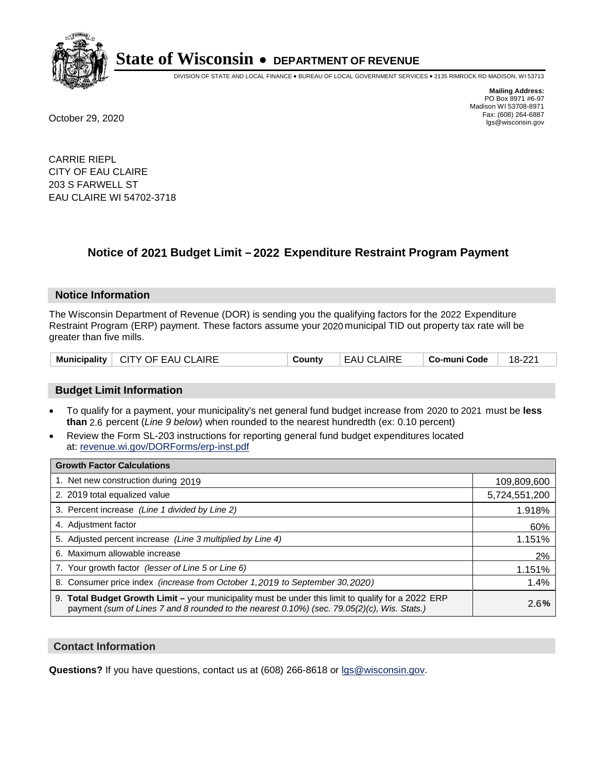

DIVISION OF STATE AND LOCAL FINANCE • BUREAU OF LOCAL GOVERNMENT SERVICES • 2135 RIMROCK RD MADISON, WI 53713

**Mailing Address:** PO Box 8971 #6-97 Madison WI 53708-8971<br>Fax: (608) 264-6887 Fax: (608) 264-6887 October 29, 2020 lgs@wisconsin.gov

CARRIE RIEPL CITY OF EAU CLAIRE 203 S FARWELL ST EAU CLAIRE WI 54702-3718

# **Notice of 2021 Budget Limit - 2022 Expenditure Restraint Program Payment**

#### **Notice Information**

The Wisconsin Department of Revenue (DOR) is sending you the qualifying factors for the 2022 Expenditure Restraint Program (ERP) payment. These factors assume your 2020 municipal TID out property tax rate will be greater than five mills.

| Municipality   CITY OF EAU CLAIRE | County | EAU CLAIRE | Co-muni Code | 18-221 |
|-----------------------------------|--------|------------|--------------|--------|
|-----------------------------------|--------|------------|--------------|--------|

# **Budget Limit Information**

- To qualify for a payment, your municipality's net general fund budget increase from 2020 to 2021 must be less **than** 2.6 percent (*Line 9 below*) when rounded to the nearest hundredth (ex: 0.10 percent)
- Review the Form SL-203 instructions for reporting general fund budget expenditures located at: revenue.wi.gov/DORForms/erp-inst.pdf

| <b>Growth Factor Calculations</b>                                                                                                                                                                  |               |
|----------------------------------------------------------------------------------------------------------------------------------------------------------------------------------------------------|---------------|
| 1. Net new construction during 2019                                                                                                                                                                | 109,809,600   |
| 2. 2019 total equalized value                                                                                                                                                                      | 5,724,551,200 |
| 3. Percent increase (Line 1 divided by Line 2)                                                                                                                                                     | 1.918%        |
| 4. Adjustment factor                                                                                                                                                                               | 60%           |
| 5. Adjusted percent increase (Line 3 multiplied by Line 4)                                                                                                                                         | 1.151%        |
| 6. Maximum allowable increase                                                                                                                                                                      | 2%            |
| 7. Your growth factor (lesser of Line 5 or Line 6)                                                                                                                                                 | 1.151%        |
| 8. Consumer price index (increase from October 1, 2019 to September 30, 2020)                                                                                                                      | 1.4%          |
| 9. Total Budget Growth Limit - your municipality must be under this limit to qualify for a 2022 ERP<br>payment (sum of Lines 7 and 8 rounded to the nearest 0.10%) (sec. 79.05(2)(c), Wis. Stats.) | 2.6%          |

## **Contact Information**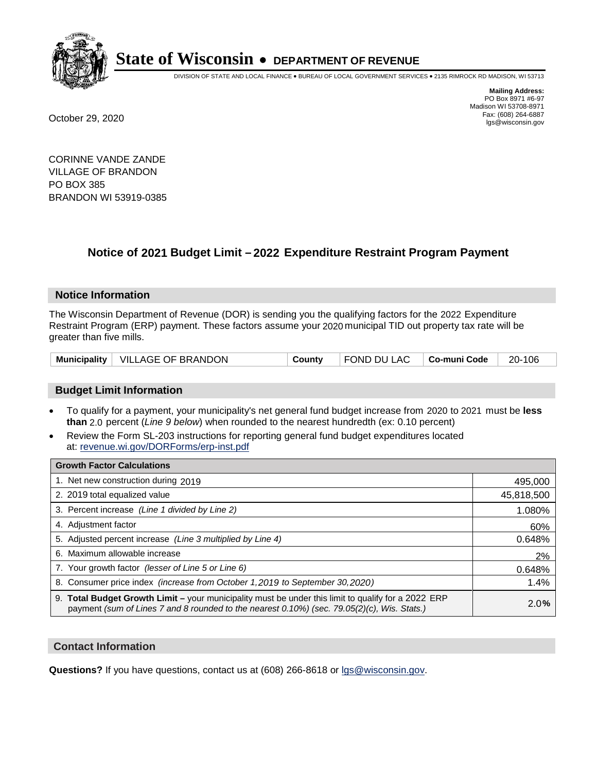

DIVISION OF STATE AND LOCAL FINANCE • BUREAU OF LOCAL GOVERNMENT SERVICES • 2135 RIMROCK RD MADISON, WI 53713

**Mailing Address:** PO Box 8971 #6-97 Madison WI 53708-8971<br>Fax: (608) 264-6887 Fax: (608) 264-6887 October 29, 2020 lgs@wisconsin.gov

CORINNE VANDE ZANDE VILLAGE OF BRANDON PO BOX 385 BRANDON WI 53919-0385

# **Notice of 2021 Budget Limit - 2022 Expenditure Restraint Program Payment**

## **Notice Information**

The Wisconsin Department of Revenue (DOR) is sending you the qualifying factors for the 2022 Expenditure Restraint Program (ERP) payment. These factors assume your 2020 municipal TID out property tax rate will be greater than five mills.

|  | Municipality   VILLAGE OF BRANDON | County | FOND DU LAC   Co-muni Code |  | 20-106 |
|--|-----------------------------------|--------|----------------------------|--|--------|
|--|-----------------------------------|--------|----------------------------|--|--------|

# **Budget Limit Information**

- To qualify for a payment, your municipality's net general fund budget increase from 2020 to 2021 must be less **than** 2.0 percent (*Line 9 below*) when rounded to the nearest hundredth (ex: 0.10 percent)
- Review the Form SL-203 instructions for reporting general fund budget expenditures located at: revenue.wi.gov/DORForms/erp-inst.pdf

| <b>Growth Factor Calculations</b>                                                                                                                                                                      |            |
|--------------------------------------------------------------------------------------------------------------------------------------------------------------------------------------------------------|------------|
| 1. Net new construction during 2019                                                                                                                                                                    | 495,000    |
| 2. 2019 total equalized value                                                                                                                                                                          | 45,818,500 |
| 3. Percent increase (Line 1 divided by Line 2)                                                                                                                                                         | 1.080%     |
| 4. Adiustment factor                                                                                                                                                                                   | 60%        |
| 5. Adjusted percent increase (Line 3 multiplied by Line 4)                                                                                                                                             | 0.648%     |
| 6. Maximum allowable increase                                                                                                                                                                          | 2%         |
| 7. Your growth factor (lesser of Line 5 or Line 6)                                                                                                                                                     | 0.648%     |
| 8. Consumer price index (increase from October 1,2019 to September 30,2020)                                                                                                                            | 1.4%       |
| 9. Total Budget Growth Limit - your municipality must be under this limit to qualify for a 2022 ERP<br>payment (sum of Lines 7 and 8 rounded to the nearest $0.10\%$ ) (sec. 79.05(2)(c), Wis. Stats.) | 2.0%       |

## **Contact Information**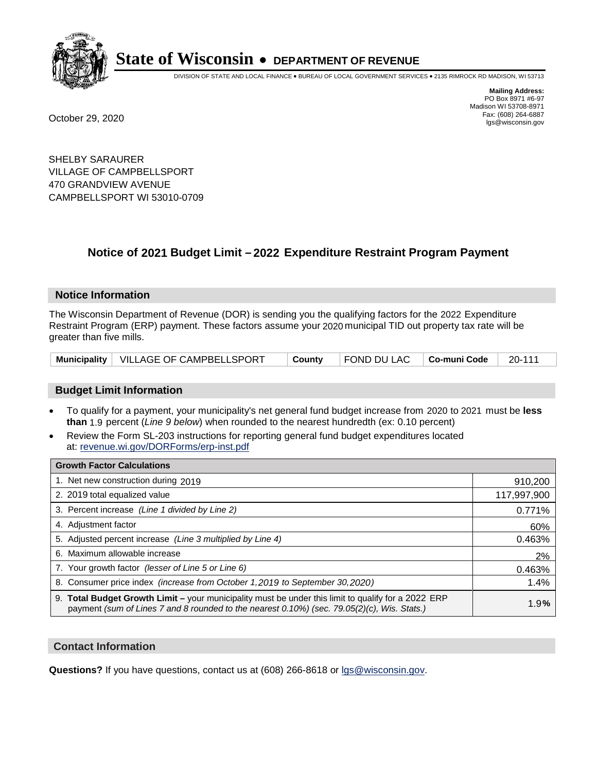

DIVISION OF STATE AND LOCAL FINANCE • BUREAU OF LOCAL GOVERNMENT SERVICES • 2135 RIMROCK RD MADISON, WI 53713

**Mailing Address:** PO Box 8971 #6-97 Madison WI 53708-8971<br>Fax: (608) 264-6887 Fax: (608) 264-6887 October 29, 2020 lgs@wisconsin.gov

SHELBY SARAURER VILLAGE OF CAMPBELLSPORT 470 GRANDVIEW AVENUE CAMPBELLSPORT WI 53010-0709

# **Notice of 2021 Budget Limit - 2022 Expenditure Restraint Program Payment**

#### **Notice Information**

The Wisconsin Department of Revenue (DOR) is sending you the qualifying factors for the 2022 Expenditure Restraint Program (ERP) payment. These factors assume your 2020 municipal TID out property tax rate will be greater than five mills.

|  | Municipality   VILLAGE OF CAMPBELLSPORT | ∣ County | $\vert$ FOND DU LAC $\vert$ Co-muni Code $\vert$ 20-111 |  |  |
|--|-----------------------------------------|----------|---------------------------------------------------------|--|--|
|--|-----------------------------------------|----------|---------------------------------------------------------|--|--|

## **Budget Limit Information**

- To qualify for a payment, your municipality's net general fund budget increase from 2020 to 2021 must be less **than** 1.9 percent (*Line 9 below*) when rounded to the nearest hundredth (ex: 0.10 percent)
- Review the Form SL-203 instructions for reporting general fund budget expenditures located at: revenue.wi.gov/DORForms/erp-inst.pdf

| <b>Growth Factor Calculations</b>                                                                                                                                                                      |             |
|--------------------------------------------------------------------------------------------------------------------------------------------------------------------------------------------------------|-------------|
| 1. Net new construction during 2019                                                                                                                                                                    | 910,200     |
| 2. 2019 total equalized value                                                                                                                                                                          | 117,997,900 |
| 3. Percent increase (Line 1 divided by Line 2)                                                                                                                                                         | 0.771%      |
| 4. Adjustment factor                                                                                                                                                                                   | 60%         |
| 5. Adjusted percent increase (Line 3 multiplied by Line 4)                                                                                                                                             | 0.463%      |
| 6. Maximum allowable increase                                                                                                                                                                          | 2%          |
| 7. Your growth factor (lesser of Line 5 or Line 6)                                                                                                                                                     | 0.463%      |
| 8. Consumer price index (increase from October 1,2019 to September 30,2020)                                                                                                                            | 1.4%        |
| 9. Total Budget Growth Limit - your municipality must be under this limit to qualify for a 2022 ERP<br>payment (sum of Lines 7 and 8 rounded to the nearest $0.10\%$ ) (sec. 79.05(2)(c), Wis. Stats.) | 1.9%        |

## **Contact Information**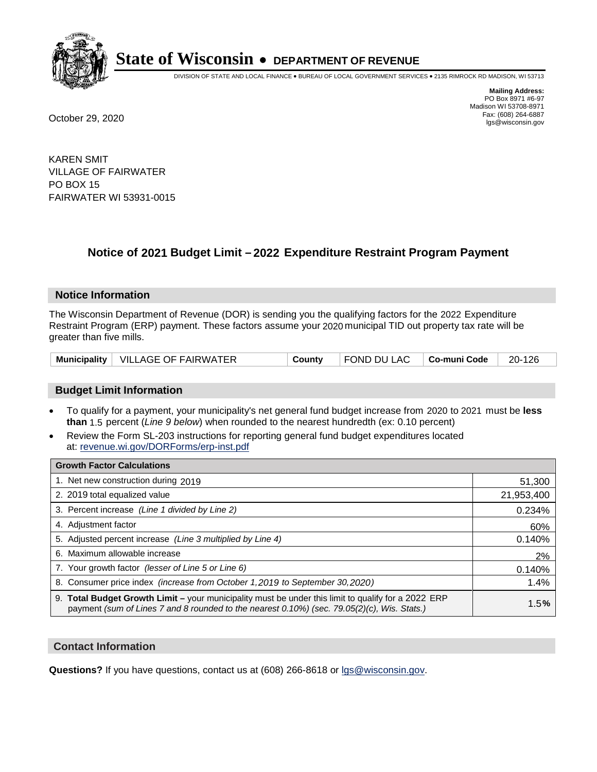

DIVISION OF STATE AND LOCAL FINANCE • BUREAU OF LOCAL GOVERNMENT SERVICES • 2135 RIMROCK RD MADISON, WI 53713

**Mailing Address:** PO Box 8971 #6-97 Madison WI 53708-8971<br>Fax: (608) 264-6887 Fax: (608) 264-6887 October 29, 2020 lgs@wisconsin.gov

KAREN SMIT VILLAGE OF FAIRWATER PO BOX 15 FAIRWATER WI 53931-0015

# **Notice of 2021 Budget Limit - 2022 Expenditure Restraint Program Payment**

#### **Notice Information**

The Wisconsin Department of Revenue (DOR) is sending you the qualifying factors for the 2022 Expenditure Restraint Program (ERP) payment. These factors assume your 2020 municipal TID out property tax rate will be greater than five mills.

|  | Municipality   VILLAGE OF FAIRWATER | County | FOND DU LAC   Co-muni Code |  | 20-126 |
|--|-------------------------------------|--------|----------------------------|--|--------|
|--|-------------------------------------|--------|----------------------------|--|--------|

## **Budget Limit Information**

- To qualify for a payment, your municipality's net general fund budget increase from 2020 to 2021 must be less **than** 1.5 percent (*Line 9 below*) when rounded to the nearest hundredth (ex: 0.10 percent)
- Review the Form SL-203 instructions for reporting general fund budget expenditures located at: revenue.wi.gov/DORForms/erp-inst.pdf

| <b>Growth Factor Calculations</b>                                                                                                                                                                      |            |
|--------------------------------------------------------------------------------------------------------------------------------------------------------------------------------------------------------|------------|
| 1. Net new construction during 2019                                                                                                                                                                    | 51,300     |
| 2. 2019 total equalized value                                                                                                                                                                          | 21,953,400 |
| 3. Percent increase (Line 1 divided by Line 2)                                                                                                                                                         | 0.234%     |
| 4. Adjustment factor                                                                                                                                                                                   | 60%        |
| 5. Adjusted percent increase (Line 3 multiplied by Line 4)                                                                                                                                             | 0.140%     |
| 6. Maximum allowable increase                                                                                                                                                                          | 2%         |
| 7. Your growth factor (lesser of Line 5 or Line 6)                                                                                                                                                     | 0.140%     |
| 8. Consumer price index (increase from October 1,2019 to September 30,2020)                                                                                                                            | 1.4%       |
| 9. Total Budget Growth Limit - your municipality must be under this limit to qualify for a 2022 ERP<br>payment (sum of Lines 7 and 8 rounded to the nearest $0.10\%$ ) (sec. 79.05(2)(c), Wis. Stats.) | 1.5%       |

## **Contact Information**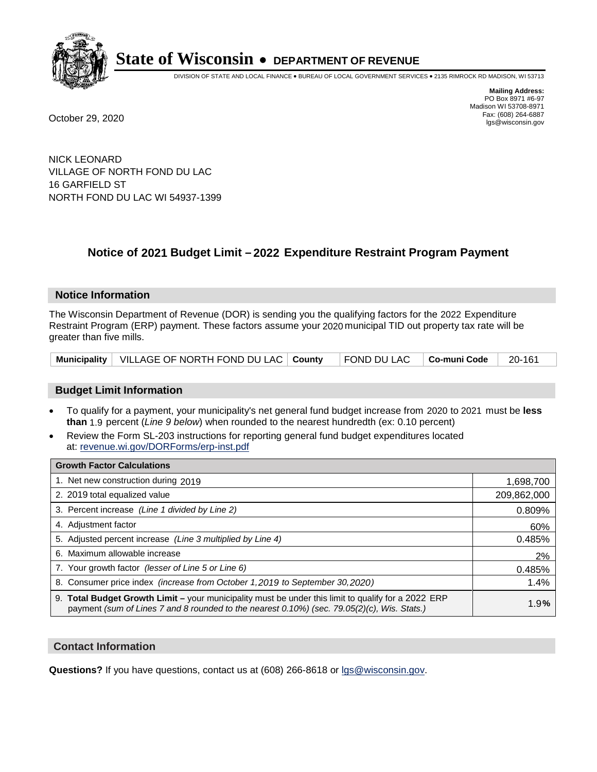

DIVISION OF STATE AND LOCAL FINANCE • BUREAU OF LOCAL GOVERNMENT SERVICES • 2135 RIMROCK RD MADISON, WI 53713

**Mailing Address:** PO Box 8971 #6-97 Madison WI 53708-8971<br>Fax: (608) 264-6887 Fax: (608) 264-6887 October 29, 2020 lgs@wisconsin.gov

NICK LEONARD VILLAGE OF NORTH FOND DU LAC 16 GARFIELD ST NORTH FOND DU LAC WI 54937-1399

# **Notice of 2021 Budget Limit - 2022 Expenditure Restraint Program Payment**

## **Notice Information**

The Wisconsin Department of Revenue (DOR) is sending you the qualifying factors for the 2022 Expenditure Restraint Program (ERP) payment. These factors assume your 2020 municipal TID out property tax rate will be greater than five mills.

| Municipality   VILLAGE OF NORTH FOND DU LAC   County   FOND DU LAC   Co-muni Code   20-161 |  |  |  |  |
|--------------------------------------------------------------------------------------------|--|--|--|--|
|--------------------------------------------------------------------------------------------|--|--|--|--|

## **Budget Limit Information**

- To qualify for a payment, your municipality's net general fund budget increase from 2020 to 2021 must be less **than** 1.9 percent (*Line 9 below*) when rounded to the nearest hundredth (ex: 0.10 percent)
- Review the Form SL-203 instructions for reporting general fund budget expenditures located at: revenue.wi.gov/DORForms/erp-inst.pdf

| <b>Growth Factor Calculations</b>                                                                                                                                                                      |             |
|--------------------------------------------------------------------------------------------------------------------------------------------------------------------------------------------------------|-------------|
| 1. Net new construction during 2019                                                                                                                                                                    | 1,698,700   |
| 2. 2019 total equalized value                                                                                                                                                                          | 209,862,000 |
| 3. Percent increase (Line 1 divided by Line 2)                                                                                                                                                         | 0.809%      |
| 4. Adjustment factor                                                                                                                                                                                   | 60%         |
| 5. Adjusted percent increase (Line 3 multiplied by Line 4)                                                                                                                                             | 0.485%      |
| 6. Maximum allowable increase                                                                                                                                                                          | 2%          |
| 7. Your growth factor (lesser of Line 5 or Line 6)                                                                                                                                                     | 0.485%      |
| 8. Consumer price index (increase from October 1, 2019 to September 30, 2020)                                                                                                                          | 1.4%        |
| 9. Total Budget Growth Limit - your municipality must be under this limit to qualify for a 2022 ERP<br>payment (sum of Lines 7 and 8 rounded to the nearest $0.10\%$ ) (sec. 79.05(2)(c), Wis. Stats.) | 1.9%        |

## **Contact Information**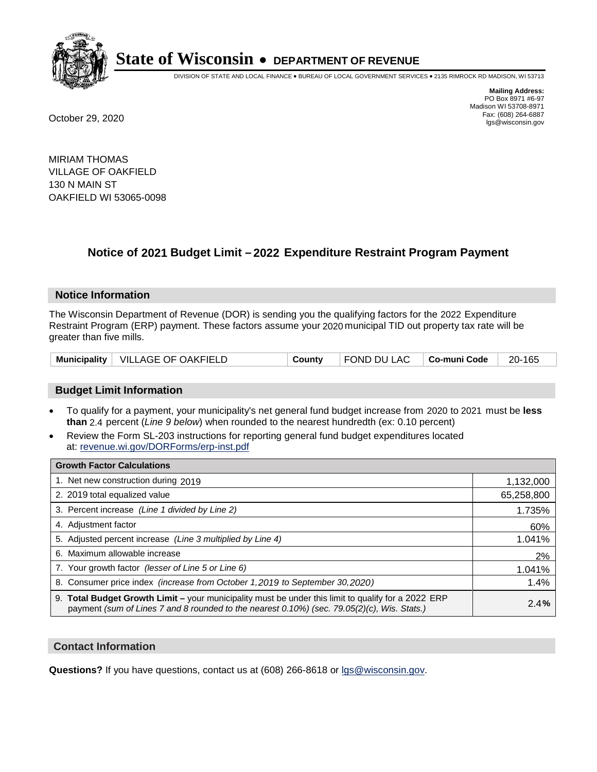

DIVISION OF STATE AND LOCAL FINANCE • BUREAU OF LOCAL GOVERNMENT SERVICES • 2135 RIMROCK RD MADISON, WI 53713

**Mailing Address:** PO Box 8971 #6-97 Madison WI 53708-8971<br>Fax: (608) 264-6887 Fax: (608) 264-6887 October 29, 2020 lgs@wisconsin.gov

MIRIAM THOMAS VILLAGE OF OAKFIELD 130 N MAIN ST OAKFIELD WI 53065-0098

# **Notice of 2021 Budget Limit - 2022 Expenditure Restraint Program Payment**

#### **Notice Information**

The Wisconsin Department of Revenue (DOR) is sending you the qualifying factors for the 2022 Expenditure Restraint Program (ERP) payment. These factors assume your 2020 municipal TID out property tax rate will be greater than five mills.

|  | Municipality   VILLAGE OF OAKFIELD | County | FOND DU LAC   Co-muni Code |  | 20-165 |
|--|------------------------------------|--------|----------------------------|--|--------|
|--|------------------------------------|--------|----------------------------|--|--------|

# **Budget Limit Information**

- To qualify for a payment, your municipality's net general fund budget increase from 2020 to 2021 must be less **than** 2.4 percent (*Line 9 below*) when rounded to the nearest hundredth (ex: 0.10 percent)
- Review the Form SL-203 instructions for reporting general fund budget expenditures located at: revenue.wi.gov/DORForms/erp-inst.pdf

| <b>Growth Factor Calculations</b>                                                                                                                                                                  |            |
|----------------------------------------------------------------------------------------------------------------------------------------------------------------------------------------------------|------------|
| 1. Net new construction during 2019                                                                                                                                                                | 1,132,000  |
| 2. 2019 total equalized value                                                                                                                                                                      | 65,258,800 |
| 3. Percent increase (Line 1 divided by Line 2)                                                                                                                                                     | 1.735%     |
| 4. Adjustment factor                                                                                                                                                                               | 60%        |
| 5. Adjusted percent increase (Line 3 multiplied by Line 4)                                                                                                                                         | 1.041%     |
| 6. Maximum allowable increase                                                                                                                                                                      | 2%         |
| 7. Your growth factor (lesser of Line 5 or Line 6)                                                                                                                                                 | 1.041%     |
| 8. Consumer price index (increase from October 1, 2019 to September 30, 2020)                                                                                                                      | 1.4%       |
| 9. Total Budget Growth Limit - your municipality must be under this limit to qualify for a 2022 ERP<br>payment (sum of Lines 7 and 8 rounded to the nearest 0.10%) (sec. 79.05(2)(c), Wis. Stats.) | 2.4%       |

## **Contact Information**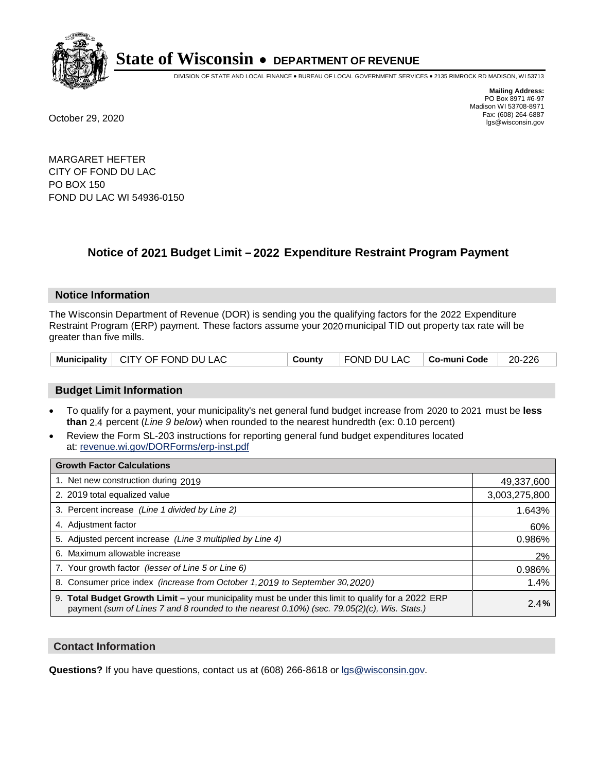

DIVISION OF STATE AND LOCAL FINANCE • BUREAU OF LOCAL GOVERNMENT SERVICES • 2135 RIMROCK RD MADISON, WI 53713

**Mailing Address:** PO Box 8971 #6-97 Madison WI 53708-8971<br>Fax: (608) 264-6887 Fax: (608) 264-6887 October 29, 2020 lgs@wisconsin.gov

MARGARET HEFTER CITY OF FOND DU LAC PO BOX 150 FOND DU LAC WI 54936-0150

# **Notice of 2021 Budget Limit - 2022 Expenditure Restraint Program Payment**

## **Notice Information**

The Wisconsin Department of Revenue (DOR) is sending you the qualifying factors for the 2022 Expenditure Restraint Program (ERP) payment. These factors assume your 2020 municipal TID out property tax rate will be greater than five mills.

# **Budget Limit Information**

- To qualify for a payment, your municipality's net general fund budget increase from 2020 to 2021 must be less **than** 2.4 percent (*Line 9 below*) when rounded to the nearest hundredth (ex: 0.10 percent)
- Review the Form SL-203 instructions for reporting general fund budget expenditures located at: revenue.wi.gov/DORForms/erp-inst.pdf

| <b>Growth Factor Calculations</b>                                                                                                                                                                  |               |
|----------------------------------------------------------------------------------------------------------------------------------------------------------------------------------------------------|---------------|
| 1. Net new construction during 2019                                                                                                                                                                | 49,337,600    |
| 2. 2019 total equalized value                                                                                                                                                                      | 3,003,275,800 |
| 3. Percent increase (Line 1 divided by Line 2)                                                                                                                                                     | 1.643%        |
| 4. Adjustment factor                                                                                                                                                                               | 60%           |
| 5. Adjusted percent increase (Line 3 multiplied by Line 4)                                                                                                                                         | 0.986%        |
| Maximum allowable increase<br>6.                                                                                                                                                                   | 2%            |
| 7. Your growth factor (lesser of Line 5 or Line 6)                                                                                                                                                 | 0.986%        |
| 8. Consumer price index (increase from October 1, 2019 to September 30, 2020)                                                                                                                      | 1.4%          |
| 9. Total Budget Growth Limit - your municipality must be under this limit to qualify for a 2022 ERP<br>payment (sum of Lines 7 and 8 rounded to the nearest 0.10%) (sec. 79.05(2)(c), Wis. Stats.) | 2.4%          |

## **Contact Information**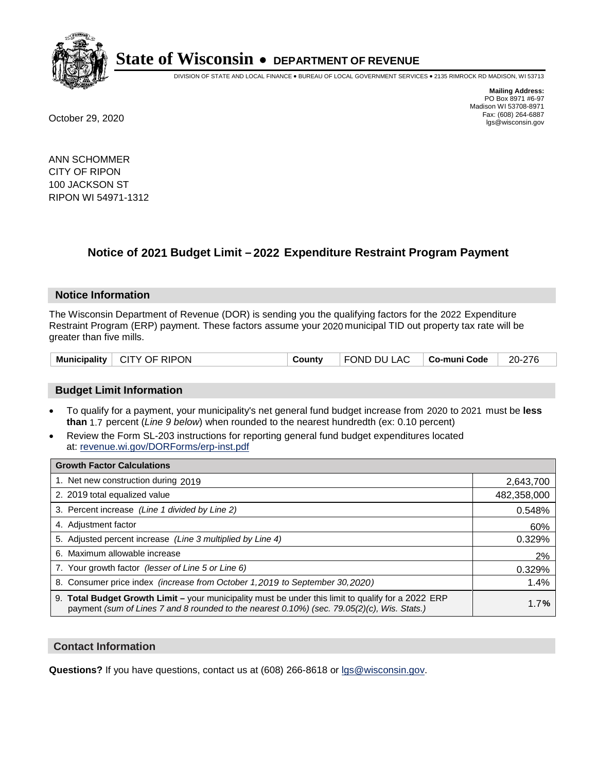

DIVISION OF STATE AND LOCAL FINANCE • BUREAU OF LOCAL GOVERNMENT SERVICES • 2135 RIMROCK RD MADISON, WI 53713

**Mailing Address:** PO Box 8971 #6-97 Madison WI 53708-8971<br>Fax: (608) 264-6887 Fax: (608) 264-6887 October 29, 2020 lgs@wisconsin.gov

ANN SCHOMMER CITY OF RIPON 100 JACKSON ST RIPON WI 54971-1312

# **Notice of 2021 Budget Limit - 2022 Expenditure Restraint Program Payment**

## **Notice Information**

The Wisconsin Department of Revenue (DOR) is sending you the qualifying factors for the 2022 Expenditure Restraint Program (ERP) payment. These factors assume your 2020 municipal TID out property tax rate will be greater than five mills.

| Municipality | CITY OF RIPON | County | FOND DU LAC | Co-muni Code | 20-276 |
|--------------|---------------|--------|-------------|--------------|--------|
|--------------|---------------|--------|-------------|--------------|--------|

# **Budget Limit Information**

- To qualify for a payment, your municipality's net general fund budget increase from 2020 to 2021 must be less **than** 1.7 percent (*Line 9 below*) when rounded to the nearest hundredth (ex: 0.10 percent)
- Review the Form SL-203 instructions for reporting general fund budget expenditures located at: revenue.wi.gov/DORForms/erp-inst.pdf

| <b>Growth Factor Calculations</b>                                                                                                                                                                  |             |
|----------------------------------------------------------------------------------------------------------------------------------------------------------------------------------------------------|-------------|
| 1. Net new construction during 2019                                                                                                                                                                | 2,643,700   |
| 2. 2019 total equalized value                                                                                                                                                                      | 482,358,000 |
| 3. Percent increase (Line 1 divided by Line 2)                                                                                                                                                     | 0.548%      |
| 4. Adjustment factor                                                                                                                                                                               | 60%         |
| 5. Adjusted percent increase (Line 3 multiplied by Line 4)                                                                                                                                         | 0.329%      |
| Maximum allowable increase<br>6.                                                                                                                                                                   | 2%          |
| 7. Your growth factor (lesser of Line 5 or Line 6)                                                                                                                                                 | 0.329%      |
| 8. Consumer price index (increase from October 1, 2019 to September 30, 2020)                                                                                                                      | 1.4%        |
| 9. Total Budget Growth Limit - your municipality must be under this limit to qualify for a 2022 ERP<br>payment (sum of Lines 7 and 8 rounded to the nearest 0.10%) (sec. 79.05(2)(c), Wis. Stats.) | 1.7%        |

## **Contact Information**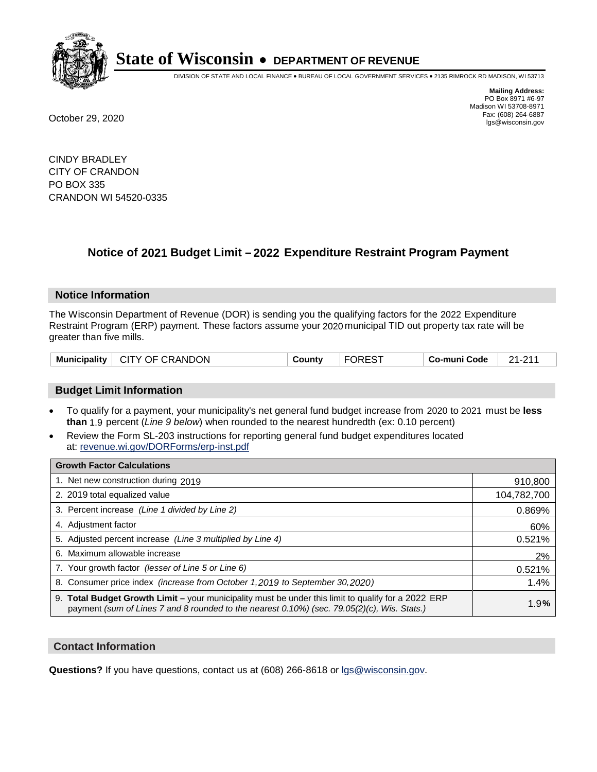

DIVISION OF STATE AND LOCAL FINANCE • BUREAU OF LOCAL GOVERNMENT SERVICES • 2135 RIMROCK RD MADISON, WI 53713

**Mailing Address:** PO Box 8971 #6-97 Madison WI 53708-8971<br>Fax: (608) 264-6887 Fax: (608) 264-6887 October 29, 2020 lgs@wisconsin.gov

CINDY BRADLEY CITY OF CRANDON PO BOX 335 CRANDON WI 54520-0335

# **Notice of 2021 Budget Limit - 2022 Expenditure Restraint Program Payment**

## **Notice Information**

The Wisconsin Department of Revenue (DOR) is sending you the qualifying factors for the 2022 Expenditure Restraint Program (ERP) payment. These factors assume your 2020 municipal TID out property tax rate will be greater than five mills.

| Municipality   CITY OF CRANDON | Countv | <b>FOREST</b> | ∣ Co-muni Code | 21-211 |
|--------------------------------|--------|---------------|----------------|--------|
|--------------------------------|--------|---------------|----------------|--------|

# **Budget Limit Information**

- To qualify for a payment, your municipality's net general fund budget increase from 2020 to 2021 must be less **than** 1.9 percent (*Line 9 below*) when rounded to the nearest hundredth (ex: 0.10 percent)
- Review the Form SL-203 instructions for reporting general fund budget expenditures located at: revenue.wi.gov/DORForms/erp-inst.pdf

| <b>Growth Factor Calculations</b>                                                                                                                                                                  |             |
|----------------------------------------------------------------------------------------------------------------------------------------------------------------------------------------------------|-------------|
| 1. Net new construction during 2019                                                                                                                                                                | 910,800     |
| 2. 2019 total equalized value                                                                                                                                                                      | 104,782,700 |
| 3. Percent increase (Line 1 divided by Line 2)                                                                                                                                                     | 0.869%      |
| 4. Adjustment factor                                                                                                                                                                               | 60%         |
| 5. Adjusted percent increase (Line 3 multiplied by Line 4)                                                                                                                                         | 0.521%      |
| 6. Maximum allowable increase                                                                                                                                                                      | 2%          |
| 7. Your growth factor (lesser of Line 5 or Line 6)                                                                                                                                                 | 0.521%      |
| 8. Consumer price index (increase from October 1,2019 to September 30,2020)                                                                                                                        | 1.4%        |
| 9. Total Budget Growth Limit - your municipality must be under this limit to qualify for a 2022 ERP<br>payment (sum of Lines 7 and 8 rounded to the nearest 0.10%) (sec. 79.05(2)(c), Wis. Stats.) | 1.9%        |

## **Contact Information**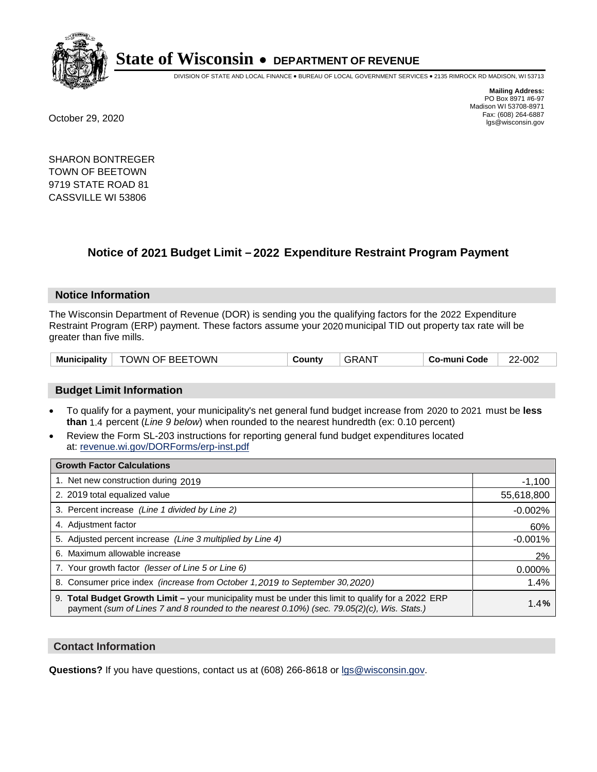

DIVISION OF STATE AND LOCAL FINANCE • BUREAU OF LOCAL GOVERNMENT SERVICES • 2135 RIMROCK RD MADISON, WI 53713

**Mailing Address:** PO Box 8971 #6-97 Madison WI 53708-8971<br>Fax: (608) 264-6887 Fax: (608) 264-6887 October 29, 2020 lgs@wisconsin.gov

SHARON BONTREGER TOWN OF BEETOWN 9719 STATE ROAD 81 CASSVILLE WI 53806

# **Notice of 2021 Budget Limit - 2022 Expenditure Restraint Program Payment**

## **Notice Information**

The Wisconsin Department of Revenue (DOR) is sending you the qualifying factors for the 2022 Expenditure Restraint Program (ERP) payment. These factors assume your 2020 municipal TID out property tax rate will be greater than five mills.

| TOWN OF BEETOWN<br><b>Municipality</b> | County | ⊦GRAN <sup>-</sup> | Co-muni Code | 22-002 |
|----------------------------------------|--------|--------------------|--------------|--------|
|----------------------------------------|--------|--------------------|--------------|--------|

# **Budget Limit Information**

- To qualify for a payment, your municipality's net general fund budget increase from 2020 to 2021 must be less **than** 1.4 percent (*Line 9 below*) when rounded to the nearest hundredth (ex: 0.10 percent)
- Review the Form SL-203 instructions for reporting general fund budget expenditures located at: revenue.wi.gov/DORForms/erp-inst.pdf

| <b>Growth Factor Calculations</b>                                                                                                                                                                  |            |
|----------------------------------------------------------------------------------------------------------------------------------------------------------------------------------------------------|------------|
| 1. Net new construction during 2019                                                                                                                                                                | $-1,100$   |
| 2. 2019 total equalized value                                                                                                                                                                      | 55,618,800 |
| 3. Percent increase (Line 1 divided by Line 2)                                                                                                                                                     | $-0.002%$  |
| 4. Adiustment factor                                                                                                                                                                               | 60%        |
| 5. Adjusted percent increase (Line 3 multiplied by Line 4)                                                                                                                                         | $-0.001%$  |
| 6. Maximum allowable increase                                                                                                                                                                      | 2%         |
| 7. Your growth factor (lesser of Line 5 or Line 6)                                                                                                                                                 | 0.000%     |
| 8. Consumer price index (increase from October 1, 2019 to September 30, 2020)                                                                                                                      | 1.4%       |
| 9. Total Budget Growth Limit – your municipality must be under this limit to qualify for a 2022 ERP<br>payment (sum of Lines 7 and 8 rounded to the nearest 0.10%) (sec. 79.05(2)(c), Wis. Stats.) | 1.4%       |

## **Contact Information**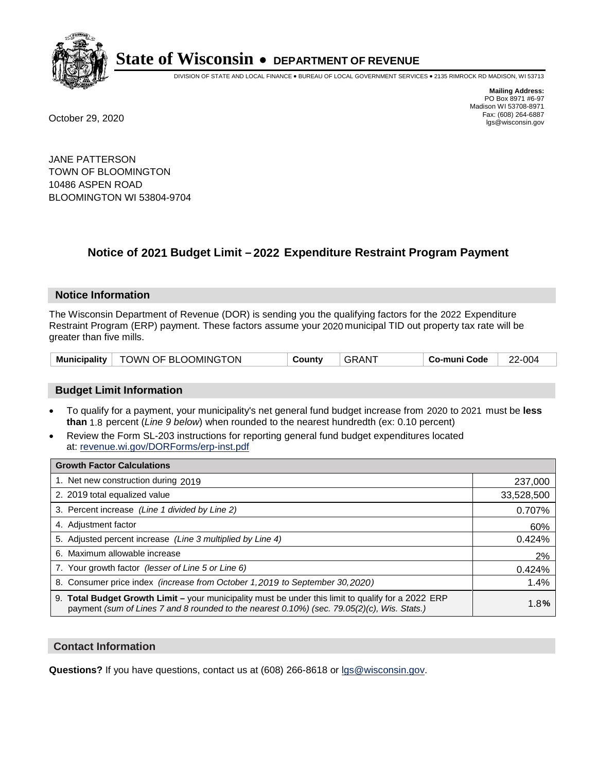

DIVISION OF STATE AND LOCAL FINANCE • BUREAU OF LOCAL GOVERNMENT SERVICES • 2135 RIMROCK RD MADISON, WI 53713

**Mailing Address:** PO Box 8971 #6-97 Madison WI 53708-8971<br>Fax: (608) 264-6887 Fax: (608) 264-6887 October 29, 2020 lgs@wisconsin.gov

JANE PATTERSON TOWN OF BLOOMINGTON 10486 ASPEN ROAD BLOOMINGTON WI 53804-9704

# **Notice of 2021 Budget Limit - 2022 Expenditure Restraint Program Payment**

## **Notice Information**

The Wisconsin Department of Revenue (DOR) is sending you the qualifying factors for the 2022 Expenditure Restraint Program (ERP) payment. These factors assume your 2020 municipal TID out property tax rate will be greater than five mills.

| <b>Municipality</b> | <sup>↑</sup> TOWN OF BLOOMINGTON | County | . GRAN <sup>-</sup> | Co-muni Code | -004<br>ົ |
|---------------------|----------------------------------|--------|---------------------|--------------|-----------|
|---------------------|----------------------------------|--------|---------------------|--------------|-----------|

# **Budget Limit Information**

- To qualify for a payment, your municipality's net general fund budget increase from 2020 to 2021 must be less **than** 1.8 percent (*Line 9 below*) when rounded to the nearest hundredth (ex: 0.10 percent)
- Review the Form SL-203 instructions for reporting general fund budget expenditures located at: revenue.wi.gov/DORForms/erp-inst.pdf

| <b>Growth Factor Calculations</b>                                                                                                                                                                      |            |
|--------------------------------------------------------------------------------------------------------------------------------------------------------------------------------------------------------|------------|
| 1. Net new construction during 2019                                                                                                                                                                    | 237,000    |
| 2. 2019 total equalized value                                                                                                                                                                          | 33,528,500 |
| 3. Percent increase (Line 1 divided by Line 2)                                                                                                                                                         | 0.707%     |
| 4. Adjustment factor                                                                                                                                                                                   | 60%        |
| 5. Adjusted percent increase (Line 3 multiplied by Line 4)                                                                                                                                             | 0.424%     |
| 6. Maximum allowable increase                                                                                                                                                                          | 2%         |
| 7. Your growth factor (lesser of Line 5 or Line 6)                                                                                                                                                     | 0.424%     |
| 8. Consumer price index (increase from October 1, 2019 to September 30, 2020)                                                                                                                          | 1.4%       |
| 9. Total Budget Growth Limit - your municipality must be under this limit to qualify for a 2022 ERP<br>payment (sum of Lines 7 and 8 rounded to the nearest $0.10\%$ ) (sec. 79.05(2)(c), Wis. Stats.) | 1.8%       |

## **Contact Information**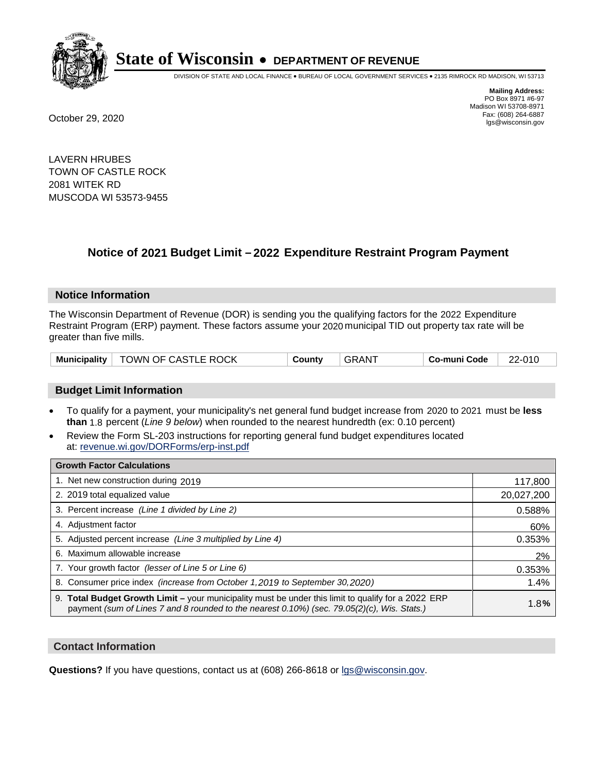

DIVISION OF STATE AND LOCAL FINANCE • BUREAU OF LOCAL GOVERNMENT SERVICES • 2135 RIMROCK RD MADISON, WI 53713

**Mailing Address:** PO Box 8971 #6-97 Madison WI 53708-8971<br>Fax: (608) 264-6887 Fax: (608) 264-6887 October 29, 2020 lgs@wisconsin.gov

LAVERN HRUBES TOWN OF CASTLE ROCK 2081 WITEK RD MUSCODA WI 53573-9455

# **Notice of 2021 Budget Limit - 2022 Expenditure Restraint Program Payment**

#### **Notice Information**

The Wisconsin Department of Revenue (DOR) is sending you the qualifying factors for the 2022 Expenditure Restraint Program (ERP) payment. These factors assume your 2020 municipal TID out property tax rate will be greater than five mills.

|  | Municipality   TOWN OF CASTLE ROCK | County | GRANT | Co-muni Code | 22-010 |
|--|------------------------------------|--------|-------|--------------|--------|
|--|------------------------------------|--------|-------|--------------|--------|

# **Budget Limit Information**

- To qualify for a payment, your municipality's net general fund budget increase from 2020 to 2021 must be less **than** 1.8 percent (*Line 9 below*) when rounded to the nearest hundredth (ex: 0.10 percent)
- Review the Form SL-203 instructions for reporting general fund budget expenditures located at: revenue.wi.gov/DORForms/erp-inst.pdf

| <b>Growth Factor Calculations</b>                                                                                                                                                                  |            |
|----------------------------------------------------------------------------------------------------------------------------------------------------------------------------------------------------|------------|
| 1. Net new construction during 2019                                                                                                                                                                | 117,800    |
| 2. 2019 total equalized value                                                                                                                                                                      | 20,027,200 |
| 3. Percent increase (Line 1 divided by Line 2)                                                                                                                                                     | 0.588%     |
| 4. Adjustment factor                                                                                                                                                                               | 60%        |
| 5. Adjusted percent increase (Line 3 multiplied by Line 4)                                                                                                                                         | 0.353%     |
| 6. Maximum allowable increase                                                                                                                                                                      | 2%         |
| 7. Your growth factor (lesser of Line 5 or Line 6)                                                                                                                                                 | 0.353%     |
| 8. Consumer price index (increase from October 1,2019 to September 30,2020)                                                                                                                        | 1.4%       |
| 9. Total Budget Growth Limit - your municipality must be under this limit to qualify for a 2022 ERP<br>payment (sum of Lines 7 and 8 rounded to the nearest 0.10%) (sec. 79.05(2)(c), Wis. Stats.) | 1.8%       |

## **Contact Information**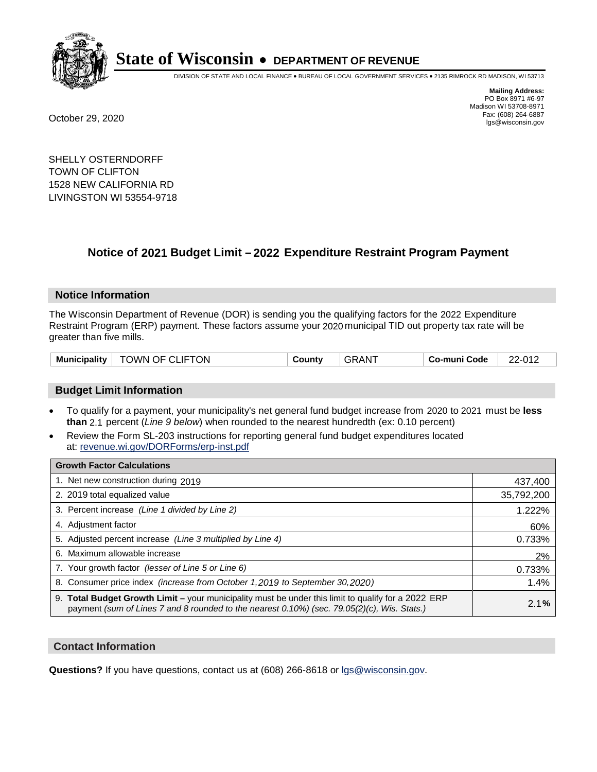

DIVISION OF STATE AND LOCAL FINANCE • BUREAU OF LOCAL GOVERNMENT SERVICES • 2135 RIMROCK RD MADISON, WI 53713

**Mailing Address:** PO Box 8971 #6-97 Madison WI 53708-8971<br>Fax: (608) 264-6887 Fax: (608) 264-6887 October 29, 2020 lgs@wisconsin.gov

SHELLY OSTERNDORFF TOWN OF CLIFTON 1528 NEW CALIFORNIA RD LIVINGSTON WI 53554-9718

# **Notice of 2021 Budget Limit - 2022 Expenditure Restraint Program Payment**

#### **Notice Information**

The Wisconsin Department of Revenue (DOR) is sending you the qualifying factors for the 2022 Expenditure Restraint Program (ERP) payment. These factors assume your 2020 municipal TID out property tax rate will be greater than five mills.

| $^{\circ}$ TOWN OF CLIFTON<br><b>Municipality</b> | County | GRAN <sup>T</sup> | Co-muni Code | 22-012 |
|---------------------------------------------------|--------|-------------------|--------------|--------|
|---------------------------------------------------|--------|-------------------|--------------|--------|

# **Budget Limit Information**

- To qualify for a payment, your municipality's net general fund budget increase from 2020 to 2021 must be less **than** 2.1 percent (*Line 9 below*) when rounded to the nearest hundredth (ex: 0.10 percent)
- Review the Form SL-203 instructions for reporting general fund budget expenditures located at: revenue.wi.gov/DORForms/erp-inst.pdf

| <b>Growth Factor Calculations</b>                                                                                                                                                                  |            |
|----------------------------------------------------------------------------------------------------------------------------------------------------------------------------------------------------|------------|
| 1. Net new construction during 2019                                                                                                                                                                | 437,400    |
| 2. 2019 total equalized value                                                                                                                                                                      | 35,792,200 |
| 3. Percent increase (Line 1 divided by Line 2)                                                                                                                                                     | 1.222%     |
| 4. Adiustment factor                                                                                                                                                                               | 60%        |
| 5. Adjusted percent increase (Line 3 multiplied by Line 4)                                                                                                                                         | 0.733%     |
| 6. Maximum allowable increase                                                                                                                                                                      | 2%         |
| 7. Your growth factor (lesser of Line 5 or Line 6)                                                                                                                                                 | 0.733%     |
| 8. Consumer price index (increase from October 1,2019 to September 30,2020)                                                                                                                        | 1.4%       |
| 9. Total Budget Growth Limit - your municipality must be under this limit to qualify for a 2022 ERP<br>payment (sum of Lines 7 and 8 rounded to the nearest 0.10%) (sec. 79.05(2)(c), Wis. Stats.) | 2.1%       |

## **Contact Information**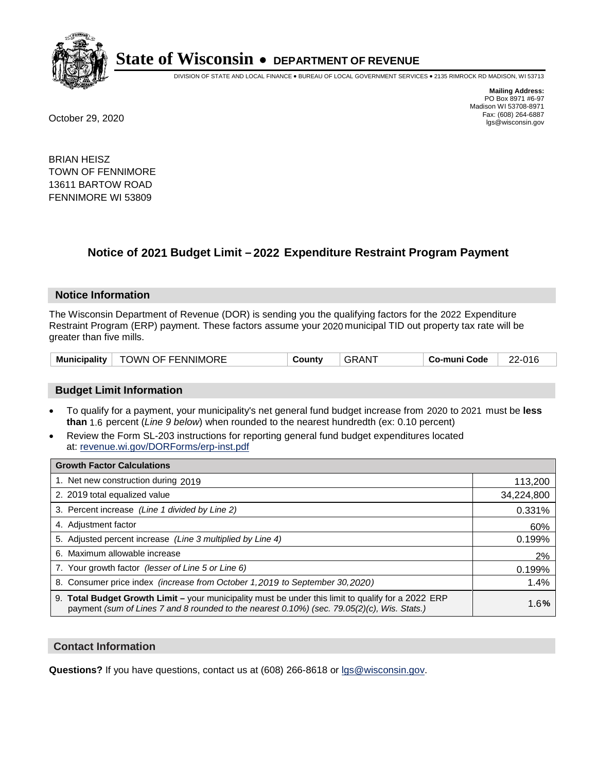

DIVISION OF STATE AND LOCAL FINANCE • BUREAU OF LOCAL GOVERNMENT SERVICES • 2135 RIMROCK RD MADISON, WI 53713

**Mailing Address:** PO Box 8971 #6-97 Madison WI 53708-8971<br>Fax: (608) 264-6887 Fax: (608) 264-6887 October 29, 2020 lgs@wisconsin.gov

BRIAN HEISZ TOWN OF FENNIMORE 13611 BARTOW ROAD FENNIMORE WI 53809

# **Notice of 2021 Budget Limit - 2022 Expenditure Restraint Program Payment**

#### **Notice Information**

The Wisconsin Department of Revenue (DOR) is sending you the qualifying factors for the 2022 Expenditure Restraint Program (ERP) payment. These factors assume your 2020 municipal TID out property tax rate will be greater than five mills.

| <b>Municipality</b> | <b>TOWN OF FENNIMORE</b> | <b>Count∨</b> | AN. | Co-muni Code | 22-016 |
|---------------------|--------------------------|---------------|-----|--------------|--------|
|---------------------|--------------------------|---------------|-----|--------------|--------|

# **Budget Limit Information**

- To qualify for a payment, your municipality's net general fund budget increase from 2020 to 2021 must be less **than** 1.6 percent (*Line 9 below*) when rounded to the nearest hundredth (ex: 0.10 percent)
- Review the Form SL-203 instructions for reporting general fund budget expenditures located at: revenue.wi.gov/DORForms/erp-inst.pdf

| <b>Growth Factor Calculations</b>                                                                                                                                                                      |            |
|--------------------------------------------------------------------------------------------------------------------------------------------------------------------------------------------------------|------------|
| 1. Net new construction during 2019                                                                                                                                                                    | 113,200    |
| 2. 2019 total equalized value                                                                                                                                                                          | 34,224,800 |
| 3. Percent increase (Line 1 divided by Line 2)                                                                                                                                                         | 0.331%     |
| 4. Adiustment factor                                                                                                                                                                                   | 60%        |
| 5. Adjusted percent increase (Line 3 multiplied by Line 4)                                                                                                                                             | 0.199%     |
| 6. Maximum allowable increase                                                                                                                                                                          | 2%         |
| 7. Your growth factor (lesser of Line 5 or Line 6)                                                                                                                                                     | 0.199%     |
| 8. Consumer price index (increase from October 1,2019 to September 30,2020)                                                                                                                            | 1.4%       |
| 9. Total Budget Growth Limit - your municipality must be under this limit to qualify for a 2022 ERP<br>payment (sum of Lines 7 and 8 rounded to the nearest $0.10\%$ ) (sec. 79.05(2)(c), Wis. Stats.) | 1.6%       |

## **Contact Information**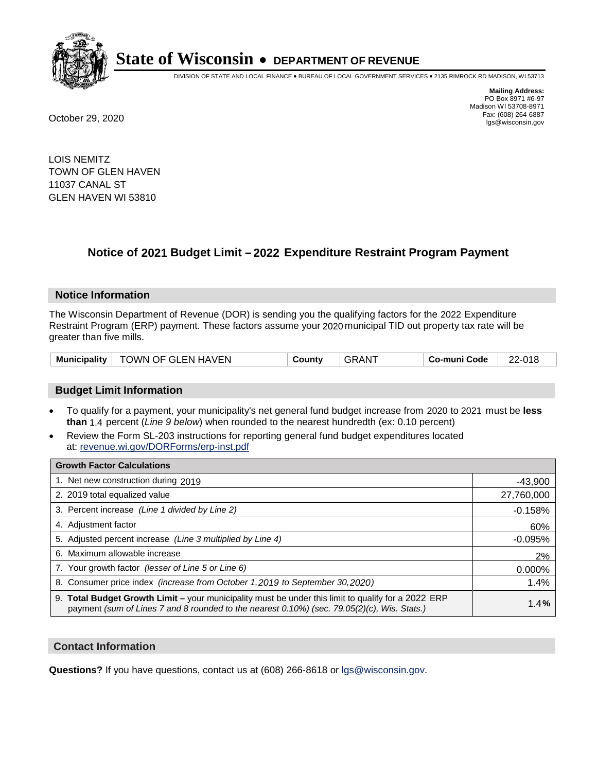

DIVISION OF STATE AND LOCAL FINANCE • BUREAU OF LOCAL GOVERNMENT SERVICES • 2135 RIMROCK RD MADISON, WI 53713

**Mailing Address:** PO Box 8971 #6-97 Madison WI 53708-8971<br>Fax: (608) 264-6887 Fax: (608) 264-6887 October 29, 2020 lgs@wisconsin.gov

LOIS NEMITZ TOWN OF GLEN HAVEN 11037 CANAL ST GLEN HAVEN WI 53810

# **Notice of 2021 Budget Limit - 2022 Expenditure Restraint Program Payment**

#### **Notice Information**

The Wisconsin Department of Revenue (DOR) is sending you the qualifying factors for the 2022 Expenditure Restraint Program (ERP) payment. These factors assume your 2020 municipal TID out property tax rate will be greater than five mills.

| <b>Municipality</b> | TOWN OF GLEN HAVEN | ∟ount∨ت | AN. | o-muni Codeٽ | ∠-01£<br>ົດ |
|---------------------|--------------------|---------|-----|--------------|-------------|
|---------------------|--------------------|---------|-----|--------------|-------------|

# **Budget Limit Information**

- To qualify for a payment, your municipality's net general fund budget increase from 2020 to 2021 must be less **than** 1.4 percent (*Line 9 below*) when rounded to the nearest hundredth (ex: 0.10 percent)
- Review the Form SL-203 instructions for reporting general fund budget expenditures located at: revenue.wi.gov/DORForms/erp-inst.pdf

| <b>Growth Factor Calculations</b>                                                                                                                                                                      |            |
|--------------------------------------------------------------------------------------------------------------------------------------------------------------------------------------------------------|------------|
| 1. Net new construction during 2019                                                                                                                                                                    | $-43,900$  |
| 2. 2019 total equalized value                                                                                                                                                                          | 27,760,000 |
| 3. Percent increase (Line 1 divided by Line 2)                                                                                                                                                         | $-0.158%$  |
| 4. Adjustment factor                                                                                                                                                                                   | 60%        |
| 5. Adjusted percent increase (Line 3 multiplied by Line 4)                                                                                                                                             | $-0.095%$  |
| 6. Maximum allowable increase                                                                                                                                                                          | 2%         |
| 7. Your growth factor (lesser of Line 5 or Line 6)                                                                                                                                                     | 0.000%     |
| 8. Consumer price index (increase from October 1,2019 to September 30,2020)                                                                                                                            | 1.4%       |
| 9. Total Budget Growth Limit - your municipality must be under this limit to qualify for a 2022 ERP<br>payment (sum of Lines 7 and 8 rounded to the nearest $0.10\%$ ) (sec. 79.05(2)(c), Wis. Stats.) | 1.4%       |

## **Contact Information**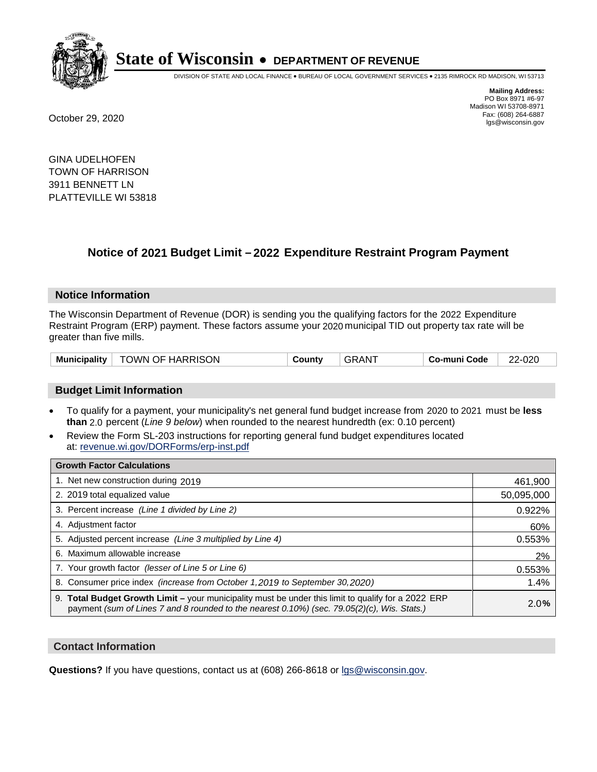

DIVISION OF STATE AND LOCAL FINANCE • BUREAU OF LOCAL GOVERNMENT SERVICES • 2135 RIMROCK RD MADISON, WI 53713

**Mailing Address:** PO Box 8971 #6-97 Madison WI 53708-8971<br>Fax: (608) 264-6887 Fax: (608) 264-6887 October 29, 2020 lgs@wisconsin.gov

GINA UDELHOFEN TOWN OF HARRISON 3911 BENNETT LN PLATTEVILLE WI 53818

# **Notice of 2021 Budget Limit - 2022 Expenditure Restraint Program Payment**

## **Notice Information**

The Wisconsin Department of Revenue (DOR) is sending you the qualifying factors for the 2022 Expenditure Restraint Program (ERP) payment. These factors assume your 2020 municipal TID out property tax rate will be greater than five mills.

| <b>Municipality</b> | TOWN OF HARRISON | County | , АN | Co-muni Code | 2-020<br>ົດດ |
|---------------------|------------------|--------|------|--------------|--------------|
|---------------------|------------------|--------|------|--------------|--------------|

# **Budget Limit Information**

- To qualify for a payment, your municipality's net general fund budget increase from 2020 to 2021 must be less **than** 2.0 percent (*Line 9 below*) when rounded to the nearest hundredth (ex: 0.10 percent)
- Review the Form SL-203 instructions for reporting general fund budget expenditures located at: revenue.wi.gov/DORForms/erp-inst.pdf

| <b>Growth Factor Calculations</b>                                                                                                                                                                      |            |
|--------------------------------------------------------------------------------------------------------------------------------------------------------------------------------------------------------|------------|
| 1. Net new construction during 2019                                                                                                                                                                    | 461,900    |
| 2. 2019 total equalized value                                                                                                                                                                          | 50,095,000 |
| 3. Percent increase (Line 1 divided by Line 2)                                                                                                                                                         | 0.922%     |
| 4. Adiustment factor                                                                                                                                                                                   | 60%        |
| 5. Adjusted percent increase (Line 3 multiplied by Line 4)                                                                                                                                             | 0.553%     |
| 6. Maximum allowable increase                                                                                                                                                                          | 2%         |
| 7. Your growth factor (lesser of Line 5 or Line 6)                                                                                                                                                     | 0.553%     |
| 8. Consumer price index (increase from October 1,2019 to September 30,2020)                                                                                                                            | 1.4%       |
| 9. Total Budget Growth Limit - your municipality must be under this limit to qualify for a 2022 ERP<br>payment (sum of Lines 7 and 8 rounded to the nearest $0.10\%$ ) (sec. 79.05(2)(c), Wis. Stats.) | 2.0%       |

## **Contact Information**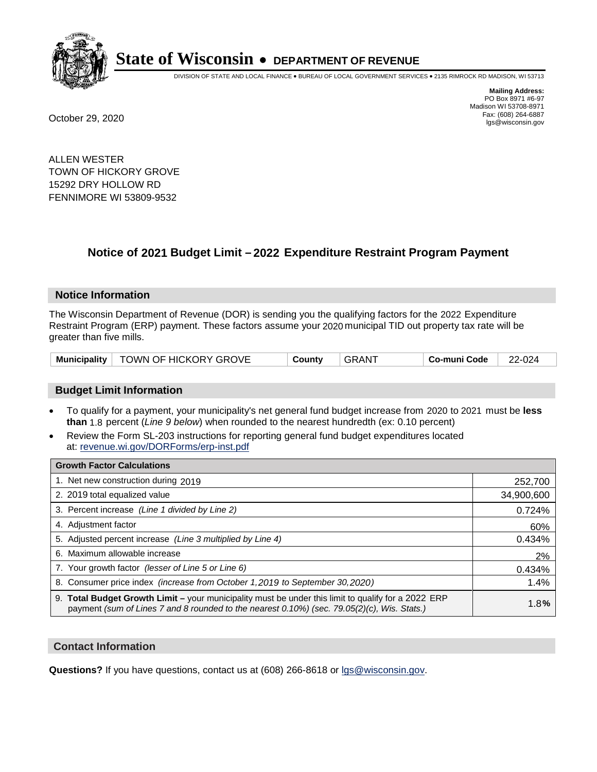

DIVISION OF STATE AND LOCAL FINANCE • BUREAU OF LOCAL GOVERNMENT SERVICES • 2135 RIMROCK RD MADISON, WI 53713

**Mailing Address:** PO Box 8971 #6-97 Madison WI 53708-8971<br>Fax: (608) 264-6887 Fax: (608) 264-6887 October 29, 2020 lgs@wisconsin.gov

ALLEN WESTER TOWN OF HICKORY GROVE 15292 DRY HOLLOW RD FENNIMORE WI 53809-9532

# **Notice of 2021 Budget Limit - 2022 Expenditure Restraint Program Payment**

## **Notice Information**

The Wisconsin Department of Revenue (DOR) is sending you the qualifying factors for the 2022 Expenditure Restraint Program (ERP) payment. These factors assume your 2020 municipal TID out property tax rate will be greater than five mills.

|  | Municipality   TOWN OF HICKORY GROVE | County | GRANT | Co-muni Code | 22-024 |
|--|--------------------------------------|--------|-------|--------------|--------|
|--|--------------------------------------|--------|-------|--------------|--------|

# **Budget Limit Information**

- To qualify for a payment, your municipality's net general fund budget increase from 2020 to 2021 must be less **than** 1.8 percent (*Line 9 below*) when rounded to the nearest hundredth (ex: 0.10 percent)
- Review the Form SL-203 instructions for reporting general fund budget expenditures located at: revenue.wi.gov/DORForms/erp-inst.pdf

| <b>Growth Factor Calculations</b>                                                                                                                                                                  |            |
|----------------------------------------------------------------------------------------------------------------------------------------------------------------------------------------------------|------------|
| 1. Net new construction during 2019                                                                                                                                                                | 252,700    |
| 2. 2019 total equalized value                                                                                                                                                                      | 34,900,600 |
| 3. Percent increase (Line 1 divided by Line 2)                                                                                                                                                     | 0.724%     |
| 4. Adjustment factor                                                                                                                                                                               | 60%        |
| 5. Adjusted percent increase (Line 3 multiplied by Line 4)                                                                                                                                         | 0.434%     |
| 6. Maximum allowable increase                                                                                                                                                                      | 2%         |
| 7. Your growth factor (lesser of Line 5 or Line 6)                                                                                                                                                 | 0.434%     |
| 8. Consumer price index (increase from October 1,2019 to September 30,2020)                                                                                                                        | 1.4%       |
| 9. Total Budget Growth Limit - your municipality must be under this limit to qualify for a 2022 ERP<br>payment (sum of Lines 7 and 8 rounded to the nearest 0.10%) (sec. 79.05(2)(c), Wis. Stats.) | 1.8%       |

## **Contact Information**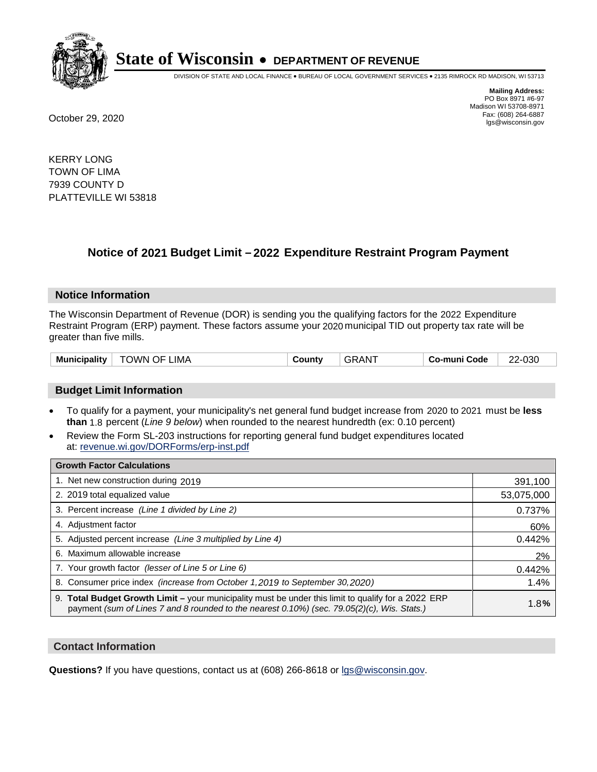

DIVISION OF STATE AND LOCAL FINANCE • BUREAU OF LOCAL GOVERNMENT SERVICES • 2135 RIMROCK RD MADISON, WI 53713

**Mailing Address:** PO Box 8971 #6-97 Madison WI 53708-8971<br>Fax: (608) 264-6887 Fax: (608) 264-6887 October 29, 2020 lgs@wisconsin.gov

KERRY LONG TOWN OF LIMA 7939 COUNTY D PLATTEVILLE WI 53818

# **Notice of 2021 Budget Limit - 2022 Expenditure Restraint Program Payment**

## **Notice Information**

The Wisconsin Department of Revenue (DOR) is sending you the qualifying factors for the 2022 Expenditure Restraint Program (ERP) payment. These factors assume your 2020 municipal TID out property tax rate will be greater than five mills.

| <b>GRANT</b><br>TOWN OF LIMA<br>Municipality<br>Co-muni Code<br>County | 22-030 |
|------------------------------------------------------------------------|--------|
|------------------------------------------------------------------------|--------|

# **Budget Limit Information**

- To qualify for a payment, your municipality's net general fund budget increase from 2020 to 2021 must be less **than** 1.8 percent (*Line 9 below*) when rounded to the nearest hundredth (ex: 0.10 percent)
- Review the Form SL-203 instructions for reporting general fund budget expenditures located at: revenue.wi.gov/DORForms/erp-inst.pdf

| <b>Growth Factor Calculations</b>                                                                                                                                                                      |            |
|--------------------------------------------------------------------------------------------------------------------------------------------------------------------------------------------------------|------------|
| 1. Net new construction during 2019                                                                                                                                                                    | 391,100    |
| 2. 2019 total equalized value                                                                                                                                                                          | 53,075,000 |
| 3. Percent increase (Line 1 divided by Line 2)                                                                                                                                                         | 0.737%     |
| 4. Adjustment factor                                                                                                                                                                                   | 60%        |
| 5. Adjusted percent increase (Line 3 multiplied by Line 4)                                                                                                                                             | 0.442%     |
| 6. Maximum allowable increase                                                                                                                                                                          | 2%         |
| 7. Your growth factor (lesser of Line 5 or Line 6)                                                                                                                                                     | 0.442%     |
| 8. Consumer price index (increase from October 1,2019 to September 30,2020)                                                                                                                            | 1.4%       |
| 9. Total Budget Growth Limit - your municipality must be under this limit to qualify for a 2022 ERP<br>payment (sum of Lines 7 and 8 rounded to the nearest $0.10\%$ ) (sec. 79.05(2)(c), Wis. Stats.) | 1.8%       |

## **Contact Information**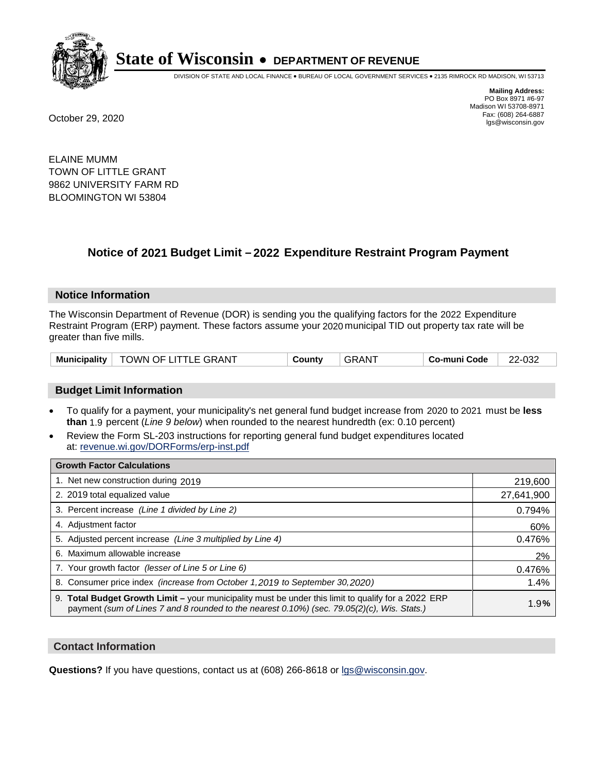

DIVISION OF STATE AND LOCAL FINANCE • BUREAU OF LOCAL GOVERNMENT SERVICES • 2135 RIMROCK RD MADISON, WI 53713

**Mailing Address:** PO Box 8971 #6-97 Madison WI 53708-8971<br>Fax: (608) 264-6887 Fax: (608) 264-6887 October 29, 2020 lgs@wisconsin.gov

ELAINE MUMM TOWN OF LITTLE GRANT 9862 UNIVERSITY FARM RD BLOOMINGTON WI 53804

# **Notice of 2021 Budget Limit - 2022 Expenditure Restraint Program Payment**

## **Notice Information**

The Wisconsin Department of Revenue (DOR) is sending you the qualifying factors for the 2022 Expenditure Restraint Program (ERP) payment. These factors assume your 2020 municipal TID out property tax rate will be greater than five mills.

|  | Municipality   TOWN OF LITTLE GRANT | County | <b>GRANT</b> | Co-muni Code | 22-032 |
|--|-------------------------------------|--------|--------------|--------------|--------|
|--|-------------------------------------|--------|--------------|--------------|--------|

# **Budget Limit Information**

- To qualify for a payment, your municipality's net general fund budget increase from 2020 to 2021 must be less **than** 1.9 percent (*Line 9 below*) when rounded to the nearest hundredth (ex: 0.10 percent)
- Review the Form SL-203 instructions for reporting general fund budget expenditures located at: revenue.wi.gov/DORForms/erp-inst.pdf

| <b>Growth Factor Calculations</b>                                                                                                                                                                      |            |
|--------------------------------------------------------------------------------------------------------------------------------------------------------------------------------------------------------|------------|
| 1. Net new construction during 2019                                                                                                                                                                    | 219,600    |
| 2. 2019 total equalized value                                                                                                                                                                          | 27,641,900 |
| 3. Percent increase (Line 1 divided by Line 2)                                                                                                                                                         | 0.794%     |
| 4. Adjustment factor                                                                                                                                                                                   | 60%        |
| 5. Adjusted percent increase (Line 3 multiplied by Line 4)                                                                                                                                             | 0.476%     |
| 6. Maximum allowable increase                                                                                                                                                                          | 2%         |
| 7. Your growth factor (lesser of Line 5 or Line 6)                                                                                                                                                     | 0.476%     |
| 8. Consumer price index (increase from October 1,2019 to September 30,2020)                                                                                                                            | 1.4%       |
| 9. Total Budget Growth Limit - your municipality must be under this limit to qualify for a 2022 ERP<br>payment (sum of Lines 7 and 8 rounded to the nearest $0.10\%$ ) (sec. 79.05(2)(c), Wis. Stats.) | 1.9%       |

## **Contact Information**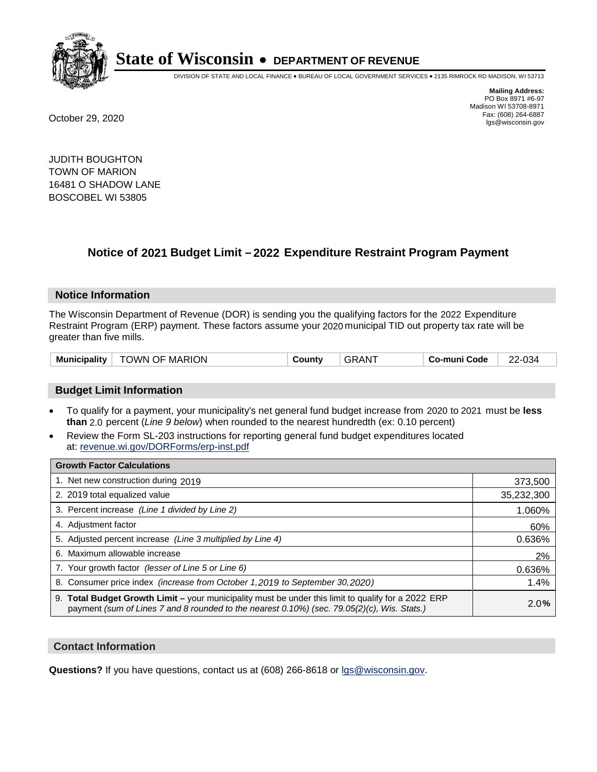

DIVISION OF STATE AND LOCAL FINANCE • BUREAU OF LOCAL GOVERNMENT SERVICES • 2135 RIMROCK RD MADISON, WI 53713

**Mailing Address:** PO Box 8971 #6-97 Madison WI 53708-8971<br>Fax: (608) 264-6887 Fax: (608) 264-6887 October 29, 2020 lgs@wisconsin.gov

JUDITH BOUGHTON TOWN OF MARION 16481 O SHADOW LANE BOSCOBEL WI 53805

# **Notice of 2021 Budget Limit - 2022 Expenditure Restraint Program Payment**

## **Notice Information**

The Wisconsin Department of Revenue (DOR) is sending you the qualifying factors for the 2022 Expenditure Restraint Program (ERP) payment. These factors assume your 2020 municipal TID out property tax rate will be greater than five mills.

| TOWN OF MARION<br><b>Municipality</b> | County | GRAN <sup>T</sup> | ⊦ Co-muni Code | 22-034 |
|---------------------------------------|--------|-------------------|----------------|--------|
|---------------------------------------|--------|-------------------|----------------|--------|

# **Budget Limit Information**

- To qualify for a payment, your municipality's net general fund budget increase from 2020 to 2021 must be less **than** 2.0 percent (*Line 9 below*) when rounded to the nearest hundredth (ex: 0.10 percent)
- Review the Form SL-203 instructions for reporting general fund budget expenditures located at: revenue.wi.gov/DORForms/erp-inst.pdf

| <b>Growth Factor Calculations</b>                                                                                                                                                                      |            |
|--------------------------------------------------------------------------------------------------------------------------------------------------------------------------------------------------------|------------|
| 1. Net new construction during 2019                                                                                                                                                                    | 373,500    |
| 2. 2019 total equalized value                                                                                                                                                                          | 35,232,300 |
| 3. Percent increase (Line 1 divided by Line 2)                                                                                                                                                         | 1.060%     |
| 4. Adiustment factor                                                                                                                                                                                   | 60%        |
| 5. Adjusted percent increase (Line 3 multiplied by Line 4)                                                                                                                                             | 0.636%     |
| 6. Maximum allowable increase                                                                                                                                                                          | 2%         |
| 7. Your growth factor (lesser of Line 5 or Line 6)                                                                                                                                                     | 0.636%     |
| 8. Consumer price index (increase from October 1,2019 to September 30,2020)                                                                                                                            | 1.4%       |
| 9. Total Budget Growth Limit - your municipality must be under this limit to qualify for a 2022 ERP<br>payment (sum of Lines 7 and 8 rounded to the nearest $0.10\%$ ) (sec. 79.05(2)(c), Wis. Stats.) | 2.0%       |

## **Contact Information**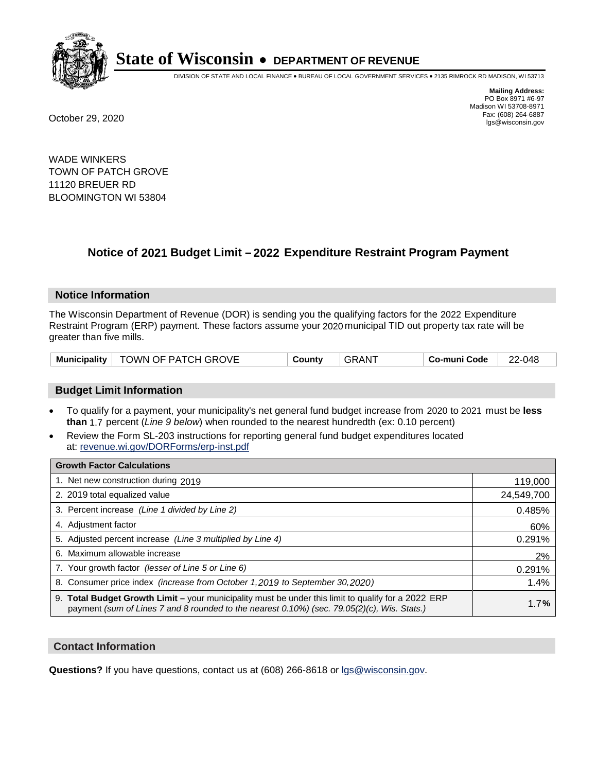

DIVISION OF STATE AND LOCAL FINANCE • BUREAU OF LOCAL GOVERNMENT SERVICES • 2135 RIMROCK RD MADISON, WI 53713

**Mailing Address:** PO Box 8971 #6-97 Madison WI 53708-8971<br>Fax: (608) 264-6887 Fax: (608) 264-6887 October 29, 2020 lgs@wisconsin.gov

WADE WINKERS TOWN OF PATCH GROVE 11120 BREUER RD BLOOMINGTON WI 53804

# **Notice of 2021 Budget Limit - 2022 Expenditure Restraint Program Payment**

#### **Notice Information**

The Wisconsin Department of Revenue (DOR) is sending you the qualifying factors for the 2022 Expenditure Restraint Program (ERP) payment. These factors assume your 2020 municipal TID out property tax rate will be greater than five mills.

|  | Municipality   TOWN OF PATCH GROVE | County | GRAN <sup>-</sup> | Co-muni Code | 22-048 |
|--|------------------------------------|--------|-------------------|--------------|--------|
|--|------------------------------------|--------|-------------------|--------------|--------|

## **Budget Limit Information**

- To qualify for a payment, your municipality's net general fund budget increase from 2020 to 2021 must be less **than** 1.7 percent (*Line 9 below*) when rounded to the nearest hundredth (ex: 0.10 percent)
- Review the Form SL-203 instructions for reporting general fund budget expenditures located at: revenue.wi.gov/DORForms/erp-inst.pdf

| <b>Growth Factor Calculations</b>                                                                                                                                                                      |            |
|--------------------------------------------------------------------------------------------------------------------------------------------------------------------------------------------------------|------------|
| 1. Net new construction during 2019                                                                                                                                                                    | 119,000    |
| 2. 2019 total equalized value                                                                                                                                                                          | 24,549,700 |
| 3. Percent increase (Line 1 divided by Line 2)                                                                                                                                                         | 0.485%     |
| 4. Adjustment factor                                                                                                                                                                                   | 60%        |
| 5. Adjusted percent increase (Line 3 multiplied by Line 4)                                                                                                                                             | 0.291%     |
| 6. Maximum allowable increase                                                                                                                                                                          | 2%         |
| 7. Your growth factor (lesser of Line 5 or Line 6)                                                                                                                                                     | 0.291%     |
| 8. Consumer price index (increase from October 1,2019 to September 30,2020)                                                                                                                            | 1.4%       |
| 9. Total Budget Growth Limit - your municipality must be under this limit to qualify for a 2022 ERP<br>payment (sum of Lines 7 and 8 rounded to the nearest $0.10\%$ ) (sec. 79.05(2)(c), Wis. Stats.) | 1.7%       |

## **Contact Information**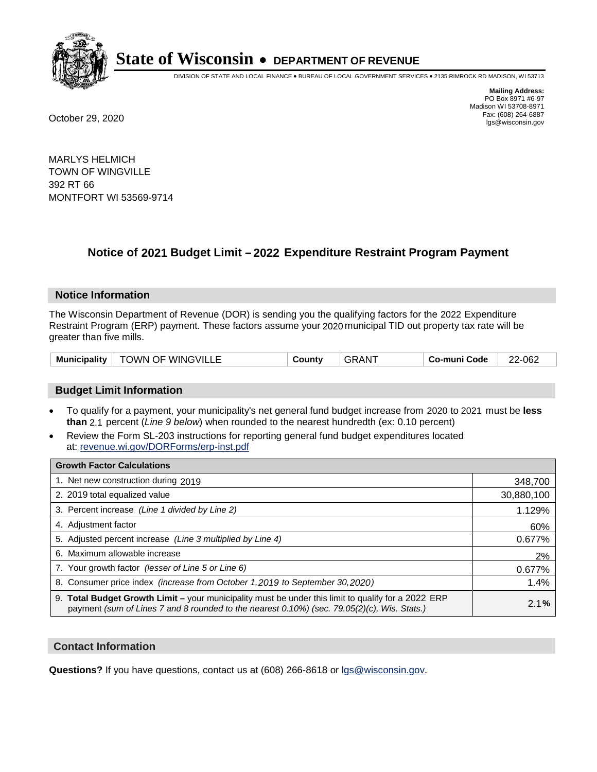

DIVISION OF STATE AND LOCAL FINANCE • BUREAU OF LOCAL GOVERNMENT SERVICES • 2135 RIMROCK RD MADISON, WI 53713

**Mailing Address:** PO Box 8971 #6-97 Madison WI 53708-8971<br>Fax: (608) 264-6887 Fax: (608) 264-6887 October 29, 2020 lgs@wisconsin.gov

MARLYS HELMICH TOWN OF WINGVILLE 392 RT 66 MONTFORT WI 53569-9714

# **Notice of 2021 Budget Limit - 2022 Expenditure Restraint Program Payment**

## **Notice Information**

The Wisconsin Department of Revenue (DOR) is sending you the qualifying factors for the 2022 Expenditure Restraint Program (ERP) payment. These factors assume your 2020 municipal TID out property tax rate will be greater than five mills.

| <b>Municipality</b> | <b>TOWN OF WINGVILLE</b> | County | ⊦GRAN <sup>-</sup> | Co-muni Code | 22-062 |
|---------------------|--------------------------|--------|--------------------|--------------|--------|
|---------------------|--------------------------|--------|--------------------|--------------|--------|

# **Budget Limit Information**

- To qualify for a payment, your municipality's net general fund budget increase from 2020 to 2021 must be less **than** 2.1 percent (*Line 9 below*) when rounded to the nearest hundredth (ex: 0.10 percent)
- Review the Form SL-203 instructions for reporting general fund budget expenditures located at: revenue.wi.gov/DORForms/erp-inst.pdf

| <b>Growth Factor Calculations</b>                                                                                                                                                                      |            |
|--------------------------------------------------------------------------------------------------------------------------------------------------------------------------------------------------------|------------|
| 1. Net new construction during 2019                                                                                                                                                                    | 348,700    |
| 2. 2019 total equalized value                                                                                                                                                                          | 30,880,100 |
| 3. Percent increase (Line 1 divided by Line 2)                                                                                                                                                         | 1.129%     |
| 4. Adjustment factor                                                                                                                                                                                   | 60%        |
| 5. Adjusted percent increase (Line 3 multiplied by Line 4)                                                                                                                                             | 0.677%     |
| 6. Maximum allowable increase                                                                                                                                                                          | 2%         |
| 7. Your growth factor (lesser of Line 5 or Line 6)                                                                                                                                                     | 0.677%     |
| 8. Consumer price index (increase from October 1, 2019 to September 30, 2020)                                                                                                                          | 1.4%       |
| 9. Total Budget Growth Limit - your municipality must be under this limit to qualify for a 2022 ERP<br>payment (sum of Lines 7 and 8 rounded to the nearest $0.10\%$ ) (sec. 79.05(2)(c), Wis. Stats.) | 2.1%       |

## **Contact Information**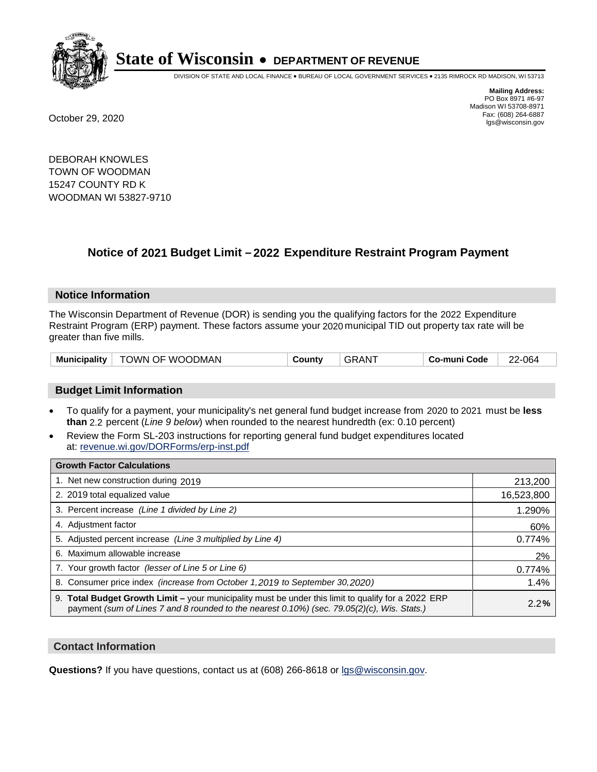

DIVISION OF STATE AND LOCAL FINANCE • BUREAU OF LOCAL GOVERNMENT SERVICES • 2135 RIMROCK RD MADISON, WI 53713

**Mailing Address:** PO Box 8971 #6-97 Madison WI 53708-8971<br>Fax: (608) 264-6887 Fax: (608) 264-6887 October 29, 2020 lgs@wisconsin.gov

DEBORAH KNOWLES TOWN OF WOODMAN 15247 COUNTY RD K WOODMAN WI 53827-9710

# **Notice of 2021 Budget Limit - 2022 Expenditure Restraint Program Payment**

## **Notice Information**

The Wisconsin Department of Revenue (DOR) is sending you the qualifying factors for the 2022 Expenditure Restraint Program (ERP) payment. These factors assume your 2020 municipal TID out property tax rate will be greater than five mills.

| <b>Municipality</b> | TOWN OF WOODMAN | Countv | GRAN | Co-muni Code | 22-064 |
|---------------------|-----------------|--------|------|--------------|--------|
|---------------------|-----------------|--------|------|--------------|--------|

# **Budget Limit Information**

- To qualify for a payment, your municipality's net general fund budget increase from 2020 to 2021 must be less **than** 2.2 percent (*Line 9 below*) when rounded to the nearest hundredth (ex: 0.10 percent)
- Review the Form SL-203 instructions for reporting general fund budget expenditures located at: revenue.wi.gov/DORForms/erp-inst.pdf

| <b>Growth Factor Calculations</b>                                                                                                                                                                      |            |
|--------------------------------------------------------------------------------------------------------------------------------------------------------------------------------------------------------|------------|
| 1. Net new construction during 2019                                                                                                                                                                    | 213,200    |
| 2. 2019 total equalized value                                                                                                                                                                          | 16,523,800 |
| 3. Percent increase (Line 1 divided by Line 2)                                                                                                                                                         | 1.290%     |
| 4. Adjustment factor                                                                                                                                                                                   | 60%        |
| 5. Adjusted percent increase (Line 3 multiplied by Line 4)                                                                                                                                             | 0.774%     |
| 6. Maximum allowable increase                                                                                                                                                                          | 2%         |
| 7. Your growth factor (lesser of Line 5 or Line 6)                                                                                                                                                     | 0.774%     |
| 8. Consumer price index (increase from October 1,2019 to September 30,2020)                                                                                                                            | 1.4%       |
| 9. Total Budget Growth Limit - your municipality must be under this limit to qualify for a 2022 ERP<br>payment (sum of Lines 7 and 8 rounded to the nearest $0.10\%$ ) (sec. 79.05(2)(c), Wis. Stats.) | 2.2%       |

## **Contact Information**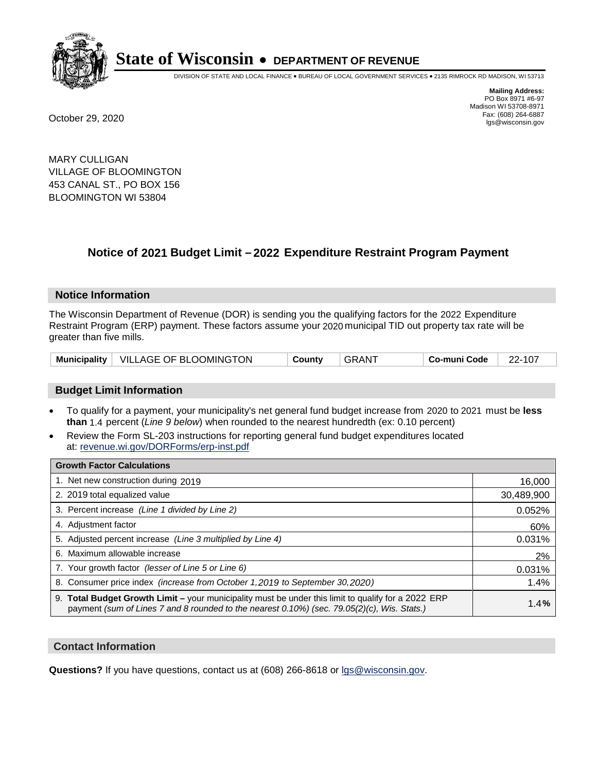

DIVISION OF STATE AND LOCAL FINANCE • BUREAU OF LOCAL GOVERNMENT SERVICES • 2135 RIMROCK RD MADISON, WI 53713

**Mailing Address:** PO Box 8971 #6-97 Madison WI 53708-8971<br>Fax: (608) 264-6887 Fax: (608) 264-6887 October 29, 2020 lgs@wisconsin.gov

MARY CULLIGAN VILLAGE OF BLOOMINGTON 453 CANAL ST., PO BOX 156 BLOOMINGTON WI 53804

# **Notice of 2021 Budget Limit - 2022 Expenditure Restraint Program Payment**

#### **Notice Information**

The Wisconsin Department of Revenue (DOR) is sending you the qualifying factors for the 2022 Expenditure Restraint Program (ERP) payment. These factors assume your 2020 municipal TID out property tax rate will be greater than five mills.

|  | Municipality   VILLAGE OF BLOOMINGTON | County | <b>GRANT</b> | Co-muni Code | 22-107 |
|--|---------------------------------------|--------|--------------|--------------|--------|
|--|---------------------------------------|--------|--------------|--------------|--------|

## **Budget Limit Information**

- To qualify for a payment, your municipality's net general fund budget increase from 2020 to 2021 must be less **than** 1.4 percent (*Line 9 below*) when rounded to the nearest hundredth (ex: 0.10 percent)
- Review the Form SL-203 instructions for reporting general fund budget expenditures located at: revenue.wi.gov/DORForms/erp-inst.pdf

| <b>Growth Factor Calculations</b>                                                                                                                                                                  |            |
|----------------------------------------------------------------------------------------------------------------------------------------------------------------------------------------------------|------------|
| 1. Net new construction during 2019                                                                                                                                                                | 16,000     |
| 2. 2019 total equalized value                                                                                                                                                                      | 30,489,900 |
| 3. Percent increase (Line 1 divided by Line 2)                                                                                                                                                     | 0.052%     |
| 4. Adjustment factor                                                                                                                                                                               | 60%        |
| 5. Adjusted percent increase (Line 3 multiplied by Line 4)                                                                                                                                         | 0.031%     |
| 6. Maximum allowable increase                                                                                                                                                                      | 2%         |
| 7. Your growth factor (lesser of Line 5 or Line 6)                                                                                                                                                 | 0.031%     |
| 8. Consumer price index (increase from October 1, 2019 to September 30, 2020)                                                                                                                      | 1.4%       |
| 9. Total Budget Growth Limit - your municipality must be under this limit to qualify for a 2022 ERP<br>payment (sum of Lines 7 and 8 rounded to the nearest 0.10%) (sec. 79.05(2)(c), Wis. Stats.) | 1.4%       |

## **Contact Information**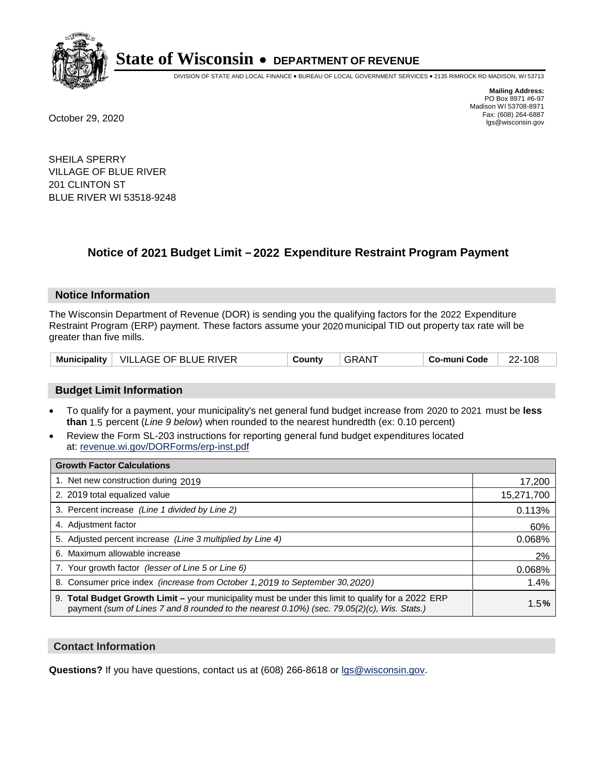

DIVISION OF STATE AND LOCAL FINANCE • BUREAU OF LOCAL GOVERNMENT SERVICES • 2135 RIMROCK RD MADISON, WI 53713

**Mailing Address:** PO Box 8971 #6-97 Madison WI 53708-8971<br>Fax: (608) 264-6887 Fax: (608) 264-6887 October 29, 2020 lgs@wisconsin.gov

SHEILA SPERRY VILLAGE OF BLUE RIVER 201 CLINTON ST BLUE RIVER WI 53518-9248

# **Notice of 2021 Budget Limit - 2022 Expenditure Restraint Program Payment**

#### **Notice Information**

The Wisconsin Department of Revenue (DOR) is sending you the qualifying factors for the 2022 Expenditure Restraint Program (ERP) payment. These factors assume your 2020 municipal TID out property tax rate will be greater than five mills.

| <b>Municipality</b> | $\perp$ VILLAGE OF BLUE RIVER | ountvٽ | RAN. | o-muni Codeٽ | 108<br>າາ |
|---------------------|-------------------------------|--------|------|--------------|-----------|
|---------------------|-------------------------------|--------|------|--------------|-----------|

# **Budget Limit Information**

- To qualify for a payment, your municipality's net general fund budget increase from 2020 to 2021 must be less **than** 1.5 percent (*Line 9 below*) when rounded to the nearest hundredth (ex: 0.10 percent)
- Review the Form SL-203 instructions for reporting general fund budget expenditures located at: revenue.wi.gov/DORForms/erp-inst.pdf

| <b>Growth Factor Calculations</b>                                                                                                                                                                      |            |
|--------------------------------------------------------------------------------------------------------------------------------------------------------------------------------------------------------|------------|
| 1. Net new construction during 2019                                                                                                                                                                    | 17,200     |
| 2. 2019 total equalized value                                                                                                                                                                          | 15,271,700 |
| 3. Percent increase (Line 1 divided by Line 2)                                                                                                                                                         | 0.113%     |
| 4. Adjustment factor                                                                                                                                                                                   | 60%        |
| 5. Adjusted percent increase (Line 3 multiplied by Line 4)                                                                                                                                             | 0.068%     |
| 6. Maximum allowable increase                                                                                                                                                                          | 2%         |
| 7. Your growth factor (lesser of Line 5 or Line 6)                                                                                                                                                     | 0.068%     |
| 8. Consumer price index (increase from October 1, 2019 to September 30, 2020)                                                                                                                          | 1.4%       |
| 9. Total Budget Growth Limit - your municipality must be under this limit to qualify for a 2022 ERP<br>payment (sum of Lines 7 and 8 rounded to the nearest $0.10\%$ ) (sec. 79.05(2)(c), Wis. Stats.) | 1.5%       |

## **Contact Information**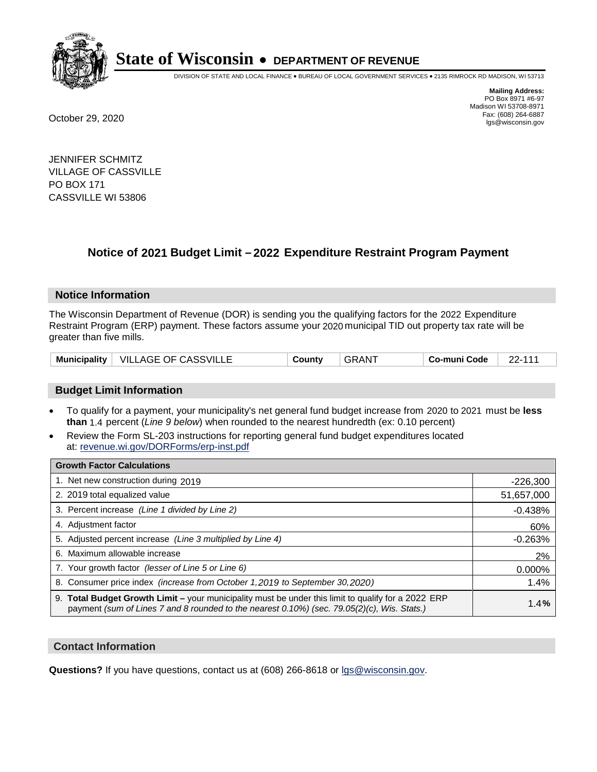

DIVISION OF STATE AND LOCAL FINANCE • BUREAU OF LOCAL GOVERNMENT SERVICES • 2135 RIMROCK RD MADISON, WI 53713

**Mailing Address:** PO Box 8971 #6-97 Madison WI 53708-8971<br>Fax: (608) 264-6887 Fax: (608) 264-6887 October 29, 2020 lgs@wisconsin.gov

JENNIFER SCHMITZ VILLAGE OF CASSVILLE PO BOX 171 CASSVILLE WI 53806

# **Notice of 2021 Budget Limit - 2022 Expenditure Restraint Program Payment**

## **Notice Information**

The Wisconsin Department of Revenue (DOR) is sending you the qualifying factors for the 2022 Expenditure Restraint Program (ERP) payment. These factors assume your 2020 municipal TID out property tax rate will be greater than five mills.

| Municipality $ $ | <b>VILLAGE OF CASSVILLE</b> | نountvٽ | <b>GRAN</b> | Co-muni Code |  |
|------------------|-----------------------------|---------|-------------|--------------|--|
|------------------|-----------------------------|---------|-------------|--------------|--|

# **Budget Limit Information**

- To qualify for a payment, your municipality's net general fund budget increase from 2020 to 2021 must be less **than** 1.4 percent (*Line 9 below*) when rounded to the nearest hundredth (ex: 0.10 percent)
- Review the Form SL-203 instructions for reporting general fund budget expenditures located at: revenue.wi.gov/DORForms/erp-inst.pdf

| <b>Growth Factor Calculations</b>                                                                                                                                                                  |            |
|----------------------------------------------------------------------------------------------------------------------------------------------------------------------------------------------------|------------|
| 1. Net new construction during 2019                                                                                                                                                                | $-226,300$ |
| 2. 2019 total equalized value                                                                                                                                                                      | 51,657,000 |
| 3. Percent increase (Line 1 divided by Line 2)                                                                                                                                                     | $-0.438%$  |
| 4. Adjustment factor                                                                                                                                                                               | 60%        |
| 5. Adjusted percent increase (Line 3 multiplied by Line 4)                                                                                                                                         | $-0.263%$  |
| 6. Maximum allowable increase                                                                                                                                                                      | 2%         |
| 7. Your growth factor (lesser of Line 5 or Line 6)                                                                                                                                                 | 0.000%     |
| 8. Consumer price index (increase from October 1, 2019 to September 30, 2020)                                                                                                                      | 1.4%       |
| 9. Total Budget Growth Limit - your municipality must be under this limit to qualify for a 2022 ERP<br>payment (sum of Lines 7 and 8 rounded to the nearest 0.10%) (sec. 79.05(2)(c), Wis. Stats.) | 1.4%       |

## **Contact Information**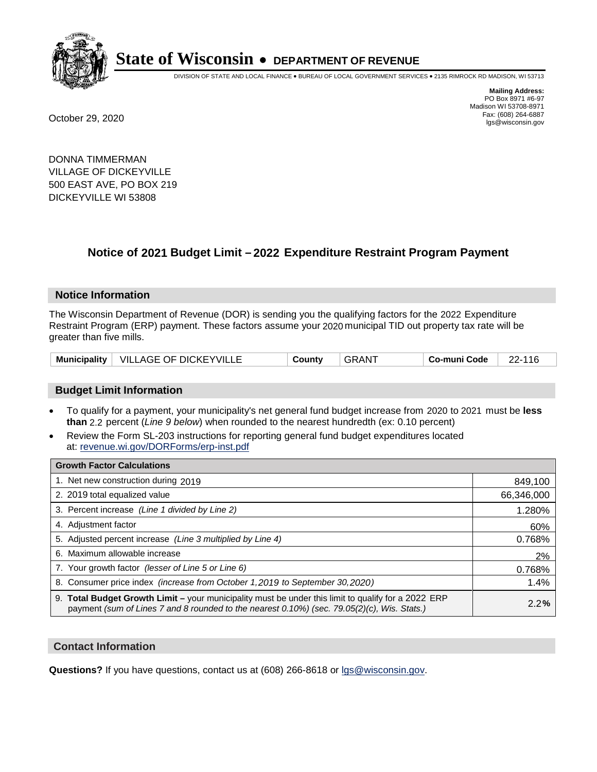

DIVISION OF STATE AND LOCAL FINANCE • BUREAU OF LOCAL GOVERNMENT SERVICES • 2135 RIMROCK RD MADISON, WI 53713

**Mailing Address:** PO Box 8971 #6-97 Madison WI 53708-8971<br>Fax: (608) 264-6887 Fax: (608) 264-6887 October 29, 2020 lgs@wisconsin.gov

DONNA TIMMERMAN VILLAGE OF DICKEYVILLE 500 EAST AVE, PO BOX 219 DICKEYVILLE WI 53808

# **Notice of 2021 Budget Limit - 2022 Expenditure Restraint Program Payment**

## **Notice Information**

The Wisconsin Department of Revenue (DOR) is sending you the qualifying factors for the 2022 Expenditure Restraint Program (ERP) payment. These factors assume your 2020 municipal TID out property tax rate will be greater than five mills.

| Municipality   VILLAGE OF DICKEYVILLE | County | ⊤GRAN <sup>≁</sup> | Co-muni Code | 22-116 |
|---------------------------------------|--------|--------------------|--------------|--------|
|---------------------------------------|--------|--------------------|--------------|--------|

# **Budget Limit Information**

- To qualify for a payment, your municipality's net general fund budget increase from 2020 to 2021 must be less **than** 2.2 percent (*Line 9 below*) when rounded to the nearest hundredth (ex: 0.10 percent)
- Review the Form SL-203 instructions for reporting general fund budget expenditures located at: revenue.wi.gov/DORForms/erp-inst.pdf

| <b>Growth Factor Calculations</b>                                                                                                                                                                      |            |
|--------------------------------------------------------------------------------------------------------------------------------------------------------------------------------------------------------|------------|
| 1. Net new construction during 2019                                                                                                                                                                    | 849,100    |
| 2. 2019 total equalized value                                                                                                                                                                          | 66,346,000 |
| 3. Percent increase (Line 1 divided by Line 2)                                                                                                                                                         | 1.280%     |
| 4. Adjustment factor                                                                                                                                                                                   | 60%        |
| 5. Adjusted percent increase (Line 3 multiplied by Line 4)                                                                                                                                             | 0.768%     |
| 6. Maximum allowable increase                                                                                                                                                                          | 2%         |
| 7. Your growth factor (lesser of Line 5 or Line 6)                                                                                                                                                     | 0.768%     |
| 8. Consumer price index (increase from October 1,2019 to September 30,2020)                                                                                                                            | 1.4%       |
| 9. Total Budget Growth Limit - your municipality must be under this limit to qualify for a 2022 ERP<br>payment (sum of Lines 7 and 8 rounded to the nearest $0.10\%$ ) (sec. 79.05(2)(c), Wis. Stats.) | 2.2%       |

## **Contact Information**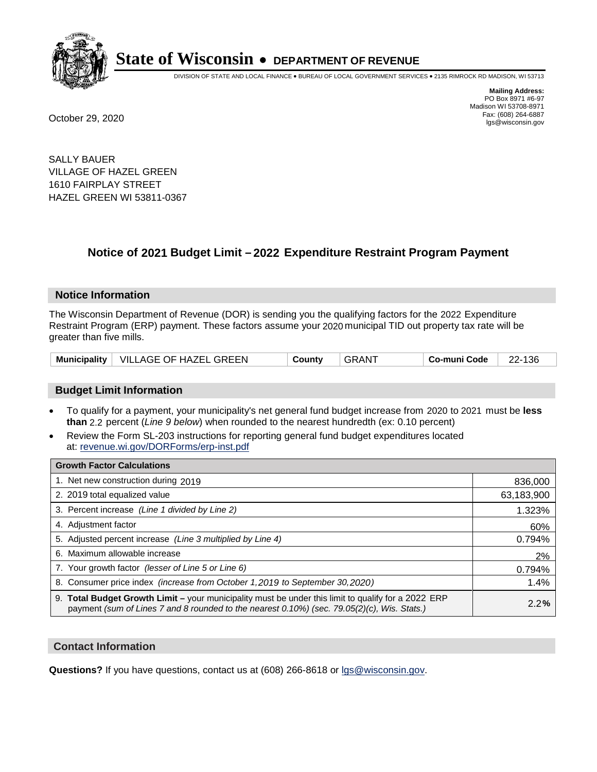

DIVISION OF STATE AND LOCAL FINANCE • BUREAU OF LOCAL GOVERNMENT SERVICES • 2135 RIMROCK RD MADISON, WI 53713

**Mailing Address:** PO Box 8971 #6-97 Madison WI 53708-8971<br>Fax: (608) 264-6887 Fax: (608) 264-6887 October 29, 2020 lgs@wisconsin.gov

SALLY BAUER VILLAGE OF HAZEL GREEN 1610 FAIRPLAY STREET HAZEL GREEN WI 53811-0367

### **Notice of 2021 Budget Limit - 2022 Expenditure Restraint Program Payment**

#### **Notice Information**

The Wisconsin Department of Revenue (DOR) is sending you the qualifying factors for the 2022 Expenditure Restraint Program (ERP) payment. These factors assume your 2020 municipal TID out property tax rate will be greater than five mills.

|  | Municipality   VILLAGE OF HAZEL GREEN | County | GRANT | Co-muni Code | 22-136 |
|--|---------------------------------------|--------|-------|--------------|--------|
|--|---------------------------------------|--------|-------|--------------|--------|

#### **Budget Limit Information**

- To qualify for a payment, your municipality's net general fund budget increase from 2020 to 2021 must be less **than** 2.2 percent (*Line 9 below*) when rounded to the nearest hundredth (ex: 0.10 percent)
- Review the Form SL-203 instructions for reporting general fund budget expenditures located at: revenue.wi.gov/DORForms/erp-inst.pdf

| <b>Growth Factor Calculations</b>                                                                                                                                                                      |            |
|--------------------------------------------------------------------------------------------------------------------------------------------------------------------------------------------------------|------------|
| 1. Net new construction during 2019                                                                                                                                                                    | 836,000    |
| 2. 2019 total equalized value                                                                                                                                                                          | 63,183,900 |
| 3. Percent increase (Line 1 divided by Line 2)                                                                                                                                                         | 1.323%     |
| 4. Adjustment factor                                                                                                                                                                                   | 60%        |
| 5. Adjusted percent increase (Line 3 multiplied by Line 4)                                                                                                                                             | 0.794%     |
| 6. Maximum allowable increase                                                                                                                                                                          | 2%         |
| 7. Your growth factor (lesser of Line 5 or Line 6)                                                                                                                                                     | 0.794%     |
| 8. Consumer price index (increase from October 1,2019 to September 30,2020)                                                                                                                            | 1.4%       |
| 9. Total Budget Growth Limit - your municipality must be under this limit to qualify for a 2022 ERP<br>payment (sum of Lines 7 and 8 rounded to the nearest $0.10\%$ ) (sec. 79.05(2)(c), Wis. Stats.) | 2.2%       |

#### **Contact Information**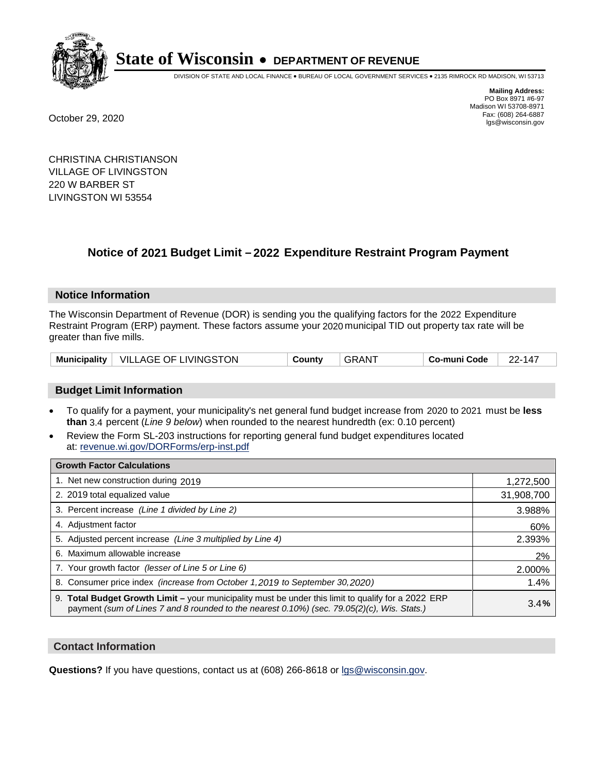

DIVISION OF STATE AND LOCAL FINANCE • BUREAU OF LOCAL GOVERNMENT SERVICES • 2135 RIMROCK RD MADISON, WI 53713

**Mailing Address:** PO Box 8971 #6-97 Madison WI 53708-8971<br>Fax: (608) 264-6887 Fax: (608) 264-6887 October 29, 2020 lgs@wisconsin.gov

CHRISTINA CHRISTIANSON VILLAGE OF LIVINGSTON 220 W BARBER ST LIVINGSTON WI 53554

## **Notice of 2021 Budget Limit - 2022 Expenditure Restraint Program Payment**

#### **Notice Information**

The Wisconsin Department of Revenue (DOR) is sending you the qualifying factors for the 2022 Expenditure Restraint Program (ERP) payment. These factors assume your 2020 municipal TID out property tax rate will be greater than five mills.

|  | Municipality   VILLAGE OF LIVINGSTON | County | <b>GRANT</b> | Co-muni Code | 22-147 |
|--|--------------------------------------|--------|--------------|--------------|--------|
|--|--------------------------------------|--------|--------------|--------------|--------|

#### **Budget Limit Information**

- To qualify for a payment, your municipality's net general fund budget increase from 2020 to 2021 must be less **than** 3.4 percent (*Line 9 below*) when rounded to the nearest hundredth (ex: 0.10 percent)
- Review the Form SL-203 instructions for reporting general fund budget expenditures located at: revenue.wi.gov/DORForms/erp-inst.pdf

| <b>Growth Factor Calculations</b>                                                                                                                                                                  |            |
|----------------------------------------------------------------------------------------------------------------------------------------------------------------------------------------------------|------------|
| 1. Net new construction during 2019                                                                                                                                                                | 1,272,500  |
| 2. 2019 total equalized value                                                                                                                                                                      | 31,908,700 |
| 3. Percent increase (Line 1 divided by Line 2)                                                                                                                                                     | 3.988%     |
| 4. Adjustment factor                                                                                                                                                                               | 60%        |
| 5. Adjusted percent increase (Line 3 multiplied by Line 4)                                                                                                                                         | 2.393%     |
| 6. Maximum allowable increase                                                                                                                                                                      | 2%         |
| 7. Your growth factor (lesser of Line 5 or Line 6)                                                                                                                                                 | 2.000%     |
| 8. Consumer price index (increase from October 1, 2019 to September 30, 2020)                                                                                                                      | 1.4%       |
| 9. Total Budget Growth Limit - your municipality must be under this limit to qualify for a 2022 ERP<br>payment (sum of Lines 7 and 8 rounded to the nearest 0.10%) (sec. 79.05(2)(c), Wis. Stats.) | 3.4%       |

#### **Contact Information**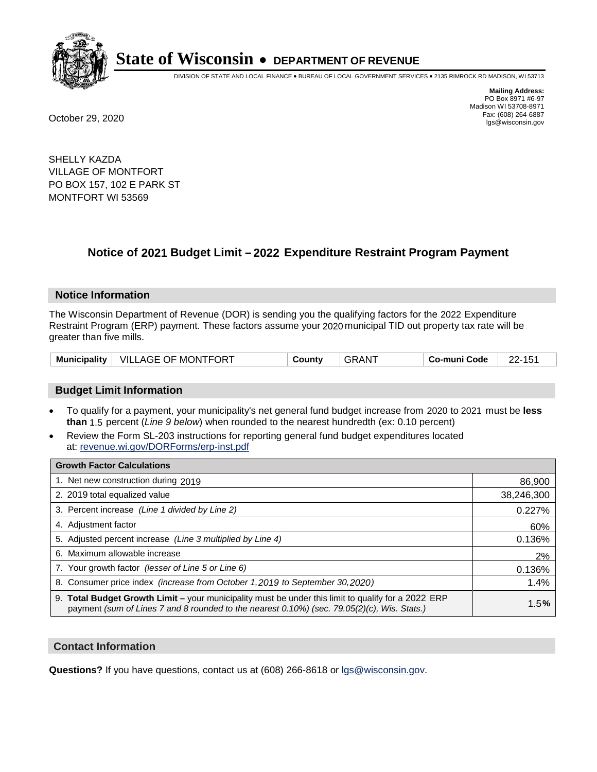

DIVISION OF STATE AND LOCAL FINANCE • BUREAU OF LOCAL GOVERNMENT SERVICES • 2135 RIMROCK RD MADISON, WI 53713

**Mailing Address:** PO Box 8971 #6-97 Madison WI 53708-8971<br>Fax: (608) 264-6887 Fax: (608) 264-6887 October 29, 2020 lgs@wisconsin.gov

SHELLY KAZDA VILLAGE OF MONTFORT PO BOX 157, 102 E PARK ST MONTFORT WI 53569

### **Notice of 2021 Budget Limit - 2022 Expenditure Restraint Program Payment**

#### **Notice Information**

The Wisconsin Department of Revenue (DOR) is sending you the qualifying factors for the 2022 Expenditure Restraint Program (ERP) payment. These factors assume your 2020 municipal TID out property tax rate will be greater than five mills.

|  | Municipality   VILLAGE OF MONTFORT | County | . GRANT | Co-muni Code | <b>00.45</b> |
|--|------------------------------------|--------|---------|--------------|--------------|
|--|------------------------------------|--------|---------|--------------|--------------|

#### **Budget Limit Information**

- To qualify for a payment, your municipality's net general fund budget increase from 2020 to 2021 must be less **than** 1.5 percent (*Line 9 below*) when rounded to the nearest hundredth (ex: 0.10 percent)
- Review the Form SL-203 instructions for reporting general fund budget expenditures located at: revenue.wi.gov/DORForms/erp-inst.pdf

| <b>Growth Factor Calculations</b>                                                                                                                                                                      |            |
|--------------------------------------------------------------------------------------------------------------------------------------------------------------------------------------------------------|------------|
| 1. Net new construction during 2019                                                                                                                                                                    | 86,900     |
| 2. 2019 total equalized value                                                                                                                                                                          | 38,246,300 |
| 3. Percent increase (Line 1 divided by Line 2)                                                                                                                                                         | 0.227%     |
| 4. Adjustment factor                                                                                                                                                                                   | 60%        |
| 5. Adjusted percent increase (Line 3 multiplied by Line 4)                                                                                                                                             | 0.136%     |
| 6. Maximum allowable increase                                                                                                                                                                          | 2%         |
| 7. Your growth factor (lesser of Line 5 or Line 6)                                                                                                                                                     | 0.136%     |
| 8. Consumer price index (increase from October 1, 2019 to September 30, 2020)                                                                                                                          | 1.4%       |
| 9. Total Budget Growth Limit - your municipality must be under this limit to qualify for a 2022 ERP<br>payment (sum of Lines 7 and 8 rounded to the nearest $0.10\%$ ) (sec. 79.05(2)(c), Wis. Stats.) | 1.5%       |

#### **Contact Information**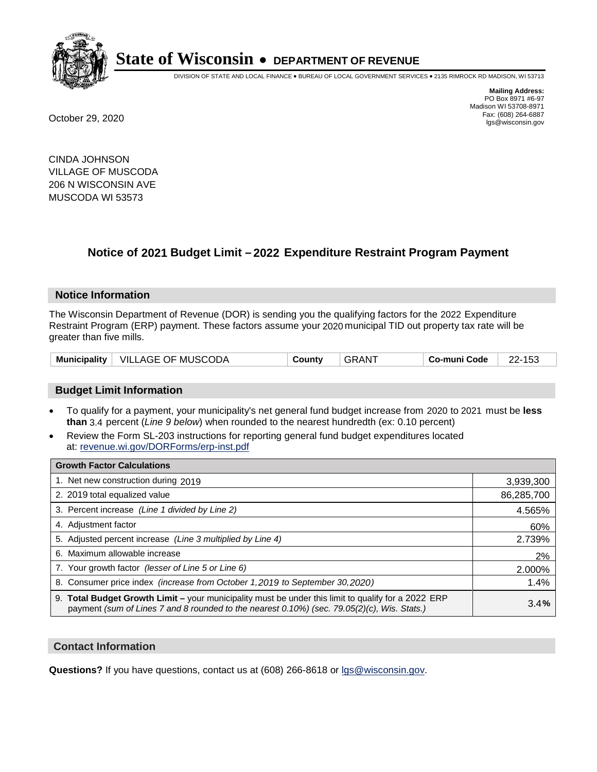

DIVISION OF STATE AND LOCAL FINANCE • BUREAU OF LOCAL GOVERNMENT SERVICES • 2135 RIMROCK RD MADISON, WI 53713

**Mailing Address:** PO Box 8971 #6-97 Madison WI 53708-8971<br>Fax: (608) 264-6887 Fax: (608) 264-6887 October 29, 2020 lgs@wisconsin.gov

CINDA JOHNSON VILLAGE OF MUSCODA 206 N WISCONSIN AVE MUSCODA WI 53573

## **Notice of 2021 Budget Limit - 2022 Expenditure Restraint Program Payment**

#### **Notice Information**

The Wisconsin Department of Revenue (DOR) is sending you the qualifying factors for the 2022 Expenditure Restraint Program (ERP) payment. These factors assume your 2020 municipal TID out property tax rate will be greater than five mills.

#### **Budget Limit Information**

- To qualify for a payment, your municipality's net general fund budget increase from 2020 to 2021 must be less **than** 3.4 percent (*Line 9 below*) when rounded to the nearest hundredth (ex: 0.10 percent)
- Review the Form SL-203 instructions for reporting general fund budget expenditures located at: revenue.wi.gov/DORForms/erp-inst.pdf

| <b>Growth Factor Calculations</b>                                                                                                                                                                      |            |
|--------------------------------------------------------------------------------------------------------------------------------------------------------------------------------------------------------|------------|
| 1. Net new construction during 2019                                                                                                                                                                    | 3,939,300  |
| 2. 2019 total equalized value                                                                                                                                                                          | 86,285,700 |
| 3. Percent increase (Line 1 divided by Line 2)                                                                                                                                                         | 4.565%     |
| 4. Adiustment factor                                                                                                                                                                                   | 60%        |
| 5. Adjusted percent increase (Line 3 multiplied by Line 4)                                                                                                                                             | 2.739%     |
| 6. Maximum allowable increase                                                                                                                                                                          | 2%         |
| 7. Your growth factor (lesser of Line 5 or Line 6)                                                                                                                                                     | 2.000%     |
| 8. Consumer price index (increase from October 1,2019 to September 30,2020)                                                                                                                            | 1.4%       |
| 9. Total Budget Growth Limit - your municipality must be under this limit to qualify for a 2022 ERP<br>payment (sum of Lines 7 and 8 rounded to the nearest $0.10\%$ ) (sec. 79.05(2)(c), Wis. Stats.) | 3.4%       |

#### **Contact Information**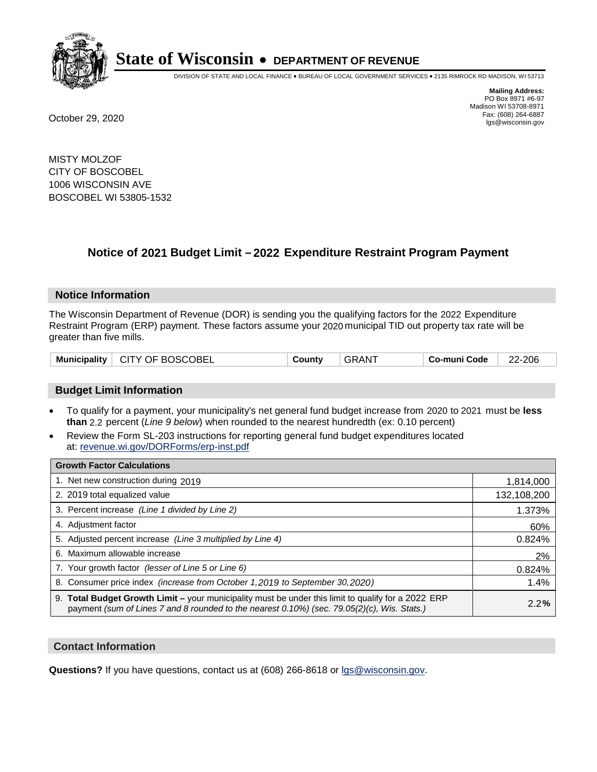

DIVISION OF STATE AND LOCAL FINANCE • BUREAU OF LOCAL GOVERNMENT SERVICES • 2135 RIMROCK RD MADISON, WI 53713

**Mailing Address:** PO Box 8971 #6-97 Madison WI 53708-8971<br>Fax: (608) 264-6887 Fax: (608) 264-6887 October 29, 2020 lgs@wisconsin.gov

MISTY MOLZOF CITY OF BOSCOBEL 1006 WISCONSIN AVE BOSCOBEL WI 53805-1532

## **Notice of 2021 Budget Limit - 2022 Expenditure Restraint Program Payment**

#### **Notice Information**

The Wisconsin Department of Revenue (DOR) is sending you the qualifying factors for the 2022 Expenditure Restraint Program (ERP) payment. These factors assume your 2020 municipal TID out property tax rate will be greater than five mills.

| <b>Municipality</b> | $\perp$ CITY OF BOSCOBEL | Countv | <b>GRAN</b> | Co-muni Code | -206<br>-22- |
|---------------------|--------------------------|--------|-------------|--------------|--------------|
|---------------------|--------------------------|--------|-------------|--------------|--------------|

#### **Budget Limit Information**

- To qualify for a payment, your municipality's net general fund budget increase from 2020 to 2021 must be less **than** 2.2 percent (*Line 9 below*) when rounded to the nearest hundredth (ex: 0.10 percent)
- Review the Form SL-203 instructions for reporting general fund budget expenditures located at: revenue.wi.gov/DORForms/erp-inst.pdf

| <b>Growth Factor Calculations</b>                                                                                                                                                                      |             |
|--------------------------------------------------------------------------------------------------------------------------------------------------------------------------------------------------------|-------------|
| 1. Net new construction during 2019                                                                                                                                                                    | 1,814,000   |
| 2. 2019 total equalized value                                                                                                                                                                          | 132,108,200 |
| 3. Percent increase (Line 1 divided by Line 2)                                                                                                                                                         | 1.373%      |
| 4. Adjustment factor                                                                                                                                                                                   | 60%         |
| 5. Adjusted percent increase (Line 3 multiplied by Line 4)                                                                                                                                             | 0.824%      |
| 6. Maximum allowable increase                                                                                                                                                                          | 2%          |
| 7. Your growth factor (lesser of Line 5 or Line 6)                                                                                                                                                     | 0.824%      |
| 8. Consumer price index (increase from October 1, 2019 to September 30, 2020)                                                                                                                          | 1.4%        |
| 9. Total Budget Growth Limit - your municipality must be under this limit to qualify for a 2022 ERP<br>payment (sum of Lines 7 and 8 rounded to the nearest $0.10\%$ ) (sec. 79.05(2)(c), Wis. Stats.) | 2.2%        |

#### **Contact Information**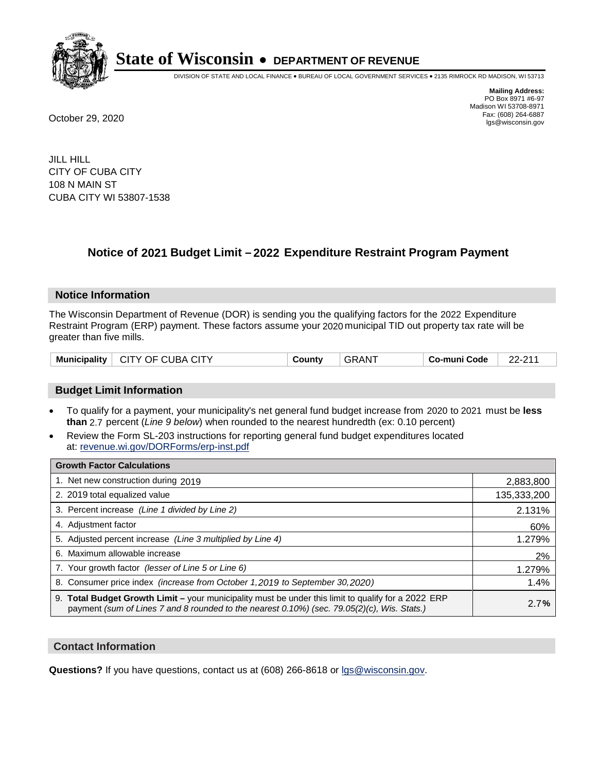

DIVISION OF STATE AND LOCAL FINANCE • BUREAU OF LOCAL GOVERNMENT SERVICES • 2135 RIMROCK RD MADISON, WI 53713

**Mailing Address:** PO Box 8971 #6-97 Madison WI 53708-8971<br>Fax: (608) 264-6887 Fax: (608) 264-6887 October 29, 2020 lgs@wisconsin.gov

JILL HILL CITY OF CUBA CITY 108 N MAIN ST CUBA CITY WI 53807-1538

### **Notice of 2021 Budget Limit - 2022 Expenditure Restraint Program Payment**

#### **Notice Information**

The Wisconsin Department of Revenue (DOR) is sending you the qualifying factors for the 2022 Expenditure Restraint Program (ERP) payment. These factors assume your 2020 municipal TID out property tax rate will be greater than five mills.

| Municipality | CUBA.<br>. CITY .<br>OE.<br>$\mathbf{U}$ | Jount∨<br>. | `AN . | Co-muni Code | $\sim$ $\sim$ $\sim$ |
|--------------|------------------------------------------|-------------|-------|--------------|----------------------|
|--------------|------------------------------------------|-------------|-------|--------------|----------------------|

#### **Budget Limit Information**

- To qualify for a payment, your municipality's net general fund budget increase from 2020 to 2021 must be less **than** 2.7 percent (*Line 9 below*) when rounded to the nearest hundredth (ex: 0.10 percent)
- Review the Form SL-203 instructions for reporting general fund budget expenditures located at: revenue.wi.gov/DORForms/erp-inst.pdf

| <b>Growth Factor Calculations</b>                                                                                                                                                                      |             |
|--------------------------------------------------------------------------------------------------------------------------------------------------------------------------------------------------------|-------------|
| 1. Net new construction during 2019                                                                                                                                                                    | 2,883,800   |
| 2. 2019 total equalized value                                                                                                                                                                          | 135,333,200 |
| 3. Percent increase (Line 1 divided by Line 2)                                                                                                                                                         | 2.131%      |
| 4. Adiustment factor                                                                                                                                                                                   | 60%         |
| 5. Adjusted percent increase (Line 3 multiplied by Line 4)                                                                                                                                             | 1.279%      |
| 6. Maximum allowable increase                                                                                                                                                                          | 2%          |
| 7. Your growth factor (lesser of Line 5 or Line 6)                                                                                                                                                     | 1.279%      |
| 8. Consumer price index (increase from October 1,2019 to September 30,2020)                                                                                                                            | 1.4%        |
| 9. Total Budget Growth Limit - your municipality must be under this limit to qualify for a 2022 ERP<br>payment (sum of Lines 7 and 8 rounded to the nearest $0.10\%$ ) (sec. 79.05(2)(c), Wis. Stats.) | 2.7%        |

#### **Contact Information**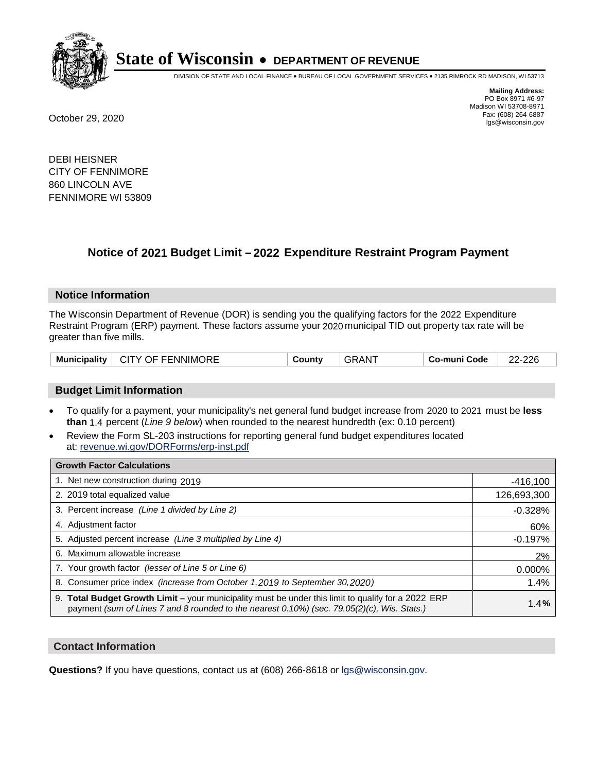

DIVISION OF STATE AND LOCAL FINANCE • BUREAU OF LOCAL GOVERNMENT SERVICES • 2135 RIMROCK RD MADISON, WI 53713

**Mailing Address:** PO Box 8971 #6-97 Madison WI 53708-8971<br>Fax: (608) 264-6887 Fax: (608) 264-6887 October 29, 2020 lgs@wisconsin.gov

DEBI HEISNER CITY OF FENNIMORE 860 LINCOLN AVE FENNIMORE WI 53809

## **Notice of 2021 Budget Limit - 2022 Expenditure Restraint Program Payment**

#### **Notice Information**

The Wisconsin Department of Revenue (DOR) is sending you the qualifying factors for the 2022 Expenditure Restraint Program (ERP) payment. These factors assume your 2020 municipal TID out property tax rate will be greater than five mills.

| Municipality   CITY OF FENNIMORE<br>County | ⊤GRAN <sup>≁</sup> | ⊦ Co-muni Code | 22-226 |
|--------------------------------------------|--------------------|----------------|--------|
|--------------------------------------------|--------------------|----------------|--------|

#### **Budget Limit Information**

- To qualify for a payment, your municipality's net general fund budget increase from 2020 to 2021 must be less **than** 1.4 percent (*Line 9 below*) when rounded to the nearest hundredth (ex: 0.10 percent)
- Review the Form SL-203 instructions for reporting general fund budget expenditures located at: revenue.wi.gov/DORForms/erp-inst.pdf

| <b>Growth Factor Calculations</b>                                                                                                                                                                      |             |
|--------------------------------------------------------------------------------------------------------------------------------------------------------------------------------------------------------|-------------|
| 1. Net new construction during 2019                                                                                                                                                                    | $-416,100$  |
| 2. 2019 total equalized value                                                                                                                                                                          | 126,693,300 |
| 3. Percent increase (Line 1 divided by Line 2)                                                                                                                                                         | $-0.328%$   |
| 4. Adiustment factor                                                                                                                                                                                   | 60%         |
| 5. Adjusted percent increase (Line 3 multiplied by Line 4)                                                                                                                                             | $-0.197%$   |
| 6. Maximum allowable increase                                                                                                                                                                          | 2%          |
| 7. Your growth factor (lesser of Line 5 or Line 6)                                                                                                                                                     | 0.000%      |
| 8. Consumer price index (increase from October 1,2019 to September 30,2020)                                                                                                                            | 1.4%        |
| 9. Total Budget Growth Limit - your municipality must be under this limit to qualify for a 2022 ERP<br>payment (sum of Lines 7 and 8 rounded to the nearest $0.10\%$ ) (sec. 79.05(2)(c), Wis. Stats.) | 1.4%        |

#### **Contact Information**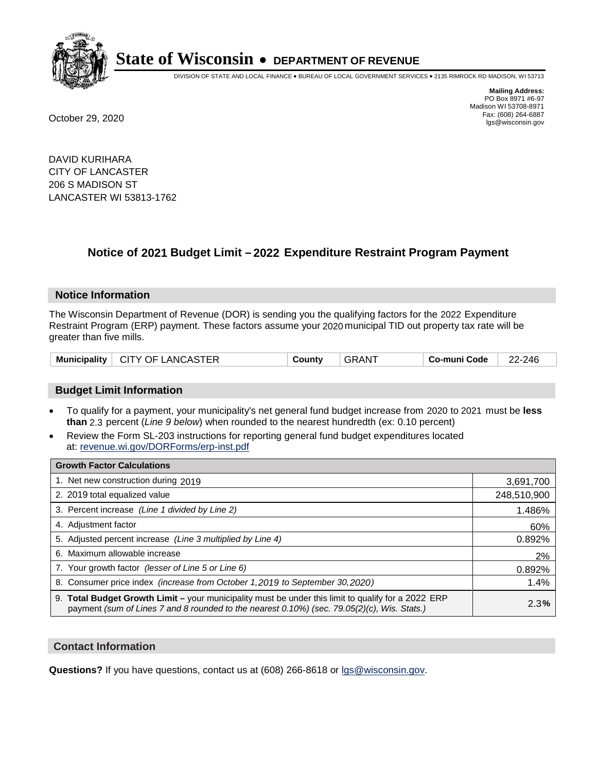

DIVISION OF STATE AND LOCAL FINANCE • BUREAU OF LOCAL GOVERNMENT SERVICES • 2135 RIMROCK RD MADISON, WI 53713

**Mailing Address:** PO Box 8971 #6-97 Madison WI 53708-8971<br>Fax: (608) 264-6887 Fax: (608) 264-6887 October 29, 2020 lgs@wisconsin.gov

DAVID KURIHARA CITY OF LANCASTER 206 S MADISON ST LANCASTER WI 53813-1762

### **Notice of 2021 Budget Limit - 2022 Expenditure Restraint Program Payment**

#### **Notice Information**

The Wisconsin Department of Revenue (DOR) is sending you the qualifying factors for the 2022 Expenditure Restraint Program (ERP) payment. These factors assume your 2020 municipal TID out property tax rate will be greater than five mills.

#### **Budget Limit Information**

- To qualify for a payment, your municipality's net general fund budget increase from 2020 to 2021 must be less **than** 2.3 percent (*Line 9 below*) when rounded to the nearest hundredth (ex: 0.10 percent)
- Review the Form SL-203 instructions for reporting general fund budget expenditures located at: revenue.wi.gov/DORForms/erp-inst.pdf

| <b>Growth Factor Calculations</b>                                                                                                                                                                  |             |
|----------------------------------------------------------------------------------------------------------------------------------------------------------------------------------------------------|-------------|
| 1. Net new construction during 2019                                                                                                                                                                | 3,691,700   |
| 2. 2019 total equalized value                                                                                                                                                                      | 248,510,900 |
| 3. Percent increase (Line 1 divided by Line 2)                                                                                                                                                     | 1.486%      |
| 4. Adjustment factor                                                                                                                                                                               | 60%         |
| 5. Adjusted percent increase (Line 3 multiplied by Line 4)                                                                                                                                         | 0.892%      |
| 6. Maximum allowable increase                                                                                                                                                                      | 2%          |
| 7. Your growth factor (lesser of Line 5 or Line 6)                                                                                                                                                 | 0.892%      |
| 8. Consumer price index (increase from October 1, 2019 to September 30, 2020)                                                                                                                      | 1.4%        |
| 9. Total Budget Growth Limit - your municipality must be under this limit to qualify for a 2022 ERP<br>payment (sum of Lines 7 and 8 rounded to the nearest 0.10%) (sec. 79.05(2)(c), Wis. Stats.) | 2.3%        |

#### **Contact Information**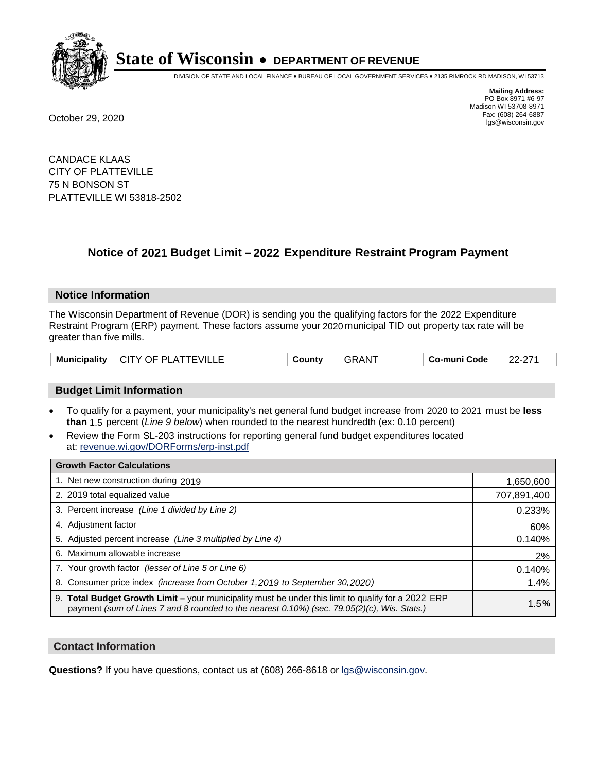

DIVISION OF STATE AND LOCAL FINANCE • BUREAU OF LOCAL GOVERNMENT SERVICES • 2135 RIMROCK RD MADISON, WI 53713

**Mailing Address:** PO Box 8971 #6-97 Madison WI 53708-8971<br>Fax: (608) 264-6887 Fax: (608) 264-6887 October 29, 2020 lgs@wisconsin.gov

CANDACE KLAAS CITY OF PLATTEVILLE 75 N BONSON ST PLATTEVILLE WI 53818-2502

## **Notice of 2021 Budget Limit - 2022 Expenditure Restraint Program Payment**

#### **Notice Information**

The Wisconsin Department of Revenue (DOR) is sending you the qualifying factors for the 2022 Expenditure Restraint Program (ERP) payment. These factors assume your 2020 municipal TID out property tax rate will be greater than five mills.

#### **Budget Limit Information**

- To qualify for a payment, your municipality's net general fund budget increase from 2020 to 2021 must be less **than** 1.5 percent (*Line 9 below*) when rounded to the nearest hundredth (ex: 0.10 percent)
- Review the Form SL-203 instructions for reporting general fund budget expenditures located at: revenue.wi.gov/DORForms/erp-inst.pdf

| <b>Growth Factor Calculations</b>                                                                                                                                                                  |             |
|----------------------------------------------------------------------------------------------------------------------------------------------------------------------------------------------------|-------------|
| 1. Net new construction during 2019                                                                                                                                                                | 1,650,600   |
| 2. 2019 total equalized value                                                                                                                                                                      | 707,891,400 |
| 3. Percent increase (Line 1 divided by Line 2)                                                                                                                                                     | 0.233%      |
| 4. Adiustment factor                                                                                                                                                                               | 60%         |
| 5. Adjusted percent increase (Line 3 multiplied by Line 4)                                                                                                                                         | 0.140%      |
| 6. Maximum allowable increase                                                                                                                                                                      | 2%          |
| 7. Your growth factor (lesser of Line 5 or Line 6)                                                                                                                                                 | 0.140%      |
| 8. Consumer price index (increase from October 1,2019 to September 30,2020)                                                                                                                        | 1.4%        |
| 9. Total Budget Growth Limit - your municipality must be under this limit to qualify for a 2022 ERP<br>payment (sum of Lines 7 and 8 rounded to the nearest 0.10%) (sec. 79.05(2)(c), Wis. Stats.) | 1.5%        |

#### **Contact Information**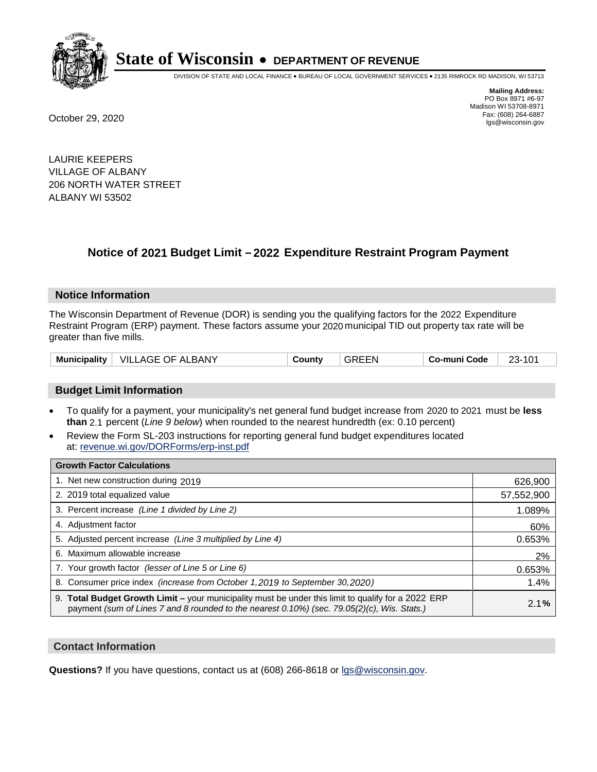

DIVISION OF STATE AND LOCAL FINANCE • BUREAU OF LOCAL GOVERNMENT SERVICES • 2135 RIMROCK RD MADISON, WI 53713

**Mailing Address:** PO Box 8971 #6-97 Madison WI 53708-8971<br>Fax: (608) 264-6887 Fax: (608) 264-6887 October 29, 2020 lgs@wisconsin.gov

LAURIE KEEPERS VILLAGE OF ALBANY 206 NORTH WATER STREET ALBANY WI 53502

### **Notice of 2021 Budget Limit - 2022 Expenditure Restraint Program Payment**

#### **Notice Information**

The Wisconsin Department of Revenue (DOR) is sending you the qualifying factors for the 2022 Expenditure Restraint Program (ERP) payment. These factors assume your 2020 municipal TID out property tax rate will be greater than five mills.

|  | Municipality   VILLAGE OF ALBANY | County | <b>GREEN</b> | Co-muni Code | 23-101 |
|--|----------------------------------|--------|--------------|--------------|--------|
|--|----------------------------------|--------|--------------|--------------|--------|

#### **Budget Limit Information**

- To qualify for a payment, your municipality's net general fund budget increase from 2020 to 2021 must be less **than** 2.1 percent (*Line 9 below*) when rounded to the nearest hundredth (ex: 0.10 percent)
- Review the Form SL-203 instructions for reporting general fund budget expenditures located at: revenue.wi.gov/DORForms/erp-inst.pdf

| <b>Growth Factor Calculations</b>                                                                                                                                                                      |            |
|--------------------------------------------------------------------------------------------------------------------------------------------------------------------------------------------------------|------------|
| 1. Net new construction during 2019                                                                                                                                                                    | 626,900    |
| 2. 2019 total equalized value                                                                                                                                                                          | 57,552,900 |
| 3. Percent increase (Line 1 divided by Line 2)                                                                                                                                                         | 1.089%     |
| 4. Adjustment factor                                                                                                                                                                                   | 60%        |
| 5. Adjusted percent increase (Line 3 multiplied by Line 4)                                                                                                                                             | 0.653%     |
| 6. Maximum allowable increase                                                                                                                                                                          | 2%         |
| 7. Your growth factor (lesser of Line 5 or Line 6)                                                                                                                                                     | 0.653%     |
| 8. Consumer price index (increase from October 1,2019 to September 30,2020)                                                                                                                            | 1.4%       |
| 9. Total Budget Growth Limit - your municipality must be under this limit to qualify for a 2022 ERP<br>payment (sum of Lines 7 and 8 rounded to the nearest $0.10\%$ ) (sec. 79.05(2)(c), Wis. Stats.) | 2.1%       |

#### **Contact Information**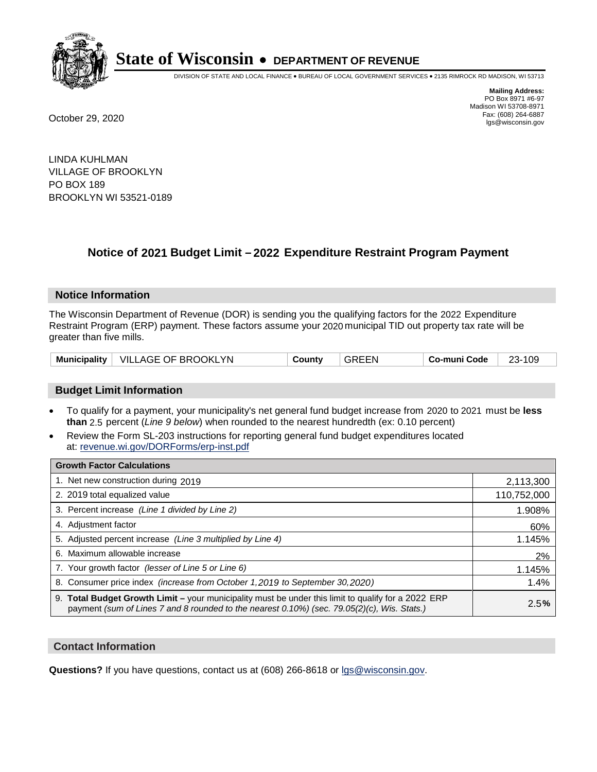

DIVISION OF STATE AND LOCAL FINANCE • BUREAU OF LOCAL GOVERNMENT SERVICES • 2135 RIMROCK RD MADISON, WI 53713

**Mailing Address:** PO Box 8971 #6-97 Madison WI 53708-8971<br>Fax: (608) 264-6887 Fax: (608) 264-6887 October 29, 2020 lgs@wisconsin.gov

LINDA KUHLMAN VILLAGE OF BROOKLYN PO BOX 189 BROOKLYN WI 53521-0189

### **Notice of 2021 Budget Limit - 2022 Expenditure Restraint Program Payment**

#### **Notice Information**

The Wisconsin Department of Revenue (DOR) is sending you the qualifying factors for the 2022 Expenditure Restraint Program (ERP) payment. These factors assume your 2020 municipal TID out property tax rate will be greater than five mills.

| Municipality   VILLAGE OF BROOKLYN | County | <b>GREEN</b> | Co-muni Code | 23-109 |
|------------------------------------|--------|--------------|--------------|--------|
|------------------------------------|--------|--------------|--------------|--------|

#### **Budget Limit Information**

- To qualify for a payment, your municipality's net general fund budget increase from 2020 to 2021 must be less **than** 2.5 percent (*Line 9 below*) when rounded to the nearest hundredth (ex: 0.10 percent)
- Review the Form SL-203 instructions for reporting general fund budget expenditures located at: revenue.wi.gov/DORForms/erp-inst.pdf

| <b>Growth Factor Calculations</b>                                                                                                                                                                  |             |
|----------------------------------------------------------------------------------------------------------------------------------------------------------------------------------------------------|-------------|
| 1. Net new construction during 2019                                                                                                                                                                | 2,113,300   |
| 2. 2019 total equalized value                                                                                                                                                                      | 110,752,000 |
| 3. Percent increase (Line 1 divided by Line 2)                                                                                                                                                     | 1.908%      |
| 4. Adjustment factor                                                                                                                                                                               | 60%         |
| 5. Adjusted percent increase (Line 3 multiplied by Line 4)                                                                                                                                         | 1.145%      |
| 6. Maximum allowable increase                                                                                                                                                                      | 2%          |
| 7. Your growth factor (lesser of Line 5 or Line 6)                                                                                                                                                 | 1.145%      |
| 8. Consumer price index (increase from October 1, 2019 to September 30, 2020)                                                                                                                      | 1.4%        |
| 9. Total Budget Growth Limit - your municipality must be under this limit to qualify for a 2022 ERP<br>payment (sum of Lines 7 and 8 rounded to the nearest 0.10%) (sec. 79.05(2)(c), Wis. Stats.) | 2.5%        |

#### **Contact Information**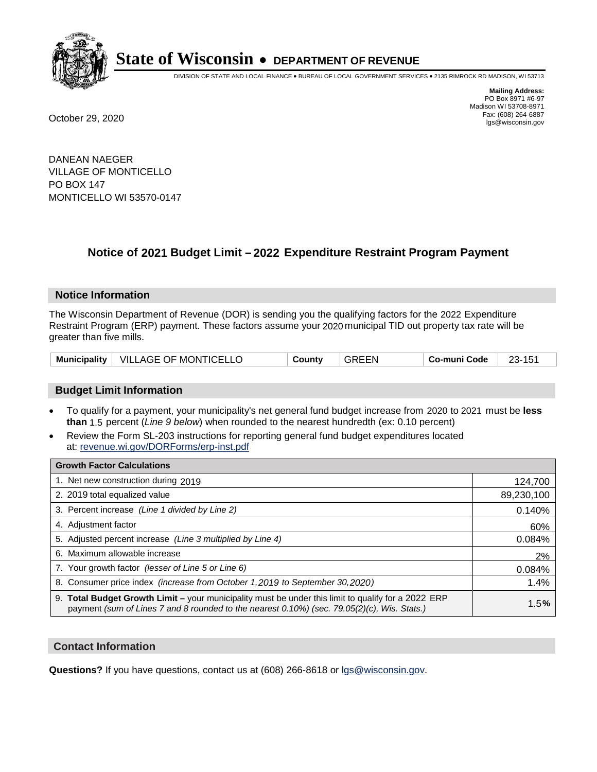

DIVISION OF STATE AND LOCAL FINANCE • BUREAU OF LOCAL GOVERNMENT SERVICES • 2135 RIMROCK RD MADISON, WI 53713

**Mailing Address:** PO Box 8971 #6-97 Madison WI 53708-8971<br>Fax: (608) 264-6887 Fax: (608) 264-6887 October 29, 2020 lgs@wisconsin.gov

DANEAN NAEGER VILLAGE OF MONTICELLO PO BOX 147 MONTICELLO WI 53570-0147

### **Notice of 2021 Budget Limit - 2022 Expenditure Restraint Program Payment**

#### **Notice Information**

The Wisconsin Department of Revenue (DOR) is sending you the qualifying factors for the 2022 Expenditure Restraint Program (ERP) payment. These factors assume your 2020 municipal TID out property tax rate will be greater than five mills.

|  | Municipality   VILLAGE OF MONTICELLO | County | <b>GREEN</b> | Co-muni Code |  |
|--|--------------------------------------|--------|--------------|--------------|--|
|--|--------------------------------------|--------|--------------|--------------|--|

#### **Budget Limit Information**

- To qualify for a payment, your municipality's net general fund budget increase from 2020 to 2021 must be less **than** 1.5 percent (*Line 9 below*) when rounded to the nearest hundredth (ex: 0.10 percent)
- Review the Form SL-203 instructions for reporting general fund budget expenditures located at: revenue.wi.gov/DORForms/erp-inst.pdf

| <b>Growth Factor Calculations</b>                                                                                                                                                                      |            |
|--------------------------------------------------------------------------------------------------------------------------------------------------------------------------------------------------------|------------|
| 1. Net new construction during 2019                                                                                                                                                                    | 124,700    |
| 2. 2019 total equalized value                                                                                                                                                                          | 89,230,100 |
| 3. Percent increase (Line 1 divided by Line 2)                                                                                                                                                         | 0.140%     |
| 4. Adjustment factor                                                                                                                                                                                   | 60%        |
| 5. Adjusted percent increase (Line 3 multiplied by Line 4)                                                                                                                                             | 0.084%     |
| 6. Maximum allowable increase                                                                                                                                                                          | 2%         |
| 7. Your growth factor (lesser of Line 5 or Line 6)                                                                                                                                                     | 0.084%     |
| 8. Consumer price index (increase from October 1,2019 to September 30,2020)                                                                                                                            | 1.4%       |
| 9. Total Budget Growth Limit - your municipality must be under this limit to qualify for a 2022 ERP<br>payment (sum of Lines 7 and 8 rounded to the nearest $0.10\%$ ) (sec. 79.05(2)(c), Wis. Stats.) | 1.5%       |

#### **Contact Information**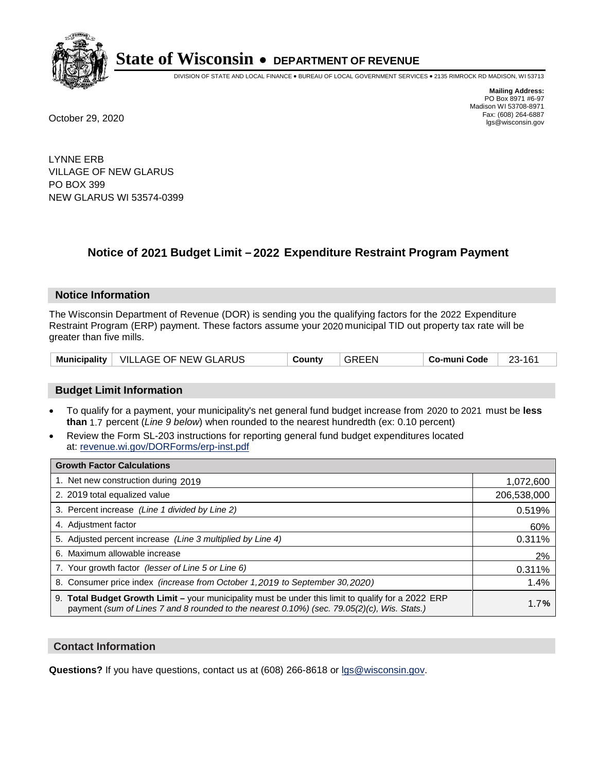

DIVISION OF STATE AND LOCAL FINANCE • BUREAU OF LOCAL GOVERNMENT SERVICES • 2135 RIMROCK RD MADISON, WI 53713

**Mailing Address:** PO Box 8971 #6-97 Madison WI 53708-8971<br>Fax: (608) 264-6887 Fax: (608) 264-6887 October 29, 2020 lgs@wisconsin.gov

LYNNE ERB VILLAGE OF NEW GLARUS PO BOX 399 NEW GLARUS WI 53574-0399

### **Notice of 2021 Budget Limit - 2022 Expenditure Restraint Program Payment**

#### **Notice Information**

The Wisconsin Department of Revenue (DOR) is sending you the qualifying factors for the 2022 Expenditure Restraint Program (ERP) payment. These factors assume your 2020 municipal TID out property tax rate will be greater than five mills.

|  | Municipality   VILLAGE OF NEW GLARUS | County | <b>GREEN</b> | Co-muni Code | 23-161 |
|--|--------------------------------------|--------|--------------|--------------|--------|
|--|--------------------------------------|--------|--------------|--------------|--------|

#### **Budget Limit Information**

- To qualify for a payment, your municipality's net general fund budget increase from 2020 to 2021 must be less **than** 1.7 percent (*Line 9 below*) when rounded to the nearest hundredth (ex: 0.10 percent)
- Review the Form SL-203 instructions for reporting general fund budget expenditures located at: revenue.wi.gov/DORForms/erp-inst.pdf

| <b>Growth Factor Calculations</b>                                                                                                                                                                  |             |
|----------------------------------------------------------------------------------------------------------------------------------------------------------------------------------------------------|-------------|
| 1. Net new construction during 2019                                                                                                                                                                | 1,072,600   |
| 2. 2019 total equalized value                                                                                                                                                                      | 206,538,000 |
| 3. Percent increase (Line 1 divided by Line 2)                                                                                                                                                     | 0.519%      |
| 4. Adjustment factor                                                                                                                                                                               | 60%         |
| 5. Adjusted percent increase (Line 3 multiplied by Line 4)                                                                                                                                         | 0.311%      |
| 6. Maximum allowable increase                                                                                                                                                                      | 2%          |
| 7. Your growth factor (lesser of Line 5 or Line 6)                                                                                                                                                 | 0.311%      |
| 8. Consumer price index (increase from October 1, 2019 to September 30, 2020)                                                                                                                      | 1.4%        |
| 9. Total Budget Growth Limit - your municipality must be under this limit to qualify for a 2022 ERP<br>payment (sum of Lines 7 and 8 rounded to the nearest 0.10%) (sec. 79.05(2)(c), Wis. Stats.) | 1.7%        |

#### **Contact Information**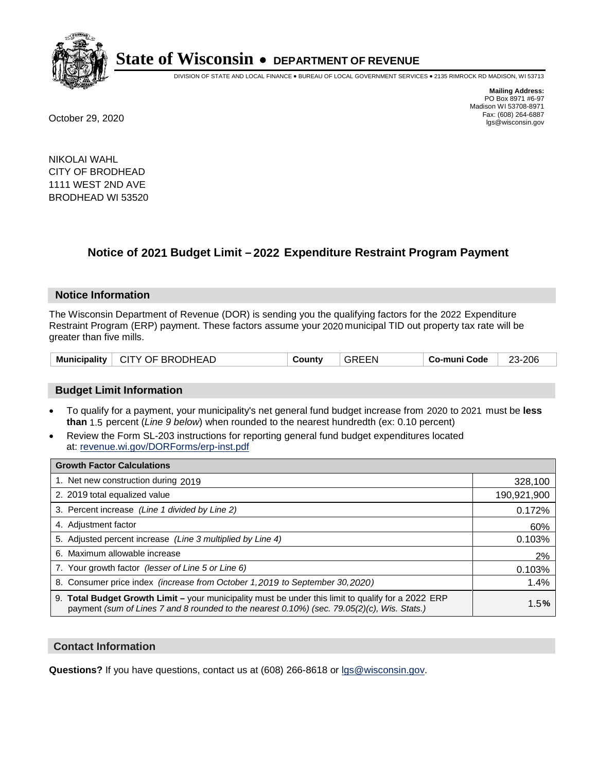

DIVISION OF STATE AND LOCAL FINANCE • BUREAU OF LOCAL GOVERNMENT SERVICES • 2135 RIMROCK RD MADISON, WI 53713

**Mailing Address:** PO Box 8971 #6-97 Madison WI 53708-8971<br>Fax: (608) 264-6887 Fax: (608) 264-6887 October 29, 2020 lgs@wisconsin.gov

NIKOLAI WAHL CITY OF BRODHEAD 1111 WEST 2ND AVE BRODHEAD WI 53520

### **Notice of 2021 Budget Limit - 2022 Expenditure Restraint Program Payment**

#### **Notice Information**

The Wisconsin Department of Revenue (DOR) is sending you the qualifying factors for the 2022 Expenditure Restraint Program (ERP) payment. These factors assume your 2020 municipal TID out property tax rate will be greater than five mills.

#### **Budget Limit Information**

- To qualify for a payment, your municipality's net general fund budget increase from 2020 to 2021 must be less **than** 1.5 percent (*Line 9 below*) when rounded to the nearest hundredth (ex: 0.10 percent)
- Review the Form SL-203 instructions for reporting general fund budget expenditures located at: revenue.wi.gov/DORForms/erp-inst.pdf

| <b>Growth Factor Calculations</b>                                                                                                                                                                  |             |
|----------------------------------------------------------------------------------------------------------------------------------------------------------------------------------------------------|-------------|
| 1. Net new construction during 2019                                                                                                                                                                | 328,100     |
| 2. 2019 total equalized value                                                                                                                                                                      | 190,921,900 |
| 3. Percent increase (Line 1 divided by Line 2)                                                                                                                                                     | 0.172%      |
| 4. Adjustment factor                                                                                                                                                                               | 60%         |
| 5. Adjusted percent increase (Line 3 multiplied by Line 4)                                                                                                                                         | 0.103%      |
| 6. Maximum allowable increase                                                                                                                                                                      | 2%          |
| 7. Your growth factor (lesser of Line 5 or Line 6)                                                                                                                                                 | 0.103%      |
| 8. Consumer price index (increase from October 1, 2019 to September 30, 2020)                                                                                                                      | 1.4%        |
| 9. Total Budget Growth Limit - your municipality must be under this limit to qualify for a 2022 ERP<br>payment (sum of Lines 7 and 8 rounded to the nearest 0.10%) (sec. 79.05(2)(c), Wis. Stats.) | 1.5%        |

#### **Contact Information**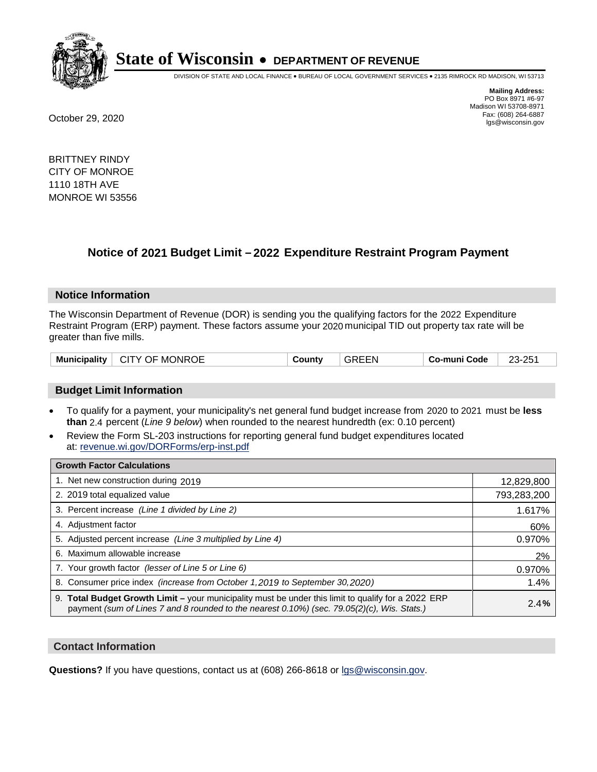

DIVISION OF STATE AND LOCAL FINANCE • BUREAU OF LOCAL GOVERNMENT SERVICES • 2135 RIMROCK RD MADISON, WI 53713

**Mailing Address:** PO Box 8971 #6-97 Madison WI 53708-8971<br>Fax: (608) 264-6887 Fax: (608) 264-6887 October 29, 2020 lgs@wisconsin.gov

BRITTNEY RINDY CITY OF MONROE 1110 18TH AVE MONROE WI 53556

### **Notice of 2021 Budget Limit - 2022 Expenditure Restraint Program Payment**

#### **Notice Information**

The Wisconsin Department of Revenue (DOR) is sending you the qualifying factors for the 2022 Expenditure Restraint Program (ERP) payment. These factors assume your 2020 municipal TID out property tax rate will be greater than five mills.

| ∣ CITY OF MONROE<br><b>Municipality</b> | County | <b>GREEN</b> | ⊤ Co-muni Code | 23-251 |
|-----------------------------------------|--------|--------------|----------------|--------|
|-----------------------------------------|--------|--------------|----------------|--------|

#### **Budget Limit Information**

- To qualify for a payment, your municipality's net general fund budget increase from 2020 to 2021 must be less **than** 2.4 percent (*Line 9 below*) when rounded to the nearest hundredth (ex: 0.10 percent)
- Review the Form SL-203 instructions for reporting general fund budget expenditures located at: revenue.wi.gov/DORForms/erp-inst.pdf

| <b>Growth Factor Calculations</b>                                                                                                                                                                      |             |
|--------------------------------------------------------------------------------------------------------------------------------------------------------------------------------------------------------|-------------|
| 1. Net new construction during 2019                                                                                                                                                                    | 12,829,800  |
| 2. 2019 total equalized value                                                                                                                                                                          | 793,283,200 |
| 3. Percent increase (Line 1 divided by Line 2)                                                                                                                                                         | 1.617%      |
| 4. Adjustment factor                                                                                                                                                                                   | 60%         |
| 5. Adjusted percent increase (Line 3 multiplied by Line 4)                                                                                                                                             | 0.970%      |
| 6. Maximum allowable increase                                                                                                                                                                          | 2%          |
| 7. Your growth factor (lesser of Line 5 or Line 6)                                                                                                                                                     | 0.970%      |
| 8. Consumer price index (increase from October 1,2019 to September 30,2020)                                                                                                                            | 1.4%        |
| 9. Total Budget Growth Limit - your municipality must be under this limit to qualify for a 2022 ERP<br>payment (sum of Lines 7 and 8 rounded to the nearest $0.10\%$ ) (sec. 79.05(2)(c), Wis. Stats.) | 2.4%        |

#### **Contact Information**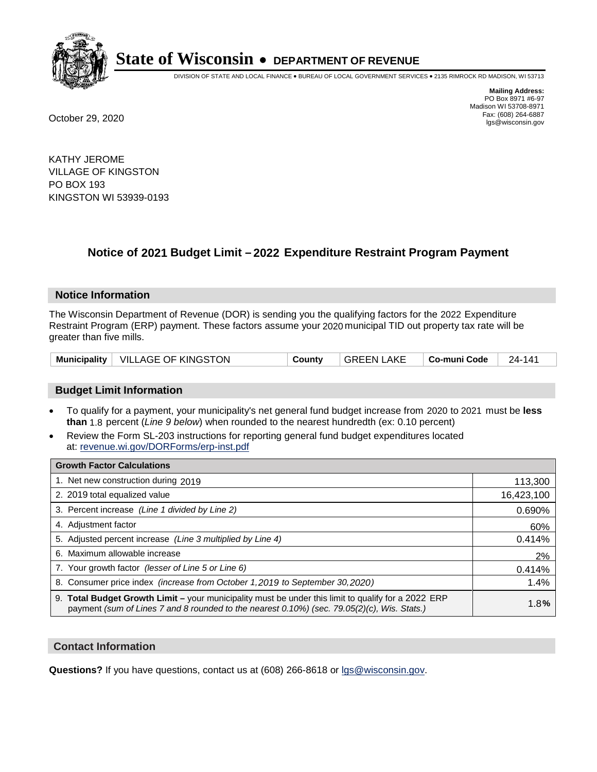

DIVISION OF STATE AND LOCAL FINANCE • BUREAU OF LOCAL GOVERNMENT SERVICES • 2135 RIMROCK RD MADISON, WI 53713

**Mailing Address:** PO Box 8971 #6-97 Madison WI 53708-8971<br>Fax: (608) 264-6887 Fax: (608) 264-6887 October 29, 2020 lgs@wisconsin.gov

KATHY JEROME VILLAGE OF KINGSTON PO BOX 193 KINGSTON WI 53939-0193

### **Notice of 2021 Budget Limit - 2022 Expenditure Restraint Program Payment**

#### **Notice Information**

The Wisconsin Department of Revenue (DOR) is sending you the qualifying factors for the 2022 Expenditure Restraint Program (ERP) payment. These factors assume your 2020 municipal TID out property tax rate will be greater than five mills.

|  | Municipality   VILLAGE OF KINGSTON | County | l GREEN LAKE | Co-muni Code | $124 - 141$ |
|--|------------------------------------|--------|--------------|--------------|-------------|
|--|------------------------------------|--------|--------------|--------------|-------------|

#### **Budget Limit Information**

- To qualify for a payment, your municipality's net general fund budget increase from 2020 to 2021 must be less **than** 1.8 percent (*Line 9 below*) when rounded to the nearest hundredth (ex: 0.10 percent)
- Review the Form SL-203 instructions for reporting general fund budget expenditures located at: revenue.wi.gov/DORForms/erp-inst.pdf

| <b>Growth Factor Calculations</b>                                                                                                                                                                  |            |
|----------------------------------------------------------------------------------------------------------------------------------------------------------------------------------------------------|------------|
| 1. Net new construction during 2019                                                                                                                                                                | 113,300    |
| 2. 2019 total equalized value                                                                                                                                                                      | 16,423,100 |
| 3. Percent increase (Line 1 divided by Line 2)                                                                                                                                                     | 0.690%     |
| 4. Adjustment factor                                                                                                                                                                               | 60%        |
| 5. Adjusted percent increase (Line 3 multiplied by Line 4)                                                                                                                                         | 0.414%     |
| 6. Maximum allowable increase                                                                                                                                                                      | 2%         |
| 7. Your growth factor (lesser of Line 5 or Line 6)                                                                                                                                                 | 0.414%     |
| 8. Consumer price index (increase from October 1,2019 to September 30,2020)                                                                                                                        | 1.4%       |
| 9. Total Budget Growth Limit - your municipality must be under this limit to qualify for a 2022 ERP<br>payment (sum of Lines 7 and 8 rounded to the nearest 0.10%) (sec. 79.05(2)(c), Wis. Stats.) | 1.8%       |

#### **Contact Information**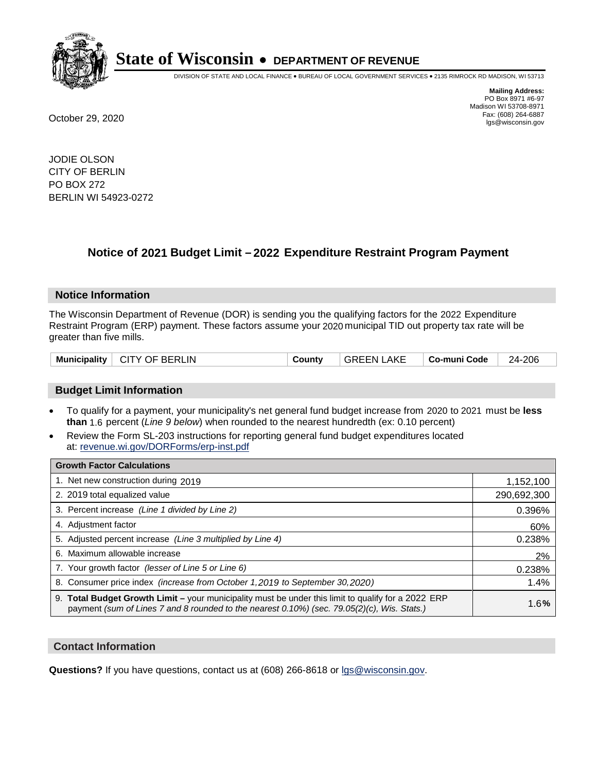

DIVISION OF STATE AND LOCAL FINANCE • BUREAU OF LOCAL GOVERNMENT SERVICES • 2135 RIMROCK RD MADISON, WI 53713

**Mailing Address:** PO Box 8971 #6-97 Madison WI 53708-8971<br>Fax: (608) 264-6887 Fax: (608) 264-6887 October 29, 2020 lgs@wisconsin.gov

JODIE OLSON CITY OF BERLIN PO BOX 272 BERLIN WI 54923-0272

### **Notice of 2021 Budget Limit - 2022 Expenditure Restraint Program Payment**

#### **Notice Information**

The Wisconsin Department of Revenue (DOR) is sending you the qualifying factors for the 2022 Expenditure Restraint Program (ERP) payment. These factors assume your 2020 municipal TID out property tax rate will be greater than five mills.

| Municipality   CITY OF BERLIN | County | <b>GREEN LAKE</b> | ∣ Co-muni Code | 24-206 |
|-------------------------------|--------|-------------------|----------------|--------|
|-------------------------------|--------|-------------------|----------------|--------|

#### **Budget Limit Information**

- To qualify for a payment, your municipality's net general fund budget increase from 2020 to 2021 must be less **than** 1.6 percent (*Line 9 below*) when rounded to the nearest hundredth (ex: 0.10 percent)
- Review the Form SL-203 instructions for reporting general fund budget expenditures located at: revenue.wi.gov/DORForms/erp-inst.pdf

| <b>Growth Factor Calculations</b>                                                                                                                                                                  |             |
|----------------------------------------------------------------------------------------------------------------------------------------------------------------------------------------------------|-------------|
| 1. Net new construction during 2019                                                                                                                                                                | 1,152,100   |
| 2. 2019 total equalized value                                                                                                                                                                      | 290,692,300 |
| 3. Percent increase (Line 1 divided by Line 2)                                                                                                                                                     | 0.396%      |
| 4. Adjustment factor                                                                                                                                                                               | 60%         |
| 5. Adjusted percent increase (Line 3 multiplied by Line 4)                                                                                                                                         | 0.238%      |
| 6. Maximum allowable increase                                                                                                                                                                      | 2%          |
| 7. Your growth factor (lesser of Line 5 or Line 6)                                                                                                                                                 | 0.238%      |
| 8. Consumer price index (increase from October 1, 2019 to September 30, 2020)                                                                                                                      | 1.4%        |
| 9. Total Budget Growth Limit - your municipality must be under this limit to qualify for a 2022 ERP<br>payment (sum of Lines 7 and 8 rounded to the nearest 0.10%) (sec. 79.05(2)(c), Wis. Stats.) | 1.6%        |

#### **Contact Information**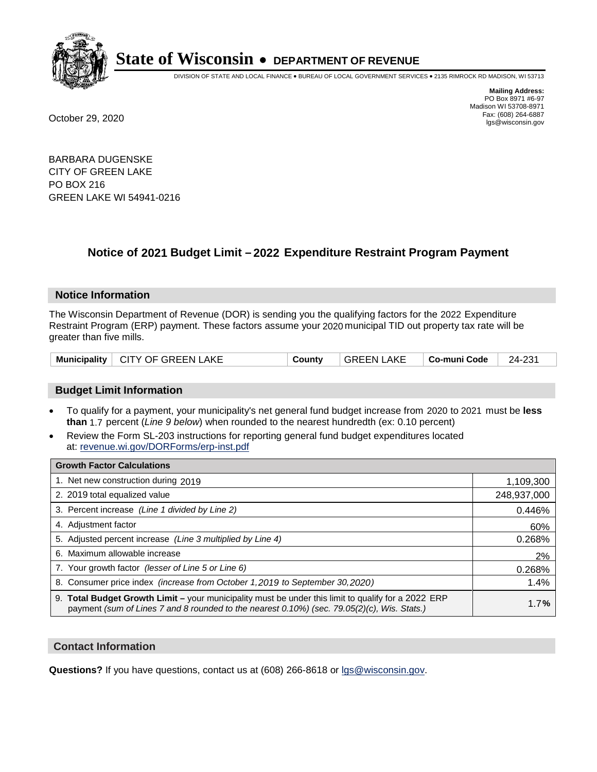

DIVISION OF STATE AND LOCAL FINANCE • BUREAU OF LOCAL GOVERNMENT SERVICES • 2135 RIMROCK RD MADISON, WI 53713

**Mailing Address:** PO Box 8971 #6-97 Madison WI 53708-8971<br>Fax: (608) 264-6887 Fax: (608) 264-6887 October 29, 2020 lgs@wisconsin.gov

BARBARA DUGENSKE CITY OF GREEN LAKE PO BOX 216 GREEN LAKE WI 54941-0216

### **Notice of 2021 Budget Limit - 2022 Expenditure Restraint Program Payment**

#### **Notice Information**

The Wisconsin Department of Revenue (DOR) is sending you the qualifying factors for the 2022 Expenditure Restraint Program (ERP) payment. These factors assume your 2020 municipal TID out property tax rate will be greater than five mills.

#### **Budget Limit Information**

- To qualify for a payment, your municipality's net general fund budget increase from 2020 to 2021 must be less **than** 1.7 percent (*Line 9 below*) when rounded to the nearest hundredth (ex: 0.10 percent)
- Review the Form SL-203 instructions for reporting general fund budget expenditures located at: revenue.wi.gov/DORForms/erp-inst.pdf

| <b>Growth Factor Calculations</b>                                                                                                                                                                  |             |
|----------------------------------------------------------------------------------------------------------------------------------------------------------------------------------------------------|-------------|
| 1. Net new construction during 2019                                                                                                                                                                | 1,109,300   |
| 2. 2019 total equalized value                                                                                                                                                                      | 248,937,000 |
| 3. Percent increase (Line 1 divided by Line 2)                                                                                                                                                     | 0.446%      |
| 4. Adjustment factor                                                                                                                                                                               | 60%         |
| 5. Adjusted percent increase (Line 3 multiplied by Line 4)                                                                                                                                         | 0.268%      |
| 6. Maximum allowable increase                                                                                                                                                                      | 2%          |
| 7. Your growth factor (lesser of Line 5 or Line 6)                                                                                                                                                 | 0.268%      |
| 8. Consumer price index (increase from October 1, 2019 to September 30, 2020)                                                                                                                      | 1.4%        |
| 9. Total Budget Growth Limit - your municipality must be under this limit to qualify for a 2022 ERP<br>payment (sum of Lines 7 and 8 rounded to the nearest 0.10%) (sec. 79.05(2)(c), Wis. Stats.) | 1.7%        |

#### **Contact Information**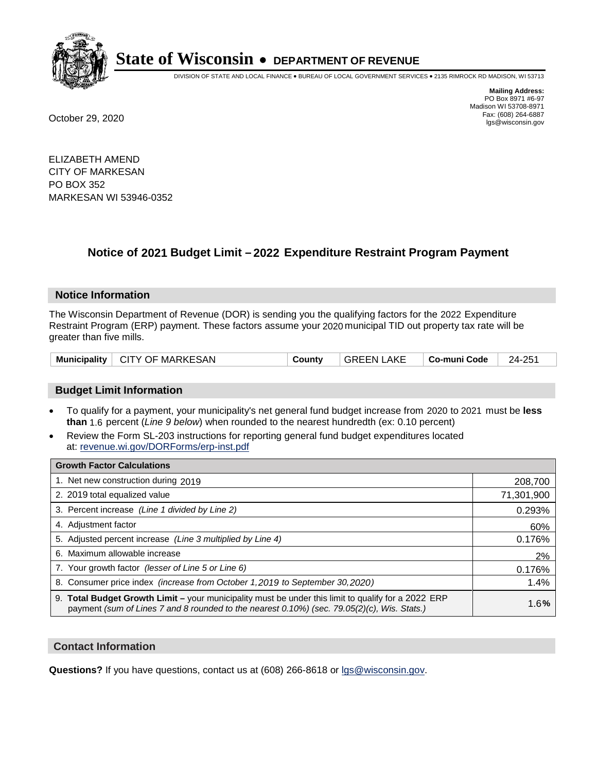

DIVISION OF STATE AND LOCAL FINANCE • BUREAU OF LOCAL GOVERNMENT SERVICES • 2135 RIMROCK RD MADISON, WI 53713

**Mailing Address:** PO Box 8971 #6-97 Madison WI 53708-8971<br>Fax: (608) 264-6887 Fax: (608) 264-6887 October 29, 2020 lgs@wisconsin.gov

ELIZABETH AMEND CITY OF MARKESAN PO BOX 352 MARKESAN WI 53946-0352

### **Notice of 2021 Budget Limit - 2022 Expenditure Restraint Program Payment**

#### **Notice Information**

The Wisconsin Department of Revenue (DOR) is sending you the qualifying factors for the 2022 Expenditure Restraint Program (ERP) payment. These factors assume your 2020 municipal TID out property tax rate will be greater than five mills.

|  | Municipality   CITY OF MARKESAN | County | <b>GREEN LAKE</b> | ∣ Co-muni Code | 24-251 |
|--|---------------------------------|--------|-------------------|----------------|--------|
|--|---------------------------------|--------|-------------------|----------------|--------|

#### **Budget Limit Information**

- To qualify for a payment, your municipality's net general fund budget increase from 2020 to 2021 must be less **than** 1.6 percent (*Line 9 below*) when rounded to the nearest hundredth (ex: 0.10 percent)
- Review the Form SL-203 instructions for reporting general fund budget expenditures located at: revenue.wi.gov/DORForms/erp-inst.pdf

| <b>Growth Factor Calculations</b>                                                                                                                                                                      |            |
|--------------------------------------------------------------------------------------------------------------------------------------------------------------------------------------------------------|------------|
| 1. Net new construction during 2019                                                                                                                                                                    | 208,700    |
| 2. 2019 total equalized value                                                                                                                                                                          | 71,301,900 |
| 3. Percent increase (Line 1 divided by Line 2)                                                                                                                                                         | 0.293%     |
| 4. Adjustment factor                                                                                                                                                                                   | 60%        |
| 5. Adjusted percent increase (Line 3 multiplied by Line 4)                                                                                                                                             | 0.176%     |
| 6. Maximum allowable increase                                                                                                                                                                          | 2%         |
| 7. Your growth factor (lesser of Line 5 or Line 6)                                                                                                                                                     | 0.176%     |
| 8. Consumer price index (increase from October 1, 2019 to September 30, 2020)                                                                                                                          | 1.4%       |
| 9. Total Budget Growth Limit - your municipality must be under this limit to qualify for a 2022 ERP<br>payment (sum of Lines 7 and 8 rounded to the nearest $0.10\%$ ) (sec. 79.05(2)(c), Wis. Stats.) | 1.6%       |

#### **Contact Information**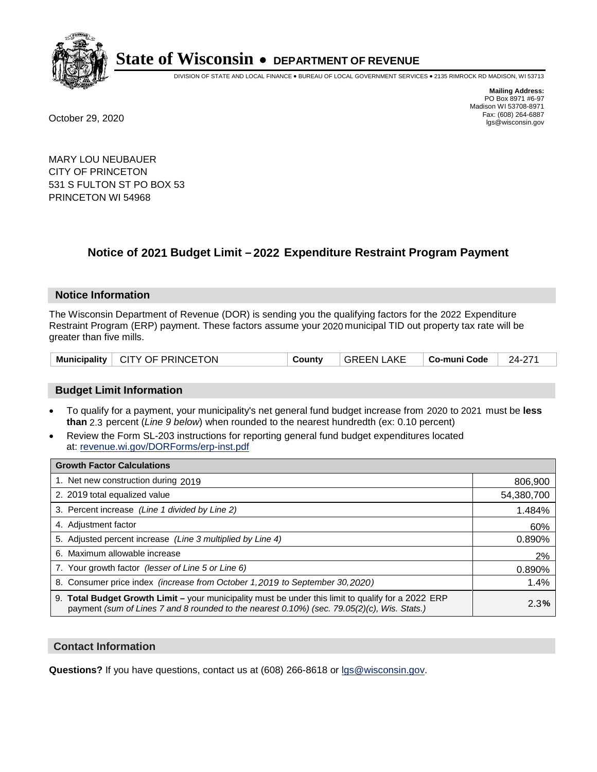

DIVISION OF STATE AND LOCAL FINANCE • BUREAU OF LOCAL GOVERNMENT SERVICES • 2135 RIMROCK RD MADISON, WI 53713

**Mailing Address:** PO Box 8971 #6-97 Madison WI 53708-8971<br>Fax: (608) 264-6887 Fax: (608) 264-6887 October 29, 2020 lgs@wisconsin.gov

MARY LOU NEUBAUER CITY OF PRINCETON 531 S FULTON ST PO BOX 53 PRINCETON WI 54968

### **Notice of 2021 Budget Limit - 2022 Expenditure Restraint Program Payment**

#### **Notice Information**

The Wisconsin Department of Revenue (DOR) is sending you the qualifying factors for the 2022 Expenditure Restraint Program (ERP) payment. These factors assume your 2020 municipal TID out property tax rate will be greater than five mills.

| Municipality   CITY OF PRINCETON | County | GREEN LAKE | ∣ Co-muni Code | 24-271 |
|----------------------------------|--------|------------|----------------|--------|
|----------------------------------|--------|------------|----------------|--------|

#### **Budget Limit Information**

- To qualify for a payment, your municipality's net general fund budget increase from 2020 to 2021 must be less **than** 2.3 percent (*Line 9 below*) when rounded to the nearest hundredth (ex: 0.10 percent)
- Review the Form SL-203 instructions for reporting general fund budget expenditures located at: revenue.wi.gov/DORForms/erp-inst.pdf

| <b>Growth Factor Calculations</b>                                                                                                                                                                      |            |
|--------------------------------------------------------------------------------------------------------------------------------------------------------------------------------------------------------|------------|
| 1. Net new construction during 2019                                                                                                                                                                    | 806,900    |
| 2. 2019 total equalized value                                                                                                                                                                          | 54,380,700 |
| 3. Percent increase (Line 1 divided by Line 2)                                                                                                                                                         | 1.484%     |
| 4. Adjustment factor                                                                                                                                                                                   | 60%        |
| 5. Adjusted percent increase (Line 3 multiplied by Line 4)                                                                                                                                             | 0.890%     |
| 6. Maximum allowable increase                                                                                                                                                                          | 2%         |
| 7. Your growth factor (lesser of Line 5 or Line 6)                                                                                                                                                     | 0.890%     |
| 8. Consumer price index (increase from October 1, 2019 to September 30, 2020)                                                                                                                          | 1.4%       |
| 9. Total Budget Growth Limit - your municipality must be under this limit to qualify for a 2022 ERP<br>payment (sum of Lines 7 and 8 rounded to the nearest $0.10\%$ ) (sec. 79.05(2)(c), Wis. Stats.) | 2.3%       |

#### **Contact Information**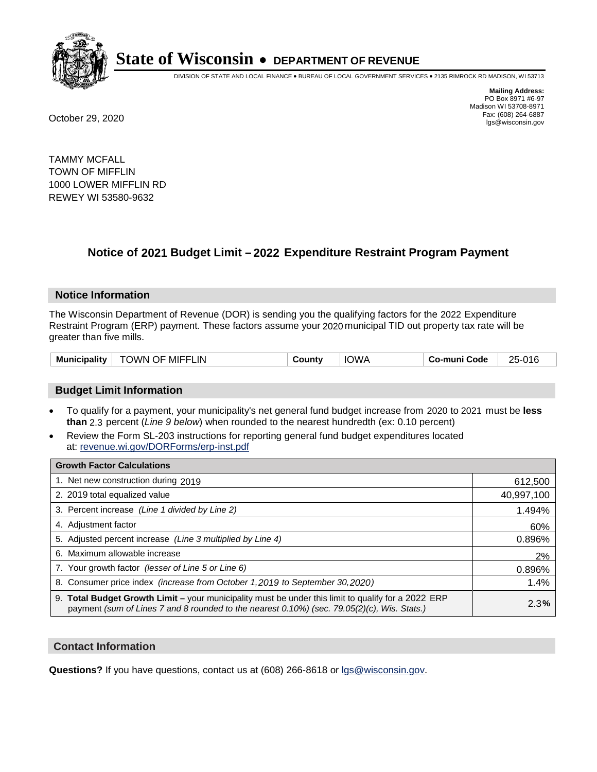

DIVISION OF STATE AND LOCAL FINANCE • BUREAU OF LOCAL GOVERNMENT SERVICES • 2135 RIMROCK RD MADISON, WI 53713

**Mailing Address:** PO Box 8971 #6-97 Madison WI 53708-8971<br>Fax: (608) 264-6887 Fax: (608) 264-6887 October 29, 2020 lgs@wisconsin.gov

TAMMY MCFALL TOWN OF MIFFLIN 1000 LOWER MIFFLIN RD REWEY WI 53580-9632

## **Notice of 2021 Budget Limit - 2022 Expenditure Restraint Program Payment**

#### **Notice Information**

The Wisconsin Department of Revenue (DOR) is sending you the qualifying factors for the 2022 Expenditure Restraint Program (ERP) payment. These factors assume your 2020 municipal TID out property tax rate will be greater than five mills.

| <b>Municipality</b> | TOWN OF MIFFLIN | County | <b>IOWA</b> | Co-muni Code | 25-016 |
|---------------------|-----------------|--------|-------------|--------------|--------|
|---------------------|-----------------|--------|-------------|--------------|--------|

#### **Budget Limit Information**

- To qualify for a payment, your municipality's net general fund budget increase from 2020 to 2021 must be less **than** 2.3 percent (*Line 9 below*) when rounded to the nearest hundredth (ex: 0.10 percent)
- Review the Form SL-203 instructions for reporting general fund budget expenditures located at: revenue.wi.gov/DORForms/erp-inst.pdf

| <b>Growth Factor Calculations</b>                                                                                                                                                                      |            |
|--------------------------------------------------------------------------------------------------------------------------------------------------------------------------------------------------------|------------|
| 1. Net new construction during 2019                                                                                                                                                                    | 612,500    |
| 2. 2019 total equalized value                                                                                                                                                                          | 40,997,100 |
| 3. Percent increase (Line 1 divided by Line 2)                                                                                                                                                         | 1.494%     |
| 4. Adjustment factor                                                                                                                                                                                   | 60%        |
| 5. Adjusted percent increase (Line 3 multiplied by Line 4)                                                                                                                                             | 0.896%     |
| 6. Maximum allowable increase                                                                                                                                                                          | 2%         |
| 7. Your growth factor (lesser of Line 5 or Line 6)                                                                                                                                                     | 0.896%     |
| 8. Consumer price index (increase from October 1, 2019 to September 30, 2020)                                                                                                                          | 1.4%       |
| 9. Total Budget Growth Limit - your municipality must be under this limit to qualify for a 2022 ERP<br>payment (sum of Lines 7 and 8 rounded to the nearest $0.10\%$ ) (sec. 79.05(2)(c), Wis. Stats.) | 2.3%       |

#### **Contact Information**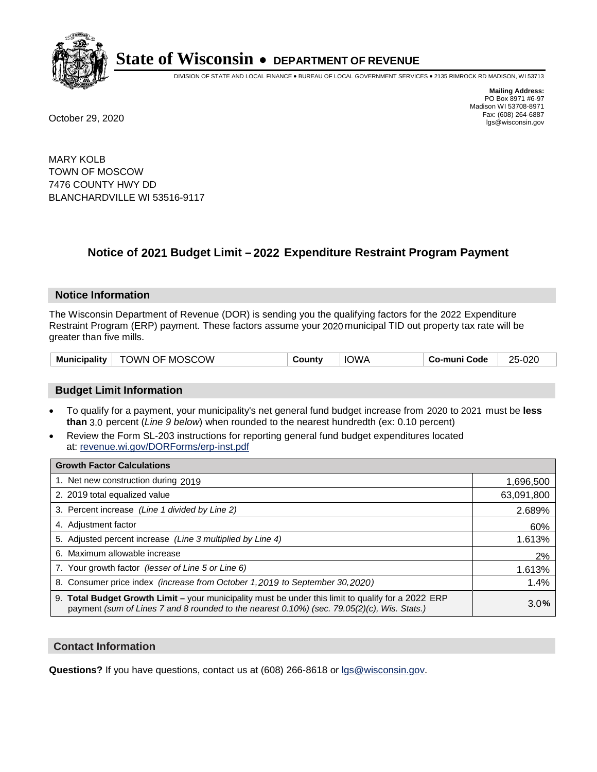

DIVISION OF STATE AND LOCAL FINANCE • BUREAU OF LOCAL GOVERNMENT SERVICES • 2135 RIMROCK RD MADISON, WI 53713

**Mailing Address:** PO Box 8971 #6-97 Madison WI 53708-8971<br>Fax: (608) 264-6887 Fax: (608) 264-6887 October 29, 2020 lgs@wisconsin.gov

MARY KOLB TOWN OF MOSCOW 7476 COUNTY HWY DD BLANCHARDVILLE WI 53516-9117

### **Notice of 2021 Budget Limit - 2022 Expenditure Restraint Program Payment**

#### **Notice Information**

The Wisconsin Department of Revenue (DOR) is sending you the qualifying factors for the 2022 Expenditure Restraint Program (ERP) payment. These factors assume your 2020 municipal TID out property tax rate will be greater than five mills.

| Municipality   TOWN OF MOSCOW | County | <b>IOWA</b> | Co-muni Code | 25-020 |
|-------------------------------|--------|-------------|--------------|--------|
|-------------------------------|--------|-------------|--------------|--------|

#### **Budget Limit Information**

- To qualify for a payment, your municipality's net general fund budget increase from 2020 to 2021 must be less **than** 3.0 percent (*Line 9 below*) when rounded to the nearest hundredth (ex: 0.10 percent)
- Review the Form SL-203 instructions for reporting general fund budget expenditures located at: revenue.wi.gov/DORForms/erp-inst.pdf

| <b>Growth Factor Calculations</b>                                                                                                                                                                  |            |
|----------------------------------------------------------------------------------------------------------------------------------------------------------------------------------------------------|------------|
| 1. Net new construction during 2019                                                                                                                                                                | 1,696,500  |
| 2. 2019 total equalized value                                                                                                                                                                      | 63,091,800 |
| 3. Percent increase (Line 1 divided by Line 2)                                                                                                                                                     | 2.689%     |
| 4. Adiustment factor                                                                                                                                                                               | 60%        |
| 5. Adjusted percent increase (Line 3 multiplied by Line 4)                                                                                                                                         | 1.613%     |
| 6. Maximum allowable increase                                                                                                                                                                      | 2%         |
| 7. Your growth factor (lesser of Line 5 or Line 6)                                                                                                                                                 | 1.613%     |
| 8. Consumer price index (increase from October 1,2019 to September 30,2020)                                                                                                                        | 1.4%       |
| 9. Total Budget Growth Limit - your municipality must be under this limit to qualify for a 2022 ERP<br>payment (sum of Lines 7 and 8 rounded to the nearest 0.10%) (sec. 79.05(2)(c), Wis. Stats.) | 3.0%       |

#### **Contact Information**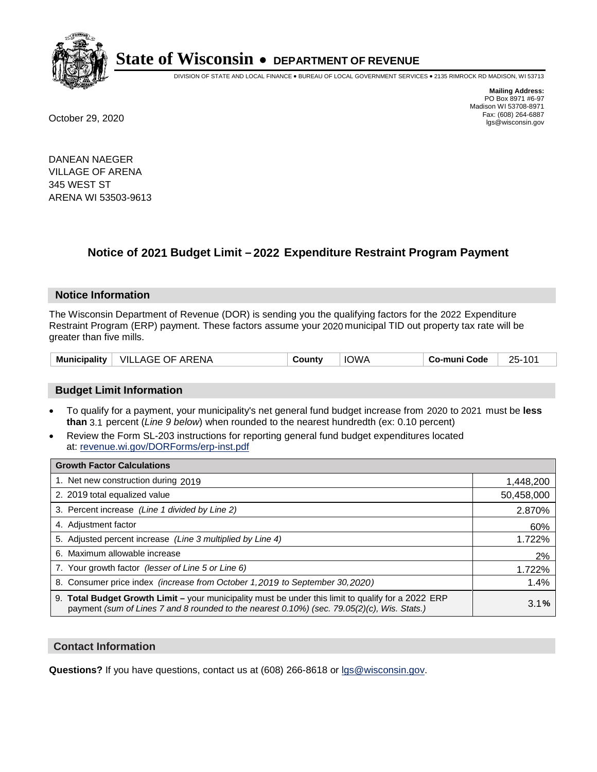

DIVISION OF STATE AND LOCAL FINANCE • BUREAU OF LOCAL GOVERNMENT SERVICES • 2135 RIMROCK RD MADISON, WI 53713

**Mailing Address:** PO Box 8971 #6-97 Madison WI 53708-8971<br>Fax: (608) 264-6887 Fax: (608) 264-6887 October 29, 2020 lgs@wisconsin.gov

DANEAN NAEGER VILLAGE OF ARENA 345 WEST ST ARENA WI 53503-9613

### **Notice of 2021 Budget Limit - 2022 Expenditure Restraint Program Payment**

#### **Notice Information**

The Wisconsin Department of Revenue (DOR) is sending you the qualifying factors for the 2022 Expenditure Restraint Program (ERP) payment. These factors assume your 2020 municipal TID out property tax rate will be greater than five mills.

| Municipality | <b>VILLAGE OF ARENA</b> | County | <b>IOWA</b> | Co-muni Code | $25-$ |
|--------------|-------------------------|--------|-------------|--------------|-------|
|--------------|-------------------------|--------|-------------|--------------|-------|

#### **Budget Limit Information**

- To qualify for a payment, your municipality's net general fund budget increase from 2020 to 2021 must be less **than** 3.1 percent (*Line 9 below*) when rounded to the nearest hundredth (ex: 0.10 percent)
- Review the Form SL-203 instructions for reporting general fund budget expenditures located at: revenue.wi.gov/DORForms/erp-inst.pdf

| <b>Growth Factor Calculations</b>                                                                                                                                                                      |            |
|--------------------------------------------------------------------------------------------------------------------------------------------------------------------------------------------------------|------------|
| 1. Net new construction during 2019                                                                                                                                                                    | 1,448,200  |
| 2. 2019 total equalized value                                                                                                                                                                          | 50,458,000 |
| 3. Percent increase (Line 1 divided by Line 2)                                                                                                                                                         | 2.870%     |
| 4. Adiustment factor                                                                                                                                                                                   | 60%        |
| 5. Adjusted percent increase (Line 3 multiplied by Line 4)                                                                                                                                             | 1.722%     |
| 6. Maximum allowable increase                                                                                                                                                                          | 2%         |
| 7. Your growth factor (lesser of Line 5 or Line 6)                                                                                                                                                     | 1.722%     |
| 8. Consumer price index (increase from October 1,2019 to September 30,2020)                                                                                                                            | 1.4%       |
| 9. Total Budget Growth Limit - your municipality must be under this limit to qualify for a 2022 ERP<br>payment (sum of Lines 7 and 8 rounded to the nearest $0.10\%$ ) (sec. 79.05(2)(c), Wis. Stats.) | 3.1%       |

#### **Contact Information**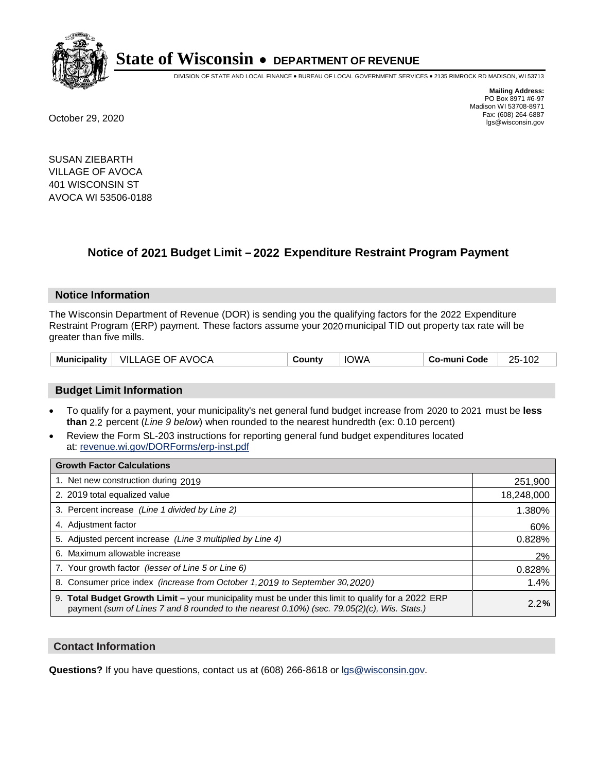

DIVISION OF STATE AND LOCAL FINANCE • BUREAU OF LOCAL GOVERNMENT SERVICES • 2135 RIMROCK RD MADISON, WI 53713

**Mailing Address:** PO Box 8971 #6-97 Madison WI 53708-8971<br>Fax: (608) 264-6887 Fax: (608) 264-6887 October 29, 2020 lgs@wisconsin.gov

SUSAN ZIEBARTH VILLAGE OF AVOCA 401 WISCONSIN ST AVOCA WI 53506-0188

### **Notice of 2021 Budget Limit - 2022 Expenditure Restraint Program Payment**

#### **Notice Information**

The Wisconsin Department of Revenue (DOR) is sending you the qualifying factors for the 2022 Expenditure Restraint Program (ERP) payment. These factors assume your 2020 municipal TID out property tax rate will be greater than five mills.

|  | Municipality   VILLAGE OF AVOCA | Countv | <b>IOWA</b> | Co-muni Code | 25-102 |
|--|---------------------------------|--------|-------------|--------------|--------|
|--|---------------------------------|--------|-------------|--------------|--------|

#### **Budget Limit Information**

- To qualify for a payment, your municipality's net general fund budget increase from 2020 to 2021 must be less **than** 2.2 percent (*Line 9 below*) when rounded to the nearest hundredth (ex: 0.10 percent)
- Review the Form SL-203 instructions for reporting general fund budget expenditures located at: revenue.wi.gov/DORForms/erp-inst.pdf

| <b>Growth Factor Calculations</b>                                                                                                                                                                  |            |
|----------------------------------------------------------------------------------------------------------------------------------------------------------------------------------------------------|------------|
| 1. Net new construction during 2019                                                                                                                                                                | 251,900    |
| 2. 2019 total equalized value                                                                                                                                                                      | 18,248,000 |
| 3. Percent increase (Line 1 divided by Line 2)                                                                                                                                                     | 1.380%     |
| 4. Adjustment factor                                                                                                                                                                               | 60%        |
| 5. Adjusted percent increase (Line 3 multiplied by Line 4)                                                                                                                                         | 0.828%     |
| 6. Maximum allowable increase                                                                                                                                                                      | 2%         |
| 7. Your growth factor (lesser of Line 5 or Line 6)                                                                                                                                                 | 0.828%     |
| 8. Consumer price index (increase from October 1, 2019 to September 30, 2020)                                                                                                                      | 1.4%       |
| 9. Total Budget Growth Limit - your municipality must be under this limit to qualify for a 2022 ERP<br>payment (sum of Lines 7 and 8 rounded to the nearest 0.10%) (sec. 79.05(2)(c), Wis. Stats.) | 2.2%       |

#### **Contact Information**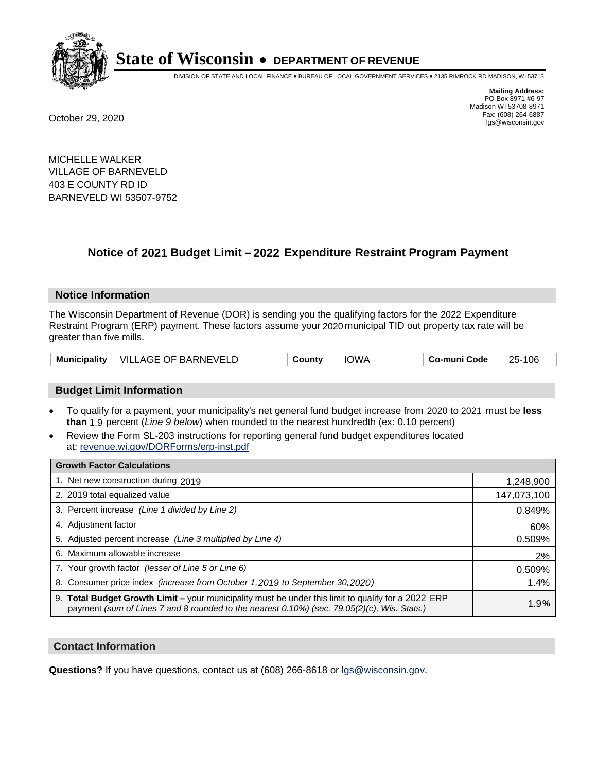

DIVISION OF STATE AND LOCAL FINANCE • BUREAU OF LOCAL GOVERNMENT SERVICES • 2135 RIMROCK RD MADISON, WI 53713

**Mailing Address:** PO Box 8971 #6-97 Madison WI 53708-8971<br>Fax: (608) 264-6887 Fax: (608) 264-6887 October 29, 2020 lgs@wisconsin.gov

MICHELLE WALKER VILLAGE OF BARNEVELD 403 E COUNTY RD ID BARNEVELD WI 53507-9752

### **Notice of 2021 Budget Limit - 2022 Expenditure Restraint Program Payment**

#### **Notice Information**

The Wisconsin Department of Revenue (DOR) is sending you the qualifying factors for the 2022 Expenditure Restraint Program (ERP) payment. These factors assume your 2020 municipal TID out property tax rate will be greater than five mills.

|  | Municipality   VILLAGE OF BARNEVELD | County | IOWA | Co-muni Code | 106<br>$25 -$ |
|--|-------------------------------------|--------|------|--------------|---------------|
|--|-------------------------------------|--------|------|--------------|---------------|

#### **Budget Limit Information**

- To qualify for a payment, your municipality's net general fund budget increase from 2020 to 2021 must be less **than** 1.9 percent (*Line 9 below*) when rounded to the nearest hundredth (ex: 0.10 percent)
- Review the Form SL-203 instructions for reporting general fund budget expenditures located at: revenue.wi.gov/DORForms/erp-inst.pdf

| <b>Growth Factor Calculations</b>                                                                                                                                                                      |             |
|--------------------------------------------------------------------------------------------------------------------------------------------------------------------------------------------------------|-------------|
| 1. Net new construction during 2019                                                                                                                                                                    | 1,248,900   |
| 2. 2019 total equalized value                                                                                                                                                                          | 147,073,100 |
| 3. Percent increase (Line 1 divided by Line 2)                                                                                                                                                         | 0.849%      |
| 4. Adjustment factor                                                                                                                                                                                   | 60%         |
| 5. Adjusted percent increase (Line 3 multiplied by Line 4)                                                                                                                                             | 0.509%      |
| 6. Maximum allowable increase                                                                                                                                                                          | 2%          |
| 7. Your growth factor (lesser of Line 5 or Line 6)                                                                                                                                                     | 0.509%      |
| 8. Consumer price index (increase from October 1, 2019 to September 30, 2020)                                                                                                                          | 1.4%        |
| 9. Total Budget Growth Limit - your municipality must be under this limit to qualify for a 2022 ERP<br>payment (sum of Lines 7 and 8 rounded to the nearest $0.10\%$ ) (sec. 79.05(2)(c), Wis. Stats.) | 1.9%        |

#### **Contact Information**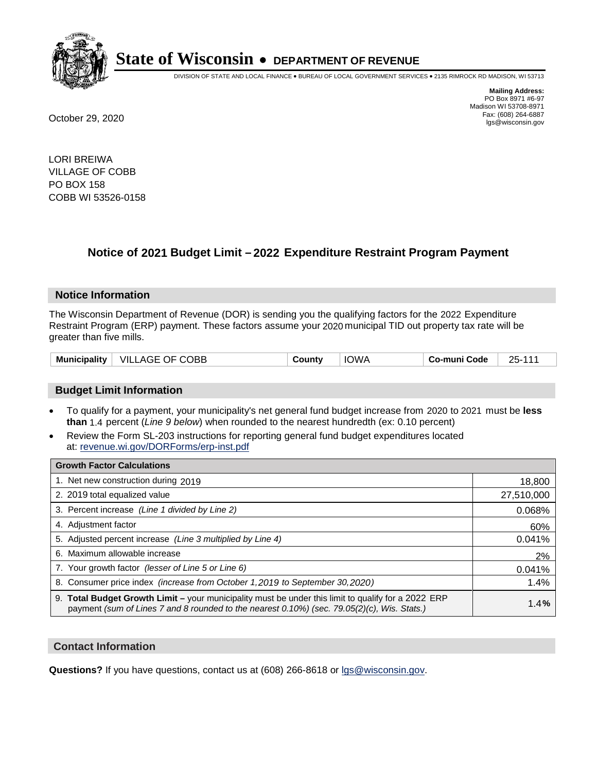

DIVISION OF STATE AND LOCAL FINANCE • BUREAU OF LOCAL GOVERNMENT SERVICES • 2135 RIMROCK RD MADISON, WI 53713

**Mailing Address:** PO Box 8971 #6-97 Madison WI 53708-8971<br>Fax: (608) 264-6887 Fax: (608) 264-6887 October 29, 2020 lgs@wisconsin.gov

LORI BREIWA VILLAGE OF COBB PO BOX 158 COBB WI 53526-0158

### **Notice of 2021 Budget Limit - 2022 Expenditure Restraint Program Payment**

#### **Notice Information**

The Wisconsin Department of Revenue (DOR) is sending you the qualifying factors for the 2022 Expenditure Restraint Program (ERP) payment. These factors assume your 2020 municipal TID out property tax rate will be greater than five mills.

| <b>Municipality</b> | $\mid$ VILLAGE OF COBB | County | <b>IOWA</b> | ⊤ Co-muni Code | 25-111 |
|---------------------|------------------------|--------|-------------|----------------|--------|
|---------------------|------------------------|--------|-------------|----------------|--------|

#### **Budget Limit Information**

- To qualify for a payment, your municipality's net general fund budget increase from 2020 to 2021 must be less **than** 1.4 percent (*Line 9 below*) when rounded to the nearest hundredth (ex: 0.10 percent)
- Review the Form SL-203 instructions for reporting general fund budget expenditures located at: revenue.wi.gov/DORForms/erp-inst.pdf

| <b>Growth Factor Calculations</b>                                                                                                                                                                      |            |
|--------------------------------------------------------------------------------------------------------------------------------------------------------------------------------------------------------|------------|
| 1. Net new construction during 2019                                                                                                                                                                    | 18,800     |
| 2. 2019 total equalized value                                                                                                                                                                          | 27,510,000 |
| 3. Percent increase (Line 1 divided by Line 2)                                                                                                                                                         | 0.068%     |
| 4. Adiustment factor                                                                                                                                                                                   | 60%        |
| 5. Adjusted percent increase (Line 3 multiplied by Line 4)                                                                                                                                             | 0.041%     |
| 6. Maximum allowable increase                                                                                                                                                                          | 2%         |
| 7. Your growth factor (lesser of Line 5 or Line 6)                                                                                                                                                     | 0.041%     |
| 8. Consumer price index (increase from October 1,2019 to September 30,2020)                                                                                                                            | 1.4%       |
| 9. Total Budget Growth Limit - your municipality must be under this limit to qualify for a 2022 ERP<br>payment (sum of Lines 7 and 8 rounded to the nearest $0.10\%$ ) (sec. 79.05(2)(c), Wis. Stats.) | 1.4%       |

#### **Contact Information**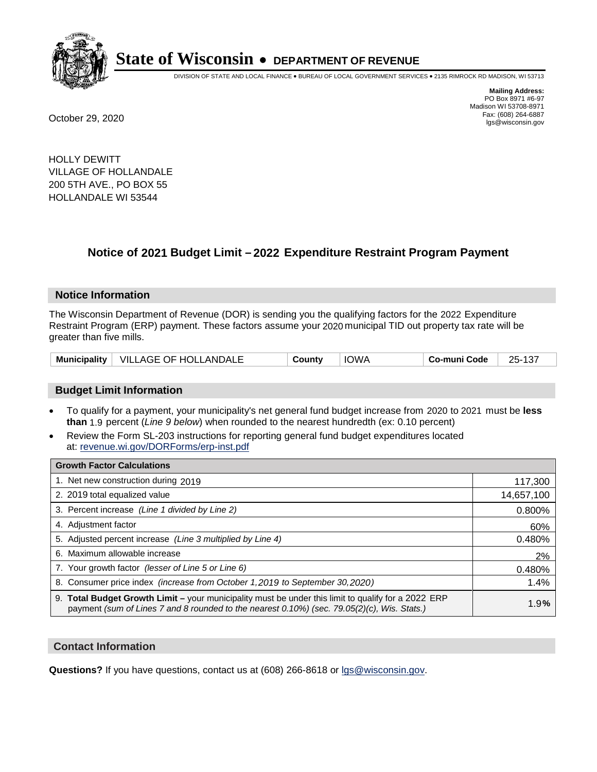

DIVISION OF STATE AND LOCAL FINANCE • BUREAU OF LOCAL GOVERNMENT SERVICES • 2135 RIMROCK RD MADISON, WI 53713

**Mailing Address:** PO Box 8971 #6-97 Madison WI 53708-8971<br>Fax: (608) 264-6887 Fax: (608) 264-6887 October 29, 2020 lgs@wisconsin.gov

HOLLY DEWITT VILLAGE OF HOLLANDALE 200 5TH AVE., PO BOX 55 HOLLANDALE WI 53544

### **Notice of 2021 Budget Limit - 2022 Expenditure Restraint Program Payment**

#### **Notice Information**

The Wisconsin Department of Revenue (DOR) is sending you the qualifying factors for the 2022 Expenditure Restraint Program (ERP) payment. These factors assume your 2020 municipal TID out property tax rate will be greater than five mills.

|  | Municipality   VILLAGE OF HOLLANDALE | County | IOWA | <b>Co-muni Code</b> | $\sim$<br>$25-1$<br>. د ۱ |
|--|--------------------------------------|--------|------|---------------------|---------------------------|
|--|--------------------------------------|--------|------|---------------------|---------------------------|

#### **Budget Limit Information**

- To qualify for a payment, your municipality's net general fund budget increase from 2020 to 2021 must be less **than** 1.9 percent (*Line 9 below*) when rounded to the nearest hundredth (ex: 0.10 percent)
- Review the Form SL-203 instructions for reporting general fund budget expenditures located at: revenue.wi.gov/DORForms/erp-inst.pdf

| <b>Growth Factor Calculations</b>                                                                                                                                                                      |            |
|--------------------------------------------------------------------------------------------------------------------------------------------------------------------------------------------------------|------------|
| 1. Net new construction during 2019                                                                                                                                                                    | 117,300    |
| 2. 2019 total equalized value                                                                                                                                                                          | 14,657,100 |
| 3. Percent increase (Line 1 divided by Line 2)                                                                                                                                                         | 0.800%     |
| 4. Adiustment factor                                                                                                                                                                                   | 60%        |
| 5. Adjusted percent increase (Line 3 multiplied by Line 4)                                                                                                                                             | 0.480%     |
| 6. Maximum allowable increase                                                                                                                                                                          | 2%         |
| 7. Your growth factor (lesser of Line 5 or Line 6)                                                                                                                                                     | 0.480%     |
| 8. Consumer price index (increase from October 1,2019 to September 30,2020)                                                                                                                            | 1.4%       |
| 9. Total Budget Growth Limit - your municipality must be under this limit to qualify for a 2022 ERP<br>payment (sum of Lines 7 and 8 rounded to the nearest $0.10\%$ ) (sec. 79.05(2)(c), Wis. Stats.) | 1.9%       |

#### **Contact Information**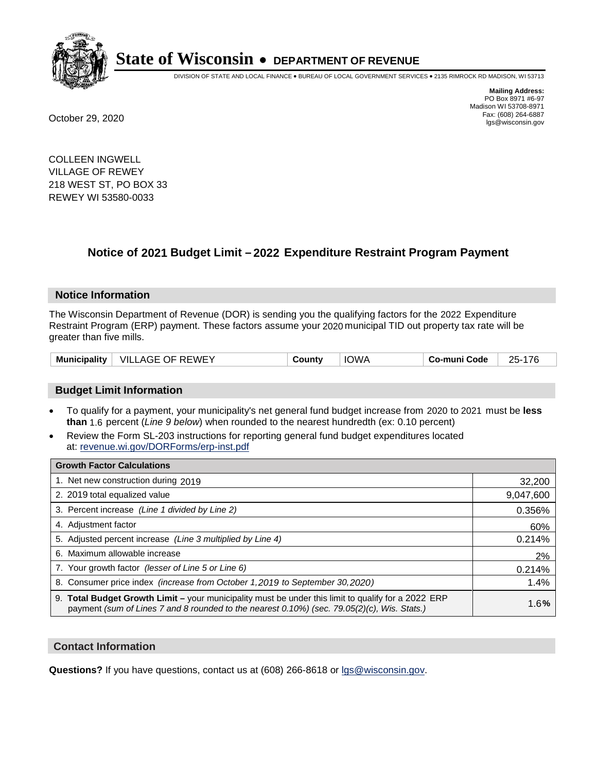

DIVISION OF STATE AND LOCAL FINANCE • BUREAU OF LOCAL GOVERNMENT SERVICES • 2135 RIMROCK RD MADISON, WI 53713

**Mailing Address:** PO Box 8971 #6-97 Madison WI 53708-8971<br>Fax: (608) 264-6887 Fax: (608) 264-6887 October 29, 2020 lgs@wisconsin.gov

COLLEEN INGWELL VILLAGE OF REWEY 218 WEST ST, PO BOX 33 REWEY WI 53580-0033

## **Notice of 2021 Budget Limit - 2022 Expenditure Restraint Program Payment**

#### **Notice Information**

The Wisconsin Department of Revenue (DOR) is sending you the qualifying factors for the 2022 Expenditure Restraint Program (ERP) payment. These factors assume your 2020 municipal TID out property tax rate will be greater than five mills.

| Municipality   VILLAGE OF REWEY |  | County | <b>IOWA</b> | Co-muni Code | 25-176 |
|---------------------------------|--|--------|-------------|--------------|--------|
|---------------------------------|--|--------|-------------|--------------|--------|

#### **Budget Limit Information**

- To qualify for a payment, your municipality's net general fund budget increase from 2020 to 2021 must be less **than** 1.6 percent (*Line 9 below*) when rounded to the nearest hundredth (ex: 0.10 percent)
- Review the Form SL-203 instructions for reporting general fund budget expenditures located at: revenue.wi.gov/DORForms/erp-inst.pdf

| <b>Growth Factor Calculations</b>                                                                                                                                                                  |           |
|----------------------------------------------------------------------------------------------------------------------------------------------------------------------------------------------------|-----------|
| 1. Net new construction during 2019                                                                                                                                                                | 32,200    |
| 2. 2019 total equalized value                                                                                                                                                                      | 9,047,600 |
| 3. Percent increase (Line 1 divided by Line 2)                                                                                                                                                     | 0.356%    |
| 4. Adiustment factor                                                                                                                                                                               | 60%       |
| 5. Adjusted percent increase (Line 3 multiplied by Line 4)                                                                                                                                         | 0.214%    |
| 6. Maximum allowable increase                                                                                                                                                                      | 2%        |
| 7. Your growth factor (lesser of Line 5 or Line 6)                                                                                                                                                 | 0.214%    |
| 8. Consumer price index (increase from October 1,2019 to September 30,2020)                                                                                                                        | 1.4%      |
| 9. Total Budget Growth Limit - your municipality must be under this limit to qualify for a 2022 ERP<br>payment (sum of Lines 7 and 8 rounded to the nearest 0.10%) (sec. 79.05(2)(c), Wis. Stats.) | 1.6%      |

#### **Contact Information**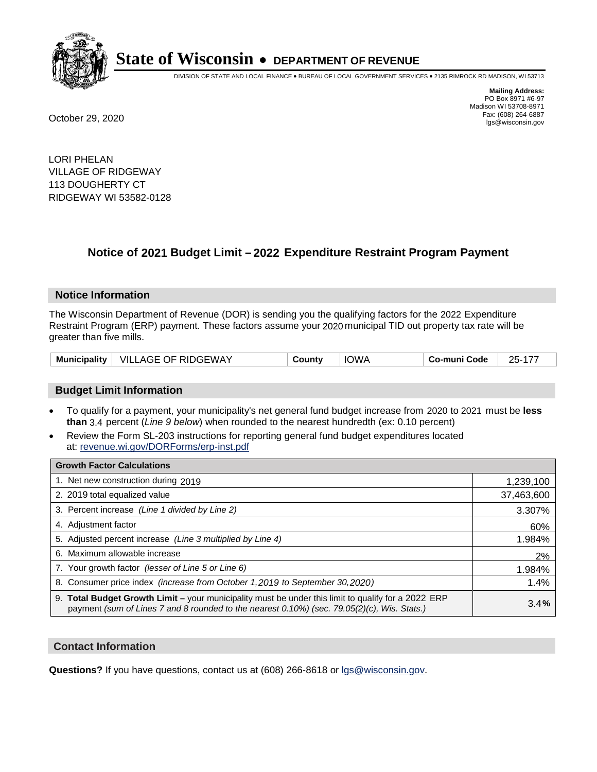

DIVISION OF STATE AND LOCAL FINANCE • BUREAU OF LOCAL GOVERNMENT SERVICES • 2135 RIMROCK RD MADISON, WI 53713

**Mailing Address:** PO Box 8971 #6-97 Madison WI 53708-8971<br>Fax: (608) 264-6887 Fax: (608) 264-6887 October 29, 2020 lgs@wisconsin.gov

LORI PHELAN VILLAGE OF RIDGEWAY 113 DOUGHERTY CT RIDGEWAY WI 53582-0128

### **Notice of 2021 Budget Limit - 2022 Expenditure Restraint Program Payment**

#### **Notice Information**

The Wisconsin Department of Revenue (DOR) is sending you the qualifying factors for the 2022 Expenditure Restraint Program (ERP) payment. These factors assume your 2020 municipal TID out property tax rate will be greater than five mills.

| VILLAGE OF RIDGEWAY<br><b>Municipality</b> | County | <b>IOWA</b> | Co-muni Code | 25-177 |
|--------------------------------------------|--------|-------------|--------------|--------|
|--------------------------------------------|--------|-------------|--------------|--------|

#### **Budget Limit Information**

- To qualify for a payment, your municipality's net general fund budget increase from 2020 to 2021 must be less **than** 3.4 percent (*Line 9 below*) when rounded to the nearest hundredth (ex: 0.10 percent)
- Review the Form SL-203 instructions for reporting general fund budget expenditures located at: revenue.wi.gov/DORForms/erp-inst.pdf

| <b>Growth Factor Calculations</b>                                                                                                                                                                      |            |
|--------------------------------------------------------------------------------------------------------------------------------------------------------------------------------------------------------|------------|
| 1. Net new construction during 2019                                                                                                                                                                    | 1,239,100  |
| 2. 2019 total equalized value                                                                                                                                                                          | 37,463,600 |
| 3. Percent increase (Line 1 divided by Line 2)                                                                                                                                                         | 3.307%     |
| 4. Adiustment factor                                                                                                                                                                                   | 60%        |
| 5. Adjusted percent increase (Line 3 multiplied by Line 4)                                                                                                                                             | 1.984%     |
| 6. Maximum allowable increase                                                                                                                                                                          | 2%         |
| 7. Your growth factor (lesser of Line 5 or Line 6)                                                                                                                                                     | 1.984%     |
| 8. Consumer price index (increase from October 1,2019 to September 30,2020)                                                                                                                            | 1.4%       |
| 9. Total Budget Growth Limit - your municipality must be under this limit to qualify for a 2022 ERP<br>payment (sum of Lines 7 and 8 rounded to the nearest $0.10\%$ ) (sec. 79.05(2)(c), Wis. Stats.) | 3.4%       |

#### **Contact Information**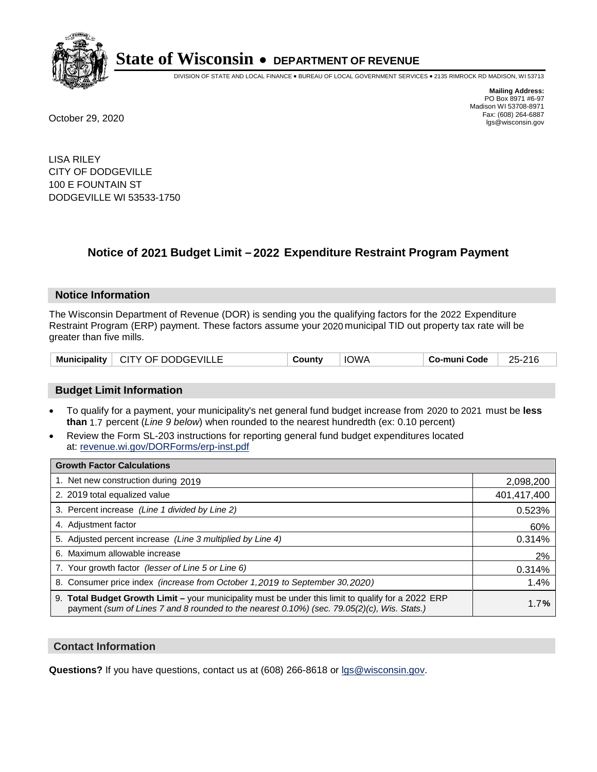

DIVISION OF STATE AND LOCAL FINANCE • BUREAU OF LOCAL GOVERNMENT SERVICES • 2135 RIMROCK RD MADISON, WI 53713

**Mailing Address:** PO Box 8971 #6-97 Madison WI 53708-8971<br>Fax: (608) 264-6887 Fax: (608) 264-6887 October 29, 2020 lgs@wisconsin.gov

LISA RILEY CITY OF DODGEVILLE 100 E FOUNTAIN ST DODGEVILLE WI 53533-1750

### **Notice of 2021 Budget Limit - 2022 Expenditure Restraint Program Payment**

#### **Notice Information**

The Wisconsin Department of Revenue (DOR) is sending you the qualifying factors for the 2022 Expenditure Restraint Program (ERP) payment. These factors assume your 2020 municipal TID out property tax rate will be greater than five mills.

#### **Budget Limit Information**

- To qualify for a payment, your municipality's net general fund budget increase from 2020 to 2021 must be less **than** 1.7 percent (*Line 9 below*) when rounded to the nearest hundredth (ex: 0.10 percent)
- Review the Form SL-203 instructions for reporting general fund budget expenditures located at: revenue.wi.gov/DORForms/erp-inst.pdf

| <b>Growth Factor Calculations</b>                                                                                                                                                                      |             |
|--------------------------------------------------------------------------------------------------------------------------------------------------------------------------------------------------------|-------------|
| 1. Net new construction during 2019                                                                                                                                                                    | 2,098,200   |
| 2. 2019 total equalized value                                                                                                                                                                          | 401,417,400 |
| 3. Percent increase (Line 1 divided by Line 2)                                                                                                                                                         | 0.523%      |
| 4. Adjustment factor                                                                                                                                                                                   | 60%         |
| 5. Adjusted percent increase (Line 3 multiplied by Line 4)                                                                                                                                             | 0.314%      |
| 6. Maximum allowable increase                                                                                                                                                                          | 2%          |
| 7. Your growth factor (lesser of Line 5 or Line 6)                                                                                                                                                     | 0.314%      |
| 8. Consumer price index (increase from October 1, 2019 to September 30, 2020)                                                                                                                          | 1.4%        |
| 9. Total Budget Growth Limit - your municipality must be under this limit to qualify for a 2022 ERP<br>payment (sum of Lines 7 and 8 rounded to the nearest $0.10\%$ ) (sec. 79.05(2)(c), Wis. Stats.) | 1.7%        |

#### **Contact Information**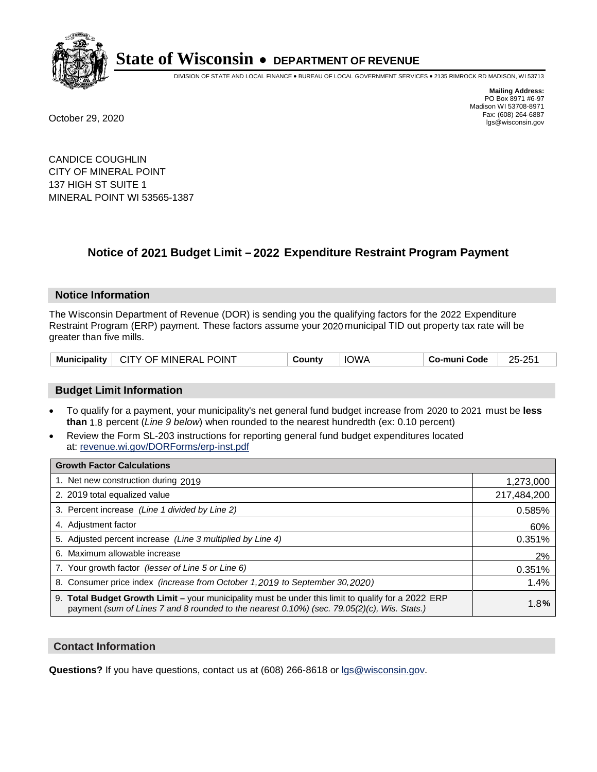

DIVISION OF STATE AND LOCAL FINANCE • BUREAU OF LOCAL GOVERNMENT SERVICES • 2135 RIMROCK RD MADISON, WI 53713

**Mailing Address:** PO Box 8971 #6-97 Madison WI 53708-8971<br>Fax: (608) 264-6887 Fax: (608) 264-6887 October 29, 2020 lgs@wisconsin.gov

CANDICE COUGHLIN CITY OF MINERAL POINT 137 HIGH ST SUITE 1 MINERAL POINT WI 53565-1387

### **Notice of 2021 Budget Limit - 2022 Expenditure Restraint Program Payment**

#### **Notice Information**

The Wisconsin Department of Revenue (DOR) is sending you the qualifying factors for the 2022 Expenditure Restraint Program (ERP) payment. These factors assume your 2020 municipal TID out property tax rate will be greater than five mills.

| <b>Municipality</b> | ↑ CITY OF MINERAL POINT | ountvٽ | <b>IOWA</b> | o-muni Codeٽ | 25-251 |
|---------------------|-------------------------|--------|-------------|--------------|--------|
|---------------------|-------------------------|--------|-------------|--------------|--------|

#### **Budget Limit Information**

- To qualify for a payment, your municipality's net general fund budget increase from 2020 to 2021 must be less **than** 1.8 percent (*Line 9 below*) when rounded to the nearest hundredth (ex: 0.10 percent)
- Review the Form SL-203 instructions for reporting general fund budget expenditures located at: revenue.wi.gov/DORForms/erp-inst.pdf

| <b>Growth Factor Calculations</b>                                                                                                                                                                      |             |
|--------------------------------------------------------------------------------------------------------------------------------------------------------------------------------------------------------|-------------|
| 1. Net new construction during 2019                                                                                                                                                                    | 1,273,000   |
| 2. 2019 total equalized value                                                                                                                                                                          | 217,484,200 |
| 3. Percent increase (Line 1 divided by Line 2)                                                                                                                                                         | 0.585%      |
| 4. Adjustment factor                                                                                                                                                                                   | 60%         |
| 5. Adjusted percent increase (Line 3 multiplied by Line 4)                                                                                                                                             | 0.351%      |
| 6. Maximum allowable increase                                                                                                                                                                          | 2%          |
| 7. Your growth factor (lesser of Line 5 or Line 6)                                                                                                                                                     | 0.351%      |
| 8. Consumer price index (increase from October 1, 2019 to September 30, 2020)                                                                                                                          | 1.4%        |
| 9. Total Budget Growth Limit - your municipality must be under this limit to qualify for a 2022 ERP<br>payment (sum of Lines 7 and 8 rounded to the nearest $0.10\%$ ) (sec. 79.05(2)(c), Wis. Stats.) | 1.8%        |

#### **Contact Information**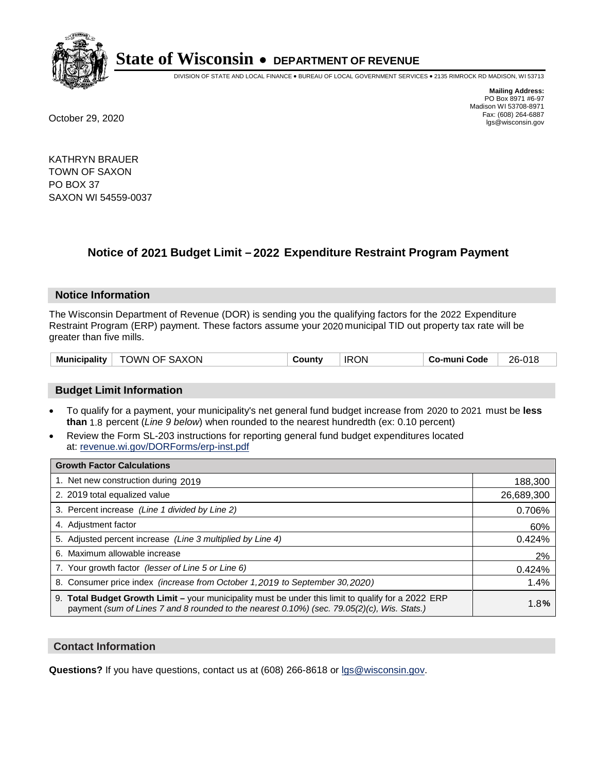

DIVISION OF STATE AND LOCAL FINANCE • BUREAU OF LOCAL GOVERNMENT SERVICES • 2135 RIMROCK RD MADISON, WI 53713

**Mailing Address:** PO Box 8971 #6-97 Madison WI 53708-8971<br>Fax: (608) 264-6887 Fax: (608) 264-6887 October 29, 2020 lgs@wisconsin.gov

KATHRYN BRAUER TOWN OF SAXON PO BOX 37 SAXON WI 54559-0037

## **Notice of 2021 Budget Limit - 2022 Expenditure Restraint Program Payment**

#### **Notice Information**

The Wisconsin Department of Revenue (DOR) is sending you the qualifying factors for the 2022 Expenditure Restraint Program (ERP) payment. These factors assume your 2020 municipal TID out property tax rate will be greater than five mills.

| <b>Municipality</b> | <b>SAXON</b><br>OWN-<br>OF. | ⊶ount∨ | <b>IRON</b> | Co-muni Code | 26-018 |
|---------------------|-----------------------------|--------|-------------|--------------|--------|
|---------------------|-----------------------------|--------|-------------|--------------|--------|

#### **Budget Limit Information**

- To qualify for a payment, your municipality's net general fund budget increase from 2020 to 2021 must be less **than** 1.8 percent (*Line 9 below*) when rounded to the nearest hundredth (ex: 0.10 percent)
- Review the Form SL-203 instructions for reporting general fund budget expenditures located at: revenue.wi.gov/DORForms/erp-inst.pdf

| <b>Growth Factor Calculations</b>                                                                                                                                                                  |            |
|----------------------------------------------------------------------------------------------------------------------------------------------------------------------------------------------------|------------|
| 1. Net new construction during 2019                                                                                                                                                                | 188,300    |
| 2. 2019 total equalized value                                                                                                                                                                      | 26,689,300 |
| 3. Percent increase (Line 1 divided by Line 2)                                                                                                                                                     | 0.706%     |
| 4. Adjustment factor                                                                                                                                                                               | 60%        |
| 5. Adjusted percent increase (Line 3 multiplied by Line 4)                                                                                                                                         | 0.424%     |
| 6. Maximum allowable increase                                                                                                                                                                      | 2%         |
| 7. Your growth factor (lesser of Line 5 or Line 6)                                                                                                                                                 | 0.424%     |
| 8. Consumer price index (increase from October 1, 2019 to September 30, 2020)                                                                                                                      | 1.4%       |
| 9. Total Budget Growth Limit - your municipality must be under this limit to qualify for a 2022 ERP<br>payment (sum of Lines 7 and 8 rounded to the nearest 0.10%) (sec. 79.05(2)(c), Wis. Stats.) | 1.8%       |

#### **Contact Information**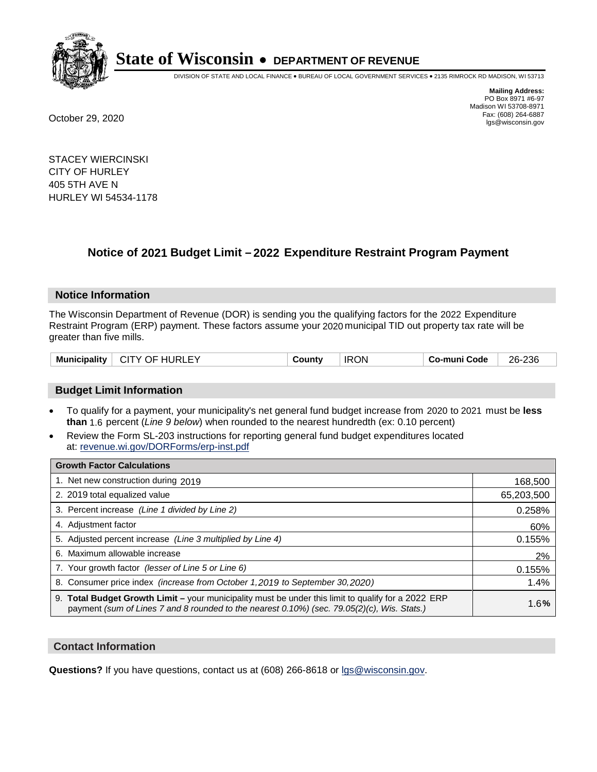

DIVISION OF STATE AND LOCAL FINANCE • BUREAU OF LOCAL GOVERNMENT SERVICES • 2135 RIMROCK RD MADISON, WI 53713

**Mailing Address:** PO Box 8971 #6-97 Madison WI 53708-8971<br>Fax: (608) 264-6887 Fax: (608) 264-6887 October 29, 2020 lgs@wisconsin.gov

STACEY WIERCINSKI CITY OF HURLEY 405 5TH AVE N HURLEY WI 54534-1178

### **Notice of 2021 Budget Limit - 2022 Expenditure Restraint Program Payment**

#### **Notice Information**

The Wisconsin Department of Revenue (DOR) is sending you the qualifying factors for the 2022 Expenditure Restraint Program (ERP) payment. These factors assume your 2020 municipal TID out property tax rate will be greater than five mills.

| <b>Municipality</b><br>CITY OF HURLEY | County | <b>IRON</b> | Co-muni Code | 26-236 |
|---------------------------------------|--------|-------------|--------------|--------|
|---------------------------------------|--------|-------------|--------------|--------|

#### **Budget Limit Information**

- To qualify for a payment, your municipality's net general fund budget increase from 2020 to 2021 must be less **than** 1.6 percent (*Line 9 below*) when rounded to the nearest hundredth (ex: 0.10 percent)
- Review the Form SL-203 instructions for reporting general fund budget expenditures located at: revenue.wi.gov/DORForms/erp-inst.pdf

| <b>Growth Factor Calculations</b>                                                                                                                                                                  |            |
|----------------------------------------------------------------------------------------------------------------------------------------------------------------------------------------------------|------------|
| 1. Net new construction during 2019                                                                                                                                                                | 168,500    |
| 2. 2019 total equalized value                                                                                                                                                                      | 65,203,500 |
| 3. Percent increase (Line 1 divided by Line 2)                                                                                                                                                     | 0.258%     |
| 4. Adiustment factor                                                                                                                                                                               | 60%        |
| 5. Adjusted percent increase (Line 3 multiplied by Line 4)                                                                                                                                         | 0.155%     |
| 6. Maximum allowable increase                                                                                                                                                                      | 2%         |
| 7. Your growth factor (lesser of Line 5 or Line 6)                                                                                                                                                 | 0.155%     |
| 8. Consumer price index (increase from October 1, 2019 to September 30, 2020)                                                                                                                      | 1.4%       |
| 9. Total Budget Growth Limit – your municipality must be under this limit to qualify for a 2022 ERP<br>payment (sum of Lines 7 and 8 rounded to the nearest 0.10%) (sec. 79.05(2)(c), Wis. Stats.) | 1.6%       |

#### **Contact Information**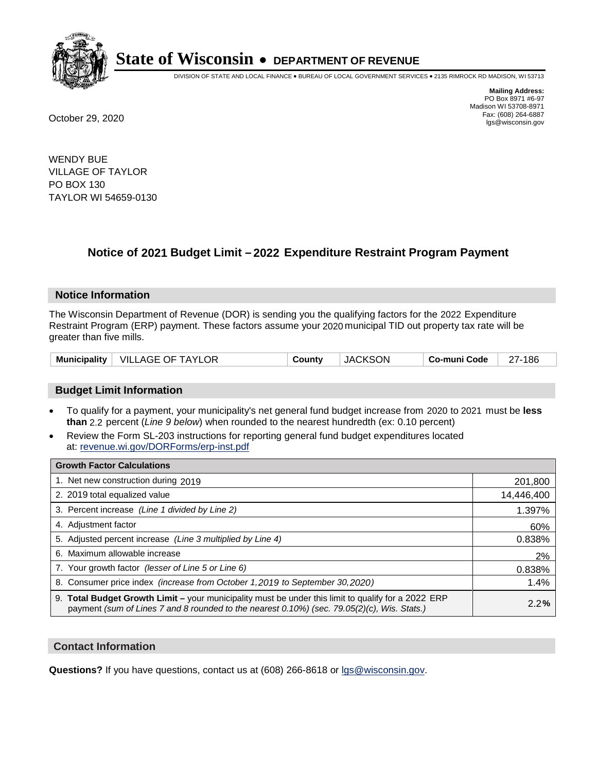

DIVISION OF STATE AND LOCAL FINANCE • BUREAU OF LOCAL GOVERNMENT SERVICES • 2135 RIMROCK RD MADISON, WI 53713

**Mailing Address:** PO Box 8971 #6-97 Madison WI 53708-8971<br>Fax: (608) 264-6887 Fax: (608) 264-6887 October 29, 2020 lgs@wisconsin.gov

WENDY BUE VILLAGE OF TAYLOR PO BOX 130 TAYLOR WI 54659-0130

### **Notice of 2021 Budget Limit - 2022 Expenditure Restraint Program Payment**

#### **Notice Information**

The Wisconsin Department of Revenue (DOR) is sending you the qualifying factors for the 2022 Expenditure Restraint Program (ERP) payment. These factors assume your 2020 municipal TID out property tax rate will be greater than five mills.

|  | Municipality   VILLAGE OF TAYLOR | County | <b>JACKSON</b> | Co-muni Code | 27-186 |
|--|----------------------------------|--------|----------------|--------------|--------|
|--|----------------------------------|--------|----------------|--------------|--------|

#### **Budget Limit Information**

- To qualify for a payment, your municipality's net general fund budget increase from 2020 to 2021 must be less **than** 2.2 percent (*Line 9 below*) when rounded to the nearest hundredth (ex: 0.10 percent)
- Review the Form SL-203 instructions for reporting general fund budget expenditures located at: revenue.wi.gov/DORForms/erp-inst.pdf

| <b>Growth Factor Calculations</b>                                                                                                                                                                  |            |
|----------------------------------------------------------------------------------------------------------------------------------------------------------------------------------------------------|------------|
| 1. Net new construction during 2019                                                                                                                                                                | 201,800    |
| 2. 2019 total equalized value                                                                                                                                                                      | 14,446,400 |
| 3. Percent increase (Line 1 divided by Line 2)                                                                                                                                                     | 1.397%     |
| 4. Adjustment factor                                                                                                                                                                               | 60%        |
| 5. Adjusted percent increase (Line 3 multiplied by Line 4)                                                                                                                                         | 0.838%     |
| 6. Maximum allowable increase                                                                                                                                                                      | 2%         |
| 7. Your growth factor (lesser of Line 5 or Line 6)                                                                                                                                                 | 0.838%     |
| 8. Consumer price index (increase from October 1, 2019 to September 30, 2020)                                                                                                                      | 1.4%       |
| 9. Total Budget Growth Limit - your municipality must be under this limit to qualify for a 2022 ERP<br>payment (sum of Lines 7 and 8 rounded to the nearest 0.10%) (sec. 79.05(2)(c), Wis. Stats.) | 2.2%       |

#### **Contact Information**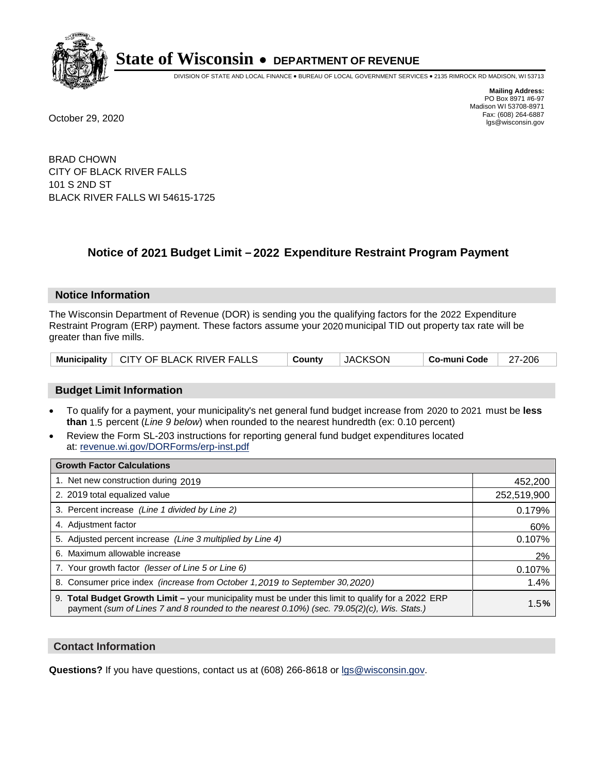

DIVISION OF STATE AND LOCAL FINANCE • BUREAU OF LOCAL GOVERNMENT SERVICES • 2135 RIMROCK RD MADISON, WI 53713

**Mailing Address:** PO Box 8971 #6-97 Madison WI 53708-8971<br>Fax: (608) 264-6887 Fax: (608) 264-6887 October 29, 2020 lgs@wisconsin.gov

BRAD CHOWN CITY OF BLACK RIVER FALLS 101 S 2ND ST BLACK RIVER FALLS WI 54615-1725

### **Notice of 2021 Budget Limit - 2022 Expenditure Restraint Program Payment**

#### **Notice Information**

The Wisconsin Department of Revenue (DOR) is sending you the qualifying factors for the 2022 Expenditure Restraint Program (ERP) payment. These factors assume your 2020 municipal TID out property tax rate will be greater than five mills.

#### **Budget Limit Information**

- To qualify for a payment, your municipality's net general fund budget increase from 2020 to 2021 must be less **than** 1.5 percent (*Line 9 below*) when rounded to the nearest hundredth (ex: 0.10 percent)
- Review the Form SL-203 instructions for reporting general fund budget expenditures located at: revenue.wi.gov/DORForms/erp-inst.pdf

| <b>Growth Factor Calculations</b>                                                                                                                                                                      |             |
|--------------------------------------------------------------------------------------------------------------------------------------------------------------------------------------------------------|-------------|
| 1. Net new construction during 2019                                                                                                                                                                    | 452,200     |
| 2. 2019 total equalized value                                                                                                                                                                          | 252,519,900 |
| 3. Percent increase (Line 1 divided by Line 2)                                                                                                                                                         | 0.179%      |
| 4. Adjustment factor                                                                                                                                                                                   | 60%         |
| 5. Adjusted percent increase (Line 3 multiplied by Line 4)                                                                                                                                             | 0.107%      |
| 6. Maximum allowable increase                                                                                                                                                                          | 2%          |
| 7. Your growth factor (lesser of Line 5 or Line 6)                                                                                                                                                     | 0.107%      |
| 8. Consumer price index (increase from October 1, 2019 to September 30, 2020)                                                                                                                          | 1.4%        |
| 9. Total Budget Growth Limit - your municipality must be under this limit to qualify for a 2022 ERP<br>payment (sum of Lines 7 and 8 rounded to the nearest $0.10\%$ ) (sec. 79.05(2)(c), Wis. Stats.) | 1.5%        |

#### **Contact Information**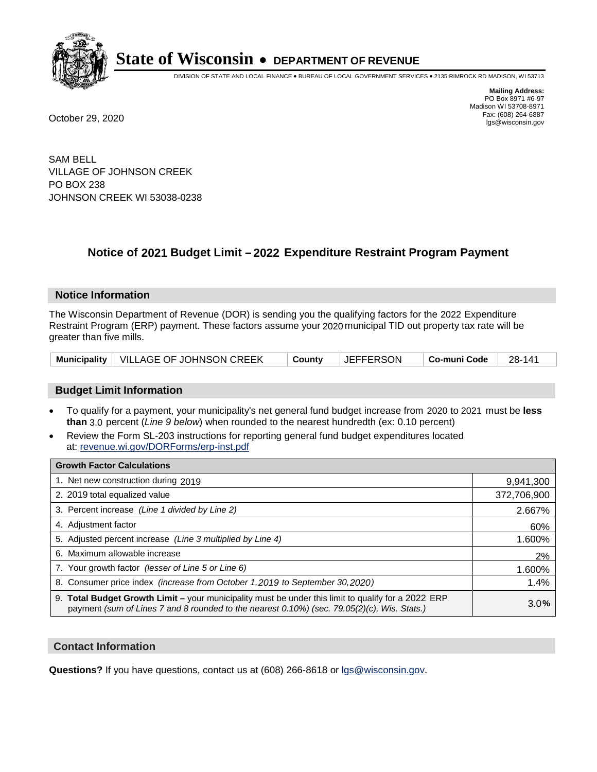

DIVISION OF STATE AND LOCAL FINANCE • BUREAU OF LOCAL GOVERNMENT SERVICES • 2135 RIMROCK RD MADISON, WI 53713

**Mailing Address:** PO Box 8971 #6-97 Madison WI 53708-8971<br>Fax: (608) 264-6887 Fax: (608) 264-6887 October 29, 2020 lgs@wisconsin.gov

SAM BELL VILLAGE OF JOHNSON CREEK PO BOX 238 JOHNSON CREEK WI 53038-0238

### **Notice of 2021 Budget Limit - 2022 Expenditure Restraint Program Payment**

#### **Notice Information**

The Wisconsin Department of Revenue (DOR) is sending you the qualifying factors for the 2022 Expenditure Restraint Program (ERP) payment. These factors assume your 2020 municipal TID out property tax rate will be greater than five mills.

| Municipality   VILLAGE OF JOHNSON CREEK<br>∣ County | <b>JEFFERSON</b><br>$\vert$ Co-muni Code $\vert$ 28-141 |  |
|-----------------------------------------------------|---------------------------------------------------------|--|
|-----------------------------------------------------|---------------------------------------------------------|--|

#### **Budget Limit Information**

- To qualify for a payment, your municipality's net general fund budget increase from 2020 to 2021 must be less **than** 3.0 percent (*Line 9 below*) when rounded to the nearest hundredth (ex: 0.10 percent)
- Review the Form SL-203 instructions for reporting general fund budget expenditures located at: revenue.wi.gov/DORForms/erp-inst.pdf

| <b>Growth Factor Calculations</b>                                                                                                                                                                  |             |
|----------------------------------------------------------------------------------------------------------------------------------------------------------------------------------------------------|-------------|
| 1. Net new construction during 2019                                                                                                                                                                | 9,941,300   |
| 2. 2019 total equalized value                                                                                                                                                                      | 372,706,900 |
| 3. Percent increase (Line 1 divided by Line 2)                                                                                                                                                     | 2.667%      |
| 4. Adjustment factor                                                                                                                                                                               | 60%         |
| 5. Adjusted percent increase (Line 3 multiplied by Line 4)                                                                                                                                         | 1.600%      |
| 6. Maximum allowable increase                                                                                                                                                                      | 2%          |
| 7. Your growth factor (lesser of Line 5 or Line 6)                                                                                                                                                 | 1.600%      |
| 8. Consumer price index (increase from October 1, 2019 to September 30, 2020)                                                                                                                      | 1.4%        |
| 9. Total Budget Growth Limit - your municipality must be under this limit to qualify for a 2022 ERP<br>payment (sum of Lines 7 and 8 rounded to the nearest 0.10%) (sec. 79.05(2)(c), Wis. Stats.) | 3.0%        |

#### **Contact Information**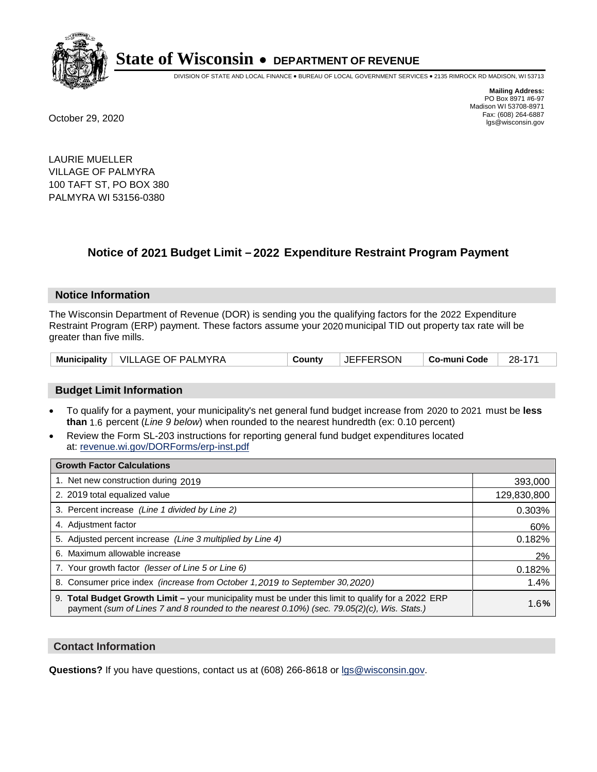

DIVISION OF STATE AND LOCAL FINANCE • BUREAU OF LOCAL GOVERNMENT SERVICES • 2135 RIMROCK RD MADISON, WI 53713

**Mailing Address:** PO Box 8971 #6-97 Madison WI 53708-8971<br>Fax: (608) 264-6887 Fax: (608) 264-6887 October 29, 2020 lgs@wisconsin.gov

LAURIE MUELLER VILLAGE OF PALMYRA 100 TAFT ST, PO BOX 380 PALMYRA WI 53156-0380

### **Notice of 2021 Budget Limit - 2022 Expenditure Restraint Program Payment**

#### **Notice Information**

The Wisconsin Department of Revenue (DOR) is sending you the qualifying factors for the 2022 Expenditure Restraint Program (ERP) payment. These factors assume your 2020 municipal TID out property tax rate will be greater than five mills.

|  | Municipality   VILLAGE OF PALMYRA | Countv | <b>JEFFERSON</b> | ∣ Co-muni Code | 28-171 |
|--|-----------------------------------|--------|------------------|----------------|--------|
|--|-----------------------------------|--------|------------------|----------------|--------|

#### **Budget Limit Information**

- To qualify for a payment, your municipality's net general fund budget increase from 2020 to 2021 must be less **than** 1.6 percent (*Line 9 below*) when rounded to the nearest hundredth (ex: 0.10 percent)
- Review the Form SL-203 instructions for reporting general fund budget expenditures located at: revenue.wi.gov/DORForms/erp-inst.pdf

| <b>Growth Factor Calculations</b>                                                                                                                                                                  |             |
|----------------------------------------------------------------------------------------------------------------------------------------------------------------------------------------------------|-------------|
| 1. Net new construction during 2019                                                                                                                                                                | 393,000     |
| 2. 2019 total equalized value                                                                                                                                                                      | 129,830,800 |
| 3. Percent increase (Line 1 divided by Line 2)                                                                                                                                                     | 0.303%      |
| 4. Adjustment factor                                                                                                                                                                               | 60%         |
| 5. Adjusted percent increase (Line 3 multiplied by Line 4)                                                                                                                                         | 0.182%      |
| 6. Maximum allowable increase                                                                                                                                                                      | 2%          |
| 7. Your growth factor (lesser of Line 5 or Line 6)                                                                                                                                                 | 0.182%      |
| 8. Consumer price index (increase from October 1,2019 to September 30,2020)                                                                                                                        | 1.4%        |
| 9. Total Budget Growth Limit - your municipality must be under this limit to qualify for a 2022 ERP<br>payment (sum of Lines 7 and 8 rounded to the nearest 0.10%) (sec. 79.05(2)(c), Wis. Stats.) | 1.6%        |

#### **Contact Information**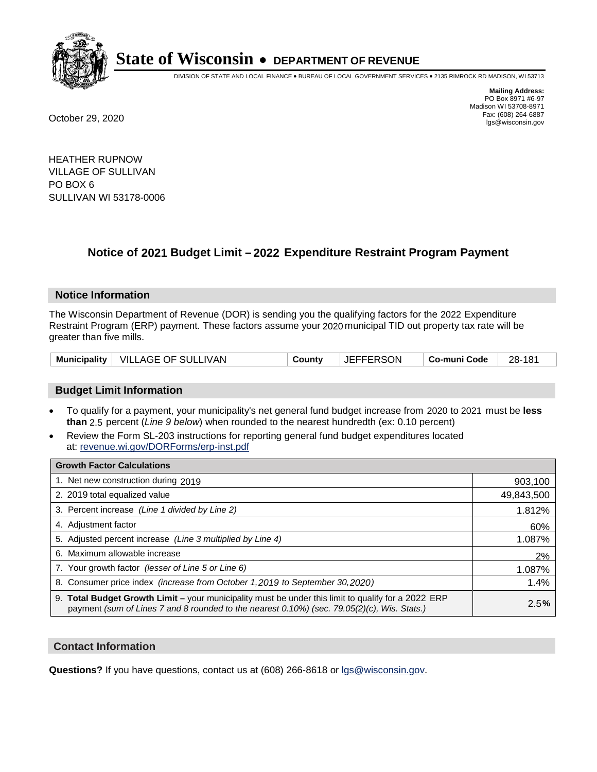

DIVISION OF STATE AND LOCAL FINANCE • BUREAU OF LOCAL GOVERNMENT SERVICES • 2135 RIMROCK RD MADISON, WI 53713

**Mailing Address:** PO Box 8971 #6-97 Madison WI 53708-8971<br>Fax: (608) 264-6887 Fax: (608) 264-6887 October 29, 2020 lgs@wisconsin.gov

HEATHER RUPNOW VILLAGE OF SULLIVAN PO BOX 6 SULLIVAN WI 53178-0006

### **Notice of 2021 Budget Limit - 2022 Expenditure Restraint Program Payment**

#### **Notice Information**

The Wisconsin Department of Revenue (DOR) is sending you the qualifying factors for the 2022 Expenditure Restraint Program (ERP) payment. These factors assume your 2020 municipal TID out property tax rate will be greater than five mills.

|  | Municipality   VILLAGE OF SULLIVAN | County | <b>JEFFERSON</b> | ∣ Co-muni Code | 28-181 |
|--|------------------------------------|--------|------------------|----------------|--------|
|--|------------------------------------|--------|------------------|----------------|--------|

#### **Budget Limit Information**

- To qualify for a payment, your municipality's net general fund budget increase from 2020 to 2021 must be less **than** 2.5 percent (*Line 9 below*) when rounded to the nearest hundredth (ex: 0.10 percent)
- Review the Form SL-203 instructions for reporting general fund budget expenditures located at: revenue.wi.gov/DORForms/erp-inst.pdf

| <b>Growth Factor Calculations</b>                                                                                                                                                                      |            |
|--------------------------------------------------------------------------------------------------------------------------------------------------------------------------------------------------------|------------|
| 1. Net new construction during 2019                                                                                                                                                                    | 903,100    |
| 2. 2019 total equalized value                                                                                                                                                                          | 49,843,500 |
| 3. Percent increase (Line 1 divided by Line 2)                                                                                                                                                         | 1.812%     |
| 4. Adjustment factor                                                                                                                                                                                   | 60%        |
| 5. Adjusted percent increase (Line 3 multiplied by Line 4)                                                                                                                                             | 1.087%     |
| 6. Maximum allowable increase                                                                                                                                                                          | 2%         |
| 7. Your growth factor (lesser of Line 5 or Line 6)                                                                                                                                                     | 1.087%     |
| 8. Consumer price index (increase from October 1,2019 to September 30,2020)                                                                                                                            | 1.4%       |
| 9. Total Budget Growth Limit - your municipality must be under this limit to qualify for a 2022 ERP<br>payment (sum of Lines 7 and 8 rounded to the nearest $0.10\%$ ) (sec. 79.05(2)(c), Wis. Stats.) | 2.5%       |

#### **Contact Information**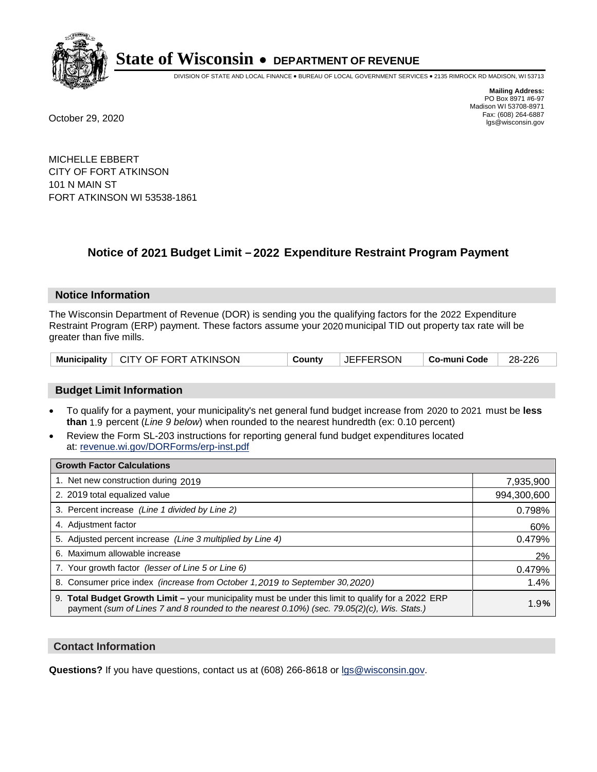

DIVISION OF STATE AND LOCAL FINANCE • BUREAU OF LOCAL GOVERNMENT SERVICES • 2135 RIMROCK RD MADISON, WI 53713

**Mailing Address:** PO Box 8971 #6-97 Madison WI 53708-8971<br>Fax: (608) 264-6887 Fax: (608) 264-6887 October 29, 2020 lgs@wisconsin.gov

MICHELLE EBBERT CITY OF FORT ATKINSON 101 N MAIN ST FORT ATKINSON WI 53538-1861

### **Notice of 2021 Budget Limit - 2022 Expenditure Restraint Program Payment**

#### **Notice Information**

The Wisconsin Department of Revenue (DOR) is sending you the qualifying factors for the 2022 Expenditure Restraint Program (ERP) payment. These factors assume your 2020 municipal TID out property tax rate will be greater than five mills.

|  | Municipality   CITY OF FORT ATKINSON | County | <b>JEFFERSON</b> | │ Co-muni Code │ | $\vert$ 28-226 |
|--|--------------------------------------|--------|------------------|------------------|----------------|
|--|--------------------------------------|--------|------------------|------------------|----------------|

#### **Budget Limit Information**

- To qualify for a payment, your municipality's net general fund budget increase from 2020 to 2021 must be less **than** 1.9 percent (*Line 9 below*) when rounded to the nearest hundredth (ex: 0.10 percent)
- Review the Form SL-203 instructions for reporting general fund budget expenditures located at: revenue.wi.gov/DORForms/erp-inst.pdf

| <b>Growth Factor Calculations</b>                                                                                                                                                                      |             |
|--------------------------------------------------------------------------------------------------------------------------------------------------------------------------------------------------------|-------------|
| 1. Net new construction during 2019                                                                                                                                                                    | 7,935,900   |
| 2. 2019 total equalized value                                                                                                                                                                          | 994,300,600 |
| 3. Percent increase (Line 1 divided by Line 2)                                                                                                                                                         | 0.798%      |
| 4. Adjustment factor                                                                                                                                                                                   | 60%         |
| 5. Adjusted percent increase (Line 3 multiplied by Line 4)                                                                                                                                             | 0.479%      |
| 6. Maximum allowable increase                                                                                                                                                                          | 2%          |
| 7. Your growth factor (lesser of Line 5 or Line 6)                                                                                                                                                     | 0.479%      |
| 8. Consumer price index (increase from October 1, 2019 to September 30, 2020)                                                                                                                          | 1.4%        |
| 9. Total Budget Growth Limit - your municipality must be under this limit to qualify for a 2022 ERP<br>payment (sum of Lines 7 and 8 rounded to the nearest $0.10\%$ ) (sec. 79.05(2)(c), Wis. Stats.) | 1.9%        |

#### **Contact Information**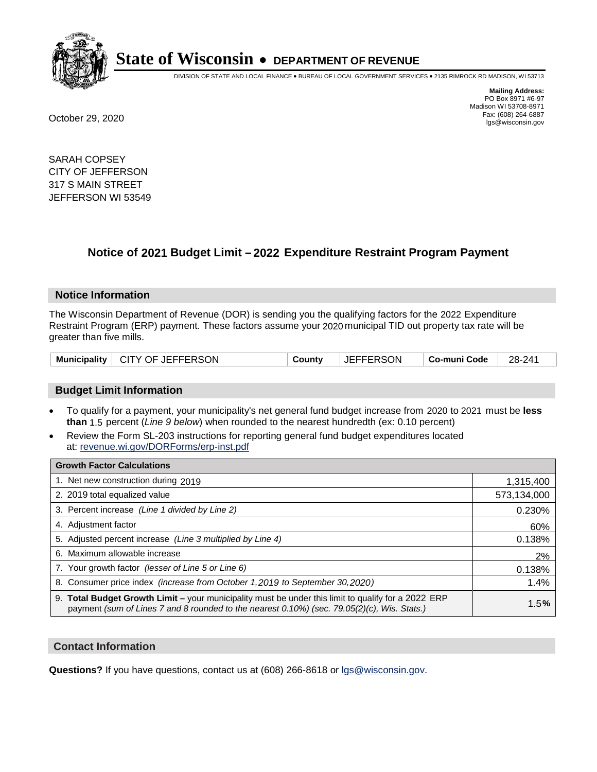

DIVISION OF STATE AND LOCAL FINANCE • BUREAU OF LOCAL GOVERNMENT SERVICES • 2135 RIMROCK RD MADISON, WI 53713

**Mailing Address:** PO Box 8971 #6-97 Madison WI 53708-8971<br>Fax: (608) 264-6887 Fax: (608) 264-6887 October 29, 2020 lgs@wisconsin.gov

SARAH COPSEY CITY OF JEFFERSON 317 S MAIN STREET JEFFERSON WI 53549

### **Notice of 2021 Budget Limit - 2022 Expenditure Restraint Program Payment**

#### **Notice Information**

The Wisconsin Department of Revenue (DOR) is sending you the qualifying factors for the 2022 Expenditure Restraint Program (ERP) payment. These factors assume your 2020 municipal TID out property tax rate will be greater than five mills.

#### **Budget Limit Information**

- To qualify for a payment, your municipality's net general fund budget increase from 2020 to 2021 must be less **than** 1.5 percent (*Line 9 below*) when rounded to the nearest hundredth (ex: 0.10 percent)
- Review the Form SL-203 instructions for reporting general fund budget expenditures located at: revenue.wi.gov/DORForms/erp-inst.pdf

| <b>Growth Factor Calculations</b>                                                                                                                                                                  |             |
|----------------------------------------------------------------------------------------------------------------------------------------------------------------------------------------------------|-------------|
| 1. Net new construction during 2019                                                                                                                                                                | 1,315,400   |
| 2. 2019 total equalized value                                                                                                                                                                      | 573,134,000 |
| 3. Percent increase (Line 1 divided by Line 2)                                                                                                                                                     | 0.230%      |
| 4. Adjustment factor                                                                                                                                                                               | 60%         |
| 5. Adjusted percent increase (Line 3 multiplied by Line 4)                                                                                                                                         | 0.138%      |
| 6. Maximum allowable increase                                                                                                                                                                      | 2%          |
| 7. Your growth factor (lesser of Line 5 or Line 6)                                                                                                                                                 | 0.138%      |
| 8. Consumer price index (increase from October 1, 2019 to September 30, 2020)                                                                                                                      | 1.4%        |
| 9. Total Budget Growth Limit - your municipality must be under this limit to qualify for a 2022 ERP<br>payment (sum of Lines 7 and 8 rounded to the nearest 0.10%) (sec. 79.05(2)(c), Wis. Stats.) | 1.5%        |

#### **Contact Information**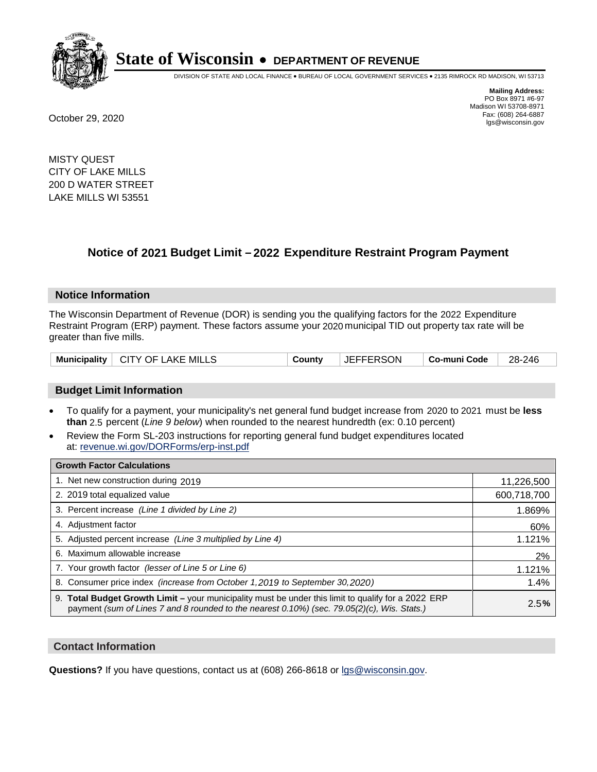

DIVISION OF STATE AND LOCAL FINANCE • BUREAU OF LOCAL GOVERNMENT SERVICES • 2135 RIMROCK RD MADISON, WI 53713

**Mailing Address:** PO Box 8971 #6-97 Madison WI 53708-8971<br>Fax: (608) 264-6887 Fax: (608) 264-6887 October 29, 2020 lgs@wisconsin.gov

MISTY QUEST CITY OF LAKE MILLS 200 D WATER STREET LAKE MILLS WI 53551

### **Notice of 2021 Budget Limit - 2022 Expenditure Restraint Program Payment**

#### **Notice Information**

The Wisconsin Department of Revenue (DOR) is sending you the qualifying factors for the 2022 Expenditure Restraint Program (ERP) payment. These factors assume your 2020 municipal TID out property tax rate will be greater than five mills.

| Municipality   CITY OF LAKE MILLS | County | <b>JEFFERSON</b> | ∣ Co-muni Code | 28-246 |
|-----------------------------------|--------|------------------|----------------|--------|
|-----------------------------------|--------|------------------|----------------|--------|

#### **Budget Limit Information**

- To qualify for a payment, your municipality's net general fund budget increase from 2020 to 2021 must be less **than** 2.5 percent (*Line 9 below*) when rounded to the nearest hundredth (ex: 0.10 percent)
- Review the Form SL-203 instructions for reporting general fund budget expenditures located at: revenue.wi.gov/DORForms/erp-inst.pdf

| <b>Growth Factor Calculations</b>                                                                                                                                                                  |             |
|----------------------------------------------------------------------------------------------------------------------------------------------------------------------------------------------------|-------------|
| 1. Net new construction during 2019                                                                                                                                                                | 11,226,500  |
| 2. 2019 total equalized value                                                                                                                                                                      | 600,718,700 |
| 3. Percent increase (Line 1 divided by Line 2)                                                                                                                                                     | 1.869%      |
| 4. Adjustment factor                                                                                                                                                                               | 60%         |
| 5. Adjusted percent increase (Line 3 multiplied by Line 4)                                                                                                                                         | 1.121%      |
| 6. Maximum allowable increase                                                                                                                                                                      | 2%          |
| 7. Your growth factor (lesser of Line 5 or Line 6)                                                                                                                                                 | 1.121%      |
| 8. Consumer price index (increase from October 1,2019 to September 30,2020)                                                                                                                        | 1.4%        |
| 9. Total Budget Growth Limit - your municipality must be under this limit to qualify for a 2022 ERP<br>payment (sum of Lines 7 and 8 rounded to the nearest 0.10%) (sec. 79.05(2)(c), Wis. Stats.) | 2.5%        |

#### **Contact Information**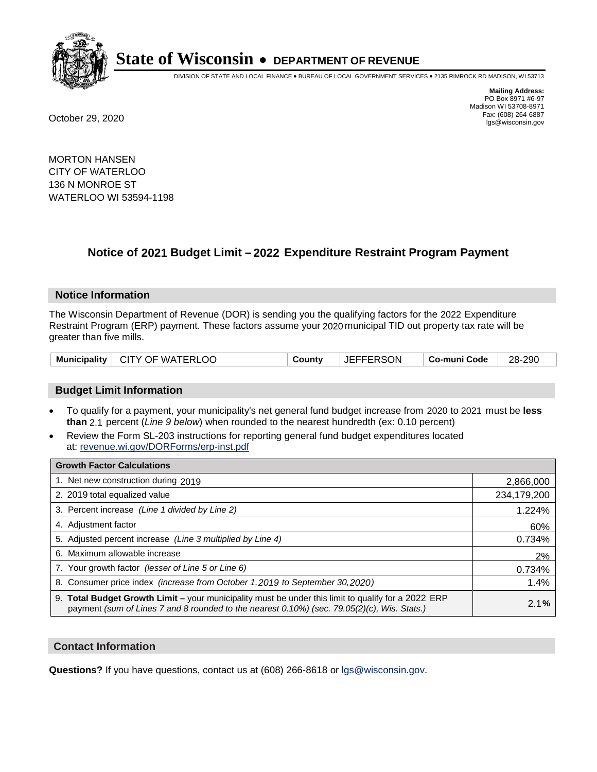

DIVISION OF STATE AND LOCAL FINANCE • BUREAU OF LOCAL GOVERNMENT SERVICES • 2135 RIMROCK RD MADISON, WI 53713

**Mailing Address:** PO Box 8971 #6-97 Madison WI 53708-8971<br>Fax: (608) 264-6887 Fax: (608) 264-6887 October 29, 2020 lgs@wisconsin.gov

MORTON HANSEN CITY OF WATERLOO 136 N MONROE ST WATERLOO WI 53594-1198

### **Notice of 2021 Budget Limit - 2022 Expenditure Restraint Program Payment**

#### **Notice Information**

The Wisconsin Department of Revenue (DOR) is sending you the qualifying factors for the 2022 Expenditure Restraint Program (ERP) payment. These factors assume your 2020 municipal TID out property tax rate will be greater than five mills.

| Municipality   CITY OF WATERLOO | County | <b>JEFFERSON</b> | Co-muni Code | 28-290 |
|---------------------------------|--------|------------------|--------------|--------|
|---------------------------------|--------|------------------|--------------|--------|

#### **Budget Limit Information**

- To qualify for a payment, your municipality's net general fund budget increase from 2020 to 2021 must be less **than** 2.1 percent (*Line 9 below*) when rounded to the nearest hundredth (ex: 0.10 percent)
- Review the Form SL-203 instructions for reporting general fund budget expenditures located at: revenue.wi.gov/DORForms/erp-inst.pdf

| <b>Growth Factor Calculations</b>                                                                                                                                                                  |             |
|----------------------------------------------------------------------------------------------------------------------------------------------------------------------------------------------------|-------------|
| 1. Net new construction during 2019                                                                                                                                                                | 2,866,000   |
| 2. 2019 total equalized value                                                                                                                                                                      | 234,179,200 |
| 3. Percent increase (Line 1 divided by Line 2)                                                                                                                                                     | 1.224%      |
| 4. Adjustment factor                                                                                                                                                                               | 60%         |
| 5. Adjusted percent increase (Line 3 multiplied by Line 4)                                                                                                                                         | 0.734%      |
| 6. Maximum allowable increase                                                                                                                                                                      | 2%          |
| 7. Your growth factor (lesser of Line 5 or Line 6)                                                                                                                                                 | 0.734%      |
| 8. Consumer price index (increase from October 1, 2019 to September 30, 2020)                                                                                                                      | 1.4%        |
| 9. Total Budget Growth Limit - your municipality must be under this limit to qualify for a 2022 ERP<br>payment (sum of Lines 7 and 8 rounded to the nearest 0.10%) (sec. 79.05(2)(c), Wis. Stats.) | 2.1%        |

#### **Contact Information**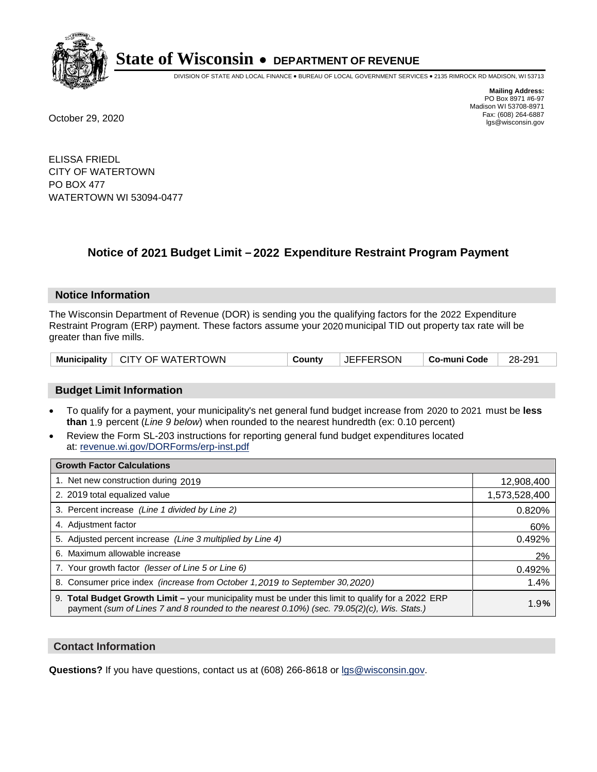

DIVISION OF STATE AND LOCAL FINANCE • BUREAU OF LOCAL GOVERNMENT SERVICES • 2135 RIMROCK RD MADISON, WI 53713

**Mailing Address:** PO Box 8971 #6-97 Madison WI 53708-8971<br>Fax: (608) 264-6887 Fax: (608) 264-6887 October 29, 2020 lgs@wisconsin.gov

ELISSA FRIEDL CITY OF WATERTOWN PO BOX 477 WATERTOWN WI 53094-0477

### **Notice of 2021 Budget Limit - 2022 Expenditure Restraint Program Payment**

#### **Notice Information**

The Wisconsin Department of Revenue (DOR) is sending you the qualifying factors for the 2022 Expenditure Restraint Program (ERP) payment. These factors assume your 2020 municipal TID out property tax rate will be greater than five mills.

#### **Budget Limit Information**

- To qualify for a payment, your municipality's net general fund budget increase from 2020 to 2021 must be less **than** 1.9 percent (*Line 9 below*) when rounded to the nearest hundredth (ex: 0.10 percent)
- Review the Form SL-203 instructions for reporting general fund budget expenditures located at: revenue.wi.gov/DORForms/erp-inst.pdf

| <b>Growth Factor Calculations</b>                                                                                                                                                                      |               |
|--------------------------------------------------------------------------------------------------------------------------------------------------------------------------------------------------------|---------------|
| 1. Net new construction during 2019                                                                                                                                                                    | 12,908,400    |
| 2. 2019 total equalized value                                                                                                                                                                          | 1,573,528,400 |
| 3. Percent increase (Line 1 divided by Line 2)                                                                                                                                                         | 0.820%        |
| 4. Adjustment factor                                                                                                                                                                                   | 60%           |
| 5. Adjusted percent increase (Line 3 multiplied by Line 4)                                                                                                                                             | 0.492%        |
| 6. Maximum allowable increase                                                                                                                                                                          | 2%            |
| 7. Your growth factor (lesser of Line 5 or Line 6)                                                                                                                                                     | 0.492%        |
| 8. Consumer price index (increase from October 1,2019 to September 30,2020)                                                                                                                            | 1.4%          |
| 9. Total Budget Growth Limit - your municipality must be under this limit to qualify for a 2022 ERP<br>payment (sum of Lines 7 and 8 rounded to the nearest $0.10\%$ ) (sec. 79.05(2)(c), Wis. Stats.) | 1.9%          |

#### **Contact Information**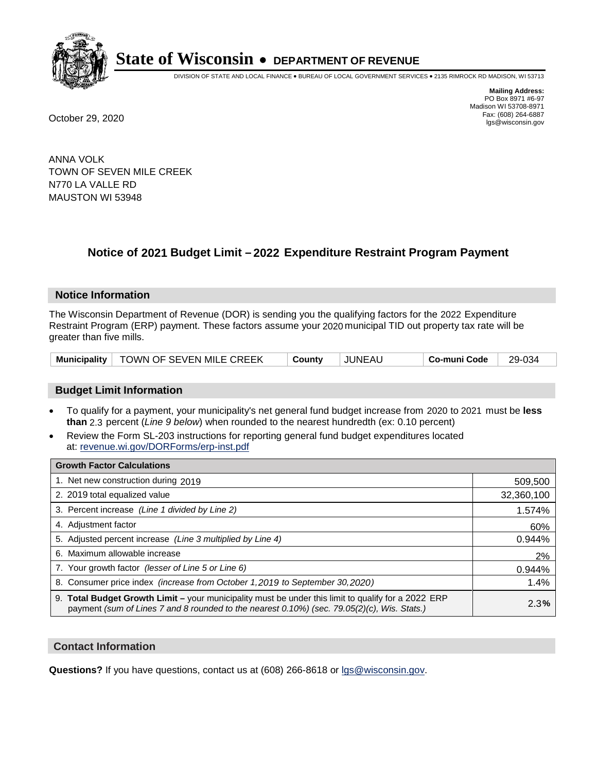

DIVISION OF STATE AND LOCAL FINANCE • BUREAU OF LOCAL GOVERNMENT SERVICES • 2135 RIMROCK RD MADISON, WI 53713

**Mailing Address:** PO Box 8971 #6-97 Madison WI 53708-8971<br>Fax: (608) 264-6887 Fax: (608) 264-6887 October 29, 2020 lgs@wisconsin.gov

ANNA VOLK TOWN OF SEVEN MILE CREEK N770 LA VALLE RD MAUSTON WI 53948

### **Notice of 2021 Budget Limit - 2022 Expenditure Restraint Program Payment**

#### **Notice Information**

The Wisconsin Department of Revenue (DOR) is sending you the qualifying factors for the 2022 Expenditure Restraint Program (ERP) payment. These factors assume your 2020 municipal TID out property tax rate will be greater than five mills.

|  | Municipality   TOWN OF SEVEN MILE CREEK | County | JUNEAL | Co-muni Code | 29-034 |
|--|-----------------------------------------|--------|--------|--------------|--------|
|--|-----------------------------------------|--------|--------|--------------|--------|

#### **Budget Limit Information**

- To qualify for a payment, your municipality's net general fund budget increase from 2020 to 2021 must be less **than** 2.3 percent (*Line 9 below*) when rounded to the nearest hundredth (ex: 0.10 percent)
- Review the Form SL-203 instructions for reporting general fund budget expenditures located at: revenue.wi.gov/DORForms/erp-inst.pdf

| <b>Growth Factor Calculations</b>                                                                                                                                                                  |            |
|----------------------------------------------------------------------------------------------------------------------------------------------------------------------------------------------------|------------|
| 1. Net new construction during 2019                                                                                                                                                                | 509,500    |
| 2. 2019 total equalized value                                                                                                                                                                      | 32,360,100 |
| 3. Percent increase (Line 1 divided by Line 2)                                                                                                                                                     | 1.574%     |
| 4. Adiustment factor                                                                                                                                                                               | 60%        |
| 5. Adjusted percent increase (Line 3 multiplied by Line 4)                                                                                                                                         | 0.944%     |
| 6. Maximum allowable increase                                                                                                                                                                      | 2%         |
| 7. Your growth factor (lesser of Line 5 or Line 6)                                                                                                                                                 | 0.944%     |
| 8. Consumer price index (increase from October 1,2019 to September 30,2020)                                                                                                                        | 1.4%       |
| 9. Total Budget Growth Limit - your municipality must be under this limit to qualify for a 2022 ERP<br>payment (sum of Lines 7 and 8 rounded to the nearest 0.10%) (sec. 79.05(2)(c), Wis. Stats.) | 2.3%       |

#### **Contact Information**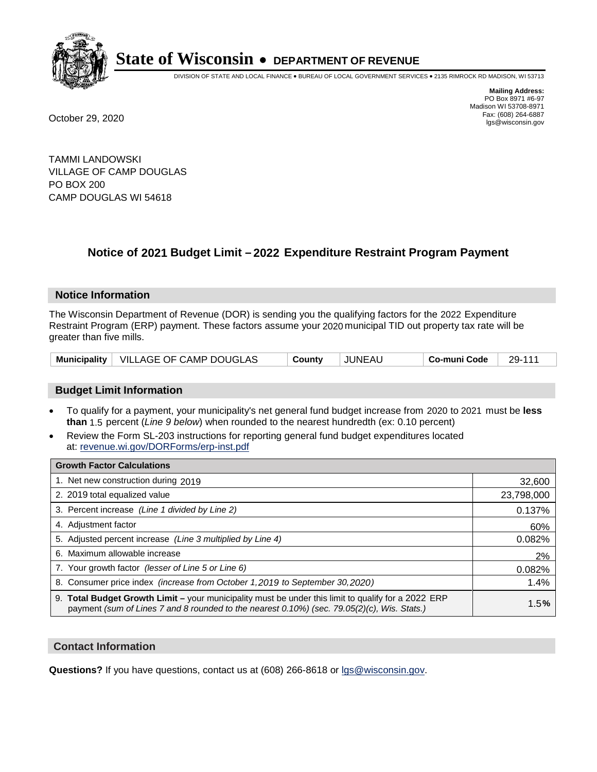

DIVISION OF STATE AND LOCAL FINANCE • BUREAU OF LOCAL GOVERNMENT SERVICES • 2135 RIMROCK RD MADISON, WI 53713

**Mailing Address:** PO Box 8971 #6-97 Madison WI 53708-8971<br>Fax: (608) 264-6887 Fax: (608) 264-6887 October 29, 2020 lgs@wisconsin.gov

TAMMI LANDOWSKI VILLAGE OF CAMP DOUGLAS PO BOX 200 CAMP DOUGLAS WI 54618

## **Notice of 2021 Budget Limit - 2022 Expenditure Restraint Program Payment**

#### **Notice Information**

The Wisconsin Department of Revenue (DOR) is sending you the qualifying factors for the 2022 Expenditure Restraint Program (ERP) payment. These factors assume your 2020 municipal TID out property tax rate will be greater than five mills.

|  | Municipality   VILLAGE OF CAMP DOUGLAS | County | JUNEAU | Co-muni Code | 29-111 |
|--|----------------------------------------|--------|--------|--------------|--------|
|--|----------------------------------------|--------|--------|--------------|--------|

#### **Budget Limit Information**

- To qualify for a payment, your municipality's net general fund budget increase from 2020 to 2021 must be less **than** 1.5 percent (*Line 9 below*) when rounded to the nearest hundredth (ex: 0.10 percent)
- Review the Form SL-203 instructions for reporting general fund budget expenditures located at: revenue.wi.gov/DORForms/erp-inst.pdf

| <b>Growth Factor Calculations</b>                                                                                                                                                                      |            |
|--------------------------------------------------------------------------------------------------------------------------------------------------------------------------------------------------------|------------|
| 1. Net new construction during 2019                                                                                                                                                                    | 32,600     |
| 2. 2019 total equalized value                                                                                                                                                                          | 23,798,000 |
| 3. Percent increase (Line 1 divided by Line 2)                                                                                                                                                         | 0.137%     |
| 4. Adjustment factor                                                                                                                                                                                   | 60%        |
| 5. Adjusted percent increase (Line 3 multiplied by Line 4)                                                                                                                                             | 0.082%     |
| 6. Maximum allowable increase                                                                                                                                                                          | 2%         |
| 7. Your growth factor (lesser of Line 5 or Line 6)                                                                                                                                                     | 0.082%     |
| 8. Consumer price index (increase from October 1, 2019 to September 30, 2020)                                                                                                                          | 1.4%       |
| 9. Total Budget Growth Limit - your municipality must be under this limit to qualify for a 2022 ERP<br>payment (sum of Lines 7 and 8 rounded to the nearest $0.10\%$ ) (sec. 79.05(2)(c), Wis. Stats.) | 1.5%       |

#### **Contact Information**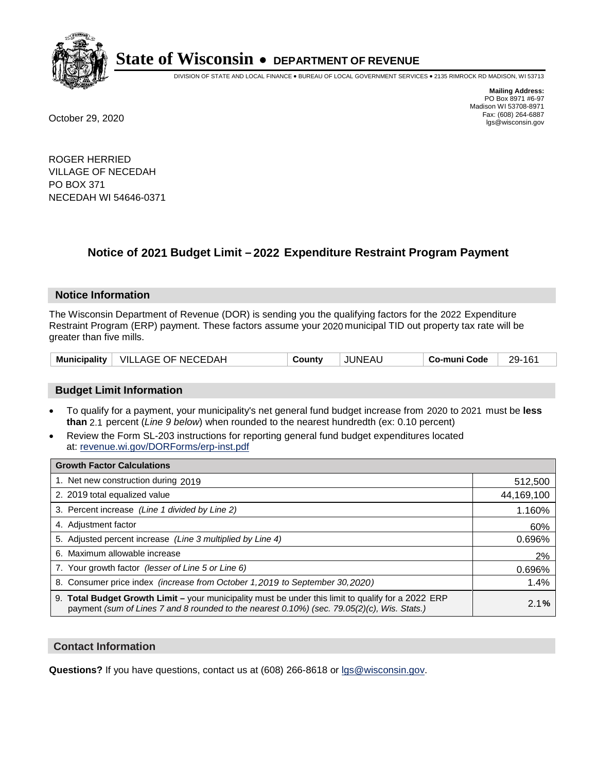

DIVISION OF STATE AND LOCAL FINANCE • BUREAU OF LOCAL GOVERNMENT SERVICES • 2135 RIMROCK RD MADISON, WI 53713

**Mailing Address:** PO Box 8971 #6-97 Madison WI 53708-8971<br>Fax: (608) 264-6887 Fax: (608) 264-6887 October 29, 2020 lgs@wisconsin.gov

ROGER HERRIED VILLAGE OF NECEDAH PO BOX 371 NECEDAH WI 54646-0371

### **Notice of 2021 Budget Limit - 2022 Expenditure Restraint Program Payment**

#### **Notice Information**

The Wisconsin Department of Revenue (DOR) is sending you the qualifying factors for the 2022 Expenditure Restraint Program (ERP) payment. These factors assume your 2020 municipal TID out property tax rate will be greater than five mills.

| <b>Municipality</b> | VILLAGE OF NECEDAH | County | JUNEAU | Co-muni Code | 29-161 |
|---------------------|--------------------|--------|--------|--------------|--------|
|---------------------|--------------------|--------|--------|--------------|--------|

#### **Budget Limit Information**

- To qualify for a payment, your municipality's net general fund budget increase from 2020 to 2021 must be less **than** 2.1 percent (*Line 9 below*) when rounded to the nearest hundredth (ex: 0.10 percent)
- Review the Form SL-203 instructions for reporting general fund budget expenditures located at: revenue.wi.gov/DORForms/erp-inst.pdf

| <b>Growth Factor Calculations</b>                                                                                                                                                                  |            |
|----------------------------------------------------------------------------------------------------------------------------------------------------------------------------------------------------|------------|
| 1. Net new construction during 2019                                                                                                                                                                | 512,500    |
| 2. 2019 total equalized value                                                                                                                                                                      | 44,169,100 |
| 3. Percent increase (Line 1 divided by Line 2)                                                                                                                                                     | 1.160%     |
| 4. Adjustment factor                                                                                                                                                                               | 60%        |
| 5. Adjusted percent increase (Line 3 multiplied by Line 4)                                                                                                                                         | 0.696%     |
| 6. Maximum allowable increase                                                                                                                                                                      | 2%         |
| 7. Your growth factor (lesser of Line 5 or Line 6)                                                                                                                                                 | 0.696%     |
| 8. Consumer price index (increase from October 1,2019 to September 30,2020)                                                                                                                        | 1.4%       |
| 9. Total Budget Growth Limit - your municipality must be under this limit to qualify for a 2022 ERP<br>payment (sum of Lines 7 and 8 rounded to the nearest 0.10%) (sec. 79.05(2)(c), Wis. Stats.) | 2.1%       |

#### **Contact Information**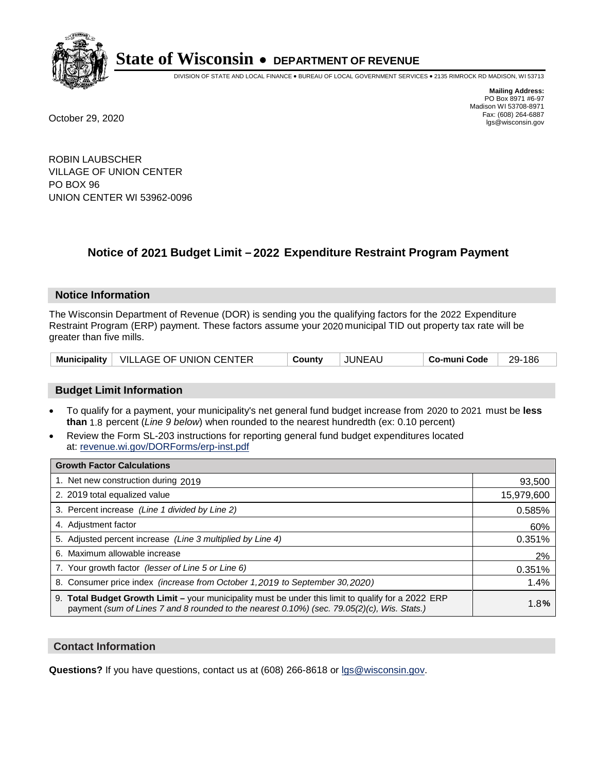

DIVISION OF STATE AND LOCAL FINANCE • BUREAU OF LOCAL GOVERNMENT SERVICES • 2135 RIMROCK RD MADISON, WI 53713

**Mailing Address:** PO Box 8971 #6-97 Madison WI 53708-8971<br>Fax: (608) 264-6887

Fax: (608) 264-6887 October 29, 2020 lgs@wisconsin.gov

ROBIN LAUBSCHER VILLAGE OF UNION CENTER PO BOX 96 UNION CENTER WI 53962-0096

### **Notice of 2021 Budget Limit - 2022 Expenditure Restraint Program Payment**

#### **Notice Information**

The Wisconsin Department of Revenue (DOR) is sending you the qualifying factors for the 2022 Expenditure Restraint Program (ERP) payment. These factors assume your 2020 municipal TID out property tax rate will be greater than five mills.

|  | Municipality   VILLAGE OF UNION CENTER | County | JUNEAU | Co-muni Code | 29-186 |
|--|----------------------------------------|--------|--------|--------------|--------|
|--|----------------------------------------|--------|--------|--------------|--------|

#### **Budget Limit Information**

- To qualify for a payment, your municipality's net general fund budget increase from 2020 to 2021 must be less **than** 1.8 percent (*Line 9 below*) when rounded to the nearest hundredth (ex: 0.10 percent)
- Review the Form SL-203 instructions for reporting general fund budget expenditures located at: revenue.wi.gov/DORForms/erp-inst.pdf

| <b>Growth Factor Calculations</b>                                                                                                                                                                      |            |
|--------------------------------------------------------------------------------------------------------------------------------------------------------------------------------------------------------|------------|
| 1. Net new construction during 2019                                                                                                                                                                    | 93,500     |
| 2. 2019 total equalized value                                                                                                                                                                          | 15,979,600 |
| 3. Percent increase (Line 1 divided by Line 2)                                                                                                                                                         | 0.585%     |
| 4. Adjustment factor                                                                                                                                                                                   | 60%        |
| 5. Adjusted percent increase (Line 3 multiplied by Line 4)                                                                                                                                             | 0.351%     |
| 6. Maximum allowable increase                                                                                                                                                                          | 2%         |
| 7. Your growth factor (lesser of Line 5 or Line 6)                                                                                                                                                     | 0.351%     |
| 8. Consumer price index (increase from October 1,2019 to September 30,2020)                                                                                                                            | 1.4%       |
| 9. Total Budget Growth Limit - your municipality must be under this limit to qualify for a 2022 ERP<br>payment (sum of Lines 7 and 8 rounded to the nearest $0.10\%$ ) (sec. 79.05(2)(c), Wis. Stats.) | 1.8%       |

#### **Contact Information**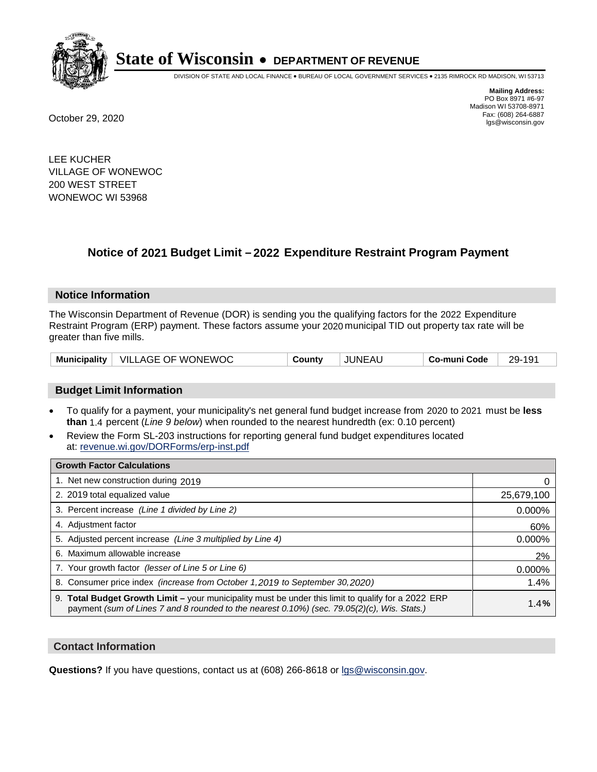

DIVISION OF STATE AND LOCAL FINANCE • BUREAU OF LOCAL GOVERNMENT SERVICES • 2135 RIMROCK RD MADISON, WI 53713

**Mailing Address:** PO Box 8971 #6-97 Madison WI 53708-8971<br>Fax: (608) 264-6887 Fax: (608) 264-6887 October 29, 2020 lgs@wisconsin.gov

LEE KUCHER VILLAGE OF WONEWOC 200 WEST STREET WONEWOC WI 53968

## **Notice of 2021 Budget Limit - 2022 Expenditure Restraint Program Payment**

#### **Notice Information**

The Wisconsin Department of Revenue (DOR) is sending you the qualifying factors for the 2022 Expenditure Restraint Program (ERP) payment. These factors assume your 2020 municipal TID out property tax rate will be greater than five mills.

| VILLAGE OF WONEWOC<br><b>Municipality</b> | County | <b>JUNEAU</b> | Co-muni Code | 29-191 |
|-------------------------------------------|--------|---------------|--------------|--------|
|-------------------------------------------|--------|---------------|--------------|--------|

#### **Budget Limit Information**

- To qualify for a payment, your municipality's net general fund budget increase from 2020 to 2021 must be less **than** 1.4 percent (*Line 9 below*) when rounded to the nearest hundredth (ex: 0.10 percent)
- Review the Form SL-203 instructions for reporting general fund budget expenditures located at: revenue.wi.gov/DORForms/erp-inst.pdf

| <b>Growth Factor Calculations</b>                                                                                                                                                                  |            |
|----------------------------------------------------------------------------------------------------------------------------------------------------------------------------------------------------|------------|
| 1. Net new construction during 2019                                                                                                                                                                |            |
| 2. 2019 total equalized value                                                                                                                                                                      | 25,679,100 |
| 3. Percent increase (Line 1 divided by Line 2)                                                                                                                                                     | 0.000%     |
| 4. Adiustment factor                                                                                                                                                                               | 60%        |
| 5. Adjusted percent increase (Line 3 multiplied by Line 4)                                                                                                                                         | 0.000%     |
| 6. Maximum allowable increase                                                                                                                                                                      | 2%         |
| 7. Your growth factor (lesser of Line 5 or Line 6)                                                                                                                                                 | 0.000%     |
| 8. Consumer price index (increase from October 1, 2019 to September 30, 2020)                                                                                                                      | 1.4%       |
| 9. Total Budget Growth Limit – your municipality must be under this limit to qualify for a 2022 ERP<br>payment (sum of Lines 7 and 8 rounded to the nearest 0.10%) (sec. 79.05(2)(c), Wis. Stats.) | 1.4%       |

#### **Contact Information**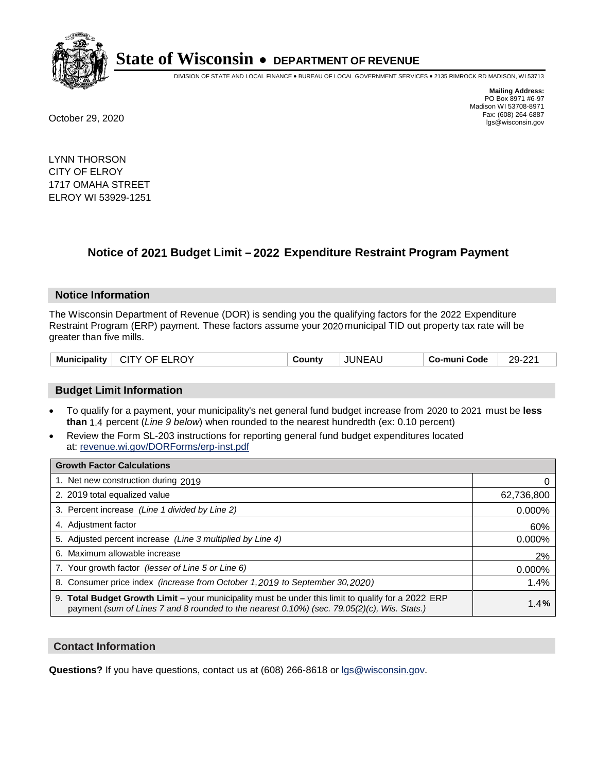

DIVISION OF STATE AND LOCAL FINANCE • BUREAU OF LOCAL GOVERNMENT SERVICES • 2135 RIMROCK RD MADISON, WI 53713

**Mailing Address:** PO Box 8971 #6-97 Madison WI 53708-8971<br>Fax: (608) 264-6887 Fax: (608) 264-6887 October 29, 2020 lgs@wisconsin.gov

LYNN THORSON CITY OF ELROY 1717 OMAHA STREET ELROY WI 53929-1251

### **Notice of 2021 Budget Limit - 2022 Expenditure Restraint Program Payment**

#### **Notice Information**

The Wisconsin Department of Revenue (DOR) is sending you the qualifying factors for the 2022 Expenditure Restraint Program (ERP) payment. These factors assume your 2020 municipal TID out property tax rate will be greater than five mills.

|  | Municipality | CITY OF ELROY | County | <b>JUNEAU</b> | Co-muni Code | 29-221 |
|--|--------------|---------------|--------|---------------|--------------|--------|
|--|--------------|---------------|--------|---------------|--------------|--------|

#### **Budget Limit Information**

- To qualify for a payment, your municipality's net general fund budget increase from 2020 to 2021 must be less **than** 1.4 percent (*Line 9 below*) when rounded to the nearest hundredth (ex: 0.10 percent)
- Review the Form SL-203 instructions for reporting general fund budget expenditures located at: revenue.wi.gov/DORForms/erp-inst.pdf

| <b>Growth Factor Calculations</b>                                                                                                                                                                  |            |
|----------------------------------------------------------------------------------------------------------------------------------------------------------------------------------------------------|------------|
| 1. Net new construction during 2019                                                                                                                                                                |            |
| 2. 2019 total equalized value                                                                                                                                                                      | 62,736,800 |
| 3. Percent increase (Line 1 divided by Line 2)                                                                                                                                                     | $0.000\%$  |
| 4. Adiustment factor                                                                                                                                                                               | 60%        |
| 5. Adjusted percent increase (Line 3 multiplied by Line 4)                                                                                                                                         | 0.000%     |
| 6. Maximum allowable increase                                                                                                                                                                      | 2%         |
| 7. Your growth factor (lesser of Line 5 or Line 6)                                                                                                                                                 | 0.000%     |
| 8. Consumer price index (increase from October 1, 2019 to September 30, 2020)                                                                                                                      | 1.4%       |
| 9. Total Budget Growth Limit – your municipality must be under this limit to qualify for a 2022 ERP<br>payment (sum of Lines 7 and 8 rounded to the nearest 0.10%) (sec. 79.05(2)(c), Wis. Stats.) | 1.4%       |

#### **Contact Information**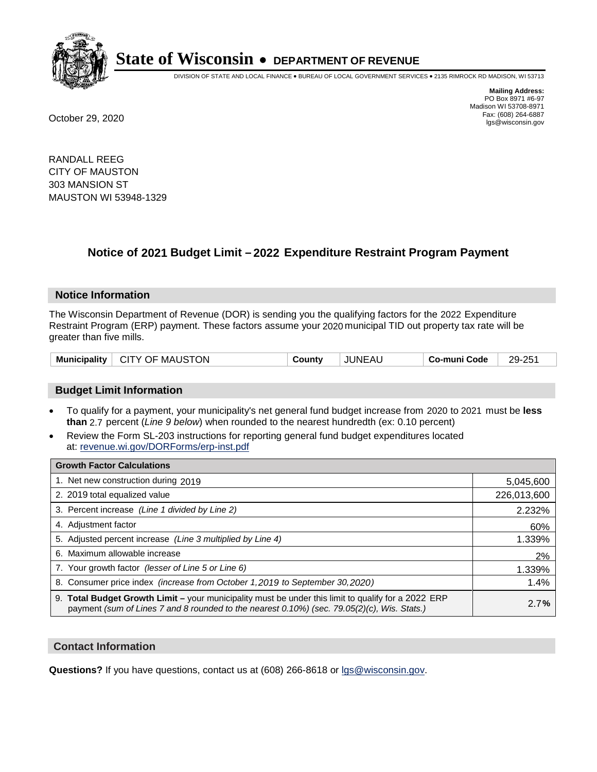

DIVISION OF STATE AND LOCAL FINANCE • BUREAU OF LOCAL GOVERNMENT SERVICES • 2135 RIMROCK RD MADISON, WI 53713

**Mailing Address:** PO Box 8971 #6-97 Madison WI 53708-8971<br>Fax: (608) 264-6887 Fax: (608) 264-6887 October 29, 2020 lgs@wisconsin.gov

RANDALL REEG CITY OF MAUSTON 303 MANSION ST MAUSTON WI 53948-1329

### **Notice of 2021 Budget Limit - 2022 Expenditure Restraint Program Payment**

#### **Notice Information**

The Wisconsin Department of Revenue (DOR) is sending you the qualifying factors for the 2022 Expenditure Restraint Program (ERP) payment. These factors assume your 2020 municipal TID out property tax rate will be greater than five mills.

| Municipality   CITY OF MAUSTON | County | <b>JUNEAU</b> | Co-muni Code | 29-251 |
|--------------------------------|--------|---------------|--------------|--------|
|--------------------------------|--------|---------------|--------------|--------|

#### **Budget Limit Information**

- To qualify for a payment, your municipality's net general fund budget increase from 2020 to 2021 must be less **than** 2.7 percent (*Line 9 below*) when rounded to the nearest hundredth (ex: 0.10 percent)
- Review the Form SL-203 instructions for reporting general fund budget expenditures located at: revenue.wi.gov/DORForms/erp-inst.pdf

| <b>Growth Factor Calculations</b>                                                                                                                                                                  |             |
|----------------------------------------------------------------------------------------------------------------------------------------------------------------------------------------------------|-------------|
| 1. Net new construction during 2019                                                                                                                                                                | 5,045,600   |
| 2. 2019 total equalized value                                                                                                                                                                      | 226,013,600 |
| 3. Percent increase (Line 1 divided by Line 2)                                                                                                                                                     | 2.232%      |
| 4. Adiustment factor                                                                                                                                                                               | 60%         |
| 5. Adjusted percent increase (Line 3 multiplied by Line 4)                                                                                                                                         | 1.339%      |
| 6. Maximum allowable increase                                                                                                                                                                      | 2%          |
| 7. Your growth factor (lesser of Line 5 or Line 6)                                                                                                                                                 | 1.339%      |
| 8. Consumer price index (increase from October 1,2019 to September 30,2020)                                                                                                                        | 1.4%        |
| 9. Total Budget Growth Limit - your municipality must be under this limit to qualify for a 2022 ERP<br>payment (sum of Lines 7 and 8 rounded to the nearest 0.10%) (sec. 79.05(2)(c), Wis. Stats.) | 2.7%        |

#### **Contact Information**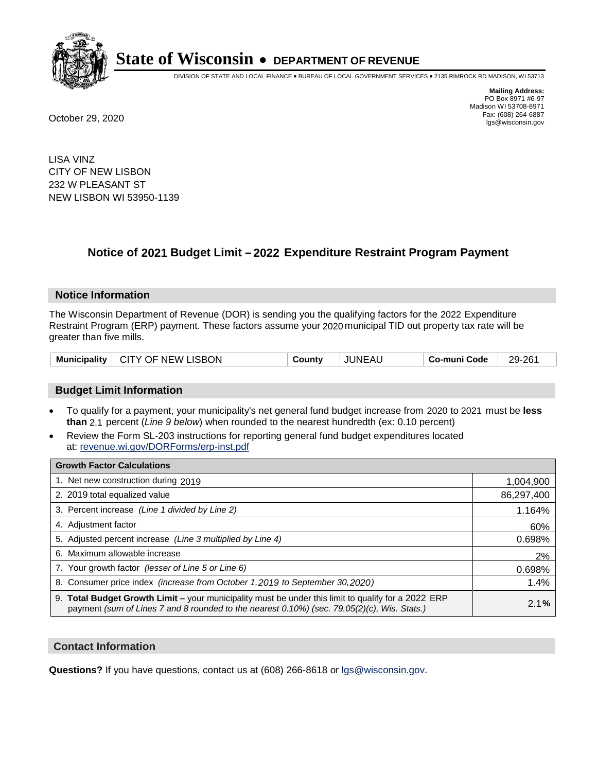

DIVISION OF STATE AND LOCAL FINANCE • BUREAU OF LOCAL GOVERNMENT SERVICES • 2135 RIMROCK RD MADISON, WI 53713

**Mailing Address:** PO Box 8971 #6-97 Madison WI 53708-8971<br>Fax: (608) 264-6887 Fax: (608) 264-6887 October 29, 2020 lgs@wisconsin.gov

LISA VINZ CITY OF NEW LISBON 232 W PLEASANT ST NEW LISBON WI 53950-1139

### **Notice of 2021 Budget Limit - 2022 Expenditure Restraint Program Payment**

#### **Notice Information**

The Wisconsin Department of Revenue (DOR) is sending you the qualifying factors for the 2022 Expenditure Restraint Program (ERP) payment. These factors assume your 2020 municipal TID out property tax rate will be greater than five mills.

#### **Budget Limit Information**

- To qualify for a payment, your municipality's net general fund budget increase from 2020 to 2021 must be less **than** 2.1 percent (*Line 9 below*) when rounded to the nearest hundredth (ex: 0.10 percent)
- Review the Form SL-203 instructions for reporting general fund budget expenditures located at: revenue.wi.gov/DORForms/erp-inst.pdf

| <b>Growth Factor Calculations</b>                                                                                                                                                                  |            |
|----------------------------------------------------------------------------------------------------------------------------------------------------------------------------------------------------|------------|
| 1. Net new construction during 2019                                                                                                                                                                | 1,004,900  |
| 2. 2019 total equalized value                                                                                                                                                                      | 86,297,400 |
| 3. Percent increase (Line 1 divided by Line 2)                                                                                                                                                     | 1.164%     |
| 4. Adiustment factor                                                                                                                                                                               | 60%        |
| 5. Adjusted percent increase (Line 3 multiplied by Line 4)                                                                                                                                         | 0.698%     |
| 6. Maximum allowable increase                                                                                                                                                                      | 2%         |
| 7. Your growth factor (lesser of Line 5 or Line 6)                                                                                                                                                 | 0.698%     |
| 8. Consumer price index (increase from October 1,2019 to September 30,2020)                                                                                                                        | 1.4%       |
| 9. Total Budget Growth Limit - your municipality must be under this limit to qualify for a 2022 ERP<br>payment (sum of Lines 7 and 8 rounded to the nearest 0.10%) (sec. 79.05(2)(c), Wis. Stats.) | 2.1%       |

#### **Contact Information**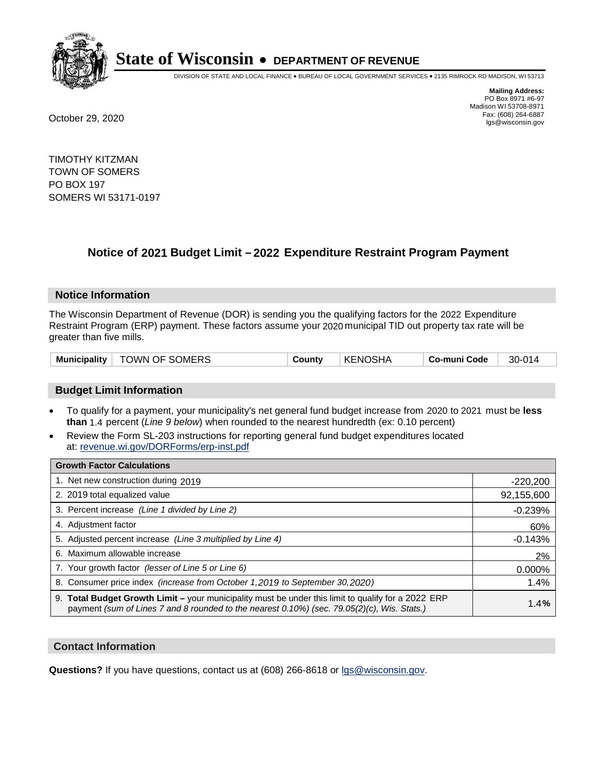

DIVISION OF STATE AND LOCAL FINANCE • BUREAU OF LOCAL GOVERNMENT SERVICES • 2135 RIMROCK RD MADISON, WI 53713

**Mailing Address:** PO Box 8971 #6-97 Madison WI 53708-8971<br>Fax: (608) 264-6887 Fax: (608) 264-6887 October 29, 2020 lgs@wisconsin.gov

TIMOTHY KITZMAN TOWN OF SOMERS PO BOX 197 SOMERS WI 53171-0197

### **Notice of 2021 Budget Limit - 2022 Expenditure Restraint Program Payment**

#### **Notice Information**

The Wisconsin Department of Revenue (DOR) is sending you the qualifying factors for the 2022 Expenditure Restraint Program (ERP) payment. These factors assume your 2020 municipal TID out property tax rate will be greater than five mills.

| Municipality   TOWN OF SOMERS | County | KENOSHA | Co-muni Code | 30-014 |
|-------------------------------|--------|---------|--------------|--------|
|-------------------------------|--------|---------|--------------|--------|

#### **Budget Limit Information**

- To qualify for a payment, your municipality's net general fund budget increase from 2020 to 2021 must be less **than** 1.4 percent (*Line 9 below*) when rounded to the nearest hundredth (ex: 0.10 percent)
- Review the Form SL-203 instructions for reporting general fund budget expenditures located at: revenue.wi.gov/DORForms/erp-inst.pdf

| <b>Growth Factor Calculations</b>                                                                                                                                                                  |            |
|----------------------------------------------------------------------------------------------------------------------------------------------------------------------------------------------------|------------|
| 1. Net new construction during 2019                                                                                                                                                                | $-220,200$ |
| 2. 2019 total equalized value                                                                                                                                                                      | 92,155,600 |
| 3. Percent increase (Line 1 divided by Line 2)                                                                                                                                                     | $-0.239%$  |
| 4. Adjustment factor                                                                                                                                                                               | 60%        |
| 5. Adjusted percent increase (Line 3 multiplied by Line 4)                                                                                                                                         | $-0.143%$  |
| 6. Maximum allowable increase                                                                                                                                                                      | 2%         |
| 7. Your growth factor (lesser of Line 5 or Line 6)                                                                                                                                                 | 0.000%     |
| 8. Consumer price index (increase from October 1,2019 to September 30,2020)                                                                                                                        | 1.4%       |
| 9. Total Budget Growth Limit - your municipality must be under this limit to qualify for a 2022 ERP<br>payment (sum of Lines 7 and 8 rounded to the nearest 0.10%) (sec. 79.05(2)(c), Wis. Stats.) | 1.4%       |

#### **Contact Information**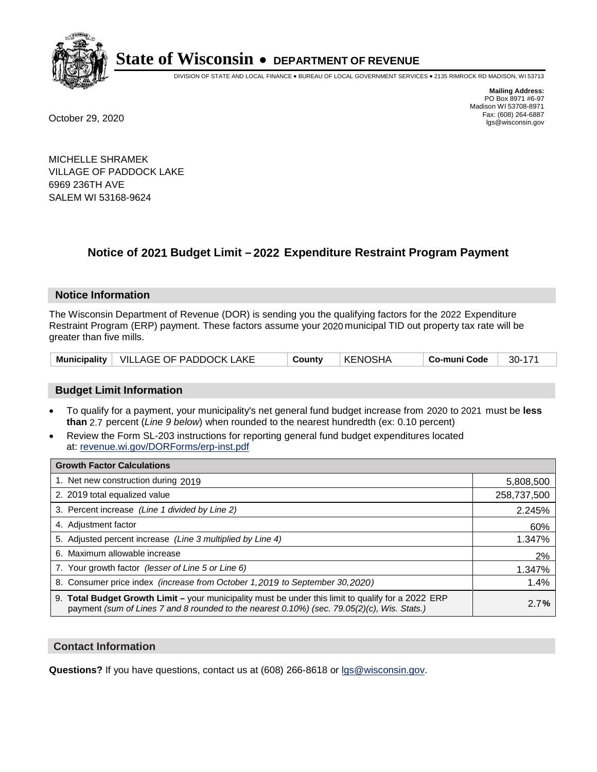

DIVISION OF STATE AND LOCAL FINANCE • BUREAU OF LOCAL GOVERNMENT SERVICES • 2135 RIMROCK RD MADISON, WI 53713

**Mailing Address:** PO Box 8971 #6-97 Madison WI 53708-8971<br>Fax: (608) 264-6887 Fax: (608) 264-6887 October 29, 2020 lgs@wisconsin.gov

MICHELLE SHRAMEK VILLAGE OF PADDOCK LAKE 6969 236TH AVE SALEM WI 53168-9624

## **Notice of 2021 Budget Limit - 2022 Expenditure Restraint Program Payment**

#### **Notice Information**

The Wisconsin Department of Revenue (DOR) is sending you the qualifying factors for the 2022 Expenditure Restraint Program (ERP) payment. These factors assume your 2020 municipal TID out property tax rate will be greater than five mills.

|  | Municipality   VILLAGE OF PADDOCK LAKE | County | KENOSHA | Co-muni Code | 30-171 |
|--|----------------------------------------|--------|---------|--------------|--------|
|--|----------------------------------------|--------|---------|--------------|--------|

#### **Budget Limit Information**

- To qualify for a payment, your municipality's net general fund budget increase from 2020 to 2021 must be less **than** 2.7 percent (*Line 9 below*) when rounded to the nearest hundredth (ex: 0.10 percent)
- Review the Form SL-203 instructions for reporting general fund budget expenditures located at: revenue.wi.gov/DORForms/erp-inst.pdf

| <b>Growth Factor Calculations</b>                                                                                                                                                                  |             |
|----------------------------------------------------------------------------------------------------------------------------------------------------------------------------------------------------|-------------|
| 1. Net new construction during 2019                                                                                                                                                                | 5,808,500   |
| 2. 2019 total equalized value                                                                                                                                                                      | 258,737,500 |
| 3. Percent increase (Line 1 divided by Line 2)                                                                                                                                                     | 2.245%      |
| 4. Adjustment factor                                                                                                                                                                               | 60%         |
| 5. Adjusted percent increase (Line 3 multiplied by Line 4)                                                                                                                                         | 1.347%      |
| 6. Maximum allowable increase                                                                                                                                                                      | 2%          |
| 7. Your growth factor (lesser of Line 5 or Line 6)                                                                                                                                                 | 1.347%      |
| 8. Consumer price index (increase from October 1, 2019 to September 30, 2020)                                                                                                                      | 1.4%        |
| 9. Total Budget Growth Limit - your municipality must be under this limit to qualify for a 2022 ERP<br>payment (sum of Lines 7 and 8 rounded to the nearest 0.10%) (sec. 79.05(2)(c), Wis. Stats.) | 2.7%        |

#### **Contact Information**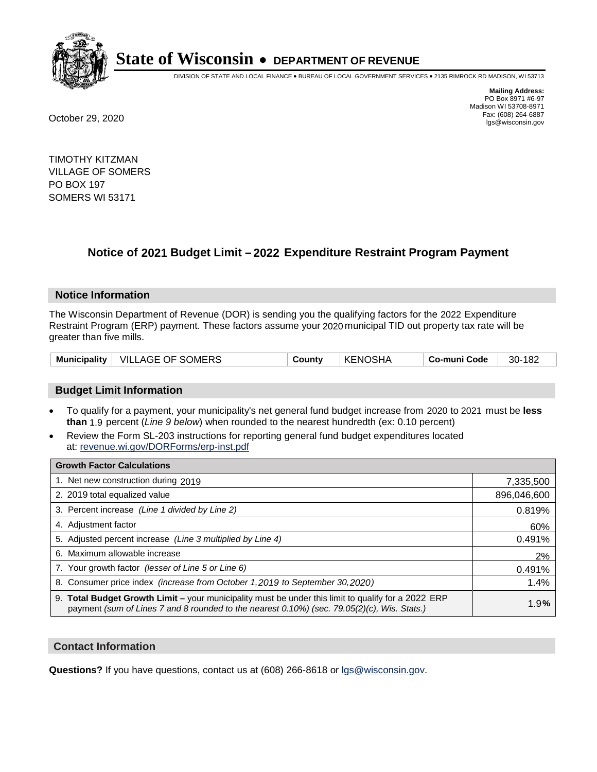

DIVISION OF STATE AND LOCAL FINANCE • BUREAU OF LOCAL GOVERNMENT SERVICES • 2135 RIMROCK RD MADISON, WI 53713

**Mailing Address:** PO Box 8971 #6-97 Madison WI 53708-8971<br>Fax: (608) 264-6887 Fax: (608) 264-6887 October 29, 2020 lgs@wisconsin.gov

TIMOTHY KITZMAN VILLAGE OF SOMERS PO BOX 197 SOMERS WI 53171

### **Notice of 2021 Budget Limit - 2022 Expenditure Restraint Program Payment**

#### **Notice Information**

The Wisconsin Department of Revenue (DOR) is sending you the qualifying factors for the 2022 Expenditure Restraint Program (ERP) payment. These factors assume your 2020 municipal TID out property tax rate will be greater than five mills.

| Municipality | <b>VILLAGE OF SOMERS</b> | County | <b>KENOSHA</b> | Co-muni Code | 182<br>30- |
|--------------|--------------------------|--------|----------------|--------------|------------|
|--------------|--------------------------|--------|----------------|--------------|------------|

#### **Budget Limit Information**

- To qualify for a payment, your municipality's net general fund budget increase from 2020 to 2021 must be less **than** 1.9 percent (*Line 9 below*) when rounded to the nearest hundredth (ex: 0.10 percent)
- Review the Form SL-203 instructions for reporting general fund budget expenditures located at: revenue.wi.gov/DORForms/erp-inst.pdf

| <b>Growth Factor Calculations</b>                                                                                                                                                                      |             |
|--------------------------------------------------------------------------------------------------------------------------------------------------------------------------------------------------------|-------------|
| 1. Net new construction during 2019                                                                                                                                                                    | 7,335,500   |
| 2. 2019 total equalized value                                                                                                                                                                          | 896,046,600 |
| 3. Percent increase (Line 1 divided by Line 2)                                                                                                                                                         | 0.819%      |
| 4. Adiustment factor                                                                                                                                                                                   | 60%         |
| 5. Adjusted percent increase (Line 3 multiplied by Line 4)                                                                                                                                             | 0.491%      |
| 6. Maximum allowable increase                                                                                                                                                                          | 2%          |
| 7. Your growth factor (lesser of Line 5 or Line 6)                                                                                                                                                     | 0.491%      |
| 8. Consumer price index (increase from October 1,2019 to September 30,2020)                                                                                                                            | 1.4%        |
| 9. Total Budget Growth Limit - your municipality must be under this limit to qualify for a 2022 ERP<br>payment (sum of Lines 7 and 8 rounded to the nearest $0.10\%$ ) (sec. 79.05(2)(c), Wis. Stats.) | 1.9%        |

#### **Contact Information**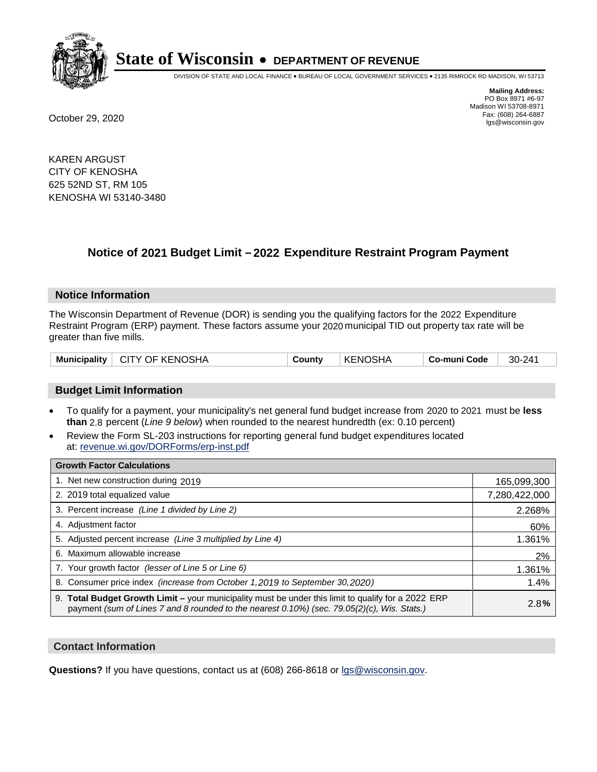

DIVISION OF STATE AND LOCAL FINANCE • BUREAU OF LOCAL GOVERNMENT SERVICES • 2135 RIMROCK RD MADISON, WI 53713

**Mailing Address:** PO Box 8971 #6-97 Madison WI 53708-8971<br>Fax: (608) 264-6887 Fax: (608) 264-6887 October 29, 2020 lgs@wisconsin.gov

KAREN ARGUST CITY OF KENOSHA 625 52ND ST, RM 105 KENOSHA WI 53140-3480

## **Notice of 2021 Budget Limit - 2022 Expenditure Restraint Program Payment**

#### **Notice Information**

The Wisconsin Department of Revenue (DOR) is sending you the qualifying factors for the 2022 Expenditure Restraint Program (ERP) payment. These factors assume your 2020 municipal TID out property tax rate will be greater than five mills.

|  |  | Municipality   CITY OF KENOSHA | County | ∣ KENOSHA | ∣ Co-muni Code | 30-241 |
|--|--|--------------------------------|--------|-----------|----------------|--------|
|--|--|--------------------------------|--------|-----------|----------------|--------|

#### **Budget Limit Information**

- To qualify for a payment, your municipality's net general fund budget increase from 2020 to 2021 must be less **than** 2.8 percent (*Line 9 below*) when rounded to the nearest hundredth (ex: 0.10 percent)
- Review the Form SL-203 instructions for reporting general fund budget expenditures located at: revenue.wi.gov/DORForms/erp-inst.pdf

| <b>Growth Factor Calculations</b>                                                                                                                                                                  |               |
|----------------------------------------------------------------------------------------------------------------------------------------------------------------------------------------------------|---------------|
| 1. Net new construction during 2019                                                                                                                                                                | 165,099,300   |
| 2. 2019 total equalized value                                                                                                                                                                      | 7,280,422,000 |
| 3. Percent increase (Line 1 divided by Line 2)                                                                                                                                                     | 2.268%        |
| 4. Adjustment factor                                                                                                                                                                               | 60%           |
| 5. Adjusted percent increase (Line 3 multiplied by Line 4)                                                                                                                                         | 1.361%        |
| 6. Maximum allowable increase                                                                                                                                                                      | 2%            |
| 7. Your growth factor (lesser of Line 5 or Line 6)                                                                                                                                                 | 1.361%        |
| 8. Consumer price index (increase from October 1, 2019 to September 30, 2020)                                                                                                                      | 1.4%          |
| 9. Total Budget Growth Limit - your municipality must be under this limit to qualify for a 2022 ERP<br>payment (sum of Lines 7 and 8 rounded to the nearest 0.10%) (sec. 79.05(2)(c), Wis. Stats.) | 2.8%          |

#### **Contact Information**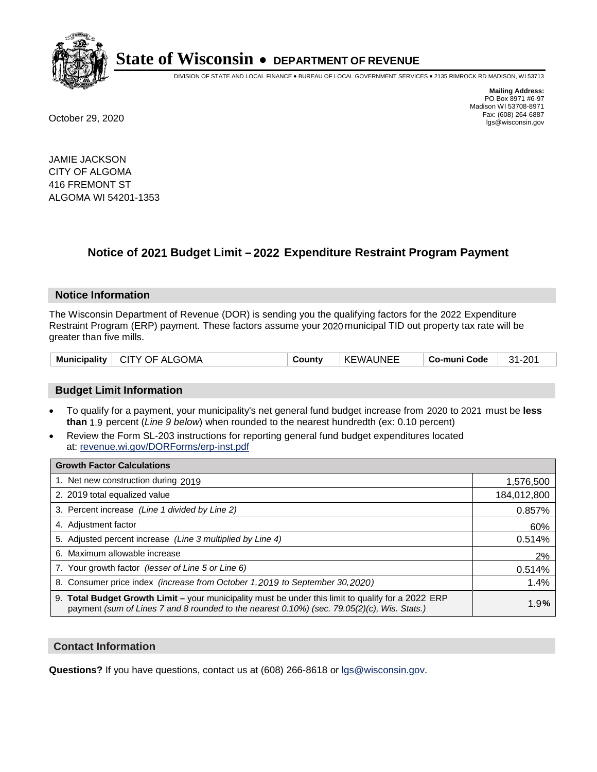

DIVISION OF STATE AND LOCAL FINANCE • BUREAU OF LOCAL GOVERNMENT SERVICES • 2135 RIMROCK RD MADISON, WI 53713

**Mailing Address:** PO Box 8971 #6-97 Madison WI 53708-8971<br>Fax: (608) 264-6887 Fax: (608) 264-6887 October 29, 2020 lgs@wisconsin.gov

JAMIE JACKSON CITY OF ALGOMA 416 FREMONT ST ALGOMA WI 54201-1353

## **Notice of 2021 Budget Limit - 2022 Expenditure Restraint Program Payment**

#### **Notice Information**

The Wisconsin Department of Revenue (DOR) is sending you the qualifying factors for the 2022 Expenditure Restraint Program (ERP) payment. These factors assume your 2020 municipal TID out property tax rate will be greater than five mills.

| Municipality   CITY OF ALGOMA | County | KEWAUNEE | Co-muni Code | 31-201 |
|-------------------------------|--------|----------|--------------|--------|
|-------------------------------|--------|----------|--------------|--------|

#### **Budget Limit Information**

- To qualify for a payment, your municipality's net general fund budget increase from 2020 to 2021 must be less **than** 1.9 percent (*Line 9 below*) when rounded to the nearest hundredth (ex: 0.10 percent)
- Review the Form SL-203 instructions for reporting general fund budget expenditures located at: revenue.wi.gov/DORForms/erp-inst.pdf

| <b>Growth Factor Calculations</b>                                                                                                                                                                  |             |
|----------------------------------------------------------------------------------------------------------------------------------------------------------------------------------------------------|-------------|
| 1. Net new construction during 2019                                                                                                                                                                | 1,576,500   |
| 2. 2019 total equalized value                                                                                                                                                                      | 184,012,800 |
| 3. Percent increase (Line 1 divided by Line 2)                                                                                                                                                     | 0.857%      |
| 4. Adjustment factor                                                                                                                                                                               | 60%         |
| 5. Adjusted percent increase (Line 3 multiplied by Line 4)                                                                                                                                         | 0.514%      |
| 6. Maximum allowable increase                                                                                                                                                                      | 2%          |
| 7. Your growth factor (lesser of Line 5 or Line 6)                                                                                                                                                 | 0.514%      |
| 8. Consumer price index (increase from October 1, 2019 to September 30, 2020)                                                                                                                      | 1.4%        |
| 9. Total Budget Growth Limit - your municipality must be under this limit to qualify for a 2022 ERP<br>payment (sum of Lines 7 and 8 rounded to the nearest 0.10%) (sec. 79.05(2)(c), Wis. Stats.) | 1.9%        |

#### **Contact Information**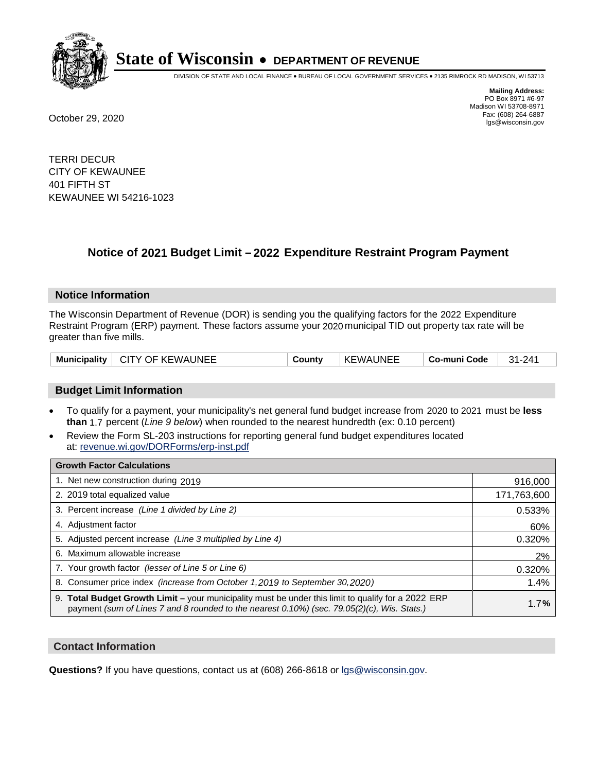

DIVISION OF STATE AND LOCAL FINANCE • BUREAU OF LOCAL GOVERNMENT SERVICES • 2135 RIMROCK RD MADISON, WI 53713

**Mailing Address:** PO Box 8971 #6-97 Madison WI 53708-8971<br>Fax: (608) 264-6887 Fax: (608) 264-6887 October 29, 2020 lgs@wisconsin.gov

TERRI DECUR CITY OF KEWAUNEE 401 FIFTH ST KEWAUNEE WI 54216-1023

### **Notice of 2021 Budget Limit - 2022 Expenditure Restraint Program Payment**

#### **Notice Information**

The Wisconsin Department of Revenue (DOR) is sending you the qualifying factors for the 2022 Expenditure Restraint Program (ERP) payment. These factors assume your 2020 municipal TID out property tax rate will be greater than five mills.

| Municipality   CITY OF KEWAUNEE | County | <b>KEWAUNEE</b> | Co-muni Code | $31 - 241$ |
|---------------------------------|--------|-----------------|--------------|------------|
|---------------------------------|--------|-----------------|--------------|------------|

#### **Budget Limit Information**

- To qualify for a payment, your municipality's net general fund budget increase from 2020 to 2021 must be less **than** 1.7 percent (*Line 9 below*) when rounded to the nearest hundredth (ex: 0.10 percent)
- Review the Form SL-203 instructions for reporting general fund budget expenditures located at: revenue.wi.gov/DORForms/erp-inst.pdf

| <b>Growth Factor Calculations</b>                                                                                                                                                                      |             |
|--------------------------------------------------------------------------------------------------------------------------------------------------------------------------------------------------------|-------------|
| 1. Net new construction during 2019                                                                                                                                                                    | 916,000     |
| 2. 2019 total equalized value                                                                                                                                                                          | 171,763,600 |
| 3. Percent increase (Line 1 divided by Line 2)                                                                                                                                                         | 0.533%      |
| 4. Adjustment factor                                                                                                                                                                                   | 60%         |
| 5. Adjusted percent increase (Line 3 multiplied by Line 4)                                                                                                                                             | 0.320%      |
| 6. Maximum allowable increase                                                                                                                                                                          | 2%          |
| 7. Your growth factor (lesser of Line 5 or Line 6)                                                                                                                                                     | 0.320%      |
| 8. Consumer price index (increase from October 1,2019 to September 30,2020)                                                                                                                            | 1.4%        |
| 9. Total Budget Growth Limit - your municipality must be under this limit to qualify for a 2022 ERP<br>payment (sum of Lines 7 and 8 rounded to the nearest $0.10\%$ ) (sec. 79.05(2)(c), Wis. Stats.) | 1.7%        |

#### **Contact Information**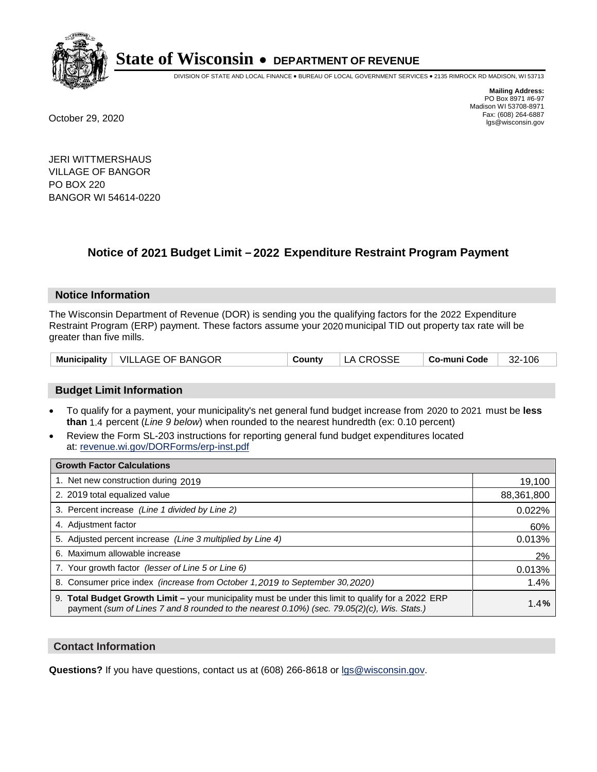

DIVISION OF STATE AND LOCAL FINANCE • BUREAU OF LOCAL GOVERNMENT SERVICES • 2135 RIMROCK RD MADISON, WI 53713

**Mailing Address:** PO Box 8971 #6-97 Madison WI 53708-8971<br>Fax: (608) 264-6887 Fax: (608) 264-6887 October 29, 2020 lgs@wisconsin.gov

JERI WITTMERSHAUS VILLAGE OF BANGOR PO BOX 220 BANGOR WI 54614-0220

## **Notice of 2021 Budget Limit - 2022 Expenditure Restraint Program Payment**

#### **Notice Information**

The Wisconsin Department of Revenue (DOR) is sending you the qualifying factors for the 2022 Expenditure Restraint Program (ERP) payment. These factors assume your 2020 municipal TID out property tax rate will be greater than five mills.

|  | Municipality   VILLAGE OF BANGOR | County | LA CROSSE | $\vert$ Co-muni Code $\vert$ 32-106 |  |
|--|----------------------------------|--------|-----------|-------------------------------------|--|
|--|----------------------------------|--------|-----------|-------------------------------------|--|

#### **Budget Limit Information**

- To qualify for a payment, your municipality's net general fund budget increase from 2020 to 2021 must be less **than** 1.4 percent (*Line 9 below*) when rounded to the nearest hundredth (ex: 0.10 percent)
- Review the Form SL-203 instructions for reporting general fund budget expenditures located at: revenue.wi.gov/DORForms/erp-inst.pdf

| <b>Growth Factor Calculations</b>                                                                                                                                                                      |            |
|--------------------------------------------------------------------------------------------------------------------------------------------------------------------------------------------------------|------------|
| 1. Net new construction during 2019                                                                                                                                                                    | 19,100     |
| 2. 2019 total equalized value                                                                                                                                                                          | 88,361,800 |
| 3. Percent increase (Line 1 divided by Line 2)                                                                                                                                                         | 0.022%     |
| 4. Adjustment factor                                                                                                                                                                                   | 60%        |
| 5. Adjusted percent increase (Line 3 multiplied by Line 4)                                                                                                                                             | 0.013%     |
| 6. Maximum allowable increase                                                                                                                                                                          | 2%         |
| 7. Your growth factor (lesser of Line 5 or Line 6)                                                                                                                                                     | 0.013%     |
| 8. Consumer price index (increase from October 1,2019 to September 30,2020)                                                                                                                            | 1.4%       |
| 9. Total Budget Growth Limit - your municipality must be under this limit to qualify for a 2022 ERP<br>payment (sum of Lines 7 and 8 rounded to the nearest $0.10\%$ ) (sec. 79.05(2)(c), Wis. Stats.) | 1.4%       |

#### **Contact Information**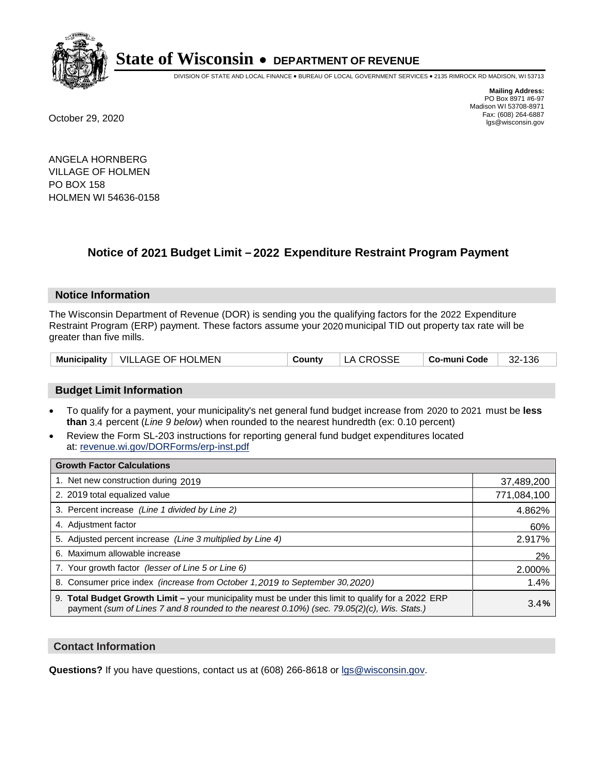

DIVISION OF STATE AND LOCAL FINANCE • BUREAU OF LOCAL GOVERNMENT SERVICES • 2135 RIMROCK RD MADISON, WI 53713

**Mailing Address:** PO Box 8971 #6-97 Madison WI 53708-8971<br>Fax: (608) 264-6887 Fax: (608) 264-6887 October 29, 2020 lgs@wisconsin.gov

ANGELA HORNBERG VILLAGE OF HOLMEN PO BOX 158 HOLMEN WI 54636-0158

### **Notice of 2021 Budget Limit - 2022 Expenditure Restraint Program Payment**

#### **Notice Information**

The Wisconsin Department of Revenue (DOR) is sending you the qualifying factors for the 2022 Expenditure Restraint Program (ERP) payment. These factors assume your 2020 municipal TID out property tax rate will be greater than five mills.

|  | Municipality   VILLAGE OF HOLMEN | County | LA CROSSE | Co-muni Code | 32-136 |
|--|----------------------------------|--------|-----------|--------------|--------|
|--|----------------------------------|--------|-----------|--------------|--------|

#### **Budget Limit Information**

- To qualify for a payment, your municipality's net general fund budget increase from 2020 to 2021 must be less **than** 3.4 percent (*Line 9 below*) when rounded to the nearest hundredth (ex: 0.10 percent)
- Review the Form SL-203 instructions for reporting general fund budget expenditures located at: revenue.wi.gov/DORForms/erp-inst.pdf

| <b>Growth Factor Calculations</b>                                                                                                                                                                      |             |
|--------------------------------------------------------------------------------------------------------------------------------------------------------------------------------------------------------|-------------|
| 1. Net new construction during 2019                                                                                                                                                                    | 37,489,200  |
| 2. 2019 total equalized value                                                                                                                                                                          | 771,084,100 |
| 3. Percent increase (Line 1 divided by Line 2)                                                                                                                                                         | 4.862%      |
| 4. Adjustment factor                                                                                                                                                                                   | 60%         |
| 5. Adjusted percent increase (Line 3 multiplied by Line 4)                                                                                                                                             | 2.917%      |
| 6. Maximum allowable increase                                                                                                                                                                          | 2%          |
| 7. Your growth factor (lesser of Line 5 or Line 6)                                                                                                                                                     | 2.000%      |
| 8. Consumer price index (increase from October 1,2019 to September 30,2020)                                                                                                                            | 1.4%        |
| 9. Total Budget Growth Limit - your municipality must be under this limit to qualify for a 2022 ERP<br>payment (sum of Lines 7 and 8 rounded to the nearest $0.10\%$ ) (sec. 79.05(2)(c), Wis. Stats.) | 3.4%        |

#### **Contact Information**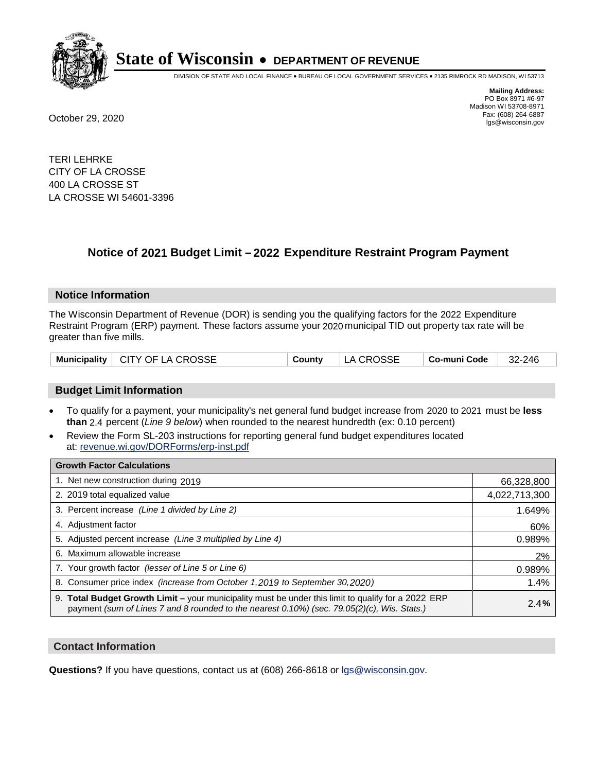

DIVISION OF STATE AND LOCAL FINANCE • BUREAU OF LOCAL GOVERNMENT SERVICES • 2135 RIMROCK RD MADISON, WI 53713

**Mailing Address:** PO Box 8971 #6-97 Madison WI 53708-8971<br>Fax: (608) 264-6887 Fax: (608) 264-6887 October 29, 2020 lgs@wisconsin.gov

TERI LEHRKE CITY OF LA CROSSE 400 LA CROSSE ST LA CROSSE WI 54601-3396

### **Notice of 2021 Budget Limit - 2022 Expenditure Restraint Program Payment**

#### **Notice Information**

The Wisconsin Department of Revenue (DOR) is sending you the qualifying factors for the 2022 Expenditure Restraint Program (ERP) payment. These factors assume your 2020 municipal TID out property tax rate will be greater than five mills.

| Municipality   CITY OF LA CROSSE |  | County   LA CROSSE | $\vert$ Co-muni Code $\vert$ 32-246 |  |
|----------------------------------|--|--------------------|-------------------------------------|--|
|----------------------------------|--|--------------------|-------------------------------------|--|

#### **Budget Limit Information**

- To qualify for a payment, your municipality's net general fund budget increase from 2020 to 2021 must be less **than** 2.4 percent (*Line 9 below*) when rounded to the nearest hundredth (ex: 0.10 percent)
- Review the Form SL-203 instructions for reporting general fund budget expenditures located at: revenue.wi.gov/DORForms/erp-inst.pdf

| <b>Growth Factor Calculations</b>                                                                                                                                                                  |               |
|----------------------------------------------------------------------------------------------------------------------------------------------------------------------------------------------------|---------------|
| 1. Net new construction during 2019                                                                                                                                                                | 66,328,800    |
| 2. 2019 total equalized value                                                                                                                                                                      | 4,022,713,300 |
| 3. Percent increase (Line 1 divided by Line 2)                                                                                                                                                     | 1.649%        |
| 4. Adjustment factor                                                                                                                                                                               | 60%           |
| 5. Adjusted percent increase (Line 3 multiplied by Line 4)                                                                                                                                         | 0.989%        |
| 6. Maximum allowable increase                                                                                                                                                                      | 2%            |
| 7. Your growth factor (lesser of Line 5 or Line 6)                                                                                                                                                 | 0.989%        |
| 8. Consumer price index (increase from October 1,2019 to September 30,2020)                                                                                                                        | 1.4%          |
| 9. Total Budget Growth Limit - your municipality must be under this limit to qualify for a 2022 ERP<br>payment (sum of Lines 7 and 8 rounded to the nearest 0.10%) (sec. 79.05(2)(c), Wis. Stats.) | 2.4%          |

#### **Contact Information**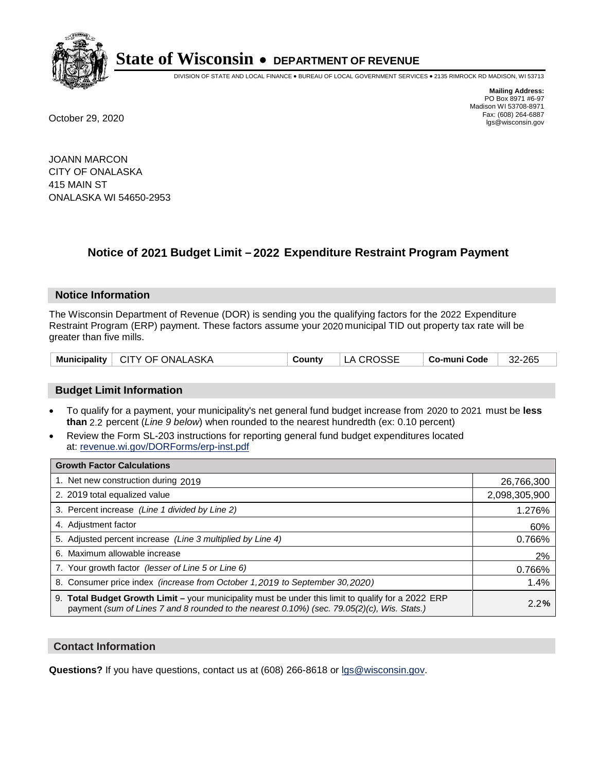

DIVISION OF STATE AND LOCAL FINANCE • BUREAU OF LOCAL GOVERNMENT SERVICES • 2135 RIMROCK RD MADISON, WI 53713

**Mailing Address:** PO Box 8971 #6-97 Madison WI 53708-8971<br>Fax: (608) 264-6887 Fax: (608) 264-6887 October 29, 2020 lgs@wisconsin.gov

JOANN MARCON CITY OF ONALASKA 415 MAIN ST ONALASKA WI 54650-2953

### **Notice of 2021 Budget Limit - 2022 Expenditure Restraint Program Payment**

#### **Notice Information**

The Wisconsin Department of Revenue (DOR) is sending you the qualifying factors for the 2022 Expenditure Restraint Program (ERP) payment. These factors assume your 2020 municipal TID out property tax rate will be greater than five mills.

| Municipality   CITY OF ONALASKA | County | LA CROSSE | $\vert$ Co-muni Code $\vert$ 32-265 |  |
|---------------------------------|--------|-----------|-------------------------------------|--|
|---------------------------------|--------|-----------|-------------------------------------|--|

#### **Budget Limit Information**

- To qualify for a payment, your municipality's net general fund budget increase from 2020 to 2021 must be less **than** 2.2 percent (*Line 9 below*) when rounded to the nearest hundredth (ex: 0.10 percent)
- Review the Form SL-203 instructions for reporting general fund budget expenditures located at: revenue.wi.gov/DORForms/erp-inst.pdf

| <b>Growth Factor Calculations</b>                                                                                                                                                                  |               |
|----------------------------------------------------------------------------------------------------------------------------------------------------------------------------------------------------|---------------|
| 1. Net new construction during 2019                                                                                                                                                                | 26,766,300    |
| 2. 2019 total equalized value                                                                                                                                                                      | 2,098,305,900 |
| 3. Percent increase (Line 1 divided by Line 2)                                                                                                                                                     | 1.276%        |
| 4. Adjustment factor                                                                                                                                                                               | 60%           |
| 5. Adjusted percent increase (Line 3 multiplied by Line 4)                                                                                                                                         | 0.766%        |
| 6. Maximum allowable increase                                                                                                                                                                      | 2%            |
| 7. Your growth factor (lesser of Line 5 or Line 6)                                                                                                                                                 | 0.766%        |
| 8. Consumer price index (increase from October 1, 2019 to September 30, 2020)                                                                                                                      | 1.4%          |
| 9. Total Budget Growth Limit - your municipality must be under this limit to qualify for a 2022 ERP<br>payment (sum of Lines 7 and 8 rounded to the nearest 0.10%) (sec. 79.05(2)(c), Wis. Stats.) | 2.2%          |

#### **Contact Information**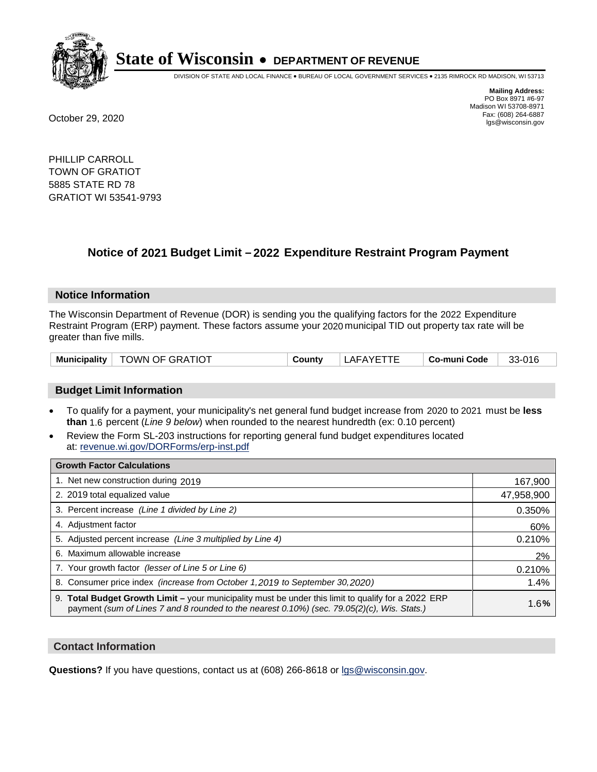

DIVISION OF STATE AND LOCAL FINANCE • BUREAU OF LOCAL GOVERNMENT SERVICES • 2135 RIMROCK RD MADISON, WI 53713

**Mailing Address:** PO Box 8971 #6-97 Madison WI 53708-8971<br>Fax: (608) 264-6887 Fax: (608) 264-6887 October 29, 2020 lgs@wisconsin.gov

PHILLIP CARROLL TOWN OF GRATIOT 5885 STATE RD 78 GRATIOT WI 53541-9793

## **Notice of 2021 Budget Limit - 2022 Expenditure Restraint Program Payment**

#### **Notice Information**

The Wisconsin Department of Revenue (DOR) is sending you the qualifying factors for the 2022 Expenditure Restraint Program (ERP) payment. These factors assume your 2020 municipal TID out property tax rate will be greater than five mills.

| <b>Municipality</b> | TOWN OF GRATIOT | County | LAFAYETTE | . Co-muni Code | 33-016 |
|---------------------|-----------------|--------|-----------|----------------|--------|
|---------------------|-----------------|--------|-----------|----------------|--------|

#### **Budget Limit Information**

- To qualify for a payment, your municipality's net general fund budget increase from 2020 to 2021 must be less **than** 1.6 percent (*Line 9 below*) when rounded to the nearest hundredth (ex: 0.10 percent)
- Review the Form SL-203 instructions for reporting general fund budget expenditures located at: revenue.wi.gov/DORForms/erp-inst.pdf

| <b>Growth Factor Calculations</b>                                                                                                                                                                  |            |
|----------------------------------------------------------------------------------------------------------------------------------------------------------------------------------------------------|------------|
| 1. Net new construction during 2019                                                                                                                                                                | 167,900    |
| 2. 2019 total equalized value                                                                                                                                                                      | 47,958,900 |
| 3. Percent increase (Line 1 divided by Line 2)                                                                                                                                                     | 0.350%     |
| 4. Adjustment factor                                                                                                                                                                               | 60%        |
| 5. Adjusted percent increase (Line 3 multiplied by Line 4)                                                                                                                                         | 0.210%     |
| 6. Maximum allowable increase                                                                                                                                                                      | 2%         |
| 7. Your growth factor (lesser of Line 5 or Line 6)                                                                                                                                                 | 0.210%     |
| 8. Consumer price index (increase from October 1, 2019 to September 30, 2020)                                                                                                                      | 1.4%       |
| 9. Total Budget Growth Limit - your municipality must be under this limit to qualify for a 2022 ERP<br>payment (sum of Lines 7 and 8 rounded to the nearest 0.10%) (sec. 79.05(2)(c), Wis. Stats.) | 1.6%       |

#### **Contact Information**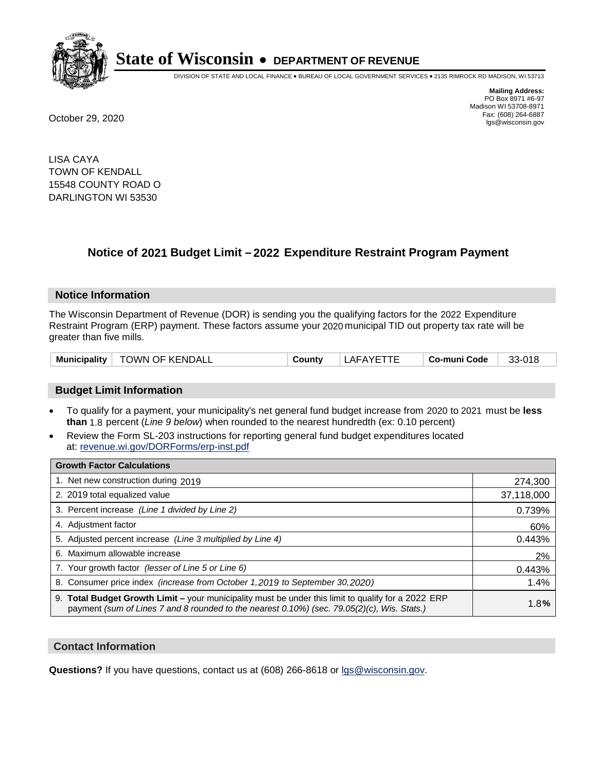

DIVISION OF STATE AND LOCAL FINANCE • BUREAU OF LOCAL GOVERNMENT SERVICES • 2135 RIMROCK RD MADISON, WI 53713

**Mailing Address:** PO Box 8971 #6-97 Madison WI 53708-8971<br>Fax: (608) 264-6887 Fax: (608) 264-6887 October 29, 2020 lgs@wisconsin.gov

LISA CAYA TOWN OF KENDALL 15548 COUNTY ROAD O DARLINGTON WI 53530

### **Notice of 2021 Budget Limit - 2022 Expenditure Restraint Program Payment**

#### **Notice Information**

The Wisconsin Department of Revenue (DOR) is sending you the qualifying factors for the 2022 Expenditure Restraint Program (ERP) payment. These factors assume your 2020 municipal TID out property tax rate will be greater than five mills.

| Municipality | <b>TOWN OF KENDALL</b> | Countv | LAFAYE. | Co-muni Code | $33-018$ |
|--------------|------------------------|--------|---------|--------------|----------|
|--------------|------------------------|--------|---------|--------------|----------|

#### **Budget Limit Information**

- To qualify for a payment, your municipality's net general fund budget increase from 2020 to 2021 must be less **than** 1.8 percent (*Line 9 below*) when rounded to the nearest hundredth (ex: 0.10 percent)
- Review the Form SL-203 instructions for reporting general fund budget expenditures located at: revenue.wi.gov/DORForms/erp-inst.pdf

| <b>Growth Factor Calculations</b>                                                                                                                                                                      |            |
|--------------------------------------------------------------------------------------------------------------------------------------------------------------------------------------------------------|------------|
| 1. Net new construction during 2019                                                                                                                                                                    | 274,300    |
| 2. 2019 total equalized value                                                                                                                                                                          | 37,118,000 |
| 3. Percent increase (Line 1 divided by Line 2)                                                                                                                                                         | 0.739%     |
| 4. Adjustment factor                                                                                                                                                                                   | 60%        |
| 5. Adjusted percent increase (Line 3 multiplied by Line 4)                                                                                                                                             | 0.443%     |
| 6. Maximum allowable increase                                                                                                                                                                          | 2%         |
| 7. Your growth factor (lesser of Line 5 or Line 6)                                                                                                                                                     | 0.443%     |
| 8. Consumer price index (increase from October 1, 2019 to September 30, 2020)                                                                                                                          | 1.4%       |
| 9. Total Budget Growth Limit - your municipality must be under this limit to qualify for a 2022 ERP<br>payment (sum of Lines 7 and 8 rounded to the nearest $0.10\%$ ) (sec. 79.05(2)(c), Wis. Stats.) | 1.8%       |

#### **Contact Information**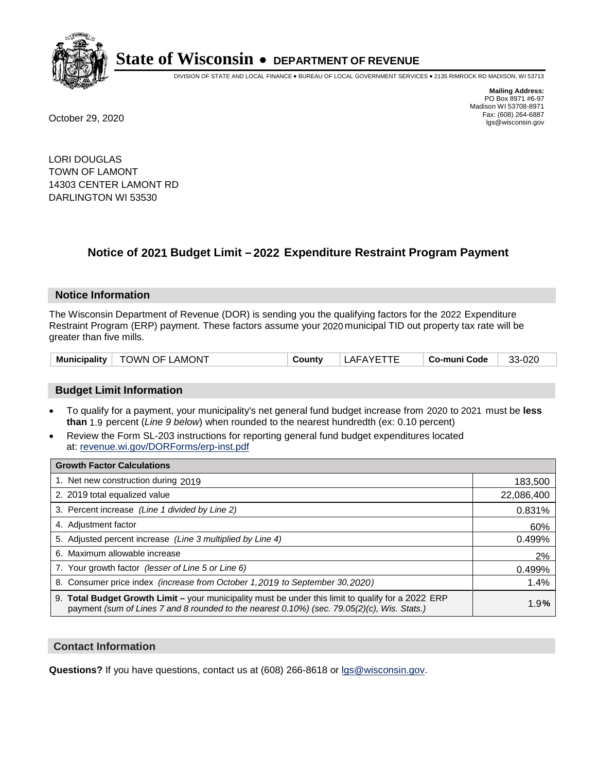

DIVISION OF STATE AND LOCAL FINANCE • BUREAU OF LOCAL GOVERNMENT SERVICES • 2135 RIMROCK RD MADISON, WI 53713

**Mailing Address:** PO Box 8971 #6-97 Madison WI 53708-8971<br>Fax: (608) 264-6887 Fax: (608) 264-6887 October 29, 2020 lgs@wisconsin.gov

LORI DOUGLAS TOWN OF LAMONT 14303 CENTER LAMONT RD DARLINGTON WI 53530

### **Notice of 2021 Budget Limit - 2022 Expenditure Restraint Program Payment**

#### **Notice Information**

The Wisconsin Department of Revenue (DOR) is sending you the qualifying factors for the 2022 Expenditure Restraint Program (ERP) payment. These factors assume your 2020 municipal TID out property tax rate will be greater than five mills.

| <b>TOWN OF LAMONT</b><br>Municipality | Countv | <b>LAFAYFTTF</b> | ⊦ Co-muni Code | 33-020 |
|---------------------------------------|--------|------------------|----------------|--------|
|---------------------------------------|--------|------------------|----------------|--------|

#### **Budget Limit Information**

- To qualify for a payment, your municipality's net general fund budget increase from 2020 to 2021 must be less **than** 1.9 percent (*Line 9 below*) when rounded to the nearest hundredth (ex: 0.10 percent)
- Review the Form SL-203 instructions for reporting general fund budget expenditures located at: revenue.wi.gov/DORForms/erp-inst.pdf

| <b>Growth Factor Calculations</b>                                                                                                                                                                  |            |
|----------------------------------------------------------------------------------------------------------------------------------------------------------------------------------------------------|------------|
| 1. Net new construction during 2019                                                                                                                                                                | 183,500    |
| 2. 2019 total equalized value                                                                                                                                                                      | 22,086,400 |
| 3. Percent increase (Line 1 divided by Line 2)                                                                                                                                                     | 0.831%     |
| 4. Adiustment factor                                                                                                                                                                               | 60%        |
| 5. Adjusted percent increase (Line 3 multiplied by Line 4)                                                                                                                                         | 0.499%     |
| Maximum allowable increase<br>6.                                                                                                                                                                   | 2%         |
| 7. Your growth factor (lesser of Line 5 or Line 6)                                                                                                                                                 | 0.499%     |
| 8. Consumer price index (increase from October 1,2019 to September 30,2020)                                                                                                                        | 1.4%       |
| 9. Total Budget Growth Limit - your municipality must be under this limit to qualify for a 2022 ERP<br>payment (sum of Lines 7 and 8 rounded to the nearest 0.10%) (sec. 79.05(2)(c), Wis. Stats.) | 1.9%       |

#### **Contact Information**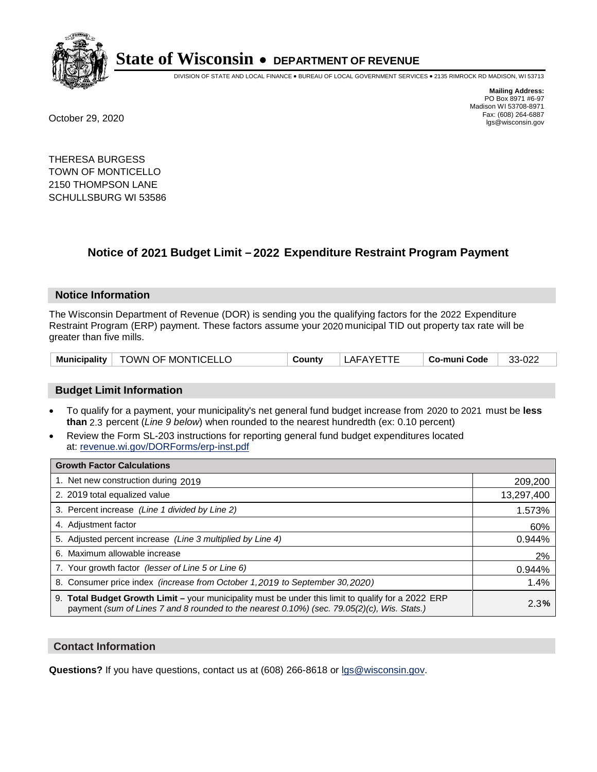

DIVISION OF STATE AND LOCAL FINANCE • BUREAU OF LOCAL GOVERNMENT SERVICES • 2135 RIMROCK RD MADISON, WI 53713

PO Box 8971 #6-97 Madison WI 53708-8971<br>Fax: (608) 264-6887

**Mailing Address:**

Fax: (608) 264-6887 October 29, 2020 lgs@wisconsin.gov

THERESA BURGESS TOWN OF MONTICELLO 2150 THOMPSON LANE SCHULLSBURG WI 53586

## **Notice of 2021 Budget Limit - 2022 Expenditure Restraint Program Payment**

#### **Notice Information**

The Wisconsin Department of Revenue (DOR) is sending you the qualifying factors for the 2022 Expenditure Restraint Program (ERP) payment. These factors assume your 2020 municipal TID out property tax rate will be greater than five mills.

| <b>TOWN OF MONTICELLO</b><br><b>Municipality</b> | County | LAFAYETTE | Co-muni Code | 33-022 |
|--------------------------------------------------|--------|-----------|--------------|--------|
|--------------------------------------------------|--------|-----------|--------------|--------|

#### **Budget Limit Information**

- To qualify for a payment, your municipality's net general fund budget increase from 2020 to 2021 must be less **than** 2.3 percent (*Line 9 below*) when rounded to the nearest hundredth (ex: 0.10 percent)
- Review the Form SL-203 instructions for reporting general fund budget expenditures located at: revenue.wi.gov/DORForms/erp-inst.pdf

| <b>Growth Factor Calculations</b>                                                                                                                                                                      |            |
|--------------------------------------------------------------------------------------------------------------------------------------------------------------------------------------------------------|------------|
| 1. Net new construction during 2019                                                                                                                                                                    | 209,200    |
| 2. 2019 total equalized value                                                                                                                                                                          | 13,297,400 |
| 3. Percent increase (Line 1 divided by Line 2)                                                                                                                                                         | 1.573%     |
| 4. Adjustment factor                                                                                                                                                                                   | 60%        |
| 5. Adjusted percent increase (Line 3 multiplied by Line 4)                                                                                                                                             | 0.944%     |
| 6. Maximum allowable increase                                                                                                                                                                          | 2%         |
| 7. Your growth factor (lesser of Line 5 or Line 6)                                                                                                                                                     | 0.944%     |
| 8. Consumer price index (increase from October 1,2019 to September 30,2020)                                                                                                                            | 1.4%       |
| 9. Total Budget Growth Limit - your municipality must be under this limit to qualify for a 2022 ERP<br>payment (sum of Lines 7 and 8 rounded to the nearest $0.10\%$ ) (sec. 79.05(2)(c), Wis. Stats.) | 2.3%       |

#### **Contact Information**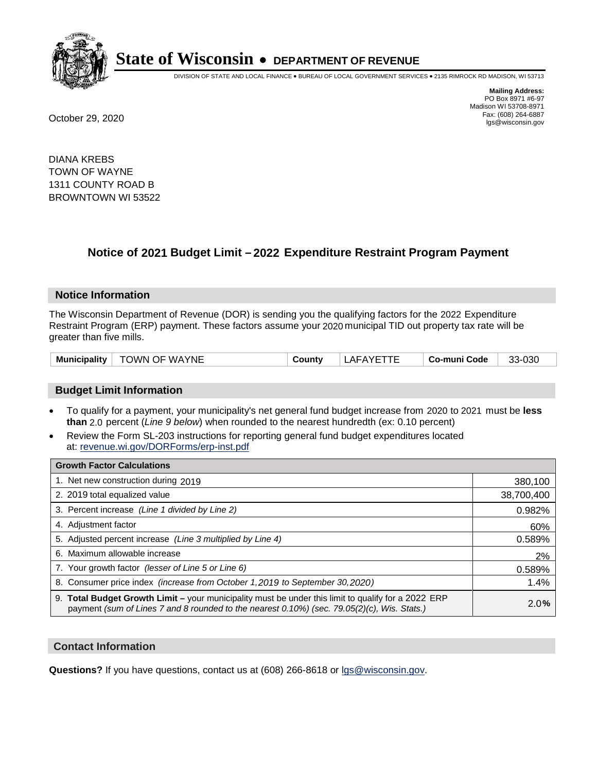

DIVISION OF STATE AND LOCAL FINANCE • BUREAU OF LOCAL GOVERNMENT SERVICES • 2135 RIMROCK RD MADISON, WI 53713

**Mailing Address:** PO Box 8971 #6-97 Madison WI 53708-8971<br>Fax: (608) 264-6887 Fax: (608) 264-6887 October 29, 2020 lgs@wisconsin.gov

DIANA KREBS TOWN OF WAYNE 1311 COUNTY ROAD B BROWNTOWN WI 53522

## **Notice of 2021 Budget Limit - 2022 Expenditure Restraint Program Payment**

#### **Notice Information**

The Wisconsin Department of Revenue (DOR) is sending you the qualifying factors for the 2022 Expenditure Restraint Program (ERP) payment. These factors assume your 2020 municipal TID out property tax rate will be greater than five mills.

#### **Budget Limit Information**

- To qualify for a payment, your municipality's net general fund budget increase from 2020 to 2021 must be less **than** 2.0 percent (*Line 9 below*) when rounded to the nearest hundredth (ex: 0.10 percent)
- Review the Form SL-203 instructions for reporting general fund budget expenditures located at: revenue.wi.gov/DORForms/erp-inst.pdf

| <b>Growth Factor Calculations</b>                                                                                                                                                                      |            |
|--------------------------------------------------------------------------------------------------------------------------------------------------------------------------------------------------------|------------|
| 1. Net new construction during 2019                                                                                                                                                                    | 380,100    |
| 2. 2019 total equalized value                                                                                                                                                                          | 38,700,400 |
| 3. Percent increase (Line 1 divided by Line 2)                                                                                                                                                         | 0.982%     |
| 4. Adiustment factor                                                                                                                                                                                   | 60%        |
| 5. Adjusted percent increase (Line 3 multiplied by Line 4)                                                                                                                                             | 0.589%     |
| 6. Maximum allowable increase                                                                                                                                                                          | 2%         |
| 7. Your growth factor (lesser of Line 5 or Line 6)                                                                                                                                                     | 0.589%     |
| 8. Consumer price index (increase from October 1,2019 to September 30,2020)                                                                                                                            | 1.4%       |
| 9. Total Budget Growth Limit - your municipality must be under this limit to qualify for a 2022 ERP<br>payment (sum of Lines 7 and 8 rounded to the nearest $0.10\%$ ) (sec. 79.05(2)(c), Wis. Stats.) | 2.0%       |

#### **Contact Information**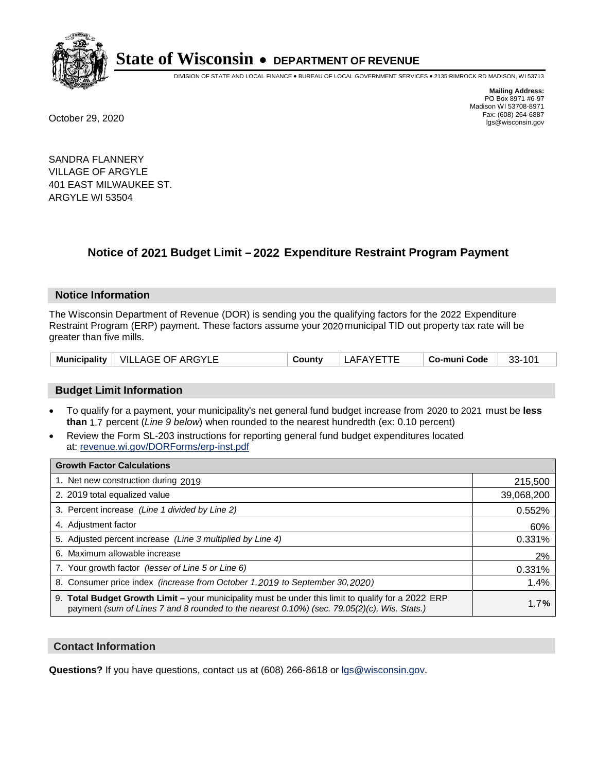

DIVISION OF STATE AND LOCAL FINANCE • BUREAU OF LOCAL GOVERNMENT SERVICES • 2135 RIMROCK RD MADISON, WI 53713

**Mailing Address:** PO Box 8971 #6-97 Madison WI 53708-8971<br>Fax: (608) 264-6887 Fax: (608) 264-6887 October 29, 2020 lgs@wisconsin.gov

SANDRA FLANNERY VILLAGE OF ARGYLE 401 EAST MILWAUKEE ST. ARGYLE WI 53504

### **Notice of 2021 Budget Limit - 2022 Expenditure Restraint Program Payment**

#### **Notice Information**

The Wisconsin Department of Revenue (DOR) is sending you the qualifying factors for the 2022 Expenditure Restraint Program (ERP) payment. These factors assume your 2020 municipal TID out property tax rate will be greater than five mills.

|  | Municipality   VILLAGE OF ARGYLE | County | LAFAYETTE | ⊦ Co-muni Code | 33-101 |
|--|----------------------------------|--------|-----------|----------------|--------|
|--|----------------------------------|--------|-----------|----------------|--------|

#### **Budget Limit Information**

- To qualify for a payment, your municipality's net general fund budget increase from 2020 to 2021 must be less **than** 1.7 percent (*Line 9 below*) when rounded to the nearest hundredth (ex: 0.10 percent)
- Review the Form SL-203 instructions for reporting general fund budget expenditures located at: revenue.wi.gov/DORForms/erp-inst.pdf

| <b>Growth Factor Calculations</b>                                                                                                                                                                  |            |
|----------------------------------------------------------------------------------------------------------------------------------------------------------------------------------------------------|------------|
| 1. Net new construction during 2019                                                                                                                                                                | 215,500    |
| 2. 2019 total equalized value                                                                                                                                                                      | 39,068,200 |
| 3. Percent increase (Line 1 divided by Line 2)                                                                                                                                                     | 0.552%     |
| 4. Adiustment factor                                                                                                                                                                               | 60%        |
| 5. Adjusted percent increase (Line 3 multiplied by Line 4)                                                                                                                                         | 0.331%     |
| 6. Maximum allowable increase                                                                                                                                                                      | 2%         |
| 7. Your growth factor (lesser of Line 5 or Line 6)                                                                                                                                                 | 0.331%     |
| 8. Consumer price index (increase from October 1,2019 to September 30,2020)                                                                                                                        | 1.4%       |
| 9. Total Budget Growth Limit - your municipality must be under this limit to qualify for a 2022 ERP<br>payment (sum of Lines 7 and 8 rounded to the nearest 0.10%) (sec. 79.05(2)(c), Wis. Stats.) | 1.7%       |

#### **Contact Information**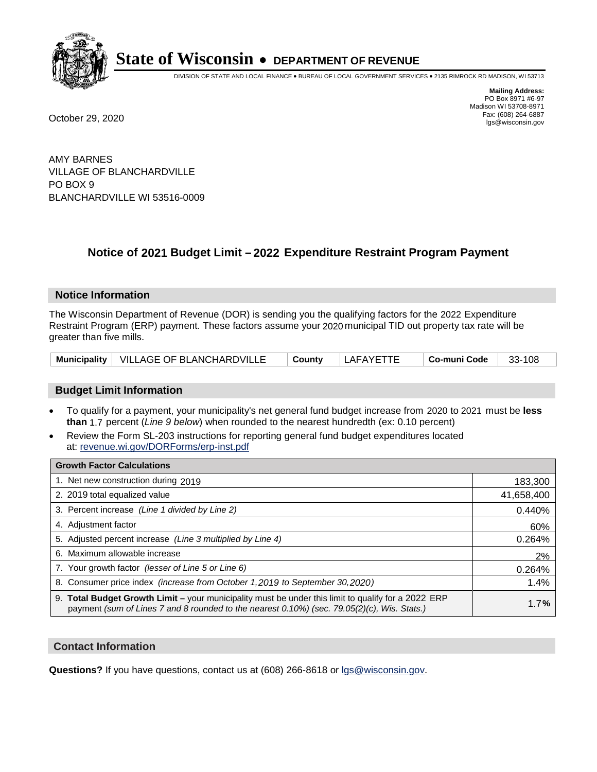

DIVISION OF STATE AND LOCAL FINANCE • BUREAU OF LOCAL GOVERNMENT SERVICES • 2135 RIMROCK RD MADISON, WI 53713

**Mailing Address:** PO Box 8971 #6-97 Madison WI 53708-8971<br>Fax: (608) 264-6887 Fax: (608) 264-6887 October 29, 2020 lgs@wisconsin.gov

AMY BARNES VILLAGE OF BLANCHARDVILLE PO BOX 9 BLANCHARDVILLE WI 53516-0009

### **Notice of 2021 Budget Limit - 2022 Expenditure Restraint Program Payment**

#### **Notice Information**

The Wisconsin Department of Revenue (DOR) is sending you the qualifying factors for the 2022 Expenditure Restraint Program (ERP) payment. These factors assume your 2020 municipal TID out property tax rate will be greater than five mills.

|  | Municipality   VILLAGE OF BLANCHARDVILLE | <sup>⊥</sup> Countv | LAFAYETTE | ∣ Co-muni Code | 33-108 |
|--|------------------------------------------|---------------------|-----------|----------------|--------|
|--|------------------------------------------|---------------------|-----------|----------------|--------|

#### **Budget Limit Information**

- To qualify for a payment, your municipality's net general fund budget increase from 2020 to 2021 must be less **than** 1.7 percent (*Line 9 below*) when rounded to the nearest hundredth (ex: 0.10 percent)
- Review the Form SL-203 instructions for reporting general fund budget expenditures located at: revenue.wi.gov/DORForms/erp-inst.pdf

| <b>Growth Factor Calculations</b>                                                                                                                                                                      |            |
|--------------------------------------------------------------------------------------------------------------------------------------------------------------------------------------------------------|------------|
| 1. Net new construction during 2019                                                                                                                                                                    | 183,300    |
| 2. 2019 total equalized value                                                                                                                                                                          | 41,658,400 |
| 3. Percent increase (Line 1 divided by Line 2)                                                                                                                                                         | 0.440%     |
| 4. Adjustment factor                                                                                                                                                                                   | 60%        |
| 5. Adjusted percent increase (Line 3 multiplied by Line 4)                                                                                                                                             | 0.264%     |
| 6. Maximum allowable increase                                                                                                                                                                          | 2%         |
| 7. Your growth factor (lesser of Line 5 or Line 6)                                                                                                                                                     | 0.264%     |
| 8. Consumer price index (increase from October 1,2019 to September 30,2020)                                                                                                                            | 1.4%       |
| 9. Total Budget Growth Limit - your municipality must be under this limit to qualify for a 2022 ERP<br>payment (sum of Lines 7 and 8 rounded to the nearest $0.10\%$ ) (sec. 79.05(2)(c), Wis. Stats.) | 1.7%       |

#### **Contact Information**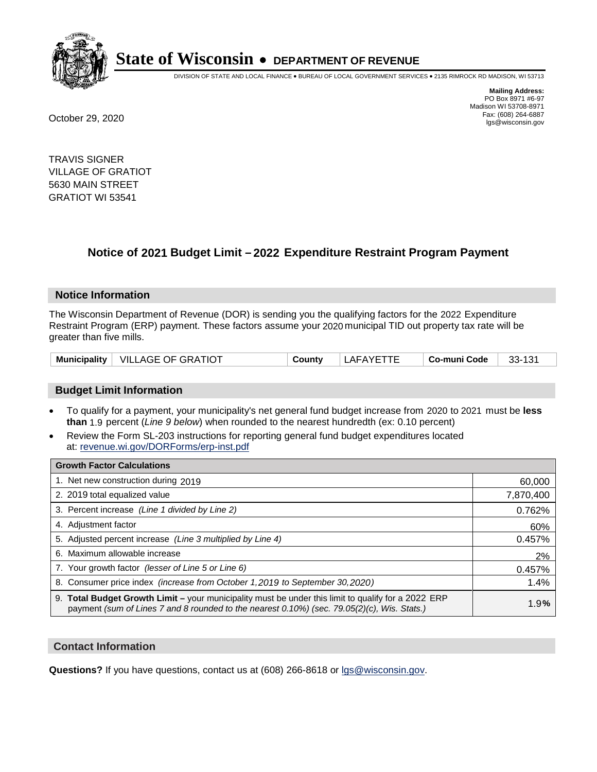

DIVISION OF STATE AND LOCAL FINANCE • BUREAU OF LOCAL GOVERNMENT SERVICES • 2135 RIMROCK RD MADISON, WI 53713

**Mailing Address:** PO Box 8971 #6-97 Madison WI 53708-8971<br>Fax: (608) 264-6887 Fax: (608) 264-6887 October 29, 2020 lgs@wisconsin.gov

TRAVIS SIGNER VILLAGE OF GRATIOT 5630 MAIN STREET GRATIOT WI 53541

## **Notice of 2021 Budget Limit - 2022 Expenditure Restraint Program Payment**

#### **Notice Information**

The Wisconsin Department of Revenue (DOR) is sending you the qualifying factors for the 2022 Expenditure Restraint Program (ERP) payment. These factors assume your 2020 municipal TID out property tax rate will be greater than five mills.

| Municipality | <b>VILLAGE OF GRATIOT</b> | ີດuntv | LAFAYETTE | . Co-muni Code | 33-131 |
|--------------|---------------------------|--------|-----------|----------------|--------|
|--------------|---------------------------|--------|-----------|----------------|--------|

#### **Budget Limit Information**

- To qualify for a payment, your municipality's net general fund budget increase from 2020 to 2021 must be less **than** 1.9 percent (*Line 9 below*) when rounded to the nearest hundredth (ex: 0.10 percent)
- Review the Form SL-203 instructions for reporting general fund budget expenditures located at: revenue.wi.gov/DORForms/erp-inst.pdf

| <b>Growth Factor Calculations</b>                                                                                                                                                                  |           |
|----------------------------------------------------------------------------------------------------------------------------------------------------------------------------------------------------|-----------|
| 1. Net new construction during 2019                                                                                                                                                                | 60,000    |
| 2. 2019 total equalized value                                                                                                                                                                      | 7,870,400 |
| 3. Percent increase (Line 1 divided by Line 2)                                                                                                                                                     | 0.762%    |
| 4. Adjustment factor                                                                                                                                                                               | 60%       |
| 5. Adjusted percent increase (Line 3 multiplied by Line 4)                                                                                                                                         | 0.457%    |
| 6. Maximum allowable increase                                                                                                                                                                      | 2%        |
| 7. Your growth factor (lesser of Line 5 or Line 6)                                                                                                                                                 | 0.457%    |
| 8. Consumer price index (increase from October 1, 2019 to September 30, 2020)                                                                                                                      | 1.4%      |
| 9. Total Budget Growth Limit – your municipality must be under this limit to qualify for a 2022 ERP<br>payment (sum of Lines 7 and 8 rounded to the nearest 0.10%) (sec. 79.05(2)(c), Wis. Stats.) | 1.9%      |

#### **Contact Information**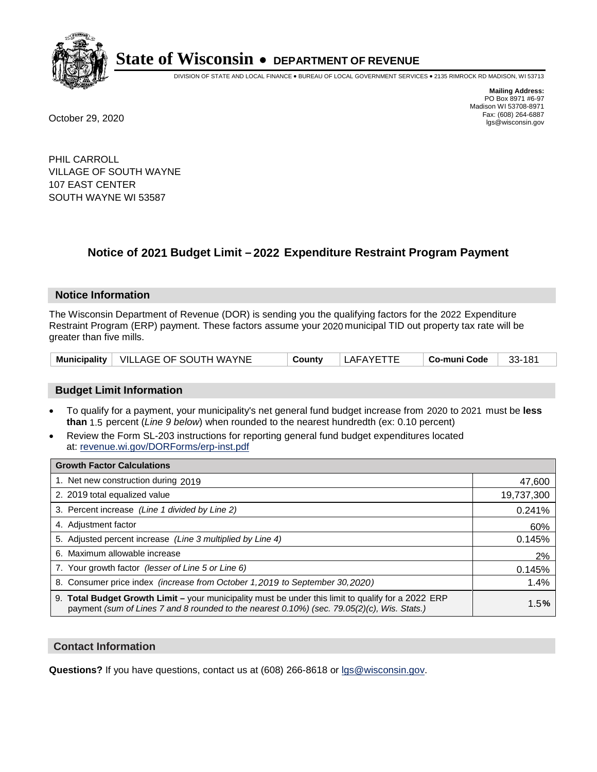

DIVISION OF STATE AND LOCAL FINANCE • BUREAU OF LOCAL GOVERNMENT SERVICES • 2135 RIMROCK RD MADISON, WI 53713

**Mailing Address:** PO Box 8971 #6-97 Madison WI 53708-8971<br>Fax: (608) 264-6887 Fax: (608) 264-6887 October 29, 2020 lgs@wisconsin.gov

PHIL CARROLL VILLAGE OF SOUTH WAYNE 107 EAST CENTER SOUTH WAYNE WI 53587

## **Notice of 2021 Budget Limit - 2022 Expenditure Restraint Program Payment**

#### **Notice Information**

The Wisconsin Department of Revenue (DOR) is sending you the qualifying factors for the 2022 Expenditure Restraint Program (ERP) payment. These factors assume your 2020 municipal TID out property tax rate will be greater than five mills.

|  | Municipality   VILLAGE OF SOUTH WAYNE | County | LAFAYETTE | ⊤ Co-muni Code | 181<br>33- |
|--|---------------------------------------|--------|-----------|----------------|------------|
|--|---------------------------------------|--------|-----------|----------------|------------|

#### **Budget Limit Information**

- To qualify for a payment, your municipality's net general fund budget increase from 2020 to 2021 must be less **than** 1.5 percent (*Line 9 below*) when rounded to the nearest hundredth (ex: 0.10 percent)
- Review the Form SL-203 instructions for reporting general fund budget expenditures located at: revenue.wi.gov/DORForms/erp-inst.pdf

| <b>Growth Factor Calculations</b>                                                                                                                                                                      |            |
|--------------------------------------------------------------------------------------------------------------------------------------------------------------------------------------------------------|------------|
| 1. Net new construction during 2019                                                                                                                                                                    | 47,600     |
| 2. 2019 total equalized value                                                                                                                                                                          | 19,737,300 |
| 3. Percent increase (Line 1 divided by Line 2)                                                                                                                                                         | 0.241%     |
| 4. Adjustment factor                                                                                                                                                                                   | 60%        |
| 5. Adjusted percent increase (Line 3 multiplied by Line 4)                                                                                                                                             | 0.145%     |
| 6. Maximum allowable increase                                                                                                                                                                          | 2%         |
| 7. Your growth factor (lesser of Line 5 or Line 6)                                                                                                                                                     | 0.145%     |
| 8. Consumer price index (increase from October 1, 2019 to September 30, 2020)                                                                                                                          | 1.4%       |
| 9. Total Budget Growth Limit - your municipality must be under this limit to qualify for a 2022 ERP<br>payment (sum of Lines 7 and 8 rounded to the nearest $0.10\%$ ) (sec. 79.05(2)(c), Wis. Stats.) | 1.5%       |

#### **Contact Information**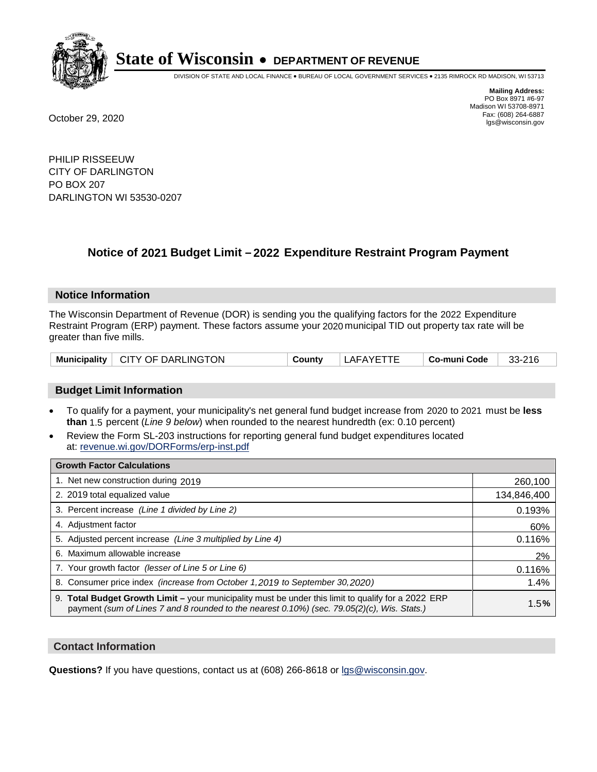

DIVISION OF STATE AND LOCAL FINANCE • BUREAU OF LOCAL GOVERNMENT SERVICES • 2135 RIMROCK RD MADISON, WI 53713

**Mailing Address:** PO Box 8971 #6-97 Madison WI 53708-8971<br>Fax: (608) 264-6887 Fax: (608) 264-6887 October 29, 2020 lgs@wisconsin.gov

PHILIP RISSEEUW CITY OF DARLINGTON PO BOX 207 DARLINGTON WI 53530-0207

### **Notice of 2021 Budget Limit - 2022 Expenditure Restraint Program Payment**

#### **Notice Information**

The Wisconsin Department of Revenue (DOR) is sending you the qualifying factors for the 2022 Expenditure Restraint Program (ERP) payment. These factors assume your 2020 municipal TID out property tax rate will be greater than five mills.

|  | Municipality   CITY OF DARLINGTON | County | LAFAYETTE | Co-muni Code | 33-216 |
|--|-----------------------------------|--------|-----------|--------------|--------|
|--|-----------------------------------|--------|-----------|--------------|--------|

#### **Budget Limit Information**

- To qualify for a payment, your municipality's net general fund budget increase from 2020 to 2021 must be less **than** 1.5 percent (*Line 9 below*) when rounded to the nearest hundredth (ex: 0.10 percent)
- Review the Form SL-203 instructions for reporting general fund budget expenditures located at: revenue.wi.gov/DORForms/erp-inst.pdf

| <b>Growth Factor Calculations</b>                                                                                                                                                                      |             |
|--------------------------------------------------------------------------------------------------------------------------------------------------------------------------------------------------------|-------------|
| 1. Net new construction during 2019                                                                                                                                                                    | 260,100     |
| 2. 2019 total equalized value                                                                                                                                                                          | 134,846,400 |
| 3. Percent increase (Line 1 divided by Line 2)                                                                                                                                                         | 0.193%      |
| 4. Adjustment factor                                                                                                                                                                                   | 60%         |
| 5. Adjusted percent increase (Line 3 multiplied by Line 4)                                                                                                                                             | 0.116%      |
| 6. Maximum allowable increase                                                                                                                                                                          | 2%          |
| 7. Your growth factor (lesser of Line 5 or Line 6)                                                                                                                                                     | 0.116%      |
| 8. Consumer price index (increase from October 1,2019 to September 30,2020)                                                                                                                            | 1.4%        |
| 9. Total Budget Growth Limit - your municipality must be under this limit to qualify for a 2022 ERP<br>payment (sum of Lines 7 and 8 rounded to the nearest $0.10\%$ ) (sec. 79.05(2)(c), Wis. Stats.) | 1.5%        |

#### **Contact Information**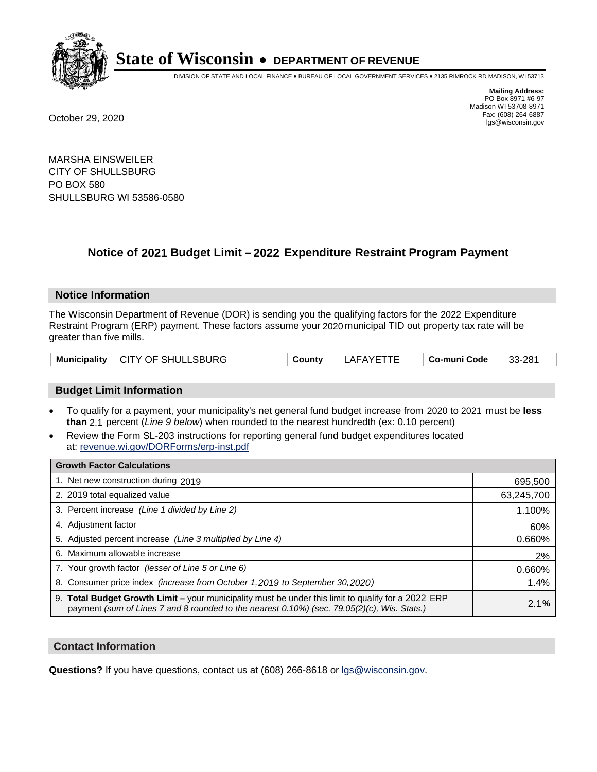

DIVISION OF STATE AND LOCAL FINANCE • BUREAU OF LOCAL GOVERNMENT SERVICES • 2135 RIMROCK RD MADISON, WI 53713

**Mailing Address:** PO Box 8971 #6-97 Madison WI 53708-8971<br>Fax: (608) 264-6887 Fax: (608) 264-6887 October 29, 2020 lgs@wisconsin.gov

MARSHA EINSWEILER CITY OF SHULLSBURG PO BOX 580 SHULLSBURG WI 53586-0580

### **Notice of 2021 Budget Limit - 2022 Expenditure Restraint Program Payment**

#### **Notice Information**

The Wisconsin Department of Revenue (DOR) is sending you the qualifying factors for the 2022 Expenditure Restraint Program (ERP) payment. These factors assume your 2020 municipal TID out property tax rate will be greater than five mills.

|  | Municipality   CITY OF SHULLSBURG | County | LAFAYETTE | Co-muni Code | 33-281 |
|--|-----------------------------------|--------|-----------|--------------|--------|
|--|-----------------------------------|--------|-----------|--------------|--------|

#### **Budget Limit Information**

- To qualify for a payment, your municipality's net general fund budget increase from 2020 to 2021 must be less **than** 2.1 percent (*Line 9 below*) when rounded to the nearest hundredth (ex: 0.10 percent)
- Review the Form SL-203 instructions for reporting general fund budget expenditures located at: revenue.wi.gov/DORForms/erp-inst.pdf

| <b>Growth Factor Calculations</b>                                                                                                                                                                      |            |
|--------------------------------------------------------------------------------------------------------------------------------------------------------------------------------------------------------|------------|
| 1. Net new construction during 2019                                                                                                                                                                    | 695,500    |
| 2. 2019 total equalized value                                                                                                                                                                          | 63,245,700 |
| 3. Percent increase (Line 1 divided by Line 2)                                                                                                                                                         | 1.100%     |
| 4. Adjustment factor                                                                                                                                                                                   | 60%        |
| 5. Adjusted percent increase (Line 3 multiplied by Line 4)                                                                                                                                             | 0.660%     |
| 6. Maximum allowable increase                                                                                                                                                                          | 2%         |
| 7. Your growth factor (lesser of Line 5 or Line 6)                                                                                                                                                     | 0.660%     |
| 8. Consumer price index (increase from October 1, 2019 to September 30, 2020)                                                                                                                          | 1.4%       |
| 9. Total Budget Growth Limit - your municipality must be under this limit to qualify for a 2022 ERP<br>payment (sum of Lines 7 and 8 rounded to the nearest $0.10\%$ ) (sec. 79.05(2)(c), Wis. Stats.) | 2.1%       |

#### **Contact Information**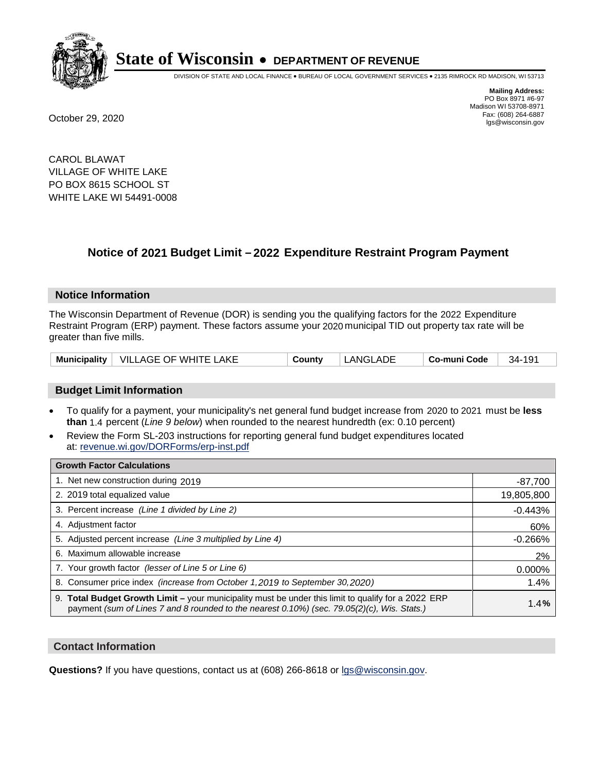

DIVISION OF STATE AND LOCAL FINANCE • BUREAU OF LOCAL GOVERNMENT SERVICES • 2135 RIMROCK RD MADISON, WI 53713

**Mailing Address:** PO Box 8971 #6-97 Madison WI 53708-8971<br>Fax: (608) 264-6887 Fax: (608) 264-6887 October 29, 2020 lgs@wisconsin.gov

CAROL BLAWAT VILLAGE OF WHITE LAKE PO BOX 8615 SCHOOL ST WHITE LAKE WI 54491-0008

# **Notice of 2021 Budget Limit - 2022 Expenditure Restraint Program Payment**

#### **Notice Information**

The Wisconsin Department of Revenue (DOR) is sending you the qualifying factors for the 2022 Expenditure Restraint Program (ERP) payment. These factors assume your 2020 municipal TID out property tax rate will be greater than five mills.

|  | Municipality   VILLAGE OF WHITE LAKE | Countv | LANGLADE | Co-muni Code | $34 - 191$ |
|--|--------------------------------------|--------|----------|--------------|------------|
|--|--------------------------------------|--------|----------|--------------|------------|

# **Budget Limit Information**

- To qualify for a payment, your municipality's net general fund budget increase from 2020 to 2021 must be less **than** 1.4 percent (*Line 9 below*) when rounded to the nearest hundredth (ex: 0.10 percent)
- Review the Form SL-203 instructions for reporting general fund budget expenditures located at: revenue.wi.gov/DORForms/erp-inst.pdf

| <b>Growth Factor Calculations</b>                                                                                                                                                                  |            |
|----------------------------------------------------------------------------------------------------------------------------------------------------------------------------------------------------|------------|
| 1. Net new construction during 2019                                                                                                                                                                | $-87,700$  |
| 2. 2019 total equalized value                                                                                                                                                                      | 19,805,800 |
| 3. Percent increase (Line 1 divided by Line 2)                                                                                                                                                     | $-0.443%$  |
| 4. Adiustment factor                                                                                                                                                                               | 60%        |
| 5. Adjusted percent increase (Line 3 multiplied by Line 4)                                                                                                                                         | $-0.266%$  |
| Maximum allowable increase<br>6.                                                                                                                                                                   | 2%         |
| 7. Your growth factor (lesser of Line 5 or Line 6)                                                                                                                                                 | 0.000%     |
| 8. Consumer price index (increase from October 1,2019 to September 30,2020)                                                                                                                        | 1.4%       |
| 9. Total Budget Growth Limit - your municipality must be under this limit to qualify for a 2022 ERP<br>payment (sum of Lines 7 and 8 rounded to the nearest 0.10%) (sec. 79.05(2)(c), Wis. Stats.) | 1.4%       |

## **Contact Information**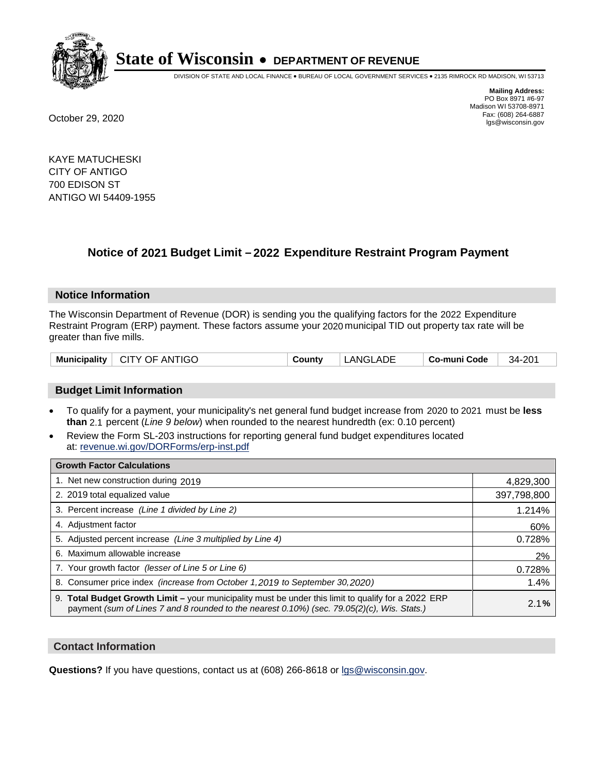

DIVISION OF STATE AND LOCAL FINANCE • BUREAU OF LOCAL GOVERNMENT SERVICES • 2135 RIMROCK RD MADISON, WI 53713

**Mailing Address:** PO Box 8971 #6-97 Madison WI 53708-8971<br>Fax: (608) 264-6887 Fax: (608) 264-6887 October 29, 2020 lgs@wisconsin.gov

KAYE MATUCHESKI CITY OF ANTIGO 700 EDISON ST ANTIGO WI 54409-1955

# **Notice of 2021 Budget Limit - 2022 Expenditure Restraint Program Payment**

## **Notice Information**

The Wisconsin Department of Revenue (DOR) is sending you the qualifying factors for the 2022 Expenditure Restraint Program (ERP) payment. These factors assume your 2020 municipal TID out property tax rate will be greater than five mills.

| Municipality   CITY OF ANTIGO | County | LANGLADE | Co-muni Code | 34-201 |
|-------------------------------|--------|----------|--------------|--------|
|-------------------------------|--------|----------|--------------|--------|

# **Budget Limit Information**

- To qualify for a payment, your municipality's net general fund budget increase from 2020 to 2021 must be less **than** 2.1 percent (*Line 9 below*) when rounded to the nearest hundredth (ex: 0.10 percent)
- Review the Form SL-203 instructions for reporting general fund budget expenditures located at: revenue.wi.gov/DORForms/erp-inst.pdf

| <b>Growth Factor Calculations</b>                                                                                                                                                                      |             |
|--------------------------------------------------------------------------------------------------------------------------------------------------------------------------------------------------------|-------------|
| 1. Net new construction during 2019                                                                                                                                                                    | 4,829,300   |
| 2. 2019 total equalized value                                                                                                                                                                          | 397,798,800 |
| 3. Percent increase (Line 1 divided by Line 2)                                                                                                                                                         | 1.214%      |
| 4. Adiustment factor                                                                                                                                                                                   | 60%         |
| 5. Adjusted percent increase (Line 3 multiplied by Line 4)                                                                                                                                             | 0.728%      |
| 6. Maximum allowable increase                                                                                                                                                                          | 2%          |
| 7. Your growth factor (lesser of Line 5 or Line 6)                                                                                                                                                     | 0.728%      |
| 8. Consumer price index (increase from October 1,2019 to September 30,2020)                                                                                                                            | 1.4%        |
| 9. Total Budget Growth Limit - your municipality must be under this limit to qualify for a 2022 ERP<br>payment (sum of Lines 7 and 8 rounded to the nearest $0.10\%$ ) (sec. 79.05(2)(c), Wis. Stats.) | 2.1%        |

## **Contact Information**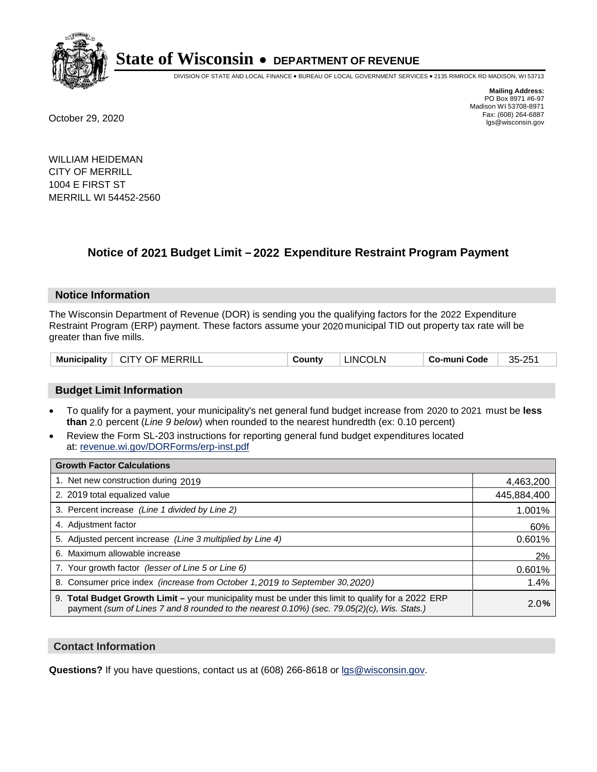

DIVISION OF STATE AND LOCAL FINANCE • BUREAU OF LOCAL GOVERNMENT SERVICES • 2135 RIMROCK RD MADISON, WI 53713

**Mailing Address:** PO Box 8971 #6-97 Madison WI 53708-8971<br>Fax: (608) 264-6887 Fax: (608) 264-6887 October 29, 2020 lgs@wisconsin.gov

WILLIAM HEIDEMAN CITY OF MERRILL 1004 E FIRST ST MERRILL WI 54452-2560

# **Notice of 2021 Budget Limit - 2022 Expenditure Restraint Program Payment**

## **Notice Information**

The Wisconsin Department of Revenue (DOR) is sending you the qualifying factors for the 2022 Expenditure Restraint Program (ERP) payment. These factors assume your 2020 municipal TID out property tax rate will be greater than five mills.

| Municipality<br><sup>1</sup> CITY OF MERRILL | County | <b>LINCOLN</b> | <b>Co-muni Code</b> | 35-251 |
|----------------------------------------------|--------|----------------|---------------------|--------|
|----------------------------------------------|--------|----------------|---------------------|--------|

# **Budget Limit Information**

- To qualify for a payment, your municipality's net general fund budget increase from 2020 to 2021 must be less **than** 2.0 percent (*Line 9 below*) when rounded to the nearest hundredth (ex: 0.10 percent)
- Review the Form SL-203 instructions for reporting general fund budget expenditures located at: revenue.wi.gov/DORForms/erp-inst.pdf

| <b>Growth Factor Calculations</b>                                                                                                                                                                  |             |
|----------------------------------------------------------------------------------------------------------------------------------------------------------------------------------------------------|-------------|
| 1. Net new construction during 2019                                                                                                                                                                | 4,463,200   |
| 2. 2019 total equalized value                                                                                                                                                                      | 445,884,400 |
| 3. Percent increase (Line 1 divided by Line 2)                                                                                                                                                     | 1.001%      |
| 4. Adjustment factor                                                                                                                                                                               | 60%         |
| 5. Adjusted percent increase (Line 3 multiplied by Line 4)                                                                                                                                         | 0.601%      |
| 6. Maximum allowable increase                                                                                                                                                                      | 2%          |
| 7. Your growth factor (lesser of Line 5 or Line 6)                                                                                                                                                 | 0.601%      |
| 8. Consumer price index (increase from October 1, 2019 to September 30, 2020)                                                                                                                      | 1.4%        |
| 9. Total Budget Growth Limit - your municipality must be under this limit to qualify for a 2022 ERP<br>payment (sum of Lines 7 and 8 rounded to the nearest 0.10%) (sec. 79.05(2)(c), Wis. Stats.) | 2.0%        |

## **Contact Information**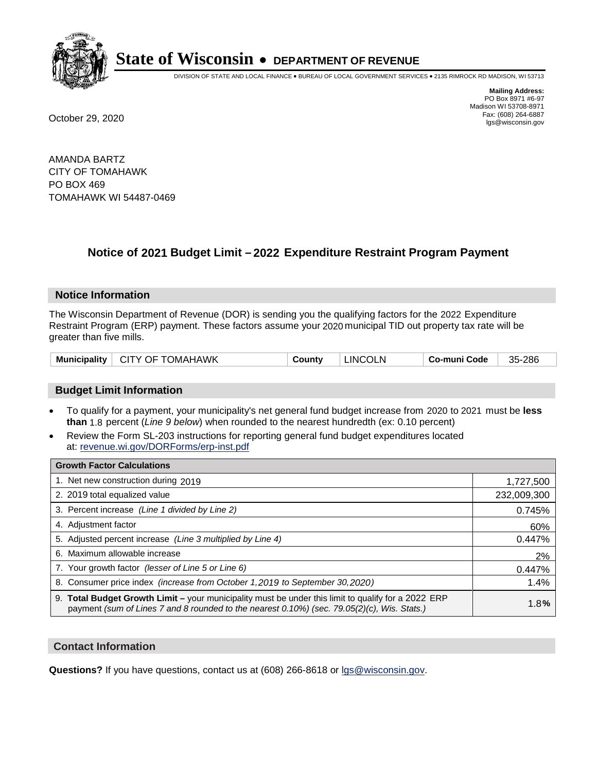

DIVISION OF STATE AND LOCAL FINANCE • BUREAU OF LOCAL GOVERNMENT SERVICES • 2135 RIMROCK RD MADISON, WI 53713

**Mailing Address:** PO Box 8971 #6-97 Madison WI 53708-8971<br>Fax: (608) 264-6887 Fax: (608) 264-6887 October 29, 2020 lgs@wisconsin.gov

AMANDA BARTZ CITY OF TOMAHAWK PO BOX 469 TOMAHAWK WI 54487-0469

# **Notice of 2021 Budget Limit - 2022 Expenditure Restraint Program Payment**

#### **Notice Information**

The Wisconsin Department of Revenue (DOR) is sending you the qualifying factors for the 2022 Expenditure Restraint Program (ERP) payment. These factors assume your 2020 municipal TID out property tax rate will be greater than five mills.

| Municipality   CITY OF TOMAHAWK | County | <b>LINCOLN</b> | Co-muni Code | 35-286 |
|---------------------------------|--------|----------------|--------------|--------|
|---------------------------------|--------|----------------|--------------|--------|

# **Budget Limit Information**

- To qualify for a payment, your municipality's net general fund budget increase from 2020 to 2021 must be less **than** 1.8 percent (*Line 9 below*) when rounded to the nearest hundredth (ex: 0.10 percent)
- Review the Form SL-203 instructions for reporting general fund budget expenditures located at: revenue.wi.gov/DORForms/erp-inst.pdf

| <b>Growth Factor Calculations</b>                                                                                                                                                                  |             |
|----------------------------------------------------------------------------------------------------------------------------------------------------------------------------------------------------|-------------|
| 1. Net new construction during 2019                                                                                                                                                                | 1,727,500   |
| 2. 2019 total equalized value                                                                                                                                                                      | 232,009,300 |
| 3. Percent increase (Line 1 divided by Line 2)                                                                                                                                                     | 0.745%      |
| 4. Adjustment factor                                                                                                                                                                               | 60%         |
| 5. Adjusted percent increase (Line 3 multiplied by Line 4)                                                                                                                                         | 0.447%      |
| 6. Maximum allowable increase                                                                                                                                                                      | 2%          |
| 7. Your growth factor (lesser of Line 5 or Line 6)                                                                                                                                                 | 0.447%      |
| 8. Consumer price index (increase from October 1, 2019 to September 30, 2020)                                                                                                                      | 1.4%        |
| 9. Total Budget Growth Limit - your municipality must be under this limit to qualify for a 2022 ERP<br>payment (sum of Lines 7 and 8 rounded to the nearest 0.10%) (sec. 79.05(2)(c), Wis. Stats.) | 1.8%        |

## **Contact Information**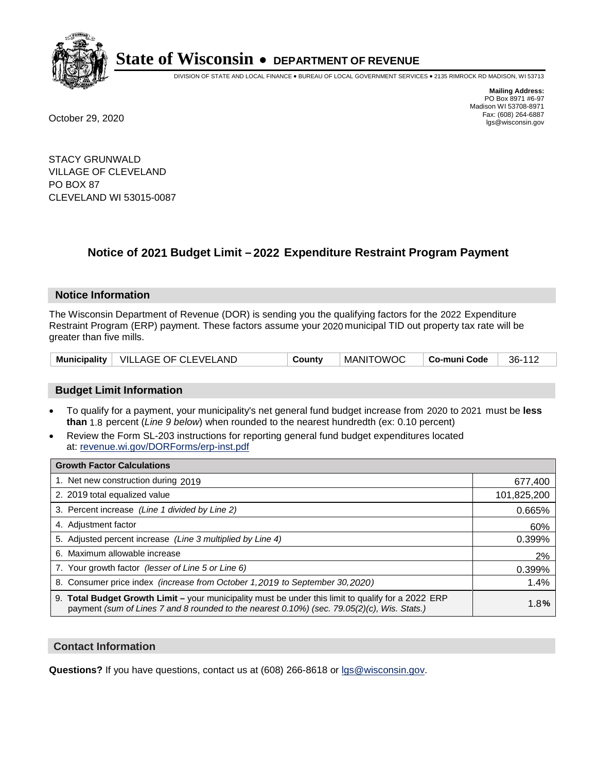

DIVISION OF STATE AND LOCAL FINANCE • BUREAU OF LOCAL GOVERNMENT SERVICES • 2135 RIMROCK RD MADISON, WI 53713

**Mailing Address:** PO Box 8971 #6-97 Madison WI 53708-8971<br>Fax: (608) 264-6887 Fax: (608) 264-6887 October 29, 2020 lgs@wisconsin.gov

STACY GRUNWALD VILLAGE OF CLEVELAND PO BOX 87 CLEVELAND WI 53015-0087

# **Notice of 2021 Budget Limit - 2022 Expenditure Restraint Program Payment**

## **Notice Information**

The Wisconsin Department of Revenue (DOR) is sending you the qualifying factors for the 2022 Expenditure Restraint Program (ERP) payment. These factors assume your 2020 municipal TID out property tax rate will be greater than five mills.

|  | Municipality   VILLAGE OF CLEVELAND | County | <b>MANITOWOC</b> | Co-muni Code | 36-112 |
|--|-------------------------------------|--------|------------------|--------------|--------|
|--|-------------------------------------|--------|------------------|--------------|--------|

# **Budget Limit Information**

- To qualify for a payment, your municipality's net general fund budget increase from 2020 to 2021 must be less **than** 1.8 percent (*Line 9 below*) when rounded to the nearest hundredth (ex: 0.10 percent)
- Review the Form SL-203 instructions for reporting general fund budget expenditures located at: revenue.wi.gov/DORForms/erp-inst.pdf

| <b>Growth Factor Calculations</b>                                                                                                                                                                      |             |
|--------------------------------------------------------------------------------------------------------------------------------------------------------------------------------------------------------|-------------|
| 1. Net new construction during 2019                                                                                                                                                                    | 677,400     |
| 2. 2019 total equalized value                                                                                                                                                                          | 101,825,200 |
| 3. Percent increase (Line 1 divided by Line 2)                                                                                                                                                         | 0.665%      |
| 4. Adjustment factor                                                                                                                                                                                   | 60%         |
| 5. Adjusted percent increase (Line 3 multiplied by Line 4)                                                                                                                                             | 0.399%      |
| 6. Maximum allowable increase                                                                                                                                                                          | 2%          |
| 7. Your growth factor (lesser of Line 5 or Line 6)                                                                                                                                                     | 0.399%      |
| 8. Consumer price index (increase from October 1, 2019 to September 30, 2020)                                                                                                                          | 1.4%        |
| 9. Total Budget Growth Limit - your municipality must be under this limit to qualify for a 2022 ERP<br>payment (sum of Lines 7 and 8 rounded to the nearest $0.10\%$ ) (sec. 79.05(2)(c), Wis. Stats.) | 1.8%        |

## **Contact Information**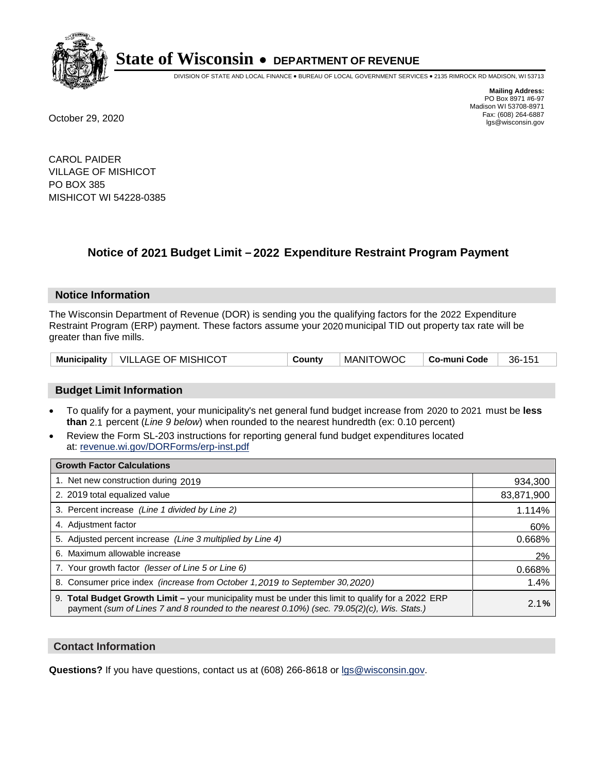

DIVISION OF STATE AND LOCAL FINANCE • BUREAU OF LOCAL GOVERNMENT SERVICES • 2135 RIMROCK RD MADISON, WI 53713

**Mailing Address:** PO Box 8971 #6-97 Madison WI 53708-8971<br>Fax: (608) 264-6887 Fax: (608) 264-6887 October 29, 2020 lgs@wisconsin.gov

CAROL PAIDER VILLAGE OF MISHICOT PO BOX 385 MISHICOT WI 54228-0385

# **Notice of 2021 Budget Limit - 2022 Expenditure Restraint Program Payment**

#### **Notice Information**

The Wisconsin Department of Revenue (DOR) is sending you the qualifying factors for the 2022 Expenditure Restraint Program (ERP) payment. These factors assume your 2020 municipal TID out property tax rate will be greater than five mills.

|  | Municipality   VILLAGE OF MISHICOT | County | <b>MANITOWOC</b> | Co-muni Code | 36-151 |
|--|------------------------------------|--------|------------------|--------------|--------|
|--|------------------------------------|--------|------------------|--------------|--------|

# **Budget Limit Information**

- To qualify for a payment, your municipality's net general fund budget increase from 2020 to 2021 must be less **than** 2.1 percent (*Line 9 below*) when rounded to the nearest hundredth (ex: 0.10 percent)
- Review the Form SL-203 instructions for reporting general fund budget expenditures located at: revenue.wi.gov/DORForms/erp-inst.pdf

| <b>Growth Factor Calculations</b>                                                                                                                                                                      |            |
|--------------------------------------------------------------------------------------------------------------------------------------------------------------------------------------------------------|------------|
| 1. Net new construction during 2019                                                                                                                                                                    | 934,300    |
| 2. 2019 total equalized value                                                                                                                                                                          | 83,871,900 |
| 3. Percent increase (Line 1 divided by Line 2)                                                                                                                                                         | 1.114%     |
| 4. Adjustment factor                                                                                                                                                                                   | 60%        |
| 5. Adjusted percent increase (Line 3 multiplied by Line 4)                                                                                                                                             | 0.668%     |
| 6. Maximum allowable increase                                                                                                                                                                          | 2%         |
| 7. Your growth factor (lesser of Line 5 or Line 6)                                                                                                                                                     | 0.668%     |
| 8. Consumer price index (increase from October 1, 2019 to September 30, 2020)                                                                                                                          | 1.4%       |
| 9. Total Budget Growth Limit - your municipality must be under this limit to qualify for a 2022 ERP<br>payment (sum of Lines 7 and 8 rounded to the nearest $0.10\%$ ) (sec. 79.05(2)(c), Wis. Stats.) | 2.1%       |

## **Contact Information**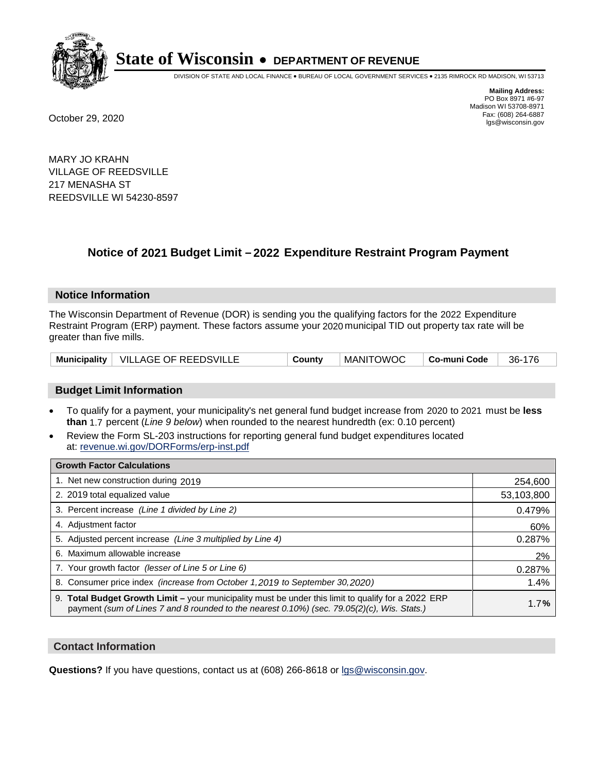

DIVISION OF STATE AND LOCAL FINANCE • BUREAU OF LOCAL GOVERNMENT SERVICES • 2135 RIMROCK RD MADISON, WI 53713

**Mailing Address:** PO Box 8971 #6-97 Madison WI 53708-8971<br>Fax: (608) 264-6887 Fax: (608) 264-6887 October 29, 2020 lgs@wisconsin.gov

MARY JO KRAHN VILLAGE OF REEDSVILLE 217 MENASHA ST REEDSVILLE WI 54230-8597

# **Notice of 2021 Budget Limit - 2022 Expenditure Restraint Program Payment**

#### **Notice Information**

The Wisconsin Department of Revenue (DOR) is sending you the qualifying factors for the 2022 Expenditure Restraint Program (ERP) payment. These factors assume your 2020 municipal TID out property tax rate will be greater than five mills.

|  | Municipality   VILLAGE OF REEDSVILLE | County | <b>MANITOWOC</b> | Co-muni Code | 36-176 |
|--|--------------------------------------|--------|------------------|--------------|--------|
|--|--------------------------------------|--------|------------------|--------------|--------|

# **Budget Limit Information**

- To qualify for a payment, your municipality's net general fund budget increase from 2020 to 2021 must be less **than** 1.7 percent (*Line 9 below*) when rounded to the nearest hundredth (ex: 0.10 percent)
- Review the Form SL-203 instructions for reporting general fund budget expenditures located at: revenue.wi.gov/DORForms/erp-inst.pdf

| <b>Growth Factor Calculations</b>                                                                                                                                                                      |            |
|--------------------------------------------------------------------------------------------------------------------------------------------------------------------------------------------------------|------------|
| 1. Net new construction during 2019                                                                                                                                                                    | 254,600    |
| 2. 2019 total equalized value                                                                                                                                                                          | 53,103,800 |
| 3. Percent increase (Line 1 divided by Line 2)                                                                                                                                                         | 0.479%     |
| 4. Adjustment factor                                                                                                                                                                                   | 60%        |
| 5. Adjusted percent increase (Line 3 multiplied by Line 4)                                                                                                                                             | 0.287%     |
| 6. Maximum allowable increase                                                                                                                                                                          | 2%         |
| 7. Your growth factor (lesser of Line 5 or Line 6)                                                                                                                                                     | 0.287%     |
| 8. Consumer price index (increase from October 1, 2019 to September 30, 2020)                                                                                                                          | 1.4%       |
| 9. Total Budget Growth Limit - your municipality must be under this limit to qualify for a 2022 ERP<br>payment (sum of Lines 7 and 8 rounded to the nearest $0.10\%$ ) (sec. 79.05(2)(c), Wis. Stats.) | 1.7%       |

## **Contact Information**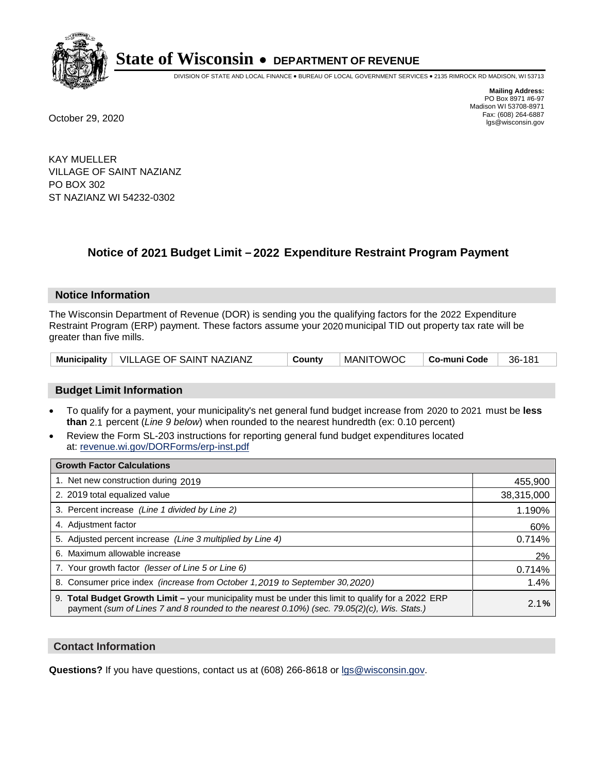

DIVISION OF STATE AND LOCAL FINANCE • BUREAU OF LOCAL GOVERNMENT SERVICES • 2135 RIMROCK RD MADISON, WI 53713

**Mailing Address:** PO Box 8971 #6-97 Madison WI 53708-8971<br>Fax: (608) 264-6887 Fax: (608) 264-6887 October 29, 2020 lgs@wisconsin.gov

KAY MUELLER VILLAGE OF SAINT NAZIANZ PO BOX 302 ST NAZIANZ WI 54232-0302

# **Notice of 2021 Budget Limit - 2022 Expenditure Restraint Program Payment**

## **Notice Information**

The Wisconsin Department of Revenue (DOR) is sending you the qualifying factors for the 2022 Expenditure Restraint Program (ERP) payment. These factors assume your 2020 municipal TID out property tax rate will be greater than five mills.

| Municipality | $\vdash$ VILLAGE OF SAINT NAZIANZ | _ount∨ت | <b>MANITOWOC</b> | Co-muni Code | 181<br>36- |
|--------------|-----------------------------------|---------|------------------|--------------|------------|
|--------------|-----------------------------------|---------|------------------|--------------|------------|

# **Budget Limit Information**

- To qualify for a payment, your municipality's net general fund budget increase from 2020 to 2021 must be less **than** 2.1 percent (*Line 9 below*) when rounded to the nearest hundredth (ex: 0.10 percent)
- Review the Form SL-203 instructions for reporting general fund budget expenditures located at: revenue.wi.gov/DORForms/erp-inst.pdf

| <b>Growth Factor Calculations</b>                                                                                                                                                                      |            |
|--------------------------------------------------------------------------------------------------------------------------------------------------------------------------------------------------------|------------|
| 1. Net new construction during 2019                                                                                                                                                                    | 455,900    |
| 2. 2019 total equalized value                                                                                                                                                                          | 38,315,000 |
| 3. Percent increase (Line 1 divided by Line 2)                                                                                                                                                         | 1.190%     |
| 4. Adjustment factor                                                                                                                                                                                   | 60%        |
| 5. Adjusted percent increase (Line 3 multiplied by Line 4)                                                                                                                                             | 0.714%     |
| 6. Maximum allowable increase                                                                                                                                                                          | 2%         |
| 7. Your growth factor (lesser of Line 5 or Line 6)                                                                                                                                                     | 0.714%     |
| 8. Consumer price index (increase from October 1, 2019 to September 30, 2020)                                                                                                                          | 1.4%       |
| 9. Total Budget Growth Limit - your municipality must be under this limit to qualify for a 2022 ERP<br>payment (sum of Lines 7 and 8 rounded to the nearest $0.10\%$ ) (sec. 79.05(2)(c), Wis. Stats.) | 2.1%       |

## **Contact Information**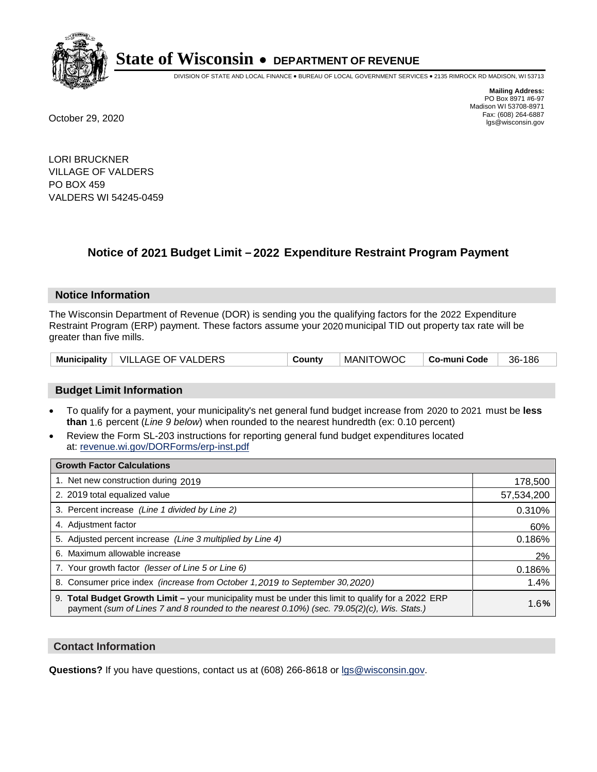

DIVISION OF STATE AND LOCAL FINANCE • BUREAU OF LOCAL GOVERNMENT SERVICES • 2135 RIMROCK RD MADISON, WI 53713

**Mailing Address:** PO Box 8971 #6-97 Madison WI 53708-8971<br>Fax: (608) 264-6887 Fax: (608) 264-6887 October 29, 2020 lgs@wisconsin.gov

LORI BRUCKNER VILLAGE OF VALDERS PO BOX 459 VALDERS WI 54245-0459

# **Notice of 2021 Budget Limit - 2022 Expenditure Restraint Program Payment**

## **Notice Information**

The Wisconsin Department of Revenue (DOR) is sending you the qualifying factors for the 2022 Expenditure Restraint Program (ERP) payment. These factors assume your 2020 municipal TID out property tax rate will be greater than five mills.

| Municipality   VILLAGE OF VALDERS | County | MANITOWOC | ∣ Co-muni Code | 36-186 |
|-----------------------------------|--------|-----------|----------------|--------|
|-----------------------------------|--------|-----------|----------------|--------|

# **Budget Limit Information**

- To qualify for a payment, your municipality's net general fund budget increase from 2020 to 2021 must be less **than** 1.6 percent (*Line 9 below*) when rounded to the nearest hundredth (ex: 0.10 percent)
- Review the Form SL-203 instructions for reporting general fund budget expenditures located at: revenue.wi.gov/DORForms/erp-inst.pdf

| <b>Growth Factor Calculations</b>                                                                                                                                                                      |            |
|--------------------------------------------------------------------------------------------------------------------------------------------------------------------------------------------------------|------------|
| 1. Net new construction during 2019                                                                                                                                                                    | 178,500    |
| 2. 2019 total equalized value                                                                                                                                                                          | 57,534,200 |
| 3. Percent increase (Line 1 divided by Line 2)                                                                                                                                                         | 0.310%     |
| 4. Adjustment factor                                                                                                                                                                                   | 60%        |
| 5. Adjusted percent increase (Line 3 multiplied by Line 4)                                                                                                                                             | 0.186%     |
| 6. Maximum allowable increase                                                                                                                                                                          | 2%         |
| 7. Your growth factor (lesser of Line 5 or Line 6)                                                                                                                                                     | 0.186%     |
| 8. Consumer price index (increase from October 1, 2019 to September 30, 2020)                                                                                                                          | 1.4%       |
| 9. Total Budget Growth Limit - your municipality must be under this limit to qualify for a 2022 ERP<br>payment (sum of Lines 7 and 8 rounded to the nearest $0.10\%$ ) (sec. 79.05(2)(c), Wis. Stats.) | 1.6%       |

## **Contact Information**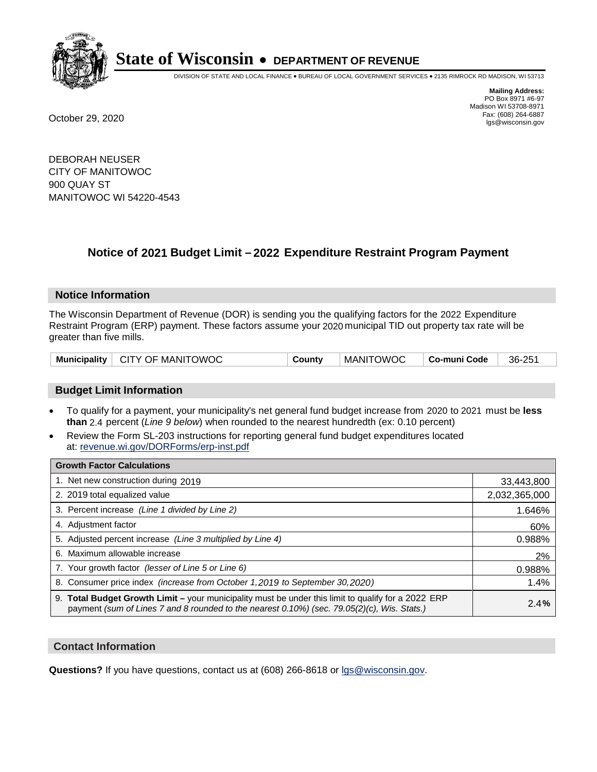

DIVISION OF STATE AND LOCAL FINANCE • BUREAU OF LOCAL GOVERNMENT SERVICES • 2135 RIMROCK RD MADISON, WI 53713

**Mailing Address:** PO Box 8971 #6-97 Madison WI 53708-8971<br>Fax: (608) 264-6887 Fax: (608) 264-6887 October 29, 2020 lgs@wisconsin.gov

DEBORAH NEUSER CITY OF MANITOWOC 900 QUAY ST MANITOWOC WI 54220-4543

# **Notice of 2021 Budget Limit - 2022 Expenditure Restraint Program Payment**

## **Notice Information**

The Wisconsin Department of Revenue (DOR) is sending you the qualifying factors for the 2022 Expenditure Restraint Program (ERP) payment. These factors assume your 2020 municipal TID out property tax rate will be greater than five mills.

|  | Municipality   CITY OF MANITOWOC | County | <b>MANITOWOC</b> | Co-muni Code | 36-251 |
|--|----------------------------------|--------|------------------|--------------|--------|
|--|----------------------------------|--------|------------------|--------------|--------|

# **Budget Limit Information**

- To qualify for a payment, your municipality's net general fund budget increase from 2020 to 2021 must be less **than** 2.4 percent (*Line 9 below*) when rounded to the nearest hundredth (ex: 0.10 percent)
- Review the Form SL-203 instructions for reporting general fund budget expenditures located at: revenue.wi.gov/DORForms/erp-inst.pdf

| <b>Growth Factor Calculations</b>                                                                                                                                                                  |               |
|----------------------------------------------------------------------------------------------------------------------------------------------------------------------------------------------------|---------------|
| 1. Net new construction during 2019                                                                                                                                                                | 33,443,800    |
| 2. 2019 total equalized value                                                                                                                                                                      | 2,032,365,000 |
| 3. Percent increase (Line 1 divided by Line 2)                                                                                                                                                     | 1.646%        |
| 4. Adjustment factor                                                                                                                                                                               | 60%           |
| 5. Adjusted percent increase (Line 3 multiplied by Line 4)                                                                                                                                         | 0.988%        |
| 6. Maximum allowable increase                                                                                                                                                                      | 2%            |
| 7. Your growth factor (lesser of Line 5 or Line 6)                                                                                                                                                 | 0.988%        |
| 8. Consumer price index (increase from October 1, 2019 to September 30, 2020)                                                                                                                      | 1.4%          |
| 9. Total Budget Growth Limit - your municipality must be under this limit to qualify for a 2022 ERP<br>payment (sum of Lines 7 and 8 rounded to the nearest 0.10%) (sec. 79.05(2)(c), Wis. Stats.) | 2.4%          |

## **Contact Information**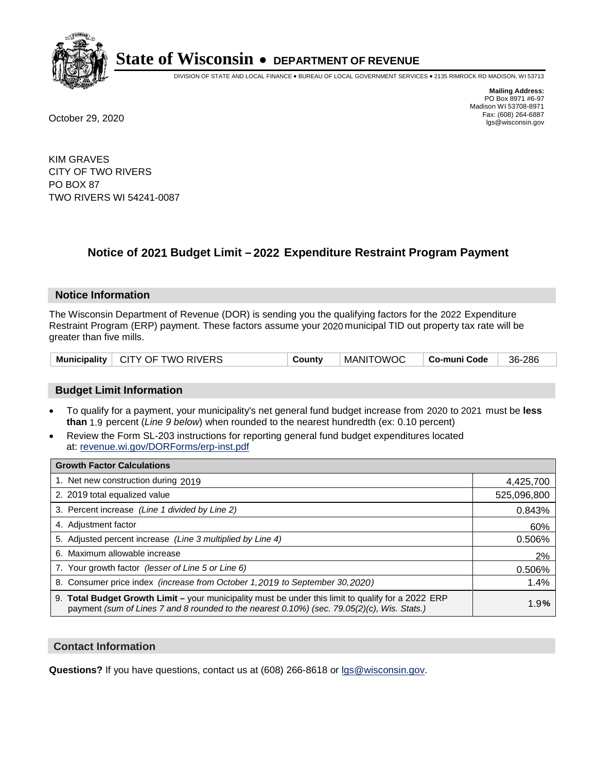

DIVISION OF STATE AND LOCAL FINANCE • BUREAU OF LOCAL GOVERNMENT SERVICES • 2135 RIMROCK RD MADISON, WI 53713

**Mailing Address:** PO Box 8971 #6-97 Madison WI 53708-8971<br>Fax: (608) 264-6887 Fax: (608) 264-6887 October 29, 2020 lgs@wisconsin.gov

KIM GRAVES CITY OF TWO RIVERS PO BOX 87 TWO RIVERS WI 54241-0087

# **Notice of 2021 Budget Limit - 2022 Expenditure Restraint Program Payment**

## **Notice Information**

The Wisconsin Department of Revenue (DOR) is sending you the qualifying factors for the 2022 Expenditure Restraint Program (ERP) payment. These factors assume your 2020 municipal TID out property tax rate will be greater than five mills.

| Municipality   CITY OF TWO RIVERS | County | MANITOWOC | ∣ Co-muni Code | 36-286 |
|-----------------------------------|--------|-----------|----------------|--------|
|-----------------------------------|--------|-----------|----------------|--------|

# **Budget Limit Information**

- To qualify for a payment, your municipality's net general fund budget increase from 2020 to 2021 must be less **than** 1.9 percent (*Line 9 below*) when rounded to the nearest hundredth (ex: 0.10 percent)
- Review the Form SL-203 instructions for reporting general fund budget expenditures located at: revenue.wi.gov/DORForms/erp-inst.pdf

| <b>Growth Factor Calculations</b>                                                                                                                                                                      |             |
|--------------------------------------------------------------------------------------------------------------------------------------------------------------------------------------------------------|-------------|
| 1. Net new construction during 2019                                                                                                                                                                    | 4,425,700   |
| 2. 2019 total equalized value                                                                                                                                                                          | 525,096,800 |
| 3. Percent increase (Line 1 divided by Line 2)                                                                                                                                                         | 0.843%      |
| 4. Adjustment factor                                                                                                                                                                                   | 60%         |
| 5. Adjusted percent increase (Line 3 multiplied by Line 4)                                                                                                                                             | 0.506%      |
| 6. Maximum allowable increase                                                                                                                                                                          | 2%          |
| 7. Your growth factor (lesser of Line 5 or Line 6)                                                                                                                                                     | 0.506%      |
| 8. Consumer price index (increase from October 1, 2019 to September 30, 2020)                                                                                                                          | 1.4%        |
| 9. Total Budget Growth Limit - your municipality must be under this limit to qualify for a 2022 ERP<br>payment (sum of Lines 7 and 8 rounded to the nearest $0.10\%$ ) (sec. 79.05(2)(c), Wis. Stats.) | 1.9%        |

## **Contact Information**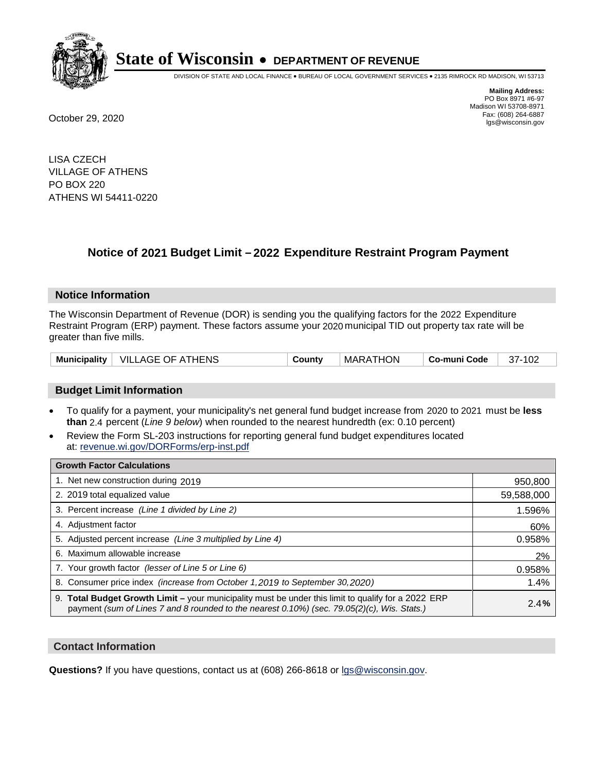

DIVISION OF STATE AND LOCAL FINANCE • BUREAU OF LOCAL GOVERNMENT SERVICES • 2135 RIMROCK RD MADISON, WI 53713

**Mailing Address:** PO Box 8971 #6-97 Madison WI 53708-8971<br>Fax: (608) 264-6887 Fax: (608) 264-6887 October 29, 2020 lgs@wisconsin.gov

LISA CZECH VILLAGE OF ATHENS PO BOX 220 ATHENS WI 54411-0220

# **Notice of 2021 Budget Limit - 2022 Expenditure Restraint Program Payment**

## **Notice Information**

The Wisconsin Department of Revenue (DOR) is sending you the qualifying factors for the 2022 Expenditure Restraint Program (ERP) payment. These factors assume your 2020 municipal TID out property tax rate will be greater than five mills.

|  | Municipality   VILLAGE OF ATHENS | County | MARATHON | ⊢Co-muni Code | 37-102 |
|--|----------------------------------|--------|----------|---------------|--------|
|--|----------------------------------|--------|----------|---------------|--------|

## **Budget Limit Information**

- To qualify for a payment, your municipality's net general fund budget increase from 2020 to 2021 must be less **than** 2.4 percent (*Line 9 below*) when rounded to the nearest hundredth (ex: 0.10 percent)
- Review the Form SL-203 instructions for reporting general fund budget expenditures located at: revenue.wi.gov/DORForms/erp-inst.pdf

| <b>Growth Factor Calculations</b>                                                                                                                                                                  |            |
|----------------------------------------------------------------------------------------------------------------------------------------------------------------------------------------------------|------------|
| 1. Net new construction during 2019                                                                                                                                                                | 950,800    |
| 2. 2019 total equalized value                                                                                                                                                                      | 59,588,000 |
| 3. Percent increase (Line 1 divided by Line 2)                                                                                                                                                     | 1.596%     |
| 4. Adjustment factor                                                                                                                                                                               | 60%        |
| 5. Adjusted percent increase (Line 3 multiplied by Line 4)                                                                                                                                         | 0.958%     |
| 6. Maximum allowable increase                                                                                                                                                                      | 2%         |
| 7. Your growth factor (lesser of Line 5 or Line 6)                                                                                                                                                 | 0.958%     |
| 8. Consumer price index (increase from October 1, 2019 to September 30, 2020)                                                                                                                      | 1.4%       |
| 9. Total Budget Growth Limit - your municipality must be under this limit to qualify for a 2022 ERP<br>payment (sum of Lines 7 and 8 rounded to the nearest 0.10%) (sec. 79.05(2)(c), Wis. Stats.) | 2.4%       |

## **Contact Information**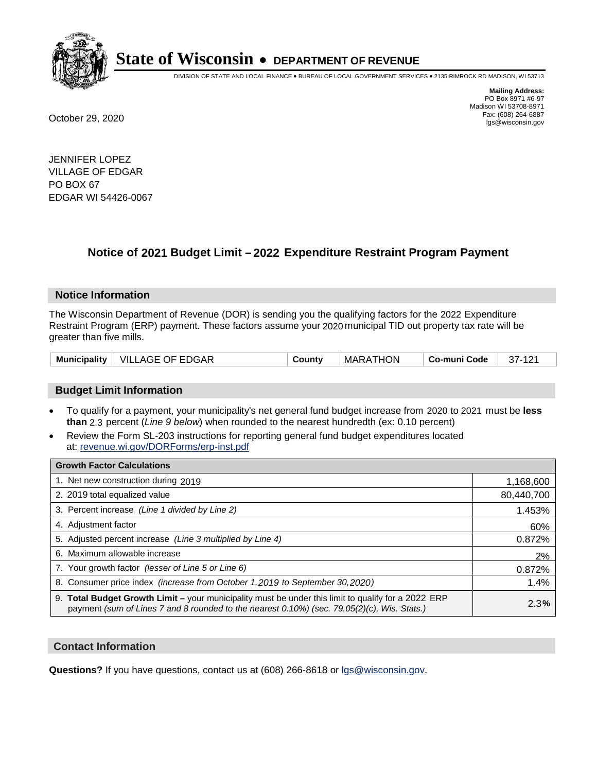

DIVISION OF STATE AND LOCAL FINANCE • BUREAU OF LOCAL GOVERNMENT SERVICES • 2135 RIMROCK RD MADISON, WI 53713

**Mailing Address:** PO Box 8971 #6-97 Madison WI 53708-8971<br>Fax: (608) 264-6887 Fax: (608) 264-6887 October 29, 2020 lgs@wisconsin.gov

JENNIFER LOPEZ VILLAGE OF EDGAR PO BOX 67 EDGAR WI 54426-0067

# **Notice of 2021 Budget Limit - 2022 Expenditure Restraint Program Payment**

## **Notice Information**

The Wisconsin Department of Revenue (DOR) is sending you the qualifying factors for the 2022 Expenditure Restraint Program (ERP) payment. These factors assume your 2020 municipal TID out property tax rate will be greater than five mills.

|  | Municipality   VILLAGE OF EDGAR | County | MARATHON | ∣ Co-muni Code | 37-121 |
|--|---------------------------------|--------|----------|----------------|--------|
|--|---------------------------------|--------|----------|----------------|--------|

# **Budget Limit Information**

- To qualify for a payment, your municipality's net general fund budget increase from 2020 to 2021 must be less **than** 2.3 percent (*Line 9 below*) when rounded to the nearest hundredth (ex: 0.10 percent)
- Review the Form SL-203 instructions for reporting general fund budget expenditures located at: revenue.wi.gov/DORForms/erp-inst.pdf

| <b>Growth Factor Calculations</b>                                                                                                                                                                      |            |
|--------------------------------------------------------------------------------------------------------------------------------------------------------------------------------------------------------|------------|
| 1. Net new construction during 2019                                                                                                                                                                    | 1,168,600  |
| 2. 2019 total equalized value                                                                                                                                                                          | 80,440,700 |
| 3. Percent increase (Line 1 divided by Line 2)                                                                                                                                                         | 1.453%     |
| 4. Adjustment factor                                                                                                                                                                                   | 60%        |
| 5. Adjusted percent increase (Line 3 multiplied by Line 4)                                                                                                                                             | 0.872%     |
| 6. Maximum allowable increase                                                                                                                                                                          | 2%         |
| 7. Your growth factor (lesser of Line 5 or Line 6)                                                                                                                                                     | 0.872%     |
| 8. Consumer price index (increase from October 1, 2019 to September 30, 2020)                                                                                                                          | 1.4%       |
| 9. Total Budget Growth Limit - your municipality must be under this limit to qualify for a 2022 ERP<br>payment (sum of Lines 7 and 8 rounded to the nearest $0.10\%$ ) (sec. 79.05(2)(c), Wis. Stats.) | 2.3%       |

## **Contact Information**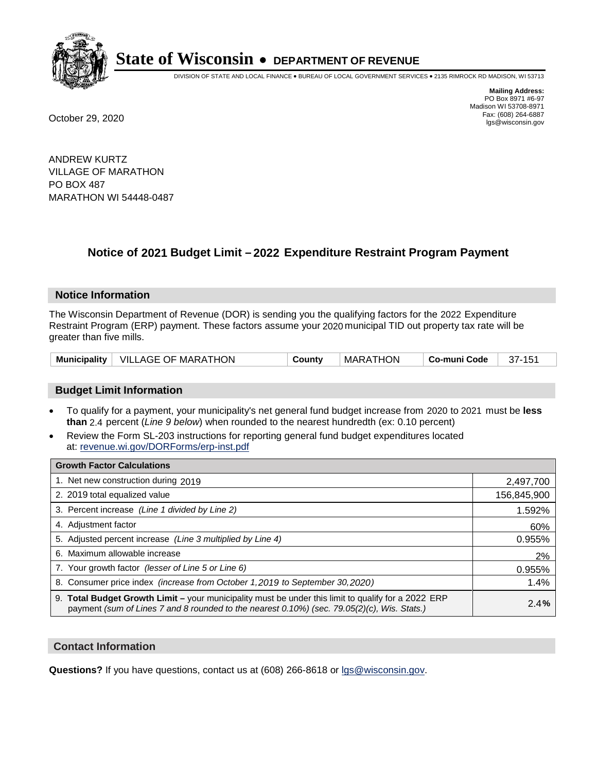

DIVISION OF STATE AND LOCAL FINANCE • BUREAU OF LOCAL GOVERNMENT SERVICES • 2135 RIMROCK RD MADISON, WI 53713

**Mailing Address:** PO Box 8971 #6-97 Madison WI 53708-8971<br>Fax: (608) 264-6887 Fax: (608) 264-6887 October 29, 2020 lgs@wisconsin.gov

ANDREW KURTZ VILLAGE OF MARATHON PO BOX 487 MARATHON WI 54448-0487

# **Notice of 2021 Budget Limit - 2022 Expenditure Restraint Program Payment**

## **Notice Information**

The Wisconsin Department of Revenue (DOR) is sending you the qualifying factors for the 2022 Expenditure Restraint Program (ERP) payment. These factors assume your 2020 municipal TID out property tax rate will be greater than five mills.

|  | Municipality   VILLAGE OF MARATHON | County | MARATHON | Co-muni Code | 37-151 |
|--|------------------------------------|--------|----------|--------------|--------|
|--|------------------------------------|--------|----------|--------------|--------|

# **Budget Limit Information**

- To qualify for a payment, your municipality's net general fund budget increase from 2020 to 2021 must be less **than** 2.4 percent (*Line 9 below*) when rounded to the nearest hundredth (ex: 0.10 percent)
- Review the Form SL-203 instructions for reporting general fund budget expenditures located at: revenue.wi.gov/DORForms/erp-inst.pdf

| <b>Growth Factor Calculations</b>                                                                                                                                                                      |             |
|--------------------------------------------------------------------------------------------------------------------------------------------------------------------------------------------------------|-------------|
| 1. Net new construction during 2019                                                                                                                                                                    | 2,497,700   |
| 2. 2019 total equalized value                                                                                                                                                                          | 156,845,900 |
| 3. Percent increase (Line 1 divided by Line 2)                                                                                                                                                         | 1.592%      |
| 4. Adjustment factor                                                                                                                                                                                   | 60%         |
| 5. Adjusted percent increase (Line 3 multiplied by Line 4)                                                                                                                                             | 0.955%      |
| 6. Maximum allowable increase                                                                                                                                                                          | 2%          |
| 7. Your growth factor (lesser of Line 5 or Line 6)                                                                                                                                                     | 0.955%      |
| 8. Consumer price index (increase from October 1, 2019 to September 30, 2020)                                                                                                                          | 1.4%        |
| 9. Total Budget Growth Limit - your municipality must be under this limit to qualify for a 2022 ERP<br>payment (sum of Lines 7 and 8 rounded to the nearest $0.10\%$ ) (sec. 79.05(2)(c), Wis. Stats.) | 2.4%        |

## **Contact Information**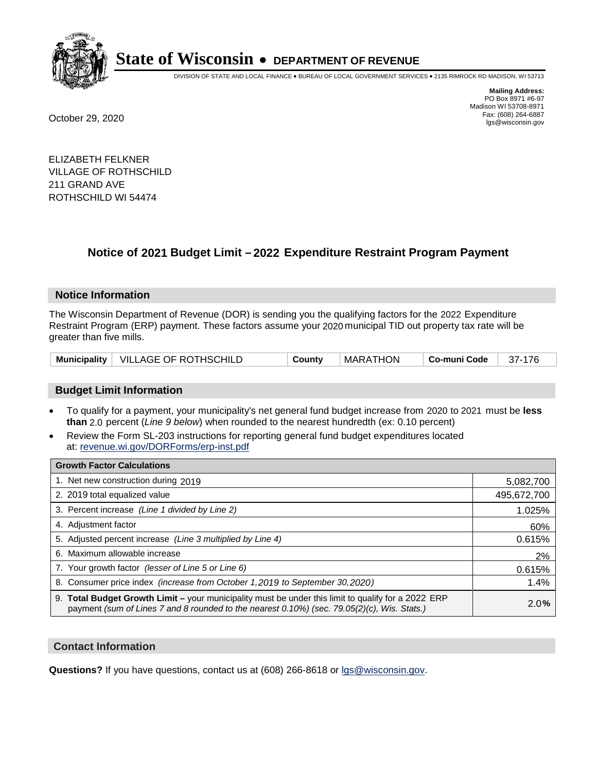

DIVISION OF STATE AND LOCAL FINANCE • BUREAU OF LOCAL GOVERNMENT SERVICES • 2135 RIMROCK RD MADISON, WI 53713

**Mailing Address:** PO Box 8971 #6-97 Madison WI 53708-8971<br>Fax: (608) 264-6887 Fax: (608) 264-6887 October 29, 2020 lgs@wisconsin.gov

ELIZABETH FELKNER VILLAGE OF ROTHSCHILD 211 GRAND AVE ROTHSCHILD WI 54474

# **Notice of 2021 Budget Limit - 2022 Expenditure Restraint Program Payment**

#### **Notice Information**

The Wisconsin Department of Revenue (DOR) is sending you the qualifying factors for the 2022 Expenditure Restraint Program (ERP) payment. These factors assume your 2020 municipal TID out property tax rate will be greater than five mills.

|  | Municipality   VILLAGE OF ROTHSCHILD | County | MARATHON | Co-muni Code | 37-176 |
|--|--------------------------------------|--------|----------|--------------|--------|
|--|--------------------------------------|--------|----------|--------------|--------|

## **Budget Limit Information**

- To qualify for a payment, your municipality's net general fund budget increase from 2020 to 2021 must be less **than** 2.0 percent (*Line 9 below*) when rounded to the nearest hundredth (ex: 0.10 percent)
- Review the Form SL-203 instructions for reporting general fund budget expenditures located at: revenue.wi.gov/DORForms/erp-inst.pdf

| <b>Growth Factor Calculations</b>                                                                                                                                                                  |             |
|----------------------------------------------------------------------------------------------------------------------------------------------------------------------------------------------------|-------------|
| 1. Net new construction during 2019                                                                                                                                                                | 5,082,700   |
| 2. 2019 total equalized value                                                                                                                                                                      | 495,672,700 |
| 3. Percent increase (Line 1 divided by Line 2)                                                                                                                                                     | 1.025%      |
| 4. Adjustment factor                                                                                                                                                                               | 60%         |
| 5. Adjusted percent increase (Line 3 multiplied by Line 4)                                                                                                                                         | 0.615%      |
| 6. Maximum allowable increase                                                                                                                                                                      | 2%          |
| 7. Your growth factor (lesser of Line 5 or Line 6)                                                                                                                                                 | 0.615%      |
| 8. Consumer price index (increase from October 1, 2019 to September 30, 2020)                                                                                                                      | 1.4%        |
| 9. Total Budget Growth Limit - your municipality must be under this limit to qualify for a 2022 ERP<br>payment (sum of Lines 7 and 8 rounded to the nearest 0.10%) (sec. 79.05(2)(c), Wis. Stats.) | 2.0%        |

## **Contact Information**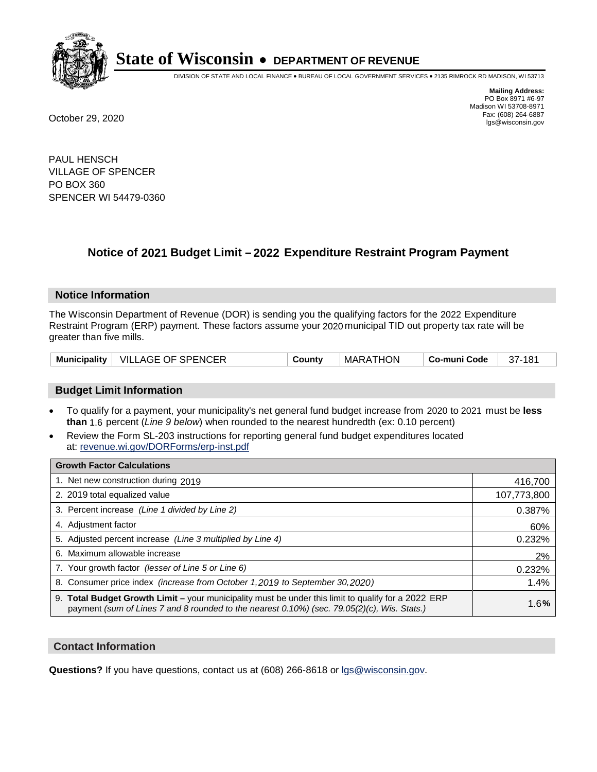

DIVISION OF STATE AND LOCAL FINANCE • BUREAU OF LOCAL GOVERNMENT SERVICES • 2135 RIMROCK RD MADISON, WI 53713

**Mailing Address:** PO Box 8971 #6-97 Madison WI 53708-8971<br>Fax: (608) 264-6887 Fax: (608) 264-6887 October 29, 2020 lgs@wisconsin.gov

PAUL HENSCH VILLAGE OF SPENCER PO BOX 360 SPENCER WI 54479-0360

# **Notice of 2021 Budget Limit - 2022 Expenditure Restraint Program Payment**

## **Notice Information**

The Wisconsin Department of Revenue (DOR) is sending you the qualifying factors for the 2022 Expenditure Restraint Program (ERP) payment. These factors assume your 2020 municipal TID out property tax rate will be greater than five mills.

| <b>Municipality</b> | $\mid$ VILLAGE OF SPENCER | County | MARATHON | Co-muni Code | 37-181 |
|---------------------|---------------------------|--------|----------|--------------|--------|
|---------------------|---------------------------|--------|----------|--------------|--------|

# **Budget Limit Information**

- To qualify for a payment, your municipality's net general fund budget increase from 2020 to 2021 must be less **than** 1.6 percent (*Line 9 below*) when rounded to the nearest hundredth (ex: 0.10 percent)
- Review the Form SL-203 instructions for reporting general fund budget expenditures located at: revenue.wi.gov/DORForms/erp-inst.pdf

| <b>Growth Factor Calculations</b>                                                                                                                                                                      |             |
|--------------------------------------------------------------------------------------------------------------------------------------------------------------------------------------------------------|-------------|
| 1. Net new construction during 2019                                                                                                                                                                    | 416,700     |
| 2. 2019 total equalized value                                                                                                                                                                          | 107,773,800 |
| 3. Percent increase (Line 1 divided by Line 2)                                                                                                                                                         | 0.387%      |
| 4. Adjustment factor                                                                                                                                                                                   | 60%         |
| 5. Adjusted percent increase (Line 3 multiplied by Line 4)                                                                                                                                             | 0.232%      |
| 6. Maximum allowable increase                                                                                                                                                                          | 2%          |
| 7. Your growth factor (lesser of Line 5 or Line 6)                                                                                                                                                     | 0.232%      |
| 8. Consumer price index (increase from October 1, 2019 to September 30, 2020)                                                                                                                          | 1.4%        |
| 9. Total Budget Growth Limit - your municipality must be under this limit to qualify for a 2022 ERP<br>payment (sum of Lines 7 and 8 rounded to the nearest $0.10\%$ ) (sec. 79.05(2)(c), Wis. Stats.) | 1.6%        |

## **Contact Information**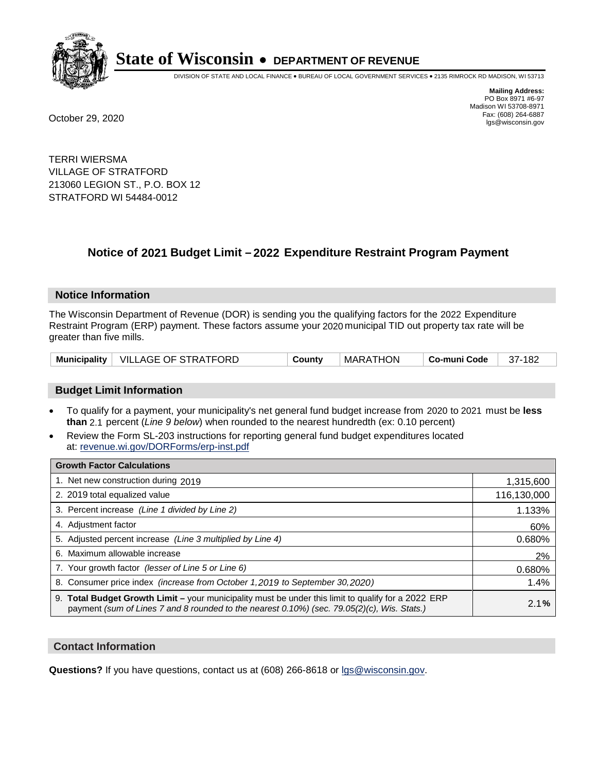

DIVISION OF STATE AND LOCAL FINANCE • BUREAU OF LOCAL GOVERNMENT SERVICES • 2135 RIMROCK RD MADISON, WI 53713

**Mailing Address:** PO Box 8971 #6-97 Madison WI 53708-8971<br>Fax: (608) 264-6887 Fax: (608) 264-6887 October 29, 2020 lgs@wisconsin.gov

TERRI WIERSMA VILLAGE OF STRATFORD 213060 LEGION ST., P.O. BOX 12 STRATFORD WI 54484-0012

# **Notice of 2021 Budget Limit - 2022 Expenditure Restraint Program Payment**

#### **Notice Information**

The Wisconsin Department of Revenue (DOR) is sending you the qualifying factors for the 2022 Expenditure Restraint Program (ERP) payment. These factors assume your 2020 municipal TID out property tax rate will be greater than five mills.

|  | Municipality   VILLAGE OF STRATFORD | County | MARATHON | ∣ Co-muni Code | 37-182 |
|--|-------------------------------------|--------|----------|----------------|--------|
|--|-------------------------------------|--------|----------|----------------|--------|

# **Budget Limit Information**

- To qualify for a payment, your municipality's net general fund budget increase from 2020 to 2021 must be less **than** 2.1 percent (*Line 9 below*) when rounded to the nearest hundredth (ex: 0.10 percent)
- Review the Form SL-203 instructions for reporting general fund budget expenditures located at: revenue.wi.gov/DORForms/erp-inst.pdf

| <b>Growth Factor Calculations</b>                                                                                                                                                                  |             |
|----------------------------------------------------------------------------------------------------------------------------------------------------------------------------------------------------|-------------|
| 1. Net new construction during 2019                                                                                                                                                                | 1,315,600   |
| 2. 2019 total equalized value                                                                                                                                                                      | 116,130,000 |
| 3. Percent increase (Line 1 divided by Line 2)                                                                                                                                                     | 1.133%      |
| 4. Adjustment factor                                                                                                                                                                               | 60%         |
| 5. Adjusted percent increase (Line 3 multiplied by Line 4)                                                                                                                                         | 0.680%      |
| 6. Maximum allowable increase                                                                                                                                                                      | 2%          |
| 7. Your growth factor (lesser of Line 5 or Line 6)                                                                                                                                                 | 0.680%      |
| 8. Consumer price index (increase from October 1, 2019 to September 30, 2020)                                                                                                                      | 1.4%        |
| 9. Total Budget Growth Limit - your municipality must be under this limit to qualify for a 2022 ERP<br>payment (sum of Lines 7 and 8 rounded to the nearest 0.10%) (sec. 79.05(2)(c), Wis. Stats.) | 2.1%        |

## **Contact Information**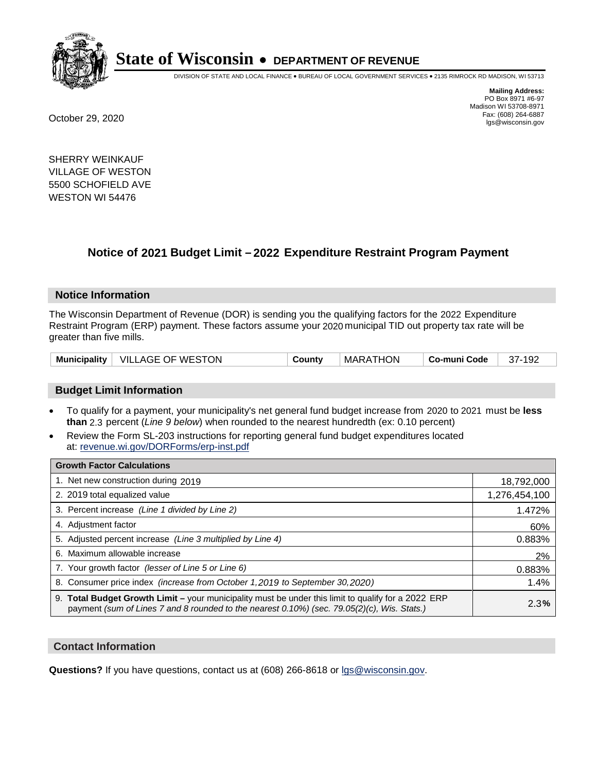

DIVISION OF STATE AND LOCAL FINANCE • BUREAU OF LOCAL GOVERNMENT SERVICES • 2135 RIMROCK RD MADISON, WI 53713

**Mailing Address:** PO Box 8971 #6-97 Madison WI 53708-8971<br>Fax: (608) 264-6887 Fax: (608) 264-6887 October 29, 2020 lgs@wisconsin.gov

SHERRY WEINKAUF VILLAGE OF WESTON 5500 SCHOFIELD AVE WESTON WI 54476

# **Notice of 2021 Budget Limit - 2022 Expenditure Restraint Program Payment**

#### **Notice Information**

The Wisconsin Department of Revenue (DOR) is sending you the qualifying factors for the 2022 Expenditure Restraint Program (ERP) payment. These factors assume your 2020 municipal TID out property tax rate will be greater than five mills.

| Municipality | VILLAGE OF WESTON | County | <b>MARATHON</b> | Co-muni Code | 192<br>37- |
|--------------|-------------------|--------|-----------------|--------------|------------|
|--------------|-------------------|--------|-----------------|--------------|------------|

## **Budget Limit Information**

- To qualify for a payment, your municipality's net general fund budget increase from 2020 to 2021 must be less **than** 2.3 percent (*Line 9 below*) when rounded to the nearest hundredth (ex: 0.10 percent)
- Review the Form SL-203 instructions for reporting general fund budget expenditures located at: revenue.wi.gov/DORForms/erp-inst.pdf

| <b>Growth Factor Calculations</b>                                                                                                                                                                  |               |
|----------------------------------------------------------------------------------------------------------------------------------------------------------------------------------------------------|---------------|
| 1. Net new construction during 2019                                                                                                                                                                | 18,792,000    |
| 2. 2019 total equalized value                                                                                                                                                                      | 1,276,454,100 |
| 3. Percent increase (Line 1 divided by Line 2)                                                                                                                                                     | 1.472%        |
| 4. Adjustment factor                                                                                                                                                                               | 60%           |
| 5. Adjusted percent increase (Line 3 multiplied by Line 4)                                                                                                                                         | 0.883%        |
| Maximum allowable increase<br>6.                                                                                                                                                                   | 2%            |
| 7. Your growth factor (lesser of Line 5 or Line 6)                                                                                                                                                 | 0.883%        |
| 8. Consumer price index (increase from October 1, 2019 to September 30, 2020)                                                                                                                      | 1.4%          |
| 9. Total Budget Growth Limit - your municipality must be under this limit to qualify for a 2022 ERP<br>payment (sum of Lines 7 and 8 rounded to the nearest 0.10%) (sec. 79.05(2)(c), Wis. Stats.) | 2.3%          |

## **Contact Information**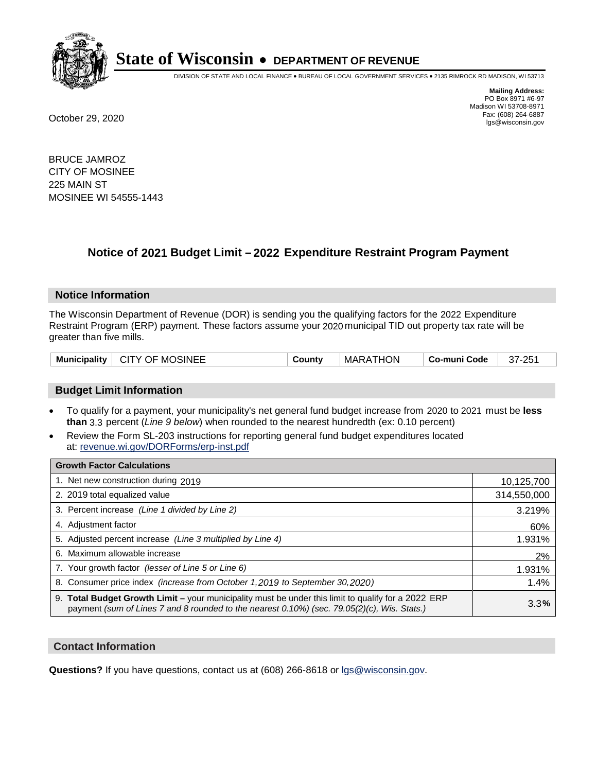

DIVISION OF STATE AND LOCAL FINANCE • BUREAU OF LOCAL GOVERNMENT SERVICES • 2135 RIMROCK RD MADISON, WI 53713

**Mailing Address:** PO Box 8971 #6-97 Madison WI 53708-8971<br>Fax: (608) 264-6887 Fax: (608) 264-6887 October 29, 2020 lgs@wisconsin.gov

BRUCE JAMROZ CITY OF MOSINEE 225 MAIN ST MOSINEE WI 54555-1443

# **Notice of 2021 Budget Limit - 2022 Expenditure Restraint Program Payment**

#### **Notice Information**

The Wisconsin Department of Revenue (DOR) is sending you the qualifying factors for the 2022 Expenditure Restraint Program (ERP) payment. These factors assume your 2020 municipal TID out property tax rate will be greater than five mills.

| Municipality   CITY OF MOSINEE | County | MARATHON | ∣ Co-muni Code | 37-251 |
|--------------------------------|--------|----------|----------------|--------|
|--------------------------------|--------|----------|----------------|--------|

## **Budget Limit Information**

- To qualify for a payment, your municipality's net general fund budget increase from 2020 to 2021 must be less **than** 3.3 percent (*Line 9 below*) when rounded to the nearest hundredth (ex: 0.10 percent)
- Review the Form SL-203 instructions for reporting general fund budget expenditures located at: revenue.wi.gov/DORForms/erp-inst.pdf

| <b>Growth Factor Calculations</b>                                                                                                                                                                  |             |
|----------------------------------------------------------------------------------------------------------------------------------------------------------------------------------------------------|-------------|
| 1. Net new construction during 2019                                                                                                                                                                | 10,125,700  |
| 2. 2019 total equalized value                                                                                                                                                                      | 314,550,000 |
| 3. Percent increase (Line 1 divided by Line 2)                                                                                                                                                     | 3.219%      |
| 4. Adjustment factor                                                                                                                                                                               | 60%         |
| 5. Adjusted percent increase (Line 3 multiplied by Line 4)                                                                                                                                         | 1.931%      |
| 6. Maximum allowable increase                                                                                                                                                                      | 2%          |
| 7. Your growth factor (lesser of Line 5 or Line 6)                                                                                                                                                 | 1.931%      |
| 8. Consumer price index (increase from October 1, 2019 to September 30, 2020)                                                                                                                      | 1.4%        |
| 9. Total Budget Growth Limit - your municipality must be under this limit to qualify for a 2022 ERP<br>payment (sum of Lines 7 and 8 rounded to the nearest 0.10%) (sec. 79.05(2)(c), Wis. Stats.) | 3.3%        |

## **Contact Information**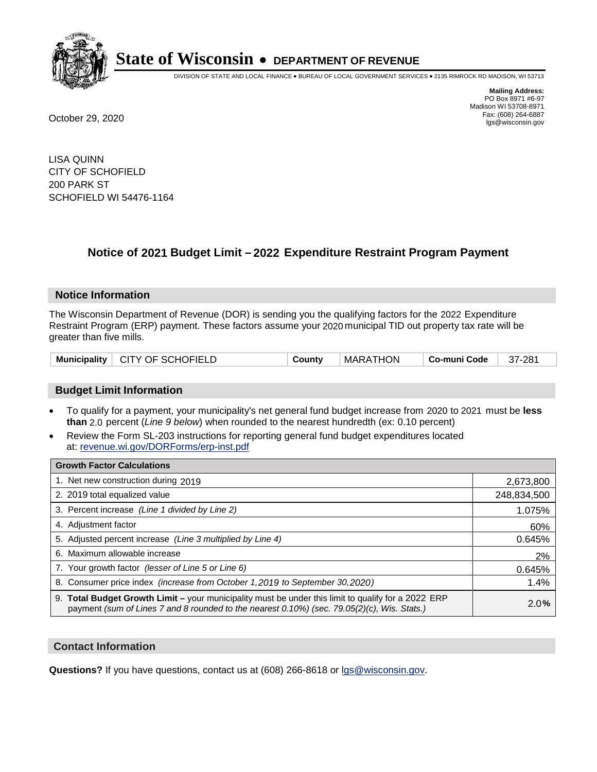

DIVISION OF STATE AND LOCAL FINANCE • BUREAU OF LOCAL GOVERNMENT SERVICES • 2135 RIMROCK RD MADISON, WI 53713

**Mailing Address:** PO Box 8971 #6-97 Madison WI 53708-8971<br>Fax: (608) 264-6887 Fax: (608) 264-6887 October 29, 2020 lgs@wisconsin.gov

LISA QUINN CITY OF SCHOFIELD 200 PARK ST SCHOFIELD WI 54476-1164

# **Notice of 2021 Budget Limit - 2022 Expenditure Restraint Program Payment**

#### **Notice Information**

The Wisconsin Department of Revenue (DOR) is sending you the qualifying factors for the 2022 Expenditure Restraint Program (ERP) payment. These factors assume your 2020 municipal TID out property tax rate will be greater than five mills.

# **Budget Limit Information**

- To qualify for a payment, your municipality's net general fund budget increase from 2020 to 2021 must be less **than** 2.0 percent (*Line 9 below*) when rounded to the nearest hundredth (ex: 0.10 percent)
- Review the Form SL-203 instructions for reporting general fund budget expenditures located at: revenue.wi.gov/DORForms/erp-inst.pdf

| <b>Growth Factor Calculations</b>                                                                                                                                                                  |             |
|----------------------------------------------------------------------------------------------------------------------------------------------------------------------------------------------------|-------------|
| 1. Net new construction during 2019                                                                                                                                                                | 2,673,800   |
| 2. 2019 total equalized value                                                                                                                                                                      | 248,834,500 |
| 3. Percent increase (Line 1 divided by Line 2)                                                                                                                                                     | 1.075%      |
| 4. Adjustment factor                                                                                                                                                                               | 60%         |
| 5. Adjusted percent increase (Line 3 multiplied by Line 4)                                                                                                                                         | 0.645%      |
| 6. Maximum allowable increase                                                                                                                                                                      | 2%          |
| 7. Your growth factor (lesser of Line 5 or Line 6)                                                                                                                                                 | 0.645%      |
| 8. Consumer price index (increase from October 1, 2019 to September 30, 2020)                                                                                                                      | 1.4%        |
| 9. Total Budget Growth Limit - your municipality must be under this limit to qualify for a 2022 ERP<br>payment (sum of Lines 7 and 8 rounded to the nearest 0.10%) (sec. 79.05(2)(c), Wis. Stats.) | 2.0%        |

## **Contact Information**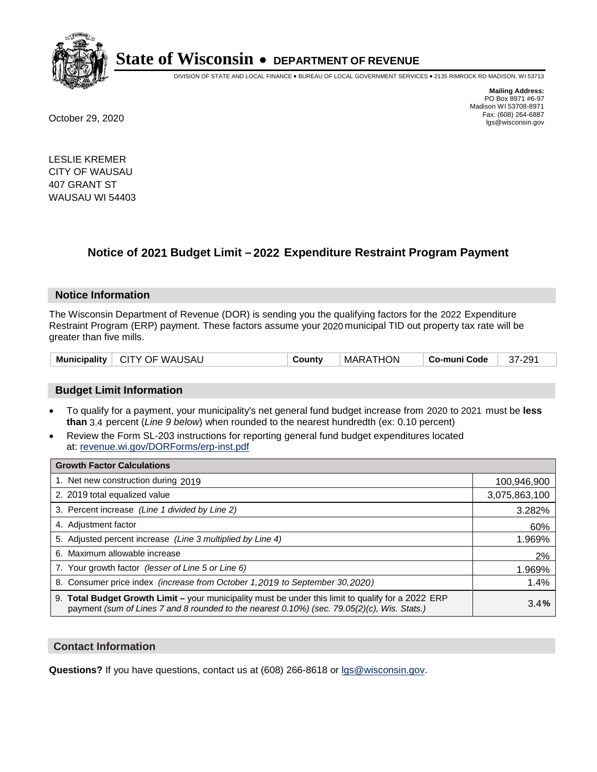

DIVISION OF STATE AND LOCAL FINANCE • BUREAU OF LOCAL GOVERNMENT SERVICES • 2135 RIMROCK RD MADISON, WI 53713

**Mailing Address:** PO Box 8971 #6-97 Madison WI 53708-8971<br>Fax: (608) 264-6887 Fax: (608) 264-6887 October 29, 2020 lgs@wisconsin.gov

LESLIE KREMER CITY OF WAUSAU 407 GRANT ST WAUSAU WI 54403

# **Notice of 2021 Budget Limit - 2022 Expenditure Restraint Program Payment**

## **Notice Information**

The Wisconsin Department of Revenue (DOR) is sending you the qualifying factors for the 2022 Expenditure Restraint Program (ERP) payment. These factors assume your 2020 municipal TID out property tax rate will be greater than five mills.

| Municipality   CITY OF WAUSAU | County | MARATHON | ∣ Co-muni Code ∣ | 37-291 |
|-------------------------------|--------|----------|------------------|--------|
|-------------------------------|--------|----------|------------------|--------|

# **Budget Limit Information**

- To qualify for a payment, your municipality's net general fund budget increase from 2020 to 2021 must be less **than** 3.4 percent (*Line 9 below*) when rounded to the nearest hundredth (ex: 0.10 percent)
- Review the Form SL-203 instructions for reporting general fund budget expenditures located at: revenue.wi.gov/DORForms/erp-inst.pdf

| <b>Growth Factor Calculations</b>                                                                                                                                                                      |               |
|--------------------------------------------------------------------------------------------------------------------------------------------------------------------------------------------------------|---------------|
| 1. Net new construction during 2019                                                                                                                                                                    | 100,946,900   |
| 2. 2019 total equalized value                                                                                                                                                                          | 3,075,863,100 |
| 3. Percent increase (Line 1 divided by Line 2)                                                                                                                                                         | 3.282%        |
| 4. Adjustment factor                                                                                                                                                                                   | 60%           |
| 5. Adjusted percent increase (Line 3 multiplied by Line 4)                                                                                                                                             | 1.969%        |
| 6. Maximum allowable increase                                                                                                                                                                          | 2%            |
| 7. Your growth factor (lesser of Line 5 or Line 6)                                                                                                                                                     | 1.969%        |
| 8. Consumer price index (increase from October 1,2019 to September 30,2020)                                                                                                                            | 1.4%          |
| 9. Total Budget Growth Limit - your municipality must be under this limit to qualify for a 2022 ERP<br>payment (sum of Lines 7 and 8 rounded to the nearest $0.10\%$ ) (sec. 79.05(2)(c), Wis. Stats.) | 3.4%          |

## **Contact Information**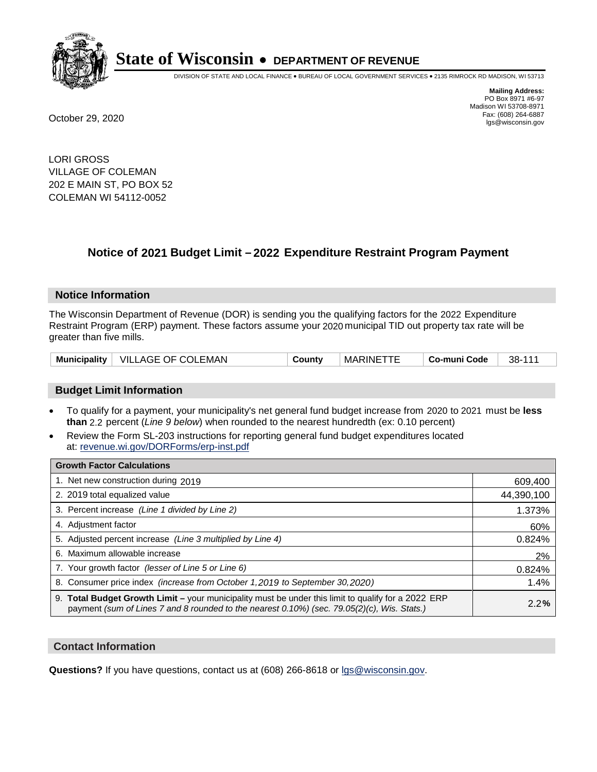

DIVISION OF STATE AND LOCAL FINANCE • BUREAU OF LOCAL GOVERNMENT SERVICES • 2135 RIMROCK RD MADISON, WI 53713

**Mailing Address:** PO Box 8971 #6-97 Madison WI 53708-8971<br>Fax: (608) 264-6887 Fax: (608) 264-6887 October 29, 2020 lgs@wisconsin.gov

LORI GROSS VILLAGE OF COLEMAN 202 E MAIN ST, PO BOX 52 COLEMAN WI 54112-0052

# **Notice of 2021 Budget Limit - 2022 Expenditure Restraint Program Payment**

## **Notice Information**

The Wisconsin Department of Revenue (DOR) is sending you the qualifying factors for the 2022 Expenditure Restraint Program (ERP) payment. These factors assume your 2020 municipal TID out property tax rate will be greater than five mills.

| Municipality | VILLAGE OF COLEMAN | County | <b>MARINETTE</b> | Co-muni Code | 38-111 |
|--------------|--------------------|--------|------------------|--------------|--------|
|--------------|--------------------|--------|------------------|--------------|--------|

# **Budget Limit Information**

- To qualify for a payment, your municipality's net general fund budget increase from 2020 to 2021 must be less **than** 2.2 percent (*Line 9 below*) when rounded to the nearest hundredth (ex: 0.10 percent)
- Review the Form SL-203 instructions for reporting general fund budget expenditures located at: revenue.wi.gov/DORForms/erp-inst.pdf

| <b>Growth Factor Calculations</b>                                                                                                                                                                      |            |
|--------------------------------------------------------------------------------------------------------------------------------------------------------------------------------------------------------|------------|
| 1. Net new construction during 2019                                                                                                                                                                    | 609,400    |
| 2. 2019 total equalized value                                                                                                                                                                          | 44,390,100 |
| 3. Percent increase (Line 1 divided by Line 2)                                                                                                                                                         | 1.373%     |
| 4. Adjustment factor                                                                                                                                                                                   | 60%        |
| 5. Adjusted percent increase (Line 3 multiplied by Line 4)                                                                                                                                             | 0.824%     |
| 6. Maximum allowable increase                                                                                                                                                                          | 2%         |
| 7. Your growth factor (lesser of Line 5 or Line 6)                                                                                                                                                     | 0.824%     |
| 8. Consumer price index (increase from October 1, 2019 to September 30, 2020)                                                                                                                          | 1.4%       |
| 9. Total Budget Growth Limit - your municipality must be under this limit to qualify for a 2022 ERP<br>payment (sum of Lines 7 and 8 rounded to the nearest $0.10\%$ ) (sec. 79.05(2)(c), Wis. Stats.) | 2.2%       |

## **Contact Information**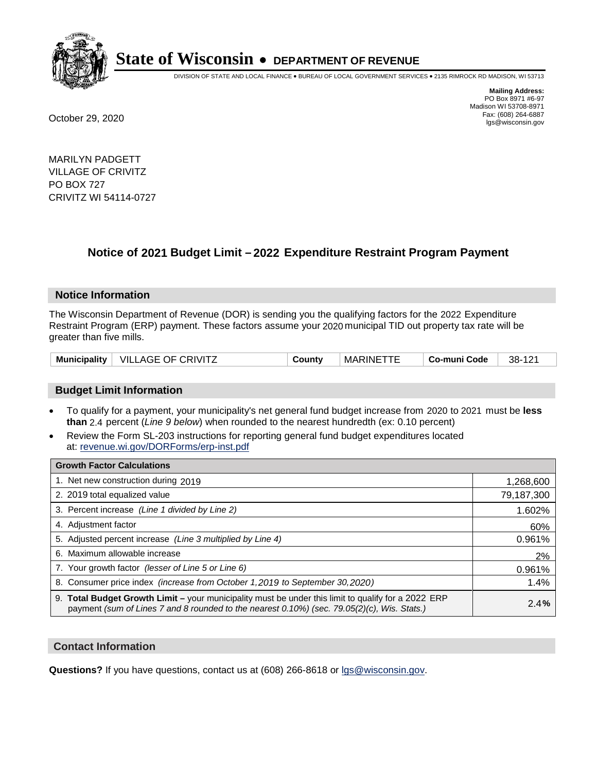

DIVISION OF STATE AND LOCAL FINANCE • BUREAU OF LOCAL GOVERNMENT SERVICES • 2135 RIMROCK RD MADISON, WI 53713

**Mailing Address:** PO Box 8971 #6-97 Madison WI 53708-8971<br>Fax: (608) 264-6887 Fax: (608) 264-6887 October 29, 2020 lgs@wisconsin.gov

MARILYN PADGETT VILLAGE OF CRIVITZ PO BOX 727 CRIVITZ WI 54114-0727

# **Notice of 2021 Budget Limit - 2022 Expenditure Restraint Program Payment**

## **Notice Information**

The Wisconsin Department of Revenue (DOR) is sending you the qualifying factors for the 2022 Expenditure Restraint Program (ERP) payment. These factors assume your 2020 municipal TID out property tax rate will be greater than five mills.

| Municipality $\vert$ | <b>VILLAGE OF CRIVITZ</b> | こountv | <b>MARINE</b> | Co-muni Code | 38-<br>101<br>14 L |
|----------------------|---------------------------|--------|---------------|--------------|--------------------|
|----------------------|---------------------------|--------|---------------|--------------|--------------------|

# **Budget Limit Information**

- To qualify for a payment, your municipality's net general fund budget increase from 2020 to 2021 must be less **than** 2.4 percent (*Line 9 below*) when rounded to the nearest hundredth (ex: 0.10 percent)
- Review the Form SL-203 instructions for reporting general fund budget expenditures located at: revenue.wi.gov/DORForms/erp-inst.pdf

| <b>Growth Factor Calculations</b>                                                                                                                                                                      |            |
|--------------------------------------------------------------------------------------------------------------------------------------------------------------------------------------------------------|------------|
| 1. Net new construction during 2019                                                                                                                                                                    | 1,268,600  |
| 2. 2019 total equalized value                                                                                                                                                                          | 79,187,300 |
| 3. Percent increase (Line 1 divided by Line 2)                                                                                                                                                         | 1.602%     |
| 4. Adjustment factor                                                                                                                                                                                   | 60%        |
| 5. Adjusted percent increase (Line 3 multiplied by Line 4)                                                                                                                                             | 0.961%     |
| 6. Maximum allowable increase                                                                                                                                                                          | 2%         |
| 7. Your growth factor (lesser of Line 5 or Line 6)                                                                                                                                                     | 0.961%     |
| 8. Consumer price index (increase from October 1, 2019 to September 30, 2020)                                                                                                                          | 1.4%       |
| 9. Total Budget Growth Limit - your municipality must be under this limit to qualify for a 2022 ERP<br>payment (sum of Lines 7 and 8 rounded to the nearest $0.10\%$ ) (sec. 79.05(2)(c), Wis. Stats.) | 2.4%       |

## **Contact Information**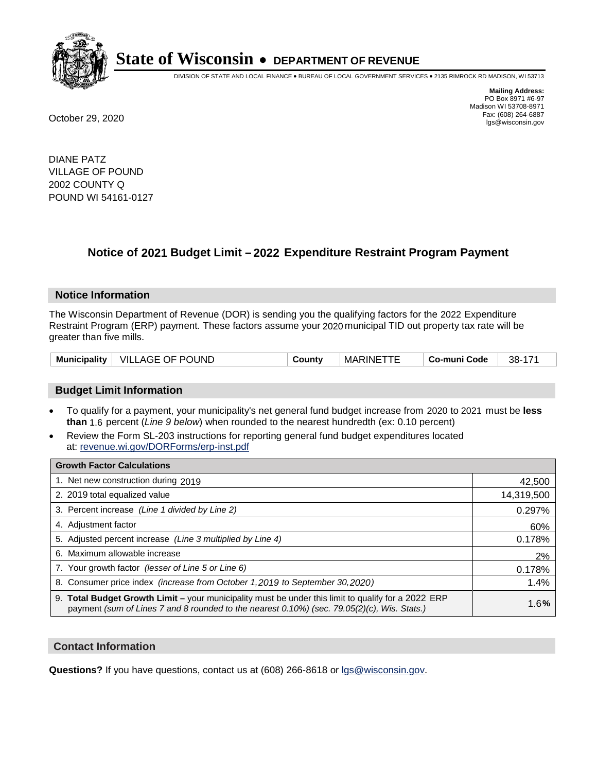

DIVISION OF STATE AND LOCAL FINANCE • BUREAU OF LOCAL GOVERNMENT SERVICES • 2135 RIMROCK RD MADISON, WI 53713

**Mailing Address:** PO Box 8971 #6-97 Madison WI 53708-8971<br>Fax: (608) 264-6887 Fax: (608) 264-6887 October 29, 2020 lgs@wisconsin.gov

DIANE PATZ VILLAGE OF POUND 2002 COUNTY Q POUND WI 54161-0127

# **Notice of 2021 Budget Limit - 2022 Expenditure Restraint Program Payment**

## **Notice Information**

The Wisconsin Department of Revenue (DOR) is sending you the qualifying factors for the 2022 Expenditure Restraint Program (ERP) payment. These factors assume your 2020 municipal TID out property tax rate will be greater than five mills.

| <b>VILLAGE OF POUND</b><br><b>Municipality</b> |  | County | <b>MARINE</b> | Co-muni Code | 38- |
|------------------------------------------------|--|--------|---------------|--------------|-----|
|------------------------------------------------|--|--------|---------------|--------------|-----|

# **Budget Limit Information**

- To qualify for a payment, your municipality's net general fund budget increase from 2020 to 2021 must be less **than** 1.6 percent (*Line 9 below*) when rounded to the nearest hundredth (ex: 0.10 percent)
- Review the Form SL-203 instructions for reporting general fund budget expenditures located at: revenue.wi.gov/DORForms/erp-inst.pdf

| <b>Growth Factor Calculations</b>                                                                                                                                                                  |            |
|----------------------------------------------------------------------------------------------------------------------------------------------------------------------------------------------------|------------|
| 1. Net new construction during 2019                                                                                                                                                                | 42,500     |
| 2. 2019 total equalized value                                                                                                                                                                      | 14,319,500 |
| 3. Percent increase (Line 1 divided by Line 2)                                                                                                                                                     | 0.297%     |
| 4. Adjustment factor                                                                                                                                                                               | 60%        |
| 5. Adjusted percent increase (Line 3 multiplied by Line 4)                                                                                                                                         | 0.178%     |
| 6. Maximum allowable increase                                                                                                                                                                      | 2%         |
| 7. Your growth factor (lesser of Line 5 or Line 6)                                                                                                                                                 | 0.178%     |
| 8. Consumer price index (increase from October 1, 2019 to September 30, 2020)                                                                                                                      | 1.4%       |
| 9. Total Budget Growth Limit – your municipality must be under this limit to qualify for a 2022 ERP<br>payment (sum of Lines 7 and 8 rounded to the nearest 0.10%) (sec. 79.05(2)(c), Wis. Stats.) | 1.6%       |

## **Contact Information**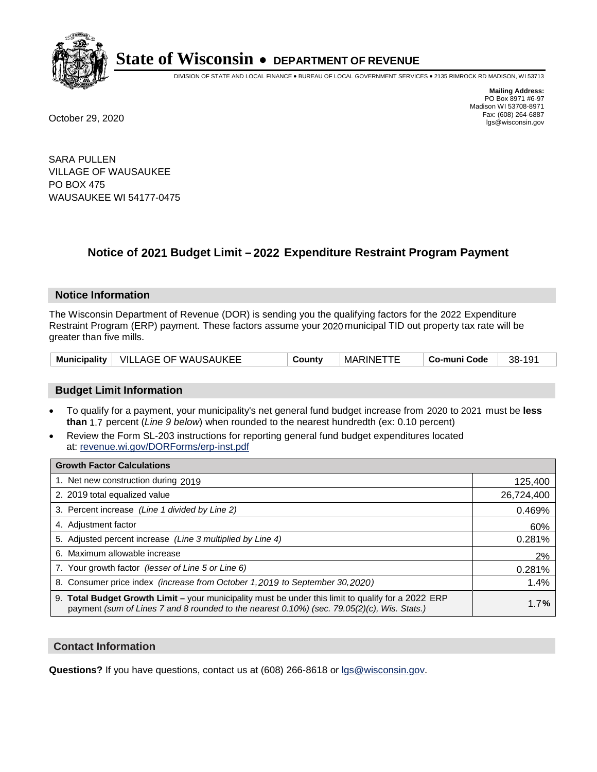

DIVISION OF STATE AND LOCAL FINANCE • BUREAU OF LOCAL GOVERNMENT SERVICES • 2135 RIMROCK RD MADISON, WI 53713

**Mailing Address:** PO Box 8971 #6-97 Madison WI 53708-8971<br>Fax: (608) 264-6887 Fax: (608) 264-6887 October 29, 2020 lgs@wisconsin.gov

SARA PULLEN VILLAGE OF WAUSAUKEE PO BOX 475 WAUSAUKEE WI 54177-0475

# **Notice of 2021 Budget Limit - 2022 Expenditure Restraint Program Payment**

## **Notice Information**

The Wisconsin Department of Revenue (DOR) is sending you the qualifying factors for the 2022 Expenditure Restraint Program (ERP) payment. These factors assume your 2020 municipal TID out property tax rate will be greater than five mills.

|  | Municipality   VILLAGE OF WAUSAUKEE | County | <b>MARINETTE</b> | Co-muni Code | 38-191 |
|--|-------------------------------------|--------|------------------|--------------|--------|
|--|-------------------------------------|--------|------------------|--------------|--------|

# **Budget Limit Information**

- To qualify for a payment, your municipality's net general fund budget increase from 2020 to 2021 must be less **than** 1.7 percent (*Line 9 below*) when rounded to the nearest hundredth (ex: 0.10 percent)
- Review the Form SL-203 instructions for reporting general fund budget expenditures located at: revenue.wi.gov/DORForms/erp-inst.pdf

| <b>Growth Factor Calculations</b>                                                                                                                                                                  |            |
|----------------------------------------------------------------------------------------------------------------------------------------------------------------------------------------------------|------------|
| 1. Net new construction during 2019                                                                                                                                                                | 125,400    |
| 2. 2019 total equalized value                                                                                                                                                                      | 26,724,400 |
| 3. Percent increase (Line 1 divided by Line 2)                                                                                                                                                     | 0.469%     |
| 4. Adjustment factor                                                                                                                                                                               | 60%        |
| 5. Adjusted percent increase (Line 3 multiplied by Line 4)                                                                                                                                         | 0.281%     |
| 6. Maximum allowable increase                                                                                                                                                                      | 2%         |
| 7. Your growth factor (lesser of Line 5 or Line 6)                                                                                                                                                 | 0.281%     |
| 8. Consumer price index (increase from October 1, 2019 to September 30, 2020)                                                                                                                      | 1.4%       |
| 9. Total Budget Growth Limit - your municipality must be under this limit to qualify for a 2022 ERP<br>payment (sum of Lines 7 and 8 rounded to the nearest 0.10%) (sec. 79.05(2)(c), Wis. Stats.) | 1.7%       |

## **Contact Information**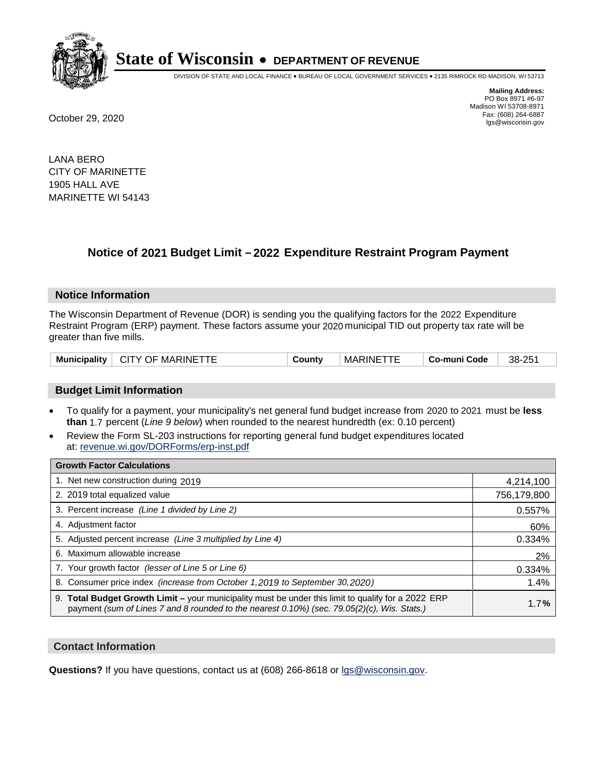

DIVISION OF STATE AND LOCAL FINANCE • BUREAU OF LOCAL GOVERNMENT SERVICES • 2135 RIMROCK RD MADISON, WI 53713

**Mailing Address:** PO Box 8971 #6-97 Madison WI 53708-8971<br>Fax: (608) 264-6887 Fax: (608) 264-6887 October 29, 2020 lgs@wisconsin.gov

LANA BERO CITY OF MARINETTE 1905 HALL AVE MARINETTE WI 54143

# **Notice of 2021 Budget Limit - 2022 Expenditure Restraint Program Payment**

#### **Notice Information**

The Wisconsin Department of Revenue (DOR) is sending you the qualifying factors for the 2022 Expenditure Restraint Program (ERP) payment. These factors assume your 2020 municipal TID out property tax rate will be greater than five mills.

| <b>Municipality</b> | <b>CITY OF MARINETTF</b> | Countv | <b>MARINE</b> | Co-muni Code | 38-251 |
|---------------------|--------------------------|--------|---------------|--------------|--------|
|---------------------|--------------------------|--------|---------------|--------------|--------|

# **Budget Limit Information**

- To qualify for a payment, your municipality's net general fund budget increase from 2020 to 2021 must be less **than** 1.7 percent (*Line 9 below*) when rounded to the nearest hundredth (ex: 0.10 percent)
- Review the Form SL-203 instructions for reporting general fund budget expenditures located at: revenue.wi.gov/DORForms/erp-inst.pdf

| <b>Growth Factor Calculations</b>                                                                                                                                                                      |             |
|--------------------------------------------------------------------------------------------------------------------------------------------------------------------------------------------------------|-------------|
| 1. Net new construction during 2019                                                                                                                                                                    | 4,214,100   |
| 2. 2019 total equalized value                                                                                                                                                                          | 756,179,800 |
| 3. Percent increase (Line 1 divided by Line 2)                                                                                                                                                         | 0.557%      |
| 4. Adjustment factor                                                                                                                                                                                   | 60%         |
| 5. Adjusted percent increase (Line 3 multiplied by Line 4)                                                                                                                                             | 0.334%      |
| 6. Maximum allowable increase                                                                                                                                                                          | 2%          |
| 7. Your growth factor (lesser of Line 5 or Line 6)                                                                                                                                                     | 0.334%      |
| 8. Consumer price index (increase from October 1, 2019 to September 30, 2020)                                                                                                                          | 1.4%        |
| 9. Total Budget Growth Limit - your municipality must be under this limit to qualify for a 2022 ERP<br>payment (sum of Lines 7 and 8 rounded to the nearest $0.10\%$ ) (sec. 79.05(2)(c), Wis. Stats.) | 1.7%        |

## **Contact Information**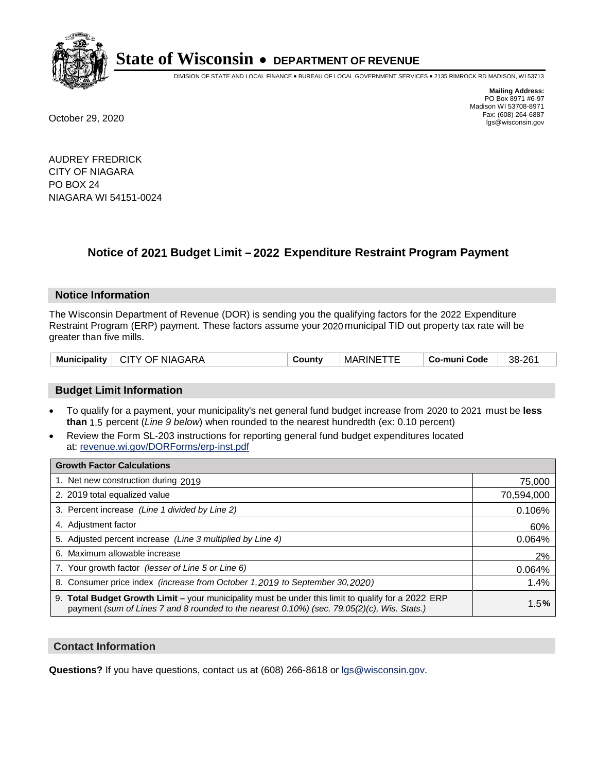

DIVISION OF STATE AND LOCAL FINANCE • BUREAU OF LOCAL GOVERNMENT SERVICES • 2135 RIMROCK RD MADISON, WI 53713

**Mailing Address:** PO Box 8971 #6-97 Madison WI 53708-8971<br>Fax: (608) 264-6887 Fax: (608) 264-6887 October 29, 2020 lgs@wisconsin.gov

AUDREY FREDRICK CITY OF NIAGARA PO BOX 24 NIAGARA WI 54151-0024

# **Notice of 2021 Budget Limit - 2022 Expenditure Restraint Program Payment**

## **Notice Information**

The Wisconsin Department of Revenue (DOR) is sending you the qualifying factors for the 2022 Expenditure Restraint Program (ERP) payment. These factors assume your 2020 municipal TID out property tax rate will be greater than five mills.

| <b>CITY OF NIAGARA</b><br><b>Municipality</b> | Jount∨ | <b>MARINE</b> | Co-muni Code | 38-261 |
|-----------------------------------------------|--------|---------------|--------------|--------|
|-----------------------------------------------|--------|---------------|--------------|--------|

## **Budget Limit Information**

- To qualify for a payment, your municipality's net general fund budget increase from 2020 to 2021 must be less **than** 1.5 percent (*Line 9 below*) when rounded to the nearest hundredth (ex: 0.10 percent)
- Review the Form SL-203 instructions for reporting general fund budget expenditures located at: revenue.wi.gov/DORForms/erp-inst.pdf

| <b>Growth Factor Calculations</b>                                                                                                                                                                      |            |
|--------------------------------------------------------------------------------------------------------------------------------------------------------------------------------------------------------|------------|
| 1. Net new construction during 2019                                                                                                                                                                    | 75,000     |
| 2. 2019 total equalized value                                                                                                                                                                          | 70,594,000 |
| 3. Percent increase (Line 1 divided by Line 2)                                                                                                                                                         | 0.106%     |
| 4. Adjustment factor                                                                                                                                                                                   | 60%        |
| 5. Adjusted percent increase (Line 3 multiplied by Line 4)                                                                                                                                             | 0.064%     |
| 6. Maximum allowable increase                                                                                                                                                                          | 2%         |
| 7. Your growth factor (lesser of Line 5 or Line 6)                                                                                                                                                     | 0.064%     |
| 8. Consumer price index (increase from October 1,2019 to September 30,2020)                                                                                                                            | 1.4%       |
| 9. Total Budget Growth Limit - your municipality must be under this limit to qualify for a 2022 ERP<br>payment (sum of Lines 7 and 8 rounded to the nearest $0.10\%$ ) (sec. 79.05(2)(c), Wis. Stats.) | 1.5%       |

## **Contact Information**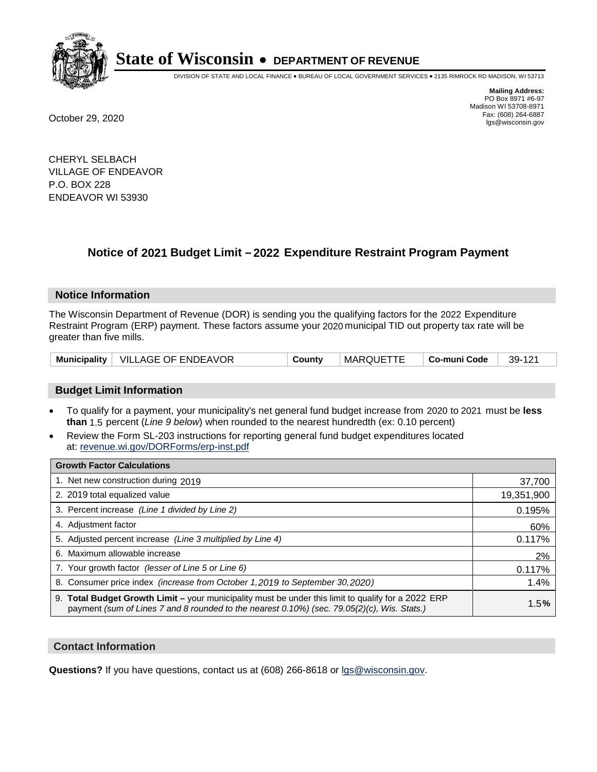

DIVISION OF STATE AND LOCAL FINANCE • BUREAU OF LOCAL GOVERNMENT SERVICES • 2135 RIMROCK RD MADISON, WI 53713

**Mailing Address:** PO Box 8971 #6-97 Madison WI 53708-8971<br>Fax: (608) 264-6887 Fax: (608) 264-6887 October 29, 2020 lgs@wisconsin.gov

CHERYL SELBACH VILLAGE OF ENDEAVOR P.O. BOX 228 ENDEAVOR WI 53930

# **Notice of 2021 Budget Limit - 2022 Expenditure Restraint Program Payment**

## **Notice Information**

The Wisconsin Department of Revenue (DOR) is sending you the qualifying factors for the 2022 Expenditure Restraint Program (ERP) payment. These factors assume your 2020 municipal TID out property tax rate will be greater than five mills.

|  | Municipality   VILLAGE OF ENDEAVOR | County | MARQUETTE | ∣ Co-muni Code | 39-121 |
|--|------------------------------------|--------|-----------|----------------|--------|
|--|------------------------------------|--------|-----------|----------------|--------|

# **Budget Limit Information**

- To qualify for a payment, your municipality's net general fund budget increase from 2020 to 2021 must be less **than** 1.5 percent (*Line 9 below*) when rounded to the nearest hundredth (ex: 0.10 percent)
- Review the Form SL-203 instructions for reporting general fund budget expenditures located at: revenue.wi.gov/DORForms/erp-inst.pdf

| <b>Growth Factor Calculations</b>                                                                                                                                                                      |            |
|--------------------------------------------------------------------------------------------------------------------------------------------------------------------------------------------------------|------------|
| 1. Net new construction during 2019                                                                                                                                                                    | 37,700     |
| 2. 2019 total equalized value                                                                                                                                                                          | 19,351,900 |
| 3. Percent increase (Line 1 divided by Line 2)                                                                                                                                                         | 0.195%     |
| 4. Adjustment factor                                                                                                                                                                                   | 60%        |
| 5. Adjusted percent increase (Line 3 multiplied by Line 4)                                                                                                                                             | 0.117%     |
| 6. Maximum allowable increase                                                                                                                                                                          | 2%         |
| 7. Your growth factor (lesser of Line 5 or Line 6)                                                                                                                                                     | 0.117%     |
| 8. Consumer price index (increase from October 1,2019 to September 30,2020)                                                                                                                            | 1.4%       |
| 9. Total Budget Growth Limit - your municipality must be under this limit to qualify for a 2022 ERP<br>payment (sum of Lines 7 and 8 rounded to the nearest $0.10\%$ ) (sec. 79.05(2)(c), Wis. Stats.) | 1.5%       |

## **Contact Information**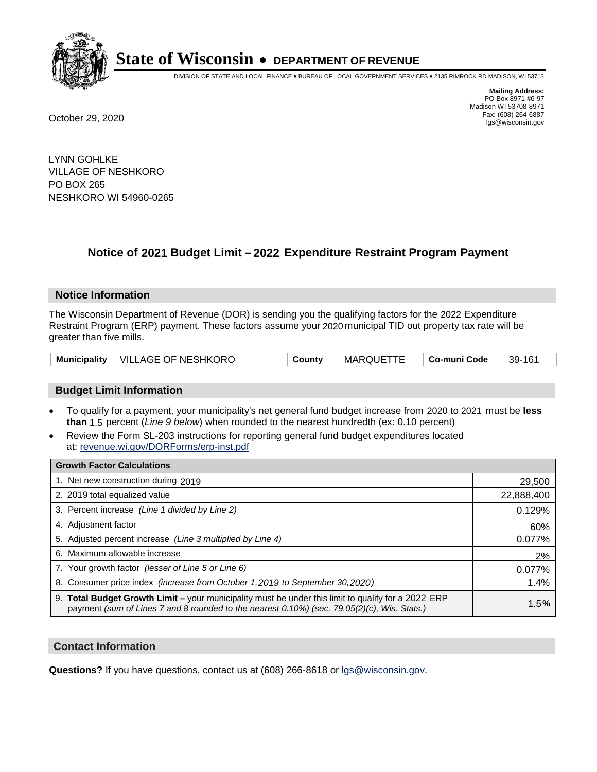

DIVISION OF STATE AND LOCAL FINANCE • BUREAU OF LOCAL GOVERNMENT SERVICES • 2135 RIMROCK RD MADISON, WI 53713

**Mailing Address:** PO Box 8971 #6-97 Madison WI 53708-8971<br>Fax: (608) 264-6887 Fax: (608) 264-6887 October 29, 2020 lgs@wisconsin.gov

LYNN GOHLKE VILLAGE OF NESHKORO PO BOX 265 NESHKORO WI 54960-0265

# **Notice of 2021 Budget Limit - 2022 Expenditure Restraint Program Payment**

#### **Notice Information**

The Wisconsin Department of Revenue (DOR) is sending you the qualifying factors for the 2022 Expenditure Restraint Program (ERP) payment. These factors assume your 2020 municipal TID out property tax rate will be greater than five mills.

| Municipality   VILLAGE OF NESHKORO | County | ' MARQUETTE | Co-muni Code | 39-161 |
|------------------------------------|--------|-------------|--------------|--------|
|------------------------------------|--------|-------------|--------------|--------|

## **Budget Limit Information**

- To qualify for a payment, your municipality's net general fund budget increase from 2020 to 2021 must be less **than** 1.5 percent (*Line 9 below*) when rounded to the nearest hundredth (ex: 0.10 percent)
- Review the Form SL-203 instructions for reporting general fund budget expenditures located at: revenue.wi.gov/DORForms/erp-inst.pdf

| <b>Growth Factor Calculations</b>                                                                                                                                                                      |            |
|--------------------------------------------------------------------------------------------------------------------------------------------------------------------------------------------------------|------------|
| 1. Net new construction during 2019                                                                                                                                                                    | 29,500     |
| 2. 2019 total equalized value                                                                                                                                                                          | 22,888,400 |
| 3. Percent increase (Line 1 divided by Line 2)                                                                                                                                                         | 0.129%     |
| 4. Adjustment factor                                                                                                                                                                                   | 60%        |
| 5. Adjusted percent increase (Line 3 multiplied by Line 4)                                                                                                                                             | 0.077%     |
| 6. Maximum allowable increase                                                                                                                                                                          | 2%         |
| 7. Your growth factor (lesser of Line 5 or Line 6)                                                                                                                                                     | 0.077%     |
| 8. Consumer price index (increase from October 1,2019 to September 30,2020)                                                                                                                            | 1.4%       |
| 9. Total Budget Growth Limit - your municipality must be under this limit to qualify for a 2022 ERP<br>payment (sum of Lines 7 and 8 rounded to the nearest $0.10\%$ ) (sec. 79.05(2)(c), Wis. Stats.) | 1.5%       |

## **Contact Information**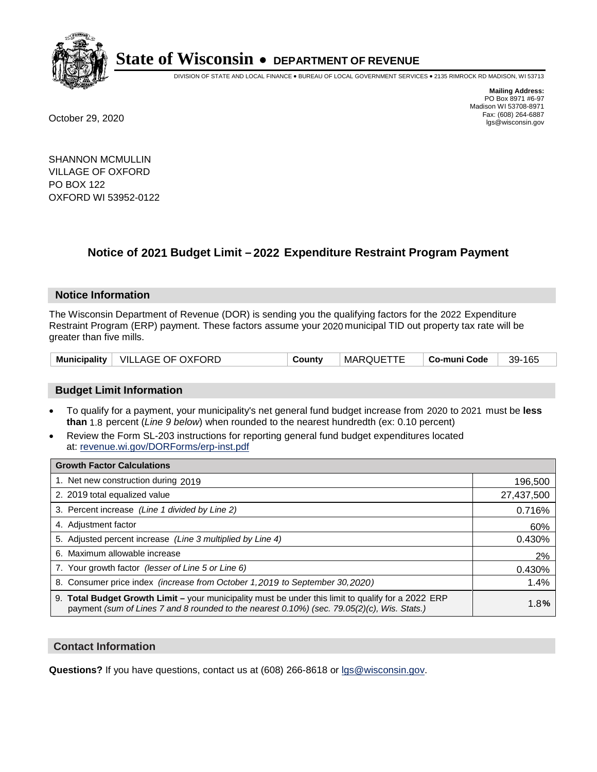

DIVISION OF STATE AND LOCAL FINANCE • BUREAU OF LOCAL GOVERNMENT SERVICES • 2135 RIMROCK RD MADISON, WI 53713

**Mailing Address:** PO Box 8971 #6-97 Madison WI 53708-8971<br>Fax: (608) 264-6887 Fax: (608) 264-6887 October 29, 2020 lgs@wisconsin.gov

SHANNON MCMULLIN VILLAGE OF OXFORD PO BOX 122 OXFORD WI 53952-0122

# **Notice of 2021 Budget Limit - 2022 Expenditure Restraint Program Payment**

## **Notice Information**

The Wisconsin Department of Revenue (DOR) is sending you the qualifying factors for the 2022 Expenditure Restraint Program (ERP) payment. These factors assume your 2020 municipal TID out property tax rate will be greater than five mills.

|  | Municipality   VILLAGE OF OXFORD | County | MARQUETTE | ∣ Co-muni Code | 39-165 |
|--|----------------------------------|--------|-----------|----------------|--------|
|--|----------------------------------|--------|-----------|----------------|--------|

# **Budget Limit Information**

- To qualify for a payment, your municipality's net general fund budget increase from 2020 to 2021 must be less **than** 1.8 percent (*Line 9 below*) when rounded to the nearest hundredth (ex: 0.10 percent)
- Review the Form SL-203 instructions for reporting general fund budget expenditures located at: revenue.wi.gov/DORForms/erp-inst.pdf

| <b>Growth Factor Calculations</b>                                                                                                                                                                      |            |
|--------------------------------------------------------------------------------------------------------------------------------------------------------------------------------------------------------|------------|
| 1. Net new construction during 2019                                                                                                                                                                    | 196,500    |
| 2. 2019 total equalized value                                                                                                                                                                          | 27,437,500 |
| 3. Percent increase (Line 1 divided by Line 2)                                                                                                                                                         | 0.716%     |
| 4. Adjustment factor                                                                                                                                                                                   | 60%        |
| 5. Adjusted percent increase (Line 3 multiplied by Line 4)                                                                                                                                             | 0.430%     |
| 6. Maximum allowable increase                                                                                                                                                                          | 2%         |
| 7. Your growth factor (lesser of Line 5 or Line 6)                                                                                                                                                     | 0.430%     |
| 8. Consumer price index (increase from October 1,2019 to September 30,2020)                                                                                                                            | 1.4%       |
| 9. Total Budget Growth Limit - your municipality must be under this limit to qualify for a 2022 ERP<br>payment (sum of Lines 7 and 8 rounded to the nearest $0.10\%$ ) (sec. 79.05(2)(c), Wis. Stats.) | 1.8%       |

## **Contact Information**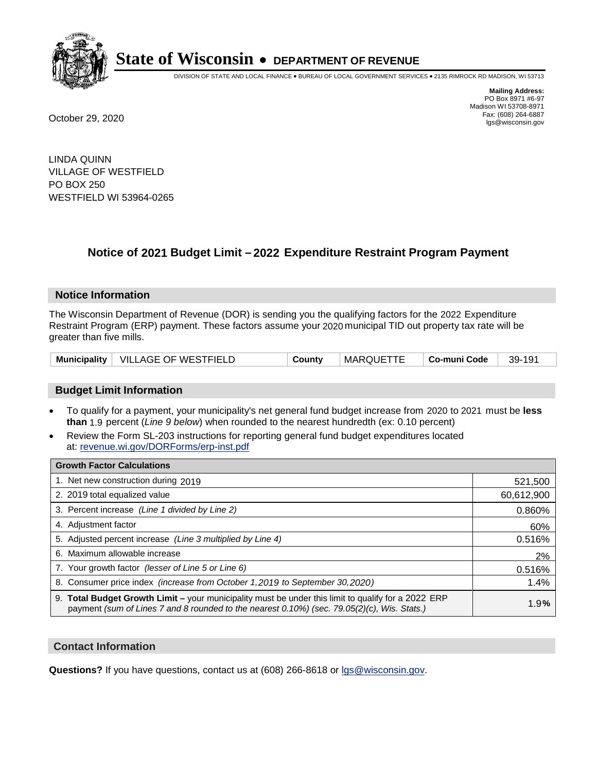

DIVISION OF STATE AND LOCAL FINANCE • BUREAU OF LOCAL GOVERNMENT SERVICES • 2135 RIMROCK RD MADISON, WI 53713

**Mailing Address:** PO Box 8971 #6-97 Madison WI 53708-8971<br>Fax: (608) 264-6887 Fax: (608) 264-6887 October 29, 2020 lgs@wisconsin.gov

LINDA QUINN VILLAGE OF WESTFIELD PO BOX 250 WESTFIELD WI 53964-0265

# **Notice of 2021 Budget Limit - 2022 Expenditure Restraint Program Payment**

## **Notice Information**

The Wisconsin Department of Revenue (DOR) is sending you the qualifying factors for the 2022 Expenditure Restraint Program (ERP) payment. These factors assume your 2020 municipal TID out property tax rate will be greater than five mills.

|  | Municipality   VILLAGE OF WESTFIELD | County | <b>MARQUETTE</b> | └ Co-muni Code | 39-191 |
|--|-------------------------------------|--------|------------------|----------------|--------|
|--|-------------------------------------|--------|------------------|----------------|--------|

# **Budget Limit Information**

- To qualify for a payment, your municipality's net general fund budget increase from 2020 to 2021 must be less **than** 1.9 percent (*Line 9 below*) when rounded to the nearest hundredth (ex: 0.10 percent)
- Review the Form SL-203 instructions for reporting general fund budget expenditures located at: revenue.wi.gov/DORForms/erp-inst.pdf

| <b>Growth Factor Calculations</b>                                                                                                                                                                      |            |
|--------------------------------------------------------------------------------------------------------------------------------------------------------------------------------------------------------|------------|
| 1. Net new construction during 2019                                                                                                                                                                    | 521,500    |
| 2. 2019 total equalized value                                                                                                                                                                          | 60,612,900 |
| 3. Percent increase (Line 1 divided by Line 2)                                                                                                                                                         | 0.860%     |
| 4. Adjustment factor                                                                                                                                                                                   | 60%        |
| 5. Adjusted percent increase (Line 3 multiplied by Line 4)                                                                                                                                             | 0.516%     |
| 6. Maximum allowable increase                                                                                                                                                                          | 2%         |
| 7. Your growth factor (lesser of Line 5 or Line 6)                                                                                                                                                     | 0.516%     |
| 8. Consumer price index (increase from October 1,2019 to September 30,2020)                                                                                                                            | 1.4%       |
| 9. Total Budget Growth Limit - your municipality must be under this limit to qualify for a 2022 ERP<br>payment (sum of Lines 7 and 8 rounded to the nearest $0.10\%$ ) (sec. 79.05(2)(c), Wis. Stats.) | 1.9%       |

## **Contact Information**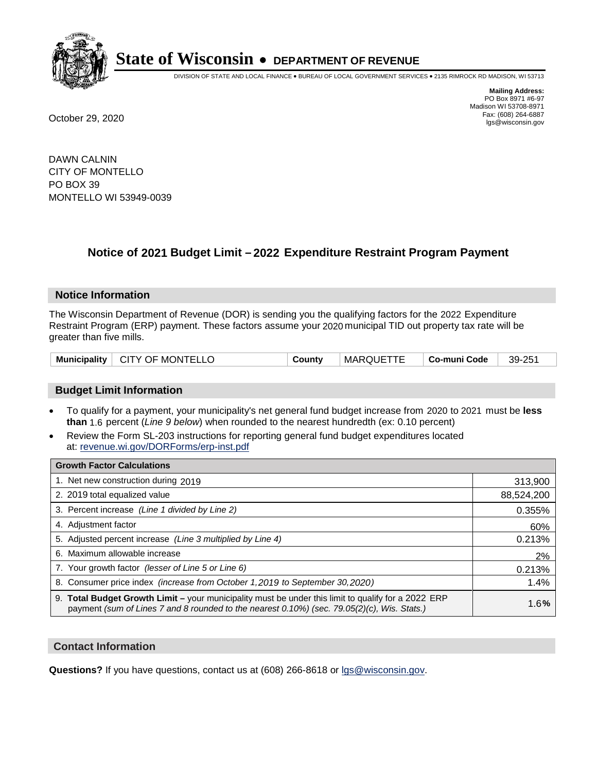

DIVISION OF STATE AND LOCAL FINANCE • BUREAU OF LOCAL GOVERNMENT SERVICES • 2135 RIMROCK RD MADISON, WI 53713

**Mailing Address:** PO Box 8971 #6-97 Madison WI 53708-8971<br>Fax: (608) 264-6887 Fax: (608) 264-6887 October 29, 2020 lgs@wisconsin.gov

DAWN CALNIN CITY OF MONTELLO PO BOX 39 MONTELLO WI 53949-0039

# **Notice of 2021 Budget Limit - 2022 Expenditure Restraint Program Payment**

#### **Notice Information**

The Wisconsin Department of Revenue (DOR) is sending you the qualifying factors for the 2022 Expenditure Restraint Program (ERP) payment. These factors assume your 2020 municipal TID out property tax rate will be greater than five mills.

| Municipality   CITY OF MONTELLO | County | MARQUETTE | ∣ Co-muni Code | 39-251 |
|---------------------------------|--------|-----------|----------------|--------|
|---------------------------------|--------|-----------|----------------|--------|

# **Budget Limit Information**

- To qualify for a payment, your municipality's net general fund budget increase from 2020 to 2021 must be less **than** 1.6 percent (*Line 9 below*) when rounded to the nearest hundredth (ex: 0.10 percent)
- Review the Form SL-203 instructions for reporting general fund budget expenditures located at: revenue.wi.gov/DORForms/erp-inst.pdf

| <b>Growth Factor Calculations</b>                                                                                                                                                                      |            |
|--------------------------------------------------------------------------------------------------------------------------------------------------------------------------------------------------------|------------|
| 1. Net new construction during 2019                                                                                                                                                                    | 313,900    |
| 2. 2019 total equalized value                                                                                                                                                                          | 88,524,200 |
| 3. Percent increase (Line 1 divided by Line 2)                                                                                                                                                         | 0.355%     |
| 4. Adjustment factor                                                                                                                                                                                   | 60%        |
| 5. Adjusted percent increase (Line 3 multiplied by Line 4)                                                                                                                                             | 0.213%     |
| 6. Maximum allowable increase                                                                                                                                                                          | 2%         |
| 7. Your growth factor (lesser of Line 5 or Line 6)                                                                                                                                                     | 0.213%     |
| 8. Consumer price index (increase from October 1, 2019 to September 30, 2020)                                                                                                                          | 1.4%       |
| 9. Total Budget Growth Limit - your municipality must be under this limit to qualify for a 2022 ERP<br>payment (sum of Lines 7 and 8 rounded to the nearest $0.10\%$ ) (sec. 79.05(2)(c), Wis. Stats.) | 1.6%       |

## **Contact Information**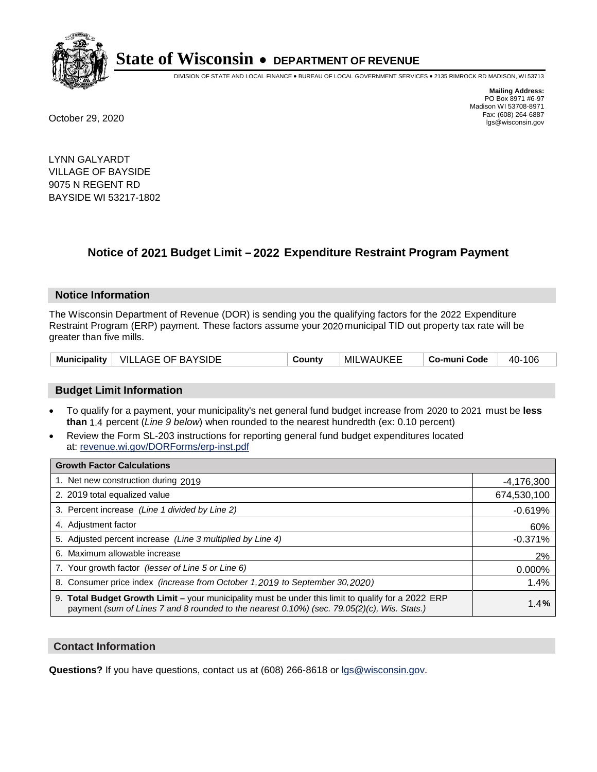

DIVISION OF STATE AND LOCAL FINANCE • BUREAU OF LOCAL GOVERNMENT SERVICES • 2135 RIMROCK RD MADISON, WI 53713

**Mailing Address:** PO Box 8971 #6-97 Madison WI 53708-8971<br>Fax: (608) 264-6887 Fax: (608) 264-6887 October 29, 2020 lgs@wisconsin.gov

LYNN GALYARDT VILLAGE OF BAYSIDE 9075 N REGENT RD BAYSIDE WI 53217-1802

# **Notice of 2021 Budget Limit - 2022 Expenditure Restraint Program Payment**

## **Notice Information**

The Wisconsin Department of Revenue (DOR) is sending you the qualifying factors for the 2022 Expenditure Restraint Program (ERP) payment. These factors assume your 2020 municipal TID out property tax rate will be greater than five mills.

|  | Municipality   VILLAGE OF BAYSIDE | County | MILWAUKEE | Co-muni Code | 40-106 |
|--|-----------------------------------|--------|-----------|--------------|--------|
|--|-----------------------------------|--------|-----------|--------------|--------|

# **Budget Limit Information**

- To qualify for a payment, your municipality's net general fund budget increase from 2020 to 2021 must be less **than** 1.4 percent (*Line 9 below*) when rounded to the nearest hundredth (ex: 0.10 percent)
- Review the Form SL-203 instructions for reporting general fund budget expenditures located at: revenue.wi.gov/DORForms/erp-inst.pdf

| <b>Growth Factor Calculations</b>                                                                                                                                                                      |              |
|--------------------------------------------------------------------------------------------------------------------------------------------------------------------------------------------------------|--------------|
| 1. Net new construction during 2019                                                                                                                                                                    | $-4,176,300$ |
| 2. 2019 total equalized value                                                                                                                                                                          | 674,530,100  |
| 3. Percent increase (Line 1 divided by Line 2)                                                                                                                                                         | $-0.619%$    |
| 4. Adjustment factor                                                                                                                                                                                   | 60%          |
| 5. Adjusted percent increase (Line 3 multiplied by Line 4)                                                                                                                                             | $-0.371%$    |
| 6. Maximum allowable increase                                                                                                                                                                          | 2%           |
| 7. Your growth factor (lesser of Line 5 or Line 6)                                                                                                                                                     | 0.000%       |
| 8. Consumer price index (increase from October 1,2019 to September 30,2020)                                                                                                                            | 1.4%         |
| 9. Total Budget Growth Limit - your municipality must be under this limit to qualify for a 2022 ERP<br>payment (sum of Lines 7 and 8 rounded to the nearest $0.10\%$ ) (sec. 79.05(2)(c), Wis. Stats.) | 1.4%         |

## **Contact Information**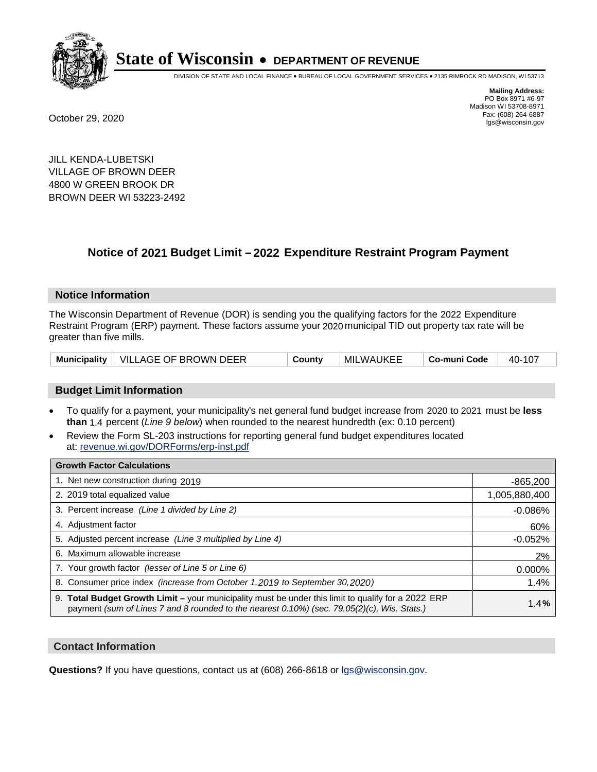

DIVISION OF STATE AND LOCAL FINANCE • BUREAU OF LOCAL GOVERNMENT SERVICES • 2135 RIMROCK RD MADISON, WI 53713

**Mailing Address:** PO Box 8971 #6-97 Madison WI 53708-8971<br>Fax: (608) 264-6887 Fax: (608) 264-6887 October 29, 2020 lgs@wisconsin.gov

JILL KENDA-LUBETSKI VILLAGE OF BROWN DEER 4800 W GREEN BROOK DR BROWN DEER WI 53223-2492

# **Notice of 2021 Budget Limit - 2022 Expenditure Restraint Program Payment**

#### **Notice Information**

The Wisconsin Department of Revenue (DOR) is sending you the qualifying factors for the 2022 Expenditure Restraint Program (ERP) payment. These factors assume your 2020 municipal TID out property tax rate will be greater than five mills.

|  | Municipality   VILLAGE OF BROWN DEER | County | MILWAUKEE | Co-muni Code | 40-107 |
|--|--------------------------------------|--------|-----------|--------------|--------|
|--|--------------------------------------|--------|-----------|--------------|--------|

## **Budget Limit Information**

- To qualify for a payment, your municipality's net general fund budget increase from 2020 to 2021 must be less **than** 1.4 percent (*Line 9 below*) when rounded to the nearest hundredth (ex: 0.10 percent)
- Review the Form SL-203 instructions for reporting general fund budget expenditures located at: revenue.wi.gov/DORForms/erp-inst.pdf

| <b>Growth Factor Calculations</b>                                                                                                                                                                      |               |
|--------------------------------------------------------------------------------------------------------------------------------------------------------------------------------------------------------|---------------|
| 1. Net new construction during 2019                                                                                                                                                                    | $-865,200$    |
| 2. 2019 total equalized value                                                                                                                                                                          | 1,005,880,400 |
| 3. Percent increase (Line 1 divided by Line 2)                                                                                                                                                         | $-0.086%$     |
| 4. Adiustment factor                                                                                                                                                                                   | 60%           |
| 5. Adjusted percent increase (Line 3 multiplied by Line 4)                                                                                                                                             | $-0.052%$     |
| 6. Maximum allowable increase                                                                                                                                                                          | 2%            |
| 7. Your growth factor (lesser of Line 5 or Line 6)                                                                                                                                                     | 0.000%        |
| 8. Consumer price index (increase from October 1,2019 to September 30,2020)                                                                                                                            | 1.4%          |
| 9. Total Budget Growth Limit - your municipality must be under this limit to qualify for a 2022 ERP<br>payment (sum of Lines 7 and 8 rounded to the nearest $0.10\%$ ) (sec. 79.05(2)(c), Wis. Stats.) | 1.4%          |

## **Contact Information**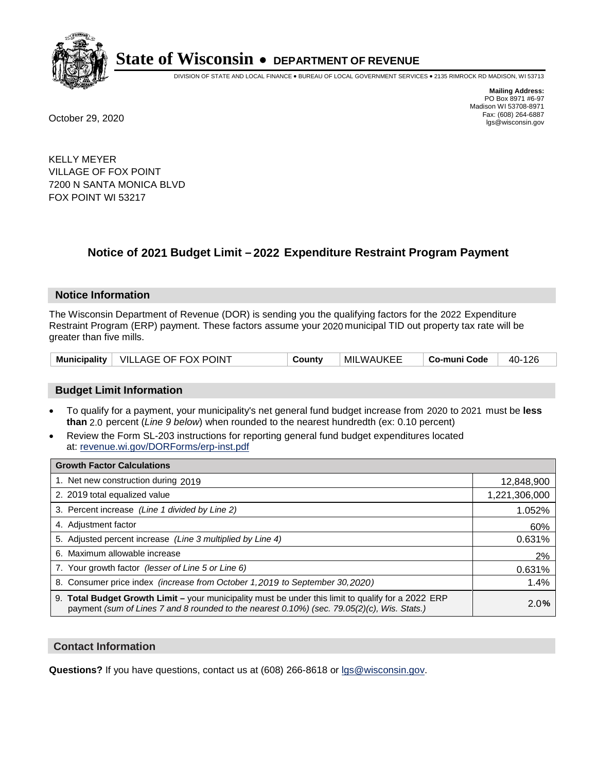

DIVISION OF STATE AND LOCAL FINANCE • BUREAU OF LOCAL GOVERNMENT SERVICES • 2135 RIMROCK RD MADISON, WI 53713

**Mailing Address:** PO Box 8971 #6-97 Madison WI 53708-8971<br>Fax: (608) 264-6887 Fax: (608) 264-6887 October 29, 2020 lgs@wisconsin.gov

KELLY MEYER VILLAGE OF FOX POINT 7200 N SANTA MONICA BLVD FOX POINT WI 53217

# **Notice of 2021 Budget Limit - 2022 Expenditure Restraint Program Payment**

## **Notice Information**

The Wisconsin Department of Revenue (DOR) is sending you the qualifying factors for the 2022 Expenditure Restraint Program (ERP) payment. These factors assume your 2020 municipal TID out property tax rate will be greater than five mills.

|  | Municipality   VILLAGE OF FOX POINT | County | MILWAUKEE | Co-muni Code | 40-126 |
|--|-------------------------------------|--------|-----------|--------------|--------|
|--|-------------------------------------|--------|-----------|--------------|--------|

# **Budget Limit Information**

- To qualify for a payment, your municipality's net general fund budget increase from 2020 to 2021 must be less **than** 2.0 percent (*Line 9 below*) when rounded to the nearest hundredth (ex: 0.10 percent)
- Review the Form SL-203 instructions for reporting general fund budget expenditures located at: revenue.wi.gov/DORForms/erp-inst.pdf

| <b>Growth Factor Calculations</b>                                                                                                                                                                      |               |
|--------------------------------------------------------------------------------------------------------------------------------------------------------------------------------------------------------|---------------|
| 1. Net new construction during 2019                                                                                                                                                                    | 12,848,900    |
| 2. 2019 total equalized value                                                                                                                                                                          | 1,221,306,000 |
| 3. Percent increase (Line 1 divided by Line 2)                                                                                                                                                         | 1.052%        |
| 4. Adjustment factor                                                                                                                                                                                   | 60%           |
| 5. Adjusted percent increase (Line 3 multiplied by Line 4)                                                                                                                                             | 0.631%        |
| 6. Maximum allowable increase                                                                                                                                                                          | 2%            |
| 7. Your growth factor (lesser of Line 5 or Line 6)                                                                                                                                                     | 0.631%        |
| 8. Consumer price index (increase from October 1,2019 to September 30,2020)                                                                                                                            | 1.4%          |
| 9. Total Budget Growth Limit - your municipality must be under this limit to qualify for a 2022 ERP<br>payment (sum of Lines 7 and 8 rounded to the nearest $0.10\%$ ) (sec. 79.05(2)(c), Wis. Stats.) | 2.0%          |

## **Contact Information**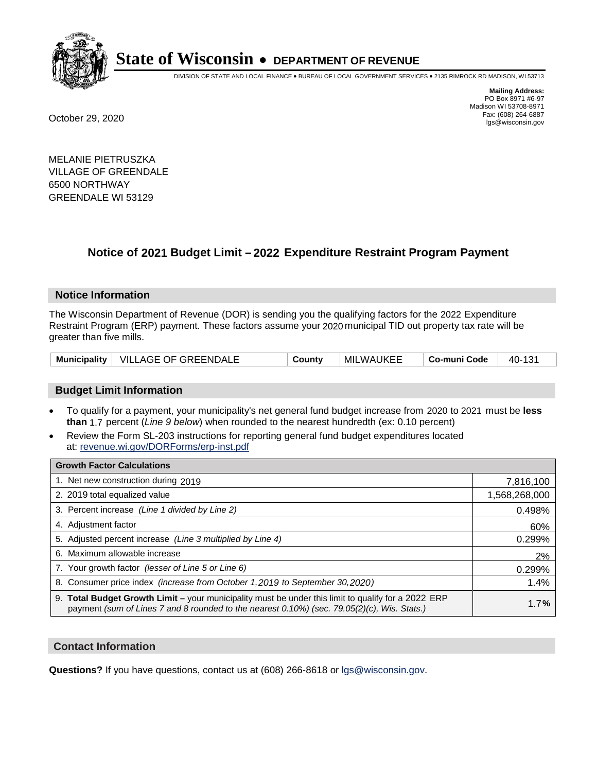

DIVISION OF STATE AND LOCAL FINANCE • BUREAU OF LOCAL GOVERNMENT SERVICES • 2135 RIMROCK RD MADISON, WI 53713

**Mailing Address:** PO Box 8971 #6-97 Madison WI 53708-8971<br>Fax: (608) 264-6887 Fax: (608) 264-6887 October 29, 2020 lgs@wisconsin.gov

MELANIE PIETRUSZKA VILLAGE OF GREENDALE 6500 NORTHWAY GREENDALE WI 53129

# **Notice of 2021 Budget Limit - 2022 Expenditure Restraint Program Payment**

#### **Notice Information**

The Wisconsin Department of Revenue (DOR) is sending you the qualifying factors for the 2022 Expenditure Restraint Program (ERP) payment. These factors assume your 2020 municipal TID out property tax rate will be greater than five mills.

| Municipality   VILLAGE OF GREENDALE | County | MILWAUKEE | Co-muni Code | 40-131 |
|-------------------------------------|--------|-----------|--------------|--------|
|-------------------------------------|--------|-----------|--------------|--------|

# **Budget Limit Information**

- To qualify for a payment, your municipality's net general fund budget increase from 2020 to 2021 must be less **than** 1.7 percent (*Line 9 below*) when rounded to the nearest hundredth (ex: 0.10 percent)
- Review the Form SL-203 instructions for reporting general fund budget expenditures located at: revenue.wi.gov/DORForms/erp-inst.pdf

| <b>Growth Factor Calculations</b>                                                                                                                                                                  |               |
|----------------------------------------------------------------------------------------------------------------------------------------------------------------------------------------------------|---------------|
| 1. Net new construction during 2019                                                                                                                                                                | 7,816,100     |
| 2. 2019 total equalized value                                                                                                                                                                      | 1,568,268,000 |
| 3. Percent increase (Line 1 divided by Line 2)                                                                                                                                                     | 0.498%        |
| 4. Adjustment factor                                                                                                                                                                               | 60%           |
| 5. Adjusted percent increase (Line 3 multiplied by Line 4)                                                                                                                                         | 0.299%        |
| Maximum allowable increase<br>6.                                                                                                                                                                   | 2%            |
| 7. Your growth factor (lesser of Line 5 or Line 6)                                                                                                                                                 | 0.299%        |
| 8. Consumer price index (increase from October 1, 2019 to September 30, 2020)                                                                                                                      | 1.4%          |
| 9. Total Budget Growth Limit - your municipality must be under this limit to qualify for a 2022 ERP<br>payment (sum of Lines 7 and 8 rounded to the nearest 0.10%) (sec. 79.05(2)(c), Wis. Stats.) | 1.7%          |

## **Contact Information**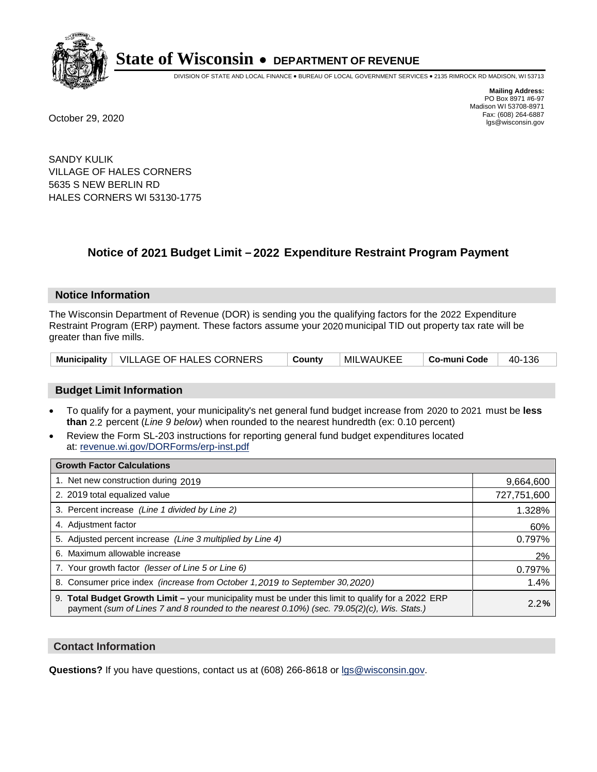

DIVISION OF STATE AND LOCAL FINANCE • BUREAU OF LOCAL GOVERNMENT SERVICES • 2135 RIMROCK RD MADISON, WI 53713

**Mailing Address:** PO Box 8971 #6-97 Madison WI 53708-8971<br>Fax: (608) 264-6887 Fax: (608) 264-6887 October 29, 2020 lgs@wisconsin.gov

SANDY KULIK VILLAGE OF HALES CORNERS 5635 S NEW BERLIN RD HALES CORNERS WI 53130-1775

### **Notice of 2021 Budget Limit - 2022 Expenditure Restraint Program Payment**

#### **Notice Information**

The Wisconsin Department of Revenue (DOR) is sending you the qualifying factors for the 2022 Expenditure Restraint Program (ERP) payment. These factors assume your 2020 municipal TID out property tax rate will be greater than five mills.

| Municipality   VILLAGE OF HALES CORNERS | County | MILWAUKEE | ∣ Co-muni Code | 40-136 |
|-----------------------------------------|--------|-----------|----------------|--------|
|-----------------------------------------|--------|-----------|----------------|--------|

#### **Budget Limit Information**

- To qualify for a payment, your municipality's net general fund budget increase from 2020 to 2021 must be less **than** 2.2 percent (*Line 9 below*) when rounded to the nearest hundredth (ex: 0.10 percent)
- Review the Form SL-203 instructions for reporting general fund budget expenditures located at: revenue.wi.gov/DORForms/erp-inst.pdf

| <b>Growth Factor Calculations</b>                                                                                                                                                                      |             |
|--------------------------------------------------------------------------------------------------------------------------------------------------------------------------------------------------------|-------------|
| 1. Net new construction during 2019                                                                                                                                                                    | 9,664,600   |
| 2. 2019 total equalized value                                                                                                                                                                          | 727,751,600 |
| 3. Percent increase (Line 1 divided by Line 2)                                                                                                                                                         | 1.328%      |
| 4. Adjustment factor                                                                                                                                                                                   | 60%         |
| 5. Adjusted percent increase (Line 3 multiplied by Line 4)                                                                                                                                             | 0.797%      |
| 6. Maximum allowable increase                                                                                                                                                                          | 2%          |
| 7. Your growth factor (lesser of Line 5 or Line 6)                                                                                                                                                     | 0.797%      |
| 8. Consumer price index (increase from October 1, 2019 to September 30, 2020)                                                                                                                          | 1.4%        |
| 9. Total Budget Growth Limit - your municipality must be under this limit to qualify for a 2022 ERP<br>payment (sum of Lines 7 and 8 rounded to the nearest $0.10\%$ ) (sec. 79.05(2)(c), Wis. Stats.) | 2.2%        |

#### **Contact Information**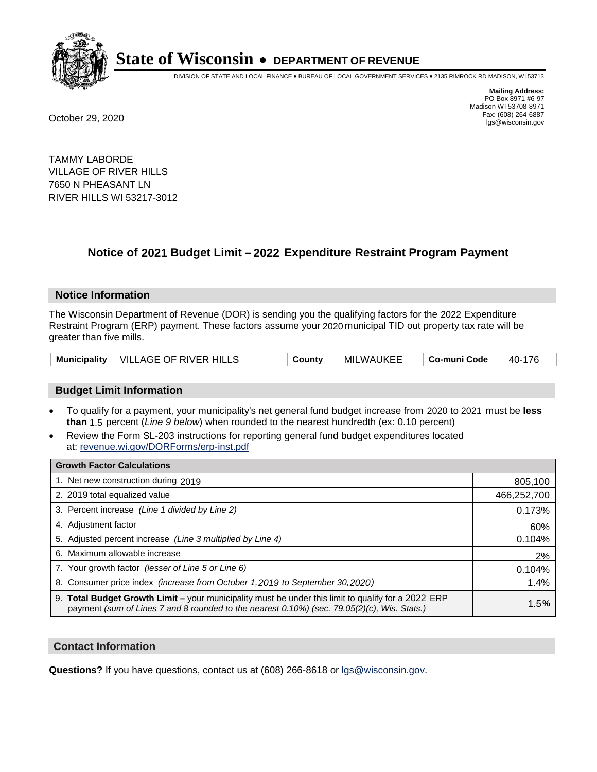

DIVISION OF STATE AND LOCAL FINANCE • BUREAU OF LOCAL GOVERNMENT SERVICES • 2135 RIMROCK RD MADISON, WI 53713

**Mailing Address:** PO Box 8971 #6-97 Madison WI 53708-8971<br>Fax: (608) 264-6887 Fax: (608) 264-6887 October 29, 2020 lgs@wisconsin.gov

TAMMY LABORDE VILLAGE OF RIVER HILLS 7650 N PHEASANT LN RIVER HILLS WI 53217-3012

### **Notice of 2021 Budget Limit - 2022 Expenditure Restraint Program Payment**

#### **Notice Information**

The Wisconsin Department of Revenue (DOR) is sending you the qualifying factors for the 2022 Expenditure Restraint Program (ERP) payment. These factors assume your 2020 municipal TID out property tax rate will be greater than five mills.

|  | Municipality   VILLAGE OF RIVER HILLS | County | MILWAUKEE | Co-muni Code | 40-176 |
|--|---------------------------------------|--------|-----------|--------------|--------|
|--|---------------------------------------|--------|-----------|--------------|--------|

#### **Budget Limit Information**

- To qualify for a payment, your municipality's net general fund budget increase from 2020 to 2021 must be less **than** 1.5 percent (*Line 9 below*) when rounded to the nearest hundredth (ex: 0.10 percent)
- Review the Form SL-203 instructions for reporting general fund budget expenditures located at: revenue.wi.gov/DORForms/erp-inst.pdf

| <b>Growth Factor Calculations</b>                                                                                                                                                                      |             |
|--------------------------------------------------------------------------------------------------------------------------------------------------------------------------------------------------------|-------------|
| 1. Net new construction during 2019                                                                                                                                                                    | 805,100     |
| 2. 2019 total equalized value                                                                                                                                                                          | 466,252,700 |
| 3. Percent increase (Line 1 divided by Line 2)                                                                                                                                                         | 0.173%      |
| 4. Adjustment factor                                                                                                                                                                                   | 60%         |
| 5. Adjusted percent increase (Line 3 multiplied by Line 4)                                                                                                                                             | 0.104%      |
| 6. Maximum allowable increase                                                                                                                                                                          | 2%          |
| 7. Your growth factor (lesser of Line 5 or Line 6)                                                                                                                                                     | 0.104%      |
| 8. Consumer price index (increase from October 1, 2019 to September 30, 2020)                                                                                                                          | 1.4%        |
| 9. Total Budget Growth Limit - your municipality must be under this limit to qualify for a 2022 ERP<br>payment (sum of Lines 7 and 8 rounded to the nearest $0.10\%$ ) (sec. 79.05(2)(c), Wis. Stats.) | 1.5%        |

#### **Contact Information**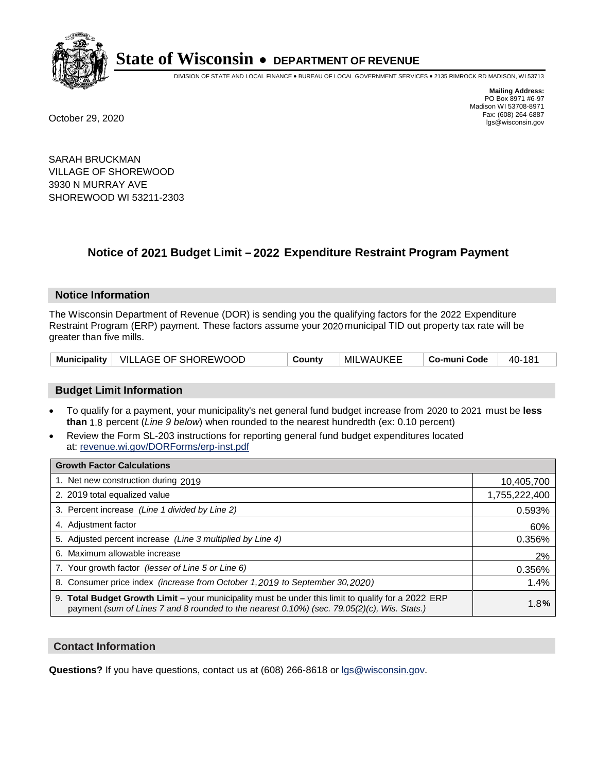

DIVISION OF STATE AND LOCAL FINANCE • BUREAU OF LOCAL GOVERNMENT SERVICES • 2135 RIMROCK RD MADISON, WI 53713

**Mailing Address:** PO Box 8971 #6-97 Madison WI 53708-8971<br>Fax: (608) 264-6887 Fax: (608) 264-6887 October 29, 2020 lgs@wisconsin.gov

SARAH BRUCKMAN VILLAGE OF SHOREWOOD 3930 N MURRAY AVE SHOREWOOD WI 53211-2303

### **Notice of 2021 Budget Limit - 2022 Expenditure Restraint Program Payment**

#### **Notice Information**

The Wisconsin Department of Revenue (DOR) is sending you the qualifying factors for the 2022 Expenditure Restraint Program (ERP) payment. These factors assume your 2020 municipal TID out property tax rate will be greater than five mills.

|  | Municipality   VILLAGE OF SHOREWOOD | Countv | MILWAUKEE | Co-muni Code | 40-181 |
|--|-------------------------------------|--------|-----------|--------------|--------|
|--|-------------------------------------|--------|-----------|--------------|--------|

#### **Budget Limit Information**

- To qualify for a payment, your municipality's net general fund budget increase from 2020 to 2021 must be less **than** 1.8 percent (*Line 9 below*) when rounded to the nearest hundredth (ex: 0.10 percent)
- Review the Form SL-203 instructions for reporting general fund budget expenditures located at: revenue.wi.gov/DORForms/erp-inst.pdf

| <b>Growth Factor Calculations</b>                                                                                                                                                                  |               |
|----------------------------------------------------------------------------------------------------------------------------------------------------------------------------------------------------|---------------|
| 1. Net new construction during 2019                                                                                                                                                                | 10,405,700    |
| 2. 2019 total equalized value                                                                                                                                                                      | 1,755,222,400 |
| 3. Percent increase (Line 1 divided by Line 2)                                                                                                                                                     | 0.593%        |
| 4. Adjustment factor                                                                                                                                                                               | 60%           |
| 5. Adjusted percent increase (Line 3 multiplied by Line 4)                                                                                                                                         | 0.356%        |
| 6. Maximum allowable increase                                                                                                                                                                      | 2%            |
| 7. Your growth factor (lesser of Line 5 or Line 6)                                                                                                                                                 | 0.356%        |
| 8. Consumer price index (increase from October 1,2019 to September 30,2020)                                                                                                                        | 1.4%          |
| 9. Total Budget Growth Limit - your municipality must be under this limit to qualify for a 2022 ERP<br>payment (sum of Lines 7 and 8 rounded to the nearest 0.10%) (sec. 79.05(2)(c), Wis. Stats.) | 1.8%          |

#### **Contact Information**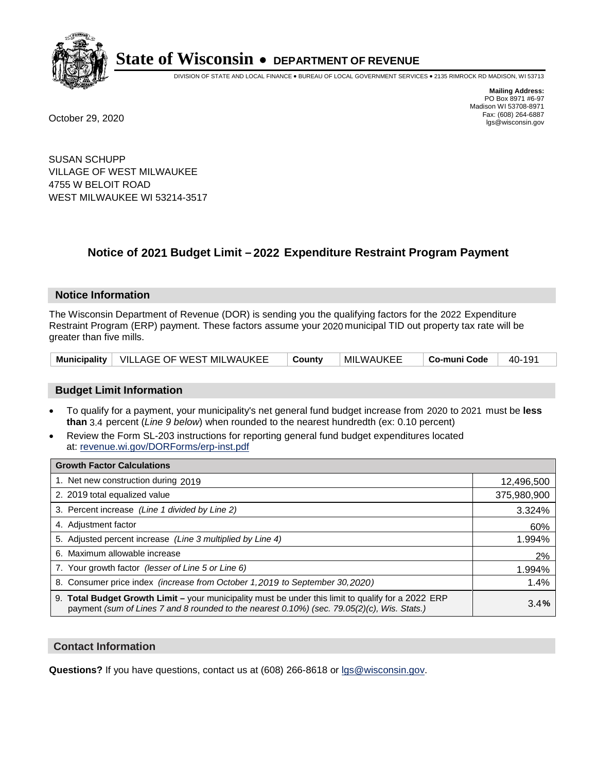

DIVISION OF STATE AND LOCAL FINANCE • BUREAU OF LOCAL GOVERNMENT SERVICES • 2135 RIMROCK RD MADISON, WI 53713

**Mailing Address:** PO Box 8971 #6-97 Madison WI 53708-8971<br>Fax: (608) 264-6887 Fax: (608) 264-6887 October 29, 2020 lgs@wisconsin.gov

SUSAN SCHUPP VILLAGE OF WEST MILWAUKEE 4755 W BELOIT ROAD WEST MILWAUKEE WI 53214-3517

## **Notice of 2021 Budget Limit - 2022 Expenditure Restraint Program Payment**

#### **Notice Information**

The Wisconsin Department of Revenue (DOR) is sending you the qualifying factors for the 2022 Expenditure Restraint Program (ERP) payment. These factors assume your 2020 municipal TID out property tax rate will be greater than five mills.

|  | Municipality   VILLAGE OF WEST MILWAUKEE | <sup>⊥</sup> County | MILWAUKEE | ∣ Co-muni Code | 40-191 |
|--|------------------------------------------|---------------------|-----------|----------------|--------|
|--|------------------------------------------|---------------------|-----------|----------------|--------|

#### **Budget Limit Information**

- To qualify for a payment, your municipality's net general fund budget increase from 2020 to 2021 must be less **than** 3.4 percent (*Line 9 below*) when rounded to the nearest hundredth (ex: 0.10 percent)
- Review the Form SL-203 instructions for reporting general fund budget expenditures located at: revenue.wi.gov/DORForms/erp-inst.pdf

| <b>Growth Factor Calculations</b>                                                                                                                                                                  |             |
|----------------------------------------------------------------------------------------------------------------------------------------------------------------------------------------------------|-------------|
| 1. Net new construction during 2019                                                                                                                                                                | 12,496,500  |
| 2. 2019 total equalized value                                                                                                                                                                      | 375,980,900 |
| 3. Percent increase (Line 1 divided by Line 2)                                                                                                                                                     | 3.324%      |
| 4. Adjustment factor                                                                                                                                                                               | 60%         |
| 5. Adjusted percent increase (Line 3 multiplied by Line 4)                                                                                                                                         | 1.994%      |
| 6. Maximum allowable increase                                                                                                                                                                      | 2%          |
| 7. Your growth factor (lesser of Line 5 or Line 6)                                                                                                                                                 | 1.994%      |
| 8. Consumer price index (increase from October 1,2019 to September 30,2020)                                                                                                                        | 1.4%        |
| 9. Total Budget Growth Limit - your municipality must be under this limit to qualify for a 2022 ERP<br>payment (sum of Lines 7 and 8 rounded to the nearest 0.10%) (sec. 79.05(2)(c), Wis. Stats.) | 3.4%        |

#### **Contact Information**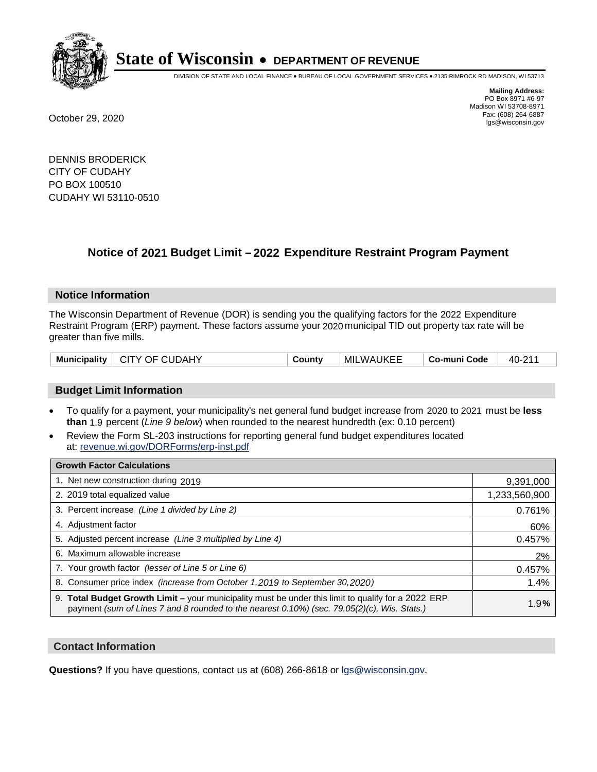

DIVISION OF STATE AND LOCAL FINANCE • BUREAU OF LOCAL GOVERNMENT SERVICES • 2135 RIMROCK RD MADISON, WI 53713

Madison WI 53708-8971<br>Fax: (608) 264-6887

**Mailing Address:** PO Box 8971 #6-97

Fax: (608) 264-6887 October 29, 2020 lgs@wisconsin.gov

DENNIS BRODERICK CITY OF CUDAHY PO BOX 100510 CUDAHY WI 53110-0510

### **Notice of 2021 Budget Limit - 2022 Expenditure Restraint Program Payment**

#### **Notice Information**

The Wisconsin Department of Revenue (DOR) is sending you the qualifying factors for the 2022 Expenditure Restraint Program (ERP) payment. These factors assume your 2020 municipal TID out property tax rate will be greater than five mills.

| CITY OF CUDAHY<br>Municipality | County | <b>MILWAUKEE</b> | Co-muni Code | 40-211 |
|--------------------------------|--------|------------------|--------------|--------|
|--------------------------------|--------|------------------|--------------|--------|

#### **Budget Limit Information**

- To qualify for a payment, your municipality's net general fund budget increase from 2020 to 2021 must be less **than** 1.9 percent (*Line 9 below*) when rounded to the nearest hundredth (ex: 0.10 percent)
- Review the Form SL-203 instructions for reporting general fund budget expenditures located at: revenue.wi.gov/DORForms/erp-inst.pdf

| <b>Growth Factor Calculations</b>                                                                                                                                                                      |               |
|--------------------------------------------------------------------------------------------------------------------------------------------------------------------------------------------------------|---------------|
| 1. Net new construction during 2019                                                                                                                                                                    | 9,391,000     |
| 2. 2019 total equalized value                                                                                                                                                                          | 1,233,560,900 |
| 3. Percent increase (Line 1 divided by Line 2)                                                                                                                                                         | 0.761%        |
| 4. Adjustment factor                                                                                                                                                                                   | 60%           |
| 5. Adjusted percent increase (Line 3 multiplied by Line 4)                                                                                                                                             | 0.457%        |
| 6. Maximum allowable increase                                                                                                                                                                          | 2%            |
| 7. Your growth factor (lesser of Line 5 or Line 6)                                                                                                                                                     | 0.457%        |
| 8. Consumer price index (increase from October 1, 2019 to September 30, 2020)                                                                                                                          | 1.4%          |
| 9. Total Budget Growth Limit - your municipality must be under this limit to qualify for a 2022 ERP<br>payment (sum of Lines 7 and 8 rounded to the nearest $0.10\%$ ) (sec. 79.05(2)(c), Wis. Stats.) | 1.9%          |

#### **Contact Information**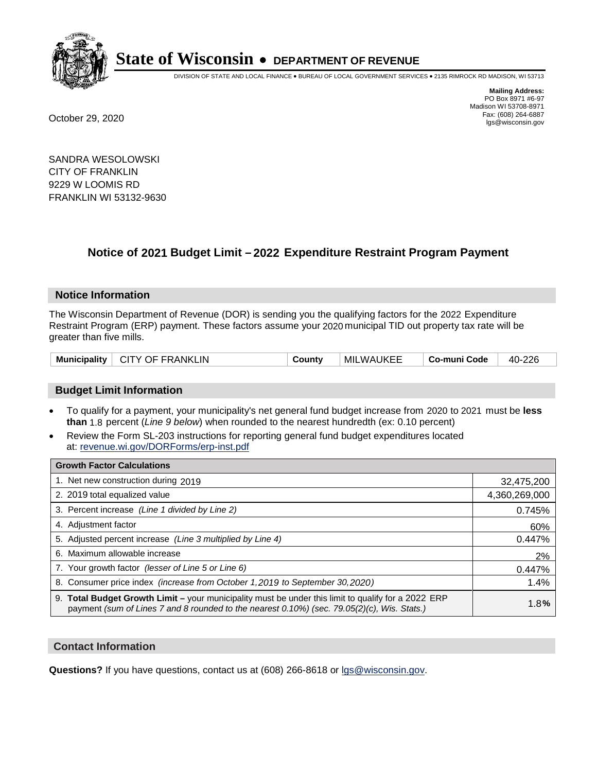

DIVISION OF STATE AND LOCAL FINANCE • BUREAU OF LOCAL GOVERNMENT SERVICES • 2135 RIMROCK RD MADISON, WI 53713

**Mailing Address:** PO Box 8971 #6-97 Madison WI 53708-8971<br>Fax: (608) 264-6887 Fax: (608) 264-6887 October 29, 2020 lgs@wisconsin.gov

SANDRA WESOLOWSKI CITY OF FRANKLIN 9229 W LOOMIS RD FRANKLIN WI 53132-9630

### **Notice of 2021 Budget Limit - 2022 Expenditure Restraint Program Payment**

#### **Notice Information**

The Wisconsin Department of Revenue (DOR) is sending you the qualifying factors for the 2022 Expenditure Restraint Program (ERP) payment. These factors assume your 2020 municipal TID out property tax rate will be greater than five mills.

| Municipality | <b>CITY OF FRANKLIN</b> | County | <b>MILWAUKEE</b> | Co-muni Code | 40-226 |
|--------------|-------------------------|--------|------------------|--------------|--------|
|--------------|-------------------------|--------|------------------|--------------|--------|

#### **Budget Limit Information**

- To qualify for a payment, your municipality's net general fund budget increase from 2020 to 2021 must be less **than** 1.8 percent (*Line 9 below*) when rounded to the nearest hundredth (ex: 0.10 percent)
- Review the Form SL-203 instructions for reporting general fund budget expenditures located at: revenue.wi.gov/DORForms/erp-inst.pdf

| <b>Growth Factor Calculations</b>                                                                                                                                                                  |               |
|----------------------------------------------------------------------------------------------------------------------------------------------------------------------------------------------------|---------------|
| 1. Net new construction during 2019                                                                                                                                                                | 32,475,200    |
| 2. 2019 total equalized value                                                                                                                                                                      | 4,360,269,000 |
| 3. Percent increase (Line 1 divided by Line 2)                                                                                                                                                     | 0.745%        |
| 4. Adjustment factor                                                                                                                                                                               | 60%           |
| 5. Adjusted percent increase (Line 3 multiplied by Line 4)                                                                                                                                         | 0.447%        |
| 6. Maximum allowable increase                                                                                                                                                                      | 2%            |
| 7. Your growth factor (lesser of Line 5 or Line 6)                                                                                                                                                 | 0.447%        |
| 8. Consumer price index (increase from October 1,2019 to September 30,2020)                                                                                                                        | 1.4%          |
| 9. Total Budget Growth Limit - your municipality must be under this limit to qualify for a 2022 ERP<br>payment (sum of Lines 7 and 8 rounded to the nearest 0.10%) (sec. 79.05(2)(c), Wis. Stats.) | 1.8%          |

#### **Contact Information**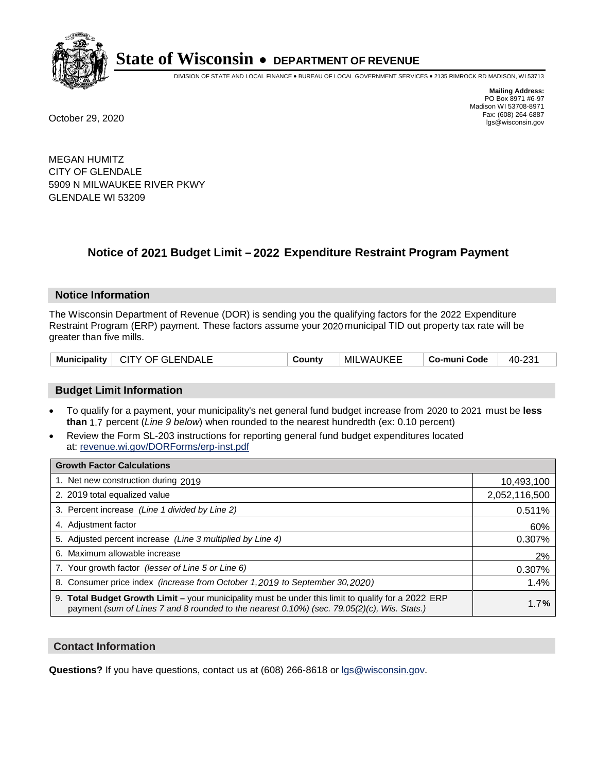

DIVISION OF STATE AND LOCAL FINANCE • BUREAU OF LOCAL GOVERNMENT SERVICES • 2135 RIMROCK RD MADISON, WI 53713

**Mailing Address:** PO Box 8971 #6-97 Madison WI 53708-8971<br>Fax: (608) 264-6887 Fax: (608) 264-6887 October 29, 2020 lgs@wisconsin.gov

MEGAN HUMITZ CITY OF GLENDALE 5909 N MILWAUKEE RIVER PKWY GLENDALE WI 53209

### **Notice of 2021 Budget Limit - 2022 Expenditure Restraint Program Payment**

#### **Notice Information**

The Wisconsin Department of Revenue (DOR) is sending you the qualifying factors for the 2022 Expenditure Restraint Program (ERP) payment. These factors assume your 2020 municipal TID out property tax rate will be greater than five mills.

| Municipality   CITY OF GLENDALE | County | <b>MILWAUKEE</b> | Co-muni Code | 40-231 |
|---------------------------------|--------|------------------|--------------|--------|
|---------------------------------|--------|------------------|--------------|--------|

#### **Budget Limit Information**

- To qualify for a payment, your municipality's net general fund budget increase from 2020 to 2021 must be less **than** 1.7 percent (*Line 9 below*) when rounded to the nearest hundredth (ex: 0.10 percent)
- Review the Form SL-203 instructions for reporting general fund budget expenditures located at: revenue.wi.gov/DORForms/erp-inst.pdf

| <b>Growth Factor Calculations</b>                                                                                                                                                                  |               |
|----------------------------------------------------------------------------------------------------------------------------------------------------------------------------------------------------|---------------|
| 1. Net new construction during 2019                                                                                                                                                                | 10,493,100    |
| 2. 2019 total equalized value                                                                                                                                                                      | 2,052,116,500 |
| 3. Percent increase (Line 1 divided by Line 2)                                                                                                                                                     | 0.511%        |
| 4. Adjustment factor                                                                                                                                                                               | 60%           |
| 5. Adjusted percent increase (Line 3 multiplied by Line 4)                                                                                                                                         | 0.307%        |
| 6. Maximum allowable increase                                                                                                                                                                      | 2%            |
| 7. Your growth factor (lesser of Line 5 or Line 6)                                                                                                                                                 | 0.307%        |
| 8. Consumer price index (increase from October 1, 2019 to September 30, 2020)                                                                                                                      | 1.4%          |
| 9. Total Budget Growth Limit - your municipality must be under this limit to qualify for a 2022 ERP<br>payment (sum of Lines 7 and 8 rounded to the nearest 0.10%) (sec. 79.05(2)(c), Wis. Stats.) | 1.7%          |

#### **Contact Information**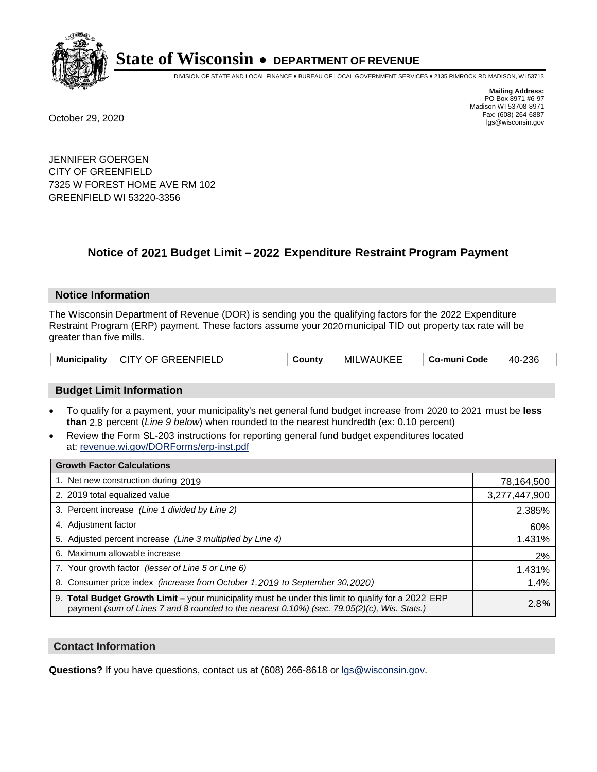

DIVISION OF STATE AND LOCAL FINANCE • BUREAU OF LOCAL GOVERNMENT SERVICES • 2135 RIMROCK RD MADISON, WI 53713

**Mailing Address:** PO Box 8971 #6-97 Madison WI 53708-8971<br>Fax: (608) 264-6887 Fax: (608) 264-6887 October 29, 2020 lgs@wisconsin.gov

JENNIFER GOERGEN CITY OF GREENFIELD 7325 W FOREST HOME AVE RM 102 GREENFIELD WI 53220-3356

### **Notice of 2021 Budget Limit - 2022 Expenditure Restraint Program Payment**

#### **Notice Information**

The Wisconsin Department of Revenue (DOR) is sending you the qualifying factors for the 2022 Expenditure Restraint Program (ERP) payment. These factors assume your 2020 municipal TID out property tax rate will be greater than five mills.

| Municipality   CITY OF GREENFIELD | County | MILWAUKEE | Co-muni Code | 40-236 |
|-----------------------------------|--------|-----------|--------------|--------|
|-----------------------------------|--------|-----------|--------------|--------|

#### **Budget Limit Information**

- To qualify for a payment, your municipality's net general fund budget increase from 2020 to 2021 must be less **than** 2.8 percent (*Line 9 below*) when rounded to the nearest hundredth (ex: 0.10 percent)
- Review the Form SL-203 instructions for reporting general fund budget expenditures located at: revenue.wi.gov/DORForms/erp-inst.pdf

| <b>Growth Factor Calculations</b>                                                                                                                                                                  |               |
|----------------------------------------------------------------------------------------------------------------------------------------------------------------------------------------------------|---------------|
| 1. Net new construction during 2019                                                                                                                                                                | 78,164,500    |
| 2. 2019 total equalized value                                                                                                                                                                      | 3,277,447,900 |
| 3. Percent increase (Line 1 divided by Line 2)                                                                                                                                                     | 2.385%        |
| 4. Adjustment factor                                                                                                                                                                               | 60%           |
| 5. Adjusted percent increase (Line 3 multiplied by Line 4)                                                                                                                                         | 1.431%        |
| 6. Maximum allowable increase                                                                                                                                                                      | 2%            |
| 7. Your growth factor (lesser of Line 5 or Line 6)                                                                                                                                                 | 1.431%        |
| 8. Consumer price index (increase from October 1,2019 to September 30,2020)                                                                                                                        | 1.4%          |
| 9. Total Budget Growth Limit - your municipality must be under this limit to qualify for a 2022 ERP<br>payment (sum of Lines 7 and 8 rounded to the nearest 0.10%) (sec. 79.05(2)(c), Wis. Stats.) | 2.8%          |

#### **Contact Information**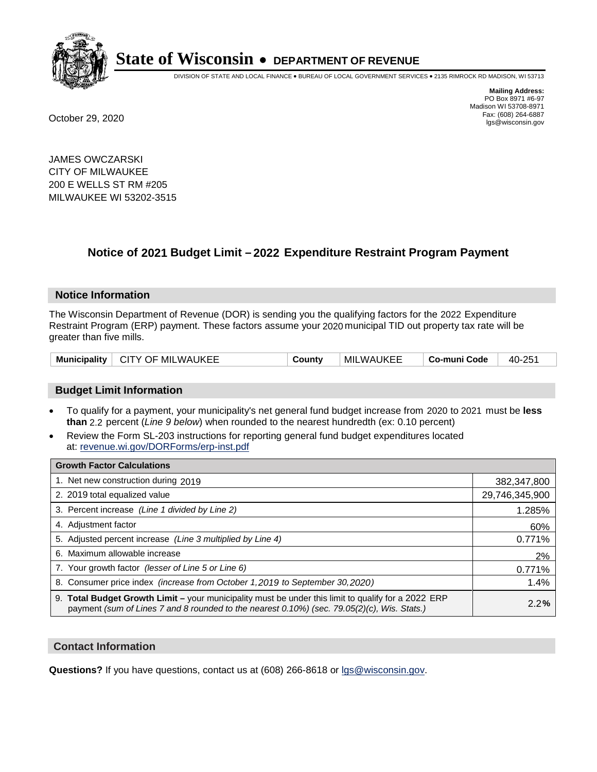

DIVISION OF STATE AND LOCAL FINANCE • BUREAU OF LOCAL GOVERNMENT SERVICES • 2135 RIMROCK RD MADISON, WI 53713

**Mailing Address:** PO Box 8971 #6-97 Madison WI 53708-8971<br>Fax: (608) 264-6887 Fax: (608) 264-6887 October 29, 2020 lgs@wisconsin.gov

JAMES OWCZARSKI CITY OF MILWAUKEE 200 E WELLS ST RM #205 MILWAUKEE WI 53202-3515

### **Notice of 2021 Budget Limit - 2022 Expenditure Restraint Program Payment**

#### **Notice Information**

The Wisconsin Department of Revenue (DOR) is sending you the qualifying factors for the 2022 Expenditure Restraint Program (ERP) payment. These factors assume your 2020 municipal TID out property tax rate will be greater than five mills.

| Municipality | ∣ CITY OF MILWAUKEE | County | MILWAUKEE | Co-muni Code | 40-251 |
|--------------|---------------------|--------|-----------|--------------|--------|
|--------------|---------------------|--------|-----------|--------------|--------|

#### **Budget Limit Information**

- To qualify for a payment, your municipality's net general fund budget increase from 2020 to 2021 must be less **than** 2.2 percent (*Line 9 below*) when rounded to the nearest hundredth (ex: 0.10 percent)
- Review the Form SL-203 instructions for reporting general fund budget expenditures located at: revenue.wi.gov/DORForms/erp-inst.pdf

| <b>Growth Factor Calculations</b>                                                                                                                                                                  |                |
|----------------------------------------------------------------------------------------------------------------------------------------------------------------------------------------------------|----------------|
| 1. Net new construction during 2019                                                                                                                                                                | 382,347,800    |
| 2. 2019 total equalized value                                                                                                                                                                      | 29,746,345,900 |
| 3. Percent increase (Line 1 divided by Line 2)                                                                                                                                                     | 1.285%         |
| 4. Adjustment factor                                                                                                                                                                               | 60%            |
| 5. Adjusted percent increase (Line 3 multiplied by Line 4)                                                                                                                                         | 0.771%         |
| 6. Maximum allowable increase                                                                                                                                                                      | 2%             |
| 7. Your growth factor (lesser of Line 5 or Line 6)                                                                                                                                                 | 0.771%         |
| 8. Consumer price index (increase from October 1, 2019 to September 30, 2020)                                                                                                                      | 1.4%           |
| 9. Total Budget Growth Limit - your municipality must be under this limit to qualify for a 2022 ERP<br>payment (sum of Lines 7 and 8 rounded to the nearest 0.10%) (sec. 79.05(2)(c), Wis. Stats.) | 2.2%           |

#### **Contact Information**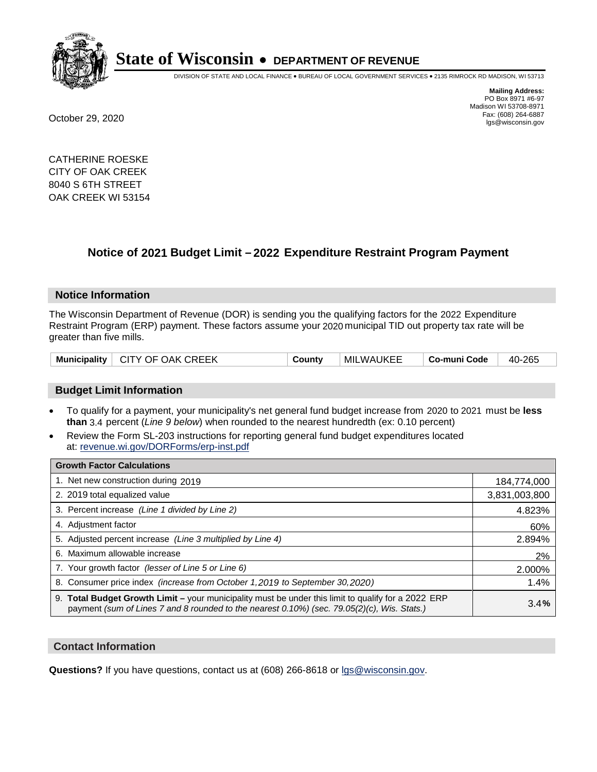

DIVISION OF STATE AND LOCAL FINANCE • BUREAU OF LOCAL GOVERNMENT SERVICES • 2135 RIMROCK RD MADISON, WI 53713

**Mailing Address:** PO Box 8971 #6-97 Madison WI 53708-8971<br>Fax: (608) 264-6887 Fax: (608) 264-6887 October 29, 2020 lgs@wisconsin.gov

CATHERINE ROESKE CITY OF OAK CREEK 8040 S 6TH STREET OAK CREEK WI 53154

### **Notice of 2021 Budget Limit - 2022 Expenditure Restraint Program Payment**

#### **Notice Information**

The Wisconsin Department of Revenue (DOR) is sending you the qualifying factors for the 2022 Expenditure Restraint Program (ERP) payment. These factors assume your 2020 municipal TID out property tax rate will be greater than five mills.

| Municipality   CITY OF OAK CREEK | County | <b>MILWAUKEE</b> | Co-muni Code | 40-265 |
|----------------------------------|--------|------------------|--------------|--------|
|----------------------------------|--------|------------------|--------------|--------|

#### **Budget Limit Information**

- To qualify for a payment, your municipality's net general fund budget increase from 2020 to 2021 must be less **than** 3.4 percent (*Line 9 below*) when rounded to the nearest hundredth (ex: 0.10 percent)
- Review the Form SL-203 instructions for reporting general fund budget expenditures located at: revenue.wi.gov/DORForms/erp-inst.pdf

| <b>Growth Factor Calculations</b>                                                                                                                                                                  |               |
|----------------------------------------------------------------------------------------------------------------------------------------------------------------------------------------------------|---------------|
| 1. Net new construction during 2019                                                                                                                                                                | 184,774,000   |
| 2. 2019 total equalized value                                                                                                                                                                      | 3,831,003,800 |
| 3. Percent increase (Line 1 divided by Line 2)                                                                                                                                                     | 4.823%        |
| 4. Adjustment factor                                                                                                                                                                               | 60%           |
| 5. Adjusted percent increase (Line 3 multiplied by Line 4)                                                                                                                                         | 2.894%        |
| 6. Maximum allowable increase                                                                                                                                                                      | 2%            |
| 7. Your growth factor (lesser of Line 5 or Line 6)                                                                                                                                                 | 2.000%        |
| 8. Consumer price index (increase from October 1, 2019 to September 30, 2020)                                                                                                                      | 1.4%          |
| 9. Total Budget Growth Limit - your municipality must be under this limit to qualify for a 2022 ERP<br>payment (sum of Lines 7 and 8 rounded to the nearest 0.10%) (sec. 79.05(2)(c), Wis. Stats.) | 3.4%          |

#### **Contact Information**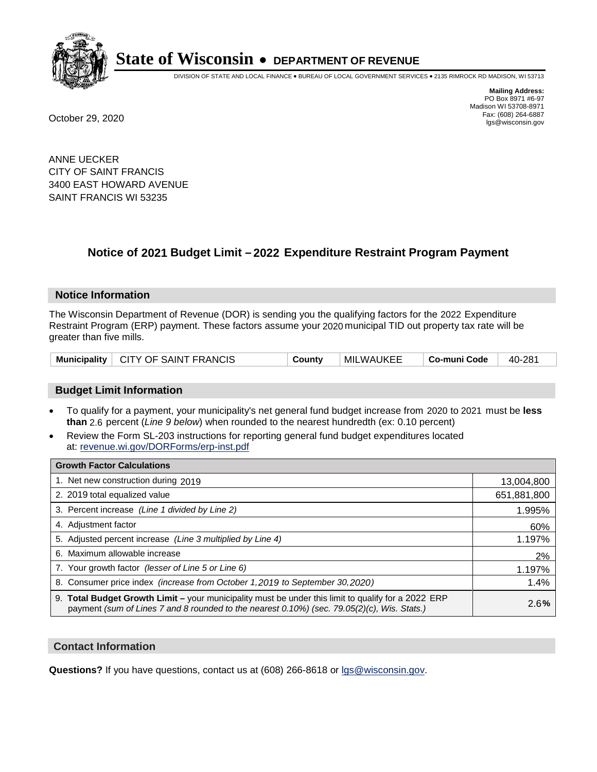

DIVISION OF STATE AND LOCAL FINANCE • BUREAU OF LOCAL GOVERNMENT SERVICES • 2135 RIMROCK RD MADISON, WI 53713

**Mailing Address:** PO Box 8971 #6-97 Madison WI 53708-8971<br>Fax: (608) 264-6887 Fax: (608) 264-6887 October 29, 2020 lgs@wisconsin.gov

ANNE UECKER CITY OF SAINT FRANCIS 3400 EAST HOWARD AVENUE SAINT FRANCIS WI 53235

### **Notice of 2021 Budget Limit - 2022 Expenditure Restraint Program Payment**

#### **Notice Information**

The Wisconsin Department of Revenue (DOR) is sending you the qualifying factors for the 2022 Expenditure Restraint Program (ERP) payment. These factors assume your 2020 municipal TID out property tax rate will be greater than five mills.

|  | Municipality   CITY OF SAINT FRANCIS | County | MILWAUKEE | ⊦ Co-muni Code | 40-281 |
|--|--------------------------------------|--------|-----------|----------------|--------|
|--|--------------------------------------|--------|-----------|----------------|--------|

#### **Budget Limit Information**

- To qualify for a payment, your municipality's net general fund budget increase from 2020 to 2021 must be less **than** 2.6 percent (*Line 9 below*) when rounded to the nearest hundredth (ex: 0.10 percent)
- Review the Form SL-203 instructions for reporting general fund budget expenditures located at: revenue.wi.gov/DORForms/erp-inst.pdf

| <b>Growth Factor Calculations</b>                                                                                                                                                                      |             |
|--------------------------------------------------------------------------------------------------------------------------------------------------------------------------------------------------------|-------------|
| 1. Net new construction during 2019                                                                                                                                                                    | 13,004,800  |
| 2. 2019 total equalized value                                                                                                                                                                          | 651,881,800 |
| 3. Percent increase (Line 1 divided by Line 2)                                                                                                                                                         | 1.995%      |
| 4. Adjustment factor                                                                                                                                                                                   | 60%         |
| 5. Adjusted percent increase (Line 3 multiplied by Line 4)                                                                                                                                             | 1.197%      |
| 6. Maximum allowable increase                                                                                                                                                                          | 2%          |
| 7. Your growth factor (lesser of Line 5 or Line 6)                                                                                                                                                     | 1.197%      |
| 8. Consumer price index (increase from October 1,2019 to September 30,2020)                                                                                                                            | 1.4%        |
| 9. Total Budget Growth Limit - your municipality must be under this limit to qualify for a 2022 ERP<br>payment (sum of Lines 7 and 8 rounded to the nearest $0.10\%$ ) (sec. 79.05(2)(c), Wis. Stats.) | 2.6%        |

#### **Contact Information**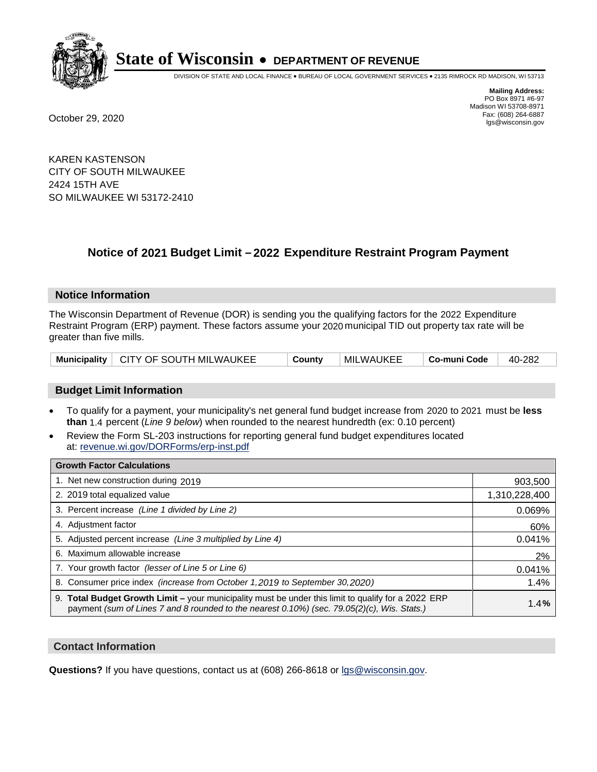

DIVISION OF STATE AND LOCAL FINANCE • BUREAU OF LOCAL GOVERNMENT SERVICES • 2135 RIMROCK RD MADISON, WI 53713

**Mailing Address:** PO Box 8971 #6-97 Madison WI 53708-8971<br>Fax: (608) 264-6887

Fax: (608) 264-6887 October 29, 2020 lgs@wisconsin.gov

KAREN KASTENSON CITY OF SOUTH MILWAUKEE 2424 15TH AVE SO MILWAUKEE WI 53172-2410

### **Notice of 2021 Budget Limit - 2022 Expenditure Restraint Program Payment**

#### **Notice Information**

The Wisconsin Department of Revenue (DOR) is sending you the qualifying factors for the 2022 Expenditure Restraint Program (ERP) payment. These factors assume your 2020 municipal TID out property tax rate will be greater than five mills.

|  | Municipality   CITY OF SOUTH MILWAUKEE | County | MILWAUKEE | Co-muni Code | $40-282$ |
|--|----------------------------------------|--------|-----------|--------------|----------|
|--|----------------------------------------|--------|-----------|--------------|----------|

#### **Budget Limit Information**

- To qualify for a payment, your municipality's net general fund budget increase from 2020 to 2021 must be less **than** 1.4 percent (*Line 9 below*) when rounded to the nearest hundredth (ex: 0.10 percent)
- Review the Form SL-203 instructions for reporting general fund budget expenditures located at: revenue.wi.gov/DORForms/erp-inst.pdf

| <b>Growth Factor Calculations</b>                                                                                                                                                                  |               |
|----------------------------------------------------------------------------------------------------------------------------------------------------------------------------------------------------|---------------|
| 1. Net new construction during 2019                                                                                                                                                                | 903,500       |
| 2. 2019 total equalized value                                                                                                                                                                      | 1,310,228,400 |
| 3. Percent increase (Line 1 divided by Line 2)                                                                                                                                                     | 0.069%        |
| 4. Adjustment factor                                                                                                                                                                               | 60%           |
| 5. Adjusted percent increase (Line 3 multiplied by Line 4)                                                                                                                                         | 0.041%        |
| 6. Maximum allowable increase                                                                                                                                                                      | 2%            |
| 7. Your growth factor (lesser of Line 5 or Line 6)                                                                                                                                                 | 0.041%        |
| 8. Consumer price index (increase from October 1, 2019 to September 30, 2020)                                                                                                                      | 1.4%          |
| 9. Total Budget Growth Limit - your municipality must be under this limit to qualify for a 2022 ERP<br>payment (sum of Lines 7 and 8 rounded to the nearest 0.10%) (sec. 79.05(2)(c), Wis. Stats.) | 1.4%          |

#### **Contact Information**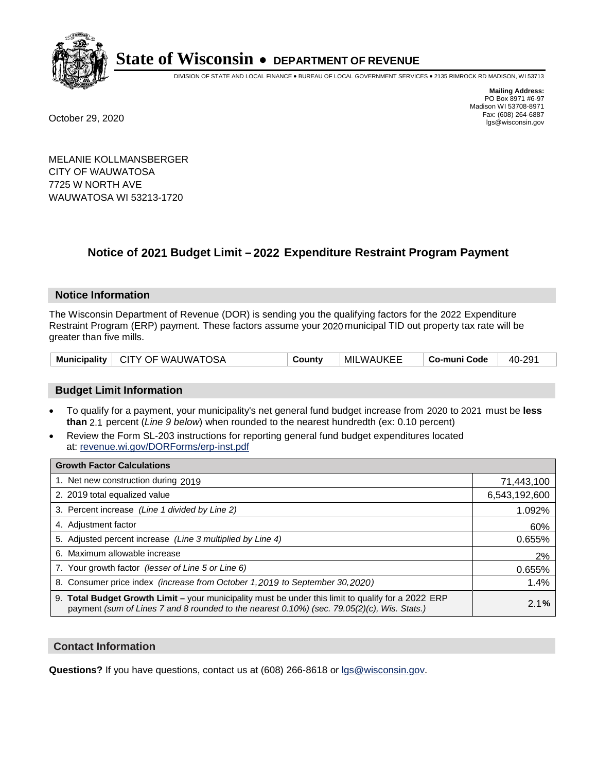

DIVISION OF STATE AND LOCAL FINANCE • BUREAU OF LOCAL GOVERNMENT SERVICES • 2135 RIMROCK RD MADISON, WI 53713

**Mailing Address:** PO Box 8971 #6-97 Madison WI 53708-8971<br>Fax: (608) 264-6887 Fax: (608) 264-6887 October 29, 2020 lgs@wisconsin.gov

MELANIE KOLLMANSBERGER CITY OF WAUWATOSA 7725 W NORTH AVE WAUWATOSA WI 53213-1720

### **Notice of 2021 Budget Limit - 2022 Expenditure Restraint Program Payment**

#### **Notice Information**

The Wisconsin Department of Revenue (DOR) is sending you the qualifying factors for the 2022 Expenditure Restraint Program (ERP) payment. These factors assume your 2020 municipal TID out property tax rate will be greater than five mills.

|  | Municipality   CITY OF WAUWATOSA | County | MILWAUKEE | Co-muni Code | 40-291 |
|--|----------------------------------|--------|-----------|--------------|--------|
|--|----------------------------------|--------|-----------|--------------|--------|

#### **Budget Limit Information**

- To qualify for a payment, your municipality's net general fund budget increase from 2020 to 2021 must be less **than** 2.1 percent (*Line 9 below*) when rounded to the nearest hundredth (ex: 0.10 percent)
- Review the Form SL-203 instructions for reporting general fund budget expenditures located at: revenue.wi.gov/DORForms/erp-inst.pdf

| <b>Growth Factor Calculations</b>                                                                                                                                                                      |               |
|--------------------------------------------------------------------------------------------------------------------------------------------------------------------------------------------------------|---------------|
| 1. Net new construction during 2019                                                                                                                                                                    | 71,443,100    |
| 2. 2019 total equalized value                                                                                                                                                                          | 6,543,192,600 |
| 3. Percent increase (Line 1 divided by Line 2)                                                                                                                                                         | 1.092%        |
| 4. Adiustment factor                                                                                                                                                                                   | 60%           |
| 5. Adjusted percent increase (Line 3 multiplied by Line 4)                                                                                                                                             | 0.655%        |
| 6. Maximum allowable increase                                                                                                                                                                          | 2%            |
| 7. Your growth factor (lesser of Line 5 or Line 6)                                                                                                                                                     | 0.655%        |
| 8. Consumer price index (increase from October 1,2019 to September 30,2020)                                                                                                                            | 1.4%          |
| 9. Total Budget Growth Limit - your municipality must be under this limit to qualify for a 2022 ERP<br>payment (sum of Lines 7 and 8 rounded to the nearest $0.10\%$ ) (sec. 79.05(2)(c), Wis. Stats.) | 2.1%          |

#### **Contact Information**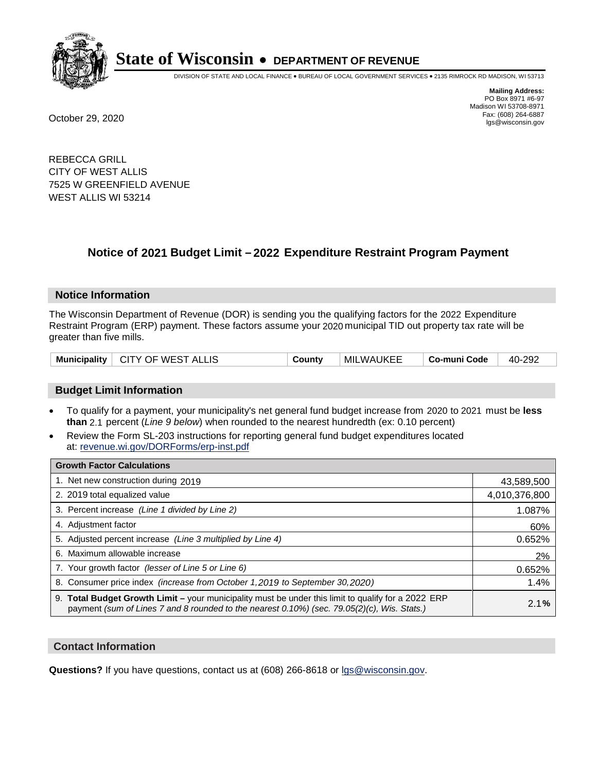

DIVISION OF STATE AND LOCAL FINANCE • BUREAU OF LOCAL GOVERNMENT SERVICES • 2135 RIMROCK RD MADISON, WI 53713

**Mailing Address:** PO Box 8971 #6-97 Madison WI 53708-8971<br>Fax: (608) 264-6887 Fax: (608) 264-6887 October 29, 2020 lgs@wisconsin.gov

REBECCA GRILL CITY OF WEST ALLIS 7525 W GREENFIELD AVENUE WEST ALLIS WI 53214

### **Notice of 2021 Budget Limit - 2022 Expenditure Restraint Program Payment**

#### **Notice Information**

The Wisconsin Department of Revenue (DOR) is sending you the qualifying factors for the 2022 Expenditure Restraint Program (ERP) payment. These factors assume your 2020 municipal TID out property tax rate will be greater than five mills.

| Municipality   CITY OF WEST ALLIS | County | MILWAUKEE | ∣ Co-muni Code | 40-292 |
|-----------------------------------|--------|-----------|----------------|--------|
|-----------------------------------|--------|-----------|----------------|--------|

#### **Budget Limit Information**

- To qualify for a payment, your municipality's net general fund budget increase from 2020 to 2021 must be less **than** 2.1 percent (*Line 9 below*) when rounded to the nearest hundredth (ex: 0.10 percent)
- Review the Form SL-203 instructions for reporting general fund budget expenditures located at: revenue.wi.gov/DORForms/erp-inst.pdf

| <b>Growth Factor Calculations</b>                                                                                                                                                                  |               |
|----------------------------------------------------------------------------------------------------------------------------------------------------------------------------------------------------|---------------|
| 1. Net new construction during 2019                                                                                                                                                                | 43,589,500    |
| 2. 2019 total equalized value                                                                                                                                                                      | 4,010,376,800 |
| 3. Percent increase (Line 1 divided by Line 2)                                                                                                                                                     | 1.087%        |
| 4. Adjustment factor                                                                                                                                                                               | 60%           |
| 5. Adjusted percent increase (Line 3 multiplied by Line 4)                                                                                                                                         | 0.652%        |
| 6. Maximum allowable increase                                                                                                                                                                      | 2%            |
| 7. Your growth factor (lesser of Line 5 or Line 6)                                                                                                                                                 | 0.652%        |
| 8. Consumer price index (increase from October 1,2019 to September 30,2020)                                                                                                                        | 1.4%          |
| 9. Total Budget Growth Limit - your municipality must be under this limit to qualify for a 2022 ERP<br>payment (sum of Lines 7 and 8 rounded to the nearest 0.10%) (sec. 79.05(2)(c), Wis. Stats.) | 2.1%          |

#### **Contact Information**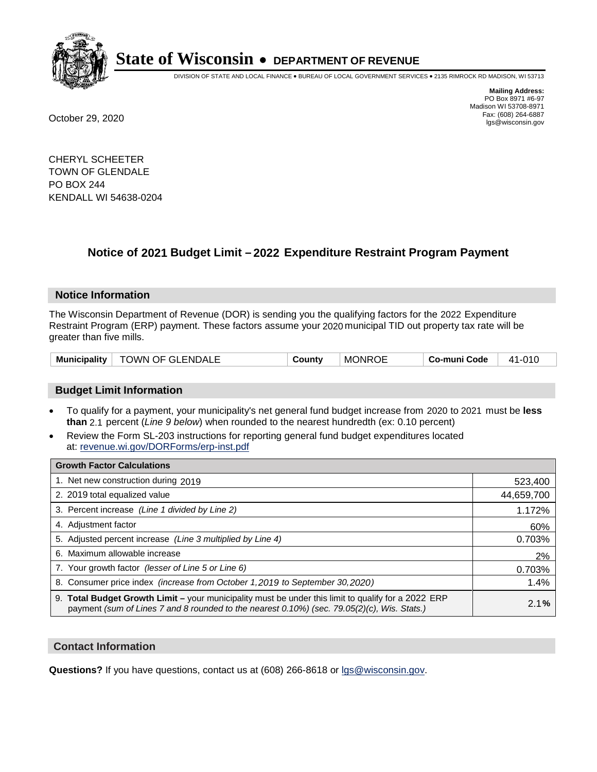

DIVISION OF STATE AND LOCAL FINANCE • BUREAU OF LOCAL GOVERNMENT SERVICES • 2135 RIMROCK RD MADISON, WI 53713

**Mailing Address:** PO Box 8971 #6-97 Madison WI 53708-8971<br>Fax: (608) 264-6887 Fax: (608) 264-6887 October 29, 2020 lgs@wisconsin.gov

CHERYL SCHEETER TOWN OF GLENDALE PO BOX 244 KENDALL WI 54638-0204

## **Notice of 2021 Budget Limit - 2022 Expenditure Restraint Program Payment**

#### **Notice Information**

The Wisconsin Department of Revenue (DOR) is sending you the qualifying factors for the 2022 Expenditure Restraint Program (ERP) payment. These factors assume your 2020 municipal TID out property tax rate will be greater than five mills.

| <b>TOWN OF GLENDALE</b><br><b>Municipality</b> | County | <b>MONROE</b> | Co-muni Code | 41-010 |
|------------------------------------------------|--------|---------------|--------------|--------|
|------------------------------------------------|--------|---------------|--------------|--------|

#### **Budget Limit Information**

- To qualify for a payment, your municipality's net general fund budget increase from 2020 to 2021 must be less **than** 2.1 percent (*Line 9 below*) when rounded to the nearest hundredth (ex: 0.10 percent)
- Review the Form SL-203 instructions for reporting general fund budget expenditures located at: revenue.wi.gov/DORForms/erp-inst.pdf

| <b>Growth Factor Calculations</b>                                                                                                                                                                  |            |
|----------------------------------------------------------------------------------------------------------------------------------------------------------------------------------------------------|------------|
| 1. Net new construction during 2019                                                                                                                                                                | 523,400    |
| 2. 2019 total equalized value                                                                                                                                                                      | 44,659,700 |
| 3. Percent increase (Line 1 divided by Line 2)                                                                                                                                                     | 1.172%     |
| 4. Adjustment factor                                                                                                                                                                               | 60%        |
| 5. Adjusted percent increase (Line 3 multiplied by Line 4)                                                                                                                                         | 0.703%     |
| 6. Maximum allowable increase                                                                                                                                                                      | 2%         |
| 7. Your growth factor (lesser of Line 5 or Line 6)                                                                                                                                                 | 0.703%     |
| 8. Consumer price index (increase from October 1,2019 to September 30,2020)                                                                                                                        | 1.4%       |
| 9. Total Budget Growth Limit - your municipality must be under this limit to qualify for a 2022 ERP<br>payment (sum of Lines 7 and 8 rounded to the nearest 0.10%) (sec. 79.05(2)(c), Wis. Stats.) | 2.1%       |

#### **Contact Information**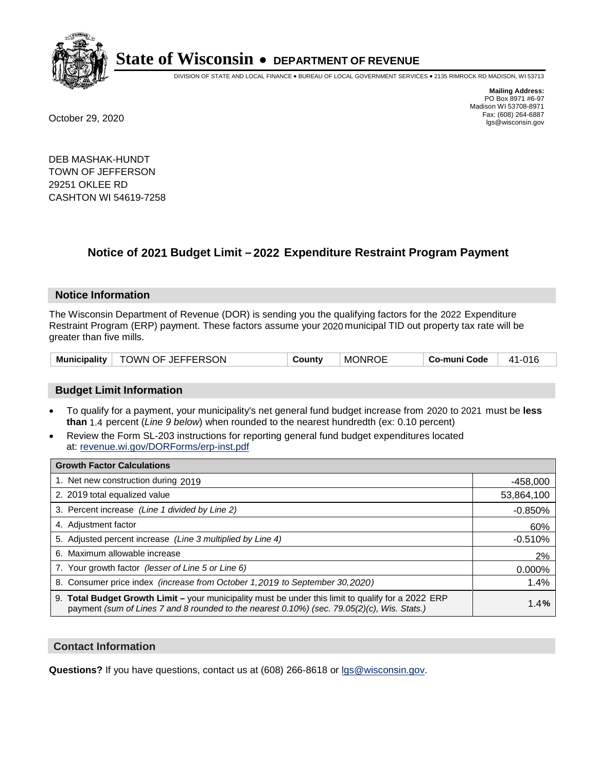

DIVISION OF STATE AND LOCAL FINANCE • BUREAU OF LOCAL GOVERNMENT SERVICES • 2135 RIMROCK RD MADISON, WI 53713

**Mailing Address:** PO Box 8971 #6-97 Madison WI 53708-8971<br>Fax: (608) 264-6887 Fax: (608) 264-6887 October 29, 2020 lgs@wisconsin.gov

DEB MASHAK-HUNDT TOWN OF JEFFERSON 29251 OKLEE RD CASHTON WI 54619-7258

### **Notice of 2021 Budget Limit - 2022 Expenditure Restraint Program Payment**

#### **Notice Information**

The Wisconsin Department of Revenue (DOR) is sending you the qualifying factors for the 2022 Expenditure Restraint Program (ERP) payment. These factors assume your 2020 municipal TID out property tax rate will be greater than five mills.

| Municipality   TOWN OF JEFFERSON | County | <b>MONROE</b> | Co-muni Code | 41-016 |
|----------------------------------|--------|---------------|--------------|--------|
|----------------------------------|--------|---------------|--------------|--------|

#### **Budget Limit Information**

- To qualify for a payment, your municipality's net general fund budget increase from 2020 to 2021 must be less **than** 1.4 percent (*Line 9 below*) when rounded to the nearest hundredth (ex: 0.10 percent)
- Review the Form SL-203 instructions for reporting general fund budget expenditures located at: revenue.wi.gov/DORForms/erp-inst.pdf

| <b>Growth Factor Calculations</b>                                                                                                                                                                      |            |
|--------------------------------------------------------------------------------------------------------------------------------------------------------------------------------------------------------|------------|
| 1. Net new construction during 2019                                                                                                                                                                    | $-458,000$ |
| 2. 2019 total equalized value                                                                                                                                                                          | 53,864,100 |
| 3. Percent increase (Line 1 divided by Line 2)                                                                                                                                                         | $-0.850%$  |
| 4. Adjustment factor                                                                                                                                                                                   | 60%        |
| 5. Adjusted percent increase (Line 3 multiplied by Line 4)                                                                                                                                             | $-0.510%$  |
| 6. Maximum allowable increase                                                                                                                                                                          | 2%         |
| 7. Your growth factor (lesser of Line 5 or Line 6)                                                                                                                                                     | 0.000%     |
| 8. Consumer price index (increase from October 1,2019 to September 30,2020)                                                                                                                            | 1.4%       |
| 9. Total Budget Growth Limit - your municipality must be under this limit to qualify for a 2022 ERP<br>payment (sum of Lines 7 and 8 rounded to the nearest $0.10\%$ ) (sec. 79.05(2)(c), Wis. Stats.) | 1.4%       |

#### **Contact Information**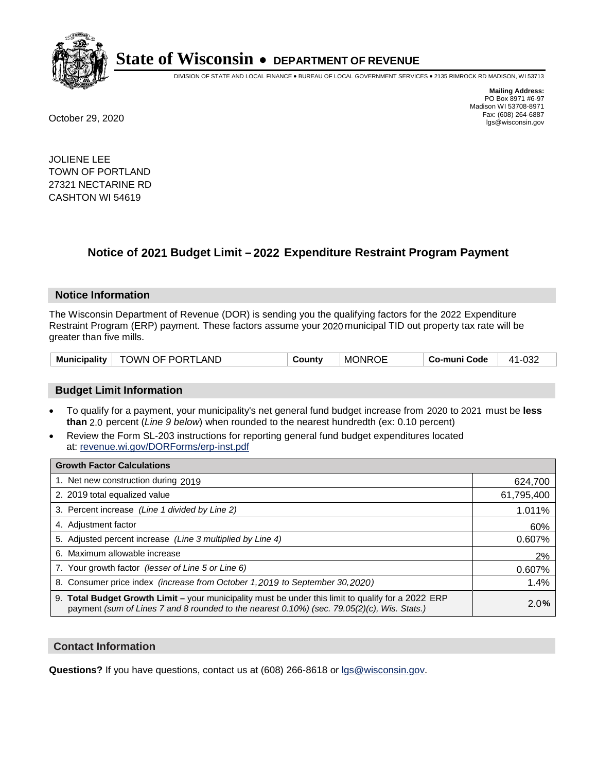

DIVISION OF STATE AND LOCAL FINANCE • BUREAU OF LOCAL GOVERNMENT SERVICES • 2135 RIMROCK RD MADISON, WI 53713

**Mailing Address:** PO Box 8971 #6-97 Madison WI 53708-8971<br>Fax: (608) 264-6887 Fax: (608) 264-6887 October 29, 2020 lgs@wisconsin.gov

JOLIENE LEE TOWN OF PORTLAND 27321 NECTARINE RD CASHTON WI 54619

### **Notice of 2021 Budget Limit - 2022 Expenditure Restraint Program Payment**

#### **Notice Information**

The Wisconsin Department of Revenue (DOR) is sending you the qualifying factors for the 2022 Expenditure Restraint Program (ERP) payment. These factors assume your 2020 municipal TID out property tax rate will be greater than five mills.

| Municipality   TOWN OF PORTLAND |  | County | <b>MONROE</b> | Co-muni Code | 41-032 |
|---------------------------------|--|--------|---------------|--------------|--------|
|---------------------------------|--|--------|---------------|--------------|--------|

#### **Budget Limit Information**

- To qualify for a payment, your municipality's net general fund budget increase from 2020 to 2021 must be less **than** 2.0 percent (*Line 9 below*) when rounded to the nearest hundredth (ex: 0.10 percent)
- Review the Form SL-203 instructions for reporting general fund budget expenditures located at: revenue.wi.gov/DORForms/erp-inst.pdf

| <b>Growth Factor Calculations</b>                                                                                                                                                                      |            |
|--------------------------------------------------------------------------------------------------------------------------------------------------------------------------------------------------------|------------|
| 1. Net new construction during 2019                                                                                                                                                                    | 624,700    |
| 2. 2019 total equalized value                                                                                                                                                                          | 61,795,400 |
| 3. Percent increase (Line 1 divided by Line 2)                                                                                                                                                         | 1.011%     |
| 4. Adjustment factor                                                                                                                                                                                   | 60%        |
| 5. Adjusted percent increase (Line 3 multiplied by Line 4)                                                                                                                                             | 0.607%     |
| 6. Maximum allowable increase                                                                                                                                                                          | 2%         |
| 7. Your growth factor (lesser of Line 5 or Line 6)                                                                                                                                                     | 0.607%     |
| 8. Consumer price index (increase from October 1,2019 to September 30,2020)                                                                                                                            | 1.4%       |
| 9. Total Budget Growth Limit - your municipality must be under this limit to qualify for a 2022 ERP<br>payment (sum of Lines 7 and 8 rounded to the nearest $0.10\%$ ) (sec. 79.05(2)(c), Wis. Stats.) | 2.0%       |

#### **Contact Information**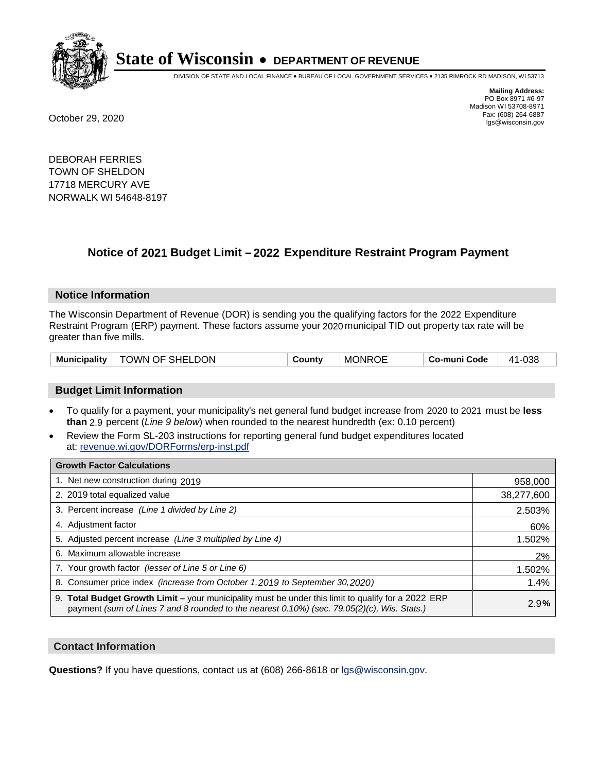

DIVISION OF STATE AND LOCAL FINANCE • BUREAU OF LOCAL GOVERNMENT SERVICES • 2135 RIMROCK RD MADISON, WI 53713

**Mailing Address:** PO Box 8971 #6-97 Madison WI 53708-8971<br>Fax: (608) 264-6887 Fax: (608) 264-6887 October 29, 2020 lgs@wisconsin.gov

DEBORAH FERRIES TOWN OF SHELDON 17718 MERCURY AVE NORWALK WI 54648-8197

### **Notice of 2021 Budget Limit - 2022 Expenditure Restraint Program Payment**

#### **Notice Information**

The Wisconsin Department of Revenue (DOR) is sending you the qualifying factors for the 2022 Expenditure Restraint Program (ERP) payment. These factors assume your 2020 municipal TID out property tax rate will be greater than five mills.

| TOWN OF SHELDON<br>Municipality | County | <b>MONROE</b> | Co-muni Code | 41-038 |
|---------------------------------|--------|---------------|--------------|--------|
|---------------------------------|--------|---------------|--------------|--------|

#### **Budget Limit Information**

- To qualify for a payment, your municipality's net general fund budget increase from 2020 to 2021 must be less **than** 2.9 percent (*Line 9 below*) when rounded to the nearest hundredth (ex: 0.10 percent)
- Review the Form SL-203 instructions for reporting general fund budget expenditures located at: revenue.wi.gov/DORForms/erp-inst.pdf

| <b>Growth Factor Calculations</b>                                                                                                                                                                      |            |
|--------------------------------------------------------------------------------------------------------------------------------------------------------------------------------------------------------|------------|
| 1. Net new construction during 2019                                                                                                                                                                    | 958,000    |
| 2. 2019 total equalized value                                                                                                                                                                          | 38,277,600 |
| 3. Percent increase (Line 1 divided by Line 2)                                                                                                                                                         | 2.503%     |
| 4. Adjustment factor                                                                                                                                                                                   | 60%        |
| 5. Adjusted percent increase (Line 3 multiplied by Line 4)                                                                                                                                             | 1.502%     |
| 6. Maximum allowable increase                                                                                                                                                                          | 2%         |
| 7. Your growth factor (lesser of Line 5 or Line 6)                                                                                                                                                     | 1.502%     |
| 8. Consumer price index (increase from October 1, 2019 to September 30, 2020)                                                                                                                          | 1.4%       |
| 9. Total Budget Growth Limit - your municipality must be under this limit to qualify for a 2022 ERP<br>payment (sum of Lines 7 and 8 rounded to the nearest $0.10\%$ ) (sec. 79.05(2)(c), Wis. Stats.) | 2.9%       |

#### **Contact Information**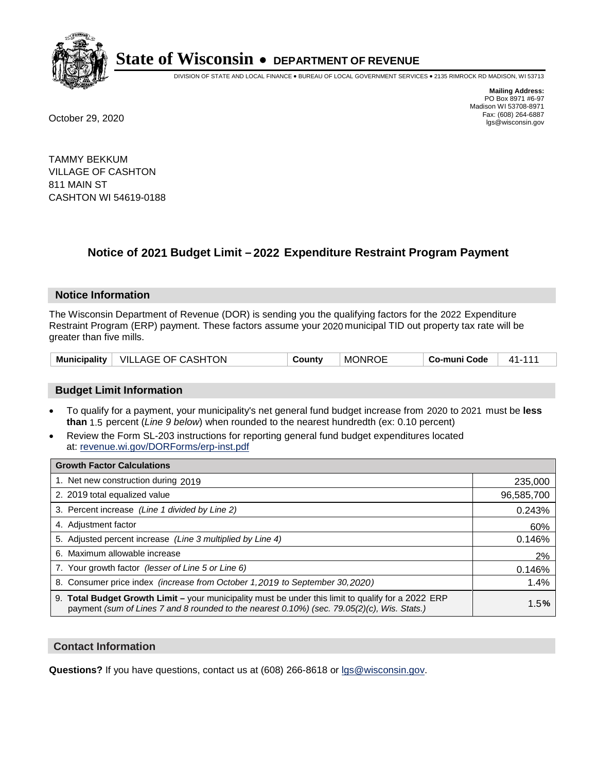

DIVISION OF STATE AND LOCAL FINANCE • BUREAU OF LOCAL GOVERNMENT SERVICES • 2135 RIMROCK RD MADISON, WI 53713

**Mailing Address:** PO Box 8971 #6-97 Madison WI 53708-8971<br>Fax: (608) 264-6887 Fax: (608) 264-6887 October 29, 2020 lgs@wisconsin.gov

TAMMY BEKKUM VILLAGE OF CASHTON 811 MAIN ST CASHTON WI 54619-0188

### **Notice of 2021 Budget Limit - 2022 Expenditure Restraint Program Payment**

#### **Notice Information**

The Wisconsin Department of Revenue (DOR) is sending you the qualifying factors for the 2022 Expenditure Restraint Program (ERP) payment. These factors assume your 2020 municipal TID out property tax rate will be greater than five mills.

#### **Budget Limit Information**

- To qualify for a payment, your municipality's net general fund budget increase from 2020 to 2021 must be less **than** 1.5 percent (*Line 9 below*) when rounded to the nearest hundredth (ex: 0.10 percent)
- Review the Form SL-203 instructions for reporting general fund budget expenditures located at: revenue.wi.gov/DORForms/erp-inst.pdf

| <b>Growth Factor Calculations</b>                                                                                                                                                                      |            |
|--------------------------------------------------------------------------------------------------------------------------------------------------------------------------------------------------------|------------|
| 1. Net new construction during 2019                                                                                                                                                                    | 235,000    |
| 2. 2019 total equalized value                                                                                                                                                                          | 96,585,700 |
| 3. Percent increase (Line 1 divided by Line 2)                                                                                                                                                         | 0.243%     |
| 4. Adjustment factor                                                                                                                                                                                   | 60%        |
| 5. Adjusted percent increase (Line 3 multiplied by Line 4)                                                                                                                                             | 0.146%     |
| 6. Maximum allowable increase                                                                                                                                                                          | 2%         |
| 7. Your growth factor (lesser of Line 5 or Line 6)                                                                                                                                                     | 0.146%     |
| 8. Consumer price index (increase from October 1,2019 to September 30,2020)                                                                                                                            | 1.4%       |
| 9. Total Budget Growth Limit - your municipality must be under this limit to qualify for a 2022 ERP<br>payment (sum of Lines 7 and 8 rounded to the nearest $0.10\%$ ) (sec. 79.05(2)(c), Wis. Stats.) | 1.5%       |

#### **Contact Information**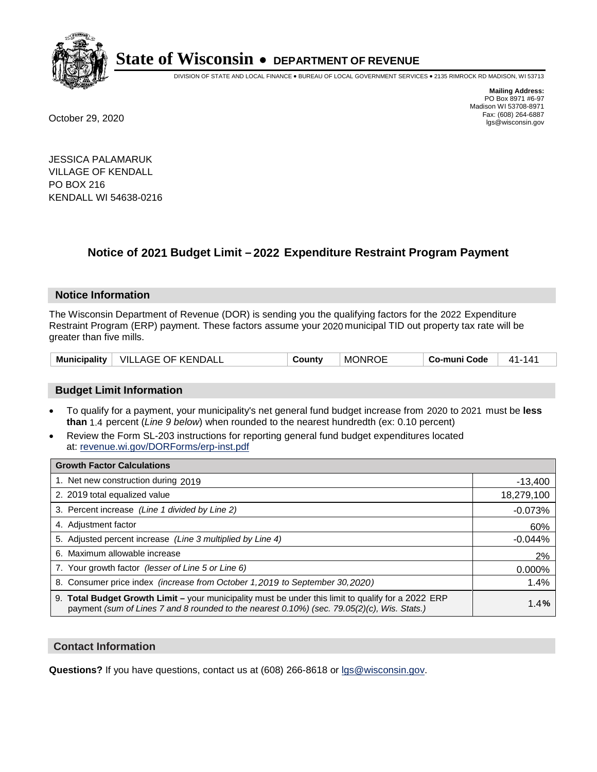

DIVISION OF STATE AND LOCAL FINANCE • BUREAU OF LOCAL GOVERNMENT SERVICES • 2135 RIMROCK RD MADISON, WI 53713

**Mailing Address:** PO Box 8971 #6-97 Madison WI 53708-8971<br>Fax: (608) 264-6887 Fax: (608) 264-6887 October 29, 2020 lgs@wisconsin.gov

JESSICA PALAMARUK VILLAGE OF KENDALL PO BOX 216 KENDALL WI 54638-0216

## **Notice of 2021 Budget Limit - 2022 Expenditure Restraint Program Payment**

#### **Notice Information**

The Wisconsin Department of Revenue (DOR) is sending you the qualifying factors for the 2022 Expenditure Restraint Program (ERP) payment. These factors assume your 2020 municipal TID out property tax rate will be greater than five mills.

| <b>Municipality</b> | <b>VILLAGE OF KENDALL</b> | County | <b>MONROE</b> | Co-muni Code | 141<br>41- |
|---------------------|---------------------------|--------|---------------|--------------|------------|
|---------------------|---------------------------|--------|---------------|--------------|------------|

#### **Budget Limit Information**

- To qualify for a payment, your municipality's net general fund budget increase from 2020 to 2021 must be less **than** 1.4 percent (*Line 9 below*) when rounded to the nearest hundredth (ex: 0.10 percent)
- Review the Form SL-203 instructions for reporting general fund budget expenditures located at: revenue.wi.gov/DORForms/erp-inst.pdf

| <b>Growth Factor Calculations</b>                                                                                                                                                                      |            |
|--------------------------------------------------------------------------------------------------------------------------------------------------------------------------------------------------------|------------|
| 1. Net new construction during 2019                                                                                                                                                                    | $-13,400$  |
| 2. 2019 total equalized value                                                                                                                                                                          | 18,279,100 |
| 3. Percent increase (Line 1 divided by Line 2)                                                                                                                                                         | $-0.073%$  |
| 4. Adjustment factor                                                                                                                                                                                   | 60%        |
| 5. Adjusted percent increase (Line 3 multiplied by Line 4)                                                                                                                                             | $-0.044%$  |
| 6. Maximum allowable increase                                                                                                                                                                          | 2%         |
| 7. Your growth factor (lesser of Line 5 or Line 6)                                                                                                                                                     | 0.000%     |
| 8. Consumer price index (increase from October 1,2019 to September 30,2020)                                                                                                                            | 1.4%       |
| 9. Total Budget Growth Limit - your municipality must be under this limit to qualify for a 2022 ERP<br>payment (sum of Lines 7 and 8 rounded to the nearest $0.10\%$ ) (sec. 79.05(2)(c), Wis. Stats.) | 1.4%       |

#### **Contact Information**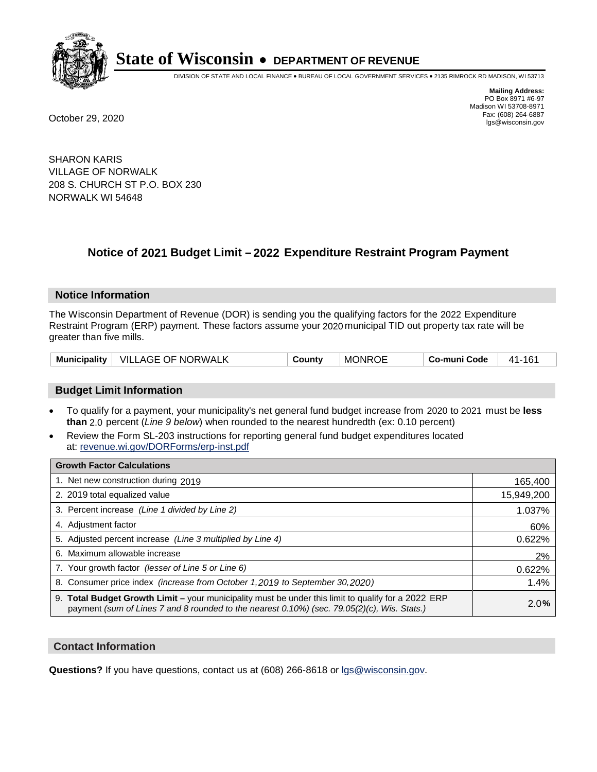

DIVISION OF STATE AND LOCAL FINANCE • BUREAU OF LOCAL GOVERNMENT SERVICES • 2135 RIMROCK RD MADISON, WI 53713

**Mailing Address:** PO Box 8971 #6-97 Madison WI 53708-8971<br>Fax: (608) 264-6887 Fax: (608) 264-6887 October 29, 2020 lgs@wisconsin.gov

SHARON KARIS VILLAGE OF NORWALK 208 S. CHURCH ST P.O. BOX 230 NORWALK WI 54648

### **Notice of 2021 Budget Limit - 2022 Expenditure Restraint Program Payment**

#### **Notice Information**

The Wisconsin Department of Revenue (DOR) is sending you the qualifying factors for the 2022 Expenditure Restraint Program (ERP) payment. These factors assume your 2020 municipal TID out property tax rate will be greater than five mills.

| Municipality | <b>VILLAGE OF NORWALK</b> | County | <b>MONROE</b> | Co-muni Code | 161<br>41- |
|--------------|---------------------------|--------|---------------|--------------|------------|
|--------------|---------------------------|--------|---------------|--------------|------------|

#### **Budget Limit Information**

- To qualify for a payment, your municipality's net general fund budget increase from 2020 to 2021 must be less **than** 2.0 percent (*Line 9 below*) when rounded to the nearest hundredth (ex: 0.10 percent)
- Review the Form SL-203 instructions for reporting general fund budget expenditures located at: revenue.wi.gov/DORForms/erp-inst.pdf

| <b>Growth Factor Calculations</b>                                                                                                                                                                      |            |
|--------------------------------------------------------------------------------------------------------------------------------------------------------------------------------------------------------|------------|
| 1. Net new construction during 2019                                                                                                                                                                    | 165,400    |
| 2. 2019 total equalized value                                                                                                                                                                          | 15,949,200 |
| 3. Percent increase (Line 1 divided by Line 2)                                                                                                                                                         | 1.037%     |
| 4. Adjustment factor                                                                                                                                                                                   | 60%        |
| 5. Adjusted percent increase (Line 3 multiplied by Line 4)                                                                                                                                             | 0.622%     |
| 6. Maximum allowable increase                                                                                                                                                                          | 2%         |
| 7. Your growth factor (lesser of Line 5 or Line 6)                                                                                                                                                     | 0.622%     |
| 8. Consumer price index (increase from October 1,2019 to September 30,2020)                                                                                                                            | 1.4%       |
| 9. Total Budget Growth Limit - your municipality must be under this limit to qualify for a 2022 ERP<br>payment (sum of Lines 7 and 8 rounded to the nearest $0.10\%$ ) (sec. 79.05(2)(c), Wis. Stats.) | 2.0%       |

#### **Contact Information**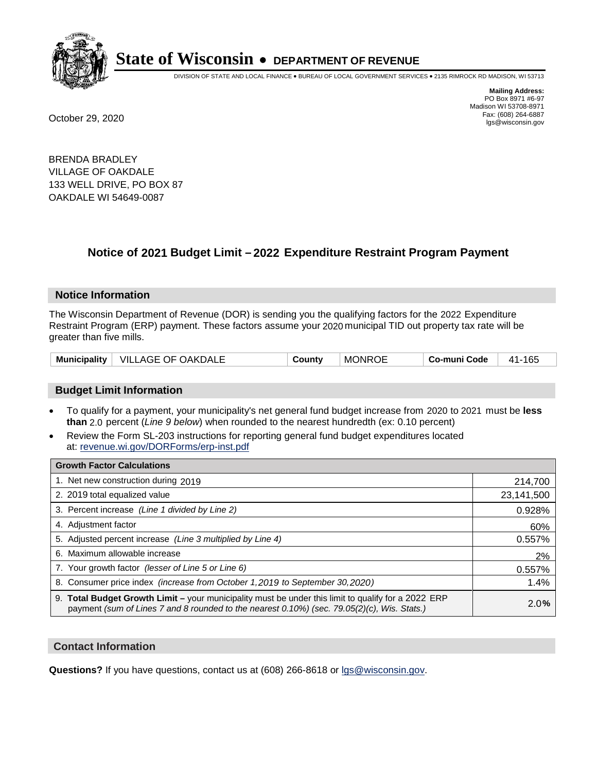

DIVISION OF STATE AND LOCAL FINANCE • BUREAU OF LOCAL GOVERNMENT SERVICES • 2135 RIMROCK RD MADISON, WI 53713

**Mailing Address:** PO Box 8971 #6-97 Madison WI 53708-8971<br>Fax: (608) 264-6887 Fax: (608) 264-6887 October 29, 2020 lgs@wisconsin.gov

BRENDA BRADLEY VILLAGE OF OAKDALE 133 WELL DRIVE, PO BOX 87 OAKDALE WI 54649-0087

### **Notice of 2021 Budget Limit - 2022 Expenditure Restraint Program Payment**

#### **Notice Information**

The Wisconsin Department of Revenue (DOR) is sending you the qualifying factors for the 2022 Expenditure Restraint Program (ERP) payment. These factors assume your 2020 municipal TID out property tax rate will be greater than five mills.

| Municipality | VILLAGE OF OAKDALE | County | <b>MONROE</b> | Co-muni Code | 165<br>41- |
|--------------|--------------------|--------|---------------|--------------|------------|
|--------------|--------------------|--------|---------------|--------------|------------|

#### **Budget Limit Information**

- To qualify for a payment, your municipality's net general fund budget increase from 2020 to 2021 must be less **than** 2.0 percent (*Line 9 below*) when rounded to the nearest hundredth (ex: 0.10 percent)
- Review the Form SL-203 instructions for reporting general fund budget expenditures located at: revenue.wi.gov/DORForms/erp-inst.pdf

| <b>Growth Factor Calculations</b>                                                                                                                                                                      |            |
|--------------------------------------------------------------------------------------------------------------------------------------------------------------------------------------------------------|------------|
| 1. Net new construction during 2019                                                                                                                                                                    | 214,700    |
| 2. 2019 total equalized value                                                                                                                                                                          | 23,141,500 |
| 3. Percent increase (Line 1 divided by Line 2)                                                                                                                                                         | 0.928%     |
| 4. Adiustment factor                                                                                                                                                                                   | 60%        |
| 5. Adjusted percent increase (Line 3 multiplied by Line 4)                                                                                                                                             | 0.557%     |
| 6. Maximum allowable increase                                                                                                                                                                          | 2%         |
| 7. Your growth factor (lesser of Line 5 or Line 6)                                                                                                                                                     | 0.557%     |
| 8. Consumer price index (increase from October 1,2019 to September 30,2020)                                                                                                                            | 1.4%       |
| 9. Total Budget Growth Limit - your municipality must be under this limit to qualify for a 2022 ERP<br>payment (sum of Lines 7 and 8 rounded to the nearest $0.10\%$ ) (sec. 79.05(2)(c), Wis. Stats.) | 2.0%       |

#### **Contact Information**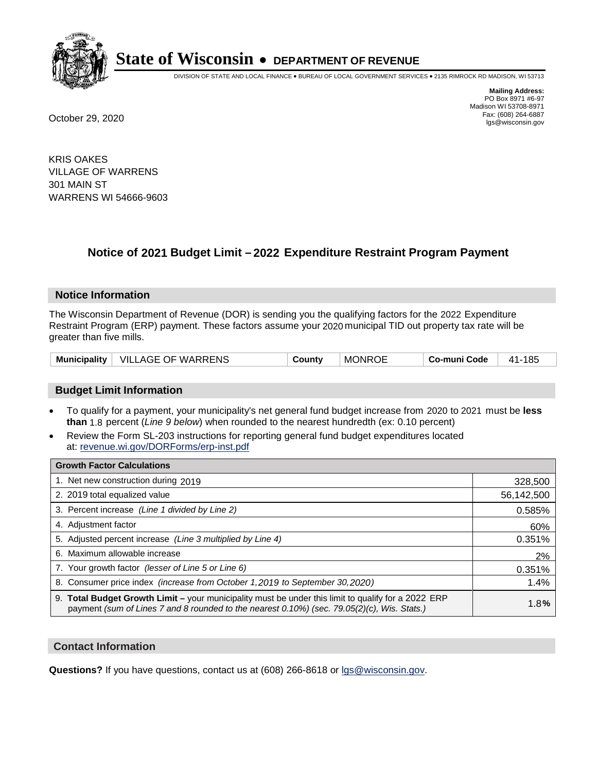

DIVISION OF STATE AND LOCAL FINANCE • BUREAU OF LOCAL GOVERNMENT SERVICES • 2135 RIMROCK RD MADISON, WI 53713

**Mailing Address:** PO Box 8971 #6-97 Madison WI 53708-8971<br>Fax: (608) 264-6887 Fax: (608) 264-6887 October 29, 2020 lgs@wisconsin.gov

KRIS OAKES VILLAGE OF WARRENS 301 MAIN ST WARRENS WI 54666-9603

### **Notice of 2021 Budget Limit - 2022 Expenditure Restraint Program Payment**

#### **Notice Information**

The Wisconsin Department of Revenue (DOR) is sending you the qualifying factors for the 2022 Expenditure Restraint Program (ERP) payment. These factors assume your 2020 municipal TID out property tax rate will be greater than five mills.

| Municipality | VILLAGE OF WARRENS | Countv | <b>MONROE</b> | Co-muni Code | 185<br>41- |
|--------------|--------------------|--------|---------------|--------------|------------|
|--------------|--------------------|--------|---------------|--------------|------------|

#### **Budget Limit Information**

- To qualify for a payment, your municipality's net general fund budget increase from 2020 to 2021 must be less **than** 1.8 percent (*Line 9 below*) when rounded to the nearest hundredth (ex: 0.10 percent)
- Review the Form SL-203 instructions for reporting general fund budget expenditures located at: revenue.wi.gov/DORForms/erp-inst.pdf

| <b>Growth Factor Calculations</b>                                                                                                                                                                      |            |
|--------------------------------------------------------------------------------------------------------------------------------------------------------------------------------------------------------|------------|
| 1. Net new construction during 2019                                                                                                                                                                    | 328,500    |
| 2. 2019 total equalized value                                                                                                                                                                          | 56,142,500 |
| 3. Percent increase (Line 1 divided by Line 2)                                                                                                                                                         | 0.585%     |
| 4. Adiustment factor                                                                                                                                                                                   | 60%        |
| 5. Adjusted percent increase (Line 3 multiplied by Line 4)                                                                                                                                             | 0.351%     |
| 6. Maximum allowable increase                                                                                                                                                                          | 2%         |
| 7. Your growth factor (lesser of Line 5 or Line 6)                                                                                                                                                     | 0.351%     |
| 8. Consumer price index (increase from October 1,2019 to September 30,2020)                                                                                                                            | 1.4%       |
| 9. Total Budget Growth Limit - your municipality must be under this limit to qualify for a 2022 ERP<br>payment (sum of Lines 7 and 8 rounded to the nearest $0.10\%$ ) (sec. 79.05(2)(c), Wis. Stats.) | 1.8%       |

#### **Contact Information**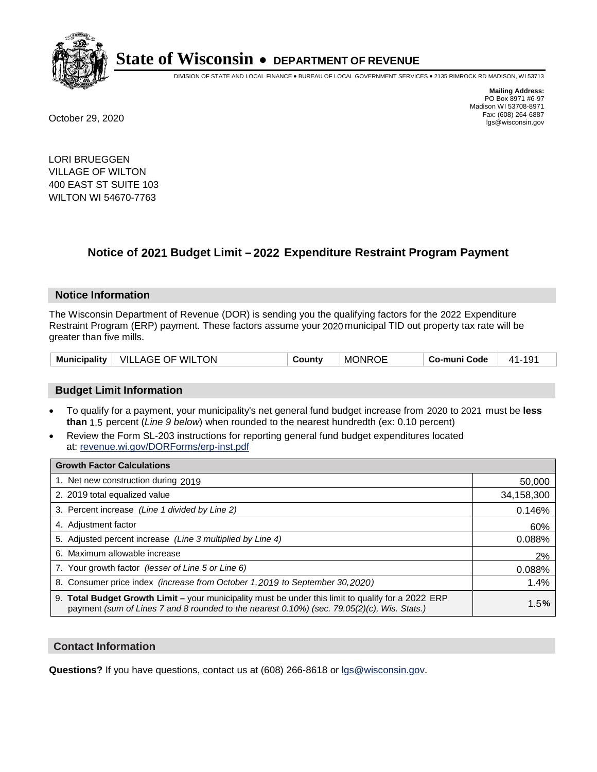

DIVISION OF STATE AND LOCAL FINANCE • BUREAU OF LOCAL GOVERNMENT SERVICES • 2135 RIMROCK RD MADISON, WI 53713

**Mailing Address:** PO Box 8971 #6-97 Madison WI 53708-8971<br>Fax: (608) 264-6887 Fax: (608) 264-6887 October 29, 2020 lgs@wisconsin.gov

LORI BRUEGGEN VILLAGE OF WILTON 400 EAST ST SUITE 103 WILTON WI 54670-7763

## **Notice of 2021 Budget Limit - 2022 Expenditure Restraint Program Payment**

#### **Notice Information**

The Wisconsin Department of Revenue (DOR) is sending you the qualifying factors for the 2022 Expenditure Restraint Program (ERP) payment. These factors assume your 2020 municipal TID out property tax rate will be greater than five mills.

|  | Municipality   VILLAGE OF WILTON | County | <b>MONROE</b> | Co-muni Code | 41-191 |
|--|----------------------------------|--------|---------------|--------------|--------|
|--|----------------------------------|--------|---------------|--------------|--------|

#### **Budget Limit Information**

- To qualify for a payment, your municipality's net general fund budget increase from 2020 to 2021 must be less **than** 1.5 percent (*Line 9 below*) when rounded to the nearest hundredth (ex: 0.10 percent)
- Review the Form SL-203 instructions for reporting general fund budget expenditures located at: revenue.wi.gov/DORForms/erp-inst.pdf

| <b>Growth Factor Calculations</b>                                                                                                                                                                  |            |
|----------------------------------------------------------------------------------------------------------------------------------------------------------------------------------------------------|------------|
| 1. Net new construction during 2019                                                                                                                                                                | 50,000     |
| 2. 2019 total equalized value                                                                                                                                                                      | 34,158,300 |
| 3. Percent increase (Line 1 divided by Line 2)                                                                                                                                                     | 0.146%     |
| 4. Adjustment factor                                                                                                                                                                               | 60%        |
| 5. Adjusted percent increase (Line 3 multiplied by Line 4)                                                                                                                                         | 0.088%     |
| 6. Maximum allowable increase                                                                                                                                                                      | 2%         |
| 7. Your growth factor (lesser of Line 5 or Line 6)                                                                                                                                                 | 0.088%     |
| 8. Consumer price index (increase from October 1, 2019 to September 30, 2020)                                                                                                                      | 1.4%       |
| 9. Total Budget Growth Limit – your municipality must be under this limit to qualify for a 2022 ERP<br>payment (sum of Lines 7 and 8 rounded to the nearest 0.10%) (sec. 79.05(2)(c), Wis. Stats.) | 1.5%       |

#### **Contact Information**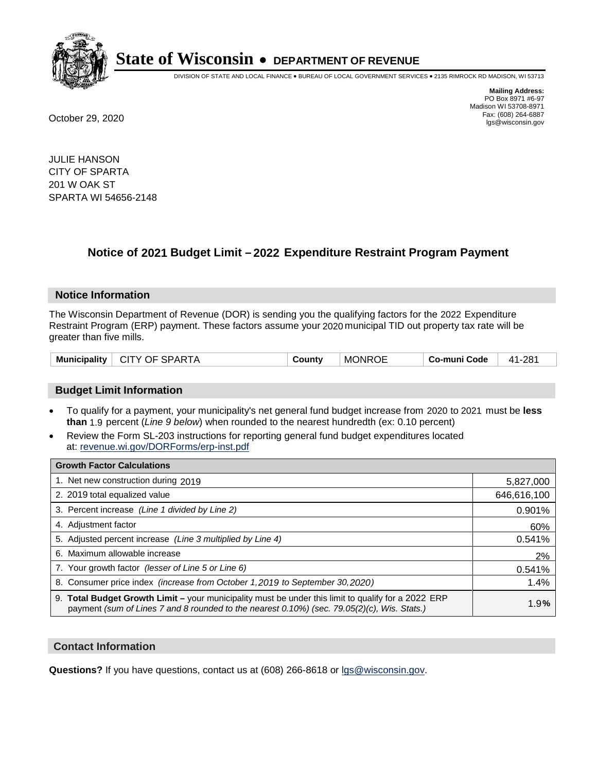

DIVISION OF STATE AND LOCAL FINANCE • BUREAU OF LOCAL GOVERNMENT SERVICES • 2135 RIMROCK RD MADISON, WI 53713

**Mailing Address:** PO Box 8971 #6-97 Madison WI 53708-8971<br>Fax: (608) 264-6887 Fax: (608) 264-6887 October 29, 2020 lgs@wisconsin.gov

JULIE HANSON CITY OF SPARTA 201 W OAK ST SPARTA WI 54656-2148

### **Notice of 2021 Budget Limit - 2022 Expenditure Restraint Program Payment**

#### **Notice Information**

The Wisconsin Department of Revenue (DOR) is sending you the qualifying factors for the 2022 Expenditure Restraint Program (ERP) payment. These factors assume your 2020 municipal TID out property tax rate will be greater than five mills.

| Municipality | <b>CITY OF SPARTA</b> | Countv | <b>MONROE</b> | Co-muni Code | 41-281 |
|--------------|-----------------------|--------|---------------|--------------|--------|
|--------------|-----------------------|--------|---------------|--------------|--------|

#### **Budget Limit Information**

- To qualify for a payment, your municipality's net general fund budget increase from 2020 to 2021 must be less **than** 1.9 percent (*Line 9 below*) when rounded to the nearest hundredth (ex: 0.10 percent)
- Review the Form SL-203 instructions for reporting general fund budget expenditures located at: revenue.wi.gov/DORForms/erp-inst.pdf

| <b>Growth Factor Calculations</b>                                                                                                                                                                      |             |
|--------------------------------------------------------------------------------------------------------------------------------------------------------------------------------------------------------|-------------|
| 1. Net new construction during 2019                                                                                                                                                                    | 5,827,000   |
| 2. 2019 total equalized value                                                                                                                                                                          | 646,616,100 |
| 3. Percent increase (Line 1 divided by Line 2)                                                                                                                                                         | 0.901%      |
| 4. Adjustment factor                                                                                                                                                                                   | 60%         |
| 5. Adjusted percent increase (Line 3 multiplied by Line 4)                                                                                                                                             | 0.541%      |
| 6. Maximum allowable increase                                                                                                                                                                          | 2%          |
| 7. Your growth factor (lesser of Line 5 or Line 6)                                                                                                                                                     | 0.541%      |
| 8. Consumer price index (increase from October 1, 2019 to September 30, 2020)                                                                                                                          | 1.4%        |
| 9. Total Budget Growth Limit - your municipality must be under this limit to qualify for a 2022 ERP<br>payment (sum of Lines 7 and 8 rounded to the nearest $0.10\%$ ) (sec. 79.05(2)(c), Wis. Stats.) | 1.9%        |

#### **Contact Information**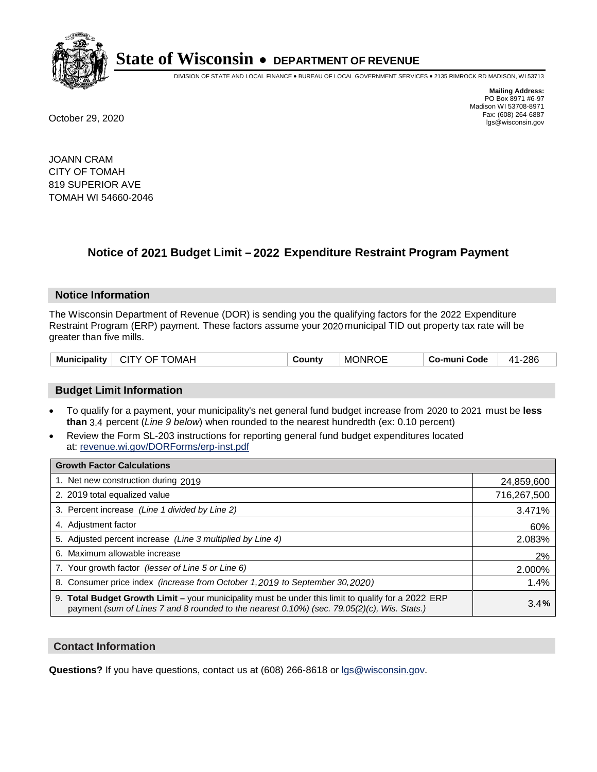

DIVISION OF STATE AND LOCAL FINANCE • BUREAU OF LOCAL GOVERNMENT SERVICES • 2135 RIMROCK RD MADISON, WI 53713

**Mailing Address:** PO Box 8971 #6-97 Madison WI 53708-8971<br>Fax: (608) 264-6887 Fax: (608) 264-6887 October 29, 2020 lgs@wisconsin.gov

JOANN CRAM CITY OF TOMAH 819 SUPERIOR AVE TOMAH WI 54660-2046

### **Notice of 2021 Budget Limit - 2022 Expenditure Restraint Program Payment**

#### **Notice Information**

The Wisconsin Department of Revenue (DOR) is sending you the qualifying factors for the 2022 Expenditure Restraint Program (ERP) payment. These factors assume your 2020 municipal TID out property tax rate will be greater than five mills.

| <b>Municipality</b> | CITY OF TOMAH | County | <b>MONROE</b> | Co-muni Code | 41-286 |
|---------------------|---------------|--------|---------------|--------------|--------|
|---------------------|---------------|--------|---------------|--------------|--------|

#### **Budget Limit Information**

- To qualify for a payment, your municipality's net general fund budget increase from 2020 to 2021 must be less **than** 3.4 percent (*Line 9 below*) when rounded to the nearest hundredth (ex: 0.10 percent)
- Review the Form SL-203 instructions for reporting general fund budget expenditures located at: revenue.wi.gov/DORForms/erp-inst.pdf

| <b>Growth Factor Calculations</b>                                                                                                                                                                  |             |
|----------------------------------------------------------------------------------------------------------------------------------------------------------------------------------------------------|-------------|
| 1. Net new construction during 2019                                                                                                                                                                | 24,859,600  |
| 2. 2019 total equalized value                                                                                                                                                                      | 716,267,500 |
| 3. Percent increase (Line 1 divided by Line 2)                                                                                                                                                     | 3.471%      |
| 4. Adjustment factor                                                                                                                                                                               | 60%         |
| 5. Adjusted percent increase (Line 3 multiplied by Line 4)                                                                                                                                         | 2.083%      |
| 6. Maximum allowable increase                                                                                                                                                                      | 2%          |
| 7. Your growth factor (lesser of Line 5 or Line 6)                                                                                                                                                 | 2.000%      |
| 8. Consumer price index (increase from October 1, 2019 to September 30, 2020)                                                                                                                      | 1.4%        |
| 9. Total Budget Growth Limit - your municipality must be under this limit to qualify for a 2022 ERP<br>payment (sum of Lines 7 and 8 rounded to the nearest 0.10%) (sec. 79.05(2)(c), Wis. Stats.) | 3.4%        |

#### **Contact Information**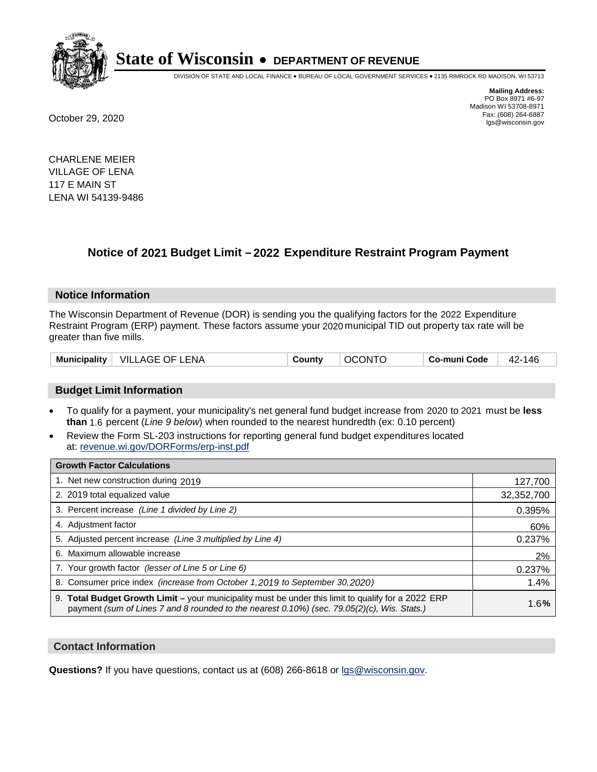

DIVISION OF STATE AND LOCAL FINANCE • BUREAU OF LOCAL GOVERNMENT SERVICES • 2135 RIMROCK RD MADISON, WI 53713

**Mailing Address:** PO Box 8971 #6-97 Madison WI 53708-8971<br>Fax: (608) 264-6887 Fax: (608) 264-6887 October 29, 2020 lgs@wisconsin.gov

CHARLENE MEIER VILLAGE OF LENA 117 E MAIN ST LENA WI 54139-9486

### **Notice of 2021 Budget Limit - 2022 Expenditure Restraint Program Payment**

#### **Notice Information**

The Wisconsin Department of Revenue (DOR) is sending you the qualifying factors for the 2022 Expenditure Restraint Program (ERP) payment. These factors assume your 2020 municipal TID out property tax rate will be greater than five mills.

| <b>Municipality</b> | VILLAGE OF L<br>∟ENA | Countv | <b>DNTC</b><br>$\alpha$ | Co-muni Code | 146<br>42 |
|---------------------|----------------------|--------|-------------------------|--------------|-----------|
|---------------------|----------------------|--------|-------------------------|--------------|-----------|

#### **Budget Limit Information**

- To qualify for a payment, your municipality's net general fund budget increase from 2020 to 2021 must be less **than** 1.6 percent (*Line 9 below*) when rounded to the nearest hundredth (ex: 0.10 percent)
- Review the Form SL-203 instructions for reporting general fund budget expenditures located at: revenue.wi.gov/DORForms/erp-inst.pdf

| <b>Growth Factor Calculations</b>                                                                                                                                                                  |            |
|----------------------------------------------------------------------------------------------------------------------------------------------------------------------------------------------------|------------|
| 1. Net new construction during 2019                                                                                                                                                                | 127,700    |
| 2. 2019 total equalized value                                                                                                                                                                      | 32,352,700 |
| 3. Percent increase (Line 1 divided by Line 2)                                                                                                                                                     | 0.395%     |
| 4. Adjustment factor                                                                                                                                                                               | 60%        |
| 5. Adjusted percent increase (Line 3 multiplied by Line 4)                                                                                                                                         | 0.237%     |
| 6. Maximum allowable increase                                                                                                                                                                      | 2%         |
| 7. Your growth factor (lesser of Line 5 or Line 6)                                                                                                                                                 | 0.237%     |
| 8. Consumer price index (increase from October 1,2019 to September 30,2020)                                                                                                                        | 1.4%       |
| 9. Total Budget Growth Limit - your municipality must be under this limit to qualify for a 2022 ERP<br>payment (sum of Lines 7 and 8 rounded to the nearest 0.10%) (sec. 79.05(2)(c), Wis. Stats.) | 1.6%       |

#### **Contact Information**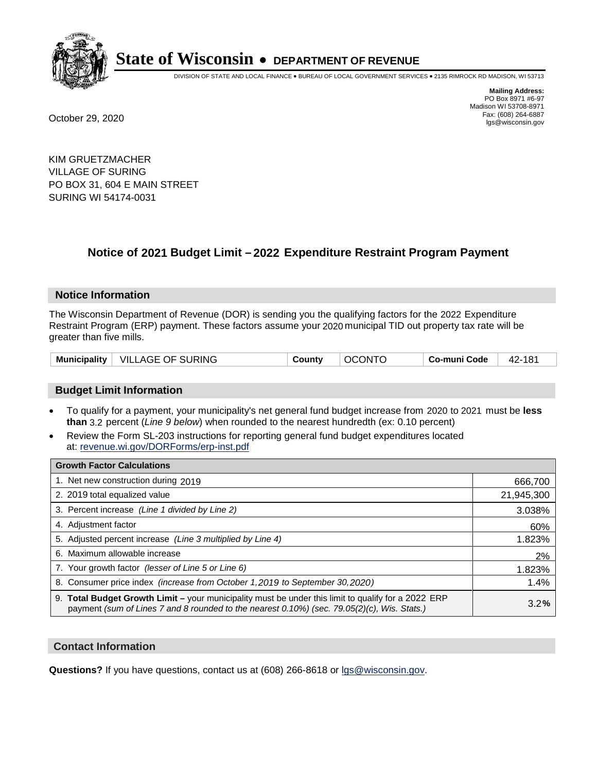

DIVISION OF STATE AND LOCAL FINANCE • BUREAU OF LOCAL GOVERNMENT SERVICES • 2135 RIMROCK RD MADISON, WI 53713

**Mailing Address:** PO Box 8971 #6-97 Madison WI 53708-8971<br>Fax: (608) 264-6887 Fax: (608) 264-6887 October 29, 2020 lgs@wisconsin.gov

KIM GRUETZMACHER VILLAGE OF SURING PO BOX 31, 604 E MAIN STREET SURING WI 54174-0031

### **Notice of 2021 Budget Limit - 2022 Expenditure Restraint Program Payment**

#### **Notice Information**

The Wisconsin Department of Revenue (DOR) is sending you the qualifying factors for the 2022 Expenditure Restraint Program (ERP) payment. These factors assume your 2020 municipal TID out property tax rate will be greater than five mills.

| Municipality   VILLAGE OF SURING | County | <b>OCONTO</b> | Co-muni Code | 42-181 |
|----------------------------------|--------|---------------|--------------|--------|
|----------------------------------|--------|---------------|--------------|--------|

#### **Budget Limit Information**

- To qualify for a payment, your municipality's net general fund budget increase from 2020 to 2021 must be less **than** 3.2 percent (*Line 9 below*) when rounded to the nearest hundredth (ex: 0.10 percent)
- Review the Form SL-203 instructions for reporting general fund budget expenditures located at: revenue.wi.gov/DORForms/erp-inst.pdf

| <b>Growth Factor Calculations</b>                                                                                                                                                                      |            |
|--------------------------------------------------------------------------------------------------------------------------------------------------------------------------------------------------------|------------|
| 1. Net new construction during 2019                                                                                                                                                                    | 666,700    |
| 2. 2019 total equalized value                                                                                                                                                                          | 21,945,300 |
| 3. Percent increase (Line 1 divided by Line 2)                                                                                                                                                         | 3.038%     |
| 4. Adjustment factor                                                                                                                                                                                   | 60%        |
| 5. Adjusted percent increase (Line 3 multiplied by Line 4)                                                                                                                                             | 1.823%     |
| 6. Maximum allowable increase                                                                                                                                                                          | 2%         |
| 7. Your growth factor (lesser of Line 5 or Line 6)                                                                                                                                                     | 1.823%     |
| 8. Consumer price index (increase from October 1, 2019 to September 30, 2020)                                                                                                                          | 1.4%       |
| 9. Total Budget Growth Limit - your municipality must be under this limit to qualify for a 2022 ERP<br>payment (sum of Lines 7 and 8 rounded to the nearest $0.10\%$ ) (sec. 79.05(2)(c), Wis. Stats.) | 3.2%       |

#### **Contact Information**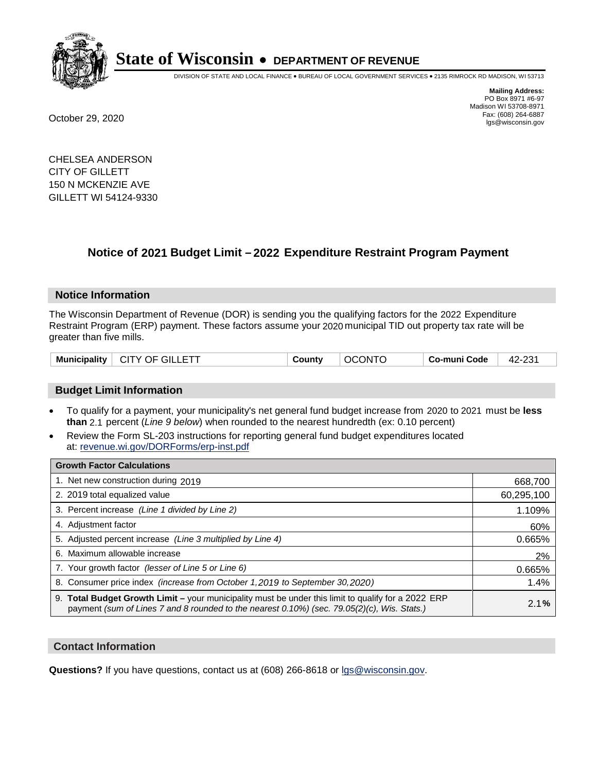

DIVISION OF STATE AND LOCAL FINANCE • BUREAU OF LOCAL GOVERNMENT SERVICES • 2135 RIMROCK RD MADISON, WI 53713

**Mailing Address:** PO Box 8971 #6-97 Madison WI 53708-8971<br>Fax: (608) 264-6887 Fax: (608) 264-6887 October 29, 2020 lgs@wisconsin.gov

CHELSEA ANDERSON CITY OF GILLETT 150 N MCKENZIE AVE GILLETT WI 54124-9330

## **Notice of 2021 Budget Limit - 2022 Expenditure Restraint Program Payment**

#### **Notice Information**

The Wisconsin Department of Revenue (DOR) is sending you the qualifying factors for the 2022 Expenditure Restraint Program (ERP) payment. These factors assume your 2020 municipal TID out property tax rate will be greater than five mills.

|  | <b>Municipality</b> | $\mid$ CITY OF GILLETT | County | <b>OCONTO</b> | Co-muni Code | 42-231 |
|--|---------------------|------------------------|--------|---------------|--------------|--------|
|--|---------------------|------------------------|--------|---------------|--------------|--------|

#### **Budget Limit Information**

- To qualify for a payment, your municipality's net general fund budget increase from 2020 to 2021 must be less **than** 2.1 percent (*Line 9 below*) when rounded to the nearest hundredth (ex: 0.10 percent)
- Review the Form SL-203 instructions for reporting general fund budget expenditures located at: revenue.wi.gov/DORForms/erp-inst.pdf

| <b>Growth Factor Calculations</b>                                                                                                                                                                  |            |
|----------------------------------------------------------------------------------------------------------------------------------------------------------------------------------------------------|------------|
| 1. Net new construction during 2019                                                                                                                                                                | 668,700    |
| 2. 2019 total equalized value                                                                                                                                                                      | 60,295,100 |
| 3. Percent increase (Line 1 divided by Line 2)                                                                                                                                                     | 1.109%     |
| 4. Adjustment factor                                                                                                                                                                               | 60%        |
| 5. Adjusted percent increase (Line 3 multiplied by Line 4)                                                                                                                                         | 0.665%     |
| 6. Maximum allowable increase                                                                                                                                                                      | 2%         |
| 7. Your growth factor (lesser of Line 5 or Line 6)                                                                                                                                                 | 0.665%     |
| 8. Consumer price index (increase from October 1, 2019 to September 30, 2020)                                                                                                                      | 1.4%       |
| 9. Total Budget Growth Limit - your municipality must be under this limit to qualify for a 2022 ERP<br>payment (sum of Lines 7 and 8 rounded to the nearest 0.10%) (sec. 79.05(2)(c), Wis. Stats.) | 2.1%       |

#### **Contact Information**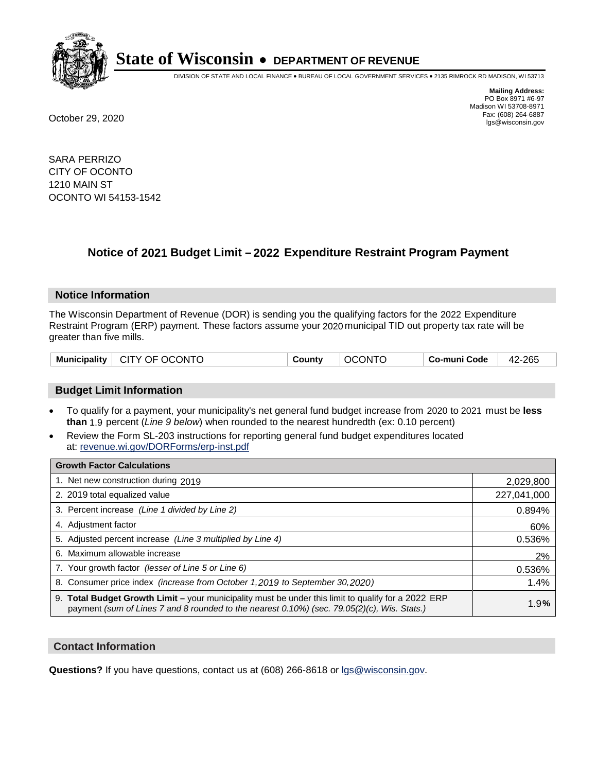

DIVISION OF STATE AND LOCAL FINANCE • BUREAU OF LOCAL GOVERNMENT SERVICES • 2135 RIMROCK RD MADISON, WI 53713

**Mailing Address:** PO Box 8971 #6-97 Madison WI 53708-8971<br>Fax: (608) 264-6887 Fax: (608) 264-6887 October 29, 2020 lgs@wisconsin.gov

SARA PERRIZO CITY OF OCONTO 1210 MAIN ST OCONTO WI 54153-1542

### **Notice of 2021 Budget Limit - 2022 Expenditure Restraint Program Payment**

#### **Notice Information**

The Wisconsin Department of Revenue (DOR) is sending you the qualifying factors for the 2022 Expenditure Restraint Program (ERP) payment. These factors assume your 2020 municipal TID out property tax rate will be greater than five mills.

| Municipality   CITY OF OCONTO | County | <b>OCONTO</b> | Co-muni Code | 42-265 |
|-------------------------------|--------|---------------|--------------|--------|
|-------------------------------|--------|---------------|--------------|--------|

#### **Budget Limit Information**

- To qualify for a payment, your municipality's net general fund budget increase from 2020 to 2021 must be less **than** 1.9 percent (*Line 9 below*) when rounded to the nearest hundredth (ex: 0.10 percent)
- Review the Form SL-203 instructions for reporting general fund budget expenditures located at: revenue.wi.gov/DORForms/erp-inst.pdf

| <b>Growth Factor Calculations</b>                                                                                                                                                                  |             |
|----------------------------------------------------------------------------------------------------------------------------------------------------------------------------------------------------|-------------|
| 1. Net new construction during 2019                                                                                                                                                                | 2,029,800   |
| 2. 2019 total equalized value                                                                                                                                                                      | 227,041,000 |
| 3. Percent increase (Line 1 divided by Line 2)                                                                                                                                                     | 0.894%      |
| 4. Adjustment factor                                                                                                                                                                               | 60%         |
| 5. Adjusted percent increase (Line 3 multiplied by Line 4)                                                                                                                                         | 0.536%      |
| 6. Maximum allowable increase                                                                                                                                                                      | 2%          |
| 7. Your growth factor (lesser of Line 5 or Line 6)                                                                                                                                                 | 0.536%      |
| 8. Consumer price index (increase from October 1, 2019 to September 30, 2020)                                                                                                                      | 1.4%        |
| 9. Total Budget Growth Limit - your municipality must be under this limit to qualify for a 2022 ERP<br>payment (sum of Lines 7 and 8 rounded to the nearest 0.10%) (sec. 79.05(2)(c), Wis. Stats.) | 1.9%        |

#### **Contact Information**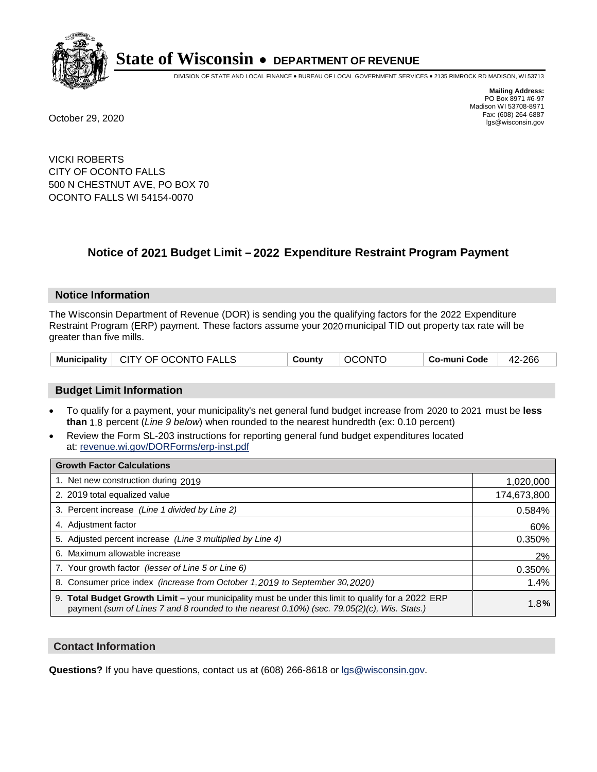

DIVISION OF STATE AND LOCAL FINANCE • BUREAU OF LOCAL GOVERNMENT SERVICES • 2135 RIMROCK RD MADISON, WI 53713

**Mailing Address:** PO Box 8971 #6-97 Madison WI 53708-8971<br>Fax: (608) 264-6887 Fax: (608) 264-6887 October 29, 2020 lgs@wisconsin.gov

VICKI ROBERTS CITY OF OCONTO FALLS 500 N CHESTNUT AVE, PO BOX 70 OCONTO FALLS WI 54154-0070

### **Notice of 2021 Budget Limit - 2022 Expenditure Restraint Program Payment**

#### **Notice Information**

The Wisconsin Department of Revenue (DOR) is sending you the qualifying factors for the 2022 Expenditure Restraint Program (ERP) payment. These factors assume your 2020 municipal TID out property tax rate will be greater than five mills.

#### **Budget Limit Information**

- To qualify for a payment, your municipality's net general fund budget increase from 2020 to 2021 must be less **than** 1.8 percent (*Line 9 below*) when rounded to the nearest hundredth (ex: 0.10 percent)
- Review the Form SL-203 instructions for reporting general fund budget expenditures located at: revenue.wi.gov/DORForms/erp-inst.pdf

| <b>Growth Factor Calculations</b>                                                                                                                                                                      |             |
|--------------------------------------------------------------------------------------------------------------------------------------------------------------------------------------------------------|-------------|
| 1. Net new construction during 2019                                                                                                                                                                    | 1,020,000   |
| 2. 2019 total equalized value                                                                                                                                                                          | 174,673,800 |
| 3. Percent increase (Line 1 divided by Line 2)                                                                                                                                                         | 0.584%      |
| 4. Adjustment factor                                                                                                                                                                                   | 60%         |
| 5. Adjusted percent increase (Line 3 multiplied by Line 4)                                                                                                                                             | 0.350%      |
| 6. Maximum allowable increase                                                                                                                                                                          | 2%          |
| 7. Your growth factor (lesser of Line 5 or Line 6)                                                                                                                                                     | 0.350%      |
| 8. Consumer price index (increase from October 1, 2019 to September 30, 2020)                                                                                                                          | 1.4%        |
| 9. Total Budget Growth Limit - your municipality must be under this limit to qualify for a 2022 ERP<br>payment (sum of Lines 7 and 8 rounded to the nearest $0.10\%$ ) (sec. 79.05(2)(c), Wis. Stats.) | 1.8%        |

#### **Contact Information**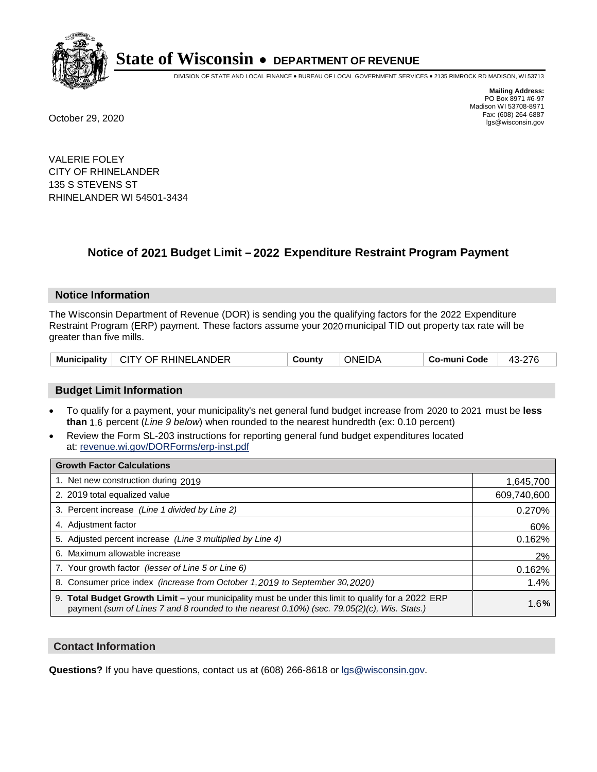

DIVISION OF STATE AND LOCAL FINANCE • BUREAU OF LOCAL GOVERNMENT SERVICES • 2135 RIMROCK RD MADISON, WI 53713

**Mailing Address:** PO Box 8971 #6-97 Madison WI 53708-8971<br>Fax: (608) 264-6887 Fax: (608) 264-6887 October 29, 2020 lgs@wisconsin.gov

VALERIE FOLEY CITY OF RHINELANDER 135 S STEVENS ST RHINELANDER WI 54501-3434

## **Notice of 2021 Budget Limit - 2022 Expenditure Restraint Program Payment**

#### **Notice Information**

The Wisconsin Department of Revenue (DOR) is sending you the qualifying factors for the 2022 Expenditure Restraint Program (ERP) payment. These factors assume your 2020 municipal TID out property tax rate will be greater than five mills.

| <b>Municipality</b><br>CITY OF RHINELANDER | Countv | <b>ONEIDA</b> | Co-muni Code |  |
|--------------------------------------------|--------|---------------|--------------|--|
|--------------------------------------------|--------|---------------|--------------|--|

#### **Budget Limit Information**

- To qualify for a payment, your municipality's net general fund budget increase from 2020 to 2021 must be less **than** 1.6 percent (*Line 9 below*) when rounded to the nearest hundredth (ex: 0.10 percent)
- Review the Form SL-203 instructions for reporting general fund budget expenditures located at: revenue.wi.gov/DORForms/erp-inst.pdf

| <b>Growth Factor Calculations</b>                                                                                                                                                                      |             |
|--------------------------------------------------------------------------------------------------------------------------------------------------------------------------------------------------------|-------------|
| 1. Net new construction during 2019                                                                                                                                                                    | 1,645,700   |
| 2. 2019 total equalized value                                                                                                                                                                          | 609,740,600 |
| 3. Percent increase (Line 1 divided by Line 2)                                                                                                                                                         | 0.270%      |
| 4. Adjustment factor                                                                                                                                                                                   | 60%         |
| 5. Adjusted percent increase (Line 3 multiplied by Line 4)                                                                                                                                             | 0.162%      |
| 6. Maximum allowable increase                                                                                                                                                                          | 2%          |
| 7. Your growth factor (lesser of Line 5 or Line 6)                                                                                                                                                     | 0.162%      |
| 8. Consumer price index (increase from October 1, 2019 to September 30, 2020)                                                                                                                          | 1.4%        |
| 9. Total Budget Growth Limit - your municipality must be under this limit to qualify for a 2022 ERP<br>payment (sum of Lines 7 and 8 rounded to the nearest $0.10\%$ ) (sec. 79.05(2)(c), Wis. Stats.) | 1.6%        |

#### **Contact Information**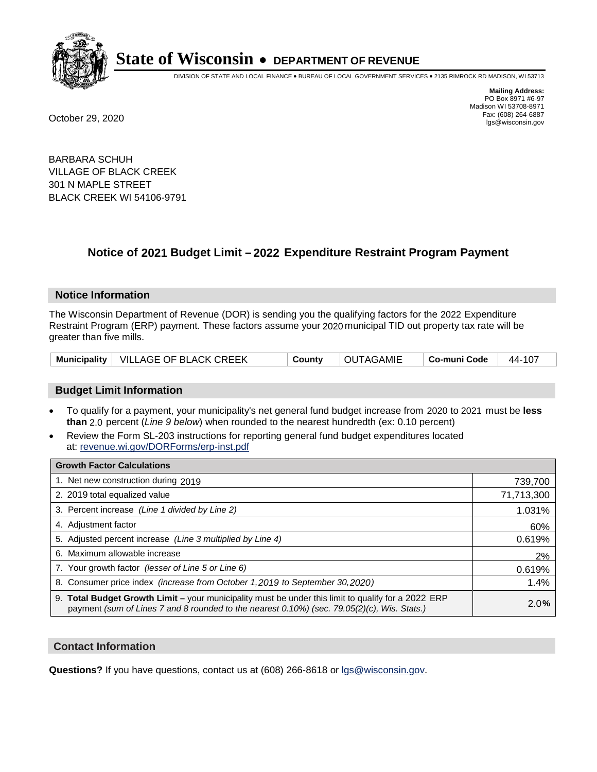

DIVISION OF STATE AND LOCAL FINANCE • BUREAU OF LOCAL GOVERNMENT SERVICES • 2135 RIMROCK RD MADISON, WI 53713

**Mailing Address:** PO Box 8971 #6-97 Madison WI 53708-8971<br>Fax: (608) 264-6887 Fax: (608) 264-6887 October 29, 2020 lgs@wisconsin.gov

BARBARA SCHUH VILLAGE OF BLACK CREEK 301 N MAPLE STREET BLACK CREEK WI 54106-9791

### **Notice of 2021 Budget Limit - 2022 Expenditure Restraint Program Payment**

#### **Notice Information**

The Wisconsin Department of Revenue (DOR) is sending you the qualifying factors for the 2022 Expenditure Restraint Program (ERP) payment. These factors assume your 2020 municipal TID out property tax rate will be greater than five mills.

|  | Municipality   VILLAGE OF BLACK CREEK | County | OUTAGAMIE | Co-muni Code | 44-107 |
|--|---------------------------------------|--------|-----------|--------------|--------|
|--|---------------------------------------|--------|-----------|--------------|--------|

#### **Budget Limit Information**

- To qualify for a payment, your municipality's net general fund budget increase from 2020 to 2021 must be less **than** 2.0 percent (*Line 9 below*) when rounded to the nearest hundredth (ex: 0.10 percent)
- Review the Form SL-203 instructions for reporting general fund budget expenditures located at: revenue.wi.gov/DORForms/erp-inst.pdf

| <b>Growth Factor Calculations</b>                                                                                                                                                                      |            |
|--------------------------------------------------------------------------------------------------------------------------------------------------------------------------------------------------------|------------|
| 1. Net new construction during 2019                                                                                                                                                                    | 739,700    |
| 2. 2019 total equalized value                                                                                                                                                                          | 71,713,300 |
| 3. Percent increase (Line 1 divided by Line 2)                                                                                                                                                         | 1.031%     |
| 4. Adjustment factor                                                                                                                                                                                   | 60%        |
| 5. Adjusted percent increase (Line 3 multiplied by Line 4)                                                                                                                                             | 0.619%     |
| 6. Maximum allowable increase                                                                                                                                                                          | 2%         |
| 7. Your growth factor (lesser of Line 5 or Line 6)                                                                                                                                                     | 0.619%     |
| 8. Consumer price index (increase from October 1, 2019 to September 30, 2020)                                                                                                                          | 1.4%       |
| 9. Total Budget Growth Limit - your municipality must be under this limit to qualify for a 2022 ERP<br>payment (sum of Lines 7 and 8 rounded to the nearest $0.10\%$ ) (sec. 79.05(2)(c), Wis. Stats.) | 2.0%       |

#### **Contact Information**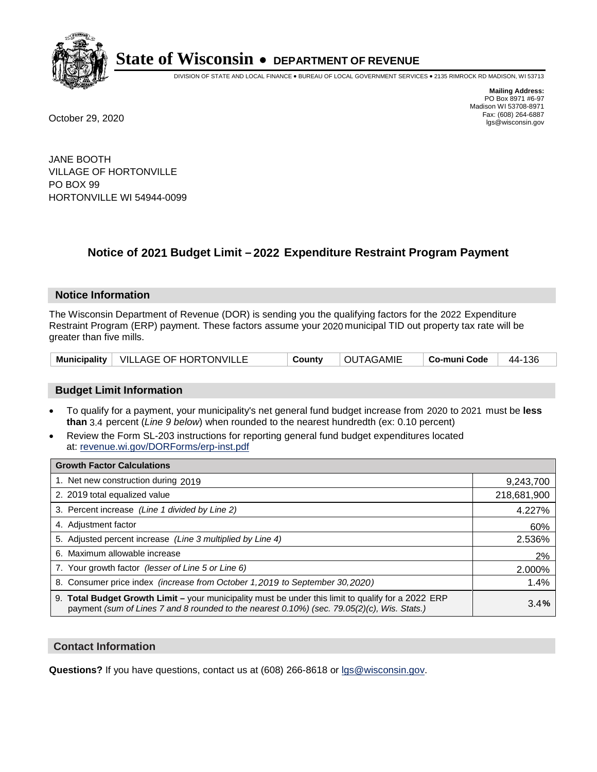

DIVISION OF STATE AND LOCAL FINANCE • BUREAU OF LOCAL GOVERNMENT SERVICES • 2135 RIMROCK RD MADISON, WI 53713

**Mailing Address:** PO Box 8971 #6-97 Madison WI 53708-8971<br>Fax: (608) 264-6887 Fax: (608) 264-6887 October 29, 2020 lgs@wisconsin.gov

JANE BOOTH VILLAGE OF HORTONVILLE PO BOX 99 HORTONVILLE WI 54944-0099

### **Notice of 2021 Budget Limit - 2022 Expenditure Restraint Program Payment**

#### **Notice Information**

The Wisconsin Department of Revenue (DOR) is sending you the qualifying factors for the 2022 Expenditure Restraint Program (ERP) payment. These factors assume your 2020 municipal TID out property tax rate will be greater than five mills.

|  | Municipality   VILLAGE OF HORTONVILLE | County | <b>OUTAGAMIE</b> | Co-muni Code   44-136 |  |
|--|---------------------------------------|--------|------------------|-----------------------|--|
|--|---------------------------------------|--------|------------------|-----------------------|--|

#### **Budget Limit Information**

- To qualify for a payment, your municipality's net general fund budget increase from 2020 to 2021 must be less **than** 3.4 percent (*Line 9 below*) when rounded to the nearest hundredth (ex: 0.10 percent)
- Review the Form SL-203 instructions for reporting general fund budget expenditures located at: revenue.wi.gov/DORForms/erp-inst.pdf

| <b>Growth Factor Calculations</b>                                                                                                                                                                  |             |
|----------------------------------------------------------------------------------------------------------------------------------------------------------------------------------------------------|-------------|
| 1. Net new construction during 2019                                                                                                                                                                | 9,243,700   |
| 2. 2019 total equalized value                                                                                                                                                                      | 218,681,900 |
| 3. Percent increase (Line 1 divided by Line 2)                                                                                                                                                     | 4.227%      |
| 4. Adjustment factor                                                                                                                                                                               | 60%         |
| 5. Adjusted percent increase (Line 3 multiplied by Line 4)                                                                                                                                         | 2.536%      |
| 6. Maximum allowable increase                                                                                                                                                                      | 2%          |
| 7. Your growth factor (lesser of Line 5 or Line 6)                                                                                                                                                 | 2.000%      |
| 8. Consumer price index (increase from October 1, 2019 to September 30, 2020)                                                                                                                      | 1.4%        |
| 9. Total Budget Growth Limit - your municipality must be under this limit to qualify for a 2022 ERP<br>payment (sum of Lines 7 and 8 rounded to the nearest 0.10%) (sec. 79.05(2)(c), Wis. Stats.) | 3.4%        |

#### **Contact Information**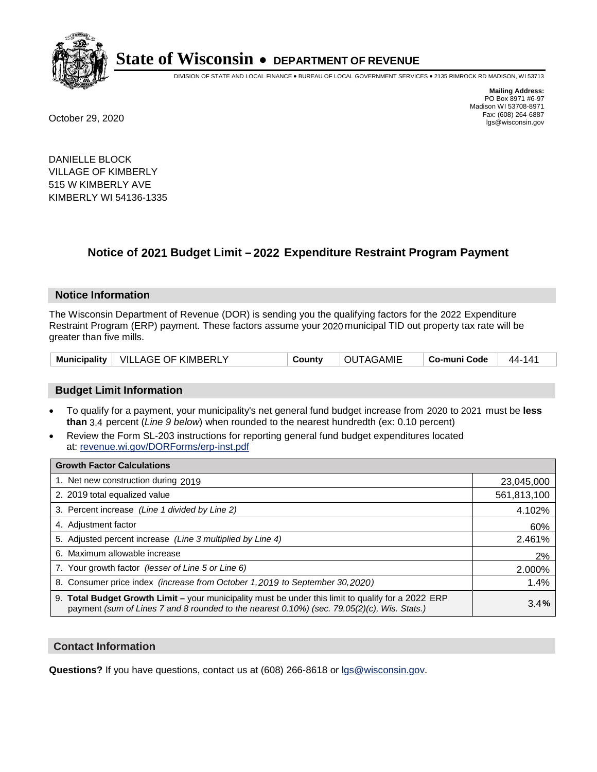

DIVISION OF STATE AND LOCAL FINANCE • BUREAU OF LOCAL GOVERNMENT SERVICES • 2135 RIMROCK RD MADISON, WI 53713

**Mailing Address:** PO Box 8971 #6-97 Madison WI 53708-8971<br>Fax: (608) 264-6887 Fax: (608) 264-6887 October 29, 2020 lgs@wisconsin.gov

DANIELLE BLOCK VILLAGE OF KIMBERLY 515 W KIMBERLY AVE KIMBERLY WI 54136-1335

### **Notice of 2021 Budget Limit - 2022 Expenditure Restraint Program Payment**

#### **Notice Information**

The Wisconsin Department of Revenue (DOR) is sending you the qualifying factors for the 2022 Expenditure Restraint Program (ERP) payment. These factors assume your 2020 municipal TID out property tax rate will be greater than five mills.

|  | Municipality   VILLAGE OF KIMBERLY | County | <b>OUTAGAMIE</b> | ∣ Co-muni Code | 44-141 |
|--|------------------------------------|--------|------------------|----------------|--------|
|--|------------------------------------|--------|------------------|----------------|--------|

#### **Budget Limit Information**

- To qualify for a payment, your municipality's net general fund budget increase from 2020 to 2021 must be less **than** 3.4 percent (*Line 9 below*) when rounded to the nearest hundredth (ex: 0.10 percent)
- Review the Form SL-203 instructions for reporting general fund budget expenditures located at: revenue.wi.gov/DORForms/erp-inst.pdf

| <b>Growth Factor Calculations</b>                                                                                                                                                                  |             |
|----------------------------------------------------------------------------------------------------------------------------------------------------------------------------------------------------|-------------|
| 1. Net new construction during 2019                                                                                                                                                                | 23,045,000  |
| 2. 2019 total equalized value                                                                                                                                                                      | 561,813,100 |
| 3. Percent increase (Line 1 divided by Line 2)                                                                                                                                                     | 4.102%      |
| 4. Adjustment factor                                                                                                                                                                               | 60%         |
| 5. Adjusted percent increase (Line 3 multiplied by Line 4)                                                                                                                                         | 2.461%      |
| 6. Maximum allowable increase                                                                                                                                                                      | 2%          |
| 7. Your growth factor (lesser of Line 5 or Line 6)                                                                                                                                                 | 2.000%      |
| 8. Consumer price index (increase from October 1, 2019 to September 30, 2020)                                                                                                                      | 1.4%        |
| 9. Total Budget Growth Limit - your municipality must be under this limit to qualify for a 2022 ERP<br>payment (sum of Lines 7 and 8 rounded to the nearest 0.10%) (sec. 79.05(2)(c), Wis. Stats.) | 3.4%        |

#### **Contact Information**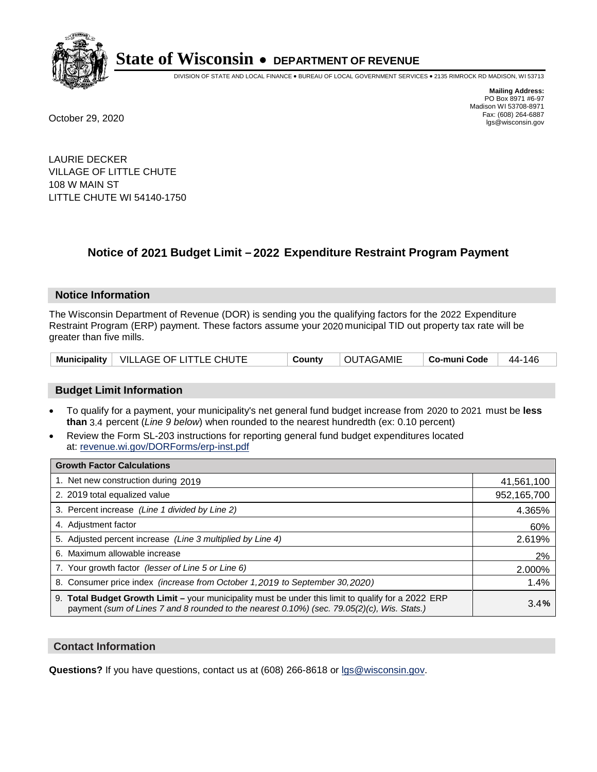

DIVISION OF STATE AND LOCAL FINANCE • BUREAU OF LOCAL GOVERNMENT SERVICES • 2135 RIMROCK RD MADISON, WI 53713

**Mailing Address:** PO Box 8971 #6-97 Madison WI 53708-8971<br>Fax: (608) 264-6887 Fax: (608) 264-6887 October 29, 2020 lgs@wisconsin.gov

LAURIE DECKER VILLAGE OF LITTLE CHUTE 108 W MAIN ST LITTLE CHUTE WI 54140-1750

## **Notice of 2021 Budget Limit - 2022 Expenditure Restraint Program Payment**

#### **Notice Information**

The Wisconsin Department of Revenue (DOR) is sending you the qualifying factors for the 2022 Expenditure Restraint Program (ERP) payment. These factors assume your 2020 municipal TID out property tax rate will be greater than five mills.

|  | Municipality   VILLAGE OF LITTLE CHUTE | County | <b>OUTAGAMIE</b> | │ Co-muni Code │ 44-146 |  |
|--|----------------------------------------|--------|------------------|-------------------------|--|
|--|----------------------------------------|--------|------------------|-------------------------|--|

#### **Budget Limit Information**

- To qualify for a payment, your municipality's net general fund budget increase from 2020 to 2021 must be less **than** 3.4 percent (*Line 9 below*) when rounded to the nearest hundredth (ex: 0.10 percent)
- Review the Form SL-203 instructions for reporting general fund budget expenditures located at: revenue.wi.gov/DORForms/erp-inst.pdf

| <b>Growth Factor Calculations</b>                                                                                                                                                                  |             |
|----------------------------------------------------------------------------------------------------------------------------------------------------------------------------------------------------|-------------|
| 1. Net new construction during 2019                                                                                                                                                                | 41,561,100  |
| 2. 2019 total equalized value                                                                                                                                                                      | 952,165,700 |
| 3. Percent increase (Line 1 divided by Line 2)                                                                                                                                                     | 4.365%      |
| 4. Adjustment factor                                                                                                                                                                               | 60%         |
| 5. Adjusted percent increase (Line 3 multiplied by Line 4)                                                                                                                                         | 2.619%      |
| 6. Maximum allowable increase                                                                                                                                                                      | 2%          |
| 7. Your growth factor (lesser of Line 5 or Line 6)                                                                                                                                                 | 2.000%      |
| 8. Consumer price index (increase from October 1,2019 to September 30,2020)                                                                                                                        | 1.4%        |
| 9. Total Budget Growth Limit - your municipality must be under this limit to qualify for a 2022 ERP<br>payment (sum of Lines 7 and 8 rounded to the nearest 0.10%) (sec. 79.05(2)(c), Wis. Stats.) | 3.4%        |

#### **Contact Information**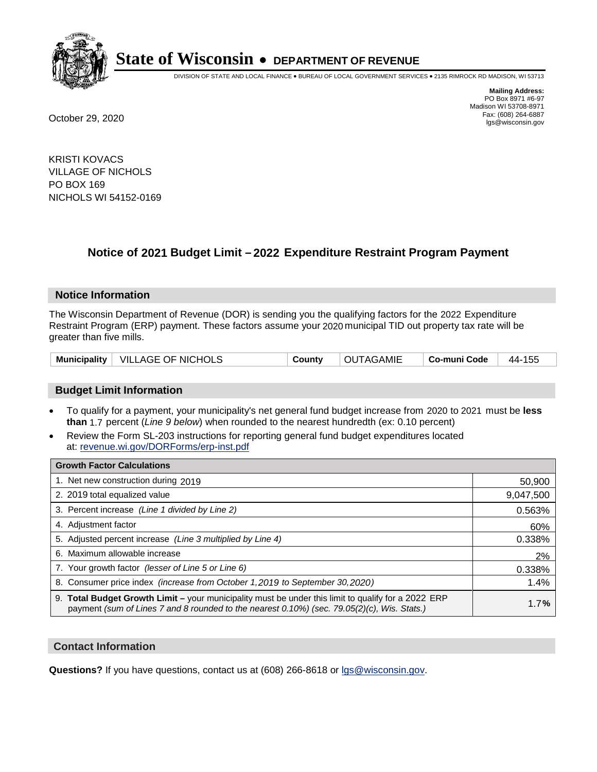

DIVISION OF STATE AND LOCAL FINANCE • BUREAU OF LOCAL GOVERNMENT SERVICES • 2135 RIMROCK RD MADISON, WI 53713

**Mailing Address:** PO Box 8971 #6-97 Madison WI 53708-8971<br>Fax: (608) 264-6887 Fax: (608) 264-6887 October 29, 2020 lgs@wisconsin.gov

KRISTI KOVACS VILLAGE OF NICHOLS PO BOX 169 NICHOLS WI 54152-0169

## **Notice of 2021 Budget Limit - 2022 Expenditure Restraint Program Payment**

#### **Notice Information**

The Wisconsin Department of Revenue (DOR) is sending you the qualifying factors for the 2022 Expenditure Restraint Program (ERP) payment. These factors assume your 2020 municipal TID out property tax rate will be greater than five mills.

| Municipality   VILLAGE OF NICHOLS | County | OUTAGAMIE | ∣ Co-muni Code | 44-155 |
|-----------------------------------|--------|-----------|----------------|--------|
|-----------------------------------|--------|-----------|----------------|--------|

### **Budget Limit Information**

- To qualify for a payment, your municipality's net general fund budget increase from 2020 to 2021 must be less **than** 1.7 percent (*Line 9 below*) when rounded to the nearest hundredth (ex: 0.10 percent)
- Review the Form SL-203 instructions for reporting general fund budget expenditures located at: revenue.wi.gov/DORForms/erp-inst.pdf

| <b>Growth Factor Calculations</b>                                                                                                                                                                      |           |
|--------------------------------------------------------------------------------------------------------------------------------------------------------------------------------------------------------|-----------|
| 1. Net new construction during 2019                                                                                                                                                                    | 50,900    |
| 2. 2019 total equalized value                                                                                                                                                                          | 9,047,500 |
| 3. Percent increase (Line 1 divided by Line 2)                                                                                                                                                         | 0.563%    |
| 4. Adjustment factor                                                                                                                                                                                   | 60%       |
| 5. Adjusted percent increase (Line 3 multiplied by Line 4)                                                                                                                                             | 0.338%    |
| 6. Maximum allowable increase                                                                                                                                                                          | 2%        |
| 7. Your growth factor (lesser of Line 5 or Line 6)                                                                                                                                                     | 0.338%    |
| 8. Consumer price index (increase from October 1, 2019 to September 30, 2020)                                                                                                                          | 1.4%      |
| 9. Total Budget Growth Limit - your municipality must be under this limit to qualify for a 2022 ERP<br>payment (sum of Lines 7 and 8 rounded to the nearest $0.10\%$ ) (sec. 79.05(2)(c), Wis. Stats.) | 1.7%      |

#### **Contact Information**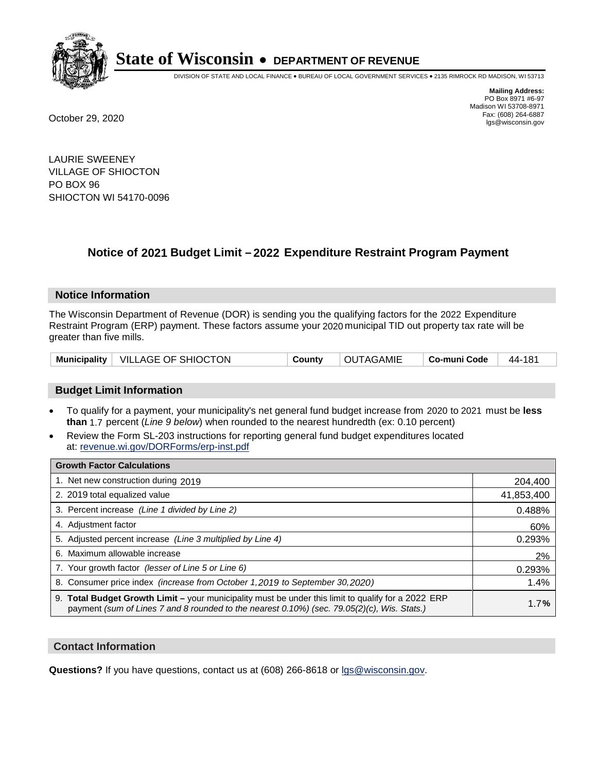

DIVISION OF STATE AND LOCAL FINANCE • BUREAU OF LOCAL GOVERNMENT SERVICES • 2135 RIMROCK RD MADISON, WI 53713

**Mailing Address:** PO Box 8971 #6-97 Madison WI 53708-8971<br>Fax: (608) 264-6887 Fax: (608) 264-6887 October 29, 2020 lgs@wisconsin.gov

LAURIE SWEENEY VILLAGE OF SHIOCTON PO BOX 96 SHIOCTON WI 54170-0096

## **Notice of 2021 Budget Limit - 2022 Expenditure Restraint Program Payment**

#### **Notice Information**

The Wisconsin Department of Revenue (DOR) is sending you the qualifying factors for the 2022 Expenditure Restraint Program (ERP) payment. These factors assume your 2020 municipal TID out property tax rate will be greater than five mills.

| Municipality   VILLAGE OF SHIOCTON<br>County | OUTAGAMIE | ∣ Co-muni Code ⊥ | $^+$ 44-181 |
|----------------------------------------------|-----------|------------------|-------------|
|----------------------------------------------|-----------|------------------|-------------|

### **Budget Limit Information**

- To qualify for a payment, your municipality's net general fund budget increase from 2020 to 2021 must be less **than** 1.7 percent (*Line 9 below*) when rounded to the nearest hundredth (ex: 0.10 percent)
- Review the Form SL-203 instructions for reporting general fund budget expenditures located at: revenue.wi.gov/DORForms/erp-inst.pdf

| <b>Growth Factor Calculations</b>                                                                                                                                                                      |            |
|--------------------------------------------------------------------------------------------------------------------------------------------------------------------------------------------------------|------------|
| 1. Net new construction during 2019                                                                                                                                                                    | 204,400    |
| 2. 2019 total equalized value                                                                                                                                                                          | 41,853,400 |
| 3. Percent increase (Line 1 divided by Line 2)                                                                                                                                                         | 0.488%     |
| 4. Adjustment factor                                                                                                                                                                                   | 60%        |
| 5. Adjusted percent increase (Line 3 multiplied by Line 4)                                                                                                                                             | 0.293%     |
| 6. Maximum allowable increase                                                                                                                                                                          | 2%         |
| 7. Your growth factor (lesser of Line 5 or Line 6)                                                                                                                                                     | 0.293%     |
| 8. Consumer price index (increase from October 1,2019 to September 30,2020)                                                                                                                            | 1.4%       |
| 9. Total Budget Growth Limit - your municipality must be under this limit to qualify for a 2022 ERP<br>payment (sum of Lines 7 and 8 rounded to the nearest $0.10\%$ ) (sec. 79.05(2)(c), Wis. Stats.) | 1.7%       |

#### **Contact Information**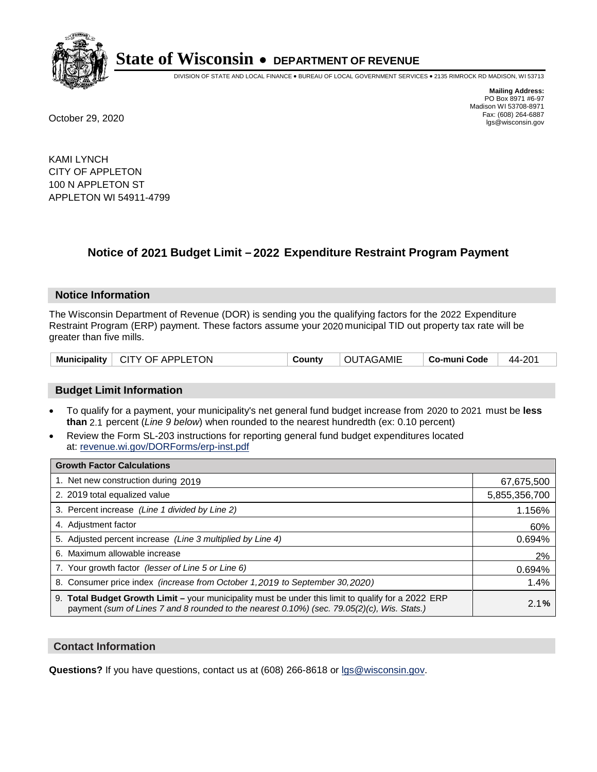

DIVISION OF STATE AND LOCAL FINANCE • BUREAU OF LOCAL GOVERNMENT SERVICES • 2135 RIMROCK RD MADISON, WI 53713

**Mailing Address:** PO Box 8971 #6-97 Madison WI 53708-8971<br>Fax: (608) 264-6887 Fax: (608) 264-6887 October 29, 2020 lgs@wisconsin.gov

KAMI LYNCH CITY OF APPLETON 100 N APPLETON ST APPLETON WI 54911-4799

## **Notice of 2021 Budget Limit - 2022 Expenditure Restraint Program Payment**

#### **Notice Information**

The Wisconsin Department of Revenue (DOR) is sending you the qualifying factors for the 2022 Expenditure Restraint Program (ERP) payment. These factors assume your 2020 municipal TID out property tax rate will be greater than five mills.

| Municipality   CITY OF APPLETON | County | OUTAGAMIE | ∣ Co-muni Code | 44-201 |
|---------------------------------|--------|-----------|----------------|--------|
|---------------------------------|--------|-----------|----------------|--------|

#### **Budget Limit Information**

- To qualify for a payment, your municipality's net general fund budget increase from 2020 to 2021 must be less **than** 2.1 percent (*Line 9 below*) when rounded to the nearest hundredth (ex: 0.10 percent)
- Review the Form SL-203 instructions for reporting general fund budget expenditures located at: revenue.wi.gov/DORForms/erp-inst.pdf

| <b>Growth Factor Calculations</b>                                                                                                                                                                  |               |
|----------------------------------------------------------------------------------------------------------------------------------------------------------------------------------------------------|---------------|
| 1. Net new construction during 2019                                                                                                                                                                | 67,675,500    |
| 2. 2019 total equalized value                                                                                                                                                                      | 5,855,356,700 |
| 3. Percent increase (Line 1 divided by Line 2)                                                                                                                                                     | 1.156%        |
| 4. Adjustment factor                                                                                                                                                                               | 60%           |
| 5. Adjusted percent increase (Line 3 multiplied by Line 4)                                                                                                                                         | 0.694%        |
| 6. Maximum allowable increase                                                                                                                                                                      | 2%            |
| 7. Your growth factor (lesser of Line 5 or Line 6)                                                                                                                                                 | 0.694%        |
| 8. Consumer price index (increase from October 1,2019 to September 30,2020)                                                                                                                        | 1.4%          |
| 9. Total Budget Growth Limit - your municipality must be under this limit to qualify for a 2022 ERP<br>payment (sum of Lines 7 and 8 rounded to the nearest 0.10%) (sec. 79.05(2)(c), Wis. Stats.) | 2.1%          |

#### **Contact Information**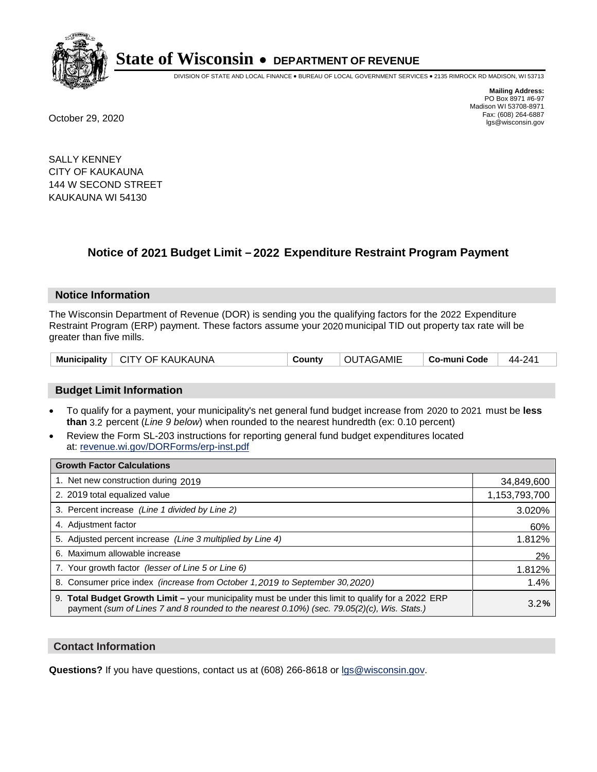

DIVISION OF STATE AND LOCAL FINANCE • BUREAU OF LOCAL GOVERNMENT SERVICES • 2135 RIMROCK RD MADISON, WI 53713

**Mailing Address:** PO Box 8971 #6-97 Madison WI 53708-8971<br>Fax: (608) 264-6887 Fax: (608) 264-6887 October 29, 2020 lgs@wisconsin.gov

SALLY KENNEY CITY OF KAUKAUNA 144 W SECOND STREET KAUKAUNA WI 54130

### **Notice of 2021 Budget Limit - 2022 Expenditure Restraint Program Payment**

#### **Notice Information**

The Wisconsin Department of Revenue (DOR) is sending you the qualifying factors for the 2022 Expenditure Restraint Program (ERP) payment. These factors assume your 2020 municipal TID out property tax rate will be greater than five mills.

| Municipality | ∣ CITY OF KAUKAUNA | County | OUTAGAMIE | Co-muni Code | 44-241 |
|--------------|--------------------|--------|-----------|--------------|--------|
|--------------|--------------------|--------|-----------|--------------|--------|

### **Budget Limit Information**

- To qualify for a payment, your municipality's net general fund budget increase from 2020 to 2021 must be less **than** 3.2 percent (*Line 9 below*) when rounded to the nearest hundredth (ex: 0.10 percent)
- Review the Form SL-203 instructions for reporting general fund budget expenditures located at: revenue.wi.gov/DORForms/erp-inst.pdf

| <b>Growth Factor Calculations</b>                                                                                                                                                                  |               |
|----------------------------------------------------------------------------------------------------------------------------------------------------------------------------------------------------|---------------|
| 1. Net new construction during 2019                                                                                                                                                                | 34,849,600    |
| 2. 2019 total equalized value                                                                                                                                                                      | 1,153,793,700 |
| 3. Percent increase (Line 1 divided by Line 2)                                                                                                                                                     | 3.020%        |
| 4. Adjustment factor                                                                                                                                                                               | 60%           |
| 5. Adjusted percent increase (Line 3 multiplied by Line 4)                                                                                                                                         | 1.812%        |
| 6. Maximum allowable increase                                                                                                                                                                      | 2%            |
| 7. Your growth factor (lesser of Line 5 or Line 6)                                                                                                                                                 | 1.812%        |
| 8. Consumer price index (increase from October 1,2019 to September 30,2020)                                                                                                                        | 1.4%          |
| 9. Total Budget Growth Limit - your municipality must be under this limit to qualify for a 2022 ERP<br>payment (sum of Lines 7 and 8 rounded to the nearest 0.10%) (sec. 79.05(2)(c), Wis. Stats.) | 3.2%          |

#### **Contact Information**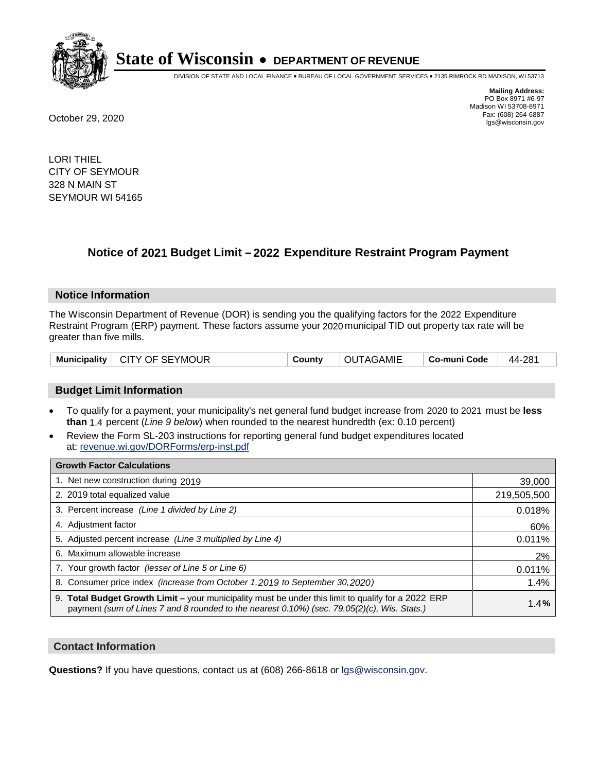

DIVISION OF STATE AND LOCAL FINANCE • BUREAU OF LOCAL GOVERNMENT SERVICES • 2135 RIMROCK RD MADISON, WI 53713

**Mailing Address:** PO Box 8971 #6-97 Madison WI 53708-8971<br>Fax: (608) 264-6887 Fax: (608) 264-6887 October 29, 2020 lgs@wisconsin.gov

LORI THIEL CITY OF SEYMOUR 328 N MAIN ST SEYMOUR WI 54165

### **Notice of 2021 Budget Limit - 2022 Expenditure Restraint Program Payment**

#### **Notice Information**

The Wisconsin Department of Revenue (DOR) is sending you the qualifying factors for the 2022 Expenditure Restraint Program (ERP) payment. These factors assume your 2020 municipal TID out property tax rate will be greater than five mills.

| Municipality   CITY OF SEYMOUR | County | OUTAGAMIE | $\vert$ Co-muni Code $\vert$ 44-281 |  |
|--------------------------------|--------|-----------|-------------------------------------|--|
|--------------------------------|--------|-----------|-------------------------------------|--|

### **Budget Limit Information**

- To qualify for a payment, your municipality's net general fund budget increase from 2020 to 2021 must be less **than** 1.4 percent (*Line 9 below*) when rounded to the nearest hundredth (ex: 0.10 percent)
- Review the Form SL-203 instructions for reporting general fund budget expenditures located at: revenue.wi.gov/DORForms/erp-inst.pdf

| <b>Growth Factor Calculations</b>                                                                                                                                                                  |             |
|----------------------------------------------------------------------------------------------------------------------------------------------------------------------------------------------------|-------------|
| 1. Net new construction during 2019                                                                                                                                                                | 39,000      |
| 2. 2019 total equalized value                                                                                                                                                                      | 219,505,500 |
| 3. Percent increase (Line 1 divided by Line 2)                                                                                                                                                     | 0.018%      |
| 4. Adiustment factor                                                                                                                                                                               | 60%         |
| 5. Adjusted percent increase (Line 3 multiplied by Line 4)                                                                                                                                         | 0.011%      |
| Maximum allowable increase<br>6.                                                                                                                                                                   | 2%          |
| 7. Your growth factor (lesser of Line 5 or Line 6)                                                                                                                                                 | 0.011%      |
| 8. Consumer price index (increase from October 1,2019 to September 30,2020)                                                                                                                        | 1.4%        |
| 9. Total Budget Growth Limit - your municipality must be under this limit to qualify for a 2022 ERP<br>payment (sum of Lines 7 and 8 rounded to the nearest 0.10%) (sec. 79.05(2)(c), Wis. Stats.) | 1.4%        |

#### **Contact Information**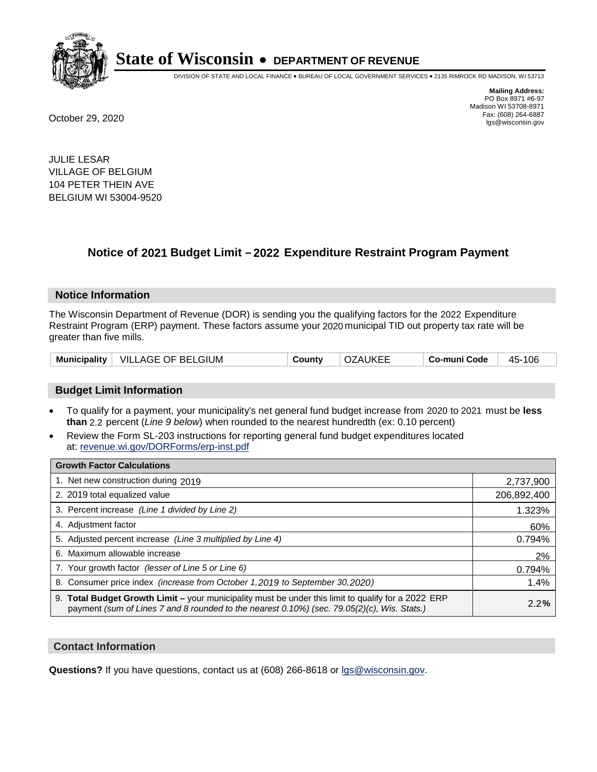

DIVISION OF STATE AND LOCAL FINANCE • BUREAU OF LOCAL GOVERNMENT SERVICES • 2135 RIMROCK RD MADISON, WI 53713

**Mailing Address:** PO Box 8971 #6-97 Madison WI 53708-8971<br>Fax: (608) 264-6887 Fax: (608) 264-6887 October 29, 2020 lgs@wisconsin.gov

JULIE LESAR VILLAGE OF BELGIUM 104 PETER THEIN AVE BELGIUM WI 53004-9520

### **Notice of 2021 Budget Limit - 2022 Expenditure Restraint Program Payment**

#### **Notice Information**

The Wisconsin Department of Revenue (DOR) is sending you the qualifying factors for the 2022 Expenditure Restraint Program (ERP) payment. These factors assume your 2020 municipal TID out property tax rate will be greater than five mills.

### **Budget Limit Information**

- To qualify for a payment, your municipality's net general fund budget increase from 2020 to 2021 must be less **than** 2.2 percent (*Line 9 below*) when rounded to the nearest hundredth (ex: 0.10 percent)
- Review the Form SL-203 instructions for reporting general fund budget expenditures located at: revenue.wi.gov/DORForms/erp-inst.pdf

| <b>Growth Factor Calculations</b>                                                                                                                                                                  |             |
|----------------------------------------------------------------------------------------------------------------------------------------------------------------------------------------------------|-------------|
| 1. Net new construction during 2019                                                                                                                                                                | 2,737,900   |
| 2. 2019 total equalized value                                                                                                                                                                      | 206,892,400 |
| 3. Percent increase (Line 1 divided by Line 2)                                                                                                                                                     | 1.323%      |
| 4. Adjustment factor                                                                                                                                                                               | 60%         |
| 5. Adjusted percent increase (Line 3 multiplied by Line 4)                                                                                                                                         | 0.794%      |
| 6. Maximum allowable increase                                                                                                                                                                      | 2%          |
| 7. Your growth factor (lesser of Line 5 or Line 6)                                                                                                                                                 | 0.794%      |
| 8. Consumer price index (increase from October 1, 2019 to September 30, 2020)                                                                                                                      | 1.4%        |
| 9. Total Budget Growth Limit - your municipality must be under this limit to qualify for a 2022 ERP<br>payment (sum of Lines 7 and 8 rounded to the nearest 0.10%) (sec. 79.05(2)(c), Wis. Stats.) | 2.2%        |

#### **Contact Information**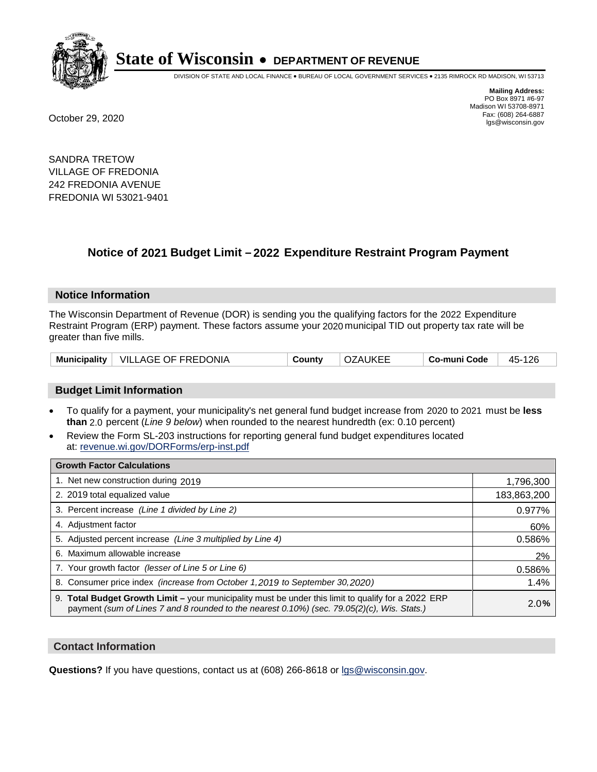

DIVISION OF STATE AND LOCAL FINANCE • BUREAU OF LOCAL GOVERNMENT SERVICES • 2135 RIMROCK RD MADISON, WI 53713

**Mailing Address:** PO Box 8971 #6-97 Madison WI 53708-8971<br>Fax: (608) 264-6887 Fax: (608) 264-6887 October 29, 2020 lgs@wisconsin.gov

SANDRA TRETOW VILLAGE OF FREDONIA 242 FREDONIA AVENUE FREDONIA WI 53021-9401

## **Notice of 2021 Budget Limit - 2022 Expenditure Restraint Program Payment**

#### **Notice Information**

The Wisconsin Department of Revenue (DOR) is sending you the qualifying factors for the 2022 Expenditure Restraint Program (ERP) payment. These factors assume your 2020 municipal TID out property tax rate will be greater than five mills.

|  | Municipality   VILLAGE OF FREDONIA | Countv | OZAUKEE | . Co-muni Code | 45-126 |
|--|------------------------------------|--------|---------|----------------|--------|
|--|------------------------------------|--------|---------|----------------|--------|

### **Budget Limit Information**

- To qualify for a payment, your municipality's net general fund budget increase from 2020 to 2021 must be less **than** 2.0 percent (*Line 9 below*) when rounded to the nearest hundredth (ex: 0.10 percent)
- Review the Form SL-203 instructions for reporting general fund budget expenditures located at: revenue.wi.gov/DORForms/erp-inst.pdf

| <b>Growth Factor Calculations</b>                                                                                                                                                                  |             |
|----------------------------------------------------------------------------------------------------------------------------------------------------------------------------------------------------|-------------|
| 1. Net new construction during 2019                                                                                                                                                                | 1,796,300   |
| 2. 2019 total equalized value                                                                                                                                                                      | 183,863,200 |
| 3. Percent increase (Line 1 divided by Line 2)                                                                                                                                                     | 0.977%      |
| 4. Adiustment factor                                                                                                                                                                               | 60%         |
| 5. Adjusted percent increase (Line 3 multiplied by Line 4)                                                                                                                                         | 0.586%      |
| 6. Maximum allowable increase                                                                                                                                                                      | 2%          |
| 7. Your growth factor (lesser of Line 5 or Line 6)                                                                                                                                                 | 0.586%      |
| 8. Consumer price index (increase from October 1,2019 to September 30,2020)                                                                                                                        | 1.4%        |
| 9. Total Budget Growth Limit - your municipality must be under this limit to qualify for a 2022 ERP<br>payment (sum of Lines 7 and 8 rounded to the nearest 0.10%) (sec. 79.05(2)(c), Wis. Stats.) | 2.0%        |

#### **Contact Information**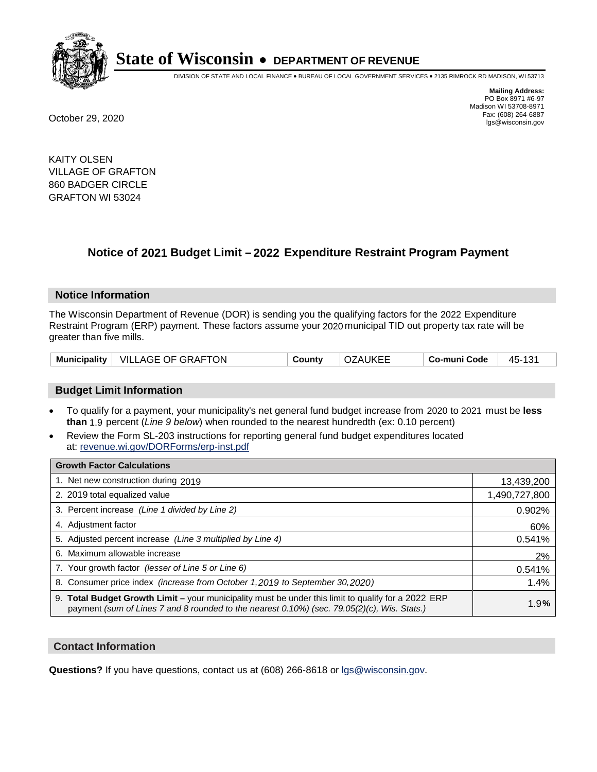

DIVISION OF STATE AND LOCAL FINANCE • BUREAU OF LOCAL GOVERNMENT SERVICES • 2135 RIMROCK RD MADISON, WI 53713

**Mailing Address:** PO Box 8971 #6-97 Madison WI 53708-8971<br>Fax: (608) 264-6887 Fax: (608) 264-6887 October 29, 2020 lgs@wisconsin.gov

KAITY OLSEN VILLAGE OF GRAFTON 860 BADGER CIRCLE GRAFTON WI 53024

### **Notice of 2021 Budget Limit - 2022 Expenditure Restraint Program Payment**

#### **Notice Information**

The Wisconsin Department of Revenue (DOR) is sending you the qualifying factors for the 2022 Expenditure Restraint Program (ERP) payment. These factors assume your 2020 municipal TID out property tax rate will be greater than five mills.

|  | Municipality   VILLAGE OF GRAFTON | County | <b>OZAUKEE</b> | Co-muni Code | 45-131 |
|--|-----------------------------------|--------|----------------|--------------|--------|
|--|-----------------------------------|--------|----------------|--------------|--------|

### **Budget Limit Information**

- To qualify for a payment, your municipality's net general fund budget increase from 2020 to 2021 must be less **than** 1.9 percent (*Line 9 below*) when rounded to the nearest hundredth (ex: 0.10 percent)
- Review the Form SL-203 instructions for reporting general fund budget expenditures located at: revenue.wi.gov/DORForms/erp-inst.pdf

| <b>Growth Factor Calculations</b>                                                                                                                                                                  |               |
|----------------------------------------------------------------------------------------------------------------------------------------------------------------------------------------------------|---------------|
| 1. Net new construction during 2019                                                                                                                                                                | 13,439,200    |
| 2. 2019 total equalized value                                                                                                                                                                      | 1,490,727,800 |
| 3. Percent increase (Line 1 divided by Line 2)                                                                                                                                                     | 0.902%        |
| 4. Adjustment factor                                                                                                                                                                               | 60%           |
| 5. Adjusted percent increase (Line 3 multiplied by Line 4)                                                                                                                                         | 0.541%        |
| Maximum allowable increase<br>6.                                                                                                                                                                   | 2%            |
| 7. Your growth factor (lesser of Line 5 or Line 6)                                                                                                                                                 | 0.541%        |
| 8. Consumer price index (increase from October 1, 2019 to September 30, 2020)                                                                                                                      | 1.4%          |
| 9. Total Budget Growth Limit - your municipality must be under this limit to qualify for a 2022 ERP<br>payment (sum of Lines 7 and 8 rounded to the nearest 0.10%) (sec. 79.05(2)(c), Wis. Stats.) | 1.9%          |

#### **Contact Information**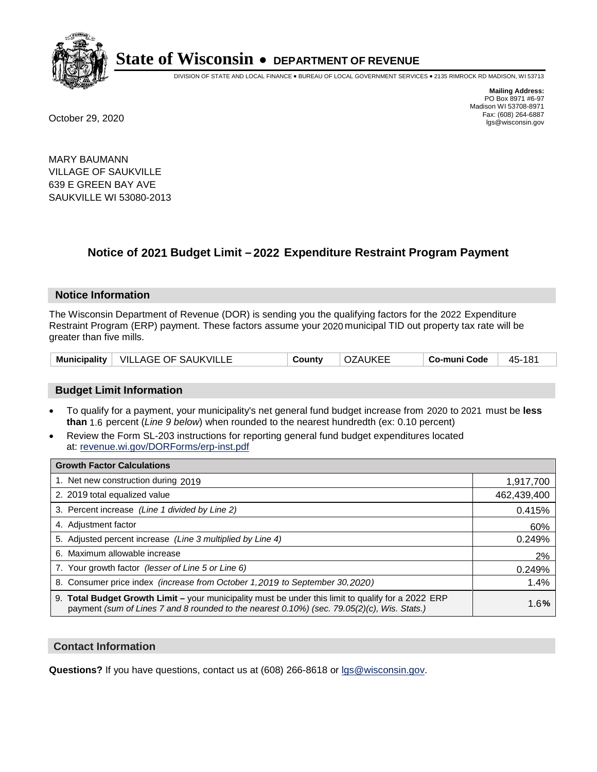

DIVISION OF STATE AND LOCAL FINANCE • BUREAU OF LOCAL GOVERNMENT SERVICES • 2135 RIMROCK RD MADISON, WI 53713

**Mailing Address:** PO Box 8971 #6-97 Madison WI 53708-8971<br>Fax: (608) 264-6887 Fax: (608) 264-6887 October 29, 2020 lgs@wisconsin.gov

MARY BAUMANN VILLAGE OF SAUKVILLE 639 E GREEN BAY AVE SAUKVILLE WI 53080-2013

## **Notice of 2021 Budget Limit - 2022 Expenditure Restraint Program Payment**

#### **Notice Information**

The Wisconsin Department of Revenue (DOR) is sending you the qualifying factors for the 2022 Expenditure Restraint Program (ERP) payment. These factors assume your 2020 municipal TID out property tax rate will be greater than five mills.

|  | Municipality   VILLAGE OF SAUKVILLE | County | <b>OZAUKEE</b> | Co-muni Code | 45-181 |
|--|-------------------------------------|--------|----------------|--------------|--------|
|--|-------------------------------------|--------|----------------|--------------|--------|

### **Budget Limit Information**

- To qualify for a payment, your municipality's net general fund budget increase from 2020 to 2021 must be less **than** 1.6 percent (*Line 9 below*) when rounded to the nearest hundredth (ex: 0.10 percent)
- Review the Form SL-203 instructions for reporting general fund budget expenditures located at: revenue.wi.gov/DORForms/erp-inst.pdf

| <b>Growth Factor Calculations</b>                                                                                                                                                                  |             |
|----------------------------------------------------------------------------------------------------------------------------------------------------------------------------------------------------|-------------|
| 1. Net new construction during 2019                                                                                                                                                                | 1,917,700   |
| 2. 2019 total equalized value                                                                                                                                                                      | 462,439,400 |
| 3. Percent increase (Line 1 divided by Line 2)                                                                                                                                                     | 0.415%      |
| 4. Adjustment factor                                                                                                                                                                               | 60%         |
| 5. Adjusted percent increase (Line 3 multiplied by Line 4)                                                                                                                                         | 0.249%      |
| 6. Maximum allowable increase                                                                                                                                                                      | 2%          |
| 7. Your growth factor (lesser of Line 5 or Line 6)                                                                                                                                                 | 0.249%      |
| 8. Consumer price index (increase from October 1, 2019 to September 30, 2020)                                                                                                                      | 1.4%        |
| 9. Total Budget Growth Limit - your municipality must be under this limit to qualify for a 2022 ERP<br>payment (sum of Lines 7 and 8 rounded to the nearest 0.10%) (sec. 79.05(2)(c), Wis. Stats.) | 1.6%        |

#### **Contact Information**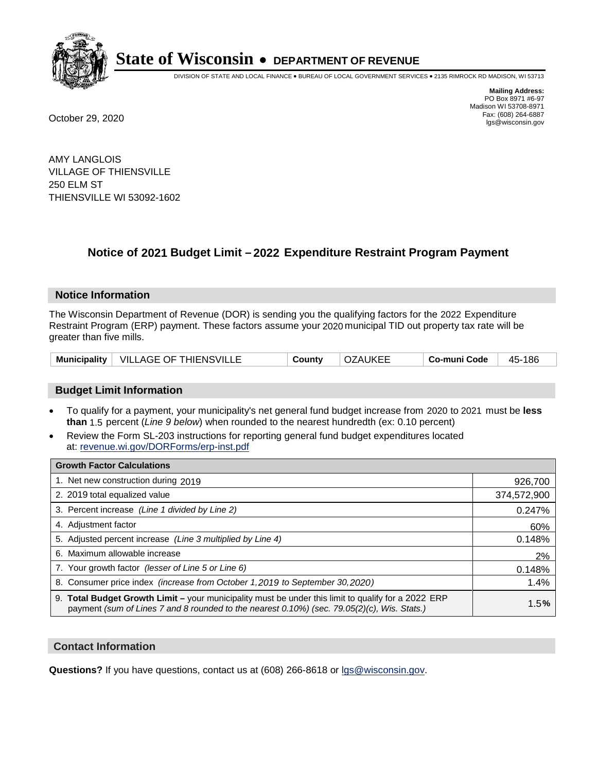

DIVISION OF STATE AND LOCAL FINANCE • BUREAU OF LOCAL GOVERNMENT SERVICES • 2135 RIMROCK RD MADISON, WI 53713

**Mailing Address:** PO Box 8971 #6-97 Madison WI 53708-8971<br>Fax: (608) 264-6887 Fax: (608) 264-6887 October 29, 2020 lgs@wisconsin.gov

AMY LANGLOIS VILLAGE OF THIENSVILLE 250 ELM ST THIENSVILLE WI 53092-1602

### **Notice of 2021 Budget Limit - 2022 Expenditure Restraint Program Payment**

#### **Notice Information**

The Wisconsin Department of Revenue (DOR) is sending you the qualifying factors for the 2022 Expenditure Restraint Program (ERP) payment. These factors assume your 2020 municipal TID out property tax rate will be greater than five mills.

| Municipality   VILLAGE OF THIENSVILLE |  | County | OZAUKEE | Co-muni Code | 45-186 |
|---------------------------------------|--|--------|---------|--------------|--------|
|---------------------------------------|--|--------|---------|--------------|--------|

### **Budget Limit Information**

- To qualify for a payment, your municipality's net general fund budget increase from 2020 to 2021 must be less **than** 1.5 percent (*Line 9 below*) when rounded to the nearest hundredth (ex: 0.10 percent)
- Review the Form SL-203 instructions for reporting general fund budget expenditures located at: revenue.wi.gov/DORForms/erp-inst.pdf

| <b>Growth Factor Calculations</b>                                                                                                                                                                      |             |
|--------------------------------------------------------------------------------------------------------------------------------------------------------------------------------------------------------|-------------|
| 1. Net new construction during 2019                                                                                                                                                                    | 926,700     |
| 2. 2019 total equalized value                                                                                                                                                                          | 374,572,900 |
| 3. Percent increase (Line 1 divided by Line 2)                                                                                                                                                         | 0.247%      |
| 4. Adjustment factor                                                                                                                                                                                   | 60%         |
| 5. Adjusted percent increase (Line 3 multiplied by Line 4)                                                                                                                                             | 0.148%      |
| 6. Maximum allowable increase                                                                                                                                                                          | 2%          |
| 7. Your growth factor (lesser of Line 5 or Line 6)                                                                                                                                                     | 0.148%      |
| 8. Consumer price index (increase from October 1, 2019 to September 30, 2020)                                                                                                                          | 1.4%        |
| 9. Total Budget Growth Limit - your municipality must be under this limit to qualify for a 2022 ERP<br>payment (sum of Lines 7 and 8 rounded to the nearest $0.10\%$ ) (sec. 79.05(2)(c), Wis. Stats.) | 1.5%        |

#### **Contact Information**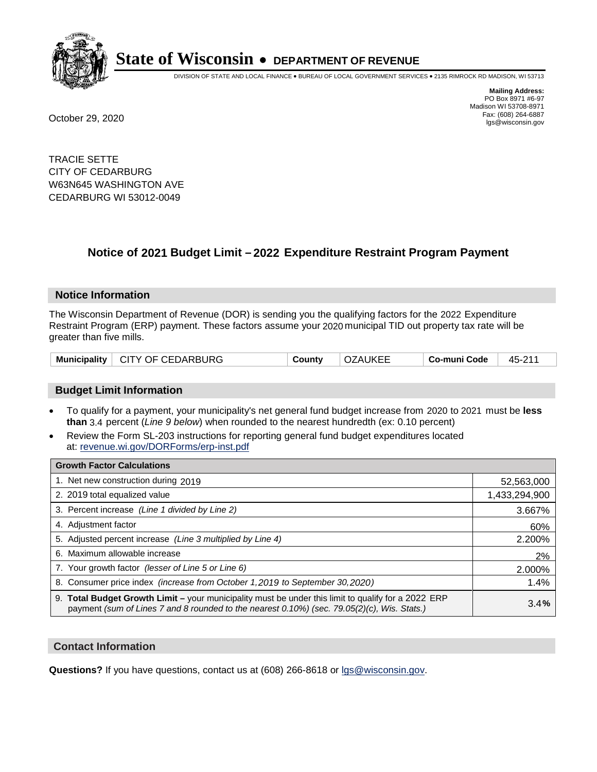

DIVISION OF STATE AND LOCAL FINANCE • BUREAU OF LOCAL GOVERNMENT SERVICES • 2135 RIMROCK RD MADISON, WI 53713

**Mailing Address:** PO Box 8971 #6-97 Madison WI 53708-8971<br>Fax: (608) 264-6887 Fax: (608) 264-6887 October 29, 2020 lgs@wisconsin.gov

TRACIE SETTE CITY OF CEDARBURG W63N645 WASHINGTON AVE CEDARBURG WI 53012-0049

### **Notice of 2021 Budget Limit - 2022 Expenditure Restraint Program Payment**

#### **Notice Information**

The Wisconsin Department of Revenue (DOR) is sending you the qualifying factors for the 2022 Expenditure Restraint Program (ERP) payment. These factors assume your 2020 municipal TID out property tax rate will be greater than five mills.

|  | Municipality   CITY OF CEDARBURG | Countv | <b>OZAUKEE</b> | Co-muni Code | 45-211 |
|--|----------------------------------|--------|----------------|--------------|--------|
|--|----------------------------------|--------|----------------|--------------|--------|

### **Budget Limit Information**

- To qualify for a payment, your municipality's net general fund budget increase from 2020 to 2021 must be less **than** 3.4 percent (*Line 9 below*) when rounded to the nearest hundredth (ex: 0.10 percent)
- Review the Form SL-203 instructions for reporting general fund budget expenditures located at: revenue.wi.gov/DORForms/erp-inst.pdf

| <b>Growth Factor Calculations</b>                                                                                                                                                                  |               |
|----------------------------------------------------------------------------------------------------------------------------------------------------------------------------------------------------|---------------|
| 1. Net new construction during 2019                                                                                                                                                                | 52,563,000    |
| 2. 2019 total equalized value                                                                                                                                                                      | 1,433,294,900 |
| 3. Percent increase (Line 1 divided by Line 2)                                                                                                                                                     | 3.667%        |
| 4. Adjustment factor                                                                                                                                                                               | 60%           |
| 5. Adjusted percent increase (Line 3 multiplied by Line 4)                                                                                                                                         | 2.200%        |
| 6. Maximum allowable increase                                                                                                                                                                      | 2%            |
| 7. Your growth factor (lesser of Line 5 or Line 6)                                                                                                                                                 | 2.000%        |
| 8. Consumer price index (increase from October 1, 2019 to September 30, 2020)                                                                                                                      | 1.4%          |
| 9. Total Budget Growth Limit - your municipality must be under this limit to qualify for a 2022 ERP<br>payment (sum of Lines 7 and 8 rounded to the nearest 0.10%) (sec. 79.05(2)(c), Wis. Stats.) | 3.4%          |

#### **Contact Information**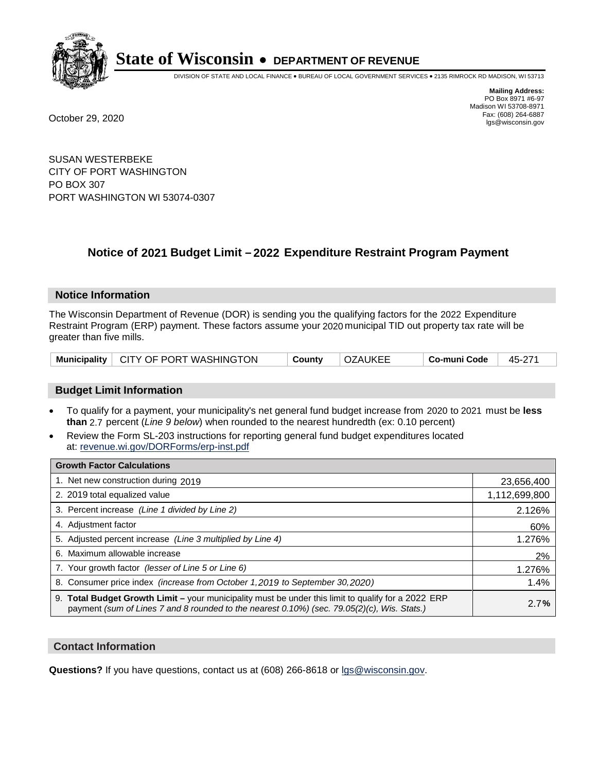

DIVISION OF STATE AND LOCAL FINANCE • BUREAU OF LOCAL GOVERNMENT SERVICES • 2135 RIMROCK RD MADISON, WI 53713

**Mailing Address:** PO Box 8971 #6-97 Madison WI 53708-8971<br>Fax: (608) 264-6887 Fax: (608) 264-6887 October 29, 2020 lgs@wisconsin.gov

SUSAN WESTERBEKE CITY OF PORT WASHINGTON PO BOX 307 PORT WASHINGTON WI 53074-0307

## **Notice of 2021 Budget Limit - 2022 Expenditure Restraint Program Payment**

#### **Notice Information**

The Wisconsin Department of Revenue (DOR) is sending you the qualifying factors for the 2022 Expenditure Restraint Program (ERP) payment. These factors assume your 2020 municipal TID out property tax rate will be greater than five mills.

|  | Municipality   CITY OF PORT WASHINGTON | County | OZAUKEE |  | 45-271 |
|--|----------------------------------------|--------|---------|--|--------|
|--|----------------------------------------|--------|---------|--|--------|

### **Budget Limit Information**

- To qualify for a payment, your municipality's net general fund budget increase from 2020 to 2021 must be less **than** 2.7 percent (*Line 9 below*) when rounded to the nearest hundredth (ex: 0.10 percent)
- Review the Form SL-203 instructions for reporting general fund budget expenditures located at: revenue.wi.gov/DORForms/erp-inst.pdf

| <b>Growth Factor Calculations</b>                                                                                                                                                                  |               |
|----------------------------------------------------------------------------------------------------------------------------------------------------------------------------------------------------|---------------|
| 1. Net new construction during 2019                                                                                                                                                                | 23,656,400    |
| 2. 2019 total equalized value                                                                                                                                                                      | 1,112,699,800 |
| 3. Percent increase (Line 1 divided by Line 2)                                                                                                                                                     | 2.126%        |
| 4. Adjustment factor                                                                                                                                                                               | 60%           |
| 5. Adjusted percent increase (Line 3 multiplied by Line 4)                                                                                                                                         | 1.276%        |
| 6. Maximum allowable increase                                                                                                                                                                      | 2%            |
| 7. Your growth factor (lesser of Line 5 or Line 6)                                                                                                                                                 | 1.276%        |
| 8. Consumer price index (increase from October 1, 2019 to September 30, 2020)                                                                                                                      | 1.4%          |
| 9. Total Budget Growth Limit - your municipality must be under this limit to qualify for a 2022 ERP<br>payment (sum of Lines 7 and 8 rounded to the nearest 0.10%) (sec. 79.05(2)(c), Wis. Stats.) | 2.7%          |

#### **Contact Information**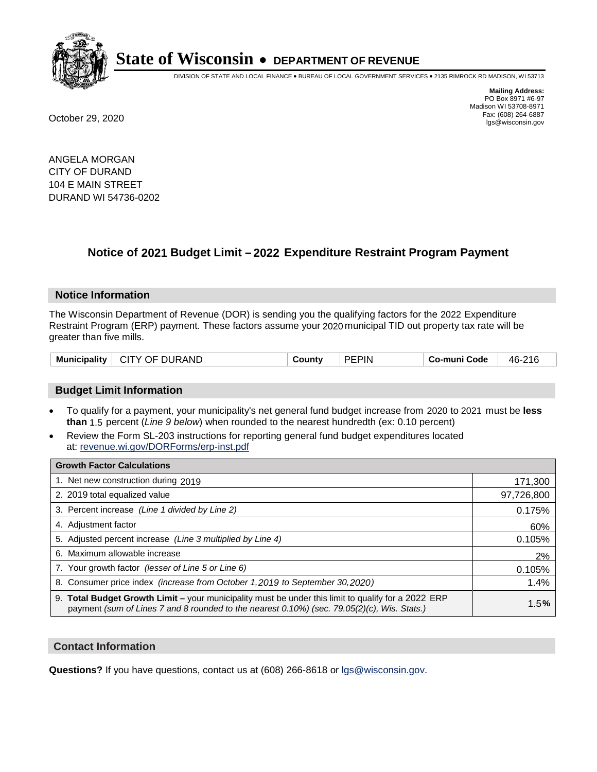

DIVISION OF STATE AND LOCAL FINANCE • BUREAU OF LOCAL GOVERNMENT SERVICES • 2135 RIMROCK RD MADISON, WI 53713

**Mailing Address:** PO Box 8971 #6-97 Madison WI 53708-8971<br>Fax: (608) 264-6887 Fax: (608) 264-6887 October 29, 2020 lgs@wisconsin.gov

ANGELA MORGAN CITY OF DURAND 104 E MAIN STREET DURAND WI 54736-0202

### **Notice of 2021 Budget Limit - 2022 Expenditure Restraint Program Payment**

#### **Notice Information**

The Wisconsin Department of Revenue (DOR) is sending you the qualifying factors for the 2022 Expenditure Restraint Program (ERP) payment. These factors assume your 2020 municipal TID out property tax rate will be greater than five mills.

| CITY OF DURAND<br><b>Municipality</b> | County | <b>PEPIN</b> | Co-muni Code | 46-216 |
|---------------------------------------|--------|--------------|--------------|--------|
|---------------------------------------|--------|--------------|--------------|--------|

### **Budget Limit Information**

- To qualify for a payment, your municipality's net general fund budget increase from 2020 to 2021 must be less **than** 1.5 percent (*Line 9 below*) when rounded to the nearest hundredth (ex: 0.10 percent)
- Review the Form SL-203 instructions for reporting general fund budget expenditures located at: revenue.wi.gov/DORForms/erp-inst.pdf

| <b>Growth Factor Calculations</b>                                                                                                                                                                  |            |
|----------------------------------------------------------------------------------------------------------------------------------------------------------------------------------------------------|------------|
| 1. Net new construction during 2019                                                                                                                                                                | 171,300    |
| 2. 2019 total equalized value                                                                                                                                                                      | 97,726,800 |
| 3. Percent increase (Line 1 divided by Line 2)                                                                                                                                                     | 0.175%     |
| 4. Adjustment factor                                                                                                                                                                               | 60%        |
| 5. Adjusted percent increase (Line 3 multiplied by Line 4)                                                                                                                                         | 0.105%     |
| 6. Maximum allowable increase                                                                                                                                                                      | 2%         |
| 7. Your growth factor (lesser of Line 5 or Line 6)                                                                                                                                                 | 0.105%     |
| 8. Consumer price index (increase from October 1, 2019 to September 30, 2020)                                                                                                                      | 1.4%       |
| 9. Total Budget Growth Limit - your municipality must be under this limit to qualify for a 2022 ERP<br>payment (sum of Lines 7 and 8 rounded to the nearest 0.10%) (sec. 79.05(2)(c), Wis. Stats.) | 1.5%       |

#### **Contact Information**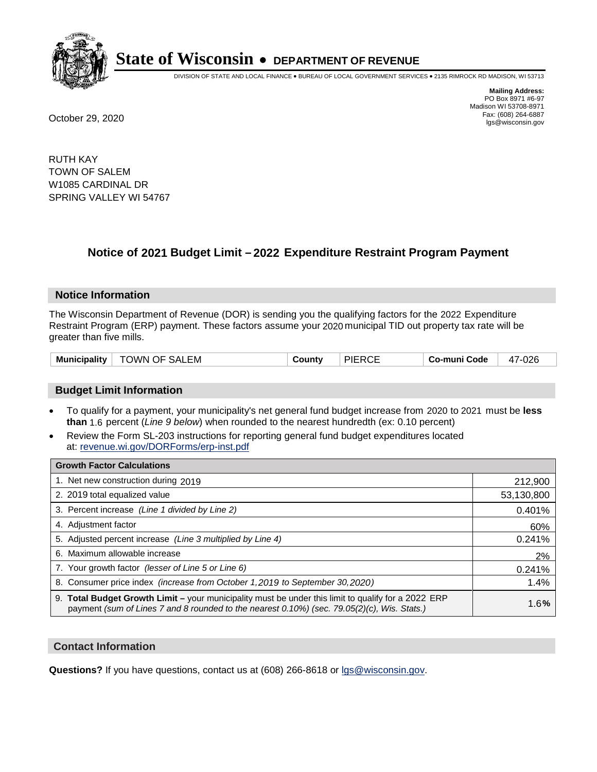

DIVISION OF STATE AND LOCAL FINANCE • BUREAU OF LOCAL GOVERNMENT SERVICES • 2135 RIMROCK RD MADISON, WI 53713

**Mailing Address:** PO Box 8971 #6-97 Madison WI 53708-8971<br>Fax: (608) 264-6887 Fax: (608) 264-6887 October 29, 2020 lgs@wisconsin.gov

RUTH KAY TOWN OF SALEM W1085 CARDINAL DR SPRING VALLEY WI 54767

## **Notice of 2021 Budget Limit - 2022 Expenditure Restraint Program Payment**

#### **Notice Information**

The Wisconsin Department of Revenue (DOR) is sending you the qualifying factors for the 2022 Expenditure Restraint Program (ERP) payment. These factors assume your 2020 municipal TID out property tax rate will be greater than five mills.

#### **Budget Limit Information**

- To qualify for a payment, your municipality's net general fund budget increase from 2020 to 2021 must be less **than** 1.6 percent (*Line 9 below*) when rounded to the nearest hundredth (ex: 0.10 percent)
- Review the Form SL-203 instructions for reporting general fund budget expenditures located at: revenue.wi.gov/DORForms/erp-inst.pdf

| <b>Growth Factor Calculations</b>                                                                                                                                                                  |            |
|----------------------------------------------------------------------------------------------------------------------------------------------------------------------------------------------------|------------|
| 1. Net new construction during 2019                                                                                                                                                                | 212,900    |
| 2. 2019 total equalized value                                                                                                                                                                      | 53,130,800 |
| 3. Percent increase (Line 1 divided by Line 2)                                                                                                                                                     | 0.401%     |
| 4. Adiustment factor                                                                                                                                                                               | 60%        |
| 5. Adjusted percent increase (Line 3 multiplied by Line 4)                                                                                                                                         | 0.241%     |
| 6. Maximum allowable increase                                                                                                                                                                      | 2%         |
| 7. Your growth factor (lesser of Line 5 or Line 6)                                                                                                                                                 | 0.241%     |
| 8. Consumer price index (increase from October 1,2019 to September 30,2020)                                                                                                                        | 1.4%       |
| 9. Total Budget Growth Limit - your municipality must be under this limit to qualify for a 2022 ERP<br>payment (sum of Lines 7 and 8 rounded to the nearest 0.10%) (sec. 79.05(2)(c), Wis. Stats.) | 1.6%       |

#### **Contact Information**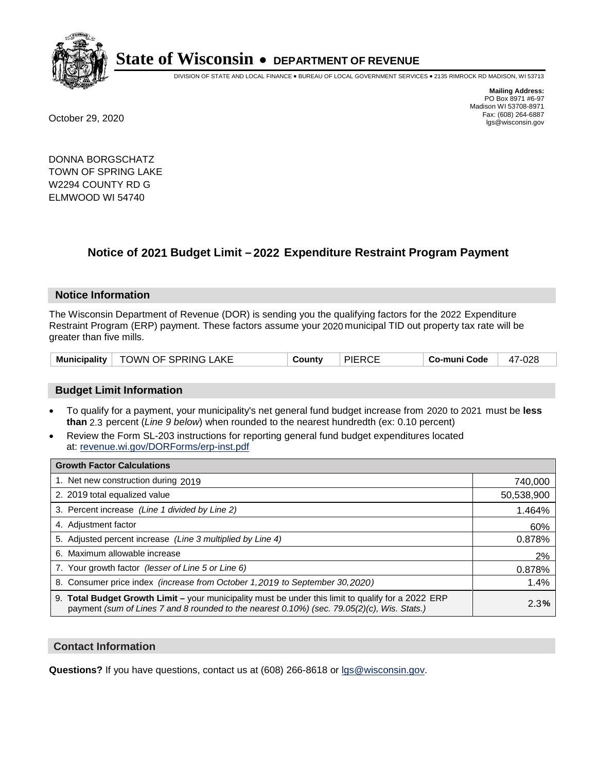

DIVISION OF STATE AND LOCAL FINANCE • BUREAU OF LOCAL GOVERNMENT SERVICES • 2135 RIMROCK RD MADISON, WI 53713

**Mailing Address:** PO Box 8971 #6-97 Madison WI 53708-8971<br>Fax: (608) 264-6887 Fax: (608) 264-6887 October 29, 2020 lgs@wisconsin.gov

DONNA BORGSCHATZ TOWN OF SPRING LAKE W2294 COUNTY RD G ELMWOOD WI 54740

### **Notice of 2021 Budget Limit - 2022 Expenditure Restraint Program Payment**

#### **Notice Information**

The Wisconsin Department of Revenue (DOR) is sending you the qualifying factors for the 2022 Expenditure Restraint Program (ERP) payment. These factors assume your 2020 municipal TID out property tax rate will be greater than five mills.

|  | Municipality   TOWN OF SPRING LAKE | County | <b>PIERCE</b> | Co-muni Code | 47-028 |
|--|------------------------------------|--------|---------------|--------------|--------|
|--|------------------------------------|--------|---------------|--------------|--------|

### **Budget Limit Information**

- To qualify for a payment, your municipality's net general fund budget increase from 2020 to 2021 must be less **than** 2.3 percent (*Line 9 below*) when rounded to the nearest hundredth (ex: 0.10 percent)
- Review the Form SL-203 instructions for reporting general fund budget expenditures located at: revenue.wi.gov/DORForms/erp-inst.pdf

| <b>Growth Factor Calculations</b>                                                                                                                                                                  |            |
|----------------------------------------------------------------------------------------------------------------------------------------------------------------------------------------------------|------------|
| 1. Net new construction during 2019                                                                                                                                                                | 740,000    |
| 2. 2019 total equalized value                                                                                                                                                                      | 50,538,900 |
| 3. Percent increase (Line 1 divided by Line 2)                                                                                                                                                     | 1.464%     |
| 4. Adjustment factor                                                                                                                                                                               | 60%        |
| 5. Adjusted percent increase (Line 3 multiplied by Line 4)                                                                                                                                         | 0.878%     |
| 6. Maximum allowable increase                                                                                                                                                                      | 2%         |
| 7. Your growth factor (lesser of Line 5 or Line 6)                                                                                                                                                 | 0.878%     |
| 8. Consumer price index (increase from October 1, 2019 to September 30, 2020)                                                                                                                      | 1.4%       |
| 9. Total Budget Growth Limit - your municipality must be under this limit to qualify for a 2022 ERP<br>payment (sum of Lines 7 and 8 rounded to the nearest 0.10%) (sec. 79.05(2)(c), Wis. Stats.) | 2.3%       |

#### **Contact Information**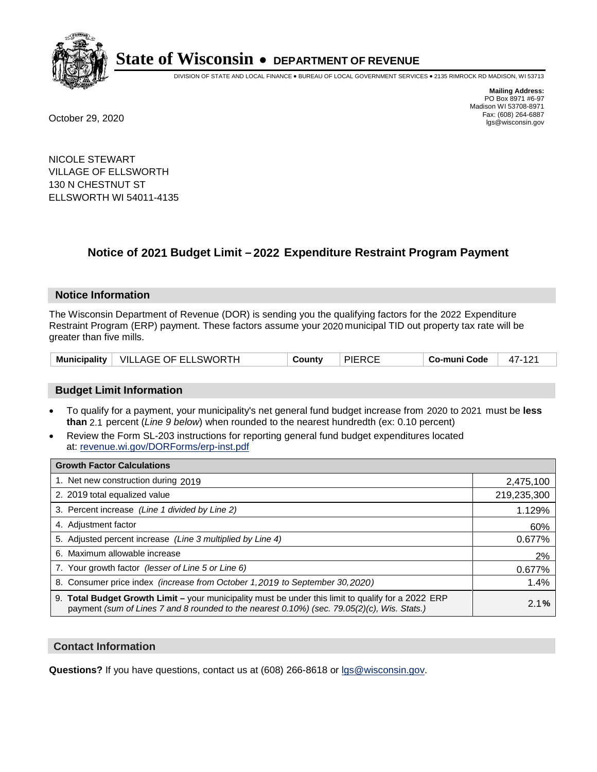

DIVISION OF STATE AND LOCAL FINANCE • BUREAU OF LOCAL GOVERNMENT SERVICES • 2135 RIMROCK RD MADISON, WI 53713

**Mailing Address:** PO Box 8971 #6-97 Madison WI 53708-8971<br>Fax: (608) 264-6887 Fax: (608) 264-6887 October 29, 2020 lgs@wisconsin.gov

NICOLE STEWART VILLAGE OF ELLSWORTH 130 N CHESTNUT ST ELLSWORTH WI 54011-4135

### **Notice of 2021 Budget Limit - 2022 Expenditure Restraint Program Payment**

#### **Notice Information**

The Wisconsin Department of Revenue (DOR) is sending you the qualifying factors for the 2022 Expenditure Restraint Program (ERP) payment. These factors assume your 2020 municipal TID out property tax rate will be greater than five mills.

|  | Municipality   VILLAGE OF ELLSWORTH | County | <b>PIERCE</b> | Co-muni Code | $4/ -$ |
|--|-------------------------------------|--------|---------------|--------------|--------|
|--|-------------------------------------|--------|---------------|--------------|--------|

### **Budget Limit Information**

- To qualify for a payment, your municipality's net general fund budget increase from 2020 to 2021 must be less **than** 2.1 percent (*Line 9 below*) when rounded to the nearest hundredth (ex: 0.10 percent)
- Review the Form SL-203 instructions for reporting general fund budget expenditures located at: revenue.wi.gov/DORForms/erp-inst.pdf

| <b>Growth Factor Calculations</b>                                                                                                                                                                      |             |
|--------------------------------------------------------------------------------------------------------------------------------------------------------------------------------------------------------|-------------|
| 1. Net new construction during 2019                                                                                                                                                                    | 2,475,100   |
| 2. 2019 total equalized value                                                                                                                                                                          | 219,235,300 |
| 3. Percent increase (Line 1 divided by Line 2)                                                                                                                                                         | 1.129%      |
| 4. Adjustment factor                                                                                                                                                                                   | 60%         |
| 5. Adjusted percent increase (Line 3 multiplied by Line 4)                                                                                                                                             | 0.677%      |
| 6. Maximum allowable increase                                                                                                                                                                          | 2%          |
| 7. Your growth factor (lesser of Line 5 or Line 6)                                                                                                                                                     | 0.677%      |
| 8. Consumer price index (increase from October 1, 2019 to September 30, 2020)                                                                                                                          | 1.4%        |
| 9. Total Budget Growth Limit - your municipality must be under this limit to qualify for a 2022 ERP<br>payment (sum of Lines 7 and 8 rounded to the nearest $0.10\%$ ) (sec. 79.05(2)(c), Wis. Stats.) | 2.1%        |

#### **Contact Information**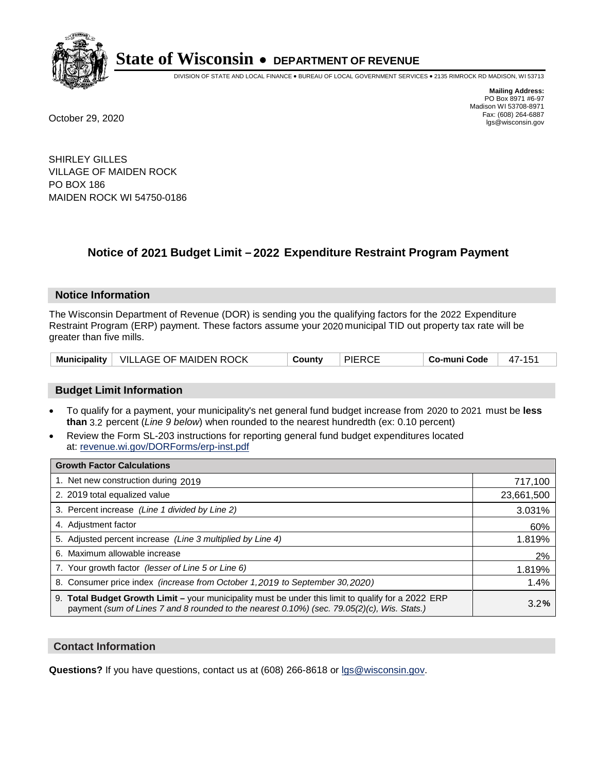

DIVISION OF STATE AND LOCAL FINANCE • BUREAU OF LOCAL GOVERNMENT SERVICES • 2135 RIMROCK RD MADISON, WI 53713

**Mailing Address:** PO Box 8971 #6-97 Madison WI 53708-8971<br>Fax: (608) 264-6887 Fax: (608) 264-6887 October 29, 2020 lgs@wisconsin.gov

SHIRLEY GILLES VILLAGE OF MAIDEN ROCK PO BOX 186 MAIDEN ROCK WI 54750-0186

## **Notice of 2021 Budget Limit - 2022 Expenditure Restraint Program Payment**

#### **Notice Information**

The Wisconsin Department of Revenue (DOR) is sending you the qualifying factors for the 2022 Expenditure Restraint Program (ERP) payment. These factors assume your 2020 municipal TID out property tax rate will be greater than five mills.

|  | Municipality   VILLAGE OF MAIDEN ROCK | County | <b>PIERCE</b> | Co-muni Code | 47-151 |
|--|---------------------------------------|--------|---------------|--------------|--------|
|--|---------------------------------------|--------|---------------|--------------|--------|

### **Budget Limit Information**

- To qualify for a payment, your municipality's net general fund budget increase from 2020 to 2021 must be less **than** 3.2 percent (*Line 9 below*) when rounded to the nearest hundredth (ex: 0.10 percent)
- Review the Form SL-203 instructions for reporting general fund budget expenditures located at: revenue.wi.gov/DORForms/erp-inst.pdf

| <b>Growth Factor Calculations</b>                                                                                                                                                                      |            |
|--------------------------------------------------------------------------------------------------------------------------------------------------------------------------------------------------------|------------|
| 1. Net new construction during 2019                                                                                                                                                                    | 717,100    |
| 2. 2019 total equalized value                                                                                                                                                                          | 23,661,500 |
| 3. Percent increase (Line 1 divided by Line 2)                                                                                                                                                         | 3.031%     |
| 4. Adjustment factor                                                                                                                                                                                   | 60%        |
| 5. Adjusted percent increase (Line 3 multiplied by Line 4)                                                                                                                                             | 1.819%     |
| 6. Maximum allowable increase                                                                                                                                                                          | 2%         |
| 7. Your growth factor (lesser of Line 5 or Line 6)                                                                                                                                                     | 1.819%     |
| 8. Consumer price index (increase from October 1,2019 to September 30,2020)                                                                                                                            | 1.4%       |
| 9. Total Budget Growth Limit - your municipality must be under this limit to qualify for a 2022 ERP<br>payment (sum of Lines 7 and 8 rounded to the nearest $0.10\%$ ) (sec. 79.05(2)(c), Wis. Stats.) | 3.2%       |

#### **Contact Information**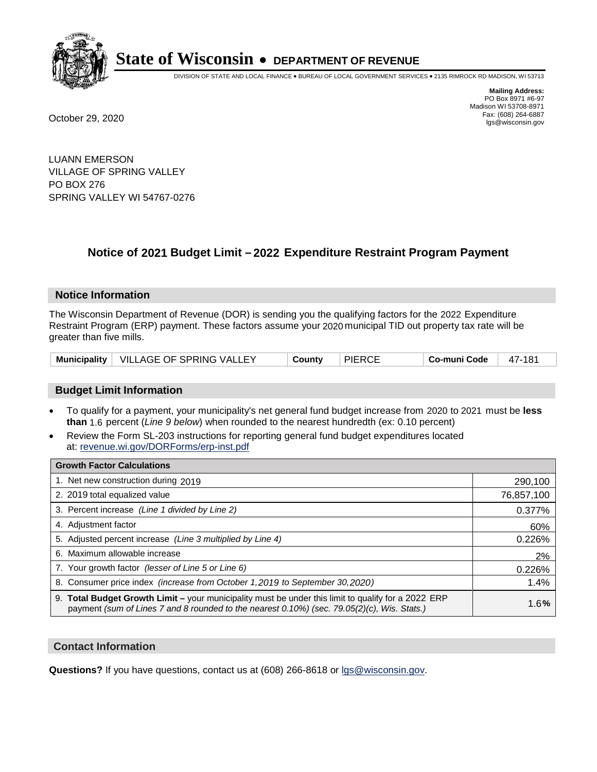

DIVISION OF STATE AND LOCAL FINANCE • BUREAU OF LOCAL GOVERNMENT SERVICES • 2135 RIMROCK RD MADISON, WI 53713

**Mailing Address:** PO Box 8971 #6-97 Madison WI 53708-8971<br>Fax: (608) 264-6887 Fax: (608) 264-6887 October 29, 2020 lgs@wisconsin.gov

LUANN EMERSON VILLAGE OF SPRING VALLEY PO BOX 276 SPRING VALLEY WI 54767-0276

### **Notice of 2021 Budget Limit - 2022 Expenditure Restraint Program Payment**

#### **Notice Information**

The Wisconsin Department of Revenue (DOR) is sending you the qualifying factors for the 2022 Expenditure Restraint Program (ERP) payment. These factors assume your 2020 municipal TID out property tax rate will be greater than five mills.

|  | Municipality   VILLAGE OF SPRING VALLEY | County | <b>PIERCE</b> | Co-muni Code | 47-181 |
|--|-----------------------------------------|--------|---------------|--------------|--------|
|--|-----------------------------------------|--------|---------------|--------------|--------|

### **Budget Limit Information**

- To qualify for a payment, your municipality's net general fund budget increase from 2020 to 2021 must be less **than** 1.6 percent (*Line 9 below*) when rounded to the nearest hundredth (ex: 0.10 percent)
- Review the Form SL-203 instructions for reporting general fund budget expenditures located at: revenue.wi.gov/DORForms/erp-inst.pdf

| <b>Growth Factor Calculations</b>                                                                                                                                                                  |            |
|----------------------------------------------------------------------------------------------------------------------------------------------------------------------------------------------------|------------|
| 1. Net new construction during 2019                                                                                                                                                                | 290,100    |
| 2. 2019 total equalized value                                                                                                                                                                      | 76,857,100 |
| 3. Percent increase (Line 1 divided by Line 2)                                                                                                                                                     | 0.377%     |
| 4. Adiustment factor                                                                                                                                                                               | 60%        |
| 5. Adjusted percent increase (Line 3 multiplied by Line 4)                                                                                                                                         | 0.226%     |
| 6. Maximum allowable increase                                                                                                                                                                      | 2%         |
| 7. Your growth factor (lesser of Line 5 or Line 6)                                                                                                                                                 | 0.226%     |
| 8. Consumer price index (increase from October 1,2019 to September 30,2020)                                                                                                                        | 1.4%       |
| 9. Total Budget Growth Limit - your municipality must be under this limit to qualify for a 2022 ERP<br>payment (sum of Lines 7 and 8 rounded to the nearest 0.10%) (sec. 79.05(2)(c), Wis. Stats.) | 1.6%       |

#### **Contact Information**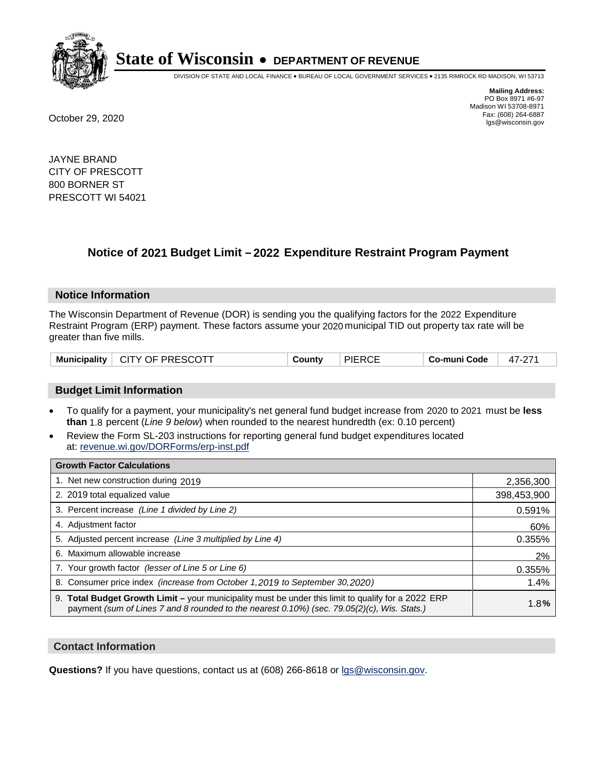

DIVISION OF STATE AND LOCAL FINANCE • BUREAU OF LOCAL GOVERNMENT SERVICES • 2135 RIMROCK RD MADISON, WI 53713

**Mailing Address:** PO Box 8971 #6-97 Madison WI 53708-8971<br>Fax: (608) 264-6887 Fax: (608) 264-6887 October 29, 2020 lgs@wisconsin.gov

JAYNE BRAND CITY OF PRESCOTT 800 BORNER ST PRESCOTT WI 54021

### **Notice of 2021 Budget Limit - 2022 Expenditure Restraint Program Payment**

#### **Notice Information**

The Wisconsin Department of Revenue (DOR) is sending you the qualifying factors for the 2022 Expenditure Restraint Program (ERP) payment. These factors assume your 2020 municipal TID out property tax rate will be greater than five mills.

### **Budget Limit Information**

- To qualify for a payment, your municipality's net general fund budget increase from 2020 to 2021 must be less **than** 1.8 percent (*Line 9 below*) when rounded to the nearest hundredth (ex: 0.10 percent)
- Review the Form SL-203 instructions for reporting general fund budget expenditures located at: revenue.wi.gov/DORForms/erp-inst.pdf

| <b>Growth Factor Calculations</b>                                                                                                                                                                  |             |
|----------------------------------------------------------------------------------------------------------------------------------------------------------------------------------------------------|-------------|
| 1. Net new construction during 2019                                                                                                                                                                | 2,356,300   |
| 2. 2019 total equalized value                                                                                                                                                                      | 398,453,900 |
| 3. Percent increase (Line 1 divided by Line 2)                                                                                                                                                     | 0.591%      |
| 4. Adjustment factor                                                                                                                                                                               | 60%         |
| 5. Adjusted percent increase (Line 3 multiplied by Line 4)                                                                                                                                         | 0.355%      |
| 6. Maximum allowable increase                                                                                                                                                                      | 2%          |
| 7. Your growth factor (lesser of Line 5 or Line 6)                                                                                                                                                 | 0.355%      |
| 8. Consumer price index (increase from October 1, 2019 to September 30, 2020)                                                                                                                      | 1.4%        |
| 9. Total Budget Growth Limit - your municipality must be under this limit to qualify for a 2022 ERP<br>payment (sum of Lines 7 and 8 rounded to the nearest 0.10%) (sec. 79.05(2)(c), Wis. Stats.) | 1.8%        |

#### **Contact Information**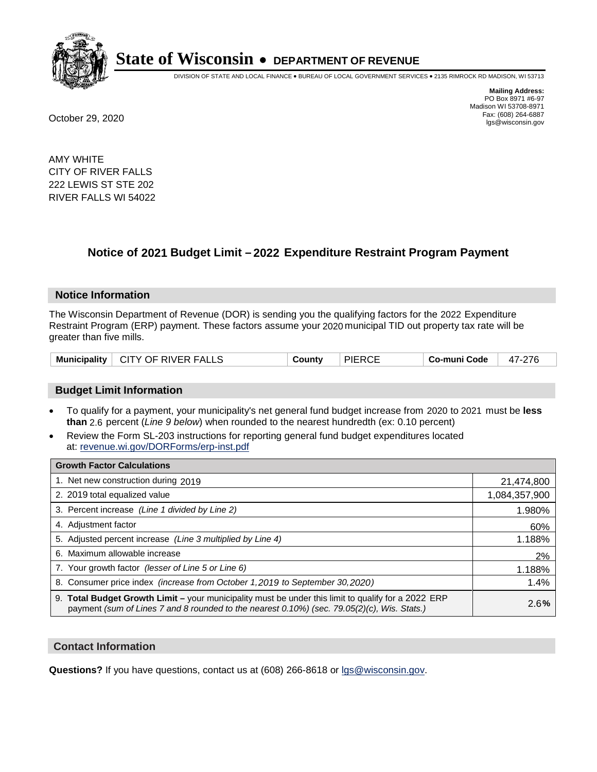

DIVISION OF STATE AND LOCAL FINANCE • BUREAU OF LOCAL GOVERNMENT SERVICES • 2135 RIMROCK RD MADISON, WI 53713

**Mailing Address:** PO Box 8971 #6-97 Madison WI 53708-8971<br>Fax: (608) 264-6887 Fax: (608) 264-6887 October 29, 2020 lgs@wisconsin.gov

AMY WHITE CITY OF RIVER FALLS 222 LEWIS ST STE 202 RIVER FALLS WI 54022

### **Notice of 2021 Budget Limit - 2022 Expenditure Restraint Program Payment**

#### **Notice Information**

The Wisconsin Department of Revenue (DOR) is sending you the qualifying factors for the 2022 Expenditure Restraint Program (ERP) payment. These factors assume your 2020 municipal TID out property tax rate will be greater than five mills.

|  | Municipality   CITY OF RIVER FALLS | County | <b>PIERCE</b> | Co-muni Code | 47-276 |
|--|------------------------------------|--------|---------------|--------------|--------|
|--|------------------------------------|--------|---------------|--------------|--------|

### **Budget Limit Information**

- To qualify for a payment, your municipality's net general fund budget increase from 2020 to 2021 must be less **than** 2.6 percent (*Line 9 below*) when rounded to the nearest hundredth (ex: 0.10 percent)
- Review the Form SL-203 instructions for reporting general fund budget expenditures located at: revenue.wi.gov/DORForms/erp-inst.pdf

| <b>Growth Factor Calculations</b>                                                                                                                                                                  |               |
|----------------------------------------------------------------------------------------------------------------------------------------------------------------------------------------------------|---------------|
| 1. Net new construction during 2019                                                                                                                                                                | 21,474,800    |
| 2. 2019 total equalized value                                                                                                                                                                      | 1,084,357,900 |
| 3. Percent increase (Line 1 divided by Line 2)                                                                                                                                                     | 1.980%        |
| 4. Adjustment factor                                                                                                                                                                               | 60%           |
| 5. Adjusted percent increase (Line 3 multiplied by Line 4)                                                                                                                                         | 1.188%        |
| Maximum allowable increase<br>6.                                                                                                                                                                   | 2%            |
| 7. Your growth factor (lesser of Line 5 or Line 6)                                                                                                                                                 | 1.188%        |
| 8. Consumer price index (increase from October 1, 2019 to September 30, 2020)                                                                                                                      | 1.4%          |
| 9. Total Budget Growth Limit - your municipality must be under this limit to qualify for a 2022 ERP<br>payment (sum of Lines 7 and 8 rounded to the nearest 0.10%) (sec. 79.05(2)(c), Wis. Stats.) | 2.6%          |

#### **Contact Information**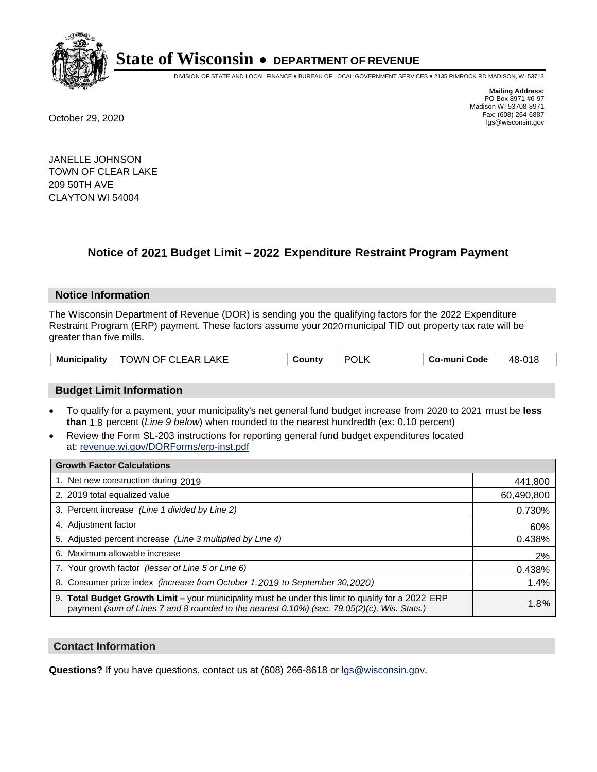

DIVISION OF STATE AND LOCAL FINANCE • BUREAU OF LOCAL GOVERNMENT SERVICES • 2135 RIMROCK RD MADISON, WI 53713

**Mailing Address:** PO Box 8971 #6-97 Madison WI 53708-8971<br>Fax: (608) 264-6887 Fax: (608) 264-6887 October 29, 2020 lgs@wisconsin.gov

JANELLE JOHNSON TOWN OF CLEAR LAKE 209 50TH AVE CLAYTON WI 54004

## **Notice of 2021 Budget Limit - 2022 Expenditure Restraint Program Payment**

#### **Notice Information**

The Wisconsin Department of Revenue (DOR) is sending you the qualifying factors for the 2022 Expenditure Restraint Program (ERP) payment. These factors assume your 2020 municipal TID out property tax rate will be greater than five mills.

| Municipality | TOWN OF CLEAR LAKE | ∟ount∨ | <b>POL</b> | o-muni Codeٽ | 48-018 |
|--------------|--------------------|--------|------------|--------------|--------|
|--------------|--------------------|--------|------------|--------------|--------|

### **Budget Limit Information**

- To qualify for a payment, your municipality's net general fund budget increase from 2020 to 2021 must be less **than** 1.8 percent (*Line 9 below*) when rounded to the nearest hundredth (ex: 0.10 percent)
- Review the Form SL-203 instructions for reporting general fund budget expenditures located at: revenue.wi.gov/DORForms/erp-inst.pdf

| <b>Growth Factor Calculations</b>                                                                                                                                                                      |            |
|--------------------------------------------------------------------------------------------------------------------------------------------------------------------------------------------------------|------------|
| 1. Net new construction during 2019                                                                                                                                                                    | 441,800    |
| 2. 2019 total equalized value                                                                                                                                                                          | 60,490,800 |
| 3. Percent increase (Line 1 divided by Line 2)                                                                                                                                                         | 0.730%     |
| 4. Adiustment factor                                                                                                                                                                                   | 60%        |
| 5. Adjusted percent increase (Line 3 multiplied by Line 4)                                                                                                                                             | 0.438%     |
| 6. Maximum allowable increase                                                                                                                                                                          | 2%         |
| 7. Your growth factor (lesser of Line 5 or Line 6)                                                                                                                                                     | 0.438%     |
| 8. Consumer price index (increase from October 1,2019 to September 30,2020)                                                                                                                            | 1.4%       |
| 9. Total Budget Growth Limit - your municipality must be under this limit to qualify for a 2022 ERP<br>payment (sum of Lines 7 and 8 rounded to the nearest $0.10\%$ ) (sec. 79.05(2)(c), Wis. Stats.) | 1.8%       |

#### **Contact Information**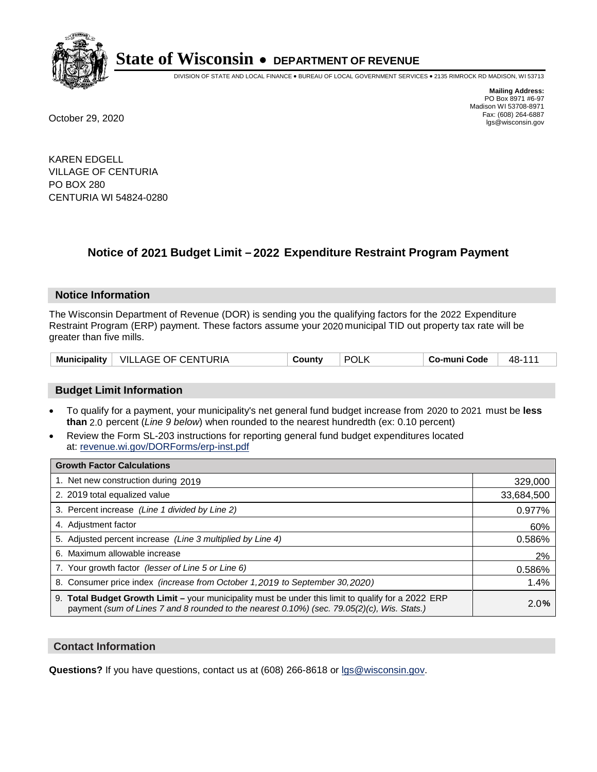

DIVISION OF STATE AND LOCAL FINANCE • BUREAU OF LOCAL GOVERNMENT SERVICES • 2135 RIMROCK RD MADISON, WI 53713

**Mailing Address:** PO Box 8971 #6-97 Madison WI 53708-8971<br>Fax: (608) 264-6887 Fax: (608) 264-6887 October 29, 2020 lgs@wisconsin.gov

KAREN EDGELL VILLAGE OF CENTURIA PO BOX 280 CENTURIA WI 54824-0280

### **Notice of 2021 Budget Limit - 2022 Expenditure Restraint Program Payment**

#### **Notice Information**

The Wisconsin Department of Revenue (DOR) is sending you the qualifying factors for the 2022 Expenditure Restraint Program (ERP) payment. These factors assume your 2020 municipal TID out property tax rate will be greater than five mills.

| <b>Municipality</b> | VILLAGE OF CENTURIA | County | <b>POLK</b> | Co-muni Code | 48-111 |
|---------------------|---------------------|--------|-------------|--------------|--------|
|---------------------|---------------------|--------|-------------|--------------|--------|

### **Budget Limit Information**

- To qualify for a payment, your municipality's net general fund budget increase from 2020 to 2021 must be less **than** 2.0 percent (*Line 9 below*) when rounded to the nearest hundredth (ex: 0.10 percent)
- Review the Form SL-203 instructions for reporting general fund budget expenditures located at: revenue.wi.gov/DORForms/erp-inst.pdf

| <b>Growth Factor Calculations</b>                                                                                                                                                                      |            |
|--------------------------------------------------------------------------------------------------------------------------------------------------------------------------------------------------------|------------|
| 1. Net new construction during 2019                                                                                                                                                                    | 329,000    |
| 2. 2019 total equalized value                                                                                                                                                                          | 33,684,500 |
| 3. Percent increase (Line 1 divided by Line 2)                                                                                                                                                         | 0.977%     |
| 4. Adjustment factor                                                                                                                                                                                   | 60%        |
| 5. Adjusted percent increase (Line 3 multiplied by Line 4)                                                                                                                                             | 0.586%     |
| 6. Maximum allowable increase                                                                                                                                                                          | 2%         |
| 7. Your growth factor (lesser of Line 5 or Line 6)                                                                                                                                                     | 0.586%     |
| 8. Consumer price index (increase from October 1,2019 to September 30,2020)                                                                                                                            | 1.4%       |
| 9. Total Budget Growth Limit - your municipality must be under this limit to qualify for a 2022 ERP<br>payment (sum of Lines 7 and 8 rounded to the nearest $0.10\%$ ) (sec. 79.05(2)(c), Wis. Stats.) | 2.0%       |

#### **Contact Information**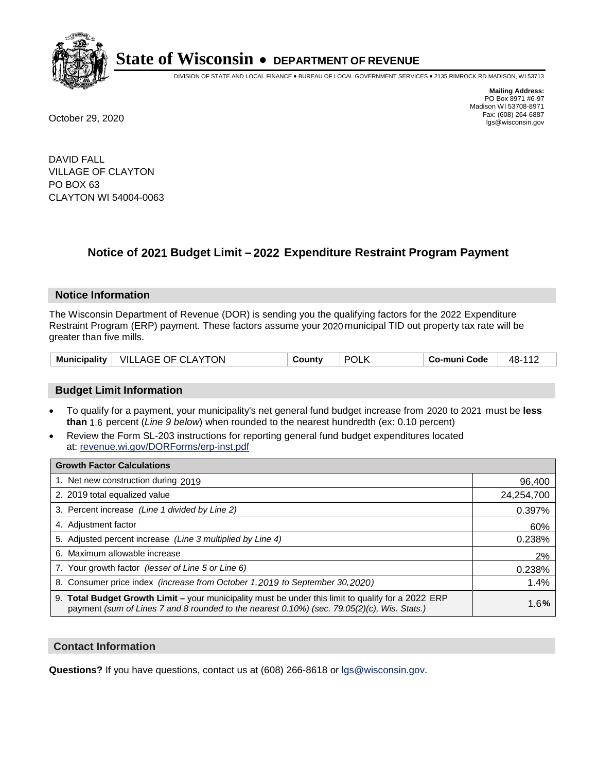

DIVISION OF STATE AND LOCAL FINANCE • BUREAU OF LOCAL GOVERNMENT SERVICES • 2135 RIMROCK RD MADISON, WI 53713

**Mailing Address:** PO Box 8971 #6-97 Madison WI 53708-8971<br>Fax: (608) 264-6887 Fax: (608) 264-6887 October 29, 2020 lgs@wisconsin.gov

DAVID FALL VILLAGE OF CLAYTON PO BOX 63 CLAYTON WI 54004-0063

### **Notice of 2021 Budget Limit - 2022 Expenditure Restraint Program Payment**

#### **Notice Information**

The Wisconsin Department of Revenue (DOR) is sending you the qualifying factors for the 2022 Expenditure Restraint Program (ERP) payment. These factors assume your 2020 municipal TID out property tax rate will be greater than five mills.

### **Budget Limit Information**

- To qualify for a payment, your municipality's net general fund budget increase from 2020 to 2021 must be less **than** 1.6 percent (*Line 9 below*) when rounded to the nearest hundredth (ex: 0.10 percent)
- Review the Form SL-203 instructions for reporting general fund budget expenditures located at: revenue.wi.gov/DORForms/erp-inst.pdf

| <b>Growth Factor Calculations</b>                                                                                                                                                                  |            |
|----------------------------------------------------------------------------------------------------------------------------------------------------------------------------------------------------|------------|
| 1. Net new construction during 2019                                                                                                                                                                | 96,400     |
| 2. 2019 total equalized value                                                                                                                                                                      | 24,254,700 |
| 3. Percent increase (Line 1 divided by Line 2)                                                                                                                                                     | 0.397%     |
| 4. Adiustment factor                                                                                                                                                                               | 60%        |
| 5. Adjusted percent increase (Line 3 multiplied by Line 4)                                                                                                                                         | 0.238%     |
| Maximum allowable increase<br>6.                                                                                                                                                                   | 2%         |
| 7. Your growth factor (lesser of Line 5 or Line 6)                                                                                                                                                 | 0.238%     |
| 8. Consumer price index (increase from October 1,2019 to September 30,2020)                                                                                                                        | 1.4%       |
| 9. Total Budget Growth Limit - your municipality must be under this limit to qualify for a 2022 ERP<br>payment (sum of Lines 7 and 8 rounded to the nearest 0.10%) (sec. 79.05(2)(c), Wis. Stats.) | 1.6%       |

#### **Contact Information**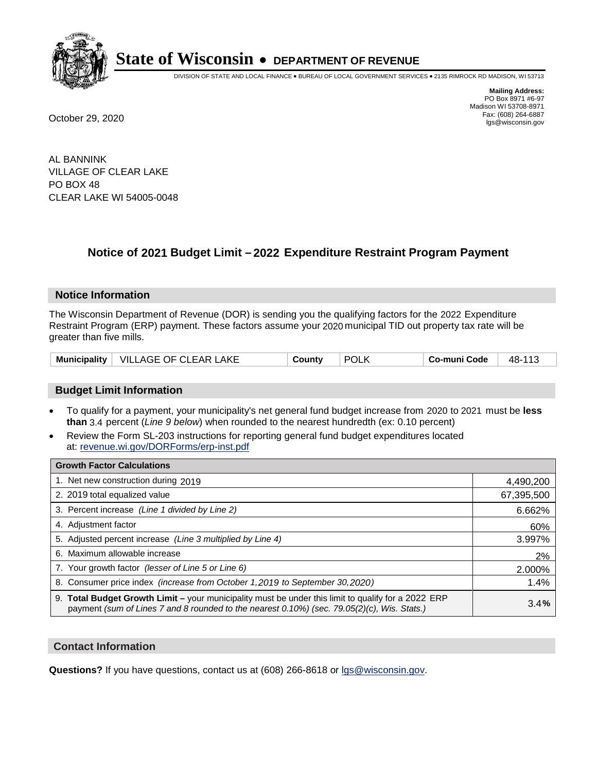

DIVISION OF STATE AND LOCAL FINANCE • BUREAU OF LOCAL GOVERNMENT SERVICES • 2135 RIMROCK RD MADISON, WI 53713

**Mailing Address:** PO Box 8971 #6-97 Madison WI 53708-8971<br>Fax: (608) 264-6887 Fax: (608) 264-6887 October 29, 2020 lgs@wisconsin.gov

AL BANNINK VILLAGE OF CLEAR LAKE PO BOX 48 CLEAR LAKE WI 54005-0048

### **Notice of 2021 Budget Limit - 2022 Expenditure Restraint Program Payment**

#### **Notice Information**

The Wisconsin Department of Revenue (DOR) is sending you the qualifying factors for the 2022 Expenditure Restraint Program (ERP) payment. These factors assume your 2020 municipal TID out property tax rate will be greater than five mills.

| <b>Municipality</b> | .AKE<br>VILLAGE OF CLEAR | ountyٽ | <b>POL</b> | o-muni Codeٽ | 48- |
|---------------------|--------------------------|--------|------------|--------------|-----|
|---------------------|--------------------------|--------|------------|--------------|-----|

### **Budget Limit Information**

- To qualify for a payment, your municipality's net general fund budget increase from 2020 to 2021 must be less **than** 3.4 percent (*Line 9 below*) when rounded to the nearest hundredth (ex: 0.10 percent)
- Review the Form SL-203 instructions for reporting general fund budget expenditures located at: revenue.wi.gov/DORForms/erp-inst.pdf

| <b>Growth Factor Calculations</b>                                                                                                                                                                      |            |
|--------------------------------------------------------------------------------------------------------------------------------------------------------------------------------------------------------|------------|
| 1. Net new construction during 2019                                                                                                                                                                    | 4,490,200  |
| 2. 2019 total equalized value                                                                                                                                                                          | 67,395,500 |
| 3. Percent increase (Line 1 divided by Line 2)                                                                                                                                                         | 6.662%     |
| 4. Adjustment factor                                                                                                                                                                                   | 60%        |
| 5. Adjusted percent increase (Line 3 multiplied by Line 4)                                                                                                                                             | 3.997%     |
| 6. Maximum allowable increase                                                                                                                                                                          | 2%         |
| 7. Your growth factor (lesser of Line 5 or Line 6)                                                                                                                                                     | 2.000%     |
| 8. Consumer price index (increase from October 1, 2019 to September 30, 2020)                                                                                                                          | 1.4%       |
| 9. Total Budget Growth Limit - your municipality must be under this limit to qualify for a 2022 ERP<br>payment (sum of Lines 7 and 8 rounded to the nearest $0.10\%$ ) (sec. 79.05(2)(c), Wis. Stats.) | 3.4%       |

#### **Contact Information**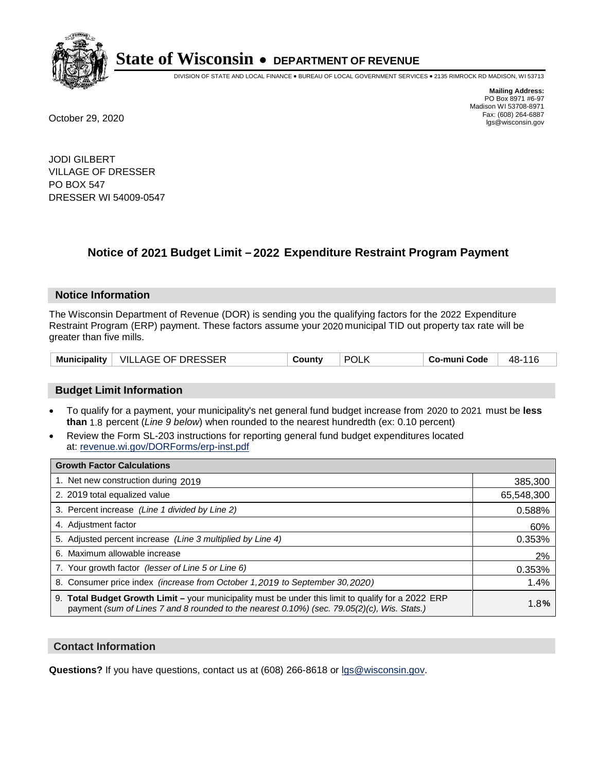

DIVISION OF STATE AND LOCAL FINANCE • BUREAU OF LOCAL GOVERNMENT SERVICES • 2135 RIMROCK RD MADISON, WI 53713

**Mailing Address:** PO Box 8971 #6-97 Madison WI 53708-8971<br>Fax: (608) 264-6887 Fax: (608) 264-6887 October 29, 2020 lgs@wisconsin.gov

JODI GILBERT VILLAGE OF DRESSER PO BOX 547 DRESSER WI 54009-0547

### **Notice of 2021 Budget Limit - 2022 Expenditure Restraint Program Payment**

#### **Notice Information**

The Wisconsin Department of Revenue (DOR) is sending you the qualifying factors for the 2022 Expenditure Restraint Program (ERP) payment. These factors assume your 2020 municipal TID out property tax rate will be greater than five mills.

|  | Municipality   VILLAGE OF DRESSER | County | <b>POLK</b> | Co-muni Code | 48-116 |
|--|-----------------------------------|--------|-------------|--------------|--------|
|--|-----------------------------------|--------|-------------|--------------|--------|

### **Budget Limit Information**

- To qualify for a payment, your municipality's net general fund budget increase from 2020 to 2021 must be less **than** 1.8 percent (*Line 9 below*) when rounded to the nearest hundredth (ex: 0.10 percent)
- Review the Form SL-203 instructions for reporting general fund budget expenditures located at: revenue.wi.gov/DORForms/erp-inst.pdf

| <b>Growth Factor Calculations</b>                                                                                                                                                                      |            |
|--------------------------------------------------------------------------------------------------------------------------------------------------------------------------------------------------------|------------|
| 1. Net new construction during 2019                                                                                                                                                                    | 385,300    |
| 2. 2019 total equalized value                                                                                                                                                                          | 65,548,300 |
| 3. Percent increase (Line 1 divided by Line 2)                                                                                                                                                         | 0.588%     |
| 4. Adjustment factor                                                                                                                                                                                   | 60%        |
| 5. Adjusted percent increase (Line 3 multiplied by Line 4)                                                                                                                                             | 0.353%     |
| 6. Maximum allowable increase                                                                                                                                                                          | 2%         |
| 7. Your growth factor (lesser of Line 5 or Line 6)                                                                                                                                                     | 0.353%     |
| 8. Consumer price index (increase from October 1,2019 to September 30,2020)                                                                                                                            | 1.4%       |
| 9. Total Budget Growth Limit - your municipality must be under this limit to qualify for a 2022 ERP<br>payment (sum of Lines 7 and 8 rounded to the nearest $0.10\%$ ) (sec. 79.05(2)(c), Wis. Stats.) | 1.8%       |

#### **Contact Information**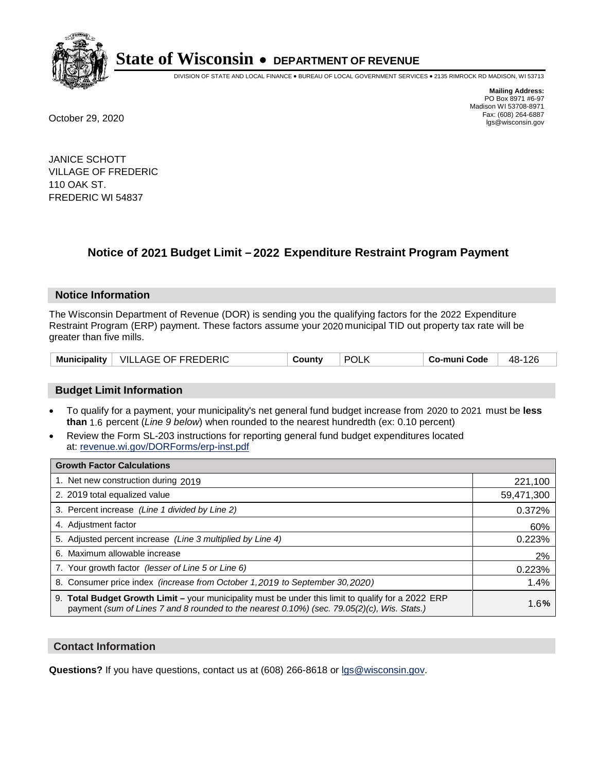

DIVISION OF STATE AND LOCAL FINANCE • BUREAU OF LOCAL GOVERNMENT SERVICES • 2135 RIMROCK RD MADISON, WI 53713

**Mailing Address:** PO Box 8971 #6-97 Madison WI 53708-8971<br>Fax: (608) 264-6887 Fax: (608) 264-6887 October 29, 2020 lgs@wisconsin.gov

JANICE SCHOTT VILLAGE OF FREDERIC 110 OAK ST. FREDERIC WI 54837

### **Notice of 2021 Budget Limit - 2022 Expenditure Restraint Program Payment**

#### **Notice Information**

The Wisconsin Department of Revenue (DOR) is sending you the qualifying factors for the 2022 Expenditure Restraint Program (ERP) payment. These factors assume your 2020 municipal TID out property tax rate will be greater than five mills.

| <b>Municipality</b> | VILLAGE OF FREDERIC | County | <b>POLK</b> | Co-muni Code | 126<br>48- |
|---------------------|---------------------|--------|-------------|--------------|------------|
|---------------------|---------------------|--------|-------------|--------------|------------|

### **Budget Limit Information**

- To qualify for a payment, your municipality's net general fund budget increase from 2020 to 2021 must be less **than** 1.6 percent (*Line 9 below*) when rounded to the nearest hundredth (ex: 0.10 percent)
- Review the Form SL-203 instructions for reporting general fund budget expenditures located at: revenue.wi.gov/DORForms/erp-inst.pdf

| <b>Growth Factor Calculations</b>                                                                                                                                                                      |            |
|--------------------------------------------------------------------------------------------------------------------------------------------------------------------------------------------------------|------------|
| 1. Net new construction during 2019                                                                                                                                                                    | 221,100    |
| 2. 2019 total equalized value                                                                                                                                                                          | 59,471,300 |
| 3. Percent increase (Line 1 divided by Line 2)                                                                                                                                                         | 0.372%     |
| 4. Adjustment factor                                                                                                                                                                                   | 60%        |
| 5. Adjusted percent increase (Line 3 multiplied by Line 4)                                                                                                                                             | 0.223%     |
| 6. Maximum allowable increase                                                                                                                                                                          | 2%         |
| 7. Your growth factor (lesser of Line 5 or Line 6)                                                                                                                                                     | 0.223%     |
| 8. Consumer price index (increase from October 1,2019 to September 30,2020)                                                                                                                            | 1.4%       |
| 9. Total Budget Growth Limit - your municipality must be under this limit to qualify for a 2022 ERP<br>payment (sum of Lines 7 and 8 rounded to the nearest $0.10\%$ ) (sec. 79.05(2)(c), Wis. Stats.) | 1.6%       |

#### **Contact Information**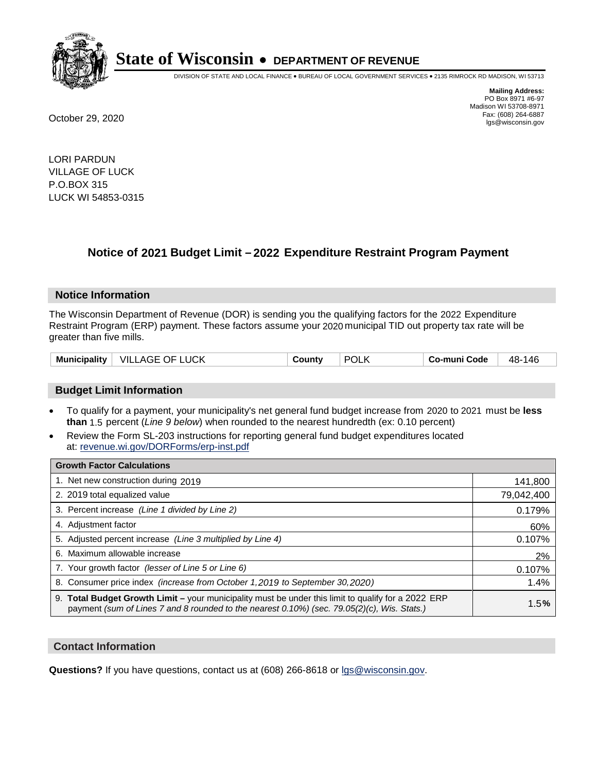

DIVISION OF STATE AND LOCAL FINANCE • BUREAU OF LOCAL GOVERNMENT SERVICES • 2135 RIMROCK RD MADISON, WI 53713

**Mailing Address:** PO Box 8971 #6-97 Madison WI 53708-8971<br>Fax: (608) 264-6887 Fax: (608) 264-6887 October 29, 2020 lgs@wisconsin.gov

LORI PARDUN VILLAGE OF LUCK P.O.BOX 315 LUCK WI 54853-0315

### **Notice of 2021 Budget Limit - 2022 Expenditure Restraint Program Payment**

#### **Notice Information**

The Wisconsin Department of Revenue (DOR) is sending you the qualifying factors for the 2022 Expenditure Restraint Program (ERP) payment. These factors assume your 2020 municipal TID out property tax rate will be greater than five mills.

| <b>Municipality</b> | <b>VILLAGE OF LUCK</b> | County | <b>POLK</b> | Co-muni Code | 48-146 |
|---------------------|------------------------|--------|-------------|--------------|--------|
|---------------------|------------------------|--------|-------------|--------------|--------|

### **Budget Limit Information**

- To qualify for a payment, your municipality's net general fund budget increase from 2020 to 2021 must be less **than** 1.5 percent (*Line 9 below*) when rounded to the nearest hundredth (ex: 0.10 percent)
- Review the Form SL-203 instructions for reporting general fund budget expenditures located at: revenue.wi.gov/DORForms/erp-inst.pdf

| <b>Growth Factor Calculations</b>                                                                                                                                                                      |            |
|--------------------------------------------------------------------------------------------------------------------------------------------------------------------------------------------------------|------------|
| 1. Net new construction during 2019                                                                                                                                                                    | 141,800    |
| 2. 2019 total equalized value                                                                                                                                                                          | 79,042,400 |
| 3. Percent increase (Line 1 divided by Line 2)                                                                                                                                                         | 0.179%     |
| 4. Adjustment factor                                                                                                                                                                                   | 60%        |
| 5. Adjusted percent increase (Line 3 multiplied by Line 4)                                                                                                                                             | 0.107%     |
| 6. Maximum allowable increase                                                                                                                                                                          | 2%         |
| 7. Your growth factor (lesser of Line 5 or Line 6)                                                                                                                                                     | 0.107%     |
| 8. Consumer price index (increase from October 1,2019 to September 30,2020)                                                                                                                            | 1.4%       |
| 9. Total Budget Growth Limit - your municipality must be under this limit to qualify for a 2022 ERP<br>payment (sum of Lines 7 and 8 rounded to the nearest $0.10\%$ ) (sec. 79.05(2)(c), Wis. Stats.) | 1.5%       |

#### **Contact Information**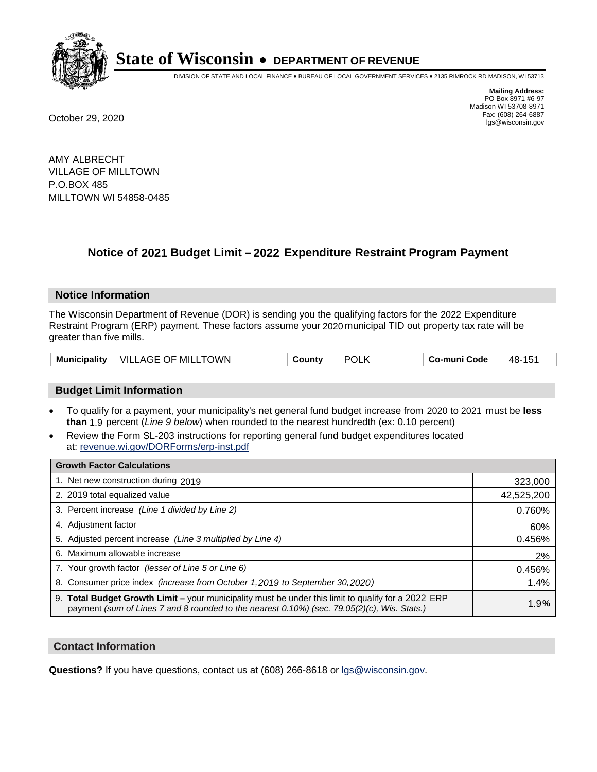

DIVISION OF STATE AND LOCAL FINANCE • BUREAU OF LOCAL GOVERNMENT SERVICES • 2135 RIMROCK RD MADISON, WI 53713

**Mailing Address:** PO Box 8971 #6-97 Madison WI 53708-8971<br>Fax: (608) 264-6887 Fax: (608) 264-6887 October 29, 2020 lgs@wisconsin.gov

AMY ALBRECHT VILLAGE OF MILLTOWN P.O.BOX 485 MILLTOWN WI 54858-0485

### **Notice of 2021 Budget Limit - 2022 Expenditure Restraint Program Payment**

#### **Notice Information**

The Wisconsin Department of Revenue (DOR) is sending you the qualifying factors for the 2022 Expenditure Restraint Program (ERP) payment. These factors assume your 2020 municipal TID out property tax rate will be greater than five mills.

| VILLAGE OF MILLTOWN | <b>POLK</b> | 48-          |  |
|---------------------|-------------|--------------|--|
| Municipality        | County      | Co-muni Code |  |

#### **Budget Limit Information**

- To qualify for a payment, your municipality's net general fund budget increase from 2020 to 2021 must be less **than** 1.9 percent (*Line 9 below*) when rounded to the nearest hundredth (ex: 0.10 percent)
- Review the Form SL-203 instructions for reporting general fund budget expenditures located at: revenue.wi.gov/DORForms/erp-inst.pdf

| <b>Growth Factor Calculations</b>                                                                                                                                                                      |            |
|--------------------------------------------------------------------------------------------------------------------------------------------------------------------------------------------------------|------------|
| 1. Net new construction during 2019                                                                                                                                                                    | 323,000    |
| 2. 2019 total equalized value                                                                                                                                                                          | 42,525,200 |
| 3. Percent increase (Line 1 divided by Line 2)                                                                                                                                                         | 0.760%     |
| 4. Adjustment factor                                                                                                                                                                                   | 60%        |
| 5. Adjusted percent increase (Line 3 multiplied by Line 4)                                                                                                                                             | 0.456%     |
| 6. Maximum allowable increase                                                                                                                                                                          | 2%         |
| 7. Your growth factor (lesser of Line 5 or Line 6)                                                                                                                                                     | 0.456%     |
| 8. Consumer price index (increase from October 1,2019 to September 30,2020)                                                                                                                            | 1.4%       |
| 9. Total Budget Growth Limit - your municipality must be under this limit to qualify for a 2022 ERP<br>payment (sum of Lines 7 and 8 rounded to the nearest $0.10\%$ ) (sec. 79.05(2)(c), Wis. Stats.) | 1.9%       |

#### **Contact Information**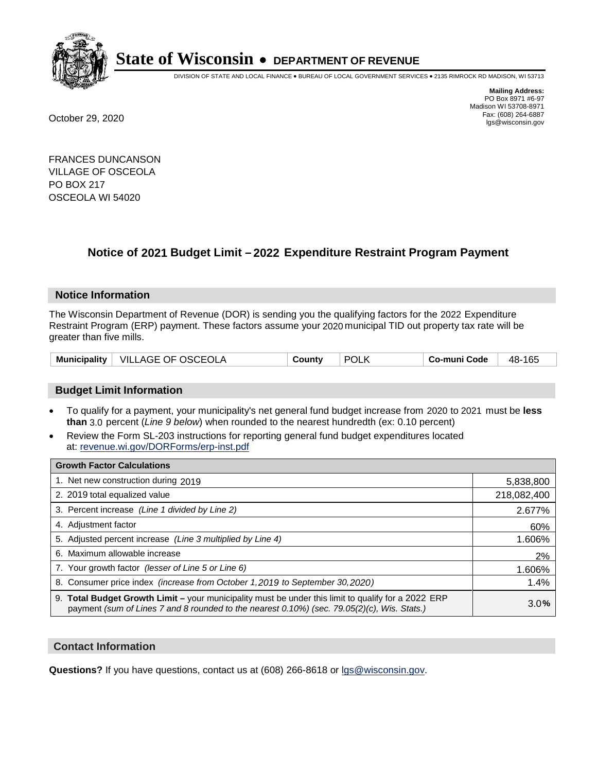

DIVISION OF STATE AND LOCAL FINANCE • BUREAU OF LOCAL GOVERNMENT SERVICES • 2135 RIMROCK RD MADISON, WI 53713

**Mailing Address:** PO Box 8971 #6-97 Madison WI 53708-8971<br>Fax: (608) 264-6887 Fax: (608) 264-6887 October 29, 2020 lgs@wisconsin.gov

FRANCES DUNCANSON VILLAGE OF OSCEOLA PO BOX 217 OSCEOLA WI 54020

## **Notice of 2021 Budget Limit - 2022 Expenditure Restraint Program Payment**

#### **Notice Information**

The Wisconsin Department of Revenue (DOR) is sending you the qualifying factors for the 2022 Expenditure Restraint Program (ERP) payment. These factors assume your 2020 municipal TID out property tax rate will be greater than five mills.

| $^+$ VILLAGE OF OSCEOLA<br><b>Municipality</b> | County | <b>POLK</b> | Co-muni Code | 165<br>48- |
|------------------------------------------------|--------|-------------|--------------|------------|
|------------------------------------------------|--------|-------------|--------------|------------|

### **Budget Limit Information**

- To qualify for a payment, your municipality's net general fund budget increase from 2020 to 2021 must be less **than** 3.0 percent (*Line 9 below*) when rounded to the nearest hundredth (ex: 0.10 percent)
- Review the Form SL-203 instructions for reporting general fund budget expenditures located at: revenue.wi.gov/DORForms/erp-inst.pdf

| <b>Growth Factor Calculations</b>                                                                                                                                                                  |             |
|----------------------------------------------------------------------------------------------------------------------------------------------------------------------------------------------------|-------------|
| 1. Net new construction during 2019                                                                                                                                                                | 5,838,800   |
| 2. 2019 total equalized value                                                                                                                                                                      | 218,082,400 |
| 3. Percent increase (Line 1 divided by Line 2)                                                                                                                                                     | 2.677%      |
| 4. Adjustment factor                                                                                                                                                                               | 60%         |
| 5. Adjusted percent increase (Line 3 multiplied by Line 4)                                                                                                                                         | 1.606%      |
| 6. Maximum allowable increase                                                                                                                                                                      | 2%          |
| 7. Your growth factor (lesser of Line 5 or Line 6)                                                                                                                                                 | 1.606%      |
| 8. Consumer price index (increase from October 1, 2019 to September 30, 2020)                                                                                                                      | 1.4%        |
| 9. Total Budget Growth Limit - your municipality must be under this limit to qualify for a 2022 ERP<br>payment (sum of Lines 7 and 8 rounded to the nearest 0.10%) (sec. 79.05(2)(c), Wis. Stats.) | 3.0%        |

#### **Contact Information**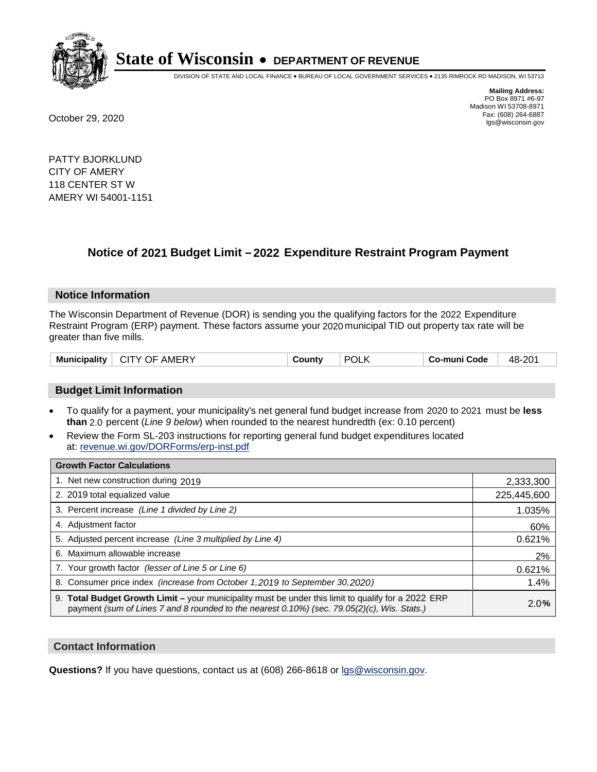

DIVISION OF STATE AND LOCAL FINANCE • BUREAU OF LOCAL GOVERNMENT SERVICES • 2135 RIMROCK RD MADISON, WI 53713

**Mailing Address:** PO Box 8971 #6-97 Madison WI 53708-8971<br>Fax: (608) 264-6887 Fax: (608) 264-6887 October 29, 2020 lgs@wisconsin.gov

PATTY BJORKLUND CITY OF AMERY 118 CENTER ST W AMERY WI 54001-1151

## **Notice of 2021 Budget Limit - 2022 Expenditure Restraint Program Payment**

#### **Notice Information**

The Wisconsin Department of Revenue (DOR) is sending you the qualifying factors for the 2022 Expenditure Restraint Program (ERP) payment. These factors assume your 2020 municipal TID out property tax rate will be greater than five mills.

| POL<br><b>Municipality</b><br><b>AMERY</b><br>CITY OF<br>.ountv | 48-201<br>Co-muni Code |
|-----------------------------------------------------------------|------------------------|
|-----------------------------------------------------------------|------------------------|

### **Budget Limit Information**

- To qualify for a payment, your municipality's net general fund budget increase from 2020 to 2021 must be less **than** 2.0 percent (*Line 9 below*) when rounded to the nearest hundredth (ex: 0.10 percent)
- Review the Form SL-203 instructions for reporting general fund budget expenditures located at: revenue.wi.gov/DORForms/erp-inst.pdf

| <b>Growth Factor Calculations</b>                                                                                                                                                                      |             |
|--------------------------------------------------------------------------------------------------------------------------------------------------------------------------------------------------------|-------------|
| 1. Net new construction during 2019                                                                                                                                                                    | 2,333,300   |
| 2. 2019 total equalized value                                                                                                                                                                          | 225,445,600 |
| 3. Percent increase (Line 1 divided by Line 2)                                                                                                                                                         | 1.035%      |
| 4. Adiustment factor                                                                                                                                                                                   | 60%         |
| 5. Adjusted percent increase (Line 3 multiplied by Line 4)                                                                                                                                             | 0.621%      |
| 6. Maximum allowable increase                                                                                                                                                                          | 2%          |
| 7. Your growth factor (lesser of Line 5 or Line 6)                                                                                                                                                     | 0.621%      |
| 8. Consumer price index (increase from October 1,2019 to September 30,2020)                                                                                                                            | 1.4%        |
| 9. Total Budget Growth Limit - your municipality must be under this limit to qualify for a 2022 ERP<br>payment (sum of Lines 7 and 8 rounded to the nearest $0.10\%$ ) (sec. 79.05(2)(c), Wis. Stats.) | 2.0%        |

#### **Contact Information**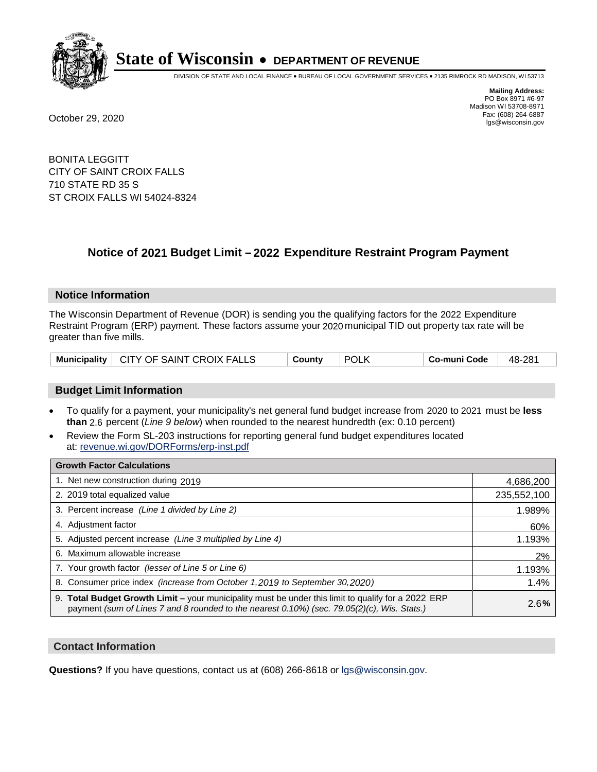

DIVISION OF STATE AND LOCAL FINANCE • BUREAU OF LOCAL GOVERNMENT SERVICES • 2135 RIMROCK RD MADISON, WI 53713

**Mailing Address:** PO Box 8971 #6-97 Madison WI 53708-8971<br>Fax: (608) 264-6887 Fax: (608) 264-6887 October 29, 2020 lgs@wisconsin.gov

BONITA LEGGITT CITY OF SAINT CROIX FALLS 710 STATE RD 35 S ST CROIX FALLS WI 54024-8324

## **Notice of 2021 Budget Limit - 2022 Expenditure Restraint Program Payment**

#### **Notice Information**

The Wisconsin Department of Revenue (DOR) is sending you the qualifying factors for the 2022 Expenditure Restraint Program (ERP) payment. These factors assume your 2020 municipal TID out property tax rate will be greater than five mills.

|  | Municipality   CITY OF SAINT CROIX FALLS | County | <b>POLK</b> | ∣ Co-muni Code | 48-281 |
|--|------------------------------------------|--------|-------------|----------------|--------|
|--|------------------------------------------|--------|-------------|----------------|--------|

### **Budget Limit Information**

- To qualify for a payment, your municipality's net general fund budget increase from 2020 to 2021 must be less **than** 2.6 percent (*Line 9 below*) when rounded to the nearest hundredth (ex: 0.10 percent)
- Review the Form SL-203 instructions for reporting general fund budget expenditures located at: revenue.wi.gov/DORForms/erp-inst.pdf

| <b>Growth Factor Calculations</b>                                                                                                                                                                  |             |
|----------------------------------------------------------------------------------------------------------------------------------------------------------------------------------------------------|-------------|
| 1. Net new construction during 2019                                                                                                                                                                | 4,686,200   |
| 2. 2019 total equalized value                                                                                                                                                                      | 235,552,100 |
| 3. Percent increase (Line 1 divided by Line 2)                                                                                                                                                     | 1.989%      |
| 4. Adjustment factor                                                                                                                                                                               | 60%         |
| 5. Adjusted percent increase (Line 3 multiplied by Line 4)                                                                                                                                         | 1.193%      |
| 6. Maximum allowable increase                                                                                                                                                                      | 2%          |
| 7. Your growth factor (lesser of Line 5 or Line 6)                                                                                                                                                 | 1.193%      |
| 8. Consumer price index (increase from October 1, 2019 to September 30, 2020)                                                                                                                      | 1.4%        |
| 9. Total Budget Growth Limit - your municipality must be under this limit to qualify for a 2022 ERP<br>payment (sum of Lines 7 and 8 rounded to the nearest 0.10%) (sec. 79.05(2)(c), Wis. Stats.) | 2.6%        |

#### **Contact Information**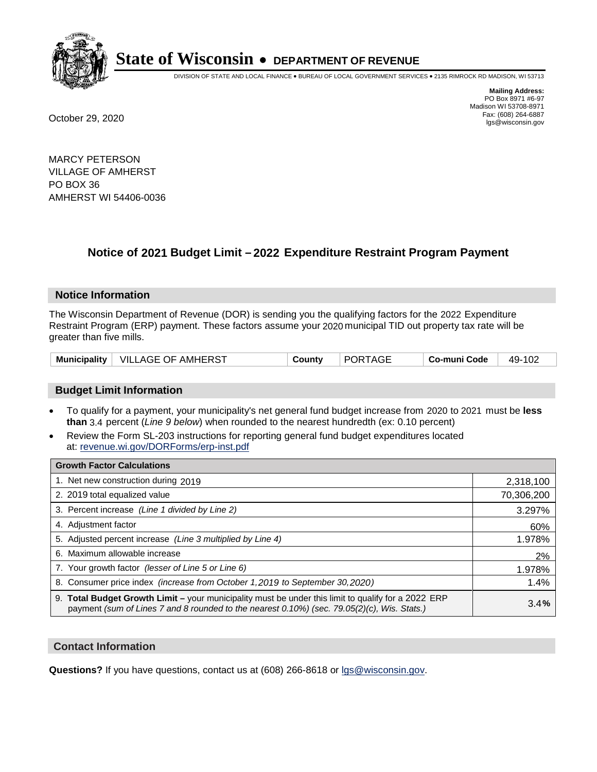

DIVISION OF STATE AND LOCAL FINANCE • BUREAU OF LOCAL GOVERNMENT SERVICES • 2135 RIMROCK RD MADISON, WI 53713

**Mailing Address:** PO Box 8971 #6-97 Madison WI 53708-8971<br>Fax: (608) 264-6887 Fax: (608) 264-6887 October 29, 2020 lgs@wisconsin.gov

MARCY PETERSON VILLAGE OF AMHERST PO BOX 36 AMHERST WI 54406-0036

### **Notice of 2021 Budget Limit - 2022 Expenditure Restraint Program Payment**

#### **Notice Information**

The Wisconsin Department of Revenue (DOR) is sending you the qualifying factors for the 2022 Expenditure Restraint Program (ERP) payment. These factors assume your 2020 municipal TID out property tax rate will be greater than five mills.

| <b>Municipality</b> | │ VILLAGE OF AMHERST | County | <b>PORTAGE</b> | Co-muni Code | 49-102 |
|---------------------|----------------------|--------|----------------|--------------|--------|
|---------------------|----------------------|--------|----------------|--------------|--------|

### **Budget Limit Information**

- To qualify for a payment, your municipality's net general fund budget increase from 2020 to 2021 must be less **than** 3.4 percent (*Line 9 below*) when rounded to the nearest hundredth (ex: 0.10 percent)
- Review the Form SL-203 instructions for reporting general fund budget expenditures located at: revenue.wi.gov/DORForms/erp-inst.pdf

| <b>Growth Factor Calculations</b>                                                                                                                                                                  |            |
|----------------------------------------------------------------------------------------------------------------------------------------------------------------------------------------------------|------------|
| 1. Net new construction during 2019                                                                                                                                                                | 2,318,100  |
| 2. 2019 total equalized value                                                                                                                                                                      | 70,306,200 |
| 3. Percent increase (Line 1 divided by Line 2)                                                                                                                                                     | 3.297%     |
| 4. Adjustment factor                                                                                                                                                                               | 60%        |
| 5. Adjusted percent increase (Line 3 multiplied by Line 4)                                                                                                                                         | 1.978%     |
| 6. Maximum allowable increase                                                                                                                                                                      | 2%         |
| 7. Your growth factor (lesser of Line 5 or Line 6)                                                                                                                                                 | 1.978%     |
| 8. Consumer price index (increase from October 1, 2019 to September 30, 2020)                                                                                                                      | 1.4%       |
| 9. Total Budget Growth Limit - your municipality must be under this limit to qualify for a 2022 ERP<br>payment (sum of Lines 7 and 8 rounded to the nearest 0.10%) (sec. 79.05(2)(c), Wis. Stats.) | 3.4%       |

#### **Contact Information**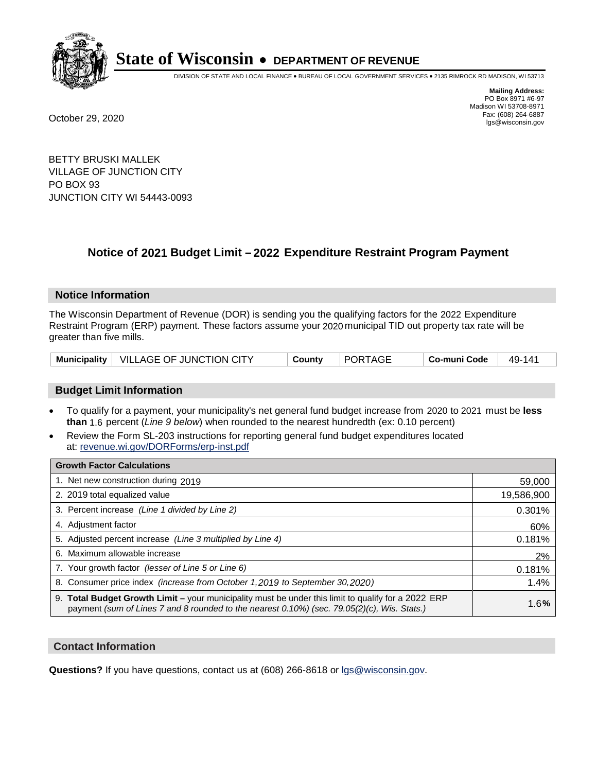

DIVISION OF STATE AND LOCAL FINANCE • BUREAU OF LOCAL GOVERNMENT SERVICES • 2135 RIMROCK RD MADISON, WI 53713

**Mailing Address:** PO Box 8971 #6-97 Madison WI 53708-8971<br>Fax: (608) 264-6887 Fax: (608) 264-6887 October 29, 2020 lgs@wisconsin.gov

BETTY BRUSKI MALLEK VILLAGE OF JUNCTION CITY PO BOX 93 JUNCTION CITY WI 54443-0093

### **Notice of 2021 Budget Limit - 2022 Expenditure Restraint Program Payment**

#### **Notice Information**

The Wisconsin Department of Revenue (DOR) is sending you the qualifying factors for the 2022 Expenditure Restraint Program (ERP) payment. These factors assume your 2020 municipal TID out property tax rate will be greater than five mills.

|  | Municipality   VILLAGE OF JUNCTION CITY | County | PORTAGE | Co-muni Code | 49-141 |
|--|-----------------------------------------|--------|---------|--------------|--------|
|--|-----------------------------------------|--------|---------|--------------|--------|

### **Budget Limit Information**

- To qualify for a payment, your municipality's net general fund budget increase from 2020 to 2021 must be less **than** 1.6 percent (*Line 9 below*) when rounded to the nearest hundredth (ex: 0.10 percent)
- Review the Form SL-203 instructions for reporting general fund budget expenditures located at: revenue.wi.gov/DORForms/erp-inst.pdf

| <b>Growth Factor Calculations</b>                                                                                                                                                                  |            |
|----------------------------------------------------------------------------------------------------------------------------------------------------------------------------------------------------|------------|
| 1. Net new construction during 2019                                                                                                                                                                | 59,000     |
| 2. 2019 total equalized value                                                                                                                                                                      | 19,586,900 |
| 3. Percent increase (Line 1 divided by Line 2)                                                                                                                                                     | 0.301%     |
| 4. Adjustment factor                                                                                                                                                                               | 60%        |
| 5. Adjusted percent increase (Line 3 multiplied by Line 4)                                                                                                                                         | 0.181%     |
| 6. Maximum allowable increase                                                                                                                                                                      | 2%         |
| 7. Your growth factor (lesser of Line 5 or Line 6)                                                                                                                                                 | 0.181%     |
| 8. Consumer price index (increase from October 1, 2019 to September 30, 2020)                                                                                                                      | 1.4%       |
| 9. Total Budget Growth Limit - your municipality must be under this limit to qualify for a 2022 ERP<br>payment (sum of Lines 7 and 8 rounded to the nearest 0.10%) (sec. 79.05(2)(c), Wis. Stats.) | 1.6%       |

#### **Contact Information**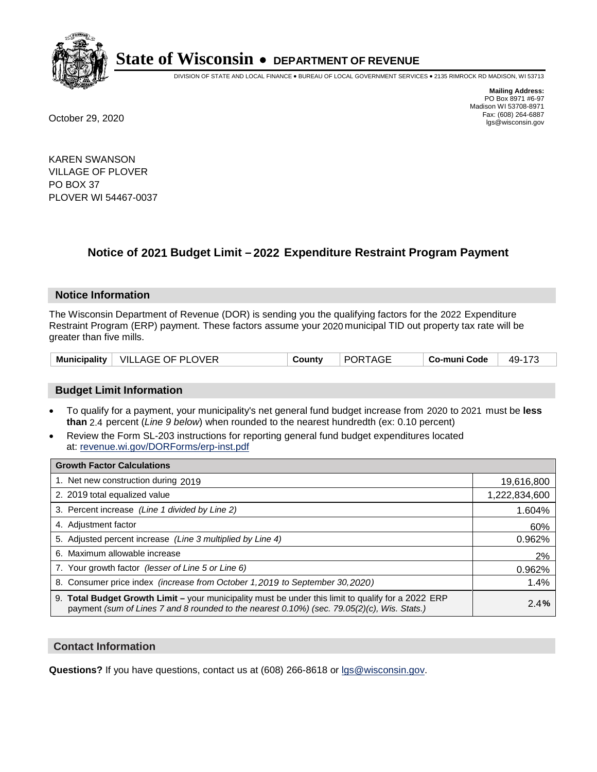

DIVISION OF STATE AND LOCAL FINANCE • BUREAU OF LOCAL GOVERNMENT SERVICES • 2135 RIMROCK RD MADISON, WI 53713

**Mailing Address:** PO Box 8971 #6-97 Madison WI 53708-8971<br>Fax: (608) 264-6887 Fax: (608) 264-6887 October 29, 2020 lgs@wisconsin.gov

KAREN SWANSON VILLAGE OF PLOVER PO BOX 37 PLOVER WI 54467-0037

### **Notice of 2021 Budget Limit - 2022 Expenditure Restraint Program Payment**

#### **Notice Information**

The Wisconsin Department of Revenue (DOR) is sending you the qualifying factors for the 2022 Expenditure Restraint Program (ERP) payment. These factors assume your 2020 municipal TID out property tax rate will be greater than five mills.

|  | Municipality   VILLAGE OF PLOVER | County | <b>PORTAGE</b> | Co-muni Code | 49-173 |
|--|----------------------------------|--------|----------------|--------------|--------|
|--|----------------------------------|--------|----------------|--------------|--------|

### **Budget Limit Information**

- To qualify for a payment, your municipality's net general fund budget increase from 2020 to 2021 must be less **than** 2.4 percent (*Line 9 below*) when rounded to the nearest hundredth (ex: 0.10 percent)
- Review the Form SL-203 instructions for reporting general fund budget expenditures located at: revenue.wi.gov/DORForms/erp-inst.pdf

| <b>Growth Factor Calculations</b>                                                                                                                                                                  |               |
|----------------------------------------------------------------------------------------------------------------------------------------------------------------------------------------------------|---------------|
| 1. Net new construction during 2019                                                                                                                                                                | 19,616,800    |
| 2. 2019 total equalized value                                                                                                                                                                      | 1,222,834,600 |
| 3. Percent increase (Line 1 divided by Line 2)                                                                                                                                                     | 1.604%        |
| 4. Adjustment factor                                                                                                                                                                               | 60%           |
| 5. Adjusted percent increase (Line 3 multiplied by Line 4)                                                                                                                                         | 0.962%        |
| 6. Maximum allowable increase                                                                                                                                                                      | 2%            |
| 7. Your growth factor (lesser of Line 5 or Line 6)                                                                                                                                                 | 0.962%        |
| 8. Consumer price index (increase from October 1,2019 to September 30,2020)                                                                                                                        | 1.4%          |
| 9. Total Budget Growth Limit - your municipality must be under this limit to qualify for a 2022 ERP<br>payment (sum of Lines 7 and 8 rounded to the nearest 0.10%) (sec. 79.05(2)(c), Wis. Stats.) | 2.4%          |

#### **Contact Information**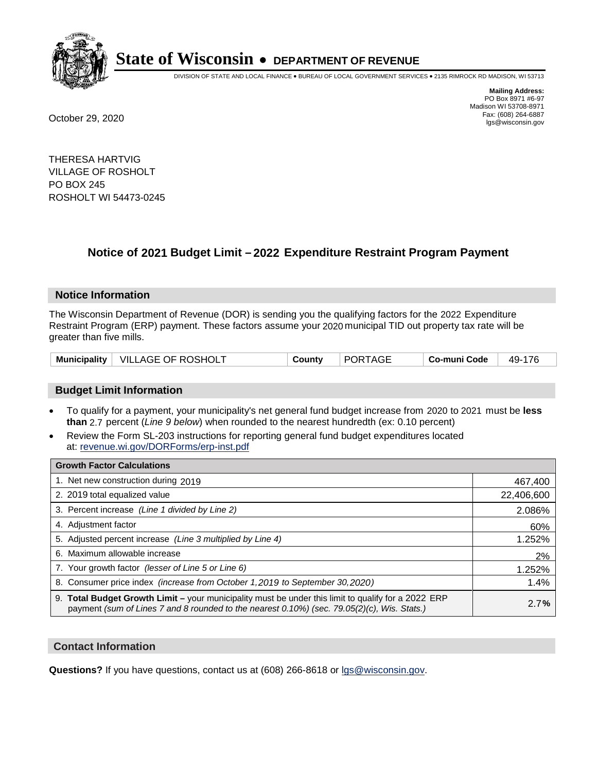

DIVISION OF STATE AND LOCAL FINANCE • BUREAU OF LOCAL GOVERNMENT SERVICES • 2135 RIMROCK RD MADISON, WI 53713

**Mailing Address:** PO Box 8971 #6-97 Madison WI 53708-8971<br>Fax: (608) 264-6887 Fax: (608) 264-6887 October 29, 2020 lgs@wisconsin.gov

THERESA HARTVIG VILLAGE OF ROSHOLT PO BOX 245 ROSHOLT WI 54473-0245

### **Notice of 2021 Budget Limit - 2022 Expenditure Restraint Program Payment**

#### **Notice Information**

The Wisconsin Department of Revenue (DOR) is sending you the qualifying factors for the 2022 Expenditure Restraint Program (ERP) payment. These factors assume your 2020 municipal TID out property tax rate will be greater than five mills.

### **Budget Limit Information**

- To qualify for a payment, your municipality's net general fund budget increase from 2020 to 2021 must be less **than** 2.7 percent (*Line 9 below*) when rounded to the nearest hundredth (ex: 0.10 percent)
- Review the Form SL-203 instructions for reporting general fund budget expenditures located at: revenue.wi.gov/DORForms/erp-inst.pdf

| <b>Growth Factor Calculations</b>                                                                                                                                                                      |            |
|--------------------------------------------------------------------------------------------------------------------------------------------------------------------------------------------------------|------------|
| 1. Net new construction during 2019                                                                                                                                                                    | 467,400    |
| 2. 2019 total equalized value                                                                                                                                                                          | 22,406,600 |
| 3. Percent increase (Line 1 divided by Line 2)                                                                                                                                                         | 2.086%     |
| 4. Adjustment factor                                                                                                                                                                                   | 60%        |
| 5. Adjusted percent increase (Line 3 multiplied by Line 4)                                                                                                                                             | 1.252%     |
| 6. Maximum allowable increase                                                                                                                                                                          | 2%         |
| 7. Your growth factor (lesser of Line 5 or Line 6)                                                                                                                                                     | 1.252%     |
| 8. Consumer price index (increase from October 1,2019 to September 30,2020)                                                                                                                            | 1.4%       |
| 9. Total Budget Growth Limit - your municipality must be under this limit to qualify for a 2022 ERP<br>payment (sum of Lines 7 and 8 rounded to the nearest $0.10\%$ ) (sec. 79.05(2)(c), Wis. Stats.) | 2.7%       |

#### **Contact Information**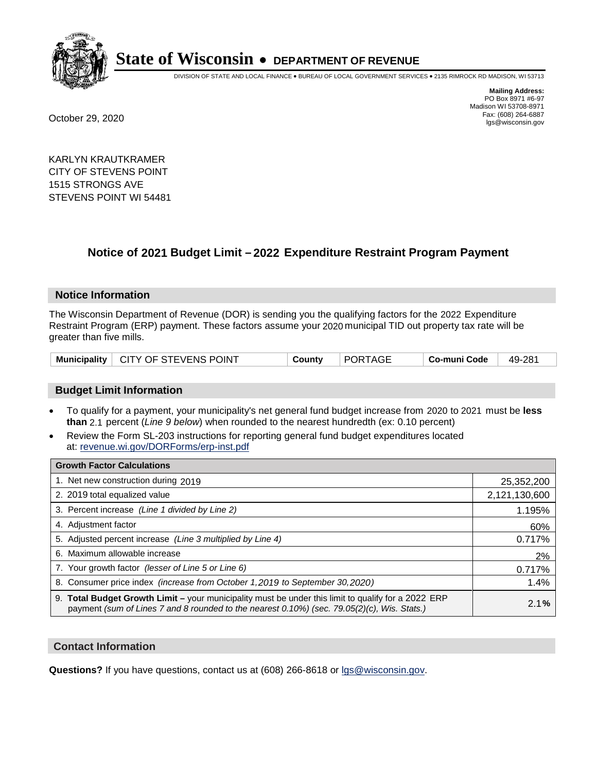

DIVISION OF STATE AND LOCAL FINANCE • BUREAU OF LOCAL GOVERNMENT SERVICES • 2135 RIMROCK RD MADISON, WI 53713

**Mailing Address:** PO Box 8971 #6-97 Madison WI 53708-8971<br>Fax: (608) 264-6887 Fax: (608) 264-6887 October 29, 2020 lgs@wisconsin.gov

KARLYN KRAUTKRAMER CITY OF STEVENS POINT 1515 STRONGS AVE STEVENS POINT WI 54481

### **Notice of 2021 Budget Limit - 2022 Expenditure Restraint Program Payment**

#### **Notice Information**

The Wisconsin Department of Revenue (DOR) is sending you the qualifying factors for the 2022 Expenditure Restraint Program (ERP) payment. These factors assume your 2020 municipal TID out property tax rate will be greater than five mills.

### **Budget Limit Information**

- To qualify for a payment, your municipality's net general fund budget increase from 2020 to 2021 must be less **than** 2.1 percent (*Line 9 below*) when rounded to the nearest hundredth (ex: 0.10 percent)
- Review the Form SL-203 instructions for reporting general fund budget expenditures located at: revenue.wi.gov/DORForms/erp-inst.pdf

| <b>Growth Factor Calculations</b>                                                                                                                                                                  |               |
|----------------------------------------------------------------------------------------------------------------------------------------------------------------------------------------------------|---------------|
| 1. Net new construction during 2019                                                                                                                                                                | 25,352,200    |
| 2. 2019 total equalized value                                                                                                                                                                      | 2,121,130,600 |
| 3. Percent increase (Line 1 divided by Line 2)                                                                                                                                                     | 1.195%        |
| 4. Adjustment factor                                                                                                                                                                               | 60%           |
| 5. Adjusted percent increase (Line 3 multiplied by Line 4)                                                                                                                                         | 0.717%        |
| 6. Maximum allowable increase                                                                                                                                                                      | 2%            |
| 7. Your growth factor (lesser of Line 5 or Line 6)                                                                                                                                                 | 0.717%        |
| 8. Consumer price index (increase from October 1,2019 to September 30,2020)                                                                                                                        | 1.4%          |
| 9. Total Budget Growth Limit - your municipality must be under this limit to qualify for a 2022 ERP<br>payment (sum of Lines 7 and 8 rounded to the nearest 0.10%) (sec. 79.05(2)(c), Wis. Stats.) | 2.1%          |

#### **Contact Information**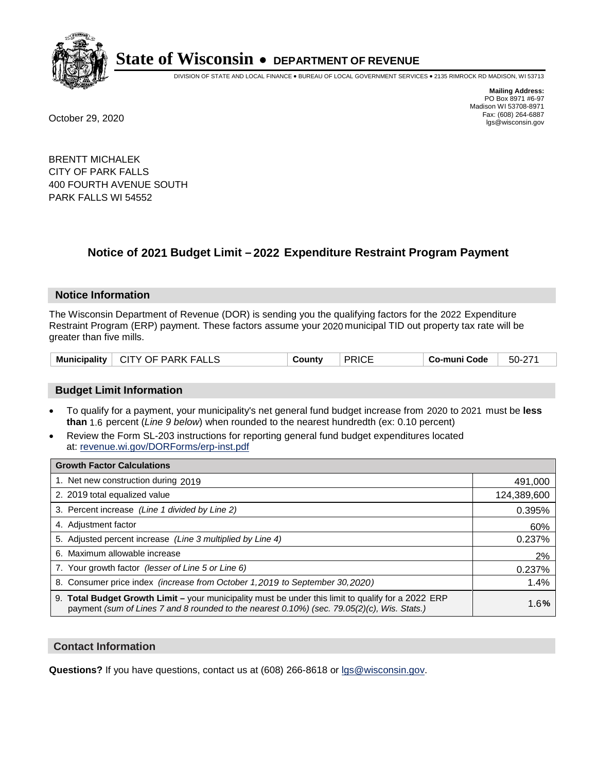

DIVISION OF STATE AND LOCAL FINANCE • BUREAU OF LOCAL GOVERNMENT SERVICES • 2135 RIMROCK RD MADISON, WI 53713

**Mailing Address:** PO Box 8971 #6-97 Madison WI 53708-8971<br>Fax: (608) 264-6887 Fax: (608) 264-6887 October 29, 2020 lgs@wisconsin.gov

BRENTT MICHALEK CITY OF PARK FALLS 400 FOURTH AVENUE SOUTH PARK FALLS WI 54552

# **Notice of 2021 Budget Limit - 2022 Expenditure Restraint Program Payment**

## **Notice Information**

The Wisconsin Department of Revenue (DOR) is sending you the qualifying factors for the 2022 Expenditure Restraint Program (ERP) payment. These factors assume your 2020 municipal TID out property tax rate will be greater than five mills.

| Municipality   CITY OF PARK FALLS | County | <b>PRICE</b> | Co-muni Code | 50-271 |
|-----------------------------------|--------|--------------|--------------|--------|
|-----------------------------------|--------|--------------|--------------|--------|

## **Budget Limit Information**

- To qualify for a payment, your municipality's net general fund budget increase from 2020 to 2021 must be less **than** 1.6 percent (*Line 9 below*) when rounded to the nearest hundredth (ex: 0.10 percent)
- Review the Form SL-203 instructions for reporting general fund budget expenditures located at: revenue.wi.gov/DORForms/erp-inst.pdf

| <b>Growth Factor Calculations</b>                                                                                                                                                                      |             |
|--------------------------------------------------------------------------------------------------------------------------------------------------------------------------------------------------------|-------------|
| 1. Net new construction during 2019                                                                                                                                                                    | 491,000     |
| 2. 2019 total equalized value                                                                                                                                                                          | 124,389,600 |
| 3. Percent increase (Line 1 divided by Line 2)                                                                                                                                                         | 0.395%      |
| 4. Adjustment factor                                                                                                                                                                                   | 60%         |
| 5. Adjusted percent increase (Line 3 multiplied by Line 4)                                                                                                                                             | 0.237%      |
| 6. Maximum allowable increase                                                                                                                                                                          | 2%          |
| 7. Your growth factor (lesser of Line 5 or Line 6)                                                                                                                                                     | 0.237%      |
| 8. Consumer price index (increase from October 1, 2019 to September 30, 2020)                                                                                                                          | 1.4%        |
| 9. Total Budget Growth Limit - your municipality must be under this limit to qualify for a 2022 ERP<br>payment (sum of Lines 7 and 8 rounded to the nearest $0.10\%$ ) (sec. 79.05(2)(c), Wis. Stats.) | 1.6%        |

## **Contact Information**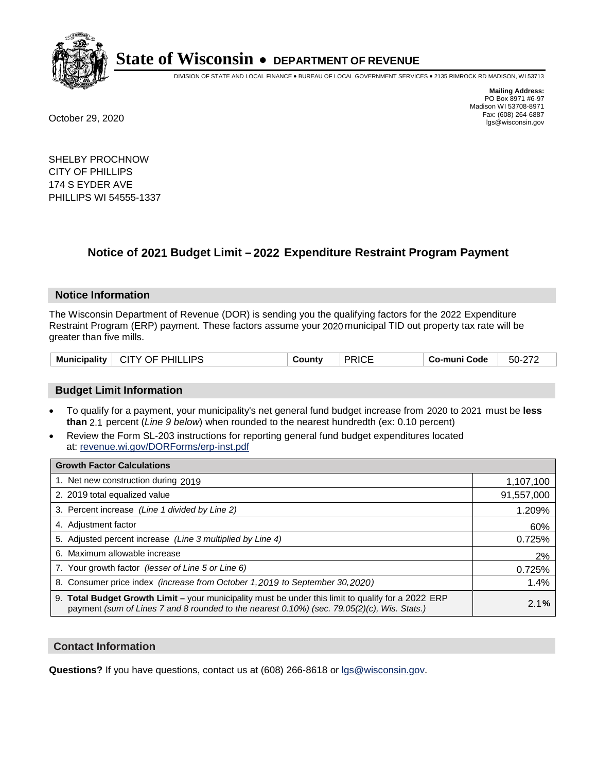

DIVISION OF STATE AND LOCAL FINANCE • BUREAU OF LOCAL GOVERNMENT SERVICES • 2135 RIMROCK RD MADISON, WI 53713

**Mailing Address:** PO Box 8971 #6-97 Madison WI 53708-8971<br>Fax: (608) 264-6887 Fax: (608) 264-6887 October 29, 2020 lgs@wisconsin.gov

SHELBY PROCHNOW CITY OF PHILLIPS 174 S EYDER AVE PHILLIPS WI 54555-1337

# **Notice of 2021 Budget Limit - 2022 Expenditure Restraint Program Payment**

#### **Notice Information**

The Wisconsin Department of Revenue (DOR) is sending you the qualifying factors for the 2022 Expenditure Restraint Program (ERP) payment. These factors assume your 2020 municipal TID out property tax rate will be greater than five mills.

| CITY OF PHILLIPS<br><b>Municipality</b> | County | <b>PRICE</b> | Co-muni Code | 50-272 |
|-----------------------------------------|--------|--------------|--------------|--------|
|-----------------------------------------|--------|--------------|--------------|--------|

## **Budget Limit Information**

- To qualify for a payment, your municipality's net general fund budget increase from 2020 to 2021 must be less **than** 2.1 percent (*Line 9 below*) when rounded to the nearest hundredth (ex: 0.10 percent)
- Review the Form SL-203 instructions for reporting general fund budget expenditures located at: revenue.wi.gov/DORForms/erp-inst.pdf

| <b>Growth Factor Calculations</b>                                                                                                                                                                  |            |
|----------------------------------------------------------------------------------------------------------------------------------------------------------------------------------------------------|------------|
| 1. Net new construction during 2019                                                                                                                                                                | 1,107,100  |
| 2. 2019 total equalized value                                                                                                                                                                      | 91,557,000 |
| 3. Percent increase (Line 1 divided by Line 2)                                                                                                                                                     | 1.209%     |
| 4. Adjustment factor                                                                                                                                                                               | 60%        |
| 5. Adjusted percent increase (Line 3 multiplied by Line 4)                                                                                                                                         | 0.725%     |
| 6. Maximum allowable increase                                                                                                                                                                      | 2%         |
| 7. Your growth factor (lesser of Line 5 or Line 6)                                                                                                                                                 | 0.725%     |
| 8. Consumer price index (increase from October 1, 2019 to September 30, 2020)                                                                                                                      | 1.4%       |
| 9. Total Budget Growth Limit - your municipality must be under this limit to qualify for a 2022 ERP<br>payment (sum of Lines 7 and 8 rounded to the nearest 0.10%) (sec. 79.05(2)(c), Wis. Stats.) | 2.1%       |

## **Contact Information**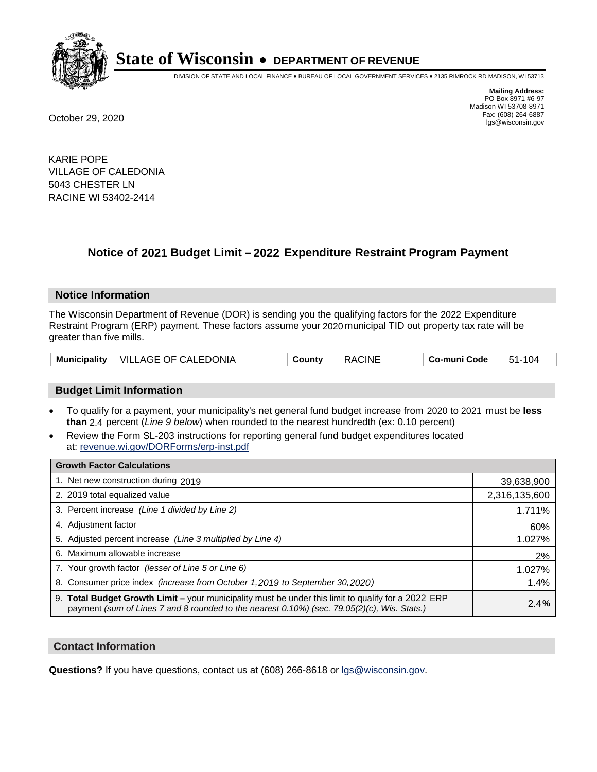

DIVISION OF STATE AND LOCAL FINANCE • BUREAU OF LOCAL GOVERNMENT SERVICES • 2135 RIMROCK RD MADISON, WI 53713

**Mailing Address:** PO Box 8971 #6-97 Madison WI 53708-8971<br>Fax: (608) 264-6887 Fax: (608) 264-6887 October 29, 2020 lgs@wisconsin.gov

KARIE POPE VILLAGE OF CALEDONIA 5043 CHESTER LN RACINE WI 53402-2414

# **Notice of 2021 Budget Limit - 2022 Expenditure Restraint Program Payment**

## **Notice Information**

The Wisconsin Department of Revenue (DOR) is sending you the qualifying factors for the 2022 Expenditure Restraint Program (ERP) payment. These factors assume your 2020 municipal TID out property tax rate will be greater than five mills.

| Municipality   VILLAGE OF CALEDONIA | Countv | <b>RACINE</b> | Co-muni Code | 51-104 |
|-------------------------------------|--------|---------------|--------------|--------|
|-------------------------------------|--------|---------------|--------------|--------|

## **Budget Limit Information**

- To qualify for a payment, your municipality's net general fund budget increase from 2020 to 2021 must be less **than** 2.4 percent (*Line 9 below*) when rounded to the nearest hundredth (ex: 0.10 percent)
- Review the Form SL-203 instructions for reporting general fund budget expenditures located at: revenue.wi.gov/DORForms/erp-inst.pdf

| <b>Growth Factor Calculations</b>                                                                                                                                                                      |               |
|--------------------------------------------------------------------------------------------------------------------------------------------------------------------------------------------------------|---------------|
| 1. Net new construction during 2019                                                                                                                                                                    | 39,638,900    |
| 2. 2019 total equalized value                                                                                                                                                                          | 2,316,135,600 |
| 3. Percent increase (Line 1 divided by Line 2)                                                                                                                                                         | 1.711%        |
| 4. Adjustment factor                                                                                                                                                                                   | 60%           |
| 5. Adjusted percent increase (Line 3 multiplied by Line 4)                                                                                                                                             | 1.027%        |
| 6. Maximum allowable increase                                                                                                                                                                          | 2%            |
| 7. Your growth factor (lesser of Line 5 or Line 6)                                                                                                                                                     | 1.027%        |
| 8. Consumer price index (increase from October 1, 2019 to September 30, 2020)                                                                                                                          | 1.4%          |
| 9. Total Budget Growth Limit - your municipality must be under this limit to qualify for a 2022 ERP<br>payment (sum of Lines 7 and 8 rounded to the nearest $0.10\%$ ) (sec. 79.05(2)(c), Wis. Stats.) | 2.4%          |

## **Contact Information**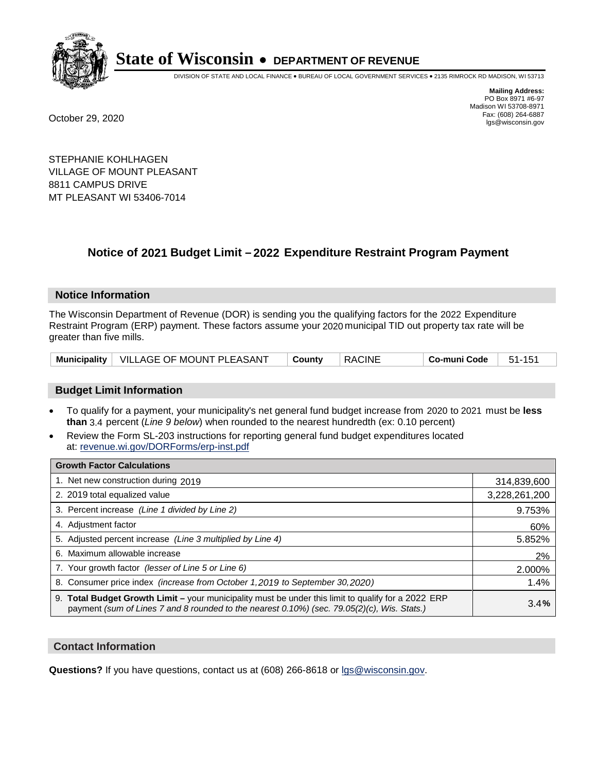

DIVISION OF STATE AND LOCAL FINANCE • BUREAU OF LOCAL GOVERNMENT SERVICES • 2135 RIMROCK RD MADISON, WI 53713

**Mailing Address:** PO Box 8971 #6-97 Madison WI 53708-8971<br>Fax: (608) 264-6887 Fax: (608) 264-6887 October 29, 2020 lgs@wisconsin.gov

STEPHANIE KOHLHAGEN VILLAGE OF MOUNT PLEASANT 8811 CAMPUS DRIVE MT PLEASANT WI 53406-7014

# **Notice of 2021 Budget Limit - 2022 Expenditure Restraint Program Payment**

#### **Notice Information**

The Wisconsin Department of Revenue (DOR) is sending you the qualifying factors for the 2022 Expenditure Restraint Program (ERP) payment. These factors assume your 2020 municipal TID out property tax rate will be greater than five mills.

|  | Municipality   VILLAGE OF MOUNT PLEASANT | <b>County</b> | <b>RACINE</b> | Co-muni Code | 51-151 |
|--|------------------------------------------|---------------|---------------|--------------|--------|
|--|------------------------------------------|---------------|---------------|--------------|--------|

## **Budget Limit Information**

- To qualify for a payment, your municipality's net general fund budget increase from 2020 to 2021 must be less **than** 3.4 percent (*Line 9 below*) when rounded to the nearest hundredth (ex: 0.10 percent)
- Review the Form SL-203 instructions for reporting general fund budget expenditures located at: revenue.wi.gov/DORForms/erp-inst.pdf

| <b>Growth Factor Calculations</b>                                                                                                                                                                      |               |
|--------------------------------------------------------------------------------------------------------------------------------------------------------------------------------------------------------|---------------|
| 1. Net new construction during 2019                                                                                                                                                                    | 314,839,600   |
| 2. 2019 total equalized value                                                                                                                                                                          | 3,228,261,200 |
| 3. Percent increase (Line 1 divided by Line 2)                                                                                                                                                         | 9.753%        |
| 4. Adjustment factor                                                                                                                                                                                   | 60%           |
| 5. Adjusted percent increase (Line 3 multiplied by Line 4)                                                                                                                                             | 5.852%        |
| 6. Maximum allowable increase                                                                                                                                                                          | 2%            |
| 7. Your growth factor (lesser of Line 5 or Line 6)                                                                                                                                                     | 2.000%        |
| 8. Consumer price index (increase from October 1, 2019 to September 30, 2020)                                                                                                                          | 1.4%          |
| 9. Total Budget Growth Limit - your municipality must be under this limit to qualify for a 2022 ERP<br>payment (sum of Lines 7 and 8 rounded to the nearest $0.10\%$ ) (sec. 79.05(2)(c), Wis. Stats.) | 3.4%          |

## **Contact Information**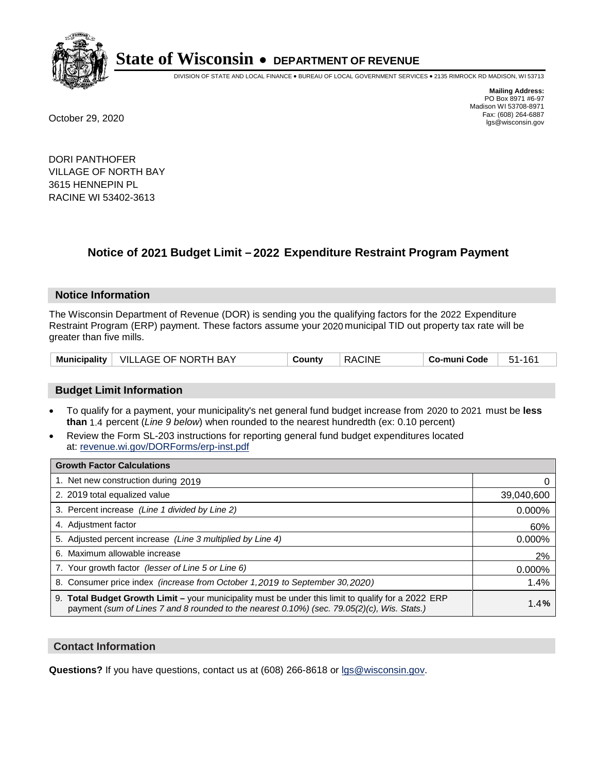

DIVISION OF STATE AND LOCAL FINANCE • BUREAU OF LOCAL GOVERNMENT SERVICES • 2135 RIMROCK RD MADISON, WI 53713

**Mailing Address:** PO Box 8971 #6-97 Madison WI 53708-8971<br>Fax: (608) 264-6887 Fax: (608) 264-6887 October 29, 2020 lgs@wisconsin.gov

DORI PANTHOFER VILLAGE OF NORTH BAY 3615 HENNEPIN PL RACINE WI 53402-3613

# **Notice of 2021 Budget Limit - 2022 Expenditure Restraint Program Payment**

## **Notice Information**

The Wisconsin Department of Revenue (DOR) is sending you the qualifying factors for the 2022 Expenditure Restraint Program (ERP) payment. These factors assume your 2020 municipal TID out property tax rate will be greater than five mills.

|  | Municipality   VILLAGE OF NORTH BAY | County | <b>RACINE</b> | Co-muni Code | 161<br>$51 -$ |
|--|-------------------------------------|--------|---------------|--------------|---------------|
|--|-------------------------------------|--------|---------------|--------------|---------------|

## **Budget Limit Information**

- To qualify for a payment, your municipality's net general fund budget increase from 2020 to 2021 must be less **than** 1.4 percent (*Line 9 below*) when rounded to the nearest hundredth (ex: 0.10 percent)
- Review the Form SL-203 instructions for reporting general fund budget expenditures located at: revenue.wi.gov/DORForms/erp-inst.pdf

| <b>Growth Factor Calculations</b>                                                                                                                                                                  |            |
|----------------------------------------------------------------------------------------------------------------------------------------------------------------------------------------------------|------------|
| 1. Net new construction during 2019                                                                                                                                                                |            |
| 2. 2019 total equalized value                                                                                                                                                                      | 39,040,600 |
| 3. Percent increase (Line 1 divided by Line 2)                                                                                                                                                     | $0.000\%$  |
| 4. Adjustment factor                                                                                                                                                                               | 60%        |
| 5. Adjusted percent increase (Line 3 multiplied by Line 4)                                                                                                                                         | 0.000%     |
| 6. Maximum allowable increase                                                                                                                                                                      | 2%         |
| 7. Your growth factor (lesser of Line 5 or Line 6)                                                                                                                                                 | 0.000%     |
| 8. Consumer price index (increase from October 1, 2019 to September 30, 2020)                                                                                                                      | 1.4%       |
| 9. Total Budget Growth Limit - your municipality must be under this limit to qualify for a 2022 ERP<br>payment (sum of Lines 7 and 8 rounded to the nearest 0.10%) (sec. 79.05(2)(c), Wis. Stats.) | 1.4%       |

## **Contact Information**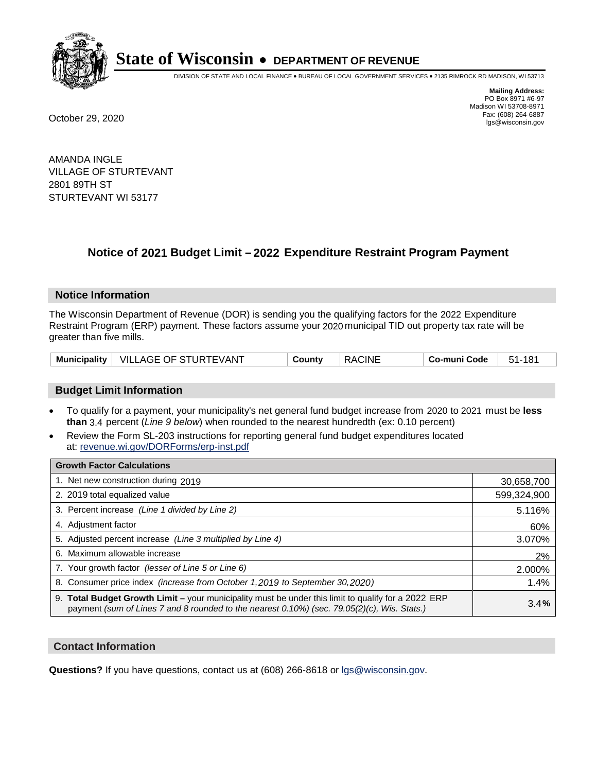

DIVISION OF STATE AND LOCAL FINANCE • BUREAU OF LOCAL GOVERNMENT SERVICES • 2135 RIMROCK RD MADISON, WI 53713

**Mailing Address:** PO Box 8971 #6-97 Madison WI 53708-8971<br>Fax: (608) 264-6887 Fax: (608) 264-6887 October 29, 2020 lgs@wisconsin.gov

AMANDA INGLE VILLAGE OF STURTEVANT 2801 89TH ST STURTEVANT WI 53177

# **Notice of 2021 Budget Limit - 2022 Expenditure Restraint Program Payment**

#### **Notice Information**

The Wisconsin Department of Revenue (DOR) is sending you the qualifying factors for the 2022 Expenditure Restraint Program (ERP) payment. These factors assume your 2020 municipal TID out property tax rate will be greater than five mills.

|  | Municipality   VILLAGE OF STURTEVANT | County | <b>RACINE</b> | Co-muni Code | 51-181 |
|--|--------------------------------------|--------|---------------|--------------|--------|
|--|--------------------------------------|--------|---------------|--------------|--------|

## **Budget Limit Information**

- To qualify for a payment, your municipality's net general fund budget increase from 2020 to 2021 must be less **than** 3.4 percent (*Line 9 below*) when rounded to the nearest hundredth (ex: 0.10 percent)
- Review the Form SL-203 instructions for reporting general fund budget expenditures located at: revenue.wi.gov/DORForms/erp-inst.pdf

| <b>Growth Factor Calculations</b>                                                                                                                                                                      |             |
|--------------------------------------------------------------------------------------------------------------------------------------------------------------------------------------------------------|-------------|
| 1. Net new construction during 2019                                                                                                                                                                    | 30,658,700  |
| 2. 2019 total equalized value                                                                                                                                                                          | 599,324,900 |
| 3. Percent increase (Line 1 divided by Line 2)                                                                                                                                                         | 5.116%      |
| 4. Adjustment factor                                                                                                                                                                                   | 60%         |
| 5. Adjusted percent increase (Line 3 multiplied by Line 4)                                                                                                                                             | 3.070%      |
| 6. Maximum allowable increase                                                                                                                                                                          | 2%          |
| 7. Your growth factor (lesser of Line 5 or Line 6)                                                                                                                                                     | 2.000%      |
| 8. Consumer price index (increase from October 1, 2019 to September 30, 2020)                                                                                                                          | 1.4%        |
| 9. Total Budget Growth Limit - your municipality must be under this limit to qualify for a 2022 ERP<br>payment (sum of Lines 7 and 8 rounded to the nearest $0.10\%$ ) (sec. 79.05(2)(c), Wis. Stats.) | 3.4%        |

## **Contact Information**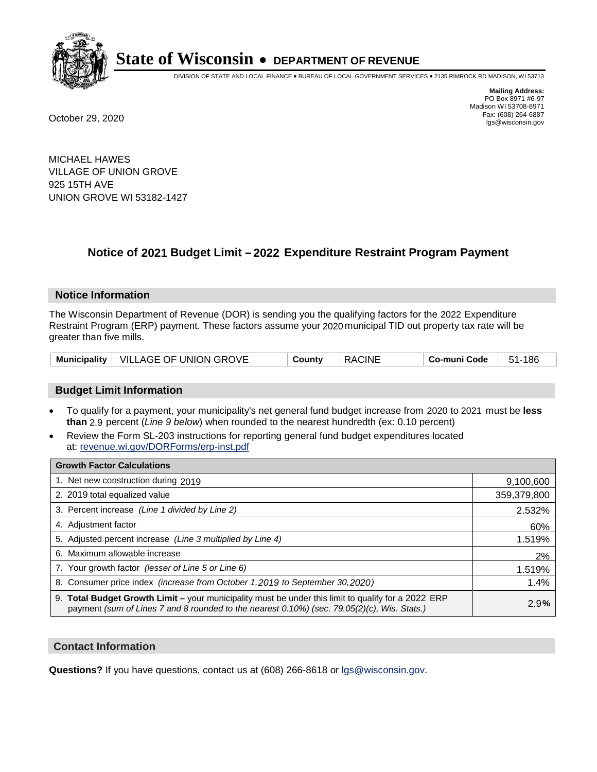

DIVISION OF STATE AND LOCAL FINANCE • BUREAU OF LOCAL GOVERNMENT SERVICES • 2135 RIMROCK RD MADISON, WI 53713

**Mailing Address:** PO Box 8971 #6-97 Madison WI 53708-8971<br>Fax: (608) 264-6887 Fax: (608) 264-6887 October 29, 2020 lgs@wisconsin.gov

MICHAEL HAWES VILLAGE OF UNION GROVE 925 15TH AVE UNION GROVE WI 53182-1427

# **Notice of 2021 Budget Limit - 2022 Expenditure Restraint Program Payment**

#### **Notice Information**

The Wisconsin Department of Revenue (DOR) is sending you the qualifying factors for the 2022 Expenditure Restraint Program (ERP) payment. These factors assume your 2020 municipal TID out property tax rate will be greater than five mills.

|  | Municipality   VILLAGE OF UNION GROVE | County | <b>RACINE</b> | Co-muni Code | 51-186 |
|--|---------------------------------------|--------|---------------|--------------|--------|
|--|---------------------------------------|--------|---------------|--------------|--------|

## **Budget Limit Information**

- To qualify for a payment, your municipality's net general fund budget increase from 2020 to 2021 must be less **than** 2.9 percent (*Line 9 below*) when rounded to the nearest hundredth (ex: 0.10 percent)
- Review the Form SL-203 instructions for reporting general fund budget expenditures located at: revenue.wi.gov/DORForms/erp-inst.pdf

| <b>Growth Factor Calculations</b>                                                                                                                                                                  |             |
|----------------------------------------------------------------------------------------------------------------------------------------------------------------------------------------------------|-------------|
| 1. Net new construction during 2019                                                                                                                                                                | 9,100,600   |
| 2. 2019 total equalized value                                                                                                                                                                      | 359,379,800 |
| 3. Percent increase (Line 1 divided by Line 2)                                                                                                                                                     | 2.532%      |
| 4. Adjustment factor                                                                                                                                                                               | 60%         |
| 5. Adjusted percent increase (Line 3 multiplied by Line 4)                                                                                                                                         | 1.519%      |
| 6. Maximum allowable increase                                                                                                                                                                      | 2%          |
| 7. Your growth factor (lesser of Line 5 or Line 6)                                                                                                                                                 | 1.519%      |
| 8. Consumer price index (increase from October 1, 2019 to September 30, 2020)                                                                                                                      | 1.4%        |
| 9. Total Budget Growth Limit - your municipality must be under this limit to qualify for a 2022 ERP<br>payment (sum of Lines 7 and 8 rounded to the nearest 0.10%) (sec. 79.05(2)(c), Wis. Stats.) | 2.9%        |

## **Contact Information**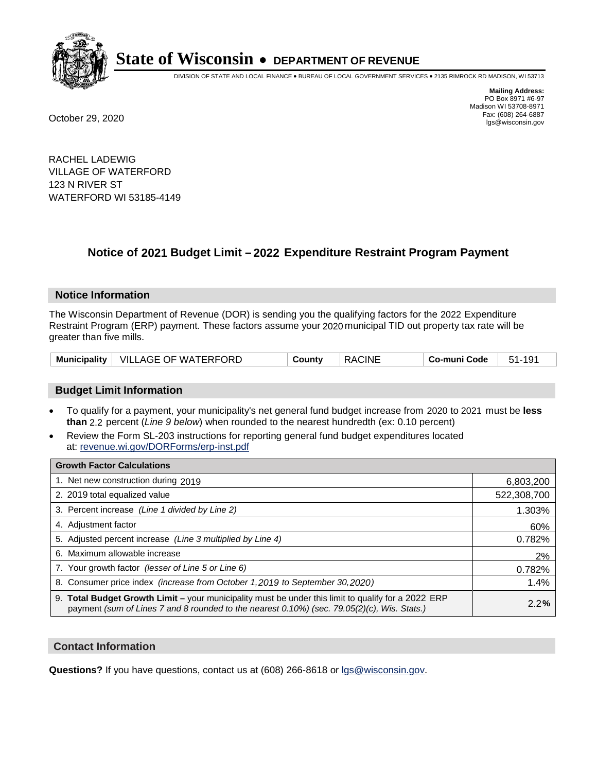

DIVISION OF STATE AND LOCAL FINANCE • BUREAU OF LOCAL GOVERNMENT SERVICES • 2135 RIMROCK RD MADISON, WI 53713

**Mailing Address:** PO Box 8971 #6-97 Madison WI 53708-8971<br>Fax: (608) 264-6887 Fax: (608) 264-6887 October 29, 2020 lgs@wisconsin.gov

RACHEL LADEWIG VILLAGE OF WATERFORD 123 N RIVER ST WATERFORD WI 53185-4149

# **Notice of 2021 Budget Limit - 2022 Expenditure Restraint Program Payment**

## **Notice Information**

The Wisconsin Department of Revenue (DOR) is sending you the qualifying factors for the 2022 Expenditure Restraint Program (ERP) payment. These factors assume your 2020 municipal TID out property tax rate will be greater than five mills.

|  | Municipality   VILLAGE OF WATERFORD | County | <b>RACINE</b> | Co-muni Code | 51-191 |
|--|-------------------------------------|--------|---------------|--------------|--------|
|--|-------------------------------------|--------|---------------|--------------|--------|

## **Budget Limit Information**

- To qualify for a payment, your municipality's net general fund budget increase from 2020 to 2021 must be less **than** 2.2 percent (*Line 9 below*) when rounded to the nearest hundredth (ex: 0.10 percent)
- Review the Form SL-203 instructions for reporting general fund budget expenditures located at: revenue.wi.gov/DORForms/erp-inst.pdf

| <b>Growth Factor Calculations</b>                                                                                                                                                                      |             |
|--------------------------------------------------------------------------------------------------------------------------------------------------------------------------------------------------------|-------------|
| 1. Net new construction during 2019                                                                                                                                                                    | 6,803,200   |
| 2. 2019 total equalized value                                                                                                                                                                          | 522,308,700 |
| 3. Percent increase (Line 1 divided by Line 2)                                                                                                                                                         | 1.303%      |
| 4. Adjustment factor                                                                                                                                                                                   | 60%         |
| 5. Adjusted percent increase (Line 3 multiplied by Line 4)                                                                                                                                             | 0.782%      |
| 6. Maximum allowable increase                                                                                                                                                                          | 2%          |
| 7. Your growth factor (lesser of Line 5 or Line 6)                                                                                                                                                     | 0.782%      |
| 8. Consumer price index (increase from October 1, 2019 to September 30, 2020)                                                                                                                          | 1.4%        |
| 9. Total Budget Growth Limit - your municipality must be under this limit to qualify for a 2022 ERP<br>payment (sum of Lines 7 and 8 rounded to the nearest $0.10\%$ ) (sec. 79.05(2)(c), Wis. Stats.) | 2.2%        |

## **Contact Information**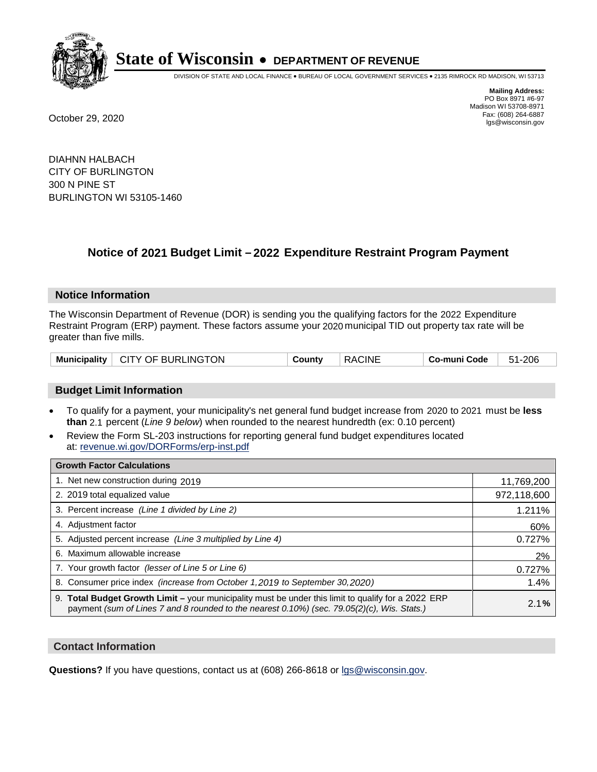

DIVISION OF STATE AND LOCAL FINANCE • BUREAU OF LOCAL GOVERNMENT SERVICES • 2135 RIMROCK RD MADISON, WI 53713

**Mailing Address:** PO Box 8971 #6-97 Madison WI 53708-8971<br>Fax: (608) 264-6887 Fax: (608) 264-6887 October 29, 2020 lgs@wisconsin.gov

DIAHNN HALBACH CITY OF BURLINGTON 300 N PINE ST BURLINGTON WI 53105-1460

# **Notice of 2021 Budget Limit - 2022 Expenditure Restraint Program Payment**

## **Notice Information**

The Wisconsin Department of Revenue (DOR) is sending you the qualifying factors for the 2022 Expenditure Restraint Program (ERP) payment. These factors assume your 2020 municipal TID out property tax rate will be greater than five mills.

| Municipality   CITY OF BURLINGTON | County | <b>RACINE</b> | Co-muni Code | 51-206 |
|-----------------------------------|--------|---------------|--------------|--------|
|-----------------------------------|--------|---------------|--------------|--------|

## **Budget Limit Information**

- To qualify for a payment, your municipality's net general fund budget increase from 2020 to 2021 must be less **than** 2.1 percent (*Line 9 below*) when rounded to the nearest hundredth (ex: 0.10 percent)
- Review the Form SL-203 instructions for reporting general fund budget expenditures located at: revenue.wi.gov/DORForms/erp-inst.pdf

| <b>Growth Factor Calculations</b>                                                                                                                                                                  |             |
|----------------------------------------------------------------------------------------------------------------------------------------------------------------------------------------------------|-------------|
| 1. Net new construction during 2019                                                                                                                                                                | 11,769,200  |
| 2. 2019 total equalized value                                                                                                                                                                      | 972,118,600 |
| 3. Percent increase (Line 1 divided by Line 2)                                                                                                                                                     | 1.211%      |
| 4. Adjustment factor                                                                                                                                                                               | 60%         |
| 5. Adjusted percent increase (Line 3 multiplied by Line 4)                                                                                                                                         | 0.727%      |
| 6. Maximum allowable increase                                                                                                                                                                      | 2%          |
| 7. Your growth factor (lesser of Line 5 or Line 6)                                                                                                                                                 | 0.727%      |
| 8. Consumer price index (increase from October 1, 2019 to September 30, 2020)                                                                                                                      | 1.4%        |
| 9. Total Budget Growth Limit - your municipality must be under this limit to qualify for a 2022 ERP<br>payment (sum of Lines 7 and 8 rounded to the nearest 0.10%) (sec. 79.05(2)(c), Wis. Stats.) | 2.1%        |

## **Contact Information**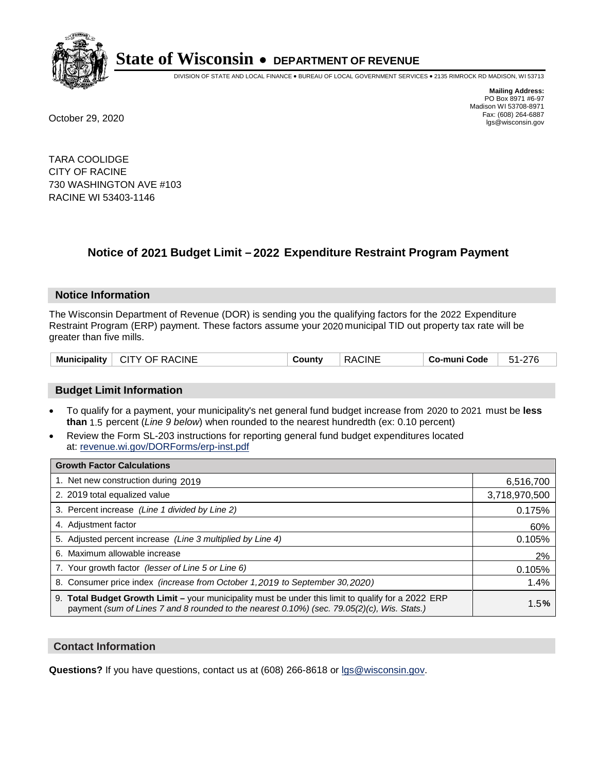

DIVISION OF STATE AND LOCAL FINANCE • BUREAU OF LOCAL GOVERNMENT SERVICES • 2135 RIMROCK RD MADISON, WI 53713

**Mailing Address:** PO Box 8971 #6-97 Madison WI 53708-8971<br>Fax: (608) 264-6887 Fax: (608) 264-6887 October 29, 2020 lgs@wisconsin.gov

TARA COOLIDGE CITY OF RACINE 730 WASHINGTON AVE #103 RACINE WI 53403-1146

# **Notice of 2021 Budget Limit - 2022 Expenditure Restraint Program Payment**

## **Notice Information**

The Wisconsin Department of Revenue (DOR) is sending you the qualifying factors for the 2022 Expenditure Restraint Program (ERP) payment. These factors assume your 2020 municipal TID out property tax rate will be greater than five mills.

| Municipality   CITY OF RACINE | County | RACINE | ∣ Co-muni Code ∣ | 51-276 |
|-------------------------------|--------|--------|------------------|--------|
|-------------------------------|--------|--------|------------------|--------|

## **Budget Limit Information**

- To qualify for a payment, your municipality's net general fund budget increase from 2020 to 2021 must be less **than** 1.5 percent (*Line 9 below*) when rounded to the nearest hundredth (ex: 0.10 percent)
- Review the Form SL-203 instructions for reporting general fund budget expenditures located at: revenue.wi.gov/DORForms/erp-inst.pdf

| <b>Growth Factor Calculations</b>                                                                                                                                                                      |               |
|--------------------------------------------------------------------------------------------------------------------------------------------------------------------------------------------------------|---------------|
| 1. Net new construction during 2019                                                                                                                                                                    | 6,516,700     |
| 2. 2019 total equalized value                                                                                                                                                                          | 3,718,970,500 |
| 3. Percent increase (Line 1 divided by Line 2)                                                                                                                                                         | 0.175%        |
| 4. Adjustment factor                                                                                                                                                                                   | 60%           |
| 5. Adjusted percent increase (Line 3 multiplied by Line 4)                                                                                                                                             | 0.105%        |
| 6. Maximum allowable increase                                                                                                                                                                          | 2%            |
| 7. Your growth factor (lesser of Line 5 or Line 6)                                                                                                                                                     | 0.105%        |
| 8. Consumer price index (increase from October 1, 2019 to September 30, 2020)                                                                                                                          | 1.4%          |
| 9. Total Budget Growth Limit - your municipality must be under this limit to qualify for a 2022 ERP<br>payment (sum of Lines 7 and 8 rounded to the nearest $0.10\%$ ) (sec. 79.05(2)(c), Wis. Stats.) | 1.5%          |

## **Contact Information**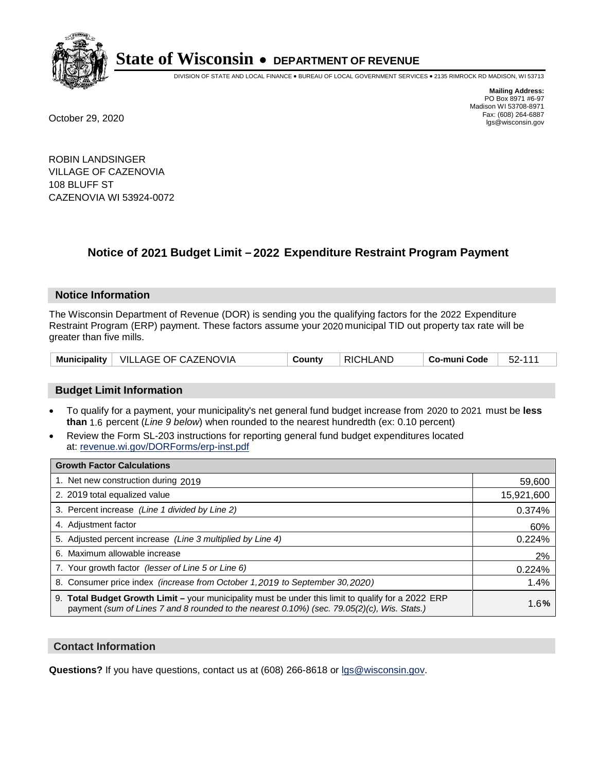

DIVISION OF STATE AND LOCAL FINANCE • BUREAU OF LOCAL GOVERNMENT SERVICES • 2135 RIMROCK RD MADISON, WI 53713

**Mailing Address:** PO Box 8971 #6-97 Madison WI 53708-8971<br>Fax: (608) 264-6887 Fax: (608) 264-6887 October 29, 2020 lgs@wisconsin.gov

ROBIN LANDSINGER VILLAGE OF CAZENOVIA 108 BLUFF ST CAZENOVIA WI 53924-0072

# **Notice of 2021 Budget Limit - 2022 Expenditure Restraint Program Payment**

#### **Notice Information**

The Wisconsin Department of Revenue (DOR) is sending you the qualifying factors for the 2022 Expenditure Restraint Program (ERP) payment. These factors assume your 2020 municipal TID out property tax rate will be greater than five mills.

|  | Municipality   VILLAGE OF CAZENOVIA | County | <b>RICHLAND</b> | Co-muni Code | 52-111 |
|--|-------------------------------------|--------|-----------------|--------------|--------|
|--|-------------------------------------|--------|-----------------|--------------|--------|

## **Budget Limit Information**

- To qualify for a payment, your municipality's net general fund budget increase from 2020 to 2021 must be less **than** 1.6 percent (*Line 9 below*) when rounded to the nearest hundredth (ex: 0.10 percent)
- Review the Form SL-203 instructions for reporting general fund budget expenditures located at: revenue.wi.gov/DORForms/erp-inst.pdf

| <b>Growth Factor Calculations</b>                                                                                                                                                                      |            |
|--------------------------------------------------------------------------------------------------------------------------------------------------------------------------------------------------------|------------|
| 1. Net new construction during 2019                                                                                                                                                                    | 59,600     |
| 2. 2019 total equalized value                                                                                                                                                                          | 15,921,600 |
| 3. Percent increase (Line 1 divided by Line 2)                                                                                                                                                         | 0.374%     |
| 4. Adjustment factor                                                                                                                                                                                   | 60%        |
| 5. Adjusted percent increase (Line 3 multiplied by Line 4)                                                                                                                                             | 0.224%     |
| 6. Maximum allowable increase                                                                                                                                                                          | 2%         |
| 7. Your growth factor (lesser of Line 5 or Line 6)                                                                                                                                                     | 0.224%     |
| 8. Consumer price index (increase from October 1, 2019 to September 30, 2020)                                                                                                                          | 1.4%       |
| 9. Total Budget Growth Limit - your municipality must be under this limit to qualify for a 2022 ERP<br>payment (sum of Lines 7 and 8 rounded to the nearest $0.10\%$ ) (sec. 79.05(2)(c), Wis. Stats.) | 1.6%       |

## **Contact Information**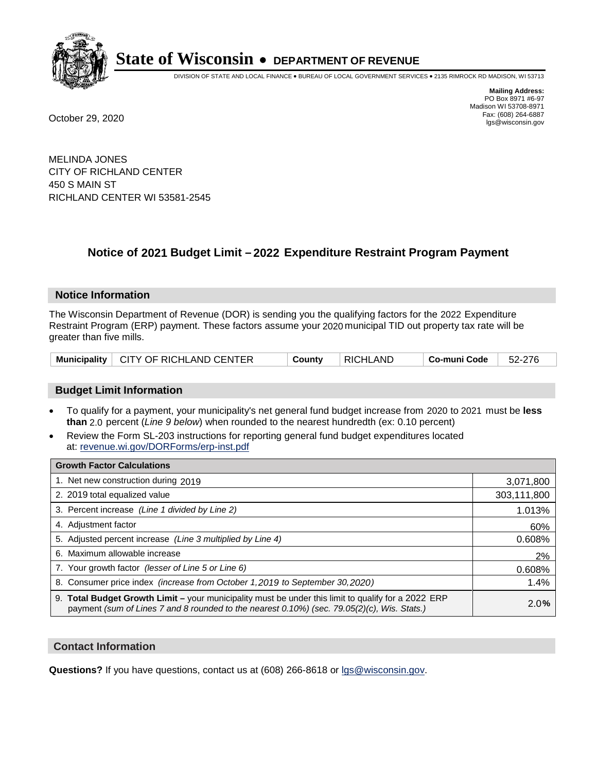

DIVISION OF STATE AND LOCAL FINANCE • BUREAU OF LOCAL GOVERNMENT SERVICES • 2135 RIMROCK RD MADISON, WI 53713

**Mailing Address:** PO Box 8971 #6-97 Madison WI 53708-8971<br>Fax: (608) 264-6887 Fax: (608) 264-6887 October 29, 2020 lgs@wisconsin.gov

MELINDA JONES CITY OF RICHLAND CENTER 450 S MAIN ST RICHLAND CENTER WI 53581-2545

# **Notice of 2021 Budget Limit - 2022 Expenditure Restraint Program Payment**

## **Notice Information**

The Wisconsin Department of Revenue (DOR) is sending you the qualifying factors for the 2022 Expenditure Restraint Program (ERP) payment. These factors assume your 2020 municipal TID out property tax rate will be greater than five mills.

|  | Municipality   CITY OF RICHLAND CENTER | County | RICHLAND | <b>↓ Co-muni Code</b> | $\vert$ 52-276 |
|--|----------------------------------------|--------|----------|-----------------------|----------------|
|--|----------------------------------------|--------|----------|-----------------------|----------------|

## **Budget Limit Information**

- To qualify for a payment, your municipality's net general fund budget increase from 2020 to 2021 must be less **than** 2.0 percent (*Line 9 below*) when rounded to the nearest hundredth (ex: 0.10 percent)
- Review the Form SL-203 instructions for reporting general fund budget expenditures located at: revenue.wi.gov/DORForms/erp-inst.pdf

| <b>Growth Factor Calculations</b>                                                                                                                                                                  |             |
|----------------------------------------------------------------------------------------------------------------------------------------------------------------------------------------------------|-------------|
| 1. Net new construction during 2019                                                                                                                                                                | 3,071,800   |
| 2. 2019 total equalized value                                                                                                                                                                      | 303,111,800 |
| 3. Percent increase (Line 1 divided by Line 2)                                                                                                                                                     | 1.013%      |
| 4. Adjustment factor                                                                                                                                                                               | 60%         |
| 5. Adjusted percent increase (Line 3 multiplied by Line 4)                                                                                                                                         | 0.608%      |
| 6. Maximum allowable increase                                                                                                                                                                      | 2%          |
| 7. Your growth factor (lesser of Line 5 or Line 6)                                                                                                                                                 | 0.608%      |
| 8. Consumer price index (increase from October 1, 2019 to September 30, 2020)                                                                                                                      | 1.4%        |
| 9. Total Budget Growth Limit - your municipality must be under this limit to qualify for a 2022 ERP<br>payment (sum of Lines 7 and 8 rounded to the nearest 0.10%) (sec. 79.05(2)(c), Wis. Stats.) | 2.0%        |

## **Contact Information**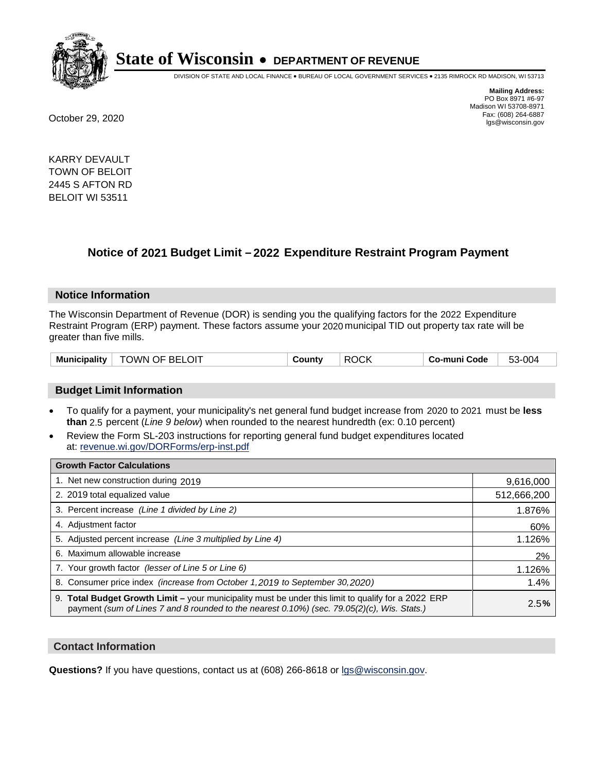

DIVISION OF STATE AND LOCAL FINANCE • BUREAU OF LOCAL GOVERNMENT SERVICES • 2135 RIMROCK RD MADISON, WI 53713

**Mailing Address:** PO Box 8971 #6-97 Madison WI 53708-8971<br>Fax: (608) 264-6887 Fax: (608) 264-6887 October 29, 2020 lgs@wisconsin.gov

KARRY DEVAULT TOWN OF BELOIT 2445 S AFTON RD BELOIT WI 53511

# **Notice of 2021 Budget Limit - 2022 Expenditure Restraint Program Payment**

## **Notice Information**

The Wisconsin Department of Revenue (DOR) is sending you the qualifying factors for the 2022 Expenditure Restraint Program (ERP) payment. These factors assume your 2020 municipal TID out property tax rate will be greater than five mills.

| <b>TOWN OF BELOIT</b><br>Municipality | County | <b>ROCK</b> | Co-muni Code | 53-004 |
|---------------------------------------|--------|-------------|--------------|--------|
|---------------------------------------|--------|-------------|--------------|--------|

## **Budget Limit Information**

- To qualify for a payment, your municipality's net general fund budget increase from 2020 to 2021 must be less **than** 2.5 percent (*Line 9 below*) when rounded to the nearest hundredth (ex: 0.10 percent)
- Review the Form SL-203 instructions for reporting general fund budget expenditures located at: revenue.wi.gov/DORForms/erp-inst.pdf

| <b>Growth Factor Calculations</b>                                                                                                                                                                      |             |
|--------------------------------------------------------------------------------------------------------------------------------------------------------------------------------------------------------|-------------|
| 1. Net new construction during 2019                                                                                                                                                                    | 9,616,000   |
| 2. 2019 total equalized value                                                                                                                                                                          | 512,666,200 |
| 3. Percent increase (Line 1 divided by Line 2)                                                                                                                                                         | 1.876%      |
| 4. Adjustment factor                                                                                                                                                                                   | 60%         |
| 5. Adjusted percent increase (Line 3 multiplied by Line 4)                                                                                                                                             | 1.126%      |
| 6. Maximum allowable increase                                                                                                                                                                          | 2%          |
| 7. Your growth factor (lesser of Line 5 or Line 6)                                                                                                                                                     | 1.126%      |
| 8. Consumer price index (increase from October 1, 2019 to September 30, 2020)                                                                                                                          | 1.4%        |
| 9. Total Budget Growth Limit - your municipality must be under this limit to qualify for a 2022 ERP<br>payment (sum of Lines 7 and 8 rounded to the nearest $0.10\%$ ) (sec. 79.05(2)(c), Wis. Stats.) | 2.5%        |

## **Contact Information**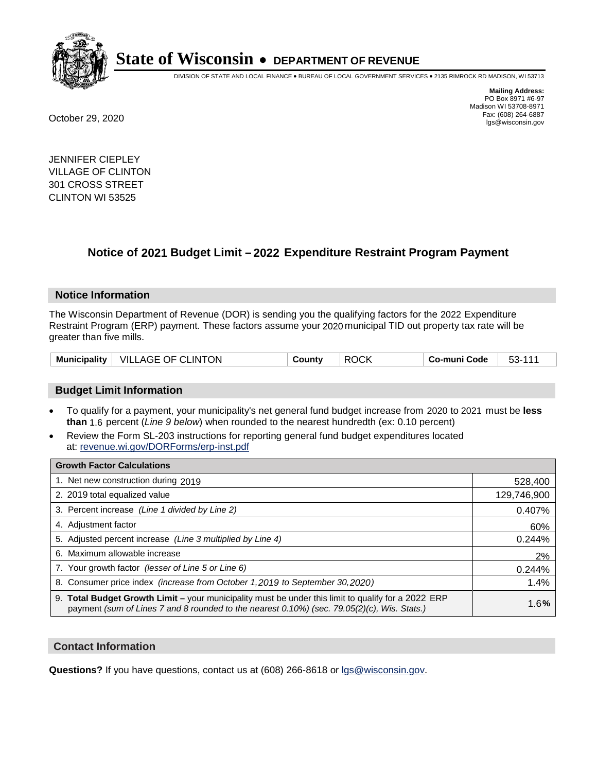

DIVISION OF STATE AND LOCAL FINANCE • BUREAU OF LOCAL GOVERNMENT SERVICES • 2135 RIMROCK RD MADISON, WI 53713

**Mailing Address:** PO Box 8971 #6-97 Madison WI 53708-8971<br>Fax: (608) 264-6887 Fax: (608) 264-6887 October 29, 2020 lgs@wisconsin.gov

JENNIFER CIEPLEY VILLAGE OF CLINTON 301 CROSS STREET CLINTON WI 53525

# **Notice of 2021 Budget Limit - 2022 Expenditure Restraint Program Payment**

## **Notice Information**

The Wisconsin Department of Revenue (DOR) is sending you the qualifying factors for the 2022 Expenditure Restraint Program (ERP) payment. These factors assume your 2020 municipal TID out property tax rate will be greater than five mills.

| Municipality | VILLAGE OF CLINTON | ∟ount∨ | $\sim$<br>DC.<br>.) ( .) K<br>rι | o-muni Code، ن | ¬ ร– .<br>ື |
|--------------|--------------------|--------|----------------------------------|----------------|-------------|
|--------------|--------------------|--------|----------------------------------|----------------|-------------|

# **Budget Limit Information**

- To qualify for a payment, your municipality's net general fund budget increase from 2020 to 2021 must be less **than** 1.6 percent (*Line 9 below*) when rounded to the nearest hundredth (ex: 0.10 percent)
- Review the Form SL-203 instructions for reporting general fund budget expenditures located at: revenue.wi.gov/DORForms/erp-inst.pdf

| <b>Growth Factor Calculations</b>                                                                                                                                                                      |             |
|--------------------------------------------------------------------------------------------------------------------------------------------------------------------------------------------------------|-------------|
| 1. Net new construction during 2019                                                                                                                                                                    | 528,400     |
| 2. 2019 total equalized value                                                                                                                                                                          | 129,746,900 |
| 3. Percent increase (Line 1 divided by Line 2)                                                                                                                                                         | 0.407%      |
| 4. Adiustment factor                                                                                                                                                                                   | 60%         |
| 5. Adjusted percent increase (Line 3 multiplied by Line 4)                                                                                                                                             | 0.244%      |
| 6. Maximum allowable increase                                                                                                                                                                          | 2%          |
| 7. Your growth factor (lesser of Line 5 or Line 6)                                                                                                                                                     | 0.244%      |
| 8. Consumer price index (increase from October 1,2019 to September 30,2020)                                                                                                                            | 1.4%        |
| 9. Total Budget Growth Limit - your municipality must be under this limit to qualify for a 2022 ERP<br>payment (sum of Lines 7 and 8 rounded to the nearest $0.10\%$ ) (sec. 79.05(2)(c), Wis. Stats.) | 1.6%        |

## **Contact Information**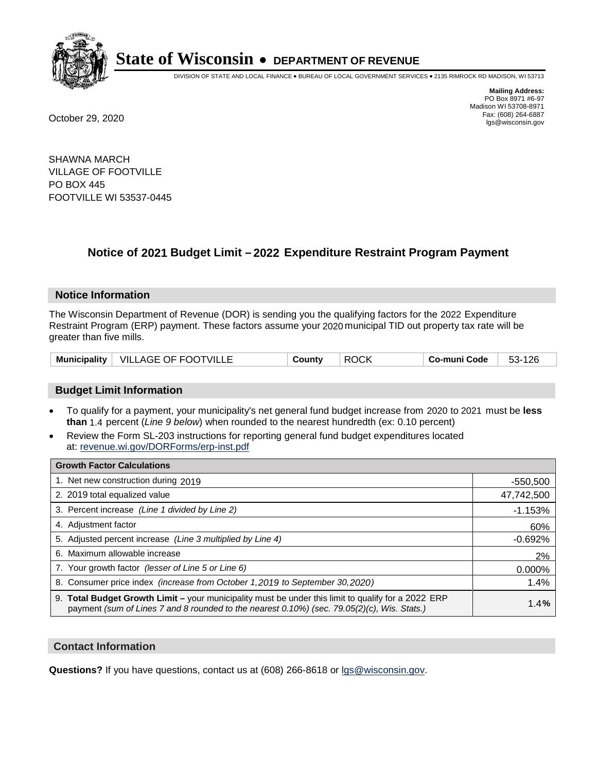

DIVISION OF STATE AND LOCAL FINANCE • BUREAU OF LOCAL GOVERNMENT SERVICES • 2135 RIMROCK RD MADISON, WI 53713

**Mailing Address:** PO Box 8971 #6-97 Madison WI 53708-8971<br>Fax: (608) 264-6887 Fax: (608) 264-6887 October 29, 2020 lgs@wisconsin.gov

SHAWNA MARCH VILLAGE OF FOOTVILLE PO BOX 445 FOOTVILLE WI 53537-0445

# **Notice of 2021 Budget Limit - 2022 Expenditure Restraint Program Payment**

#### **Notice Information**

The Wisconsin Department of Revenue (DOR) is sending you the qualifying factors for the 2022 Expenditure Restraint Program (ERP) payment. These factors assume your 2020 municipal TID out property tax rate will be greater than five mills.

| <b>Municipality</b> | <b>VILLAGE OF FOOTVILLE</b> | ountvٽ | ΩL<br>RC<br>7 U.N | ' o-muni Code | 26،<br>၁၁- |
|---------------------|-----------------------------|--------|-------------------|---------------|------------|
|---------------------|-----------------------------|--------|-------------------|---------------|------------|

## **Budget Limit Information**

- To qualify for a payment, your municipality's net general fund budget increase from 2020 to 2021 must be less **than** 1.4 percent (*Line 9 below*) when rounded to the nearest hundredth (ex: 0.10 percent)
- Review the Form SL-203 instructions for reporting general fund budget expenditures located at: revenue.wi.gov/DORForms/erp-inst.pdf

| <b>Growth Factor Calculations</b>                                                                                                                                                                      |            |
|--------------------------------------------------------------------------------------------------------------------------------------------------------------------------------------------------------|------------|
| 1. Net new construction during 2019                                                                                                                                                                    | $-550,500$ |
| 2. 2019 total equalized value                                                                                                                                                                          | 47,742,500 |
| 3. Percent increase (Line 1 divided by Line 2)                                                                                                                                                         | $-1.153%$  |
| 4. Adjustment factor                                                                                                                                                                                   | 60%        |
| 5. Adjusted percent increase (Line 3 multiplied by Line 4)                                                                                                                                             | $-0.692%$  |
| 6. Maximum allowable increase                                                                                                                                                                          | 2%         |
| 7. Your growth factor (lesser of Line 5 or Line 6)                                                                                                                                                     | 0.000%     |
| 8. Consumer price index (increase from October 1, 2019 to September 30, 2020)                                                                                                                          | 1.4%       |
| 9. Total Budget Growth Limit - your municipality must be under this limit to qualify for a 2022 ERP<br>payment (sum of Lines 7 and 8 rounded to the nearest $0.10\%$ ) (sec. 79.05(2)(c), Wis. Stats.) | 1.4%       |

## **Contact Information**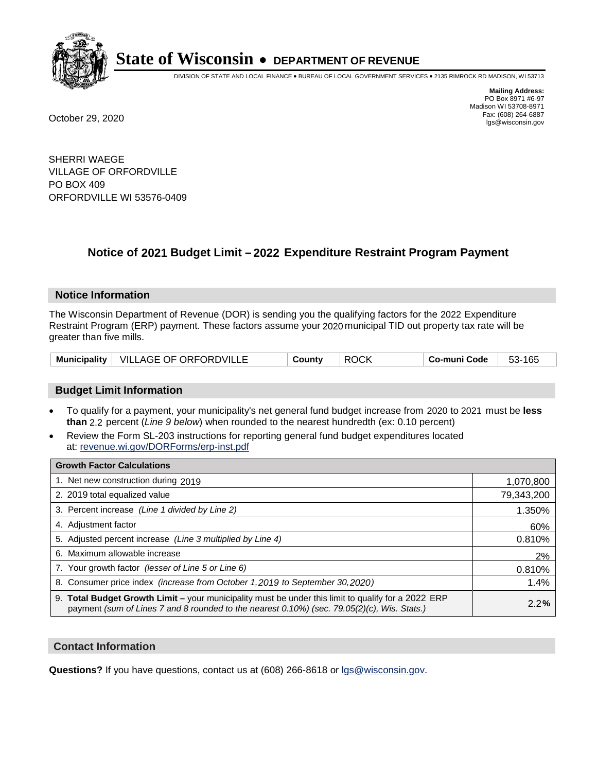

DIVISION OF STATE AND LOCAL FINANCE • BUREAU OF LOCAL GOVERNMENT SERVICES • 2135 RIMROCK RD MADISON, WI 53713

**Mailing Address:** PO Box 8971 #6-97 Madison WI 53708-8971<br>Fax: (608) 264-6887 Fax: (608) 264-6887 October 29, 2020 lgs@wisconsin.gov

SHERRI WAEGE VILLAGE OF ORFORDVILLE PO BOX 409 ORFORDVILLE WI 53576-0409

# **Notice of 2021 Budget Limit - 2022 Expenditure Restraint Program Payment**

## **Notice Information**

The Wisconsin Department of Revenue (DOR) is sending you the qualifying factors for the 2022 Expenditure Restraint Program (ERP) payment. These factors assume your 2020 municipal TID out property tax rate will be greater than five mills.

|  | Municipality   VILLAGE OF ORFORDVILLE | County | <b>ROCK</b> | Co-muni Code | 53-165 |
|--|---------------------------------------|--------|-------------|--------------|--------|
|--|---------------------------------------|--------|-------------|--------------|--------|

## **Budget Limit Information**

- To qualify for a payment, your municipality's net general fund budget increase from 2020 to 2021 must be less **than** 2.2 percent (*Line 9 below*) when rounded to the nearest hundredth (ex: 0.10 percent)
- Review the Form SL-203 instructions for reporting general fund budget expenditures located at: revenue.wi.gov/DORForms/erp-inst.pdf

| <b>Growth Factor Calculations</b>                                                                                                                                                                  |            |
|----------------------------------------------------------------------------------------------------------------------------------------------------------------------------------------------------|------------|
| 1. Net new construction during 2019                                                                                                                                                                | 1,070,800  |
| 2. 2019 total equalized value                                                                                                                                                                      | 79,343,200 |
| 3. Percent increase (Line 1 divided by Line 2)                                                                                                                                                     | 1.350%     |
| 4. Adjustment factor                                                                                                                                                                               | 60%        |
| 5. Adjusted percent increase (Line 3 multiplied by Line 4)                                                                                                                                         | 0.810%     |
| 6. Maximum allowable increase                                                                                                                                                                      | 2%         |
| 7. Your growth factor (lesser of Line 5 or Line 6)                                                                                                                                                 | 0.810%     |
| 8. Consumer price index (increase from October 1, 2019 to September 30, 2020)                                                                                                                      | 1.4%       |
| 9. Total Budget Growth Limit - your municipality must be under this limit to qualify for a 2022 ERP<br>payment (sum of Lines 7 and 8 rounded to the nearest 0.10%) (sec. 79.05(2)(c), Wis. Stats.) | 2.2%       |

## **Contact Information**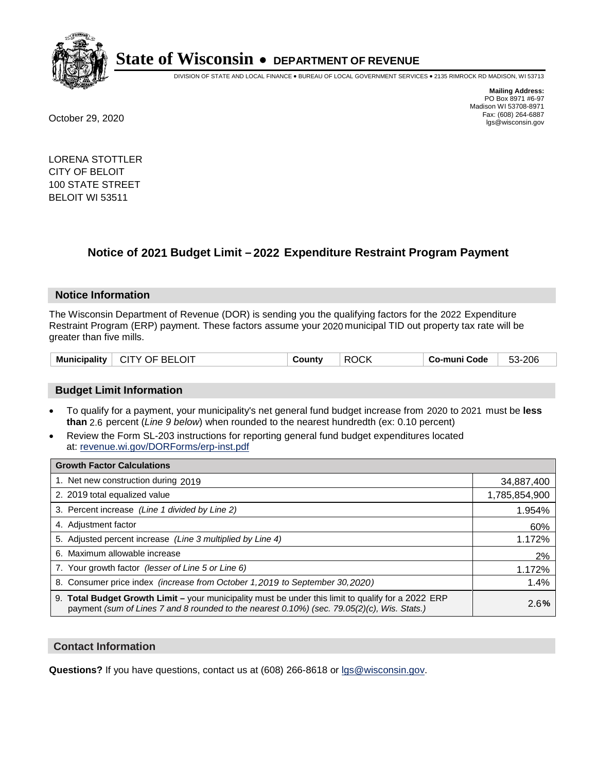

DIVISION OF STATE AND LOCAL FINANCE • BUREAU OF LOCAL GOVERNMENT SERVICES • 2135 RIMROCK RD MADISON, WI 53713

**Mailing Address:** PO Box 8971 #6-97 Madison WI 53708-8971<br>Fax: (608) 264-6887 Fax: (608) 264-6887 October 29, 2020 lgs@wisconsin.gov

LORENA STOTTLER CITY OF BELOIT 100 STATE STREET BELOIT WI 53511

# **Notice of 2021 Budget Limit - 2022 Expenditure Restraint Program Payment**

## **Notice Information**

The Wisconsin Department of Revenue (DOR) is sending you the qualifying factors for the 2022 Expenditure Restraint Program (ERP) payment. These factors assume your 2020 municipal TID out property tax rate will be greater than five mills.

| Municipality   CITY OF BELOIT | County | ∣ ROCK |  | 53-206 |
|-------------------------------|--------|--------|--|--------|
|-------------------------------|--------|--------|--|--------|

## **Budget Limit Information**

- To qualify for a payment, your municipality's net general fund budget increase from 2020 to 2021 must be less **than** 2.6 percent (*Line 9 below*) when rounded to the nearest hundredth (ex: 0.10 percent)
- Review the Form SL-203 instructions for reporting general fund budget expenditures located at: revenue.wi.gov/DORForms/erp-inst.pdf

| <b>Growth Factor Calculations</b>                                                                                                                                                                  |               |
|----------------------------------------------------------------------------------------------------------------------------------------------------------------------------------------------------|---------------|
| 1. Net new construction during 2019                                                                                                                                                                | 34,887,400    |
| 2. 2019 total equalized value                                                                                                                                                                      | 1,785,854,900 |
| 3. Percent increase (Line 1 divided by Line 2)                                                                                                                                                     | 1.954%        |
| 4. Adjustment factor                                                                                                                                                                               | 60%           |
| 5. Adjusted percent increase (Line 3 multiplied by Line 4)                                                                                                                                         | 1.172%        |
| 6. Maximum allowable increase                                                                                                                                                                      | 2%            |
| 7. Your growth factor (lesser of Line 5 or Line 6)                                                                                                                                                 | 1.172%        |
| 8. Consumer price index (increase from October 1, 2019 to September 30, 2020)                                                                                                                      | 1.4%          |
| 9. Total Budget Growth Limit - your municipality must be under this limit to qualify for a 2022 ERP<br>payment (sum of Lines 7 and 8 rounded to the nearest 0.10%) (sec. 79.05(2)(c), Wis. Stats.) | 2.6%          |

## **Contact Information**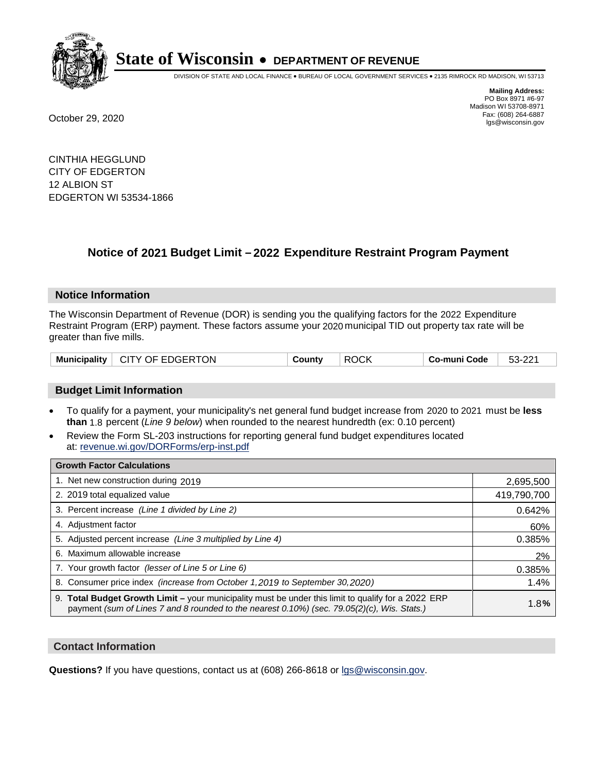

DIVISION OF STATE AND LOCAL FINANCE • BUREAU OF LOCAL GOVERNMENT SERVICES • 2135 RIMROCK RD MADISON, WI 53713

**Mailing Address:** PO Box 8971 #6-97 Madison WI 53708-8971<br>Fax: (608) 264-6887 Fax: (608) 264-6887 October 29, 2020 lgs@wisconsin.gov

CINTHIA HEGGLUND CITY OF EDGERTON 12 ALBION ST EDGERTON WI 53534-1866

# **Notice of 2021 Budget Limit - 2022 Expenditure Restraint Program Payment**

#### **Notice Information**

The Wisconsin Department of Revenue (DOR) is sending you the qualifying factors for the 2022 Expenditure Restraint Program (ERP) payment. These factors assume your 2020 municipal TID out property tax rate will be greater than five mills.

| Municipality   CITY OF EDGERTON |  | County | <b>ROCK</b> | Co-muni Code | 53-221 |
|---------------------------------|--|--------|-------------|--------------|--------|
|---------------------------------|--|--------|-------------|--------------|--------|

## **Budget Limit Information**

- To qualify for a payment, your municipality's net general fund budget increase from 2020 to 2021 must be less **than** 1.8 percent (*Line 9 below*) when rounded to the nearest hundredth (ex: 0.10 percent)
- Review the Form SL-203 instructions for reporting general fund budget expenditures located at: revenue.wi.gov/DORForms/erp-inst.pdf

| <b>Growth Factor Calculations</b>                                                                                                                                                                      |             |
|--------------------------------------------------------------------------------------------------------------------------------------------------------------------------------------------------------|-------------|
| 1. Net new construction during 2019                                                                                                                                                                    | 2,695,500   |
| 2. 2019 total equalized value                                                                                                                                                                          | 419,790,700 |
| 3. Percent increase (Line 1 divided by Line 2)                                                                                                                                                         | 0.642%      |
| 4. Adjustment factor                                                                                                                                                                                   | 60%         |
| 5. Adjusted percent increase (Line 3 multiplied by Line 4)                                                                                                                                             | 0.385%      |
| 6. Maximum allowable increase                                                                                                                                                                          | 2%          |
| 7. Your growth factor (lesser of Line 5 or Line 6)                                                                                                                                                     | 0.385%      |
| 8. Consumer price index (increase from October 1, 2019 to September 30, 2020)                                                                                                                          | 1.4%        |
| 9. Total Budget Growth Limit - your municipality must be under this limit to qualify for a 2022 ERP<br>payment (sum of Lines 7 and 8 rounded to the nearest $0.10\%$ ) (sec. 79.05(2)(c), Wis. Stats.) | 1.8%        |

## **Contact Information**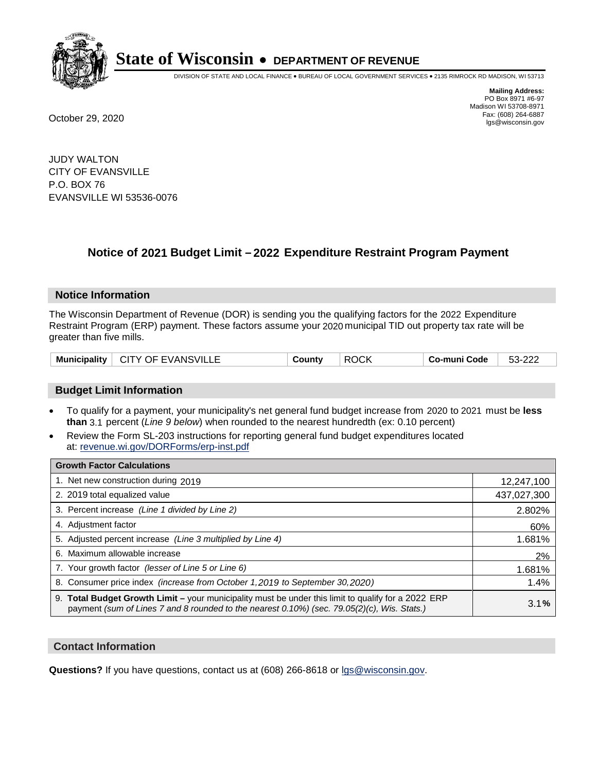

DIVISION OF STATE AND LOCAL FINANCE • BUREAU OF LOCAL GOVERNMENT SERVICES • 2135 RIMROCK RD MADISON, WI 53713

**Mailing Address:** PO Box 8971 #6-97 Madison WI 53708-8971<br>Fax: (608) 264-6887 Fax: (608) 264-6887 October 29, 2020 lgs@wisconsin.gov

JUDY WALTON CITY OF EVANSVILLE P.O. BOX 76 EVANSVILLE WI 53536-0076

# **Notice of 2021 Budget Limit - 2022 Expenditure Restraint Program Payment**

## **Notice Information**

The Wisconsin Department of Revenue (DOR) is sending you the qualifying factors for the 2022 Expenditure Restraint Program (ERP) payment. These factors assume your 2020 municipal TID out property tax rate will be greater than five mills.

| Municipality   CITY OF EVANSVILLE | County | <b>ROCK</b> | . Co-muni Code | 53-222 |
|-----------------------------------|--------|-------------|----------------|--------|
|-----------------------------------|--------|-------------|----------------|--------|

## **Budget Limit Information**

- To qualify for a payment, your municipality's net general fund budget increase from 2020 to 2021 must be less **than** 3.1 percent (*Line 9 below*) when rounded to the nearest hundredth (ex: 0.10 percent)
- Review the Form SL-203 instructions for reporting general fund budget expenditures located at: revenue.wi.gov/DORForms/erp-inst.pdf

| <b>Growth Factor Calculations</b>                                                                                                                                                                  |             |
|----------------------------------------------------------------------------------------------------------------------------------------------------------------------------------------------------|-------------|
| 1. Net new construction during 2019                                                                                                                                                                | 12,247,100  |
| 2. 2019 total equalized value                                                                                                                                                                      | 437,027,300 |
| 3. Percent increase (Line 1 divided by Line 2)                                                                                                                                                     | 2.802%      |
| 4. Adjustment factor                                                                                                                                                                               | 60%         |
| 5. Adjusted percent increase (Line 3 multiplied by Line 4)                                                                                                                                         | 1.681%      |
| 6. Maximum allowable increase                                                                                                                                                                      | 2%          |
| 7. Your growth factor (lesser of Line 5 or Line 6)                                                                                                                                                 | 1.681%      |
| 8. Consumer price index (increase from October 1, 2019 to September 30, 2020)                                                                                                                      | 1.4%        |
| 9. Total Budget Growth Limit - your municipality must be under this limit to qualify for a 2022 ERP<br>payment (sum of Lines 7 and 8 rounded to the nearest 0.10%) (sec. 79.05(2)(c), Wis. Stats.) | 3.1%        |

## **Contact Information**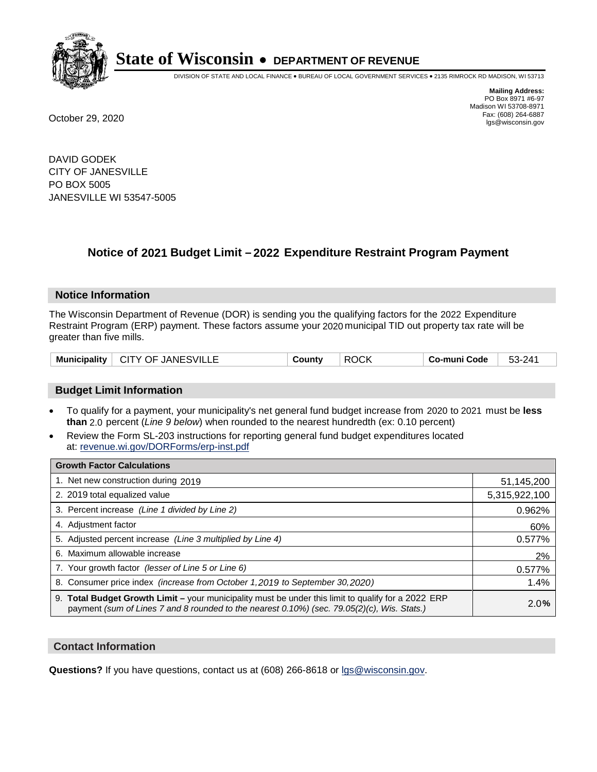

DIVISION OF STATE AND LOCAL FINANCE • BUREAU OF LOCAL GOVERNMENT SERVICES • 2135 RIMROCK RD MADISON, WI 53713

**Mailing Address:** PO Box 8971 #6-97 Madison WI 53708-8971<br>Fax: (608) 264-6887 Fax: (608) 264-6887 October 29, 2020 lgs@wisconsin.gov

DAVID GODEK CITY OF JANESVILLE PO BOX 5005 JANESVILLE WI 53547-5005

# **Notice of 2021 Budget Limit - 2022 Expenditure Restraint Program Payment**

#### **Notice Information**

The Wisconsin Department of Revenue (DOR) is sending you the qualifying factors for the 2022 Expenditure Restraint Program (ERP) payment. These factors assume your 2020 municipal TID out property tax rate will be greater than five mills.

|  | Municipality   CITY OF JANESVILLE | County | <b>ROCK</b> | Co-muni Code | 53-241 |
|--|-----------------------------------|--------|-------------|--------------|--------|
|--|-----------------------------------|--------|-------------|--------------|--------|

## **Budget Limit Information**

- To qualify for a payment, your municipality's net general fund budget increase from 2020 to 2021 must be less **than** 2.0 percent (*Line 9 below*) when rounded to the nearest hundredth (ex: 0.10 percent)
- Review the Form SL-203 instructions for reporting general fund budget expenditures located at: revenue.wi.gov/DORForms/erp-inst.pdf

| <b>Growth Factor Calculations</b>                                                                                                                                                                  |               |
|----------------------------------------------------------------------------------------------------------------------------------------------------------------------------------------------------|---------------|
| 1. Net new construction during 2019                                                                                                                                                                | 51,145,200    |
| 2. 2019 total equalized value                                                                                                                                                                      | 5,315,922,100 |
| 3. Percent increase (Line 1 divided by Line 2)                                                                                                                                                     | 0.962%        |
| 4. Adjustment factor                                                                                                                                                                               | 60%           |
| 5. Adjusted percent increase (Line 3 multiplied by Line 4)                                                                                                                                         | 0.577%        |
| 6. Maximum allowable increase                                                                                                                                                                      | 2%            |
| 7. Your growth factor (lesser of Line 5 or Line 6)                                                                                                                                                 | 0.577%        |
| 8. Consumer price index (increase from October 1, 2019 to September 30, 2020)                                                                                                                      | 1.4%          |
| 9. Total Budget Growth Limit - your municipality must be under this limit to qualify for a 2022 ERP<br>payment (sum of Lines 7 and 8 rounded to the nearest 0.10%) (sec. 79.05(2)(c), Wis. Stats.) | 2.0%          |

## **Contact Information**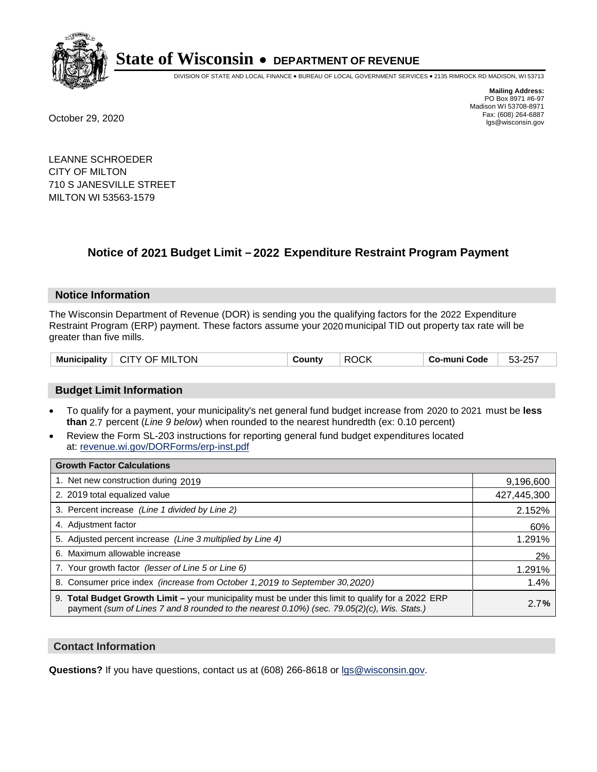

DIVISION OF STATE AND LOCAL FINANCE • BUREAU OF LOCAL GOVERNMENT SERVICES • 2135 RIMROCK RD MADISON, WI 53713

**Mailing Address:** PO Box 8971 #6-97 Madison WI 53708-8971<br>Fax: (608) 264-6887 Fax: (608) 264-6887 October 29, 2020 lgs@wisconsin.gov

LEANNE SCHROEDER CITY OF MILTON 710 S JANESVILLE STREET MILTON WI 53563-1579

# **Notice of 2021 Budget Limit - 2022 Expenditure Restraint Program Payment**

## **Notice Information**

The Wisconsin Department of Revenue (DOR) is sending you the qualifying factors for the 2022 Expenditure Restraint Program (ERP) payment. These factors assume your 2020 municipal TID out property tax rate will be greater than five mills.

| $\perp$ CITY OF MILTON<br><b>Municipality</b> | County | <b>ROCK</b> | ⊟ Co-muni Code | 53-257 |
|-----------------------------------------------|--------|-------------|----------------|--------|
|-----------------------------------------------|--------|-------------|----------------|--------|

## **Budget Limit Information**

- To qualify for a payment, your municipality's net general fund budget increase from 2020 to 2021 must be less **than** 2.7 percent (*Line 9 below*) when rounded to the nearest hundredth (ex: 0.10 percent)
- Review the Form SL-203 instructions for reporting general fund budget expenditures located at: revenue.wi.gov/DORForms/erp-inst.pdf

| <b>Growth Factor Calculations</b>                                                                                                                                                                      |             |
|--------------------------------------------------------------------------------------------------------------------------------------------------------------------------------------------------------|-------------|
| 1. Net new construction during 2019                                                                                                                                                                    | 9,196,600   |
| 2. 2019 total equalized value                                                                                                                                                                          | 427,445,300 |
| 3. Percent increase (Line 1 divided by Line 2)                                                                                                                                                         | 2.152%      |
| 4. Adjustment factor                                                                                                                                                                                   | 60%         |
| 5. Adjusted percent increase (Line 3 multiplied by Line 4)                                                                                                                                             | 1.291%      |
| 6. Maximum allowable increase                                                                                                                                                                          | 2%          |
| 7. Your growth factor (lesser of Line 5 or Line 6)                                                                                                                                                     | 1.291%      |
| 8. Consumer price index (increase from October 1, 2019 to September 30, 2020)                                                                                                                          | 1.4%        |
| 9. Total Budget Growth Limit - your municipality must be under this limit to qualify for a 2022 ERP<br>payment (sum of Lines 7 and 8 rounded to the nearest $0.10\%$ ) (sec. 79.05(2)(c), Wis. Stats.) | 2.7%        |

## **Contact Information**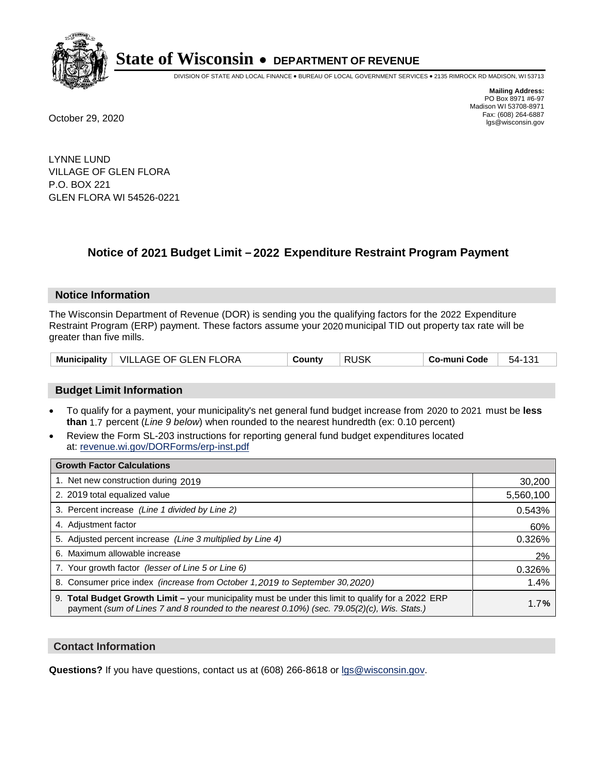

DIVISION OF STATE AND LOCAL FINANCE • BUREAU OF LOCAL GOVERNMENT SERVICES • 2135 RIMROCK RD MADISON, WI 53713

**Mailing Address:** PO Box 8971 #6-97 Madison WI 53708-8971<br>Fax: (608) 264-6887 Fax: (608) 264-6887 October 29, 2020 lgs@wisconsin.gov

LYNNE LUND VILLAGE OF GLEN FLORA P.O. BOX 221 GLEN FLORA WI 54526-0221

# **Notice of 2021 Budget Limit - 2022 Expenditure Restraint Program Payment**

#### **Notice Information**

The Wisconsin Department of Revenue (DOR) is sending you the qualifying factors for the 2022 Expenditure Restraint Program (ERP) payment. These factors assume your 2020 municipal TID out property tax rate will be greater than five mills.

|  | Municipality   VILLAGE OF GLEN FLORA | County | <b>RUSK</b> | Co-muni Code | 54-131 |
|--|--------------------------------------|--------|-------------|--------------|--------|
|--|--------------------------------------|--------|-------------|--------------|--------|

## **Budget Limit Information**

- To qualify for a payment, your municipality's net general fund budget increase from 2020 to 2021 must be less **than** 1.7 percent (*Line 9 below*) when rounded to the nearest hundredth (ex: 0.10 percent)
- Review the Form SL-203 instructions for reporting general fund budget expenditures located at: revenue.wi.gov/DORForms/erp-inst.pdf

| <b>Growth Factor Calculations</b>                                                                                                                                                                      |           |
|--------------------------------------------------------------------------------------------------------------------------------------------------------------------------------------------------------|-----------|
| 1. Net new construction during 2019                                                                                                                                                                    | 30,200    |
| 2. 2019 total equalized value                                                                                                                                                                          | 5,560,100 |
| 3. Percent increase (Line 1 divided by Line 2)                                                                                                                                                         | 0.543%    |
| 4. Adjustment factor                                                                                                                                                                                   | 60%       |
| 5. Adjusted percent increase (Line 3 multiplied by Line 4)                                                                                                                                             | 0.326%    |
| 6. Maximum allowable increase                                                                                                                                                                          | 2%        |
| 7. Your growth factor (lesser of Line 5 or Line 6)                                                                                                                                                     | 0.326%    |
| 8. Consumer price index (increase from October 1, 2019 to September 30, 2020)                                                                                                                          | 1.4%      |
| 9. Total Budget Growth Limit - your municipality must be under this limit to qualify for a 2022 ERP<br>payment (sum of Lines 7 and 8 rounded to the nearest $0.10\%$ ) (sec. 79.05(2)(c), Wis. Stats.) | 1.7%      |

## **Contact Information**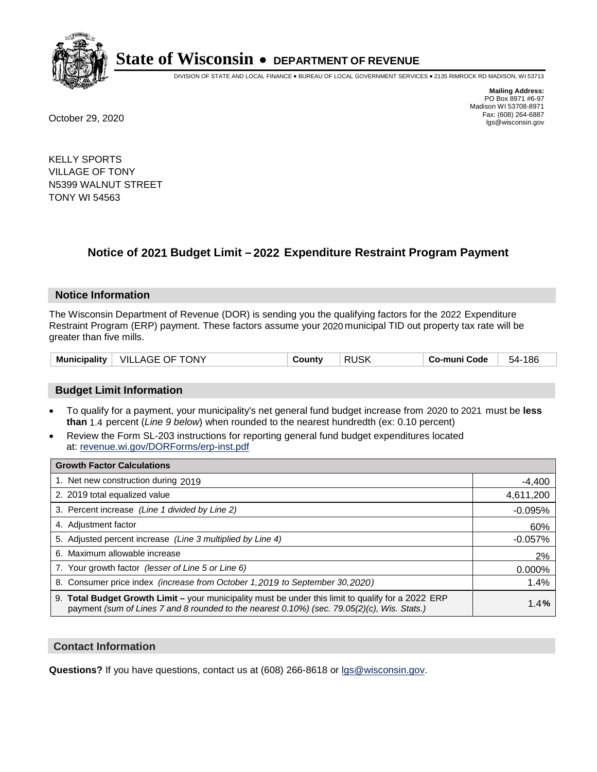

DIVISION OF STATE AND LOCAL FINANCE • BUREAU OF LOCAL GOVERNMENT SERVICES • 2135 RIMROCK RD MADISON, WI 53713

**Mailing Address:** PO Box 8971 #6-97 Madison WI 53708-8971<br>Fax: (608) 264-6887 Fax: (608) 264-6887 October 29, 2020 lgs@wisconsin.gov

KELLY SPORTS VILLAGE OF TONY N5399 WALNUT STREET TONY WI 54563

# **Notice of 2021 Budget Limit - 2022 Expenditure Restraint Program Payment**

## **Notice Information**

The Wisconsin Department of Revenue (DOR) is sending you the qualifying factors for the 2022 Expenditure Restraint Program (ERP) payment. These factors assume your 2020 municipal TID out property tax rate will be greater than five mills.

| <b>Municipality</b> | ONY<br>VIL.<br>ᄾᇋᄃ<br>JF.<br>AW | Jount∨<br>. . | <b>ICL</b><br>וח<br>ruor | Co-muni Code | 186<br>54. |
|---------------------|---------------------------------|---------------|--------------------------|--------------|------------|
|---------------------|---------------------------------|---------------|--------------------------|--------------|------------|

## **Budget Limit Information**

- To qualify for a payment, your municipality's net general fund budget increase from 2020 to 2021 must be less **than** 1.4 percent (*Line 9 below*) when rounded to the nearest hundredth (ex: 0.10 percent)
- Review the Form SL-203 instructions for reporting general fund budget expenditures located at: revenue.wi.gov/DORForms/erp-inst.pdf

| <b>Growth Factor Calculations</b>                                                                                                                                                                  |           |
|----------------------------------------------------------------------------------------------------------------------------------------------------------------------------------------------------|-----------|
| 1. Net new construction during 2019                                                                                                                                                                | $-4,400$  |
| 2. 2019 total equalized value                                                                                                                                                                      | 4,611,200 |
| 3. Percent increase (Line 1 divided by Line 2)                                                                                                                                                     | $-0.095%$ |
| 4. Adjustment factor                                                                                                                                                                               | 60%       |
| 5. Adjusted percent increase (Line 3 multiplied by Line 4)                                                                                                                                         | $-0.057%$ |
| 6. Maximum allowable increase                                                                                                                                                                      | 2%        |
| 7. Your growth factor (lesser of Line 5 or Line 6)                                                                                                                                                 | 0.000%    |
| 8. Consumer price index (increase from October 1, 2019 to September 30, 2020)                                                                                                                      | 1.4%      |
| 9. Total Budget Growth Limit – your municipality must be under this limit to qualify for a 2022 ERP<br>payment (sum of Lines 7 and 8 rounded to the nearest 0.10%) (sec. 79.05(2)(c), Wis. Stats.) | 1.4%      |

## **Contact Information**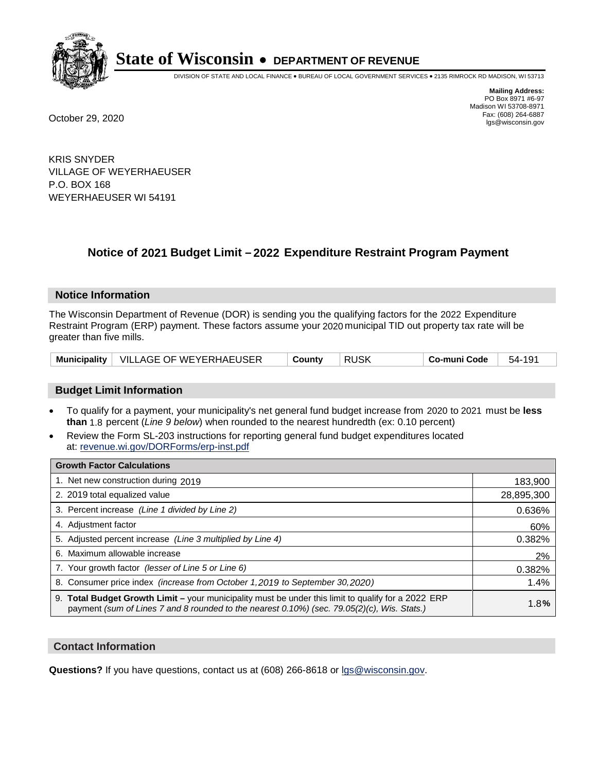

DIVISION OF STATE AND LOCAL FINANCE • BUREAU OF LOCAL GOVERNMENT SERVICES • 2135 RIMROCK RD MADISON, WI 53713

**Mailing Address:** PO Box 8971 #6-97 Madison WI 53708-8971<br>Fax: (608) 264-6887 Fax: (608) 264-6887 October 29, 2020 lgs@wisconsin.gov

KRIS SNYDER VILLAGE OF WEYERHAEUSER P.O. BOX 168 WEYERHAEUSER WI 54191

# **Notice of 2021 Budget Limit - 2022 Expenditure Restraint Program Payment**

#### **Notice Information**

The Wisconsin Department of Revenue (DOR) is sending you the qualifying factors for the 2022 Expenditure Restraint Program (ERP) payment. These factors assume your 2020 municipal TID out property tax rate will be greater than five mills.

| Municipality   VILLAGE OF WEYERHAEUSER | County | <b>RUSK</b> | Co-muni Code | 54-191 |
|----------------------------------------|--------|-------------|--------------|--------|
|----------------------------------------|--------|-------------|--------------|--------|

## **Budget Limit Information**

- To qualify for a payment, your municipality's net general fund budget increase from 2020 to 2021 must be less **than** 1.8 percent (*Line 9 below*) when rounded to the nearest hundredth (ex: 0.10 percent)
- Review the Form SL-203 instructions for reporting general fund budget expenditures located at: revenue.wi.gov/DORForms/erp-inst.pdf

| <b>Growth Factor Calculations</b>                                                                                                                                                                      |            |
|--------------------------------------------------------------------------------------------------------------------------------------------------------------------------------------------------------|------------|
| 1. Net new construction during 2019                                                                                                                                                                    | 183,900    |
| 2. 2019 total equalized value                                                                                                                                                                          | 28,895,300 |
| 3. Percent increase (Line 1 divided by Line 2)                                                                                                                                                         | 0.636%     |
| 4. Adjustment factor                                                                                                                                                                                   | 60%        |
| 5. Adjusted percent increase (Line 3 multiplied by Line 4)                                                                                                                                             | 0.382%     |
| 6. Maximum allowable increase                                                                                                                                                                          | 2%         |
| 7. Your growth factor (lesser of Line 5 or Line 6)                                                                                                                                                     | 0.382%     |
| 8. Consumer price index (increase from October 1, 2019 to September 30, 2020)                                                                                                                          | 1.4%       |
| 9. Total Budget Growth Limit - your municipality must be under this limit to qualify for a 2022 ERP<br>payment (sum of Lines 7 and 8 rounded to the nearest $0.10\%$ ) (sec. 79.05(2)(c), Wis. Stats.) | 1.8%       |

## **Contact Information**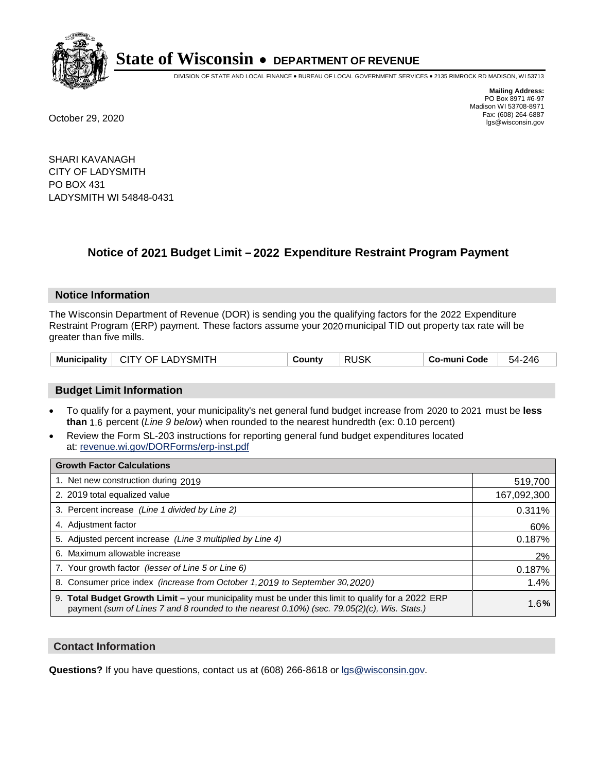

DIVISION OF STATE AND LOCAL FINANCE • BUREAU OF LOCAL GOVERNMENT SERVICES • 2135 RIMROCK RD MADISON, WI 53713

**Mailing Address:** PO Box 8971 #6-97 Madison WI 53708-8971<br>Fax: (608) 264-6887 Fax: (608) 264-6887 October 29, 2020 lgs@wisconsin.gov

SHARI KAVANAGH CITY OF LADYSMITH PO BOX 431 LADYSMITH WI 54848-0431

# **Notice of 2021 Budget Limit - 2022 Expenditure Restraint Program Payment**

#### **Notice Information**

The Wisconsin Department of Revenue (DOR) is sending you the qualifying factors for the 2022 Expenditure Restraint Program (ERP) payment. These factors assume your 2020 municipal TID out property tax rate will be greater than five mills.

## **Budget Limit Information**

- To qualify for a payment, your municipality's net general fund budget increase from 2020 to 2021 must be less **than** 1.6 percent (*Line 9 below*) when rounded to the nearest hundredth (ex: 0.10 percent)
- Review the Form SL-203 instructions for reporting general fund budget expenditures located at: revenue.wi.gov/DORForms/erp-inst.pdf

| <b>Growth Factor Calculations</b>                                                                                                                                                                      |             |
|--------------------------------------------------------------------------------------------------------------------------------------------------------------------------------------------------------|-------------|
| 1. Net new construction during 2019                                                                                                                                                                    | 519,700     |
| 2. 2019 total equalized value                                                                                                                                                                          | 167,092,300 |
| 3. Percent increase (Line 1 divided by Line 2)                                                                                                                                                         | 0.311%      |
| 4. Adjustment factor                                                                                                                                                                                   | 60%         |
| 5. Adjusted percent increase (Line 3 multiplied by Line 4)                                                                                                                                             | 0.187%      |
| 6. Maximum allowable increase                                                                                                                                                                          | 2%          |
| 7. Your growth factor (lesser of Line 5 or Line 6)                                                                                                                                                     | 0.187%      |
| 8. Consumer price index (increase from October 1, 2019 to September 30, 2020)                                                                                                                          | 1.4%        |
| 9. Total Budget Growth Limit - your municipality must be under this limit to qualify for a 2022 ERP<br>payment (sum of Lines 7 and 8 rounded to the nearest $0.10\%$ ) (sec. 79.05(2)(c), Wis. Stats.) | 1.6%        |

## **Contact Information**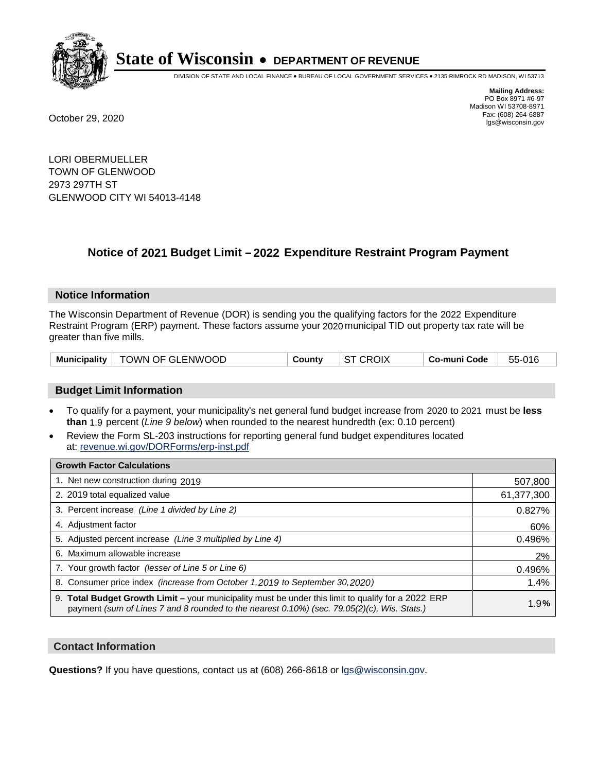

DIVISION OF STATE AND LOCAL FINANCE • BUREAU OF LOCAL GOVERNMENT SERVICES • 2135 RIMROCK RD MADISON, WI 53713

**Mailing Address:** PO Box 8971 #6-97 Madison WI 53708-8971<br>Fax: (608) 264-6887 Fax: (608) 264-6887 October 29, 2020 lgs@wisconsin.gov

LORI OBERMUELLER TOWN OF GLENWOOD 2973 297TH ST GLENWOOD CITY WI 54013-4148

# **Notice of 2021 Budget Limit - 2022 Expenditure Restraint Program Payment**

## **Notice Information**

The Wisconsin Department of Revenue (DOR) is sending you the qualifying factors for the 2022 Expenditure Restraint Program (ERP) payment. These factors assume your 2020 municipal TID out property tax rate will be greater than five mills.

|  | Municipality   TOWN OF GLENWOOD | County | <b>ST CROIX</b> | ∣ Co-muni Code | 55-016 |
|--|---------------------------------|--------|-----------------|----------------|--------|
|--|---------------------------------|--------|-----------------|----------------|--------|

## **Budget Limit Information**

- To qualify for a payment, your municipality's net general fund budget increase from 2020 to 2021 must be less **than** 1.9 percent (*Line 9 below*) when rounded to the nearest hundredth (ex: 0.10 percent)
- Review the Form SL-203 instructions for reporting general fund budget expenditures located at: revenue.wi.gov/DORForms/erp-inst.pdf

| <b>Growth Factor Calculations</b>                                                                                                                                                                      |            |
|--------------------------------------------------------------------------------------------------------------------------------------------------------------------------------------------------------|------------|
| 1. Net new construction during 2019                                                                                                                                                                    | 507,800    |
| 2. 2019 total equalized value                                                                                                                                                                          | 61,377,300 |
| 3. Percent increase (Line 1 divided by Line 2)                                                                                                                                                         | 0.827%     |
| 4. Adjustment factor                                                                                                                                                                                   | 60%        |
| 5. Adjusted percent increase (Line 3 multiplied by Line 4)                                                                                                                                             | 0.496%     |
| 6. Maximum allowable increase                                                                                                                                                                          | 2%         |
| 7. Your growth factor (lesser of Line 5 or Line 6)                                                                                                                                                     | 0.496%     |
| 8. Consumer price index (increase from October 1, 2019 to September 30, 2020)                                                                                                                          | 1.4%       |
| 9. Total Budget Growth Limit - your municipality must be under this limit to qualify for a 2022 ERP<br>payment (sum of Lines 7 and 8 rounded to the nearest $0.10\%$ ) (sec. 79.05(2)(c), Wis. Stats.) | 1.9%       |

## **Contact Information**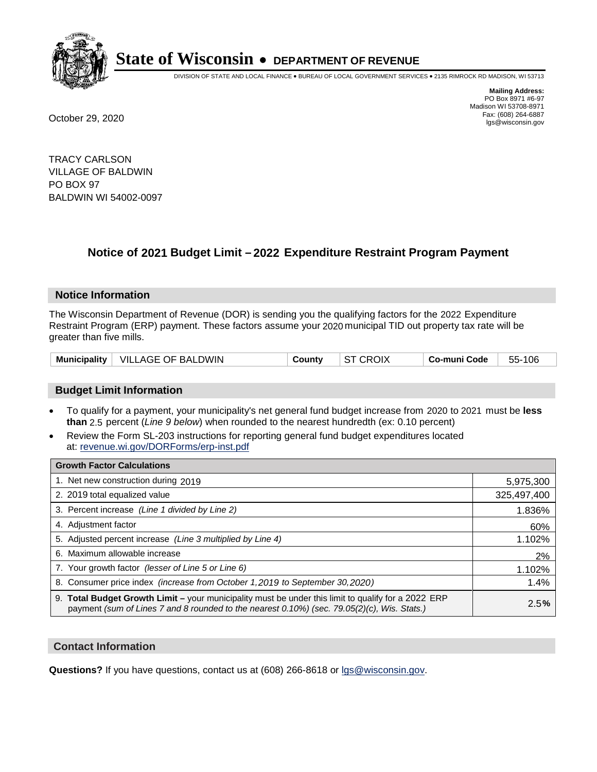

DIVISION OF STATE AND LOCAL FINANCE • BUREAU OF LOCAL GOVERNMENT SERVICES • 2135 RIMROCK RD MADISON, WI 53713

**Mailing Address:** PO Box 8971 #6-97 Madison WI 53708-8971<br>Fax: (608) 264-6887 Fax: (608) 264-6887 October 29, 2020 lgs@wisconsin.gov

TRACY CARLSON VILLAGE OF BALDWIN PO BOX 97 BALDWIN WI 54002-0097

# **Notice of 2021 Budget Limit - 2022 Expenditure Restraint Program Payment**

## **Notice Information**

The Wisconsin Department of Revenue (DOR) is sending you the qualifying factors for the 2022 Expenditure Restraint Program (ERP) payment. These factors assume your 2020 municipal TID out property tax rate will be greater than five mills.

| Municipality | VILLAGE OF BALDWIN | County | <b>ST CROIX</b> | <b>Co-muni Code</b> | 106<br>55- |
|--------------|--------------------|--------|-----------------|---------------------|------------|
|--------------|--------------------|--------|-----------------|---------------------|------------|

## **Budget Limit Information**

- To qualify for a payment, your municipality's net general fund budget increase from 2020 to 2021 must be less **than** 2.5 percent (*Line 9 below*) when rounded to the nearest hundredth (ex: 0.10 percent)
- Review the Form SL-203 instructions for reporting general fund budget expenditures located at: revenue.wi.gov/DORForms/erp-inst.pdf

| <b>Growth Factor Calculations</b>                                                                                                                                                                  |             |
|----------------------------------------------------------------------------------------------------------------------------------------------------------------------------------------------------|-------------|
| 1. Net new construction during 2019                                                                                                                                                                | 5,975,300   |
| 2. 2019 total equalized value                                                                                                                                                                      | 325,497,400 |
| 3. Percent increase (Line 1 divided by Line 2)                                                                                                                                                     | 1.836%      |
| 4. Adjustment factor                                                                                                                                                                               | 60%         |
| 5. Adjusted percent increase (Line 3 multiplied by Line 4)                                                                                                                                         | 1.102%      |
| 6. Maximum allowable increase                                                                                                                                                                      | 2%          |
| 7. Your growth factor (lesser of Line 5 or Line 6)                                                                                                                                                 | 1.102%      |
| 8. Consumer price index (increase from October 1, 2019 to September 30, 2020)                                                                                                                      | 1.4%        |
| 9. Total Budget Growth Limit - your municipality must be under this limit to qualify for a 2022 ERP<br>payment (sum of Lines 7 and 8 rounded to the nearest 0.10%) (sec. 79.05(2)(c), Wis. Stats.) | 2.5%        |

## **Contact Information**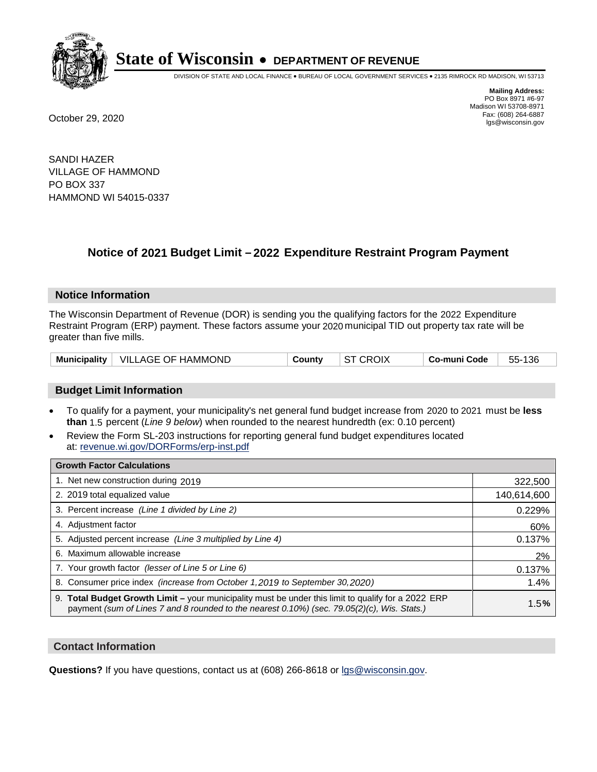

DIVISION OF STATE AND LOCAL FINANCE • BUREAU OF LOCAL GOVERNMENT SERVICES • 2135 RIMROCK RD MADISON, WI 53713

**Mailing Address:** PO Box 8971 #6-97 Madison WI 53708-8971<br>Fax: (608) 264-6887 Fax: (608) 264-6887 October 29, 2020 lgs@wisconsin.gov

SANDI HAZER VILLAGE OF HAMMOND PO BOX 337 HAMMOND WI 54015-0337

# **Notice of 2021 Budget Limit - 2022 Expenditure Restraint Program Payment**

## **Notice Information**

The Wisconsin Department of Revenue (DOR) is sending you the qualifying factors for the 2022 Expenditure Restraint Program (ERP) payment. These factors assume your 2020 municipal TID out property tax rate will be greater than five mills.

|  | Municipality   VILLAGE OF HAMMOND | Countv | <b>ST CROIX</b> | ∣ Co-muni Code | 55-136 |
|--|-----------------------------------|--------|-----------------|----------------|--------|
|--|-----------------------------------|--------|-----------------|----------------|--------|

## **Budget Limit Information**

- To qualify for a payment, your municipality's net general fund budget increase from 2020 to 2021 must be less **than** 1.5 percent (*Line 9 below*) when rounded to the nearest hundredth (ex: 0.10 percent)
- Review the Form SL-203 instructions for reporting general fund budget expenditures located at: revenue.wi.gov/DORForms/erp-inst.pdf

| <b>Growth Factor Calculations</b>                                                                                                                                                                  |             |
|----------------------------------------------------------------------------------------------------------------------------------------------------------------------------------------------------|-------------|
| 1. Net new construction during 2019                                                                                                                                                                | 322,500     |
| 2. 2019 total equalized value                                                                                                                                                                      | 140,614,600 |
| 3. Percent increase (Line 1 divided by Line 2)                                                                                                                                                     | 0.229%      |
| 4. Adjustment factor                                                                                                                                                                               | 60%         |
| 5. Adjusted percent increase (Line 3 multiplied by Line 4)                                                                                                                                         | 0.137%      |
| 6. Maximum allowable increase                                                                                                                                                                      | 2%          |
| 7. Your growth factor (lesser of Line 5 or Line 6)                                                                                                                                                 | 0.137%      |
| 8. Consumer price index (increase from October 1, 2019 to September 30, 2020)                                                                                                                      | 1.4%        |
| 9. Total Budget Growth Limit - your municipality must be under this limit to qualify for a 2022 ERP<br>payment (sum of Lines 7 and 8 rounded to the nearest 0.10%) (sec. 79.05(2)(c), Wis. Stats.) | 1.5%        |

## **Contact Information**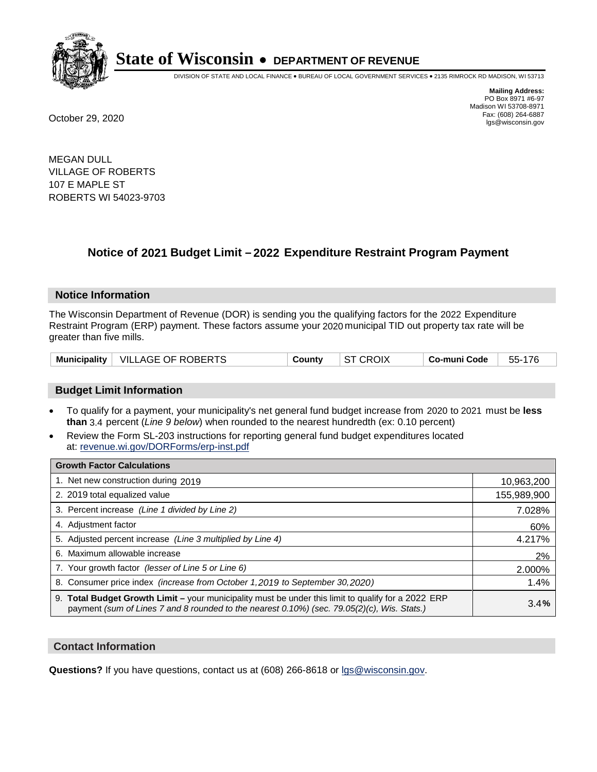

DIVISION OF STATE AND LOCAL FINANCE • BUREAU OF LOCAL GOVERNMENT SERVICES • 2135 RIMROCK RD MADISON, WI 53713

**Mailing Address:** PO Box 8971 #6-97 Madison WI 53708-8971<br>Fax: (608) 264-6887 Fax: (608) 264-6887 October 29, 2020 lgs@wisconsin.gov

MEGAN DULL VILLAGE OF ROBERTS 107 E MAPLE ST ROBERTS WI 54023-9703

# **Notice of 2021 Budget Limit - 2022 Expenditure Restraint Program Payment**

## **Notice Information**

The Wisconsin Department of Revenue (DOR) is sending you the qualifying factors for the 2022 Expenditure Restraint Program (ERP) payment. These factors assume your 2020 municipal TID out property tax rate will be greater than five mills.

|  | Municipality   VILLAGE OF ROBERTS | Countv | ST CROIX | Co-muni Code | 55-176 |
|--|-----------------------------------|--------|----------|--------------|--------|
|--|-----------------------------------|--------|----------|--------------|--------|

## **Budget Limit Information**

- To qualify for a payment, your municipality's net general fund budget increase from 2020 to 2021 must be less **than** 3.4 percent (*Line 9 below*) when rounded to the nearest hundredth (ex: 0.10 percent)
- Review the Form SL-203 instructions for reporting general fund budget expenditures located at: revenue.wi.gov/DORForms/erp-inst.pdf

| <b>Growth Factor Calculations</b>                                                                                                                                                                  |             |
|----------------------------------------------------------------------------------------------------------------------------------------------------------------------------------------------------|-------------|
| 1. Net new construction during 2019                                                                                                                                                                | 10,963,200  |
| 2. 2019 total equalized value                                                                                                                                                                      | 155,989,900 |
| 3. Percent increase (Line 1 divided by Line 2)                                                                                                                                                     | 7.028%      |
| 4. Adjustment factor                                                                                                                                                                               | 60%         |
| 5. Adjusted percent increase (Line 3 multiplied by Line 4)                                                                                                                                         | 4.217%      |
| 6. Maximum allowable increase                                                                                                                                                                      | 2%          |
| 7. Your growth factor (lesser of Line 5 or Line 6)                                                                                                                                                 | 2.000%      |
| 8. Consumer price index (increase from October 1, 2019 to September 30, 2020)                                                                                                                      | 1.4%        |
| 9. Total Budget Growth Limit - your municipality must be under this limit to qualify for a 2022 ERP<br>payment (sum of Lines 7 and 8 rounded to the nearest 0.10%) (sec. 79.05(2)(c), Wis. Stats.) | 3.4%        |

## **Contact Information**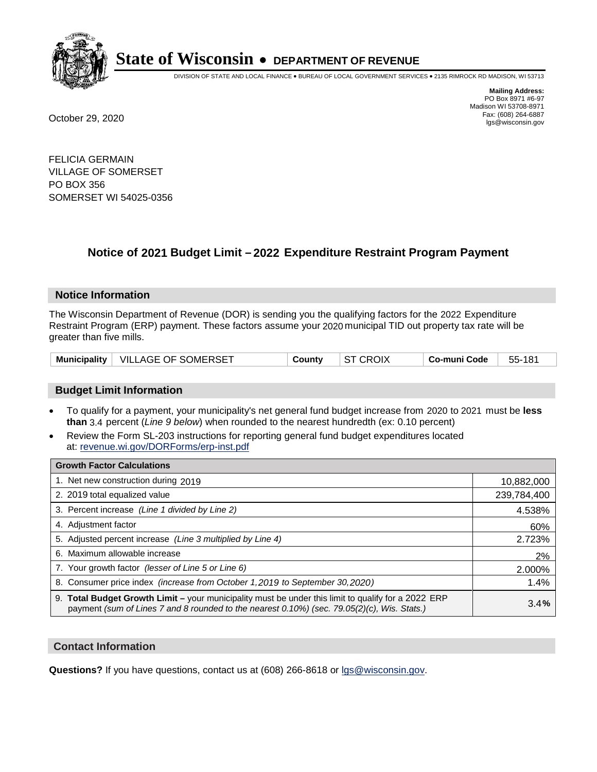

DIVISION OF STATE AND LOCAL FINANCE • BUREAU OF LOCAL GOVERNMENT SERVICES • 2135 RIMROCK RD MADISON, WI 53713

**Mailing Address:** PO Box 8971 #6-97 Madison WI 53708-8971<br>Fax: (608) 264-6887 Fax: (608) 264-6887 October 29, 2020 lgs@wisconsin.gov

FELICIA GERMAIN VILLAGE OF SOMERSET PO BOX 356 SOMERSET WI 54025-0356

# **Notice of 2021 Budget Limit - 2022 Expenditure Restraint Program Payment**

## **Notice Information**

The Wisconsin Department of Revenue (DOR) is sending you the qualifying factors for the 2022 Expenditure Restraint Program (ERP) payment. These factors assume your 2020 municipal TID out property tax rate will be greater than five mills.

| Municipality   VILLAGE OF SOMERSET | Countv | <b>ST CROIX</b> | ∣ Co-muni Code | 55-181 |
|------------------------------------|--------|-----------------|----------------|--------|
|------------------------------------|--------|-----------------|----------------|--------|

## **Budget Limit Information**

- To qualify for a payment, your municipality's net general fund budget increase from 2020 to 2021 must be less **than** 3.4 percent (*Line 9 below*) when rounded to the nearest hundredth (ex: 0.10 percent)
- Review the Form SL-203 instructions for reporting general fund budget expenditures located at: revenue.wi.gov/DORForms/erp-inst.pdf

| <b>Growth Factor Calculations</b>                                                                                                                                                                      |             |
|--------------------------------------------------------------------------------------------------------------------------------------------------------------------------------------------------------|-------------|
| 1. Net new construction during 2019                                                                                                                                                                    | 10,882,000  |
| 2. 2019 total equalized value                                                                                                                                                                          | 239,784,400 |
| 3. Percent increase (Line 1 divided by Line 2)                                                                                                                                                         | 4.538%      |
| 4. Adjustment factor                                                                                                                                                                                   | 60%         |
| 5. Adjusted percent increase (Line 3 multiplied by Line 4)                                                                                                                                             | 2.723%      |
| 6. Maximum allowable increase                                                                                                                                                                          | 2%          |
| 7. Your growth factor (lesser of Line 5 or Line 6)                                                                                                                                                     | 2.000%      |
| 8. Consumer price index (increase from October 1, 2019 to September 30, 2020)                                                                                                                          | 1.4%        |
| 9. Total Budget Growth Limit - your municipality must be under this limit to qualify for a 2022 ERP<br>payment (sum of Lines 7 and 8 rounded to the nearest $0.10\%$ ) (sec. 79.05(2)(c), Wis. Stats.) | 3.4%        |

## **Contact Information**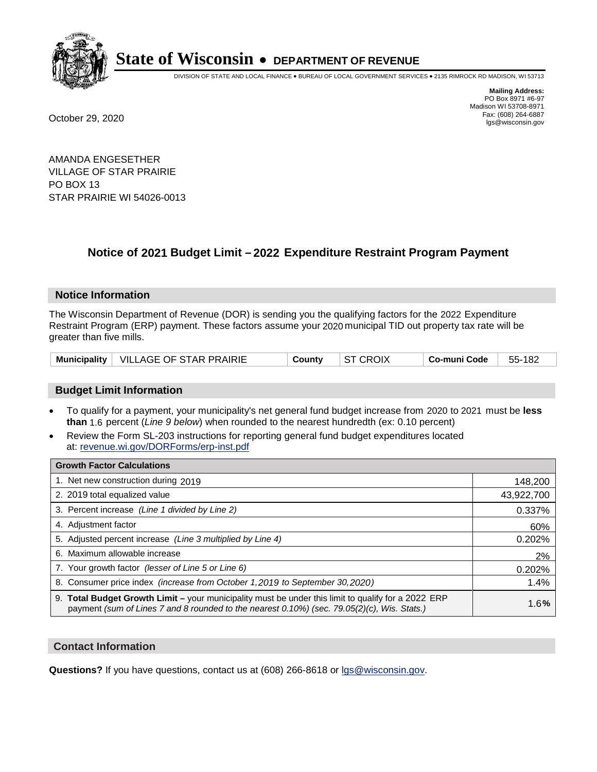

DIVISION OF STATE AND LOCAL FINANCE • BUREAU OF LOCAL GOVERNMENT SERVICES • 2135 RIMROCK RD MADISON, WI 53713

**Mailing Address:** PO Box 8971 #6-97 Madison WI 53708-8971<br>Fax: (608) 264-6887 Fax: (608) 264-6887 October 29, 2020 lgs@wisconsin.gov

AMANDA ENGESETHER VILLAGE OF STAR PRAIRIE PO BOX 13 STAR PRAIRIE WI 54026-0013

# **Notice of 2021 Budget Limit - 2022 Expenditure Restraint Program Payment**

## **Notice Information**

The Wisconsin Department of Revenue (DOR) is sending you the qualifying factors for the 2022 Expenditure Restraint Program (ERP) payment. These factors assume your 2020 municipal TID out property tax rate will be greater than five mills.

| Municipality   VILLAGE OF STAR PRAIRIE | Countv | ST CROIX | ⊟ Co-muni Code | 55-182 |
|----------------------------------------|--------|----------|----------------|--------|
|----------------------------------------|--------|----------|----------------|--------|

## **Budget Limit Information**

- To qualify for a payment, your municipality's net general fund budget increase from 2020 to 2021 must be less **than** 1.6 percent (*Line 9 below*) when rounded to the nearest hundredth (ex: 0.10 percent)
- Review the Form SL-203 instructions for reporting general fund budget expenditures located at: revenue.wi.gov/DORForms/erp-inst.pdf

| <b>Growth Factor Calculations</b>                                                                                                                                                                      |            |
|--------------------------------------------------------------------------------------------------------------------------------------------------------------------------------------------------------|------------|
| 1. Net new construction during 2019                                                                                                                                                                    | 148,200    |
| 2. 2019 total equalized value                                                                                                                                                                          | 43,922,700 |
| 3. Percent increase (Line 1 divided by Line 2)                                                                                                                                                         | 0.337%     |
| 4. Adjustment factor                                                                                                                                                                                   | 60%        |
| 5. Adjusted percent increase (Line 3 multiplied by Line 4)                                                                                                                                             | 0.202%     |
| 6. Maximum allowable increase                                                                                                                                                                          | 2%         |
| 7. Your growth factor (lesser of Line 5 or Line 6)                                                                                                                                                     | 0.202%     |
| 8. Consumer price index (increase from October 1, 2019 to September 30, 2020)                                                                                                                          | 1.4%       |
| 9. Total Budget Growth Limit - your municipality must be under this limit to qualify for a 2022 ERP<br>payment (sum of Lines 7 and 8 rounded to the nearest $0.10\%$ ) (sec. 79.05(2)(c), Wis. Stats.) | 1.6%       |

## **Contact Information**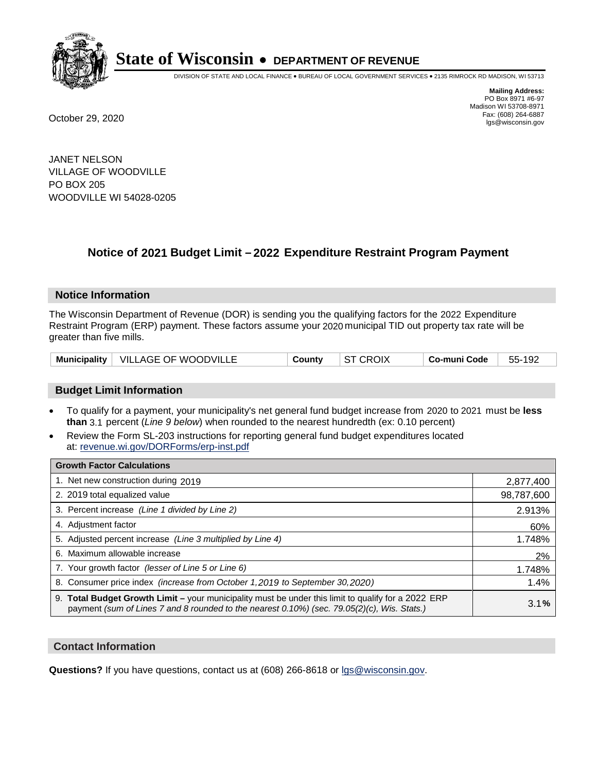

DIVISION OF STATE AND LOCAL FINANCE • BUREAU OF LOCAL GOVERNMENT SERVICES • 2135 RIMROCK RD MADISON, WI 53713

**Mailing Address:** PO Box 8971 #6-97 Madison WI 53708-8971<br>Fax: (608) 264-6887 Fax: (608) 264-6887 October 29, 2020 lgs@wisconsin.gov

JANET NELSON VILLAGE OF WOODVILLE PO BOX 205 WOODVILLE WI 54028-0205

# **Notice of 2021 Budget Limit - 2022 Expenditure Restraint Program Payment**

#### **Notice Information**

The Wisconsin Department of Revenue (DOR) is sending you the qualifying factors for the 2022 Expenditure Restraint Program (ERP) payment. These factors assume your 2020 municipal TID out property tax rate will be greater than five mills.

| Municipality   VILLAGE OF WOODVILLE | County | <b>ST CROIX</b> | ⊺ Co-muni Code | 55-192 |
|-------------------------------------|--------|-----------------|----------------|--------|
|-------------------------------------|--------|-----------------|----------------|--------|

## **Budget Limit Information**

- To qualify for a payment, your municipality's net general fund budget increase from 2020 to 2021 must be less **than** 3.1 percent (*Line 9 below*) when rounded to the nearest hundredth (ex: 0.10 percent)
- Review the Form SL-203 instructions for reporting general fund budget expenditures located at: revenue.wi.gov/DORForms/erp-inst.pdf

| <b>Growth Factor Calculations</b>                                                                                                                                                                      |            |
|--------------------------------------------------------------------------------------------------------------------------------------------------------------------------------------------------------|------------|
| 1. Net new construction during 2019                                                                                                                                                                    | 2,877,400  |
| 2. 2019 total equalized value                                                                                                                                                                          | 98,787,600 |
| 3. Percent increase (Line 1 divided by Line 2)                                                                                                                                                         | 2.913%     |
| 4. Adjustment factor                                                                                                                                                                                   | 60%        |
| 5. Adjusted percent increase (Line 3 multiplied by Line 4)                                                                                                                                             | 1.748%     |
| 6. Maximum allowable increase                                                                                                                                                                          | 2%         |
| 7. Your growth factor (lesser of Line 5 or Line 6)                                                                                                                                                     | 1.748%     |
| 8. Consumer price index (increase from October 1, 2019 to September 30, 2020)                                                                                                                          | 1.4%       |
| 9. Total Budget Growth Limit - your municipality must be under this limit to qualify for a 2022 ERP<br>payment (sum of Lines 7 and 8 rounded to the nearest $0.10\%$ ) (sec. 79.05(2)(c), Wis. Stats.) | 3.1%       |

## **Contact Information**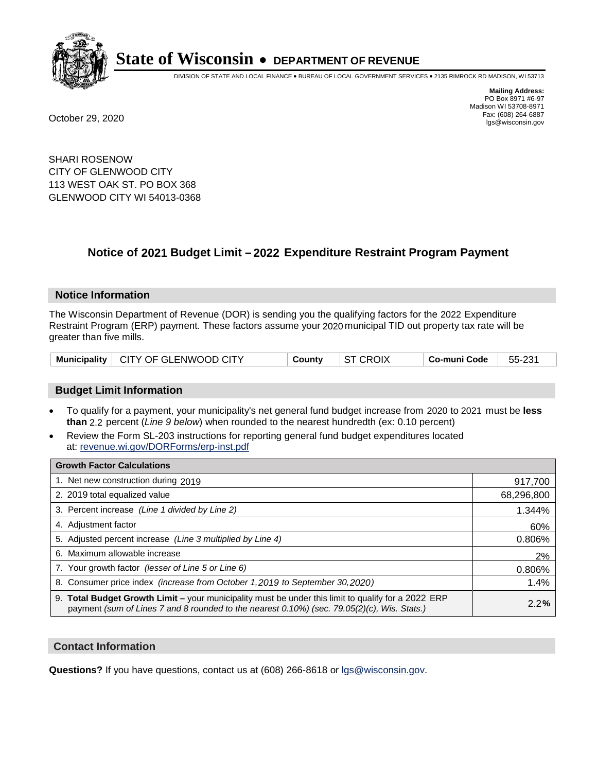

DIVISION OF STATE AND LOCAL FINANCE • BUREAU OF LOCAL GOVERNMENT SERVICES • 2135 RIMROCK RD MADISON, WI 53713

**Mailing Address:** PO Box 8971 #6-97 Madison WI 53708-8971<br>Fax: (608) 264-6887 Fax: (608) 264-6887 October 29, 2020 lgs@wisconsin.gov

SHARI ROSENOW CITY OF GLENWOOD CITY 113 WEST OAK ST. PO BOX 368 GLENWOOD CITY WI 54013-0368

# **Notice of 2021 Budget Limit - 2022 Expenditure Restraint Program Payment**

#### **Notice Information**

The Wisconsin Department of Revenue (DOR) is sending you the qualifying factors for the 2022 Expenditure Restraint Program (ERP) payment. These factors assume your 2020 municipal TID out property tax rate will be greater than five mills.

|  | Municipality   CITY OF GLENWOOD CITY | County | <b>ST CROIX</b> | Co-muni Code | 55-231 |
|--|--------------------------------------|--------|-----------------|--------------|--------|
|--|--------------------------------------|--------|-----------------|--------------|--------|

## **Budget Limit Information**

- To qualify for a payment, your municipality's net general fund budget increase from 2020 to 2021 must be less **than** 2.2 percent (*Line 9 below*) when rounded to the nearest hundredth (ex: 0.10 percent)
- Review the Form SL-203 instructions for reporting general fund budget expenditures located at: revenue.wi.gov/DORForms/erp-inst.pdf

| <b>Growth Factor Calculations</b>                                                                                                                                                                  |            |
|----------------------------------------------------------------------------------------------------------------------------------------------------------------------------------------------------|------------|
| 1. Net new construction during 2019                                                                                                                                                                | 917,700    |
| 2. 2019 total equalized value                                                                                                                                                                      | 68,296,800 |
| 3. Percent increase (Line 1 divided by Line 2)                                                                                                                                                     | 1.344%     |
| 4. Adiustment factor                                                                                                                                                                               | 60%        |
| 5. Adjusted percent increase (Line 3 multiplied by Line 4)                                                                                                                                         | 0.806%     |
| 6. Maximum allowable increase                                                                                                                                                                      | 2%         |
| 7. Your growth factor (lesser of Line 5 or Line 6)                                                                                                                                                 | 0.806%     |
| 8. Consumer price index (increase from October 1,2019 to September 30,2020)                                                                                                                        | 1.4%       |
| 9. Total Budget Growth Limit - your municipality must be under this limit to qualify for a 2022 ERP<br>payment (sum of Lines 7 and 8 rounded to the nearest 0.10%) (sec. 79.05(2)(c), Wis. Stats.) | 2.2%       |

## **Contact Information**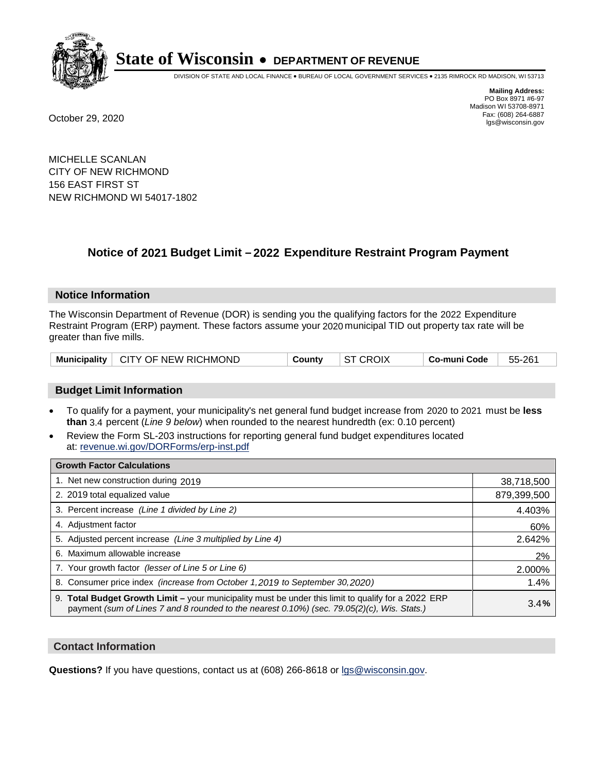

DIVISION OF STATE AND LOCAL FINANCE • BUREAU OF LOCAL GOVERNMENT SERVICES • 2135 RIMROCK RD MADISON, WI 53713

**Mailing Address:** PO Box 8971 #6-97 Madison WI 53708-8971<br>Fax: (608) 264-6887 Fax: (608) 264-6887 October 29, 2020 lgs@wisconsin.gov

MICHELLE SCANLAN CITY OF NEW RICHMOND 156 EAST FIRST ST NEW RICHMOND WI 54017-1802

# **Notice of 2021 Budget Limit - 2022 Expenditure Restraint Program Payment**

## **Notice Information**

The Wisconsin Department of Revenue (DOR) is sending you the qualifying factors for the 2022 Expenditure Restraint Program (ERP) payment. These factors assume your 2020 municipal TID out property tax rate will be greater than five mills.

| Municipality   CITY OF NEW RICHMOND | County | $\vert$ ST CROIX | Co-muni Code | 55-261 |
|-------------------------------------|--------|------------------|--------------|--------|
|-------------------------------------|--------|------------------|--------------|--------|

## **Budget Limit Information**

- To qualify for a payment, your municipality's net general fund budget increase from 2020 to 2021 must be less **than** 3.4 percent (*Line 9 below*) when rounded to the nearest hundredth (ex: 0.10 percent)
- Review the Form SL-203 instructions for reporting general fund budget expenditures located at: revenue.wi.gov/DORForms/erp-inst.pdf

| <b>Growth Factor Calculations</b>                                                                                                                                                                  |             |
|----------------------------------------------------------------------------------------------------------------------------------------------------------------------------------------------------|-------------|
| 1. Net new construction during 2019                                                                                                                                                                | 38,718,500  |
| 2. 2019 total equalized value                                                                                                                                                                      | 879,399,500 |
| 3. Percent increase (Line 1 divided by Line 2)                                                                                                                                                     | 4.403%      |
| 4. Adjustment factor                                                                                                                                                                               | 60%         |
| 5. Adjusted percent increase (Line 3 multiplied by Line 4)                                                                                                                                         | 2.642%      |
| 6. Maximum allowable increase                                                                                                                                                                      | 2%          |
| 7. Your growth factor (lesser of Line 5 or Line 6)                                                                                                                                                 | 2.000%      |
| 8. Consumer price index (increase from October 1,2019 to September 30,2020)                                                                                                                        | 1.4%        |
| 9. Total Budget Growth Limit - your municipality must be under this limit to qualify for a 2022 ERP<br>payment (sum of Lines 7 and 8 rounded to the nearest 0.10%) (sec. 79.05(2)(c), Wis. Stats.) | 3.4%        |

## **Contact Information**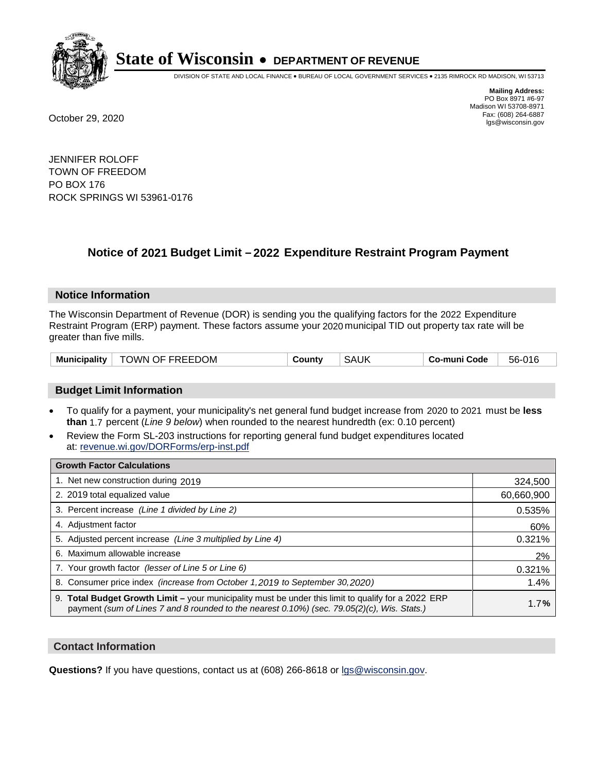

DIVISION OF STATE AND LOCAL FINANCE • BUREAU OF LOCAL GOVERNMENT SERVICES • 2135 RIMROCK RD MADISON, WI 53713

**Mailing Address:** PO Box 8971 #6-97 Madison WI 53708-8971<br>Fax: (608) 264-6887 Fax: (608) 264-6887 October 29, 2020 lgs@wisconsin.gov

JENNIFER ROLOFF TOWN OF FREEDOM PO BOX 176 ROCK SPRINGS WI 53961-0176

# **Notice of 2021 Budget Limit - 2022 Expenditure Restraint Program Payment**

## **Notice Information**

The Wisconsin Department of Revenue (DOR) is sending you the qualifying factors for the 2022 Expenditure Restraint Program (ERP) payment. These factors assume your 2020 municipal TID out property tax rate will be greater than five mills.

| Municipality | TOWN OF FREEDOM | County | <b>SAUK</b> | Co-muni Code | 56-016 |
|--------------|-----------------|--------|-------------|--------------|--------|
|--------------|-----------------|--------|-------------|--------------|--------|

## **Budget Limit Information**

- To qualify for a payment, your municipality's net general fund budget increase from 2020 to 2021 must be less **than** 1.7 percent (*Line 9 below*) when rounded to the nearest hundredth (ex: 0.10 percent)
- Review the Form SL-203 instructions for reporting general fund budget expenditures located at: revenue.wi.gov/DORForms/erp-inst.pdf

| <b>Growth Factor Calculations</b>                                                                                                                                                                      |            |
|--------------------------------------------------------------------------------------------------------------------------------------------------------------------------------------------------------|------------|
| 1. Net new construction during 2019                                                                                                                                                                    | 324,500    |
| 2. 2019 total equalized value                                                                                                                                                                          | 60,660,900 |
| 3. Percent increase (Line 1 divided by Line 2)                                                                                                                                                         | 0.535%     |
| 4. Adjustment factor                                                                                                                                                                                   | 60%        |
| 5. Adjusted percent increase (Line 3 multiplied by Line 4)                                                                                                                                             | 0.321%     |
| 6. Maximum allowable increase                                                                                                                                                                          | 2%         |
| 7. Your growth factor (lesser of Line 5 or Line 6)                                                                                                                                                     | 0.321%     |
| 8. Consumer price index (increase from October 1,2019 to September 30,2020)                                                                                                                            | 1.4%       |
| 9. Total Budget Growth Limit - your municipality must be under this limit to qualify for a 2022 ERP<br>payment (sum of Lines 7 and 8 rounded to the nearest $0.10\%$ ) (sec. 79.05(2)(c), Wis. Stats.) | 1.7%       |

## **Contact Information**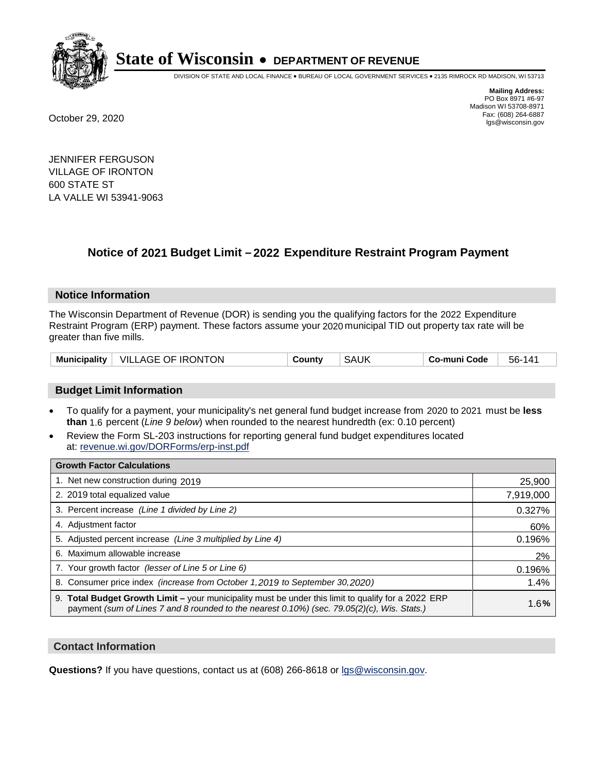

DIVISION OF STATE AND LOCAL FINANCE • BUREAU OF LOCAL GOVERNMENT SERVICES • 2135 RIMROCK RD MADISON, WI 53713

**Mailing Address:** PO Box 8971 #6-97 Madison WI 53708-8971<br>Fax: (608) 264-6887 Fax: (608) 264-6887 October 29, 2020 lgs@wisconsin.gov

JENNIFER FERGUSON VILLAGE OF IRONTON 600 STATE ST LA VALLE WI 53941-9063

# **Notice of 2021 Budget Limit - 2022 Expenditure Restraint Program Payment**

## **Notice Information**

The Wisconsin Department of Revenue (DOR) is sending you the qualifying factors for the 2022 Expenditure Restraint Program (ERP) payment. These factors assume your 2020 municipal TID out property tax rate will be greater than five mills.

| <b>Municipality</b> | VILLAGE OF IRONTON | Countv | SAUK | Co-muni Code | $14^{\circ}$<br>56- |
|---------------------|--------------------|--------|------|--------------|---------------------|
|---------------------|--------------------|--------|------|--------------|---------------------|

## **Budget Limit Information**

- To qualify for a payment, your municipality's net general fund budget increase from 2020 to 2021 must be less **than** 1.6 percent (*Line 9 below*) when rounded to the nearest hundredth (ex: 0.10 percent)
- Review the Form SL-203 instructions for reporting general fund budget expenditures located at: revenue.wi.gov/DORForms/erp-inst.pdf

| <b>Growth Factor Calculations</b>                                                                                                                                                                      |           |
|--------------------------------------------------------------------------------------------------------------------------------------------------------------------------------------------------------|-----------|
| 1. Net new construction during 2019                                                                                                                                                                    | 25,900    |
| 2. 2019 total equalized value                                                                                                                                                                          | 7,919,000 |
| 3. Percent increase (Line 1 divided by Line 2)                                                                                                                                                         | 0.327%    |
| 4. Adjustment factor                                                                                                                                                                                   | 60%       |
| 5. Adjusted percent increase (Line 3 multiplied by Line 4)                                                                                                                                             | 0.196%    |
| 6. Maximum allowable increase                                                                                                                                                                          | 2%        |
| 7. Your growth factor (lesser of Line 5 or Line 6)                                                                                                                                                     | 0.196%    |
| 8. Consumer price index (increase from October 1, 2019 to September 30, 2020)                                                                                                                          | 1.4%      |
| 9. Total Budget Growth Limit - your municipality must be under this limit to qualify for a 2022 ERP<br>payment (sum of Lines 7 and 8 rounded to the nearest $0.10\%$ ) (sec. 79.05(2)(c), Wis. Stats.) | 1.6%      |

## **Contact Information**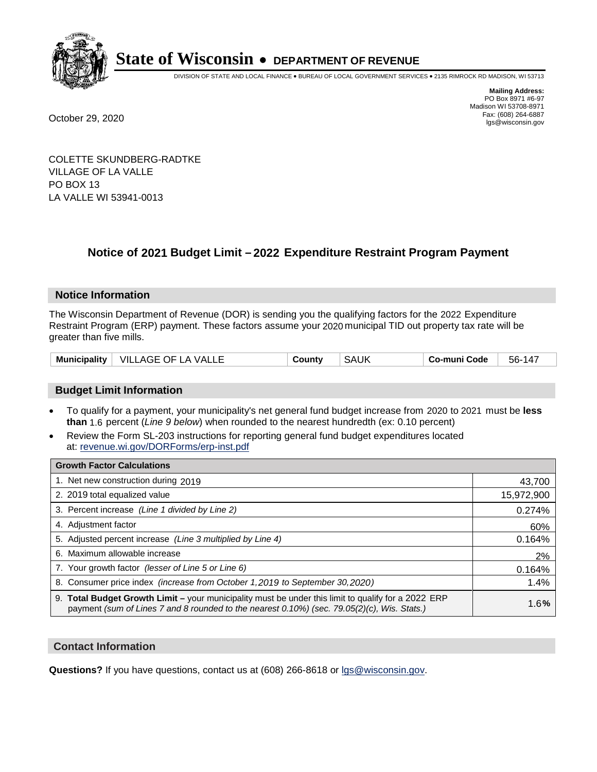

DIVISION OF STATE AND LOCAL FINANCE • BUREAU OF LOCAL GOVERNMENT SERVICES • 2135 RIMROCK RD MADISON, WI 53713

**Mailing Address:** PO Box 8971 #6-97 Madison WI 53708-8971<br>Fax: (608) 264-6887 Fax: (608) 264-6887 October 29, 2020 lgs@wisconsin.gov

COLETTE SKUNDBERG-RADTKE VILLAGE OF LA VALLE PO BOX 13 LA VALLE WI 53941-0013

### **Notice of 2021 Budget Limit - 2022 Expenditure Restraint Program Payment**

#### **Notice Information**

The Wisconsin Department of Revenue (DOR) is sending you the qualifying factors for the 2022 Expenditure Restraint Program (ERP) payment. These factors assume your 2020 municipal TID out property tax rate will be greater than five mills.

| <b>Municipality</b><br>VILLAGE OF LA VALLE | County | SAUK | Co-muni Code | $56-14$ |
|--------------------------------------------|--------|------|--------------|---------|
|--------------------------------------------|--------|------|--------------|---------|

#### **Budget Limit Information**

- To qualify for a payment, your municipality's net general fund budget increase from 2020 to 2021 must be less **than** 1.6 percent (*Line 9 below*) when rounded to the nearest hundredth (ex: 0.10 percent)
- Review the Form SL-203 instructions for reporting general fund budget expenditures located at: revenue.wi.gov/DORForms/erp-inst.pdf

| <b>Growth Factor Calculations</b>                                                                                                                                                                  |            |
|----------------------------------------------------------------------------------------------------------------------------------------------------------------------------------------------------|------------|
| 1. Net new construction during 2019                                                                                                                                                                | 43,700     |
| 2. 2019 total equalized value                                                                                                                                                                      | 15,972,900 |
| 3. Percent increase (Line 1 divided by Line 2)                                                                                                                                                     | 0.274%     |
| 4. Adjustment factor                                                                                                                                                                               | 60%        |
| 5. Adjusted percent increase (Line 3 multiplied by Line 4)                                                                                                                                         | 0.164%     |
| 6. Maximum allowable increase                                                                                                                                                                      | 2%         |
| 7. Your growth factor (lesser of Line 5 or Line 6)                                                                                                                                                 | 0.164%     |
| 8. Consumer price index (increase from October 1, 2019 to September 30, 2020)                                                                                                                      | 1.4%       |
| 9. Total Budget Growth Limit – your municipality must be under this limit to qualify for a 2022 ERP<br>payment (sum of Lines 7 and 8 rounded to the nearest 0.10%) (sec. 79.05(2)(c), Wis. Stats.) | 1.6%       |

#### **Contact Information**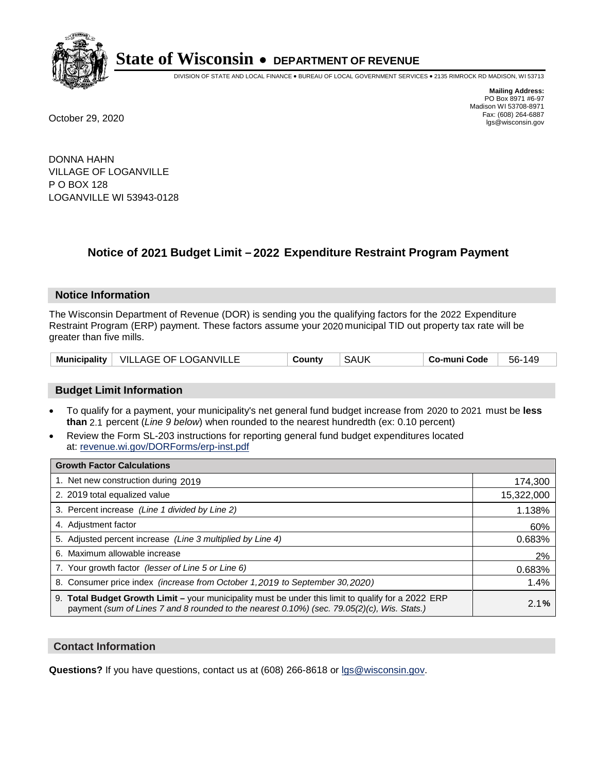

DIVISION OF STATE AND LOCAL FINANCE • BUREAU OF LOCAL GOVERNMENT SERVICES • 2135 RIMROCK RD MADISON, WI 53713

**Mailing Address:** PO Box 8971 #6-97 Madison WI 53708-8971<br>Fax: (608) 264-6887 Fax: (608) 264-6887 October 29, 2020 lgs@wisconsin.gov

DONNA HAHN VILLAGE OF LOGANVILLE P O BOX 128 LOGANVILLE WI 53943-0128

### **Notice of 2021 Budget Limit - 2022 Expenditure Restraint Program Payment**

#### **Notice Information**

The Wisconsin Department of Revenue (DOR) is sending you the qualifying factors for the 2022 Expenditure Restraint Program (ERP) payment. These factors assume your 2020 municipal TID out property tax rate will be greater than five mills.

|  | Municipality   VILLAGE OF LOGANVILLE | County | SAUK | Co-muni Code | 56-149 |
|--|--------------------------------------|--------|------|--------------|--------|
|--|--------------------------------------|--------|------|--------------|--------|

#### **Budget Limit Information**

- To qualify for a payment, your municipality's net general fund budget increase from 2020 to 2021 must be less **than** 2.1 percent (*Line 9 below*) when rounded to the nearest hundredth (ex: 0.10 percent)
- Review the Form SL-203 instructions for reporting general fund budget expenditures located at: revenue.wi.gov/DORForms/erp-inst.pdf

| <b>Growth Factor Calculations</b>                                                                                                                                                                  |            |
|----------------------------------------------------------------------------------------------------------------------------------------------------------------------------------------------------|------------|
| 1. Net new construction during 2019                                                                                                                                                                | 174,300    |
| 2. 2019 total equalized value                                                                                                                                                                      | 15,322,000 |
| 3. Percent increase (Line 1 divided by Line 2)                                                                                                                                                     | 1.138%     |
| 4. Adjustment factor                                                                                                                                                                               | 60%        |
| 5. Adjusted percent increase (Line 3 multiplied by Line 4)                                                                                                                                         | 0.683%     |
| 6. Maximum allowable increase                                                                                                                                                                      | 2%         |
| 7. Your growth factor (lesser of Line 5 or Line 6)                                                                                                                                                 | 0.683%     |
| 8. Consumer price index (increase from October 1,2019 to September 30,2020)                                                                                                                        | 1.4%       |
| 9. Total Budget Growth Limit - your municipality must be under this limit to qualify for a 2022 ERP<br>payment (sum of Lines 7 and 8 rounded to the nearest 0.10%) (sec. 79.05(2)(c), Wis. Stats.) | 2.1%       |

#### **Contact Information**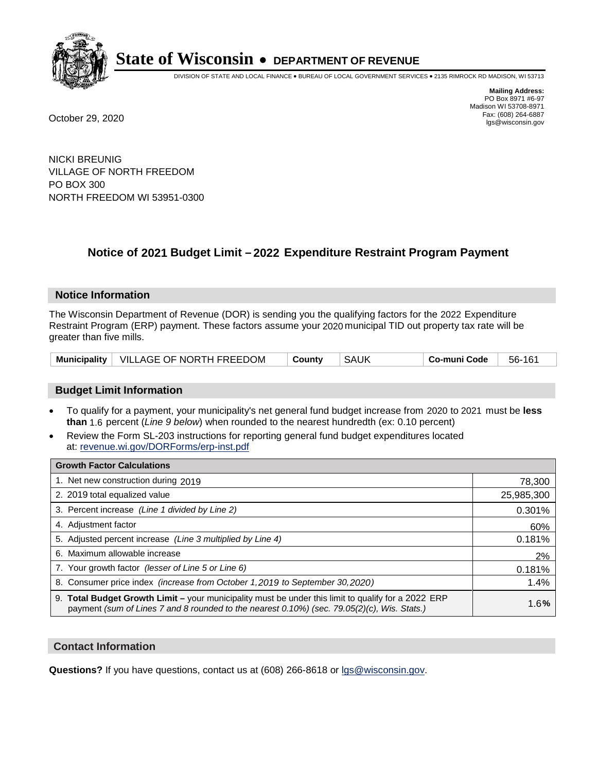

DIVISION OF STATE AND LOCAL FINANCE • BUREAU OF LOCAL GOVERNMENT SERVICES • 2135 RIMROCK RD MADISON, WI 53713

**Mailing Address:** PO Box 8971 #6-97 Madison WI 53708-8971<br>Fax: (608) 264-6887 Fax: (608) 264-6887 October 29, 2020 lgs@wisconsin.gov

NICKI BREUNIG VILLAGE OF NORTH FREEDOM PO BOX 300 NORTH FREEDOM WI 53951-0300

### **Notice of 2021 Budget Limit - 2022 Expenditure Restraint Program Payment**

#### **Notice Information**

The Wisconsin Department of Revenue (DOR) is sending you the qualifying factors for the 2022 Expenditure Restraint Program (ERP) payment. These factors assume your 2020 municipal TID out property tax rate will be greater than five mills.

| Municipality   VILLAGE OF NORTH FREEDOM | ∣ County | SAUK | ∣ Co-muni Code | 56-161 |
|-----------------------------------------|----------|------|----------------|--------|
|-----------------------------------------|----------|------|----------------|--------|

#### **Budget Limit Information**

- To qualify for a payment, your municipality's net general fund budget increase from 2020 to 2021 must be less **than** 1.6 percent (*Line 9 below*) when rounded to the nearest hundredth (ex: 0.10 percent)
- Review the Form SL-203 instructions for reporting general fund budget expenditures located at: revenue.wi.gov/DORForms/erp-inst.pdf

| <b>Growth Factor Calculations</b>                                                                                                                                                                      |            |
|--------------------------------------------------------------------------------------------------------------------------------------------------------------------------------------------------------|------------|
| 1. Net new construction during 2019                                                                                                                                                                    | 78,300     |
| 2. 2019 total equalized value                                                                                                                                                                          | 25,985,300 |
| 3. Percent increase (Line 1 divided by Line 2)                                                                                                                                                         | 0.301%     |
| 4. Adjustment factor                                                                                                                                                                                   | 60%        |
| 5. Adjusted percent increase (Line 3 multiplied by Line 4)                                                                                                                                             | 0.181%     |
| 6. Maximum allowable increase                                                                                                                                                                          | 2%         |
| 7. Your growth factor (lesser of Line 5 or Line 6)                                                                                                                                                     | 0.181%     |
| 8. Consumer price index (increase from October 1,2019 to September 30,2020)                                                                                                                            | 1.4%       |
| 9. Total Budget Growth Limit - your municipality must be under this limit to qualify for a 2022 ERP<br>payment (sum of Lines 7 and 8 rounded to the nearest $0.10\%$ ) (sec. 79.05(2)(c), Wis. Stats.) | 1.6%       |

#### **Contact Information**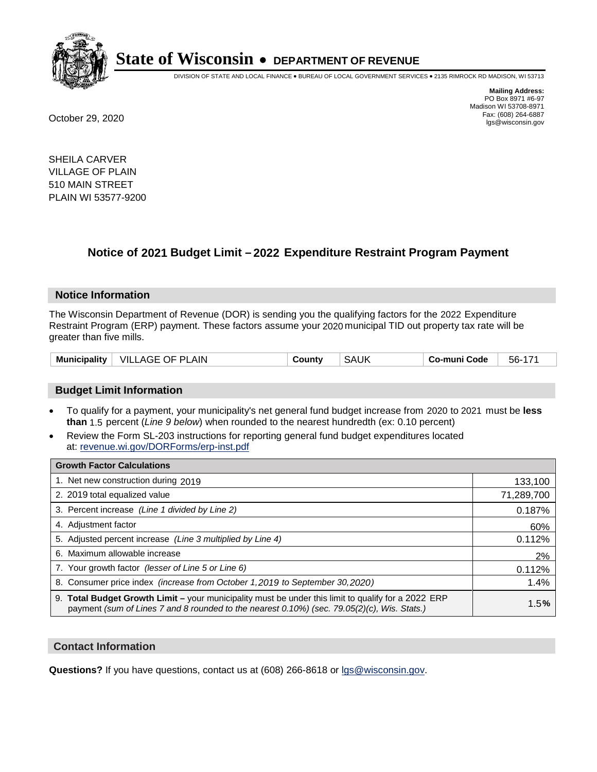

DIVISION OF STATE AND LOCAL FINANCE • BUREAU OF LOCAL GOVERNMENT SERVICES • 2135 RIMROCK RD MADISON, WI 53713

**Mailing Address:** PO Box 8971 #6-97 Madison WI 53708-8971<br>Fax: (608) 264-6887 Fax: (608) 264-6887 October 29, 2020 lgs@wisconsin.gov

SHEILA CARVER VILLAGE OF PLAIN 510 MAIN STREET PLAIN WI 53577-9200

### **Notice of 2021 Budget Limit - 2022 Expenditure Restraint Program Payment**

#### **Notice Information**

The Wisconsin Department of Revenue (DOR) is sending you the qualifying factors for the 2022 Expenditure Restraint Program (ERP) payment. These factors assume your 2020 municipal TID out property tax rate will be greater than five mills.

| Municipality | VILLAGE OF PLAIN | County | <b>SAUK</b> | Co-muni Code | 56- |
|--------------|------------------|--------|-------------|--------------|-----|
|--------------|------------------|--------|-------------|--------------|-----|

#### **Budget Limit Information**

- To qualify for a payment, your municipality's net general fund budget increase from 2020 to 2021 must be less **than** 1.5 percent (*Line 9 below*) when rounded to the nearest hundredth (ex: 0.10 percent)
- Review the Form SL-203 instructions for reporting general fund budget expenditures located at: revenue.wi.gov/DORForms/erp-inst.pdf

| <b>Growth Factor Calculations</b>                                                                                                                                                                      |            |
|--------------------------------------------------------------------------------------------------------------------------------------------------------------------------------------------------------|------------|
| 1. Net new construction during 2019                                                                                                                                                                    | 133,100    |
| 2. 2019 total equalized value                                                                                                                                                                          | 71,289,700 |
| 3. Percent increase (Line 1 divided by Line 2)                                                                                                                                                         | 0.187%     |
| 4. Adjustment factor                                                                                                                                                                                   | 60%        |
| 5. Adjusted percent increase (Line 3 multiplied by Line 4)                                                                                                                                             | 0.112%     |
| 6. Maximum allowable increase                                                                                                                                                                          | 2%         |
| 7. Your growth factor (lesser of Line 5 or Line 6)                                                                                                                                                     | 0.112%     |
| 8. Consumer price index (increase from October 1,2019 to September 30,2020)                                                                                                                            | 1.4%       |
| 9. Total Budget Growth Limit - your municipality must be under this limit to qualify for a 2022 ERP<br>payment (sum of Lines 7 and 8 rounded to the nearest $0.10\%$ ) (sec. 79.05(2)(c), Wis. Stats.) | 1.5%       |

#### **Contact Information**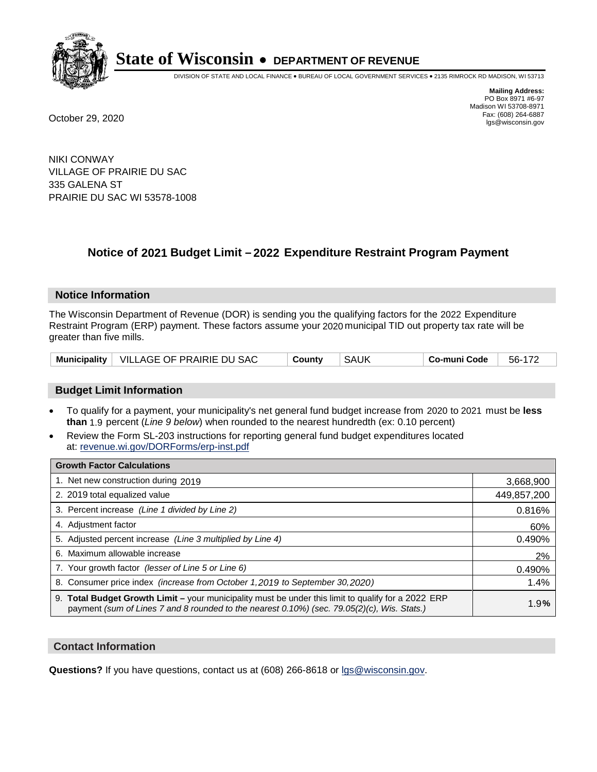

DIVISION OF STATE AND LOCAL FINANCE • BUREAU OF LOCAL GOVERNMENT SERVICES • 2135 RIMROCK RD MADISON, WI 53713

**Mailing Address:** PO Box 8971 #6-97 Madison WI 53708-8971<br>Fax: (608) 264-6887 Fax: (608) 264-6887 October 29, 2020 lgs@wisconsin.gov

NIKI CONWAY VILLAGE OF PRAIRIE DU SAC 335 GALENA ST PRAIRIE DU SAC WI 53578-1008

### **Notice of 2021 Budget Limit - 2022 Expenditure Restraint Program Payment**

#### **Notice Information**

The Wisconsin Department of Revenue (DOR) is sending you the qualifying factors for the 2022 Expenditure Restraint Program (ERP) payment. These factors assume your 2020 municipal TID out property tax rate will be greater than five mills.

|  | Municipality   VILLAGE OF PRAIRIE DU SAC | County | SAUK | Co-muni Code | 56-172 |
|--|------------------------------------------|--------|------|--------------|--------|
|--|------------------------------------------|--------|------|--------------|--------|

#### **Budget Limit Information**

- To qualify for a payment, your municipality's net general fund budget increase from 2020 to 2021 must be less **than** 1.9 percent (*Line 9 below*) when rounded to the nearest hundredth (ex: 0.10 percent)
- Review the Form SL-203 instructions for reporting general fund budget expenditures located at: revenue.wi.gov/DORForms/erp-inst.pdf

| <b>Growth Factor Calculations</b>                                                                                                                                                                      |             |
|--------------------------------------------------------------------------------------------------------------------------------------------------------------------------------------------------------|-------------|
| 1. Net new construction during 2019                                                                                                                                                                    | 3,668,900   |
| 2. 2019 total equalized value                                                                                                                                                                          | 449,857,200 |
| 3. Percent increase (Line 1 divided by Line 2)                                                                                                                                                         | 0.816%      |
| 4. Adjustment factor                                                                                                                                                                                   | 60%         |
| 5. Adjusted percent increase (Line 3 multiplied by Line 4)                                                                                                                                             | 0.490%      |
| 6. Maximum allowable increase                                                                                                                                                                          | 2%          |
| 7. Your growth factor (lesser of Line 5 or Line 6)                                                                                                                                                     | 0.490%      |
| 8. Consumer price index (increase from October 1, 2019 to September 30, 2020)                                                                                                                          | 1.4%        |
| 9. Total Budget Growth Limit - your municipality must be under this limit to qualify for a 2022 ERP<br>payment (sum of Lines 7 and 8 rounded to the nearest $0.10\%$ ) (sec. 79.05(2)(c), Wis. Stats.) | 1.9%        |

#### **Contact Information**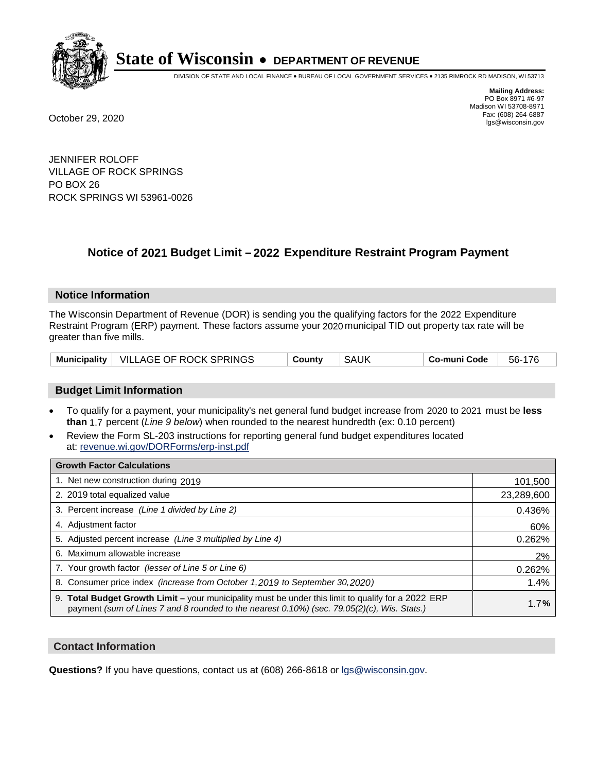

DIVISION OF STATE AND LOCAL FINANCE • BUREAU OF LOCAL GOVERNMENT SERVICES • 2135 RIMROCK RD MADISON, WI 53713

**Mailing Address:** PO Box 8971 #6-97 Madison WI 53708-8971<br>Fax: (608) 264-6887

Fax: (608) 264-6887 October 29, 2020 lgs@wisconsin.gov

JENNIFER ROLOFF VILLAGE OF ROCK SPRINGS PO BOX 26 ROCK SPRINGS WI 53961-0026

## **Notice of 2021 Budget Limit - 2022 Expenditure Restraint Program Payment**

#### **Notice Information**

The Wisconsin Department of Revenue (DOR) is sending you the qualifying factors for the 2022 Expenditure Restraint Program (ERP) payment. These factors assume your 2020 municipal TID out property tax rate will be greater than five mills.

| Municipality   VILLAGE OF ROCK SPRINGS | Countv | <b>SAUK</b> | Co-muni Code | 56-176 |
|----------------------------------------|--------|-------------|--------------|--------|
|----------------------------------------|--------|-------------|--------------|--------|

#### **Budget Limit Information**

- To qualify for a payment, your municipality's net general fund budget increase from 2020 to 2021 must be less **than** 1.7 percent (*Line 9 below*) when rounded to the nearest hundredth (ex: 0.10 percent)
- Review the Form SL-203 instructions for reporting general fund budget expenditures located at: revenue.wi.gov/DORForms/erp-inst.pdf

| <b>Growth Factor Calculations</b>                                                                                                                                                                      |            |
|--------------------------------------------------------------------------------------------------------------------------------------------------------------------------------------------------------|------------|
| 1. Net new construction during 2019                                                                                                                                                                    | 101,500    |
| 2. 2019 total equalized value                                                                                                                                                                          | 23,289,600 |
| 3. Percent increase (Line 1 divided by Line 2)                                                                                                                                                         | 0.436%     |
| 4. Adjustment factor                                                                                                                                                                                   | 60%        |
| 5. Adjusted percent increase (Line 3 multiplied by Line 4)                                                                                                                                             | 0.262%     |
| 6. Maximum allowable increase                                                                                                                                                                          | 2%         |
| 7. Your growth factor (lesser of Line 5 or Line 6)                                                                                                                                                     | 0.262%     |
| 8. Consumer price index (increase from October 1,2019 to September 30,2020)                                                                                                                            | 1.4%       |
| 9. Total Budget Growth Limit - your municipality must be under this limit to qualify for a 2022 ERP<br>payment (sum of Lines 7 and 8 rounded to the nearest $0.10\%$ ) (sec. 79.05(2)(c), Wis. Stats.) | 1.7%       |

#### **Contact Information**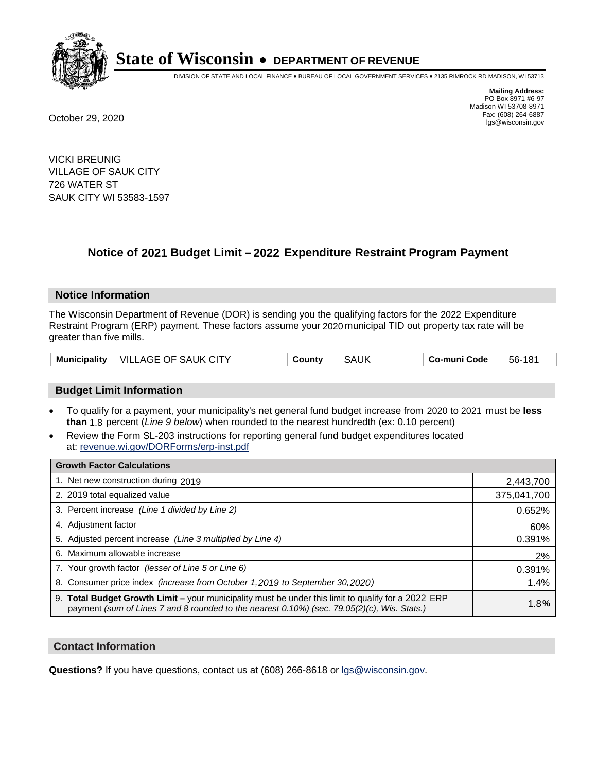

DIVISION OF STATE AND LOCAL FINANCE • BUREAU OF LOCAL GOVERNMENT SERVICES • 2135 RIMROCK RD MADISON, WI 53713

**Mailing Address:** PO Box 8971 #6-97 Madison WI 53708-8971<br>Fax: (608) 264-6887 Fax: (608) 264-6887 October 29, 2020 lgs@wisconsin.gov

VICKI BREUNIG VILLAGE OF SAUK CITY 726 WATER ST SAUK CITY WI 53583-1597

### **Notice of 2021 Budget Limit - 2022 Expenditure Restraint Program Payment**

#### **Notice Information**

The Wisconsin Department of Revenue (DOR) is sending you the qualifying factors for the 2022 Expenditure Restraint Program (ERP) payment. These factors assume your 2020 municipal TID out property tax rate will be greater than five mills.

| Municipality   VILLAGE OF SAUK CITY | County | <b>SAUK</b><br>Co-muni Code | 56-181 |
|-------------------------------------|--------|-----------------------------|--------|
|-------------------------------------|--------|-----------------------------|--------|

#### **Budget Limit Information**

- To qualify for a payment, your municipality's net general fund budget increase from 2020 to 2021 must be less **than** 1.8 percent (*Line 9 below*) when rounded to the nearest hundredth (ex: 0.10 percent)
- Review the Form SL-203 instructions for reporting general fund budget expenditures located at: revenue.wi.gov/DORForms/erp-inst.pdf

| <b>Growth Factor Calculations</b>                                                                                                                                                                      |             |
|--------------------------------------------------------------------------------------------------------------------------------------------------------------------------------------------------------|-------------|
| 1. Net new construction during 2019                                                                                                                                                                    | 2,443,700   |
| 2. 2019 total equalized value                                                                                                                                                                          | 375,041,700 |
| 3. Percent increase (Line 1 divided by Line 2)                                                                                                                                                         | 0.652%      |
| 4. Adjustment factor                                                                                                                                                                                   | 60%         |
| 5. Adjusted percent increase (Line 3 multiplied by Line 4)                                                                                                                                             | 0.391%      |
| 6. Maximum allowable increase                                                                                                                                                                          | 2%          |
| 7. Your growth factor (lesser of Line 5 or Line 6)                                                                                                                                                     | 0.391%      |
| 8. Consumer price index (increase from October 1, 2019 to September 30, 2020)                                                                                                                          | 1.4%        |
| 9. Total Budget Growth Limit - your municipality must be under this limit to qualify for a 2022 ERP<br>payment (sum of Lines 7 and 8 rounded to the nearest $0.10\%$ ) (sec. 79.05(2)(c), Wis. Stats.) | 1.8%        |

#### **Contact Information**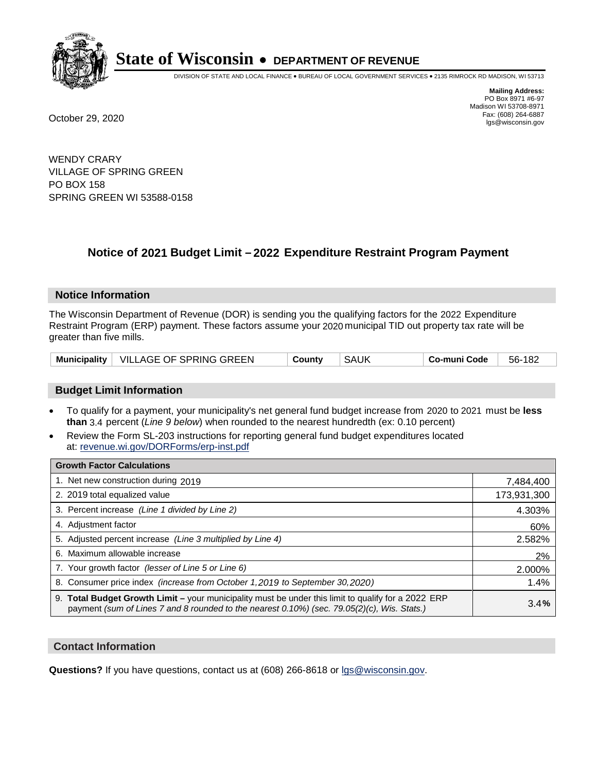

DIVISION OF STATE AND LOCAL FINANCE • BUREAU OF LOCAL GOVERNMENT SERVICES • 2135 RIMROCK RD MADISON, WI 53713

**Mailing Address:** PO Box 8971 #6-97 Madison WI 53708-8971<br>Fax: (608) 264-6887 Fax: (608) 264-6887 October 29, 2020 lgs@wisconsin.gov

WENDY CRARY VILLAGE OF SPRING GREEN PO BOX 158 SPRING GREEN WI 53588-0158

## **Notice of 2021 Budget Limit - 2022 Expenditure Restraint Program Payment**

#### **Notice Information**

The Wisconsin Department of Revenue (DOR) is sending you the qualifying factors for the 2022 Expenditure Restraint Program (ERP) payment. These factors assume your 2020 municipal TID out property tax rate will be greater than five mills.

|  | Municipality   VILLAGE OF SPRING GREEN | County | SAUK | Co-muni Code | 56-182 |
|--|----------------------------------------|--------|------|--------------|--------|
|--|----------------------------------------|--------|------|--------------|--------|

#### **Budget Limit Information**

- To qualify for a payment, your municipality's net general fund budget increase from 2020 to 2021 must be less **than** 3.4 percent (*Line 9 below*) when rounded to the nearest hundredth (ex: 0.10 percent)
- Review the Form SL-203 instructions for reporting general fund budget expenditures located at: revenue.wi.gov/DORForms/erp-inst.pdf

| <b>Growth Factor Calculations</b>                                                                                                                                                                      |             |
|--------------------------------------------------------------------------------------------------------------------------------------------------------------------------------------------------------|-------------|
| 1. Net new construction during 2019                                                                                                                                                                    | 7,484,400   |
| 2. 2019 total equalized value                                                                                                                                                                          | 173,931,300 |
| 3. Percent increase (Line 1 divided by Line 2)                                                                                                                                                         | 4.303%      |
| 4. Adjustment factor                                                                                                                                                                                   | 60%         |
| 5. Adjusted percent increase (Line 3 multiplied by Line 4)                                                                                                                                             | 2.582%      |
| 6. Maximum allowable increase                                                                                                                                                                          | 2%          |
| 7. Your growth factor (lesser of Line 5 or Line 6)                                                                                                                                                     | 2.000%      |
| 8. Consumer price index (increase from October 1, 2019 to September 30, 2020)                                                                                                                          | 1.4%        |
| 9. Total Budget Growth Limit - your municipality must be under this limit to qualify for a 2022 ERP<br>payment (sum of Lines 7 and 8 rounded to the nearest $0.10\%$ ) (sec. 79.05(2)(c), Wis. Stats.) | 3.4%        |

#### **Contact Information**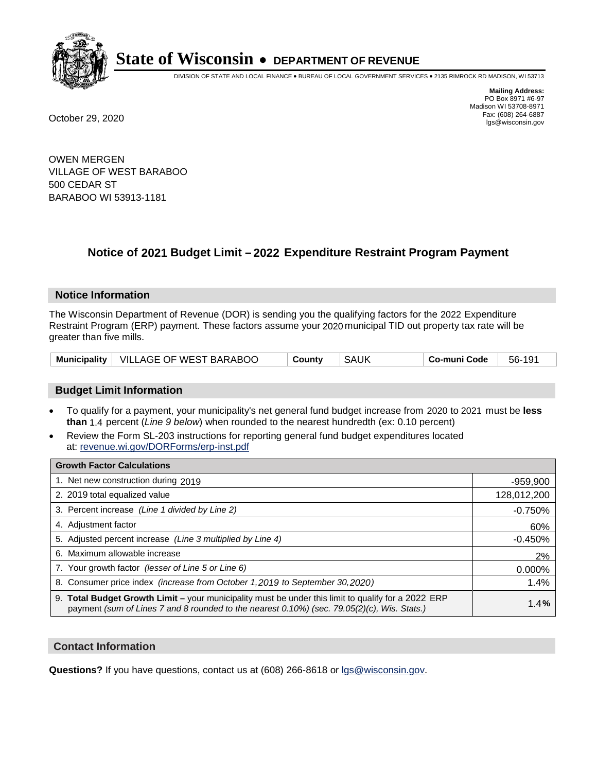

DIVISION OF STATE AND LOCAL FINANCE • BUREAU OF LOCAL GOVERNMENT SERVICES • 2135 RIMROCK RD MADISON, WI 53713

**Mailing Address:** PO Box 8971 #6-97 Madison WI 53708-8971<br>Fax: (608) 264-6887 Fax: (608) 264-6887 October 29, 2020 lgs@wisconsin.gov

OWEN MERGEN VILLAGE OF WEST BARABOO 500 CEDAR ST BARABOO WI 53913-1181

### **Notice of 2021 Budget Limit - 2022 Expenditure Restraint Program Payment**

#### **Notice Information**

The Wisconsin Department of Revenue (DOR) is sending you the qualifying factors for the 2022 Expenditure Restraint Program (ERP) payment. These factors assume your 2020 municipal TID out property tax rate will be greater than five mills.

|  | Municipality   VILLAGE OF WEST BARABOO | County | SAUK | ⊺ Co-muni Code | 56-191 |
|--|----------------------------------------|--------|------|----------------|--------|
|--|----------------------------------------|--------|------|----------------|--------|

#### **Budget Limit Information**

- To qualify for a payment, your municipality's net general fund budget increase from 2020 to 2021 must be less **than** 1.4 percent (*Line 9 below*) when rounded to the nearest hundredth (ex: 0.10 percent)
- Review the Form SL-203 instructions for reporting general fund budget expenditures located at: revenue.wi.gov/DORForms/erp-inst.pdf

| <b>Growth Factor Calculations</b>                                                                                                                                                                      |             |
|--------------------------------------------------------------------------------------------------------------------------------------------------------------------------------------------------------|-------------|
| 1. Net new construction during 2019                                                                                                                                                                    | $-959,900$  |
| 2. 2019 total equalized value                                                                                                                                                                          | 128,012,200 |
| 3. Percent increase (Line 1 divided by Line 2)                                                                                                                                                         | $-0.750%$   |
| 4. Adjustment factor                                                                                                                                                                                   | 60%         |
| 5. Adjusted percent increase (Line 3 multiplied by Line 4)                                                                                                                                             | $-0.450%$   |
| 6. Maximum allowable increase                                                                                                                                                                          | 2%          |
| 7. Your growth factor (lesser of Line 5 or Line 6)                                                                                                                                                     | 0.000%      |
| 8. Consumer price index (increase from October 1,2019 to September 30,2020)                                                                                                                            | 1.4%        |
| 9. Total Budget Growth Limit - your municipality must be under this limit to qualify for a 2022 ERP<br>payment (sum of Lines 7 and 8 rounded to the nearest $0.10\%$ ) (sec. 79.05(2)(c), Wis. Stats.) | 1.4%        |

#### **Contact Information**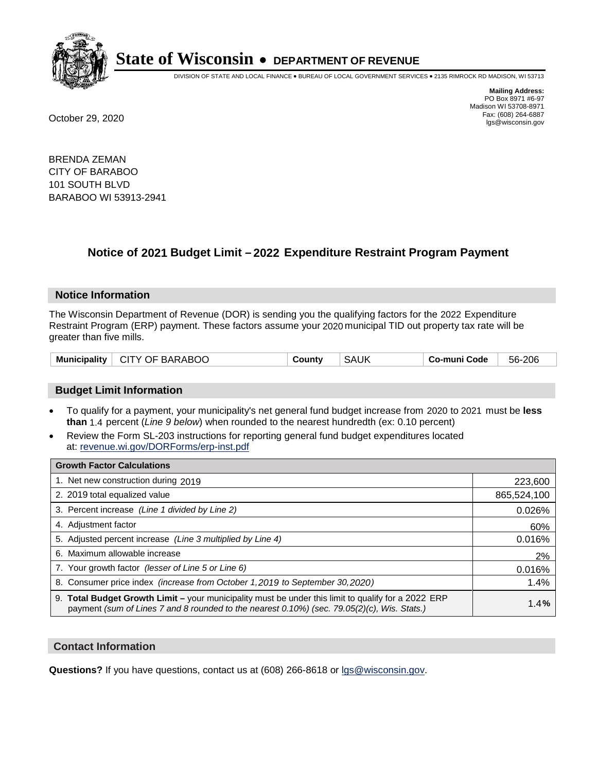

DIVISION OF STATE AND LOCAL FINANCE • BUREAU OF LOCAL GOVERNMENT SERVICES • 2135 RIMROCK RD MADISON, WI 53713

**Mailing Address:** PO Box 8971 #6-97 Madison WI 53708-8971<br>Fax: (608) 264-6887 Fax: (608) 264-6887 October 29, 2020 lgs@wisconsin.gov

BRENDA ZEMAN CITY OF BARABOO 101 SOUTH BLVD BARABOO WI 53913-2941

### **Notice of 2021 Budget Limit - 2022 Expenditure Restraint Program Payment**

#### **Notice Information**

The Wisconsin Department of Revenue (DOR) is sending you the qualifying factors for the 2022 Expenditure Restraint Program (ERP) payment. These factors assume your 2020 municipal TID out property tax rate will be greater than five mills.

| Municipality   CITY OF BARABOO | County | <b>SAUK</b> | Co-muni Code | 56-206 |
|--------------------------------|--------|-------------|--------------|--------|
|--------------------------------|--------|-------------|--------------|--------|

#### **Budget Limit Information**

- To qualify for a payment, your municipality's net general fund budget increase from 2020 to 2021 must be less **than** 1.4 percent (*Line 9 below*) when rounded to the nearest hundredth (ex: 0.10 percent)
- Review the Form SL-203 instructions for reporting general fund budget expenditures located at: revenue.wi.gov/DORForms/erp-inst.pdf

| <b>Growth Factor Calculations</b>                                                                                                                                                                  |             |
|----------------------------------------------------------------------------------------------------------------------------------------------------------------------------------------------------|-------------|
| 1. Net new construction during 2019                                                                                                                                                                | 223,600     |
| 2. 2019 total equalized value                                                                                                                                                                      | 865,524,100 |
| 3. Percent increase (Line 1 divided by Line 2)                                                                                                                                                     | 0.026%      |
| 4. Adjustment factor                                                                                                                                                                               | 60%         |
| 5. Adjusted percent increase (Line 3 multiplied by Line 4)                                                                                                                                         | 0.016%      |
| 6. Maximum allowable increase                                                                                                                                                                      | 2%          |
| 7. Your growth factor (lesser of Line 5 or Line 6)                                                                                                                                                 | 0.016%      |
| 8. Consumer price index (increase from October 1,2019 to September 30,2020)                                                                                                                        | 1.4%        |
| 9. Total Budget Growth Limit - your municipality must be under this limit to qualify for a 2022 ERP<br>payment (sum of Lines 7 and 8 rounded to the nearest 0.10%) (sec. 79.05(2)(c), Wis. Stats.) | 1.4%        |

#### **Contact Information**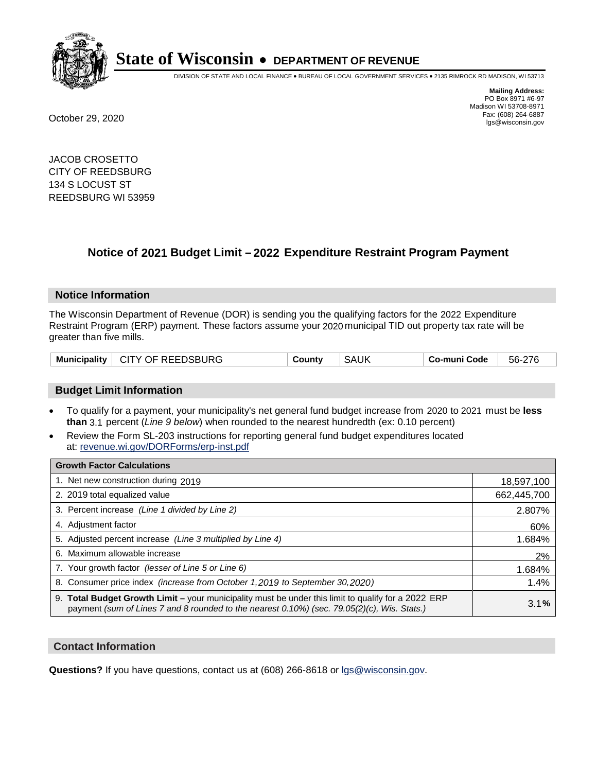

DIVISION OF STATE AND LOCAL FINANCE • BUREAU OF LOCAL GOVERNMENT SERVICES • 2135 RIMROCK RD MADISON, WI 53713

**Mailing Address:** PO Box 8971 #6-97 Madison WI 53708-8971<br>Fax: (608) 264-6887 Fax: (608) 264-6887 October 29, 2020 lgs@wisconsin.gov

JACOB CROSETTO CITY OF REEDSBURG 134 S LOCUST ST REEDSBURG WI 53959

## **Notice of 2021 Budget Limit - 2022 Expenditure Restraint Program Payment**

#### **Notice Information**

The Wisconsin Department of Revenue (DOR) is sending you the qualifying factors for the 2022 Expenditure Restraint Program (ERP) payment. These factors assume your 2020 municipal TID out property tax rate will be greater than five mills.

|  | Municipality   CITY OF REEDSBURG | County | <b>SAUK</b> | Co-muni Code | 56-276 |
|--|----------------------------------|--------|-------------|--------------|--------|
|--|----------------------------------|--------|-------------|--------------|--------|

#### **Budget Limit Information**

- To qualify for a payment, your municipality's net general fund budget increase from 2020 to 2021 must be less **than** 3.1 percent (*Line 9 below*) when rounded to the nearest hundredth (ex: 0.10 percent)
- Review the Form SL-203 instructions for reporting general fund budget expenditures located at: revenue.wi.gov/DORForms/erp-inst.pdf

| <b>Growth Factor Calculations</b>                                                                                                                                                                  |             |
|----------------------------------------------------------------------------------------------------------------------------------------------------------------------------------------------------|-------------|
| 1. Net new construction during 2019                                                                                                                                                                | 18,597,100  |
| 2. 2019 total equalized value                                                                                                                                                                      | 662,445,700 |
| 3. Percent increase (Line 1 divided by Line 2)                                                                                                                                                     | 2.807%      |
| 4. Adjustment factor                                                                                                                                                                               | 60%         |
| 5. Adjusted percent increase (Line 3 multiplied by Line 4)                                                                                                                                         | 1.684%      |
| Maximum allowable increase<br>6.                                                                                                                                                                   | 2%          |
| 7. Your growth factor (lesser of Line 5 or Line 6)                                                                                                                                                 | 1.684%      |
| 8. Consumer price index (increase from October 1, 2019 to September 30, 2020)                                                                                                                      | 1.4%        |
| 9. Total Budget Growth Limit - your municipality must be under this limit to qualify for a 2022 ERP<br>payment (sum of Lines 7 and 8 rounded to the nearest 0.10%) (sec. 79.05(2)(c), Wis. Stats.) | 3.1%        |

#### **Contact Information**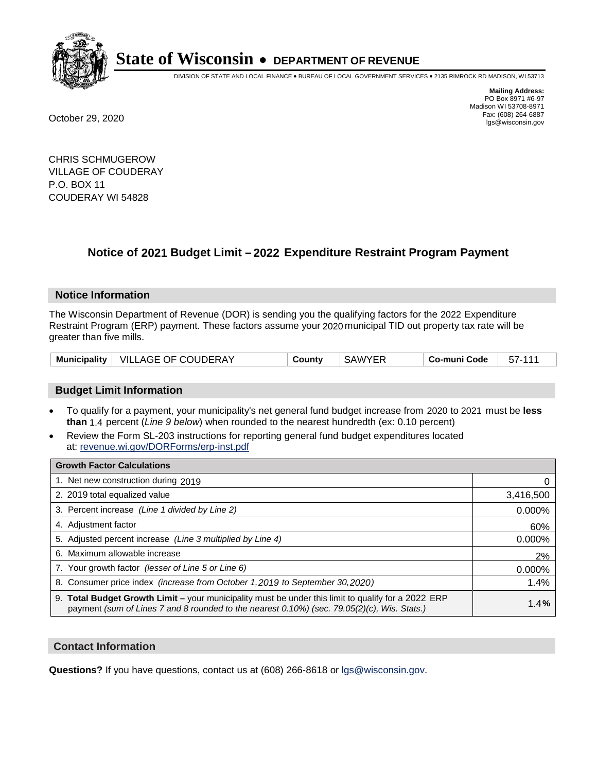

DIVISION OF STATE AND LOCAL FINANCE • BUREAU OF LOCAL GOVERNMENT SERVICES • 2135 RIMROCK RD MADISON, WI 53713

**Mailing Address:** PO Box 8971 #6-97 Madison WI 53708-8971<br>Fax: (608) 264-6887 Fax: (608) 264-6887 October 29, 2020 lgs@wisconsin.gov

CHRIS SCHMUGEROW VILLAGE OF COUDERAY P.O. BOX 11 COUDERAY WI 54828

### **Notice of 2021 Budget Limit - 2022 Expenditure Restraint Program Payment**

#### **Notice Information**

The Wisconsin Department of Revenue (DOR) is sending you the qualifying factors for the 2022 Expenditure Restraint Program (ERP) payment. These factors assume your 2020 municipal TID out property tax rate will be greater than five mills.

| <b>Municipality</b> | <b>VILLAGE OF COUDERAY</b> | Countv | SAWYER | Co-muni Code |  |
|---------------------|----------------------------|--------|--------|--------------|--|
|---------------------|----------------------------|--------|--------|--------------|--|

#### **Budget Limit Information**

- To qualify for a payment, your municipality's net general fund budget increase from 2020 to 2021 must be less **than** 1.4 percent (*Line 9 below*) when rounded to the nearest hundredth (ex: 0.10 percent)
- Review the Form SL-203 instructions for reporting general fund budget expenditures located at: revenue.wi.gov/DORForms/erp-inst.pdf

| <b>Growth Factor Calculations</b>                                                                                                                                                                  |           |
|----------------------------------------------------------------------------------------------------------------------------------------------------------------------------------------------------|-----------|
| 1. Net new construction during 2019                                                                                                                                                                |           |
| 2. 2019 total equalized value                                                                                                                                                                      | 3,416,500 |
| 3. Percent increase (Line 1 divided by Line 2)                                                                                                                                                     | $0.000\%$ |
| 4. Adjustment factor                                                                                                                                                                               | 60%       |
| 5. Adjusted percent increase (Line 3 multiplied by Line 4)                                                                                                                                         | 0.000%    |
| 6. Maximum allowable increase                                                                                                                                                                      | 2%        |
| 7. Your growth factor (lesser of Line 5 or Line 6)                                                                                                                                                 | 0.000%    |
| 8. Consumer price index (increase from October 1, 2019 to September 30, 2020)                                                                                                                      | 1.4%      |
| 9. Total Budget Growth Limit – your municipality must be under this limit to qualify for a 2022 ERP<br>payment (sum of Lines 7 and 8 rounded to the nearest 0.10%) (sec. 79.05(2)(c), Wis. Stats.) | 1.4%      |

#### **Contact Information**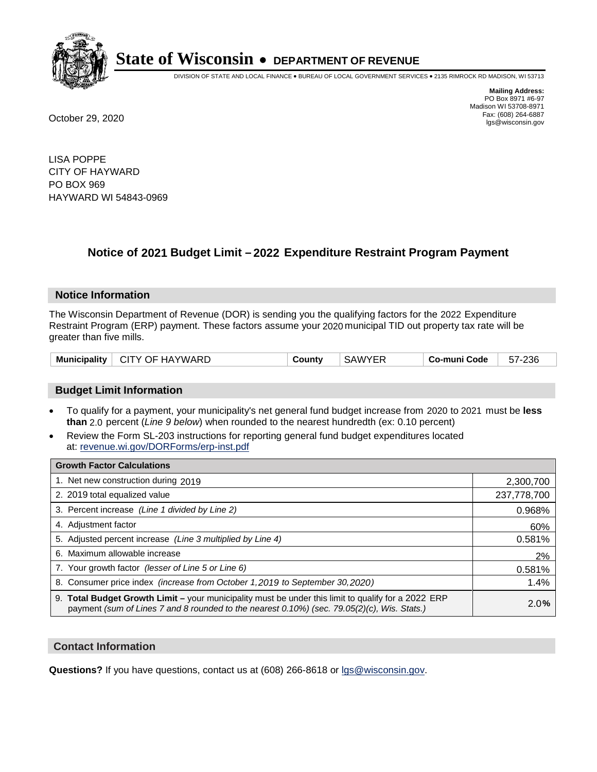

DIVISION OF STATE AND LOCAL FINANCE • BUREAU OF LOCAL GOVERNMENT SERVICES • 2135 RIMROCK RD MADISON, WI 53713

**Mailing Address:** PO Box 8971 #6-97 Madison WI 53708-8971<br>Fax: (608) 264-6887 Fax: (608) 264-6887 October 29, 2020 lgs@wisconsin.gov

LISA POPPE CITY OF HAYWARD PO BOX 969 HAYWARD WI 54843-0969

## **Notice of 2021 Budget Limit - 2022 Expenditure Restraint Program Payment**

#### **Notice Information**

The Wisconsin Department of Revenue (DOR) is sending you the qualifying factors for the 2022 Expenditure Restraint Program (ERP) payment. These factors assume your 2020 municipal TID out property tax rate will be greater than five mills.

| <b>Municipality</b> | CITY OF HAYWARD | County | <b>SAWYER</b> | Co-muni Code | 57-236 |
|---------------------|-----------------|--------|---------------|--------------|--------|
|---------------------|-----------------|--------|---------------|--------------|--------|

#### **Budget Limit Information**

- To qualify for a payment, your municipality's net general fund budget increase from 2020 to 2021 must be less **than** 2.0 percent (*Line 9 below*) when rounded to the nearest hundredth (ex: 0.10 percent)
- Review the Form SL-203 instructions for reporting general fund budget expenditures located at: revenue.wi.gov/DORForms/erp-inst.pdf

| <b>Growth Factor Calculations</b>                                                                                                                                                                  |             |
|----------------------------------------------------------------------------------------------------------------------------------------------------------------------------------------------------|-------------|
| 1. Net new construction during 2019                                                                                                                                                                | 2,300,700   |
| 2. 2019 total equalized value                                                                                                                                                                      | 237,778,700 |
| 3. Percent increase (Line 1 divided by Line 2)                                                                                                                                                     | 0.968%      |
| 4. Adjustment factor                                                                                                                                                                               | 60%         |
| 5. Adjusted percent increase (Line 3 multiplied by Line 4)                                                                                                                                         | 0.581%      |
| 6. Maximum allowable increase                                                                                                                                                                      | 2%          |
| 7. Your growth factor (lesser of Line 5 or Line 6)                                                                                                                                                 | 0.581%      |
| 8. Consumer price index (increase from October 1, 2019 to September 30, 2020)                                                                                                                      | 1.4%        |
| 9. Total Budget Growth Limit - your municipality must be under this limit to qualify for a 2022 ERP<br>payment (sum of Lines 7 and 8 rounded to the nearest 0.10%) (sec. 79.05(2)(c), Wis. Stats.) | 2.0%        |

#### **Contact Information**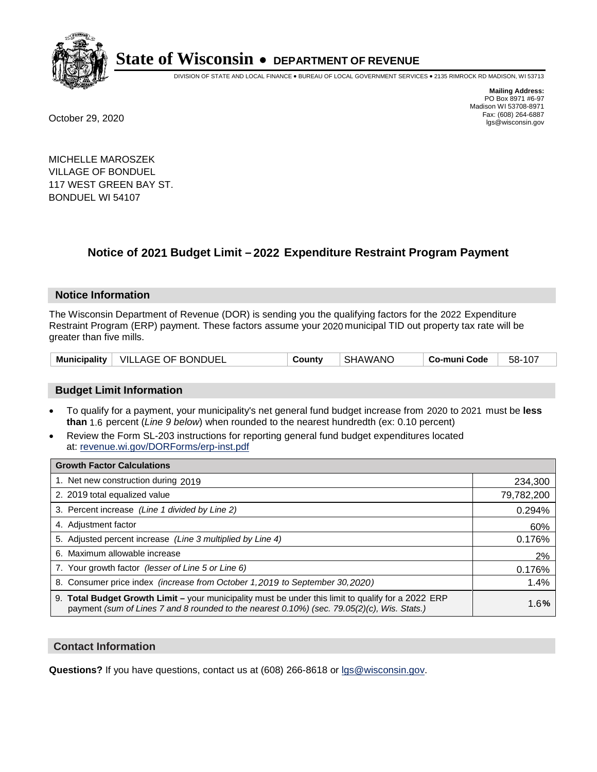

DIVISION OF STATE AND LOCAL FINANCE • BUREAU OF LOCAL GOVERNMENT SERVICES • 2135 RIMROCK RD MADISON, WI 53713

**Mailing Address:** PO Box 8971 #6-97 Madison WI 53708-8971<br>Fax: (608) 264-6887 Fax: (608) 264-6887 October 29, 2020 lgs@wisconsin.gov

MICHELLE MAROSZEK VILLAGE OF BONDUEL 117 WEST GREEN BAY ST. BONDUEL WI 54107

### **Notice of 2021 Budget Limit - 2022 Expenditure Restraint Program Payment**

#### **Notice Information**

The Wisconsin Department of Revenue (DOR) is sending you the qualifying factors for the 2022 Expenditure Restraint Program (ERP) payment. These factors assume your 2020 municipal TID out property tax rate will be greater than five mills.

| Municipality   VILLAGE OF BONDUEL | County | <b>SHAWANO</b> | Co-muni Code | 58-107 |
|-----------------------------------|--------|----------------|--------------|--------|
|-----------------------------------|--------|----------------|--------------|--------|

#### **Budget Limit Information**

- To qualify for a payment, your municipality's net general fund budget increase from 2020 to 2021 must be less **than** 1.6 percent (*Line 9 below*) when rounded to the nearest hundredth (ex: 0.10 percent)
- Review the Form SL-203 instructions for reporting general fund budget expenditures located at: revenue.wi.gov/DORForms/erp-inst.pdf

| <b>Growth Factor Calculations</b>                                                                                                                                                                      |            |
|--------------------------------------------------------------------------------------------------------------------------------------------------------------------------------------------------------|------------|
| 1. Net new construction during 2019                                                                                                                                                                    | 234,300    |
| 2. 2019 total equalized value                                                                                                                                                                          | 79,782,200 |
| 3. Percent increase (Line 1 divided by Line 2)                                                                                                                                                         | 0.294%     |
| 4. Adjustment factor                                                                                                                                                                                   | 60%        |
| 5. Adjusted percent increase (Line 3 multiplied by Line 4)                                                                                                                                             | 0.176%     |
| 6. Maximum allowable increase                                                                                                                                                                          | 2%         |
| 7. Your growth factor (lesser of Line 5 or Line 6)                                                                                                                                                     | 0.176%     |
| 8. Consumer price index (increase from October 1,2019 to September 30,2020)                                                                                                                            | 1.4%       |
| 9. Total Budget Growth Limit - your municipality must be under this limit to qualify for a 2022 ERP<br>payment (sum of Lines 7 and 8 rounded to the nearest $0.10\%$ ) (sec. 79.05(2)(c), Wis. Stats.) | 1.6%       |

#### **Contact Information**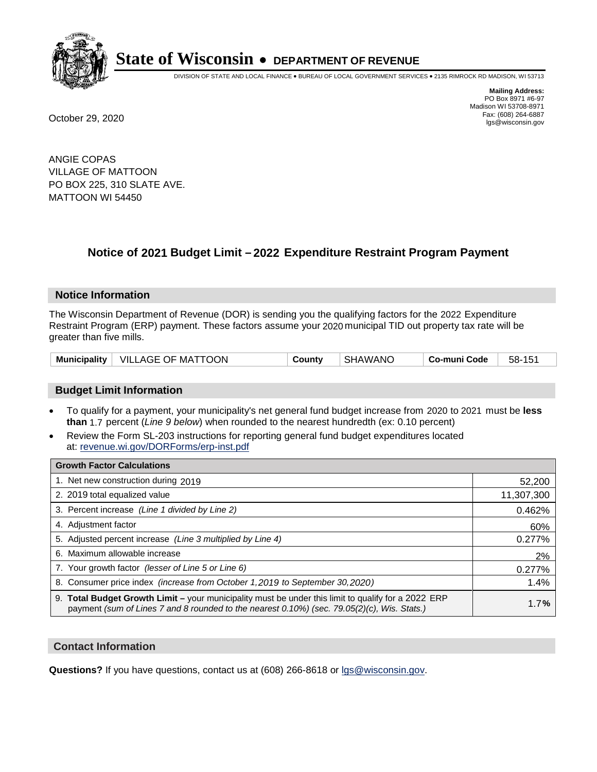

DIVISION OF STATE AND LOCAL FINANCE • BUREAU OF LOCAL GOVERNMENT SERVICES • 2135 RIMROCK RD MADISON, WI 53713

**Mailing Address:** PO Box 8971 #6-97 Madison WI 53708-8971<br>Fax: (608) 264-6887 Fax: (608) 264-6887 October 29, 2020 lgs@wisconsin.gov

ANGIE COPAS VILLAGE OF MATTOON PO BOX 225, 310 SLATE AVE. MATTOON WI 54450

### **Notice of 2021 Budget Limit - 2022 Expenditure Restraint Program Payment**

#### **Notice Information**

The Wisconsin Department of Revenue (DOR) is sending you the qualifying factors for the 2022 Expenditure Restraint Program (ERP) payment. These factors assume your 2020 municipal TID out property tax rate will be greater than five mills.

|  | Municipality   VILLAGE OF MATTOON | County | <b>SHAWANO</b> | Co-muni Code | 58-151 |
|--|-----------------------------------|--------|----------------|--------------|--------|
|--|-----------------------------------|--------|----------------|--------------|--------|

#### **Budget Limit Information**

- To qualify for a payment, your municipality's net general fund budget increase from 2020 to 2021 must be less **than** 1.7 percent (*Line 9 below*) when rounded to the nearest hundredth (ex: 0.10 percent)
- Review the Form SL-203 instructions for reporting general fund budget expenditures located at: revenue.wi.gov/DORForms/erp-inst.pdf

| <b>Growth Factor Calculations</b>                                                                                                                                                                      |            |
|--------------------------------------------------------------------------------------------------------------------------------------------------------------------------------------------------------|------------|
| 1. Net new construction during 2019                                                                                                                                                                    | 52,200     |
| 2. 2019 total equalized value                                                                                                                                                                          | 11,307,300 |
| 3. Percent increase (Line 1 divided by Line 2)                                                                                                                                                         | 0.462%     |
| 4. Adjustment factor                                                                                                                                                                                   | 60%        |
| 5. Adjusted percent increase (Line 3 multiplied by Line 4)                                                                                                                                             | 0.277%     |
| 6. Maximum allowable increase                                                                                                                                                                          | 2%         |
| 7. Your growth factor (lesser of Line 5 or Line 6)                                                                                                                                                     | 0.277%     |
| 8. Consumer price index (increase from October 1, 2019 to September 30, 2020)                                                                                                                          | 1.4%       |
| 9. Total Budget Growth Limit - your municipality must be under this limit to qualify for a 2022 ERP<br>payment (sum of Lines 7 and 8 rounded to the nearest $0.10\%$ ) (sec. 79.05(2)(c), Wis. Stats.) | 1.7%       |

#### **Contact Information**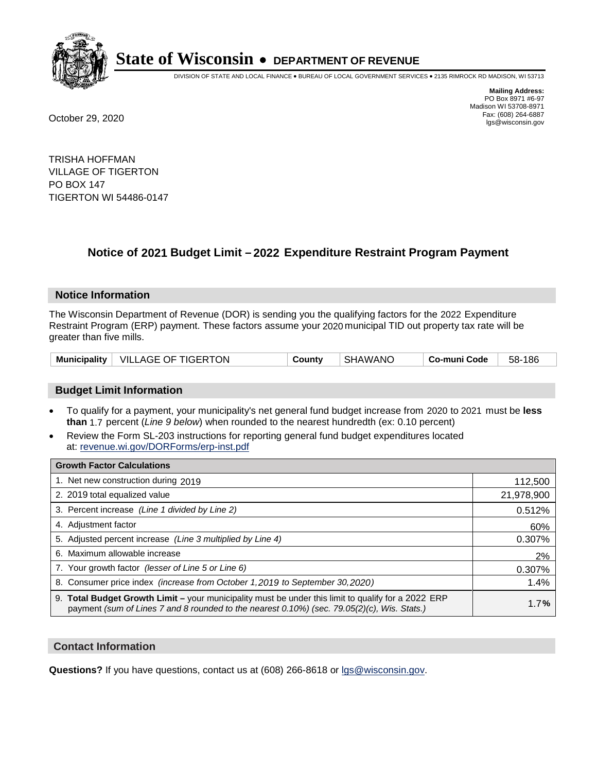

DIVISION OF STATE AND LOCAL FINANCE • BUREAU OF LOCAL GOVERNMENT SERVICES • 2135 RIMROCK RD MADISON, WI 53713

**Mailing Address:** PO Box 8971 #6-97 Madison WI 53708-8971<br>Fax: (608) 264-6887 Fax: (608) 264-6887 October 29, 2020 lgs@wisconsin.gov

TRISHA HOFFMAN VILLAGE OF TIGERTON PO BOX 147 TIGERTON WI 54486-0147

### **Notice of 2021 Budget Limit - 2022 Expenditure Restraint Program Payment**

#### **Notice Information**

The Wisconsin Department of Revenue (DOR) is sending you the qualifying factors for the 2022 Expenditure Restraint Program (ERP) payment. These factors assume your 2020 municipal TID out property tax rate will be greater than five mills.

| Municipality   VILLAGE OF TIGERTON | Countv | SHAWANO | Co-muni Code | 58-186 |
|------------------------------------|--------|---------|--------------|--------|
|------------------------------------|--------|---------|--------------|--------|

#### **Budget Limit Information**

- To qualify for a payment, your municipality's net general fund budget increase from 2020 to 2021 must be less **than** 1.7 percent (*Line 9 below*) when rounded to the nearest hundredth (ex: 0.10 percent)
- Review the Form SL-203 instructions for reporting general fund budget expenditures located at: revenue.wi.gov/DORForms/erp-inst.pdf

| <b>Growth Factor Calculations</b>                                                                                                                                                                      |            |
|--------------------------------------------------------------------------------------------------------------------------------------------------------------------------------------------------------|------------|
| 1. Net new construction during 2019                                                                                                                                                                    | 112,500    |
| 2. 2019 total equalized value                                                                                                                                                                          | 21,978,900 |
| 3. Percent increase (Line 1 divided by Line 2)                                                                                                                                                         | 0.512%     |
| 4. Adjustment factor                                                                                                                                                                                   | 60%        |
| 5. Adjusted percent increase (Line 3 multiplied by Line 4)                                                                                                                                             | 0.307%     |
| 6. Maximum allowable increase                                                                                                                                                                          | 2%         |
| 7. Your growth factor (lesser of Line 5 or Line 6)                                                                                                                                                     | 0.307%     |
| 8. Consumer price index (increase from October 1,2019 to September 30,2020)                                                                                                                            | 1.4%       |
| 9. Total Budget Growth Limit - your municipality must be under this limit to qualify for a 2022 ERP<br>payment (sum of Lines 7 and 8 rounded to the nearest $0.10\%$ ) (sec. 79.05(2)(c), Wis. Stats.) | 1.7%       |

#### **Contact Information**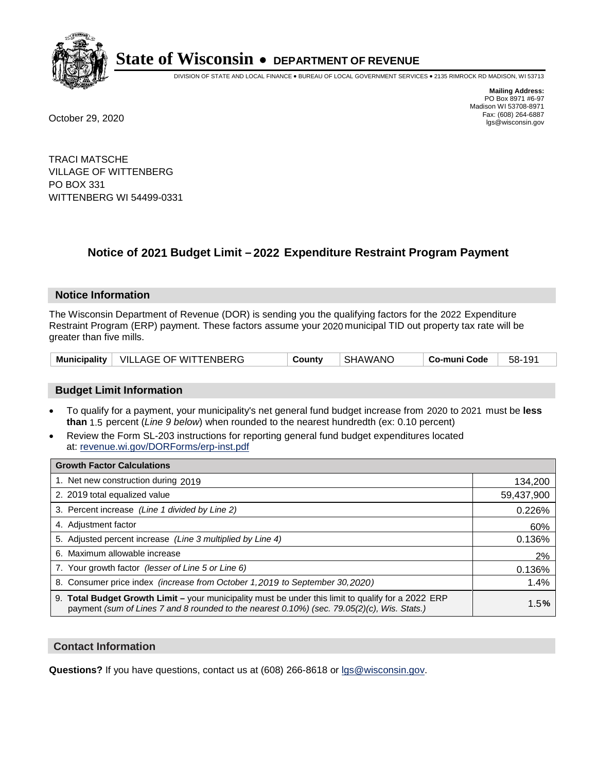

DIVISION OF STATE AND LOCAL FINANCE • BUREAU OF LOCAL GOVERNMENT SERVICES • 2135 RIMROCK RD MADISON, WI 53713

**Mailing Address:** PO Box 8971 #6-97 Madison WI 53708-8971<br>Fax: (608) 264-6887 Fax: (608) 264-6887 October 29, 2020 lgs@wisconsin.gov

TRACI MATSCHE VILLAGE OF WITTENBERG PO BOX 331 WITTENBERG WI 54499-0331

## **Notice of 2021 Budget Limit - 2022 Expenditure Restraint Program Payment**

#### **Notice Information**

The Wisconsin Department of Revenue (DOR) is sending you the qualifying factors for the 2022 Expenditure Restraint Program (ERP) payment. These factors assume your 2020 municipal TID out property tax rate will be greater than five mills.

|  | Municipality   VILLAGE OF WITTENBERG | County | SHAWANO | Co-muni Code | 58-191 |
|--|--------------------------------------|--------|---------|--------------|--------|
|--|--------------------------------------|--------|---------|--------------|--------|

#### **Budget Limit Information**

- To qualify for a payment, your municipality's net general fund budget increase from 2020 to 2021 must be less **than** 1.5 percent (*Line 9 below*) when rounded to the nearest hundredth (ex: 0.10 percent)
- Review the Form SL-203 instructions for reporting general fund budget expenditures located at: revenue.wi.gov/DORForms/erp-inst.pdf

| <b>Growth Factor Calculations</b>                                                                                                                                                                      |            |
|--------------------------------------------------------------------------------------------------------------------------------------------------------------------------------------------------------|------------|
| 1. Net new construction during 2019                                                                                                                                                                    | 134,200    |
| 2. 2019 total equalized value                                                                                                                                                                          | 59,437,900 |
| 3. Percent increase (Line 1 divided by Line 2)                                                                                                                                                         | 0.226%     |
| 4. Adiustment factor                                                                                                                                                                                   | 60%        |
| 5. Adjusted percent increase (Line 3 multiplied by Line 4)                                                                                                                                             | 0.136%     |
| 6. Maximum allowable increase                                                                                                                                                                          | 2%         |
| 7. Your growth factor (lesser of Line 5 or Line 6)                                                                                                                                                     | 0.136%     |
| 8. Consumer price index (increase from October 1,2019 to September 30,2020)                                                                                                                            | 1.4%       |
| 9. Total Budget Growth Limit - your municipality must be under this limit to qualify for a 2022 ERP<br>payment (sum of Lines 7 and 8 rounded to the nearest $0.10\%$ ) (sec. 79.05(2)(c), Wis. Stats.) | 1.5%       |

#### **Contact Information**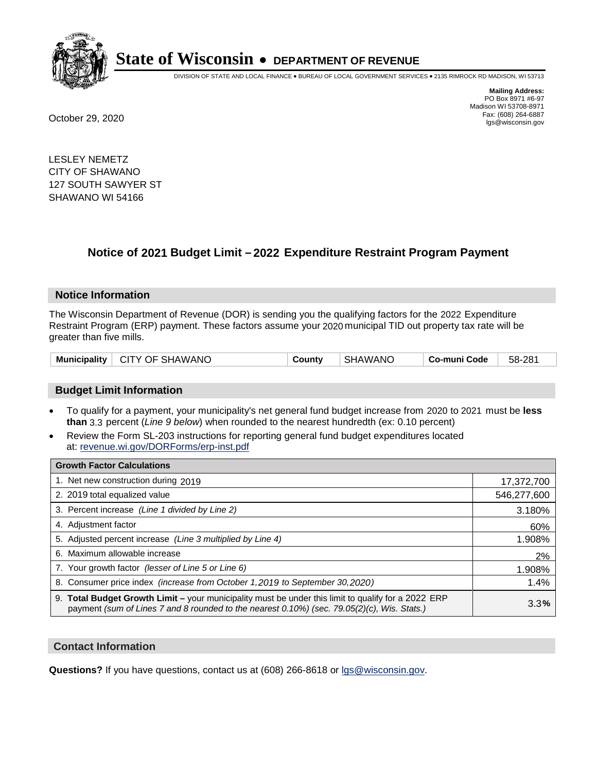

DIVISION OF STATE AND LOCAL FINANCE • BUREAU OF LOCAL GOVERNMENT SERVICES • 2135 RIMROCK RD MADISON, WI 53713

**Mailing Address:** PO Box 8971 #6-97 Madison WI 53708-8971<br>Fax: (608) 264-6887 Fax: (608) 264-6887 October 29, 2020 lgs@wisconsin.gov

LESLEY NEMETZ CITY OF SHAWANO 127 SOUTH SAWYER ST SHAWANO WI 54166

### **Notice of 2021 Budget Limit - 2022 Expenditure Restraint Program Payment**

#### **Notice Information**

The Wisconsin Department of Revenue (DOR) is sending you the qualifying factors for the 2022 Expenditure Restraint Program (ERP) payment. These factors assume your 2020 municipal TID out property tax rate will be greater than five mills.

| Municipality   CITY OF SHAWANO | County | SHAWANO | Co-muni Code | 58-281 |
|--------------------------------|--------|---------|--------------|--------|
|--------------------------------|--------|---------|--------------|--------|

#### **Budget Limit Information**

- To qualify for a payment, your municipality's net general fund budget increase from 2020 to 2021 must be less **than** 3.3 percent (*Line 9 below*) when rounded to the nearest hundredth (ex: 0.10 percent)
- Review the Form SL-203 instructions for reporting general fund budget expenditures located at: revenue.wi.gov/DORForms/erp-inst.pdf

| <b>Growth Factor Calculations</b>                                                                                                                                                                  |             |
|----------------------------------------------------------------------------------------------------------------------------------------------------------------------------------------------------|-------------|
| 1. Net new construction during 2019                                                                                                                                                                | 17,372,700  |
| 2. 2019 total equalized value                                                                                                                                                                      | 546,277,600 |
| 3. Percent increase (Line 1 divided by Line 2)                                                                                                                                                     | 3.180%      |
| 4. Adjustment factor                                                                                                                                                                               | 60%         |
| 5. Adjusted percent increase (Line 3 multiplied by Line 4)                                                                                                                                         | 1.908%      |
| Maximum allowable increase<br>6.                                                                                                                                                                   | 2%          |
| 7. Your growth factor (lesser of Line 5 or Line 6)                                                                                                                                                 | 1.908%      |
| 8. Consumer price index (increase from October 1, 2019 to September 30, 2020)                                                                                                                      | 1.4%        |
| 9. Total Budget Growth Limit - your municipality must be under this limit to qualify for a 2022 ERP<br>payment (sum of Lines 7 and 8 rounded to the nearest 0.10%) (sec. 79.05(2)(c), Wis. Stats.) | 3.3%        |

#### **Contact Information**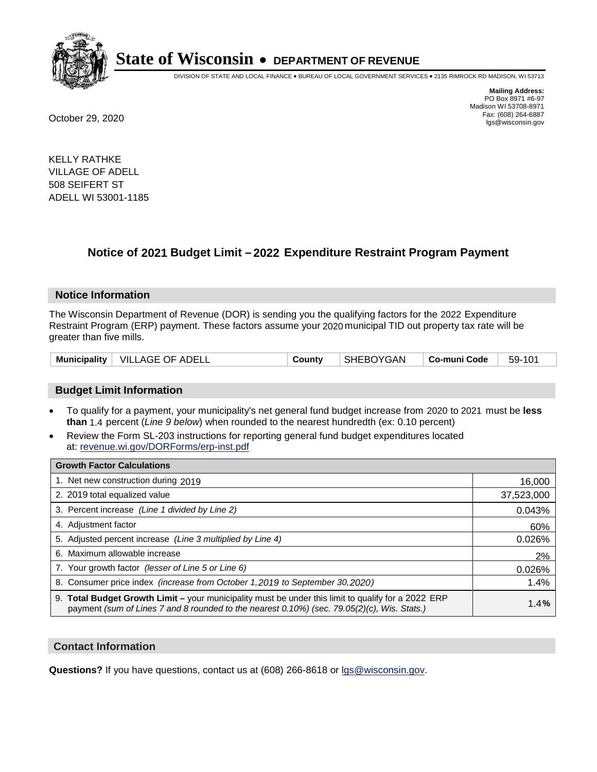

DIVISION OF STATE AND LOCAL FINANCE • BUREAU OF LOCAL GOVERNMENT SERVICES • 2135 RIMROCK RD MADISON, WI 53713

**Mailing Address:** PO Box 8971 #6-97 Madison WI 53708-8971<br>Fax: (608) 264-6887 Fax: (608) 264-6887 October 29, 2020 lgs@wisconsin.gov

KELLY RATHKE VILLAGE OF ADELL 508 SEIFERT ST ADELL WI 53001-1185

### **Notice of 2021 Budget Limit - 2022 Expenditure Restraint Program Payment**

#### **Notice Information**

The Wisconsin Department of Revenue (DOR) is sending you the qualifying factors for the 2022 Expenditure Restraint Program (ERP) payment. These factors assume your 2020 municipal TID out property tax rate will be greater than five mills.

|  | Municipality   VILLAGE OF ADELL | County | SHEBOYGAN | ∣ Co-muni Code | 59-101 |
|--|---------------------------------|--------|-----------|----------------|--------|
|--|---------------------------------|--------|-----------|----------------|--------|

#### **Budget Limit Information**

- To qualify for a payment, your municipality's net general fund budget increase from 2020 to 2021 must be less **than** 1.4 percent (*Line 9 below*) when rounded to the nearest hundredth (ex: 0.10 percent)
- Review the Form SL-203 instructions for reporting general fund budget expenditures located at: revenue.wi.gov/DORForms/erp-inst.pdf

| <b>Growth Factor Calculations</b>                                                                                                                                                                  |            |
|----------------------------------------------------------------------------------------------------------------------------------------------------------------------------------------------------|------------|
| 1. Net new construction during 2019                                                                                                                                                                | 16,000     |
| 2. 2019 total equalized value                                                                                                                                                                      | 37,523,000 |
| 3. Percent increase (Line 1 divided by Line 2)                                                                                                                                                     | 0.043%     |
| 4. Adjustment factor                                                                                                                                                                               | 60%        |
| 5. Adjusted percent increase (Line 3 multiplied by Line 4)                                                                                                                                         | 0.026%     |
| 6. Maximum allowable increase                                                                                                                                                                      | 2%         |
| 7. Your growth factor (lesser of Line 5 or Line 6)                                                                                                                                                 | 0.026%     |
| 8. Consumer price index (increase from October 1,2019 to September 30,2020)                                                                                                                        | 1.4%       |
| 9. Total Budget Growth Limit - your municipality must be under this limit to qualify for a 2022 ERP<br>payment (sum of Lines 7 and 8 rounded to the nearest 0.10%) (sec. 79.05(2)(c), Wis. Stats.) | 1.4%       |

#### **Contact Information**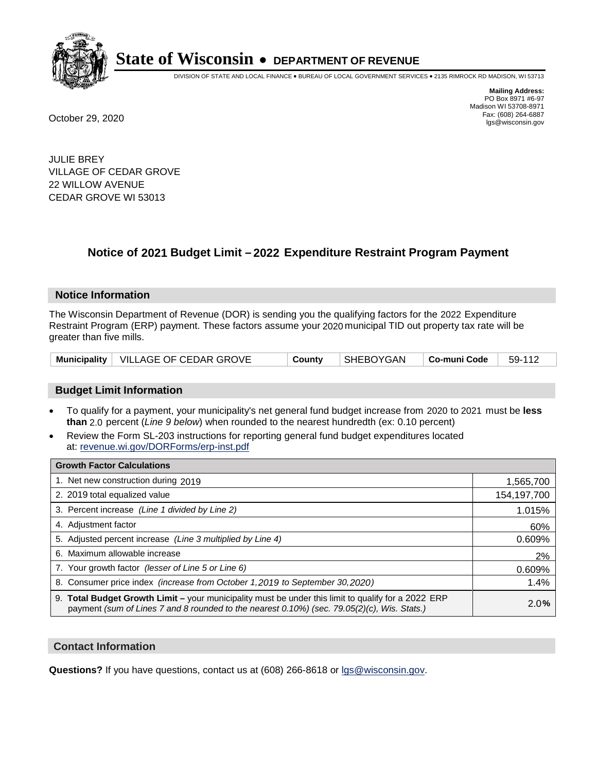

DIVISION OF STATE AND LOCAL FINANCE • BUREAU OF LOCAL GOVERNMENT SERVICES • 2135 RIMROCK RD MADISON, WI 53713

**Mailing Address:** PO Box 8971 #6-97 Madison WI 53708-8971<br>Fax: (608) 264-6887 Fax: (608) 264-6887 October 29, 2020 lgs@wisconsin.gov

JULIE BREY VILLAGE OF CEDAR GROVE 22 WILLOW AVENUE CEDAR GROVE WI 53013

### **Notice of 2021 Budget Limit - 2022 Expenditure Restraint Program Payment**

#### **Notice Information**

The Wisconsin Department of Revenue (DOR) is sending you the qualifying factors for the 2022 Expenditure Restraint Program (ERP) payment. These factors assume your 2020 municipal TID out property tax rate will be greater than five mills.

|  | Municipality   VILLAGE OF CEDAR GROVE | County | SHEBOYGAN   Co-muni Code   59-112 |  |  |
|--|---------------------------------------|--------|-----------------------------------|--|--|
|--|---------------------------------------|--------|-----------------------------------|--|--|

#### **Budget Limit Information**

- To qualify for a payment, your municipality's net general fund budget increase from 2020 to 2021 must be less **than** 2.0 percent (*Line 9 below*) when rounded to the nearest hundredth (ex: 0.10 percent)
- Review the Form SL-203 instructions for reporting general fund budget expenditures located at: revenue.wi.gov/DORForms/erp-inst.pdf

| <b>Growth Factor Calculations</b>                                                                                                                                                                  |             |
|----------------------------------------------------------------------------------------------------------------------------------------------------------------------------------------------------|-------------|
| 1. Net new construction during 2019                                                                                                                                                                | 1,565,700   |
| 2. 2019 total equalized value                                                                                                                                                                      | 154,197,700 |
| 3. Percent increase (Line 1 divided by Line 2)                                                                                                                                                     | 1.015%      |
| 4. Adjustment factor                                                                                                                                                                               | 60%         |
| 5. Adjusted percent increase (Line 3 multiplied by Line 4)                                                                                                                                         | 0.609%      |
| 6. Maximum allowable increase                                                                                                                                                                      | 2%          |
| 7. Your growth factor (lesser of Line 5 or Line 6)                                                                                                                                                 | 0.609%      |
| 8. Consumer price index (increase from October 1, 2019 to September 30, 2020)                                                                                                                      | 1.4%        |
| 9. Total Budget Growth Limit - your municipality must be under this limit to qualify for a 2022 ERP<br>payment (sum of Lines 7 and 8 rounded to the nearest 0.10%) (sec. 79.05(2)(c), Wis. Stats.) | 2.0%        |

#### **Contact Information**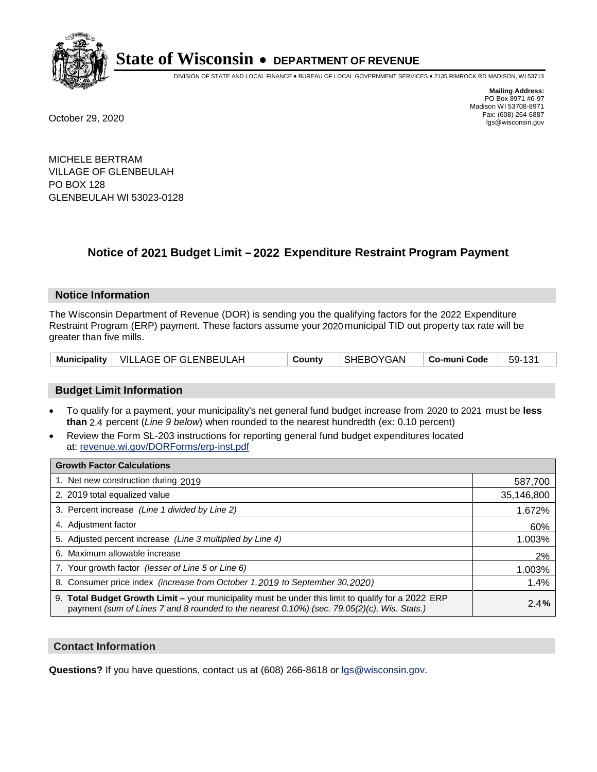

DIVISION OF STATE AND LOCAL FINANCE • BUREAU OF LOCAL GOVERNMENT SERVICES • 2135 RIMROCK RD MADISON, WI 53713

**Mailing Address:** PO Box 8971 #6-97 Madison WI 53708-8971<br>Fax: (608) 264-6887 Fax: (608) 264-6887 October 29, 2020 lgs@wisconsin.gov

MICHELE BERTRAM VILLAGE OF GLENBEULAH PO BOX 128 GLENBEULAH WI 53023-0128

### **Notice of 2021 Budget Limit - 2022 Expenditure Restraint Program Payment**

#### **Notice Information**

The Wisconsin Department of Revenue (DOR) is sending you the qualifying factors for the 2022 Expenditure Restraint Program (ERP) payment. These factors assume your 2020 municipal TID out property tax rate will be greater than five mills.

|  | Municipality   VILLAGE OF GLENBEULAH | County | SHEBOYGAN | Co-muni Code | 59-131 |
|--|--------------------------------------|--------|-----------|--------------|--------|
|--|--------------------------------------|--------|-----------|--------------|--------|

#### **Budget Limit Information**

- To qualify for a payment, your municipality's net general fund budget increase from 2020 to 2021 must be less **than** 2.4 percent (*Line 9 below*) when rounded to the nearest hundredth (ex: 0.10 percent)
- Review the Form SL-203 instructions for reporting general fund budget expenditures located at: revenue.wi.gov/DORForms/erp-inst.pdf

| <b>Growth Factor Calculations</b>                                                                                                                                                                      |            |
|--------------------------------------------------------------------------------------------------------------------------------------------------------------------------------------------------------|------------|
| 1. Net new construction during 2019                                                                                                                                                                    | 587,700    |
| 2. 2019 total equalized value                                                                                                                                                                          | 35,146,800 |
| 3. Percent increase (Line 1 divided by Line 2)                                                                                                                                                         | 1.672%     |
| 4. Adjustment factor                                                                                                                                                                                   | 60%        |
| 5. Adjusted percent increase (Line 3 multiplied by Line 4)                                                                                                                                             | 1.003%     |
| 6. Maximum allowable increase                                                                                                                                                                          | 2%         |
| 7. Your growth factor (lesser of Line 5 or Line 6)                                                                                                                                                     | 1.003%     |
| 8. Consumer price index (increase from October 1,2019 to September 30,2020)                                                                                                                            | 1.4%       |
| 9. Total Budget Growth Limit - your municipality must be under this limit to qualify for a 2022 ERP<br>payment (sum of Lines 7 and 8 rounded to the nearest $0.10\%$ ) (sec. 79.05(2)(c), Wis. Stats.) | 2.4%       |

#### **Contact Information**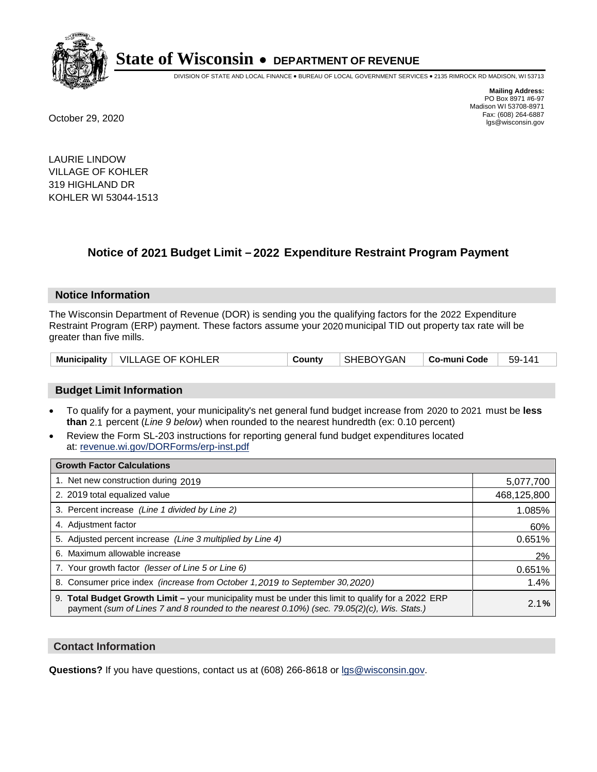

DIVISION OF STATE AND LOCAL FINANCE • BUREAU OF LOCAL GOVERNMENT SERVICES • 2135 RIMROCK RD MADISON, WI 53713

**Mailing Address:** PO Box 8971 #6-97 Madison WI 53708-8971<br>Fax: (608) 264-6887 Fax: (608) 264-6887 October 29, 2020 lgs@wisconsin.gov

LAURIE LINDOW VILLAGE OF KOHLER 319 HIGHLAND DR KOHLER WI 53044-1513

### **Notice of 2021 Budget Limit - 2022 Expenditure Restraint Program Payment**

#### **Notice Information**

The Wisconsin Department of Revenue (DOR) is sending you the qualifying factors for the 2022 Expenditure Restraint Program (ERP) payment. These factors assume your 2020 municipal TID out property tax rate will be greater than five mills.

|  | Municipality   VILLAGE OF KOHLER | County | SHEBOYGAN | ∣ Co-muni Code <sup>∣</sup> | 59-141 |
|--|----------------------------------|--------|-----------|-----------------------------|--------|
|--|----------------------------------|--------|-----------|-----------------------------|--------|

#### **Budget Limit Information**

- To qualify for a payment, your municipality's net general fund budget increase from 2020 to 2021 must be less **than** 2.1 percent (*Line 9 below*) when rounded to the nearest hundredth (ex: 0.10 percent)
- Review the Form SL-203 instructions for reporting general fund budget expenditures located at: revenue.wi.gov/DORForms/erp-inst.pdf

| <b>Growth Factor Calculations</b>                                                                                                                                                                  |             |
|----------------------------------------------------------------------------------------------------------------------------------------------------------------------------------------------------|-------------|
| 1. Net new construction during 2019                                                                                                                                                                | 5,077,700   |
| 2. 2019 total equalized value                                                                                                                                                                      | 468,125,800 |
| 3. Percent increase (Line 1 divided by Line 2)                                                                                                                                                     | 1.085%      |
| 4. Adjustment factor                                                                                                                                                                               | 60%         |
| 5. Adjusted percent increase (Line 3 multiplied by Line 4)                                                                                                                                         | 0.651%      |
| 6. Maximum allowable increase                                                                                                                                                                      | 2%          |
| 7. Your growth factor (lesser of Line 5 or Line 6)                                                                                                                                                 | 0.651%      |
| 8. Consumer price index (increase from October 1, 2019 to September 30, 2020)                                                                                                                      | 1.4%        |
| 9. Total Budget Growth Limit - your municipality must be under this limit to qualify for a 2022 ERP<br>payment (sum of Lines 7 and 8 rounded to the nearest 0.10%) (sec. 79.05(2)(c), Wis. Stats.) | 2.1%        |

#### **Contact Information**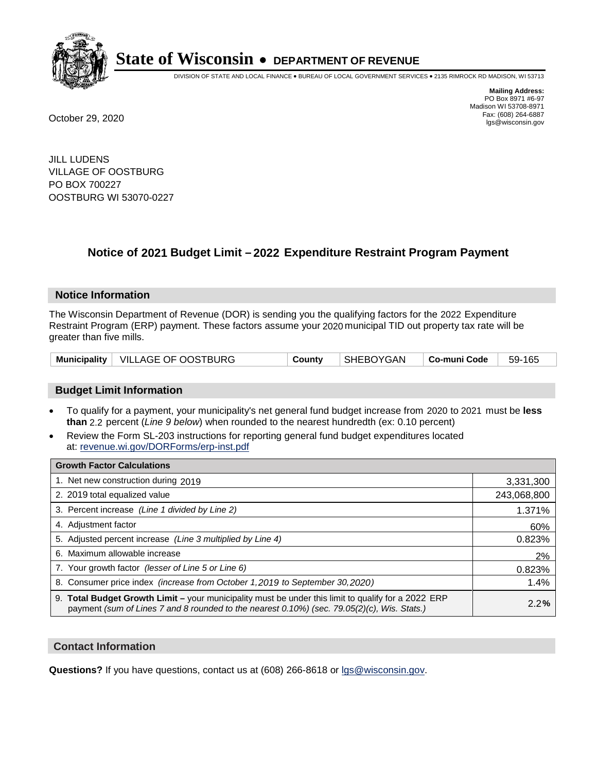

DIVISION OF STATE AND LOCAL FINANCE • BUREAU OF LOCAL GOVERNMENT SERVICES • 2135 RIMROCK RD MADISON, WI 53713

**Mailing Address:** PO Box 8971 #6-97 Madison WI 53708-8971<br>Fax: (608) 264-6887 Fax: (608) 264-6887 October 29, 2020 lgs@wisconsin.gov

JILL LUDENS VILLAGE OF OOSTBURG PO BOX 700227 OOSTBURG WI 53070-0227

### **Notice of 2021 Budget Limit - 2022 Expenditure Restraint Program Payment**

#### **Notice Information**

The Wisconsin Department of Revenue (DOR) is sending you the qualifying factors for the 2022 Expenditure Restraint Program (ERP) payment. These factors assume your 2020 municipal TID out property tax rate will be greater than five mills.

|  | Municipality   VILLAGE OF OOSTBURG | County | SHEBOYGAN | Co-muni Code | 59-165 |
|--|------------------------------------|--------|-----------|--------------|--------|
|--|------------------------------------|--------|-----------|--------------|--------|

#### **Budget Limit Information**

- To qualify for a payment, your municipality's net general fund budget increase from 2020 to 2021 must be less **than** 2.2 percent (*Line 9 below*) when rounded to the nearest hundredth (ex: 0.10 percent)
- Review the Form SL-203 instructions for reporting general fund budget expenditures located at: revenue.wi.gov/DORForms/erp-inst.pdf

| <b>Growth Factor Calculations</b>                                                                                                                                                                  |             |
|----------------------------------------------------------------------------------------------------------------------------------------------------------------------------------------------------|-------------|
| 1. Net new construction during 2019                                                                                                                                                                | 3,331,300   |
| 2. 2019 total equalized value                                                                                                                                                                      | 243,068,800 |
| 3. Percent increase (Line 1 divided by Line 2)                                                                                                                                                     | 1.371%      |
| 4. Adjustment factor                                                                                                                                                                               | 60%         |
| 5. Adjusted percent increase (Line 3 multiplied by Line 4)                                                                                                                                         | 0.823%      |
| 6. Maximum allowable increase                                                                                                                                                                      | 2%          |
| 7. Your growth factor (lesser of Line 5 or Line 6)                                                                                                                                                 | 0.823%      |
| 8. Consumer price index (increase from October 1, 2019 to September 30, 2020)                                                                                                                      | 1.4%        |
| 9. Total Budget Growth Limit - your municipality must be under this limit to qualify for a 2022 ERP<br>payment (sum of Lines 7 and 8 rounded to the nearest 0.10%) (sec. 79.05(2)(c), Wis. Stats.) | 2.2%        |

#### **Contact Information**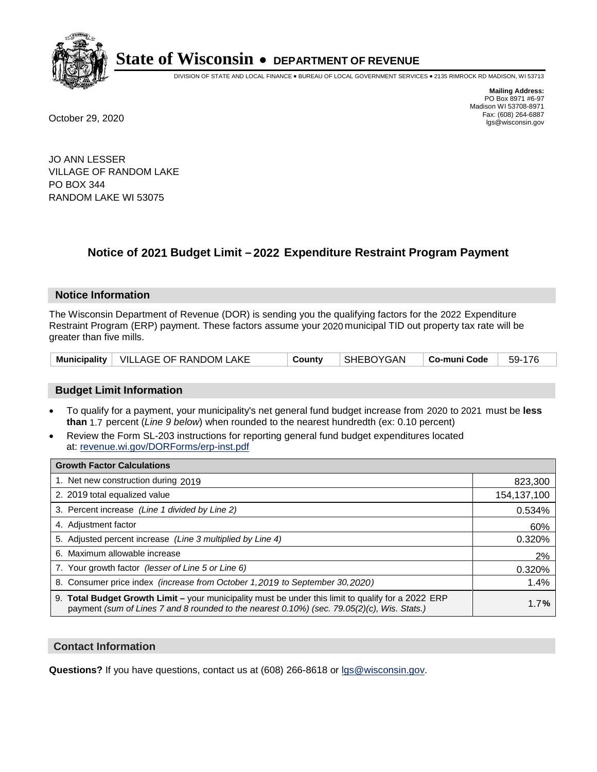

DIVISION OF STATE AND LOCAL FINANCE • BUREAU OF LOCAL GOVERNMENT SERVICES • 2135 RIMROCK RD MADISON, WI 53713

**Mailing Address:** PO Box 8971 #6-97 Madison WI 53708-8971<br>Fax: (608) 264-6887 Fax: (608) 264-6887 October 29, 2020 lgs@wisconsin.gov

JO ANN LESSER VILLAGE OF RANDOM LAKE PO BOX 344 RANDOM LAKE WI 53075

### **Notice of 2021 Budget Limit - 2022 Expenditure Restraint Program Payment**

#### **Notice Information**

The Wisconsin Department of Revenue (DOR) is sending you the qualifying factors for the 2022 Expenditure Restraint Program (ERP) payment. These factors assume your 2020 municipal TID out property tax rate will be greater than five mills.

|  | Municipality   VILLAGE OF RANDOM LAKE | County | SHEBOYGAN | Co-muni Code | $59-176$ |
|--|---------------------------------------|--------|-----------|--------------|----------|
|--|---------------------------------------|--------|-----------|--------------|----------|

#### **Budget Limit Information**

- To qualify for a payment, your municipality's net general fund budget increase from 2020 to 2021 must be less **than** 1.7 percent (*Line 9 below*) when rounded to the nearest hundredth (ex: 0.10 percent)
- Review the Form SL-203 instructions for reporting general fund budget expenditures located at: revenue.wi.gov/DORForms/erp-inst.pdf

| <b>Growth Factor Calculations</b>                                                                                                                                                                  |             |
|----------------------------------------------------------------------------------------------------------------------------------------------------------------------------------------------------|-------------|
| 1. Net new construction during 2019                                                                                                                                                                | 823,300     |
| 2. 2019 total equalized value                                                                                                                                                                      | 154,137,100 |
| 3. Percent increase (Line 1 divided by Line 2)                                                                                                                                                     | 0.534%      |
| 4. Adjustment factor                                                                                                                                                                               | 60%         |
| 5. Adjusted percent increase (Line 3 multiplied by Line 4)                                                                                                                                         | 0.320%      |
| 6. Maximum allowable increase                                                                                                                                                                      | 2%          |
| 7. Your growth factor (lesser of Line 5 or Line 6)                                                                                                                                                 | 0.320%      |
| 8. Consumer price index (increase from October 1,2019 to September 30,2020)                                                                                                                        | 1.4%        |
| 9. Total Budget Growth Limit - your municipality must be under this limit to qualify for a 2022 ERP<br>payment (sum of Lines 7 and 8 rounded to the nearest 0.10%) (sec. 79.05(2)(c), Wis. Stats.) | 1.7%        |

#### **Contact Information**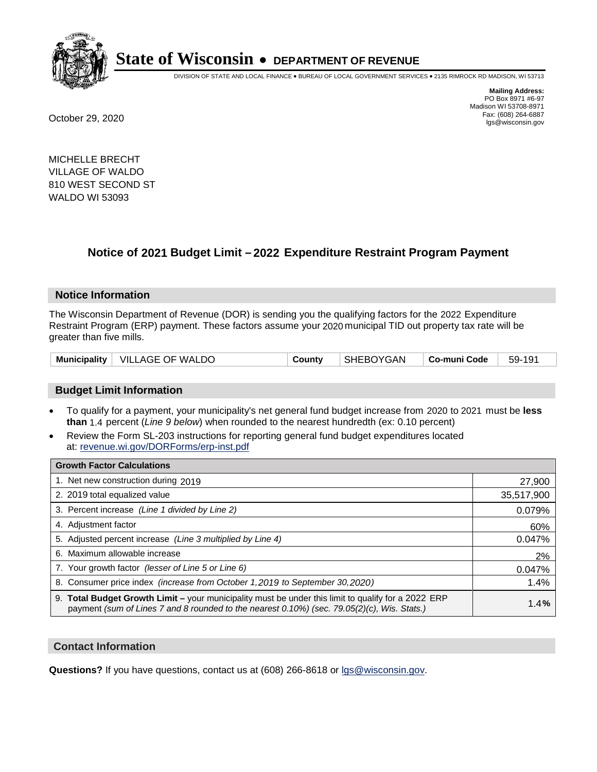

DIVISION OF STATE AND LOCAL FINANCE • BUREAU OF LOCAL GOVERNMENT SERVICES • 2135 RIMROCK RD MADISON, WI 53713

**Mailing Address:** PO Box 8971 #6-97 Madison WI 53708-8971<br>Fax: (608) 264-6887 Fax: (608) 264-6887 October 29, 2020 lgs@wisconsin.gov

MICHELLE BRECHT VILLAGE OF WALDO 810 WEST SECOND ST WALDO WI 53093

### **Notice of 2021 Budget Limit - 2022 Expenditure Restraint Program Payment**

#### **Notice Information**

The Wisconsin Department of Revenue (DOR) is sending you the qualifying factors for the 2022 Expenditure Restraint Program (ERP) payment. These factors assume your 2020 municipal TID out property tax rate will be greater than five mills.

#### **Budget Limit Information**

- To qualify for a payment, your municipality's net general fund budget increase from 2020 to 2021 must be less **than** 1.4 percent (*Line 9 below*) when rounded to the nearest hundredth (ex: 0.10 percent)
- Review the Form SL-203 instructions for reporting general fund budget expenditures located at: revenue.wi.gov/DORForms/erp-inst.pdf

| <b>Growth Factor Calculations</b>                                                                                                                                                                  |            |
|----------------------------------------------------------------------------------------------------------------------------------------------------------------------------------------------------|------------|
| 1. Net new construction during 2019                                                                                                                                                                | 27,900     |
| 2. 2019 total equalized value                                                                                                                                                                      | 35,517,900 |
| 3. Percent increase (Line 1 divided by Line 2)                                                                                                                                                     | 0.079%     |
| 4. Adjustment factor                                                                                                                                                                               | 60%        |
| 5. Adjusted percent increase (Line 3 multiplied by Line 4)                                                                                                                                         | 0.047%     |
| 6. Maximum allowable increase                                                                                                                                                                      | 2%         |
| 7. Your growth factor (lesser of Line 5 or Line 6)                                                                                                                                                 | 0.047%     |
| 8. Consumer price index (increase from October 1,2019 to September 30,2020)                                                                                                                        | 1.4%       |
| 9. Total Budget Growth Limit - your municipality must be under this limit to qualify for a 2022 ERP<br>payment (sum of Lines 7 and 8 rounded to the nearest 0.10%) (sec. 79.05(2)(c), Wis. Stats.) | 1.4%       |

#### **Contact Information**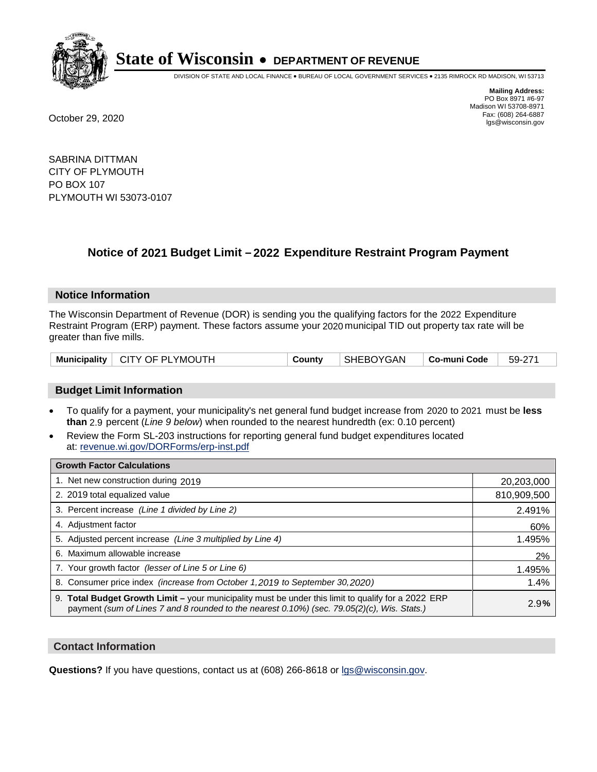

DIVISION OF STATE AND LOCAL FINANCE • BUREAU OF LOCAL GOVERNMENT SERVICES • 2135 RIMROCK RD MADISON, WI 53713

**Mailing Address:** PO Box 8971 #6-97 Madison WI 53708-8971<br>Fax: (608) 264-6887 Fax: (608) 264-6887 October 29, 2020 lgs@wisconsin.gov

SABRINA DITTMAN CITY OF PLYMOUTH PO BOX 107 PLYMOUTH WI 53073-0107

### **Notice of 2021 Budget Limit - 2022 Expenditure Restraint Program Payment**

#### **Notice Information**

The Wisconsin Department of Revenue (DOR) is sending you the qualifying factors for the 2022 Expenditure Restraint Program (ERP) payment. These factors assume your 2020 municipal TID out property tax rate will be greater than five mills.

|  | Municipality   CITY OF PLYMOUTH | County | SHEBOYGAN |  | $  59-271$ |
|--|---------------------------------|--------|-----------|--|------------|
|--|---------------------------------|--------|-----------|--|------------|

#### **Budget Limit Information**

- To qualify for a payment, your municipality's net general fund budget increase from 2020 to 2021 must be less **than** 2.9 percent (*Line 9 below*) when rounded to the nearest hundredth (ex: 0.10 percent)
- Review the Form SL-203 instructions for reporting general fund budget expenditures located at: revenue.wi.gov/DORForms/erp-inst.pdf

| <b>Growth Factor Calculations</b>                                                                                                                                                                  |             |
|----------------------------------------------------------------------------------------------------------------------------------------------------------------------------------------------------|-------------|
| 1. Net new construction during 2019                                                                                                                                                                | 20,203,000  |
| 2. 2019 total equalized value                                                                                                                                                                      | 810,909,500 |
| 3. Percent increase (Line 1 divided by Line 2)                                                                                                                                                     | 2.491%      |
| 4. Adjustment factor                                                                                                                                                                               | 60%         |
| 5. Adjusted percent increase (Line 3 multiplied by Line 4)                                                                                                                                         | 1.495%      |
| 6. Maximum allowable increase                                                                                                                                                                      | 2%          |
| 7. Your growth factor (lesser of Line 5 or Line 6)                                                                                                                                                 | 1.495%      |
| 8. Consumer price index (increase from October 1,2019 to September 30,2020)                                                                                                                        | 1.4%        |
| 9. Total Budget Growth Limit - your municipality must be under this limit to qualify for a 2022 ERP<br>payment (sum of Lines 7 and 8 rounded to the nearest 0.10%) (sec. 79.05(2)(c), Wis. Stats.) | 2.9%        |

#### **Contact Information**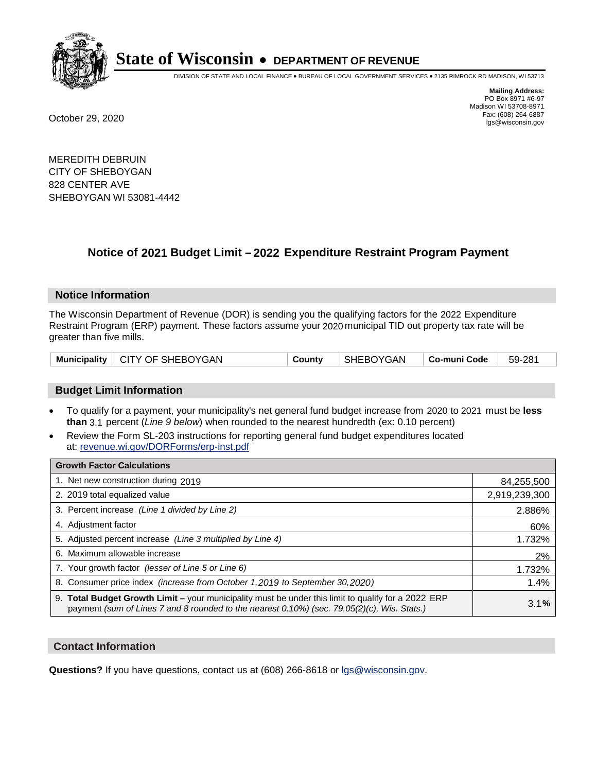

DIVISION OF STATE AND LOCAL FINANCE • BUREAU OF LOCAL GOVERNMENT SERVICES • 2135 RIMROCK RD MADISON, WI 53713

**Mailing Address:** PO Box 8971 #6-97 Madison WI 53708-8971<br>Fax: (608) 264-6887 Fax: (608) 264-6887 October 29, 2020 lgs@wisconsin.gov

MEREDITH DEBRUIN CITY OF SHEBOYGAN 828 CENTER AVE SHEBOYGAN WI 53081-4442

### **Notice of 2021 Budget Limit - 2022 Expenditure Restraint Program Payment**

#### **Notice Information**

The Wisconsin Department of Revenue (DOR) is sending you the qualifying factors for the 2022 Expenditure Restraint Program (ERP) payment. These factors assume your 2020 municipal TID out property tax rate will be greater than five mills.

| Municipality   CITY OF SHEBOYGAN | County | SHEBOYGAN | $\vert$ Co-muni Code $\vert$ 59-281 |  |
|----------------------------------|--------|-----------|-------------------------------------|--|
|----------------------------------|--------|-----------|-------------------------------------|--|

#### **Budget Limit Information**

- To qualify for a payment, your municipality's net general fund budget increase from 2020 to 2021 must be less **than** 3.1 percent (*Line 9 below*) when rounded to the nearest hundredth (ex: 0.10 percent)
- Review the Form SL-203 instructions for reporting general fund budget expenditures located at: revenue.wi.gov/DORForms/erp-inst.pdf

| <b>Growth Factor Calculations</b>                                                                                                                                                                  |               |
|----------------------------------------------------------------------------------------------------------------------------------------------------------------------------------------------------|---------------|
| 1. Net new construction during 2019                                                                                                                                                                | 84,255,500    |
| 2. 2019 total equalized value                                                                                                                                                                      | 2,919,239,300 |
| 3. Percent increase (Line 1 divided by Line 2)                                                                                                                                                     | 2.886%        |
| 4. Adjustment factor                                                                                                                                                                               | 60%           |
| 5. Adjusted percent increase (Line 3 multiplied by Line 4)                                                                                                                                         | 1.732%        |
| 6. Maximum allowable increase                                                                                                                                                                      | 2%            |
| 7. Your growth factor (lesser of Line 5 or Line 6)                                                                                                                                                 | 1.732%        |
| 8. Consumer price index (increase from October 1,2019 to September 30,2020)                                                                                                                        | 1.4%          |
| 9. Total Budget Growth Limit - your municipality must be under this limit to qualify for a 2022 ERP<br>payment (sum of Lines 7 and 8 rounded to the nearest 0.10%) (sec. 79.05(2)(c), Wis. Stats.) | 3.1%          |

#### **Contact Information**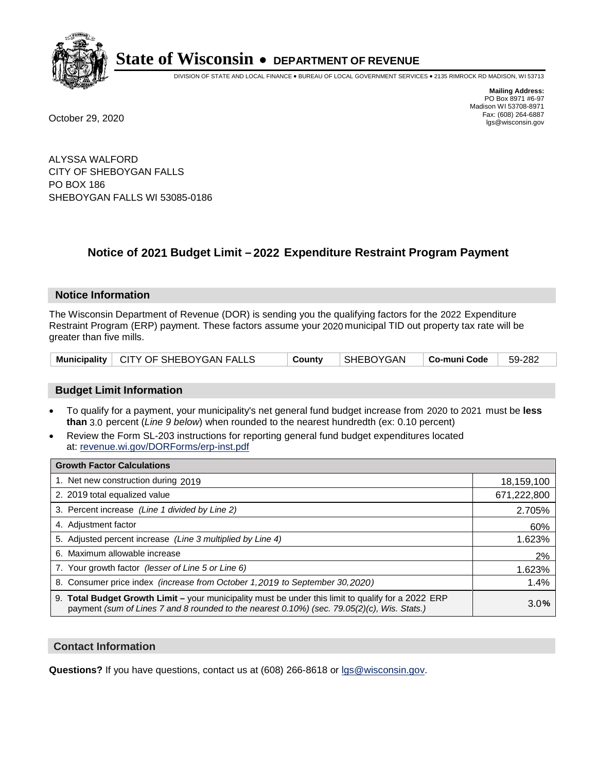

DIVISION OF STATE AND LOCAL FINANCE • BUREAU OF LOCAL GOVERNMENT SERVICES • 2135 RIMROCK RD MADISON, WI 53713

**Mailing Address:** PO Box 8971 #6-97 Madison WI 53708-8971<br>Fax: (608) 264-6887 Fax: (608) 264-6887 October 29, 2020 lgs@wisconsin.gov

ALYSSA WALFORD CITY OF SHEBOYGAN FALLS PO BOX 186 SHEBOYGAN FALLS WI 53085-0186

### **Notice of 2021 Budget Limit - 2022 Expenditure Restraint Program Payment**

#### **Notice Information**

The Wisconsin Department of Revenue (DOR) is sending you the qualifying factors for the 2022 Expenditure Restraint Program (ERP) payment. These factors assume your 2020 municipal TID out property tax rate will be greater than five mills.

|  | Municipality   CITY OF SHEBOYGAN FALLS | County | $ \$ SHEBOYGAN $ \,$ Co-muni Code $ \,$ 59-282 |  |  |
|--|----------------------------------------|--------|------------------------------------------------|--|--|
|--|----------------------------------------|--------|------------------------------------------------|--|--|

#### **Budget Limit Information**

- To qualify for a payment, your municipality's net general fund budget increase from 2020 to 2021 must be less **than** 3.0 percent (*Line 9 below*) when rounded to the nearest hundredth (ex: 0.10 percent)
- Review the Form SL-203 instructions for reporting general fund budget expenditures located at: revenue.wi.gov/DORForms/erp-inst.pdf

| <b>Growth Factor Calculations</b>                                                                                                                                                                  |             |
|----------------------------------------------------------------------------------------------------------------------------------------------------------------------------------------------------|-------------|
| 1. Net new construction during 2019                                                                                                                                                                | 18,159,100  |
| 2. 2019 total equalized value                                                                                                                                                                      | 671,222,800 |
| 3. Percent increase (Line 1 divided by Line 2)                                                                                                                                                     | 2.705%      |
| 4. Adjustment factor                                                                                                                                                                               | 60%         |
| 5. Adjusted percent increase (Line 3 multiplied by Line 4)                                                                                                                                         | 1.623%      |
| 6. Maximum allowable increase                                                                                                                                                                      | 2%          |
| 7. Your growth factor (lesser of Line 5 or Line 6)                                                                                                                                                 | 1.623%      |
| 8. Consumer price index (increase from October 1,2019 to September 30,2020)                                                                                                                        | 1.4%        |
| 9. Total Budget Growth Limit - your municipality must be under this limit to qualify for a 2022 ERP<br>payment (sum of Lines 7 and 8 rounded to the nearest 0.10%) (sec. 79.05(2)(c), Wis. Stats.) | 3.0%        |

#### **Contact Information**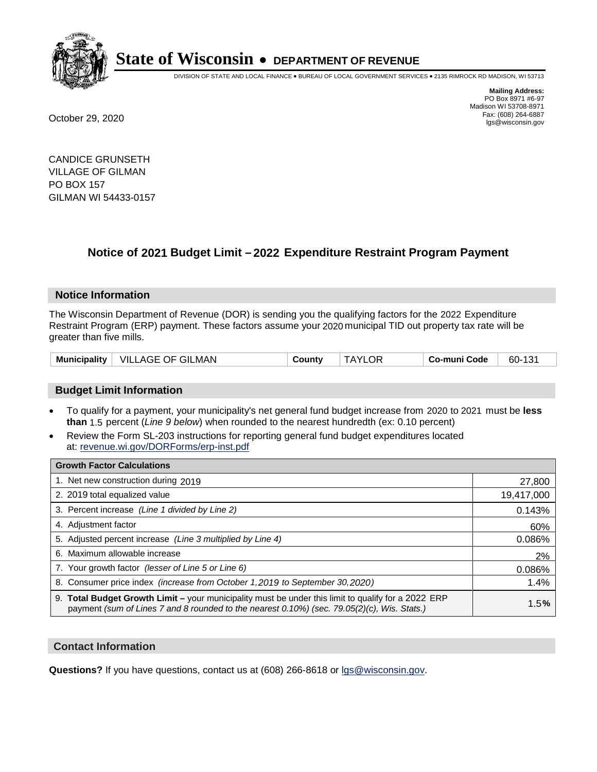

DIVISION OF STATE AND LOCAL FINANCE • BUREAU OF LOCAL GOVERNMENT SERVICES • 2135 RIMROCK RD MADISON, WI 53713

**Mailing Address:** PO Box 8971 #6-97 Madison WI 53708-8971<br>Fax: (608) 264-6887 Fax: (608) 264-6887 October 29, 2020 lgs@wisconsin.gov

CANDICE GRUNSETH VILLAGE OF GILMAN PO BOX 157 GILMAN WI 54433-0157

### **Notice of 2021 Budget Limit - 2022 Expenditure Restraint Program Payment**

#### **Notice Information**

The Wisconsin Department of Revenue (DOR) is sending you the qualifying factors for the 2022 Expenditure Restraint Program (ERP) payment. These factors assume your 2020 municipal TID out property tax rate will be greater than five mills.

| VILLAGE OF GILMAN   | <b>TAYLOR</b> | 60-131       |
|---------------------|---------------|--------------|
| <b>Municipality</b> | County        | Co-muni Code |

#### **Budget Limit Information**

- To qualify for a payment, your municipality's net general fund budget increase from 2020 to 2021 must be less **than** 1.5 percent (*Line 9 below*) when rounded to the nearest hundredth (ex: 0.10 percent)
- Review the Form SL-203 instructions for reporting general fund budget expenditures located at: revenue.wi.gov/DORForms/erp-inst.pdf

| <b>Growth Factor Calculations</b>                                                                                                                                                                      |            |
|--------------------------------------------------------------------------------------------------------------------------------------------------------------------------------------------------------|------------|
| 1. Net new construction during 2019                                                                                                                                                                    | 27,800     |
| 2. 2019 total equalized value                                                                                                                                                                          | 19,417,000 |
| 3. Percent increase (Line 1 divided by Line 2)                                                                                                                                                         | 0.143%     |
| 4. Adjustment factor                                                                                                                                                                                   | 60%        |
| 5. Adjusted percent increase (Line 3 multiplied by Line 4)                                                                                                                                             | 0.086%     |
| 6. Maximum allowable increase                                                                                                                                                                          | 2%         |
| 7. Your growth factor (lesser of Line 5 or Line 6)                                                                                                                                                     | 0.086%     |
| 8. Consumer price index (increase from October 1,2019 to September 30,2020)                                                                                                                            | 1.4%       |
| 9. Total Budget Growth Limit - your municipality must be under this limit to qualify for a 2022 ERP<br>payment (sum of Lines 7 and 8 rounded to the nearest $0.10\%$ ) (sec. 79.05(2)(c), Wis. Stats.) | 1.5%       |

#### **Contact Information**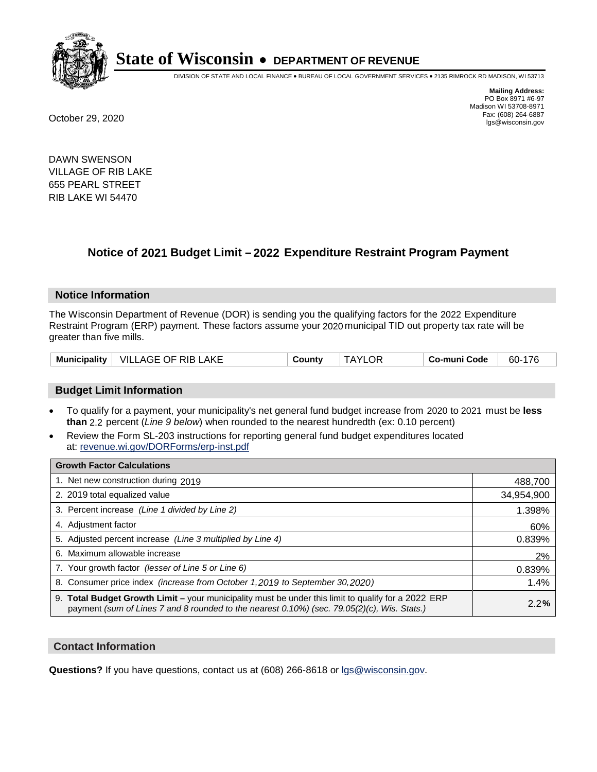

DIVISION OF STATE AND LOCAL FINANCE • BUREAU OF LOCAL GOVERNMENT SERVICES • 2135 RIMROCK RD MADISON, WI 53713

**Mailing Address:** PO Box 8971 #6-97 Madison WI 53708-8971<br>Fax: (608) 264-6887 Fax: (608) 264-6887 October 29, 2020 lgs@wisconsin.gov

DAWN SWENSON VILLAGE OF RIB LAKE 655 PEARL STREET RIB LAKE WI 54470

### **Notice of 2021 Budget Limit - 2022 Expenditure Restraint Program Payment**

#### **Notice Information**

The Wisconsin Department of Revenue (DOR) is sending you the qualifying factors for the 2022 Expenditure Restraint Program (ERP) payment. These factors assume your 2020 municipal TID out property tax rate will be greater than five mills.

| <b>Municipality</b> | $\perp$ VILLAGE OF RIB LAKE | County | .OF<br>TAYI ۱ | Co-muni Code | 60-176 |
|---------------------|-----------------------------|--------|---------------|--------------|--------|
|---------------------|-----------------------------|--------|---------------|--------------|--------|

#### **Budget Limit Information**

- To qualify for a payment, your municipality's net general fund budget increase from 2020 to 2021 must be less **than** 2.2 percent (*Line 9 below*) when rounded to the nearest hundredth (ex: 0.10 percent)
- Review the Form SL-203 instructions for reporting general fund budget expenditures located at: revenue.wi.gov/DORForms/erp-inst.pdf

| <b>Growth Factor Calculations</b>                                                                                                                                                                  |            |
|----------------------------------------------------------------------------------------------------------------------------------------------------------------------------------------------------|------------|
| 1. Net new construction during 2019                                                                                                                                                                | 488,700    |
| 2. 2019 total equalized value                                                                                                                                                                      | 34,954,900 |
| 3. Percent increase (Line 1 divided by Line 2)                                                                                                                                                     | 1.398%     |
| 4. Adjustment factor                                                                                                                                                                               | 60%        |
| 5. Adjusted percent increase (Line 3 multiplied by Line 4)                                                                                                                                         | 0.839%     |
| 6. Maximum allowable increase                                                                                                                                                                      | 2%         |
| 7. Your growth factor (lesser of Line 5 or Line 6)                                                                                                                                                 | 0.839%     |
| 8. Consumer price index (increase from October 1,2019 to September 30,2020)                                                                                                                        | 1.4%       |
| 9. Total Budget Growth Limit - your municipality must be under this limit to qualify for a 2022 ERP<br>payment (sum of Lines 7 and 8 rounded to the nearest 0.10%) (sec. 79.05(2)(c), Wis. Stats.) | 2.2%       |

#### **Contact Information**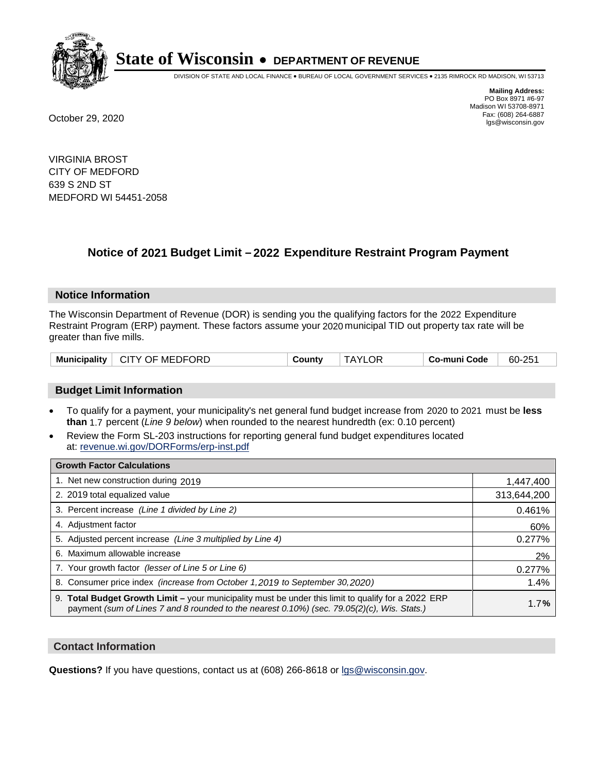

DIVISION OF STATE AND LOCAL FINANCE • BUREAU OF LOCAL GOVERNMENT SERVICES • 2135 RIMROCK RD MADISON, WI 53713

**Mailing Address:** PO Box 8971 #6-97 Madison WI 53708-8971<br>Fax: (608) 264-6887 Fax: (608) 264-6887 October 29, 2020 lgs@wisconsin.gov

VIRGINIA BROST CITY OF MEDFORD 639 S 2ND ST MEDFORD WI 54451-2058

### **Notice of 2021 Budget Limit - 2022 Expenditure Restraint Program Payment**

#### **Notice Information**

The Wisconsin Department of Revenue (DOR) is sending you the qualifying factors for the 2022 Expenditure Restraint Program (ERP) payment. These factors assume your 2020 municipal TID out property tax rate will be greater than five mills.

| Municipality   CITY OF MEDFORD | County | <b>TAYLOR</b> | Co-muni Code | 60-251 |
|--------------------------------|--------|---------------|--------------|--------|
|--------------------------------|--------|---------------|--------------|--------|

#### **Budget Limit Information**

- To qualify for a payment, your municipality's net general fund budget increase from 2020 to 2021 must be less **than** 1.7 percent (*Line 9 below*) when rounded to the nearest hundredth (ex: 0.10 percent)
- Review the Form SL-203 instructions for reporting general fund budget expenditures located at: revenue.wi.gov/DORForms/erp-inst.pdf

| <b>Growth Factor Calculations</b>                                                                                                                                                                      |             |
|--------------------------------------------------------------------------------------------------------------------------------------------------------------------------------------------------------|-------------|
| 1. Net new construction during 2019                                                                                                                                                                    | 1,447,400   |
| 2. 2019 total equalized value                                                                                                                                                                          | 313,644,200 |
| 3. Percent increase (Line 1 divided by Line 2)                                                                                                                                                         | 0.461%      |
| 4. Adjustment factor                                                                                                                                                                                   | 60%         |
| 5. Adjusted percent increase (Line 3 multiplied by Line 4)                                                                                                                                             | 0.277%      |
| 6. Maximum allowable increase                                                                                                                                                                          | 2%          |
| 7. Your growth factor (lesser of Line 5 or Line 6)                                                                                                                                                     | 0.277%      |
| 8. Consumer price index (increase from October 1, 2019 to September 30, 2020)                                                                                                                          | 1.4%        |
| 9. Total Budget Growth Limit - your municipality must be under this limit to qualify for a 2022 ERP<br>payment (sum of Lines 7 and 8 rounded to the nearest $0.10\%$ ) (sec. 79.05(2)(c), Wis. Stats.) | 1.7%        |

#### **Contact Information**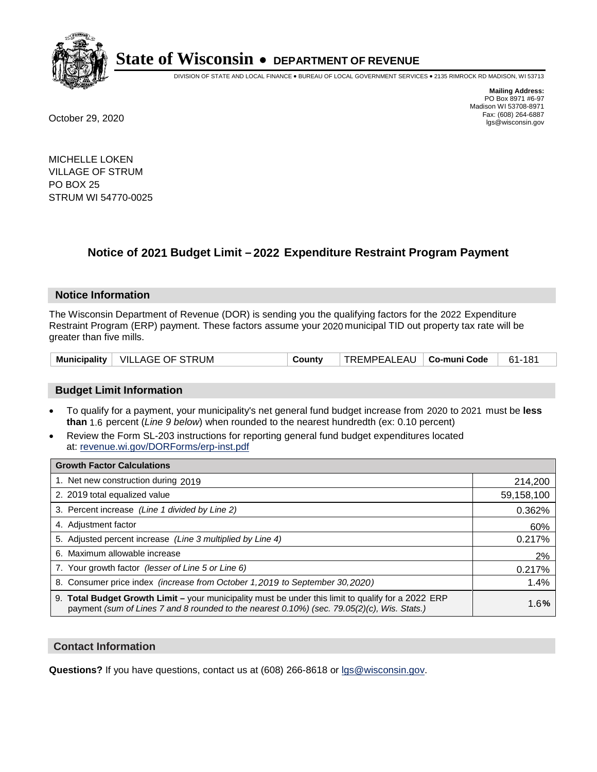

DIVISION OF STATE AND LOCAL FINANCE • BUREAU OF LOCAL GOVERNMENT SERVICES • 2135 RIMROCK RD MADISON, WI 53713

**Mailing Address:** PO Box 8971 #6-97 Madison WI 53708-8971<br>Fax: (608) 264-6887 Fax: (608) 264-6887 October 29, 2020 lgs@wisconsin.gov

MICHELLE LOKEN VILLAGE OF STRUM PO BOX 25 STRUM WI 54770-0025

### **Notice of 2021 Budget Limit - 2022 Expenditure Restraint Program Payment**

#### **Notice Information**

The Wisconsin Department of Revenue (DOR) is sending you the qualifying factors for the 2022 Expenditure Restraint Program (ERP) payment. These factors assume your 2020 municipal TID out property tax rate will be greater than five mills.

|  | Municipality   VILLAGE OF STRUM | County | TREMPEALEAU   Co-muni Code |  | 61-181 |
|--|---------------------------------|--------|----------------------------|--|--------|
|--|---------------------------------|--------|----------------------------|--|--------|

#### **Budget Limit Information**

- To qualify for a payment, your municipality's net general fund budget increase from 2020 to 2021 must be less **than** 1.6 percent (*Line 9 below*) when rounded to the nearest hundredth (ex: 0.10 percent)
- Review the Form SL-203 instructions for reporting general fund budget expenditures located at: revenue.wi.gov/DORForms/erp-inst.pdf

| <b>Growth Factor Calculations</b>                                                                                                                                                                      |            |
|--------------------------------------------------------------------------------------------------------------------------------------------------------------------------------------------------------|------------|
| 1. Net new construction during 2019                                                                                                                                                                    | 214,200    |
| 2. 2019 total equalized value                                                                                                                                                                          | 59,158,100 |
| 3. Percent increase (Line 1 divided by Line 2)                                                                                                                                                         | 0.362%     |
| 4. Adjustment factor                                                                                                                                                                                   | 60%        |
| 5. Adjusted percent increase (Line 3 multiplied by Line 4)                                                                                                                                             | 0.217%     |
| 6. Maximum allowable increase                                                                                                                                                                          | 2%         |
| 7. Your growth factor (lesser of Line 5 or Line 6)                                                                                                                                                     | 0.217%     |
| 8. Consumer price index (increase from October 1,2019 to September 30,2020)                                                                                                                            | 1.4%       |
| 9. Total Budget Growth Limit - your municipality must be under this limit to qualify for a 2022 ERP<br>payment (sum of Lines 7 and 8 rounded to the nearest $0.10\%$ ) (sec. 79.05(2)(c), Wis. Stats.) | 1.6%       |

#### **Contact Information**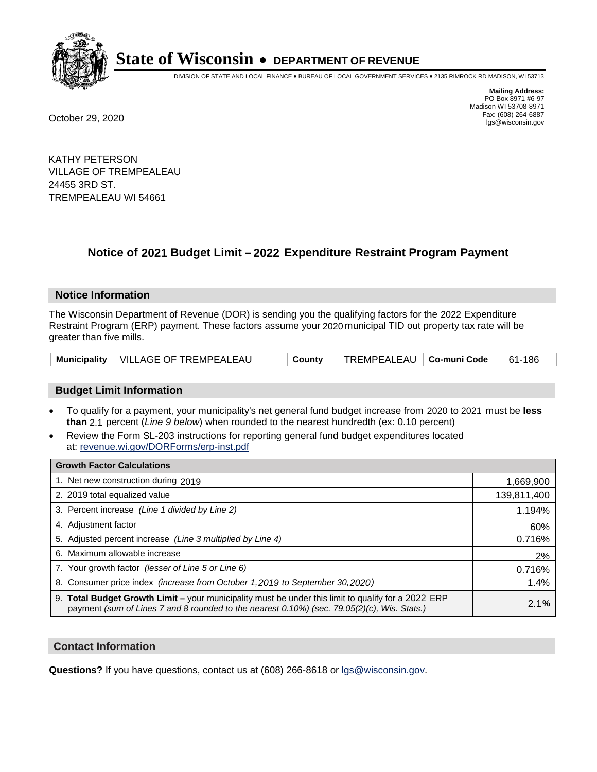

DIVISION OF STATE AND LOCAL FINANCE • BUREAU OF LOCAL GOVERNMENT SERVICES • 2135 RIMROCK RD MADISON, WI 53713

**Mailing Address:** PO Box 8971 #6-97 Madison WI 53708-8971<br>Fax: (608) 264-6887 Fax: (608) 264-6887 October 29, 2020 lgs@wisconsin.gov

KATHY PETERSON VILLAGE OF TREMPEALEAU 24455 3RD ST. TREMPEALEAU WI 54661

## **Notice of 2021 Budget Limit - 2022 Expenditure Restraint Program Payment**

#### **Notice Information**

The Wisconsin Department of Revenue (DOR) is sending you the qualifying factors for the 2022 Expenditure Restraint Program (ERP) payment. These factors assume your 2020 municipal TID out property tax rate will be greater than five mills.

|  | Municipality   VILLAGE OF TREMPEALEAU | County | TREMPEALEAU   Co-muni Code |  | 61-186 |
|--|---------------------------------------|--------|----------------------------|--|--------|
|--|---------------------------------------|--------|----------------------------|--|--------|

#### **Budget Limit Information**

- To qualify for a payment, your municipality's net general fund budget increase from 2020 to 2021 must be less **than** 2.1 percent (*Line 9 below*) when rounded to the nearest hundredth (ex: 0.10 percent)
- Review the Form SL-203 instructions for reporting general fund budget expenditures located at: revenue.wi.gov/DORForms/erp-inst.pdf

| <b>Growth Factor Calculations</b>                                                                                                                                                                      |             |
|--------------------------------------------------------------------------------------------------------------------------------------------------------------------------------------------------------|-------------|
| 1. Net new construction during 2019                                                                                                                                                                    | 1,669,900   |
| 2. 2019 total equalized value                                                                                                                                                                          | 139,811,400 |
| 3. Percent increase (Line 1 divided by Line 2)                                                                                                                                                         | 1.194%      |
| 4. Adjustment factor                                                                                                                                                                                   | 60%         |
| 5. Adjusted percent increase (Line 3 multiplied by Line 4)                                                                                                                                             | 0.716%      |
| 6. Maximum allowable increase                                                                                                                                                                          | 2%          |
| 7. Your growth factor (lesser of Line 5 or Line 6)                                                                                                                                                     | 0.716%      |
| 8. Consumer price index (increase from October 1, 2019 to September 30, 2020)                                                                                                                          | 1.4%        |
| 9. Total Budget Growth Limit - your municipality must be under this limit to qualify for a 2022 ERP<br>payment (sum of Lines 7 and 8 rounded to the nearest $0.10\%$ ) (sec. 79.05(2)(c), Wis. Stats.) | 2.1%        |

#### **Contact Information**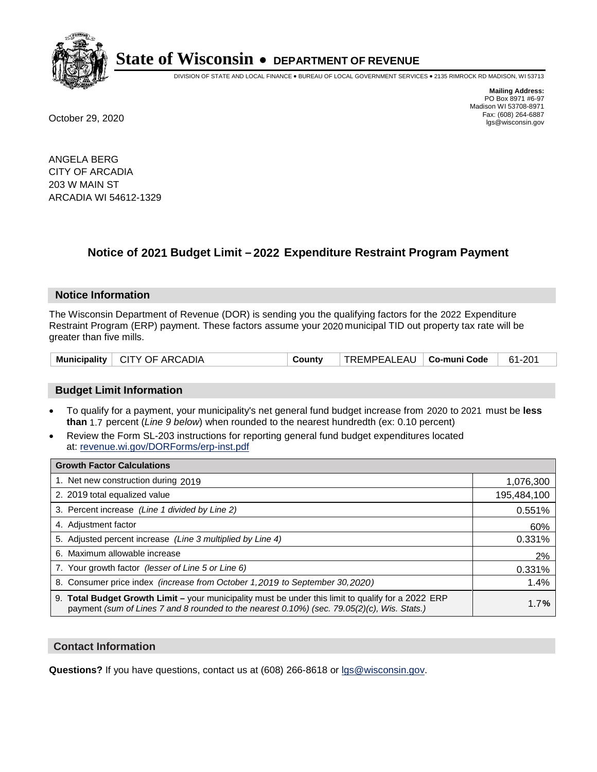

DIVISION OF STATE AND LOCAL FINANCE • BUREAU OF LOCAL GOVERNMENT SERVICES • 2135 RIMROCK RD MADISON, WI 53713

**Mailing Address:** PO Box 8971 #6-97 Madison WI 53708-8971<br>Fax: (608) 264-6887 Fax: (608) 264-6887 October 29, 2020 lgs@wisconsin.gov

ANGELA BERG CITY OF ARCADIA 203 W MAIN ST ARCADIA WI 54612-1329

### **Notice of 2021 Budget Limit - 2022 Expenditure Restraint Program Payment**

#### **Notice Information**

The Wisconsin Department of Revenue (DOR) is sending you the qualifying factors for the 2022 Expenditure Restraint Program (ERP) payment. These factors assume your 2020 municipal TID out property tax rate will be greater than five mills.

|  | Municipality   CITY OF ARCADIA | County | TREMPEALEAU   Co-muni Code |  | 61-201 |
|--|--------------------------------|--------|----------------------------|--|--------|
|--|--------------------------------|--------|----------------------------|--|--------|

#### **Budget Limit Information**

- To qualify for a payment, your municipality's net general fund budget increase from 2020 to 2021 must be less **than** 1.7 percent (*Line 9 below*) when rounded to the nearest hundredth (ex: 0.10 percent)
- Review the Form SL-203 instructions for reporting general fund budget expenditures located at: revenue.wi.gov/DORForms/erp-inst.pdf

| <b>Growth Factor Calculations</b>                                                                                                                                                                  |             |
|----------------------------------------------------------------------------------------------------------------------------------------------------------------------------------------------------|-------------|
| 1. Net new construction during 2019                                                                                                                                                                | 1,076,300   |
| 2. 2019 total equalized value                                                                                                                                                                      | 195,484,100 |
| 3. Percent increase (Line 1 divided by Line 2)                                                                                                                                                     | 0.551%      |
| 4. Adjustment factor                                                                                                                                                                               | 60%         |
| 5. Adjusted percent increase (Line 3 multiplied by Line 4)                                                                                                                                         | 0.331%      |
| 6. Maximum allowable increase                                                                                                                                                                      | 2%          |
| 7. Your growth factor (lesser of Line 5 or Line 6)                                                                                                                                                 | 0.331%      |
| 8. Consumer price index (increase from October 1, 2019 to September 30, 2020)                                                                                                                      | 1.4%        |
| 9. Total Budget Growth Limit - your municipality must be under this limit to qualify for a 2022 ERP<br>payment (sum of Lines 7 and 8 rounded to the nearest 0.10%) (sec. 79.05(2)(c), Wis. Stats.) | 1.7%        |

#### **Contact Information**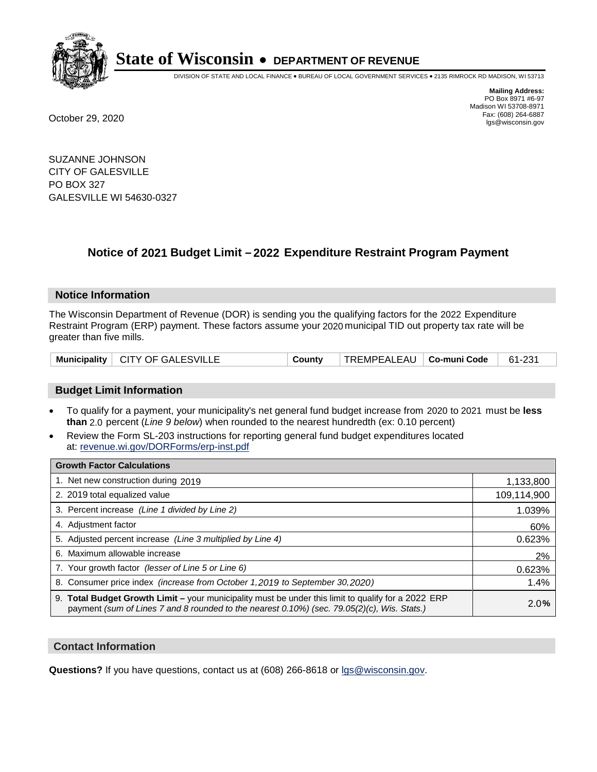

DIVISION OF STATE AND LOCAL FINANCE • BUREAU OF LOCAL GOVERNMENT SERVICES • 2135 RIMROCK RD MADISON, WI 53713

**Mailing Address:** PO Box 8971 #6-97 Madison WI 53708-8971<br>Fax: (608) 264-6887 Fax: (608) 264-6887 October 29, 2020 lgs@wisconsin.gov

SUZANNE JOHNSON CITY OF GALESVILLE PO BOX 327 GALESVILLE WI 54630-0327

### **Notice of 2021 Budget Limit - 2022 Expenditure Restraint Program Payment**

#### **Notice Information**

The Wisconsin Department of Revenue (DOR) is sending you the qualifying factors for the 2022 Expenditure Restraint Program (ERP) payment. These factors assume your 2020 municipal TID out property tax rate will be greater than five mills.

|  | Municipality   CITY OF GALESVILLE | County | TREMPEALEAU   <b>Co-muni Code</b> |  | 61-231 |
|--|-----------------------------------|--------|-----------------------------------|--|--------|
|--|-----------------------------------|--------|-----------------------------------|--|--------|

#### **Budget Limit Information**

- To qualify for a payment, your municipality's net general fund budget increase from 2020 to 2021 must be less **than** 2.0 percent (*Line 9 below*) when rounded to the nearest hundredth (ex: 0.10 percent)
- Review the Form SL-203 instructions for reporting general fund budget expenditures located at: revenue.wi.gov/DORForms/erp-inst.pdf

| <b>Growth Factor Calculations</b>                                                                                                                                                                      |             |
|--------------------------------------------------------------------------------------------------------------------------------------------------------------------------------------------------------|-------------|
| 1. Net new construction during 2019                                                                                                                                                                    | 1,133,800   |
| 2. 2019 total equalized value                                                                                                                                                                          | 109,114,900 |
| 3. Percent increase (Line 1 divided by Line 2)                                                                                                                                                         | 1.039%      |
| 4. Adjustment factor                                                                                                                                                                                   | 60%         |
| 5. Adjusted percent increase (Line 3 multiplied by Line 4)                                                                                                                                             | 0.623%      |
| 6. Maximum allowable increase                                                                                                                                                                          | 2%          |
| 7. Your growth factor (lesser of Line 5 or Line 6)                                                                                                                                                     | 0.623%      |
| 8. Consumer price index (increase from October 1, 2019 to September 30, 2020)                                                                                                                          | 1.4%        |
| 9. Total Budget Growth Limit - your municipality must be under this limit to qualify for a 2022 ERP<br>payment (sum of Lines 7 and 8 rounded to the nearest $0.10\%$ ) (sec. 79.05(2)(c), Wis. Stats.) | 2.0%        |

#### **Contact Information**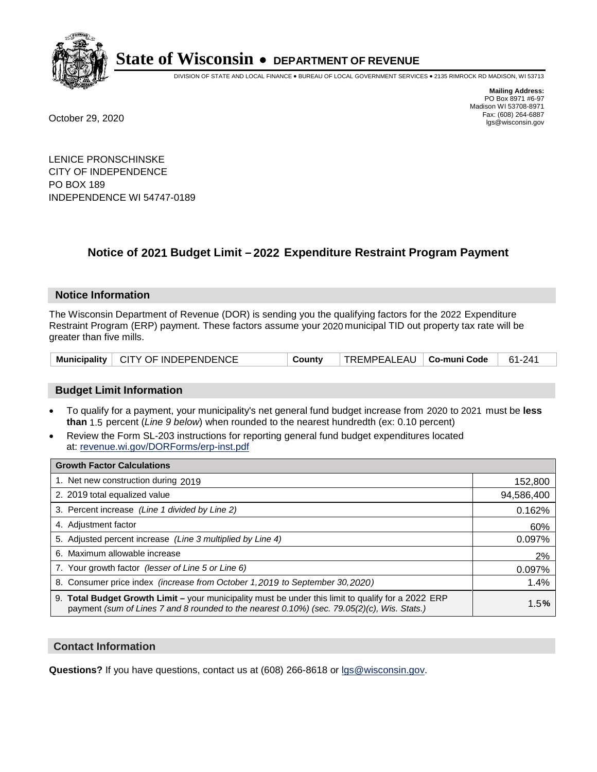

DIVISION OF STATE AND LOCAL FINANCE • BUREAU OF LOCAL GOVERNMENT SERVICES • 2135 RIMROCK RD MADISON, WI 53713

**Mailing Address:** PO Box 8971 #6-97 Madison WI 53708-8971<br>Fax: (608) 264-6887 Fax: (608) 264-6887 October 29, 2020 lgs@wisconsin.gov

LENICE PRONSCHINSKE CITY OF INDEPENDENCE PO BOX 189 INDEPENDENCE WI 54747-0189

### **Notice of 2021 Budget Limit - 2022 Expenditure Restraint Program Payment**

#### **Notice Information**

The Wisconsin Department of Revenue (DOR) is sending you the qualifying factors for the 2022 Expenditure Restraint Program (ERP) payment. These factors assume your 2020 municipal TID out property tax rate will be greater than five mills.

|  | Municipality   CITY OF INDEPENDENCE | County | TREMPEALEAU   Co-muni Code |  | 61-241 |
|--|-------------------------------------|--------|----------------------------|--|--------|
|--|-------------------------------------|--------|----------------------------|--|--------|

#### **Budget Limit Information**

- To qualify for a payment, your municipality's net general fund budget increase from 2020 to 2021 must be less **than** 1.5 percent (*Line 9 below*) when rounded to the nearest hundredth (ex: 0.10 percent)
- Review the Form SL-203 instructions for reporting general fund budget expenditures located at: revenue.wi.gov/DORForms/erp-inst.pdf

| <b>Growth Factor Calculations</b>                                                                                                                                                                      |            |
|--------------------------------------------------------------------------------------------------------------------------------------------------------------------------------------------------------|------------|
| 1. Net new construction during 2019                                                                                                                                                                    | 152,800    |
| 2. 2019 total equalized value                                                                                                                                                                          | 94,586,400 |
| 3. Percent increase (Line 1 divided by Line 2)                                                                                                                                                         | 0.162%     |
| 4. Adjustment factor                                                                                                                                                                                   | 60%        |
| 5. Adjusted percent increase (Line 3 multiplied by Line 4)                                                                                                                                             | 0.097%     |
| 6. Maximum allowable increase                                                                                                                                                                          | 2%         |
| 7. Your growth factor (lesser of Line 5 or Line 6)                                                                                                                                                     | 0.097%     |
| 8. Consumer price index (increase from October 1,2019 to September 30,2020)                                                                                                                            | 1.4%       |
| 9. Total Budget Growth Limit - your municipality must be under this limit to qualify for a 2022 ERP<br>payment (sum of Lines 7 and 8 rounded to the nearest $0.10\%$ ) (sec. 79.05(2)(c), Wis. Stats.) | 1.5%       |

#### **Contact Information**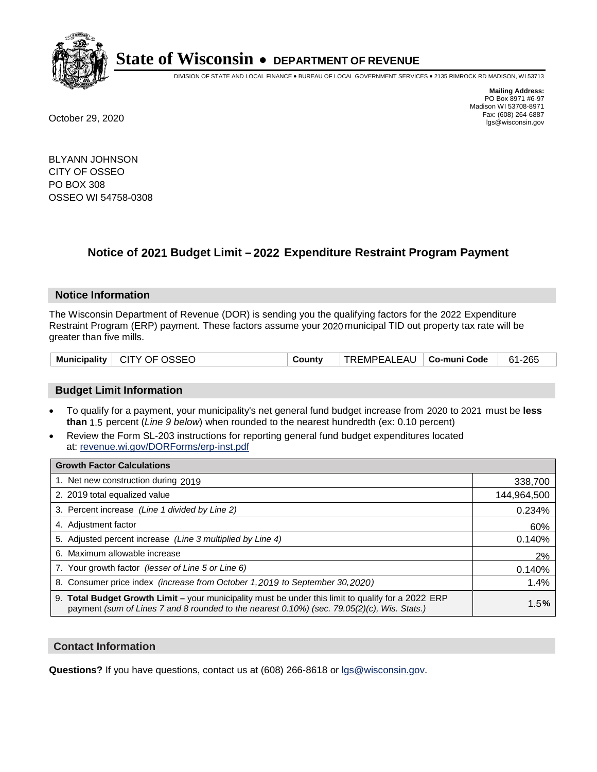

DIVISION OF STATE AND LOCAL FINANCE • BUREAU OF LOCAL GOVERNMENT SERVICES • 2135 RIMROCK RD MADISON, WI 53713

**Mailing Address:** PO Box 8971 #6-97 Madison WI 53708-8971<br>Fax: (608) 264-6887 Fax: (608) 264-6887 October 29, 2020 lgs@wisconsin.gov

BLYANN JOHNSON CITY OF OSSEO PO BOX 308 OSSEO WI 54758-0308

### **Notice of 2021 Budget Limit - 2022 Expenditure Restraint Program Payment**

#### **Notice Information**

The Wisconsin Department of Revenue (DOR) is sending you the qualifying factors for the 2022 Expenditure Restraint Program (ERP) payment. These factors assume your 2020 municipal TID out property tax rate will be greater than five mills.

|  | Municipality   CITY OF OSSEO | County | TREMPEALEAU   Co-muni Code |  | 61-265 |
|--|------------------------------|--------|----------------------------|--|--------|
|--|------------------------------|--------|----------------------------|--|--------|

#### **Budget Limit Information**

- To qualify for a payment, your municipality's net general fund budget increase from 2020 to 2021 must be less **than** 1.5 percent (*Line 9 below*) when rounded to the nearest hundredth (ex: 0.10 percent)
- Review the Form SL-203 instructions for reporting general fund budget expenditures located at: revenue.wi.gov/DORForms/erp-inst.pdf

| <b>Growth Factor Calculations</b>                                                                                                                                                                  |             |
|----------------------------------------------------------------------------------------------------------------------------------------------------------------------------------------------------|-------------|
| 1. Net new construction during 2019                                                                                                                                                                | 338,700     |
| 2. 2019 total equalized value                                                                                                                                                                      | 144,964,500 |
| 3. Percent increase (Line 1 divided by Line 2)                                                                                                                                                     | 0.234%      |
| 4. Adjustment factor                                                                                                                                                                               | 60%         |
| 5. Adjusted percent increase (Line 3 multiplied by Line 4)                                                                                                                                         | 0.140%      |
| 6. Maximum allowable increase                                                                                                                                                                      | 2%          |
| 7. Your growth factor (lesser of Line 5 or Line 6)                                                                                                                                                 | 0.140%      |
| 8. Consumer price index (increase from October 1,2019 to September 30,2020)                                                                                                                        | 1.4%        |
| 9. Total Budget Growth Limit - your municipality must be under this limit to qualify for a 2022 ERP<br>payment (sum of Lines 7 and 8 rounded to the nearest 0.10%) (sec. 79.05(2)(c), Wis. Stats.) | 1.5%        |

#### **Contact Information**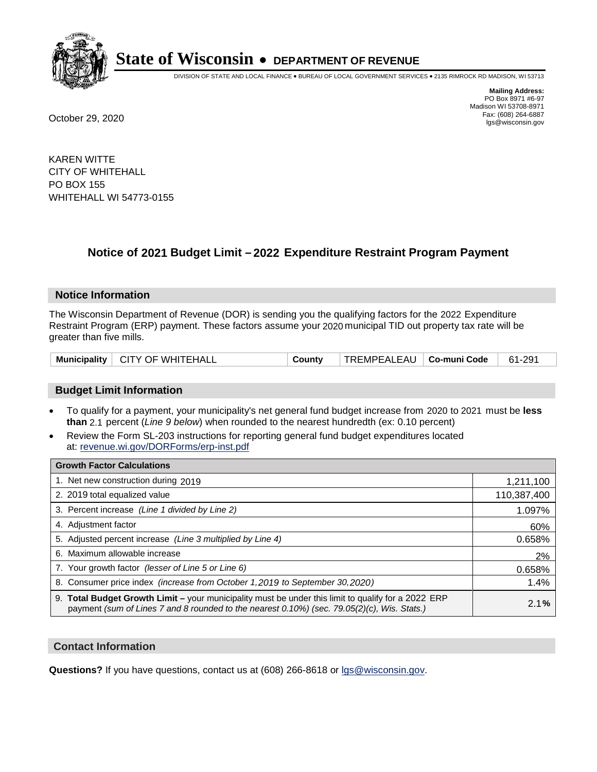

DIVISION OF STATE AND LOCAL FINANCE • BUREAU OF LOCAL GOVERNMENT SERVICES • 2135 RIMROCK RD MADISON, WI 53713

**Mailing Address:** PO Box 8971 #6-97 Madison WI 53708-8971<br>Fax: (608) 264-6887 Fax: (608) 264-6887 October 29, 2020 lgs@wisconsin.gov

KAREN WITTE CITY OF WHITEHALL PO BOX 155 WHITEHALL WI 54773-0155

### **Notice of 2021 Budget Limit - 2022 Expenditure Restraint Program Payment**

#### **Notice Information**

The Wisconsin Department of Revenue (DOR) is sending you the qualifying factors for the 2022 Expenditure Restraint Program (ERP) payment. These factors assume your 2020 municipal TID out property tax rate will be greater than five mills.

|  | Municipality   CITY OF WHITEHALL | County | TREMPEALEAU   <b>Co-muni Code</b> |  | 61-291 |
|--|----------------------------------|--------|-----------------------------------|--|--------|
|--|----------------------------------|--------|-----------------------------------|--|--------|

#### **Budget Limit Information**

- To qualify for a payment, your municipality's net general fund budget increase from 2020 to 2021 must be less **than** 2.1 percent (*Line 9 below*) when rounded to the nearest hundredth (ex: 0.10 percent)
- Review the Form SL-203 instructions for reporting general fund budget expenditures located at: revenue.wi.gov/DORForms/erp-inst.pdf

| <b>Growth Factor Calculations</b>                                                                                                                                                                      |             |
|--------------------------------------------------------------------------------------------------------------------------------------------------------------------------------------------------------|-------------|
| 1. Net new construction during 2019                                                                                                                                                                    | 1,211,100   |
| 2. 2019 total equalized value                                                                                                                                                                          | 110,387,400 |
| 3. Percent increase (Line 1 divided by Line 2)                                                                                                                                                         | 1.097%      |
| 4. Adjustment factor                                                                                                                                                                                   | 60%         |
| 5. Adjusted percent increase (Line 3 multiplied by Line 4)                                                                                                                                             | 0.658%      |
| 6. Maximum allowable increase                                                                                                                                                                          | 2%          |
| 7. Your growth factor (lesser of Line 5 or Line 6)                                                                                                                                                     | 0.658%      |
| 8. Consumer price index (increase from October 1, 2019 to September 30, 2020)                                                                                                                          | 1.4%        |
| 9. Total Budget Growth Limit - your municipality must be under this limit to qualify for a 2022 ERP<br>payment (sum of Lines 7 and 8 rounded to the nearest $0.10\%$ ) (sec. 79.05(2)(c), Wis. Stats.) | 2.1%        |

#### **Contact Information**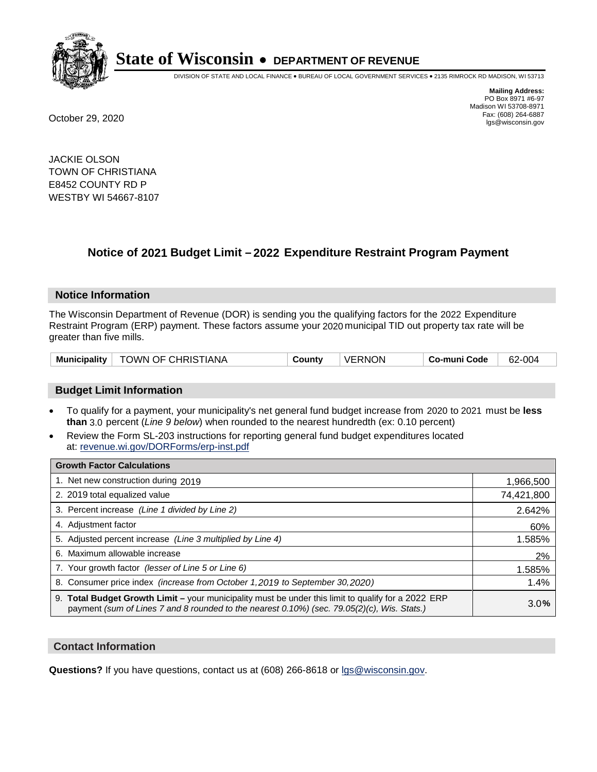

DIVISION OF STATE AND LOCAL FINANCE • BUREAU OF LOCAL GOVERNMENT SERVICES • 2135 RIMROCK RD MADISON, WI 53713

**Mailing Address:** PO Box 8971 #6-97 Madison WI 53708-8971<br>Fax: (608) 264-6887 Fax: (608) 264-6887 October 29, 2020 lgs@wisconsin.gov

JACKIE OLSON TOWN OF CHRISTIANA E8452 COUNTY RD P WESTBY WI 54667-8107

## **Notice of 2021 Budget Limit - 2022 Expenditure Restraint Program Payment**

#### **Notice Information**

The Wisconsin Department of Revenue (DOR) is sending you the qualifying factors for the 2022 Expenditure Restraint Program (ERP) payment. These factors assume your 2020 municipal TID out property tax rate will be greater than five mills.

| Municipality | <b>TOWN OF CHRISTIANA</b> | County | <b>VERNON</b> | Co-muni Code | 62-004 |
|--------------|---------------------------|--------|---------------|--------------|--------|
|--------------|---------------------------|--------|---------------|--------------|--------|

#### **Budget Limit Information**

- To qualify for a payment, your municipality's net general fund budget increase from 2020 to 2021 must be less **than** 3.0 percent (*Line 9 below*) when rounded to the nearest hundredth (ex: 0.10 percent)
- Review the Form SL-203 instructions for reporting general fund budget expenditures located at: revenue.wi.gov/DORForms/erp-inst.pdf

| <b>Growth Factor Calculations</b>                                                                                                                                                                  |            |
|----------------------------------------------------------------------------------------------------------------------------------------------------------------------------------------------------|------------|
| 1. Net new construction during 2019                                                                                                                                                                | 1,966,500  |
| 2. 2019 total equalized value                                                                                                                                                                      | 74,421,800 |
| 3. Percent increase (Line 1 divided by Line 2)                                                                                                                                                     | 2.642%     |
| 4. Adjustment factor                                                                                                                                                                               | 60%        |
| 5. Adjusted percent increase (Line 3 multiplied by Line 4)                                                                                                                                         | 1.585%     |
| 6. Maximum allowable increase                                                                                                                                                                      | 2%         |
| 7. Your growth factor (lesser of Line 5 or Line 6)                                                                                                                                                 | 1.585%     |
| 8. Consumer price index (increase from October 1, 2019 to September 30, 2020)                                                                                                                      | 1.4%       |
| 9. Total Budget Growth Limit - your municipality must be under this limit to qualify for a 2022 ERP<br>payment (sum of Lines 7 and 8 rounded to the nearest 0.10%) (sec. 79.05(2)(c), Wis. Stats.) | 3.0%       |

#### **Contact Information**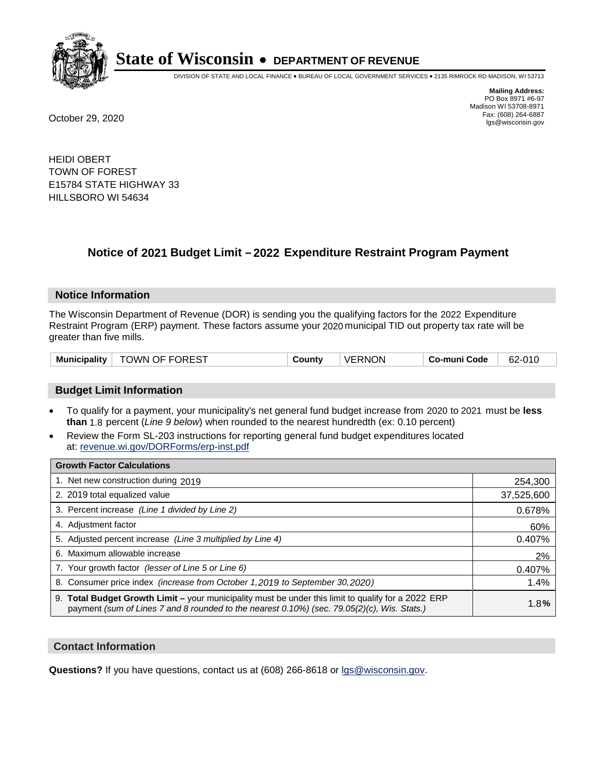

DIVISION OF STATE AND LOCAL FINANCE • BUREAU OF LOCAL GOVERNMENT SERVICES • 2135 RIMROCK RD MADISON, WI 53713

**Mailing Address:** PO Box 8971 #6-97 Madison WI 53708-8971<br>Fax: (608) 264-6887 Fax: (608) 264-6887 October 29, 2020 lgs@wisconsin.gov

HEIDI OBERT TOWN OF FOREST E15784 STATE HIGHWAY 33 HILLSBORO WI 54634

### **Notice of 2021 Budget Limit - 2022 Expenditure Restraint Program Payment**

#### **Notice Information**

The Wisconsin Department of Revenue (DOR) is sending you the qualifying factors for the 2022 Expenditure Restraint Program (ERP) payment. These factors assume your 2020 municipal TID out property tax rate will be greater than five mills.

| <b>TOWN OF FOREST</b><br><b>Municipality</b> | County | <b>VERNON</b> | Co-muni Code | 62-010 |
|----------------------------------------------|--------|---------------|--------------|--------|
|----------------------------------------------|--------|---------------|--------------|--------|

#### **Budget Limit Information**

- To qualify for a payment, your municipality's net general fund budget increase from 2020 to 2021 must be less **than** 1.8 percent (*Line 9 below*) when rounded to the nearest hundredth (ex: 0.10 percent)
- Review the Form SL-203 instructions for reporting general fund budget expenditures located at: revenue.wi.gov/DORForms/erp-inst.pdf

| <b>Growth Factor Calculations</b>                                                                                                                                                                      |            |
|--------------------------------------------------------------------------------------------------------------------------------------------------------------------------------------------------------|------------|
| 1. Net new construction during 2019                                                                                                                                                                    | 254,300    |
| 2. 2019 total equalized value                                                                                                                                                                          | 37,525,600 |
| 3. Percent increase (Line 1 divided by Line 2)                                                                                                                                                         | 0.678%     |
| 4. Adjustment factor                                                                                                                                                                                   | 60%        |
| 5. Adjusted percent increase (Line 3 multiplied by Line 4)                                                                                                                                             | 0.407%     |
| 6. Maximum allowable increase                                                                                                                                                                          | 2%         |
| 7. Your growth factor (lesser of Line 5 or Line 6)                                                                                                                                                     | 0.407%     |
| 8. Consumer price index (increase from October 1,2019 to September 30,2020)                                                                                                                            | 1.4%       |
| 9. Total Budget Growth Limit - your municipality must be under this limit to qualify for a 2022 ERP<br>payment (sum of Lines 7 and 8 rounded to the nearest $0.10\%$ ) (sec. 79.05(2)(c), Wis. Stats.) | 1.8%       |

#### **Contact Information**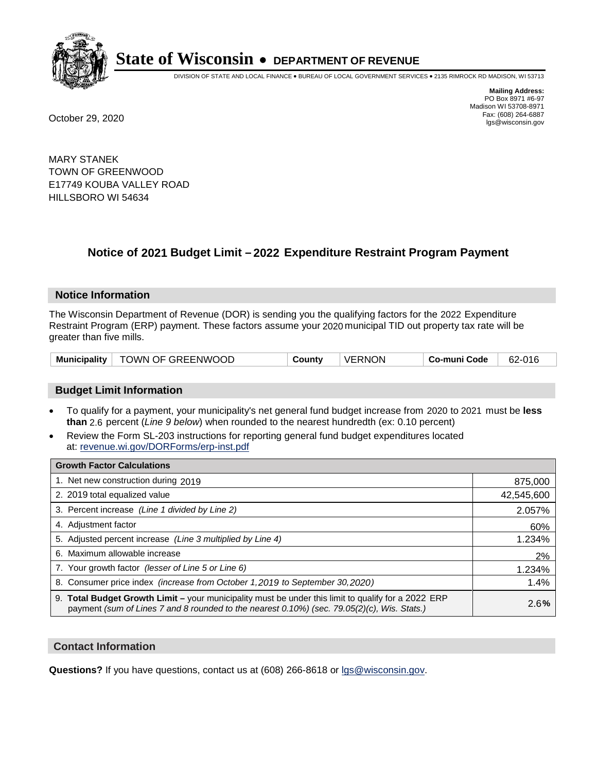

DIVISION OF STATE AND LOCAL FINANCE • BUREAU OF LOCAL GOVERNMENT SERVICES • 2135 RIMROCK RD MADISON, WI 53713

**Mailing Address:** PO Box 8971 #6-97 Madison WI 53708-8971<br>Fax: (608) 264-6887 Fax: (608) 264-6887 October 29, 2020 lgs@wisconsin.gov

MARY STANEK TOWN OF GREENWOOD E17749 KOUBA VALLEY ROAD HILLSBORO WI 54634

### **Notice of 2021 Budget Limit - 2022 Expenditure Restraint Program Payment**

#### **Notice Information**

The Wisconsin Department of Revenue (DOR) is sending you the qualifying factors for the 2022 Expenditure Restraint Program (ERP) payment. These factors assume your 2020 municipal TID out property tax rate will be greater than five mills.

| <b>Municipality</b> | TOWN OF GREENWOOD | County | <b>VERNON</b> | Co-muni Code | 62-016 |
|---------------------|-------------------|--------|---------------|--------------|--------|
|---------------------|-------------------|--------|---------------|--------------|--------|

#### **Budget Limit Information**

- To qualify for a payment, your municipality's net general fund budget increase from 2020 to 2021 must be less **than** 2.6 percent (*Line 9 below*) when rounded to the nearest hundredth (ex: 0.10 percent)
- Review the Form SL-203 instructions for reporting general fund budget expenditures located at: revenue.wi.gov/DORForms/erp-inst.pdf

| <b>Growth Factor Calculations</b>                                                                                                                                                                  |            |
|----------------------------------------------------------------------------------------------------------------------------------------------------------------------------------------------------|------------|
| 1. Net new construction during 2019                                                                                                                                                                | 875,000    |
| 2. 2019 total equalized value                                                                                                                                                                      | 42,545,600 |
| 3. Percent increase (Line 1 divided by Line 2)                                                                                                                                                     | 2.057%     |
| 4. Adjustment factor                                                                                                                                                                               | 60%        |
| 5. Adjusted percent increase (Line 3 multiplied by Line 4)                                                                                                                                         | 1.234%     |
| 6. Maximum allowable increase                                                                                                                                                                      | 2%         |
| 7. Your growth factor (lesser of Line 5 or Line 6)                                                                                                                                                 | 1.234%     |
| 8. Consumer price index (increase from October 1,2019 to September 30,2020)                                                                                                                        | 1.4%       |
| 9. Total Budget Growth Limit - your municipality must be under this limit to qualify for a 2022 ERP<br>payment (sum of Lines 7 and 8 rounded to the nearest 0.10%) (sec. 79.05(2)(c), Wis. Stats.) | 2.6%       |

#### **Contact Information**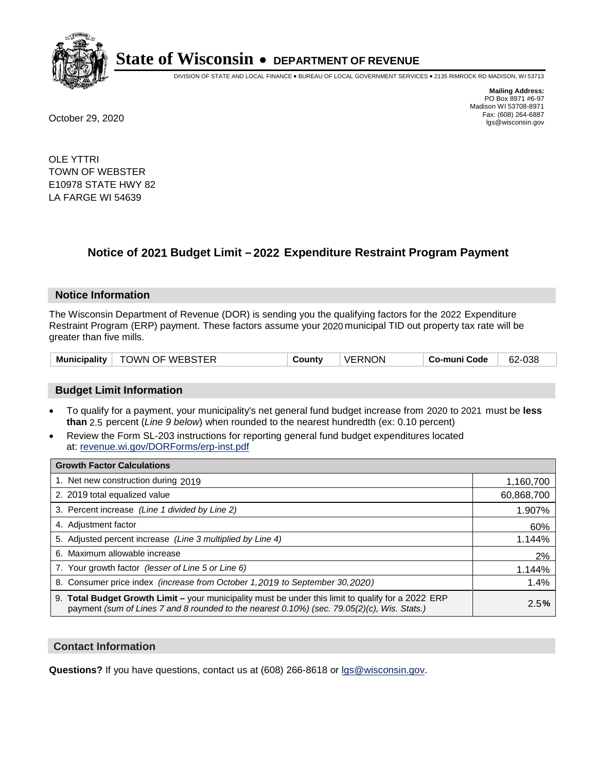

DIVISION OF STATE AND LOCAL FINANCE • BUREAU OF LOCAL GOVERNMENT SERVICES • 2135 RIMROCK RD MADISON, WI 53713

**Mailing Address:** PO Box 8971 #6-97 Madison WI 53708-8971<br>Fax: (608) 264-6887 Fax: (608) 264-6887 October 29, 2020 lgs@wisconsin.gov

OLE YTTRI TOWN OF WEBSTER E10978 STATE HWY 82 LA FARGE WI 54639

### **Notice of 2021 Budget Limit - 2022 Expenditure Restraint Program Payment**

#### **Notice Information**

The Wisconsin Department of Revenue (DOR) is sending you the qualifying factors for the 2022 Expenditure Restraint Program (ERP) payment. These factors assume your 2020 municipal TID out property tax rate will be greater than five mills.

| Municipality | TOWN OF WEBSTER | County | <b>VERNON</b> | Co-muni Code | 62-038 |
|--------------|-----------------|--------|---------------|--------------|--------|
|--------------|-----------------|--------|---------------|--------------|--------|

#### **Budget Limit Information**

- To qualify for a payment, your municipality's net general fund budget increase from 2020 to 2021 must be less **than** 2.5 percent (*Line 9 below*) when rounded to the nearest hundredth (ex: 0.10 percent)
- Review the Form SL-203 instructions for reporting general fund budget expenditures located at: revenue.wi.gov/DORForms/erp-inst.pdf

| <b>Growth Factor Calculations</b>                                                                                                                                                                  |            |
|----------------------------------------------------------------------------------------------------------------------------------------------------------------------------------------------------|------------|
| 1. Net new construction during 2019                                                                                                                                                                | 1,160,700  |
| 2. 2019 total equalized value                                                                                                                                                                      | 60,868,700 |
| 3. Percent increase (Line 1 divided by Line 2)                                                                                                                                                     | 1.907%     |
| 4. Adjustment factor                                                                                                                                                                               | 60%        |
| 5. Adjusted percent increase (Line 3 multiplied by Line 4)                                                                                                                                         | 1.144%     |
| 6. Maximum allowable increase                                                                                                                                                                      | 2%         |
| 7. Your growth factor (lesser of Line 5 or Line 6)                                                                                                                                                 | 1.144%     |
| 8. Consumer price index (increase from October 1, 2019 to September 30, 2020)                                                                                                                      | 1.4%       |
| 9. Total Budget Growth Limit - your municipality must be under this limit to qualify for a 2022 ERP<br>payment (sum of Lines 7 and 8 rounded to the nearest 0.10%) (sec. 79.05(2)(c), Wis. Stats.) | 2.5%       |

#### **Contact Information**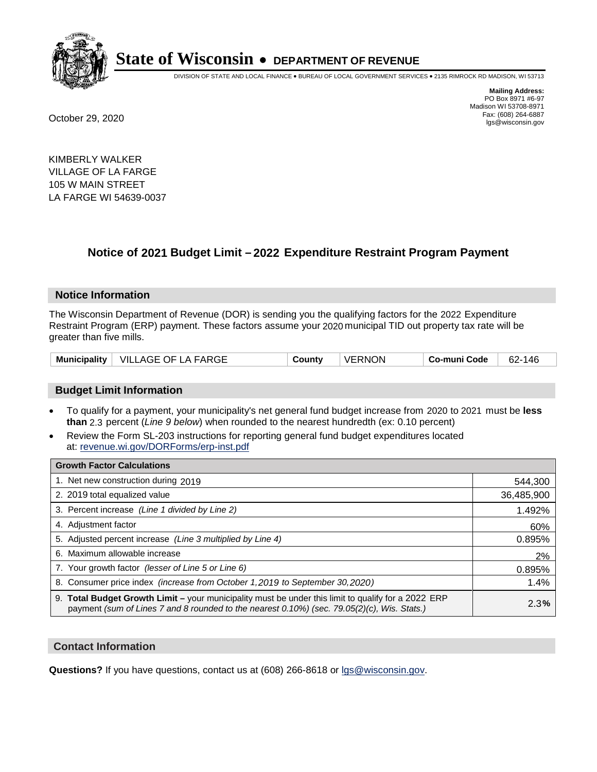

DIVISION OF STATE AND LOCAL FINANCE • BUREAU OF LOCAL GOVERNMENT SERVICES • 2135 RIMROCK RD MADISON, WI 53713

**Mailing Address:** PO Box 8971 #6-97 Madison WI 53708-8971<br>Fax: (608) 264-6887 Fax: (608) 264-6887 October 29, 2020 lgs@wisconsin.gov

KIMBERLY WALKER VILLAGE OF LA FARGE 105 W MAIN STREET LA FARGE WI 54639-0037

### **Notice of 2021 Budget Limit - 2022 Expenditure Restraint Program Payment**

#### **Notice Information**

The Wisconsin Department of Revenue (DOR) is sending you the qualifying factors for the 2022 Expenditure Restraint Program (ERP) payment. These factors assume your 2020 municipal TID out property tax rate will be greater than five mills.

#### **Budget Limit Information**

- To qualify for a payment, your municipality's net general fund budget increase from 2020 to 2021 must be less **than** 2.3 percent (*Line 9 below*) when rounded to the nearest hundredth (ex: 0.10 percent)
- Review the Form SL-203 instructions for reporting general fund budget expenditures located at: revenue.wi.gov/DORForms/erp-inst.pdf

| <b>Growth Factor Calculations</b>                                                                                                                                                                  |            |
|----------------------------------------------------------------------------------------------------------------------------------------------------------------------------------------------------|------------|
| 1. Net new construction during 2019                                                                                                                                                                | 544,300    |
| 2. 2019 total equalized value                                                                                                                                                                      | 36,485,900 |
| 3. Percent increase (Line 1 divided by Line 2)                                                                                                                                                     | 1.492%     |
| 4. Adjustment factor                                                                                                                                                                               | 60%        |
| 5. Adjusted percent increase (Line 3 multiplied by Line 4)                                                                                                                                         | 0.895%     |
| 6. Maximum allowable increase                                                                                                                                                                      | 2%         |
| 7. Your growth factor (lesser of Line 5 or Line 6)                                                                                                                                                 | 0.895%     |
| 8. Consumer price index (increase from October 1,2019 to September 30,2020)                                                                                                                        | 1.4%       |
| 9. Total Budget Growth Limit - your municipality must be under this limit to qualify for a 2022 ERP<br>payment (sum of Lines 7 and 8 rounded to the nearest 0.10%) (sec. 79.05(2)(c), Wis. Stats.) | 2.3%       |

#### **Contact Information**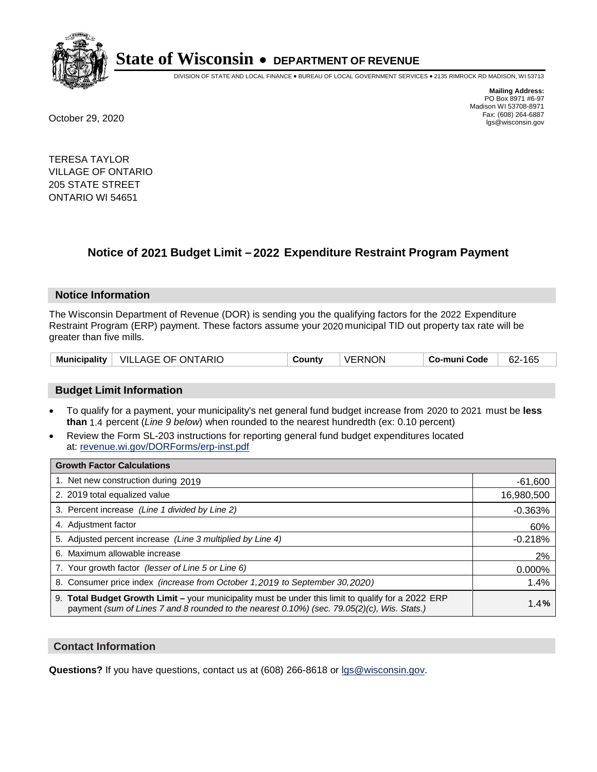

DIVISION OF STATE AND LOCAL FINANCE • BUREAU OF LOCAL GOVERNMENT SERVICES • 2135 RIMROCK RD MADISON, WI 53713

**Mailing Address:** PO Box 8971 #6-97 Madison WI 53708-8971<br>Fax: (608) 264-6887 Fax: (608) 264-6887 October 29, 2020 lgs@wisconsin.gov

TERESA TAYLOR VILLAGE OF ONTARIO 205 STATE STREET ONTARIO WI 54651

## **Notice of 2021 Budget Limit - 2022 Expenditure Restraint Program Payment**

#### **Notice Information**

The Wisconsin Department of Revenue (DOR) is sending you the qualifying factors for the 2022 Expenditure Restraint Program (ERP) payment. These factors assume your 2020 municipal TID out property tax rate will be greater than five mills.

#### **Budget Limit Information**

- To qualify for a payment, your municipality's net general fund budget increase from 2020 to 2021 must be less **than** 1.4 percent (*Line 9 below*) when rounded to the nearest hundredth (ex: 0.10 percent)
- Review the Form SL-203 instructions for reporting general fund budget expenditures located at: revenue.wi.gov/DORForms/erp-inst.pdf

| <b>Growth Factor Calculations</b>                                                                                                                                                                  |            |
|----------------------------------------------------------------------------------------------------------------------------------------------------------------------------------------------------|------------|
| 1. Net new construction during 2019                                                                                                                                                                | $-61,600$  |
| 2. 2019 total equalized value                                                                                                                                                                      | 16,980,500 |
| 3. Percent increase (Line 1 divided by Line 2)                                                                                                                                                     | $-0.363%$  |
| 4. Adjustment factor                                                                                                                                                                               | 60%        |
| 5. Adjusted percent increase (Line 3 multiplied by Line 4)                                                                                                                                         | $-0.218%$  |
| 6. Maximum allowable increase                                                                                                                                                                      | 2%         |
| 7. Your growth factor (lesser of Line 5 or Line 6)                                                                                                                                                 | 0.000%     |
| 8. Consumer price index (increase from October 1,2019 to September 30,2020)                                                                                                                        | 1.4%       |
| 9. Total Budget Growth Limit – your municipality must be under this limit to qualify for a 2022 ERP<br>payment (sum of Lines 7 and 8 rounded to the nearest 0.10%) (sec. 79.05(2)(c), Wis. Stats.) | 1.4%       |

#### **Contact Information**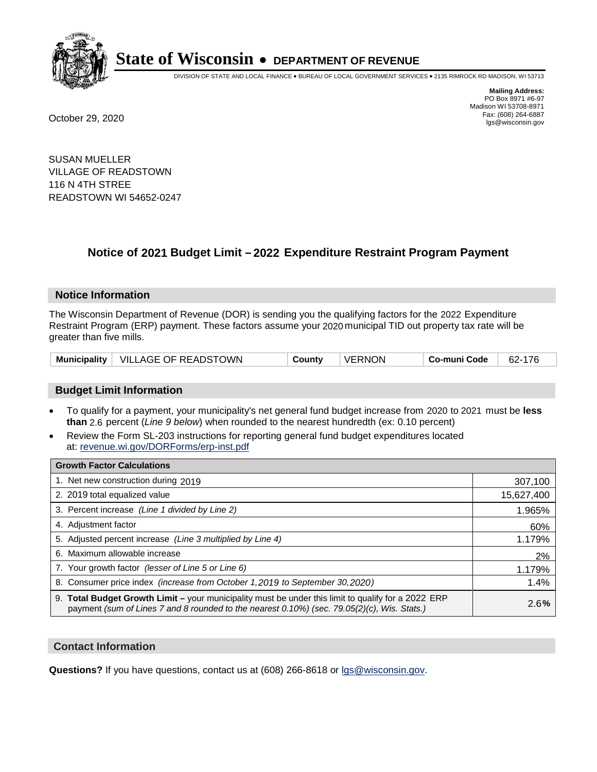

DIVISION OF STATE AND LOCAL FINANCE • BUREAU OF LOCAL GOVERNMENT SERVICES • 2135 RIMROCK RD MADISON, WI 53713

**Mailing Address:** PO Box 8971 #6-97 Madison WI 53708-8971<br>Fax: (608) 264-6887 Fax: (608) 264-6887 October 29, 2020 lgs@wisconsin.gov

SUSAN MUELLER VILLAGE OF READSTOWN 116 N 4TH STREE READSTOWN WI 54652-0247

## **Notice of 2021 Budget Limit - 2022 Expenditure Restraint Program Payment**

#### **Notice Information**

The Wisconsin Department of Revenue (DOR) is sending you the qualifying factors for the 2022 Expenditure Restraint Program (ERP) payment. These factors assume your 2020 municipal TID out property tax rate will be greater than five mills.

| Municipality   VILLAGE OF READSTOWN | Countv | VERNON | Co-muni Code | 62-176 |
|-------------------------------------|--------|--------|--------------|--------|
|-------------------------------------|--------|--------|--------------|--------|

#### **Budget Limit Information**

- To qualify for a payment, your municipality's net general fund budget increase from 2020 to 2021 must be less **than** 2.6 percent (*Line 9 below*) when rounded to the nearest hundredth (ex: 0.10 percent)
- Review the Form SL-203 instructions for reporting general fund budget expenditures located at: revenue.wi.gov/DORForms/erp-inst.pdf

| <b>Growth Factor Calculations</b>                                                                                                                                                                      |            |
|--------------------------------------------------------------------------------------------------------------------------------------------------------------------------------------------------------|------------|
| 1. Net new construction during 2019                                                                                                                                                                    | 307,100    |
| 2. 2019 total equalized value                                                                                                                                                                          | 15,627,400 |
| 3. Percent increase (Line 1 divided by Line 2)                                                                                                                                                         | 1.965%     |
| 4. Adjustment factor                                                                                                                                                                                   | 60%        |
| 5. Adjusted percent increase (Line 3 multiplied by Line 4)                                                                                                                                             | 1.179%     |
| 6. Maximum allowable increase                                                                                                                                                                          | 2%         |
| 7. Your growth factor (lesser of Line 5 or Line 6)                                                                                                                                                     | 1.179%     |
| 8. Consumer price index (increase from October 1,2019 to September 30,2020)                                                                                                                            | 1.4%       |
| 9. Total Budget Growth Limit - your municipality must be under this limit to qualify for a 2022 ERP<br>payment (sum of Lines 7 and 8 rounded to the nearest $0.10\%$ ) (sec. 79.05(2)(c), Wis. Stats.) | 2.6%       |

#### **Contact Information**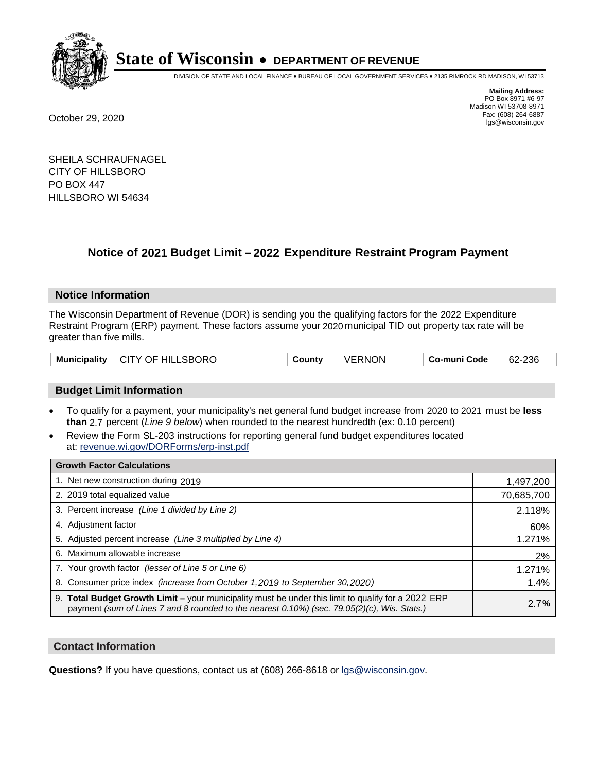

DIVISION OF STATE AND LOCAL FINANCE • BUREAU OF LOCAL GOVERNMENT SERVICES • 2135 RIMROCK RD MADISON, WI 53713

**Mailing Address:** PO Box 8971 #6-97 Madison WI 53708-8971<br>Fax: (608) 264-6887 Fax: (608) 264-6887 October 29, 2020 lgs@wisconsin.gov

SHEILA SCHRAUFNAGEL CITY OF HILLSBORO PO BOX 447 HILLSBORO WI 54634

### **Notice of 2021 Budget Limit - 2022 Expenditure Restraint Program Payment**

#### **Notice Information**

The Wisconsin Department of Revenue (DOR) is sending you the qualifying factors for the 2022 Expenditure Restraint Program (ERP) payment. These factors assume your 2020 municipal TID out property tax rate will be greater than five mills.

#### **Budget Limit Information**

- To qualify for a payment, your municipality's net general fund budget increase from 2020 to 2021 must be less **than** 2.7 percent (*Line 9 below*) when rounded to the nearest hundredth (ex: 0.10 percent)
- Review the Form SL-203 instructions for reporting general fund budget expenditures located at: revenue.wi.gov/DORForms/erp-inst.pdf

| <b>Growth Factor Calculations</b>                                                                                                                                                                      |            |
|--------------------------------------------------------------------------------------------------------------------------------------------------------------------------------------------------------|------------|
| 1. Net new construction during 2019                                                                                                                                                                    | 1,497,200  |
| 2. 2019 total equalized value                                                                                                                                                                          | 70,685,700 |
| 3. Percent increase (Line 1 divided by Line 2)                                                                                                                                                         | 2.118%     |
| 4. Adjustment factor                                                                                                                                                                                   | 60%        |
| 5. Adjusted percent increase (Line 3 multiplied by Line 4)                                                                                                                                             | 1.271%     |
| 6. Maximum allowable increase                                                                                                                                                                          | 2%         |
| 7. Your growth factor (lesser of Line 5 or Line 6)                                                                                                                                                     | 1.271%     |
| 8. Consumer price index (increase from October 1, 2019 to September 30, 2020)                                                                                                                          | 1.4%       |
| 9. Total Budget Growth Limit - your municipality must be under this limit to qualify for a 2022 ERP<br>payment (sum of Lines 7 and 8 rounded to the nearest $0.10\%$ ) (sec. 79.05(2)(c), Wis. Stats.) | 2.7%       |

#### **Contact Information**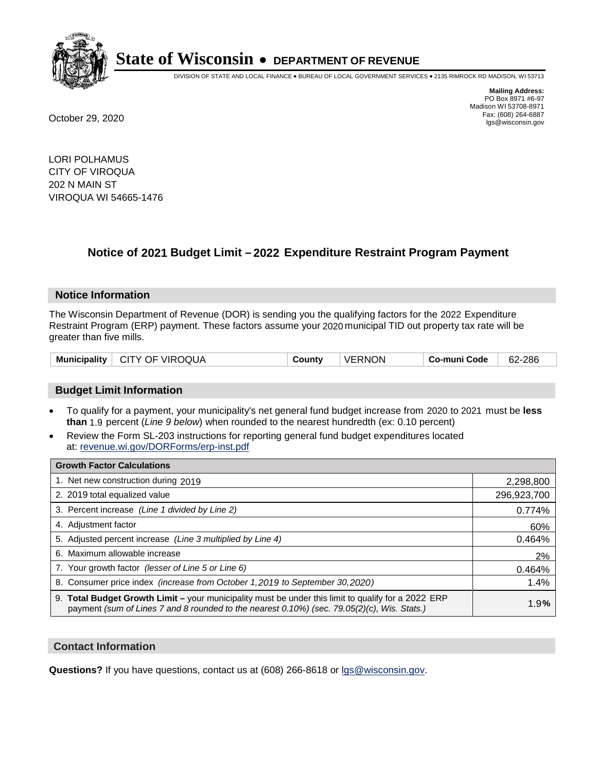

DIVISION OF STATE AND LOCAL FINANCE • BUREAU OF LOCAL GOVERNMENT SERVICES • 2135 RIMROCK RD MADISON, WI 53713

**Mailing Address:** PO Box 8971 #6-97 Madison WI 53708-8971<br>Fax: (608) 264-6887 Fax: (608) 264-6887 October 29, 2020 lgs@wisconsin.gov

LORI POLHAMUS CITY OF VIROQUA 202 N MAIN ST VIROQUA WI 54665-1476

## **Notice of 2021 Budget Limit - 2022 Expenditure Restraint Program Payment**

#### **Notice Information**

The Wisconsin Department of Revenue (DOR) is sending you the qualifying factors for the 2022 Expenditure Restraint Program (ERP) payment. These factors assume your 2020 municipal TID out property tax rate will be greater than five mills.

|  | Municipality   CITY OF VIROQUA | County | <b>VERNON</b> | ⊦ Co-muni Code | 62-286 |
|--|--------------------------------|--------|---------------|----------------|--------|
|--|--------------------------------|--------|---------------|----------------|--------|

#### **Budget Limit Information**

- To qualify for a payment, your municipality's net general fund budget increase from 2020 to 2021 must be less **than** 1.9 percent (*Line 9 below*) when rounded to the nearest hundredth (ex: 0.10 percent)
- Review the Form SL-203 instructions for reporting general fund budget expenditures located at: revenue.wi.gov/DORForms/erp-inst.pdf

| <b>Growth Factor Calculations</b>                                                                                                                                                                      |             |
|--------------------------------------------------------------------------------------------------------------------------------------------------------------------------------------------------------|-------------|
| 1. Net new construction during 2019                                                                                                                                                                    | 2,298,800   |
| 2. 2019 total equalized value                                                                                                                                                                          | 296,923,700 |
| 3. Percent increase (Line 1 divided by Line 2)                                                                                                                                                         | 0.774%      |
| 4. Adjustment factor                                                                                                                                                                                   | 60%         |
| 5. Adjusted percent increase (Line 3 multiplied by Line 4)                                                                                                                                             | 0.464%      |
| 6. Maximum allowable increase                                                                                                                                                                          | 2%          |
| 7. Your growth factor (lesser of Line 5 or Line 6)                                                                                                                                                     | 0.464%      |
| 8. Consumer price index (increase from October 1, 2019 to September 30, 2020)                                                                                                                          | 1.4%        |
| 9. Total Budget Growth Limit - your municipality must be under this limit to qualify for a 2022 ERP<br>payment (sum of Lines 7 and 8 rounded to the nearest $0.10\%$ ) (sec. 79.05(2)(c), Wis. Stats.) | 1.9%        |

#### **Contact Information**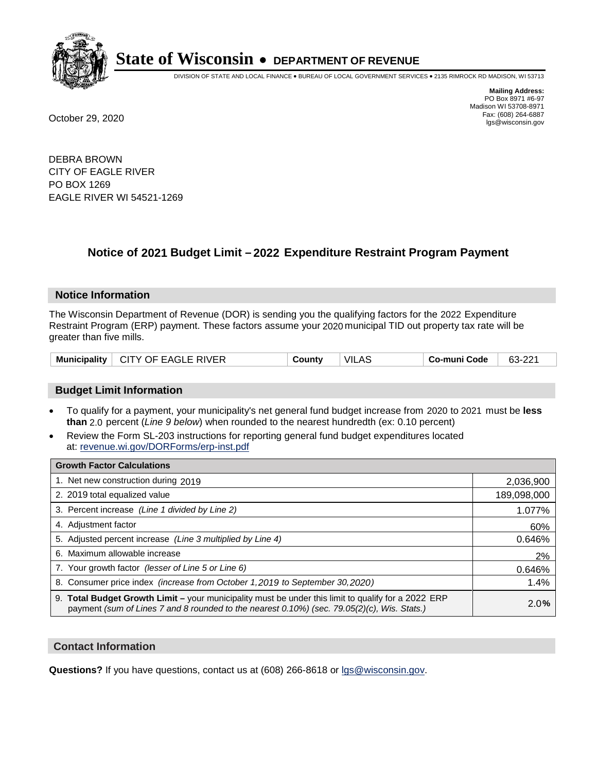

DIVISION OF STATE AND LOCAL FINANCE • BUREAU OF LOCAL GOVERNMENT SERVICES • 2135 RIMROCK RD MADISON, WI 53713

**Mailing Address:** PO Box 8971 #6-97 Madison WI 53708-8971<br>Fax: (608) 264-6887 Fax: (608) 264-6887 October 29, 2020 lgs@wisconsin.gov

DEBRA BROWN CITY OF EAGLE RIVER PO BOX 1269 EAGLE RIVER WI 54521-1269

### **Notice of 2021 Budget Limit - 2022 Expenditure Restraint Program Payment**

#### **Notice Information**

The Wisconsin Department of Revenue (DOR) is sending you the qualifying factors for the 2022 Expenditure Restraint Program (ERP) payment. These factors assume your 2020 municipal TID out property tax rate will be greater than five mills.

| <b>Municipality</b> | T EAGLE RIVER<br>CITY OF E | ∟ount∨ | VIL<br>AS. | o-muni Codeٽ | ົດດາ<br>63-2<br>▵ |
|---------------------|----------------------------|--------|------------|--------------|-------------------|
|---------------------|----------------------------|--------|------------|--------------|-------------------|

#### **Budget Limit Information**

- To qualify for a payment, your municipality's net general fund budget increase from 2020 to 2021 must be less **than** 2.0 percent (*Line 9 below*) when rounded to the nearest hundredth (ex: 0.10 percent)
- Review the Form SL-203 instructions for reporting general fund budget expenditures located at: revenue.wi.gov/DORForms/erp-inst.pdf

| <b>Growth Factor Calculations</b>                                                                                                                                                                  |             |
|----------------------------------------------------------------------------------------------------------------------------------------------------------------------------------------------------|-------------|
| 1. Net new construction during 2019                                                                                                                                                                | 2,036,900   |
| 2. 2019 total equalized value                                                                                                                                                                      | 189,098,000 |
| 3. Percent increase (Line 1 divided by Line 2)                                                                                                                                                     | 1.077%      |
| 4. Adjustment factor                                                                                                                                                                               | 60%         |
| 5. Adjusted percent increase (Line 3 multiplied by Line 4)                                                                                                                                         | 0.646%      |
| 6. Maximum allowable increase                                                                                                                                                                      | 2%          |
| 7. Your growth factor (lesser of Line 5 or Line 6)                                                                                                                                                 | 0.646%      |
| 8. Consumer price index (increase from October 1, 2019 to September 30, 2020)                                                                                                                      | 1.4%        |
| 9. Total Budget Growth Limit - your municipality must be under this limit to qualify for a 2022 ERP<br>payment (sum of Lines 7 and 8 rounded to the nearest 0.10%) (sec. 79.05(2)(c), Wis. Stats.) | 2.0%        |

#### **Contact Information**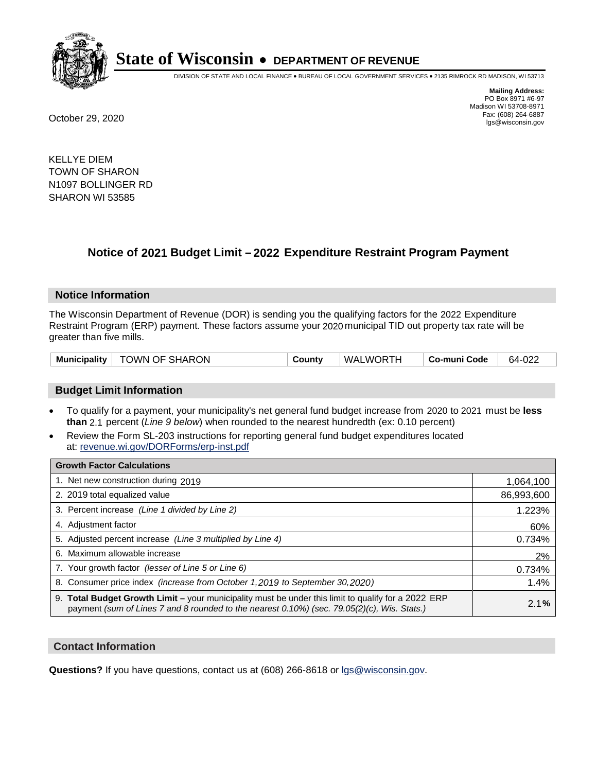

DIVISION OF STATE AND LOCAL FINANCE • BUREAU OF LOCAL GOVERNMENT SERVICES • 2135 RIMROCK RD MADISON, WI 53713

**Mailing Address:** PO Box 8971 #6-97 Madison WI 53708-8971<br>Fax: (608) 264-6887 Fax: (608) 264-6887 October 29, 2020 lgs@wisconsin.gov

KELLYE DIEM TOWN OF SHARON N1097 BOLLINGER RD SHARON WI 53585

## **Notice of 2021 Budget Limit - 2022 Expenditure Restraint Program Payment**

#### **Notice Information**

The Wisconsin Department of Revenue (DOR) is sending you the qualifying factors for the 2022 Expenditure Restraint Program (ERP) payment. These factors assume your 2020 municipal TID out property tax rate will be greater than five mills.

| Municipality   TOWN OF SHARON | County | WALWORTH | ∣ Co-muni Code | 64-022 |
|-------------------------------|--------|----------|----------------|--------|
|-------------------------------|--------|----------|----------------|--------|

#### **Budget Limit Information**

- To qualify for a payment, your municipality's net general fund budget increase from 2020 to 2021 must be less **than** 2.1 percent (*Line 9 below*) when rounded to the nearest hundredth (ex: 0.10 percent)
- Review the Form SL-203 instructions for reporting general fund budget expenditures located at: revenue.wi.gov/DORForms/erp-inst.pdf

| <b>Growth Factor Calculations</b>                                                                                                                                                                  |            |
|----------------------------------------------------------------------------------------------------------------------------------------------------------------------------------------------------|------------|
| 1. Net new construction during 2019                                                                                                                                                                | 1,064,100  |
| 2. 2019 total equalized value                                                                                                                                                                      | 86,993,600 |
| 3. Percent increase (Line 1 divided by Line 2)                                                                                                                                                     | 1.223%     |
| 4. Adiustment factor                                                                                                                                                                               | 60%        |
| 5. Adjusted percent increase (Line 3 multiplied by Line 4)                                                                                                                                         | 0.734%     |
| Maximum allowable increase<br>6.                                                                                                                                                                   | 2%         |
| 7. Your growth factor (lesser of Line 5 or Line 6)                                                                                                                                                 | 0.734%     |
| 8. Consumer price index (increase from October 1,2019 to September 30,2020)                                                                                                                        | 1.4%       |
| 9. Total Budget Growth Limit - your municipality must be under this limit to qualify for a 2022 ERP<br>payment (sum of Lines 7 and 8 rounded to the nearest 0.10%) (sec. 79.05(2)(c), Wis. Stats.) | 2.1%       |

#### **Contact Information**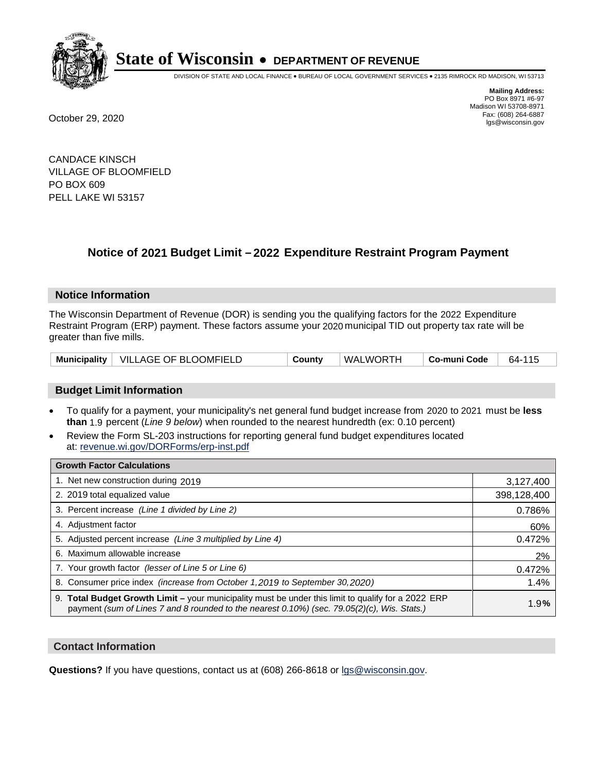

DIVISION OF STATE AND LOCAL FINANCE • BUREAU OF LOCAL GOVERNMENT SERVICES • 2135 RIMROCK RD MADISON, WI 53713

**Mailing Address:** PO Box 8971 #6-97 Madison WI 53708-8971<br>Fax: (608) 264-6887 Fax: (608) 264-6887 October 29, 2020 lgs@wisconsin.gov

CANDACE KINSCH VILLAGE OF BLOOMFIELD PO BOX 609 PELL LAKE WI 53157

## **Notice of 2021 Budget Limit - 2022 Expenditure Restraint Program Payment**

#### **Notice Information**

The Wisconsin Department of Revenue (DOR) is sending you the qualifying factors for the 2022 Expenditure Restraint Program (ERP) payment. These factors assume your 2020 municipal TID out property tax rate will be greater than five mills.

|  | Municipality   VILLAGE OF BLOOMFIELD | County | WALWORTH | ∣ Co-muni Code | 64-115 |
|--|--------------------------------------|--------|----------|----------------|--------|
|--|--------------------------------------|--------|----------|----------------|--------|

#### **Budget Limit Information**

- To qualify for a payment, your municipality's net general fund budget increase from 2020 to 2021 must be less **than** 1.9 percent (*Line 9 below*) when rounded to the nearest hundredth (ex: 0.10 percent)
- Review the Form SL-203 instructions for reporting general fund budget expenditures located at: revenue.wi.gov/DORForms/erp-inst.pdf

| <b>Growth Factor Calculations</b>                                                                                                                                                                      |             |
|--------------------------------------------------------------------------------------------------------------------------------------------------------------------------------------------------------|-------------|
| 1. Net new construction during 2019                                                                                                                                                                    | 3,127,400   |
| 2. 2019 total equalized value                                                                                                                                                                          | 398,128,400 |
| 3. Percent increase (Line 1 divided by Line 2)                                                                                                                                                         | 0.786%      |
| 4. Adjustment factor                                                                                                                                                                                   | 60%         |
| 5. Adjusted percent increase (Line 3 multiplied by Line 4)                                                                                                                                             | 0.472%      |
| 6. Maximum allowable increase                                                                                                                                                                          | 2%          |
| 7. Your growth factor (lesser of Line 5 or Line 6)                                                                                                                                                     | 0.472%      |
| 8. Consumer price index (increase from October 1, 2019 to September 30, 2020)                                                                                                                          | 1.4%        |
| 9. Total Budget Growth Limit - your municipality must be under this limit to qualify for a 2022 ERP<br>payment (sum of Lines 7 and 8 rounded to the nearest $0.10\%$ ) (sec. 79.05(2)(c), Wis. Stats.) | 1.9%        |

#### **Contact Information**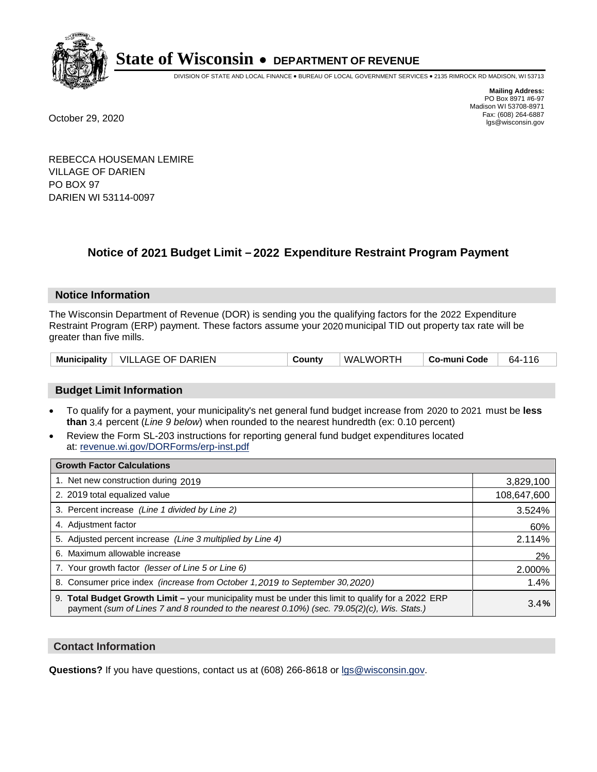

DIVISION OF STATE AND LOCAL FINANCE • BUREAU OF LOCAL GOVERNMENT SERVICES • 2135 RIMROCK RD MADISON, WI 53713

**Mailing Address:** PO Box 8971 #6-97 Madison WI 53708-8971<br>Fax: (608) 264-6887 Fax: (608) 264-6887 October 29, 2020 lgs@wisconsin.gov

REBECCA HOUSEMAN LEMIRE VILLAGE OF DARIEN PO BOX 97 DARIEN WI 53114-0097

### **Notice of 2021 Budget Limit - 2022 Expenditure Restraint Program Payment**

#### **Notice Information**

The Wisconsin Department of Revenue (DOR) is sending you the qualifying factors for the 2022 Expenditure Restraint Program (ERP) payment. These factors assume your 2020 municipal TID out property tax rate will be greater than five mills.

| Municipality   VILLAGE OF DARIEN | County | WALWORTH | Co-muni Code | 64-116 |
|----------------------------------|--------|----------|--------------|--------|
|----------------------------------|--------|----------|--------------|--------|

#### **Budget Limit Information**

- To qualify for a payment, your municipality's net general fund budget increase from 2020 to 2021 must be less **than** 3.4 percent (*Line 9 below*) when rounded to the nearest hundredth (ex: 0.10 percent)
- Review the Form SL-203 instructions for reporting general fund budget expenditures located at: revenue.wi.gov/DORForms/erp-inst.pdf

| <b>Growth Factor Calculations</b>                                                                                                                                                                      |             |
|--------------------------------------------------------------------------------------------------------------------------------------------------------------------------------------------------------|-------------|
| 1. Net new construction during 2019                                                                                                                                                                    | 3,829,100   |
| 2. 2019 total equalized value                                                                                                                                                                          | 108,647,600 |
| 3. Percent increase (Line 1 divided by Line 2)                                                                                                                                                         | 3.524%      |
| 4. Adjustment factor                                                                                                                                                                                   | 60%         |
| 5. Adjusted percent increase (Line 3 multiplied by Line 4)                                                                                                                                             | 2.114%      |
| 6. Maximum allowable increase                                                                                                                                                                          | 2%          |
| 7. Your growth factor (lesser of Line 5 or Line 6)                                                                                                                                                     | 2.000%      |
| 8. Consumer price index (increase from October 1, 2019 to September 30, 2020)                                                                                                                          | 1.4%        |
| 9. Total Budget Growth Limit - your municipality must be under this limit to qualify for a 2022 ERP<br>payment (sum of Lines 7 and 8 rounded to the nearest $0.10\%$ ) (sec. 79.05(2)(c), Wis. Stats.) | 3.4%        |

#### **Contact Information**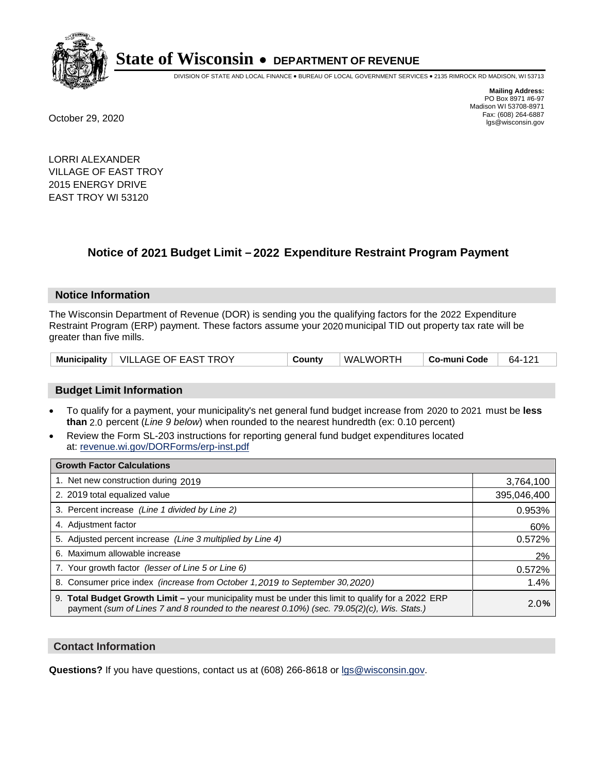

DIVISION OF STATE AND LOCAL FINANCE • BUREAU OF LOCAL GOVERNMENT SERVICES • 2135 RIMROCK RD MADISON, WI 53713

**Mailing Address:** PO Box 8971 #6-97 Madison WI 53708-8971<br>Fax: (608) 264-6887 Fax: (608) 264-6887 October 29, 2020 lgs@wisconsin.gov

LORRI ALEXANDER VILLAGE OF EAST TROY 2015 ENERGY DRIVE EAST TROY WI 53120

## **Notice of 2021 Budget Limit - 2022 Expenditure Restraint Program Payment**

#### **Notice Information**

The Wisconsin Department of Revenue (DOR) is sending you the qualifying factors for the 2022 Expenditure Restraint Program (ERP) payment. These factors assume your 2020 municipal TID out property tax rate will be greater than five mills.

|  | Municipality   VILLAGE OF EAST TROY | County | WALWORTH | ∣ Co-muni Code | 64-121 |
|--|-------------------------------------|--------|----------|----------------|--------|
|--|-------------------------------------|--------|----------|----------------|--------|

#### **Budget Limit Information**

- To qualify for a payment, your municipality's net general fund budget increase from 2020 to 2021 must be less **than** 2.0 percent (*Line 9 below*) when rounded to the nearest hundredth (ex: 0.10 percent)
- Review the Form SL-203 instructions for reporting general fund budget expenditures located at: revenue.wi.gov/DORForms/erp-inst.pdf

| <b>Growth Factor Calculations</b>                                                                                                                                                                  |             |
|----------------------------------------------------------------------------------------------------------------------------------------------------------------------------------------------------|-------------|
| 1. Net new construction during 2019                                                                                                                                                                | 3,764,100   |
| 2. 2019 total equalized value                                                                                                                                                                      | 395,046,400 |
| 3. Percent increase (Line 1 divided by Line 2)                                                                                                                                                     | 0.953%      |
| 4. Adjustment factor                                                                                                                                                                               | 60%         |
| 5. Adjusted percent increase (Line 3 multiplied by Line 4)                                                                                                                                         | 0.572%      |
| 6. Maximum allowable increase                                                                                                                                                                      | 2%          |
| 7. Your growth factor (lesser of Line 5 or Line 6)                                                                                                                                                 | 0.572%      |
| 8. Consumer price index (increase from October 1, 2019 to September 30, 2020)                                                                                                                      | 1.4%        |
| 9. Total Budget Growth Limit - your municipality must be under this limit to qualify for a 2022 ERP<br>payment (sum of Lines 7 and 8 rounded to the nearest 0.10%) (sec. 79.05(2)(c), Wis. Stats.) | 2.0%        |

#### **Contact Information**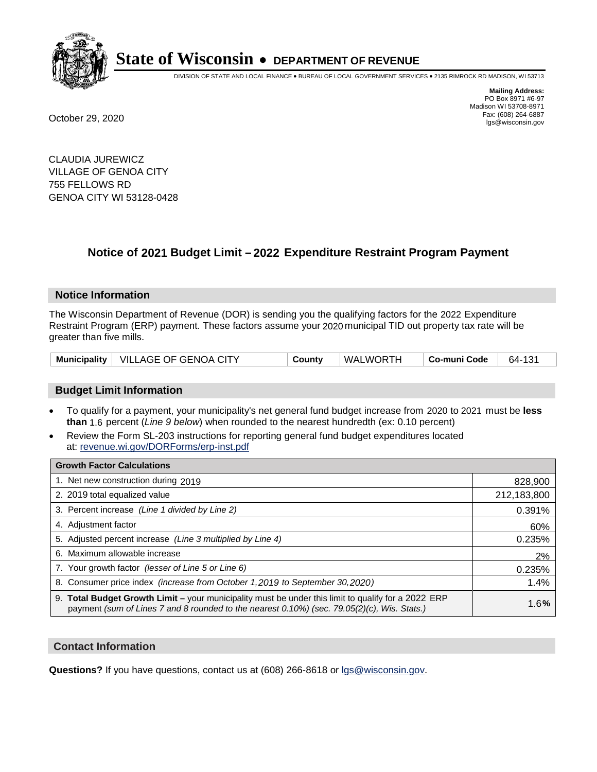

DIVISION OF STATE AND LOCAL FINANCE • BUREAU OF LOCAL GOVERNMENT SERVICES • 2135 RIMROCK RD MADISON, WI 53713

**Mailing Address:** PO Box 8971 #6-97 Madison WI 53708-8971<br>Fax: (608) 264-6887 Fax: (608) 264-6887 October 29, 2020 lgs@wisconsin.gov

CLAUDIA JUREWICZ VILLAGE OF GENOA CITY 755 FELLOWS RD GENOA CITY WI 53128-0428

### **Notice of 2021 Budget Limit - 2022 Expenditure Restraint Program Payment**

#### **Notice Information**

The Wisconsin Department of Revenue (DOR) is sending you the qualifying factors for the 2022 Expenditure Restraint Program (ERP) payment. These factors assume your 2020 municipal TID out property tax rate will be greater than five mills.

|  | Municipality   VILLAGE OF GENOA CITY | County | WALWORTH | ⊦ Co-muni Code | 64-131 |
|--|--------------------------------------|--------|----------|----------------|--------|
|--|--------------------------------------|--------|----------|----------------|--------|

#### **Budget Limit Information**

- To qualify for a payment, your municipality's net general fund budget increase from 2020 to 2021 must be less **than** 1.6 percent (*Line 9 below*) when rounded to the nearest hundredth (ex: 0.10 percent)
- Review the Form SL-203 instructions for reporting general fund budget expenditures located at: revenue.wi.gov/DORForms/erp-inst.pdf

| <b>Growth Factor Calculations</b>                                                                                                                                                                  |             |
|----------------------------------------------------------------------------------------------------------------------------------------------------------------------------------------------------|-------------|
| 1. Net new construction during 2019                                                                                                                                                                | 828,900     |
| 2. 2019 total equalized value                                                                                                                                                                      | 212,183,800 |
| 3. Percent increase (Line 1 divided by Line 2)                                                                                                                                                     | 0.391%      |
| 4. Adjustment factor                                                                                                                                                                               | 60%         |
| 5. Adjusted percent increase (Line 3 multiplied by Line 4)                                                                                                                                         | 0.235%      |
| 6. Maximum allowable increase                                                                                                                                                                      | 2%          |
| 7. Your growth factor (lesser of Line 5 or Line 6)                                                                                                                                                 | 0.235%      |
| 8. Consumer price index (increase from October 1, 2019 to September 30, 2020)                                                                                                                      | 1.4%        |
| 9. Total Budget Growth Limit – your municipality must be under this limit to qualify for a 2022 ERP<br>payment (sum of Lines 7 and 8 rounded to the nearest 0.10%) (sec. 79.05(2)(c), Wis. Stats.) | 1.6%        |

#### **Contact Information**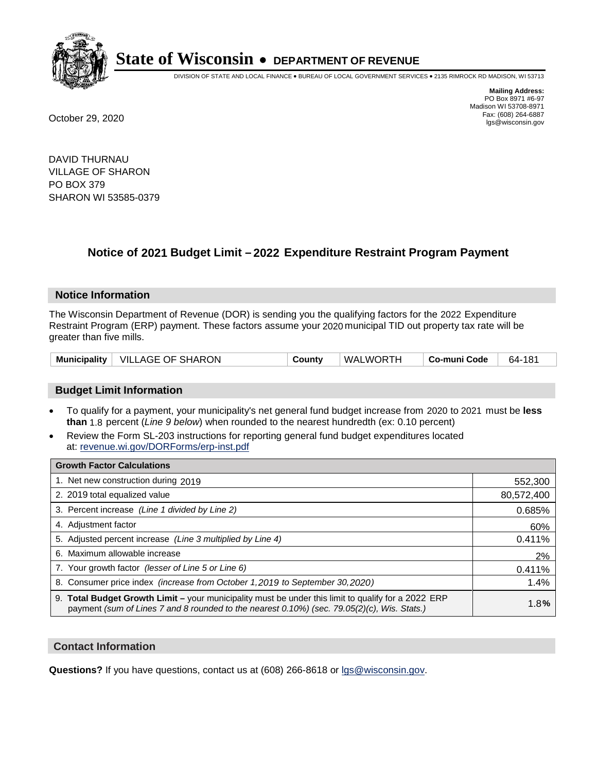

DIVISION OF STATE AND LOCAL FINANCE • BUREAU OF LOCAL GOVERNMENT SERVICES • 2135 RIMROCK RD MADISON, WI 53713

**Mailing Address:** PO Box 8971 #6-97 Madison WI 53708-8971<br>Fax: (608) 264-6887 Fax: (608) 264-6887 October 29, 2020 lgs@wisconsin.gov

DAVID THURNAU VILLAGE OF SHARON PO BOX 379 SHARON WI 53585-0379

### **Notice of 2021 Budget Limit - 2022 Expenditure Restraint Program Payment**

#### **Notice Information**

The Wisconsin Department of Revenue (DOR) is sending you the qualifying factors for the 2022 Expenditure Restraint Program (ERP) payment. These factors assume your 2020 municipal TID out property tax rate will be greater than five mills.

| Municipality   VILLAGE OF SHARON | County | WALWORTH | Co-muni Code | 64-181 |
|----------------------------------|--------|----------|--------------|--------|
|----------------------------------|--------|----------|--------------|--------|

#### **Budget Limit Information**

- To qualify for a payment, your municipality's net general fund budget increase from 2020 to 2021 must be less **than** 1.8 percent (*Line 9 below*) when rounded to the nearest hundredth (ex: 0.10 percent)
- Review the Form SL-203 instructions for reporting general fund budget expenditures located at: revenue.wi.gov/DORForms/erp-inst.pdf

| <b>Growth Factor Calculations</b>                                                                                                                                                                  |            |
|----------------------------------------------------------------------------------------------------------------------------------------------------------------------------------------------------|------------|
| 1. Net new construction during 2019                                                                                                                                                                | 552,300    |
| 2. 2019 total equalized value                                                                                                                                                                      | 80,572,400 |
| 3. Percent increase (Line 1 divided by Line 2)                                                                                                                                                     | 0.685%     |
| 4. Adjustment factor                                                                                                                                                                               | 60%        |
| 5. Adjusted percent increase (Line 3 multiplied by Line 4)                                                                                                                                         | 0.411%     |
| 6. Maximum allowable increase                                                                                                                                                                      | 2%         |
| 7. Your growth factor (lesser of Line 5 or Line 6)                                                                                                                                                 | 0.411%     |
| 8. Consumer price index (increase from October 1,2019 to September 30,2020)                                                                                                                        | 1.4%       |
| 9. Total Budget Growth Limit - your municipality must be under this limit to qualify for a 2022 ERP<br>payment (sum of Lines 7 and 8 rounded to the nearest 0.10%) (sec. 79.05(2)(c), Wis. Stats.) | 1.8%       |

#### **Contact Information**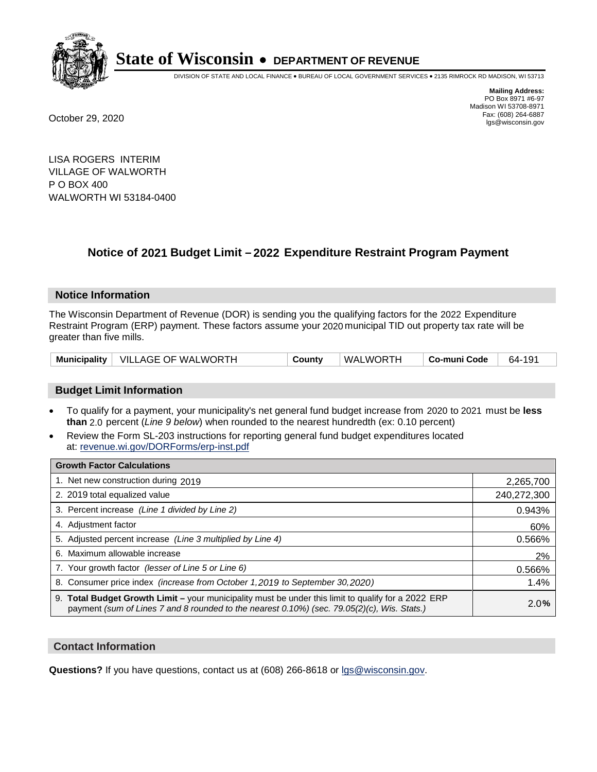

DIVISION OF STATE AND LOCAL FINANCE • BUREAU OF LOCAL GOVERNMENT SERVICES • 2135 RIMROCK RD MADISON, WI 53713

**Mailing Address:** PO Box 8971 #6-97 Madison WI 53708-8971<br>Fax: (608) 264-6887 Fax: (608) 264-6887 October 29, 2020 lgs@wisconsin.gov

LISA ROGERS INTERIM VILLAGE OF WALWORTH P O BOX 400 WALWORTH WI 53184-0400

### **Notice of 2021 Budget Limit - 2022 Expenditure Restraint Program Payment**

#### **Notice Information**

The Wisconsin Department of Revenue (DOR) is sending you the qualifying factors for the 2022 Expenditure Restraint Program (ERP) payment. These factors assume your 2020 municipal TID out property tax rate will be greater than five mills.

|  | Municipality   VILLAGE OF WALWORTH | County | WALWORTH | Co-muni Code | 64-191 |
|--|------------------------------------|--------|----------|--------------|--------|
|--|------------------------------------|--------|----------|--------------|--------|

#### **Budget Limit Information**

- To qualify for a payment, your municipality's net general fund budget increase from 2020 to 2021 must be less **than** 2.0 percent (*Line 9 below*) when rounded to the nearest hundredth (ex: 0.10 percent)
- Review the Form SL-203 instructions for reporting general fund budget expenditures located at: revenue.wi.gov/DORForms/erp-inst.pdf

| <b>Growth Factor Calculations</b>                                                                                                                                                                  |             |
|----------------------------------------------------------------------------------------------------------------------------------------------------------------------------------------------------|-------------|
| 1. Net new construction during 2019                                                                                                                                                                | 2,265,700   |
| 2. 2019 total equalized value                                                                                                                                                                      | 240,272,300 |
| 3. Percent increase (Line 1 divided by Line 2)                                                                                                                                                     | 0.943%      |
| 4. Adjustment factor                                                                                                                                                                               | 60%         |
| 5. Adjusted percent increase (Line 3 multiplied by Line 4)                                                                                                                                         | 0.566%      |
| 6. Maximum allowable increase                                                                                                                                                                      | 2%          |
| 7. Your growth factor (lesser of Line 5 or Line 6)                                                                                                                                                 | 0.566%      |
| 8. Consumer price index (increase from October 1, 2019 to September 30, 2020)                                                                                                                      | 1.4%        |
| 9. Total Budget Growth Limit - your municipality must be under this limit to qualify for a 2022 ERP<br>payment (sum of Lines 7 and 8 rounded to the nearest 0.10%) (sec. 79.05(2)(c), Wis. Stats.) | 2.0%        |

#### **Contact Information**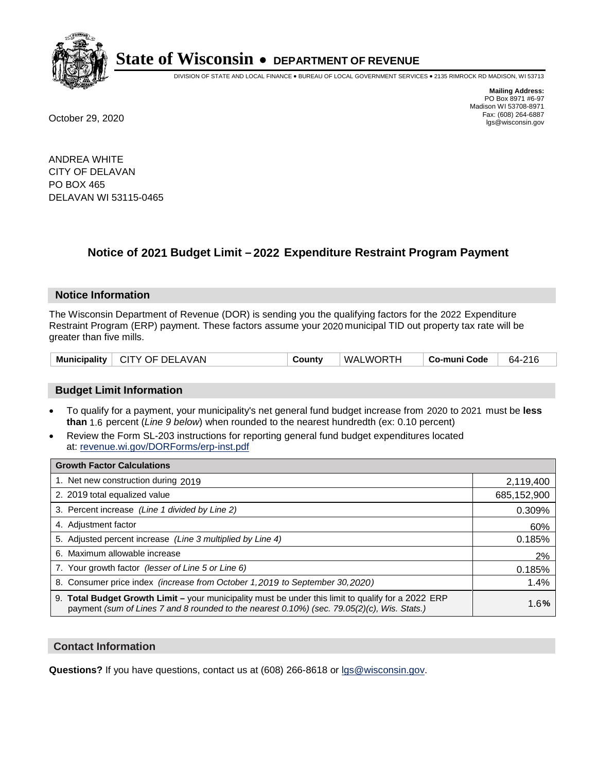

DIVISION OF STATE AND LOCAL FINANCE • BUREAU OF LOCAL GOVERNMENT SERVICES • 2135 RIMROCK RD MADISON, WI 53713

**Mailing Address:** PO Box 8971 #6-97 Madison WI 53708-8971<br>Fax: (608) 264-6887 Fax: (608) 264-6887 October 29, 2020 lgs@wisconsin.gov

ANDREA WHITE CITY OF DELAVAN PO BOX 465 DELAVAN WI 53115-0465

## **Notice of 2021 Budget Limit - 2022 Expenditure Restraint Program Payment**

#### **Notice Information**

The Wisconsin Department of Revenue (DOR) is sending you the qualifying factors for the 2022 Expenditure Restraint Program (ERP) payment. These factors assume your 2020 municipal TID out property tax rate will be greater than five mills.

| Municipality   CITY OF DELAVAN | County | WALWORTH | Co-muni Code | 64-216 |
|--------------------------------|--------|----------|--------------|--------|
|--------------------------------|--------|----------|--------------|--------|

#### **Budget Limit Information**

- To qualify for a payment, your municipality's net general fund budget increase from 2020 to 2021 must be less **than** 1.6 percent (*Line 9 below*) when rounded to the nearest hundredth (ex: 0.10 percent)
- Review the Form SL-203 instructions for reporting general fund budget expenditures located at: revenue.wi.gov/DORForms/erp-inst.pdf

| <b>Growth Factor Calculations</b>                                                                                                                                                                  |             |
|----------------------------------------------------------------------------------------------------------------------------------------------------------------------------------------------------|-------------|
| 1. Net new construction during 2019                                                                                                                                                                | 2,119,400   |
| 2. 2019 total equalized value                                                                                                                                                                      | 685,152,900 |
| 3. Percent increase (Line 1 divided by Line 2)                                                                                                                                                     | 0.309%      |
| 4. Adjustment factor                                                                                                                                                                               | 60%         |
| 5. Adjusted percent increase (Line 3 multiplied by Line 4)                                                                                                                                         | 0.185%      |
| Maximum allowable increase<br>6.                                                                                                                                                                   | 2%          |
| 7. Your growth factor (lesser of Line 5 or Line 6)                                                                                                                                                 | 0.185%      |
| 8. Consumer price index (increase from October 1, 2019 to September 30, 2020)                                                                                                                      | 1.4%        |
| 9. Total Budget Growth Limit - your municipality must be under this limit to qualify for a 2022 ERP<br>payment (sum of Lines 7 and 8 rounded to the nearest 0.10%) (sec. 79.05(2)(c), Wis. Stats.) | 1.6%        |

#### **Contact Information**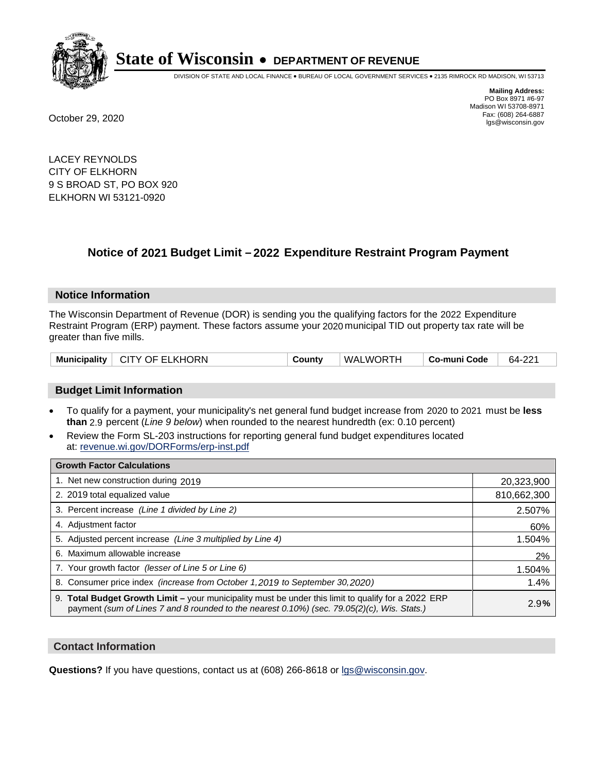

DIVISION OF STATE AND LOCAL FINANCE • BUREAU OF LOCAL GOVERNMENT SERVICES • 2135 RIMROCK RD MADISON, WI 53713

**Mailing Address:** PO Box 8971 #6-97 Madison WI 53708-8971<br>Fax: (608) 264-6887

Fax: (608) 264-6887 October 29, 2020 lgs@wisconsin.gov

LACEY REYNOLDS CITY OF ELKHORN 9 S BROAD ST, PO BOX 920 ELKHORN WI 53121-0920

## **Notice of 2021 Budget Limit - 2022 Expenditure Restraint Program Payment**

#### **Notice Information**

The Wisconsin Department of Revenue (DOR) is sending you the qualifying factors for the 2022 Expenditure Restraint Program (ERP) payment. These factors assume your 2020 municipal TID out property tax rate will be greater than five mills.

| Municipality   CITY OF ELKHORN | County | WALWORTH | Co-muni Code | 64-221 |
|--------------------------------|--------|----------|--------------|--------|
|--------------------------------|--------|----------|--------------|--------|

#### **Budget Limit Information**

- To qualify for a payment, your municipality's net general fund budget increase from 2020 to 2021 must be less **than** 2.9 percent (*Line 9 below*) when rounded to the nearest hundredth (ex: 0.10 percent)
- Review the Form SL-203 instructions for reporting general fund budget expenditures located at: revenue.wi.gov/DORForms/erp-inst.pdf

| <b>Growth Factor Calculations</b>                                                                                                                                                                  |             |
|----------------------------------------------------------------------------------------------------------------------------------------------------------------------------------------------------|-------------|
| 1. Net new construction during 2019                                                                                                                                                                | 20,323,900  |
| 2. 2019 total equalized value                                                                                                                                                                      | 810,662,300 |
| 3. Percent increase (Line 1 divided by Line 2)                                                                                                                                                     | 2.507%      |
| 4. Adjustment factor                                                                                                                                                                               | 60%         |
| 5. Adjusted percent increase (Line 3 multiplied by Line 4)                                                                                                                                         | 1.504%      |
| 6. Maximum allowable increase                                                                                                                                                                      | 2%          |
| 7. Your growth factor (lesser of Line 5 or Line 6)                                                                                                                                                 | 1.504%      |
| 8. Consumer price index (increase from October 1,2019 to September 30,2020)                                                                                                                        | 1.4%        |
| 9. Total Budget Growth Limit - your municipality must be under this limit to qualify for a 2022 ERP<br>payment (sum of Lines 7 and 8 rounded to the nearest 0.10%) (sec. 79.05(2)(c), Wis. Stats.) | 2.9%        |

#### **Contact Information**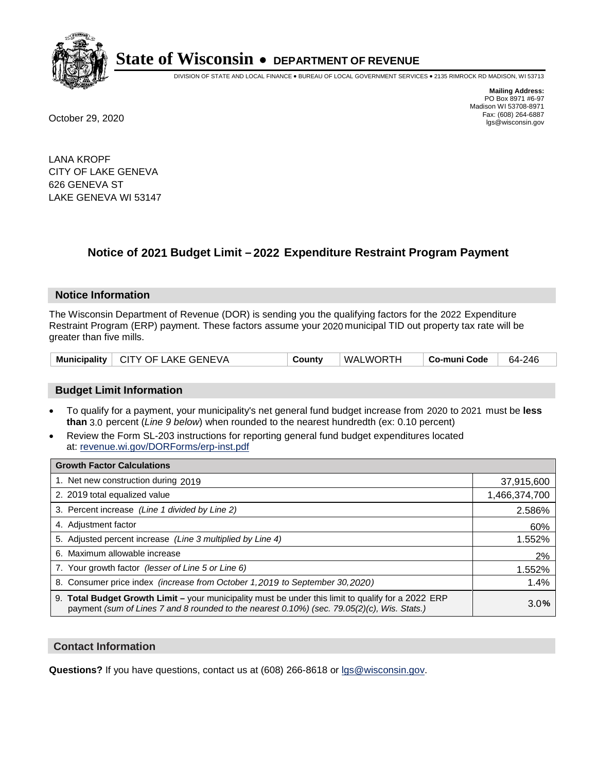

DIVISION OF STATE AND LOCAL FINANCE • BUREAU OF LOCAL GOVERNMENT SERVICES • 2135 RIMROCK RD MADISON, WI 53713

**Mailing Address:** PO Box 8971 #6-97 Madison WI 53708-8971<br>Fax: (608) 264-6887 Fax: (608) 264-6887 October 29, 2020 lgs@wisconsin.gov

LANA KROPF CITY OF LAKE GENEVA 626 GENEVA ST LAKE GENEVA WI 53147

### **Notice of 2021 Budget Limit - 2022 Expenditure Restraint Program Payment**

#### **Notice Information**

The Wisconsin Department of Revenue (DOR) is sending you the qualifying factors for the 2022 Expenditure Restraint Program (ERP) payment. These factors assume your 2020 municipal TID out property tax rate will be greater than five mills.

#### **Budget Limit Information**

- To qualify for a payment, your municipality's net general fund budget increase from 2020 to 2021 must be less **than** 3.0 percent (*Line 9 below*) when rounded to the nearest hundredth (ex: 0.10 percent)
- Review the Form SL-203 instructions for reporting general fund budget expenditures located at: revenue.wi.gov/DORForms/erp-inst.pdf

| <b>Growth Factor Calculations</b>                                                                                                                                                                  |               |
|----------------------------------------------------------------------------------------------------------------------------------------------------------------------------------------------------|---------------|
| 1. Net new construction during 2019                                                                                                                                                                | 37,915,600    |
| 2. 2019 total equalized value                                                                                                                                                                      | 1,466,374,700 |
| 3. Percent increase (Line 1 divided by Line 2)                                                                                                                                                     | 2.586%        |
| 4. Adjustment factor                                                                                                                                                                               | 60%           |
| 5. Adjusted percent increase (Line 3 multiplied by Line 4)                                                                                                                                         | 1.552%        |
| 6. Maximum allowable increase                                                                                                                                                                      | 2%            |
| 7. Your growth factor (lesser of Line 5 or Line 6)                                                                                                                                                 | 1.552%        |
| 8. Consumer price index (increase from October 1,2019 to September 30,2020)                                                                                                                        | 1.4%          |
| 9. Total Budget Growth Limit - your municipality must be under this limit to qualify for a 2022 ERP<br>payment (sum of Lines 7 and 8 rounded to the nearest 0.10%) (sec. 79.05(2)(c), Wis. Stats.) | 3.0%          |

#### **Contact Information**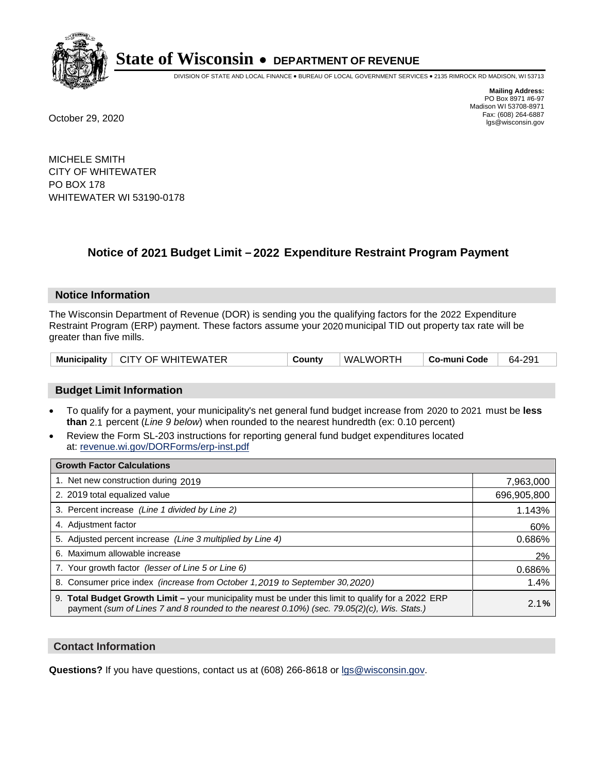

DIVISION OF STATE AND LOCAL FINANCE • BUREAU OF LOCAL GOVERNMENT SERVICES • 2135 RIMROCK RD MADISON, WI 53713

**Mailing Address:** PO Box 8971 #6-97 Madison WI 53708-8971<br>Fax: (608) 264-6887 Fax: (608) 264-6887 October 29, 2020 lgs@wisconsin.gov

MICHELE SMITH CITY OF WHITEWATER PO BOX 178 WHITEWATER WI 53190-0178

### **Notice of 2021 Budget Limit - 2022 Expenditure Restraint Program Payment**

#### **Notice Information**

The Wisconsin Department of Revenue (DOR) is sending you the qualifying factors for the 2022 Expenditure Restraint Program (ERP) payment. These factors assume your 2020 municipal TID out property tax rate will be greater than five mills.

| Municipality   CITY OF WHITEWATER | County | WALWORTH | Co-muni Code | 64-291 |
|-----------------------------------|--------|----------|--------------|--------|
|-----------------------------------|--------|----------|--------------|--------|

#### **Budget Limit Information**

- To qualify for a payment, your municipality's net general fund budget increase from 2020 to 2021 must be less **than** 2.1 percent (*Line 9 below*) when rounded to the nearest hundredth (ex: 0.10 percent)
- Review the Form SL-203 instructions for reporting general fund budget expenditures located at: revenue.wi.gov/DORForms/erp-inst.pdf

| <b>Growth Factor Calculations</b>                                                                                                                                                                      |             |
|--------------------------------------------------------------------------------------------------------------------------------------------------------------------------------------------------------|-------------|
| 1. Net new construction during 2019                                                                                                                                                                    | 7,963,000   |
| 2. 2019 total equalized value                                                                                                                                                                          | 696,905,800 |
| 3. Percent increase (Line 1 divided by Line 2)                                                                                                                                                         | 1.143%      |
| 4. Adjustment factor                                                                                                                                                                                   | 60%         |
| 5. Adjusted percent increase (Line 3 multiplied by Line 4)                                                                                                                                             | 0.686%      |
| 6. Maximum allowable increase                                                                                                                                                                          | 2%          |
| 7. Your growth factor (lesser of Line 5 or Line 6)                                                                                                                                                     | 0.686%      |
| 8. Consumer price index (increase from October 1, 2019 to September 30, 2020)                                                                                                                          | 1.4%        |
| 9. Total Budget Growth Limit - your municipality must be under this limit to qualify for a 2022 ERP<br>payment (sum of Lines 7 and 8 rounded to the nearest $0.10\%$ ) (sec. 79.05(2)(c), Wis. Stats.) | 2.1%        |

#### **Contact Information**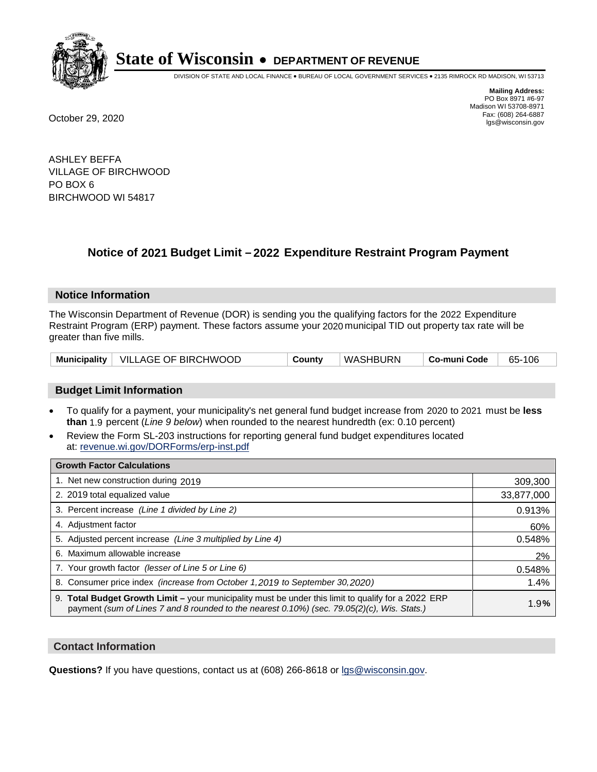

DIVISION OF STATE AND LOCAL FINANCE • BUREAU OF LOCAL GOVERNMENT SERVICES • 2135 RIMROCK RD MADISON, WI 53713

**Mailing Address:** PO Box 8971 #6-97 Madison WI 53708-8971<br>Fax: (608) 264-6887 Fax: (608) 264-6887 October 29, 2020 lgs@wisconsin.gov

ASHLEY BEFFA VILLAGE OF BIRCHWOOD PO BOX 6 BIRCHWOOD WI 54817

## **Notice of 2021 Budget Limit - 2022 Expenditure Restraint Program Payment**

#### **Notice Information**

The Wisconsin Department of Revenue (DOR) is sending you the qualifying factors for the 2022 Expenditure Restraint Program (ERP) payment. These factors assume your 2020 municipal TID out property tax rate will be greater than five mills.

|  | Municipality   VILLAGE OF BIRCHWOOD | County | WASHBURN | ∣ Co-muni Code | 65-106 |
|--|-------------------------------------|--------|----------|----------------|--------|
|--|-------------------------------------|--------|----------|----------------|--------|

#### **Budget Limit Information**

- To qualify for a payment, your municipality's net general fund budget increase from 2020 to 2021 must be less **than** 1.9 percent (*Line 9 below*) when rounded to the nearest hundredth (ex: 0.10 percent)
- Review the Form SL-203 instructions for reporting general fund budget expenditures located at: revenue.wi.gov/DORForms/erp-inst.pdf

| <b>Growth Factor Calculations</b>                                                                                                                                                                      |            |
|--------------------------------------------------------------------------------------------------------------------------------------------------------------------------------------------------------|------------|
| 1. Net new construction during 2019                                                                                                                                                                    | 309,300    |
| 2. 2019 total equalized value                                                                                                                                                                          | 33,877,000 |
| 3. Percent increase (Line 1 divided by Line 2)                                                                                                                                                         | 0.913%     |
| 4. Adjustment factor                                                                                                                                                                                   | 60%        |
| 5. Adjusted percent increase (Line 3 multiplied by Line 4)                                                                                                                                             | 0.548%     |
| 6. Maximum allowable increase                                                                                                                                                                          | 2%         |
| 7. Your growth factor (lesser of Line 5 or Line 6)                                                                                                                                                     | 0.548%     |
| 8. Consumer price index (increase from October 1,2019 to September 30,2020)                                                                                                                            | 1.4%       |
| 9. Total Budget Growth Limit - your municipality must be under this limit to qualify for a 2022 ERP<br>payment (sum of Lines 7 and 8 rounded to the nearest $0.10\%$ ) (sec. 79.05(2)(c), Wis. Stats.) | 1.9%       |

#### **Contact Information**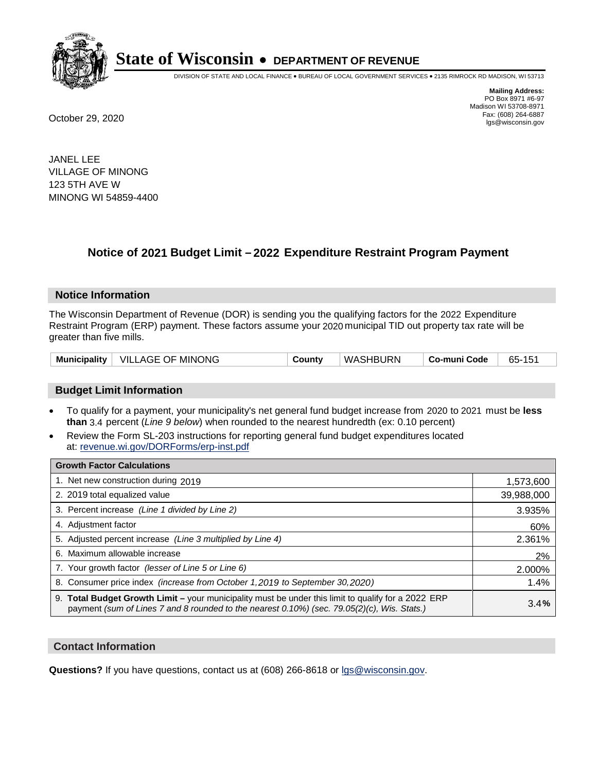

DIVISION OF STATE AND LOCAL FINANCE • BUREAU OF LOCAL GOVERNMENT SERVICES • 2135 RIMROCK RD MADISON, WI 53713

**Mailing Address:** PO Box 8971 #6-97 Madison WI 53708-8971<br>Fax: (608) 264-6887 Fax: (608) 264-6887 October 29, 2020 lgs@wisconsin.gov

JANEL LEE VILLAGE OF MINONG 123 5TH AVE W MINONG WI 54859-4400

### **Notice of 2021 Budget Limit - 2022 Expenditure Restraint Program Payment**

#### **Notice Information**

The Wisconsin Department of Revenue (DOR) is sending you the qualifying factors for the 2022 Expenditure Restraint Program (ERP) payment. These factors assume your 2020 municipal TID out property tax rate will be greater than five mills.

|  | Municipality   VILLAGE OF MINONG | Countv | WASHBURN | ∣ Co-muni Code | 65-151 |
|--|----------------------------------|--------|----------|----------------|--------|
|--|----------------------------------|--------|----------|----------------|--------|

#### **Budget Limit Information**

- To qualify for a payment, your municipality's net general fund budget increase from 2020 to 2021 must be less **than** 3.4 percent (*Line 9 below*) when rounded to the nearest hundredth (ex: 0.10 percent)
- Review the Form SL-203 instructions for reporting general fund budget expenditures located at: revenue.wi.gov/DORForms/erp-inst.pdf

| <b>Growth Factor Calculations</b>                                                                                                                                                                      |            |
|--------------------------------------------------------------------------------------------------------------------------------------------------------------------------------------------------------|------------|
| 1. Net new construction during 2019                                                                                                                                                                    | 1,573,600  |
| 2. 2019 total equalized value                                                                                                                                                                          | 39,988,000 |
| 3. Percent increase (Line 1 divided by Line 2)                                                                                                                                                         | 3.935%     |
| 4. Adiustment factor                                                                                                                                                                                   | 60%        |
| 5. Adjusted percent increase (Line 3 multiplied by Line 4)                                                                                                                                             | 2.361%     |
| 6. Maximum allowable increase                                                                                                                                                                          | 2%         |
| 7. Your growth factor (lesser of Line 5 or Line 6)                                                                                                                                                     | 2.000%     |
| 8. Consumer price index (increase from October 1,2019 to September 30,2020)                                                                                                                            | 1.4%       |
| 9. Total Budget Growth Limit - your municipality must be under this limit to qualify for a 2022 ERP<br>payment (sum of Lines 7 and 8 rounded to the nearest $0.10\%$ ) (sec. 79.05(2)(c), Wis. Stats.) | 3.4%       |

#### **Contact Information**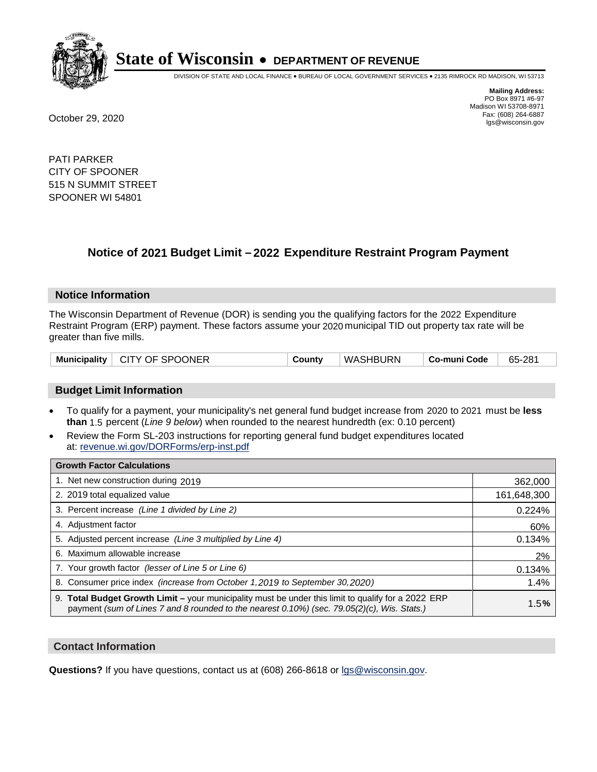

DIVISION OF STATE AND LOCAL FINANCE • BUREAU OF LOCAL GOVERNMENT SERVICES • 2135 RIMROCK RD MADISON, WI 53713

**Mailing Address:** PO Box 8971 #6-97 Madison WI 53708-8971<br>Fax: (608) 264-6887 Fax: (608) 264-6887 October 29, 2020 lgs@wisconsin.gov

PATI PARKER CITY OF SPOONER 515 N SUMMIT STREET SPOONER WI 54801

### **Notice of 2021 Budget Limit - 2022 Expenditure Restraint Program Payment**

#### **Notice Information**

The Wisconsin Department of Revenue (DOR) is sending you the qualifying factors for the 2022 Expenditure Restraint Program (ERP) payment. These factors assume your 2020 municipal TID out property tax rate will be greater than five mills.

#### **Budget Limit Information**

- To qualify for a payment, your municipality's net general fund budget increase from 2020 to 2021 must be less **than** 1.5 percent (*Line 9 below*) when rounded to the nearest hundredth (ex: 0.10 percent)
- Review the Form SL-203 instructions for reporting general fund budget expenditures located at: revenue.wi.gov/DORForms/erp-inst.pdf

| <b>Growth Factor Calculations</b>                                                                                                                                                                      |             |
|--------------------------------------------------------------------------------------------------------------------------------------------------------------------------------------------------------|-------------|
| 1. Net new construction during 2019                                                                                                                                                                    | 362,000     |
| 2. 2019 total equalized value                                                                                                                                                                          | 161,648,300 |
| 3. Percent increase (Line 1 divided by Line 2)                                                                                                                                                         | 0.224%      |
| 4. Adjustment factor                                                                                                                                                                                   | 60%         |
| 5. Adjusted percent increase (Line 3 multiplied by Line 4)                                                                                                                                             | 0.134%      |
| 6. Maximum allowable increase                                                                                                                                                                          | 2%          |
| 7. Your growth factor (lesser of Line 5 or Line 6)                                                                                                                                                     | 0.134%      |
| 8. Consumer price index (increase from October 1,2019 to September 30,2020)                                                                                                                            | 1.4%        |
| 9. Total Budget Growth Limit - your municipality must be under this limit to qualify for a 2022 ERP<br>payment (sum of Lines 7 and 8 rounded to the nearest $0.10\%$ ) (sec. 79.05(2)(c), Wis. Stats.) | 1.5%        |

#### **Contact Information**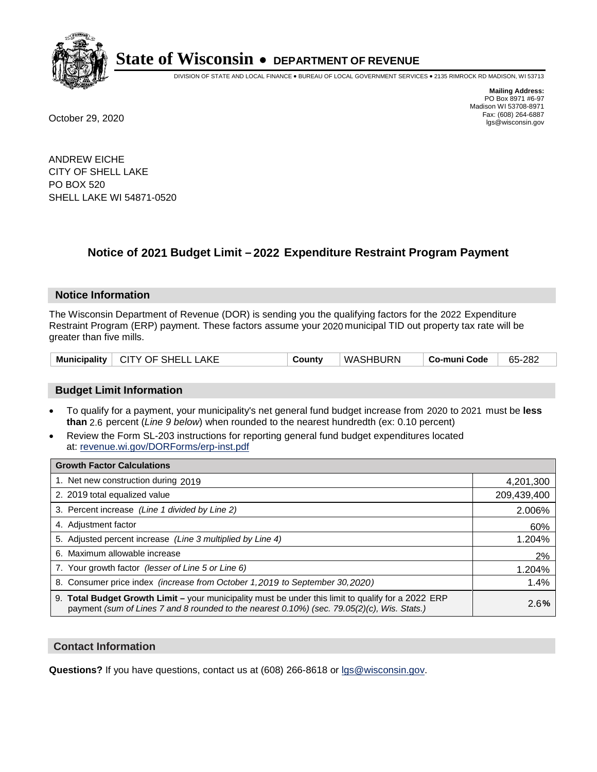

DIVISION OF STATE AND LOCAL FINANCE • BUREAU OF LOCAL GOVERNMENT SERVICES • 2135 RIMROCK RD MADISON, WI 53713

**Mailing Address:** PO Box 8971 #6-97 Madison WI 53708-8971<br>Fax: (608) 264-6887 Fax: (608) 264-6887 October 29, 2020 lgs@wisconsin.gov

ANDREW EICHE CITY OF SHELL LAKE PO BOX 520 SHELL LAKE WI 54871-0520

### **Notice of 2021 Budget Limit - 2022 Expenditure Restraint Program Payment**

#### **Notice Information**

The Wisconsin Department of Revenue (DOR) is sending you the qualifying factors for the 2022 Expenditure Restraint Program (ERP) payment. These factors assume your 2020 municipal TID out property tax rate will be greater than five mills.

| Municipality   CITY OF SHELL LAKE | County | WASHBURN | ∣ Co-muni Code | 65-282 |
|-----------------------------------|--------|----------|----------------|--------|
|-----------------------------------|--------|----------|----------------|--------|

#### **Budget Limit Information**

- To qualify for a payment, your municipality's net general fund budget increase from 2020 to 2021 must be less **than** 2.6 percent (*Line 9 below*) when rounded to the nearest hundredth (ex: 0.10 percent)
- Review the Form SL-203 instructions for reporting general fund budget expenditures located at: revenue.wi.gov/DORForms/erp-inst.pdf

| <b>Growth Factor Calculations</b>                                                                                                                                                                      |             |
|--------------------------------------------------------------------------------------------------------------------------------------------------------------------------------------------------------|-------------|
| 1. Net new construction during 2019                                                                                                                                                                    | 4,201,300   |
| 2. 2019 total equalized value                                                                                                                                                                          | 209,439,400 |
| 3. Percent increase (Line 1 divided by Line 2)                                                                                                                                                         | 2.006%      |
| 4. Adjustment factor                                                                                                                                                                                   | 60%         |
| 5. Adjusted percent increase (Line 3 multiplied by Line 4)                                                                                                                                             | 1.204%      |
| 6. Maximum allowable increase                                                                                                                                                                          | 2%          |
| 7. Your growth factor (lesser of Line 5 or Line 6)                                                                                                                                                     | 1.204%      |
| 8. Consumer price index (increase from October 1, 2019 to September 30, 2020)                                                                                                                          | 1.4%        |
| 9. Total Budget Growth Limit - your municipality must be under this limit to qualify for a 2022 ERP<br>payment (sum of Lines 7 and 8 rounded to the nearest $0.10\%$ ) (sec. 79.05(2)(c), Wis. Stats.) | 2.6%        |

#### **Contact Information**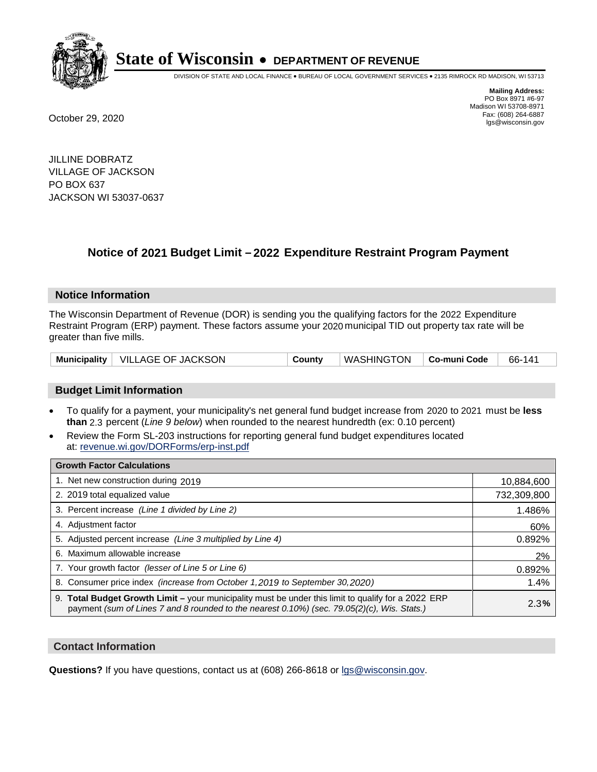

DIVISION OF STATE AND LOCAL FINANCE • BUREAU OF LOCAL GOVERNMENT SERVICES • 2135 RIMROCK RD MADISON, WI 53713

**Mailing Address:** PO Box 8971 #6-97 Madison WI 53708-8971<br>Fax: (608) 264-6887 Fax: (608) 264-6887 October 29, 2020 lgs@wisconsin.gov

JILLINE DOBRATZ VILLAGE OF JACKSON PO BOX 637 JACKSON WI 53037-0637

### **Notice of 2021 Budget Limit - 2022 Expenditure Restraint Program Payment**

#### **Notice Information**

The Wisconsin Department of Revenue (DOR) is sending you the qualifying factors for the 2022 Expenditure Restraint Program (ERP) payment. These factors assume your 2020 municipal TID out property tax rate will be greater than five mills.

| Municipality   VILLAGE OF JACKSON | County | WASHINGTON   Co-muni Code |  | 66-141 |
|-----------------------------------|--------|---------------------------|--|--------|
|-----------------------------------|--------|---------------------------|--|--------|

#### **Budget Limit Information**

- To qualify for a payment, your municipality's net general fund budget increase from 2020 to 2021 must be less **than** 2.3 percent (*Line 9 below*) when rounded to the nearest hundredth (ex: 0.10 percent)
- Review the Form SL-203 instructions for reporting general fund budget expenditures located at: revenue.wi.gov/DORForms/erp-inst.pdf

| <b>Growth Factor Calculations</b>                                                                                                                                                                  |             |
|----------------------------------------------------------------------------------------------------------------------------------------------------------------------------------------------------|-------------|
| 1. Net new construction during 2019                                                                                                                                                                | 10,884,600  |
| 2. 2019 total equalized value                                                                                                                                                                      | 732,309,800 |
| 3. Percent increase (Line 1 divided by Line 2)                                                                                                                                                     | 1.486%      |
| 4. Adjustment factor                                                                                                                                                                               | 60%         |
| 5. Adjusted percent increase (Line 3 multiplied by Line 4)                                                                                                                                         | 0.892%      |
| 6. Maximum allowable increase                                                                                                                                                                      | 2%          |
| 7. Your growth factor (lesser of Line 5 or Line 6)                                                                                                                                                 | 0.892%      |
| 8. Consumer price index (increase from October 1,2019 to September 30,2020)                                                                                                                        | 1.4%        |
| 9. Total Budget Growth Limit - your municipality must be under this limit to qualify for a 2022 ERP<br>payment (sum of Lines 7 and 8 rounded to the nearest 0.10%) (sec. 79.05(2)(c), Wis. Stats.) | 2.3%        |

#### **Contact Information**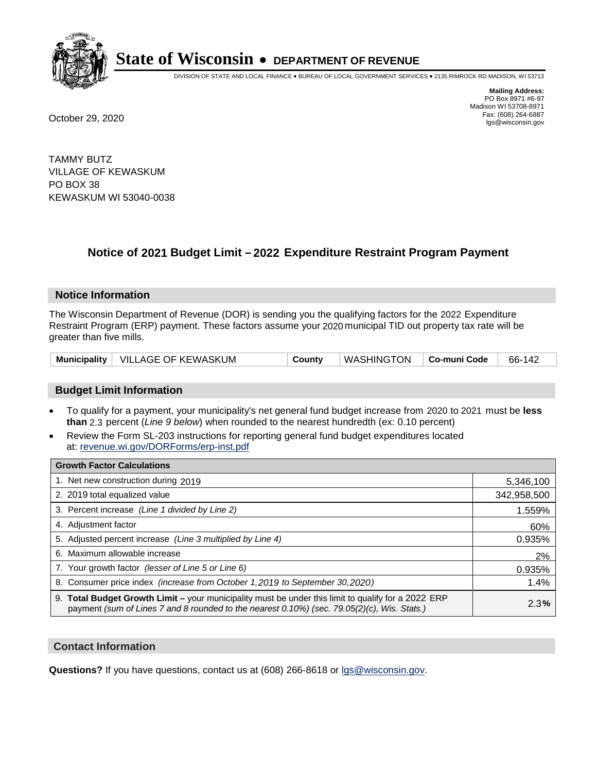

DIVISION OF STATE AND LOCAL FINANCE • BUREAU OF LOCAL GOVERNMENT SERVICES • 2135 RIMROCK RD MADISON, WI 53713

**Mailing Address:** PO Box 8971 #6-97 Madison WI 53708-8971<br>Fax: (608) 264-6887 Fax: (608) 264-6887 October 29, 2020 lgs@wisconsin.gov

TAMMY BUTZ VILLAGE OF KEWASKUM PO BOX 38 KEWASKUM WI 53040-0038

### **Notice of 2021 Budget Limit - 2022 Expenditure Restraint Program Payment**

#### **Notice Information**

The Wisconsin Department of Revenue (DOR) is sending you the qualifying factors for the 2022 Expenditure Restraint Program (ERP) payment. These factors assume your 2020 municipal TID out property tax rate will be greater than five mills.

|  | Municipality   VILLAGE OF KEWASKUM | County | $\top$ WASHINGTON $\top$ Co-muni Code |  | 66-142 |
|--|------------------------------------|--------|---------------------------------------|--|--------|
|--|------------------------------------|--------|---------------------------------------|--|--------|

#### **Budget Limit Information**

- To qualify for a payment, your municipality's net general fund budget increase from 2020 to 2021 must be less **than** 2.3 percent (*Line 9 below*) when rounded to the nearest hundredth (ex: 0.10 percent)
- Review the Form SL-203 instructions for reporting general fund budget expenditures located at: revenue.wi.gov/DORForms/erp-inst.pdf

| <b>Growth Factor Calculations</b>                                                                                                                                                                      |             |
|--------------------------------------------------------------------------------------------------------------------------------------------------------------------------------------------------------|-------------|
| 1. Net new construction during 2019                                                                                                                                                                    | 5,346,100   |
| 2. 2019 total equalized value                                                                                                                                                                          | 342,958,500 |
| 3. Percent increase (Line 1 divided by Line 2)                                                                                                                                                         | 1.559%      |
| 4. Adjustment factor                                                                                                                                                                                   | 60%         |
| 5. Adjusted percent increase (Line 3 multiplied by Line 4)                                                                                                                                             | 0.935%      |
| 6. Maximum allowable increase                                                                                                                                                                          | 2%          |
| 7. Your growth factor (lesser of Line 5 or Line 6)                                                                                                                                                     | 0.935%      |
| 8. Consumer price index (increase from October 1, 2019 to September 30, 2020)                                                                                                                          | 1.4%        |
| 9. Total Budget Growth Limit - your municipality must be under this limit to qualify for a 2022 ERP<br>payment (sum of Lines 7 and 8 rounded to the nearest $0.10\%$ ) (sec. 79.05(2)(c), Wis. Stats.) | 2.3%        |

#### **Contact Information**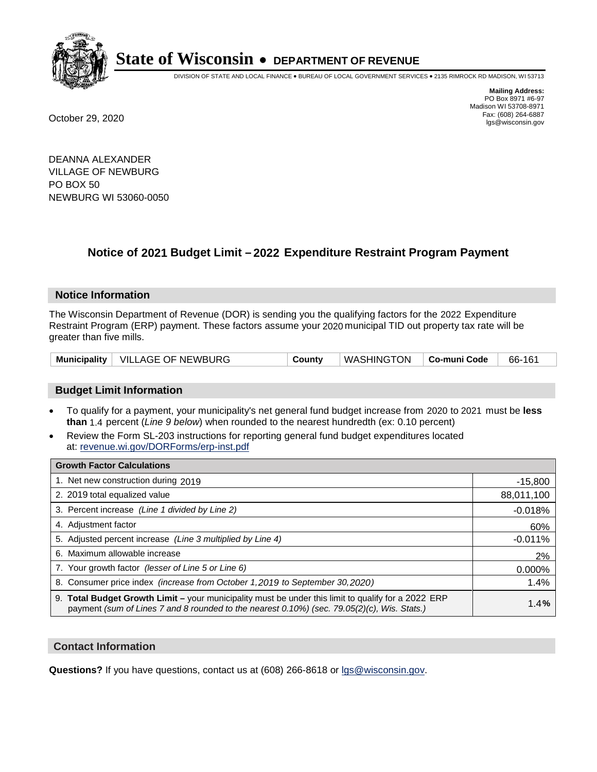

DIVISION OF STATE AND LOCAL FINANCE • BUREAU OF LOCAL GOVERNMENT SERVICES • 2135 RIMROCK RD MADISON, WI 53713

**Mailing Address:** PO Box 8971 #6-97 Madison WI 53708-8971<br>Fax: (608) 264-6887 Fax: (608) 264-6887 October 29, 2020 lgs@wisconsin.gov

DEANNA ALEXANDER VILLAGE OF NEWBURG PO BOX 50 NEWBURG WI 53060-0050

### **Notice of 2021 Budget Limit - 2022 Expenditure Restraint Program Payment**

#### **Notice Information**

The Wisconsin Department of Revenue (DOR) is sending you the qualifying factors for the 2022 Expenditure Restraint Program (ERP) payment. These factors assume your 2020 municipal TID out property tax rate will be greater than five mills.

|  | Municipality   VILLAGE OF NEWBURG | County | WASHINGTON   Co-muni Code |  | 66-161 |
|--|-----------------------------------|--------|---------------------------|--|--------|
|--|-----------------------------------|--------|---------------------------|--|--------|

#### **Budget Limit Information**

- To qualify for a payment, your municipality's net general fund budget increase from 2020 to 2021 must be less **than** 1.4 percent (*Line 9 below*) when rounded to the nearest hundredth (ex: 0.10 percent)
- Review the Form SL-203 instructions for reporting general fund budget expenditures located at: revenue.wi.gov/DORForms/erp-inst.pdf

| <b>Growth Factor Calculations</b>                                                                                                                                                                      |            |
|--------------------------------------------------------------------------------------------------------------------------------------------------------------------------------------------------------|------------|
| 1. Net new construction during 2019                                                                                                                                                                    | $-15,800$  |
| 2. 2019 total equalized value                                                                                                                                                                          | 88,011,100 |
| 3. Percent increase (Line 1 divided by Line 2)                                                                                                                                                         | $-0.018%$  |
| 4. Adjustment factor                                                                                                                                                                                   | 60%        |
| 5. Adjusted percent increase (Line 3 multiplied by Line 4)                                                                                                                                             | $-0.011%$  |
| 6. Maximum allowable increase                                                                                                                                                                          | 2%         |
| 7. Your growth factor (lesser of Line 5 or Line 6)                                                                                                                                                     | 0.000%     |
| 8. Consumer price index (increase from October 1,2019 to September 30,2020)                                                                                                                            | 1.4%       |
| 9. Total Budget Growth Limit - your municipality must be under this limit to qualify for a 2022 ERP<br>payment (sum of Lines 7 and 8 rounded to the nearest $0.10\%$ ) (sec. 79.05(2)(c), Wis. Stats.) | 1.4%       |

#### **Contact Information**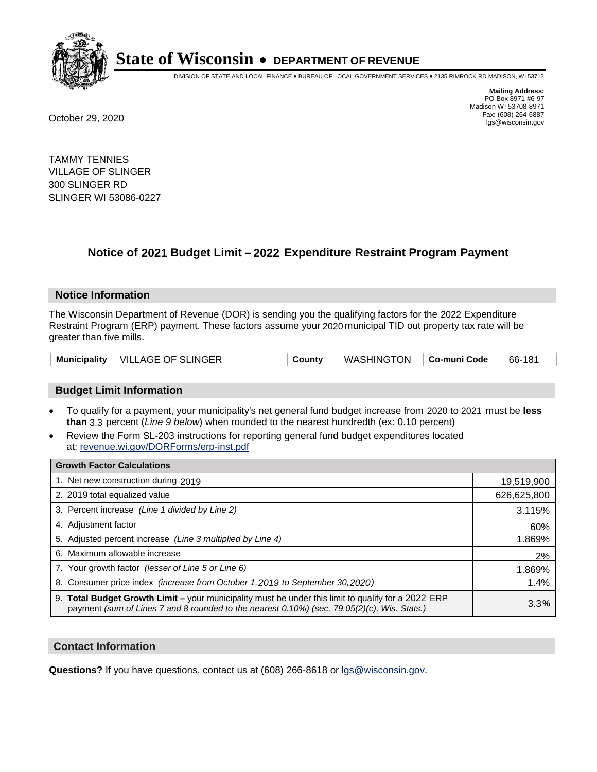

DIVISION OF STATE AND LOCAL FINANCE • BUREAU OF LOCAL GOVERNMENT SERVICES • 2135 RIMROCK RD MADISON, WI 53713

**Mailing Address:** PO Box 8971 #6-97 Madison WI 53708-8971<br>Fax: (608) 264-6887 Fax: (608) 264-6887 October 29, 2020 lgs@wisconsin.gov

TAMMY TENNIES VILLAGE OF SLINGER 300 SLINGER RD SLINGER WI 53086-0227

### **Notice of 2021 Budget Limit - 2022 Expenditure Restraint Program Payment**

#### **Notice Information**

The Wisconsin Department of Revenue (DOR) is sending you the qualifying factors for the 2022 Expenditure Restraint Program (ERP) payment. These factors assume your 2020 municipal TID out property tax rate will be greater than five mills.

| Municipality   VILLAGE OF SLINGER | Countv | WASHINGTON   Co-muni Code |  | 66-181 |
|-----------------------------------|--------|---------------------------|--|--------|
|-----------------------------------|--------|---------------------------|--|--------|

#### **Budget Limit Information**

- To qualify for a payment, your municipality's net general fund budget increase from 2020 to 2021 must be less **than** 3.3 percent (*Line 9 below*) when rounded to the nearest hundredth (ex: 0.10 percent)
- Review the Form SL-203 instructions for reporting general fund budget expenditures located at: revenue.wi.gov/DORForms/erp-inst.pdf

| <b>Growth Factor Calculations</b>                                                                                                                                                                  |             |
|----------------------------------------------------------------------------------------------------------------------------------------------------------------------------------------------------|-------------|
| 1. Net new construction during 2019                                                                                                                                                                | 19,519,900  |
| 2. 2019 total equalized value                                                                                                                                                                      | 626,625,800 |
| 3. Percent increase (Line 1 divided by Line 2)                                                                                                                                                     | 3.115%      |
| 4. Adjustment factor                                                                                                                                                                               | 60%         |
| 5. Adjusted percent increase (Line 3 multiplied by Line 4)                                                                                                                                         | 1.869%      |
| 6. Maximum allowable increase                                                                                                                                                                      | 2%          |
| 7. Your growth factor (lesser of Line 5 or Line 6)                                                                                                                                                 | 1.869%      |
| 8. Consumer price index (increase from October 1,2019 to September 30,2020)                                                                                                                        | 1.4%        |
| 9. Total Budget Growth Limit - your municipality must be under this limit to qualify for a 2022 ERP<br>payment (sum of Lines 7 and 8 rounded to the nearest 0.10%) (sec. 79.05(2)(c), Wis. Stats.) | 3.3%        |

#### **Contact Information**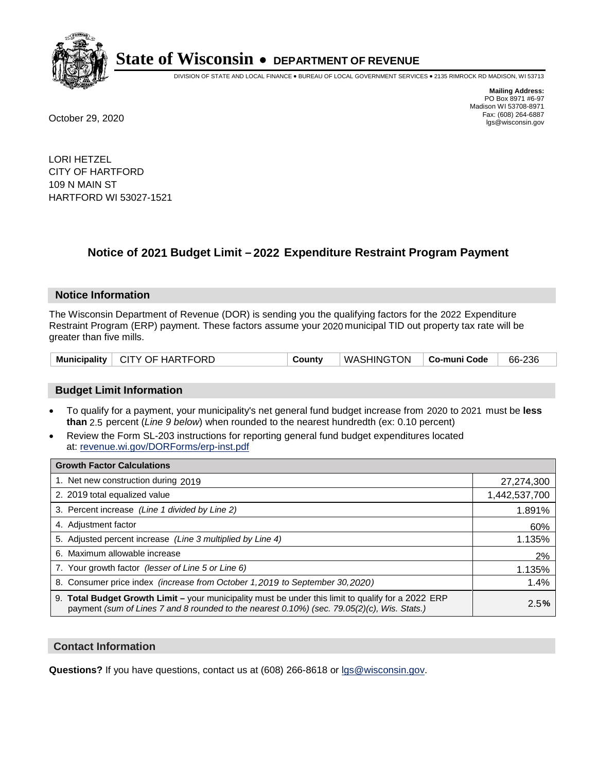

DIVISION OF STATE AND LOCAL FINANCE • BUREAU OF LOCAL GOVERNMENT SERVICES • 2135 RIMROCK RD MADISON, WI 53713

**Mailing Address:** PO Box 8971 #6-97 Madison WI 53708-8971<br>Fax: (608) 264-6887 Fax: (608) 264-6887 October 29, 2020 lgs@wisconsin.gov

LORI HETZEL CITY OF HARTFORD 109 N MAIN ST HARTFORD WI 53027-1521

### **Notice of 2021 Budget Limit - 2022 Expenditure Restraint Program Payment**

#### **Notice Information**

The Wisconsin Department of Revenue (DOR) is sending you the qualifying factors for the 2022 Expenditure Restraint Program (ERP) payment. These factors assume your 2020 municipal TID out property tax rate will be greater than five mills.

|  | Municipality   CITY OF HARTFORD | County | WASHINGTON   Co-muni Code |  | 66-236 |
|--|---------------------------------|--------|---------------------------|--|--------|
|--|---------------------------------|--------|---------------------------|--|--------|

#### **Budget Limit Information**

- To qualify for a payment, your municipality's net general fund budget increase from 2020 to 2021 must be less **than** 2.5 percent (*Line 9 below*) when rounded to the nearest hundredth (ex: 0.10 percent)
- Review the Form SL-203 instructions for reporting general fund budget expenditures located at: revenue.wi.gov/DORForms/erp-inst.pdf

| <b>Growth Factor Calculations</b>                                                                                                                                                                  |               |
|----------------------------------------------------------------------------------------------------------------------------------------------------------------------------------------------------|---------------|
| 1. Net new construction during 2019                                                                                                                                                                | 27,274,300    |
| 2. 2019 total equalized value                                                                                                                                                                      | 1,442,537,700 |
| 3. Percent increase (Line 1 divided by Line 2)                                                                                                                                                     | 1.891%        |
| 4. Adjustment factor                                                                                                                                                                               | 60%           |
| 5. Adjusted percent increase (Line 3 multiplied by Line 4)                                                                                                                                         | 1.135%        |
| 6. Maximum allowable increase                                                                                                                                                                      | 2%            |
| 7. Your growth factor (lesser of Line 5 or Line 6)                                                                                                                                                 | 1.135%        |
| 8. Consumer price index (increase from October 1,2019 to September 30,2020)                                                                                                                        | 1.4%          |
| 9. Total Budget Growth Limit - your municipality must be under this limit to qualify for a 2022 ERP<br>payment (sum of Lines 7 and 8 rounded to the nearest 0.10%) (sec. 79.05(2)(c), Wis. Stats.) | 2.5%          |

#### **Contact Information**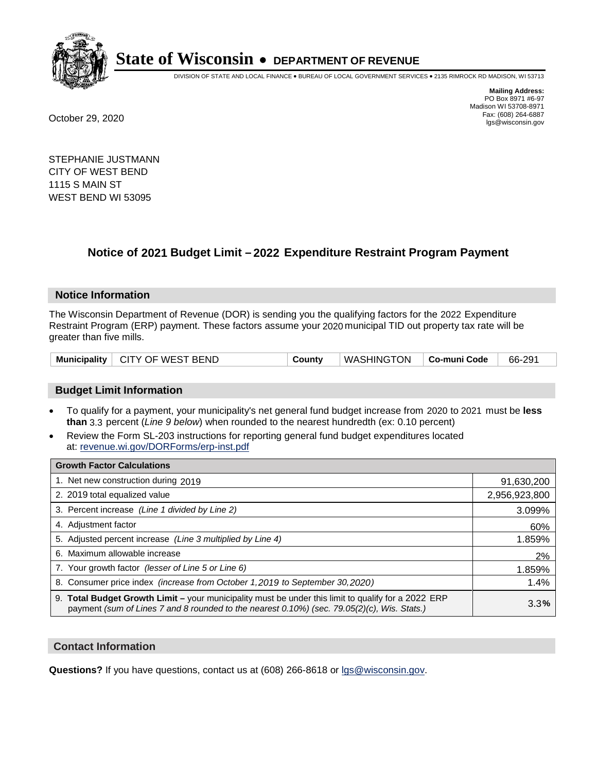

DIVISION OF STATE AND LOCAL FINANCE • BUREAU OF LOCAL GOVERNMENT SERVICES • 2135 RIMROCK RD MADISON, WI 53713

**Mailing Address:** PO Box 8971 #6-97 Madison WI 53708-8971<br>Fax: (608) 264-6887 Fax: (608) 264-6887 October 29, 2020 lgs@wisconsin.gov

STEPHANIE JUSTMANN CITY OF WEST BEND 1115 S MAIN ST WEST BEND WI 53095

### **Notice of 2021 Budget Limit - 2022 Expenditure Restraint Program Payment**

#### **Notice Information**

The Wisconsin Department of Revenue (DOR) is sending you the qualifying factors for the 2022 Expenditure Restraint Program (ERP) payment. These factors assume your 2020 municipal TID out property tax rate will be greater than five mills.

|  | Municipality   CITY OF WEST BEND | Countv | WASHINGTON   Co-muni Code |  | 66-291 |
|--|----------------------------------|--------|---------------------------|--|--------|
|--|----------------------------------|--------|---------------------------|--|--------|

#### **Budget Limit Information**

- To qualify for a payment, your municipality's net general fund budget increase from 2020 to 2021 must be less **than** 3.3 percent (*Line 9 below*) when rounded to the nearest hundredth (ex: 0.10 percent)
- Review the Form SL-203 instructions for reporting general fund budget expenditures located at: revenue.wi.gov/DORForms/erp-inst.pdf

| <b>Growth Factor Calculations</b>                                                                                                                                                                  |               |
|----------------------------------------------------------------------------------------------------------------------------------------------------------------------------------------------------|---------------|
| 1. Net new construction during 2019                                                                                                                                                                | 91,630,200    |
| 2. 2019 total equalized value                                                                                                                                                                      | 2,956,923,800 |
| 3. Percent increase (Line 1 divided by Line 2)                                                                                                                                                     | 3.099%        |
| 4. Adjustment factor                                                                                                                                                                               | 60%           |
| 5. Adjusted percent increase (Line 3 multiplied by Line 4)                                                                                                                                         | 1.859%        |
| 6. Maximum allowable increase                                                                                                                                                                      | 2%            |
| 7. Your growth factor (lesser of Line 5 or Line 6)                                                                                                                                                 | 1.859%        |
| 8. Consumer price index (increase from October 1,2019 to September 30,2020)                                                                                                                        | 1.4%          |
| 9. Total Budget Growth Limit - your municipality must be under this limit to qualify for a 2022 ERP<br>payment (sum of Lines 7 and 8 rounded to the nearest 0.10%) (sec. 79.05(2)(c), Wis. Stats.) | 3.3%          |

#### **Contact Information**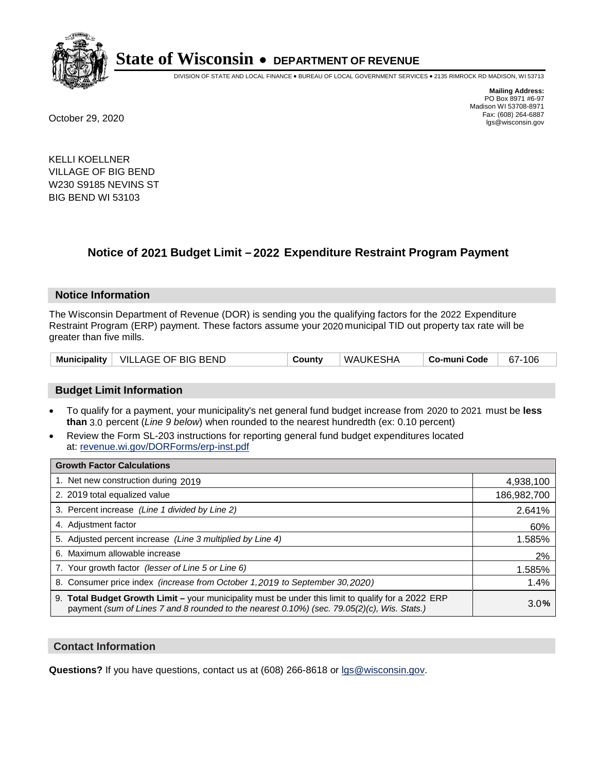

DIVISION OF STATE AND LOCAL FINANCE • BUREAU OF LOCAL GOVERNMENT SERVICES • 2135 RIMROCK RD MADISON, WI 53713

**Mailing Address:** PO Box 8971 #6-97 Madison WI 53708-8971<br>Fax: (608) 264-6887 Fax: (608) 264-6887 October 29, 2020 lgs@wisconsin.gov

KELLI KOELLNER VILLAGE OF BIG BEND W230 S9185 NEVINS ST BIG BEND WI 53103

## **Notice of 2021 Budget Limit - 2022 Expenditure Restraint Program Payment**

#### **Notice Information**

The Wisconsin Department of Revenue (DOR) is sending you the qualifying factors for the 2022 Expenditure Restraint Program (ERP) payment. These factors assume your 2020 municipal TID out property tax rate will be greater than five mills.

| <b>Municipality</b> | VILLAGE OF BIG BEND | County | WAUKESHA | Co-muni Code | 106<br>$67 -$ |
|---------------------|---------------------|--------|----------|--------------|---------------|
|---------------------|---------------------|--------|----------|--------------|---------------|

#### **Budget Limit Information**

- To qualify for a payment, your municipality's net general fund budget increase from 2020 to 2021 must be less **than** 3.0 percent (*Line 9 below*) when rounded to the nearest hundredth (ex: 0.10 percent)
- Review the Form SL-203 instructions for reporting general fund budget expenditures located at: revenue.wi.gov/DORForms/erp-inst.pdf

| <b>Growth Factor Calculations</b>                                                                                                                                                                      |             |
|--------------------------------------------------------------------------------------------------------------------------------------------------------------------------------------------------------|-------------|
| 1. Net new construction during 2019                                                                                                                                                                    | 4,938,100   |
| 2. 2019 total equalized value                                                                                                                                                                          | 186,982,700 |
| 3. Percent increase (Line 1 divided by Line 2)                                                                                                                                                         | 2.641%      |
| 4. Adiustment factor                                                                                                                                                                                   | 60%         |
| 5. Adjusted percent increase (Line 3 multiplied by Line 4)                                                                                                                                             | 1.585%      |
| 6. Maximum allowable increase                                                                                                                                                                          | 2%          |
| 7. Your growth factor (lesser of Line 5 or Line 6)                                                                                                                                                     | 1.585%      |
| 8. Consumer price index (increase from October 1,2019 to September 30,2020)                                                                                                                            | 1.4%        |
| 9. Total Budget Growth Limit - your municipality must be under this limit to qualify for a 2022 ERP<br>payment (sum of Lines 7 and 8 rounded to the nearest $0.10\%$ ) (sec. 79.05(2)(c), Wis. Stats.) | 3.0%        |

#### **Contact Information**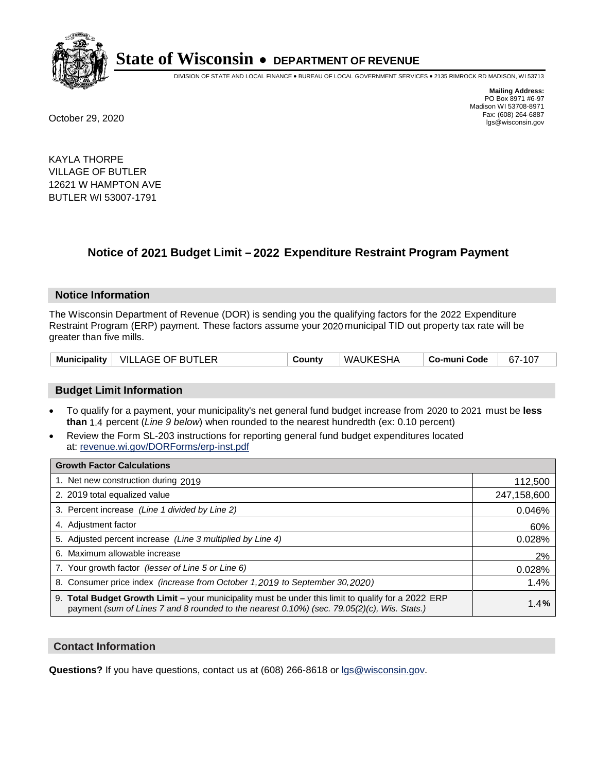

DIVISION OF STATE AND LOCAL FINANCE • BUREAU OF LOCAL GOVERNMENT SERVICES • 2135 RIMROCK RD MADISON, WI 53713

**Mailing Address:** PO Box 8971 #6-97 Madison WI 53708-8971<br>Fax: (608) 264-6887 Fax: (608) 264-6887 October 29, 2020 lgs@wisconsin.gov

KAYLA THORPE VILLAGE OF BUTLER 12621 W HAMPTON AVE BUTLER WI 53007-1791

### **Notice of 2021 Budget Limit - 2022 Expenditure Restraint Program Payment**

#### **Notice Information**

The Wisconsin Department of Revenue (DOR) is sending you the qualifying factors for the 2022 Expenditure Restraint Program (ERP) payment. These factors assume your 2020 municipal TID out property tax rate will be greater than five mills.

|  | Municipality   VILLAGE OF BUTLER | County | WAUKESHA | Co-muni Code | 67-107 |
|--|----------------------------------|--------|----------|--------------|--------|
|--|----------------------------------|--------|----------|--------------|--------|

#### **Budget Limit Information**

- To qualify for a payment, your municipality's net general fund budget increase from 2020 to 2021 must be less **than** 1.4 percent (*Line 9 below*) when rounded to the nearest hundredth (ex: 0.10 percent)
- Review the Form SL-203 instructions for reporting general fund budget expenditures located at: revenue.wi.gov/DORForms/erp-inst.pdf

| <b>Growth Factor Calculations</b>                                                                                                                                                                  |             |
|----------------------------------------------------------------------------------------------------------------------------------------------------------------------------------------------------|-------------|
| 1. Net new construction during 2019                                                                                                                                                                | 112,500     |
| 2. 2019 total equalized value                                                                                                                                                                      | 247,158,600 |
| 3. Percent increase (Line 1 divided by Line 2)                                                                                                                                                     | 0.046%      |
| 4. Adjustment factor                                                                                                                                                                               | 60%         |
| 5. Adjusted percent increase (Line 3 multiplied by Line 4)                                                                                                                                         | 0.028%      |
| 6. Maximum allowable increase                                                                                                                                                                      | 2%          |
| 7. Your growth factor (lesser of Line 5 or Line 6)                                                                                                                                                 | 0.028%      |
| 8. Consumer price index (increase from October 1,2019 to September 30,2020)                                                                                                                        | 1.4%        |
| 9. Total Budget Growth Limit - your municipality must be under this limit to qualify for a 2022 ERP<br>payment (sum of Lines 7 and 8 rounded to the nearest 0.10%) (sec. 79.05(2)(c), Wis. Stats.) | 1.4%        |

#### **Contact Information**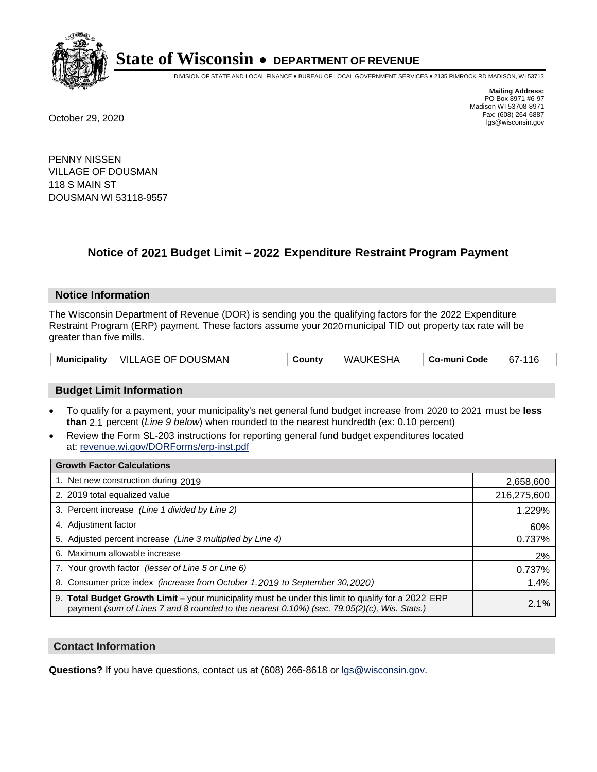

DIVISION OF STATE AND LOCAL FINANCE • BUREAU OF LOCAL GOVERNMENT SERVICES • 2135 RIMROCK RD MADISON, WI 53713

**Mailing Address:** PO Box 8971 #6-97 Madison WI 53708-8971<br>Fax: (608) 264-6887 Fax: (608) 264-6887 October 29, 2020 lgs@wisconsin.gov

PENNY NISSEN VILLAGE OF DOUSMAN 118 S MAIN ST DOUSMAN WI 53118-9557

## **Notice of 2021 Budget Limit - 2022 Expenditure Restraint Program Payment**

#### **Notice Information**

The Wisconsin Department of Revenue (DOR) is sending you the qualifying factors for the 2022 Expenditure Restraint Program (ERP) payment. These factors assume your 2020 municipal TID out property tax rate will be greater than five mills.

|  | Municipality   VILLAGE OF DOUSMAN | County | WAUKESHA | Co-muni Code | 67-116 |
|--|-----------------------------------|--------|----------|--------------|--------|
|--|-----------------------------------|--------|----------|--------------|--------|

#### **Budget Limit Information**

- To qualify for a payment, your municipality's net general fund budget increase from 2020 to 2021 must be less **than** 2.1 percent (*Line 9 below*) when rounded to the nearest hundredth (ex: 0.10 percent)
- Review the Form SL-203 instructions for reporting general fund budget expenditures located at: revenue.wi.gov/DORForms/erp-inst.pdf

| <b>Growth Factor Calculations</b>                                                                                                                                                                  |             |
|----------------------------------------------------------------------------------------------------------------------------------------------------------------------------------------------------|-------------|
| 1. Net new construction during 2019                                                                                                                                                                | 2,658,600   |
| 2. 2019 total equalized value                                                                                                                                                                      | 216,275,600 |
| 3. Percent increase (Line 1 divided by Line 2)                                                                                                                                                     | 1.229%      |
| 4. Adjustment factor                                                                                                                                                                               | 60%         |
| 5. Adjusted percent increase (Line 3 multiplied by Line 4)                                                                                                                                         | 0.737%      |
| 6. Maximum allowable increase                                                                                                                                                                      | 2%          |
| 7. Your growth factor (lesser of Line 5 or Line 6)                                                                                                                                                 | 0.737%      |
| 8. Consumer price index (increase from October 1, 2019 to September 30, 2020)                                                                                                                      | 1.4%        |
| 9. Total Budget Growth Limit - your municipality must be under this limit to qualify for a 2022 ERP<br>payment (sum of Lines 7 and 8 rounded to the nearest 0.10%) (sec. 79.05(2)(c), Wis. Stats.) | 2.1%        |

#### **Contact Information**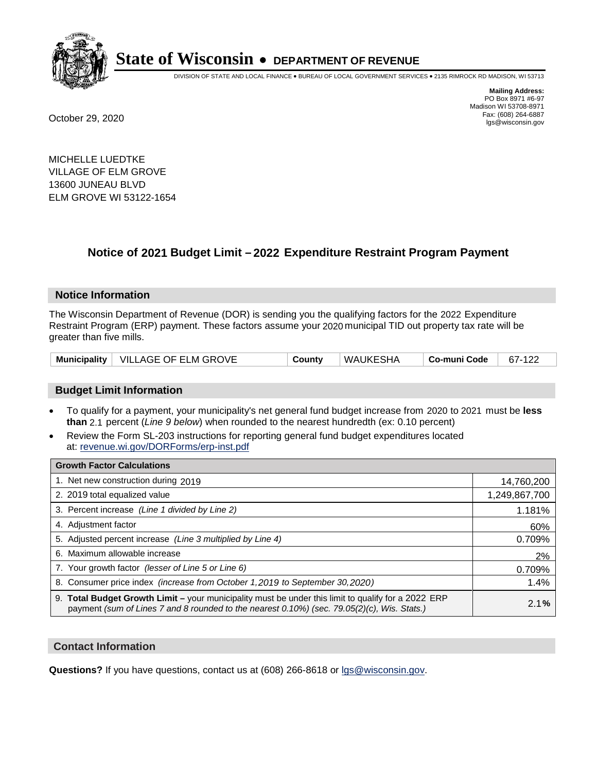

DIVISION OF STATE AND LOCAL FINANCE • BUREAU OF LOCAL GOVERNMENT SERVICES • 2135 RIMROCK RD MADISON, WI 53713

**Mailing Address:** PO Box 8971 #6-97 Madison WI 53708-8971<br>Fax: (608) 264-6887 Fax: (608) 264-6887 October 29, 2020 lgs@wisconsin.gov

MICHELLE LUEDTKE VILLAGE OF ELM GROVE 13600 JUNEAU BLVD ELM GROVE WI 53122-1654

## **Notice of 2021 Budget Limit - 2022 Expenditure Restraint Program Payment**

#### **Notice Information**

The Wisconsin Department of Revenue (DOR) is sending you the qualifying factors for the 2022 Expenditure Restraint Program (ERP) payment. These factors assume your 2020 municipal TID out property tax rate will be greater than five mills.

|  | Municipality   VILLAGE OF ELM GROVE | County | WAUKESHA | Co-muni Code | 67-122 |
|--|-------------------------------------|--------|----------|--------------|--------|
|--|-------------------------------------|--------|----------|--------------|--------|

### **Budget Limit Information**

- To qualify for a payment, your municipality's net general fund budget increase from 2020 to 2021 must be less **than** 2.1 percent (*Line 9 below*) when rounded to the nearest hundredth (ex: 0.10 percent)
- Review the Form SL-203 instructions for reporting general fund budget expenditures located at: revenue.wi.gov/DORForms/erp-inst.pdf

| <b>Growth Factor Calculations</b>                                                                                                                                                                  |               |
|----------------------------------------------------------------------------------------------------------------------------------------------------------------------------------------------------|---------------|
| 1. Net new construction during 2019                                                                                                                                                                | 14,760,200    |
| 2. 2019 total equalized value                                                                                                                                                                      | 1,249,867,700 |
| 3. Percent increase (Line 1 divided by Line 2)                                                                                                                                                     | 1.181%        |
| 4. Adjustment factor                                                                                                                                                                               | 60%           |
| 5. Adjusted percent increase (Line 3 multiplied by Line 4)                                                                                                                                         | 0.709%        |
| 6. Maximum allowable increase                                                                                                                                                                      | 2%            |
| 7. Your growth factor (lesser of Line 5 or Line 6)                                                                                                                                                 | 0.709%        |
| 8. Consumer price index (increase from October 1,2019 to September 30,2020)                                                                                                                        | 1.4%          |
| 9. Total Budget Growth Limit - your municipality must be under this limit to qualify for a 2022 ERP<br>payment (sum of Lines 7 and 8 rounded to the nearest 0.10%) (sec. 79.05(2)(c), Wis. Stats.) | 2.1%          |

### **Contact Information**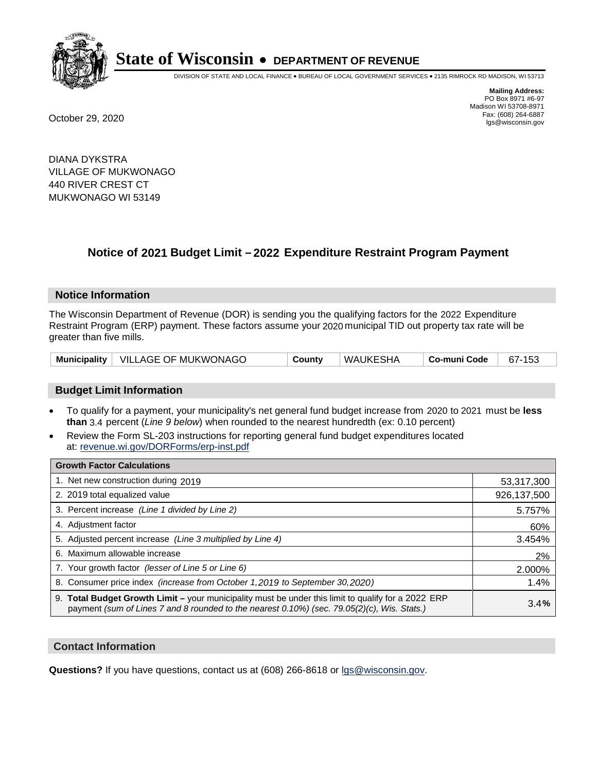

DIVISION OF STATE AND LOCAL FINANCE • BUREAU OF LOCAL GOVERNMENT SERVICES • 2135 RIMROCK RD MADISON, WI 53713

**Mailing Address:** PO Box 8971 #6-97 Madison WI 53708-8971<br>Fax: (608) 264-6887 Fax: (608) 264-6887 October 29, 2020 lgs@wisconsin.gov

DIANA DYKSTRA VILLAGE OF MUKWONAGO 440 RIVER CREST CT MUKWONAGO WI 53149

## **Notice of 2021 Budget Limit - 2022 Expenditure Restraint Program Payment**

### **Notice Information**

The Wisconsin Department of Revenue (DOR) is sending you the qualifying factors for the 2022 Expenditure Restraint Program (ERP) payment. These factors assume your 2020 municipal TID out property tax rate will be greater than five mills.

|  | Municipality   VILLAGE OF MUKWONAGO | County | WAUKESHA | Co-muni Code | 67-153 |
|--|-------------------------------------|--------|----------|--------------|--------|
|--|-------------------------------------|--------|----------|--------------|--------|

### **Budget Limit Information**

- To qualify for a payment, your municipality's net general fund budget increase from 2020 to 2021 must be less **than** 3.4 percent (*Line 9 below*) when rounded to the nearest hundredth (ex: 0.10 percent)
- Review the Form SL-203 instructions for reporting general fund budget expenditures located at: revenue.wi.gov/DORForms/erp-inst.pdf

| <b>Growth Factor Calculations</b>                                                                                                                                                                  |             |
|----------------------------------------------------------------------------------------------------------------------------------------------------------------------------------------------------|-------------|
| 1. Net new construction during 2019                                                                                                                                                                | 53,317,300  |
| 2. 2019 total equalized value                                                                                                                                                                      | 926,137,500 |
| 3. Percent increase (Line 1 divided by Line 2)                                                                                                                                                     | 5.757%      |
| 4. Adjustment factor                                                                                                                                                                               | 60%         |
| 5. Adjusted percent increase (Line 3 multiplied by Line 4)                                                                                                                                         | 3.454%      |
| 6. Maximum allowable increase                                                                                                                                                                      | 2%          |
| 7. Your growth factor (lesser of Line 5 or Line 6)                                                                                                                                                 | 2.000%      |
| 8. Consumer price index (increase from October 1,2019 to September 30,2020)                                                                                                                        | 1.4%        |
| 9. Total Budget Growth Limit - your municipality must be under this limit to qualify for a 2022 ERP<br>payment (sum of Lines 7 and 8 rounded to the nearest 0.10%) (sec. 79.05(2)(c), Wis. Stats.) | 3.4%        |

### **Contact Information**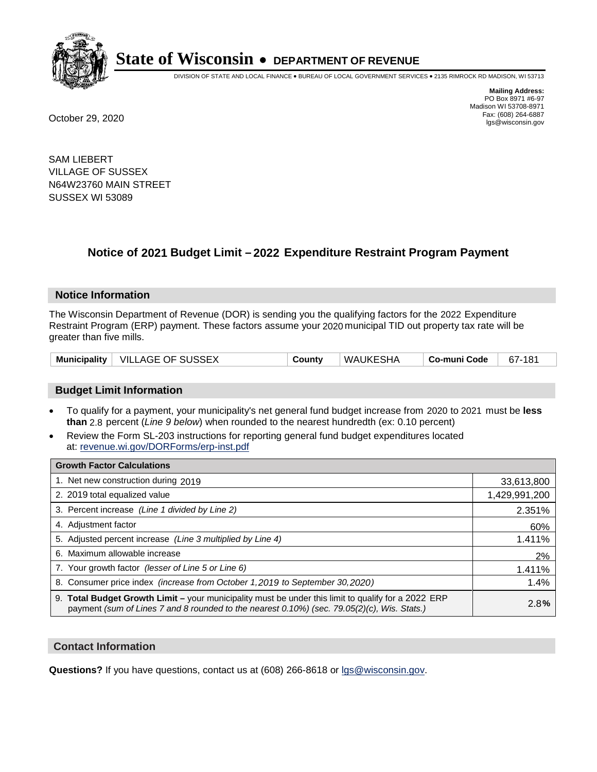

DIVISION OF STATE AND LOCAL FINANCE • BUREAU OF LOCAL GOVERNMENT SERVICES • 2135 RIMROCK RD MADISON, WI 53713

**Mailing Address:** PO Box 8971 #6-97 Madison WI 53708-8971<br>Fax: (608) 264-6887 Fax: (608) 264-6887 October 29, 2020 lgs@wisconsin.gov

SAM LIEBERT VILLAGE OF SUSSEX N64W23760 MAIN STREET SUSSEX WI 53089

## **Notice of 2021 Budget Limit - 2022 Expenditure Restraint Program Payment**

### **Notice Information**

The Wisconsin Department of Revenue (DOR) is sending you the qualifying factors for the 2022 Expenditure Restraint Program (ERP) payment. These factors assume your 2020 municipal TID out property tax rate will be greater than five mills.

|  | Municipality   VILLAGE OF SUSSEX | Countv | WAUKESHA | ∣ Co-muni Code | 67-181 |
|--|----------------------------------|--------|----------|----------------|--------|
|--|----------------------------------|--------|----------|----------------|--------|

### **Budget Limit Information**

- To qualify for a payment, your municipality's net general fund budget increase from 2020 to 2021 must be less **than** 2.8 percent (*Line 9 below*) when rounded to the nearest hundredth (ex: 0.10 percent)
- Review the Form SL-203 instructions for reporting general fund budget expenditures located at: revenue.wi.gov/DORForms/erp-inst.pdf

| <b>Growth Factor Calculations</b>                                                                                                                                                                  |               |
|----------------------------------------------------------------------------------------------------------------------------------------------------------------------------------------------------|---------------|
| 1. Net new construction during 2019                                                                                                                                                                | 33,613,800    |
| 2. 2019 total equalized value                                                                                                                                                                      | 1,429,991,200 |
| 3. Percent increase (Line 1 divided by Line 2)                                                                                                                                                     | 2.351%        |
| 4. Adjustment factor                                                                                                                                                                               | 60%           |
| 5. Adjusted percent increase (Line 3 multiplied by Line 4)                                                                                                                                         | 1.411%        |
| 6. Maximum allowable increase                                                                                                                                                                      | 2%            |
| 7. Your growth factor (lesser of Line 5 or Line 6)                                                                                                                                                 | 1.411%        |
| 8. Consumer price index (increase from October 1,2019 to September 30,2020)                                                                                                                        | 1.4%          |
| 9. Total Budget Growth Limit - your municipality must be under this limit to qualify for a 2022 ERP<br>payment (sum of Lines 7 and 8 rounded to the nearest 0.10%) (sec. 79.05(2)(c), Wis. Stats.) | 2.8%          |

### **Contact Information**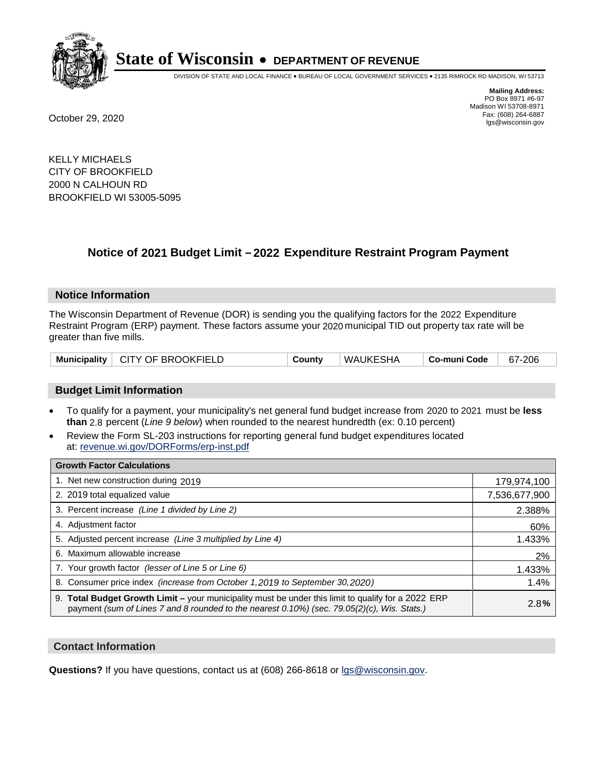

DIVISION OF STATE AND LOCAL FINANCE • BUREAU OF LOCAL GOVERNMENT SERVICES • 2135 RIMROCK RD MADISON, WI 53713

**Mailing Address:** PO Box 8971 #6-97 Madison WI 53708-8971<br>Fax: (608) 264-6887 Fax: (608) 264-6887 October 29, 2020 lgs@wisconsin.gov

KELLY MICHAELS CITY OF BROOKFIELD 2000 N CALHOUN RD BROOKFIELD WI 53005-5095

## **Notice of 2021 Budget Limit - 2022 Expenditure Restraint Program Payment**

#### **Notice Information**

The Wisconsin Department of Revenue (DOR) is sending you the qualifying factors for the 2022 Expenditure Restraint Program (ERP) payment. These factors assume your 2020 municipal TID out property tax rate will be greater than five mills.

|  | Municipality   CITY OF BROOKFIELD | Countv | <b>WAUKESHA</b> | ∣ Co-muni Code | 67-206 |
|--|-----------------------------------|--------|-----------------|----------------|--------|
|--|-----------------------------------|--------|-----------------|----------------|--------|

### **Budget Limit Information**

- To qualify for a payment, your municipality's net general fund budget increase from 2020 to 2021 must be less **than** 2.8 percent (*Line 9 below*) when rounded to the nearest hundredth (ex: 0.10 percent)
- Review the Form SL-203 instructions for reporting general fund budget expenditures located at: revenue.wi.gov/DORForms/erp-inst.pdf

| <b>Growth Factor Calculations</b>                                                                                                                                                                  |               |
|----------------------------------------------------------------------------------------------------------------------------------------------------------------------------------------------------|---------------|
| 1. Net new construction during 2019                                                                                                                                                                | 179,974,100   |
| 2. 2019 total equalized value                                                                                                                                                                      | 7,536,677,900 |
| 3. Percent increase (Line 1 divided by Line 2)                                                                                                                                                     | 2.388%        |
| 4. Adjustment factor                                                                                                                                                                               | 60%           |
| 5. Adjusted percent increase (Line 3 multiplied by Line 4)                                                                                                                                         | 1.433%        |
| 6. Maximum allowable increase                                                                                                                                                                      | 2%            |
| 7. Your growth factor (lesser of Line 5 or Line 6)                                                                                                                                                 | 1.433%        |
| 8. Consumer price index (increase from October 1, 2019 to September 30, 2020)                                                                                                                      | 1.4%          |
| 9. Total Budget Growth Limit - your municipality must be under this limit to qualify for a 2022 ERP<br>payment (sum of Lines 7 and 8 rounded to the nearest 0.10%) (sec. 79.05(2)(c), Wis. Stats.) | 2.8%          |

### **Contact Information**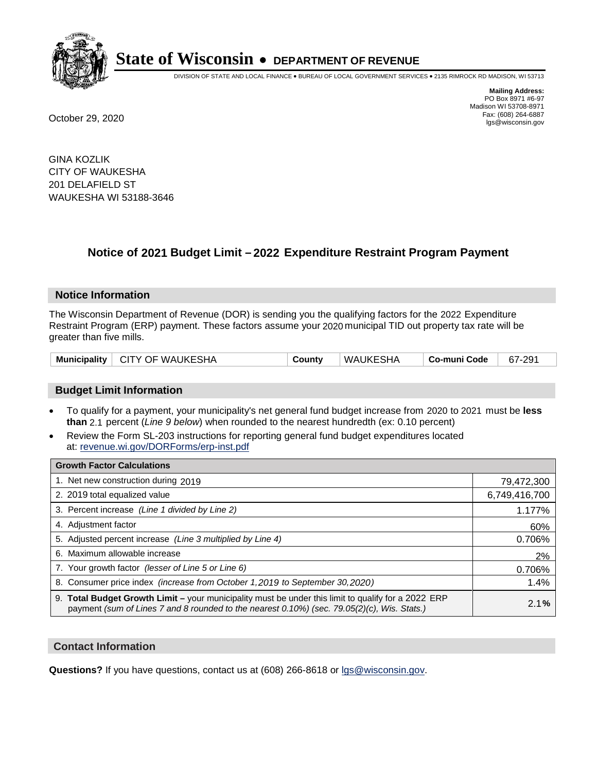

DIVISION OF STATE AND LOCAL FINANCE • BUREAU OF LOCAL GOVERNMENT SERVICES • 2135 RIMROCK RD MADISON, WI 53713

**Mailing Address:** PO Box 8971 #6-97 Madison WI 53708-8971<br>Fax: (608) 264-6887 Fax: (608) 264-6887 October 29, 2020 lgs@wisconsin.gov

GINA KOZLIK CITY OF WAUKESHA 201 DELAFIELD ST WAUKESHA WI 53188-3646

## **Notice of 2021 Budget Limit - 2022 Expenditure Restraint Program Payment**

### **Notice Information**

The Wisconsin Department of Revenue (DOR) is sending you the qualifying factors for the 2022 Expenditure Restraint Program (ERP) payment. These factors assume your 2020 municipal TID out property tax rate will be greater than five mills.

|  | Municipality   CITY OF WAUKESHA | Countv | WAUKESHA | Co-muni Code | 67-291 |
|--|---------------------------------|--------|----------|--------------|--------|
|--|---------------------------------|--------|----------|--------------|--------|

### **Budget Limit Information**

- To qualify for a payment, your municipality's net general fund budget increase from 2020 to 2021 must be less **than** 2.1 percent (*Line 9 below*) when rounded to the nearest hundredth (ex: 0.10 percent)
- Review the Form SL-203 instructions for reporting general fund budget expenditures located at: revenue.wi.gov/DORForms/erp-inst.pdf

| <b>Growth Factor Calculations</b>                                                                                                                                                                  |               |
|----------------------------------------------------------------------------------------------------------------------------------------------------------------------------------------------------|---------------|
| 1. Net new construction during 2019                                                                                                                                                                | 79,472,300    |
| 2. 2019 total equalized value                                                                                                                                                                      | 6,749,416,700 |
| 3. Percent increase (Line 1 divided by Line 2)                                                                                                                                                     | 1.177%        |
| 4. Adjustment factor                                                                                                                                                                               | 60%           |
| 5. Adjusted percent increase (Line 3 multiplied by Line 4)                                                                                                                                         | 0.706%        |
| 6. Maximum allowable increase                                                                                                                                                                      | 2%            |
| 7. Your growth factor (lesser of Line 5 or Line 6)                                                                                                                                                 | 0.706%        |
| 8. Consumer price index (increase from October 1, 2019 to September 30, 2020)                                                                                                                      | 1.4%          |
| 9. Total Budget Growth Limit - your municipality must be under this limit to qualify for a 2022 ERP<br>payment (sum of Lines 7 and 8 rounded to the nearest 0.10%) (sec. 79.05(2)(c), Wis. Stats.) | 2.1%          |

### **Contact Information**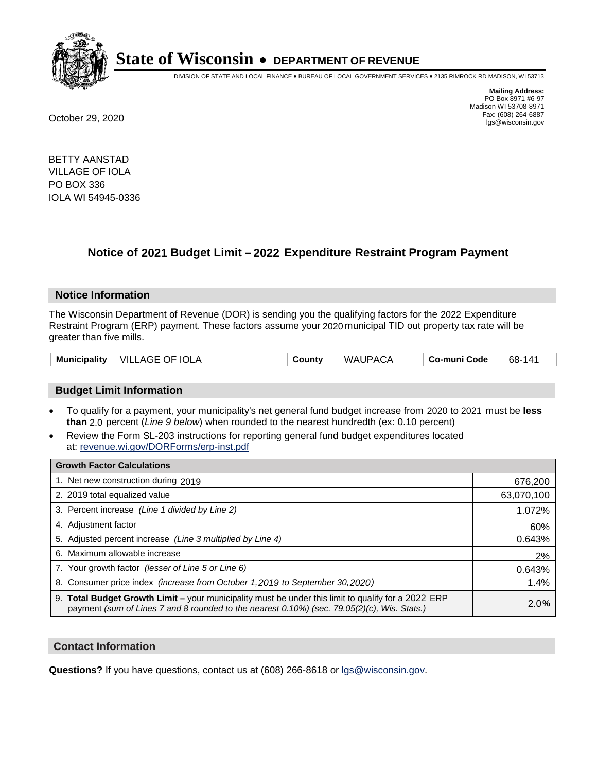

DIVISION OF STATE AND LOCAL FINANCE • BUREAU OF LOCAL GOVERNMENT SERVICES • 2135 RIMROCK RD MADISON, WI 53713

**Mailing Address:** PO Box 8971 #6-97 Madison WI 53708-8971<br>Fax: (608) 264-6887 Fax: (608) 264-6887 October 29, 2020 lgs@wisconsin.gov

BETTY AANSTAD VILLAGE OF IOLA PO BOX 336 IOLA WI 54945-0336

## **Notice of 2021 Budget Limit - 2022 Expenditure Restraint Program Payment**

### **Notice Information**

The Wisconsin Department of Revenue (DOR) is sending you the qualifying factors for the 2022 Expenditure Restraint Program (ERP) payment. These factors assume your 2020 municipal TID out property tax rate will be greater than five mills.

| Municipality   VILLAGE OF IOLA | County | WAUPACA | Co-muni Code | 68-141 |
|--------------------------------|--------|---------|--------------|--------|
|--------------------------------|--------|---------|--------------|--------|

### **Budget Limit Information**

- To qualify for a payment, your municipality's net general fund budget increase from 2020 to 2021 must be less **than** 2.0 percent (*Line 9 below*) when rounded to the nearest hundredth (ex: 0.10 percent)
- Review the Form SL-203 instructions for reporting general fund budget expenditures located at: revenue.wi.gov/DORForms/erp-inst.pdf

| <b>Growth Factor Calculations</b>                                                                                                                                                                      |            |
|--------------------------------------------------------------------------------------------------------------------------------------------------------------------------------------------------------|------------|
| 1. Net new construction during 2019                                                                                                                                                                    | 676,200    |
| 2. 2019 total equalized value                                                                                                                                                                          | 63,070,100 |
| 3. Percent increase (Line 1 divided by Line 2)                                                                                                                                                         | 1.072%     |
| 4. Adjustment factor                                                                                                                                                                                   | 60%        |
| 5. Adjusted percent increase (Line 3 multiplied by Line 4)                                                                                                                                             | 0.643%     |
| 6. Maximum allowable increase                                                                                                                                                                          | 2%         |
| 7. Your growth factor (lesser of Line 5 or Line 6)                                                                                                                                                     | 0.643%     |
| 8. Consumer price index (increase from October 1,2019 to September 30,2020)                                                                                                                            | 1.4%       |
| 9. Total Budget Growth Limit - your municipality must be under this limit to qualify for a 2022 ERP<br>payment (sum of Lines 7 and 8 rounded to the nearest $0.10\%$ ) (sec. 79.05(2)(c), Wis. Stats.) | 2.0%       |

### **Contact Information**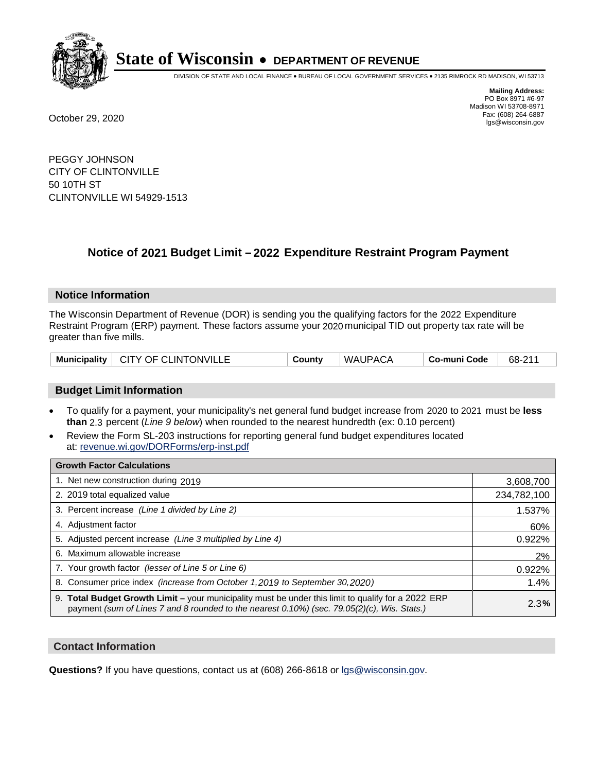

DIVISION OF STATE AND LOCAL FINANCE • BUREAU OF LOCAL GOVERNMENT SERVICES • 2135 RIMROCK RD MADISON, WI 53713

**Mailing Address:** PO Box 8971 #6-97 Madison WI 53708-8971<br>Fax: (608) 264-6887 Fax: (608) 264-6887 October 29, 2020 lgs@wisconsin.gov

PEGGY JOHNSON CITY OF CLINTONVILLE 50 10TH ST CLINTONVILLE WI 54929-1513

## **Notice of 2021 Budget Limit - 2022 Expenditure Restraint Program Payment**

### **Notice Information**

The Wisconsin Department of Revenue (DOR) is sending you the qualifying factors for the 2022 Expenditure Restraint Program (ERP) payment. These factors assume your 2020 municipal TID out property tax rate will be greater than five mills.

|  | Municipality   CITY OF CLINTONVILLE | County | WAUPACA | Co-muni Code | 68-211 |
|--|-------------------------------------|--------|---------|--------------|--------|
|--|-------------------------------------|--------|---------|--------------|--------|

### **Budget Limit Information**

- To qualify for a payment, your municipality's net general fund budget increase from 2020 to 2021 must be less **than** 2.3 percent (*Line 9 below*) when rounded to the nearest hundredth (ex: 0.10 percent)
- Review the Form SL-203 instructions for reporting general fund budget expenditures located at: revenue.wi.gov/DORForms/erp-inst.pdf

| <b>Growth Factor Calculations</b>                                                                                                                                                                      |             |
|--------------------------------------------------------------------------------------------------------------------------------------------------------------------------------------------------------|-------------|
| 1. Net new construction during 2019                                                                                                                                                                    | 3,608,700   |
| 2. 2019 total equalized value                                                                                                                                                                          | 234,782,100 |
| 3. Percent increase (Line 1 divided by Line 2)                                                                                                                                                         | 1.537%      |
| 4. Adjustment factor                                                                                                                                                                                   | 60%         |
| 5. Adjusted percent increase (Line 3 multiplied by Line 4)                                                                                                                                             | 0.922%      |
| 6. Maximum allowable increase                                                                                                                                                                          | 2%          |
| 7. Your growth factor (lesser of Line 5 or Line 6)                                                                                                                                                     | 0.922%      |
| 8. Consumer price index (increase from October 1, 2019 to September 30, 2020)                                                                                                                          | 1.4%        |
| 9. Total Budget Growth Limit - your municipality must be under this limit to qualify for a 2022 ERP<br>payment (sum of Lines 7 and 8 rounded to the nearest $0.10\%$ ) (sec. 79.05(2)(c), Wis. Stats.) | 2.3%        |

### **Contact Information**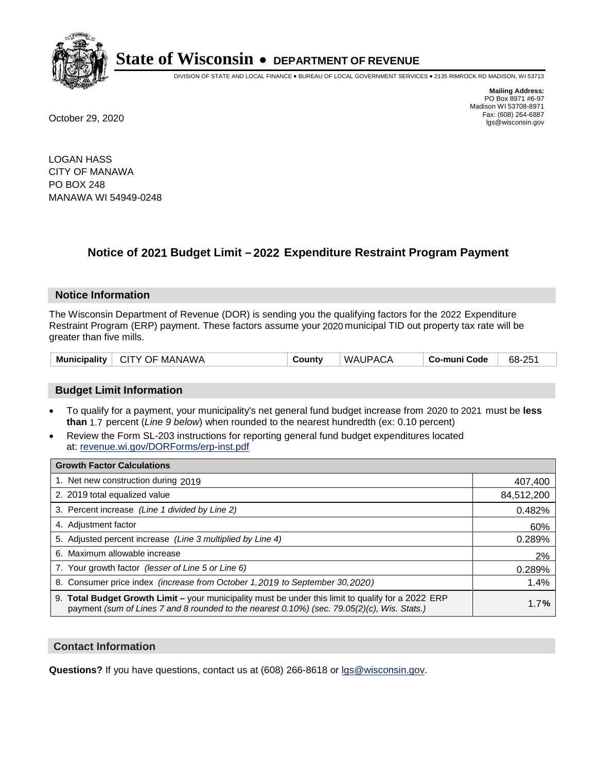

DIVISION OF STATE AND LOCAL FINANCE • BUREAU OF LOCAL GOVERNMENT SERVICES • 2135 RIMROCK RD MADISON, WI 53713

**Mailing Address:** PO Box 8971 #6-97 Madison WI 53708-8971<br>Fax: (608) 264-6887 Fax: (608) 264-6887 October 29, 2020 lgs@wisconsin.gov

LOGAN HASS CITY OF MANAWA PO BOX 248 MANAWA WI 54949-0248

## **Notice of 2021 Budget Limit - 2022 Expenditure Restraint Program Payment**

### **Notice Information**

The Wisconsin Department of Revenue (DOR) is sending you the qualifying factors for the 2022 Expenditure Restraint Program (ERP) payment. These factors assume your 2020 municipal TID out property tax rate will be greater than five mills.

| Municipality  <br>CITY OF MANAWA | Countv | WAUPACA | Co-muni Code | 68-251 |
|----------------------------------|--------|---------|--------------|--------|
|----------------------------------|--------|---------|--------------|--------|

### **Budget Limit Information**

- To qualify for a payment, your municipality's net general fund budget increase from 2020 to 2021 must be less **than** 1.7 percent (*Line 9 below*) when rounded to the nearest hundredth (ex: 0.10 percent)
- Review the Form SL-203 instructions for reporting general fund budget expenditures located at: revenue.wi.gov/DORForms/erp-inst.pdf

| <b>Growth Factor Calculations</b>                                                                                                                                                                      |            |
|--------------------------------------------------------------------------------------------------------------------------------------------------------------------------------------------------------|------------|
| 1. Net new construction during 2019                                                                                                                                                                    | 407,400    |
| 2. 2019 total equalized value                                                                                                                                                                          | 84,512,200 |
| 3. Percent increase (Line 1 divided by Line 2)                                                                                                                                                         | 0.482%     |
| 4. Adjustment factor                                                                                                                                                                                   | 60%        |
| 5. Adjusted percent increase (Line 3 multiplied by Line 4)                                                                                                                                             | 0.289%     |
| 6. Maximum allowable increase                                                                                                                                                                          | 2%         |
| 7. Your growth factor (lesser of Line 5 or Line 6)                                                                                                                                                     | 0.289%     |
| 8. Consumer price index (increase from October 1, 2019 to September 30, 2020)                                                                                                                          | 1.4%       |
| 9. Total Budget Growth Limit - your municipality must be under this limit to qualify for a 2022 ERP<br>payment (sum of Lines 7 and 8 rounded to the nearest $0.10\%$ ) (sec. 79.05(2)(c), Wis. Stats.) | 1.7%       |

### **Contact Information**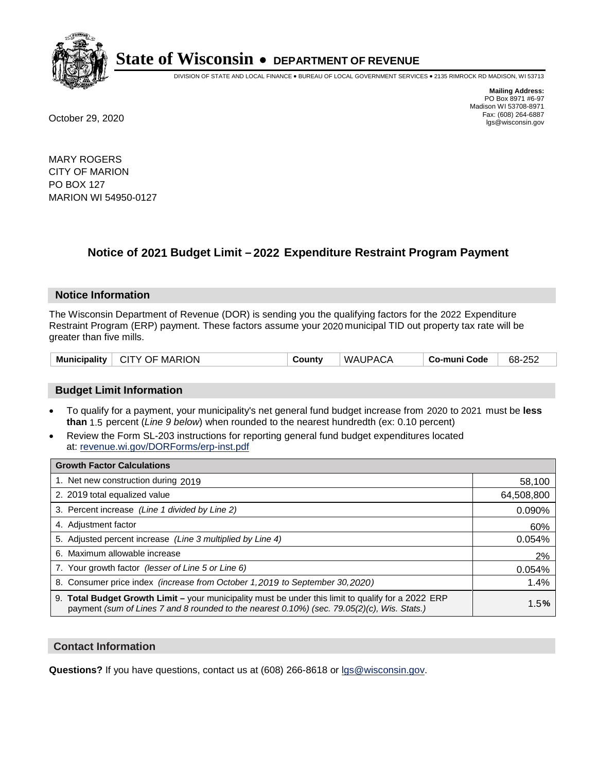

DIVISION OF STATE AND LOCAL FINANCE • BUREAU OF LOCAL GOVERNMENT SERVICES • 2135 RIMROCK RD MADISON, WI 53713

**Mailing Address:** PO Box 8971 #6-97 Madison WI 53708-8971<br>Fax: (608) 264-6887 Fax: (608) 264-6887 October 29, 2020 lgs@wisconsin.gov

MARY ROGERS CITY OF MARION PO BOX 127 MARION WI 54950-0127

## **Notice of 2021 Budget Limit - 2022 Expenditure Restraint Program Payment**

### **Notice Information**

The Wisconsin Department of Revenue (DOR) is sending you the qualifying factors for the 2022 Expenditure Restraint Program (ERP) payment. These factors assume your 2020 municipal TID out property tax rate will be greater than five mills.

| $\vdash$ CITY OF MARION<br><b>Municipality</b> | County | WAUPACA | Co-muni Code | 68-252 |
|------------------------------------------------|--------|---------|--------------|--------|
|------------------------------------------------|--------|---------|--------------|--------|

### **Budget Limit Information**

- To qualify for a payment, your municipality's net general fund budget increase from 2020 to 2021 must be less **than** 1.5 percent (*Line 9 below*) when rounded to the nearest hundredth (ex: 0.10 percent)
- Review the Form SL-203 instructions for reporting general fund budget expenditures located at: revenue.wi.gov/DORForms/erp-inst.pdf

| <b>Growth Factor Calculations</b>                                                                                                                                                                  |            |
|----------------------------------------------------------------------------------------------------------------------------------------------------------------------------------------------------|------------|
| 1. Net new construction during 2019                                                                                                                                                                | 58,100     |
| 2. 2019 total equalized value                                                                                                                                                                      | 64,508,800 |
| 3. Percent increase (Line 1 divided by Line 2)                                                                                                                                                     | 0.090%     |
| 4. Adjustment factor                                                                                                                                                                               | 60%        |
| 5. Adjusted percent increase (Line 3 multiplied by Line 4)                                                                                                                                         | 0.054%     |
| 6. Maximum allowable increase                                                                                                                                                                      | 2%         |
| 7. Your growth factor (lesser of Line 5 or Line 6)                                                                                                                                                 | 0.054%     |
| 8. Consumer price index (increase from October 1,2019 to September 30,2020)                                                                                                                        | 1.4%       |
| 9. Total Budget Growth Limit - your municipality must be under this limit to qualify for a 2022 ERP<br>payment (sum of Lines 7 and 8 rounded to the nearest 0.10%) (sec. 79.05(2)(c), Wis. Stats.) | 1.5%       |

### **Contact Information**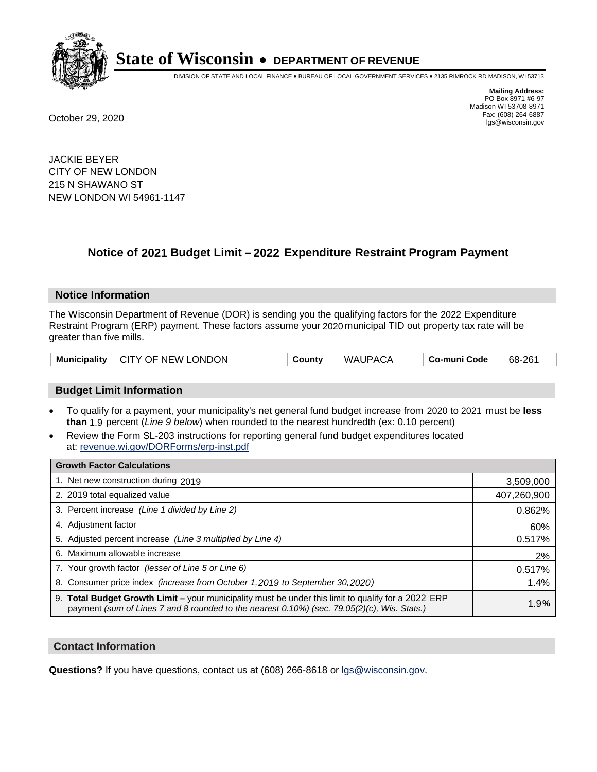

DIVISION OF STATE AND LOCAL FINANCE • BUREAU OF LOCAL GOVERNMENT SERVICES • 2135 RIMROCK RD MADISON, WI 53713

**Mailing Address:** PO Box 8971 #6-97 Madison WI 53708-8971<br>Fax: (608) 264-6887 Fax: (608) 264-6887 October 29, 2020 lgs@wisconsin.gov

JACKIE BEYER CITY OF NEW LONDON 215 N SHAWANO ST NEW LONDON WI 54961-1147

## **Notice of 2021 Budget Limit - 2022 Expenditure Restraint Program Payment**

### **Notice Information**

The Wisconsin Department of Revenue (DOR) is sending you the qualifying factors for the 2022 Expenditure Restraint Program (ERP) payment. These factors assume your 2020 municipal TID out property tax rate will be greater than five mills.

| <b>Municipality</b> | $\vdash$ CITY OF NEW LONDON | County | WAUPACA | Co-muni Code | 68-261 |
|---------------------|-----------------------------|--------|---------|--------------|--------|
|---------------------|-----------------------------|--------|---------|--------------|--------|

### **Budget Limit Information**

- To qualify for a payment, your municipality's net general fund budget increase from 2020 to 2021 must be less **than** 1.9 percent (*Line 9 below*) when rounded to the nearest hundredth (ex: 0.10 percent)
- Review the Form SL-203 instructions for reporting general fund budget expenditures located at: revenue.wi.gov/DORForms/erp-inst.pdf

| <b>Growth Factor Calculations</b>                                                                                                                                                                  |             |
|----------------------------------------------------------------------------------------------------------------------------------------------------------------------------------------------------|-------------|
| 1. Net new construction during 2019                                                                                                                                                                | 3,509,000   |
| 2. 2019 total equalized value                                                                                                                                                                      | 407,260,900 |
| 3. Percent increase (Line 1 divided by Line 2)                                                                                                                                                     | 0.862%      |
| 4. Adjustment factor                                                                                                                                                                               | 60%         |
| 5. Adjusted percent increase (Line 3 multiplied by Line 4)                                                                                                                                         | 0.517%      |
| 6. Maximum allowable increase                                                                                                                                                                      | 2%          |
| 7. Your growth factor (lesser of Line 5 or Line 6)                                                                                                                                                 | 0.517%      |
| 8. Consumer price index (increase from October 1, 2019 to September 30, 2020)                                                                                                                      | 1.4%        |
| 9. Total Budget Growth Limit - your municipality must be under this limit to qualify for a 2022 ERP<br>payment (sum of Lines 7 and 8 rounded to the nearest 0.10%) (sec. 79.05(2)(c), Wis. Stats.) | 1.9%        |

### **Contact Information**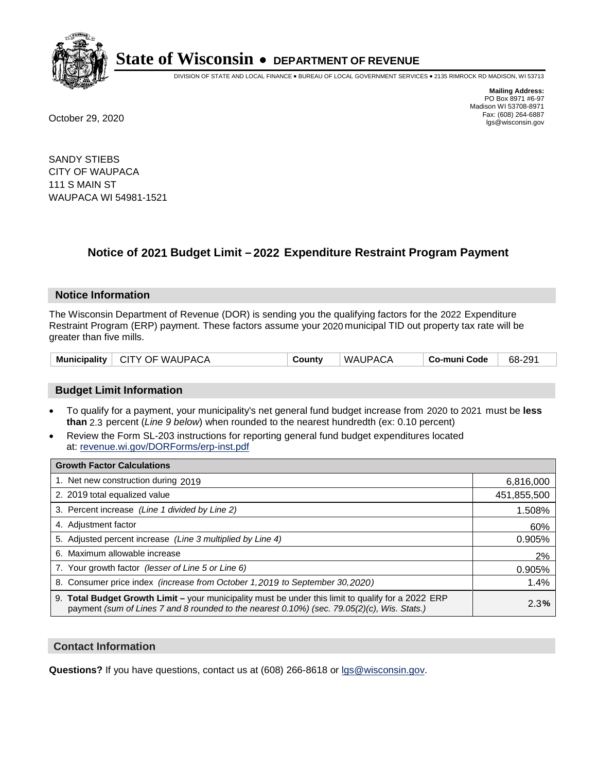

DIVISION OF STATE AND LOCAL FINANCE • BUREAU OF LOCAL GOVERNMENT SERVICES • 2135 RIMROCK RD MADISON, WI 53713

**Mailing Address:** PO Box 8971 #6-97 Madison WI 53708-8971<br>Fax: (608) 264-6887 Fax: (608) 264-6887 October 29, 2020 lgs@wisconsin.gov

SANDY STIEBS CITY OF WAUPACA 111 S MAIN ST WAUPACA WI 54981-1521

### **Notice of 2021 Budget Limit - 2022 Expenditure Restraint Program Payment**

#### **Notice Information**

The Wisconsin Department of Revenue (DOR) is sending you the qualifying factors for the 2022 Expenditure Restraint Program (ERP) payment. These factors assume your 2020 municipal TID out property tax rate will be greater than five mills.

| Municipality   CITY OF WAUPACA | County | WAUPACA | . Co-muni Code | 68-291 |
|--------------------------------|--------|---------|----------------|--------|
|--------------------------------|--------|---------|----------------|--------|

### **Budget Limit Information**

- To qualify for a payment, your municipality's net general fund budget increase from 2020 to 2021 must be less **than** 2.3 percent (*Line 9 below*) when rounded to the nearest hundredth (ex: 0.10 percent)
- Review the Form SL-203 instructions for reporting general fund budget expenditures located at: revenue.wi.gov/DORForms/erp-inst.pdf

| <b>Growth Factor Calculations</b>                                                                                                                                                                  |             |
|----------------------------------------------------------------------------------------------------------------------------------------------------------------------------------------------------|-------------|
| 1. Net new construction during 2019                                                                                                                                                                | 6,816,000   |
| 2. 2019 total equalized value                                                                                                                                                                      | 451,855,500 |
| 3. Percent increase (Line 1 divided by Line 2)                                                                                                                                                     | 1.508%      |
| 4. Adjustment factor                                                                                                                                                                               | 60%         |
| 5. Adjusted percent increase (Line 3 multiplied by Line 4)                                                                                                                                         | 0.905%      |
| Maximum allowable increase<br>6.                                                                                                                                                                   | 2%          |
| 7. Your growth factor (lesser of Line 5 or Line 6)                                                                                                                                                 | 0.905%      |
| 8. Consumer price index (increase from October 1, 2019 to September 30, 2020)                                                                                                                      | 1.4%        |
| 9. Total Budget Growth Limit - your municipality must be under this limit to qualify for a 2022 ERP<br>payment (sum of Lines 7 and 8 rounded to the nearest 0.10%) (sec. 79.05(2)(c), Wis. Stats.) | 2.3%        |

### **Contact Information**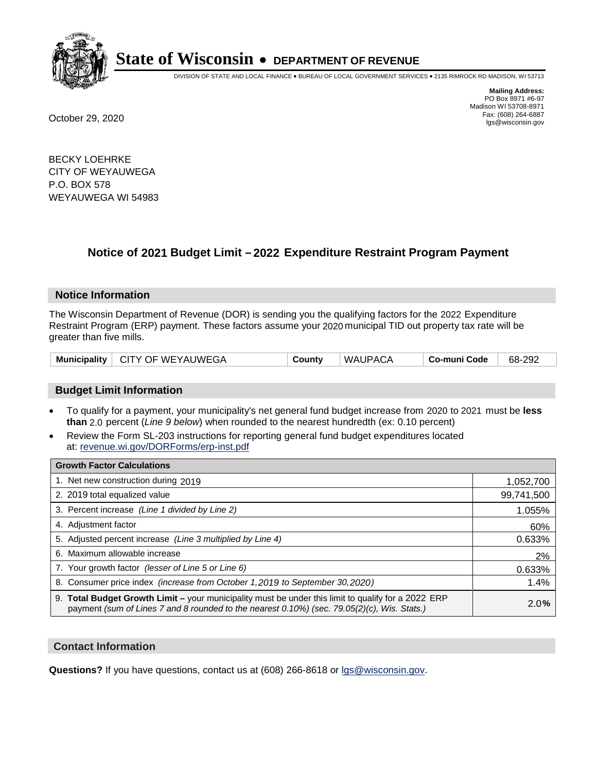

DIVISION OF STATE AND LOCAL FINANCE • BUREAU OF LOCAL GOVERNMENT SERVICES • 2135 RIMROCK RD MADISON, WI 53713

**Mailing Address:** PO Box 8971 #6-97 Madison WI 53708-8971<br>Fax: (608) 264-6887 Fax: (608) 264-6887 October 29, 2020 lgs@wisconsin.gov

BECKY LOEHRKE CITY OF WEYAUWEGA P.O. BOX 578 WEYAUWEGA WI 54983

## **Notice of 2021 Budget Limit - 2022 Expenditure Restraint Program Payment**

### **Notice Information**

The Wisconsin Department of Revenue (DOR) is sending you the qualifying factors for the 2022 Expenditure Restraint Program (ERP) payment. These factors assume your 2020 municipal TID out property tax rate will be greater than five mills.

| Municipality | $\vdash$ CITY OF WEYAUWEGA | County | WAUPACA | Co-muni Code | 68-292 |
|--------------|----------------------------|--------|---------|--------------|--------|
|--------------|----------------------------|--------|---------|--------------|--------|

### **Budget Limit Information**

- To qualify for a payment, your municipality's net general fund budget increase from 2020 to 2021 must be less **than** 2.0 percent (*Line 9 below*) when rounded to the nearest hundredth (ex: 0.10 percent)
- Review the Form SL-203 instructions for reporting general fund budget expenditures located at: revenue.wi.gov/DORForms/erp-inst.pdf

| <b>Growth Factor Calculations</b>                                                                                                                                                                      |            |
|--------------------------------------------------------------------------------------------------------------------------------------------------------------------------------------------------------|------------|
| 1. Net new construction during 2019                                                                                                                                                                    | 1,052,700  |
| 2. 2019 total equalized value                                                                                                                                                                          | 99,741,500 |
| 3. Percent increase (Line 1 divided by Line 2)                                                                                                                                                         | 1.055%     |
| 4. Adiustment factor                                                                                                                                                                                   | 60%        |
| 5. Adjusted percent increase (Line 3 multiplied by Line 4)                                                                                                                                             | 0.633%     |
| 6. Maximum allowable increase                                                                                                                                                                          | 2%         |
| 7. Your growth factor (lesser of Line 5 or Line 6)                                                                                                                                                     | 0.633%     |
| 8. Consumer price index (increase from October 1,2019 to September 30,2020)                                                                                                                            | 1.4%       |
| 9. Total Budget Growth Limit - your municipality must be under this limit to qualify for a 2022 ERP<br>payment (sum of Lines 7 and 8 rounded to the nearest $0.10\%$ ) (sec. 79.05(2)(c), Wis. Stats.) | 2.0%       |

### **Contact Information**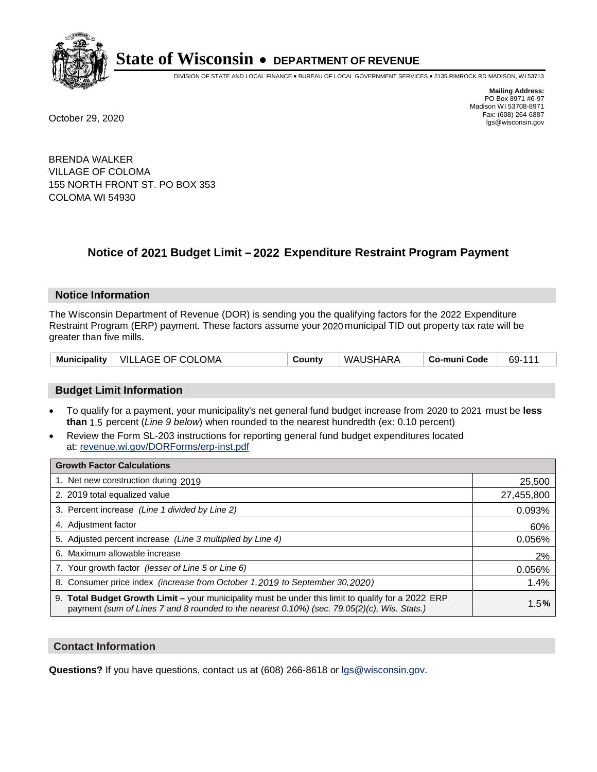

DIVISION OF STATE AND LOCAL FINANCE • BUREAU OF LOCAL GOVERNMENT SERVICES • 2135 RIMROCK RD MADISON, WI 53713

**Mailing Address:** PO Box 8971 #6-97 Madison WI 53708-8971<br>Fax: (608) 264-6887 Fax: (608) 264-6887 October 29, 2020 lgs@wisconsin.gov

BRENDA WALKER VILLAGE OF COLOMA 155 NORTH FRONT ST. PO BOX 353 COLOMA WI 54930

### **Notice of 2021 Budget Limit - 2022 Expenditure Restraint Program Payment**

### **Notice Information**

The Wisconsin Department of Revenue (DOR) is sending you the qualifying factors for the 2022 Expenditure Restraint Program (ERP) payment. These factors assume your 2020 municipal TID out property tax rate will be greater than five mills.

| Municipality   VILLAGE OF COLOMA | County | WAUSHARA | Co-muni Code | 69-111 |
|----------------------------------|--------|----------|--------------|--------|
|----------------------------------|--------|----------|--------------|--------|

### **Budget Limit Information**

- To qualify for a payment, your municipality's net general fund budget increase from 2020 to 2021 must be less **than** 1.5 percent (*Line 9 below*) when rounded to the nearest hundredth (ex: 0.10 percent)
- Review the Form SL-203 instructions for reporting general fund budget expenditures located at: revenue.wi.gov/DORForms/erp-inst.pdf

| <b>Growth Factor Calculations</b>                                                                                                                                                                      |            |
|--------------------------------------------------------------------------------------------------------------------------------------------------------------------------------------------------------|------------|
| 1. Net new construction during 2019                                                                                                                                                                    | 25,500     |
| 2. 2019 total equalized value                                                                                                                                                                          | 27,455,800 |
| 3. Percent increase (Line 1 divided by Line 2)                                                                                                                                                         | 0.093%     |
| 4. Adjustment factor                                                                                                                                                                                   | 60%        |
| 5. Adjusted percent increase (Line 3 multiplied by Line 4)                                                                                                                                             | 0.056%     |
| 6. Maximum allowable increase                                                                                                                                                                          | 2%         |
| 7. Your growth factor (lesser of Line 5 or Line 6)                                                                                                                                                     | 0.056%     |
| 8. Consumer price index (increase from October 1,2019 to September 30,2020)                                                                                                                            | 1.4%       |
| 9. Total Budget Growth Limit - your municipality must be under this limit to qualify for a 2022 ERP<br>payment (sum of Lines 7 and 8 rounded to the nearest $0.10\%$ ) (sec. 79.05(2)(c), Wis. Stats.) | 1.5%       |

### **Contact Information**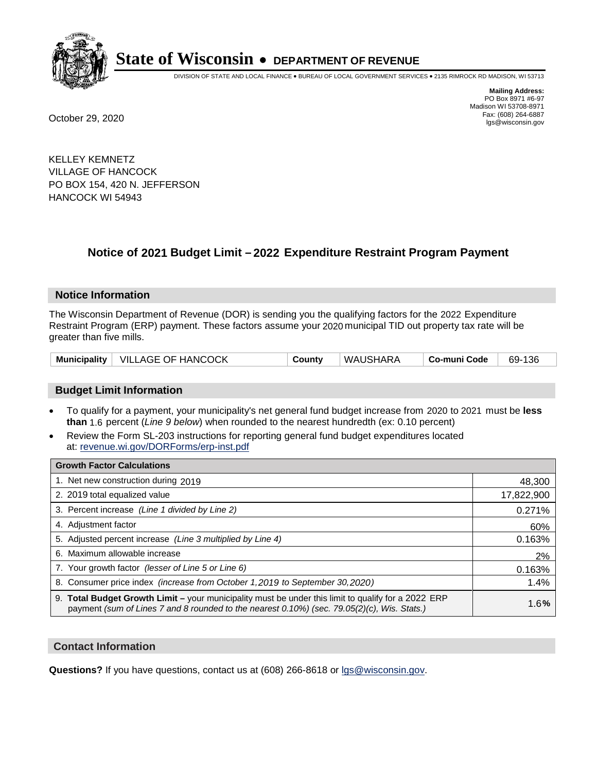

DIVISION OF STATE AND LOCAL FINANCE • BUREAU OF LOCAL GOVERNMENT SERVICES • 2135 RIMROCK RD MADISON, WI 53713

**Mailing Address:** PO Box 8971 #6-97 Madison WI 53708-8971<br>Fax: (608) 264-6887 Fax: (608) 264-6887 October 29, 2020 lgs@wisconsin.gov

KELLEY KEMNETZ VILLAGE OF HANCOCK PO BOX 154, 420 N. JEFFERSON HANCOCK WI 54943

## **Notice of 2021 Budget Limit - 2022 Expenditure Restraint Program Payment**

#### **Notice Information**

The Wisconsin Department of Revenue (DOR) is sending you the qualifying factors for the 2022 Expenditure Restraint Program (ERP) payment. These factors assume your 2020 municipal TID out property tax rate will be greater than five mills.

|  | Municipality   VILLAGE OF HANCOCK | County | WAUSHARA | Co-muni Code | 69-136 |
|--|-----------------------------------|--------|----------|--------------|--------|
|--|-----------------------------------|--------|----------|--------------|--------|

### **Budget Limit Information**

- To qualify for a payment, your municipality's net general fund budget increase from 2020 to 2021 must be less **than** 1.6 percent (*Line 9 below*) when rounded to the nearest hundredth (ex: 0.10 percent)
- Review the Form SL-203 instructions for reporting general fund budget expenditures located at: revenue.wi.gov/DORForms/erp-inst.pdf

| <b>Growth Factor Calculations</b>                                                                                                                                                                      |            |
|--------------------------------------------------------------------------------------------------------------------------------------------------------------------------------------------------------|------------|
| 1. Net new construction during 2019                                                                                                                                                                    | 48,300     |
| 2. 2019 total equalized value                                                                                                                                                                          | 17,822,900 |
| 3. Percent increase (Line 1 divided by Line 2)                                                                                                                                                         | 0.271%     |
| 4. Adjustment factor                                                                                                                                                                                   | 60%        |
| 5. Adjusted percent increase (Line 3 multiplied by Line 4)                                                                                                                                             | 0.163%     |
| 6. Maximum allowable increase                                                                                                                                                                          | 2%         |
| 7. Your growth factor (lesser of Line 5 or Line 6)                                                                                                                                                     | 0.163%     |
| 8. Consumer price index (increase from October 1, 2019 to September 30, 2020)                                                                                                                          | 1.4%       |
| 9. Total Budget Growth Limit - your municipality must be under this limit to qualify for a 2022 ERP<br>payment (sum of Lines 7 and 8 rounded to the nearest $0.10\%$ ) (sec. 79.05(2)(c), Wis. Stats.) | 1.6%       |

### **Contact Information**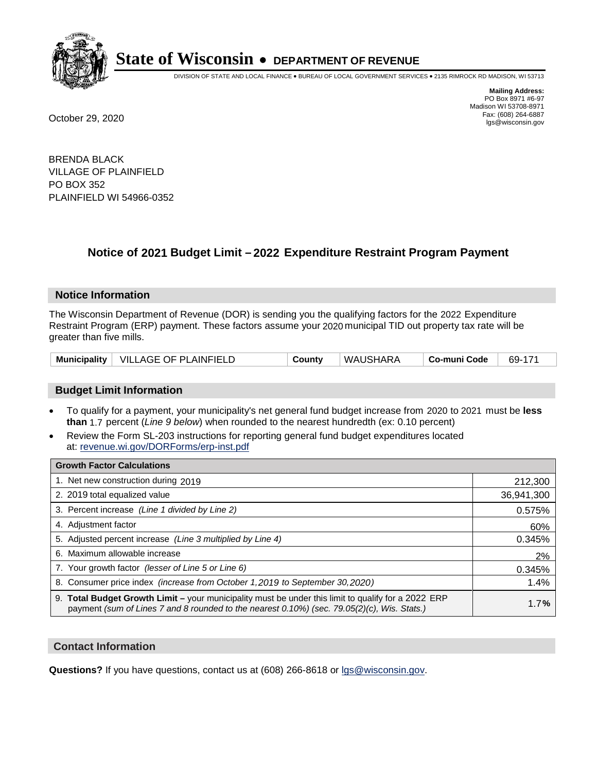

DIVISION OF STATE AND LOCAL FINANCE • BUREAU OF LOCAL GOVERNMENT SERVICES • 2135 RIMROCK RD MADISON, WI 53713

**Mailing Address:** PO Box 8971 #6-97 Madison WI 53708-8971<br>Fax: (608) 264-6887 Fax: (608) 264-6887 October 29, 2020 lgs@wisconsin.gov

BRENDA BLACK VILLAGE OF PLAINFIELD PO BOX 352 PLAINFIELD WI 54966-0352

## **Notice of 2021 Budget Limit - 2022 Expenditure Restraint Program Payment**

### **Notice Information**

The Wisconsin Department of Revenue (DOR) is sending you the qualifying factors for the 2022 Expenditure Restraint Program (ERP) payment. These factors assume your 2020 municipal TID out property tax rate will be greater than five mills.

| Municipality   VILLAGE OF PLAINFIELD |  | County | WAUSHARA | Co-muni Code | 69-171 |
|--------------------------------------|--|--------|----------|--------------|--------|
|--------------------------------------|--|--------|----------|--------------|--------|

### **Budget Limit Information**

- To qualify for a payment, your municipality's net general fund budget increase from 2020 to 2021 must be less **than** 1.7 percent (*Line 9 below*) when rounded to the nearest hundredth (ex: 0.10 percent)
- Review the Form SL-203 instructions for reporting general fund budget expenditures located at: revenue.wi.gov/DORForms/erp-inst.pdf

| <b>Growth Factor Calculations</b>                                                                                                                                                                  |            |
|----------------------------------------------------------------------------------------------------------------------------------------------------------------------------------------------------|------------|
| 1. Net new construction during 2019                                                                                                                                                                | 212,300    |
| 2. 2019 total equalized value                                                                                                                                                                      | 36,941,300 |
| 3. Percent increase (Line 1 divided by Line 2)                                                                                                                                                     | 0.575%     |
| 4. Adjustment factor                                                                                                                                                                               | 60%        |
| 5. Adjusted percent increase (Line 3 multiplied by Line 4)                                                                                                                                         | 0.345%     |
| 6. Maximum allowable increase                                                                                                                                                                      | 2%         |
| 7. Your growth factor (lesser of Line 5 or Line 6)                                                                                                                                                 | 0.345%     |
| 8. Consumer price index (increase from October 1,2019 to September 30,2020)                                                                                                                        | 1.4%       |
| 9. Total Budget Growth Limit - your municipality must be under this limit to qualify for a 2022 ERP<br>payment (sum of Lines 7 and 8 rounded to the nearest 0.10%) (sec. 79.05(2)(c), Wis. Stats.) | 1.7%       |

### **Contact Information**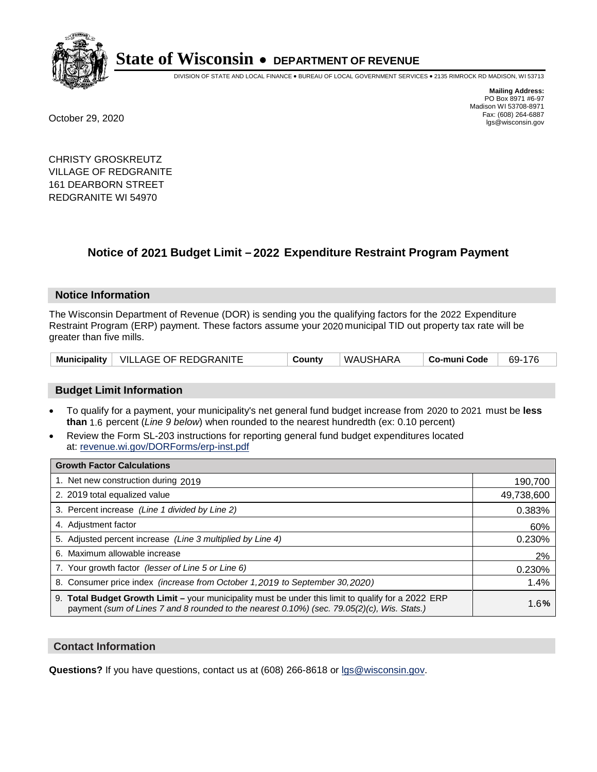

DIVISION OF STATE AND LOCAL FINANCE • BUREAU OF LOCAL GOVERNMENT SERVICES • 2135 RIMROCK RD MADISON, WI 53713

**Mailing Address:** PO Box 8971 #6-97 Madison WI 53708-8971<br>Fax: (608) 264-6887 Fax: (608) 264-6887 October 29, 2020 lgs@wisconsin.gov

CHRISTY GROSKREUTZ VILLAGE OF REDGRANITE 161 DEARBORN STREET REDGRANITE WI 54970

## **Notice of 2021 Budget Limit - 2022 Expenditure Restraint Program Payment**

### **Notice Information**

The Wisconsin Department of Revenue (DOR) is sending you the qualifying factors for the 2022 Expenditure Restraint Program (ERP) payment. These factors assume your 2020 municipal TID out property tax rate will be greater than five mills.

|  | Municipality   VILLAGE OF REDGRANITE | County | WAUSHARA | ∣ Co-muni Code | 69-176 |
|--|--------------------------------------|--------|----------|----------------|--------|
|--|--------------------------------------|--------|----------|----------------|--------|

### **Budget Limit Information**

- To qualify for a payment, your municipality's net general fund budget increase from 2020 to 2021 must be less **than** 1.6 percent (*Line 9 below*) when rounded to the nearest hundredth (ex: 0.10 percent)
- Review the Form SL-203 instructions for reporting general fund budget expenditures located at: revenue.wi.gov/DORForms/erp-inst.pdf

| <b>Growth Factor Calculations</b>                                                                                                                                                                  |            |
|----------------------------------------------------------------------------------------------------------------------------------------------------------------------------------------------------|------------|
| 1. Net new construction during 2019                                                                                                                                                                | 190,700    |
| 2. 2019 total equalized value                                                                                                                                                                      | 49,738,600 |
| 3. Percent increase (Line 1 divided by Line 2)                                                                                                                                                     | 0.383%     |
| 4. Adjustment factor                                                                                                                                                                               | 60%        |
| 5. Adjusted percent increase (Line 3 multiplied by Line 4)                                                                                                                                         | 0.230%     |
| 6. Maximum allowable increase                                                                                                                                                                      | 2%         |
| 7. Your growth factor (lesser of Line 5 or Line 6)                                                                                                                                                 | 0.230%     |
| 8. Consumer price index (increase from October 1,2019 to September 30,2020)                                                                                                                        | 1.4%       |
| 9. Total Budget Growth Limit - your municipality must be under this limit to qualify for a 2022 ERP<br>payment (sum of Lines 7 and 8 rounded to the nearest 0.10%) (sec. 79.05(2)(c), Wis. Stats.) | 1.6%       |

### **Contact Information**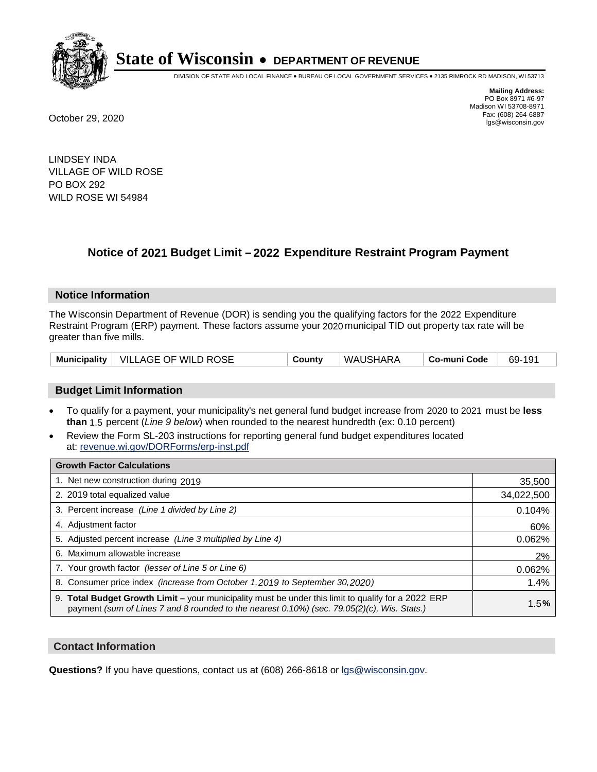

DIVISION OF STATE AND LOCAL FINANCE • BUREAU OF LOCAL GOVERNMENT SERVICES • 2135 RIMROCK RD MADISON, WI 53713

**Mailing Address:** PO Box 8971 #6-97 Madison WI 53708-8971<br>Fax: (608) 264-6887 Fax: (608) 264-6887 October 29, 2020 lgs@wisconsin.gov

LINDSEY INDA VILLAGE OF WILD ROSE PO BOX 292 WILD ROSE WI 54984

## **Notice of 2021 Budget Limit - 2022 Expenditure Restraint Program Payment**

### **Notice Information**

The Wisconsin Department of Revenue (DOR) is sending you the qualifying factors for the 2022 Expenditure Restraint Program (ERP) payment. These factors assume your 2020 municipal TID out property tax rate will be greater than five mills.

|  | Municipality   VILLAGE OF WILD ROSE | County | WAUSHARA | ∣ Co-muni Code | 69-191 |
|--|-------------------------------------|--------|----------|----------------|--------|
|--|-------------------------------------|--------|----------|----------------|--------|

### **Budget Limit Information**

- To qualify for a payment, your municipality's net general fund budget increase from 2020 to 2021 must be less **than** 1.5 percent (*Line 9 below*) when rounded to the nearest hundredth (ex: 0.10 percent)
- Review the Form SL-203 instructions for reporting general fund budget expenditures located at: revenue.wi.gov/DORForms/erp-inst.pdf

| <b>Growth Factor Calculations</b>                                                                                                                                                                  |            |
|----------------------------------------------------------------------------------------------------------------------------------------------------------------------------------------------------|------------|
| 1. Net new construction during 2019                                                                                                                                                                | 35,500     |
| 2. 2019 total equalized value                                                                                                                                                                      | 34,022,500 |
| 3. Percent increase (Line 1 divided by Line 2)                                                                                                                                                     | 0.104%     |
| 4. Adjustment factor                                                                                                                                                                               | 60%        |
| 5. Adjusted percent increase (Line 3 multiplied by Line 4)                                                                                                                                         | 0.062%     |
| 6. Maximum allowable increase                                                                                                                                                                      | 2%         |
| 7. Your growth factor (lesser of Line 5 or Line 6)                                                                                                                                                 | 0.062%     |
| 8. Consumer price index (increase from October 1,2019 to September 30,2020)                                                                                                                        | 1.4%       |
| 9. Total Budget Growth Limit - your municipality must be under this limit to qualify for a 2022 ERP<br>payment (sum of Lines 7 and 8 rounded to the nearest 0.10%) (sec. 79.05(2)(c), Wis. Stats.) | 1.5%       |

### **Contact Information**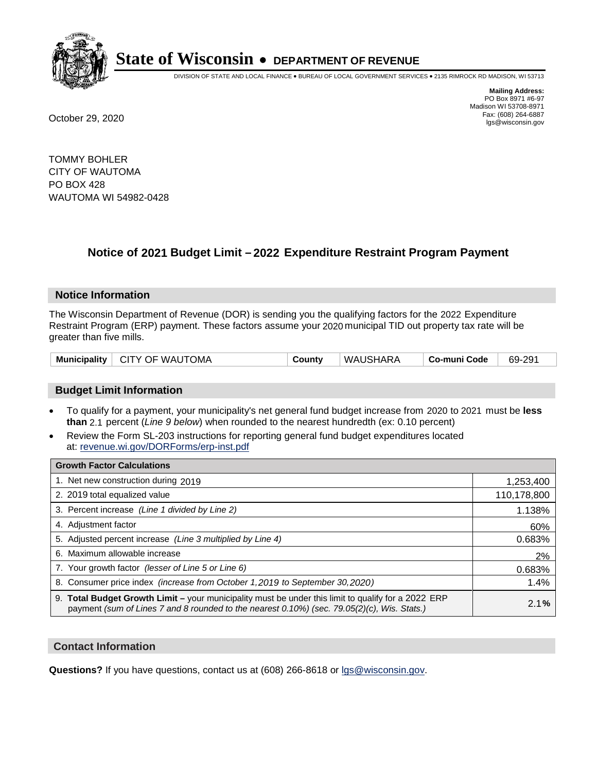

DIVISION OF STATE AND LOCAL FINANCE • BUREAU OF LOCAL GOVERNMENT SERVICES • 2135 RIMROCK RD MADISON, WI 53713

**Mailing Address:** PO Box 8971 #6-97 Madison WI 53708-8971<br>Fax: (608) 264-6887 Fax: (608) 264-6887 October 29, 2020 lgs@wisconsin.gov

TOMMY BOHLER CITY OF WAUTOMA PO BOX 428 WAUTOMA WI 54982-0428

### **Notice of 2021 Budget Limit - 2022 Expenditure Restraint Program Payment**

#### **Notice Information**

The Wisconsin Department of Revenue (DOR) is sending you the qualifying factors for the 2022 Expenditure Restraint Program (ERP) payment. These factors assume your 2020 municipal TID out property tax rate will be greater than five mills.

|  | Municipality   CITY OF WAUTOMA | County | ' WAUSHARA | ∣ Co-muni Code | 69-291 |
|--|--------------------------------|--------|------------|----------------|--------|
|--|--------------------------------|--------|------------|----------------|--------|

### **Budget Limit Information**

- To qualify for a payment, your municipality's net general fund budget increase from 2020 to 2021 must be less **than** 2.1 percent (*Line 9 below*) when rounded to the nearest hundredth (ex: 0.10 percent)
- Review the Form SL-203 instructions for reporting general fund budget expenditures located at: revenue.wi.gov/DORForms/erp-inst.pdf

| <b>Growth Factor Calculations</b>                                                                                                                                                                  |             |
|----------------------------------------------------------------------------------------------------------------------------------------------------------------------------------------------------|-------------|
| 1. Net new construction during 2019                                                                                                                                                                | 1,253,400   |
| 2. 2019 total equalized value                                                                                                                                                                      | 110,178,800 |
| 3. Percent increase (Line 1 divided by Line 2)                                                                                                                                                     | 1.138%      |
| 4. Adjustment factor                                                                                                                                                                               | 60%         |
| 5. Adjusted percent increase (Line 3 multiplied by Line 4)                                                                                                                                         | 0.683%      |
| 6. Maximum allowable increase                                                                                                                                                                      | 2%          |
| 7. Your growth factor (lesser of Line 5 or Line 6)                                                                                                                                                 | 0.683%      |
| 8. Consumer price index (increase from October 1, 2019 to September 30, 2020)                                                                                                                      | 1.4%        |
| 9. Total Budget Growth Limit - your municipality must be under this limit to qualify for a 2022 ERP<br>payment (sum of Lines 7 and 8 rounded to the nearest 0.10%) (sec. 79.05(2)(c), Wis. Stats.) | 2.1%        |

### **Contact Information**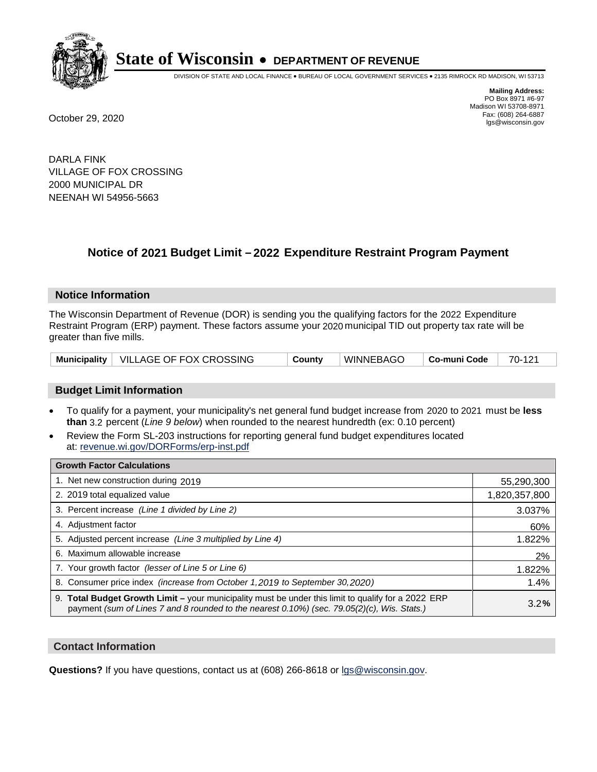

DIVISION OF STATE AND LOCAL FINANCE • BUREAU OF LOCAL GOVERNMENT SERVICES • 2135 RIMROCK RD MADISON, WI 53713

**Mailing Address:** PO Box 8971 #6-97 Madison WI 53708-8971<br>Fax: (608) 264-6887 Fax: (608) 264-6887 October 29, 2020 lgs@wisconsin.gov

DARLA FINK VILLAGE OF FOX CROSSING 2000 MUNICIPAL DR NEENAH WI 54956-5663

## **Notice of 2021 Budget Limit - 2022 Expenditure Restraint Program Payment**

### **Notice Information**

The Wisconsin Department of Revenue (DOR) is sending you the qualifying factors for the 2022 Expenditure Restraint Program (ERP) payment. These factors assume your 2020 municipal TID out property tax rate will be greater than five mills.

|  | Municipality   VILLAGE OF FOX CROSSING | County | <sup>∣</sup> WINNEBAGO | Co-muni Code | 70-121 |
|--|----------------------------------------|--------|------------------------|--------------|--------|
|--|----------------------------------------|--------|------------------------|--------------|--------|

### **Budget Limit Information**

- To qualify for a payment, your municipality's net general fund budget increase from 2020 to 2021 must be less **than** 3.2 percent (*Line 9 below*) when rounded to the nearest hundredth (ex: 0.10 percent)
- Review the Form SL-203 instructions for reporting general fund budget expenditures located at: revenue.wi.gov/DORForms/erp-inst.pdf

| <b>Growth Factor Calculations</b>                                                                                                                                                                  |               |
|----------------------------------------------------------------------------------------------------------------------------------------------------------------------------------------------------|---------------|
| 1. Net new construction during 2019                                                                                                                                                                | 55,290,300    |
| 2. 2019 total equalized value                                                                                                                                                                      | 1,820,357,800 |
| 3. Percent increase (Line 1 divided by Line 2)                                                                                                                                                     | 3.037%        |
| 4. Adjustment factor                                                                                                                                                                               | 60%           |
| 5. Adjusted percent increase (Line 3 multiplied by Line 4)                                                                                                                                         | 1.822%        |
| 6. Maximum allowable increase                                                                                                                                                                      | 2%            |
| 7. Your growth factor (lesser of Line 5 or Line 6)                                                                                                                                                 | 1.822%        |
| 8. Consumer price index (increase from October 1, 2019 to September 30, 2020)                                                                                                                      | 1.4%          |
| 9. Total Budget Growth Limit - your municipality must be under this limit to qualify for a 2022 ERP<br>payment (sum of Lines 7 and 8 rounded to the nearest 0.10%) (sec. 79.05(2)(c), Wis. Stats.) | 3.2%          |

### **Contact Information**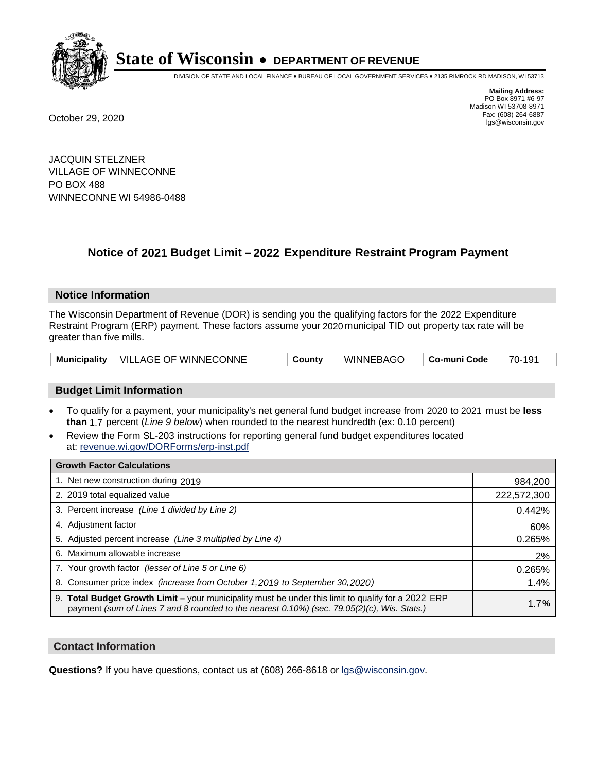

DIVISION OF STATE AND LOCAL FINANCE • BUREAU OF LOCAL GOVERNMENT SERVICES • 2135 RIMROCK RD MADISON, WI 53713

**Mailing Address:** PO Box 8971 #6-97 Madison WI 53708-8971<br>Fax: (608) 264-6887 Fax: (608) 264-6887 October 29, 2020 lgs@wisconsin.gov

JACQUIN STELZNER VILLAGE OF WINNECONNE PO BOX 488 WINNECONNE WI 54986-0488

## **Notice of 2021 Budget Limit - 2022 Expenditure Restraint Program Payment**

### **Notice Information**

The Wisconsin Department of Revenue (DOR) is sending you the qualifying factors for the 2022 Expenditure Restraint Program (ERP) payment. These factors assume your 2020 municipal TID out property tax rate will be greater than five mills.

|  | Municipality   VILLAGE OF WINNECONNE | County | WINNEBAGO | Co-muni Code | 70-191 |
|--|--------------------------------------|--------|-----------|--------------|--------|
|--|--------------------------------------|--------|-----------|--------------|--------|

### **Budget Limit Information**

- To qualify for a payment, your municipality's net general fund budget increase from 2020 to 2021 must be less **than** 1.7 percent (*Line 9 below*) when rounded to the nearest hundredth (ex: 0.10 percent)
- Review the Form SL-203 instructions for reporting general fund budget expenditures located at: revenue.wi.gov/DORForms/erp-inst.pdf

| <b>Growth Factor Calculations</b>                                                                                                                                                                      |             |
|--------------------------------------------------------------------------------------------------------------------------------------------------------------------------------------------------------|-------------|
| 1. Net new construction during 2019                                                                                                                                                                    | 984,200     |
| 2. 2019 total equalized value                                                                                                                                                                          | 222,572,300 |
| 3. Percent increase (Line 1 divided by Line 2)                                                                                                                                                         | 0.442%      |
| 4. Adjustment factor                                                                                                                                                                                   | 60%         |
| 5. Adjusted percent increase (Line 3 multiplied by Line 4)                                                                                                                                             | 0.265%      |
| 6. Maximum allowable increase                                                                                                                                                                          | 2%          |
| 7. Your growth factor (lesser of Line 5 or Line 6)                                                                                                                                                     | 0.265%      |
| 8. Consumer price index (increase from October 1,2019 to September 30,2020)                                                                                                                            | 1.4%        |
| 9. Total Budget Growth Limit - your municipality must be under this limit to qualify for a 2022 ERP<br>payment (sum of Lines 7 and 8 rounded to the nearest $0.10\%$ ) (sec. 79.05(2)(c), Wis. Stats.) | 1.7%        |

### **Contact Information**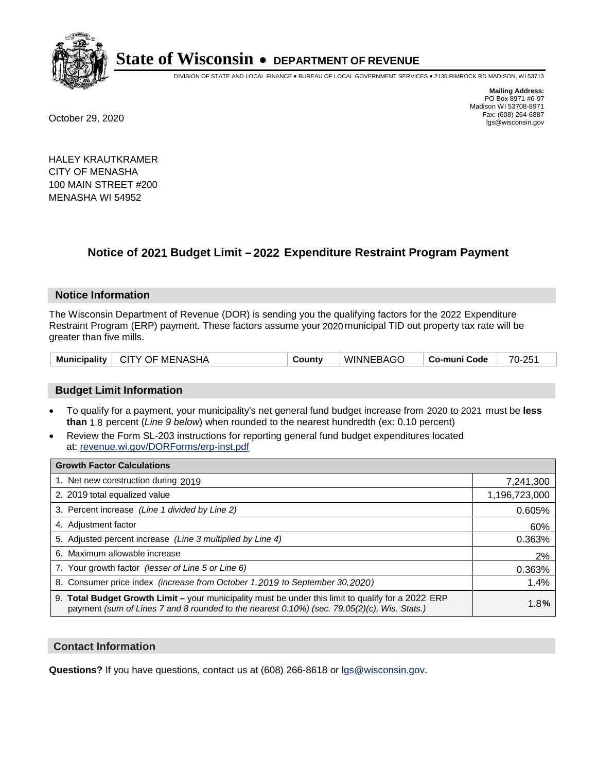

DIVISION OF STATE AND LOCAL FINANCE • BUREAU OF LOCAL GOVERNMENT SERVICES • 2135 RIMROCK RD MADISON, WI 53713

**Mailing Address:** PO Box 8971 #6-97 Madison WI 53708-8971<br>Fax: (608) 264-6887 Fax: (608) 264-6887 October 29, 2020 lgs@wisconsin.gov

HALEY KRAUTKRAMER CITY OF MENASHA 100 MAIN STREET #200 MENASHA WI 54952

## **Notice of 2021 Budget Limit - 2022 Expenditure Restraint Program Payment**

### **Notice Information**

The Wisconsin Department of Revenue (DOR) is sending you the qualifying factors for the 2022 Expenditure Restraint Program (ERP) payment. These factors assume your 2020 municipal TID out property tax rate will be greater than five mills.

|  | Municipality   CITY OF MENASHA | County | <b>WINNEBAGO</b> | Co-muni Code | 70-251 |
|--|--------------------------------|--------|------------------|--------------|--------|
|--|--------------------------------|--------|------------------|--------------|--------|

### **Budget Limit Information**

- To qualify for a payment, your municipality's net general fund budget increase from 2020 to 2021 must be less **than** 1.8 percent (*Line 9 below*) when rounded to the nearest hundredth (ex: 0.10 percent)
- Review the Form SL-203 instructions for reporting general fund budget expenditures located at: revenue.wi.gov/DORForms/erp-inst.pdf

| <b>Growth Factor Calculations</b>                                                                                                                                                                      |               |
|--------------------------------------------------------------------------------------------------------------------------------------------------------------------------------------------------------|---------------|
| 1. Net new construction during 2019                                                                                                                                                                    | 7,241,300     |
| 2. 2019 total equalized value                                                                                                                                                                          | 1,196,723,000 |
| 3. Percent increase (Line 1 divided by Line 2)                                                                                                                                                         | 0.605%        |
| 4. Adjustment factor                                                                                                                                                                                   | 60%           |
| 5. Adjusted percent increase (Line 3 multiplied by Line 4)                                                                                                                                             | 0.363%        |
| 6. Maximum allowable increase                                                                                                                                                                          | 2%            |
| 7. Your growth factor (lesser of Line 5 or Line 6)                                                                                                                                                     | 0.363%        |
| 8. Consumer price index (increase from October 1,2019 to September 30,2020)                                                                                                                            | 1.4%          |
| 9. Total Budget Growth Limit - your municipality must be under this limit to qualify for a 2022 ERP<br>payment (sum of Lines 7 and 8 rounded to the nearest $0.10\%$ ) (sec. 79.05(2)(c), Wis. Stats.) | 1.8%          |

### **Contact Information**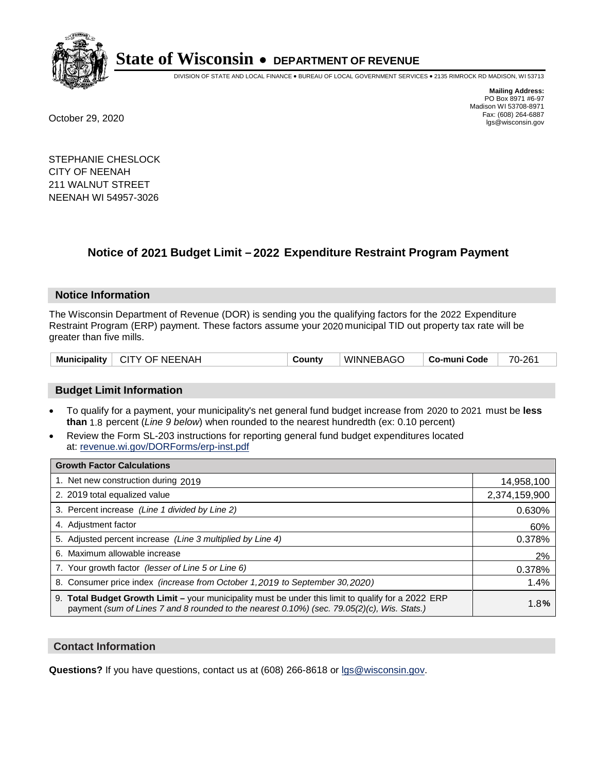

DIVISION OF STATE AND LOCAL FINANCE • BUREAU OF LOCAL GOVERNMENT SERVICES • 2135 RIMROCK RD MADISON, WI 53713

**Mailing Address:** PO Box 8971 #6-97 Madison WI 53708-8971<br>Fax: (608) 264-6887 Fax: (608) 264-6887 October 29, 2020 lgs@wisconsin.gov

STEPHANIE CHESLOCK CITY OF NEENAH 211 WALNUT STREET NEENAH WI 54957-3026

## **Notice of 2021 Budget Limit - 2022 Expenditure Restraint Program Payment**

### **Notice Information**

The Wisconsin Department of Revenue (DOR) is sending you the qualifying factors for the 2022 Expenditure Restraint Program (ERP) payment. These factors assume your 2020 municipal TID out property tax rate will be greater than five mills.

| Municipality   CITY OF NEENAH | County | <b>WINNEBAGO</b> | ∣ Co-muni Code ∣ | 70-261 |
|-------------------------------|--------|------------------|------------------|--------|
|-------------------------------|--------|------------------|------------------|--------|

### **Budget Limit Information**

- To qualify for a payment, your municipality's net general fund budget increase from 2020 to 2021 must be less **than** 1.8 percent (*Line 9 below*) when rounded to the nearest hundredth (ex: 0.10 percent)
- Review the Form SL-203 instructions for reporting general fund budget expenditures located at: revenue.wi.gov/DORForms/erp-inst.pdf

| <b>Growth Factor Calculations</b>                                                                                                                                                                  |               |
|----------------------------------------------------------------------------------------------------------------------------------------------------------------------------------------------------|---------------|
| 1. Net new construction during 2019                                                                                                                                                                | 14,958,100    |
| 2. 2019 total equalized value                                                                                                                                                                      | 2,374,159,900 |
| 3. Percent increase (Line 1 divided by Line 2)                                                                                                                                                     | 0.630%        |
| 4. Adjustment factor                                                                                                                                                                               | 60%           |
| 5. Adjusted percent increase (Line 3 multiplied by Line 4)                                                                                                                                         | 0.378%        |
| 6. Maximum allowable increase                                                                                                                                                                      | 2%            |
| 7. Your growth factor (lesser of Line 5 or Line 6)                                                                                                                                                 | 0.378%        |
| 8. Consumer price index (increase from October 1,2019 to September 30,2020)                                                                                                                        | 1.4%          |
| 9. Total Budget Growth Limit - your municipality must be under this limit to qualify for a 2022 ERP<br>payment (sum of Lines 7 and 8 rounded to the nearest 0.10%) (sec. 79.05(2)(c), Wis. Stats.) | 1.8%          |

### **Contact Information**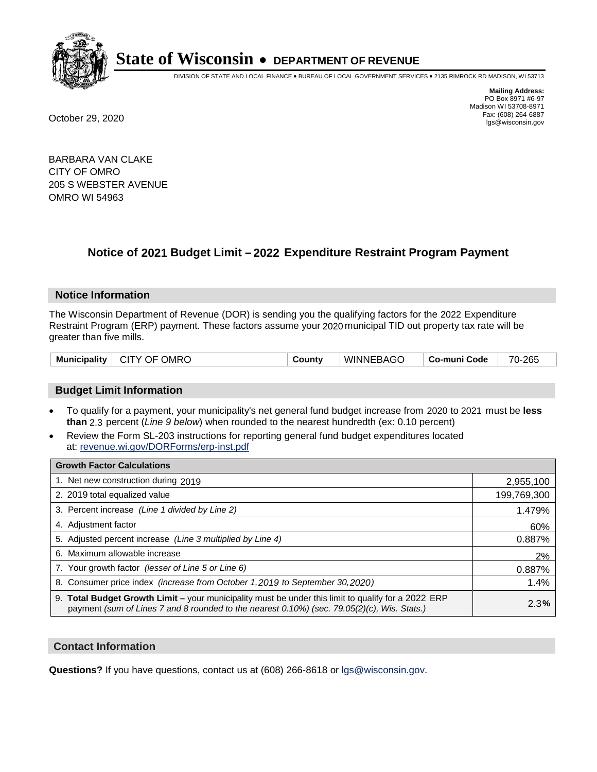

DIVISION OF STATE AND LOCAL FINANCE • BUREAU OF LOCAL GOVERNMENT SERVICES • 2135 RIMROCK RD MADISON, WI 53713

**Mailing Address:** PO Box 8971 #6-97 Madison WI 53708-8971<br>Fax: (608) 264-6887 Fax: (608) 264-6887 October 29, 2020 lgs@wisconsin.gov

BARBARA VAN CLAKE CITY OF OMRO 205 S WEBSTER AVENUE OMRO WI 54963

## **Notice of 2021 Budget Limit - 2022 Expenditure Restraint Program Payment**

### **Notice Information**

The Wisconsin Department of Revenue (DOR) is sending you the qualifying factors for the 2022 Expenditure Restraint Program (ERP) payment. These factors assume your 2020 municipal TID out property tax rate will be greater than five mills.

|  | Municipality   CITY OF OMRO | Countv | WINNEBAGO | Co-muni Code | 70-265 |
|--|-----------------------------|--------|-----------|--------------|--------|
|--|-----------------------------|--------|-----------|--------------|--------|

### **Budget Limit Information**

- To qualify for a payment, your municipality's net general fund budget increase from 2020 to 2021 must be less **than** 2.3 percent (*Line 9 below*) when rounded to the nearest hundredth (ex: 0.10 percent)
- Review the Form SL-203 instructions for reporting general fund budget expenditures located at: revenue.wi.gov/DORForms/erp-inst.pdf

| <b>Growth Factor Calculations</b>                                                                                                                                                                      |             |
|--------------------------------------------------------------------------------------------------------------------------------------------------------------------------------------------------------|-------------|
| 1. Net new construction during 2019                                                                                                                                                                    | 2,955,100   |
| 2. 2019 total equalized value                                                                                                                                                                          | 199,769,300 |
| 3. Percent increase (Line 1 divided by Line 2)                                                                                                                                                         | 1.479%      |
| 4. Adjustment factor                                                                                                                                                                                   | 60%         |
| 5. Adjusted percent increase (Line 3 multiplied by Line 4)                                                                                                                                             | 0.887%      |
| 6. Maximum allowable increase                                                                                                                                                                          | 2%          |
| 7. Your growth factor (lesser of Line 5 or Line 6)                                                                                                                                                     | 0.887%      |
| 8. Consumer price index (increase from October 1, 2019 to September 30, 2020)                                                                                                                          | 1.4%        |
| 9. Total Budget Growth Limit - your municipality must be under this limit to qualify for a 2022 ERP<br>payment (sum of Lines 7 and 8 rounded to the nearest $0.10\%$ ) (sec. 79.05(2)(c), Wis. Stats.) | 2.3%        |

### **Contact Information**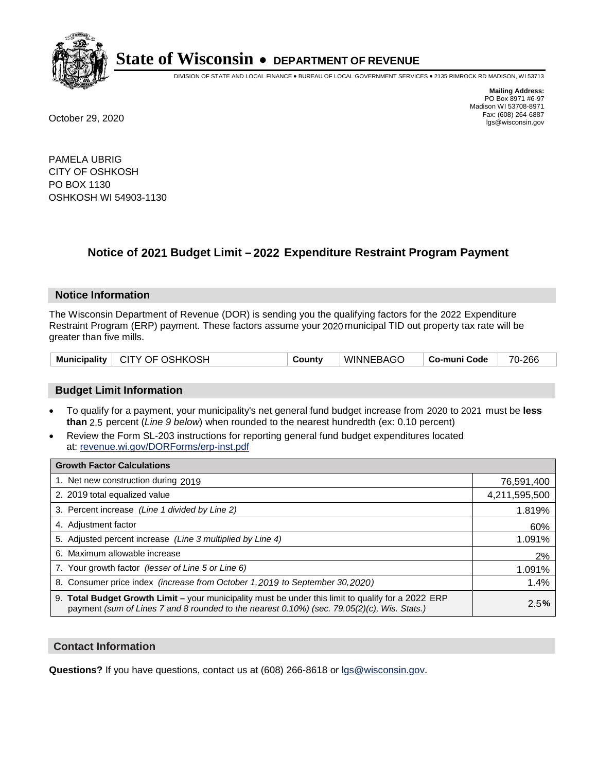

DIVISION OF STATE AND LOCAL FINANCE • BUREAU OF LOCAL GOVERNMENT SERVICES • 2135 RIMROCK RD MADISON, WI 53713

**Mailing Address:** PO Box 8971 #6-97 Madison WI 53708-8971<br>Fax: (608) 264-6887 Fax: (608) 264-6887 October 29, 2020 lgs@wisconsin.gov

PAMELA UBRIG CITY OF OSHKOSH PO BOX 1130 OSHKOSH WI 54903-1130

### **Notice of 2021 Budget Limit - 2022 Expenditure Restraint Program Payment**

### **Notice Information**

The Wisconsin Department of Revenue (DOR) is sending you the qualifying factors for the 2022 Expenditure Restraint Program (ERP) payment. These factors assume your 2020 municipal TID out property tax rate will be greater than five mills.

|  | Municipality   CITY OF OSHKOSH | County | WINNEBAGO | ∣ Co-muni Code | 70-266 |
|--|--------------------------------|--------|-----------|----------------|--------|
|--|--------------------------------|--------|-----------|----------------|--------|

### **Budget Limit Information**

- To qualify for a payment, your municipality's net general fund budget increase from 2020 to 2021 must be less **than** 2.5 percent (*Line 9 below*) when rounded to the nearest hundredth (ex: 0.10 percent)
- Review the Form SL-203 instructions for reporting general fund budget expenditures located at: revenue.wi.gov/DORForms/erp-inst.pdf

| <b>Growth Factor Calculations</b>                                                                                                                                                                  |               |
|----------------------------------------------------------------------------------------------------------------------------------------------------------------------------------------------------|---------------|
| 1. Net new construction during 2019                                                                                                                                                                | 76,591,400    |
| 2. 2019 total equalized value                                                                                                                                                                      | 4,211,595,500 |
| 3. Percent increase (Line 1 divided by Line 2)                                                                                                                                                     | 1.819%        |
| 4. Adjustment factor                                                                                                                                                                               | 60%           |
| 5. Adjusted percent increase (Line 3 multiplied by Line 4)                                                                                                                                         | 1.091%        |
| 6. Maximum allowable increase                                                                                                                                                                      | 2%            |
| 7. Your growth factor (lesser of Line 5 or Line 6)                                                                                                                                                 | 1.091%        |
| 8. Consumer price index (increase from October 1,2019 to September 30,2020)                                                                                                                        | 1.4%          |
| 9. Total Budget Growth Limit - your municipality must be under this limit to qualify for a 2022 ERP<br>payment (sum of Lines 7 and 8 rounded to the nearest 0.10%) (sec. 79.05(2)(c), Wis. Stats.) | 2.5%          |

### **Contact Information**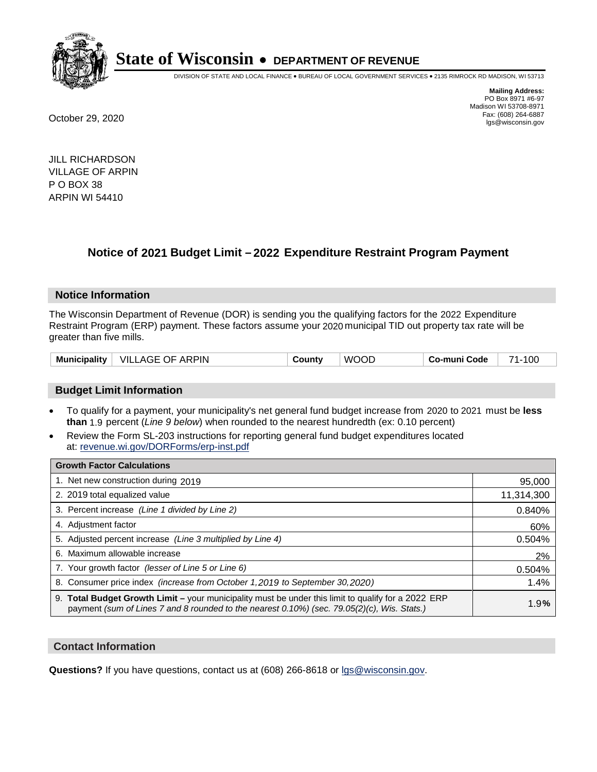

DIVISION OF STATE AND LOCAL FINANCE • BUREAU OF LOCAL GOVERNMENT SERVICES • 2135 RIMROCK RD MADISON, WI 53713

**Mailing Address:** PO Box 8971 #6-97 Madison WI 53708-8971<br>Fax: (608) 264-6887 Fax: (608) 264-6887 October 29, 2020 lgs@wisconsin.gov

JILL RICHARDSON VILLAGE OF ARPIN P O BOX 38 ARPIN WI 54410

## **Notice of 2021 Budget Limit - 2022 Expenditure Restraint Program Payment**

### **Notice Information**

The Wisconsin Department of Revenue (DOR) is sending you the qualifying factors for the 2022 Expenditure Restraint Program (ERP) payment. These factors assume your 2020 municipal TID out property tax rate will be greater than five mills.

| Municipality | <b>ARPIN</b><br>VIL.<br>.OF<br>AC E<br>- A 1. J E | <b>∪ount</b> ∨ | JOL<br>w. | co-muni Code، | 100<br>74 |
|--------------|---------------------------------------------------|----------------|-----------|---------------|-----------|
|--------------|---------------------------------------------------|----------------|-----------|---------------|-----------|

### **Budget Limit Information**

- To qualify for a payment, your municipality's net general fund budget increase from 2020 to 2021 must be less **than** 1.9 percent (*Line 9 below*) when rounded to the nearest hundredth (ex: 0.10 percent)
- Review the Form SL-203 instructions for reporting general fund budget expenditures located at: revenue.wi.gov/DORForms/erp-inst.pdf

| <b>Growth Factor Calculations</b>                                                                                                                                                                  |            |
|----------------------------------------------------------------------------------------------------------------------------------------------------------------------------------------------------|------------|
| 1. Net new construction during 2019                                                                                                                                                                | 95,000     |
| 2. 2019 total equalized value                                                                                                                                                                      | 11,314,300 |
| 3. Percent increase (Line 1 divided by Line 2)                                                                                                                                                     | 0.840%     |
| 4. Adjustment factor                                                                                                                                                                               | 60%        |
| 5. Adjusted percent increase (Line 3 multiplied by Line 4)                                                                                                                                         | 0.504%     |
| 6. Maximum allowable increase                                                                                                                                                                      | 2%         |
| 7. Your growth factor (lesser of Line 5 or Line 6)                                                                                                                                                 | 0.504%     |
| 8. Consumer price index (increase from October 1, 2019 to September 30, 2020)                                                                                                                      | 1.4%       |
| 9. Total Budget Growth Limit - your municipality must be under this limit to qualify for a 2022 ERP<br>payment (sum of Lines 7 and 8 rounded to the nearest 0.10%) (sec. 79.05(2)(c), Wis. Stats.) | 1.9%       |

### **Contact Information**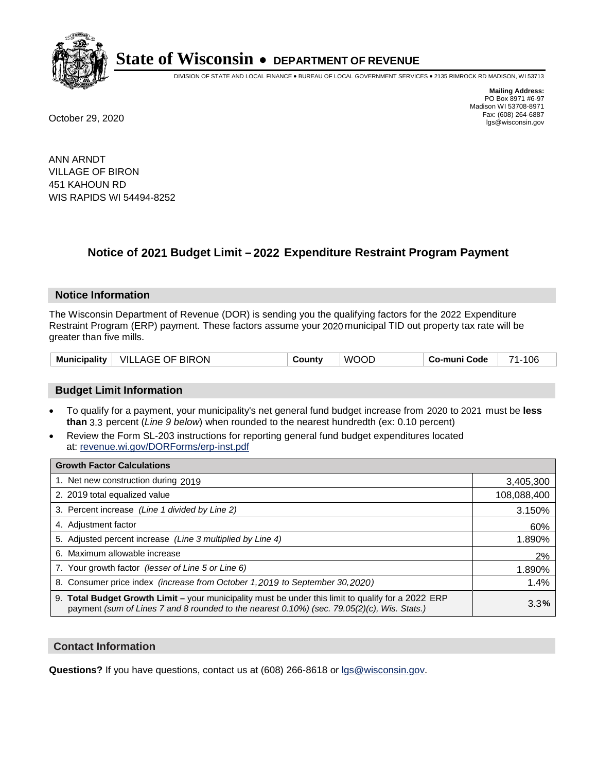

DIVISION OF STATE AND LOCAL FINANCE • BUREAU OF LOCAL GOVERNMENT SERVICES • 2135 RIMROCK RD MADISON, WI 53713

**Mailing Address:** PO Box 8971 #6-97 Madison WI 53708-8971<br>Fax: (608) 264-6887 Fax: (608) 264-6887 October 29, 2020 lgs@wisconsin.gov

ANN ARNDT VILLAGE OF BIRON 451 KAHOUN RD WIS RAPIDS WI 54494-8252

### **Notice of 2021 Budget Limit - 2022 Expenditure Restraint Program Payment**

#### **Notice Information**

The Wisconsin Department of Revenue (DOR) is sending you the qualifying factors for the 2022 Expenditure Restraint Program (ERP) payment. These factors assume your 2020 municipal TID out property tax rate will be greater than five mills.

### **Budget Limit Information**

- To qualify for a payment, your municipality's net general fund budget increase from 2020 to 2021 must be less **than** 3.3 percent (*Line 9 below*) when rounded to the nearest hundredth (ex: 0.10 percent)
- Review the Form SL-203 instructions for reporting general fund budget expenditures located at: revenue.wi.gov/DORForms/erp-inst.pdf

| <b>Growth Factor Calculations</b>                                                                                                                                                                      |             |
|--------------------------------------------------------------------------------------------------------------------------------------------------------------------------------------------------------|-------------|
| 1. Net new construction during 2019                                                                                                                                                                    | 3,405,300   |
| 2. 2019 total equalized value                                                                                                                                                                          | 108,088,400 |
| 3. Percent increase (Line 1 divided by Line 2)                                                                                                                                                         | 3.150%      |
| 4. Adjustment factor                                                                                                                                                                                   | 60%         |
| 5. Adjusted percent increase (Line 3 multiplied by Line 4)                                                                                                                                             | 1.890%      |
| 6. Maximum allowable increase                                                                                                                                                                          | 2%          |
| 7. Your growth factor (lesser of Line 5 or Line 6)                                                                                                                                                     | 1.890%      |
| 8. Consumer price index (increase from October 1, 2019 to September 30, 2020)                                                                                                                          | 1.4%        |
| 9. Total Budget Growth Limit - your municipality must be under this limit to qualify for a 2022 ERP<br>payment (sum of Lines 7 and 8 rounded to the nearest $0.10\%$ ) (sec. 79.05(2)(c), Wis. Stats.) | 3.3%        |

### **Contact Information**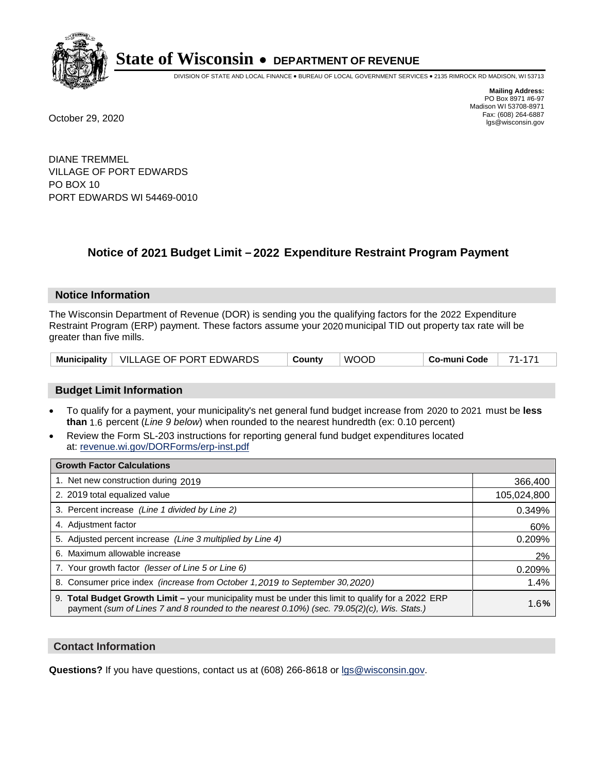

DIVISION OF STATE AND LOCAL FINANCE • BUREAU OF LOCAL GOVERNMENT SERVICES • 2135 RIMROCK RD MADISON, WI 53713

**Mailing Address:** PO Box 8971 #6-97 Madison WI 53708-8971<br>Fax: (608) 264-6887 Fax: (608) 264-6887 October 29, 2020 lgs@wisconsin.gov

DIANE TREMMEL VILLAGE OF PORT EDWARDS PO BOX 10 PORT EDWARDS WI 54469-0010

## **Notice of 2021 Budget Limit - 2022 Expenditure Restraint Program Payment**

### **Notice Information**

The Wisconsin Department of Revenue (DOR) is sending you the qualifying factors for the 2022 Expenditure Restraint Program (ERP) payment. These factors assume your 2020 municipal TID out property tax rate will be greater than five mills.

### **Budget Limit Information**

- To qualify for a payment, your municipality's net general fund budget increase from 2020 to 2021 must be less **than** 1.6 percent (*Line 9 below*) when rounded to the nearest hundredth (ex: 0.10 percent)
- Review the Form SL-203 instructions for reporting general fund budget expenditures located at: revenue.wi.gov/DORForms/erp-inst.pdf

| <b>Growth Factor Calculations</b>                                                                                                                                                                      |             |
|--------------------------------------------------------------------------------------------------------------------------------------------------------------------------------------------------------|-------------|
| 1. Net new construction during 2019                                                                                                                                                                    | 366,400     |
| 2. 2019 total equalized value                                                                                                                                                                          | 105,024,800 |
| 3. Percent increase (Line 1 divided by Line 2)                                                                                                                                                         | 0.349%      |
| 4. Adjustment factor                                                                                                                                                                                   | 60%         |
| 5. Adjusted percent increase (Line 3 multiplied by Line 4)                                                                                                                                             | 0.209%      |
| 6. Maximum allowable increase                                                                                                                                                                          | 2%          |
| 7. Your growth factor (lesser of Line 5 or Line 6)                                                                                                                                                     | 0.209%      |
| 8. Consumer price index (increase from October 1,2019 to September 30,2020)                                                                                                                            | 1.4%        |
| 9. Total Budget Growth Limit - your municipality must be under this limit to qualify for a 2022 ERP<br>payment (sum of Lines 7 and 8 rounded to the nearest $0.10\%$ ) (sec. 79.05(2)(c), Wis. Stats.) | 1.6%        |

### **Contact Information**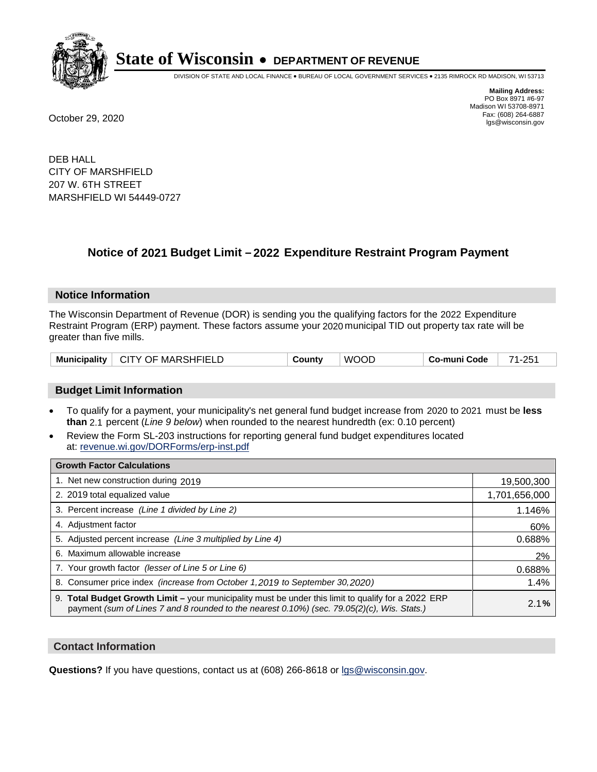

DIVISION OF STATE AND LOCAL FINANCE • BUREAU OF LOCAL GOVERNMENT SERVICES • 2135 RIMROCK RD MADISON, WI 53713

**Mailing Address:** PO Box 8971 #6-97 Madison WI 53708-8971<br>Fax: (608) 264-6887 Fax: (608) 264-6887 October 29, 2020 lgs@wisconsin.gov

DEB HALL CITY OF MARSHFIELD 207 W. 6TH STREET MARSHFIELD WI 54449-0727

## **Notice of 2021 Budget Limit - 2022 Expenditure Restraint Program Payment**

#### **Notice Information**

The Wisconsin Department of Revenue (DOR) is sending you the qualifying factors for the 2022 Expenditure Restraint Program (ERP) payment. These factors assume your 2020 municipal TID out property tax rate will be greater than five mills.

| Municipality   CITY OF MARSHFIELD | County | <b>WOOD</b> | Co-muni Code | 71-251 |
|-----------------------------------|--------|-------------|--------------|--------|
|-----------------------------------|--------|-------------|--------------|--------|

### **Budget Limit Information**

- To qualify for a payment, your municipality's net general fund budget increase from 2020 to 2021 must be less **than** 2.1 percent (*Line 9 below*) when rounded to the nearest hundredth (ex: 0.10 percent)
- Review the Form SL-203 instructions for reporting general fund budget expenditures located at: revenue.wi.gov/DORForms/erp-inst.pdf

| <b>Growth Factor Calculations</b>                                                                                                                                                                  |               |
|----------------------------------------------------------------------------------------------------------------------------------------------------------------------------------------------------|---------------|
| 1. Net new construction during 2019                                                                                                                                                                | 19,500,300    |
| 2. 2019 total equalized value                                                                                                                                                                      | 1,701,656,000 |
| 3. Percent increase (Line 1 divided by Line 2)                                                                                                                                                     | 1.146%        |
| 4. Adjustment factor                                                                                                                                                                               | 60%           |
| 5. Adjusted percent increase (Line 3 multiplied by Line 4)                                                                                                                                         | 0.688%        |
| 6. Maximum allowable increase                                                                                                                                                                      | 2%            |
| 7. Your growth factor (lesser of Line 5 or Line 6)                                                                                                                                                 | 0.688%        |
| 8. Consumer price index (increase from October 1,2019 to September 30,2020)                                                                                                                        | 1.4%          |
| 9. Total Budget Growth Limit - your municipality must be under this limit to qualify for a 2022 ERP<br>payment (sum of Lines 7 and 8 rounded to the nearest 0.10%) (sec. 79.05(2)(c), Wis. Stats.) | 2.1%          |

### **Contact Information**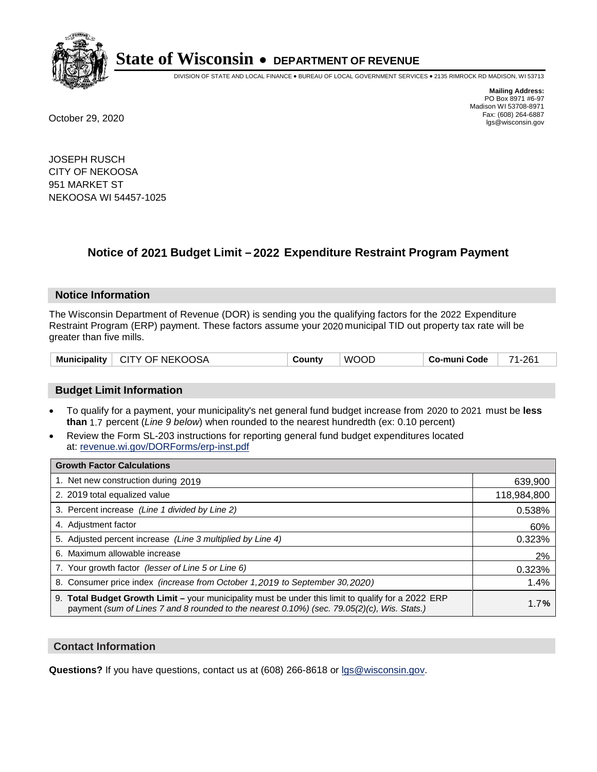

DIVISION OF STATE AND LOCAL FINANCE • BUREAU OF LOCAL GOVERNMENT SERVICES • 2135 RIMROCK RD MADISON, WI 53713

**Mailing Address:** PO Box 8971 #6-97 Madison WI 53708-8971<br>Fax: (608) 264-6887 Fax: (608) 264-6887 October 29, 2020 lgs@wisconsin.gov

JOSEPH RUSCH CITY OF NEKOOSA 951 MARKET ST NEKOOSA WI 54457-1025

## **Notice of 2021 Budget Limit - 2022 Expenditure Restraint Program Payment**

#### **Notice Information**

The Wisconsin Department of Revenue (DOR) is sending you the qualifying factors for the 2022 Expenditure Restraint Program (ERP) payment. These factors assume your 2020 municipal TID out property tax rate will be greater than five mills.

| <b>Municipality</b> | CITY OF NEKOOSA | Countv | COL<br>WC | Co-muni Code | 261 |
|---------------------|-----------------|--------|-----------|--------------|-----|
|---------------------|-----------------|--------|-----------|--------------|-----|

### **Budget Limit Information**

- To qualify for a payment, your municipality's net general fund budget increase from 2020 to 2021 must be less **than** 1.7 percent (*Line 9 below*) when rounded to the nearest hundredth (ex: 0.10 percent)
- Review the Form SL-203 instructions for reporting general fund budget expenditures located at: revenue.wi.gov/DORForms/erp-inst.pdf

| <b>Growth Factor Calculations</b>                                                                                                                                                                      |             |
|--------------------------------------------------------------------------------------------------------------------------------------------------------------------------------------------------------|-------------|
| 1. Net new construction during 2019                                                                                                                                                                    | 639,900     |
| 2. 2019 total equalized value                                                                                                                                                                          | 118,984,800 |
| 3. Percent increase (Line 1 divided by Line 2)                                                                                                                                                         | 0.538%      |
| 4. Adiustment factor                                                                                                                                                                                   | 60%         |
| 5. Adjusted percent increase (Line 3 multiplied by Line 4)                                                                                                                                             | 0.323%      |
| 6. Maximum allowable increase                                                                                                                                                                          | 2%          |
| 7. Your growth factor (lesser of Line 5 or Line 6)                                                                                                                                                     | 0.323%      |
| 8. Consumer price index (increase from October 1,2019 to September 30,2020)                                                                                                                            | 1.4%        |
| 9. Total Budget Growth Limit - your municipality must be under this limit to qualify for a 2022 ERP<br>payment (sum of Lines 7 and 8 rounded to the nearest $0.10\%$ ) (sec. 79.05(2)(c), Wis. Stats.) | 1.7%        |

### **Contact Information**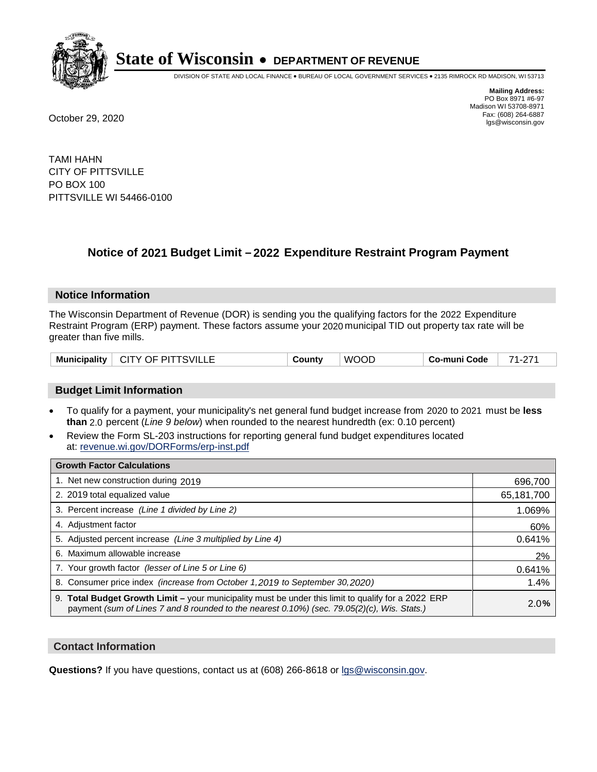

DIVISION OF STATE AND LOCAL FINANCE • BUREAU OF LOCAL GOVERNMENT SERVICES • 2135 RIMROCK RD MADISON, WI 53713

**Mailing Address:** PO Box 8971 #6-97 Madison WI 53708-8971<br>Fax: (608) 264-6887 Fax: (608) 264-6887 October 29, 2020 lgs@wisconsin.gov

TAMI HAHN CITY OF PITTSVILLE PO BOX 100 PITTSVILLE WI 54466-0100

### **Notice of 2021 Budget Limit - 2022 Expenditure Restraint Program Payment**

### **Notice Information**

The Wisconsin Department of Revenue (DOR) is sending you the qualifying factors for the 2022 Expenditure Restraint Program (ERP) payment. These factors assume your 2020 municipal TID out property tax rate will be greater than five mills.

| Municipality | <b>CITY OF PITTSVILLE</b> | County | <b>WOOD</b> | Co-muni Code | 74<br><u>.</u> |
|--------------|---------------------------|--------|-------------|--------------|----------------|
|--------------|---------------------------|--------|-------------|--------------|----------------|

### **Budget Limit Information**

- To qualify for a payment, your municipality's net general fund budget increase from 2020 to 2021 must be less **than** 2.0 percent (*Line 9 below*) when rounded to the nearest hundredth (ex: 0.10 percent)
- Review the Form SL-203 instructions for reporting general fund budget expenditures located at: revenue.wi.gov/DORForms/erp-inst.pdf

| <b>Growth Factor Calculations</b>                                                                                                                                                                  |            |
|----------------------------------------------------------------------------------------------------------------------------------------------------------------------------------------------------|------------|
| 1. Net new construction during 2019                                                                                                                                                                | 696,700    |
| 2. 2019 total equalized value                                                                                                                                                                      | 65,181,700 |
| 3. Percent increase (Line 1 divided by Line 2)                                                                                                                                                     | 1.069%     |
| 4. Adjustment factor                                                                                                                                                                               | 60%        |
| 5. Adjusted percent increase (Line 3 multiplied by Line 4)                                                                                                                                         | 0.641%     |
| 6. Maximum allowable increase                                                                                                                                                                      | 2%         |
| 7. Your growth factor (lesser of Line 5 or Line 6)                                                                                                                                                 | 0.641%     |
| 8. Consumer price index (increase from October 1, 2019 to September 30, 2020)                                                                                                                      | 1.4%       |
| 9. Total Budget Growth Limit - your municipality must be under this limit to qualify for a 2022 ERP<br>payment (sum of Lines 7 and 8 rounded to the nearest 0.10%) (sec. 79.05(2)(c), Wis. Stats.) | 2.0%       |

### **Contact Information**